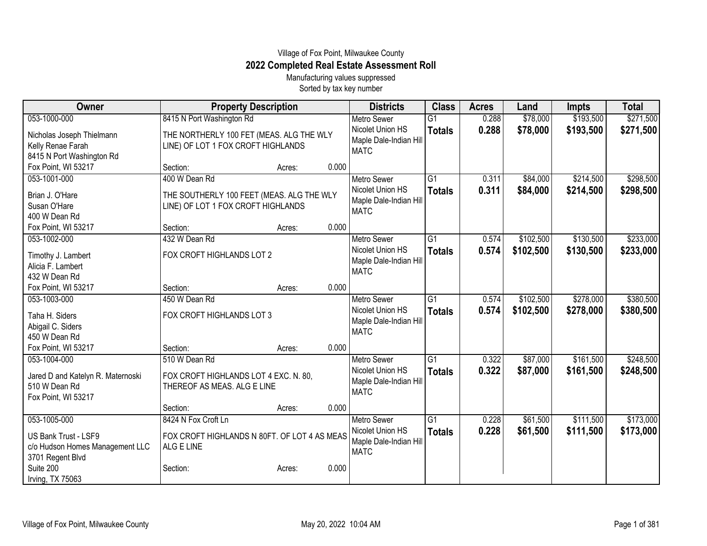## Village of Fox Point, Milwaukee County **2022 Completed Real Estate Assessment Roll**

Manufacturing values suppressed Sorted by tax key number

| Owner                                   | <b>Property Description</b>                  |        |       | <b>Districts</b>       | <b>Class</b>    | <b>Acres</b> | Land      | Impts     | <b>Total</b> |
|-----------------------------------------|----------------------------------------------|--------|-------|------------------------|-----------------|--------------|-----------|-----------|--------------|
| 053-1000-000                            | 8415 N Port Washington Rd                    |        |       | <b>Metro Sewer</b>     | $\overline{G1}$ | 0.288        | \$78,000  | \$193,500 | \$271,500    |
| Nicholas Joseph Thielmann               | THE NORTHERLY 100 FET (MEAS. ALG THE WLY     |        |       | Nicolet Union HS       | <b>Totals</b>   | 0.288        | \$78,000  | \$193,500 | \$271,500    |
| Kelly Renae Farah                       | LINE) OF LOT 1 FOX CROFT HIGHLANDS           |        |       | Maple Dale-Indian Hill |                 |              |           |           |              |
| 8415 N Port Washington Rd               |                                              |        |       | <b>MATC</b>            |                 |              |           |           |              |
| Fox Point, WI 53217                     | Section:                                     | Acres: | 0.000 |                        |                 |              |           |           |              |
| 053-1001-000                            | 400 W Dean Rd                                |        |       | <b>Metro Sewer</b>     | G1              | 0.311        | \$84,000  | \$214,500 | \$298,500    |
| Brian J. O'Hare                         | THE SOUTHERLY 100 FEET (MEAS. ALG THE WLY    |        |       | Nicolet Union HS       | <b>Totals</b>   | 0.311        | \$84,000  | \$214,500 | \$298,500    |
| Susan O'Hare                            | LINE) OF LOT 1 FOX CROFT HIGHLANDS           |        |       | Maple Dale-Indian Hill |                 |              |           |           |              |
| 400 W Dean Rd                           |                                              |        |       | <b>MATC</b>            |                 |              |           |           |              |
| Fox Point, WI 53217                     | Section:                                     | Acres: | 0.000 |                        |                 |              |           |           |              |
| 053-1002-000                            | 432 W Dean Rd                                |        |       | <b>Metro Sewer</b>     | $\overline{G1}$ | 0.574        | \$102,500 | \$130,500 | \$233,000    |
|                                         | FOX CROFT HIGHLANDS LOT 2                    |        |       | Nicolet Union HS       | <b>Totals</b>   | 0.574        | \$102,500 | \$130,500 | \$233,000    |
| Timothy J. Lambert<br>Alicia F. Lambert |                                              |        |       | Maple Dale-Indian Hill |                 |              |           |           |              |
| 432 W Dean Rd                           |                                              |        |       | <b>MATC</b>            |                 |              |           |           |              |
| Fox Point, WI 53217                     | Section:                                     | Acres: | 0.000 |                        |                 |              |           |           |              |
| 053-1003-000                            | 450 W Dean Rd                                |        |       | <b>Metro Sewer</b>     | $\overline{G1}$ | 0.574        | \$102,500 | \$278,000 | \$380,500    |
|                                         |                                              |        |       | Nicolet Union HS       | <b>Totals</b>   | 0.574        | \$102,500 | \$278,000 | \$380,500    |
| Taha H. Siders                          | FOX CROFT HIGHLANDS LOT 3                    |        |       | Maple Dale-Indian Hill |                 |              |           |           |              |
| Abigail C. Siders                       |                                              |        |       | <b>MATC</b>            |                 |              |           |           |              |
| 450 W Dean Rd                           |                                              |        |       |                        |                 |              |           |           |              |
| Fox Point, WI 53217                     | Section:                                     | Acres: | 0.000 |                        |                 |              |           |           |              |
| 053-1004-000                            | 510 W Dean Rd                                |        |       | <b>Metro Sewer</b>     | $\overline{G1}$ | 0.322        | \$87,000  | \$161,500 | \$248,500    |
| Jared D and Katelyn R. Maternoski       | FOX CROFT HIGHLANDS LOT 4 EXC. N. 80,        |        |       | Nicolet Union HS       | <b>Totals</b>   | 0.322        | \$87,000  | \$161,500 | \$248,500    |
| 510 W Dean Rd                           | THEREOF AS MEAS. ALG E LINE                  |        |       | Maple Dale-Indian Hill |                 |              |           |           |              |
| Fox Point, WI 53217                     |                                              |        |       | <b>MATC</b>            |                 |              |           |           |              |
|                                         | Section:                                     | Acres: | 0.000 |                        |                 |              |           |           |              |
| 053-1005-000                            | 8424 N Fox Croft Ln                          |        |       | <b>Metro Sewer</b>     | G1              | 0.228        | \$61,500  | \$111,500 | \$173,000    |
| US Bank Trust - LSF9                    | FOX CROFT HIGHLANDS N 80FT. OF LOT 4 AS MEAS |        |       | Nicolet Union HS       | <b>Totals</b>   | 0.228        | \$61,500  | \$111,500 | \$173,000    |
| c/o Hudson Homes Management LLC         | ALG E LINE                                   |        |       | Maple Dale-Indian Hill |                 |              |           |           |              |
| 3701 Regent Blvd                        |                                              |        |       | <b>MATC</b>            |                 |              |           |           |              |
| Suite 200                               | Section:                                     | Acres: | 0.000 |                        |                 |              |           |           |              |
| Irving, TX 75063                        |                                              |        |       |                        |                 |              |           |           |              |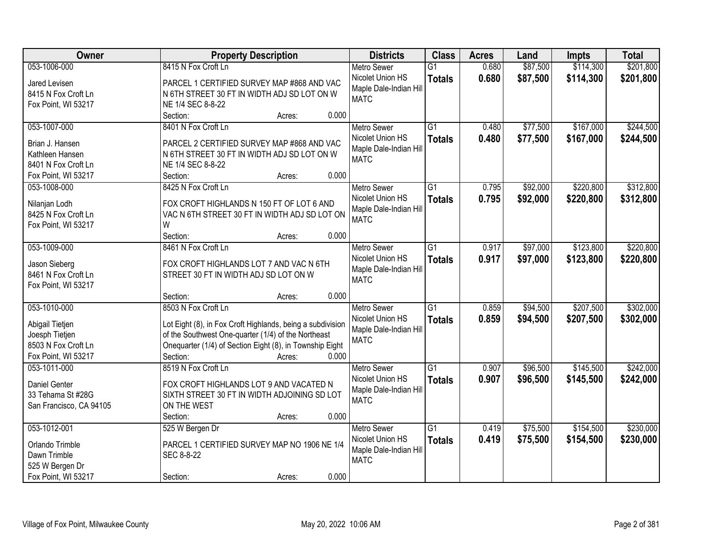| Owner                   | <b>Property Description</b>                                | <b>Districts</b>       | <b>Class</b>    | <b>Acres</b> | Land     | <b>Impts</b> | <b>Total</b> |
|-------------------------|------------------------------------------------------------|------------------------|-----------------|--------------|----------|--------------|--------------|
| 053-1006-000            | 8415 N Fox Croft Ln                                        | <b>Metro Sewer</b>     | $\overline{G1}$ | 0.680        | \$87,500 | \$114,300    | \$201,800    |
| Jared Levisen           | PARCEL 1 CERTIFIED SURVEY MAP #868 AND VAC                 | Nicolet Union HS       | <b>Totals</b>   | 0.680        | \$87,500 | \$114,300    | \$201,800    |
| 8415 N Fox Croft Ln     | N 6TH STREET 30 FT IN WIDTH ADJ SD LOT ON W                | Maple Dale-Indian Hill |                 |              |          |              |              |
| Fox Point, WI 53217     | NE 1/4 SEC 8-8-22                                          | <b>MATC</b>            |                 |              |          |              |              |
|                         | 0.000<br>Section:<br>Acres:                                |                        |                 |              |          |              |              |
| 053-1007-000            | 8401 N Fox Croft Ln                                        | <b>Metro Sewer</b>     | $\overline{G1}$ | 0.480        | \$77,500 | \$167,000    | \$244,500    |
|                         |                                                            | Nicolet Union HS       | <b>Totals</b>   | 0.480        | \$77,500 | \$167,000    | \$244,500    |
| Brian J. Hansen         | PARCEL 2 CERTIFIED SURVEY MAP #868 AND VAC                 | Maple Dale-Indian Hill |                 |              |          |              |              |
| Kathleen Hansen         | N 6TH STREET 30 FT IN WIDTH ADJ SD LOT ON W                | <b>MATC</b>            |                 |              |          |              |              |
| 8401 N Fox Croft Ln     | NE 1/4 SEC 8-8-22                                          |                        |                 |              |          |              |              |
| Fox Point, WI 53217     | 0.000<br>Section:<br>Acres:                                |                        |                 |              |          |              |              |
| 053-1008-000            | 8425 N Fox Croft Ln                                        | <b>Metro Sewer</b>     | $\overline{G1}$ | 0.795        | \$92,000 | \$220,800    | \$312,800    |
| Nilanjan Lodh           | FOX CROFT HIGHLANDS N 150 FT OF LOT 6 AND                  | Nicolet Union HS       | <b>Totals</b>   | 0.795        | \$92,000 | \$220,800    | \$312,800    |
| 8425 N Fox Croft Ln     | VAC N 6TH STREET 30 FT IN WIDTH ADJ SD LOT ON              | Maple Dale-Indian Hill |                 |              |          |              |              |
| Fox Point, WI 53217     | W                                                          | <b>MATC</b>            |                 |              |          |              |              |
|                         | Section:<br>0.000<br>Acres:                                |                        |                 |              |          |              |              |
| 053-1009-000            | 8461 N Fox Croft Ln                                        | <b>Metro Sewer</b>     | G1              | 0.917        | \$97,000 | \$123,800    | \$220,800    |
|                         |                                                            | Nicolet Union HS       | <b>Totals</b>   | 0.917        | \$97,000 | \$123,800    | \$220,800    |
| Jason Sieberg           | FOX CROFT HIGHLANDS LOT 7 AND VAC N 6TH                    | Maple Dale-Indian Hill |                 |              |          |              |              |
| 8461 N Fox Croft Ln     | STREET 30 FT IN WIDTH ADJ SD LOT ON W                      | <b>MATC</b>            |                 |              |          |              |              |
| Fox Point, WI 53217     |                                                            |                        |                 |              |          |              |              |
|                         | 0.000<br>Section:<br>Acres:                                |                        |                 |              |          |              |              |
| 053-1010-000            | 8503 N Fox Croft Ln                                        | <b>Metro Sewer</b>     | $\overline{G1}$ | 0.859        | \$94,500 | \$207,500    | \$302,000    |
| Abigail Tietjen         | Lot Eight (8), in Fox Croft Highlands, being a subdivision | Nicolet Union HS       | <b>Totals</b>   | 0.859        | \$94,500 | \$207,500    | \$302,000    |
| Joesph Tietjen          | of the Southwest One-quarter (1/4) of the Northeast        | Maple Dale-Indian Hill |                 |              |          |              |              |
| 8503 N Fox Croft Ln     | Onequarter (1/4) of Section Eight (8), in Township Eight   | <b>MATC</b>            |                 |              |          |              |              |
| Fox Point, WI 53217     | Section:<br>0.000<br>Acres:                                |                        |                 |              |          |              |              |
| 053-1011-000            | 8519 N Fox Croft Ln                                        | <b>Metro Sewer</b>     | $\overline{G1}$ | 0.907        | \$96,500 | \$145,500    | \$242,000    |
|                         |                                                            | Nicolet Union HS       | <b>Totals</b>   | 0.907        | \$96,500 | \$145,500    | \$242,000    |
| <b>Daniel Genter</b>    | FOX CROFT HIGHLANDS LOT 9 AND VACATED N                    | Maple Dale-Indian Hill |                 |              |          |              |              |
| 33 Tehama St #28G       | SIXTH STREET 30 FT IN WIDTH ADJOINING SD LOT               | <b>MATC</b>            |                 |              |          |              |              |
| San Francisco, CA 94105 | ON THE WEST                                                |                        |                 |              |          |              |              |
|                         | 0.000<br>Section:<br>Acres:                                |                        |                 |              |          |              |              |
| 053-1012-001            | 525 W Bergen Dr                                            | <b>Metro Sewer</b>     | G1              | 0.419        | \$75,500 | \$154,500    | \$230,000    |
| Orlando Trimble         | PARCEL 1 CERTIFIED SURVEY MAP NO 1906 NE 1/4               | Nicolet Union HS       | <b>Totals</b>   | 0.419        | \$75,500 | \$154,500    | \$230,000    |
| Dawn Trimble            | SEC 8-8-22                                                 | Maple Dale-Indian Hil  |                 |              |          |              |              |
| 525 W Bergen Dr         |                                                            | <b>MATC</b>            |                 |              |          |              |              |
| Fox Point, WI 53217     | 0.000<br>Section:<br>Acres:                                |                        |                 |              |          |              |              |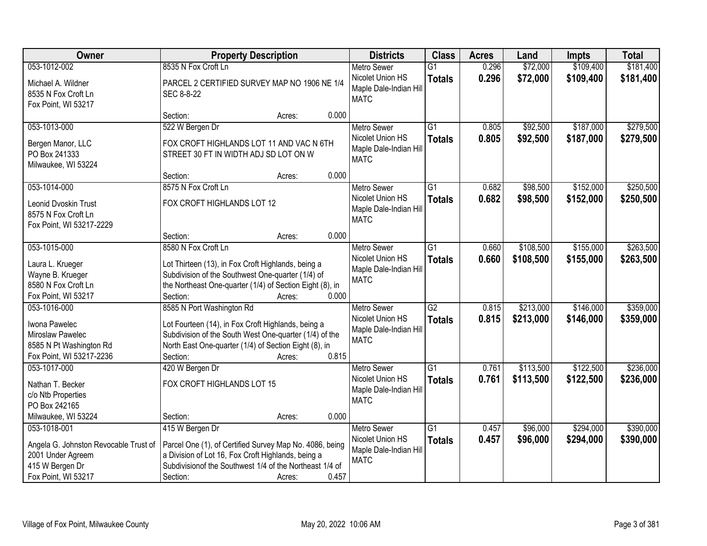| Owner                                                                                                                | <b>Property Description</b>                                                                                                                                                                                                       | <b>Districts</b>                                                                | <b>Class</b>                     | <b>Acres</b>   | Land                   | <b>Impts</b>           | <b>Total</b>           |
|----------------------------------------------------------------------------------------------------------------------|-----------------------------------------------------------------------------------------------------------------------------------------------------------------------------------------------------------------------------------|---------------------------------------------------------------------------------|----------------------------------|----------------|------------------------|------------------------|------------------------|
| 053-1012-002                                                                                                         | 8535 N Fox Croft Ln                                                                                                                                                                                                               | <b>Metro Sewer</b>                                                              | $\overline{G1}$                  | 0.296          | \$72,000               | \$109,400              | \$181,400              |
| Michael A. Wildner<br>8535 N Fox Croft Ln<br>Fox Point, WI 53217                                                     | PARCEL 2 CERTIFIED SURVEY MAP NO 1906 NE 1/4<br>SEC 8-8-22                                                                                                                                                                        | Nicolet Union HS<br>Maple Dale-Indian Hill<br><b>MATC</b>                       | <b>Totals</b>                    | 0.296          | \$72,000               | \$109,400              | \$181,400              |
|                                                                                                                      | 0.000<br>Section:<br>Acres:                                                                                                                                                                                                       |                                                                                 |                                  |                |                        |                        |                        |
| 053-1013-000<br>Bergen Manor, LLC<br>PO Box 241333<br>Milwaukee, WI 53224                                            | 522 W Bergen Dr<br>FOX CROFT HIGHLANDS LOT 11 AND VAC N 6TH<br>STREET 30 FT IN WIDTH ADJ SD LOT ON W                                                                                                                              | <b>Metro Sewer</b><br>Nicolet Union HS<br>Maple Dale-Indian Hill<br><b>MATC</b> | $\overline{G1}$<br><b>Totals</b> | 0.805<br>0.805 | \$92,500<br>\$92,500   | \$187,000<br>\$187,000 | \$279,500<br>\$279,500 |
|                                                                                                                      | 0.000<br>Section:<br>Acres:                                                                                                                                                                                                       |                                                                                 |                                  |                |                        |                        |                        |
| 053-1014-000<br>Leonid Dvoskin Trust<br>8575 N Fox Croft Ln<br>Fox Point, WI 53217-2229                              | 8575 N Fox Croft Ln<br>FOX CROFT HIGHLANDS LOT 12                                                                                                                                                                                 | <b>Metro Sewer</b><br>Nicolet Union HS<br>Maple Dale-Indian Hill<br><b>MATC</b> | G1<br><b>Totals</b>              | 0.682<br>0.682 | \$98,500<br>\$98,500   | \$152,000<br>\$152,000 | \$250,500<br>\$250,500 |
|                                                                                                                      | 0.000<br>Section:<br>Acres:                                                                                                                                                                                                       |                                                                                 |                                  |                |                        |                        |                        |
| 053-1015-000<br>Laura L. Krueger<br>Wayne B. Krueger<br>8580 N Fox Croft Ln<br>Fox Point, WI 53217                   | 8580 N Fox Croft Ln<br>Lot Thirteen (13), in Fox Croft Highlands, being a<br>Subdivision of the Southwest One-quarter (1/4) of<br>the Northeast One-quarter (1/4) of Section Eight (8), in<br>Section:<br>0.000<br>Acres:         | <b>Metro Sewer</b><br>Nicolet Union HS<br>Maple Dale-Indian Hill<br><b>MATC</b> | $\overline{G1}$<br><b>Totals</b> | 0.660<br>0.660 | \$108,500<br>\$108,500 | \$155,000<br>\$155,000 | \$263,500<br>\$263,500 |
| 053-1016-000<br>Iwona Pawelec<br>Miroslaw Pawelec<br>8585 N Pt Washington Rd<br>Fox Point, WI 53217-2236             | 8585 N Port Washington Rd<br>Lot Fourteen (14), in Fox Croft Highlands, being a<br>Subdivision of the South West One-quarter (1/4) of the<br>North East One-quarter (1/4) of Section Eight (8), in<br>Section:<br>0.815<br>Acres: | <b>Metro Sewer</b><br>Nicolet Union HS<br>Maple Dale-Indian Hill<br><b>MATC</b> | $\overline{G2}$<br><b>Totals</b> | 0.815<br>0.815 | \$213,000<br>\$213,000 | \$146,000<br>\$146,000 | \$359,000<br>\$359,000 |
| 053-1017-000<br>Nathan T. Becker<br>c/o Ntb Properties<br>PO Box 242165<br>Milwaukee, WI 53224                       | 420 W Bergen Dr<br>FOX CROFT HIGHLANDS LOT 15<br>0.000<br>Section:<br>Acres:                                                                                                                                                      | Metro Sewer<br>Nicolet Union HS<br>Maple Dale-Indian Hill<br><b>MATC</b>        | $\overline{G1}$<br><b>Totals</b> | 0.761<br>0.761 | \$113,500<br>\$113,500 | \$122,500<br>\$122,500 | \$236,000<br>\$236,000 |
| 053-1018-001<br>Angela G. Johnston Revocable Trust of<br>2001 Under Agreem<br>415 W Bergen Dr<br>Fox Point, WI 53217 | 415 W Bergen Dr<br>Parcel One (1), of Certified Survey Map No. 4086, being<br>a Division of Lot 16, Fox Croft Highlands, being a<br>Subdivision of the Southwest 1/4 of the Northeast 1/4 of<br>0.457<br>Section:<br>Acres:       | <b>Metro Sewer</b><br>Nicolet Union HS<br>Maple Dale-Indian Hill<br><b>MATC</b> | $\overline{G1}$<br><b>Totals</b> | 0.457<br>0.457 | \$96,000<br>\$96,000   | \$294,000<br>\$294,000 | \$390,000<br>\$390,000 |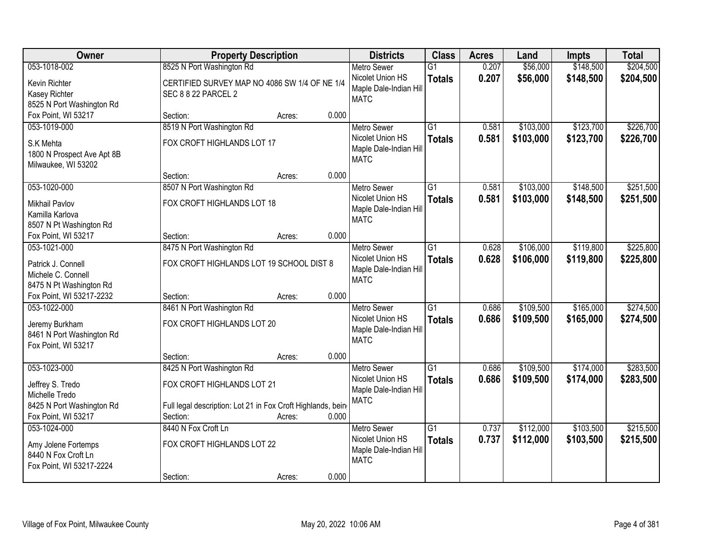| Owner                                                                                                  | <b>Property Description</b>                                                                                                         |        |       | <b>Districts</b>                                                                | <b>Class</b>                     | <b>Acres</b>   | Land                   | <b>Impts</b>           | <b>Total</b>           |
|--------------------------------------------------------------------------------------------------------|-------------------------------------------------------------------------------------------------------------------------------------|--------|-------|---------------------------------------------------------------------------------|----------------------------------|----------------|------------------------|------------------------|------------------------|
| 053-1018-002                                                                                           | 8525 N Port Washington Rd                                                                                                           |        |       | <b>Metro Sewer</b>                                                              | $\overline{G1}$                  | 0.207          | \$56,000               | \$148,500              | \$204,500              |
| Kevin Richter<br>Kasey Richter<br>8525 N Port Washington Rd                                            | CERTIFIED SURVEY MAP NO 4086 SW 1/4 OF NE 1/4<br><b>SEC 8 8 22 PARCEL 2</b>                                                         |        |       | Nicolet Union HS<br>Maple Dale-Indian Hill<br><b>MATC</b>                       | <b>Totals</b>                    | 0.207          | \$56,000               | \$148,500              | \$204,500              |
| Fox Point, WI 53217                                                                                    | Section:                                                                                                                            | Acres: | 0.000 |                                                                                 |                                  |                |                        |                        |                        |
| 053-1019-000<br>S.K Mehta<br>1800 N Prospect Ave Apt 8B<br>Milwaukee, WI 53202                         | 8519 N Port Washington Rd<br>FOX CROFT HIGHLANDS LOT 17                                                                             |        |       | <b>Metro Sewer</b><br>Nicolet Union HS<br>Maple Dale-Indian Hill<br><b>MATC</b> | $\overline{G1}$<br><b>Totals</b> | 0.581<br>0.581 | \$103,000<br>\$103,000 | \$123,700<br>\$123,700 | \$226,700<br>\$226,700 |
|                                                                                                        | Section:                                                                                                                            | Acres: | 0.000 |                                                                                 |                                  |                |                        |                        |                        |
| 053-1020-000<br><b>Mikhail Pavlov</b><br>Kamilla Karlova<br>8507 N Pt Washington Rd                    | 8507 N Port Washington Rd<br>FOX CROFT HIGHLANDS LOT 18                                                                             |        |       | <b>Metro Sewer</b><br>Nicolet Union HS<br>Maple Dale-Indian Hill<br><b>MATC</b> | $\overline{G1}$<br><b>Totals</b> | 0.581<br>0.581 | \$103,000<br>\$103,000 | \$148,500<br>\$148,500 | \$251,500<br>\$251,500 |
| Fox Point, WI 53217                                                                                    | Section:                                                                                                                            | Acres: | 0.000 |                                                                                 |                                  |                |                        |                        |                        |
| 053-1021-000<br>Patrick J. Connell<br>Michele C. Connell<br>8475 N Pt Washington Rd                    | 8475 N Port Washington Rd<br>FOX CROFT HIGHLANDS LOT 19 SCHOOL DIST 8                                                               |        |       | <b>Metro Sewer</b><br>Nicolet Union HS<br>Maple Dale-Indian Hill<br><b>MATC</b> | $\overline{G1}$<br><b>Totals</b> | 0.628<br>0.628 | \$106,000<br>\$106,000 | \$119,800<br>\$119,800 | \$225,800<br>\$225,800 |
| Fox Point, WI 53217-2232                                                                               | Section:                                                                                                                            | Acres: | 0.000 |                                                                                 |                                  |                |                        |                        |                        |
| 053-1022-000<br>Jeremy Burkham<br>8461 N Port Washington Rd<br>Fox Point, WI 53217                     | 8461 N Port Washington Rd<br>FOX CROFT HIGHLANDS LOT 20                                                                             |        |       | <b>Metro Sewer</b><br>Nicolet Union HS<br>Maple Dale-Indian Hill<br><b>MATC</b> | $\overline{G1}$<br><b>Totals</b> | 0.686<br>0.686 | \$109,500<br>\$109,500 | \$165,000<br>\$165,000 | \$274,500<br>\$274,500 |
|                                                                                                        | Section:                                                                                                                            | Acres: | 0.000 |                                                                                 |                                  |                |                        |                        |                        |
| 053-1023-000<br>Jeffrey S. Tredo<br>Michelle Tredo<br>8425 N Port Washington Rd<br>Fox Point, WI 53217 | 8425 N Port Washington Rd<br>FOX CROFT HIGHLANDS LOT 21<br>Full legal description: Lot 21 in Fox Croft Highlands, being<br>Section: | Acres: | 0.000 | Metro Sewer<br>Nicolet Union HS<br>Maple Dale-Indian Hill<br><b>MATC</b>        | $\overline{G1}$<br><b>Totals</b> | 0.686<br>0.686 | \$109,500<br>\$109,500 | \$174,000<br>\$174,000 | \$283,500<br>\$283,500 |
| 053-1024-000<br>Amy Jolene Fortemps<br>8440 N Fox Croft Ln<br>Fox Point, WI 53217-2224                 | 8440 N Fox Croft Ln<br>FOX CROFT HIGHLANDS LOT 22<br>Section:                                                                       | Acres: | 0.000 | <b>Metro Sewer</b><br>Nicolet Union HS<br>Maple Dale-Indian Hill<br><b>MATC</b> | $\overline{G1}$<br><b>Totals</b> | 0.737<br>0.737 | \$112,000<br>\$112,000 | \$103,500<br>\$103,500 | \$215,500<br>\$215,500 |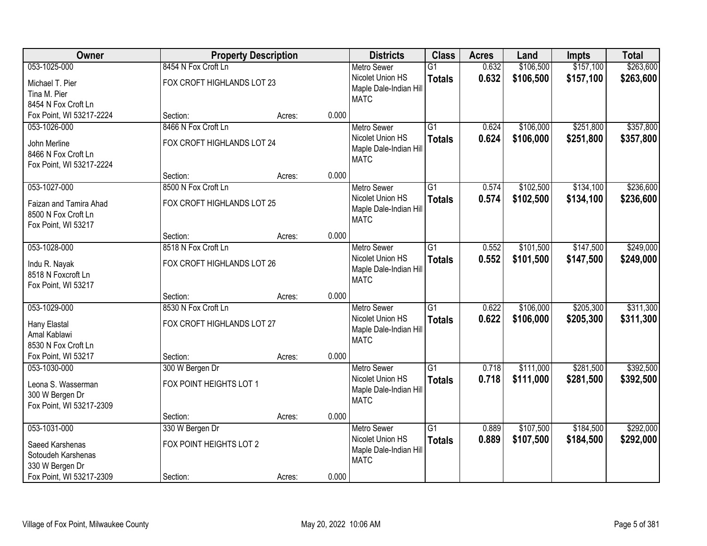| Owner                                     |                            | <b>Property Description</b> |       | <b>Districts</b>                      | <b>Class</b>    | <b>Acres</b> | Land      | <b>Impts</b> | <b>Total</b> |
|-------------------------------------------|----------------------------|-----------------------------|-------|---------------------------------------|-----------------|--------------|-----------|--------------|--------------|
| 053-1025-000                              | 8454 N Fox Croft Ln        |                             |       | <b>Metro Sewer</b>                    | $\overline{G1}$ | 0.632        | \$106,500 | \$157,100    | \$263,600    |
| Michael T. Pier                           | FOX CROFT HIGHLANDS LOT 23 |                             |       | Nicolet Union HS                      | <b>Totals</b>   | 0.632        | \$106,500 | \$157,100    | \$263,600    |
| Tina M. Pier                              |                            |                             |       | Maple Dale-Indian Hill                |                 |              |           |              |              |
| 8454 N Fox Croft Ln                       |                            |                             |       | <b>MATC</b>                           |                 |              |           |              |              |
| Fox Point, WI 53217-2224                  | Section:                   | Acres:                      | 0.000 |                                       |                 |              |           |              |              |
| 053-1026-000                              | 8466 N Fox Croft Ln        |                             |       | <b>Metro Sewer</b>                    | $\overline{G1}$ | 0.624        | \$106,000 | \$251,800    | \$357,800    |
| John Merline                              | FOX CROFT HIGHLANDS LOT 24 |                             |       | Nicolet Union HS                      | <b>Totals</b>   | 0.624        | \$106,000 | \$251,800    | \$357,800    |
| 8466 N Fox Croft Ln                       |                            |                             |       | Maple Dale-Indian Hill                |                 |              |           |              |              |
| Fox Point, WI 53217-2224                  |                            |                             |       | <b>MATC</b>                           |                 |              |           |              |              |
|                                           | Section:                   | Acres:                      | 0.000 |                                       |                 |              |           |              |              |
| 053-1027-000                              | 8500 N Fox Croft Ln        |                             |       | Metro Sewer                           | $\overline{G1}$ | 0.574        | \$102,500 | \$134,100    | \$236,600    |
| Faizan and Tamira Ahad                    | FOX CROFT HIGHLANDS LOT 25 |                             |       | Nicolet Union HS                      | <b>Totals</b>   | 0.574        | \$102,500 | \$134,100    | \$236,600    |
| 8500 N Fox Croft Ln                       |                            |                             |       | Maple Dale-Indian Hill                |                 |              |           |              |              |
| Fox Point, WI 53217                       |                            |                             |       | <b>MATC</b>                           |                 |              |           |              |              |
|                                           | Section:                   | Acres:                      | 0.000 |                                       |                 |              |           |              |              |
| 053-1028-000                              | 8518 N Fox Croft Ln        |                             |       | <b>Metro Sewer</b>                    | $\overline{G1}$ | 0.552        | \$101,500 | \$147,500    | \$249,000    |
|                                           |                            |                             |       | Nicolet Union HS                      | <b>Totals</b>   | 0.552        | \$101,500 | \$147,500    | \$249,000    |
| Indu R. Nayak                             | FOX CROFT HIGHLANDS LOT 26 |                             |       | Maple Dale-Indian Hill                |                 |              |           |              |              |
| 8518 N Foxcroft Ln<br>Fox Point, WI 53217 |                            |                             |       | <b>MATC</b>                           |                 |              |           |              |              |
|                                           | Section:                   | Acres:                      | 0.000 |                                       |                 |              |           |              |              |
| 053-1029-000                              | 8530 N Fox Croft Ln        |                             |       | <b>Metro Sewer</b>                    | $\overline{G1}$ | 0.622        | \$106,000 | \$205,300    | \$311,300    |
|                                           |                            |                             |       | Nicolet Union HS                      | <b>Totals</b>   | 0.622        | \$106,000 | \$205,300    | \$311,300    |
| Hany Elastal                              | FOX CROFT HIGHLANDS LOT 27 |                             |       | Maple Dale-Indian Hill                |                 |              |           |              |              |
| Amal Kablawi                              |                            |                             |       | <b>MATC</b>                           |                 |              |           |              |              |
| 8530 N Fox Croft Ln                       |                            |                             |       |                                       |                 |              |           |              |              |
| Fox Point, WI 53217                       | Section:                   | Acres:                      | 0.000 |                                       |                 |              |           |              |              |
| 053-1030-000                              | 300 W Bergen Dr            |                             |       | Metro Sewer                           | $\overline{G1}$ | 0.718        | \$111,000 | \$281,500    | \$392,500    |
| Leona S. Wasserman                        | FOX POINT HEIGHTS LOT 1    |                             |       | Nicolet Union HS                      | <b>Totals</b>   | 0.718        | \$111,000 | \$281,500    | \$392,500    |
| 300 W Bergen Dr                           |                            |                             |       | Maple Dale-Indian Hill<br><b>MATC</b> |                 |              |           |              |              |
| Fox Point, WI 53217-2309                  |                            |                             |       |                                       |                 |              |           |              |              |
|                                           | Section:                   | Acres:                      | 0.000 |                                       |                 |              |           |              |              |
| 053-1031-000                              | 330 W Bergen Dr            |                             |       | <b>Metro Sewer</b>                    | $\overline{G1}$ | 0.889        | \$107,500 | \$184,500    | \$292,000    |
| Saeed Karshenas                           | FOX POINT HEIGHTS LOT 2    |                             |       | Nicolet Union HS                      | <b>Totals</b>   | 0.889        | \$107,500 | \$184,500    | \$292,000    |
| Sotoudeh Karshenas                        |                            |                             |       | Maple Dale-Indian Hill                |                 |              |           |              |              |
| 330 W Bergen Dr                           |                            |                             |       | <b>MATC</b>                           |                 |              |           |              |              |
| Fox Point, WI 53217-2309                  | Section:                   | Acres:                      | 0.000 |                                       |                 |              |           |              |              |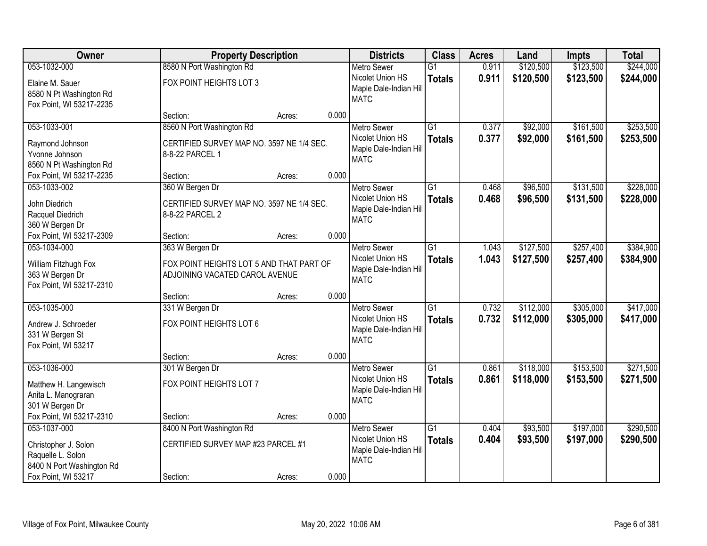| Owner                                                                                                       |                                                                                               | <b>Property Description</b> |                                                                                          |                                  | <b>Acres</b>   | Land                   | <b>Impts</b>           | <b>Total</b>           |
|-------------------------------------------------------------------------------------------------------------|-----------------------------------------------------------------------------------------------|-----------------------------|------------------------------------------------------------------------------------------|----------------------------------|----------------|------------------------|------------------------|------------------------|
| 053-1032-000                                                                                                | 8580 N Port Washington Rd                                                                     |                             | <b>Metro Sewer</b>                                                                       | $\overline{G1}$                  | 0.911          | \$120,500              | \$123,500              | \$244,000              |
| Elaine M. Sauer<br>8580 N Pt Washington Rd<br>Fox Point, WI 53217-2235                                      | FOX POINT HEIGHTS LOT 3                                                                       |                             | Nicolet Union HS<br>Maple Dale-Indian Hill<br><b>MATC</b>                                | <b>Totals</b>                    | 0.911          | \$120,500              | \$123,500              | \$244,000              |
|                                                                                                             | Section:                                                                                      | Acres:                      | 0.000                                                                                    |                                  |                |                        |                        |                        |
| 053-1033-001<br>Raymond Johnson<br>Yvonne Johnson<br>8560 N Pt Washington Rd                                | 8560 N Port Washington Rd<br>CERTIFIED SURVEY MAP NO. 3597 NE 1/4 SEC.<br>8-8-22 PARCEL 1     |                             | <b>Metro Sewer</b><br>Nicolet Union HS<br>Maple Dale-Indian Hill<br><b>MATC</b>          | $\overline{G1}$<br><b>Totals</b> | 0.377<br>0.377 | \$92,000<br>\$92,000   | \$161,500<br>\$161,500 | \$253,500<br>\$253,500 |
| Fox Point, WI 53217-2235                                                                                    | Section:                                                                                      | Acres:                      | 0.000                                                                                    |                                  |                |                        |                        |                        |
| 053-1033-002<br>John Diedrich<br>Racquel Diedrich<br>360 W Bergen Dr                                        | 360 W Bergen Dr<br>CERTIFIED SURVEY MAP NO. 3597 NE 1/4 SEC.<br>8-8-22 PARCEL 2               |                             | <b>Metro Sewer</b><br>Nicolet Union HS<br>Maple Dale-Indian Hill<br><b>MATC</b>          | G1<br><b>Totals</b>              | 0.468<br>0.468 | \$96,500<br>\$96,500   | \$131,500<br>\$131,500 | \$228,000<br>\$228,000 |
| Fox Point, WI 53217-2309                                                                                    | Section:                                                                                      | Acres:                      | 0.000                                                                                    |                                  |                |                        |                        |                        |
| 053-1034-000<br>William Fitzhugh Fox<br>363 W Bergen Dr<br>Fox Point, WI 53217-2310                         | 363 W Bergen Dr<br>FOX POINT HEIGHTS LOT 5 AND THAT PART OF<br>ADJOINING VACATED CAROL AVENUE |                             | <b>Metro Sewer</b><br>Nicolet Union HS<br>Maple Dale-Indian Hill<br><b>MATC</b>          | $\overline{G1}$<br><b>Totals</b> | 1.043<br>1.043 | \$127,500<br>\$127,500 | \$257,400<br>\$257,400 | \$384,900<br>\$384,900 |
|                                                                                                             | Section:                                                                                      | Acres:                      | 0.000                                                                                    |                                  |                |                        |                        |                        |
| 053-1035-000<br>Andrew J. Schroeder<br>331 W Bergen St<br>Fox Point, WI 53217                               | 331 W Bergen Dr<br>FOX POINT HEIGHTS LOT 6<br>Section:                                        | Acres:                      | <b>Metro Sewer</b><br>Nicolet Union HS<br>Maple Dale-Indian Hill<br><b>MATC</b><br>0.000 | $\overline{G1}$<br><b>Totals</b> | 0.732<br>0.732 | \$112,000<br>\$112,000 | \$305,000<br>\$305,000 | \$417,000<br>\$417,000 |
| 053-1036-000<br>Matthew H. Langewisch<br>Anita L. Manograran<br>301 W Bergen Dr<br>Fox Point, WI 53217-2310 | 301 W Bergen Dr<br>FOX POINT HEIGHTS LOT 7<br>Section:                                        | Acres:                      | <b>Metro Sewer</b><br>Nicolet Union HS<br>Maple Dale-Indian Hill<br><b>MATC</b><br>0.000 | $\overline{G1}$<br><b>Totals</b> | 0.861<br>0.861 | \$118,000<br>\$118,000 | \$153,500<br>\$153,500 | \$271,500<br>\$271,500 |
| 053-1037-000                                                                                                | 8400 N Port Washington Rd                                                                     |                             | <b>Metro Sewer</b>                                                                       | $\overline{G1}$                  | 0.404          | \$93,500               | \$197,000              | \$290,500              |
| Christopher J. Solon<br>Raquelle L. Solon<br>8400 N Port Washington Rd                                      | CERTIFIED SURVEY MAP #23 PARCEL #1                                                            |                             | Nicolet Union HS<br>Maple Dale-Indian Hill<br><b>MATC</b>                                | <b>Totals</b>                    | 0.404          | \$93,500               | \$197,000              | \$290,500              |
| Fox Point, WI 53217                                                                                         | Section:                                                                                      | Acres:                      | 0.000                                                                                    |                                  |                |                        |                        |                        |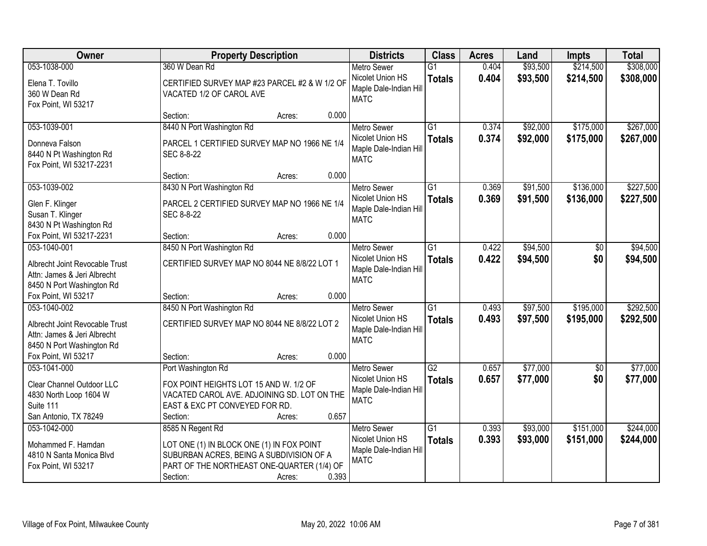| <b>Owner</b>                                                  | <b>Property Description</b>                   | <b>Districts</b> | <b>Class</b>                          | <b>Acres</b>    | Land  | <b>Impts</b> | <b>Total</b>    |           |
|---------------------------------------------------------------|-----------------------------------------------|------------------|---------------------------------------|-----------------|-------|--------------|-----------------|-----------|
| 053-1038-000                                                  | 360 W Dean Rd                                 |                  | <b>Metro Sewer</b>                    | $\overline{G1}$ | 0.404 | \$93,500     | \$214,500       | \$308,000 |
| Elena T. Tovillo                                              | CERTIFIED SURVEY MAP #23 PARCEL #2 & W 1/2 OF |                  | Nicolet Union HS                      | <b>Totals</b>   | 0.404 | \$93,500     | \$214,500       | \$308,000 |
| 360 W Dean Rd                                                 | VACATED 1/2 OF CAROL AVE                      |                  | Maple Dale-Indian Hill                |                 |       |              |                 |           |
| Fox Point, WI 53217                                           |                                               |                  | <b>MATC</b>                           |                 |       |              |                 |           |
|                                                               | Section:<br>Acres:                            | 0.000            |                                       |                 |       |              |                 |           |
| 053-1039-001                                                  | 8440 N Port Washington Rd                     |                  | <b>Metro Sewer</b>                    | $\overline{G1}$ | 0.374 | \$92,000     | \$175,000       | \$267,000 |
| Donneva Falson                                                | PARCEL 1 CERTIFIED SURVEY MAP NO 1966 NE 1/4  |                  | Nicolet Union HS                      | <b>Totals</b>   | 0.374 | \$92,000     | \$175,000       | \$267,000 |
| 8440 N Pt Washington Rd                                       | SEC 8-8-22                                    |                  | Maple Dale-Indian Hill                |                 |       |              |                 |           |
| Fox Point, WI 53217-2231                                      |                                               |                  | <b>MATC</b>                           |                 |       |              |                 |           |
|                                                               | Section:<br>Acres:                            | 0.000            |                                       |                 |       |              |                 |           |
| 053-1039-002                                                  | 8430 N Port Washington Rd                     |                  | <b>Metro Sewer</b>                    | G1              | 0.369 | \$91,500     | \$136,000       | \$227,500 |
| Glen F. Klinger                                               | PARCEL 2 CERTIFIED SURVEY MAP NO 1966 NE 1/4  |                  | Nicolet Union HS                      | <b>Totals</b>   | 0.369 | \$91,500     | \$136,000       | \$227,500 |
| Susan T. Klinger                                              | SEC 8-8-22                                    |                  | Maple Dale-Indian Hill                |                 |       |              |                 |           |
| 8430 N Pt Washington Rd                                       |                                               |                  | <b>MATC</b>                           |                 |       |              |                 |           |
| Fox Point, WI 53217-2231                                      | Section:<br>Acres:                            | 0.000            |                                       |                 |       |              |                 |           |
| 053-1040-001                                                  | 8450 N Port Washington Rd                     |                  | <b>Metro Sewer</b>                    | $\overline{G1}$ | 0.422 | \$94,500     | \$0             | \$94,500  |
|                                                               |                                               |                  | Nicolet Union HS                      | <b>Totals</b>   | 0.422 | \$94,500     | \$0             | \$94,500  |
| Albrecht Joint Revocable Trust<br>Attn: James & Jeri Albrecht | CERTIFIED SURVEY MAP NO 8044 NE 8/8/22 LOT 1  |                  | Maple Dale-Indian Hill                |                 |       |              |                 |           |
| 8450 N Port Washington Rd                                     |                                               |                  | <b>MATC</b>                           |                 |       |              |                 |           |
| Fox Point, WI 53217                                           | Section:<br>Acres:                            | 0.000            |                                       |                 |       |              |                 |           |
| 053-1040-002                                                  | 8450 N Port Washington Rd                     |                  | <b>Metro Sewer</b>                    | $\overline{G1}$ | 0.493 | \$97,500     | \$195,000       | \$292,500 |
|                                                               |                                               |                  | Nicolet Union HS                      | <b>Totals</b>   | 0.493 | \$97,500     | \$195,000       | \$292,500 |
| Albrecht Joint Revocable Trust                                | CERTIFIED SURVEY MAP NO 8044 NE 8/8/22 LOT 2  |                  | Maple Dale-Indian Hill                |                 |       |              |                 |           |
| Attn: James & Jeri Albrecht                                   |                                               |                  | <b>MATC</b>                           |                 |       |              |                 |           |
| 8450 N Port Washington Rd<br>Fox Point, WI 53217              | Section:                                      | 0.000            |                                       |                 |       |              |                 |           |
| 053-1041-000                                                  | Acres:<br>Port Washington Rd                  |                  | <b>Metro Sewer</b>                    | $\overline{G2}$ | 0.657 | \$77,000     | $\overline{50}$ | \$77,000  |
|                                                               |                                               |                  | Nicolet Union HS                      | <b>Totals</b>   | 0.657 | \$77,000     | \$0             | \$77,000  |
| Clear Channel Outdoor LLC                                     | FOX POINT HEIGHTS LOT 15 AND W. 1/2 OF        |                  | Maple Dale-Indian Hill                |                 |       |              |                 |           |
| 4830 North Loop 1604 W                                        | VACATED CAROL AVE. ADJOINING SD. LOT ON THE   |                  | <b>MATC</b>                           |                 |       |              |                 |           |
| Suite 111                                                     | EAST & EXC PT CONVEYED FOR RD.                |                  |                                       |                 |       |              |                 |           |
| San Antonio, TX 78249                                         | Section:<br>Acres:                            | 0.657            |                                       |                 |       |              |                 |           |
| 053-1042-000                                                  | 8585 N Regent Rd                              |                  | <b>Metro Sewer</b>                    | $\overline{G1}$ | 0.393 | \$93,000     | \$151,000       | \$244,000 |
| Mohammed F. Hamdan                                            | LOT ONE (1) IN BLOCK ONE (1) IN FOX POINT     |                  | Nicolet Union HS                      | <b>Totals</b>   | 0.393 | \$93,000     | \$151,000       | \$244,000 |
| 4810 N Santa Monica Blvd                                      | SUBURBAN ACRES, BEING A SUBDIVISION OF A      |                  | Maple Dale-Indian Hill<br><b>MATC</b> |                 |       |              |                 |           |
| Fox Point, WI 53217                                           | PART OF THE NORTHEAST ONE-QUARTER (1/4) OF    |                  |                                       |                 |       |              |                 |           |
|                                                               | Section:<br>Acres:                            | 0.393            |                                       |                 |       |              |                 |           |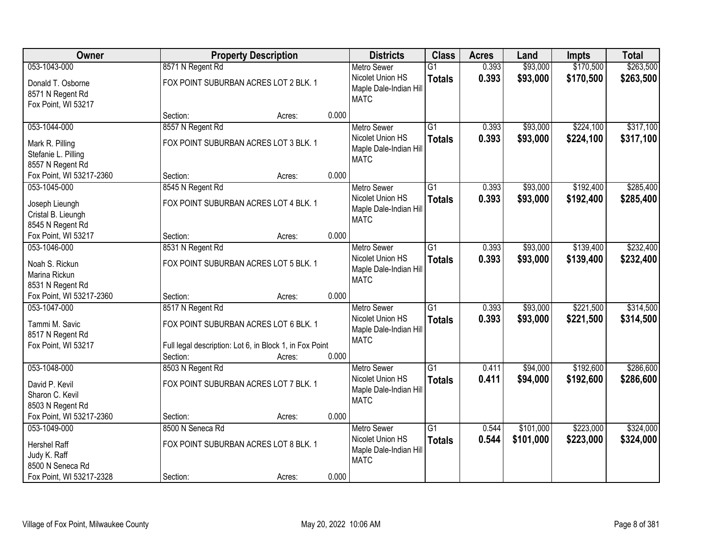| Owner                                                                                        |                                                                                                                                  | <b>Property Description</b> |       |                                                                                 | <b>Class</b>                     | <b>Acres</b>   | Land                   | <b>Impts</b>           | <b>Total</b>           |
|----------------------------------------------------------------------------------------------|----------------------------------------------------------------------------------------------------------------------------------|-----------------------------|-------|---------------------------------------------------------------------------------|----------------------------------|----------------|------------------------|------------------------|------------------------|
| 053-1043-000                                                                                 | 8571 N Regent Rd                                                                                                                 |                             |       | <b>Metro Sewer</b>                                                              | $\overline{G1}$                  | 0.393          | \$93,000               | \$170,500              | \$263,500              |
| Donald T. Osborne<br>8571 N Regent Rd<br>Fox Point, WI 53217                                 | FOX POINT SUBURBAN ACRES LOT 2 BLK. 1                                                                                            |                             |       | Nicolet Union HS<br>Maple Dale-Indian Hill<br><b>MATC</b>                       | <b>Totals</b>                    | 0.393          | \$93,000               | \$170,500              | \$263,500              |
|                                                                                              | Section:                                                                                                                         | Acres:                      | 0.000 |                                                                                 |                                  |                |                        |                        |                        |
| 053-1044-000                                                                                 | 8557 N Regent Rd                                                                                                                 |                             |       | <b>Metro Sewer</b>                                                              | $\overline{G1}$                  | 0.393          | \$93,000               | \$224,100              | \$317,100              |
| Mark R. Pilling<br>Stefanie L. Pilling<br>8557 N Regent Rd                                   | FOX POINT SUBURBAN ACRES LOT 3 BLK. 1                                                                                            |                             |       | Nicolet Union HS<br>Maple Dale-Indian Hill<br><b>MATC</b>                       | <b>Totals</b>                    | 0.393          | \$93,000               | \$224,100              | \$317,100              |
| Fox Point, WI 53217-2360                                                                     | Section:                                                                                                                         | Acres:                      | 0.000 |                                                                                 |                                  |                |                        |                        |                        |
| 053-1045-000                                                                                 | 8545 N Regent Rd                                                                                                                 |                             |       | <b>Metro Sewer</b>                                                              | G1                               | 0.393          | \$93,000               | \$192,400              | \$285,400              |
| Joseph Lieungh<br>Cristal B. Lieungh<br>8545 N Regent Rd                                     | FOX POINT SUBURBAN ACRES LOT 4 BLK. 1                                                                                            |                             |       | Nicolet Union HS<br>Maple Dale-Indian Hill<br><b>MATC</b>                       | <b>Totals</b>                    | 0.393          | \$93,000               | \$192,400              | \$285,400              |
| Fox Point, WI 53217                                                                          | Section:                                                                                                                         | Acres:                      | 0.000 |                                                                                 |                                  |                |                        |                        |                        |
| 053-1046-000                                                                                 | 8531 N Regent Rd                                                                                                                 |                             |       | <b>Metro Sewer</b>                                                              | G1                               | 0.393          | \$93,000               | \$139,400              | \$232,400              |
| Noah S. Rickun<br>Marina Rickun<br>8531 N Regent Rd                                          | FOX POINT SUBURBAN ACRES LOT 5 BLK. 1                                                                                            |                             |       | Nicolet Union HS<br>Maple Dale-Indian Hill<br><b>MATC</b>                       | <b>Totals</b>                    | 0.393          | \$93,000               | \$139,400              | \$232,400              |
| Fox Point, WI 53217-2360                                                                     | Section:                                                                                                                         | Acres:                      | 0.000 |                                                                                 |                                  |                |                        |                        |                        |
| 053-1047-000<br>Tammi M. Savic<br>8517 N Regent Rd<br>Fox Point, WI 53217                    | 8517 N Regent Rd<br>FOX POINT SUBURBAN ACRES LOT 6 BLK. 1<br>Full legal description: Lot 6, in Block 1, in Fox Point<br>Section: | Acres:                      | 0.000 | <b>Metro Sewer</b><br>Nicolet Union HS<br>Maple Dale-Indian Hill<br><b>MATC</b> | $\overline{G1}$<br><b>Totals</b> | 0.393<br>0.393 | \$93,000<br>\$93,000   | \$221,500<br>\$221,500 | \$314,500<br>\$314,500 |
| 053-1048-000                                                                                 | 8503 N Regent Rd                                                                                                                 |                             |       | Metro Sewer                                                                     | $\overline{G1}$                  | 0.411          | \$94,000               | \$192,600              | \$286,600              |
| David P. Kevil<br>Sharon C. Kevil<br>8503 N Regent Rd                                        | FOX POINT SUBURBAN ACRES LOT 7 BLK. 1                                                                                            |                             |       | Nicolet Union HS<br>Maple Dale-Indian Hill<br><b>MATC</b>                       | <b>Totals</b>                    | 0.411          | \$94,000               | \$192,600              | \$286,600              |
| Fox Point, WI 53217-2360                                                                     | Section:                                                                                                                         | Acres:                      | 0.000 |                                                                                 |                                  |                |                        |                        |                        |
| 053-1049-000<br>Hershel Raff<br>Judy K. Raff<br>8500 N Seneca Rd<br>Fox Point, WI 53217-2328 | 8500 N Seneca Rd<br>FOX POINT SUBURBAN ACRES LOT 8 BLK. 1<br>Section:                                                            |                             | 0.000 | <b>Metro Sewer</b><br>Nicolet Union HS<br>Maple Dale-Indian Hill<br><b>MATC</b> | $\overline{G1}$<br><b>Totals</b> | 0.544<br>0.544 | \$101,000<br>\$101,000 | \$223,000<br>\$223,000 | \$324,000<br>\$324,000 |
|                                                                                              |                                                                                                                                  | Acres:                      |       |                                                                                 |                                  |                |                        |                        |                        |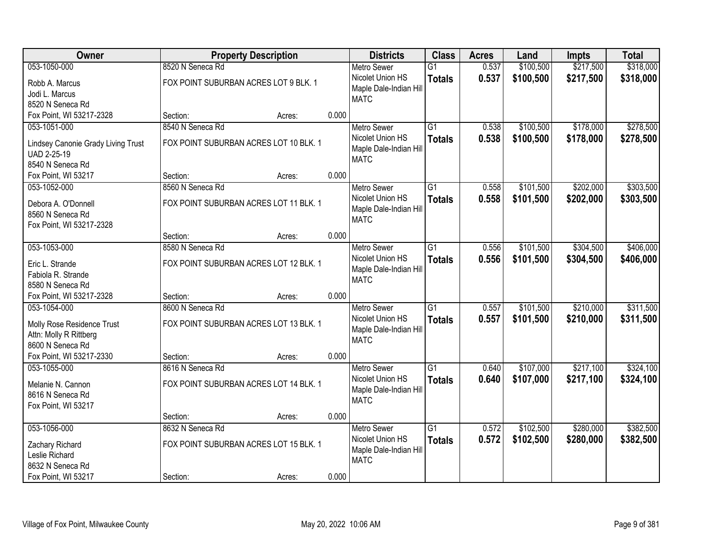| Owner                              |                                        | <b>Property Description</b> |       | <b>Districts</b>                      | <b>Class</b>    | <b>Acres</b> | Land      | <b>Impts</b> | <b>Total</b> |
|------------------------------------|----------------------------------------|-----------------------------|-------|---------------------------------------|-----------------|--------------|-----------|--------------|--------------|
| 053-1050-000                       | 8520 N Seneca Rd                       |                             |       | <b>Metro Sewer</b>                    | $\overline{G1}$ | 0.537        | \$100,500 | \$217,500    | \$318,000    |
| Robb A. Marcus                     | FOX POINT SUBURBAN ACRES LOT 9 BLK. 1  |                             |       | Nicolet Union HS                      | <b>Totals</b>   | 0.537        | \$100,500 | \$217,500    | \$318,000    |
| Jodi L. Marcus                     |                                        |                             |       | Maple Dale-Indian Hill                |                 |              |           |              |              |
| 8520 N Seneca Rd                   |                                        |                             |       | <b>MATC</b>                           |                 |              |           |              |              |
| Fox Point, WI 53217-2328           | Section:                               | Acres:                      | 0.000 |                                       |                 |              |           |              |              |
| 053-1051-000                       | 8540 N Seneca Rd                       |                             |       | <b>Metro Sewer</b>                    | $\overline{G1}$ | 0.538        | \$100,500 | \$178,000    | \$278,500    |
|                                    |                                        |                             |       | Nicolet Union HS                      | <b>Totals</b>   | 0.538        | \$100,500 | \$178,000    | \$278,500    |
| Lindsey Canonie Grady Living Trust | FOX POINT SUBURBAN ACRES LOT 10 BLK. 1 |                             |       | Maple Dale-Indian Hill                |                 |              |           |              |              |
| UAD 2-25-19<br>8540 N Seneca Rd    |                                        |                             |       | <b>MATC</b>                           |                 |              |           |              |              |
| Fox Point, WI 53217                | Section:                               | Acres:                      | 0.000 |                                       |                 |              |           |              |              |
| 053-1052-000                       | 8560 N Seneca Rd                       |                             |       | <b>Metro Sewer</b>                    | $\overline{G1}$ | 0.558        | \$101,500 | \$202,000    | \$303,500    |
|                                    |                                        |                             |       | Nicolet Union HS                      | <b>Totals</b>   | 0.558        | \$101,500 | \$202,000    | \$303,500    |
| Debora A. O'Donnell                | FOX POINT SUBURBAN ACRES LOT 11 BLK. 1 |                             |       | Maple Dale-Indian Hill                |                 |              |           |              |              |
| 8560 N Seneca Rd                   |                                        |                             |       | <b>MATC</b>                           |                 |              |           |              |              |
| Fox Point, WI 53217-2328           |                                        |                             |       |                                       |                 |              |           |              |              |
|                                    | Section:                               | Acres:                      | 0.000 |                                       |                 |              |           |              |              |
| 053-1053-000                       | 8580 N Seneca Rd                       |                             |       | <b>Metro Sewer</b>                    | $\overline{G1}$ | 0.556        | \$101,500 | \$304,500    | \$406,000    |
| Eric L. Strande                    | FOX POINT SUBURBAN ACRES LOT 12 BLK. 1 |                             |       | Nicolet Union HS                      | <b>Totals</b>   | 0.556        | \$101,500 | \$304,500    | \$406,000    |
| Fabiola R. Strande                 |                                        |                             |       | Maple Dale-Indian Hill                |                 |              |           |              |              |
| 8580 N Seneca Rd                   |                                        |                             |       | <b>MATC</b>                           |                 |              |           |              |              |
| Fox Point, WI 53217-2328           | Section:                               | Acres:                      | 0.000 |                                       |                 |              |           |              |              |
| 053-1054-000                       | 8600 N Seneca Rd                       |                             |       | <b>Metro Sewer</b>                    | $\overline{G1}$ | 0.557        | \$101,500 | \$210,000    | \$311,500    |
| Molly Rose Residence Trust         | FOX POINT SUBURBAN ACRES LOT 13 BLK. 1 |                             |       | Nicolet Union HS                      | <b>Totals</b>   | 0.557        | \$101,500 | \$210,000    | \$311,500    |
| Attn: Molly R Rittberg             |                                        |                             |       | Maple Dale-Indian Hill                |                 |              |           |              |              |
| 8600 N Seneca Rd                   |                                        |                             |       | <b>MATC</b>                           |                 |              |           |              |              |
| Fox Point, WI 53217-2330           | Section:                               | Acres:                      | 0.000 |                                       |                 |              |           |              |              |
| 053-1055-000                       | 8616 N Seneca Rd                       |                             |       | Metro Sewer                           | $\overline{G1}$ | 0.640        | \$107,000 | \$217,100    | \$324,100    |
|                                    |                                        |                             |       | Nicolet Union HS                      | <b>Totals</b>   | 0.640        | \$107,000 | \$217,100    | \$324,100    |
| Melanie N. Cannon                  | FOX POINT SUBURBAN ACRES LOT 14 BLK. 1 |                             |       | Maple Dale-Indian Hill                |                 |              |           |              |              |
| 8616 N Seneca Rd                   |                                        |                             |       | <b>MATC</b>                           |                 |              |           |              |              |
| Fox Point, WI 53217                |                                        |                             |       |                                       |                 |              |           |              |              |
|                                    | Section:                               | Acres:                      | 0.000 |                                       |                 |              |           |              |              |
| 053-1056-000                       | 8632 N Seneca Rd                       |                             |       | <b>Metro Sewer</b>                    | $\overline{G1}$ | 0.572        | \$102,500 | \$280,000    | \$382,500    |
| Zachary Richard                    | FOX POINT SUBURBAN ACRES LOT 15 BLK. 1 |                             |       | Nicolet Union HS                      | <b>Totals</b>   | 0.572        | \$102,500 | \$280,000    | \$382,500    |
| Leslie Richard                     |                                        |                             |       | Maple Dale-Indian Hill<br><b>MATC</b> |                 |              |           |              |              |
| 8632 N Seneca Rd                   |                                        |                             |       |                                       |                 |              |           |              |              |
| Fox Point, WI 53217                | Section:                               | Acres:                      | 0.000 |                                       |                 |              |           |              |              |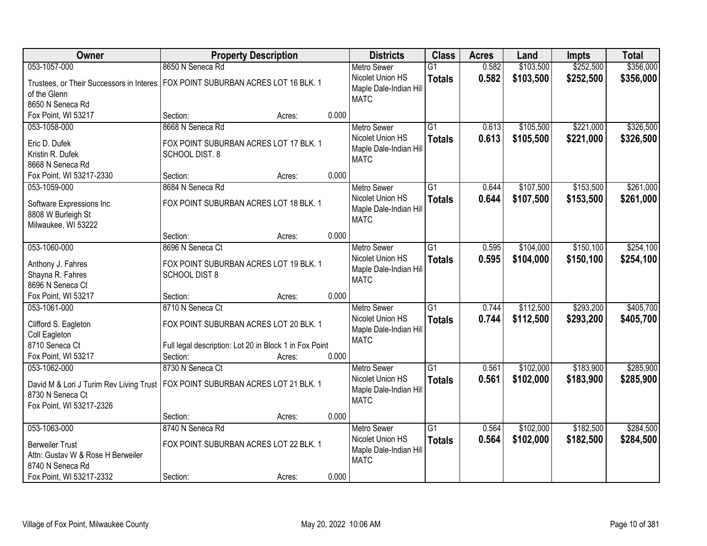| Owner                                                                            | <b>Property Description</b>                            |        |       | <b>Districts</b>                       | <b>Class</b>    | <b>Acres</b> | Land      | <b>Impts</b> | <b>Total</b> |
|----------------------------------------------------------------------------------|--------------------------------------------------------|--------|-------|----------------------------------------|-----------------|--------------|-----------|--------------|--------------|
| 053-1057-000                                                                     | 8650 N Seneca Rd                                       |        |       | <b>Metro Sewer</b>                     | $\overline{G1}$ | 0.582        | \$103,500 | \$252,500    | \$356,000    |
| Trustees, or Their Successors in Interes                                         | FOX POINT SUBURBAN ACRES LOT 16 BLK. 1                 |        |       | Nicolet Union HS                       | <b>Totals</b>   | 0.582        | \$103,500 | \$252,500    | \$356,000    |
| of the Glenn                                                                     |                                                        |        |       | Maple Dale-Indian Hill                 |                 |              |           |              |              |
| 8650 N Seneca Rd                                                                 |                                                        |        |       | <b>MATC</b>                            |                 |              |           |              |              |
| Fox Point, WI 53217                                                              | Section:                                               | Acres: | 0.000 |                                        |                 |              |           |              |              |
| 053-1058-000                                                                     | 8668 N Seneca Rd                                       |        |       | <b>Metro Sewer</b>                     | $\overline{G1}$ | 0.613        | \$105,500 | \$221,000    | \$326,500    |
| Eric D. Dufek                                                                    | FOX POINT SUBURBAN ACRES LOT 17 BLK. 1                 |        |       | Nicolet Union HS                       | <b>Totals</b>   | 0.613        | \$105,500 | \$221,000    | \$326,500    |
| Kristin R. Dufek                                                                 | <b>SCHOOL DIST. 8</b>                                  |        |       | Maple Dale-Indian Hill                 |                 |              |           |              |              |
| 8668 N Seneca Rd                                                                 |                                                        |        |       | <b>MATC</b>                            |                 |              |           |              |              |
| Fox Point, WI 53217-2330                                                         | Section:                                               | Acres: | 0.000 |                                        |                 |              |           |              |              |
| 053-1059-000                                                                     | 8684 N Seneca Rd                                       |        |       | <b>Metro Sewer</b>                     | $\overline{G1}$ | 0.644        | \$107,500 | \$153,500    | \$261,000    |
|                                                                                  |                                                        |        |       | Nicolet Union HS                       | <b>Totals</b>   | 0.644        | \$107,500 | \$153,500    | \$261,000    |
| Software Expressions Inc                                                         | FOX POINT SUBURBAN ACRES LOT 18 BLK. 1                 |        |       | Maple Dale-Indian Hill                 |                 |              |           |              |              |
| 8808 W Burleigh St                                                               |                                                        |        |       | <b>MATC</b>                            |                 |              |           |              |              |
| Milwaukee, WI 53222                                                              |                                                        |        |       |                                        |                 |              |           |              |              |
| 053-1060-000                                                                     | Section:<br>8696 N Seneca Ct                           | Acres: | 0.000 |                                        | $\overline{G1}$ |              | \$104,000 | \$150,100    | \$254,100    |
|                                                                                  |                                                        |        |       | <b>Metro Sewer</b><br>Nicolet Union HS |                 | 0.595        |           |              |              |
| Anthony J. Fahres                                                                | FOX POINT SUBURBAN ACRES LOT 19 BLK. 1                 |        |       | Maple Dale-Indian Hill                 | <b>Totals</b>   | 0.595        | \$104,000 | \$150,100    | \$254,100    |
| Shayna R. Fahres                                                                 | <b>SCHOOL DIST 8</b>                                   |        |       | <b>MATC</b>                            |                 |              |           |              |              |
| 8696 N Seneca Ct                                                                 |                                                        |        |       |                                        |                 |              |           |              |              |
| Fox Point, WI 53217                                                              | Section:                                               | Acres: | 0.000 |                                        |                 |              |           |              |              |
| 053-1061-000                                                                     | 8710 N Seneca Ct                                       |        |       | <b>Metro Sewer</b>                     | $\overline{G1}$ | 0.744        | \$112,500 | \$293,200    | \$405,700    |
| Clifford S. Eagleton                                                             | FOX POINT SUBURBAN ACRES LOT 20 BLK. 1                 |        |       | Nicolet Union HS                       | <b>Totals</b>   | 0.744        | \$112,500 | \$293,200    | \$405,700    |
| Coll Eagleton                                                                    |                                                        |        |       | Maple Dale-Indian Hill                 |                 |              |           |              |              |
| 8710 Seneca Ct                                                                   | Full legal description: Lot 20 in Block 1 in Fox Point |        |       | <b>MATC</b>                            |                 |              |           |              |              |
| Fox Point, WI 53217                                                              | Section:                                               | Acres: | 0.000 |                                        |                 |              |           |              |              |
| 053-1062-000                                                                     | 8730 N Seneca Ct                                       |        |       | Metro Sewer                            | $\overline{G1}$ | 0.561        | \$102,000 | \$183,900    | \$285,900    |
| David M & Lori J Turim Rev Living Trust   FOX POINT SUBURBAN ACRES LOT 21 BLK. 1 |                                                        |        |       | Nicolet Union HS                       | <b>Totals</b>   | 0.561        | \$102,000 | \$183,900    | \$285,900    |
| 8730 N Seneca Ct                                                                 |                                                        |        |       | Maple Dale-Indian Hill                 |                 |              |           |              |              |
| Fox Point, WI 53217-2326                                                         |                                                        |        |       | <b>MATC</b>                            |                 |              |           |              |              |
|                                                                                  | Section:                                               | Acres: | 0.000 |                                        |                 |              |           |              |              |
| 053-1063-000                                                                     | 8740 N Seneca Rd                                       |        |       | <b>Metro Sewer</b>                     | $\overline{G1}$ | 0.564        | \$102,000 | \$182,500    | \$284,500    |
|                                                                                  |                                                        |        |       | Nicolet Union HS                       | <b>Totals</b>   | 0.564        | \$102,000 | \$182,500    | \$284,500    |
| <b>Berweiler Trust</b>                                                           | FOX POINT SUBURBAN ACRES LOT 22 BLK. 1                 |        |       | Maple Dale-Indian Hill                 |                 |              |           |              |              |
| Attn: Gustav W & Rose H Berweiler                                                |                                                        |        |       | <b>MATC</b>                            |                 |              |           |              |              |
| 8740 N Seneca Rd                                                                 |                                                        |        |       |                                        |                 |              |           |              |              |
| Fox Point, WI 53217-2332                                                         | Section:                                               | Acres: | 0.000 |                                        |                 |              |           |              |              |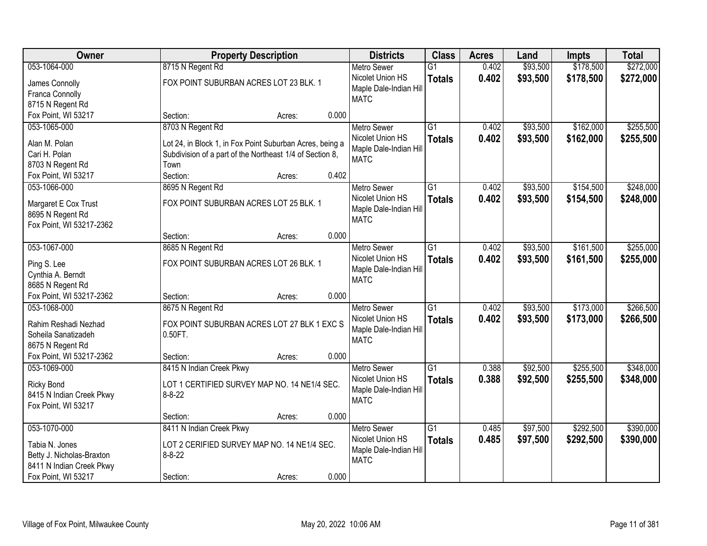| <b>Owner</b>              | <b>Property Description</b>                              |        |       | <b>Districts</b>       | <b>Class</b>    | <b>Acres</b> | Land     | <b>Impts</b> | <b>Total</b> |
|---------------------------|----------------------------------------------------------|--------|-------|------------------------|-----------------|--------------|----------|--------------|--------------|
| 053-1064-000              | 8715 N Regent Rd                                         |        |       | <b>Metro Sewer</b>     | $\overline{G1}$ | 0.402        | \$93,500 | \$178,500    | \$272,000    |
| James Connolly            | FOX POINT SUBURBAN ACRES LOT 23 BLK. 1                   |        |       | Nicolet Union HS       | <b>Totals</b>   | 0.402        | \$93,500 | \$178,500    | \$272,000    |
| Franca Connolly           |                                                          |        |       | Maple Dale-Indian Hill |                 |              |          |              |              |
| 8715 N Regent Rd          |                                                          |        |       | <b>MATC</b>            |                 |              |          |              |              |
| Fox Point, WI 53217       | Section:                                                 | Acres: | 0.000 |                        |                 |              |          |              |              |
| 053-1065-000              | 8703 N Regent Rd                                         |        |       | <b>Metro Sewer</b>     | $\overline{G1}$ | 0.402        | \$93,500 | \$162,000    | \$255,500    |
|                           |                                                          |        |       | Nicolet Union HS       | <b>Totals</b>   | 0.402        | \$93,500 | \$162,000    | \$255,500    |
| Alan M. Polan             | Lot 24, in Block 1, in Fox Point Suburban Acres, being a |        |       | Maple Dale-Indian Hill |                 |              |          |              |              |
| Cari H. Polan             | Subdivision of a part of the Northeast 1/4 of Section 8, |        |       | <b>MATC</b>            |                 |              |          |              |              |
| 8703 N Regent Rd          | Town                                                     |        |       |                        |                 |              |          |              |              |
| Fox Point, WI 53217       | Section:                                                 | Acres: | 0.402 |                        |                 |              |          |              |              |
| 053-1066-000              | 8695 N Regent Rd                                         |        |       | <b>Metro Sewer</b>     | G1              | 0.402        | \$93,500 | \$154,500    | \$248,000    |
| Margaret E Cox Trust      | FOX POINT SUBURBAN ACRES LOT 25 BLK. 1                   |        |       | Nicolet Union HS       | <b>Totals</b>   | 0.402        | \$93,500 | \$154,500    | \$248,000    |
| 8695 N Regent Rd          |                                                          |        |       | Maple Dale-Indian Hill |                 |              |          |              |              |
| Fox Point, WI 53217-2362  |                                                          |        |       | <b>MATC</b>            |                 |              |          |              |              |
|                           | Section:                                                 | Acres: | 0.000 |                        |                 |              |          |              |              |
| 053-1067-000              | 8685 N Regent Rd                                         |        |       | <b>Metro Sewer</b>     | $\overline{G1}$ | 0.402        | \$93,500 | \$161,500    | \$255,000    |
|                           |                                                          |        |       | Nicolet Union HS       | <b>Totals</b>   | 0.402        | \$93,500 | \$161,500    | \$255,000    |
| Ping S. Lee               | FOX POINT SUBURBAN ACRES LOT 26 BLK. 1                   |        |       | Maple Dale-Indian Hill |                 |              |          |              |              |
| Cynthia A. Berndt         |                                                          |        |       | <b>MATC</b>            |                 |              |          |              |              |
| 8685 N Regent Rd          |                                                          |        |       |                        |                 |              |          |              |              |
| Fox Point, WI 53217-2362  | Section:                                                 | Acres: | 0.000 |                        |                 |              |          |              |              |
| 053-1068-000              | 8675 N Regent Rd                                         |        |       | Metro Sewer            | $\overline{G1}$ | 0.402        | \$93,500 | \$173,000    | \$266,500    |
| Rahim Reshadi Nezhad      | FOX POINT SUBURBAN ACRES LOT 27 BLK 1 EXC S              |        |       | Nicolet Union HS       | <b>Totals</b>   | 0.402        | \$93,500 | \$173,000    | \$266,500    |
| Soheila Sanatizadeh       | 0.50FT.                                                  |        |       | Maple Dale-Indian Hill |                 |              |          |              |              |
| 8675 N Regent Rd          |                                                          |        |       | <b>MATC</b>            |                 |              |          |              |              |
| Fox Point, WI 53217-2362  | Section:                                                 | Acres: | 0.000 |                        |                 |              |          |              |              |
| 053-1069-000              | 8415 N Indian Creek Pkwy                                 |        |       | Metro Sewer            | $\overline{G1}$ | 0.388        | \$92,500 | \$255,500    | \$348,000    |
|                           |                                                          |        |       | Nicolet Union HS       | <b>Totals</b>   | 0.388        | \$92,500 | \$255,500    | \$348,000    |
| <b>Ricky Bond</b>         | LOT 1 CERTIFIED SURVEY MAP NO. 14 NE1/4 SEC.             |        |       | Maple Dale-Indian Hill |                 |              |          |              |              |
| 8415 N Indian Creek Pkwy  | $8 - 8 - 22$                                             |        |       | <b>MATC</b>            |                 |              |          |              |              |
| Fox Point, WI 53217       |                                                          |        |       |                        |                 |              |          |              |              |
|                           | Section:                                                 | Acres: | 0.000 |                        |                 |              |          |              |              |
| 053-1070-000              | 8411 N Indian Creek Pkwy                                 |        |       | <b>Metro Sewer</b>     | $\overline{G1}$ | 0.485        | \$97,500 | \$292,500    | \$390,000    |
| Tabia N. Jones            | LOT 2 CERIFIED SURVEY MAP NO. 14 NE1/4 SEC.              |        |       | Nicolet Union HS       | <b>Totals</b>   | 0.485        | \$97,500 | \$292,500    | \$390,000    |
| Betty J. Nicholas-Braxton | $8 - 8 - 22$                                             |        |       | Maple Dale-Indian Hill |                 |              |          |              |              |
| 8411 N Indian Creek Pkwy  |                                                          |        |       | <b>MATC</b>            |                 |              |          |              |              |
| Fox Point, WI 53217       | Section:                                                 | Acres: | 0.000 |                        |                 |              |          |              |              |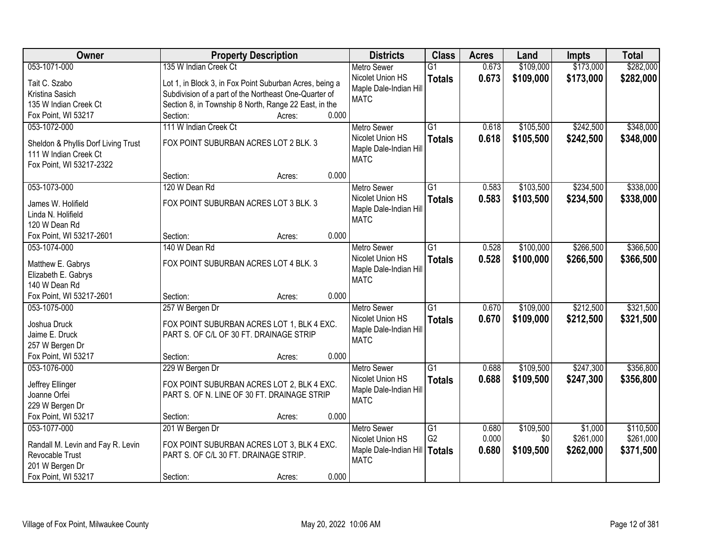| Owner                                     | <b>Property Description</b>                             |       | <b>Districts</b>                      | <b>Class</b>    | <b>Acres</b> | Land      | <b>Impts</b> | <b>Total</b> |
|-------------------------------------------|---------------------------------------------------------|-------|---------------------------------------|-----------------|--------------|-----------|--------------|--------------|
| 053-1071-000                              | 135 W Indian Creek Ct                                   |       | <b>Metro Sewer</b>                    | $\overline{G1}$ | 0.673        | \$109,000 | \$173,000    | \$282,000    |
| Tait C. Szabo                             | Lot 1, in Block 3, in Fox Point Suburban Acres, being a |       | Nicolet Union HS                      | <b>Totals</b>   | 0.673        | \$109,000 | \$173,000    | \$282,000    |
| Kristina Sasich                           | Subdivision of a part of the Northeast One-Quarter of   |       | Maple Dale-Indian Hill                |                 |              |           |              |              |
| 135 W Indian Creek Ct                     | Section 8, in Township 8 North, Range 22 East, in the   |       | <b>MATC</b>                           |                 |              |           |              |              |
| Fox Point, WI 53217                       | Section:<br>Acres:                                      | 0.000 |                                       |                 |              |           |              |              |
| 053-1072-000                              | 111 W Indian Creek Ct                                   |       | <b>Metro Sewer</b>                    | $\overline{G1}$ | 0.618        | \$105,500 | \$242,500    | \$348,000    |
|                                           |                                                         |       | Nicolet Union HS                      | <b>Totals</b>   | 0.618        | \$105,500 | \$242,500    | \$348,000    |
| Sheldon & Phyllis Dorf Living Trust       | FOX POINT SUBURBAN ACRES LOT 2 BLK. 3                   |       | Maple Dale-Indian Hill                |                 |              |           |              |              |
| 111 W Indian Creek Ct                     |                                                         |       | <b>MATC</b>                           |                 |              |           |              |              |
| Fox Point, WI 53217-2322                  |                                                         |       |                                       |                 |              |           |              |              |
|                                           | Section:<br>Acres:                                      | 0.000 |                                       |                 |              |           |              |              |
| 053-1073-000                              | 120 W Dean Rd                                           |       | <b>Metro Sewer</b>                    | G1              | 0.583        | \$103,500 | \$234,500    | \$338,000    |
| James W. Holifield                        | FOX POINT SUBURBAN ACRES LOT 3 BLK. 3                   |       | Nicolet Union HS                      | <b>Totals</b>   | 0.583        | \$103,500 | \$234,500    | \$338,000    |
| Linda N. Holifield                        |                                                         |       | Maple Dale-Indian Hill                |                 |              |           |              |              |
| 120 W Dean Rd                             |                                                         |       | <b>MATC</b>                           |                 |              |           |              |              |
| Fox Point, WI 53217-2601                  | Section:<br>Acres:                                      | 0.000 |                                       |                 |              |           |              |              |
| 053-1074-000                              | 140 W Dean Rd                                           |       | <b>Metro Sewer</b>                    | $\overline{G1}$ | 0.528        | \$100,000 | \$266,500    | \$366,500    |
|                                           |                                                         |       | Nicolet Union HS                      | <b>Totals</b>   | 0.528        | \$100,000 | \$266,500    | \$366,500    |
| Matthew E. Gabrys                         | FOX POINT SUBURBAN ACRES LOT 4 BLK. 3                   |       | Maple Dale-Indian Hill                |                 |              |           |              |              |
| Elizabeth E. Gabrys                       |                                                         |       | <b>MATC</b>                           |                 |              |           |              |              |
| 140 W Dean Rd<br>Fox Point, WI 53217-2601 |                                                         | 0.000 |                                       |                 |              |           |              |              |
|                                           | Section:<br>Acres:                                      |       |                                       | $\overline{G1}$ | 0.670        |           |              |              |
| 053-1075-000                              | 257 W Bergen Dr                                         |       | <b>Metro Sewer</b>                    |                 |              | \$109,000 | \$212,500    | \$321,500    |
| Joshua Druck                              | FOX POINT SUBURBAN ACRES LOT 1, BLK 4 EXC.              |       | Nicolet Union HS                      | <b>Totals</b>   | 0.670        | \$109,000 | \$212,500    | \$321,500    |
| Jaime E. Druck                            | PART S. OF C/L OF 30 FT. DRAINAGE STRIP                 |       | Maple Dale-Indian Hill<br><b>MATC</b> |                 |              |           |              |              |
| 257 W Bergen Dr                           |                                                         |       |                                       |                 |              |           |              |              |
| Fox Point, WI 53217                       | Section:<br>Acres:                                      | 0.000 |                                       |                 |              |           |              |              |
| 053-1076-000                              | 229 W Bergen Dr                                         |       | Metro Sewer                           | $\overline{G1}$ | 0.688        | \$109,500 | \$247,300    | \$356,800    |
| Jeffrey Ellinger                          | FOX POINT SUBURBAN ACRES LOT 2, BLK 4 EXC.              |       | Nicolet Union HS                      | <b>Totals</b>   | 0.688        | \$109,500 | \$247,300    | \$356,800    |
| Joanne Orfei                              | PART S. OF N. LINE OF 30 FT. DRAINAGE STRIP             |       | Maple Dale-Indian Hill                |                 |              |           |              |              |
| 229 W Bergen Dr                           |                                                         |       | <b>MATC</b>                           |                 |              |           |              |              |
| Fox Point, WI 53217                       | Section:<br>Acres:                                      | 0.000 |                                       |                 |              |           |              |              |
| 053-1077-000                              | 201 W Bergen Dr                                         |       | <b>Metro Sewer</b>                    | $\overline{G1}$ | 0.680        | \$109,500 | \$1,000      | \$110,500    |
|                                           |                                                         |       | Nicolet Union HS                      | G <sub>2</sub>  | 0.000        | \$0       | \$261,000    | \$261,000    |
| Randall M. Levin and Fay R. Levin         | FOX POINT SUBURBAN ACRES LOT 3, BLK 4 EXC.              |       | Maple Dale-Indian Hill                | <b>Totals</b>   | 0.680        | \$109,500 | \$262,000    | \$371,500    |
| Revocable Trust                           | PART S. OF C/L 30 FT. DRAINAGE STRIP.                   |       | <b>MATC</b>                           |                 |              |           |              |              |
| 201 W Bergen Dr                           |                                                         |       |                                       |                 |              |           |              |              |
| Fox Point, WI 53217                       | Section:<br>Acres:                                      | 0.000 |                                       |                 |              |           |              |              |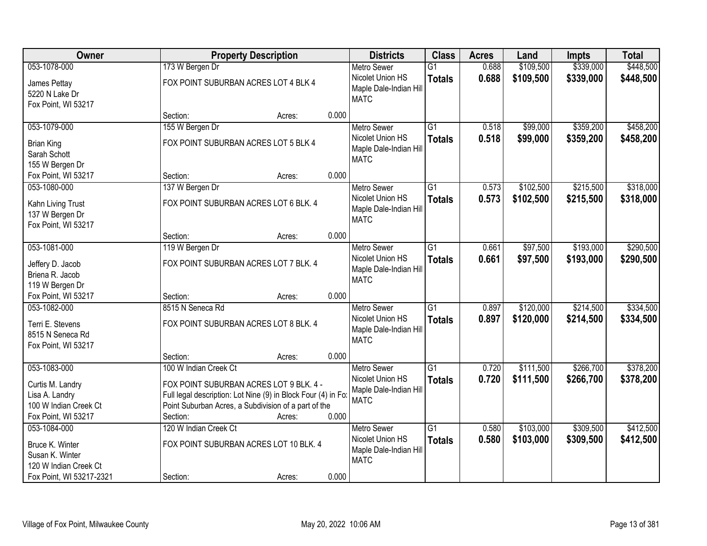| Owner                                                                              |                       | <b>Property Description</b>                                                                                                                                                |       | <b>Districts</b>                                                                | <b>Class</b>                     | <b>Acres</b>   | Land                   | <b>Impts</b>           | <b>Total</b>           |
|------------------------------------------------------------------------------------|-----------------------|----------------------------------------------------------------------------------------------------------------------------------------------------------------------------|-------|---------------------------------------------------------------------------------|----------------------------------|----------------|------------------------|------------------------|------------------------|
| 053-1078-000                                                                       | 173 W Bergen Dr       |                                                                                                                                                                            |       | <b>Metro Sewer</b>                                                              | $\overline{G1}$                  | 0.688          | \$109,500              | \$339,000              | \$448,500              |
| James Pettay<br>5220 N Lake Dr<br>Fox Point, WI 53217                              |                       | FOX POINT SUBURBAN ACRES LOT 4 BLK 4                                                                                                                                       |       | Nicolet Union HS<br>Maple Dale-Indian Hill<br><b>MATC</b>                       | <b>Totals</b>                    | 0.688          | \$109,500              | \$339,000              | \$448,500              |
|                                                                                    | Section:              | Acres:                                                                                                                                                                     | 0.000 |                                                                                 |                                  |                |                        |                        |                        |
| 053-1079-000                                                                       | 155 W Bergen Dr       |                                                                                                                                                                            |       | <b>Metro Sewer</b>                                                              | $\overline{G1}$                  | 0.518          | \$99,000               | \$359,200              | \$458,200              |
| <b>Brian King</b><br>Sarah Schott<br>155 W Bergen Dr                               |                       | FOX POINT SUBURBAN ACRES LOT 5 BLK 4                                                                                                                                       |       | Nicolet Union HS<br>Maple Dale-Indian Hill<br><b>MATC</b>                       | <b>Totals</b>                    | 0.518          | \$99,000               | \$359,200              | \$458,200              |
| Fox Point, WI 53217                                                                | Section:              | Acres:                                                                                                                                                                     | 0.000 |                                                                                 |                                  |                |                        |                        |                        |
| 053-1080-000                                                                       | 137 W Bergen Dr       |                                                                                                                                                                            |       | <b>Metro Sewer</b>                                                              | G1                               | 0.573          | \$102,500              | \$215,500              | \$318,000              |
| Kahn Living Trust<br>137 W Bergen Dr<br>Fox Point, WI 53217                        |                       | FOX POINT SUBURBAN ACRES LOT 6 BLK. 4                                                                                                                                      |       | Nicolet Union HS<br>Maple Dale-Indian Hill<br><b>MATC</b>                       | <b>Totals</b>                    | 0.573          | \$102,500              | \$215,500              | \$318,000              |
|                                                                                    | Section:              | Acres:                                                                                                                                                                     | 0.000 |                                                                                 |                                  |                |                        |                        |                        |
| 053-1081-000                                                                       | 119 W Bergen Dr       |                                                                                                                                                                            |       | <b>Metro Sewer</b>                                                              | G1                               | 0.661          | \$97,500               | \$193,000              | \$290,500              |
| Jeffery D. Jacob<br>Briena R. Jacob<br>119 W Bergen Dr                             |                       | FOX POINT SUBURBAN ACRES LOT 7 BLK. 4                                                                                                                                      |       | Nicolet Union HS<br>Maple Dale-Indian Hill<br><b>MATC</b>                       | <b>Totals</b>                    | 0.661          | \$97,500               | \$193,000              | \$290,500              |
| Fox Point, WI 53217                                                                | Section:              | Acres:                                                                                                                                                                     | 0.000 |                                                                                 |                                  |                |                        |                        |                        |
| 053-1082-000<br>Terri E. Stevens<br>8515 N Seneca Rd<br>Fox Point, WI 53217        | 8515 N Seneca Rd      | FOX POINT SUBURBAN ACRES LOT 8 BLK. 4                                                                                                                                      |       | <b>Metro Sewer</b><br>Nicolet Union HS<br>Maple Dale-Indian Hill<br><b>MATC</b> | $\overline{G1}$<br><b>Totals</b> | 0.897<br>0.897 | \$120,000<br>\$120,000 | \$214,500<br>\$214,500 | \$334,500<br>\$334,500 |
|                                                                                    | Section:              | Acres:                                                                                                                                                                     | 0.000 |                                                                                 |                                  |                |                        |                        |                        |
| 053-1083-000                                                                       | 100 W Indian Creek Ct |                                                                                                                                                                            |       | <b>Metro Sewer</b>                                                              | $\overline{G1}$                  | 0.720          | \$111,500              | \$266,700              | \$378,200              |
| Curtis M. Landry<br>Lisa A. Landry<br>100 W Indian Creek Ct<br>Fox Point, WI 53217 | Section:              | FOX POINT SUBURBAN ACRES LOT 9 BLK. 4 -<br>Full legal description: Lot Nine (9) in Block Four (4) in Fo:<br>Point Suburban Acres, a Subdivision of a part of the<br>Acres: | 0.000 | Nicolet Union HS<br>Maple Dale-Indian Hill<br><b>MATC</b>                       | <b>Totals</b>                    | 0.720          | \$111,500              | \$266,700              | \$378,200              |
| 053-1084-000                                                                       | 120 W Indian Creek Ct |                                                                                                                                                                            |       | <b>Metro Sewer</b>                                                              | $\overline{G1}$                  | 0.580          | \$103,000              | \$309,500              | \$412,500              |
| Bruce K. Winter<br>Susan K. Winter<br>120 W Indian Creek Ct                        |                       | FOX POINT SUBURBAN ACRES LOT 10 BLK. 4                                                                                                                                     |       | Nicolet Union HS<br>Maple Dale-Indian Hill<br><b>MATC</b>                       | <b>Totals</b>                    | 0.580          | \$103,000              | \$309,500              | \$412,500              |
| Fox Point, WI 53217-2321                                                           | Section:              | Acres:                                                                                                                                                                     | 0.000 |                                                                                 |                                  |                |                        |                        |                        |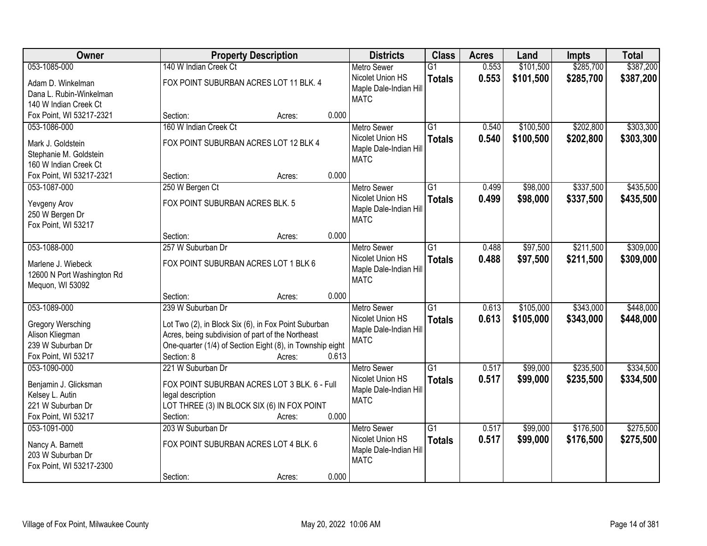| \$285,700<br>\$387,200<br>053-1085-000<br>140 W Indian Creek Ct<br>$\overline{G1}$<br>0.553<br>\$101,500<br><b>Metro Sewer</b><br>0.553<br>Nicolet Union HS<br>\$101,500<br>\$285,700<br>\$387,200<br><b>Totals</b><br>FOX POINT SUBURBAN ACRES LOT 11 BLK. 4<br>Adam D. Winkelman<br>Maple Dale-Indian Hill<br>Dana L. Rubin-Winkelman<br><b>MATC</b><br>140 W Indian Creek Ct<br>0.000<br>Fox Point, WI 53217-2321<br>Section:<br>Acres:<br>160 W Indian Creek Ct<br>\$100,500<br>\$202,800<br>053-1086-000<br>$\overline{G1}$<br>0.540<br><b>Metro Sewer</b><br>Nicolet Union HS<br>0.540<br>\$100,500<br>\$202,800<br><b>Totals</b><br>FOX POINT SUBURBAN ACRES LOT 12 BLK 4<br>Mark J. Goldstein<br>Maple Dale-Indian Hill<br>Stephanie M. Goldstein<br><b>MATC</b><br>160 W Indian Creek Ct<br>0.000<br>Fox Point, WI 53217-2321<br>Section:<br>Acres:<br>$\overline{G1}$<br>\$98,000<br>\$337,500<br>053-1087-000<br>250 W Bergen Ct<br><b>Metro Sewer</b><br>0.499<br>Nicolet Union HS<br>0.499<br>\$98,000<br>\$337,500<br><b>Totals</b><br>FOX POINT SUBURBAN ACRES BLK. 5<br>Yevgeny Arov<br>Maple Dale-Indian Hill<br>250 W Bergen Dr<br><b>MATC</b><br>Fox Point, WI 53217<br>0.000<br>Section:<br>Acres:<br>053-1088-000<br>\$97,500<br>\$211,500<br>257 W Suburban Dr<br><b>Metro Sewer</b><br>G1<br>0.488<br>Nicolet Union HS<br>0.488<br>\$97,500<br>\$211,500<br><b>Totals</b><br>FOX POINT SUBURBAN ACRES LOT 1 BLK 6<br>Marlene J. Wiebeck<br>Maple Dale-Indian Hill<br>12600 N Port Washington Rd<br><b>MATC</b><br>Mequon, WI 53092<br>0.000<br>Section:<br>Acres:<br>$\overline{G1}$<br>\$343,000<br>053-1089-000<br>239 W Suburban Dr<br>0.613<br>\$105,000<br><b>Metro Sewer</b><br>Nicolet Union HS<br>0.613<br>\$105,000<br>\$343,000<br><b>Totals</b><br>Gregory Wersching<br>Lot Two (2), in Block Six (6), in Fox Point Suburban<br>Maple Dale-Indian Hill<br>Alison Kliegman<br>Acres, being subdivision of part of the Northeast<br><b>MATC</b><br>239 W Suburban Dr<br>One-quarter (1/4) of Section Eight (8), in Township eight<br>0.613<br>Fox Point, WI 53217<br>Section: 8<br>Acres:<br>\$235,500<br>053-1090-000<br>221 W Suburban Dr<br>$\overline{G1}$<br>0.517<br>\$99,000<br><b>Metro Sewer</b><br>0.517<br>Nicolet Union HS<br>\$99,000<br>\$235,500<br><b>Totals</b><br>FOX POINT SUBURBAN ACRES LOT 3 BLK. 6 - Full<br>Benjamin J. Glicksman<br>Maple Dale-Indian Hill<br>Kelsey L. Autin<br>legal description<br><b>MATC</b><br>LOT THREE (3) IN BLOCK SIX (6) IN FOX POINT<br>221 W Suburban Dr<br>0.000<br>Fox Point, WI 53217<br>Section:<br>Acres:<br>$\overline{G1}$<br>\$99,000<br>\$176,500<br>053-1091-000<br>203 W Suburban Dr<br>0.517<br><b>Metro Sewer</b><br>0.517<br>Nicolet Union HS<br>\$99,000<br>\$176,500<br><b>Totals</b><br>FOX POINT SUBURBAN ACRES LOT 4 BLK. 6<br>Nancy A. Barnett<br>Maple Dale-Indian Hill<br>203 W Suburban Dr | Owner                    | <b>Property Description</b> | <b>Districts</b> | <b>Class</b> | <b>Acres</b> | Land | <b>Impts</b> | <b>Total</b> |
|---------------------------------------------------------------------------------------------------------------------------------------------------------------------------------------------------------------------------------------------------------------------------------------------------------------------------------------------------------------------------------------------------------------------------------------------------------------------------------------------------------------------------------------------------------------------------------------------------------------------------------------------------------------------------------------------------------------------------------------------------------------------------------------------------------------------------------------------------------------------------------------------------------------------------------------------------------------------------------------------------------------------------------------------------------------------------------------------------------------------------------------------------------------------------------------------------------------------------------------------------------------------------------------------------------------------------------------------------------------------------------------------------------------------------------------------------------------------------------------------------------------------------------------------------------------------------------------------------------------------------------------------------------------------------------------------------------------------------------------------------------------------------------------------------------------------------------------------------------------------------------------------------------------------------------------------------------------------------------------------------------------------------------------------------------------------------------------------------------------------------------------------------------------------------------------------------------------------------------------------------------------------------------------------------------------------------------------------------------------------------------------------------------------------------------------------------------------------------------------------------------------------------------------------------------------------------------------------------------------------------------------------------------------------------------------------------------------------------------------------------------------------------------------------------------------------------------------------------------------------------------------------------------|--------------------------|-----------------------------|------------------|--------------|--------------|------|--------------|--------------|
|                                                                                                                                                                                                                                                                                                                                                                                                                                                                                                                                                                                                                                                                                                                                                                                                                                                                                                                                                                                                                                                                                                                                                                                                                                                                                                                                                                                                                                                                                                                                                                                                                                                                                                                                                                                                                                                                                                                                                                                                                                                                                                                                                                                                                                                                                                                                                                                                                                                                                                                                                                                                                                                                                                                                                                                                                                                                                                         |                          |                             |                  |              |              |      |              |              |
|                                                                                                                                                                                                                                                                                                                                                                                                                                                                                                                                                                                                                                                                                                                                                                                                                                                                                                                                                                                                                                                                                                                                                                                                                                                                                                                                                                                                                                                                                                                                                                                                                                                                                                                                                                                                                                                                                                                                                                                                                                                                                                                                                                                                                                                                                                                                                                                                                                                                                                                                                                                                                                                                                                                                                                                                                                                                                                         |                          |                             |                  |              |              |      |              |              |
|                                                                                                                                                                                                                                                                                                                                                                                                                                                                                                                                                                                                                                                                                                                                                                                                                                                                                                                                                                                                                                                                                                                                                                                                                                                                                                                                                                                                                                                                                                                                                                                                                                                                                                                                                                                                                                                                                                                                                                                                                                                                                                                                                                                                                                                                                                                                                                                                                                                                                                                                                                                                                                                                                                                                                                                                                                                                                                         |                          |                             |                  |              |              |      |              |              |
|                                                                                                                                                                                                                                                                                                                                                                                                                                                                                                                                                                                                                                                                                                                                                                                                                                                                                                                                                                                                                                                                                                                                                                                                                                                                                                                                                                                                                                                                                                                                                                                                                                                                                                                                                                                                                                                                                                                                                                                                                                                                                                                                                                                                                                                                                                                                                                                                                                                                                                                                                                                                                                                                                                                                                                                                                                                                                                         |                          |                             |                  |              |              |      |              |              |
|                                                                                                                                                                                                                                                                                                                                                                                                                                                                                                                                                                                                                                                                                                                                                                                                                                                                                                                                                                                                                                                                                                                                                                                                                                                                                                                                                                                                                                                                                                                                                                                                                                                                                                                                                                                                                                                                                                                                                                                                                                                                                                                                                                                                                                                                                                                                                                                                                                                                                                                                                                                                                                                                                                                                                                                                                                                                                                         |                          |                             |                  |              |              |      |              |              |
| \$303,300<br>\$435,500<br>\$435,500<br>\$309,000<br>\$309,000<br>\$448,000<br>\$448,000<br>\$334,500<br>\$275,500<br>\$275,500                                                                                                                                                                                                                                                                                                                                                                                                                                                                                                                                                                                                                                                                                                                                                                                                                                                                                                                                                                                                                                                                                                                                                                                                                                                                                                                                                                                                                                                                                                                                                                                                                                                                                                                                                                                                                                                                                                                                                                                                                                                                                                                                                                                                                                                                                                                                                                                                                                                                                                                                                                                                                                                                                                                                                                          |                          |                             |                  |              |              |      |              | \$303,300    |
|                                                                                                                                                                                                                                                                                                                                                                                                                                                                                                                                                                                                                                                                                                                                                                                                                                                                                                                                                                                                                                                                                                                                                                                                                                                                                                                                                                                                                                                                                                                                                                                                                                                                                                                                                                                                                                                                                                                                                                                                                                                                                                                                                                                                                                                                                                                                                                                                                                                                                                                                                                                                                                                                                                                                                                                                                                                                                                         |                          |                             |                  |              |              |      |              |              |
|                                                                                                                                                                                                                                                                                                                                                                                                                                                                                                                                                                                                                                                                                                                                                                                                                                                                                                                                                                                                                                                                                                                                                                                                                                                                                                                                                                                                                                                                                                                                                                                                                                                                                                                                                                                                                                                                                                                                                                                                                                                                                                                                                                                                                                                                                                                                                                                                                                                                                                                                                                                                                                                                                                                                                                                                                                                                                                         |                          |                             |                  |              |              |      |              |              |
|                                                                                                                                                                                                                                                                                                                                                                                                                                                                                                                                                                                                                                                                                                                                                                                                                                                                                                                                                                                                                                                                                                                                                                                                                                                                                                                                                                                                                                                                                                                                                                                                                                                                                                                                                                                                                                                                                                                                                                                                                                                                                                                                                                                                                                                                                                                                                                                                                                                                                                                                                                                                                                                                                                                                                                                                                                                                                                         |                          |                             |                  |              |              |      |              |              |
|                                                                                                                                                                                                                                                                                                                                                                                                                                                                                                                                                                                                                                                                                                                                                                                                                                                                                                                                                                                                                                                                                                                                                                                                                                                                                                                                                                                                                                                                                                                                                                                                                                                                                                                                                                                                                                                                                                                                                                                                                                                                                                                                                                                                                                                                                                                                                                                                                                                                                                                                                                                                                                                                                                                                                                                                                                                                                                         |                          |                             |                  |              |              |      |              |              |
|                                                                                                                                                                                                                                                                                                                                                                                                                                                                                                                                                                                                                                                                                                                                                                                                                                                                                                                                                                                                                                                                                                                                                                                                                                                                                                                                                                                                                                                                                                                                                                                                                                                                                                                                                                                                                                                                                                                                                                                                                                                                                                                                                                                                                                                                                                                                                                                                                                                                                                                                                                                                                                                                                                                                                                                                                                                                                                         |                          |                             |                  |              |              |      |              |              |
|                                                                                                                                                                                                                                                                                                                                                                                                                                                                                                                                                                                                                                                                                                                                                                                                                                                                                                                                                                                                                                                                                                                                                                                                                                                                                                                                                                                                                                                                                                                                                                                                                                                                                                                                                                                                                                                                                                                                                                                                                                                                                                                                                                                                                                                                                                                                                                                                                                                                                                                                                                                                                                                                                                                                                                                                                                                                                                         |                          |                             |                  |              |              |      |              |              |
|                                                                                                                                                                                                                                                                                                                                                                                                                                                                                                                                                                                                                                                                                                                                                                                                                                                                                                                                                                                                                                                                                                                                                                                                                                                                                                                                                                                                                                                                                                                                                                                                                                                                                                                                                                                                                                                                                                                                                                                                                                                                                                                                                                                                                                                                                                                                                                                                                                                                                                                                                                                                                                                                                                                                                                                                                                                                                                         |                          |                             |                  |              |              |      |              |              |
|                                                                                                                                                                                                                                                                                                                                                                                                                                                                                                                                                                                                                                                                                                                                                                                                                                                                                                                                                                                                                                                                                                                                                                                                                                                                                                                                                                                                                                                                                                                                                                                                                                                                                                                                                                                                                                                                                                                                                                                                                                                                                                                                                                                                                                                                                                                                                                                                                                                                                                                                                                                                                                                                                                                                                                                                                                                                                                         |                          |                             |                  |              |              |      |              |              |
| \$334,500                                                                                                                                                                                                                                                                                                                                                                                                                                                                                                                                                                                                                                                                                                                                                                                                                                                                                                                                                                                                                                                                                                                                                                                                                                                                                                                                                                                                                                                                                                                                                                                                                                                                                                                                                                                                                                                                                                                                                                                                                                                                                                                                                                                                                                                                                                                                                                                                                                                                                                                                                                                                                                                                                                                                                                                                                                                                                               |                          |                             |                  |              |              |      |              |              |
|                                                                                                                                                                                                                                                                                                                                                                                                                                                                                                                                                                                                                                                                                                                                                                                                                                                                                                                                                                                                                                                                                                                                                                                                                                                                                                                                                                                                                                                                                                                                                                                                                                                                                                                                                                                                                                                                                                                                                                                                                                                                                                                                                                                                                                                                                                                                                                                                                                                                                                                                                                                                                                                                                                                                                                                                                                                                                                         |                          |                             |                  |              |              |      |              |              |
|                                                                                                                                                                                                                                                                                                                                                                                                                                                                                                                                                                                                                                                                                                                                                                                                                                                                                                                                                                                                                                                                                                                                                                                                                                                                                                                                                                                                                                                                                                                                                                                                                                                                                                                                                                                                                                                                                                                                                                                                                                                                                                                                                                                                                                                                                                                                                                                                                                                                                                                                                                                                                                                                                                                                                                                                                                                                                                         |                          |                             |                  |              |              |      |              |              |
|                                                                                                                                                                                                                                                                                                                                                                                                                                                                                                                                                                                                                                                                                                                                                                                                                                                                                                                                                                                                                                                                                                                                                                                                                                                                                                                                                                                                                                                                                                                                                                                                                                                                                                                                                                                                                                                                                                                                                                                                                                                                                                                                                                                                                                                                                                                                                                                                                                                                                                                                                                                                                                                                                                                                                                                                                                                                                                         |                          |                             |                  |              |              |      |              |              |
|                                                                                                                                                                                                                                                                                                                                                                                                                                                                                                                                                                                                                                                                                                                                                                                                                                                                                                                                                                                                                                                                                                                                                                                                                                                                                                                                                                                                                                                                                                                                                                                                                                                                                                                                                                                                                                                                                                                                                                                                                                                                                                                                                                                                                                                                                                                                                                                                                                                                                                                                                                                                                                                                                                                                                                                                                                                                                                         |                          |                             |                  |              |              |      |              |              |
|                                                                                                                                                                                                                                                                                                                                                                                                                                                                                                                                                                                                                                                                                                                                                                                                                                                                                                                                                                                                                                                                                                                                                                                                                                                                                                                                                                                                                                                                                                                                                                                                                                                                                                                                                                                                                                                                                                                                                                                                                                                                                                                                                                                                                                                                                                                                                                                                                                                                                                                                                                                                                                                                                                                                                                                                                                                                                                         |                          |                             |                  |              |              |      |              |              |
|                                                                                                                                                                                                                                                                                                                                                                                                                                                                                                                                                                                                                                                                                                                                                                                                                                                                                                                                                                                                                                                                                                                                                                                                                                                                                                                                                                                                                                                                                                                                                                                                                                                                                                                                                                                                                                                                                                                                                                                                                                                                                                                                                                                                                                                                                                                                                                                                                                                                                                                                                                                                                                                                                                                                                                                                                                                                                                         |                          |                             |                  |              |              |      |              |              |
|                                                                                                                                                                                                                                                                                                                                                                                                                                                                                                                                                                                                                                                                                                                                                                                                                                                                                                                                                                                                                                                                                                                                                                                                                                                                                                                                                                                                                                                                                                                                                                                                                                                                                                                                                                                                                                                                                                                                                                                                                                                                                                                                                                                                                                                                                                                                                                                                                                                                                                                                                                                                                                                                                                                                                                                                                                                                                                         |                          |                             |                  |              |              |      |              |              |
|                                                                                                                                                                                                                                                                                                                                                                                                                                                                                                                                                                                                                                                                                                                                                                                                                                                                                                                                                                                                                                                                                                                                                                                                                                                                                                                                                                                                                                                                                                                                                                                                                                                                                                                                                                                                                                                                                                                                                                                                                                                                                                                                                                                                                                                                                                                                                                                                                                                                                                                                                                                                                                                                                                                                                                                                                                                                                                         |                          |                             |                  |              |              |      |              |              |
|                                                                                                                                                                                                                                                                                                                                                                                                                                                                                                                                                                                                                                                                                                                                                                                                                                                                                                                                                                                                                                                                                                                                                                                                                                                                                                                                                                                                                                                                                                                                                                                                                                                                                                                                                                                                                                                                                                                                                                                                                                                                                                                                                                                                                                                                                                                                                                                                                                                                                                                                                                                                                                                                                                                                                                                                                                                                                                         |                          |                             |                  |              |              |      |              |              |
|                                                                                                                                                                                                                                                                                                                                                                                                                                                                                                                                                                                                                                                                                                                                                                                                                                                                                                                                                                                                                                                                                                                                                                                                                                                                                                                                                                                                                                                                                                                                                                                                                                                                                                                                                                                                                                                                                                                                                                                                                                                                                                                                                                                                                                                                                                                                                                                                                                                                                                                                                                                                                                                                                                                                                                                                                                                                                                         |                          |                             |                  |              |              |      |              |              |
|                                                                                                                                                                                                                                                                                                                                                                                                                                                                                                                                                                                                                                                                                                                                                                                                                                                                                                                                                                                                                                                                                                                                                                                                                                                                                                                                                                                                                                                                                                                                                                                                                                                                                                                                                                                                                                                                                                                                                                                                                                                                                                                                                                                                                                                                                                                                                                                                                                                                                                                                                                                                                                                                                                                                                                                                                                                                                                         |                          |                             |                  |              |              |      |              |              |
|                                                                                                                                                                                                                                                                                                                                                                                                                                                                                                                                                                                                                                                                                                                                                                                                                                                                                                                                                                                                                                                                                                                                                                                                                                                                                                                                                                                                                                                                                                                                                                                                                                                                                                                                                                                                                                                                                                                                                                                                                                                                                                                                                                                                                                                                                                                                                                                                                                                                                                                                                                                                                                                                                                                                                                                                                                                                                                         |                          |                             |                  |              |              |      |              |              |
|                                                                                                                                                                                                                                                                                                                                                                                                                                                                                                                                                                                                                                                                                                                                                                                                                                                                                                                                                                                                                                                                                                                                                                                                                                                                                                                                                                                                                                                                                                                                                                                                                                                                                                                                                                                                                                                                                                                                                                                                                                                                                                                                                                                                                                                                                                                                                                                                                                                                                                                                                                                                                                                                                                                                                                                                                                                                                                         |                          |                             |                  |              |              |      |              |              |
|                                                                                                                                                                                                                                                                                                                                                                                                                                                                                                                                                                                                                                                                                                                                                                                                                                                                                                                                                                                                                                                                                                                                                                                                                                                                                                                                                                                                                                                                                                                                                                                                                                                                                                                                                                                                                                                                                                                                                                                                                                                                                                                                                                                                                                                                                                                                                                                                                                                                                                                                                                                                                                                                                                                                                                                                                                                                                                         |                          |                             |                  |              |              |      |              |              |
|                                                                                                                                                                                                                                                                                                                                                                                                                                                                                                                                                                                                                                                                                                                                                                                                                                                                                                                                                                                                                                                                                                                                                                                                                                                                                                                                                                                                                                                                                                                                                                                                                                                                                                                                                                                                                                                                                                                                                                                                                                                                                                                                                                                                                                                                                                                                                                                                                                                                                                                                                                                                                                                                                                                                                                                                                                                                                                         |                          |                             |                  |              |              |      |              |              |
|                                                                                                                                                                                                                                                                                                                                                                                                                                                                                                                                                                                                                                                                                                                                                                                                                                                                                                                                                                                                                                                                                                                                                                                                                                                                                                                                                                                                                                                                                                                                                                                                                                                                                                                                                                                                                                                                                                                                                                                                                                                                                                                                                                                                                                                                                                                                                                                                                                                                                                                                                                                                                                                                                                                                                                                                                                                                                                         |                          |                             |                  |              |              |      |              |              |
|                                                                                                                                                                                                                                                                                                                                                                                                                                                                                                                                                                                                                                                                                                                                                                                                                                                                                                                                                                                                                                                                                                                                                                                                                                                                                                                                                                                                                                                                                                                                                                                                                                                                                                                                                                                                                                                                                                                                                                                                                                                                                                                                                                                                                                                                                                                                                                                                                                                                                                                                                                                                                                                                                                                                                                                                                                                                                                         |                          |                             |                  |              |              |      |              |              |
|                                                                                                                                                                                                                                                                                                                                                                                                                                                                                                                                                                                                                                                                                                                                                                                                                                                                                                                                                                                                                                                                                                                                                                                                                                                                                                                                                                                                                                                                                                                                                                                                                                                                                                                                                                                                                                                                                                                                                                                                                                                                                                                                                                                                                                                                                                                                                                                                                                                                                                                                                                                                                                                                                                                                                                                                                                                                                                         |                          |                             |                  |              |              |      |              |              |
|                                                                                                                                                                                                                                                                                                                                                                                                                                                                                                                                                                                                                                                                                                                                                                                                                                                                                                                                                                                                                                                                                                                                                                                                                                                                                                                                                                                                                                                                                                                                                                                                                                                                                                                                                                                                                                                                                                                                                                                                                                                                                                                                                                                                                                                                                                                                                                                                                                                                                                                                                                                                                                                                                                                                                                                                                                                                                                         | Fox Point, WI 53217-2300 |                             | <b>MATC</b>      |              |              |      |              |              |
| 0.000<br>Section:<br>Acres:                                                                                                                                                                                                                                                                                                                                                                                                                                                                                                                                                                                                                                                                                                                                                                                                                                                                                                                                                                                                                                                                                                                                                                                                                                                                                                                                                                                                                                                                                                                                                                                                                                                                                                                                                                                                                                                                                                                                                                                                                                                                                                                                                                                                                                                                                                                                                                                                                                                                                                                                                                                                                                                                                                                                                                                                                                                                             |                          |                             |                  |              |              |      |              |              |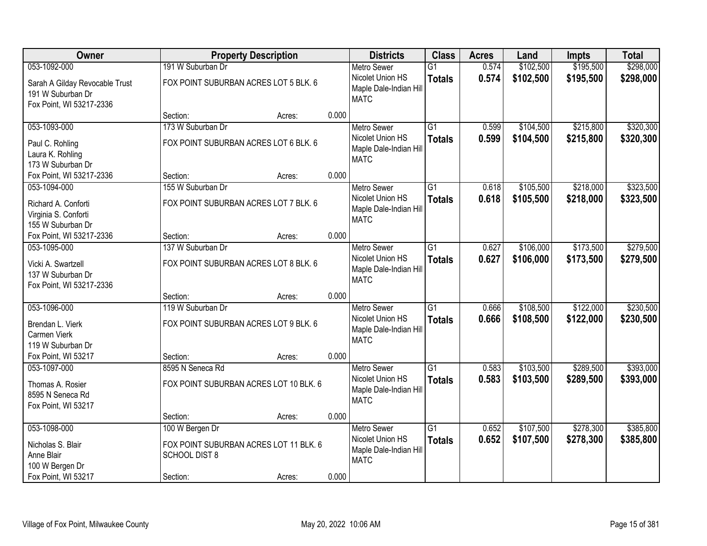| Owner                                                                           |                                                                                   | <b>Property Description</b> |       | <b>Districts</b>                                                                | <b>Class</b>                     | <b>Acres</b>   | Land                   | <b>Impts</b>           | <b>Total</b>           |
|---------------------------------------------------------------------------------|-----------------------------------------------------------------------------------|-----------------------------|-------|---------------------------------------------------------------------------------|----------------------------------|----------------|------------------------|------------------------|------------------------|
| 053-1092-000                                                                    | 191 W Suburban Dr                                                                 |                             |       | <b>Metro Sewer</b>                                                              | $\overline{G1}$                  | 0.574          | \$102,500              | \$195,500              | \$298,000              |
| Sarah A Gilday Revocable Trust<br>191 W Suburban Dr<br>Fox Point, WI 53217-2336 | FOX POINT SUBURBAN ACRES LOT 5 BLK. 6                                             |                             |       | Nicolet Union HS<br>Maple Dale-Indian Hill<br><b>MATC</b>                       | <b>Totals</b>                    | 0.574          | \$102,500              | \$195,500              | \$298,000              |
|                                                                                 | Section:                                                                          | Acres:                      | 0.000 |                                                                                 |                                  |                |                        |                        |                        |
| 053-1093-000                                                                    | 173 W Suburban Dr                                                                 |                             |       | <b>Metro Sewer</b>                                                              | $\overline{G1}$                  | 0.599          | \$104,500              | \$215,800              | \$320,300              |
| Paul C. Rohling<br>Laura K. Rohling<br>173 W Suburban Dr                        | FOX POINT SUBURBAN ACRES LOT 6 BLK. 6                                             |                             |       | Nicolet Union HS<br>Maple Dale-Indian Hill<br><b>MATC</b>                       | <b>Totals</b>                    | 0.599          | \$104,500              | \$215,800              | \$320,300              |
| Fox Point, WI 53217-2336                                                        | Section:                                                                          | Acres:                      | 0.000 |                                                                                 |                                  |                |                        |                        |                        |
| 053-1094-000                                                                    | 155 W Suburban Dr                                                                 |                             |       | <b>Metro Sewer</b>                                                              | $\overline{G1}$                  | 0.618          | \$105,500              | \$218,000              | \$323,500              |
| Richard A. Conforti<br>Virginia S. Conforti<br>155 W Suburban Dr                | FOX POINT SUBURBAN ACRES LOT 7 BLK. 6                                             |                             |       | Nicolet Union HS<br>Maple Dale-Indian Hill<br><b>MATC</b>                       | <b>Totals</b>                    | 0.618          | \$105,500              | \$218,000              | \$323,500              |
| Fox Point, WI 53217-2336                                                        | Section:                                                                          | Acres:                      | 0.000 |                                                                                 |                                  |                |                        |                        |                        |
| 053-1095-000                                                                    | 137 W Suburban Dr                                                                 |                             |       | <b>Metro Sewer</b>                                                              | $\overline{G1}$                  | 0.627          | \$106,000              | \$173,500              | \$279,500              |
| Vicki A. Swartzell<br>137 W Suburban Dr<br>Fox Point, WI 53217-2336             | FOX POINT SUBURBAN ACRES LOT 8 BLK. 6                                             |                             |       | Nicolet Union HS<br>Maple Dale-Indian Hill<br><b>MATC</b>                       | <b>Totals</b>                    | 0.627          | \$106,000              | \$173,500              | \$279,500              |
|                                                                                 | Section:                                                                          | Acres:                      | 0.000 |                                                                                 |                                  |                |                        |                        |                        |
| 053-1096-000<br>Brendan L. Vierk<br>Carmen Vierk<br>119 W Suburban Dr           | 119 W Suburban Dr<br>FOX POINT SUBURBAN ACRES LOT 9 BLK. 6                        |                             |       | <b>Metro Sewer</b><br>Nicolet Union HS<br>Maple Dale-Indian Hill<br><b>MATC</b> | $\overline{G1}$<br><b>Totals</b> | 0.666<br>0.666 | \$108,500<br>\$108,500 | \$122,000<br>\$122,000 | \$230,500<br>\$230,500 |
| Fox Point, WI 53217                                                             | Section:                                                                          | Acres:                      | 0.000 |                                                                                 |                                  |                |                        |                        |                        |
| 053-1097-000                                                                    | 8595 N Seneca Rd                                                                  |                             |       | Metro Sewer                                                                     | $\overline{G1}$                  | 0.583          | \$103,500              | \$289,500              | \$393,000              |
| Thomas A. Rosier<br>8595 N Seneca Rd<br>Fox Point, WI 53217                     | FOX POINT SUBURBAN ACRES LOT 10 BLK. 6                                            |                             |       | Nicolet Union HS<br>Maple Dale-Indian Hill<br><b>MATC</b>                       | <b>Totals</b>                    | 0.583          | \$103,500              | \$289,500              | \$393,000              |
|                                                                                 | Section:                                                                          | Acres:                      | 0.000 |                                                                                 |                                  |                |                        |                        |                        |
| 053-1098-000<br>Nicholas S. Blair<br>Anne Blair<br>100 W Bergen Dr              | 100 W Bergen Dr<br>FOX POINT SUBURBAN ACRES LOT 11 BLK. 6<br><b>SCHOOL DIST 8</b> |                             | 0.000 | <b>Metro Sewer</b><br>Nicolet Union HS<br>Maple Dale-Indian Hill<br><b>MATC</b> | $\overline{G1}$<br><b>Totals</b> | 0.652<br>0.652 | \$107,500<br>\$107,500 | \$278,300<br>\$278,300 | \$385,800<br>\$385,800 |
| Fox Point, WI 53217                                                             | Section:                                                                          | Acres:                      |       |                                                                                 |                                  |                |                        |                        |                        |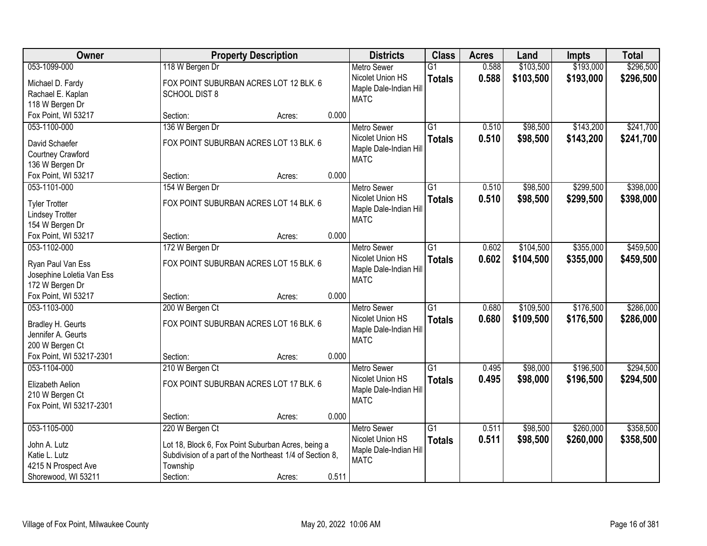| Owner                     |                      | <b>Property Description</b>                              |       | <b>Districts</b>       | <b>Class</b>    | <b>Acres</b> | Land      | <b>Impts</b> | <b>Total</b> |
|---------------------------|----------------------|----------------------------------------------------------|-------|------------------------|-----------------|--------------|-----------|--------------|--------------|
| 053-1099-000              | 118 W Bergen Dr      |                                                          |       | <b>Metro Sewer</b>     | $\overline{G1}$ | 0.588        | \$103,500 | \$193,000    | \$296,500    |
| Michael D. Fardy          |                      | FOX POINT SUBURBAN ACRES LOT 12 BLK. 6                   |       | Nicolet Union HS       | <b>Totals</b>   | 0.588        | \$103,500 | \$193,000    | \$296,500    |
| Rachael E. Kaplan         | <b>SCHOOL DIST 8</b> |                                                          |       | Maple Dale-Indian Hill |                 |              |           |              |              |
| 118 W Bergen Dr           |                      |                                                          |       | <b>MATC</b>            |                 |              |           |              |              |
| Fox Point, WI 53217       | Section:             | Acres:                                                   | 0.000 |                        |                 |              |           |              |              |
| 053-1100-000              | 136 W Bergen Dr      |                                                          |       | <b>Metro Sewer</b>     | $\overline{G1}$ | 0.510        | \$98,500  | \$143,200    | \$241,700    |
| David Schaefer            |                      | FOX POINT SUBURBAN ACRES LOT 13 BLK. 6                   |       | Nicolet Union HS       | <b>Totals</b>   | 0.510        | \$98,500  | \$143,200    | \$241,700    |
| Courtney Crawford         |                      |                                                          |       | Maple Dale-Indian Hill |                 |              |           |              |              |
| 136 W Bergen Dr           |                      |                                                          |       | <b>MATC</b>            |                 |              |           |              |              |
| Fox Point, WI 53217       | Section:             | Acres:                                                   | 0.000 |                        |                 |              |           |              |              |
| 053-1101-000              | 154 W Bergen Dr      |                                                          |       | <b>Metro Sewer</b>     | $\overline{G1}$ | 0.510        | \$98,500  | \$299,500    | \$398,000    |
| <b>Tyler Trotter</b>      |                      | FOX POINT SUBURBAN ACRES LOT 14 BLK. 6                   |       | Nicolet Union HS       | <b>Totals</b>   | 0.510        | \$98,500  | \$299,500    | \$398,000    |
| <b>Lindsey Trotter</b>    |                      |                                                          |       | Maple Dale-Indian Hill |                 |              |           |              |              |
| 154 W Bergen Dr           |                      |                                                          |       | <b>MATC</b>            |                 |              |           |              |              |
| Fox Point, WI 53217       | Section:             | Acres:                                                   | 0.000 |                        |                 |              |           |              |              |
| 053-1102-000              | 172 W Bergen Dr      |                                                          |       | <b>Metro Sewer</b>     | G1              | 0.602        | \$104,500 | \$355,000    | \$459,500    |
| Ryan Paul Van Ess         |                      | FOX POINT SUBURBAN ACRES LOT 15 BLK. 6                   |       | Nicolet Union HS       | <b>Totals</b>   | 0.602        | \$104,500 | \$355,000    | \$459,500    |
| Josephine Loletia Van Ess |                      |                                                          |       | Maple Dale-Indian Hill |                 |              |           |              |              |
| 172 W Bergen Dr           |                      |                                                          |       | <b>MATC</b>            |                 |              |           |              |              |
| Fox Point, WI 53217       | Section:             | Acres:                                                   | 0.000 |                        |                 |              |           |              |              |
| 053-1103-000              | 200 W Bergen Ct      |                                                          |       | <b>Metro Sewer</b>     | $\overline{G1}$ | 0.680        | \$109,500 | \$176,500    | \$286,000    |
| Bradley H. Geurts         |                      | FOX POINT SUBURBAN ACRES LOT 16 BLK. 6                   |       | Nicolet Union HS       | <b>Totals</b>   | 0.680        | \$109,500 | \$176,500    | \$286,000    |
| Jennifer A. Geurts        |                      |                                                          |       | Maple Dale-Indian Hill |                 |              |           |              |              |
| 200 W Bergen Ct           |                      |                                                          |       | <b>MATC</b>            |                 |              |           |              |              |
| Fox Point, WI 53217-2301  | Section:             | Acres:                                                   | 0.000 |                        |                 |              |           |              |              |
| 053-1104-000              | 210 W Bergen Ct      |                                                          |       | <b>Metro Sewer</b>     | $\overline{G1}$ | 0.495        | \$98,000  | \$196,500    | \$294,500    |
| Elizabeth Aelion          |                      | FOX POINT SUBURBAN ACRES LOT 17 BLK. 6                   |       | Nicolet Union HS       | <b>Totals</b>   | 0.495        | \$98,000  | \$196,500    | \$294,500    |
| 210 W Bergen Ct           |                      |                                                          |       | Maple Dale-Indian Hill |                 |              |           |              |              |
| Fox Point, WI 53217-2301  |                      |                                                          |       | <b>MATC</b>            |                 |              |           |              |              |
|                           | Section:             | Acres:                                                   | 0.000 |                        |                 |              |           |              |              |
| 053-1105-000              | 220 W Bergen Ct      |                                                          |       | <b>Metro Sewer</b>     | $\overline{G1}$ | 0.511        | \$98,500  | \$260,000    | \$358,500    |
| John A. Lutz              |                      | Lot 18, Block 6, Fox Point Suburban Acres, being a       |       | Nicolet Union HS       | <b>Totals</b>   | 0.511        | \$98,500  | \$260,000    | \$358,500    |
| Katie L. Lutz             |                      | Subdivision of a part of the Northeast 1/4 of Section 8, |       | Maple Dale-Indian Hill |                 |              |           |              |              |
| 4215 N Prospect Ave       | Township             |                                                          |       | <b>MATC</b>            |                 |              |           |              |              |
| Shorewood, WI 53211       | Section:             | Acres:                                                   | 0.511 |                        |                 |              |           |              |              |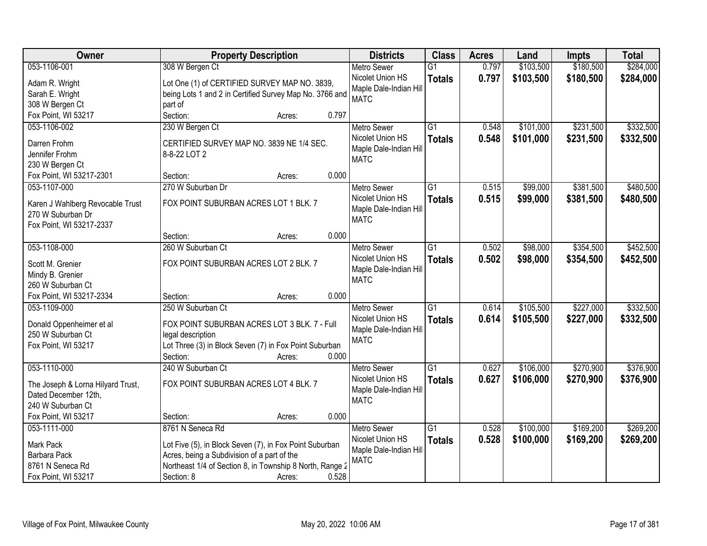| Owner                             | <b>Property Description</b>                              | <b>Districts</b>       | <b>Class</b>    | <b>Acres</b> | Land      | <b>Impts</b> | <b>Total</b> |
|-----------------------------------|----------------------------------------------------------|------------------------|-----------------|--------------|-----------|--------------|--------------|
| 053-1106-001                      | 308 W Bergen Ct                                          | <b>Metro Sewer</b>     | $\overline{G1}$ | 0.797        | \$103,500 | \$180,500    | \$284,000    |
| Adam R. Wright                    | Lot One (1) of CERTIFIED SURVEY MAP NO. 3839,            | Nicolet Union HS       | <b>Totals</b>   | 0.797        | \$103,500 | \$180,500    | \$284,000    |
| Sarah E. Wright                   | being Lots 1 and 2 in Certified Survey Map No. 3766 and  | Maple Dale-Indian Hill |                 |              |           |              |              |
| 308 W Bergen Ct                   | part of                                                  | <b>MATC</b>            |                 |              |           |              |              |
| Fox Point, WI 53217               | 0.797<br>Section:<br>Acres:                              |                        |                 |              |           |              |              |
| 053-1106-002                      | 230 W Bergen Ct                                          | <b>Metro Sewer</b>     | $\overline{G1}$ | 0.548        | \$101,000 | \$231,500    | \$332,500    |
|                                   |                                                          | Nicolet Union HS       | <b>Totals</b>   | 0.548        | \$101,000 | \$231,500    | \$332,500    |
| Darren Frohm                      | CERTIFIED SURVEY MAP NO. 3839 NE 1/4 SEC.                | Maple Dale-Indian Hill |                 |              |           |              |              |
| Jennifer Frohm                    | 8-8-22 LOT 2                                             | <b>MATC</b>            |                 |              |           |              |              |
| 230 W Bergen Ct                   |                                                          |                        |                 |              |           |              |              |
| Fox Point, WI 53217-2301          | 0.000<br>Section:<br>Acres:                              |                        |                 |              |           |              |              |
| 053-1107-000                      | 270 W Suburban Dr                                        | <b>Metro Sewer</b>     | G1              | 0.515        | \$99,000  | \$381,500    | \$480,500    |
| Karen J Wahlberg Revocable Trust  | FOX POINT SUBURBAN ACRES LOT 1 BLK. 7                    | Nicolet Union HS       | <b>Totals</b>   | 0.515        | \$99,000  | \$381,500    | \$480,500    |
| 270 W Suburban Dr                 |                                                          | Maple Dale-Indian Hill |                 |              |           |              |              |
| Fox Point, WI 53217-2337          |                                                          | <b>MATC</b>            |                 |              |           |              |              |
|                                   | 0.000<br>Section:<br>Acres:                              |                        |                 |              |           |              |              |
| 053-1108-000                      | 260 W Suburban Ct                                        | <b>Metro Sewer</b>     | $\overline{G1}$ | 0.502        | \$98,000  | \$354,500    | \$452,500    |
|                                   |                                                          | Nicolet Union HS       | <b>Totals</b>   | 0.502        | \$98,000  | \$354,500    | \$452,500    |
| Scott M. Grenier                  | FOX POINT SUBURBAN ACRES LOT 2 BLK. 7                    | Maple Dale-Indian Hill |                 |              |           |              |              |
| Mindy B. Grenier                  |                                                          | <b>MATC</b>            |                 |              |           |              |              |
| 260 W Suburban Ct                 |                                                          |                        |                 |              |           |              |              |
| Fox Point, WI 53217-2334          | 0.000<br>Section:<br>Acres:                              |                        |                 |              |           |              |              |
| 053-1109-000                      | 250 W Suburban Ct                                        | <b>Metro Sewer</b>     | $\overline{G1}$ | 0.614        | \$105,500 | \$227,000    | \$332,500    |
| Donald Oppenheimer et al          | FOX POINT SUBURBAN ACRES LOT 3 BLK. 7 - Full             | Nicolet Union HS       | <b>Totals</b>   | 0.614        | \$105,500 | \$227,000    | \$332,500    |
| 250 W Suburban Ct                 | legal description                                        | Maple Dale-Indian Hill |                 |              |           |              |              |
| Fox Point, WI 53217               | Lot Three (3) in Block Seven (7) in Fox Point Suburban   | <b>MATC</b>            |                 |              |           |              |              |
|                                   | 0.000<br>Section:<br>Acres:                              |                        |                 |              |           |              |              |
| 053-1110-000                      | 240 W Suburban Ct                                        | Metro Sewer            | $\overline{G1}$ | 0.627        | \$106,000 | \$270,900    | \$376,900    |
|                                   |                                                          | Nicolet Union HS       | <b>Totals</b>   | 0.627        | \$106,000 | \$270,900    | \$376,900    |
| The Joseph & Lorna Hilyard Trust, | FOX POINT SUBURBAN ACRES LOT 4 BLK. 7                    | Maple Dale-Indian Hill |                 |              |           |              |              |
| Dated December 12th,              |                                                          | <b>MATC</b>            |                 |              |           |              |              |
| 240 W Suburban Ct                 |                                                          |                        |                 |              |           |              |              |
| Fox Point, WI 53217               | 0.000<br>Section:<br>Acres:                              |                        |                 |              |           |              |              |
| 053-1111-000                      | 8761 N Seneca Rd                                         | <b>Metro Sewer</b>     | $\overline{G1}$ | 0.528        | \$100,000 | \$169,200    | \$269,200    |
| Mark Pack                         | Lot Five (5), in Block Seven (7), in Fox Point Suburban  | Nicolet Union HS       | <b>Totals</b>   | 0.528        | \$100,000 | \$169,200    | \$269,200    |
| Barbara Pack                      | Acres, being a Subdivision of a part of the              | Maple Dale-Indian Hil  |                 |              |           |              |              |
| 8761 N Seneca Rd                  | Northeast 1/4 of Section 8, in Township 8 North, Range 2 | <b>MATC</b>            |                 |              |           |              |              |
| Fox Point, WI 53217               | 0.528<br>Section: 8<br>Acres:                            |                        |                 |              |           |              |              |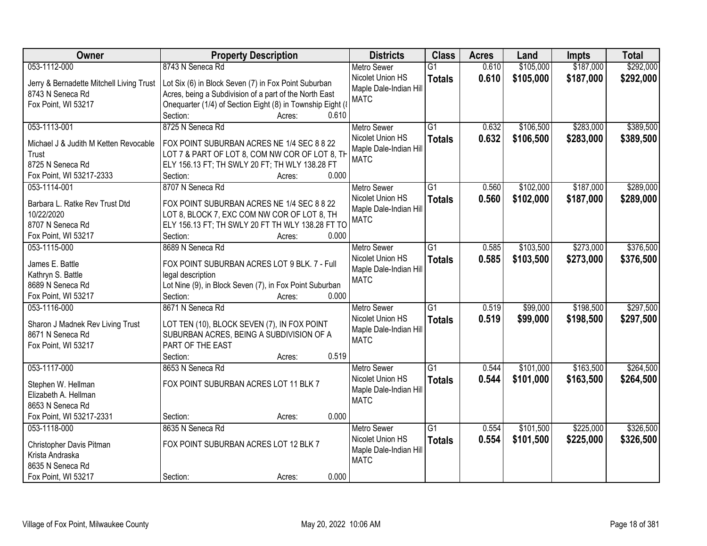| Owner                                    | <b>Property Description</b>                                 | <b>Districts</b>                      | <b>Class</b>    | <b>Acres</b> | Land      | <b>Impts</b> | <b>Total</b> |
|------------------------------------------|-------------------------------------------------------------|---------------------------------------|-----------------|--------------|-----------|--------------|--------------|
| 053-1112-000                             | 8743 N Seneca Rd                                            | Metro Sewer                           | $\overline{G1}$ | 0.610        | \$105,000 | \$187,000    | \$292,000    |
| Jerry & Bernadette Mitchell Living Trust | Lot Six (6) in Block Seven (7) in Fox Point Suburban        | Nicolet Union HS                      | <b>Totals</b>   | 0.610        | \$105,000 | \$187,000    | \$292,000    |
| 8743 N Seneca Rd                         | Acres, being a Subdivision of a part of the North East      | Maple Dale-Indian Hill                |                 |              |           |              |              |
| Fox Point, WI 53217                      | Onequarter (1/4) of Section Eight (8) in Township Eight (8) | <b>MATC</b>                           |                 |              |           |              |              |
|                                          | Section:<br>0.610<br>Acres:                                 |                                       |                 |              |           |              |              |
| 053-1113-001                             | 8725 N Seneca Rd                                            | <b>Metro Sewer</b>                    | $\overline{G1}$ | 0.632        | \$106,500 | \$283,000    | \$389,500    |
|                                          |                                                             | Nicolet Union HS                      | <b>Totals</b>   | 0.632        | \$106,500 | \$283,000    | \$389,500    |
| Michael J & Judith M Ketten Revocable    | FOX POINT SUBURBAN ACRES NE 1/4 SEC 8 8 22                  | Maple Dale-Indian Hill                |                 |              |           |              |              |
| Trust                                    | LOT 7 & PART OF LOT 8, COM NW COR OF LOT 8, TH              | <b>MATC</b>                           |                 |              |           |              |              |
| 8725 N Seneca Rd                         | ELY 156.13 FT; TH SWLY 20 FT; TH WLY 138.28 FT              |                                       |                 |              |           |              |              |
| Fox Point, WI 53217-2333                 | 0.000<br>Section:<br>Acres:                                 |                                       |                 |              |           |              |              |
| 053-1114-001                             | 8707 N Seneca Rd                                            | <b>Metro Sewer</b>                    | G1              | 0.560        | \$102,000 | \$187,000    | \$289,000    |
| Barbara L. Ratke Rev Trust Dtd           | FOX POINT SUBURBAN ACRES NE 1/4 SEC 8 8 22                  | Nicolet Union HS                      | <b>Totals</b>   | 0.560        | \$102,000 | \$187,000    | \$289,000    |
| 10/22/2020                               | LOT 8, BLOCK 7, EXC COM NW COR OF LOT 8, TH                 | Maple Dale-Indian Hill                |                 |              |           |              |              |
| 8707 N Seneca Rd                         | ELY 156.13 FT; TH SWLY 20 FT TH WLY 138.28 FT TO            | <b>MATC</b>                           |                 |              |           |              |              |
| Fox Point, WI 53217                      | Section:<br>0.000<br>Acres:                                 |                                       |                 |              |           |              |              |
| 053-1115-000                             | 8689 N Seneca Rd                                            | <b>Metro Sewer</b>                    | G1              | 0.585        | \$103,500 | \$273,000    | \$376,500    |
|                                          |                                                             | Nicolet Union HS                      | <b>Totals</b>   | 0.585        | \$103,500 | \$273,000    | \$376,500    |
| James E. Battle                          | FOX POINT SUBURBAN ACRES LOT 9 BLK. 7 - Full                | Maple Dale-Indian Hill                |                 |              |           |              |              |
| Kathryn S. Battle                        | legal description                                           | <b>MATC</b>                           |                 |              |           |              |              |
| 8689 N Seneca Rd                         | Lot Nine (9), in Block Seven (7), in Fox Point Suburban     |                                       |                 |              |           |              |              |
| Fox Point, WI 53217                      | 0.000<br>Section:<br>Acres:                                 |                                       |                 |              |           |              |              |
| 053-1116-000                             | 8671 N Seneca Rd                                            | <b>Metro Sewer</b>                    | $\overline{G1}$ | 0.519        | \$99,000  | \$198,500    | \$297,500    |
| Sharon J Madnek Rev Living Trust         | LOT TEN (10), BLOCK SEVEN (7), IN FOX POINT                 | Nicolet Union HS                      | <b>Totals</b>   | 0.519        | \$99,000  | \$198,500    | \$297,500    |
| 8671 N Seneca Rd                         | SUBURBAN ACRES, BEING A SUBDIVISION OF A                    | Maple Dale-Indian Hill                |                 |              |           |              |              |
| Fox Point, WI 53217                      | PART OF THE EAST                                            | <b>MATC</b>                           |                 |              |           |              |              |
|                                          | Section:<br>0.519                                           |                                       |                 |              |           |              |              |
| 053-1117-000                             | Acres:<br>8653 N Seneca Rd                                  |                                       | $\overline{G1}$ | 0.544        | \$101,000 | \$163,500    | \$264,500    |
|                                          |                                                             | Metro Sewer                           |                 |              |           |              |              |
| Stephen W. Hellman                       | FOX POINT SUBURBAN ACRES LOT 11 BLK 7                       | Nicolet Union HS                      | <b>Totals</b>   | 0.544        | \$101,000 | \$163,500    | \$264,500    |
| Elizabeth A. Hellman                     |                                                             | Maple Dale-Indian Hill<br><b>MATC</b> |                 |              |           |              |              |
| 8653 N Seneca Rd                         |                                                             |                                       |                 |              |           |              |              |
| Fox Point, WI 53217-2331                 | 0.000<br>Section:<br>Acres:                                 |                                       |                 |              |           |              |              |
| 053-1118-000                             | 8635 N Seneca Rd                                            | <b>Metro Sewer</b>                    | $\overline{G1}$ | 0.554        | \$101,500 | \$225,000    | \$326,500    |
|                                          |                                                             | Nicolet Union HS                      | <b>Totals</b>   | 0.554        | \$101,500 | \$225,000    | \$326,500    |
| Christopher Davis Pitman                 | FOX POINT SUBURBAN ACRES LOT 12 BLK 7                       | Maple Dale-Indian Hill                |                 |              |           |              |              |
| Krista Andraska                          |                                                             | <b>MATC</b>                           |                 |              |           |              |              |
| 8635 N Seneca Rd                         |                                                             |                                       |                 |              |           |              |              |
| Fox Point, WI 53217                      | 0.000<br>Section:<br>Acres:                                 |                                       |                 |              |           |              |              |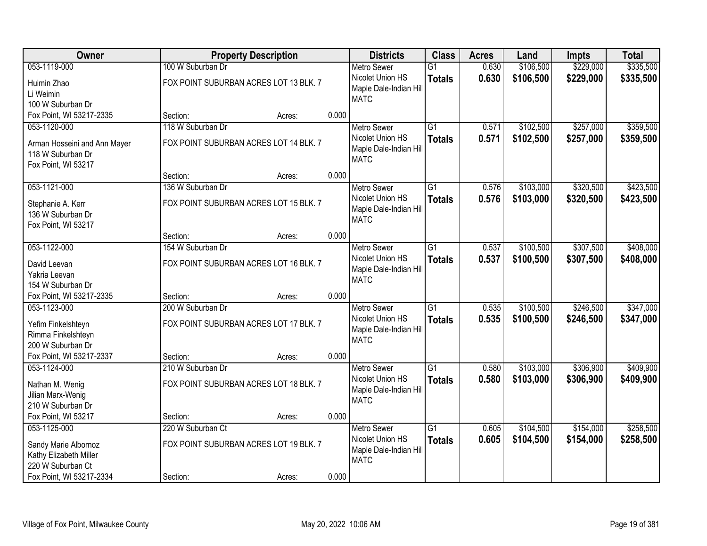| Owner                        |                                        | <b>Property Description</b> |       | <b>Districts</b>       | <b>Class</b>    | <b>Acres</b> | Land      | <b>Impts</b> | <b>Total</b> |
|------------------------------|----------------------------------------|-----------------------------|-------|------------------------|-----------------|--------------|-----------|--------------|--------------|
| 053-1119-000                 | 100 W Suburban Dr                      |                             |       | <b>Metro Sewer</b>     | $\overline{G1}$ | 0.630        | \$106,500 | \$229,000    | \$335,500    |
| Huimin Zhao                  | FOX POINT SUBURBAN ACRES LOT 13 BLK. 7 |                             |       | Nicolet Union HS       | <b>Totals</b>   | 0.630        | \$106,500 | \$229,000    | \$335,500    |
| Li Weimin                    |                                        |                             |       | Maple Dale-Indian Hill |                 |              |           |              |              |
| 100 W Suburban Dr            |                                        |                             |       | <b>MATC</b>            |                 |              |           |              |              |
| Fox Point, WI 53217-2335     | Section:                               | Acres:                      | 0.000 |                        |                 |              |           |              |              |
| 053-1120-000                 | 118 W Suburban Dr                      |                             |       | <b>Metro Sewer</b>     | $\overline{G1}$ | 0.571        | \$102,500 | \$257,000    | \$359,500    |
| Arman Hosseini and Ann Mayer | FOX POINT SUBURBAN ACRES LOT 14 BLK. 7 |                             |       | Nicolet Union HS       | <b>Totals</b>   | 0.571        | \$102,500 | \$257,000    | \$359,500    |
| 118 W Suburban Dr            |                                        |                             |       | Maple Dale-Indian Hill |                 |              |           |              |              |
| Fox Point, WI 53217          |                                        |                             |       | <b>MATC</b>            |                 |              |           |              |              |
|                              | Section:                               | Acres:                      | 0.000 |                        |                 |              |           |              |              |
| 053-1121-000                 | 136 W Suburban Dr                      |                             |       | Metro Sewer            | $\overline{G1}$ | 0.576        | \$103,000 | \$320,500    | \$423,500    |
| Stephanie A. Kerr            | FOX POINT SUBURBAN ACRES LOT 15 BLK. 7 |                             |       | Nicolet Union HS       | <b>Totals</b>   | 0.576        | \$103,000 | \$320,500    | \$423,500    |
| 136 W Suburban Dr            |                                        |                             |       | Maple Dale-Indian Hill |                 |              |           |              |              |
| Fox Point, WI 53217          |                                        |                             |       | <b>MATC</b>            |                 |              |           |              |              |
|                              | Section:                               | Acres:                      | 0.000 |                        |                 |              |           |              |              |
| 053-1122-000                 | 154 W Suburban Dr                      |                             |       | <b>Metro Sewer</b>     | $\overline{G1}$ | 0.537        | \$100,500 | \$307,500    | \$408,000    |
| David Leevan                 | FOX POINT SUBURBAN ACRES LOT 16 BLK. 7 |                             |       | Nicolet Union HS       | <b>Totals</b>   | 0.537        | \$100,500 | \$307,500    | \$408,000    |
| Yakria Leevan                |                                        |                             |       | Maple Dale-Indian Hill |                 |              |           |              |              |
| 154 W Suburban Dr            |                                        |                             |       | <b>MATC</b>            |                 |              |           |              |              |
| Fox Point, WI 53217-2335     | Section:                               | Acres:                      | 0.000 |                        |                 |              |           |              |              |
| 053-1123-000                 | 200 W Suburban Dr                      |                             |       | Metro Sewer            | $\overline{G1}$ | 0.535        | \$100,500 | \$246,500    | \$347,000    |
| Yefim Finkelshteyn           | FOX POINT SUBURBAN ACRES LOT 17 BLK. 7 |                             |       | Nicolet Union HS       | <b>Totals</b>   | 0.535        | \$100,500 | \$246,500    | \$347,000    |
| Rimma Finkelshteyn           |                                        |                             |       | Maple Dale-Indian Hill |                 |              |           |              |              |
| 200 W Suburban Dr            |                                        |                             |       | <b>MATC</b>            |                 |              |           |              |              |
| Fox Point, WI 53217-2337     | Section:                               | Acres:                      | 0.000 |                        |                 |              |           |              |              |
| 053-1124-000                 | 210 W Suburban Dr                      |                             |       | Metro Sewer            | $\overline{G1}$ | 0.580        | \$103,000 | \$306,900    | \$409,900    |
| Nathan M. Wenig              | FOX POINT SUBURBAN ACRES LOT 18 BLK. 7 |                             |       | Nicolet Union HS       | <b>Totals</b>   | 0.580        | \$103,000 | \$306,900    | \$409,900    |
| Jilian Marx-Wenig            |                                        |                             |       | Maple Dale-Indian Hill |                 |              |           |              |              |
| 210 W Suburban Dr            |                                        |                             |       | <b>MATC</b>            |                 |              |           |              |              |
| Fox Point, WI 53217          | Section:                               | Acres:                      | 0.000 |                        |                 |              |           |              |              |
| 053-1125-000                 | 220 W Suburban Ct                      |                             |       | <b>Metro Sewer</b>     | $\overline{G1}$ | 0.605        | \$104,500 | \$154,000    | \$258,500    |
| Sandy Marie Albornoz         | FOX POINT SUBURBAN ACRES LOT 19 BLK. 7 |                             |       | Nicolet Union HS       | <b>Totals</b>   | 0.605        | \$104,500 | \$154,000    | \$258,500    |
| Kathy Elizabeth Miller       |                                        |                             |       | Maple Dale-Indian Hill |                 |              |           |              |              |
| 220 W Suburban Ct            |                                        |                             |       | <b>MATC</b>            |                 |              |           |              |              |
| Fox Point, WI 53217-2334     | Section:                               | Acres:                      | 0.000 |                        |                 |              |           |              |              |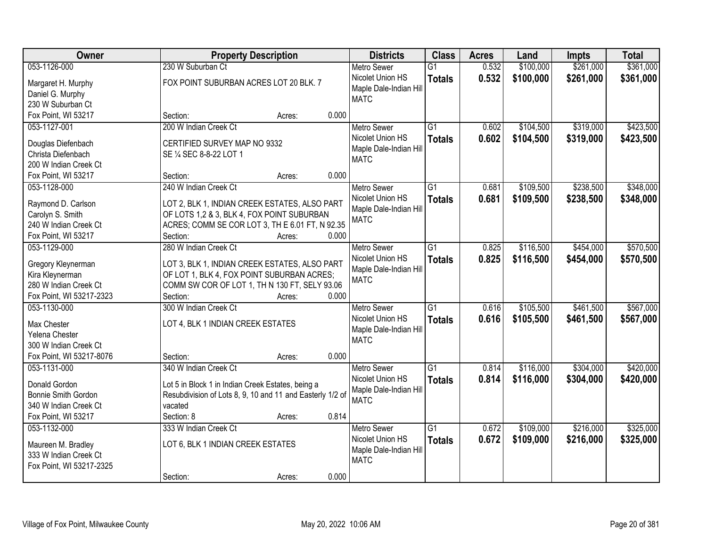| Owner                                     | <b>Property Description</b>                                                                   | <b>Districts</b>                                          | <b>Class</b>    | <b>Acres</b> | Land      | <b>Impts</b> | <b>Total</b> |
|-------------------------------------------|-----------------------------------------------------------------------------------------------|-----------------------------------------------------------|-----------------|--------------|-----------|--------------|--------------|
| 053-1126-000                              | 230 W Suburban Ct                                                                             | <b>Metro Sewer</b>                                        | $\overline{G1}$ | 0.532        | \$100,000 | \$261,000    | \$361,000    |
| Margaret H. Murphy<br>Daniel G. Murphy    | FOX POINT SUBURBAN ACRES LOT 20 BLK. 7                                                        | Nicolet Union HS<br>Maple Dale-Indian Hill<br><b>MATC</b> | <b>Totals</b>   | 0.532        | \$100,000 | \$261,000    | \$361,000    |
| 230 W Suburban Ct                         |                                                                                               |                                                           |                 |              |           |              |              |
| Fox Point, WI 53217                       | 0.000<br>Section:<br>Acres:                                                                   |                                                           |                 |              |           |              |              |
| 053-1127-001                              | 200 W Indian Creek Ct                                                                         | <b>Metro Sewer</b>                                        | $\overline{G1}$ | 0.602        | \$104,500 | \$319,000    | \$423,500    |
| Douglas Diefenbach                        | CERTIFIED SURVEY MAP NO 9332                                                                  | Nicolet Union HS                                          | <b>Totals</b>   | 0.602        | \$104,500 | \$319,000    | \$423,500    |
| Christa Diefenbach                        | SE 1/4 SEC 8-8-22 LOT 1                                                                       | Maple Dale-Indian Hill                                    |                 |              |           |              |              |
| 200 W Indian Creek Ct                     |                                                                                               | <b>MATC</b>                                               |                 |              |           |              |              |
| Fox Point, WI 53217                       | 0.000<br>Section:<br>Acres:                                                                   |                                                           |                 |              |           |              |              |
| 053-1128-000                              | 240 W Indian Creek Ct                                                                         | <b>Metro Sewer</b>                                        | G1              | 0.681        | \$109,500 | \$238,500    | \$348,000    |
|                                           |                                                                                               | Nicolet Union HS                                          | <b>Totals</b>   | 0.681        | \$109,500 | \$238,500    | \$348,000    |
| Raymond D. Carlson                        | LOT 2, BLK 1, INDIAN CREEK ESTATES, ALSO PART                                                 | Maple Dale-Indian Hill                                    |                 |              |           |              |              |
| Carolyn S. Smith<br>240 W Indian Creek Ct | OF LOTS 1,2 & 3, BLK 4, FOX POINT SUBURBAN<br>ACRES; COMM SE COR LOT 3, TH E 6.01 FT, N 92.35 | <b>MATC</b>                                               |                 |              |           |              |              |
| Fox Point, WI 53217                       | Section:<br>0.000<br>Acres:                                                                   |                                                           |                 |              |           |              |              |
| 053-1129-000                              | 280 W Indian Creek Ct                                                                         | <b>Metro Sewer</b>                                        | G1              | 0.825        | \$116,500 | \$454,000    | \$570,500    |
|                                           |                                                                                               | Nicolet Union HS                                          | <b>Totals</b>   | 0.825        | \$116,500 | \$454,000    | \$570,500    |
| Gregory Kleynerman                        | LOT 3, BLK 1, INDIAN CREEK ESTATES, ALSO PART                                                 | Maple Dale-Indian Hill                                    |                 |              |           |              |              |
| Kira Kleynerman                           | OF LOT 1, BLK 4, FOX POINT SUBURBAN ACRES;                                                    | <b>MATC</b>                                               |                 |              |           |              |              |
| 280 W Indian Creek Ct                     | COMM SW COR OF LOT 1, TH N 130 FT, SELY 93.06                                                 |                                                           |                 |              |           |              |              |
| Fox Point, WI 53217-2323                  | Section:<br>0.000<br>Acres:                                                                   |                                                           |                 |              |           |              |              |
| 053-1130-000                              | 300 W Indian Creek Ct                                                                         | <b>Metro Sewer</b>                                        | $\overline{G1}$ | 0.616        | \$105,500 | \$461,500    | \$567,000    |
| Max Chester                               | LOT 4, BLK 1 INDIAN CREEK ESTATES                                                             | Nicolet Union HS                                          | <b>Totals</b>   | 0.616        | \$105,500 | \$461,500    | \$567,000    |
| Yelena Chester                            |                                                                                               | Maple Dale-Indian Hill                                    |                 |              |           |              |              |
| 300 W Indian Creek Ct                     |                                                                                               | <b>MATC</b>                                               |                 |              |           |              |              |
| Fox Point, WI 53217-8076                  | 0.000<br>Section:<br>Acres:                                                                   |                                                           |                 |              |           |              |              |
| 053-1131-000                              | 340 W Indian Creek Ct                                                                         | Metro Sewer                                               | $\overline{G1}$ | 0.814        | \$116,000 | \$304,000    | \$420,000    |
| Donald Gordon                             | Lot 5 in Block 1 in Indian Creek Estates, being a                                             | Nicolet Union HS                                          | <b>Totals</b>   | 0.814        | \$116,000 | \$304,000    | \$420,000    |
| Bonnie Smith Gordon                       | Resubdivision of Lots 8, 9, 10 and 11 and Easterly 1/2 of                                     | Maple Dale-Indian Hill                                    |                 |              |           |              |              |
| 340 W Indian Creek Ct                     | vacated                                                                                       | <b>MATC</b>                                               |                 |              |           |              |              |
| Fox Point, WI 53217                       | 0.814<br>Section: 8<br>Acres:                                                                 |                                                           |                 |              |           |              |              |
| 053-1132-000                              | 333 W Indian Creek Ct                                                                         | <b>Metro Sewer</b>                                        | $\overline{G1}$ | 0.672        | \$109,000 | \$216,000    | \$325,000    |
|                                           |                                                                                               | Nicolet Union HS                                          | <b>Totals</b>   | 0.672        | \$109,000 | \$216,000    | \$325,000    |
| Maureen M. Bradley                        | LOT 6, BLK 1 INDIAN CREEK ESTATES                                                             | Maple Dale-Indian Hill                                    |                 |              |           |              |              |
| 333 W Indian Creek Ct                     |                                                                                               | <b>MATC</b>                                               |                 |              |           |              |              |
| Fox Point, WI 53217-2325                  | 0.000                                                                                         |                                                           |                 |              |           |              |              |
|                                           | Section:<br>Acres:                                                                            |                                                           |                 |              |           |              |              |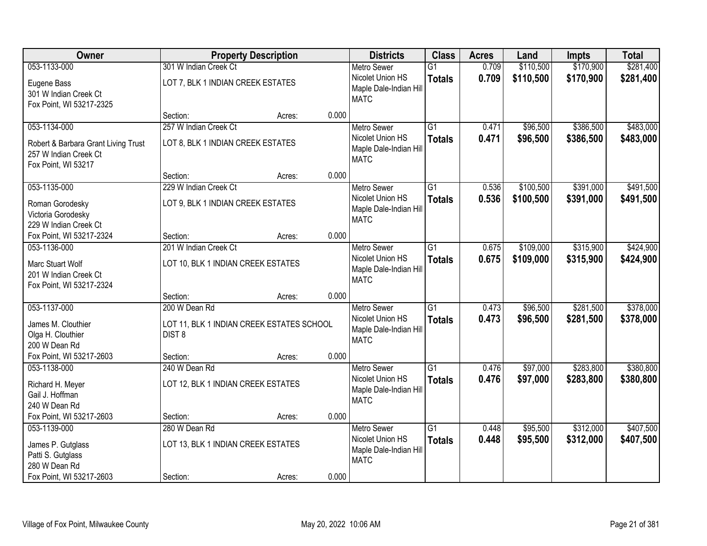| Owner                                                                               |                                                            | <b>Property Description</b> |       | <b>Districts</b>                                                                | <b>Class</b>                     | <b>Acres</b>   | Land                 | <b>Impts</b>           | <b>Total</b>           |
|-------------------------------------------------------------------------------------|------------------------------------------------------------|-----------------------------|-------|---------------------------------------------------------------------------------|----------------------------------|----------------|----------------------|------------------------|------------------------|
| 053-1133-000                                                                        | 301 W Indian Creek Ct                                      |                             |       | <b>Metro Sewer</b>                                                              | $\overline{G1}$                  | 0.709          | \$110,500            | \$170,900              | \$281,400              |
| Eugene Bass<br>301 W Indian Creek Ct<br>Fox Point, WI 53217-2325                    | LOT 7, BLK 1 INDIAN CREEK ESTATES                          |                             |       | Nicolet Union HS<br>Maple Dale-Indian Hill<br><b>MATC</b>                       | <b>Totals</b>                    | 0.709          | \$110,500            | \$170,900              | \$281,400              |
|                                                                                     | Section:                                                   | Acres:                      | 0.000 |                                                                                 |                                  |                |                      |                        |                        |
| 053-1134-000                                                                        | 257 W Indian Creek Ct                                      |                             |       | <b>Metro Sewer</b>                                                              | $\overline{G1}$                  | 0.471          | \$96,500             | \$386,500              | \$483,000              |
| Robert & Barbara Grant Living Trust<br>257 W Indian Creek Ct<br>Fox Point, WI 53217 | LOT 8, BLK 1 INDIAN CREEK ESTATES                          |                             |       | Nicolet Union HS<br>Maple Dale-Indian Hill<br><b>MATC</b>                       | <b>Totals</b>                    | 0.471          | \$96,500             | \$386,500              | \$483,000              |
|                                                                                     | Section:                                                   | Acres:                      | 0.000 |                                                                                 |                                  |                |                      |                        |                        |
| 053-1135-000                                                                        | 229 W Indian Creek Ct                                      |                             |       | Metro Sewer                                                                     | $\overline{G1}$                  | 0.536          | \$100,500            | \$391,000              | \$491,500              |
| Roman Gorodesky<br>Victoria Gorodesky<br>229 W Indian Creek Ct                      | LOT 9, BLK 1 INDIAN CREEK ESTATES                          |                             |       | Nicolet Union HS<br>Maple Dale-Indian Hill<br><b>MATC</b>                       | <b>Totals</b>                    | 0.536          | \$100,500            | \$391,000              | \$491,500              |
| Fox Point, WI 53217-2324                                                            | Section:                                                   | Acres:                      | 0.000 |                                                                                 |                                  |                |                      |                        |                        |
| 053-1136-000                                                                        | 201 W Indian Creek Ct                                      |                             |       | <b>Metro Sewer</b>                                                              | $\overline{G1}$                  | 0.675          | \$109,000            | \$315,900              | \$424,900              |
| Marc Stuart Wolf<br>201 W Indian Creek Ct<br>Fox Point, WI 53217-2324               | LOT 10, BLK 1 INDIAN CREEK ESTATES                         |                             |       | Nicolet Union HS<br>Maple Dale-Indian Hill<br><b>MATC</b>                       | <b>Totals</b>                    | 0.675          | \$109,000            | \$315,900              | \$424,900              |
|                                                                                     | Section:                                                   | Acres:                      | 0.000 |                                                                                 |                                  |                |                      |                        |                        |
| 053-1137-000<br>James M. Clouthier                                                  | 200 W Dean Rd<br>LOT 11, BLK 1 INDIAN CREEK ESTATES SCHOOL |                             |       | <b>Metro Sewer</b><br>Nicolet Union HS                                          | $\overline{G1}$<br><b>Totals</b> | 0.473<br>0.473 | \$96,500<br>\$96,500 | \$281,500<br>\$281,500 | \$378,000<br>\$378,000 |
| Olga H. Clouthier<br>200 W Dean Rd                                                  | DIST <sub>8</sub>                                          |                             |       | Maple Dale-Indian Hill<br><b>MATC</b>                                           |                                  |                |                      |                        |                        |
| Fox Point, WI 53217-2603                                                            | Section:                                                   | Acres:                      | 0.000 |                                                                                 |                                  |                |                      |                        |                        |
| 053-1138-000<br>Richard H. Meyer<br>Gail J. Hoffman<br>240 W Dean Rd                | 240 W Dean Rd<br>LOT 12, BLK 1 INDIAN CREEK ESTATES        |                             |       | <b>Metro Sewer</b><br>Nicolet Union HS<br>Maple Dale-Indian Hill<br><b>MATC</b> | $\overline{G1}$<br><b>Totals</b> | 0.476<br>0.476 | \$97,000<br>\$97,000 | \$283,800<br>\$283,800 | \$380,800<br>\$380,800 |
| Fox Point, WI 53217-2603                                                            | Section:                                                   | Acres:                      | 0.000 |                                                                                 |                                  |                |                      |                        |                        |
| 053-1139-000                                                                        | 280 W Dean Rd                                              |                             |       | <b>Metro Sewer</b>                                                              | $\overline{G1}$                  | 0.448          | \$95,500             | \$312,000              | \$407,500              |
| James P. Gutglass<br>Patti S. Gutglass<br>280 W Dean Rd                             | LOT 13, BLK 1 INDIAN CREEK ESTATES                         |                             |       | Nicolet Union HS<br>Maple Dale-Indian Hill<br><b>MATC</b>                       | <b>Totals</b>                    | 0.448          | \$95,500             | \$312,000              | \$407,500              |
| Fox Point, WI 53217-2603                                                            | Section:                                                   | Acres:                      | 0.000 |                                                                                 |                                  |                |                      |                        |                        |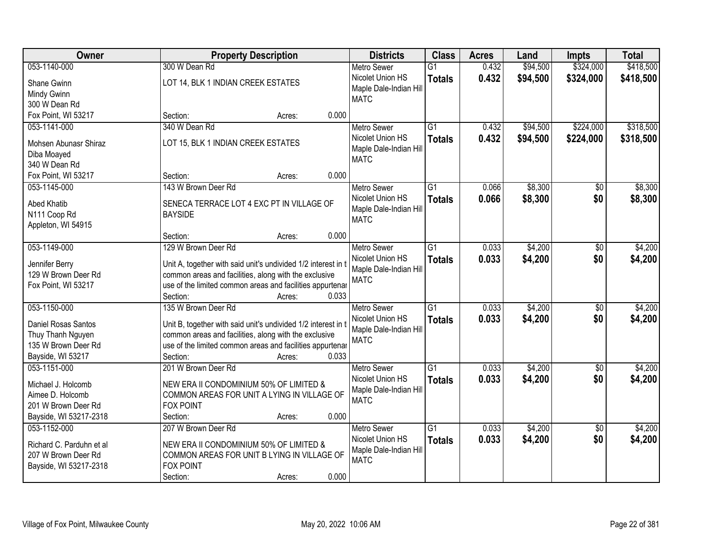| <b>Owner</b>                          | <b>Property Description</b>                                                    | <b>Districts</b>                           | <b>Class</b>    | <b>Acres</b> | Land     | <b>Impts</b>    | <b>Total</b> |
|---------------------------------------|--------------------------------------------------------------------------------|--------------------------------------------|-----------------|--------------|----------|-----------------|--------------|
| 053-1140-000                          | 300 W Dean Rd                                                                  | <b>Metro Sewer</b>                         | $\overline{G1}$ | 0.432        | \$94,500 | \$324,000       | \$418,500    |
| Shane Gwinn                           | LOT 14, BLK 1 INDIAN CREEK ESTATES                                             | Nicolet Union HS                           | <b>Totals</b>   | 0.432        | \$94,500 | \$324,000       | \$418,500    |
| Mindy Gwinn                           |                                                                                | Maple Dale-Indian Hill                     |                 |              |          |                 |              |
| 300 W Dean Rd                         |                                                                                | <b>MATC</b>                                |                 |              |          |                 |              |
| Fox Point, WI 53217                   | 0.000<br>Section:<br>Acres:                                                    |                                            |                 |              |          |                 |              |
| 053-1141-000                          | 340 W Dean Rd                                                                  | <b>Metro Sewer</b>                         | $\overline{G1}$ | 0.432        | \$94,500 | \$224,000       | \$318,500    |
|                                       |                                                                                | Nicolet Union HS                           | <b>Totals</b>   | 0.432        | \$94,500 | \$224,000       | \$318,500    |
| Mohsen Abunasr Shiraz                 | LOT 15, BLK 1 INDIAN CREEK ESTATES                                             | Maple Dale-Indian Hill                     |                 |              |          |                 |              |
| Diba Moayed                           |                                                                                | <b>MATC</b>                                |                 |              |          |                 |              |
| 340 W Dean Rd                         |                                                                                |                                            |                 |              |          |                 |              |
| Fox Point, WI 53217                   | 0.000<br>Section:<br>Acres:                                                    |                                            |                 |              |          |                 |              |
| 053-1145-000                          | 143 W Brown Deer Rd                                                            | <b>Metro Sewer</b>                         | G1              | 0.066        | \$8,300  | \$0             | \$8,300      |
| Abed Khatib                           | SENECA TERRACE LOT 4 EXC PT IN VILLAGE OF                                      | Nicolet Union HS                           | <b>Totals</b>   | 0.066        | \$8,300  | \$0             | \$8,300      |
| N111 Coop Rd                          | <b>BAYSIDE</b>                                                                 | Maple Dale-Indian Hill                     |                 |              |          |                 |              |
| Appleton, WI 54915                    |                                                                                | <b>MATC</b>                                |                 |              |          |                 |              |
|                                       | 0.000<br>Section:<br>Acres:                                                    |                                            |                 |              |          |                 |              |
| 053-1149-000                          | 129 W Brown Deer Rd                                                            | <b>Metro Sewer</b>                         | G1              | 0.033        | \$4,200  | \$0             | \$4,200      |
|                                       |                                                                                | Nicolet Union HS                           | <b>Totals</b>   | 0.033        | \$4,200  | \$0             | \$4,200      |
| Jennifer Berry<br>129 W Brown Deer Rd | Unit A, together with said unit's undivided 1/2 interest in t                  | Maple Dale-Indian Hill                     |                 |              |          |                 |              |
|                                       | common areas and facilities, along with the exclusive                          | <b>MATC</b>                                |                 |              |          |                 |              |
| Fox Point, WI 53217                   | use of the limited common areas and facilities appurtenar<br>Section:<br>0.033 |                                            |                 |              |          |                 |              |
| 053-1150-000                          | Acres:<br>135 W Brown Deer Rd                                                  |                                            | $\overline{G1}$ | 0.033        | \$4,200  | $\overline{50}$ | \$4,200      |
|                                       |                                                                                | <b>Metro Sewer</b>                         |                 |              |          |                 |              |
| Daniel Rosas Santos                   | Unit B, together with said unit's undivided 1/2 interest in t                  | Nicolet Union HS<br>Maple Dale-Indian Hill | <b>Totals</b>   | 0.033        | \$4,200  | \$0             | \$4,200      |
| Thuy Thanh Nguyen                     | common areas and facilities, along with the exclusive                          | <b>MATC</b>                                |                 |              |          |                 |              |
| 135 W Brown Deer Rd                   | use of the limited common areas and facilities appurtenar                      |                                            |                 |              |          |                 |              |
| Bayside, WI 53217                     | Section:<br>0.033<br>Acres:                                                    |                                            |                 |              |          |                 |              |
| 053-1151-000                          | 201 W Brown Deer Rd                                                            | Metro Sewer                                | $\overline{G1}$ | 0.033        | \$4,200  | $\overline{50}$ | \$4,200      |
| Michael J. Holcomb                    | NEW ERA II CONDOMINIUM 50% OF LIMITED &                                        | Nicolet Union HS                           | <b>Totals</b>   | 0.033        | \$4,200  | \$0             | \$4,200      |
| Aimee D. Holcomb                      | COMMON AREAS FOR UNIT A LYING IN VILLAGE OF                                    | Maple Dale-Indian Hill                     |                 |              |          |                 |              |
| 201 W Brown Deer Rd                   | <b>FOX POINT</b>                                                               | <b>MATC</b>                                |                 |              |          |                 |              |
| Bayside, WI 53217-2318                | 0.000<br>Section:<br>Acres:                                                    |                                            |                 |              |          |                 |              |
| 053-1152-000                          | 207 W Brown Deer Rd                                                            | <b>Metro Sewer</b>                         | $\overline{G1}$ | 0.033        | \$4,200  | $\overline{50}$ | \$4,200      |
|                                       |                                                                                | Nicolet Union HS                           | <b>Totals</b>   | 0.033        | \$4,200  | \$0             | \$4,200      |
| Richard C. Parduhn et al              | NEW ERA II CONDOMINIUM 50% OF LIMITED &                                        | Maple Dale-Indian Hill                     |                 |              |          |                 |              |
| 207 W Brown Deer Rd                   | COMMON AREAS FOR UNIT B LYING IN VILLAGE OF                                    | <b>MATC</b>                                |                 |              |          |                 |              |
| Bayside, WI 53217-2318                | <b>FOX POINT</b>                                                               |                                            |                 |              |          |                 |              |
|                                       | 0.000<br>Section:<br>Acres:                                                    |                                            |                 |              |          |                 |              |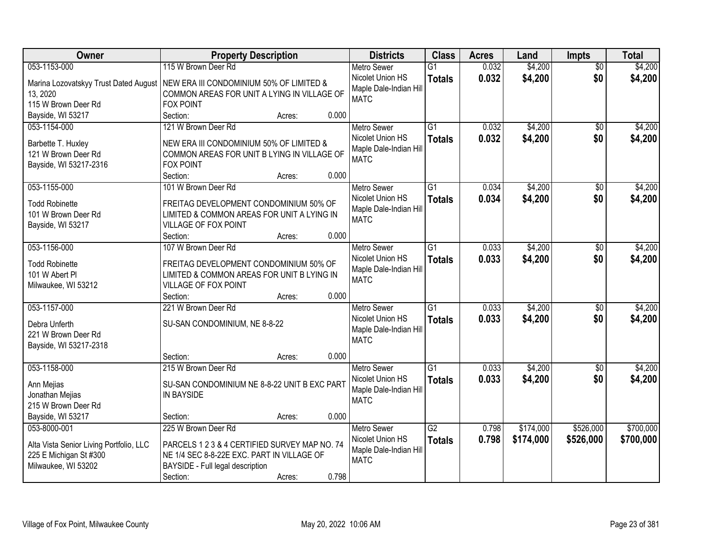| Owner                                                                                                    | <b>Property Description</b>                                                                                                                                                           | <b>Districts</b>                                                                | <b>Class</b>                     | <b>Acres</b>   | Land                   | <b>Impts</b>           | <b>Total</b>           |
|----------------------------------------------------------------------------------------------------------|---------------------------------------------------------------------------------------------------------------------------------------------------------------------------------------|---------------------------------------------------------------------------------|----------------------------------|----------------|------------------------|------------------------|------------------------|
| 053-1153-000                                                                                             | 115 W Brown Deer Rd                                                                                                                                                                   | Metro Sewer                                                                     | $\overline{G1}$                  | 0.032          | \$4,200                | $\overline{50}$        | \$4,200                |
| Marina Lozovatskyy Trust Dated August<br>13, 2020<br>115 W Brown Deer Rd                                 | NEW ERA III CONDOMINIUM 50% OF LIMITED &<br>COMMON AREAS FOR UNIT A LYING IN VILLAGE OF<br><b>FOX POINT</b>                                                                           | Nicolet Union HS<br>Maple Dale-Indian Hill<br><b>MATC</b>                       | <b>Totals</b>                    | 0.032          | \$4,200                | \$0                    | \$4,200                |
| Bayside, WI 53217                                                                                        | 0.000<br>Section:<br>Acres:                                                                                                                                                           |                                                                                 |                                  |                |                        |                        |                        |
| 053-1154-000<br>Barbette T. Huxley<br>121 W Brown Deer Rd<br>Bayside, WI 53217-2316                      | 121 W Brown Deer Rd<br>NEW ERA III CONDOMINIUM 50% OF LIMITED &<br>COMMON AREAS FOR UNIT B LYING IN VILLAGE OF<br><b>FOX POINT</b><br>0.000<br>Section:<br>Acres:                     | <b>Metro Sewer</b><br>Nicolet Union HS<br>Maple Dale-Indian Hill<br><b>MATC</b> | $\overline{G1}$<br><b>Totals</b> | 0.032<br>0.032 | \$4,200<br>\$4,200     | $\overline{50}$<br>\$0 | \$4,200<br>\$4,200     |
| 053-1155-000                                                                                             | 101 W Brown Deer Rd                                                                                                                                                                   | <b>Metro Sewer</b>                                                              | G1                               | 0.034          | \$4,200                | $\sqrt{6}$             | \$4,200                |
| <b>Todd Robinette</b><br>101 W Brown Deer Rd<br>Bayside, WI 53217                                        | FREITAG DEVELOPMENT CONDOMINIUM 50% OF<br>LIMITED & COMMON AREAS FOR UNIT A LYING IN<br>VILLAGE OF FOX POINT                                                                          | Nicolet Union HS<br>Maple Dale-Indian Hill<br><b>MATC</b>                       | <b>Totals</b>                    | 0.034          | \$4,200                | \$0                    | \$4,200                |
|                                                                                                          | 0.000<br>Section:<br>Acres:                                                                                                                                                           |                                                                                 |                                  |                |                        |                        |                        |
| 053-1156-000<br><b>Todd Robinette</b><br>101 W Abert PI<br>Milwaukee, WI 53212                           | 107 W Brown Deer Rd<br>FREITAG DEVELOPMENT CONDOMINIUM 50% OF<br>LIMITED & COMMON AREAS FOR UNIT B LYING IN<br>VILLAGE OF FOX POINT                                                   | <b>Metro Sewer</b><br>Nicolet Union HS<br>Maple Dale-Indian Hill<br><b>MATC</b> | G <sub>1</sub><br><b>Totals</b>  | 0.033<br>0.033 | \$4,200<br>\$4,200     | \$0<br>\$0             | \$4,200<br>\$4,200     |
|                                                                                                          | 0.000<br>Section:<br>Acres:                                                                                                                                                           |                                                                                 |                                  |                |                        |                        |                        |
| 053-1157-000<br>Debra Unferth<br>221 W Brown Deer Rd<br>Bayside, WI 53217-2318                           | 221 W Brown Deer Rd<br>SU-SAN CONDOMINIUM, NE 8-8-22                                                                                                                                  | <b>Metro Sewer</b><br>Nicolet Union HS<br>Maple Dale-Indian Hill<br><b>MATC</b> | $\overline{G1}$<br><b>Totals</b> | 0.033<br>0.033 | \$4,200<br>\$4,200     | $\overline{50}$<br>\$0 | \$4,200<br>\$4,200     |
|                                                                                                          | Section:<br>0.000<br>Acres:                                                                                                                                                           |                                                                                 |                                  |                |                        |                        |                        |
| 053-1158-000<br>Ann Mejias<br>Jonathan Mejias<br>215 W Brown Deer Rd                                     | 215 W Brown Deer Rd<br>SU-SAN CONDOMINIUM NE 8-8-22 UNIT B EXC PART<br><b>IN BAYSIDE</b>                                                                                              | <b>Metro Sewer</b><br>Nicolet Union HS<br>Maple Dale-Indian Hill<br><b>MATC</b> | $\overline{G1}$<br><b>Totals</b> | 0.033<br>0.033 | \$4,200<br>\$4,200     | $\sqrt{6}$<br>\$0      | \$4,200<br>\$4,200     |
| Bayside, WI 53217                                                                                        | 0.000<br>Section:<br>Acres:                                                                                                                                                           |                                                                                 |                                  |                |                        |                        |                        |
| 053-8000-001<br>Alta Vista Senior Living Portfolio, LLC<br>225 E Michigan St #300<br>Milwaukee, WI 53202 | 225 W Brown Deer Rd<br>PARCELS 1 2 3 & 4 CERTIFIED SURVEY MAP NO. 74<br>NE 1/4 SEC 8-8-22E EXC. PART IN VILLAGE OF<br>BAYSIDE - Full legal description<br>0.798<br>Section:<br>Acres: | <b>Metro Sewer</b><br>Nicolet Union HS<br>Maple Dale-Indian Hill<br><b>MATC</b> | $\overline{G2}$<br><b>Totals</b> | 0.798<br>0.798 | \$174,000<br>\$174,000 | \$526,000<br>\$526,000 | \$700,000<br>\$700,000 |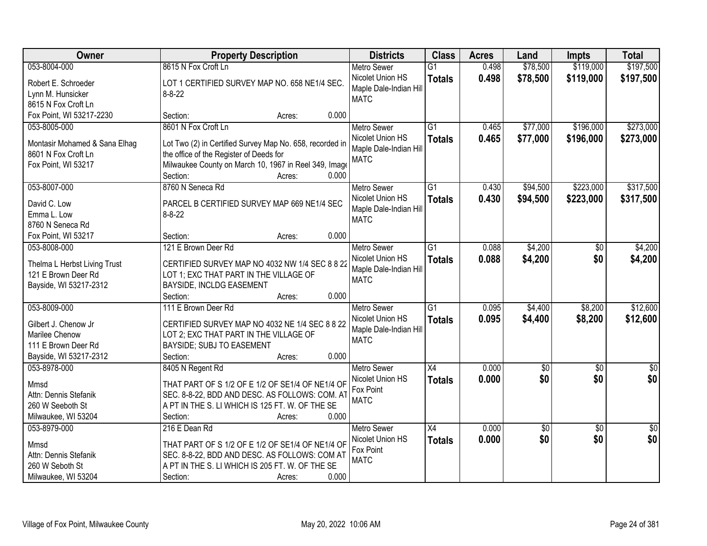| \$119,000<br>\$197,500<br>053-8004-000<br>8615 N Fox Croft Ln<br>0.498<br>\$78,500<br>$\overline{G1}$<br><b>Metro Sewer</b><br>Nicolet Union HS<br>0.498<br>\$78,500<br>\$119,000<br>\$197,500<br><b>Totals</b><br>Robert E. Schroeder<br>LOT 1 CERTIFIED SURVEY MAP NO. 658 NE1/4 SEC.<br>Maple Dale-Indian Hill<br>$8 - 8 - 22$<br>Lynn M. Hunsicker<br><b>MATC</b><br>8615 N Fox Croft Ln<br>0.000<br>Fox Point, WI 53217-2230<br>Section:<br>Acres:<br>\$273,000<br>8601 N Fox Croft Ln<br>$\overline{G1}$<br>\$77,000<br>\$196,000<br>053-8005-000<br>0.465<br><b>Metro Sewer</b><br>0.465<br>\$77,000<br>\$196,000<br>Nicolet Union HS<br>\$273,000<br><b>Totals</b><br>Lot Two (2) in Certified Survey Map No. 658, recorded in<br>Montasir Mohamed & Sana Elhag<br>Maple Dale-Indian Hill<br>8601 N Fox Croft Ln<br>the office of the Register of Deeds for<br><b>MATC</b><br>Milwaukee County on March 10, 1967 in Reel 349, Image<br>Fox Point, WI 53217<br>0.000<br>Section:<br>Acres:<br>\$223,000<br>\$317,500<br>053-8007-000<br>8760 N Seneca Rd<br>$\overline{G1}$<br>0.430<br>\$94,500<br>Metro Sewer<br>Nicolet Union HS<br>0.430<br>\$94,500<br>\$223,000<br>\$317,500<br><b>Totals</b><br>PARCEL B CERTIFIED SURVEY MAP 669 NE1/4 SEC<br>David C. Low<br>Maple Dale-Indian Hill<br>Emma L. Low<br>$8 - 8 - 22$<br><b>MATC</b><br>8760 N Seneca Rd<br>0.000<br>Fox Point, WI 53217<br>Section:<br>Acres:<br>121 E Brown Deer Rd<br>\$4,200<br>\$4,200<br>053-8008-000<br>G1<br>0.088<br><b>Metro Sewer</b><br>$\sqrt[6]{}$<br>0.088<br>Nicolet Union HS<br>\$4,200<br>\$0<br>\$4,200<br><b>Totals</b><br>Thelma L Herbst Living Trust<br>CERTIFIED SURVEY MAP NO 4032 NW 1/4 SEC 8 8 22<br>Maple Dale-Indian Hill<br>121 E Brown Deer Rd<br>LOT 1; EXC THAT PART IN THE VILLAGE OF<br><b>MATC</b><br>Bayside, WI 53217-2312<br>BAYSIDE, INCLDG EASEMENT<br>0.000<br>Section:<br>Acres:<br>$\overline{G1}$<br>\$4,400<br>\$12,600<br>053-8009-000<br>111 E Brown Deer Rd<br>0.095<br>\$8,200<br><b>Metro Sewer</b><br>0.095<br>\$4,400<br>\$8,200<br>\$12,600<br>Nicolet Union HS<br><b>Totals</b><br>Gilbert J. Chenow Jr<br>CERTIFIED SURVEY MAP NO 4032 NE 1/4 SEC 8 8 22<br>Maple Dale-Indian Hill<br>Marilee Chenow<br>LOT 2; EXC THAT PART IN THE VILLAGE OF<br><b>MATC</b><br>111 E Brown Deer Rd<br>BAYSIDE; SUBJ TO EASEMENT<br>Bayside, WI 53217-2312<br>0.000<br>Section:<br>Acres:<br>$\overline{X4}$<br>053-8978-000<br>8405 N Regent Rd<br><b>Metro Sewer</b><br>0.000<br>$\sqrt{6}$<br>$\sqrt{6}$<br>$\frac{6}{3}$<br>\$0<br>\$0<br>\$0<br>Nicolet Union HS<br>0.000<br><b>Totals</b><br>THAT PART OF S 1/2 OF E 1/2 OF SE1/4 OF NE1/4 OF<br>Mmsd<br>Fox Point<br>Attn: Dennis Stefanik<br>SEC. 8-8-22, BDD AND DESC. AS FOLLOWS: COM. AT<br><b>MATC</b><br>A PT IN THE S. LI WHICH IS 125 FT. W. OF THE SE<br>260 W Seeboth St<br>0.000<br>Milwaukee, WI 53204<br>Section:<br>Acres:<br>0.000<br>$\overline{50}$<br>053-8979-000<br>216 E Dean Rd<br><b>Metro Sewer</b><br>$\overline{X4}$<br>\$0<br>$\overline{50}$ | Owner | <b>Property Description</b> | <b>Districts</b> | <b>Class</b>  | <b>Acres</b> | Land | <b>Impts</b> | <b>Total</b> |
|--------------------------------------------------------------------------------------------------------------------------------------------------------------------------------------------------------------------------------------------------------------------------------------------------------------------------------------------------------------------------------------------------------------------------------------------------------------------------------------------------------------------------------------------------------------------------------------------------------------------------------------------------------------------------------------------------------------------------------------------------------------------------------------------------------------------------------------------------------------------------------------------------------------------------------------------------------------------------------------------------------------------------------------------------------------------------------------------------------------------------------------------------------------------------------------------------------------------------------------------------------------------------------------------------------------------------------------------------------------------------------------------------------------------------------------------------------------------------------------------------------------------------------------------------------------------------------------------------------------------------------------------------------------------------------------------------------------------------------------------------------------------------------------------------------------------------------------------------------------------------------------------------------------------------------------------------------------------------------------------------------------------------------------------------------------------------------------------------------------------------------------------------------------------------------------------------------------------------------------------------------------------------------------------------------------------------------------------------------------------------------------------------------------------------------------------------------------------------------------------------------------------------------------------------------------------------------------------------------------------------------------------------------------------------------------------------------------------------------------------------------------------------------------------------------------------------------------------------------------------------------------------------------------------------------------------------------------------------------------------------------------------------------------------------------|-------|-----------------------------|------------------|---------------|--------------|------|--------------|--------------|
|                                                                                                                                                                                                                                                                                                                                                                                                                                                                                                                                                                                                                                                                                                                                                                                                                                                                                                                                                                                                                                                                                                                                                                                                                                                                                                                                                                                                                                                                                                                                                                                                                                                                                                                                                                                                                                                                                                                                                                                                                                                                                                                                                                                                                                                                                                                                                                                                                                                                                                                                                                                                                                                                                                                                                                                                                                                                                                                                                                                                                                                        |       |                             |                  |               |              |      |              |              |
|                                                                                                                                                                                                                                                                                                                                                                                                                                                                                                                                                                                                                                                                                                                                                                                                                                                                                                                                                                                                                                                                                                                                                                                                                                                                                                                                                                                                                                                                                                                                                                                                                                                                                                                                                                                                                                                                                                                                                                                                                                                                                                                                                                                                                                                                                                                                                                                                                                                                                                                                                                                                                                                                                                                                                                                                                                                                                                                                                                                                                                                        |       |                             |                  |               |              |      |              |              |
|                                                                                                                                                                                                                                                                                                                                                                                                                                                                                                                                                                                                                                                                                                                                                                                                                                                                                                                                                                                                                                                                                                                                                                                                                                                                                                                                                                                                                                                                                                                                                                                                                                                                                                                                                                                                                                                                                                                                                                                                                                                                                                                                                                                                                                                                                                                                                                                                                                                                                                                                                                                                                                                                                                                                                                                                                                                                                                                                                                                                                                                        |       |                             |                  |               |              |      |              |              |
|                                                                                                                                                                                                                                                                                                                                                                                                                                                                                                                                                                                                                                                                                                                                                                                                                                                                                                                                                                                                                                                                                                                                                                                                                                                                                                                                                                                                                                                                                                                                                                                                                                                                                                                                                                                                                                                                                                                                                                                                                                                                                                                                                                                                                                                                                                                                                                                                                                                                                                                                                                                                                                                                                                                                                                                                                                                                                                                                                                                                                                                        |       |                             |                  |               |              |      |              |              |
|                                                                                                                                                                                                                                                                                                                                                                                                                                                                                                                                                                                                                                                                                                                                                                                                                                                                                                                                                                                                                                                                                                                                                                                                                                                                                                                                                                                                                                                                                                                                                                                                                                                                                                                                                                                                                                                                                                                                                                                                                                                                                                                                                                                                                                                                                                                                                                                                                                                                                                                                                                                                                                                                                                                                                                                                                                                                                                                                                                                                                                                        |       |                             |                  |               |              |      |              |              |
|                                                                                                                                                                                                                                                                                                                                                                                                                                                                                                                                                                                                                                                                                                                                                                                                                                                                                                                                                                                                                                                                                                                                                                                                                                                                                                                                                                                                                                                                                                                                                                                                                                                                                                                                                                                                                                                                                                                                                                                                                                                                                                                                                                                                                                                                                                                                                                                                                                                                                                                                                                                                                                                                                                                                                                                                                                                                                                                                                                                                                                                        |       |                             |                  |               |              |      |              |              |
|                                                                                                                                                                                                                                                                                                                                                                                                                                                                                                                                                                                                                                                                                                                                                                                                                                                                                                                                                                                                                                                                                                                                                                                                                                                                                                                                                                                                                                                                                                                                                                                                                                                                                                                                                                                                                                                                                                                                                                                                                                                                                                                                                                                                                                                                                                                                                                                                                                                                                                                                                                                                                                                                                                                                                                                                                                                                                                                                                                                                                                                        |       |                             |                  |               |              |      |              |              |
|                                                                                                                                                                                                                                                                                                                                                                                                                                                                                                                                                                                                                                                                                                                                                                                                                                                                                                                                                                                                                                                                                                                                                                                                                                                                                                                                                                                                                                                                                                                                                                                                                                                                                                                                                                                                                                                                                                                                                                                                                                                                                                                                                                                                                                                                                                                                                                                                                                                                                                                                                                                                                                                                                                                                                                                                                                                                                                                                                                                                                                                        |       |                             |                  |               |              |      |              |              |
|                                                                                                                                                                                                                                                                                                                                                                                                                                                                                                                                                                                                                                                                                                                                                                                                                                                                                                                                                                                                                                                                                                                                                                                                                                                                                                                                                                                                                                                                                                                                                                                                                                                                                                                                                                                                                                                                                                                                                                                                                                                                                                                                                                                                                                                                                                                                                                                                                                                                                                                                                                                                                                                                                                                                                                                                                                                                                                                                                                                                                                                        |       |                             |                  |               |              |      |              |              |
|                                                                                                                                                                                                                                                                                                                                                                                                                                                                                                                                                                                                                                                                                                                                                                                                                                                                                                                                                                                                                                                                                                                                                                                                                                                                                                                                                                                                                                                                                                                                                                                                                                                                                                                                                                                                                                                                                                                                                                                                                                                                                                                                                                                                                                                                                                                                                                                                                                                                                                                                                                                                                                                                                                                                                                                                                                                                                                                                                                                                                                                        |       |                             |                  |               |              |      |              |              |
|                                                                                                                                                                                                                                                                                                                                                                                                                                                                                                                                                                                                                                                                                                                                                                                                                                                                                                                                                                                                                                                                                                                                                                                                                                                                                                                                                                                                                                                                                                                                                                                                                                                                                                                                                                                                                                                                                                                                                                                                                                                                                                                                                                                                                                                                                                                                                                                                                                                                                                                                                                                                                                                                                                                                                                                                                                                                                                                                                                                                                                                        |       |                             |                  |               |              |      |              |              |
|                                                                                                                                                                                                                                                                                                                                                                                                                                                                                                                                                                                                                                                                                                                                                                                                                                                                                                                                                                                                                                                                                                                                                                                                                                                                                                                                                                                                                                                                                                                                                                                                                                                                                                                                                                                                                                                                                                                                                                                                                                                                                                                                                                                                                                                                                                                                                                                                                                                                                                                                                                                                                                                                                                                                                                                                                                                                                                                                                                                                                                                        |       |                             |                  |               |              |      |              |              |
|                                                                                                                                                                                                                                                                                                                                                                                                                                                                                                                                                                                                                                                                                                                                                                                                                                                                                                                                                                                                                                                                                                                                                                                                                                                                                                                                                                                                                                                                                                                                                                                                                                                                                                                                                                                                                                                                                                                                                                                                                                                                                                                                                                                                                                                                                                                                                                                                                                                                                                                                                                                                                                                                                                                                                                                                                                                                                                                                                                                                                                                        |       |                             |                  |               |              |      |              |              |
|                                                                                                                                                                                                                                                                                                                                                                                                                                                                                                                                                                                                                                                                                                                                                                                                                                                                                                                                                                                                                                                                                                                                                                                                                                                                                                                                                                                                                                                                                                                                                                                                                                                                                                                                                                                                                                                                                                                                                                                                                                                                                                                                                                                                                                                                                                                                                                                                                                                                                                                                                                                                                                                                                                                                                                                                                                                                                                                                                                                                                                                        |       |                             |                  |               |              |      |              |              |
|                                                                                                                                                                                                                                                                                                                                                                                                                                                                                                                                                                                                                                                                                                                                                                                                                                                                                                                                                                                                                                                                                                                                                                                                                                                                                                                                                                                                                                                                                                                                                                                                                                                                                                                                                                                                                                                                                                                                                                                                                                                                                                                                                                                                                                                                                                                                                                                                                                                                                                                                                                                                                                                                                                                                                                                                                                                                                                                                                                                                                                                        |       |                             |                  |               |              |      |              |              |
|                                                                                                                                                                                                                                                                                                                                                                                                                                                                                                                                                                                                                                                                                                                                                                                                                                                                                                                                                                                                                                                                                                                                                                                                                                                                                                                                                                                                                                                                                                                                                                                                                                                                                                                                                                                                                                                                                                                                                                                                                                                                                                                                                                                                                                                                                                                                                                                                                                                                                                                                                                                                                                                                                                                                                                                                                                                                                                                                                                                                                                                        |       |                             |                  |               |              |      |              |              |
|                                                                                                                                                                                                                                                                                                                                                                                                                                                                                                                                                                                                                                                                                                                                                                                                                                                                                                                                                                                                                                                                                                                                                                                                                                                                                                                                                                                                                                                                                                                                                                                                                                                                                                                                                                                                                                                                                                                                                                                                                                                                                                                                                                                                                                                                                                                                                                                                                                                                                                                                                                                                                                                                                                                                                                                                                                                                                                                                                                                                                                                        |       |                             |                  |               |              |      |              |              |
|                                                                                                                                                                                                                                                                                                                                                                                                                                                                                                                                                                                                                                                                                                                                                                                                                                                                                                                                                                                                                                                                                                                                                                                                                                                                                                                                                                                                                                                                                                                                                                                                                                                                                                                                                                                                                                                                                                                                                                                                                                                                                                                                                                                                                                                                                                                                                                                                                                                                                                                                                                                                                                                                                                                                                                                                                                                                                                                                                                                                                                                        |       |                             |                  |               |              |      |              |              |
|                                                                                                                                                                                                                                                                                                                                                                                                                                                                                                                                                                                                                                                                                                                                                                                                                                                                                                                                                                                                                                                                                                                                                                                                                                                                                                                                                                                                                                                                                                                                                                                                                                                                                                                                                                                                                                                                                                                                                                                                                                                                                                                                                                                                                                                                                                                                                                                                                                                                                                                                                                                                                                                                                                                                                                                                                                                                                                                                                                                                                                                        |       |                             |                  |               |              |      |              |              |
|                                                                                                                                                                                                                                                                                                                                                                                                                                                                                                                                                                                                                                                                                                                                                                                                                                                                                                                                                                                                                                                                                                                                                                                                                                                                                                                                                                                                                                                                                                                                                                                                                                                                                                                                                                                                                                                                                                                                                                                                                                                                                                                                                                                                                                                                                                                                                                                                                                                                                                                                                                                                                                                                                                                                                                                                                                                                                                                                                                                                                                                        |       |                             |                  |               |              |      |              |              |
|                                                                                                                                                                                                                                                                                                                                                                                                                                                                                                                                                                                                                                                                                                                                                                                                                                                                                                                                                                                                                                                                                                                                                                                                                                                                                                                                                                                                                                                                                                                                                                                                                                                                                                                                                                                                                                                                                                                                                                                                                                                                                                                                                                                                                                                                                                                                                                                                                                                                                                                                                                                                                                                                                                                                                                                                                                                                                                                                                                                                                                                        |       |                             |                  |               |              |      |              |              |
|                                                                                                                                                                                                                                                                                                                                                                                                                                                                                                                                                                                                                                                                                                                                                                                                                                                                                                                                                                                                                                                                                                                                                                                                                                                                                                                                                                                                                                                                                                                                                                                                                                                                                                                                                                                                                                                                                                                                                                                                                                                                                                                                                                                                                                                                                                                                                                                                                                                                                                                                                                                                                                                                                                                                                                                                                                                                                                                                                                                                                                                        |       |                             |                  |               |              |      |              |              |
|                                                                                                                                                                                                                                                                                                                                                                                                                                                                                                                                                                                                                                                                                                                                                                                                                                                                                                                                                                                                                                                                                                                                                                                                                                                                                                                                                                                                                                                                                                                                                                                                                                                                                                                                                                                                                                                                                                                                                                                                                                                                                                                                                                                                                                                                                                                                                                                                                                                                                                                                                                                                                                                                                                                                                                                                                                                                                                                                                                                                                                                        |       |                             |                  |               |              |      |              |              |
|                                                                                                                                                                                                                                                                                                                                                                                                                                                                                                                                                                                                                                                                                                                                                                                                                                                                                                                                                                                                                                                                                                                                                                                                                                                                                                                                                                                                                                                                                                                                                                                                                                                                                                                                                                                                                                                                                                                                                                                                                                                                                                                                                                                                                                                                                                                                                                                                                                                                                                                                                                                                                                                                                                                                                                                                                                                                                                                                                                                                                                                        |       |                             |                  |               |              |      |              |              |
|                                                                                                                                                                                                                                                                                                                                                                                                                                                                                                                                                                                                                                                                                                                                                                                                                                                                                                                                                                                                                                                                                                                                                                                                                                                                                                                                                                                                                                                                                                                                                                                                                                                                                                                                                                                                                                                                                                                                                                                                                                                                                                                                                                                                                                                                                                                                                                                                                                                                                                                                                                                                                                                                                                                                                                                                                                                                                                                                                                                                                                                        |       |                             |                  |               |              |      |              |              |
|                                                                                                                                                                                                                                                                                                                                                                                                                                                                                                                                                                                                                                                                                                                                                                                                                                                                                                                                                                                                                                                                                                                                                                                                                                                                                                                                                                                                                                                                                                                                                                                                                                                                                                                                                                                                                                                                                                                                                                                                                                                                                                                                                                                                                                                                                                                                                                                                                                                                                                                                                                                                                                                                                                                                                                                                                                                                                                                                                                                                                                                        |       |                             |                  |               |              |      |              |              |
|                                                                                                                                                                                                                                                                                                                                                                                                                                                                                                                                                                                                                                                                                                                                                                                                                                                                                                                                                                                                                                                                                                                                                                                                                                                                                                                                                                                                                                                                                                                                                                                                                                                                                                                                                                                                                                                                                                                                                                                                                                                                                                                                                                                                                                                                                                                                                                                                                                                                                                                                                                                                                                                                                                                                                                                                                                                                                                                                                                                                                                                        |       |                             |                  |               |              |      |              |              |
|                                                                                                                                                                                                                                                                                                                                                                                                                                                                                                                                                                                                                                                                                                                                                                                                                                                                                                                                                                                                                                                                                                                                                                                                                                                                                                                                                                                                                                                                                                                                                                                                                                                                                                                                                                                                                                                                                                                                                                                                                                                                                                                                                                                                                                                                                                                                                                                                                                                                                                                                                                                                                                                                                                                                                                                                                                                                                                                                                                                                                                                        |       |                             |                  |               |              |      |              |              |
|                                                                                                                                                                                                                                                                                                                                                                                                                                                                                                                                                                                                                                                                                                                                                                                                                                                                                                                                                                                                                                                                                                                                                                                                                                                                                                                                                                                                                                                                                                                                                                                                                                                                                                                                                                                                                                                                                                                                                                                                                                                                                                                                                                                                                                                                                                                                                                                                                                                                                                                                                                                                                                                                                                                                                                                                                                                                                                                                                                                                                                                        |       |                             |                  |               |              |      |              |              |
|                                                                                                                                                                                                                                                                                                                                                                                                                                                                                                                                                                                                                                                                                                                                                                                                                                                                                                                                                                                                                                                                                                                                                                                                                                                                                                                                                                                                                                                                                                                                                                                                                                                                                                                                                                                                                                                                                                                                                                                                                                                                                                                                                                                                                                                                                                                                                                                                                                                                                                                                                                                                                                                                                                                                                                                                                                                                                                                                                                                                                                                        |       |                             |                  |               |              |      |              |              |
|                                                                                                                                                                                                                                                                                                                                                                                                                                                                                                                                                                                                                                                                                                                                                                                                                                                                                                                                                                                                                                                                                                                                                                                                                                                                                                                                                                                                                                                                                                                                                                                                                                                                                                                                                                                                                                                                                                                                                                                                                                                                                                                                                                                                                                                                                                                                                                                                                                                                                                                                                                                                                                                                                                                                                                                                                                                                                                                                                                                                                                                        |       |                             |                  |               |              |      |              |              |
|                                                                                                                                                                                                                                                                                                                                                                                                                                                                                                                                                                                                                                                                                                                                                                                                                                                                                                                                                                                                                                                                                                                                                                                                                                                                                                                                                                                                                                                                                                                                                                                                                                                                                                                                                                                                                                                                                                                                                                                                                                                                                                                                                                                                                                                                                                                                                                                                                                                                                                                                                                                                                                                                                                                                                                                                                                                                                                                                                                                                                                                        |       |                             |                  |               |              |      |              |              |
|                                                                                                                                                                                                                                                                                                                                                                                                                                                                                                                                                                                                                                                                                                                                                                                                                                                                                                                                                                                                                                                                                                                                                                                                                                                                                                                                                                                                                                                                                                                                                                                                                                                                                                                                                                                                                                                                                                                                                                                                                                                                                                                                                                                                                                                                                                                                                                                                                                                                                                                                                                                                                                                                                                                                                                                                                                                                                                                                                                                                                                                        |       |                             |                  |               |              |      |              |              |
|                                                                                                                                                                                                                                                                                                                                                                                                                                                                                                                                                                                                                                                                                                                                                                                                                                                                                                                                                                                                                                                                                                                                                                                                                                                                                                                                                                                                                                                                                                                                                                                                                                                                                                                                                                                                                                                                                                                                                                                                                                                                                                                                                                                                                                                                                                                                                                                                                                                                                                                                                                                                                                                                                                                                                                                                                                                                                                                                                                                                                                                        |       |                             |                  |               |              |      |              |              |
| THAT PART OF S 1/2 OF E 1/2 OF SE1/4 OF NE1/4 OF<br>Mmsd                                                                                                                                                                                                                                                                                                                                                                                                                                                                                                                                                                                                                                                                                                                                                                                                                                                                                                                                                                                                                                                                                                                                                                                                                                                                                                                                                                                                                                                                                                                                                                                                                                                                                                                                                                                                                                                                                                                                                                                                                                                                                                                                                                                                                                                                                                                                                                                                                                                                                                                                                                                                                                                                                                                                                                                                                                                                                                                                                                                               |       |                             | Nicolet Union HS | <b>Totals</b> | 0.000        | \$0  | \$0          | \$0          |
| Fox Point<br>Attn: Dennis Stefanik<br>SEC. 8-8-22, BDD AND DESC. AS FOLLOWS: COM AT                                                                                                                                                                                                                                                                                                                                                                                                                                                                                                                                                                                                                                                                                                                                                                                                                                                                                                                                                                                                                                                                                                                                                                                                                                                                                                                                                                                                                                                                                                                                                                                                                                                                                                                                                                                                                                                                                                                                                                                                                                                                                                                                                                                                                                                                                                                                                                                                                                                                                                                                                                                                                                                                                                                                                                                                                                                                                                                                                                    |       |                             |                  |               |              |      |              |              |
| <b>MATC</b><br>A PT IN THE S. LI WHICH IS 205 FT. W. OF THE SE<br>260 W Seboth St                                                                                                                                                                                                                                                                                                                                                                                                                                                                                                                                                                                                                                                                                                                                                                                                                                                                                                                                                                                                                                                                                                                                                                                                                                                                                                                                                                                                                                                                                                                                                                                                                                                                                                                                                                                                                                                                                                                                                                                                                                                                                                                                                                                                                                                                                                                                                                                                                                                                                                                                                                                                                                                                                                                                                                                                                                                                                                                                                                      |       |                             |                  |               |              |      |              |              |
| 0.000<br>Milwaukee, WI 53204<br>Section:<br>Acres:                                                                                                                                                                                                                                                                                                                                                                                                                                                                                                                                                                                                                                                                                                                                                                                                                                                                                                                                                                                                                                                                                                                                                                                                                                                                                                                                                                                                                                                                                                                                                                                                                                                                                                                                                                                                                                                                                                                                                                                                                                                                                                                                                                                                                                                                                                                                                                                                                                                                                                                                                                                                                                                                                                                                                                                                                                                                                                                                                                                                     |       |                             |                  |               |              |      |              |              |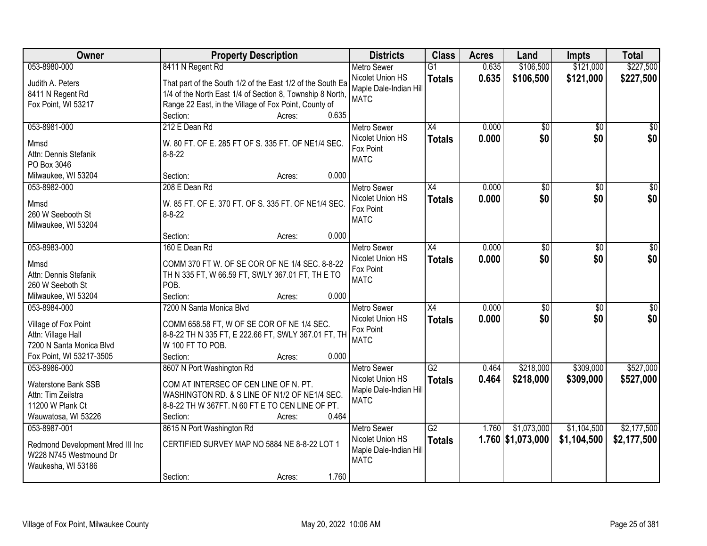| Owner                            | <b>Property Description</b>                                | <b>Districts</b>       | <b>Class</b>    | <b>Acres</b> | Land                | <b>Impts</b>    | <b>Total</b>    |
|----------------------------------|------------------------------------------------------------|------------------------|-----------------|--------------|---------------------|-----------------|-----------------|
| 053-8980-000                     | 8411 N Regent Rd                                           | <b>Metro Sewer</b>     | $\overline{G1}$ | 0.635        | \$106,500           | \$121,000       | \$227,500       |
| Judith A. Peters                 | That part of the South 1/2 of the East 1/2 of the South Ea | Nicolet Union HS       | <b>Totals</b>   | 0.635        | \$106,500           | \$121,000       | \$227,500       |
| 8411 N Regent Rd                 | 1/4 of the North East 1/4 of Section 8, Township 8 North,  | Maple Dale-Indian Hill |                 |              |                     |                 |                 |
| Fox Point, WI 53217              | Range 22 East, in the Village of Fox Point, County of      | <b>MATC</b>            |                 |              |                     |                 |                 |
|                                  | 0.635<br>Section:<br>Acres:                                |                        |                 |              |                     |                 |                 |
| 053-8981-000                     | 212 E Dean Rd                                              | <b>Metro Sewer</b>     | X4              | 0.000        | \$0                 | $\overline{50}$ | $\sqrt{50}$     |
| Mmsd                             | W. 80 FT. OF E. 285 FT OF S. 335 FT. OF NE1/4 SEC.         | Nicolet Union HS       | <b>Totals</b>   | 0.000        | \$0                 | \$0             | \$0             |
| Attn: Dennis Stefanik            | $8 - 8 - 22$                                               | Fox Point              |                 |              |                     |                 |                 |
| PO Box 3046                      |                                                            | <b>MATC</b>            |                 |              |                     |                 |                 |
| Milwaukee, WI 53204              | 0.000<br>Section:<br>Acres:                                |                        |                 |              |                     |                 |                 |
| 053-8982-000                     | 208 E Dean Rd                                              | <b>Metro Sewer</b>     | X4              | 0.000        | $\overline{50}$     | \$0             | $\overline{30}$ |
|                                  |                                                            | Nicolet Union HS       | <b>Totals</b>   | 0.000        | \$0                 | \$0             | \$0             |
| Mmsd                             | W. 85 FT. OF E. 370 FT. OF S. 335 FT. OF NE1/4 SEC.        | Fox Point              |                 |              |                     |                 |                 |
| 260 W Seebooth St                | $8 - 8 - 22$                                               | <b>MATC</b>            |                 |              |                     |                 |                 |
| Milwaukee, WI 53204              | 0.000<br>Section:<br>Acres:                                |                        |                 |              |                     |                 |                 |
| 053-8983-000                     | 160 E Dean Rd                                              | <b>Metro Sewer</b>     | $\overline{X4}$ | 0.000        | $\overline{30}$     | \$0             | $\overline{50}$ |
|                                  |                                                            | Nicolet Union HS       |                 |              |                     |                 |                 |
| Mmsd                             | COMM 370 FT W. OF SE COR OF NE 1/4 SEC. 8-8-22             | Fox Point              | <b>Totals</b>   | 0.000        | \$0                 | \$0             | \$0             |
| Attn: Dennis Stefanik            | TH N 335 FT, W 66.59 FT, SWLY 367.01 FT, TH E TO           | <b>MATC</b>            |                 |              |                     |                 |                 |
| 260 W Seeboth St                 | POB.                                                       |                        |                 |              |                     |                 |                 |
| Milwaukee, WI 53204              | 0.000<br>Section:<br>Acres:                                |                        |                 |              |                     |                 |                 |
| 053-8984-000                     | 7200 N Santa Monica Blyd                                   | <b>Metro Sewer</b>     | $\overline{X4}$ | 0.000        | $\overline{50}$     | $\overline{50}$ | $\overline{50}$ |
| Village of Fox Point             | COMM 658.58 FT, W OF SE COR OF NE 1/4 SEC.                 | Nicolet Union HS       | <b>Totals</b>   | 0.000        | \$0                 | \$0             | \$0             |
| Attn: Village Hall               | 8-8-22 TH N 335 FT, E 222.66 FT, SWLY 367.01 FT, TH        | Fox Point              |                 |              |                     |                 |                 |
| 7200 N Santa Monica Blvd         | W 100 FT TO POB.                                           | <b>MATC</b>            |                 |              |                     |                 |                 |
| Fox Point, WI 53217-3505         | 0.000<br>Section:<br>Acres:                                |                        |                 |              |                     |                 |                 |
| 053-8986-000                     | 8607 N Port Washington Rd                                  | <b>Metro Sewer</b>     | $\overline{G2}$ | 0.464        | \$218,000           | \$309,000       | \$527,000       |
|                                  |                                                            | Nicolet Union HS       | <b>Totals</b>   | 0.464        | \$218,000           | \$309,000       | \$527,000       |
| <b>Waterstone Bank SSB</b>       | COM AT INTERSEC OF CEN LINE OF N. PT.                      | Maple Dale-Indian Hill |                 |              |                     |                 |                 |
| Attn: Tim Zeilstra               | WASHINGTON RD. & S LINE OF N1/2 OF NE1/4 SEC.              | <b>MATC</b>            |                 |              |                     |                 |                 |
| 11200 W Plank Ct                 | 8-8-22 TH W 367FT. N 60 FT E TO CEN LINE OF PT.            |                        |                 |              |                     |                 |                 |
| Wauwatosa, WI 53226              | 0.464<br>Section:<br>Acres:                                |                        |                 |              |                     |                 |                 |
| 053-8987-001                     | 8615 N Port Washington Rd                                  | <b>Metro Sewer</b>     | G2              | 1.760        | \$1,073,000         | \$1,104,500     | \$2,177,500     |
| Redmond Development Mred III Inc | CERTIFIED SURVEY MAP NO 5884 NE 8-8-22 LOT 1               | Nicolet Union HS       | <b>Totals</b>   |              | $1.760$ \$1,073,000 | \$1,104,500     | \$2,177,500     |
| W228 N745 Westmound Dr           |                                                            | Maple Dale-Indian Hill |                 |              |                     |                 |                 |
| Waukesha, WI 53186               |                                                            | <b>MATC</b>            |                 |              |                     |                 |                 |
|                                  | 1.760<br>Section:<br>Acres:                                |                        |                 |              |                     |                 |                 |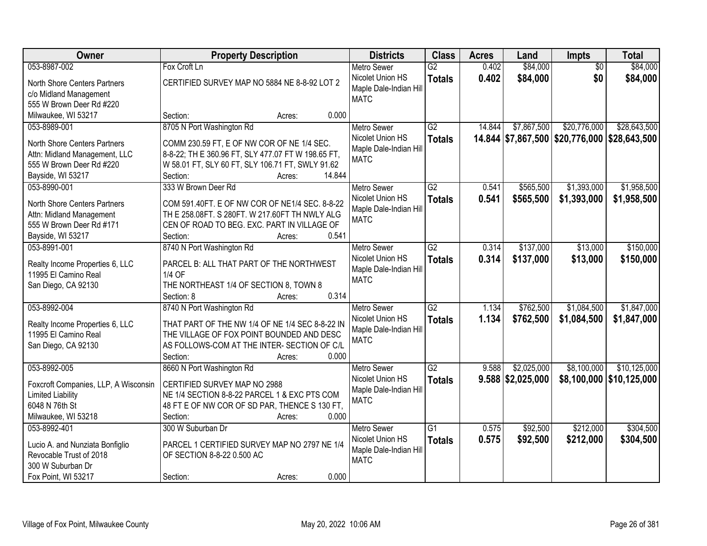| Owner                                | <b>Property Description</b>                        | <b>Districts</b>       | <b>Class</b>    | <b>Acres</b> | Land                | Impts                                        | <b>Total</b>               |
|--------------------------------------|----------------------------------------------------|------------------------|-----------------|--------------|---------------------|----------------------------------------------|----------------------------|
| 053-8987-002                         | Fox Croft Ln                                       | <b>Metro Sewer</b>     | $\overline{G2}$ | 0.402        | \$84,000            | $\overline{50}$                              | \$84,000                   |
| North Shore Centers Partners         | CERTIFIED SURVEY MAP NO 5884 NE 8-8-92 LOT 2       | Nicolet Union HS       | <b>Totals</b>   | 0.402        | \$84,000            | \$0                                          | \$84,000                   |
| c/o Midland Management               |                                                    | Maple Dale-Indian Hill |                 |              |                     |                                              |                            |
| 555 W Brown Deer Rd #220             |                                                    | <b>MATC</b>            |                 |              |                     |                                              |                            |
| Milwaukee, WI 53217                  | 0.000<br>Section:<br>Acres:                        |                        |                 |              |                     |                                              |                            |
| 053-8989-001                         | 8705 N Port Washington Rd                          | <b>Metro Sewer</b>     | $\overline{G2}$ | 14.844       | \$7,867,500         | \$20,776,000                                 | \$28,643,500               |
|                                      |                                                    | Nicolet Union HS       | <b>Totals</b>   |              |                     | 14.844 \$7,867,500 \$20,776,000 \$28,643,500 |                            |
| North Shore Centers Partners         | COMM 230.59 FT, E OF NW COR OF NE 1/4 SEC.         | Maple Dale-Indian Hill |                 |              |                     |                                              |                            |
| Attn: Midland Management, LLC        | 8-8-22; TH E 360.96 FT, SLY 477.07 FT W 198.65 FT, | <b>MATC</b>            |                 |              |                     |                                              |                            |
| 555 W Brown Deer Rd #220             | W 58.01 FT, SLY 60 FT, SLY 106.71 FT, SWLY 91.62   |                        |                 |              |                     |                                              |                            |
| Bayside, WI 53217                    | 14.844<br>Section:<br>Acres:                       |                        |                 |              |                     |                                              |                            |
| 053-8990-001                         | 333 W Brown Deer Rd                                | <b>Metro Sewer</b>     | G2              | 0.541        | \$565,500           | \$1,393,000                                  | \$1,958,500                |
| North Shore Centers Partners         | COM 591.40FT. E OF NW COR OF NE1/4 SEC. 8-8-22     | Nicolet Union HS       | <b>Totals</b>   | 0.541        | \$565,500           | \$1,393,000                                  | \$1,958,500                |
| Attn: Midland Management             | TH E 258.08FT. S 280FT. W 217.60FT TH NWLY ALG     | Maple Dale-Indian Hil  |                 |              |                     |                                              |                            |
| 555 W Brown Deer Rd #171             | CEN OF ROAD TO BEG. EXC. PART IN VILLAGE OF        | <b>MATC</b>            |                 |              |                     |                                              |                            |
| Bayside, WI 53217                    | 0.541<br>Section:<br>Acres:                        |                        |                 |              |                     |                                              |                            |
| 053-8991-001                         | 8740 N Port Washington Rd                          | <b>Metro Sewer</b>     | G2              | 0.314        | \$137,000           | \$13,000                                     | \$150,000                  |
|                                      |                                                    | Nicolet Union HS       | <b>Totals</b>   | 0.314        | \$137,000           | \$13,000                                     | \$150,000                  |
| Realty Income Properties 6, LLC      | PARCEL B: ALL THAT PART OF THE NORTHWEST           | Maple Dale-Indian Hill |                 |              |                     |                                              |                            |
| 11995 El Camino Real                 | 1/4 OF                                             | <b>MATC</b>            |                 |              |                     |                                              |                            |
| San Diego, CA 92130                  | THE NORTHEAST 1/4 OF SECTION 8, TOWN 8             |                        |                 |              |                     |                                              |                            |
|                                      | Section: 8<br>0.314<br>Acres:                      |                        |                 |              |                     |                                              |                            |
| 053-8992-004                         | 8740 N Port Washington Rd                          | <b>Metro Sewer</b>     | $\overline{G2}$ | 1.134        | \$762,500           | \$1,084,500                                  | \$1,847,000                |
| Realty Income Properties 6, LLC      | THAT PART OF THE NW 1/4 OF NE 1/4 SEC 8-8-22 IN    | Nicolet Union HS       | <b>Totals</b>   | 1.134        | \$762,500           | \$1,084,500                                  | \$1,847,000                |
| 11995 El Camino Real                 | THE VILLAGE OF FOX POINT BOUNDED AND DESC          | Maple Dale-Indian Hill |                 |              |                     |                                              |                            |
| San Diego, CA 92130                  | AS FOLLOWS-COM AT THE INTER- SECTION OF C/L        | <b>MATC</b>            |                 |              |                     |                                              |                            |
|                                      | 0.000<br>Section:<br>Acres:                        |                        |                 |              |                     |                                              |                            |
| 053-8992-005                         | 8660 N Port Washington Rd                          | <b>Metro Sewer</b>     | $\overline{G2}$ | 9.588        | \$2,025,000         | \$8,100,000                                  | \$10,125,000               |
|                                      |                                                    | Nicolet Union HS       | <b>Totals</b>   |              | $9.588$ \$2,025,000 |                                              | \$8,100,000   \$10,125,000 |
| Foxcroft Companies, LLP, A Wisconsin | CERTIFIED SURVEY MAP NO 2988                       | Maple Dale-Indian Hill |                 |              |                     |                                              |                            |
| <b>Limited Liability</b>             | NE 1/4 SECTION 8-8-22 PARCEL 1 & EXC PTS COM       | <b>MATC</b>            |                 |              |                     |                                              |                            |
| 6048 N 76th St                       | 48 FT E OF NW COR OF SD PAR, THENCE S 130 FT,      |                        |                 |              |                     |                                              |                            |
| Milwaukee, WI 53218                  | Section:<br>0.000<br>Acres:                        |                        |                 |              |                     |                                              |                            |
| 053-8992-401                         | 300 W Suburban Dr                                  | <b>Metro Sewer</b>     | $\overline{G1}$ | 0.575        | \$92,500            | \$212,000                                    | \$304,500                  |
| Lucio A. and Nunziata Bonfiglio      | PARCEL 1 CERTIFIED SURVEY MAP NO 2797 NE 1/4       | Nicolet Union HS       | <b>Totals</b>   | 0.575        | \$92,500            | \$212,000                                    | \$304,500                  |
| Revocable Trust of 2018              | OF SECTION 8-8-22 0.500 AC                         | Maple Dale-Indian Hill |                 |              |                     |                                              |                            |
| 300 W Suburban Dr                    |                                                    | <b>MATC</b>            |                 |              |                     |                                              |                            |
| Fox Point, WI 53217                  | 0.000<br>Section:<br>Acres:                        |                        |                 |              |                     |                                              |                            |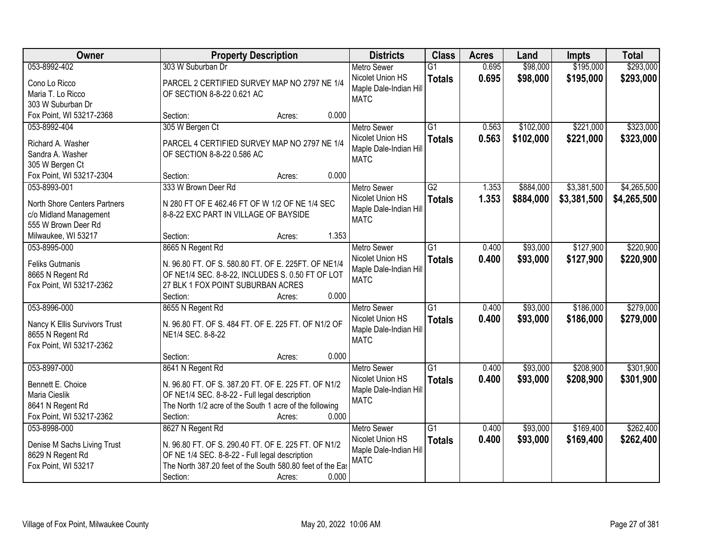| Owner                         | <b>Property Description</b>                                      | <b>Districts</b>       | <b>Class</b>    | <b>Acres</b> | Land      | <b>Impts</b> | <b>Total</b> |
|-------------------------------|------------------------------------------------------------------|------------------------|-----------------|--------------|-----------|--------------|--------------|
| 053-8992-402                  | 303 W Suburban Dr                                                | <b>Metro Sewer</b>     | $\overline{G1}$ | 0.695        | \$98,000  | \$195,000    | \$293,000    |
| Cono Lo Ricco                 | PARCEL 2 CERTIFIED SURVEY MAP NO 2797 NE 1/4                     | Nicolet Union HS       | <b>Totals</b>   | 0.695        | \$98,000  | \$195,000    | \$293,000    |
| Maria T. Lo Ricco             | OF SECTION 8-8-22 0.621 AC                                       | Maple Dale-Indian Hill |                 |              |           |              |              |
| 303 W Suburban Dr             |                                                                  | <b>MATC</b>            |                 |              |           |              |              |
| Fox Point, WI 53217-2368      | 0.000<br>Section:<br>Acres:                                      |                        |                 |              |           |              |              |
| 053-8992-404                  | 305 W Bergen Ct                                                  | <b>Metro Sewer</b>     | $\overline{G1}$ | 0.563        | \$102,000 | \$221,000    | \$323,000    |
|                               |                                                                  | Nicolet Union HS       | <b>Totals</b>   | 0.563        | \$102,000 | \$221,000    | \$323,000    |
| Richard A. Washer             | PARCEL 4 CERTIFIED SURVEY MAP NO 2797 NE 1/4                     | Maple Dale-Indian Hill |                 |              |           |              |              |
| Sandra A. Washer              | OF SECTION 8-8-22 0.586 AC                                       | <b>MATC</b>            |                 |              |           |              |              |
| 305 W Bergen Ct               | 0.000                                                            |                        |                 |              |           |              |              |
| Fox Point, WI 53217-2304      | Section:<br>Acres:                                               |                        |                 |              |           |              |              |
| 053-8993-001                  | 333 W Brown Deer Rd                                              | <b>Metro Sewer</b>     | $\overline{G2}$ | 1.353        | \$884,000 | \$3,381,500  | \$4,265,500  |
| North Shore Centers Partners  | N 280 FT OF E 462.46 FT OF W 1/2 OF NE 1/4 SEC                   | Nicolet Union HS       | <b>Totals</b>   | 1.353        | \$884,000 | \$3,381,500  | \$4,265,500  |
| c/o Midland Management        | 8-8-22 EXC PART IN VILLAGE OF BAYSIDE                            | Maple Dale-Indian Hill |                 |              |           |              |              |
| 555 W Brown Deer Rd           |                                                                  | <b>MATC</b>            |                 |              |           |              |              |
| Milwaukee, WI 53217           | 1.353<br>Section:<br>Acres:                                      |                        |                 |              |           |              |              |
| 053-8995-000                  | 8665 N Regent Rd                                                 | <b>Metro Sewer</b>     | $\overline{G1}$ | 0.400        | \$93,000  | \$127,900    | \$220,900    |
|                               |                                                                  | Nicolet Union HS       | <b>Totals</b>   | 0.400        | \$93,000  | \$127,900    | \$220,900    |
| <b>Feliks Gutmanis</b>        | N. 96.80 FT. OF S. 580.80 FT. OF E. 225FT. OF NE1/4              | Maple Dale-Indian Hill |                 |              |           |              |              |
| 8665 N Regent Rd              | OF NE1/4 SEC. 8-8-22, INCLUDES S. 0.50 FT OF LOT                 | <b>MATC</b>            |                 |              |           |              |              |
| Fox Point, WI 53217-2362      | 27 BLK 1 FOX POINT SUBURBAN ACRES                                |                        |                 |              |           |              |              |
|                               | 0.000<br>Section:<br>Acres:                                      |                        |                 |              |           |              |              |
| 053-8996-000                  | 8655 N Regent Rd                                                 | <b>Metro Sewer</b>     | $\overline{G1}$ | 0.400        | \$93,000  | \$186,000    | \$279,000    |
| Nancy K Ellis Survivors Trust | N. 96.80 FT. OF S. 484 FT. OF E. 225 FT. OF N1/2 OF              | Nicolet Union HS       | <b>Totals</b>   | 0.400        | \$93,000  | \$186,000    | \$279,000    |
| 8655 N Regent Rd              | NE1/4 SEC. 8-8-22                                                | Maple Dale-Indian Hill |                 |              |           |              |              |
| Fox Point, WI 53217-2362      |                                                                  | <b>MATC</b>            |                 |              |           |              |              |
|                               | 0.000<br>Section:<br>Acres:                                      |                        |                 |              |           |              |              |
| 053-8997-000                  | 8641 N Regent Rd                                                 | Metro Sewer            | $\overline{G1}$ | 0.400        | \$93,000  | \$208,900    | \$301,900    |
|                               |                                                                  | Nicolet Union HS       | <b>Totals</b>   | 0.400        | \$93,000  | \$208,900    | \$301,900    |
| Bennett E. Choice             | N. 96.80 FT. OF S. 387.20 FT. OF E. 225 FT. OF N1/2              | Maple Dale-Indian Hill |                 |              |           |              |              |
| Maria Cieslik                 | OF NE1/4 SEC. 8-8-22 - Full legal description                    | <b>MATC</b>            |                 |              |           |              |              |
| 8641 N Regent Rd              | The North 1/2 acre of the South 1 acre of the following<br>0.000 |                        |                 |              |           |              |              |
| Fox Point, WI 53217-2362      | Section:<br>Acres:                                               |                        |                 |              |           |              |              |
| 053-8998-000                  | 8627 N Regent Rd                                                 | <b>Metro Sewer</b>     | $\overline{G1}$ | 0.400        | \$93,000  | \$169,400    | \$262,400    |
| Denise M Sachs Living Trust   | N. 96.80 FT. OF S. 290.40 FT. OF E. 225 FT. OF N1/2              | Nicolet Union HS       | <b>Totals</b>   | 0.400        | \$93,000  | \$169,400    | \$262,400    |
| 8629 N Regent Rd              | OF NE 1/4 SEC. 8-8-22 - Full legal description                   | Maple Dale-Indian Hill |                 |              |           |              |              |
| Fox Point, WI 53217           | The North 387.20 feet of the South 580.80 feet of the East       | <b>MATC</b>            |                 |              |           |              |              |
|                               | 0.000<br>Section:<br>Acres:                                      |                        |                 |              |           |              |              |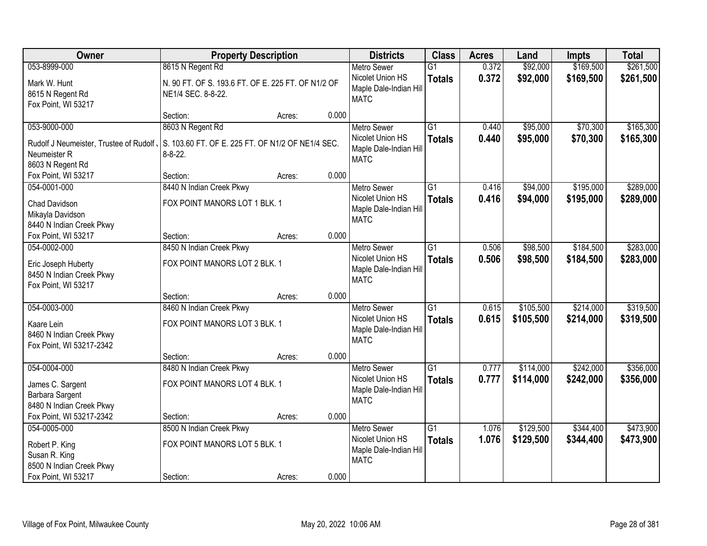| Owner                                           | <b>Property Description</b>                        |        |       | <b>Districts</b>                      | <b>Class</b>    | <b>Acres</b> | Land      | <b>Impts</b> | <b>Total</b> |
|-------------------------------------------------|----------------------------------------------------|--------|-------|---------------------------------------|-----------------|--------------|-----------|--------------|--------------|
| 053-8999-000                                    | 8615 N Regent Rd                                   |        |       | <b>Metro Sewer</b>                    | $\overline{G1}$ | 0.372        | \$92,000  | \$169,500    | \$261,500    |
| Mark W. Hunt                                    | N. 90 FT. OF S. 193.6 FT. OF E. 225 FT. OF N1/2 OF |        |       | Nicolet Union HS                      | <b>Totals</b>   | 0.372        | \$92,000  | \$169,500    | \$261,500    |
| 8615 N Regent Rd                                | NE1/4 SEC. 8-8-22.                                 |        |       | Maple Dale-Indian Hill<br><b>MATC</b> |                 |              |           |              |              |
| Fox Point, WI 53217                             |                                                    |        |       |                                       |                 |              |           |              |              |
|                                                 | Section:                                           | Acres: | 0.000 |                                       |                 |              |           |              |              |
| 053-9000-000                                    | 8603 N Regent Rd                                   |        |       | <b>Metro Sewer</b>                    | $\overline{G1}$ | 0.440        | \$95,000  | \$70,300     | \$165,300    |
| Rudolf J Neumeister, Trustee of Rudolf,         | S. 103.60 FT. OF E. 225 FT. OF N1/2 OF NE1/4 SEC.  |        |       | Nicolet Union HS                      | <b>Totals</b>   | 0.440        | \$95,000  | \$70,300     | \$165,300    |
| Neumeister R                                    | $8 - 8 - 22$ .                                     |        |       | Maple Dale-Indian Hill                |                 |              |           |              |              |
| 8603 N Regent Rd                                |                                                    |        |       | <b>MATC</b>                           |                 |              |           |              |              |
| Fox Point, WI 53217                             | Section:                                           | Acres: | 0.000 |                                       |                 |              |           |              |              |
| 054-0001-000                                    | 8440 N Indian Creek Pkwy                           |        |       | <b>Metro Sewer</b>                    | G1              | 0.416        | \$94,000  | \$195,000    | \$289,000    |
| <b>Chad Davidson</b>                            | FOX POINT MANORS LOT 1 BLK. 1                      |        |       | Nicolet Union HS                      | <b>Totals</b>   | 0.416        | \$94,000  | \$195,000    | \$289,000    |
| Mikayla Davidson                                |                                                    |        |       | Maple Dale-Indian Hill                |                 |              |           |              |              |
| 8440 N Indian Creek Pkwy                        |                                                    |        |       | <b>MATC</b>                           |                 |              |           |              |              |
| Fox Point, WI 53217                             | Section:                                           | Acres: | 0.000 |                                       |                 |              |           |              |              |
| 054-0002-000                                    | 8450 N Indian Creek Pkwy                           |        |       | <b>Metro Sewer</b>                    | G1              | 0.506        | \$98,500  | \$184,500    | \$283,000    |
|                                                 |                                                    |        |       | Nicolet Union HS                      | <b>Totals</b>   | 0.506        | \$98,500  | \$184,500    | \$283,000    |
| Eric Joseph Huberty<br>8450 N Indian Creek Pkwy | FOX POINT MANORS LOT 2 BLK. 1                      |        |       | Maple Dale-Indian Hill                |                 |              |           |              |              |
| Fox Point, WI 53217                             |                                                    |        |       | <b>MATC</b>                           |                 |              |           |              |              |
|                                                 | Section:                                           | Acres: | 0.000 |                                       |                 |              |           |              |              |
| 054-0003-000                                    | 8460 N Indian Creek Pkwy                           |        |       | <b>Metro Sewer</b>                    | $\overline{G1}$ | 0.615        | \$105,500 | \$214,000    | \$319,500    |
|                                                 |                                                    |        |       | Nicolet Union HS                      | <b>Totals</b>   | 0.615        | \$105,500 | \$214,000    | \$319,500    |
| Kaare Lein                                      | FOX POINT MANORS LOT 3 BLK. 1                      |        |       | Maple Dale-Indian Hill                |                 |              |           |              |              |
| 8460 N Indian Creek Pkwy                        |                                                    |        |       | <b>MATC</b>                           |                 |              |           |              |              |
| Fox Point, WI 53217-2342                        | Section:                                           |        | 0.000 |                                       |                 |              |           |              |              |
| 054-0004-000                                    | 8480 N Indian Creek Pkwy                           | Acres: |       | Metro Sewer                           | $\overline{G1}$ | 0.777        | \$114,000 | \$242,000    | \$356,000    |
|                                                 |                                                    |        |       | Nicolet Union HS                      | <b>Totals</b>   | 0.777        | \$114,000 | \$242,000    | \$356,000    |
| James C. Sargent                                | FOX POINT MANORS LOT 4 BLK. 1                      |        |       | Maple Dale-Indian Hill                |                 |              |           |              |              |
| Barbara Sargent                                 |                                                    |        |       | <b>MATC</b>                           |                 |              |           |              |              |
| 8480 N Indian Creek Pkwy                        |                                                    |        |       |                                       |                 |              |           |              |              |
| Fox Point, WI 53217-2342                        | Section:                                           | Acres: | 0.000 |                                       |                 |              |           |              |              |
| 054-0005-000                                    | 8500 N Indian Creek Pkwy                           |        |       | <b>Metro Sewer</b>                    | $\overline{G1}$ | 1.076        | \$129,500 | \$344,400    | \$473,900    |
| Robert P. King                                  | FOX POINT MANORS LOT 5 BLK. 1                      |        |       | Nicolet Union HS                      | <b>Totals</b>   | 1.076        | \$129,500 | \$344,400    | \$473,900    |
| Susan R. King                                   |                                                    |        |       | Maple Dale-Indian Hill<br><b>MATC</b> |                 |              |           |              |              |
| 8500 N Indian Creek Pkwy                        |                                                    |        |       |                                       |                 |              |           |              |              |
| Fox Point, WI 53217                             | Section:                                           | Acres: | 0.000 |                                       |                 |              |           |              |              |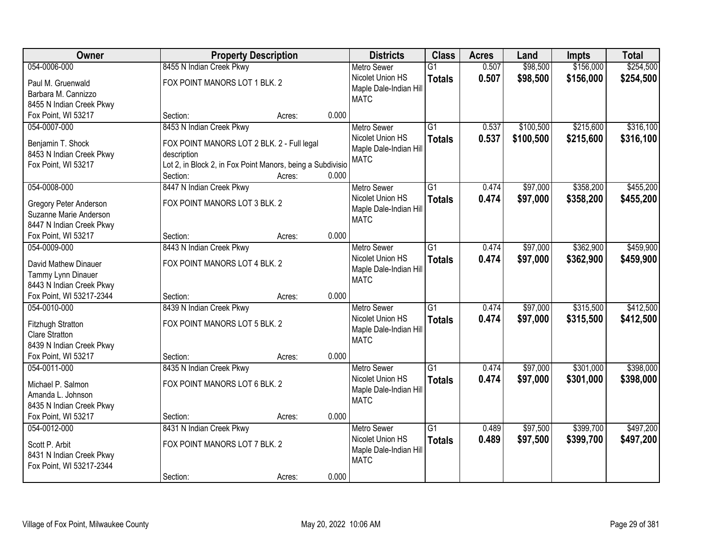| Owner                                      | <b>Property Description</b>                                               |        |       | <b>Districts</b>       | <b>Class</b>    | <b>Acres</b> | Land      | <b>Impts</b> | <b>Total</b> |
|--------------------------------------------|---------------------------------------------------------------------------|--------|-------|------------------------|-----------------|--------------|-----------|--------------|--------------|
| 054-0006-000                               | 8455 N Indian Creek Pkwy                                                  |        |       | <b>Metro Sewer</b>     | $\overline{G1}$ | 0.507        | \$98,500  | \$156,000    | \$254,500    |
| Paul M. Gruenwald                          | FOX POINT MANORS LOT 1 BLK. 2                                             |        |       | Nicolet Union HS       | <b>Totals</b>   | 0.507        | \$98,500  | \$156,000    | \$254,500    |
| Barbara M. Cannizzo                        |                                                                           |        |       | Maple Dale-Indian Hill |                 |              |           |              |              |
| 8455 N Indian Creek Pkwy                   |                                                                           |        |       | <b>MATC</b>            |                 |              |           |              |              |
| Fox Point, WI 53217                        | Section:                                                                  | Acres: | 0.000 |                        |                 |              |           |              |              |
| 054-0007-000                               | 8453 N Indian Creek Pkwy                                                  |        |       | <b>Metro Sewer</b>     | $\overline{G1}$ | 0.537        | \$100,500 | \$215,600    | \$316,100    |
| Benjamin T. Shock                          |                                                                           |        |       | Nicolet Union HS       | <b>Totals</b>   | 0.537        | \$100,500 | \$215,600    | \$316,100    |
| 8453 N Indian Creek Pkwy                   | FOX POINT MANORS LOT 2 BLK. 2 - Full legal                                |        |       | Maple Dale-Indian Hill |                 |              |           |              |              |
| Fox Point, WI 53217                        | description<br>Lot 2, in Block 2, in Fox Point Manors, being a Subdivisio |        |       | <b>MATC</b>            |                 |              |           |              |              |
|                                            | Section:                                                                  | Acres: | 0.000 |                        |                 |              |           |              |              |
| 054-0008-000                               | 8447 N Indian Creek Pkwy                                                  |        |       | Metro Sewer            | G1              | 0.474        | \$97,000  | \$358,200    | \$455,200    |
|                                            |                                                                           |        |       | Nicolet Union HS       | <b>Totals</b>   | 0.474        | \$97,000  | \$358,200    | \$455,200    |
| <b>Gregory Peter Anderson</b>              | FOX POINT MANORS LOT 3 BLK. 2                                             |        |       | Maple Dale-Indian Hill |                 |              |           |              |              |
| Suzanne Marie Anderson                     |                                                                           |        |       | <b>MATC</b>            |                 |              |           |              |              |
| 8447 N Indian Creek Pkwy                   |                                                                           |        |       |                        |                 |              |           |              |              |
| Fox Point, WI 53217                        | Section:                                                                  | Acres: | 0.000 |                        |                 |              |           |              |              |
| 054-0009-000                               | 8443 N Indian Creek Pkwy                                                  |        |       | <b>Metro Sewer</b>     | $\overline{G1}$ | 0.474        | \$97,000  | \$362,900    | \$459,900    |
| David Mathew Dinauer                       | FOX POINT MANORS LOT 4 BLK. 2                                             |        |       | Nicolet Union HS       | <b>Totals</b>   | 0.474        | \$97,000  | \$362,900    | \$459,900    |
| Tammy Lynn Dinauer                         |                                                                           |        |       | Maple Dale-Indian Hill |                 |              |           |              |              |
| 8443 N Indian Creek Pkwy                   |                                                                           |        |       | <b>MATC</b>            |                 |              |           |              |              |
| Fox Point, WI 53217-2344                   | Section:                                                                  | Acres: | 0.000 |                        |                 |              |           |              |              |
| 054-0010-000                               | 8439 N Indian Creek Pkwy                                                  |        |       | <b>Metro Sewer</b>     | $\overline{G1}$ | 0.474        | \$97,000  | \$315,500    | \$412,500    |
|                                            | FOX POINT MANORS LOT 5 BLK. 2                                             |        |       | Nicolet Union HS       | <b>Totals</b>   | 0.474        | \$97,000  | \$315,500    | \$412,500    |
| Fitzhugh Stratton<br><b>Clare Stratton</b> |                                                                           |        |       | Maple Dale-Indian Hill |                 |              |           |              |              |
| 8439 N Indian Creek Pkwy                   |                                                                           |        |       | <b>MATC</b>            |                 |              |           |              |              |
| Fox Point, WI 53217                        | Section:                                                                  | Acres: | 0.000 |                        |                 |              |           |              |              |
| 054-0011-000                               | 8435 N Indian Creek Pkwy                                                  |        |       | Metro Sewer            | $\overline{G1}$ | 0.474        | \$97,000  | \$301,000    | \$398,000    |
|                                            |                                                                           |        |       | Nicolet Union HS       |                 | 0.474        |           |              |              |
| Michael P. Salmon                          | FOX POINT MANORS LOT 6 BLK. 2                                             |        |       | Maple Dale-Indian Hill | <b>Totals</b>   |              | \$97,000  | \$301,000    | \$398,000    |
| Amanda L. Johnson                          |                                                                           |        |       | <b>MATC</b>            |                 |              |           |              |              |
| 8435 N Indian Creek Pkwy                   |                                                                           |        |       |                        |                 |              |           |              |              |
| Fox Point, WI 53217                        | Section:                                                                  | Acres: | 0.000 |                        |                 |              |           |              |              |
| 054-0012-000                               | 8431 N Indian Creek Pkwy                                                  |        |       | <b>Metro Sewer</b>     | $\overline{G1}$ | 0.489        | \$97,500  | \$399,700    | \$497,200    |
| Scott P. Arbit                             | FOX POINT MANORS LOT 7 BLK. 2                                             |        |       | Nicolet Union HS       | <b>Totals</b>   | 0.489        | \$97,500  | \$399,700    | \$497,200    |
| 8431 N Indian Creek Pkwy                   |                                                                           |        |       | Maple Dale-Indian Hill |                 |              |           |              |              |
| Fox Point, WI 53217-2344                   |                                                                           |        |       | <b>MATC</b>            |                 |              |           |              |              |
|                                            | Section:                                                                  | Acres: | 0.000 |                        |                 |              |           |              |              |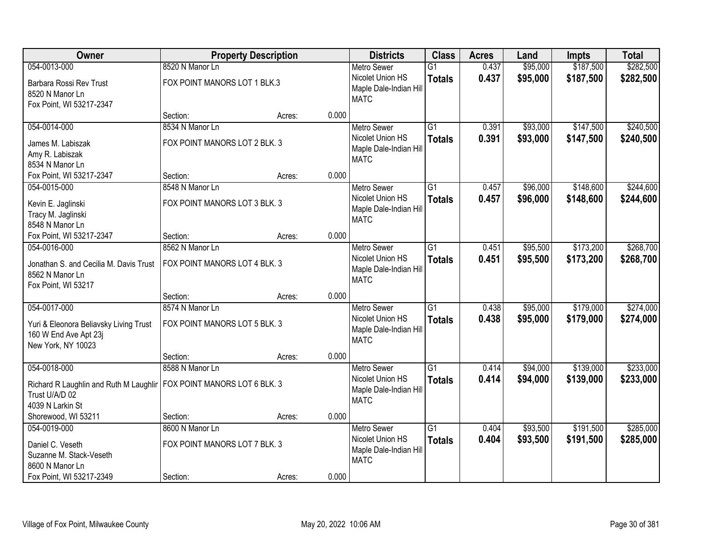| Owner                                                           | <b>Property Description</b>   |        |       | <b>Districts</b>       | <b>Class</b>    | <b>Acres</b> | Land     | <b>Impts</b> | <b>Total</b> |
|-----------------------------------------------------------------|-------------------------------|--------|-------|------------------------|-----------------|--------------|----------|--------------|--------------|
| 054-0013-000                                                    | 8520 N Manor Ln               |        |       | <b>Metro Sewer</b>     | $\overline{G1}$ | 0.437        | \$95,000 | \$187,500    | \$282,500    |
| Barbara Rossi Rev Trust                                         | FOX POINT MANORS LOT 1 BLK.3  |        |       | Nicolet Union HS       | <b>Totals</b>   | 0.437        | \$95,000 | \$187,500    | \$282,500    |
| 8520 N Manor Ln                                                 |                               |        |       | Maple Dale-Indian Hill |                 |              |          |              |              |
| Fox Point, WI 53217-2347                                        |                               |        |       | <b>MATC</b>            |                 |              |          |              |              |
|                                                                 | Section:                      | Acres: | 0.000 |                        |                 |              |          |              |              |
| 054-0014-000                                                    | 8534 N Manor Ln               |        |       | <b>Metro Sewer</b>     | $\overline{G1}$ | 0.391        | \$93,000 | \$147,500    | \$240,500    |
| James M. Labiszak                                               | FOX POINT MANORS LOT 2 BLK. 3 |        |       | Nicolet Union HS       | <b>Totals</b>   | 0.391        | \$93,000 | \$147,500    | \$240,500    |
| Amy R. Labiszak                                                 |                               |        |       | Maple Dale-Indian Hill |                 |              |          |              |              |
| 8534 N Manor Ln                                                 |                               |        |       | <b>MATC</b>            |                 |              |          |              |              |
| Fox Point, WI 53217-2347                                        | Section:                      | Acres: | 0.000 |                        |                 |              |          |              |              |
| 054-0015-000                                                    | 8548 N Manor Ln               |        |       | Metro Sewer            | $\overline{G1}$ | 0.457        | \$96,000 | \$148,600    | \$244,600    |
| Kevin E. Jaglinski                                              | FOX POINT MANORS LOT 3 BLK. 3 |        |       | Nicolet Union HS       | <b>Totals</b>   | 0.457        | \$96,000 | \$148,600    | \$244,600    |
| Tracy M. Jaglinski                                              |                               |        |       | Maple Dale-Indian Hill |                 |              |          |              |              |
| 8548 N Manor Ln                                                 |                               |        |       | <b>MATC</b>            |                 |              |          |              |              |
| Fox Point, WI 53217-2347                                        | Section:                      | Acres: | 0.000 |                        |                 |              |          |              |              |
| 054-0016-000                                                    | 8562 N Manor Ln               |        |       | <b>Metro Sewer</b>     | $\overline{G1}$ | 0.451        | \$95,500 | \$173,200    | \$268,700    |
| Jonathan S. and Cecilia M. Davis Trust                          | FOX POINT MANORS LOT 4 BLK. 3 |        |       | Nicolet Union HS       | <b>Totals</b>   | 0.451        | \$95,500 | \$173,200    | \$268,700    |
| 8562 N Manor Ln                                                 |                               |        |       | Maple Dale-Indian Hill |                 |              |          |              |              |
| Fox Point, WI 53217                                             |                               |        |       | <b>MATC</b>            |                 |              |          |              |              |
|                                                                 | Section:                      | Acres: | 0.000 |                        |                 |              |          |              |              |
| 054-0017-000                                                    | 8574 N Manor Ln               |        |       | <b>Metro Sewer</b>     | $\overline{G1}$ | 0.438        | \$95,000 | \$179,000    | \$274,000    |
|                                                                 | FOX POINT MANORS LOT 5 BLK. 3 |        |       | Nicolet Union HS       | <b>Totals</b>   | 0.438        | \$95,000 | \$179,000    | \$274,000    |
| Yuri & Eleonora Beliavsky Living Trust<br>160 W End Ave Apt 23j |                               |        |       | Maple Dale-Indian Hill |                 |              |          |              |              |
| New York, NY 10023                                              |                               |        |       | <b>MATC</b>            |                 |              |          |              |              |
|                                                                 | Section:                      | Acres: | 0.000 |                        |                 |              |          |              |              |
| 054-0018-000                                                    | 8588 N Manor Ln               |        |       | Metro Sewer            | $\overline{G1}$ | 0.414        | \$94,000 | \$139,000    | \$233,000    |
|                                                                 |                               |        |       | Nicolet Union HS       | <b>Totals</b>   | 0.414        | \$94,000 | \$139,000    | \$233,000    |
| Richard R Laughlin and Ruth M Laughlir<br>Trust U/A/D 02        | FOX POINT MANORS LOT 6 BLK. 3 |        |       | Maple Dale-Indian Hill |                 |              |          |              |              |
| 4039 N Larkin St                                                |                               |        |       | <b>MATC</b>            |                 |              |          |              |              |
| Shorewood, WI 53211                                             | Section:                      | Acres: | 0.000 |                        |                 |              |          |              |              |
| 054-0019-000                                                    | 8600 N Manor Ln               |        |       | <b>Metro Sewer</b>     | $\overline{G1}$ | 0.404        | \$93,500 | \$191,500    | \$285,000    |
|                                                                 |                               |        |       | Nicolet Union HS       | <b>Totals</b>   | 0.404        | \$93,500 | \$191,500    | \$285,000    |
| Daniel C. Veseth                                                | FOX POINT MANORS LOT 7 BLK. 3 |        |       | Maple Dale-Indian Hill |                 |              |          |              |              |
| Suzanne M. Stack-Veseth<br>8600 N Manor Ln                      |                               |        |       | <b>MATC</b>            |                 |              |          |              |              |
| Fox Point, WI 53217-2349                                        | Section:                      | Acres: | 0.000 |                        |                 |              |          |              |              |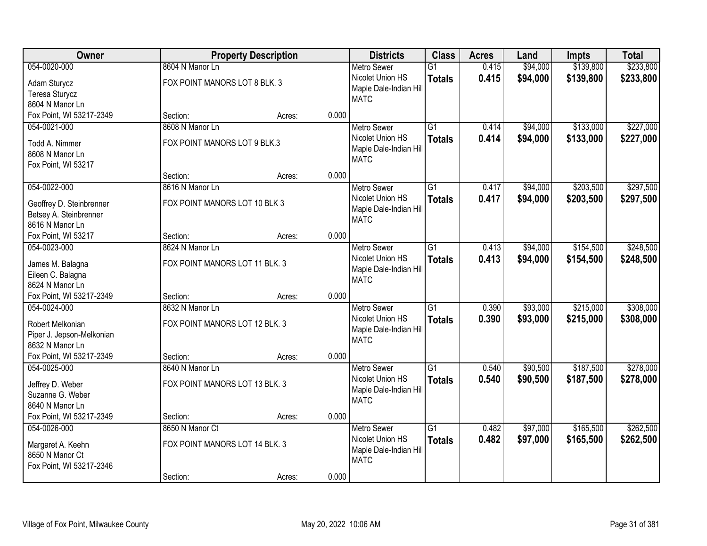| Owner                                                                            |                                                   | <b>Property Description</b> |       | <b>Districts</b>                                                                | <b>Class</b>                     | <b>Acres</b>   | Land                 | <b>Impts</b>           | <b>Total</b>           |
|----------------------------------------------------------------------------------|---------------------------------------------------|-----------------------------|-------|---------------------------------------------------------------------------------|----------------------------------|----------------|----------------------|------------------------|------------------------|
| 054-0020-000                                                                     | 8604 N Manor Ln                                   |                             |       | <b>Metro Sewer</b>                                                              | $\overline{G1}$                  | 0.415          | \$94,000             | \$139,800              | \$233,800              |
| Adam Sturycz<br>Teresa Sturycz<br>8604 N Manor Ln                                | FOX POINT MANORS LOT 8 BLK. 3                     |                             |       | Nicolet Union HS<br>Maple Dale-Indian Hill<br><b>MATC</b>                       | <b>Totals</b>                    | 0.415          | \$94,000             | \$139,800              | \$233,800              |
| Fox Point, WI 53217-2349                                                         | Section:                                          | Acres:                      | 0.000 |                                                                                 |                                  |                |                      |                        |                        |
| 054-0021-000                                                                     | 8608 N Manor Ln                                   |                             |       | <b>Metro Sewer</b>                                                              | $\overline{G1}$                  | 0.414          | \$94,000             | \$133,000              | \$227,000              |
| Todd A. Nimmer<br>8608 N Manor Ln<br>Fox Point, WI 53217                         | FOX POINT MANORS LOT 9 BLK.3                      |                             |       | Nicolet Union HS<br>Maple Dale-Indian Hill<br><b>MATC</b>                       | <b>Totals</b>                    | 0.414          | \$94,000             | \$133,000              | \$227,000              |
|                                                                                  | Section:                                          | Acres:                      | 0.000 |                                                                                 |                                  |                |                      |                        |                        |
| 054-0022-000                                                                     | 8616 N Manor Ln                                   |                             |       | <b>Metro Sewer</b>                                                              | G <sub>1</sub>                   | 0.417          | \$94,000             | \$203,500              | \$297,500              |
| Geoffrey D. Steinbrenner<br>Betsey A. Steinbrenner<br>8616 N Manor Ln            | FOX POINT MANORS LOT 10 BLK 3                     |                             |       | Nicolet Union HS<br>Maple Dale-Indian Hill<br><b>MATC</b>                       | <b>Totals</b>                    | 0.417          | \$94,000             | \$203,500              | \$297,500              |
| Fox Point, WI 53217                                                              | Section:                                          | Acres:                      | 0.000 |                                                                                 |                                  |                |                      |                        |                        |
| 054-0023-000                                                                     | 8624 N Manor Ln                                   |                             |       | <b>Metro Sewer</b>                                                              | $\overline{G1}$                  | 0.413          | \$94,000             | \$154,500              | \$248,500              |
| James M. Balagna<br>Eileen C. Balagna<br>8624 N Manor Ln                         | FOX POINT MANORS LOT 11 BLK. 3                    |                             |       | Nicolet Union HS<br>Maple Dale-Indian Hill<br><b>MATC</b>                       | <b>Totals</b>                    | 0.413          | \$94,000             | \$154,500              | \$248,500              |
| Fox Point, WI 53217-2349                                                         | Section:                                          | Acres:                      | 0.000 |                                                                                 |                                  |                |                      |                        |                        |
| 054-0024-000<br>Robert Melkonian<br>Piper J. Jepson-Melkonian<br>8632 N Manor Ln | 8632 N Manor Ln<br>FOX POINT MANORS LOT 12 BLK. 3 |                             |       | <b>Metro Sewer</b><br>Nicolet Union HS<br>Maple Dale-Indian Hill<br><b>MATC</b> | $\overline{G1}$<br><b>Totals</b> | 0.390<br>0.390 | \$93,000<br>\$93,000 | \$215,000<br>\$215,000 | \$308,000<br>\$308,000 |
| Fox Point, WI 53217-2349                                                         | Section:                                          | Acres:                      | 0.000 |                                                                                 |                                  |                |                      |                        |                        |
| 054-0025-000                                                                     | 8640 N Manor Ln                                   |                             |       | <b>Metro Sewer</b>                                                              | $\overline{G1}$                  | 0.540          | \$90,500             | \$187,500              | \$278,000              |
| Jeffrey D. Weber<br>Suzanne G. Weber<br>8640 N Manor Ln                          | FOX POINT MANORS LOT 13 BLK. 3                    |                             |       | Nicolet Union HS<br>Maple Dale-Indian Hill<br><b>MATC</b>                       | <b>Totals</b>                    | 0.540          | \$90,500             | \$187,500              | \$278,000              |
| Fox Point, WI 53217-2349                                                         | Section:                                          | Acres:                      | 0.000 |                                                                                 |                                  |                |                      |                        |                        |
| 054-0026-000<br>Margaret A. Keehn<br>8650 N Manor Ct<br>Fox Point, WI 53217-2346 | 8650 N Manor Ct<br>FOX POINT MANORS LOT 14 BLK. 3 |                             | 0.000 | <b>Metro Sewer</b><br>Nicolet Union HS<br>Maple Dale-Indian Hill<br><b>MATC</b> | $\overline{G1}$<br><b>Totals</b> | 0.482<br>0.482 | \$97,000<br>\$97,000 | \$165,500<br>\$165,500 | \$262,500<br>\$262,500 |
|                                                                                  | Section:                                          | Acres:                      |       |                                                                                 |                                  |                |                      |                        |                        |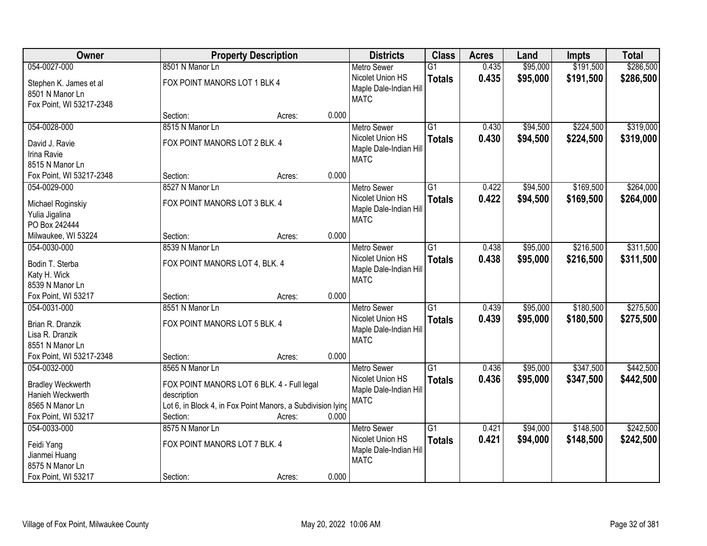| Owner                                                                                                  |                                                                                                                                                         | <b>Property Description</b> |       | <b>Districts</b>                                                                | <b>Class</b>                     | <b>Acres</b>   | Land                 | <b>Impts</b>           | <b>Total</b>           |
|--------------------------------------------------------------------------------------------------------|---------------------------------------------------------------------------------------------------------------------------------------------------------|-----------------------------|-------|---------------------------------------------------------------------------------|----------------------------------|----------------|----------------------|------------------------|------------------------|
| 054-0027-000                                                                                           | 8501 N Manor Ln                                                                                                                                         |                             |       | <b>Metro Sewer</b>                                                              | $\overline{G1}$                  | 0.435          | \$95,000             | \$191,500              | \$286,500              |
| Stephen K. James et al<br>8501 N Manor Ln<br>Fox Point, WI 53217-2348                                  | FOX POINT MANORS LOT 1 BLK 4                                                                                                                            |                             |       | Nicolet Union HS<br>Maple Dale-Indian Hill<br><b>MATC</b>                       | <b>Totals</b>                    | 0.435          | \$95,000             | \$191,500              | \$286,500              |
|                                                                                                        | Section:                                                                                                                                                | Acres:                      | 0.000 |                                                                                 |                                  |                |                      |                        |                        |
| 054-0028-000                                                                                           | 8515 N Manor Ln                                                                                                                                         |                             |       | <b>Metro Sewer</b>                                                              | $\overline{G1}$                  | 0.430          | \$94,500             | \$224,500              | \$319,000              |
| David J. Ravie<br>Irina Ravie<br>8515 N Manor Ln                                                       | FOX POINT MANORS LOT 2 BLK. 4                                                                                                                           |                             |       | Nicolet Union HS<br>Maple Dale-Indian Hill<br><b>MATC</b>                       | <b>Totals</b>                    | 0.430          | \$94,500             | \$224,500              | \$319,000              |
| Fox Point, WI 53217-2348                                                                               | Section:                                                                                                                                                | Acres:                      | 0.000 |                                                                                 |                                  |                |                      |                        |                        |
| 054-0029-000                                                                                           | 8527 N Manor Ln                                                                                                                                         |                             |       | <b>Metro Sewer</b>                                                              | G1                               | 0.422          | \$94,500             | \$169,500              | \$264,000              |
| Michael Roginskiy<br>Yulia Jigalina<br>PO Box 242444                                                   | FOX POINT MANORS LOT 3 BLK. 4                                                                                                                           |                             |       | Nicolet Union HS<br>Maple Dale-Indian Hill<br><b>MATC</b>                       | <b>Totals</b>                    | 0.422          | \$94,500             | \$169,500              | \$264,000              |
| Milwaukee, WI 53224                                                                                    | Section:                                                                                                                                                | Acres:                      | 0.000 |                                                                                 |                                  |                |                      |                        |                        |
| 054-0030-000                                                                                           | 8539 N Manor Ln                                                                                                                                         |                             |       | <b>Metro Sewer</b>                                                              | G1                               | 0.438          | \$95,000             | \$216,500              | \$311,500              |
| Bodin T. Sterba<br>Katy H. Wick<br>8539 N Manor Ln                                                     | FOX POINT MANORS LOT 4, BLK. 4                                                                                                                          |                             |       | Nicolet Union HS<br>Maple Dale-Indian Hill<br><b>MATC</b>                       | <b>Totals</b>                    | 0.438          | \$95,000             | \$216,500              | \$311,500              |
| Fox Point, WI 53217                                                                                    | Section:                                                                                                                                                | Acres:                      | 0.000 |                                                                                 |                                  |                |                      |                        |                        |
| 054-0031-000<br>Brian R. Dranzik<br>Lisa R. Dranzik<br>8551 N Manor Ln                                 | 8551 N Manor Ln<br>FOX POINT MANORS LOT 5 BLK. 4                                                                                                        |                             |       | <b>Metro Sewer</b><br>Nicolet Union HS<br>Maple Dale-Indian Hill<br><b>MATC</b> | $\overline{G1}$<br><b>Totals</b> | 0.439<br>0.439 | \$95,000<br>\$95,000 | \$180,500<br>\$180,500 | \$275,500<br>\$275,500 |
| Fox Point, WI 53217-2348                                                                               | Section:                                                                                                                                                | Acres:                      | 0.000 |                                                                                 |                                  |                |                      |                        |                        |
| 054-0032-000<br><b>Bradley Weckwerth</b><br>Hanieh Weckwerth<br>8565 N Manor Ln<br>Fox Point, WI 53217 | 8565 N Manor Ln<br>FOX POINT MANORS LOT 6 BLK. 4 - Full legal<br>description<br>Lot 6, in Block 4, in Fox Point Manors, a Subdivision lying<br>Section: | Acres:                      | 0.000 | <b>Metro Sewer</b><br>Nicolet Union HS<br>Maple Dale-Indian Hill<br><b>MATC</b> | $\overline{G1}$<br><b>Totals</b> | 0.436<br>0.436 | \$95,000<br>\$95,000 | \$347,500<br>\$347,500 | \$442,500<br>\$442,500 |
| 054-0033-000<br>Feidi Yang<br>Jianmei Huang<br>8575 N Manor Ln<br>Fox Point, WI 53217                  | 8575 N Manor Ln<br>FOX POINT MANORS LOT 7 BLK. 4<br>Section:                                                                                            | Acres:                      | 0.000 | <b>Metro Sewer</b><br>Nicolet Union HS<br>Maple Dale-Indian Hill<br><b>MATC</b> | $\overline{G1}$<br><b>Totals</b> | 0.421<br>0.421 | \$94,000<br>\$94,000 | \$148,500<br>\$148,500 | \$242,500<br>\$242,500 |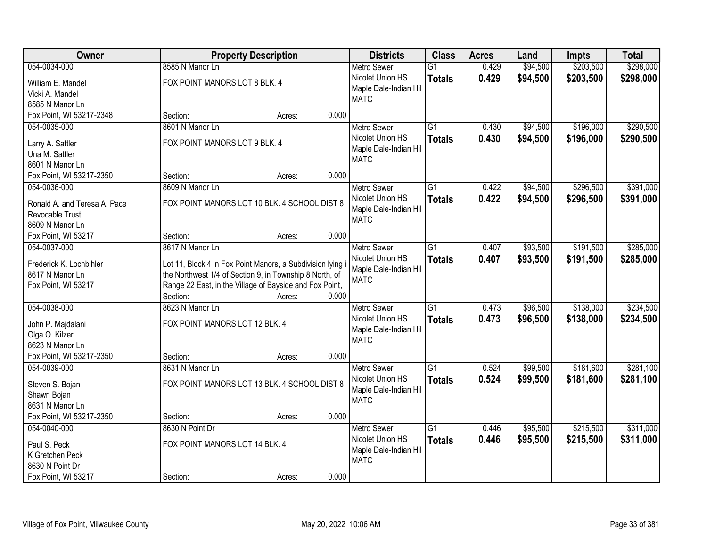| Owner                        |                                                            | <b>Property Description</b> |       | <b>Districts</b>                      | <b>Class</b>    | <b>Acres</b> | Land     | <b>Impts</b> | <b>Total</b> |
|------------------------------|------------------------------------------------------------|-----------------------------|-------|---------------------------------------|-----------------|--------------|----------|--------------|--------------|
| 054-0034-000                 | 8585 N Manor Ln                                            |                             |       | <b>Metro Sewer</b>                    | $\overline{G1}$ | 0.429        | \$94,500 | \$203,500    | \$298,000    |
| William E. Mandel            | FOX POINT MANORS LOT 8 BLK. 4                              |                             |       | Nicolet Union HS                      | <b>Totals</b>   | 0.429        | \$94,500 | \$203,500    | \$298,000    |
| Vicki A. Mandel              |                                                            |                             |       | Maple Dale-Indian Hill                |                 |              |          |              |              |
| 8585 N Manor Ln              |                                                            |                             |       | <b>MATC</b>                           |                 |              |          |              |              |
| Fox Point, WI 53217-2348     | Section:                                                   | Acres:                      | 0.000 |                                       |                 |              |          |              |              |
| 054-0035-000                 | 8601 N Manor Ln                                            |                             |       | <b>Metro Sewer</b>                    | $\overline{G1}$ | 0.430        | \$94,500 | \$196,000    | \$290,500    |
| Larry A. Sattler             | FOX POINT MANORS LOT 9 BLK. 4                              |                             |       | Nicolet Union HS                      | <b>Totals</b>   | 0.430        | \$94,500 | \$196,000    | \$290,500    |
| Una M. Sattler               |                                                            |                             |       | Maple Dale-Indian Hill                |                 |              |          |              |              |
| 8601 N Manor Ln              |                                                            |                             |       | <b>MATC</b>                           |                 |              |          |              |              |
| Fox Point, WI 53217-2350     | Section:                                                   | Acres:                      | 0.000 |                                       |                 |              |          |              |              |
| 054-0036-000                 | 8609 N Manor Ln                                            |                             |       | <b>Metro Sewer</b>                    | G1              | 0.422        | \$94,500 | \$296,500    | \$391,000    |
|                              |                                                            |                             |       | Nicolet Union HS                      | <b>Totals</b>   | 0.422        | \$94,500 | \$296,500    | \$391,000    |
| Ronald A. and Teresa A. Pace | FOX POINT MANORS LOT 10 BLK. 4 SCHOOL DIST 8               |                             |       | Maple Dale-Indian Hill                |                 |              |          |              |              |
| Revocable Trust              |                                                            |                             |       | <b>MATC</b>                           |                 |              |          |              |              |
| 8609 N Manor Ln              |                                                            |                             |       |                                       |                 |              |          |              |              |
| Fox Point, WI 53217          | Section:                                                   | Acres:                      | 0.000 |                                       |                 |              |          |              |              |
| 054-0037-000                 | 8617 N Manor Ln                                            |                             |       | <b>Metro Sewer</b>                    | $\overline{G1}$ | 0.407        | \$93,500 | \$191,500    | \$285,000    |
| Frederick K. Lochbihler      | Lot 11, Block 4 in Fox Point Manors, a Subdivision lying i |                             |       | Nicolet Union HS                      | <b>Totals</b>   | 0.407        | \$93,500 | \$191,500    | \$285,000    |
| 8617 N Manor Ln              | the Northwest 1/4 of Section 9, in Township 8 North, of    |                             |       | Maple Dale-Indian Hill                |                 |              |          |              |              |
| Fox Point, WI 53217          | Range 22 East, in the Village of Bayside and Fox Point,    |                             |       | <b>MATC</b>                           |                 |              |          |              |              |
|                              | Section:                                                   | Acres:                      | 0.000 |                                       |                 |              |          |              |              |
| 054-0038-000                 | 8623 N Manor Ln                                            |                             |       | <b>Metro Sewer</b>                    | $\overline{G1}$ | 0.473        | \$96,500 | \$138,000    | \$234,500    |
| John P. Majdalani            | FOX POINT MANORS LOT 12 BLK. 4                             |                             |       | Nicolet Union HS                      | <b>Totals</b>   | 0.473        | \$96,500 | \$138,000    | \$234,500    |
| Olga O. Kilzer               |                                                            |                             |       | Maple Dale-Indian Hill                |                 |              |          |              |              |
| 8623 N Manor Ln              |                                                            |                             |       | <b>MATC</b>                           |                 |              |          |              |              |
| Fox Point, WI 53217-2350     | Section:                                                   | Acres:                      | 0.000 |                                       |                 |              |          |              |              |
| 054-0039-000                 | 8631 N Manor Ln                                            |                             |       | <b>Metro Sewer</b>                    | $\overline{G1}$ | 0.524        | \$99,500 | \$181,600    | \$281,100    |
|                              |                                                            |                             |       | Nicolet Union HS                      | <b>Totals</b>   | 0.524        | \$99,500 | \$181,600    | \$281,100    |
| Steven S. Bojan              | FOX POINT MANORS LOT 13 BLK. 4 SCHOOL DIST 8               |                             |       | Maple Dale-Indian Hill                |                 |              |          |              |              |
| Shawn Bojan                  |                                                            |                             |       | <b>MATC</b>                           |                 |              |          |              |              |
| 8631 N Manor Ln              |                                                            |                             |       |                                       |                 |              |          |              |              |
| Fox Point, WI 53217-2350     | Section:                                                   | Acres:                      | 0.000 |                                       |                 |              |          |              |              |
| 054-0040-000                 | 8630 N Point Dr                                            |                             |       | <b>Metro Sewer</b>                    | $\overline{G1}$ | 0.446        | \$95,500 | \$215,500    | \$311,000    |
| Paul S. Peck                 | FOX POINT MANORS LOT 14 BLK. 4                             |                             |       | Nicolet Union HS                      | <b>Totals</b>   | 0.446        | \$95,500 | \$215,500    | \$311,000    |
| K Gretchen Peck              |                                                            |                             |       | Maple Dale-Indian Hill<br><b>MATC</b> |                 |              |          |              |              |
| 8630 N Point Dr              |                                                            |                             |       |                                       |                 |              |          |              |              |
| Fox Point, WI 53217          | Section:                                                   | Acres:                      | 0.000 |                                       |                 |              |          |              |              |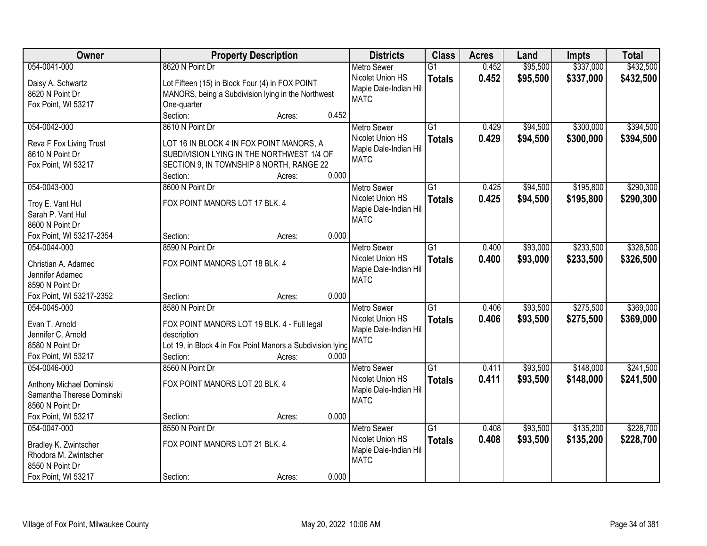| <b>Class</b><br>Owner<br><b>Property Description</b><br><b>Districts</b><br><b>Acres</b>                  | Land              | <b>Impts</b> | <b>Total</b> |
|-----------------------------------------------------------------------------------------------------------|-------------------|--------------|--------------|
| 054-0041-000<br>8620 N Point Dr<br><b>Metro Sewer</b><br>$\overline{G1}$                                  | 0.452<br>\$95,500 | \$337,000    | \$432,500    |
| Nicolet Union HS<br><b>Totals</b><br>Lot Fifteen (15) in Block Four (4) in FOX POINT<br>Daisy A. Schwartz | 0.452<br>\$95,500 | \$337,000    | \$432,500    |
| Maple Dale-Indian Hill<br>8620 N Point Dr<br>MANORS, being a Subdivision lying in the Northwest           |                   |              |              |
| <b>MATC</b><br>Fox Point, WI 53217<br>One-quarter                                                         |                   |              |              |
| Section:<br>0.452<br>Acres:                                                                               |                   |              |              |
| 054-0042-000<br>8610 N Point Dr<br>$\overline{G1}$<br><b>Metro Sewer</b>                                  | \$94,500<br>0.429 | \$300,000    | \$394,500    |
| Nicolet Union HS<br><b>Totals</b>                                                                         | 0.429<br>\$94,500 | \$300,000    | \$394,500    |
| LOT 16 IN BLOCK 4 IN FOX POINT MANORS, A<br>Reva F Fox Living Trust<br>Maple Dale-Indian Hill             |                   |              |              |
| 8610 N Point Dr<br>SUBDIVISION LYING IN THE NORTHWEST 1/4 OF<br><b>MATC</b>                               |                   |              |              |
| SECTION 9, IN TOWNSHIP 8 NORTH, RANGE 22<br>Fox Point, WI 53217<br>0.000<br>Section:<br>Acres:            |                   |              |              |
| 054-0043-000<br>8600 N Point Dr<br>$\overline{G1}$<br><b>Metro Sewer</b>                                  | \$94,500<br>0.425 | \$195,800    | \$290,300    |
| Nicolet Union HS                                                                                          | 0.425<br>\$94,500 | \$195,800    | \$290,300    |
| <b>Totals</b><br>FOX POINT MANORS LOT 17 BLK. 4<br>Troy E. Vant Hul<br>Maple Dale-Indian Hill             |                   |              |              |
| Sarah P. Vant Hul<br><b>MATC</b>                                                                          |                   |              |              |
| 8600 N Point Dr                                                                                           |                   |              |              |
| 0.000<br>Fox Point, WI 53217-2354<br>Section:<br>Acres:                                                   |                   |              |              |
| 054-0044-000<br>8590 N Point Dr<br>$\overline{G1}$<br><b>Metro Sewer</b>                                  | \$93,000<br>0.400 | \$233,500    | \$326,500    |
| Nicolet Union HS<br><b>Totals</b><br>FOX POINT MANORS LOT 18 BLK. 4<br>Christian A. Adamec                | 0.400<br>\$93,000 | \$233,500    | \$326,500    |
| Maple Dale-Indian Hill<br>Jennifer Adamec                                                                 |                   |              |              |
| <b>MATC</b><br>8590 N Point Dr                                                                            |                   |              |              |
| Fox Point, WI 53217-2352<br>0.000<br>Section:<br>Acres:                                                   |                   |              |              |
| 8580 N Point Dr<br>$\overline{G1}$<br>054-0045-000<br><b>Metro Sewer</b>                                  | \$93,500<br>0.406 | \$275,500    | \$369,000    |
| Nicolet Union HS<br><b>Totals</b>                                                                         | 0.406<br>\$93,500 | \$275,500    | \$369,000    |
| Evan T. Arnold<br>FOX POINT MANORS LOT 19 BLK. 4 - Full legal<br>Maple Dale-Indian Hill                   |                   |              |              |
| Jennifer C. Arnold<br>description<br><b>MATC</b>                                                          |                   |              |              |
| Lot 19, in Block 4 in Fox Point Manors a Subdivision lying<br>8580 N Point Dr                             |                   |              |              |
| Fox Point, WI 53217<br>Section:<br>0.000<br>Acres:                                                        |                   |              |              |
| $\overline{G1}$<br>8560 N Point Dr<br>054-0046-000<br><b>Metro Sewer</b>                                  | \$93,500<br>0.411 | \$148,000    | \$241,500    |
| Nicolet Union HS<br><b>Totals</b><br>FOX POINT MANORS LOT 20 BLK. 4<br>Anthony Michael Dominski           | \$93,500<br>0.411 | \$148,000    | \$241,500    |
| Maple Dale-Indian Hill<br>Samantha Therese Dominski                                                       |                   |              |              |
| <b>MATC</b><br>8560 N Point Dr                                                                            |                   |              |              |
| 0.000<br>Fox Point, WI 53217<br>Section:<br>Acres:                                                        |                   |              |              |
| 054-0047-000<br>8550 N Point Dr<br>$\overline{G1}$<br><b>Metro Sewer</b>                                  | \$93,500<br>0.408 | \$135,200    | \$228,700    |
| Nicolet Union HS<br><b>Totals</b><br>FOX POINT MANORS LOT 21 BLK. 4<br>Bradley K. Zwintscher              | 0.408<br>\$93,500 | \$135,200    | \$228,700    |
| Maple Dale-Indian Hill<br>Rhodora M. Zwintscher                                                           |                   |              |              |
| <b>MATC</b><br>8550 N Point Dr                                                                            |                   |              |              |
| 0.000<br>Fox Point, WI 53217<br>Section:<br>Acres:                                                        |                   |              |              |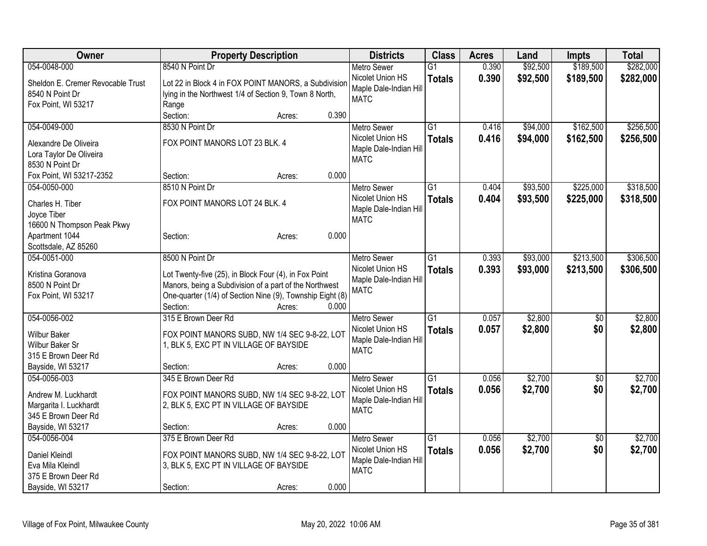| <b>Owner</b>                               | <b>Property Description</b>                                                             |       | <b>Districts</b>       | <b>Class</b>    | <b>Acres</b> | Land     | Impts           | <b>Total</b> |
|--------------------------------------------|-----------------------------------------------------------------------------------------|-------|------------------------|-----------------|--------------|----------|-----------------|--------------|
| 054-0048-000                               | 8540 N Point Dr                                                                         |       | <b>Metro Sewer</b>     | $\overline{G1}$ | 0.390        | \$92,500 | \$189,500       | \$282,000    |
| Sheldon E. Cremer Revocable Trust          | Lot 22 in Block 4 in FOX POINT MANORS, a Subdivision                                    |       | Nicolet Union HS       | <b>Totals</b>   | 0.390        | \$92,500 | \$189,500       | \$282,000    |
| 8540 N Point Dr                            | lying in the Northwest 1/4 of Section 9, Town 8 North,                                  |       | Maple Dale-Indian Hill |                 |              |          |                 |              |
| Fox Point, WI 53217                        | Range                                                                                   |       | <b>MATC</b>            |                 |              |          |                 |              |
|                                            | Section:<br>Acres:                                                                      | 0.390 |                        |                 |              |          |                 |              |
| 054-0049-000                               | 8530 N Point Dr                                                                         |       | <b>Metro Sewer</b>     | $\overline{G1}$ | 0.416        | \$94,000 | \$162,500       | \$256,500    |
|                                            | FOX POINT MANORS LOT 23 BLK. 4                                                          |       | Nicolet Union HS       | <b>Totals</b>   | 0.416        | \$94,000 | \$162,500       | \$256,500    |
| Alexandre De Oliveira                      |                                                                                         |       | Maple Dale-Indian Hill |                 |              |          |                 |              |
| Lora Taylor De Oliveira<br>8530 N Point Dr |                                                                                         |       | <b>MATC</b>            |                 |              |          |                 |              |
| Fox Point, WI 53217-2352                   | Section:<br>Acres:                                                                      | 0.000 |                        |                 |              |          |                 |              |
| 054-0050-000                               | 8510 N Point Dr                                                                         |       | <b>Metro Sewer</b>     | G1              | 0.404        | \$93,500 | \$225,000       | \$318,500    |
|                                            |                                                                                         |       | Nicolet Union HS       |                 | 0.404        | \$93,500 | \$225,000       |              |
| Charles H. Tiber                           | FOX POINT MANORS LOT 24 BLK. 4                                                          |       | Maple Dale-Indian Hill | <b>Totals</b>   |              |          |                 | \$318,500    |
| Joyce Tiber                                |                                                                                         |       | <b>MATC</b>            |                 |              |          |                 |              |
| 16600 N Thompson Peak Pkwy                 |                                                                                         |       |                        |                 |              |          |                 |              |
| Apartment 1044                             | Section:<br>Acres:                                                                      | 0.000 |                        |                 |              |          |                 |              |
| Scottsdale, AZ 85260                       |                                                                                         |       |                        |                 |              |          |                 |              |
| 054-0051-000                               | 8500 N Point Dr                                                                         |       | <b>Metro Sewer</b>     | G1              | 0.393        | \$93,000 | \$213,500       | \$306,500    |
| Kristina Goranova                          | Lot Twenty-five (25), in Block Four (4), in Fox Point                                   |       | Nicolet Union HS       | <b>Totals</b>   | 0.393        | \$93,000 | \$213,500       | \$306,500    |
| 8500 N Point Dr                            | Manors, being a Subdivision of a part of the Northwest                                  |       | Maple Dale-Indian Hill |                 |              |          |                 |              |
| Fox Point, WI 53217                        | One-quarter (1/4) of Section Nine (9), Township Eight (8)                               |       | <b>MATC</b>            |                 |              |          |                 |              |
|                                            | Section:<br>Acres:                                                                      | 0.000 |                        |                 |              |          |                 |              |
| 054-0056-002                               | 315 E Brown Deer Rd                                                                     |       | <b>Metro Sewer</b>     | $\overline{G1}$ | 0.057        | \$2,800  | \$0             | \$2,800      |
|                                            |                                                                                         |       | Nicolet Union HS       | <b>Totals</b>   | 0.057        | \$2,800  | \$0             | \$2,800      |
| <b>Wilbur Baker</b><br>Wilbur Baker Sr     | FOX POINT MANORS SUBD, NW 1/4 SEC 9-8-22, LOT<br>1, BLK 5, EXC PT IN VILLAGE OF BAYSIDE |       | Maple Dale-Indian Hill |                 |              |          |                 |              |
| 315 E Brown Deer Rd                        |                                                                                         |       | <b>MATC</b>            |                 |              |          |                 |              |
| Bayside, WI 53217                          | Section:<br>Acres:                                                                      | 0.000 |                        |                 |              |          |                 |              |
| 054-0056-003                               | 345 E Brown Deer Rd                                                                     |       | <b>Metro Sewer</b>     | $\overline{G1}$ | 0.056        | \$2,700  | $\overline{50}$ | \$2,700      |
|                                            |                                                                                         |       | Nicolet Union HS       | <b>Totals</b>   | 0.056        | \$2,700  | \$0             | \$2,700      |
| Andrew M. Luckhardt                        | FOX POINT MANORS SUBD, NW 1/4 SEC 9-8-22, LOT                                           |       | Maple Dale-Indian Hill |                 |              |          |                 |              |
| Margarita I. Luckhardt                     | 2, BLK 5, EXC PT IN VILLAGE OF BAYSIDE                                                  |       | <b>MATC</b>            |                 |              |          |                 |              |
| 345 E Brown Deer Rd                        |                                                                                         |       |                        |                 |              |          |                 |              |
| Bayside, WI 53217                          | Section:<br>Acres:                                                                      | 0.000 |                        |                 |              |          |                 |              |
| 054-0056-004                               | 375 E Brown Deer Rd                                                                     |       | Metro Sewer            | $\overline{G1}$ | 0.056        | \$2,700  | $\overline{50}$ | \$2,700      |
| <b>Daniel Kleindl</b>                      | FOX POINT MANORS SUBD, NW 1/4 SEC 9-8-22, LOT                                           |       | Nicolet Union HS       | <b>Totals</b>   | 0.056        | \$2,700  | \$0             | \$2,700      |
| Eva Mila Kleindl                           | 3, BLK 5, EXC PT IN VILLAGE OF BAYSIDE                                                  |       | Maple Dale-Indian Hill |                 |              |          |                 |              |
| 375 E Brown Deer Rd                        |                                                                                         |       | <b>MATC</b>            |                 |              |          |                 |              |
| Bayside, WI 53217                          | Section:<br>Acres:                                                                      | 0.000 |                        |                 |              |          |                 |              |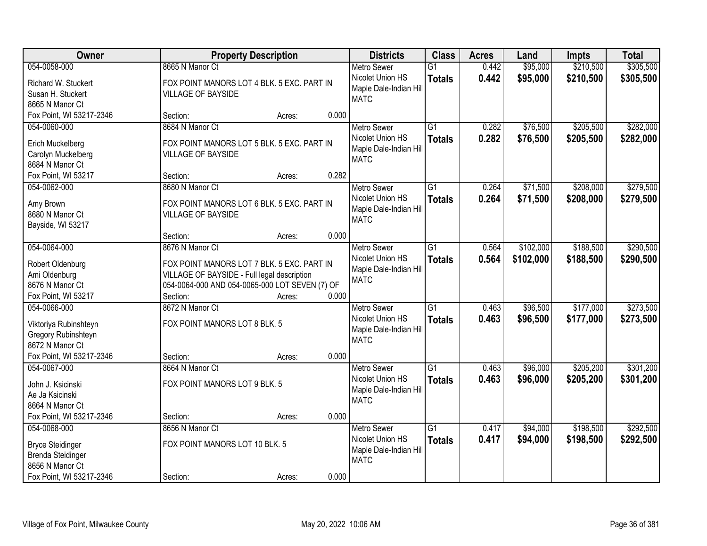| Owner                             | <b>Property Description</b>                                                               |        |       | <b>Districts</b>                           | <b>Class</b>    | <b>Acres</b> | Land      | <b>Impts</b> | <b>Total</b> |
|-----------------------------------|-------------------------------------------------------------------------------------------|--------|-------|--------------------------------------------|-----------------|--------------|-----------|--------------|--------------|
| 054-0058-000                      | 8665 N Manor Ct                                                                           |        |       | <b>Metro Sewer</b>                         | $\overline{G1}$ | 0.442        | \$95,000  | \$210,500    | \$305,500    |
| Richard W. Stuckert               | FOX POINT MANORS LOT 4 BLK. 5 EXC. PART IN                                                |        |       | Nicolet Union HS<br>Maple Dale-Indian Hill | <b>Totals</b>   | 0.442        | \$95,000  | \$210,500    | \$305,500    |
| Susan H. Stuckert                 | <b>VILLAGE OF BAYSIDE</b>                                                                 |        |       | <b>MATC</b>                                |                 |              |           |              |              |
| 8665 N Manor Ct                   |                                                                                           |        |       |                                            |                 |              |           |              |              |
| Fox Point, WI 53217-2346          | Section:                                                                                  | Acres: | 0.000 |                                            |                 |              |           |              |              |
| 054-0060-000                      | 8684 N Manor Ct                                                                           |        |       | <b>Metro Sewer</b>                         | $\overline{G1}$ | 0.282        | \$76,500  | \$205,500    | \$282,000    |
| Erich Muckelberg                  | FOX POINT MANORS LOT 5 BLK. 5 EXC. PART IN                                                |        |       | Nicolet Union HS                           | <b>Totals</b>   | 0.282        | \$76,500  | \$205,500    | \$282,000    |
| Carolyn Muckelberg                | <b>VILLAGE OF BAYSIDE</b>                                                                 |        |       | Maple Dale-Indian Hill                     |                 |              |           |              |              |
| 8684 N Manor Ct                   |                                                                                           |        |       | <b>MATC</b>                                |                 |              |           |              |              |
| Fox Point, WI 53217               | Section:                                                                                  | Acres: | 0.282 |                                            |                 |              |           |              |              |
| 054-0062-000                      | 8680 N Manor Ct                                                                           |        |       | <b>Metro Sewer</b>                         | G1              | 0.264        | \$71,500  | \$208,000    | \$279,500    |
| Amy Brown                         | FOX POINT MANORS LOT 6 BLK. 5 EXC. PART IN                                                |        |       | Nicolet Union HS                           | <b>Totals</b>   | 0.264        | \$71,500  | \$208,000    | \$279,500    |
| 8680 N Manor Ct                   | <b>VILLAGE OF BAYSIDE</b>                                                                 |        |       | Maple Dale-Indian Hill                     |                 |              |           |              |              |
| Bayside, WI 53217                 |                                                                                           |        |       | <b>MATC</b>                                |                 |              |           |              |              |
|                                   | Section:                                                                                  | Acres: | 0.000 |                                            |                 |              |           |              |              |
| 054-0064-000                      | 8676 N Manor Ct                                                                           |        |       | <b>Metro Sewer</b>                         | G1              | 0.564        | \$102,000 | \$188,500    | \$290,500    |
|                                   |                                                                                           |        |       | Nicolet Union HS                           | <b>Totals</b>   | 0.564        | \$102,000 | \$188,500    | \$290,500    |
| Robert Oldenburg<br>Ami Oldenburg | FOX POINT MANORS LOT 7 BLK. 5 EXC. PART IN<br>VILLAGE OF BAYSIDE - Full legal description |        |       | Maple Dale-Indian Hill                     |                 |              |           |              |              |
| 8676 N Manor Ct                   | 054-0064-000 AND 054-0065-000 LOT SEVEN (7) OF                                            |        |       | <b>MATC</b>                                |                 |              |           |              |              |
| Fox Point, WI 53217               | Section:                                                                                  | Acres: | 0.000 |                                            |                 |              |           |              |              |
| 054-0066-000                      | 8672 N Manor Ct                                                                           |        |       | <b>Metro Sewer</b>                         | $\overline{G1}$ | 0.463        | \$96,500  | \$177,000    | \$273,500    |
|                                   |                                                                                           |        |       | Nicolet Union HS                           | <b>Totals</b>   | 0.463        | \$96,500  | \$177,000    | \$273,500    |
| Viktoriya Rubinshteyn             | FOX POINT MANORS LOT 8 BLK. 5                                                             |        |       | Maple Dale-Indian Hill                     |                 |              |           |              |              |
| Gregory Rubinshteyn               |                                                                                           |        |       | <b>MATC</b>                                |                 |              |           |              |              |
| 8672 N Manor Ct                   |                                                                                           |        |       |                                            |                 |              |           |              |              |
| Fox Point, WI 53217-2346          | Section:                                                                                  | Acres: | 0.000 |                                            | $\overline{G1}$ |              |           |              |              |
| 054-0067-000                      | 8664 N Manor Ct                                                                           |        |       | Metro Sewer<br>Nicolet Union HS            |                 | 0.463        | \$96,000  | \$205,200    | \$301,200    |
| John J. Ksicinski                 | FOX POINT MANORS LOT 9 BLK. 5                                                             |        |       | Maple Dale-Indian Hill                     | <b>Totals</b>   | 0.463        | \$96,000  | \$205,200    | \$301,200    |
| Ae Ja Ksicinski                   |                                                                                           |        |       | <b>MATC</b>                                |                 |              |           |              |              |
| 8664 N Manor Ct                   |                                                                                           |        |       |                                            |                 |              |           |              |              |
| Fox Point, WI 53217-2346          | Section:                                                                                  | Acres: | 0.000 |                                            |                 |              |           |              |              |
| 054-0068-000                      | 8656 N Manor Ct                                                                           |        |       | <b>Metro Sewer</b>                         | $\overline{G1}$ | 0.417        | \$94,000  | \$198,500    | \$292,500    |
| <b>Bryce Steidinger</b>           | FOX POINT MANORS LOT 10 BLK. 5                                                            |        |       | Nicolet Union HS                           | <b>Totals</b>   | 0.417        | \$94,000  | \$198,500    | \$292,500    |
| <b>Brenda Steidinger</b>          |                                                                                           |        |       | Maple Dale-Indian Hill                     |                 |              |           |              |              |
| 8656 N Manor Ct                   |                                                                                           |        |       | <b>MATC</b>                                |                 |              |           |              |              |
| Fox Point, WI 53217-2346          | Section:                                                                                  | Acres: | 0.000 |                                            |                 |              |           |              |              |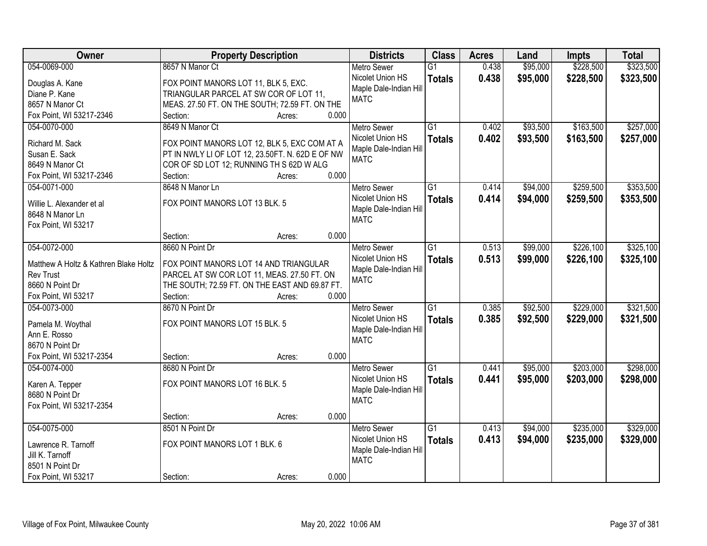| Owner                                 | <b>Property Description</b>                      |       | <b>Districts</b>       | <b>Class</b>    | <b>Acres</b> | Land     | <b>Impts</b> | <b>Total</b> |
|---------------------------------------|--------------------------------------------------|-------|------------------------|-----------------|--------------|----------|--------------|--------------|
| 054-0069-000                          | 8657 N Manor Ct                                  |       | <b>Metro Sewer</b>     | $\overline{G1}$ | 0.438        | \$95,000 | \$228,500    | \$323,500    |
| Douglas A. Kane                       | FOX POINT MANORS LOT 11, BLK 5, EXC.             |       | Nicolet Union HS       | <b>Totals</b>   | 0.438        | \$95,000 | \$228,500    | \$323,500    |
| Diane P. Kane                         | TRIANGULAR PARCEL AT SW COR OF LOT 11,           |       | Maple Dale-Indian Hill |                 |              |          |              |              |
| 8657 N Manor Ct                       | MEAS. 27.50 FT. ON THE SOUTH; 72.59 FT. ON THE   |       | <b>MATC</b>            |                 |              |          |              |              |
| Fox Point, WI 53217-2346              | Section:<br>Acres:                               | 0.000 |                        |                 |              |          |              |              |
| 054-0070-000                          | 8649 N Manor Ct                                  |       | <b>Metro Sewer</b>     | $\overline{G1}$ | 0.402        | \$93,500 | \$163,500    | \$257,000    |
|                                       |                                                  |       | Nicolet Union HS       |                 | 0.402        |          |              |              |
| Richard M. Sack                       | FOX POINT MANORS LOT 12, BLK 5, EXC COM AT A     |       | Maple Dale-Indian Hill | <b>Totals</b>   |              | \$93,500 | \$163,500    | \$257,000    |
| Susan E. Sack                         | PT IN NWLY LI OF LOT 12, 23.50FT. N. 62D E OF NW |       | <b>MATC</b>            |                 |              |          |              |              |
| 8649 N Manor Ct                       | COR OF SD LOT 12; RUNNING TH S 62D W ALG         |       |                        |                 |              |          |              |              |
| Fox Point, WI 53217-2346              | Section:<br>Acres:                               | 0.000 |                        |                 |              |          |              |              |
| 054-0071-000                          | 8648 N Manor Ln                                  |       | <b>Metro Sewer</b>     | G1              | 0.414        | \$94,000 | \$259,500    | \$353,500    |
|                                       | FOX POINT MANORS LOT 13 BLK. 5                   |       | Nicolet Union HS       | <b>Totals</b>   | 0.414        | \$94,000 | \$259,500    | \$353,500    |
| Willie L. Alexander et al             |                                                  |       | Maple Dale-Indian Hill |                 |              |          |              |              |
| 8648 N Manor Ln                       |                                                  |       | <b>MATC</b>            |                 |              |          |              |              |
| Fox Point, WI 53217                   |                                                  | 0.000 |                        |                 |              |          |              |              |
|                                       | Section:<br>Acres:                               |       |                        |                 |              |          |              |              |
| 054-0072-000                          | 8660 N Point Dr                                  |       | <b>Metro Sewer</b>     | G1              | 0.513        | \$99,000 | \$226,100    | \$325,100    |
| Matthew A Holtz & Kathren Blake Holtz | FOX POINT MANORS LOT 14 AND TRIANGULAR           |       | Nicolet Union HS       | <b>Totals</b>   | 0.513        | \$99,000 | \$226,100    | \$325,100    |
| <b>Rev Trust</b>                      | PARCEL AT SW COR LOT 11, MEAS. 27.50 FT. ON      |       | Maple Dale-Indian Hill |                 |              |          |              |              |
| 8660 N Point Dr                       | THE SOUTH; 72.59 FT. ON THE EAST AND 69.87 FT.   |       | <b>MATC</b>            |                 |              |          |              |              |
| Fox Point, WI 53217                   | Section:<br>Acres:                               | 0.000 |                        |                 |              |          |              |              |
| 054-0073-000                          | 8670 N Point Dr                                  |       | <b>Metro Sewer</b>     | $\overline{G1}$ | 0.385        | \$92,500 | \$229,000    | \$321,500    |
|                                       |                                                  |       | Nicolet Union HS       | <b>Totals</b>   | 0.385        | \$92,500 | \$229,000    | \$321,500    |
| Pamela M. Woythal                     | FOX POINT MANORS LOT 15 BLK. 5                   |       | Maple Dale-Indian Hill |                 |              |          |              |              |
| Ann E. Rosso                          |                                                  |       | <b>MATC</b>            |                 |              |          |              |              |
| 8670 N Point Dr                       |                                                  |       |                        |                 |              |          |              |              |
| Fox Point, WI 53217-2354              | Section:<br>Acres:                               | 0.000 |                        |                 |              |          |              |              |
| 054-0074-000                          | 8680 N Point Dr                                  |       | <b>Metro Sewer</b>     | $\overline{G1}$ | 0.441        | \$95,000 | \$203,000    | \$298,000    |
| Karen A. Tepper                       | FOX POINT MANORS LOT 16 BLK. 5                   |       | Nicolet Union HS       | <b>Totals</b>   | 0.441        | \$95,000 | \$203,000    | \$298,000    |
| 8680 N Point Dr                       |                                                  |       | Maple Dale-Indian Hill |                 |              |          |              |              |
| Fox Point, WI 53217-2354              |                                                  |       | <b>MATC</b>            |                 |              |          |              |              |
|                                       | Section:<br>Acres:                               | 0.000 |                        |                 |              |          |              |              |
| 054-0075-000                          | 8501 N Point Dr                                  |       | <b>Metro Sewer</b>     | $\overline{G1}$ | 0.413        | \$94,000 | \$235,000    | \$329,000    |
|                                       |                                                  |       | Nicolet Union HS       | <b>Totals</b>   | 0.413        | \$94,000 | \$235,000    | \$329,000    |
| Lawrence R. Tarnoff                   | FOX POINT MANORS LOT 1 BLK. 6                    |       | Maple Dale-Indian Hill |                 |              |          |              |              |
| Jill K. Tarnoff                       |                                                  |       | <b>MATC</b>            |                 |              |          |              |              |
| 8501 N Point Dr                       |                                                  |       |                        |                 |              |          |              |              |
| Fox Point, WI 53217                   | Section:<br>Acres:                               | 0.000 |                        |                 |              |          |              |              |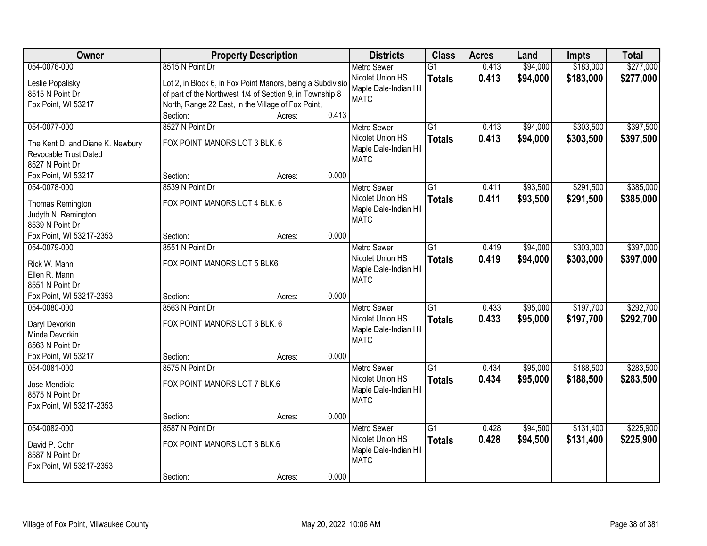| Owner                            | <b>Property Description</b>                                |        |       | <b>Districts</b>                       | <b>Class</b>    | <b>Acres</b> | Land     | <b>Impts</b> | <b>Total</b> |
|----------------------------------|------------------------------------------------------------|--------|-------|----------------------------------------|-----------------|--------------|----------|--------------|--------------|
| 054-0076-000                     | 8515 N Point Dr                                            |        |       | <b>Metro Sewer</b>                     | $\overline{G1}$ | 0.413        | \$94,000 | \$183,000    | \$277,000    |
| Leslie Popalisky                 | Lot 2, in Block 6, in Fox Point Manors, being a Subdivisio |        |       | Nicolet Union HS                       | <b>Totals</b>   | 0.413        | \$94,000 | \$183,000    | \$277,000    |
| 8515 N Point Dr                  | of part of the Northwest 1/4 of Section 9, in Township 8   |        |       | Maple Dale-Indian Hill                 |                 |              |          |              |              |
| Fox Point, WI 53217              | North, Range 22 East, in the Village of Fox Point,         |        |       | <b>MATC</b>                            |                 |              |          |              |              |
|                                  | Section:                                                   | Acres: | 0.413 |                                        |                 |              |          |              |              |
| 054-0077-000                     | 8527 N Point Dr                                            |        |       | <b>Metro Sewer</b>                     | $\overline{G1}$ | 0.413        | \$94,000 | \$303,500    | \$397,500    |
|                                  |                                                            |        |       | Nicolet Union HS                       | <b>Totals</b>   | 0.413        | \$94,000 | \$303,500    | \$397,500    |
| The Kent D. and Diane K. Newbury | FOX POINT MANORS LOT 3 BLK. 6                              |        |       | Maple Dale-Indian Hill                 |                 |              |          |              |              |
| Revocable Trust Dated            |                                                            |        |       | <b>MATC</b>                            |                 |              |          |              |              |
| 8527 N Point Dr                  |                                                            |        |       |                                        |                 |              |          |              |              |
| Fox Point, WI 53217              | Section:                                                   | Acres: | 0.000 |                                        |                 |              |          |              |              |
| 054-0078-000                     | 8539 N Point Dr                                            |        |       | Metro Sewer                            | $\overline{G1}$ | 0.411        | \$93,500 | \$291,500    | \$385,000    |
| Thomas Remington                 | FOX POINT MANORS LOT 4 BLK. 6                              |        |       | Nicolet Union HS                       | <b>Totals</b>   | 0.411        | \$93,500 | \$291,500    | \$385,000    |
| Judyth N. Remington              |                                                            |        |       | Maple Dale-Indian Hill                 |                 |              |          |              |              |
| 8539 N Point Dr                  |                                                            |        |       | <b>MATC</b>                            |                 |              |          |              |              |
| Fox Point, WI 53217-2353         | Section:                                                   | Acres: | 0.000 |                                        |                 |              |          |              |              |
| 054-0079-000                     | 8551 N Point Dr                                            |        |       | <b>Metro Sewer</b>                     | $\overline{G1}$ | 0.419        | \$94,000 | \$303,000    | \$397,000    |
|                                  |                                                            |        |       | Nicolet Union HS                       | <b>Totals</b>   | 0.419        | \$94,000 | \$303,000    | \$397,000    |
| Rick W. Mann                     | FOX POINT MANORS LOT 5 BLK6                                |        |       | Maple Dale-Indian Hill                 |                 |              |          |              |              |
| Ellen R. Mann                    |                                                            |        |       | <b>MATC</b>                            |                 |              |          |              |              |
| 8551 N Point Dr                  |                                                            |        | 0.000 |                                        |                 |              |          |              |              |
| Fox Point, WI 53217-2353         | Section:                                                   | Acres: |       |                                        |                 |              |          |              |              |
| 054-0080-000                     | 8563 N Point Dr                                            |        |       | <b>Metro Sewer</b>                     | $\overline{G1}$ | 0.433        | \$95,000 | \$197,700    | \$292,700    |
| Daryl Devorkin                   | FOX POINT MANORS LOT 6 BLK. 6                              |        |       | Nicolet Union HS                       | <b>Totals</b>   | 0.433        | \$95,000 | \$197,700    | \$292,700    |
| Minda Devorkin                   |                                                            |        |       | Maple Dale-Indian Hill                 |                 |              |          |              |              |
| 8563 N Point Dr                  |                                                            |        |       | <b>MATC</b>                            |                 |              |          |              |              |
| Fox Point, WI 53217              | Section:                                                   | Acres: | 0.000 |                                        |                 |              |          |              |              |
| 054-0081-000                     | 8575 N Point Dr                                            |        |       | <b>Metro Sewer</b>                     | $\overline{G1}$ | 0.434        | \$95,000 | \$188,500    | \$283,500    |
| Jose Mendiola                    | FOX POINT MANORS LOT 7 BLK.6                               |        |       | Nicolet Union HS                       | <b>Totals</b>   | 0.434        | \$95,000 | \$188,500    | \$283,500    |
| 8575 N Point Dr                  |                                                            |        |       | Maple Dale-Indian Hill                 |                 |              |          |              |              |
|                                  |                                                            |        |       | <b>MATC</b>                            |                 |              |          |              |              |
| Fox Point, WI 53217-2353         | Section:                                                   |        | 0.000 |                                        |                 |              |          |              |              |
| 054-0082-000                     | 8587 N Point Dr                                            | Acres: |       |                                        | $\overline{G1}$ | 0.428        |          | \$131,400    | \$225,900    |
|                                  |                                                            |        |       | <b>Metro Sewer</b><br>Nicolet Union HS |                 |              | \$94,500 |              |              |
| David P. Cohn                    | FOX POINT MANORS LOT 8 BLK.6                               |        |       |                                        | <b>Totals</b>   | 0.428        | \$94,500 | \$131,400    | \$225,900    |
| 8587 N Point Dr                  |                                                            |        |       | Maple Dale-Indian Hill<br><b>MATC</b>  |                 |              |          |              |              |
| Fox Point, WI 53217-2353         |                                                            |        |       |                                        |                 |              |          |              |              |
|                                  | Section:                                                   | Acres: | 0.000 |                                        |                 |              |          |              |              |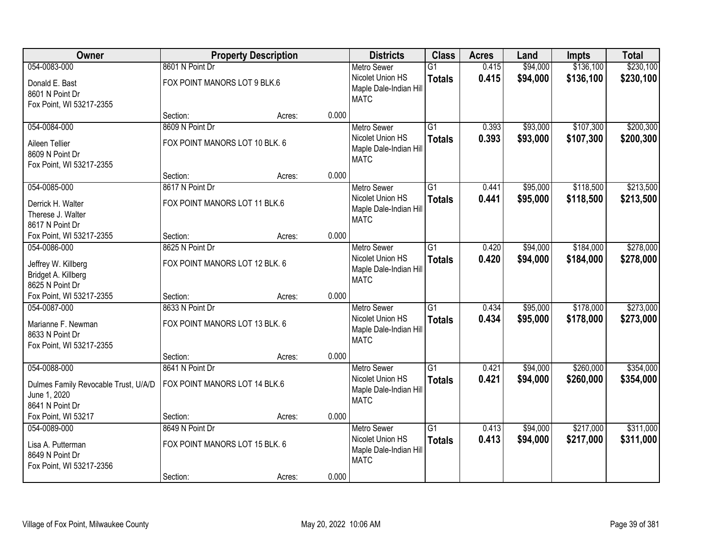| Owner                                                                             |                                                   | <b>Property Description</b> |       | <b>Districts</b>                                                                | <b>Class</b>                     | <b>Acres</b>   | Land                 | <b>Impts</b>           | <b>Total</b>           |
|-----------------------------------------------------------------------------------|---------------------------------------------------|-----------------------------|-------|---------------------------------------------------------------------------------|----------------------------------|----------------|----------------------|------------------------|------------------------|
| 054-0083-000                                                                      | 8601 N Point Dr                                   |                             |       | <b>Metro Sewer</b>                                                              | $\overline{G1}$                  | 0.415          | \$94,000             | \$136,100              | \$230,100              |
| Donald E. Bast<br>8601 N Point Dr<br>Fox Point, WI 53217-2355                     | FOX POINT MANORS LOT 9 BLK.6                      |                             |       | Nicolet Union HS<br>Maple Dale-Indian Hill<br><b>MATC</b>                       | <b>Totals</b>                    | 0.415          | \$94,000             | \$136,100              | \$230,100              |
|                                                                                   | Section:                                          | Acres:                      | 0.000 |                                                                                 |                                  |                |                      |                        |                        |
| 054-0084-000                                                                      | 8609 N Point Dr                                   |                             |       | <b>Metro Sewer</b>                                                              | $\overline{G1}$                  | 0.393          | \$93,000             | \$107,300              | \$200,300              |
| Aileen Tellier<br>8609 N Point Dr<br>Fox Point, WI 53217-2355                     | FOX POINT MANORS LOT 10 BLK. 6                    |                             |       | Nicolet Union HS<br>Maple Dale-Indian Hill<br><b>MATC</b>                       | <b>Totals</b>                    | 0.393          | \$93,000             | \$107,300              | \$200,300              |
|                                                                                   | Section:                                          | Acres:                      | 0.000 |                                                                                 |                                  |                |                      |                        |                        |
| 054-0085-000                                                                      | 8617 N Point Dr                                   |                             |       | <b>Metro Sewer</b>                                                              | $\overline{G1}$                  | 0.441          | \$95,000             | \$118,500              | \$213,500              |
| Derrick H. Walter<br>Therese J. Walter<br>8617 N Point Dr                         | FOX POINT MANORS LOT 11 BLK.6                     |                             |       | Nicolet Union HS<br>Maple Dale-Indian Hill<br><b>MATC</b>                       | <b>Totals</b>                    | 0.441          | \$95,000             | \$118,500              | \$213,500              |
| Fox Point, WI 53217-2355                                                          | Section:                                          | Acres:                      | 0.000 |                                                                                 |                                  |                |                      |                        |                        |
| 054-0086-000                                                                      | 8625 N Point Dr                                   |                             |       | <b>Metro Sewer</b>                                                              | $\overline{G1}$                  | 0.420          | \$94,000             | \$184,000              | \$278,000              |
| Jeffrey W. Killberg<br>Bridget A. Killberg<br>8625 N Point Dr                     | FOX POINT MANORS LOT 12 BLK. 6                    |                             |       | Nicolet Union HS<br>Maple Dale-Indian Hill<br><b>MATC</b>                       | <b>Totals</b>                    | 0.420          | \$94,000             | \$184,000              | \$278,000              |
| Fox Point, WI 53217-2355                                                          | Section:                                          | Acres:                      | 0.000 |                                                                                 |                                  |                |                      |                        |                        |
| 054-0087-000<br>Marianne F. Newman<br>8633 N Point Dr<br>Fox Point, WI 53217-2355 | 8633 N Point Dr<br>FOX POINT MANORS LOT 13 BLK. 6 |                             |       | <b>Metro Sewer</b><br>Nicolet Union HS<br>Maple Dale-Indian Hill<br><b>MATC</b> | $\overline{G1}$<br><b>Totals</b> | 0.434<br>0.434 | \$95,000<br>\$95,000 | \$178,000<br>\$178,000 | \$273,000<br>\$273,000 |
|                                                                                   | Section:                                          | Acres:                      | 0.000 |                                                                                 |                                  |                |                      |                        |                        |
| 054-0088-000                                                                      | 8641 N Point Dr                                   |                             |       | <b>Metro Sewer</b>                                                              | $\overline{G1}$                  | 0.421          | \$94,000             | \$260,000              | \$354,000              |
| Dulmes Family Revocable Trust, U/A/D<br>June 1, 2020<br>8641 N Point Dr           | FOX POINT MANORS LOT 14 BLK.6                     |                             |       | Nicolet Union HS<br>Maple Dale-Indian Hill<br><b>MATC</b>                       | <b>Totals</b>                    | 0.421          | \$94,000             | \$260,000              | \$354,000              |
| Fox Point, WI 53217                                                               | Section:                                          | Acres:                      | 0.000 |                                                                                 |                                  |                |                      |                        |                        |
| 054-0089-000<br>Lisa A. Putterman<br>8649 N Point Dr<br>Fox Point, WI 53217-2356  | 8649 N Point Dr<br>FOX POINT MANORS LOT 15 BLK. 6 |                             |       | <b>Metro Sewer</b><br>Nicolet Union HS<br>Maple Dale-Indian Hill<br><b>MATC</b> | $\overline{G1}$<br><b>Totals</b> | 0.413<br>0.413 | \$94,000<br>\$94,000 | \$217,000<br>\$217,000 | \$311,000<br>\$311,000 |
|                                                                                   | Section:                                          | Acres:                      | 0.000 |                                                                                 |                                  |                |                      |                        |                        |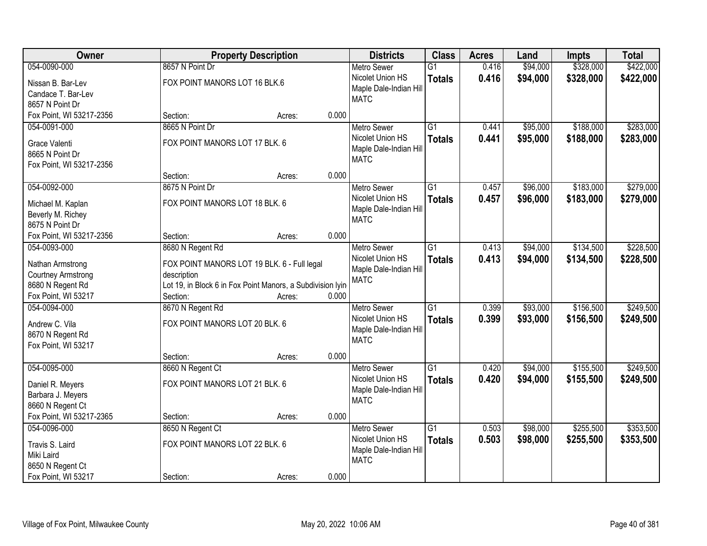| Owner                                       |                                                            | <b>Property Description</b> |       | <b>Districts</b>                      | <b>Class</b>    | <b>Acres</b> | Land     | <b>Impts</b> | <b>Total</b> |
|---------------------------------------------|------------------------------------------------------------|-----------------------------|-------|---------------------------------------|-----------------|--------------|----------|--------------|--------------|
| 054-0090-000                                | 8657 N Point Dr                                            |                             |       | <b>Metro Sewer</b>                    | $\overline{G1}$ | 0.416        | \$94,000 | \$328,000    | \$422,000    |
| Nissan B. Bar-Lev                           | FOX POINT MANORS LOT 16 BLK.6                              |                             |       | Nicolet Union HS                      | <b>Totals</b>   | 0.416        | \$94,000 | \$328,000    | \$422,000    |
| Candace T. Bar-Lev                          |                                                            |                             |       | Maple Dale-Indian Hill                |                 |              |          |              |              |
| 8657 N Point Dr                             |                                                            |                             |       | <b>MATC</b>                           |                 |              |          |              |              |
| Fox Point, WI 53217-2356                    | Section:                                                   | Acres:                      | 0.000 |                                       |                 |              |          |              |              |
| 054-0091-000                                | 8665 N Point Dr                                            |                             |       | <b>Metro Sewer</b>                    | $\overline{G1}$ | 0.441        | \$95,000 | \$188,000    | \$283,000    |
|                                             | FOX POINT MANORS LOT 17 BLK. 6                             |                             |       | Nicolet Union HS                      | <b>Totals</b>   | 0.441        | \$95,000 | \$188,000    | \$283,000    |
| Grace Valenti                               |                                                            |                             |       | Maple Dale-Indian Hill                |                 |              |          |              |              |
| 8665 N Point Dr<br>Fox Point, WI 53217-2356 |                                                            |                             |       | <b>MATC</b>                           |                 |              |          |              |              |
|                                             | Section:                                                   | Acres:                      | 0.000 |                                       |                 |              |          |              |              |
| 054-0092-000                                | 8675 N Point Dr                                            |                             |       | <b>Metro Sewer</b>                    | $\overline{G1}$ | 0.457        | \$96,000 | \$183,000    | \$279,000    |
|                                             |                                                            |                             |       | Nicolet Union HS                      | <b>Totals</b>   | 0.457        | \$96,000 | \$183,000    | \$279,000    |
| Michael M. Kaplan                           | FOX POINT MANORS LOT 18 BLK. 6                             |                             |       | Maple Dale-Indian Hill                |                 |              |          |              |              |
| Beverly M. Richey                           |                                                            |                             |       | <b>MATC</b>                           |                 |              |          |              |              |
| 8675 N Point Dr                             |                                                            |                             |       |                                       |                 |              |          |              |              |
| Fox Point, WI 53217-2356                    | Section:                                                   | Acres:                      | 0.000 |                                       |                 |              |          |              |              |
| 054-0093-000                                | 8680 N Regent Rd                                           |                             |       | <b>Metro Sewer</b>                    | $\overline{G1}$ | 0.413        | \$94,000 | \$134,500    | \$228,500    |
| Nathan Armstrong                            | FOX POINT MANORS LOT 19 BLK. 6 - Full legal                |                             |       | Nicolet Union HS                      | <b>Totals</b>   | 0.413        | \$94,000 | \$134,500    | \$228,500    |
| <b>Courtney Armstrong</b>                   | description                                                |                             |       | Maple Dale-Indian Hill<br><b>MATC</b> |                 |              |          |              |              |
| 8680 N Regent Rd                            | Lot 19, in Block 6 in Fox Point Manors, a Subdivision lyin |                             |       |                                       |                 |              |          |              |              |
| Fox Point, WI 53217                         | Section:                                                   | Acres:                      | 0.000 |                                       |                 |              |          |              |              |
| 054-0094-000                                | 8670 N Regent Rd                                           |                             |       | <b>Metro Sewer</b>                    | $\overline{G1}$ | 0.399        | \$93,000 | \$156,500    | \$249,500    |
| Andrew C. Vila                              | FOX POINT MANORS LOT 20 BLK. 6                             |                             |       | Nicolet Union HS                      | <b>Totals</b>   | 0.399        | \$93,000 | \$156,500    | \$249,500    |
| 8670 N Regent Rd                            |                                                            |                             |       | Maple Dale-Indian Hill                |                 |              |          |              |              |
| Fox Point, WI 53217                         |                                                            |                             |       | <b>MATC</b>                           |                 |              |          |              |              |
|                                             | Section:                                                   | Acres:                      | 0.000 |                                       |                 |              |          |              |              |
| 054-0095-000                                | 8660 N Regent Ct                                           |                             |       | Metro Sewer                           | $\overline{G1}$ | 0.420        | \$94,000 | \$155,500    | \$249,500    |
|                                             | FOX POINT MANORS LOT 21 BLK. 6                             |                             |       | Nicolet Union HS                      | <b>Totals</b>   | 0.420        | \$94,000 | \$155,500    | \$249,500    |
| Daniel R. Meyers<br>Barbara J. Meyers       |                                                            |                             |       | Maple Dale-Indian Hill                |                 |              |          |              |              |
| 8660 N Regent Ct                            |                                                            |                             |       | <b>MATC</b>                           |                 |              |          |              |              |
| Fox Point, WI 53217-2365                    | Section:                                                   | Acres:                      | 0.000 |                                       |                 |              |          |              |              |
| 054-0096-000                                | 8650 N Regent Ct                                           |                             |       | <b>Metro Sewer</b>                    | $\overline{G1}$ | 0.503        | \$98,000 | \$255,500    | \$353,500    |
|                                             |                                                            |                             |       | Nicolet Union HS                      | <b>Totals</b>   | 0.503        | \$98,000 | \$255,500    | \$353,500    |
| Travis S. Laird                             | FOX POINT MANORS LOT 22 BLK. 6                             |                             |       | Maple Dale-Indian Hill                |                 |              |          |              |              |
| Miki Laird                                  |                                                            |                             |       | <b>MATC</b>                           |                 |              |          |              |              |
| 8650 N Regent Ct                            |                                                            |                             |       |                                       |                 |              |          |              |              |
| Fox Point, WI 53217                         | Section:                                                   | Acres:                      | 0.000 |                                       |                 |              |          |              |              |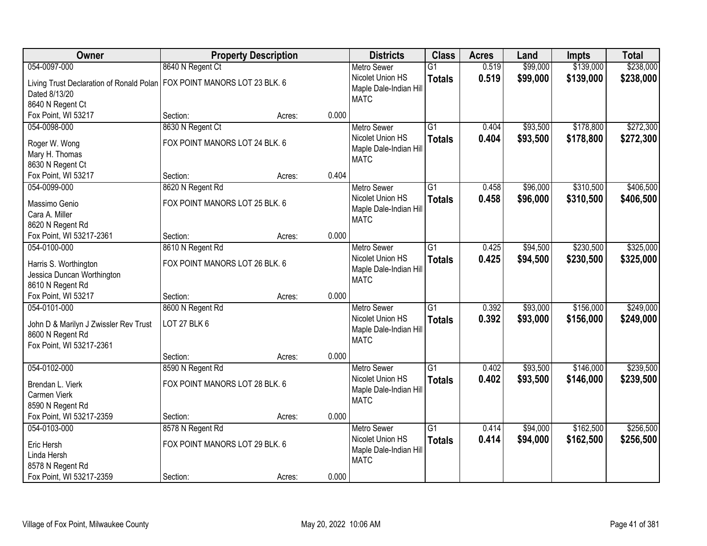| Owner                                        |                                | <b>Property Description</b> |       | <b>Districts</b>       | <b>Class</b>    | <b>Acres</b> | Land     | <b>Impts</b> | <b>Total</b> |
|----------------------------------------------|--------------------------------|-----------------------------|-------|------------------------|-----------------|--------------|----------|--------------|--------------|
| 054-0097-000                                 | 8640 N Regent Ct               |                             |       | <b>Metro Sewer</b>     | $\overline{G1}$ | 0.519        | \$99,000 | \$139,000    | \$238,000    |
| Living Trust Declaration of Ronald Polan     | FOX POINT MANORS LOT 23 BLK. 6 |                             |       | Nicolet Union HS       | <b>Totals</b>   | 0.519        | \$99,000 | \$139,000    | \$238,000    |
| Dated 8/13/20                                |                                |                             |       | Maple Dale-Indian Hill |                 |              |          |              |              |
| 8640 N Regent Ct                             |                                |                             |       | <b>MATC</b>            |                 |              |          |              |              |
| Fox Point, WI 53217                          | Section:                       | Acres:                      | 0.000 |                        |                 |              |          |              |              |
| 054-0098-000                                 | 8630 N Regent Ct               |                             |       | <b>Metro Sewer</b>     | $\overline{G1}$ | 0.404        | \$93,500 | \$178,800    | \$272,300    |
|                                              | FOX POINT MANORS LOT 24 BLK. 6 |                             |       | Nicolet Union HS       | <b>Totals</b>   | 0.404        | \$93,500 | \$178,800    | \$272,300    |
| Roger W. Wong                                |                                |                             |       | Maple Dale-Indian Hill |                 |              |          |              |              |
| Mary H. Thomas                               |                                |                             |       | <b>MATC</b>            |                 |              |          |              |              |
| 8630 N Regent Ct<br>Fox Point, WI 53217      | Section:                       | Acres:                      | 0.404 |                        |                 |              |          |              |              |
| 054-0099-000                                 |                                |                             |       | <b>Metro Sewer</b>     | $\overline{G1}$ | 0.458        | \$96,000 | \$310,500    | \$406,500    |
|                                              | 8620 N Regent Rd               |                             |       | Nicolet Union HS       |                 |              |          |              |              |
| Massimo Genio                                | FOX POINT MANORS LOT 25 BLK. 6 |                             |       | Maple Dale-Indian Hill | <b>Totals</b>   | 0.458        | \$96,000 | \$310,500    | \$406,500    |
| Cara A. Miller                               |                                |                             |       | <b>MATC</b>            |                 |              |          |              |              |
| 8620 N Regent Rd                             |                                |                             |       |                        |                 |              |          |              |              |
| Fox Point, WI 53217-2361                     | Section:                       | Acres:                      | 0.000 |                        |                 |              |          |              |              |
| 054-0100-000                                 | 8610 N Regent Rd               |                             |       | <b>Metro Sewer</b>     | $\overline{G1}$ | 0.425        | \$94,500 | \$230,500    | \$325,000    |
| Harris S. Worthington                        | FOX POINT MANORS LOT 26 BLK. 6 |                             |       | Nicolet Union HS       | <b>Totals</b>   | 0.425        | \$94,500 | \$230,500    | \$325,000    |
| Jessica Duncan Worthington                   |                                |                             |       | Maple Dale-Indian Hill |                 |              |          |              |              |
| 8610 N Regent Rd                             |                                |                             |       | <b>MATC</b>            |                 |              |          |              |              |
| Fox Point, WI 53217                          | Section:                       | Acres:                      | 0.000 |                        |                 |              |          |              |              |
| 054-0101-000                                 | 8600 N Regent Rd               |                             |       | <b>Metro Sewer</b>     | $\overline{G1}$ | 0.392        | \$93,000 | \$156,000    | \$249,000    |
|                                              |                                |                             |       | Nicolet Union HS       | <b>Totals</b>   | 0.392        | \$93,000 | \$156,000    | \$249,000    |
| John D & Marilyn J Zwissler Rev Trust        | LOT 27 BLK 6                   |                             |       | Maple Dale-Indian Hill |                 |              |          |              |              |
| 8600 N Regent Rd                             |                                |                             |       | <b>MATC</b>            |                 |              |          |              |              |
| Fox Point, WI 53217-2361                     |                                |                             |       |                        |                 |              |          |              |              |
|                                              | Section:                       | Acres:                      | 0.000 |                        |                 |              |          |              |              |
| 054-0102-000                                 | 8590 N Regent Rd               |                             |       | Metro Sewer            | $\overline{G1}$ | 0.402        | \$93,500 | \$146,000    | \$239,500    |
| Brendan L. Vierk                             | FOX POINT MANORS LOT 28 BLK. 6 |                             |       | Nicolet Union HS       | <b>Totals</b>   | 0.402        | \$93,500 | \$146,000    | \$239,500    |
| Carmen Vierk                                 |                                |                             |       | Maple Dale-Indian Hill |                 |              |          |              |              |
| 8590 N Regent Rd                             |                                |                             |       | <b>MATC</b>            |                 |              |          |              |              |
| Fox Point, WI 53217-2359                     | Section:                       | Acres:                      | 0.000 |                        |                 |              |          |              |              |
| 054-0103-000                                 | 8578 N Regent Rd               |                             |       | <b>Metro Sewer</b>     | $\overline{G1}$ | 0.414        | \$94,000 | \$162,500    | \$256,500    |
| Eric Hersh                                   | FOX POINT MANORS LOT 29 BLK. 6 |                             |       | Nicolet Union HS       | <b>Totals</b>   | 0.414        | \$94,000 | \$162,500    | \$256,500    |
| Linda Hersh                                  |                                |                             |       | Maple Dale-Indian Hill |                 |              |          |              |              |
|                                              |                                |                             |       | <b>MATC</b>            |                 |              |          |              |              |
|                                              |                                |                             |       |                        |                 |              |          |              |              |
| 8578 N Regent Rd<br>Fox Point, WI 53217-2359 | Section:                       | Acres:                      | 0.000 |                        |                 |              |          |              |              |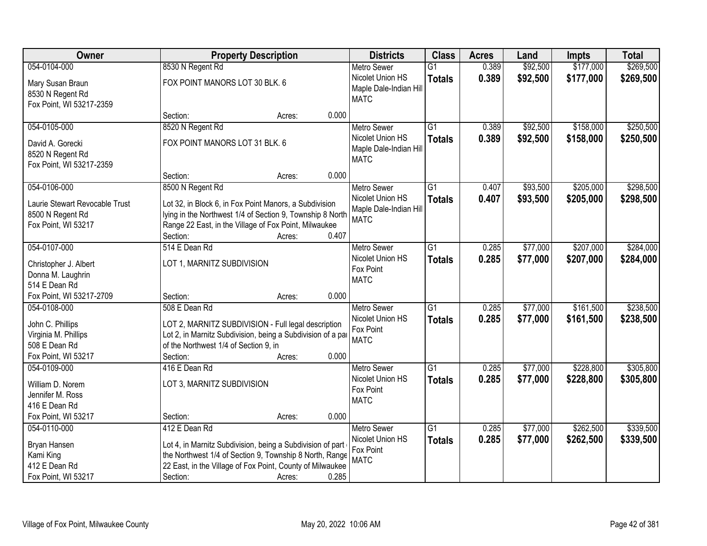| Owner                                                                                            |                                                                                                                                                                                                                 | <b>Property Description</b> |       | <b>Districts</b>                                                   | <b>Class</b>                     | <b>Acres</b>   | Land                 | <b>Impts</b>           | <b>Total</b>           |
|--------------------------------------------------------------------------------------------------|-----------------------------------------------------------------------------------------------------------------------------------------------------------------------------------------------------------------|-----------------------------|-------|--------------------------------------------------------------------|----------------------------------|----------------|----------------------|------------------------|------------------------|
| 054-0104-000                                                                                     | 8530 N Regent Rd                                                                                                                                                                                                |                             |       | <b>Metro Sewer</b>                                                 | $\overline{G1}$                  | 0.389          | \$92,500             | \$177,000              | \$269,500              |
| Mary Susan Braun<br>8530 N Regent Rd<br>Fox Point, WI 53217-2359                                 | FOX POINT MANORS LOT 30 BLK. 6                                                                                                                                                                                  |                             |       | Nicolet Union HS<br>Maple Dale-Indian Hill<br><b>MATC</b>          | <b>Totals</b>                    | 0.389          | \$92,500             | \$177,000              | \$269,500              |
|                                                                                                  | Section:                                                                                                                                                                                                        | Acres:                      | 0.000 |                                                                    |                                  |                |                      |                        |                        |
| 054-0105-000                                                                                     | 8520 N Regent Rd                                                                                                                                                                                                |                             |       | <b>Metro Sewer</b>                                                 | $\overline{G1}$                  | 0.389          | \$92,500             | \$158,000              | \$250,500              |
| David A. Gorecki<br>8520 N Regent Rd<br>Fox Point, WI 53217-2359                                 | FOX POINT MANORS LOT 31 BLK. 6                                                                                                                                                                                  |                             |       | Nicolet Union HS<br>Maple Dale-Indian Hill<br><b>MATC</b>          | <b>Totals</b>                    | 0.389          | \$92,500             | \$158,000              | \$250,500              |
|                                                                                                  | Section:                                                                                                                                                                                                        | Acres:                      | 0.000 |                                                                    |                                  |                |                      |                        |                        |
| 054-0106-000                                                                                     | 8500 N Regent Rd                                                                                                                                                                                                |                             |       | <b>Metro Sewer</b>                                                 | $\overline{G1}$                  | 0.407          | \$93,500             | \$205,000              | \$298,500              |
| Laurie Stewart Revocable Trust<br>8500 N Regent Rd<br>Fox Point, WI 53217                        | Lot 32, in Block 6, in Fox Point Manors, a Subdivision<br>lying in the Northwest 1/4 of Section 9, Township 8 North<br>Range 22 East, in the Village of Fox Point, Milwaukee<br>Section:                        | Acres:                      | 0.407 | Nicolet Union HS<br>Maple Dale-Indian Hill<br><b>MATC</b>          | <b>Totals</b>                    | 0.407          | \$93,500             | \$205,000              | \$298,500              |
| 054-0107-000                                                                                     | 514 E Dean Rd                                                                                                                                                                                                   |                             |       | <b>Metro Sewer</b>                                                 | $\overline{G1}$                  | 0.285          | \$77,000             | \$207,000              | \$284,000              |
| Christopher J. Albert<br>Donna M. Laughrin<br>514 E Dean Rd                                      | LOT 1, MARNITZ SUBDIVISION                                                                                                                                                                                      |                             |       | Nicolet Union HS<br>Fox Point<br><b>MATC</b>                       | <b>Totals</b>                    | 0.285          | \$77,000             | \$207,000              | \$284,000              |
| Fox Point, WI 53217-2709                                                                         | Section:                                                                                                                                                                                                        | Acres:                      | 0.000 |                                                                    |                                  |                |                      |                        |                        |
| 054-0108-000<br>John C. Phillips<br>Virginia M. Phillips<br>508 E Dean Rd<br>Fox Point, WI 53217 | 508 E Dean Rd<br>LOT 2, MARNITZ SUBDIVISION - Full legal description<br>Lot 2, in Marnitz Subdivision, being a Subdivision of a par<br>of the Northwest 1/4 of Section 9, in<br>Section:                        | Acres:                      | 0.000 | <b>Metro Sewer</b><br>Nicolet Union HS<br>Fox Point<br><b>MATC</b> | $\overline{G1}$<br><b>Totals</b> | 0.285<br>0.285 | \$77,000<br>\$77,000 | \$161,500<br>\$161,500 | \$238,500<br>\$238,500 |
| 054-0109-000                                                                                     | 416 E Dean Rd                                                                                                                                                                                                   |                             |       | Metro Sewer                                                        | $\overline{G1}$                  | 0.285          | \$77,000             | \$228,800              | \$305,800              |
| William D. Norem<br>Jennifer M. Ross<br>416 E Dean Rd                                            | LOT 3, MARNITZ SUBDIVISION                                                                                                                                                                                      |                             |       | Nicolet Union HS<br>Fox Point<br><b>MATC</b>                       | <b>Totals</b>                    | 0.285          | \$77,000             | \$228,800              | \$305,800              |
| Fox Point, WI 53217                                                                              | Section:                                                                                                                                                                                                        | Acres:                      | 0.000 |                                                                    |                                  |                |                      |                        |                        |
| 054-0110-000<br>Bryan Hansen<br>Kami King<br>412 E Dean Rd<br>Fox Point, WI 53217                | 412 E Dean Rd<br>Lot 4, in Marnitz Subdivision, being a Subdivision of part<br>the Northwest 1/4 of Section 9, Township 8 North, Range<br>22 East, in the Village of Fox Point, County of Milwaukee<br>Section: | Acres:                      | 0.285 | <b>Metro Sewer</b><br>Nicolet Union HS<br>Fox Point<br><b>MATC</b> | $\overline{G1}$<br><b>Totals</b> | 0.285<br>0.285 | \$77,000<br>\$77,000 | \$262,500<br>\$262,500 | \$339,500<br>\$339,500 |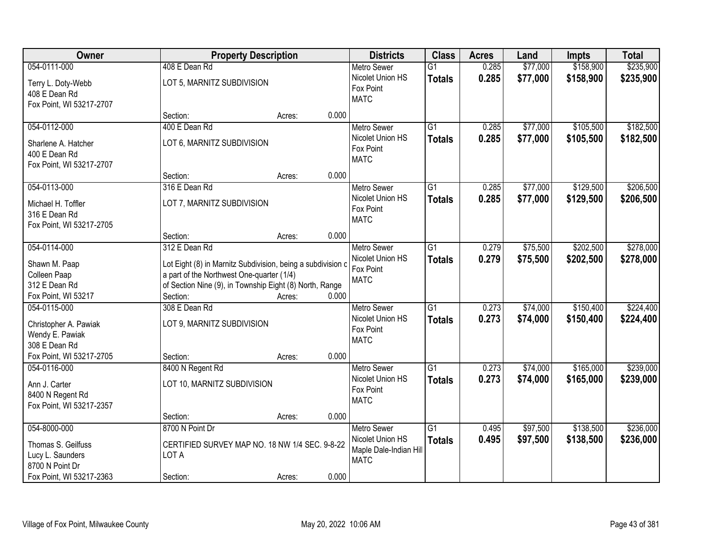| Owner                                                                                                 |                                                                                                                                                                                      | <b>Property Description</b> |       | <b>Districts</b>                                                                | <b>Class</b>                     | <b>Acres</b>   | Land                 | <b>Impts</b>           | <b>Total</b>           |
|-------------------------------------------------------------------------------------------------------|--------------------------------------------------------------------------------------------------------------------------------------------------------------------------------------|-----------------------------|-------|---------------------------------------------------------------------------------|----------------------------------|----------------|----------------------|------------------------|------------------------|
| 054-0111-000                                                                                          | 408 E Dean Rd                                                                                                                                                                        |                             |       | <b>Metro Sewer</b>                                                              | $\overline{G1}$                  | 0.285          | \$77,000             | \$158,900              | \$235,900              |
| Terry L. Doty-Webb<br>408 E Dean Rd<br>Fox Point, WI 53217-2707                                       | LOT 5, MARNITZ SUBDIVISION                                                                                                                                                           |                             |       | Nicolet Union HS<br>Fox Point<br><b>MATC</b>                                    | <b>Totals</b>                    | 0.285          | \$77,000             | \$158,900              | \$235,900              |
|                                                                                                       | Section:                                                                                                                                                                             | Acres:                      | 0.000 |                                                                                 |                                  |                |                      |                        |                        |
| 054-0112-000<br>Sharlene A. Hatcher<br>400 E Dean Rd<br>Fox Point, WI 53217-2707                      | 400 E Dean Rd<br>LOT 6, MARNITZ SUBDIVISION                                                                                                                                          |                             |       | <b>Metro Sewer</b><br>Nicolet Union HS<br>Fox Point<br><b>MATC</b>              | $\overline{G1}$<br><b>Totals</b> | 0.285<br>0.285 | \$77,000<br>\$77,000 | \$105,500<br>\$105,500 | \$182,500<br>\$182,500 |
|                                                                                                       | Section:                                                                                                                                                                             | Acres:                      | 0.000 |                                                                                 |                                  |                |                      |                        |                        |
| 054-0113-000<br>Michael H. Toffler<br>316 E Dean Rd<br>Fox Point, WI 53217-2705                       | 316 E Dean Rd<br>LOT 7, MARNITZ SUBDIVISION                                                                                                                                          |                             |       | <b>Metro Sewer</b><br>Nicolet Union HS<br>Fox Point<br><b>MATC</b>              | $\overline{G1}$<br><b>Totals</b> | 0.285<br>0.285 | \$77,000<br>\$77,000 | \$129,500<br>\$129,500 | \$206,500<br>\$206,500 |
|                                                                                                       | Section:                                                                                                                                                                             | Acres:                      | 0.000 |                                                                                 |                                  |                |                      |                        |                        |
| 054-0114-000<br>Shawn M. Paap<br>Colleen Paap<br>312 E Dean Rd                                        | 312 E Dean Rd<br>Lot Eight (8) in Marnitz Subdivision, being a subdivision c<br>a part of the Northwest One-quarter (1/4)<br>of Section Nine (9), in Township Eight (8) North, Range |                             |       | <b>Metro Sewer</b><br>Nicolet Union HS<br>Fox Point<br><b>MATC</b>              | G1<br><b>Totals</b>              | 0.279<br>0.279 | \$75,500<br>\$75,500 | \$202,500<br>\$202,500 | \$278,000<br>\$278,000 |
| Fox Point, WI 53217                                                                                   | Section:                                                                                                                                                                             | Acres:                      | 0.000 |                                                                                 |                                  |                |                      |                        |                        |
| 054-0115-000<br>Christopher A. Pawiak<br>Wendy E. Pawiak<br>308 E Dean Rd                             | 308 E Dean Rd<br>LOT 9, MARNITZ SUBDIVISION                                                                                                                                          |                             |       | Metro Sewer<br>Nicolet Union HS<br>Fox Point<br><b>MATC</b>                     | $\overline{G1}$<br><b>Totals</b> | 0.273<br>0.273 | \$74,000<br>\$74,000 | \$150,400<br>\$150,400 | \$224,400<br>\$224,400 |
| Fox Point, WI 53217-2705                                                                              | Section:                                                                                                                                                                             | Acres:                      | 0.000 |                                                                                 |                                  |                |                      |                        |                        |
| 054-0116-000<br>Ann J. Carter<br>8400 N Regent Rd<br>Fox Point, WI 53217-2357                         | 8400 N Regent Rd<br>LOT 10, MARNITZ SUBDIVISION                                                                                                                                      |                             |       | <b>Metro Sewer</b><br>Nicolet Union HS<br>Fox Point<br><b>MATC</b>              | $\overline{G1}$<br><b>Totals</b> | 0.273<br>0.273 | \$74,000<br>\$74,000 | \$165,000<br>\$165,000 | \$239,000<br>\$239,000 |
|                                                                                                       | Section:                                                                                                                                                                             | Acres:                      | 0.000 |                                                                                 |                                  |                |                      |                        |                        |
| 054-8000-000<br>Thomas S. Geilfuss<br>Lucy L. Saunders<br>8700 N Point Dr<br>Fox Point, WI 53217-2363 | 8700 N Point Dr<br>CERTIFIED SURVEY MAP NO. 18 NW 1/4 SEC. 9-8-22<br>LOT A<br>Section:                                                                                               | Acres:                      | 0.000 | <b>Metro Sewer</b><br>Nicolet Union HS<br>Maple Dale-Indian Hill<br><b>MATC</b> | $\overline{G1}$<br><b>Totals</b> | 0.495<br>0.495 | \$97,500<br>\$97,500 | \$138,500<br>\$138,500 | \$236,000<br>\$236,000 |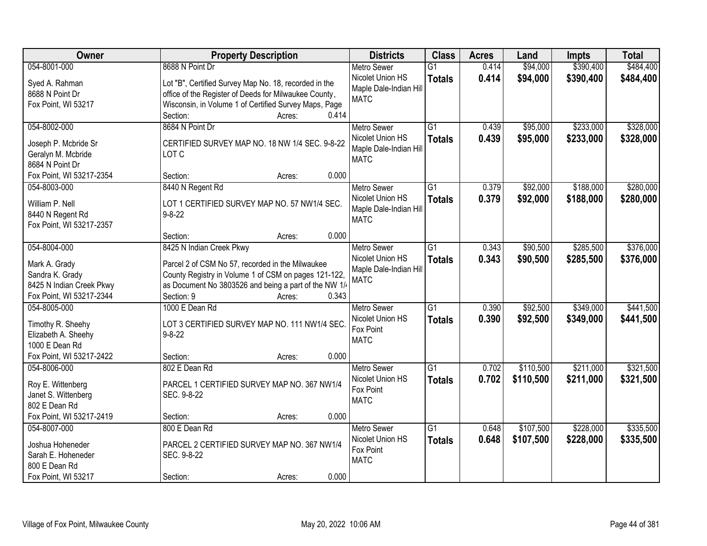| Owner                    | <b>Property Description</b>                           | <b>Districts</b>                           | <b>Class</b>    | <b>Acres</b> | Land      | <b>Impts</b> | <b>Total</b> |
|--------------------------|-------------------------------------------------------|--------------------------------------------|-----------------|--------------|-----------|--------------|--------------|
| 054-8001-000             | 8688 N Point Dr                                       | <b>Metro Sewer</b>                         | $\overline{G1}$ | 0.414        | \$94,000  | \$390,400    | \$484,400    |
| Syed A. Rahman           | Lot "B", Certified Survey Map No. 18, recorded in the | Nicolet Union HS<br>Maple Dale-Indian Hill | <b>Totals</b>   | 0.414        | \$94,000  | \$390,400    | \$484,400    |
| 8688 N Point Dr          | office of the Register of Deeds for Milwaukee County, | <b>MATC</b>                                |                 |              |           |              |              |
| Fox Point, WI 53217      | Wisconsin, in Volume 1 of Certified Survey Maps, Page |                                            |                 |              |           |              |              |
|                          | 0.414<br>Section:<br>Acres:                           |                                            |                 |              |           |              |              |
| 054-8002-000             | 8684 N Point Dr                                       | <b>Metro Sewer</b>                         | $\overline{G1}$ | 0.439        | \$95,000  | \$233,000    | \$328,000    |
| Joseph P. Mcbride Sr     | CERTIFIED SURVEY MAP NO. 18 NW 1/4 SEC. 9-8-22        | Nicolet Union HS                           | <b>Totals</b>   | 0.439        | \$95,000  | \$233,000    | \$328,000    |
| Geralyn M. Mcbride       | LOT C                                                 | Maple Dale-Indian Hill                     |                 |              |           |              |              |
| 8684 N Point Dr          |                                                       | <b>MATC</b>                                |                 |              |           |              |              |
| Fox Point, WI 53217-2354 | 0.000<br>Section:<br>Acres:                           |                                            |                 |              |           |              |              |
| 054-8003-000             | 8440 N Regent Rd                                      | <b>Metro Sewer</b>                         | $\overline{G1}$ | 0.379        | \$92,000  | \$188,000    | \$280,000    |
|                          |                                                       | Nicolet Union HS                           |                 | 0.379        | \$92,000  | \$188,000    | \$280,000    |
| William P. Nell          | LOT 1 CERTIFIED SURVEY MAP NO. 57 NW1/4 SEC.          | Maple Dale-Indian Hill                     | <b>Totals</b>   |              |           |              |              |
| 8440 N Regent Rd         | $9 - 8 - 22$                                          | <b>MATC</b>                                |                 |              |           |              |              |
| Fox Point, WI 53217-2357 |                                                       |                                            |                 |              |           |              |              |
|                          | 0.000<br>Section:<br>Acres:                           |                                            |                 |              |           |              |              |
| 054-8004-000             | 8425 N Indian Creek Pkwy                              | <b>Metro Sewer</b>                         | $\overline{G1}$ | 0.343        | \$90,500  | \$285,500    | \$376,000    |
| Mark A. Grady            | Parcel 2 of CSM No 57, recorded in the Milwaukee      | Nicolet Union HS                           | <b>Totals</b>   | 0.343        | \$90,500  | \$285,500    | \$376,000    |
| Sandra K. Grady          | County Registry in Volume 1 of CSM on pages 121-122,  | Maple Dale-Indian Hill                     |                 |              |           |              |              |
| 8425 N Indian Creek Pkwy | as Document No 3803526 and being a part of the NW 1/  | <b>MATC</b>                                |                 |              |           |              |              |
| Fox Point, WI 53217-2344 | Section: 9<br>0.343<br>Acres:                         |                                            |                 |              |           |              |              |
| 054-8005-000             | 1000 E Dean Rd                                        | <b>Metro Sewer</b>                         | $\overline{G1}$ | 0.390        | \$92,500  | \$349,000    | \$441,500    |
|                          |                                                       | Nicolet Union HS                           | <b>Totals</b>   | 0.390        | \$92,500  | \$349,000    | \$441,500    |
| Timothy R. Sheehy        | LOT 3 CERTIFIED SURVEY MAP NO. 111 NW1/4 SEC.         | Fox Point                                  |                 |              |           |              |              |
| Elizabeth A. Sheehy      | $9 - 8 - 22$                                          | <b>MATC</b>                                |                 |              |           |              |              |
| 1000 E Dean Rd           |                                                       |                                            |                 |              |           |              |              |
| Fox Point, WI 53217-2422 | 0.000<br>Section:<br>Acres:                           |                                            |                 |              |           |              |              |
| 054-8006-000             | 802 E Dean Rd                                         | Metro Sewer                                | G1              | 0.702        | \$110,500 | \$211,000    | \$321,500    |
| Roy E. Wittenberg        | PARCEL 1 CERTIFIED SURVEY MAP NO. 367 NW1/4           | Nicolet Union HS                           | <b>Totals</b>   | 0.702        | \$110,500 | \$211,000    | \$321,500    |
| Janet S. Wittenberg      | SEC. 9-8-22                                           | Fox Point                                  |                 |              |           |              |              |
| 802 E Dean Rd            |                                                       | <b>MATC</b>                                |                 |              |           |              |              |
| Fox Point, WI 53217-2419 | 0.000<br>Section:<br>Acres:                           |                                            |                 |              |           |              |              |
| 054-8007-000             | 800 E Dean Rd                                         | <b>Metro Sewer</b>                         | G1              | 0.648        | \$107,500 | \$228,000    | \$335,500    |
|                          |                                                       | Nicolet Union HS                           | <b>Totals</b>   | 0.648        | \$107,500 | \$228,000    | \$335,500    |
| Joshua Hoheneder         | PARCEL 2 CERTIFIED SURVEY MAP NO. 367 NW1/4           | Fox Point                                  |                 |              |           |              |              |
| Sarah E. Hoheneder       | SEC. 9-8-22                                           | <b>MATC</b>                                |                 |              |           |              |              |
| 800 E Dean Rd            |                                                       |                                            |                 |              |           |              |              |
| Fox Point, WI 53217      | 0.000<br>Section:<br>Acres:                           |                                            |                 |              |           |              |              |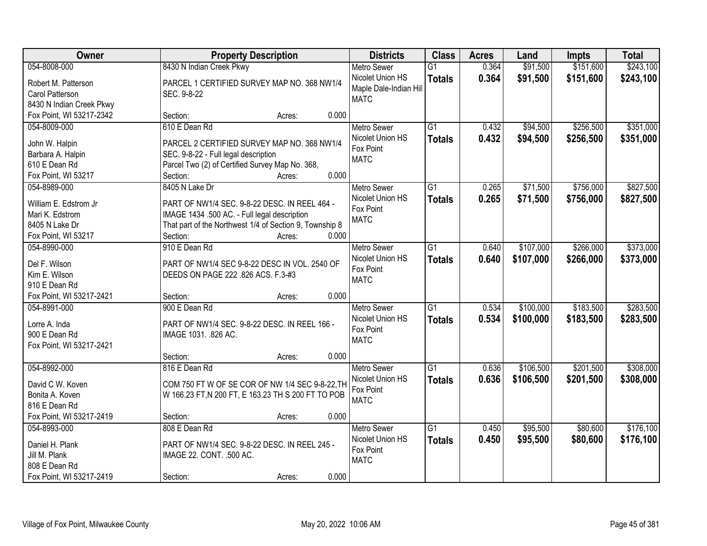| Owner                    |                                                         | <b>Property Description</b> | <b>Districts</b>       | <b>Class</b>    | <b>Acres</b> | Land      | Impts     | <b>Total</b> |
|--------------------------|---------------------------------------------------------|-----------------------------|------------------------|-----------------|--------------|-----------|-----------|--------------|
| 054-8008-000             | 8430 N Indian Creek Pkwy                                |                             | <b>Metro Sewer</b>     | $\overline{G1}$ | 0.364        | \$91,500  | \$151,600 | \$243,100    |
| Robert M. Patterson      | PARCEL 1 CERTIFIED SURVEY MAP NO. 368 NW1/4             |                             | Nicolet Union HS       | <b>Totals</b>   | 0.364        | \$91,500  | \$151,600 | \$243,100    |
| Carol Patterson          | SEC. 9-8-22                                             |                             | Maple Dale-Indian Hill |                 |              |           |           |              |
| 8430 N Indian Creek Pkwy |                                                         |                             | <b>MATC</b>            |                 |              |           |           |              |
| Fox Point, WI 53217-2342 | Section:                                                | 0.000<br>Acres:             |                        |                 |              |           |           |              |
| 054-8009-000             | 610 E Dean Rd                                           |                             | <b>Metro Sewer</b>     | $\overline{G1}$ | 0.432        | \$94,500  | \$256,500 | \$351,000    |
|                          |                                                         |                             | Nicolet Union HS       | <b>Totals</b>   | 0.432        | \$94,500  | \$256,500 | \$351,000    |
| John W. Halpin           | PARCEL 2 CERTIFIED SURVEY MAP NO. 368 NW1/4             |                             | Fox Point              |                 |              |           |           |              |
| Barbara A. Halpin        | SEC. 9-8-22 - Full legal description                    |                             | <b>MATC</b>            |                 |              |           |           |              |
| 610 E Dean Rd            | Parcel Two (2) of Certified Survey Map No. 368,         | 0.000                       |                        |                 |              |           |           |              |
| Fox Point, WI 53217      | Section:                                                | Acres:                      |                        |                 |              |           |           |              |
| 054-8989-000             | 8405 N Lake Dr                                          |                             | Metro Sewer            | G1              | 0.265        | \$71,500  | \$756,000 | \$827,500    |
| William E. Edstrom Jr    | PART OF NW1/4 SEC. 9-8-22 DESC. IN REEL 464 -           |                             | Nicolet Union HS       | <b>Totals</b>   | 0.265        | \$71,500  | \$756,000 | \$827,500    |
| Mari K. Edstrom          | IMAGE 1434 .500 AC. - Full legal description            |                             | Fox Point              |                 |              |           |           |              |
| 8405 N Lake Dr           | That part of the Northwest 1/4 of Section 9, Township 8 |                             | <b>MATC</b>            |                 |              |           |           |              |
| Fox Point, WI 53217      | Section:                                                | 0.000<br>Acres:             |                        |                 |              |           |           |              |
| 054-8990-000             | 910 E Dean Rd                                           |                             | <b>Metro Sewer</b>     | G1              | 0.640        | \$107,000 | \$266,000 | \$373,000    |
|                          |                                                         |                             | Nicolet Union HS       | <b>Totals</b>   | 0.640        | \$107,000 | \$266,000 | \$373,000    |
| Del F. Wilson            | PART OF NW1/4 SEC 9-8-22 DESC IN VOL. 2540 OF           |                             | Fox Point              |                 |              |           |           |              |
| Kim E. Wilson            | DEEDS ON PAGE 222 .826 ACS. F.3-#3                      |                             | <b>MATC</b>            |                 |              |           |           |              |
| 910 E Dean Rd            |                                                         |                             |                        |                 |              |           |           |              |
| Fox Point, WI 53217-2421 | Section:                                                | 0.000<br>Acres:             |                        |                 |              |           |           |              |
| 054-8991-000             | 900 E Dean Rd                                           |                             | <b>Metro Sewer</b>     | $\overline{G1}$ | 0.534        | \$100,000 | \$183,500 | \$283,500    |
| Lorre A. Inda            | PART OF NW1/4 SEC. 9-8-22 DESC. IN REEL 166 -           |                             | Nicolet Union HS       | <b>Totals</b>   | 0.534        | \$100,000 | \$183,500 | \$283,500    |
| 900 E Dean Rd            | IMAGE 1031. .826 AC.                                    |                             | Fox Point              |                 |              |           |           |              |
| Fox Point, WI 53217-2421 |                                                         |                             | <b>MATC</b>            |                 |              |           |           |              |
|                          | Section:                                                | 0.000<br>Acres:             |                        |                 |              |           |           |              |
| 054-8992-000             | 816 E Dean Rd                                           |                             | <b>Metro Sewer</b>     | G1              | 0.636        | \$106,500 | \$201,500 | \$308,000    |
| David C W. Koven         | COM 750 FT W OF SE COR OF NW 1/4 SEC 9-8-22, TH         |                             | Nicolet Union HS       | <b>Totals</b>   | 0.636        | \$106,500 | \$201,500 | \$308,000    |
| Bonita A. Koven          | W 166.23 FT, N 200 FT, E 163.23 TH S 200 FT TO POB      |                             | Fox Point              |                 |              |           |           |              |
| 816 E Dean Rd            |                                                         |                             | <b>MATC</b>            |                 |              |           |           |              |
| Fox Point, WI 53217-2419 | Section:                                                | 0.000<br>Acres:             |                        |                 |              |           |           |              |
| 054-8993-000             | 808 E Dean Rd                                           |                             | <b>Metro Sewer</b>     | $\overline{G1}$ | 0.450        | \$95,500  | \$80,600  | \$176,100    |
|                          |                                                         |                             | Nicolet Union HS       |                 |              |           |           |              |
| Daniel H. Plank          | PART OF NW1/4 SEC. 9-8-22 DESC. IN REEL 245 -           |                             | Fox Point              | <b>Totals</b>   | 0.450        | \$95,500  | \$80,600  | \$176,100    |
| Jill M. Plank            | IMAGE 22. CONT. .500 AC.                                |                             | <b>MATC</b>            |                 |              |           |           |              |
| 808 E Dean Rd            |                                                         |                             |                        |                 |              |           |           |              |
| Fox Point, WI 53217-2419 | Section:                                                | 0.000<br>Acres:             |                        |                 |              |           |           |              |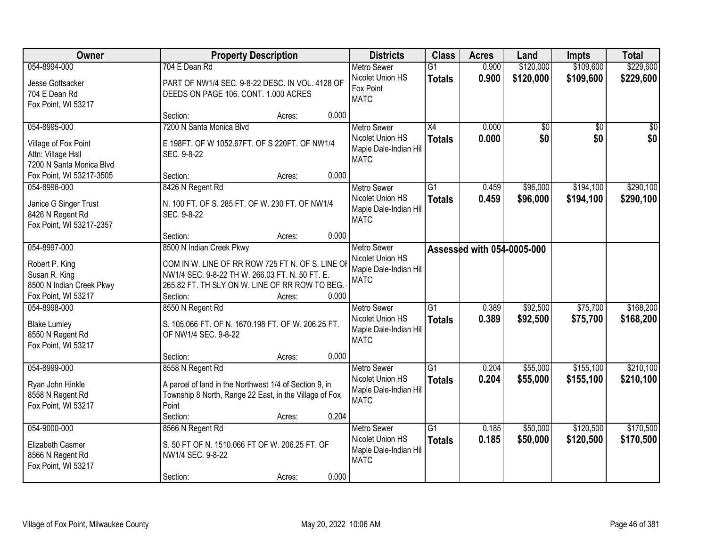| Owner                                     | <b>Property Description</b>                            |        |       | <b>Districts</b>                      | <b>Class</b>    | <b>Acres</b>               | Land      | Impts           | <b>Total</b> |
|-------------------------------------------|--------------------------------------------------------|--------|-------|---------------------------------------|-----------------|----------------------------|-----------|-----------------|--------------|
| 054-8994-000                              | 704 E Dean Rd                                          |        |       | <b>Metro Sewer</b>                    | $\overline{G1}$ | 0.900                      | \$120,000 | \$109,600       | \$229,600    |
| Jesse Gottsacker                          | PART OF NW1/4 SEC. 9-8-22 DESC. IN VOL. 4128 OF        |        |       | Nicolet Union HS                      | <b>Totals</b>   | 0.900                      | \$120,000 | \$109,600       | \$229,600    |
| 704 E Dean Rd                             | DEEDS ON PAGE 106. CONT. 1.000 ACRES                   |        |       | Fox Point                             |                 |                            |           |                 |              |
| Fox Point, WI 53217                       |                                                        |        |       | <b>MATC</b>                           |                 |                            |           |                 |              |
|                                           | Section:                                               | Acres: | 0.000 |                                       |                 |                            |           |                 |              |
| 054-8995-000                              | 7200 N Santa Monica Blvd                               |        |       | <b>Metro Sewer</b>                    | $\overline{X4}$ | 0.000                      | \$0       | $\overline{50}$ | \$0          |
| Village of Fox Point                      | E 198FT. OF W 1052.67FT. OF S 220FT. OF NW1/4          |        |       | Nicolet Union HS                      | <b>Totals</b>   | 0.000                      | \$0       | \$0             | \$0          |
| Attn: Village Hall                        | SEC. 9-8-22                                            |        |       | Maple Dale-Indian Hill                |                 |                            |           |                 |              |
| 7200 N Santa Monica Blvd                  |                                                        |        |       | <b>MATC</b>                           |                 |                            |           |                 |              |
| Fox Point, WI 53217-3505                  | Section:                                               | Acres: | 0.000 |                                       |                 |                            |           |                 |              |
| 054-8996-000                              | 8426 N Regent Rd                                       |        |       | Metro Sewer                           | $\overline{G1}$ | 0.459                      | \$96,000  | \$194,100       | \$290,100    |
|                                           | N. 100 FT. OF S. 285 FT. OF W. 230 FT. OF NW1/4        |        |       | Nicolet Union HS                      | <b>Totals</b>   | 0.459                      | \$96,000  | \$194,100       | \$290,100    |
| Janice G Singer Trust<br>8426 N Regent Rd | SEC. 9-8-22                                            |        |       | Maple Dale-Indian Hill                |                 |                            |           |                 |              |
| Fox Point, WI 53217-2357                  |                                                        |        |       | <b>MATC</b>                           |                 |                            |           |                 |              |
|                                           | Section:                                               | Acres: | 0.000 |                                       |                 |                            |           |                 |              |
| 054-8997-000                              | 8500 N Indian Creek Pkwy                               |        |       | <b>Metro Sewer</b>                    |                 | Assessed with 054-0005-000 |           |                 |              |
|                                           |                                                        |        |       | Nicolet Union HS                      |                 |                            |           |                 |              |
| Robert P. King                            | COM IN W. LINE OF RR ROW 725 FT N. OF S. LINE OI       |        |       | Maple Dale-Indian Hill                |                 |                            |           |                 |              |
| Susan R. King                             | NW1/4 SEC. 9-8-22 TH W. 266.03 FT. N. 50 FT. E.        |        |       | <b>MATC</b>                           |                 |                            |           |                 |              |
| 8500 N Indian Creek Pkwy                  | 265.82 FT. TH SLY ON W. LINE OF RR ROW TO BEG.         |        |       |                                       |                 |                            |           |                 |              |
| Fox Point, WI 53217                       | Section:                                               | Acres: | 0.000 |                                       |                 |                            |           |                 |              |
| 054-8998-000                              | 8550 N Regent Rd                                       |        |       | <b>Metro Sewer</b>                    | $\overline{G1}$ | 0.389                      | \$92,500  | \$75,700        | \$168,200    |
| <b>Blake Lumley</b>                       | S. 105.066 FT. OF N. 1670.198 FT. OF W. 206.25 FT.     |        |       | Nicolet Union HS                      | <b>Totals</b>   | 0.389                      | \$92,500  | \$75,700        | \$168,200    |
| 8550 N Regent Rd                          | OF NW1/4 SEC. 9-8-22                                   |        |       | Maple Dale-Indian Hill<br><b>MATC</b> |                 |                            |           |                 |              |
| Fox Point, WI 53217                       |                                                        |        |       |                                       |                 |                            |           |                 |              |
|                                           | Section:                                               | Acres: | 0.000 |                                       |                 |                            |           |                 |              |
| 054-8999-000                              | 8558 N Regent Rd                                       |        |       | Metro Sewer                           | $\overline{G1}$ | 0.204                      | \$55,000  | \$155,100       | \$210,100    |
| Ryan John Hinkle                          | A parcel of land in the Northwest 1/4 of Section 9, in |        |       | Nicolet Union HS                      | <b>Totals</b>   | 0.204                      | \$55,000  | \$155,100       | \$210,100    |
| 8558 N Regent Rd                          | Township 8 North, Range 22 East, in the Village of Fox |        |       | Maple Dale-Indian Hill                |                 |                            |           |                 |              |
| Fox Point, WI 53217                       | Point                                                  |        |       | <b>MATC</b>                           |                 |                            |           |                 |              |
|                                           | Section:                                               | Acres: | 0.204 |                                       |                 |                            |           |                 |              |
| 054-9000-000                              | 8566 N Regent Rd                                       |        |       | <b>Metro Sewer</b>                    | $\overline{G1}$ | 0.185                      | \$50,000  | \$120,500       | \$170,500    |
| Elizabeth Casmer                          | S. 50 FT OF N. 1510.066 FT OF W. 206.25 FT. OF         |        |       | Nicolet Union HS                      | <b>Totals</b>   | 0.185                      | \$50,000  | \$120,500       | \$170,500    |
| 8566 N Regent Rd                          | NW1/4 SEC. 9-8-22                                      |        |       | Maple Dale-Indian Hill                |                 |                            |           |                 |              |
| Fox Point, WI 53217                       |                                                        |        |       | <b>MATC</b>                           |                 |                            |           |                 |              |
|                                           | Section:                                               | Acres: | 0.000 |                                       |                 |                            |           |                 |              |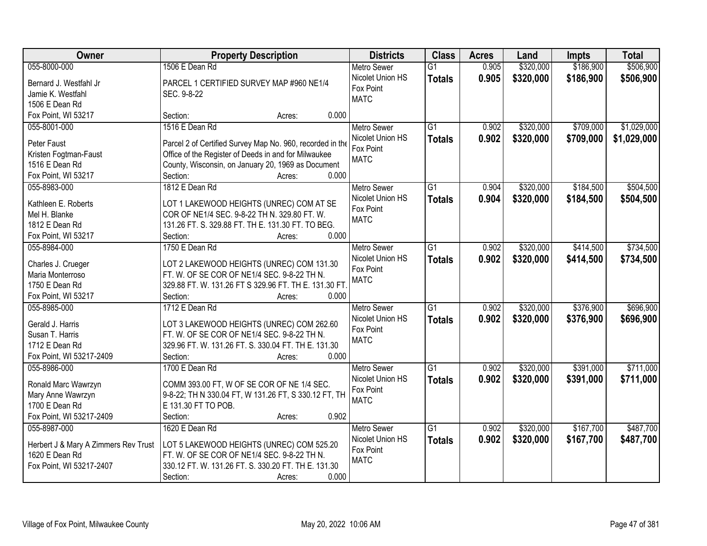| Owner                                | <b>Property Description</b>                               | <b>Districts</b>   | <b>Class</b>    | <b>Acres</b> | Land      | Impts     | <b>Total</b> |
|--------------------------------------|-----------------------------------------------------------|--------------------|-----------------|--------------|-----------|-----------|--------------|
| 055-8000-000                         | 1506 E Dean Rd                                            | <b>Metro Sewer</b> | $\overline{G1}$ | 0.905        | \$320,000 | \$186,900 | \$506,900    |
| Bernard J. Westfahl Jr               | PARCEL 1 CERTIFIED SURVEY MAP #960 NE1/4                  | Nicolet Union HS   | <b>Totals</b>   | 0.905        | \$320,000 | \$186,900 | \$506,900    |
| Jamie K. Westfahl                    | SEC. 9-8-22                                               | Fox Point          |                 |              |           |           |              |
| 1506 E Dean Rd                       |                                                           | <b>MATC</b>        |                 |              |           |           |              |
| Fox Point, WI 53217                  | 0.000<br>Section:<br>Acres:                               |                    |                 |              |           |           |              |
| 055-8001-000                         | 1516 E Dean Rd                                            | <b>Metro Sewer</b> | $\overline{G1}$ | 0.902        | \$320,000 | \$709,000 | \$1,029,000  |
|                                      |                                                           | Nicolet Union HS   | <b>Totals</b>   | 0.902        | \$320,000 | \$709,000 | \$1,029,000  |
| Peter Faust                          | Parcel 2 of Certified Survey Map No. 960, recorded in the | Fox Point          |                 |              |           |           |              |
| Kristen Fogtman-Faust                | Office of the Register of Deeds in and for Milwaukee      | <b>MATC</b>        |                 |              |           |           |              |
| 1516 E Dean Rd                       | County, Wisconsin, on January 20, 1969 as Document        |                    |                 |              |           |           |              |
| Fox Point, WI 53217                  | 0.000<br>Section:<br>Acres:                               |                    |                 |              |           |           |              |
| 055-8983-000                         | 1812 E Dean Rd                                            | Metro Sewer        | G1              | 0.904        | \$320,000 | \$184,500 | \$504,500    |
| Kathleen E. Roberts                  | LOT 1 LAKEWOOD HEIGHTS (UNREC) COM AT SE                  | Nicolet Union HS   | <b>Totals</b>   | 0.904        | \$320,000 | \$184,500 | \$504,500    |
| Mel H. Blanke                        | COR OF NE1/4 SEC. 9-8-22 TH N. 329.80 FT. W.              | Fox Point          |                 |              |           |           |              |
| 1812 E Dean Rd                       | 131.26 FT. S. 329.88 FT. TH E. 131.30 FT. TO BEG.         | <b>MATC</b>        |                 |              |           |           |              |
| Fox Point, WI 53217                  | Section:<br>0.000<br>Acres:                               |                    |                 |              |           |           |              |
| 055-8984-000                         | 1750 E Dean Rd                                            | <b>Metro Sewer</b> | $\overline{G1}$ | 0.902        | \$320,000 | \$414,500 | \$734,500    |
|                                      |                                                           | Nicolet Union HS   | <b>Totals</b>   | 0.902        | \$320,000 | \$414,500 | \$734,500    |
| Charles J. Crueger                   | LOT 2 LAKEWOOD HEIGHTS (UNREC) COM 131.30                 | Fox Point          |                 |              |           |           |              |
| Maria Monterroso                     | FT. W. OF SE COR OF NE1/4 SEC. 9-8-22 TH N.               | <b>MATC</b>        |                 |              |           |           |              |
| 1750 E Dean Rd                       | 329.88 FT. W. 131.26 FT S 329.96 FT. TH E. 131.30 FT.     |                    |                 |              |           |           |              |
| Fox Point, WI 53217                  | Section:<br>0.000<br>Acres:                               |                    |                 |              |           |           |              |
| 055-8985-000                         | 1712 E Dean Rd                                            | <b>Metro Sewer</b> | $\overline{G1}$ | 0.902        | \$320,000 | \$376,900 | \$696,900    |
| Gerald J. Harris                     | LOT 3 LAKEWOOD HEIGHTS (UNREC) COM 262.60                 | Nicolet Union HS   | <b>Totals</b>   | 0.902        | \$320,000 | \$376,900 | \$696,900    |
| Susan T. Harris                      | FT. W. OF SE COR OF NE1/4 SEC. 9-8-22 TH N.               | Fox Point          |                 |              |           |           |              |
| 1712 E Dean Rd                       | 329.96 FT. W. 131.26 FT. S. 330.04 FT. TH E. 131.30       | <b>MATC</b>        |                 |              |           |           |              |
| Fox Point, WI 53217-2409             | Section:<br>0.000<br>Acres:                               |                    |                 |              |           |           |              |
| 055-8986-000                         | 1700 E Dean Rd                                            | Metro Sewer        | $\overline{G1}$ | 0.902        | \$320,000 | \$391,000 | \$711,000    |
|                                      |                                                           | Nicolet Union HS   |                 | 0.902        | \$320,000 | \$391,000 | \$711,000    |
| Ronald Marc Wawrzyn                  | COMM 393.00 FT, W OF SE COR OF NE 1/4 SEC.                | Fox Point          | <b>Totals</b>   |              |           |           |              |
| Mary Anne Wawrzyn                    | 9-8-22; TH N 330.04 FT, W 131.26 FT, S 330.12 FT, TH      | <b>MATC</b>        |                 |              |           |           |              |
| 1700 E Dean Rd                       | E 131.30 FT TO POB.                                       |                    |                 |              |           |           |              |
| Fox Point, WI 53217-2409             | 0.902<br>Section:<br>Acres:                               |                    |                 |              |           |           |              |
| 055-8987-000                         | 1620 E Dean Rd                                            | <b>Metro Sewer</b> | $\overline{G1}$ | 0.902        | \$320,000 | \$167,700 | \$487,700    |
| Herbert J & Mary A Zimmers Rev Trust | LOT 5 LAKEWOOD HEIGHTS (UNREC) COM 525.20                 | Nicolet Union HS   | <b>Totals</b>   | 0.902        | \$320,000 | \$167,700 | \$487,700    |
| 1620 E Dean Rd                       | FT. W. OF SE COR OF NE1/4 SEC. 9-8-22 TH N.               | Fox Point          |                 |              |           |           |              |
| Fox Point, WI 53217-2407             | 330.12 FT. W. 131.26 FT. S. 330.20 FT. TH E. 131.30       | <b>MATC</b>        |                 |              |           |           |              |
|                                      | 0.000                                                     |                    |                 |              |           |           |              |
|                                      | Section:<br>Acres:                                        |                    |                 |              |           |           |              |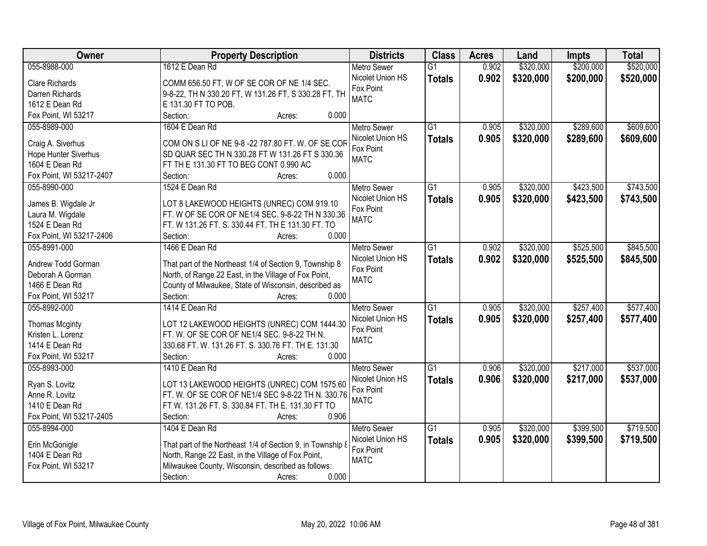| <b>Owner</b>             | <b>Property Description</b>                                | <b>Districts</b>   | <b>Class</b>    | <b>Acres</b> | Land      | <b>Impts</b> | <b>Total</b> |
|--------------------------|------------------------------------------------------------|--------------------|-----------------|--------------|-----------|--------------|--------------|
| 055-8988-000             | 1612 E Dean Rd                                             | <b>Metro Sewer</b> | $\overline{G1}$ | 0.902        | \$320,000 | \$200,000    | \$520,000    |
| <b>Clare Richards</b>    | COMM 656.50 FT, W OF SE COR OF NE 1/4 SEC.                 | Nicolet Union HS   | <b>Totals</b>   | 0.902        | \$320,000 | \$200,000    | \$520,000    |
| Darren Richards          | 9-8-22, TH N 330.20 FT, W 131.26 FT, S 330.28 FT, TH       | Fox Point          |                 |              |           |              |              |
| 1612 E Dean Rd           | E 131.30 FT TO POB.                                        | <b>MATC</b>        |                 |              |           |              |              |
| Fox Point, WI 53217      | 0.000<br>Section:<br>Acres:                                |                    |                 |              |           |              |              |
| 055-8989-000             | 1604 E Dean Rd                                             | <b>Metro Sewer</b> | $\overline{G1}$ | 0.905        | \$320,000 | \$289,600    | \$609,600    |
|                          |                                                            | Nicolet Union HS   |                 | 0.905        | \$320,000 | \$289,600    |              |
| Craig A. Siverhus        | COM ON S LI OF NE 9-8 -22 787.80 FT. W. OF SE COR          | Fox Point          | <b>Totals</b>   |              |           |              | \$609,600    |
| Hope Hunter Siverhus     | SD QUAR SEC TH N 330.28 FT W 131.26 FT S 330.36            | <b>MATC</b>        |                 |              |           |              |              |
| 1604 E Dean Rd           | FT TH E 131.30 FT TO BEG CONT 0.990 AC                     |                    |                 |              |           |              |              |
| Fox Point, WI 53217-2407 | 0.000<br>Section:<br>Acres:                                |                    |                 |              |           |              |              |
| 055-8990-000             | 1524 E Dean Rd                                             | <b>Metro Sewer</b> | G1              | 0.905        | \$320,000 | \$423,500    | \$743,500    |
|                          |                                                            | Nicolet Union HS   | <b>Totals</b>   | 0.905        | \$320,000 | \$423,500    | \$743,500    |
| James B. Wigdale Jr      | LOT 8 LAKEWOOD HEIGHTS (UNREC) COM 919.10                  | Fox Point          |                 |              |           |              |              |
| Laura M. Wigdale         | FT. W OF SE COR OF NE1/4 SEC. 9-8-22 TH N 330.36           | <b>MATC</b>        |                 |              |           |              |              |
| 1524 E Dean Rd           | FT. W 131.26 FT. S. 330.44 FT. TH E 131.30 FT. TO          |                    |                 |              |           |              |              |
| Fox Point, WI 53217-2406 | 0.000<br>Section:<br>Acres:                                |                    |                 |              |           |              |              |
| 055-8991-000             | 1466 E Dean Rd                                             | <b>Metro Sewer</b> | G1              | 0.902        | \$320,000 | \$525,500    | \$845,500    |
| Andrew Todd Gorman       | That part of the Northeast 1/4 of Section 9, Township 8    | Nicolet Union HS   | <b>Totals</b>   | 0.902        | \$320,000 | \$525,500    | \$845,500    |
| Deborah A Gorman         | North, of Range 22 East, in the Village of Fox Point,      | Fox Point          |                 |              |           |              |              |
| 1466 E Dean Rd           | County of Milwaukee, State of Wisconsin, described as      | <b>MATC</b>        |                 |              |           |              |              |
| Fox Point, WI 53217      | Section:<br>0.000<br>Acres:                                |                    |                 |              |           |              |              |
| 055-8992-000             | 1414 E Dean Rd                                             | <b>Metro Sewer</b> | $\overline{G1}$ | 0.905        | \$320,000 | \$257,400    | \$577,400    |
|                          |                                                            | Nicolet Union HS   | <b>Totals</b>   | 0.905        | \$320,000 | \$257,400    | \$577,400    |
| <b>Thomas Mcginty</b>    | LOT 12 LAKEWOOD HEIGHTS (UNREC) COM 1444.30                | Fox Point          |                 |              |           |              |              |
| Kristen L. Lorenz        | FT. W. OF SE COR OF NE1/4 SEC. 9-8-22 TH N.                | <b>MATC</b>        |                 |              |           |              |              |
| 1414 E Dean Rd           | 330.68 FT. W. 131.26 FT. S. 330.76 FT. TH E. 131.30        |                    |                 |              |           |              |              |
| Fox Point, WI 53217      | Section:<br>0.000<br>Acres:                                |                    |                 |              |           |              |              |
| 055-8993-000             | 1410 E Dean Rd                                             | Metro Sewer        | $\overline{G1}$ | 0.906        | \$320,000 | \$217,000    | \$537,000    |
| Ryan S. Lovitz           | LOT 13 LAKEWOOD HEIGHTS (UNREC) COM 1575.60                | Nicolet Union HS   | <b>Totals</b>   | 0.906        | \$320,000 | \$217,000    | \$537,000    |
| Anne R. Lovitz           | FT. W. OF SE COR OF NE1/4 SEC 9-8-22 TH N. 330.76          | Fox Point          |                 |              |           |              |              |
| 1410 E Dean Rd           | FT W. 131.26 FT. S. 330.84 FT. TH E. 131.30 FT TO          | <b>MATC</b>        |                 |              |           |              |              |
| Fox Point, WI 53217-2405 | 0.906<br>Section:<br>Acres:                                |                    |                 |              |           |              |              |
| 055-8994-000             | 1404 E Dean Rd                                             | <b>Metro Sewer</b> | $\overline{G1}$ | 0.905        | \$320,000 | \$399,500    | \$719,500    |
|                          |                                                            | Nicolet Union HS   | <b>Totals</b>   | 0.905        | \$320,000 | \$399,500    | \$719,500    |
| Erin McGonigle           | That part of the Northeast 1/4 of Section 9, in Township 8 | Fox Point          |                 |              |           |              |              |
| 1404 E Dean Rd           | North, Range 22 East, in the Village of Fox Point,         | <b>MATC</b>        |                 |              |           |              |              |
| Fox Point, WI 53217      | Milwaukee County, Wisconsin, described as follows:         |                    |                 |              |           |              |              |
|                          | 0.000<br>Section:<br>Acres:                                |                    |                 |              |           |              |              |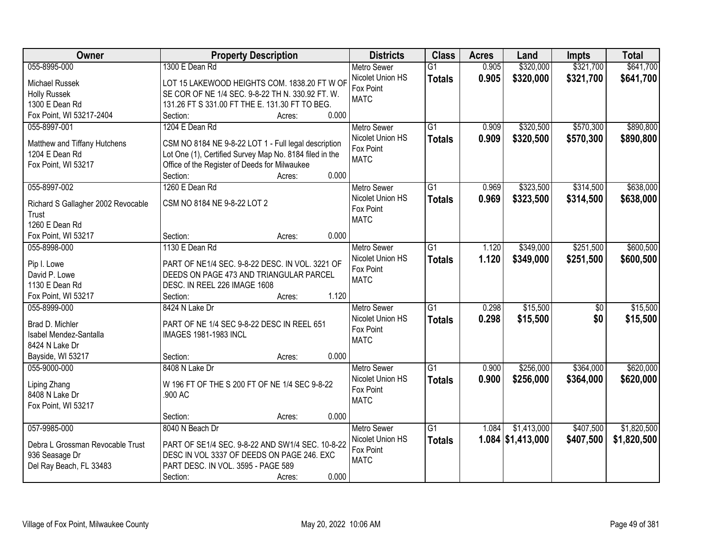| Owner                              | <b>Property Description</b>                             | <b>Districts</b>   | <b>Class</b>    | <b>Acres</b> | Land                | Impts     | <b>Total</b> |
|------------------------------------|---------------------------------------------------------|--------------------|-----------------|--------------|---------------------|-----------|--------------|
| 055-8995-000                       | 1300 E Dean Rd                                          | <b>Metro Sewer</b> | $\overline{G1}$ | 0.905        | \$320,000           | \$321,700 | \$641,700    |
| Michael Russek                     | LOT 15 LAKEWOOD HEIGHTS COM. 1838.20 FT W OF            | Nicolet Union HS   | <b>Totals</b>   | 0.905        | \$320,000           | \$321,700 | \$641,700    |
| <b>Holly Russek</b>                | SE COR OF NE 1/4 SEC. 9-8-22 TH N. 330.92 FT. W.        | Fox Point          |                 |              |                     |           |              |
| 1300 E Dean Rd                     | 131.26 FT S 331.00 FT THE E. 131.30 FT TO BEG.          | <b>MATC</b>        |                 |              |                     |           |              |
| Fox Point, WI 53217-2404           | 0.000<br>Section:<br>Acres:                             |                    |                 |              |                     |           |              |
| 055-8997-001                       | 1204 E Dean Rd                                          | <b>Metro Sewer</b> | $\overline{G1}$ | 0.909        | \$320,500           | \$570,300 | \$890,800    |
|                                    |                                                         | Nicolet Union HS   | <b>Totals</b>   | 0.909        | \$320,500           | \$570,300 | \$890,800    |
| Matthew and Tiffany Hutchens       | CSM NO 8184 NE 9-8-22 LOT 1 - Full legal description    | Fox Point          |                 |              |                     |           |              |
| 1204 E Dean Rd                     | Lot One (1), Certified Survey Map No. 8184 filed in the | <b>MATC</b>        |                 |              |                     |           |              |
| Fox Point, WI 53217                | Office of the Register of Deeds for Milwaukee           |                    |                 |              |                     |           |              |
|                                    | 0.000<br>Section:<br>Acres:                             |                    |                 |              |                     |           |              |
| 055-8997-002                       | 1260 E Dean Rd                                          | <b>Metro Sewer</b> | G1              | 0.969        | \$323,500           | \$314,500 | \$638,000    |
| Richard S Gallagher 2002 Revocable | CSM NO 8184 NE 9-8-22 LOT 2                             | Nicolet Union HS   | <b>Totals</b>   | 0.969        | \$323,500           | \$314,500 | \$638,000    |
| Trust                              |                                                         | Fox Point          |                 |              |                     |           |              |
| 1260 E Dean Rd                     |                                                         | <b>MATC</b>        |                 |              |                     |           |              |
| Fox Point, WI 53217                | 0.000<br>Section:<br>Acres:                             |                    |                 |              |                     |           |              |
| 055-8998-000                       | 1130 E Dean Rd                                          | <b>Metro Sewer</b> | $\overline{G1}$ | 1.120        | \$349,000           | \$251,500 | \$600,500    |
|                                    |                                                         | Nicolet Union HS   |                 | 1.120        | \$349,000           | \$251,500 | \$600,500    |
| Pip I. Lowe                        | PART OF NE1/4 SEC. 9-8-22 DESC. IN VOL. 3221 OF         | Fox Point          | <b>Totals</b>   |              |                     |           |              |
| David P. Lowe                      | DEEDS ON PAGE 473 AND TRIANGULAR PARCEL                 | <b>MATC</b>        |                 |              |                     |           |              |
| 1130 E Dean Rd                     | DESC. IN REEL 226 IMAGE 1608                            |                    |                 |              |                     |           |              |
| Fox Point, WI 53217                | 1.120<br>Section:<br>Acres:                             |                    |                 |              |                     |           |              |
| 055-8999-000                       | 8424 N Lake Dr                                          | <b>Metro Sewer</b> | $\overline{G1}$ | 0.298        | \$15,500            | \$0       | \$15,500     |
| Brad D. Michler                    | PART OF NE 1/4 SEC 9-8-22 DESC IN REEL 651              | Nicolet Union HS   | <b>Totals</b>   | 0.298        | \$15,500            | \$0       | \$15,500     |
| Isabel Mendez-Santalla             | IMAGES 1981-1983 INCL                                   | Fox Point          |                 |              |                     |           |              |
| 8424 N Lake Dr                     |                                                         | <b>MATC</b>        |                 |              |                     |           |              |
| Bayside, WI 53217                  | 0.000<br>Section:                                       |                    |                 |              |                     |           |              |
| 055-9000-000                       | Acres:                                                  |                    | $\overline{G1}$ |              |                     | \$364,000 | \$620,000    |
|                                    | 8408 N Lake Dr                                          | Metro Sewer        |                 | 0.900        | \$256,000           |           |              |
| Liping Zhang                       | W 196 FT OF THE S 200 FT OF NE 1/4 SEC 9-8-22           | Nicolet Union HS   | <b>Totals</b>   | 0.900        | \$256,000           | \$364,000 | \$620,000    |
| 8408 N Lake Dr                     | .900 AC                                                 | Fox Point          |                 |              |                     |           |              |
| Fox Point, WI 53217                |                                                         | <b>MATC</b>        |                 |              |                     |           |              |
|                                    | 0.000<br>Section:<br>Acres:                             |                    |                 |              |                     |           |              |
| 057-9985-000                       | 8040 N Beach Dr                                         | <b>Metro Sewer</b> | $\overline{G1}$ | 1.084        | \$1,413,000         | \$407,500 | \$1,820,500  |
|                                    |                                                         | Nicolet Union HS   | <b>Totals</b>   |              | $1.084$ \$1,413,000 | \$407,500 | \$1,820,500  |
| Debra L Grossman Revocable Trust   | PART OF SE1/4 SEC. 9-8-22 AND SW1/4 SEC. 10-8-22        | Fox Point          |                 |              |                     |           |              |
| 936 Seasage Dr                     | DESC IN VOL 3337 OF DEEDS ON PAGE 246. EXC              | <b>MATC</b>        |                 |              |                     |           |              |
| Del Ray Beach, FL 33483            | PART DESC. IN VOL. 3595 - PAGE 589                      |                    |                 |              |                     |           |              |
|                                    | 0.000<br>Section:<br>Acres:                             |                    |                 |              |                     |           |              |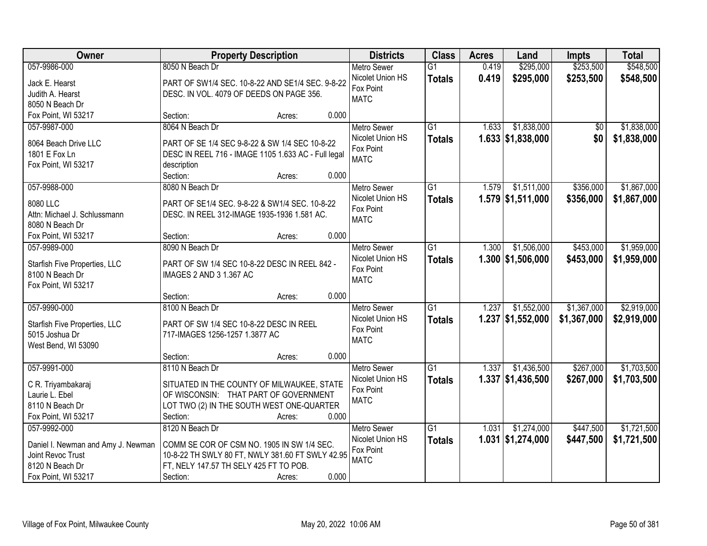| Owner                                 | <b>Property Description</b>                                                         | <b>Districts</b>   | <b>Class</b>    | <b>Acres</b> | Land                | <b>Impts</b> | <b>Total</b> |
|---------------------------------------|-------------------------------------------------------------------------------------|--------------------|-----------------|--------------|---------------------|--------------|--------------|
| 057-9986-000                          | 8050 N Beach Dr                                                                     | <b>Metro Sewer</b> | $\overline{G1}$ | 0.419        | \$295,000           | \$253,500    | \$548,500    |
| Jack E. Hearst                        | PART OF SW1/4 SEC. 10-8-22 AND SE1/4 SEC. 9-8-22                                    | Nicolet Union HS   | <b>Totals</b>   | 0.419        | \$295,000           | \$253,500    | \$548,500    |
| Judith A. Hearst                      | DESC. IN VOL. 4079 OF DEEDS ON PAGE 356.                                            | Fox Point          |                 |              |                     |              |              |
| 8050 N Beach Dr                       |                                                                                     | <b>MATC</b>        |                 |              |                     |              |              |
| Fox Point, WI 53217                   | 0.000<br>Section:<br>Acres:                                                         |                    |                 |              |                     |              |              |
| 057-9987-000                          | 8064 N Beach Dr                                                                     | Metro Sewer        | $\overline{G1}$ | 1.633        | \$1,838,000         | \$0          | \$1,838,000  |
|                                       |                                                                                     | Nicolet Union HS   | <b>Totals</b>   |              | $1.633$ \$1,838,000 | \$0          | \$1,838,000  |
| 8064 Beach Drive LLC<br>1801 E Fox Ln | PART OF SE 1/4 SEC 9-8-22 & SW 1/4 SEC 10-8-22                                      | Fox Point          |                 |              |                     |              |              |
| Fox Point, WI 53217                   | DESC IN REEL 716 - IMAGE 1105 1.633 AC - Full legal<br>description                  | <b>MATC</b>        |                 |              |                     |              |              |
|                                       | 0.000<br>Section:<br>Acres:                                                         |                    |                 |              |                     |              |              |
| 057-9988-000                          | 8080 N Beach Dr                                                                     | Metro Sewer        | $\overline{G1}$ | 1.579        | \$1,511,000         | \$356,000    | \$1,867,000  |
|                                       |                                                                                     | Nicolet Union HS   | <b>Totals</b>   |              | $1.579$ \$1,511,000 | \$356,000    | \$1,867,000  |
| 8080 LLC                              | PART OF SE1/4 SEC. 9-8-22 & SW1/4 SEC. 10-8-22                                      | Fox Point          |                 |              |                     |              |              |
| Attn: Michael J. Schlussmann          | DESC. IN REEL 312-IMAGE 1935-1936 1.581 AC.                                         | <b>MATC</b>        |                 |              |                     |              |              |
| 8080 N Beach Dr                       |                                                                                     |                    |                 |              |                     |              |              |
| Fox Point, WI 53217                   | 0.000<br>Section:<br>Acres:                                                         |                    |                 |              |                     |              |              |
| 057-9989-000                          | 8090 N Beach Dr                                                                     | <b>Metro Sewer</b> | $\overline{G1}$ | 1.300        | \$1,506,000         | \$453,000    | \$1,959,000  |
| Starfish Five Properties, LLC         | PART OF SW 1/4 SEC 10-8-22 DESC IN REEL 842 -                                       | Nicolet Union HS   | <b>Totals</b>   |              | $1.300$ \$1,506,000 | \$453,000    | \$1,959,000  |
| 8100 N Beach Dr                       | IMAGES 2 AND 3 1.367 AC                                                             | Fox Point          |                 |              |                     |              |              |
| Fox Point, WI 53217                   |                                                                                     | <b>MATC</b>        |                 |              |                     |              |              |
|                                       | 0.000<br>Section:<br>Acres:                                                         |                    |                 |              |                     |              |              |
| 057-9990-000                          | 8100 N Beach Dr                                                                     | <b>Metro Sewer</b> | $\overline{G1}$ | 1.237        | \$1,552,000         | \$1,367,000  | \$2,919,000  |
| Starfish Five Properties, LLC         | PART OF SW 1/4 SEC 10-8-22 DESC IN REEL                                             | Nicolet Union HS   | <b>Totals</b>   |              | $1.237$ \$1,552,000 | \$1,367,000  | \$2,919,000  |
| 5015 Joshua Dr                        | 717-IMAGES 1256-1257 1.3877 AC                                                      | Fox Point          |                 |              |                     |              |              |
| West Bend, WI 53090                   |                                                                                     | <b>MATC</b>        |                 |              |                     |              |              |
|                                       | 0.000<br>Section:<br>Acres:                                                         |                    |                 |              |                     |              |              |
| 057-9991-000                          | 8110 N Beach Dr                                                                     | <b>Metro Sewer</b> | $\overline{G1}$ | 1.337        | \$1,436,500         | \$267,000    | \$1,703,500  |
|                                       |                                                                                     | Nicolet Union HS   | <b>Totals</b>   |              | $1.337$ \$1,436,500 | \$267,000    | \$1,703,500  |
| C R. Triyambakaraj<br>Laurie L. Ebel  | SITUATED IN THE COUNTY OF MILWAUKEE, STATE<br>OF WISCONSIN: THAT PART OF GOVERNMENT | Fox Point          |                 |              |                     |              |              |
| 8110 N Beach Dr                       | LOT TWO (2) IN THE SOUTH WEST ONE-QUARTER                                           | <b>MATC</b>        |                 |              |                     |              |              |
| Fox Point, WI 53217                   | 0.000<br>Section:<br>Acres:                                                         |                    |                 |              |                     |              |              |
| 057-9992-000                          | 8120 N Beach Dr                                                                     | <b>Metro Sewer</b> | $\overline{G1}$ | 1.031        | \$1,274,000         | \$447,500    | \$1,721,500  |
|                                       |                                                                                     | Nicolet Union HS   | <b>Totals</b>   |              | $1.031$ \$1,274,000 | \$447,500    | \$1,721,500  |
| Daniel I. Newman and Amy J. Newman    | COMM SE COR OF CSM NO. 1905 IN SW 1/4 SEC.                                          | Fox Point          |                 |              |                     |              |              |
| Joint Revoc Trust                     | 10-8-22 TH SWLY 80 FT, NWLY 381.60 FT SWLY 42.95                                    | <b>MATC</b>        |                 |              |                     |              |              |
| 8120 N Beach Dr                       | FT, NELY 147.57 TH SELY 425 FT TO POB.                                              |                    |                 |              |                     |              |              |
| Fox Point, WI 53217                   | 0.000<br>Section:<br>Acres:                                                         |                    |                 |              |                     |              |              |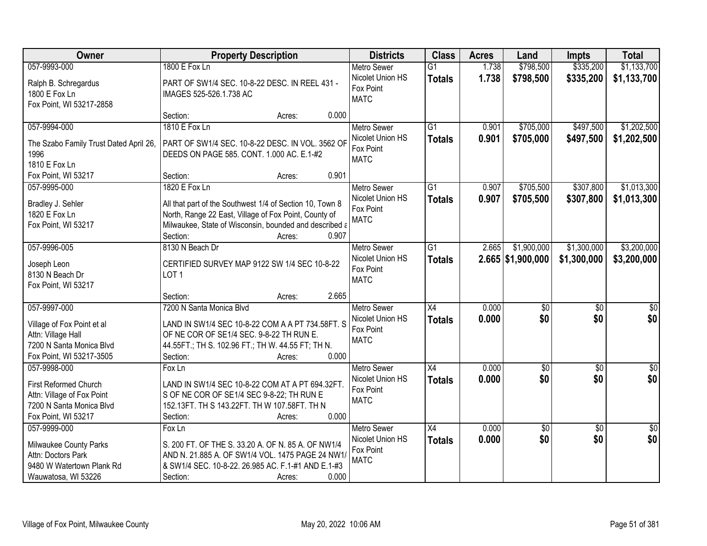| Owner                                          | <b>Property Description</b>                                                                   | <b>Districts</b>   | <b>Class</b>    | <b>Acres</b> | Land                | Impts           | <b>Total</b>     |
|------------------------------------------------|-----------------------------------------------------------------------------------------------|--------------------|-----------------|--------------|---------------------|-----------------|------------------|
| 057-9993-000                                   | 1800 E Fox Ln                                                                                 | <b>Metro Sewer</b> | $\overline{G1}$ | 1.738        | \$798,500           | \$335,200       | \$1,133,700      |
| Ralph B. Schregardus                           | PART OF SW1/4 SEC. 10-8-22 DESC. IN REEL 431 -                                                | Nicolet Union HS   | <b>Totals</b>   | 1.738        | \$798,500           | \$335,200       | \$1,133,700      |
| 1800 E Fox Ln                                  | IMAGES 525-526.1.738 AC                                                                       | Fox Point          |                 |              |                     |                 |                  |
| Fox Point, WI 53217-2858                       |                                                                                               | <b>MATC</b>        |                 |              |                     |                 |                  |
|                                                | 0.000<br>Section:<br>Acres:                                                                   |                    |                 |              |                     |                 |                  |
| 057-9994-000                                   | 1810 E Fox Ln                                                                                 | <b>Metro Sewer</b> | $\overline{G1}$ | 0.901        | \$705,000           | \$497,500       | \$1,202,500      |
|                                                |                                                                                               | Nicolet Union HS   | <b>Totals</b>   | 0.901        | \$705,000           | \$497,500       | \$1,202,500      |
| The Szabo Family Trust Dated April 26,<br>1996 | PART OF SW1/4 SEC. 10-8-22 DESC. IN VOL. 3562 OF<br>DEEDS ON PAGE 585. CONT. 1.000 AC. E.1-#2 | Fox Point          |                 |              |                     |                 |                  |
| 1810 E Fox Ln                                  |                                                                                               | <b>MATC</b>        |                 |              |                     |                 |                  |
| Fox Point, WI 53217                            | 0.901<br>Section:<br>Acres:                                                                   |                    |                 |              |                     |                 |                  |
| 057-9995-000                                   | 1820 E Fox Ln                                                                                 | Metro Sewer        | $\overline{G1}$ | 0.907        | \$705,500           | \$307,800       | \$1,013,300      |
|                                                |                                                                                               | Nicolet Union HS   |                 |              |                     |                 |                  |
| Bradley J. Sehler                              | All that part of the Southwest 1/4 of Section 10, Town 8                                      | Fox Point          | <b>Totals</b>   | 0.907        | \$705,500           | \$307,800       | \$1,013,300      |
| 1820 E Fox Ln                                  | North, Range 22 East, Village of Fox Point, County of                                         | <b>MATC</b>        |                 |              |                     |                 |                  |
| Fox Point, WI 53217                            | Milwaukee, State of Wisconsin, bounded and described a                                        |                    |                 |              |                     |                 |                  |
|                                                | Section:<br>0.907<br>Acres:                                                                   |                    |                 |              |                     |                 |                  |
| 057-9996-005                                   | 8130 N Beach Dr                                                                               | <b>Metro Sewer</b> | G1              | 2.665        | \$1,900,000         | \$1,300,000     | \$3,200,000      |
| Joseph Leon                                    | CERTIFIED SURVEY MAP 9122 SW 1/4 SEC 10-8-22                                                  | Nicolet Union HS   | <b>Totals</b>   |              | $2.665$ \$1,900,000 | \$1,300,000     | \$3,200,000      |
| 8130 N Beach Dr                                | LOT <sub>1</sub>                                                                              | Fox Point          |                 |              |                     |                 |                  |
| Fox Point, WI 53217                            |                                                                                               | <b>MATC</b>        |                 |              |                     |                 |                  |
|                                                | 2.665<br>Section:<br>Acres:                                                                   |                    |                 |              |                     |                 |                  |
| 057-9997-000                                   | 7200 N Santa Monica Blvd                                                                      | <b>Metro Sewer</b> | $\overline{X4}$ | 0.000        | $\overline{50}$     | $\overline{50}$ | $\overline{\$0}$ |
|                                                |                                                                                               | Nicolet Union HS   | <b>Totals</b>   | 0.000        | \$0                 | \$0             | \$0              |
| Village of Fox Point et al                     | LAND IN SW1/4 SEC 10-8-22 COM A A PT 734.58FT. S                                              | Fox Point          |                 |              |                     |                 |                  |
| Attn: Village Hall                             | OF NE COR OF SE1/4 SEC. 9-8-22 TH RUN E.                                                      | <b>MATC</b>        |                 |              |                     |                 |                  |
| 7200 N Santa Monica Blvd                       | 44.55FT.; TH S. 102.96 FT.; TH W. 44.55 FT; TH N.                                             |                    |                 |              |                     |                 |                  |
| Fox Point, WI 53217-3505                       | 0.000<br>Section:<br>Acres:                                                                   |                    |                 |              |                     |                 |                  |
| 057-9998-000                                   | Fox Ln                                                                                        | <b>Metro Sewer</b> | X4              | 0.000        | $\sqrt{6}$          | $\sqrt{6}$      | $\frac{6}{3}$    |
| First Reformed Church                          | LAND IN SW1/4 SEC 10-8-22 COM AT A PT 694.32FT.                                               | Nicolet Union HS   | <b>Totals</b>   | 0.000        | \$0                 | \$0             | \$0              |
| Attn: Village of Fox Point                     | S OF NE COR OF SE1/4 SEC 9-8-22; TH RUN E                                                     | Fox Point          |                 |              |                     |                 |                  |
| 7200 N Santa Monica Blvd                       | 152.13FT. TH S 143.22FT. TH W 107.58FT. TH N                                                  | <b>MATC</b>        |                 |              |                     |                 |                  |
| Fox Point, WI 53217                            | 0.000<br>Section:<br>Acres:                                                                   |                    |                 |              |                     |                 |                  |
| 057-9999-000                                   | Fox Ln                                                                                        | <b>Metro Sewer</b> | $\overline{X4}$ | 0.000        | \$0                 | $\overline{50}$ | $\overline{50}$  |
|                                                |                                                                                               | Nicolet Union HS   | <b>Totals</b>   | 0.000        | \$0                 | \$0             | \$0              |
| Milwaukee County Parks                         | S. 200 FT. OF THE S. 33.20 A. OF N. 85 A. OF NW1/4                                            | Fox Point          |                 |              |                     |                 |                  |
| Attn: Doctors Park                             | AND N. 21.885 A. OF SW1/4 VOL. 1475 PAGE 24 NW1/                                              | <b>MATC</b>        |                 |              |                     |                 |                  |
| 9480 W Watertown Plank Rd                      | & SW1/4 SEC. 10-8-22. 26.985 AC. F.1-#1 AND E.1-#3                                            |                    |                 |              |                     |                 |                  |
| Wauwatosa, WI 53226                            | 0.000<br>Section:<br>Acres:                                                                   |                    |                 |              |                     |                 |                  |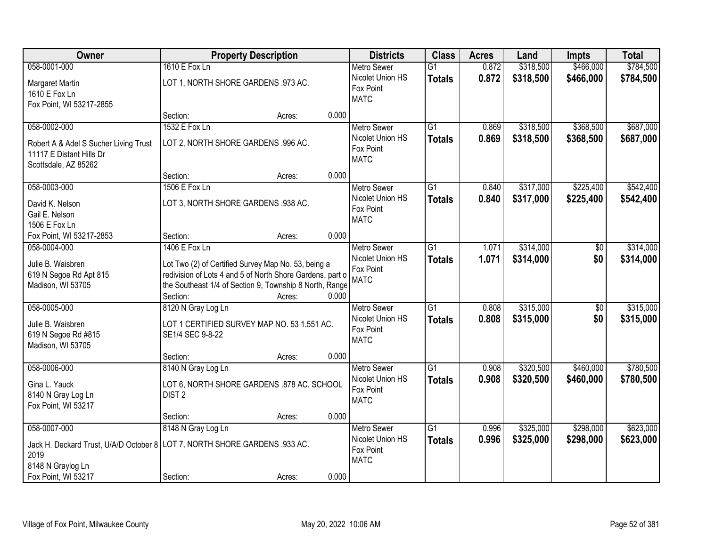| Owner                                                                        | <b>Property Description</b>                                                                                      |        | <b>Districts</b> | <b>Class</b>                  | <b>Acres</b>    | Land  | Impts     | <b>Total</b>    |           |
|------------------------------------------------------------------------------|------------------------------------------------------------------------------------------------------------------|--------|------------------|-------------------------------|-----------------|-------|-----------|-----------------|-----------|
| 058-0001-000                                                                 | 1610 E Fox Ln                                                                                                    |        |                  | <b>Metro Sewer</b>            | $\overline{G1}$ | 0.872 | \$318,500 | \$466,000       | \$784,500 |
| Margaret Martin                                                              | LOT 1, NORTH SHORE GARDENS .973 AC.                                                                              |        |                  | Nicolet Union HS<br>Fox Point | <b>Totals</b>   | 0.872 | \$318,500 | \$466,000       | \$784,500 |
| 1610 E Fox Ln                                                                |                                                                                                                  |        |                  | <b>MATC</b>                   |                 |       |           |                 |           |
| Fox Point, WI 53217-2855                                                     | Section:                                                                                                         | Acres: | 0.000            |                               |                 |       |           |                 |           |
| 058-0002-000                                                                 | 1532 E Fox Ln                                                                                                    |        |                  | <b>Metro Sewer</b>            | $\overline{G1}$ | 0.869 | \$318,500 | \$368,500       | \$687,000 |
|                                                                              |                                                                                                                  |        |                  | Nicolet Union HS              |                 | 0.869 | \$318,500 | \$368,500       | \$687,000 |
| Robert A & Adel S Sucher Living Trust                                        | LOT 2, NORTH SHORE GARDENS .996 AC.                                                                              |        |                  | Fox Point                     | <b>Totals</b>   |       |           |                 |           |
| 11117 E Distant Hills Dr                                                     |                                                                                                                  |        |                  | <b>MATC</b>                   |                 |       |           |                 |           |
| Scottsdale, AZ 85262                                                         |                                                                                                                  |        |                  |                               |                 |       |           |                 |           |
|                                                                              | Section:                                                                                                         | Acres: | 0.000            |                               |                 |       |           |                 |           |
| 058-0003-000                                                                 | 1506 E Fox Ln                                                                                                    |        |                  | <b>Metro Sewer</b>            | G1              | 0.840 | \$317,000 | \$225,400       | \$542,400 |
| David K. Nelson                                                              | LOT 3, NORTH SHORE GARDENS .938 AC.                                                                              |        |                  | Nicolet Union HS              | <b>Totals</b>   | 0.840 | \$317,000 | \$225,400       | \$542,400 |
| Gail E. Nelson                                                               |                                                                                                                  |        |                  | Fox Point                     |                 |       |           |                 |           |
| 1506 E Fox Ln                                                                |                                                                                                                  |        |                  | <b>MATC</b>                   |                 |       |           |                 |           |
| Fox Point, WI 53217-2853                                                     | Section:                                                                                                         | Acres: | 0.000            |                               |                 |       |           |                 |           |
| 058-0004-000                                                                 | 1406 E Fox Ln                                                                                                    |        |                  | <b>Metro Sewer</b>            | G1              | 1.071 | \$314,000 | \$0             | \$314,000 |
| Julie B. Waisbren                                                            |                                                                                                                  |        |                  | Nicolet Union HS              | <b>Totals</b>   | 1.071 | \$314,000 | \$0             | \$314,000 |
| 619 N Segoe Rd Apt 815                                                       | Lot Two (2) of Certified Survey Map No. 53, being a<br>redivision of Lots 4 and 5 of North Shore Gardens, part o |        |                  | Fox Point                     |                 |       |           |                 |           |
| Madison, WI 53705                                                            | the Southeast 1/4 of Section 9, Township 8 North, Range                                                          |        |                  | <b>MATC</b>                   |                 |       |           |                 |           |
|                                                                              | Section:                                                                                                         | Acres: | 0.000            |                               |                 |       |           |                 |           |
| 058-0005-000                                                                 | 8120 N Gray Log Ln                                                                                               |        |                  | <b>Metro Sewer</b>            | $\overline{G1}$ | 0.808 | \$315,000 | $\overline{50}$ | \$315,000 |
|                                                                              |                                                                                                                  |        |                  | Nicolet Union HS              | <b>Totals</b>   | 0.808 | \$315,000 | \$0             | \$315,000 |
| Julie B. Waisbren                                                            | LOT 1 CERTIFIED SURVEY MAP NO. 53 1.551 AC.                                                                      |        |                  | Fox Point                     |                 |       |           |                 |           |
| 619 N Segoe Rd #815                                                          | SE1/4 SEC 9-8-22                                                                                                 |        |                  | <b>MATC</b>                   |                 |       |           |                 |           |
| Madison, WI 53705                                                            |                                                                                                                  |        |                  |                               |                 |       |           |                 |           |
|                                                                              | Section:                                                                                                         | Acres: | 0.000            |                               |                 |       |           |                 |           |
| 058-0006-000                                                                 | 8140 N Gray Log Ln                                                                                               |        |                  | Metro Sewer                   | $\overline{G1}$ | 0.908 | \$320,500 | \$460,000       | \$780,500 |
| Gina L. Yauck                                                                | LOT 6, NORTH SHORE GARDENS .878 AC. SCHOOL                                                                       |        |                  | Nicolet Union HS              | <b>Totals</b>   | 0.908 | \$320,500 | \$460,000       | \$780,500 |
| 8140 N Gray Log Ln                                                           | DIST <sub>2</sub>                                                                                                |        |                  | Fox Point<br><b>MATC</b>      |                 |       |           |                 |           |
| Fox Point, WI 53217                                                          |                                                                                                                  |        |                  |                               |                 |       |           |                 |           |
|                                                                              | Section:                                                                                                         | Acres: | 0.000            |                               |                 |       |           |                 |           |
| 058-0007-000                                                                 | 8148 N Gray Log Ln                                                                                               |        |                  | <b>Metro Sewer</b>            | $\overline{G1}$ | 0.996 | \$325,000 | \$298,000       | \$623,000 |
| Jack H. Deckard Trust, U/A/D October 8   LOT 7, NORTH SHORE GARDENS .933 AC. |                                                                                                                  |        |                  | Nicolet Union HS              | <b>Totals</b>   | 0.996 | \$325,000 | \$298,000       | \$623,000 |
| 2019                                                                         |                                                                                                                  |        |                  | Fox Point                     |                 |       |           |                 |           |
| 8148 N Graylog Ln                                                            |                                                                                                                  |        |                  | <b>MATC</b>                   |                 |       |           |                 |           |
| Fox Point, WI 53217                                                          | Section:                                                                                                         | Acres: | 0.000            |                               |                 |       |           |                 |           |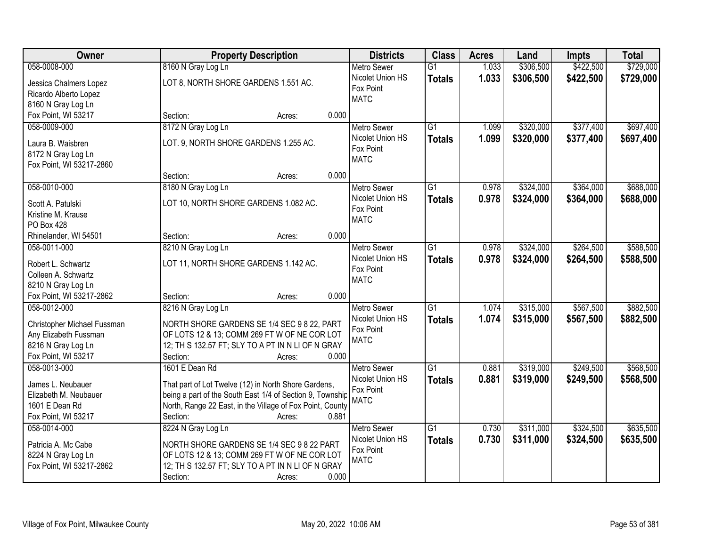| Owner                                   | <b>Property Description</b>                                                    | <b>Districts</b>                       | <b>Class</b>    | <b>Acres</b> | Land      | Impts     | <b>Total</b> |
|-----------------------------------------|--------------------------------------------------------------------------------|----------------------------------------|-----------------|--------------|-----------|-----------|--------------|
| 058-0008-000                            | 8160 N Gray Log Ln                                                             | <b>Metro Sewer</b>                     | $\overline{G1}$ | 1.033        | \$306,500 | \$422,500 | \$729,000    |
| Jessica Chalmers Lopez                  | LOT 8, NORTH SHORE GARDENS 1.551 AC.                                           | Nicolet Union HS                       | <b>Totals</b>   | 1.033        | \$306,500 | \$422,500 | \$729,000    |
| Ricardo Alberto Lopez                   |                                                                                | Fox Point                              |                 |              |           |           |              |
| 8160 N Gray Log Ln                      |                                                                                | <b>MATC</b>                            |                 |              |           |           |              |
| Fox Point, WI 53217                     | 0.000<br>Section:<br>Acres:                                                    |                                        |                 |              |           |           |              |
| 058-0009-000                            | 8172 N Gray Log Ln                                                             | <b>Metro Sewer</b>                     | $\overline{G1}$ | 1.099        | \$320,000 | \$377,400 | \$697,400    |
| Laura B. Waisbren                       | LOT. 9, NORTH SHORE GARDENS 1.255 AC.                                          | Nicolet Union HS                       | <b>Totals</b>   | 1.099        | \$320,000 | \$377,400 | \$697,400    |
| 8172 N Gray Log Ln                      |                                                                                | Fox Point                              |                 |              |           |           |              |
| Fox Point, WI 53217-2860                |                                                                                | <b>MATC</b>                            |                 |              |           |           |              |
|                                         | 0.000<br>Section:<br>Acres:                                                    |                                        |                 |              |           |           |              |
| 058-0010-000                            | 8180 N Gray Log Ln                                                             | <b>Metro Sewer</b>                     | $\overline{G1}$ | 0.978        | \$324,000 | \$364,000 | \$688,000    |
|                                         |                                                                                | Nicolet Union HS                       | <b>Totals</b>   | 0.978        | \$324,000 | \$364,000 | \$688,000    |
| Scott A. Patulski                       | LOT 10, NORTH SHORE GARDENS 1.082 AC.                                          | Fox Point                              |                 |              |           |           |              |
| Kristine M. Krause                      |                                                                                | <b>MATC</b>                            |                 |              |           |           |              |
| <b>PO Box 428</b>                       | 0.000                                                                          |                                        |                 |              |           |           |              |
| Rhinelander, WI 54501<br>058-0011-000   | Section:<br>Acres:                                                             |                                        |                 |              |           |           |              |
|                                         | 8210 N Gray Log Ln                                                             | <b>Metro Sewer</b><br>Nicolet Union HS | G1              | 0.978        | \$324,000 | \$264,500 | \$588,500    |
| Robert L. Schwartz                      | LOT 11, NORTH SHORE GARDENS 1.142 AC.                                          | Fox Point                              | <b>Totals</b>   | 0.978        | \$324,000 | \$264,500 | \$588,500    |
| Colleen A. Schwartz                     |                                                                                | <b>MATC</b>                            |                 |              |           |           |              |
| 8210 N Gray Log Ln                      |                                                                                |                                        |                 |              |           |           |              |
| Fox Point, WI 53217-2862                | 0.000<br>Section:<br>Acres:                                                    |                                        |                 |              |           |           |              |
| 058-0012-000                            | 8216 N Gray Log Ln                                                             | <b>Metro Sewer</b>                     | $\overline{G1}$ | 1.074        | \$315,000 | \$567,500 | \$882,500    |
| Christopher Michael Fussman             | NORTH SHORE GARDENS SE 1/4 SEC 9 8 22, PART                                    | Nicolet Union HS                       | <b>Totals</b>   | 1.074        | \$315,000 | \$567,500 | \$882,500    |
| Any Elizabeth Fussman                   | OF LOTS 12 & 13; COMM 269 FT W OF NE COR LOT                                   | Fox Point                              |                 |              |           |           |              |
| 8216 N Gray Log Ln                      | 12; TH S 132.57 FT; SLY TO A PT IN N LI OF N GRAY                              | <b>MATC</b>                            |                 |              |           |           |              |
| Fox Point, WI 53217                     | Section:<br>0.000<br>Acres:                                                    |                                        |                 |              |           |           |              |
| 058-0013-000                            | 1601 E Dean Rd                                                                 | <b>Metro Sewer</b>                     | $\overline{G1}$ | 0.881        | \$319,000 | \$249,500 | \$568,500    |
|                                         |                                                                                | Nicolet Union HS                       | <b>Totals</b>   | 0.881        | \$319,000 | \$249,500 | \$568,500    |
| James L. Neubauer                       | That part of Lot Twelve (12) in North Shore Gardens,                           | Fox Point                              |                 |              |           |           |              |
| Elizabeth M. Neubauer<br>1601 E Dean Rd | being a part of the South East 1/4 of Section 9, Township                      | <b>MATC</b>                            |                 |              |           |           |              |
| Fox Point, WI 53217                     | North, Range 22 East, in the Village of Fox Point, County<br>0.881<br>Section: |                                        |                 |              |           |           |              |
| 058-0014-000                            | Acres:                                                                         |                                        | $\overline{G1}$ | 0.730        | \$311,000 | \$324,500 | \$635,500    |
|                                         | 8224 N Gray Log Ln                                                             | <b>Metro Sewer</b><br>Nicolet Union HS |                 |              |           |           |              |
| Patricia A. Mc Cabe                     | NORTH SHORE GARDENS SE 1/4 SEC 9 8 22 PART                                     | Fox Point                              | <b>Totals</b>   | 0.730        | \$311,000 | \$324,500 | \$635,500    |
| 8224 N Gray Log Ln                      | OF LOTS 12 & 13; COMM 269 FT W OF NE COR LOT                                   | <b>MATC</b>                            |                 |              |           |           |              |
| Fox Point, WI 53217-2862                | 12; TH S 132.57 FT; SLY TO A PT IN N LI OF N GRAY                              |                                        |                 |              |           |           |              |
|                                         | Section:<br>0.000<br>Acres:                                                    |                                        |                 |              |           |           |              |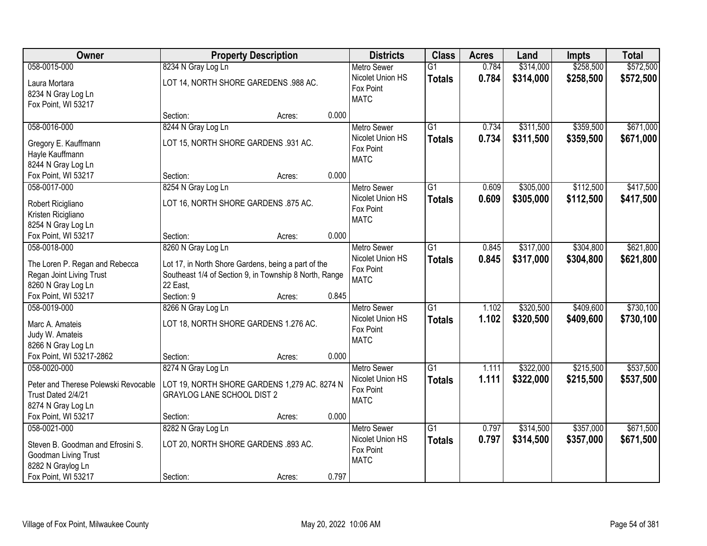| <b>Owner</b>                                                                                                          | <b>Property Description</b>                                                                                                                     |        |       | <b>Districts</b>                                                   | <b>Class</b>                     | <b>Acres</b>   | Land                   | Impts                  | <b>Total</b>           |
|-----------------------------------------------------------------------------------------------------------------------|-------------------------------------------------------------------------------------------------------------------------------------------------|--------|-------|--------------------------------------------------------------------|----------------------------------|----------------|------------------------|------------------------|------------------------|
| 058-0015-000                                                                                                          | 8234 N Gray Log Ln                                                                                                                              |        |       | <b>Metro Sewer</b>                                                 | $\overline{G1}$                  | 0.784          | \$314,000              | \$258,500              | \$572,500              |
| Laura Mortara<br>8234 N Gray Log Ln<br>Fox Point, WI 53217                                                            | LOT 14, NORTH SHORE GAREDENS .988 AC.                                                                                                           |        |       | Nicolet Union HS<br>Fox Point<br><b>MATC</b>                       | <b>Totals</b>                    | 0.784          | \$314,000              | \$258,500              | \$572,500              |
|                                                                                                                       | Section:                                                                                                                                        | Acres: | 0.000 |                                                                    |                                  |                |                        |                        |                        |
| 058-0016-000<br>Gregory E. Kauffmann<br>Hayle Kauffmann<br>8244 N Gray Log Ln                                         | 8244 N Gray Log Ln<br>LOT 15, NORTH SHORE GARDENS .931 AC.                                                                                      |        |       | <b>Metro Sewer</b><br>Nicolet Union HS<br>Fox Point<br><b>MATC</b> | $\overline{G1}$<br><b>Totals</b> | 0.734<br>0.734 | \$311,500<br>\$311,500 | \$359,500<br>\$359,500 | \$671,000<br>\$671,000 |
| Fox Point, WI 53217                                                                                                   | Section:                                                                                                                                        | Acres: | 0.000 |                                                                    |                                  |                |                        |                        |                        |
| 058-0017-000<br>Robert Ricigliano<br>Kristen Ricigliano<br>8254 N Gray Log Ln                                         | 8254 N Gray Log Ln<br>LOT 16, NORTH SHORE GARDENS .875 AC.                                                                                      |        |       | <b>Metro Sewer</b><br>Nicolet Union HS<br>Fox Point<br><b>MATC</b> | G1<br><b>Totals</b>              | 0.609<br>0.609 | \$305,000<br>\$305,000 | \$112,500<br>\$112,500 | \$417,500<br>\$417,500 |
| Fox Point, WI 53217                                                                                                   | Section:                                                                                                                                        | Acres: | 0.000 |                                                                    |                                  |                |                        |                        |                        |
| 058-0018-000<br>The Loren P. Regan and Rebecca<br>Regan Joint Living Trust<br>8260 N Gray Log Ln                      | 8260 N Gray Log Ln<br>Lot 17, in North Shore Gardens, being a part of the<br>Southeast 1/4 of Section 9, in Township 8 North, Range<br>22 East, |        |       | <b>Metro Sewer</b><br>Nicolet Union HS<br>Fox Point<br><b>MATC</b> | $\overline{G1}$<br><b>Totals</b> | 0.845<br>0.845 | \$317,000<br>\$317,000 | \$304,800<br>\$304,800 | \$621,800<br>\$621,800 |
| Fox Point, WI 53217                                                                                                   | Section: 9                                                                                                                                      | Acres: | 0.845 |                                                                    |                                  |                |                        |                        |                        |
| 058-0019-000<br>Marc A. Amateis<br>Judy W. Amateis<br>8266 N Gray Log Ln                                              | 8266 N Gray Log Ln<br>LOT 18, NORTH SHORE GARDENS 1.276 AC.                                                                                     |        |       | <b>Metro Sewer</b><br>Nicolet Union HS<br>Fox Point<br><b>MATC</b> | $\overline{G1}$<br><b>Totals</b> | 1.102<br>1.102 | \$320,500<br>\$320,500 | \$409,600<br>\$409,600 | \$730,100<br>\$730,100 |
| Fox Point, WI 53217-2862                                                                                              | Section:                                                                                                                                        | Acres: | 0.000 |                                                                    |                                  |                |                        |                        |                        |
| 058-0020-000<br>Peter and Therese Polewski Revocable<br>Trust Dated 2/4/21<br>8274 N Gray Log Ln                      | 8274 N Gray Log Ln<br>LOT 19, NORTH SHORE GARDENS 1,279 AC. 8274 N<br><b>GRAYLOG LANE SCHOOL DIST 2</b>                                         |        |       | <b>Metro Sewer</b><br>Nicolet Union HS<br>Fox Point<br><b>MATC</b> | $\overline{G1}$<br><b>Totals</b> | 1.111<br>1.111 | \$322,000<br>\$322,000 | \$215,500<br>\$215,500 | \$537,500<br>\$537,500 |
| Fox Point, WI 53217                                                                                                   | Section:                                                                                                                                        | Acres: | 0.000 |                                                                    |                                  |                |                        |                        |                        |
| 058-0021-000<br>Steven B. Goodman and Efrosini S.<br>Goodman Living Trust<br>8282 N Graylog Ln<br>Fox Point, WI 53217 | 8282 N Gray Log Ln<br>LOT 20, NORTH SHORE GARDENS .893 AC.<br>Section:                                                                          | Acres: | 0.797 | <b>Metro Sewer</b><br>Nicolet Union HS<br>Fox Point<br><b>MATC</b> | $\overline{G1}$<br><b>Totals</b> | 0.797<br>0.797 | \$314,500<br>\$314,500 | \$357,000<br>\$357,000 | \$671,500<br>\$671,500 |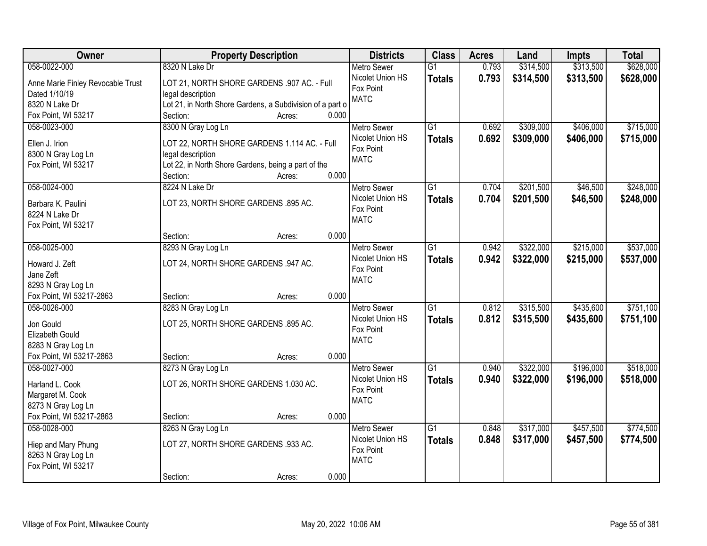| <b>Owner</b>                      | <b>Property Description</b>                               | <b>Districts</b>         | <b>Class</b>    | <b>Acres</b> | Land      | Impts     | <b>Total</b> |
|-----------------------------------|-----------------------------------------------------------|--------------------------|-----------------|--------------|-----------|-----------|--------------|
| 058-0022-000                      | 8320 N Lake Dr                                            | <b>Metro Sewer</b>       | $\overline{G1}$ | 0.793        | \$314,500 | \$313,500 | \$628,000    |
| Anne Marie Finley Revocable Trust | LOT 21, NORTH SHORE GARDENS .907 AC. - Full               | Nicolet Union HS         | <b>Totals</b>   | 0.793        | \$314,500 | \$313,500 | \$628,000    |
| Dated 1/10/19                     | legal description                                         | Fox Point                |                 |              |           |           |              |
| 8320 N Lake Dr                    | Lot 21, in North Shore Gardens, a Subdivision of a part o | <b>MATC</b>              |                 |              |           |           |              |
| Fox Point, WI 53217               | 0.000<br>Section:<br>Acres:                               |                          |                 |              |           |           |              |
| 058-0023-000                      | 8300 N Gray Log Ln                                        | <b>Metro Sewer</b>       | $\overline{G1}$ | 0.692        | \$309,000 | \$406,000 | \$715,000    |
|                                   |                                                           | Nicolet Union HS         | <b>Totals</b>   | 0.692        | \$309,000 | \$406,000 | \$715,000    |
| Ellen J. Irion                    | LOT 22, NORTH SHORE GARDENS 1.114 AC. - Full              | Fox Point                |                 |              |           |           |              |
| 8300 N Gray Log Ln                | legal description                                         | <b>MATC</b>              |                 |              |           |           |              |
| Fox Point, WI 53217               | Lot 22, in North Shore Gardens, being a part of the       |                          |                 |              |           |           |              |
|                                   | 0.000<br>Section:<br>Acres:                               |                          |                 |              |           |           |              |
| 058-0024-000                      | 8224 N Lake Dr                                            | <b>Metro Sewer</b>       | G1              | 0.704        | \$201,500 | \$46,500  | \$248,000    |
| Barbara K. Paulini                | LOT 23, NORTH SHORE GARDENS .895 AC.                      | Nicolet Union HS         | <b>Totals</b>   | 0.704        | \$201,500 | \$46,500  | \$248,000    |
| 8224 N Lake Dr                    |                                                           | Fox Point<br><b>MATC</b> |                 |              |           |           |              |
| Fox Point, WI 53217               |                                                           |                          |                 |              |           |           |              |
|                                   | 0.000<br>Section:<br>Acres:                               |                          |                 |              |           |           |              |
| 058-0025-000                      | 8293 N Gray Log Ln                                        | <b>Metro Sewer</b>       | G1              | 0.942        | \$322,000 | \$215,000 | \$537,000    |
| Howard J. Zeft                    | LOT 24, NORTH SHORE GARDENS .947 AC.                      | Nicolet Union HS         | <b>Totals</b>   | 0.942        | \$322,000 | \$215,000 | \$537,000    |
| Jane Zeft                         |                                                           | Fox Point                |                 |              |           |           |              |
| 8293 N Gray Log Ln                |                                                           | <b>MATC</b>              |                 |              |           |           |              |
| Fox Point, WI 53217-2863          | 0.000<br>Section:<br>Acres:                               |                          |                 |              |           |           |              |
| 058-0026-000                      | 8283 N Gray Log Ln                                        | <b>Metro Sewer</b>       | $\overline{G1}$ | 0.812        | \$315,500 | \$435,600 | \$751,100    |
|                                   |                                                           | Nicolet Union HS         | <b>Totals</b>   | 0.812        | \$315,500 | \$435,600 | \$751,100    |
| Jon Gould                         | LOT 25, NORTH SHORE GARDENS .895 AC.                      | Fox Point                |                 |              |           |           |              |
| <b>Elizabeth Gould</b>            |                                                           | <b>MATC</b>              |                 |              |           |           |              |
| 8283 N Gray Log Ln                |                                                           |                          |                 |              |           |           |              |
| Fox Point, WI 53217-2863          | 0.000<br>Section:<br>Acres:                               |                          |                 |              |           |           |              |
| 058-0027-000                      | 8273 N Gray Log Ln                                        | <b>Metro Sewer</b>       | $\overline{G1}$ | 0.940        | \$322,000 | \$196,000 | \$518,000    |
| Harland L. Cook                   | LOT 26, NORTH SHORE GARDENS 1.030 AC.                     | Nicolet Union HS         | <b>Totals</b>   | 0.940        | \$322,000 | \$196,000 | \$518,000    |
| Margaret M. Cook                  |                                                           | Fox Point                |                 |              |           |           |              |
| 8273 N Gray Log Ln                |                                                           | <b>MATC</b>              |                 |              |           |           |              |
| Fox Point, WI 53217-2863          | 0.000<br>Section:<br>Acres:                               |                          |                 |              |           |           |              |
| 058-0028-000                      | 8263 N Gray Log Ln                                        | <b>Metro Sewer</b>       | $\overline{G1}$ | 0.848        | \$317,000 | \$457,500 | \$774,500    |
|                                   |                                                           | Nicolet Union HS         | <b>Totals</b>   | 0.848        | \$317,000 | \$457,500 | \$774,500    |
| Hiep and Mary Phung               | LOT 27, NORTH SHORE GARDENS .933 AC.                      | Fox Point                |                 |              |           |           |              |
| 8263 N Gray Log Ln                |                                                           | <b>MATC</b>              |                 |              |           |           |              |
| Fox Point, WI 53217               |                                                           |                          |                 |              |           |           |              |
|                                   | 0.000<br>Section:<br>Acres:                               |                          |                 |              |           |           |              |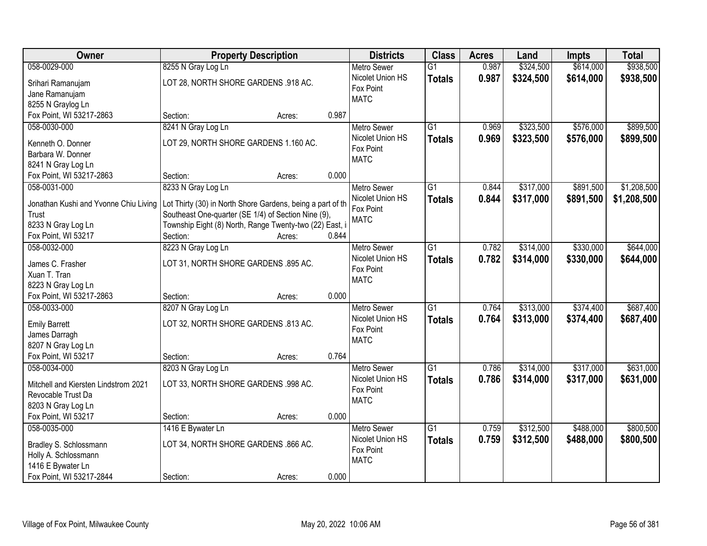| Owner                                  | <b>Property Description</b>                                | <b>Districts</b>   | <b>Class</b>    | <b>Acres</b> | Land      | <b>Impts</b> | <b>Total</b> |
|----------------------------------------|------------------------------------------------------------|--------------------|-----------------|--------------|-----------|--------------|--------------|
| 058-0029-000                           | 8255 N Gray Log Ln                                         | <b>Metro Sewer</b> | $\overline{G1}$ | 0.987        | \$324,500 | \$614,000    | \$938,500    |
| Srihari Ramanujam                      | LOT 28, NORTH SHORE GARDENS .918 AC.                       | Nicolet Union HS   | <b>Totals</b>   | 0.987        | \$324,500 | \$614,000    | \$938,500    |
| Jane Ramanujam                         |                                                            | Fox Point          |                 |              |           |              |              |
| 8255 N Graylog Ln                      |                                                            | <b>MATC</b>        |                 |              |           |              |              |
| Fox Point, WI 53217-2863               | 0.987<br>Section:<br>Acres:                                |                    |                 |              |           |              |              |
| 058-0030-000                           | 8241 N Gray Log Ln                                         | <b>Metro Sewer</b> | $\overline{G1}$ | 0.969        | \$323,500 | \$576,000    | \$899,500    |
|                                        | LOT 29, NORTH SHORE GARDENS 1.160 AC.                      | Nicolet Union HS   | <b>Totals</b>   | 0.969        | \$323,500 | \$576,000    | \$899,500    |
| Kenneth O. Donner<br>Barbara W. Donner |                                                            | Fox Point          |                 |              |           |              |              |
| 8241 N Gray Log Ln                     |                                                            | <b>MATC</b>        |                 |              |           |              |              |
| Fox Point, WI 53217-2863               | 0.000<br>Section:<br>Acres:                                |                    |                 |              |           |              |              |
| 058-0031-000                           | 8233 N Gray Log Ln                                         | <b>Metro Sewer</b> | G1              | 0.844        | \$317,000 | \$891,500    | \$1,208,500  |
|                                        |                                                            | Nicolet Union HS   |                 |              |           |              |              |
| Jonathan Kushi and Yvonne Chiu Living  | Lot Thirty (30) in North Shore Gardens, being a part of th | Fox Point          | <b>Totals</b>   | 0.844        | \$317,000 | \$891,500    | \$1,208,500  |
| Trust                                  | Southeast One-quarter (SE 1/4) of Section Nine (9),        | <b>MATC</b>        |                 |              |           |              |              |
| 8233 N Gray Log Ln                     | Township Eight (8) North, Range Twenty-two (22) East, i    |                    |                 |              |           |              |              |
| Fox Point, WI 53217                    | Section:<br>0.844<br>Acres:                                |                    |                 |              |           |              |              |
| 058-0032-000                           | 8223 N Gray Log Ln                                         | <b>Metro Sewer</b> | G1              | 0.782        | \$314,000 | \$330,000    | \$644,000    |
| James C. Frasher                       | LOT 31, NORTH SHORE GARDENS .895 AC.                       | Nicolet Union HS   | <b>Totals</b>   | 0.782        | \$314,000 | \$330,000    | \$644,000    |
| Xuan T. Tran                           |                                                            | Fox Point          |                 |              |           |              |              |
| 8223 N Gray Log Ln                     |                                                            | <b>MATC</b>        |                 |              |           |              |              |
| Fox Point, WI 53217-2863               | 0.000<br>Section:<br>Acres:                                |                    |                 |              |           |              |              |
| 058-0033-000                           | 8207 N Gray Log Ln                                         | <b>Metro Sewer</b> | $\overline{G1}$ | 0.764        | \$313,000 | \$374,400    | \$687,400    |
|                                        |                                                            | Nicolet Union HS   | Totals          | 0.764        | \$313,000 | \$374,400    | \$687,400    |
| <b>Emily Barrett</b>                   | LOT 32, NORTH SHORE GARDENS .813 AC.                       | Fox Point          |                 |              |           |              |              |
| James Darragh                          |                                                            | <b>MATC</b>        |                 |              |           |              |              |
| 8207 N Gray Log Ln                     |                                                            |                    |                 |              |           |              |              |
| Fox Point, WI 53217                    | 0.764<br>Section:<br>Acres:                                |                    |                 |              |           |              |              |
| 058-0034-000                           | 8203 N Gray Log Ln                                         | <b>Metro Sewer</b> | $\overline{G1}$ | 0.786        | \$314,000 | \$317,000    | \$631,000    |
| Mitchell and Kiersten Lindstrom 2021   | LOT 33, NORTH SHORE GARDENS .998 AC.                       | Nicolet Union HS   | <b>Totals</b>   | 0.786        | \$314,000 | \$317,000    | \$631,000    |
| Revocable Trust Da                     |                                                            | Fox Point          |                 |              |           |              |              |
| 8203 N Gray Log Ln                     |                                                            | <b>MATC</b>        |                 |              |           |              |              |
| Fox Point, WI 53217                    | 0.000<br>Section:<br>Acres:                                |                    |                 |              |           |              |              |
| 058-0035-000                           | 1416 E Bywater Ln                                          | <b>Metro Sewer</b> | $\overline{G1}$ | 0.759        | \$312,500 | \$488,000    | \$800,500    |
|                                        |                                                            | Nicolet Union HS   | <b>Totals</b>   | 0.759        | \$312,500 | \$488,000    | \$800,500    |
| Bradley S. Schlossmann                 | LOT 34, NORTH SHORE GARDENS .866 AC.                       | Fox Point          |                 |              |           |              |              |
| Holly A. Schlossmann                   |                                                            | <b>MATC</b>        |                 |              |           |              |              |
| 1416 E Bywater Ln                      |                                                            |                    |                 |              |           |              |              |
| Fox Point, WI 53217-2844               | 0.000<br>Section:<br>Acres:                                |                    |                 |              |           |              |              |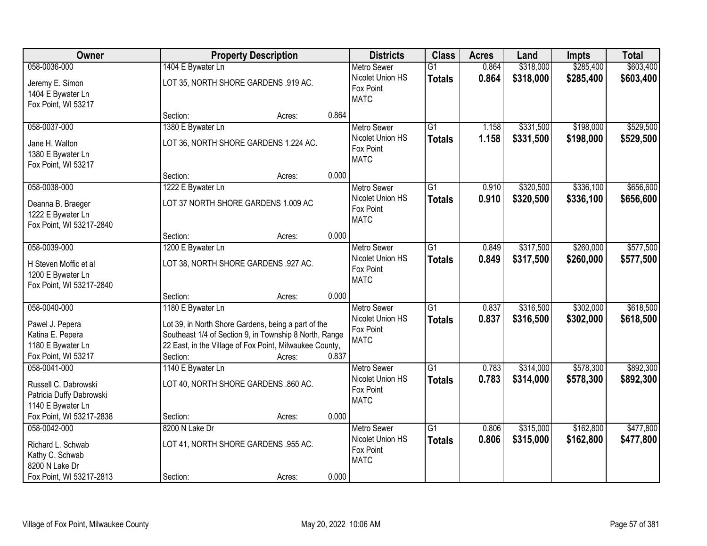| Owner                                                                  |                                      | <b>Property Description</b>                             |       | <b>Districts</b>                             | <b>Class</b>    | <b>Acres</b> | Land      | <b>Impts</b> | <b>Total</b> |
|------------------------------------------------------------------------|--------------------------------------|---------------------------------------------------------|-------|----------------------------------------------|-----------------|--------------|-----------|--------------|--------------|
| 058-0036-000                                                           | 1404 E Bywater Ln                    |                                                         |       | <b>Metro Sewer</b>                           | $\overline{G1}$ | 0.864        | \$318,000 | \$285,400    | \$603,400    |
| Jeremy E. Simon<br>1404 E Bywater Ln<br>Fox Point, WI 53217            | LOT 35, NORTH SHORE GARDENS .919 AC. |                                                         |       | Nicolet Union HS<br>Fox Point<br><b>MATC</b> | <b>Totals</b>   | 0.864        | \$318,000 | \$285,400    | \$603,400    |
|                                                                        | Section:                             | Acres:                                                  | 0.864 |                                              |                 |              |           |              |              |
| 058-0037-000                                                           | 1380 E Bywater Ln                    |                                                         |       | <b>Metro Sewer</b>                           | $\overline{G1}$ | 1.158        | \$331,500 | \$198,000    | \$529,500    |
| Jane H. Walton<br>1380 E Bywater Ln<br>Fox Point, WI 53217             |                                      | LOT 36, NORTH SHORE GARDENS 1.224 AC.                   |       | Nicolet Union HS<br>Fox Point<br><b>MATC</b> | <b>Totals</b>   | 1.158        | \$331,500 | \$198,000    | \$529,500    |
|                                                                        | Section:                             | Acres:                                                  | 0.000 |                                              |                 |              |           |              |              |
| 058-0038-000                                                           | 1222 E Bywater Ln                    |                                                         |       | Metro Sewer                                  | G1              | 0.910        | \$320,500 | \$336,100    | \$656,600    |
| Deanna B. Braeger<br>1222 E Bywater Ln<br>Fox Point, WI 53217-2840     | LOT 37 NORTH SHORE GARDENS 1.009 AC  |                                                         |       | Nicolet Union HS<br>Fox Point<br><b>MATC</b> | <b>Totals</b>   | 0.910        | \$320,500 | \$336,100    | \$656,600    |
|                                                                        | Section:                             | Acres:                                                  | 0.000 |                                              |                 |              |           |              |              |
| 058-0039-000                                                           | 1200 E Bywater Ln                    |                                                         |       | <b>Metro Sewer</b>                           | $\overline{G1}$ | 0.849        | \$317,500 | \$260,000    | \$577,500    |
| H Steven Moffic et al<br>1200 E Bywater Ln<br>Fox Point, WI 53217-2840 | LOT 38, NORTH SHORE GARDENS .927 AC. |                                                         |       | Nicolet Union HS<br>Fox Point<br><b>MATC</b> | <b>Totals</b>   | 0.849        | \$317,500 | \$260,000    | \$577,500    |
|                                                                        | Section:                             | Acres:                                                  | 0.000 |                                              |                 |              |           |              |              |
| 058-0040-000                                                           | 1180 E Bywater Ln                    |                                                         |       | <b>Metro Sewer</b>                           | $\overline{G1}$ | 0.837        | \$316,500 | \$302,000    | \$618,500    |
| Pawel J. Pepera                                                        |                                      | Lot 39, in North Shore Gardens, being a part of the     |       | Nicolet Union HS                             | <b>Totals</b>   | 0.837        | \$316,500 | \$302,000    | \$618,500    |
| Katina E. Pepera                                                       |                                      | Southeast 1/4 of Section 9, in Township 8 North, Range  |       | Fox Point<br><b>MATC</b>                     |                 |              |           |              |              |
| 1180 E Bywater Ln                                                      |                                      | 22 East, in the Village of Fox Point, Milwaukee County, |       |                                              |                 |              |           |              |              |
| Fox Point, WI 53217                                                    | Section:                             | Acres:                                                  | 0.837 |                                              |                 |              |           |              |              |
| 058-0041-000                                                           | 1140 E Bywater Ln                    |                                                         |       | <b>Metro Sewer</b>                           | $\overline{G1}$ | 0.783        | \$314,000 | \$578,300    | \$892,300    |
| Russell C. Dabrowski<br>Patricia Duffy Dabrowski<br>1140 E Bywater Ln  | LOT 40, NORTH SHORE GARDENS .860 AC. |                                                         |       | Nicolet Union HS<br>Fox Point<br><b>MATC</b> | <b>Totals</b>   | 0.783        | \$314,000 | \$578,300    | \$892,300    |
| Fox Point, WI 53217-2838                                               | Section:                             | Acres:                                                  | 0.000 |                                              |                 |              |           |              |              |
| 058-0042-000                                                           | 8200 N Lake Dr                       |                                                         |       | Metro Sewer                                  | $\overline{G1}$ | 0.806        | \$315,000 | \$162,800    | \$477,800    |
| Richard L. Schwab<br>Kathy C. Schwab<br>8200 N Lake Dr                 | LOT 41, NORTH SHORE GARDENS .955 AC. |                                                         |       | Nicolet Union HS<br>Fox Point<br><b>MATC</b> | <b>Totals</b>   | 0.806        | \$315,000 | \$162,800    | \$477,800    |
| Fox Point, WI 53217-2813                                               | Section:                             | Acres:                                                  | 0.000 |                                              |                 |              |           |              |              |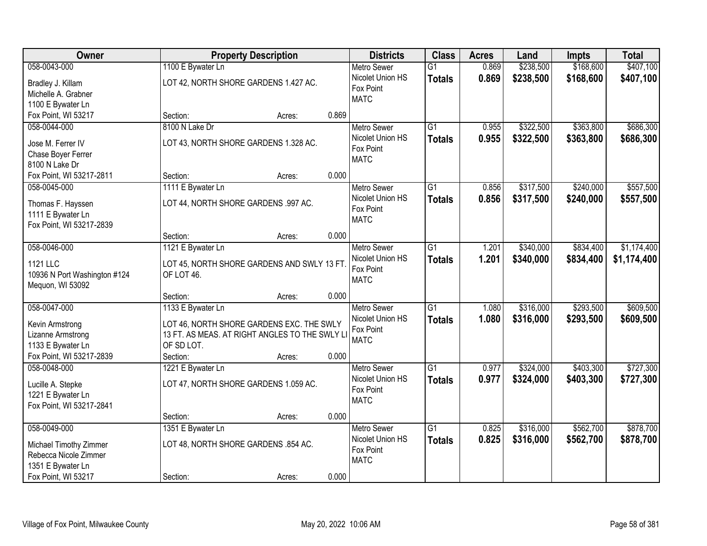| <b>Owner</b>                 |                                      | <b>Property Description</b>                   |       |                    | <b>Class</b>    | <b>Acres</b> | Land      | Impts     | <b>Total</b> |
|------------------------------|--------------------------------------|-----------------------------------------------|-------|--------------------|-----------------|--------------|-----------|-----------|--------------|
| 058-0043-000                 | 1100 E Bywater Ln                    |                                               |       | <b>Metro Sewer</b> | $\overline{G1}$ | 0.869        | \$238,500 | \$168,600 | \$407,100    |
| Bradley J. Killam            |                                      | LOT 42, NORTH SHORE GARDENS 1.427 AC.         |       | Nicolet Union HS   | <b>Totals</b>   | 0.869        | \$238,500 | \$168,600 | \$407,100    |
| Michelle A. Grabner          |                                      |                                               |       | Fox Point          |                 |              |           |           |              |
| 1100 E Bywater Ln            |                                      |                                               |       | <b>MATC</b>        |                 |              |           |           |              |
| Fox Point, WI 53217          | Section:                             | Acres:                                        | 0.869 |                    |                 |              |           |           |              |
| 058-0044-000                 | 8100 N Lake Dr                       |                                               |       | <b>Metro Sewer</b> | $\overline{G1}$ | 0.955        | \$322,500 | \$363,800 | \$686,300    |
|                              |                                      |                                               |       | Nicolet Union HS   | <b>Totals</b>   | 0.955        | \$322,500 | \$363,800 | \$686,300    |
| Jose M. Ferrer IV            |                                      | LOT 43, NORTH SHORE GARDENS 1.328 AC.         |       | Fox Point          |                 |              |           |           |              |
| Chase Boyer Ferrer           |                                      |                                               |       | <b>MATC</b>        |                 |              |           |           |              |
| 8100 N Lake Dr               |                                      |                                               |       |                    |                 |              |           |           |              |
| Fox Point, WI 53217-2811     | Section:                             | Acres:                                        | 0.000 |                    |                 |              |           |           |              |
| 058-0045-000                 | 1111 E Bywater Ln                    |                                               |       | Metro Sewer        | G1              | 0.856        | \$317,500 | \$240,000 | \$557,500    |
| Thomas F. Hayssen            | LOT 44, NORTH SHORE GARDENS .997 AC. |                                               |       | Nicolet Union HS   | <b>Totals</b>   | 0.856        | \$317,500 | \$240,000 | \$557,500    |
| 1111 E Bywater Ln            |                                      |                                               |       | Fox Point          |                 |              |           |           |              |
| Fox Point, WI 53217-2839     |                                      |                                               |       | <b>MATC</b>        |                 |              |           |           |              |
|                              | Section:                             | Acres:                                        | 0.000 |                    |                 |              |           |           |              |
| 058-0046-000                 | 1121 E Bywater Ln                    |                                               |       | <b>Metro Sewer</b> | G1              | 1.201        | \$340,000 | \$834,400 | \$1,174,400  |
| <b>1121 LLC</b>              |                                      |                                               |       | Nicolet Union HS   | <b>Totals</b>   | 1.201        | \$340,000 | \$834,400 | \$1,174,400  |
| 10936 N Port Washington #124 | OF LOT 46.                           | LOT 45, NORTH SHORE GARDENS AND SWLY 13 FT.   |       | Fox Point          |                 |              |           |           |              |
| Mequon, WI 53092             |                                      |                                               |       | <b>MATC</b>        |                 |              |           |           |              |
|                              | Section:                             | Acres:                                        | 0.000 |                    |                 |              |           |           |              |
| 058-0047-000                 | 1133 E Bywater Ln                    |                                               |       | <b>Metro Sewer</b> | $\overline{G1}$ | 1.080        | \$316,000 | \$293,500 | \$609,500    |
|                              |                                      |                                               |       | Nicolet Union HS   | <b>Totals</b>   | 1.080        | \$316,000 | \$293,500 | \$609,500    |
| Kevin Armstrong              |                                      | LOT 46, NORTH SHORE GARDENS EXC. THE SWLY     |       | Fox Point          |                 |              |           |           |              |
| Lizanne Armstrong            |                                      | 13 FT. AS MEAS. AT RIGHT ANGLES TO THE SWLY L |       | <b>MATC</b>        |                 |              |           |           |              |
| 1133 E Bywater Ln            | OF SD LOT.                           |                                               |       |                    |                 |              |           |           |              |
| Fox Point, WI 53217-2839     | Section:                             | Acres:                                        | 0.000 |                    |                 |              |           |           |              |
| 058-0048-000                 | 1221 E Bywater Ln                    |                                               |       | Metro Sewer        | $\overline{G1}$ | 0.977        | \$324,000 | \$403,300 | \$727,300    |
| Lucille A. Stepke            |                                      | LOT 47, NORTH SHORE GARDENS 1.059 AC.         |       | Nicolet Union HS   | <b>Totals</b>   | 0.977        | \$324,000 | \$403,300 | \$727,300    |
| 1221 E Bywater Ln            |                                      |                                               |       | Fox Point          |                 |              |           |           |              |
| Fox Point, WI 53217-2841     |                                      |                                               |       | <b>MATC</b>        |                 |              |           |           |              |
|                              | Section:                             | Acres:                                        | 0.000 |                    |                 |              |           |           |              |
| 058-0049-000                 | 1351 E Bywater Ln                    |                                               |       | <b>Metro Sewer</b> | $\overline{G1}$ | 0.825        | \$316,000 | \$562,700 | \$878,700    |
|                              |                                      |                                               |       | Nicolet Union HS   | <b>Totals</b>   | 0.825        | \$316,000 | \$562,700 | \$878,700    |
| Michael Timothy Zimmer       | LOT 48, NORTH SHORE GARDENS .854 AC. |                                               |       | Fox Point          |                 |              |           |           |              |
| Rebecca Nicole Zimmer        |                                      |                                               |       | <b>MATC</b>        |                 |              |           |           |              |
| 1351 E Bywater Ln            |                                      |                                               |       |                    |                 |              |           |           |              |
| Fox Point, WI 53217          | Section:                             | Acres:                                        | 0.000 |                    |                 |              |           |           |              |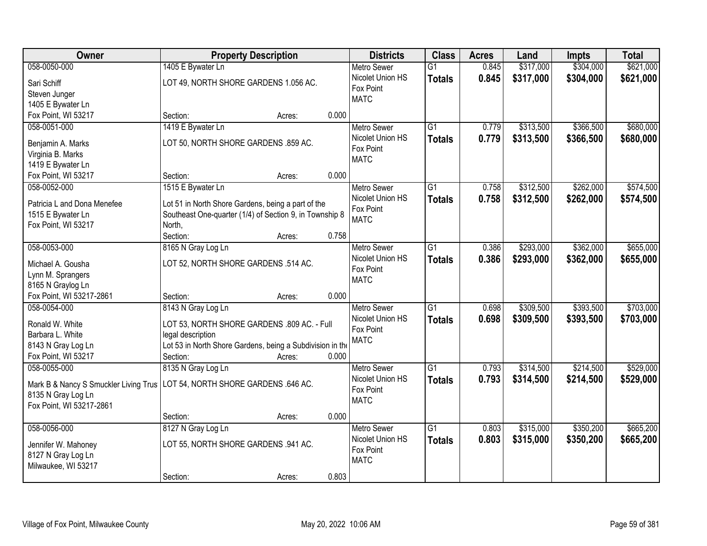| <b>Owner</b>                           | <b>Property Description</b>                               |        |       | <b>Districts</b>              | <b>Class</b>    | <b>Acres</b> | Land      | Impts     | <b>Total</b> |
|----------------------------------------|-----------------------------------------------------------|--------|-------|-------------------------------|-----------------|--------------|-----------|-----------|--------------|
| 058-0050-000                           | 1405 E Bywater Ln                                         |        |       | <b>Metro Sewer</b>            | $\overline{G1}$ | 0.845        | \$317,000 | \$304,000 | \$621,000    |
| Sari Schiff                            | LOT 49, NORTH SHORE GARDENS 1.056 AC.                     |        |       | Nicolet Union HS              | <b>Totals</b>   | 0.845        | \$317,000 | \$304,000 | \$621,000    |
| Steven Junger                          |                                                           |        |       | Fox Point                     |                 |              |           |           |              |
| 1405 E Bywater Ln                      |                                                           |        |       | <b>MATC</b>                   |                 |              |           |           |              |
| Fox Point, WI 53217                    | Section:                                                  | Acres: | 0.000 |                               |                 |              |           |           |              |
| 058-0051-000                           | 1419 E Bywater Ln                                         |        |       | <b>Metro Sewer</b>            | $\overline{G1}$ | 0.779        | \$313,500 | \$366,500 | \$680,000    |
|                                        | LOT 50, NORTH SHORE GARDENS .859 AC.                      |        |       | Nicolet Union HS              | <b>Totals</b>   | 0.779        | \$313,500 | \$366,500 | \$680,000    |
| Benjamin A. Marks<br>Virginia B. Marks |                                                           |        |       | Fox Point                     |                 |              |           |           |              |
| 1419 E Bywater Ln                      |                                                           |        |       | <b>MATC</b>                   |                 |              |           |           |              |
| Fox Point, WI 53217                    | Section:                                                  | Acres: | 0.000 |                               |                 |              |           |           |              |
| 058-0052-000                           | 1515 E Bywater Ln                                         |        |       | Metro Sewer                   | $\overline{G1}$ | 0.758        | \$312,500 | \$262,000 | \$574,500    |
|                                        |                                                           |        |       | Nicolet Union HS              | <b>Totals</b>   | 0.758        | \$312,500 | \$262,000 | \$574,500    |
| Patricia L and Dona Menefee            | Lot 51 in North Shore Gardens, being a part of the        |        |       | Fox Point                     |                 |              |           |           |              |
| 1515 E Bywater Ln                      | Southeast One-quarter (1/4) of Section 9, in Township 8   |        |       | <b>MATC</b>                   |                 |              |           |           |              |
| Fox Point, WI 53217                    | North,                                                    |        |       |                               |                 |              |           |           |              |
|                                        | Section:                                                  | Acres: | 0.758 |                               |                 |              |           |           |              |
| 058-0053-000                           | 8165 N Gray Log Ln                                        |        |       | <b>Metro Sewer</b>            | G1              | 0.386        | \$293,000 | \$362,000 | \$655,000    |
| Michael A. Gousha                      | LOT 52, NORTH SHORE GARDENS .514 AC.                      |        |       | Nicolet Union HS              | <b>Totals</b>   | 0.386        | \$293,000 | \$362,000 | \$655,000    |
| Lynn M. Sprangers                      |                                                           |        |       | Fox Point<br><b>MATC</b>      |                 |              |           |           |              |
| 8165 N Graylog Ln                      |                                                           |        |       |                               |                 |              |           |           |              |
| Fox Point, WI 53217-2861               | Section:                                                  | Acres: | 0.000 |                               |                 |              |           |           |              |
| 058-0054-000                           | 8143 N Gray Log Ln                                        |        |       | Metro Sewer                   | $\overline{G1}$ | 0.698        | \$309,500 | \$393,500 | \$703,000    |
| Ronald W. White                        | LOT 53, NORTH SHORE GARDENS .809 AC. - Full               |        |       | Nicolet Union HS              | <b>Totals</b>   | 0.698        | \$309,500 | \$393,500 | \$703,000    |
| Barbara L. White                       | legal description                                         |        |       | Fox Point                     |                 |              |           |           |              |
| 8143 N Gray Log Ln                     | Lot 53 in North Shore Gardens, being a Subdivision in the |        |       | <b>MATC</b>                   |                 |              |           |           |              |
| Fox Point, WI 53217                    | Section:                                                  | Acres: | 0.000 |                               |                 |              |           |           |              |
| 058-0055-000                           | 8135 N Gray Log Ln                                        |        |       | Metro Sewer                   | $\overline{G1}$ | 0.793        | \$314,500 | \$214,500 | \$529,000    |
|                                        |                                                           |        |       | Nicolet Union HS              | <b>Totals</b>   | 0.793        | \$314,500 | \$214,500 | \$529,000    |
| Mark B & Nancy S Smuckler Living Trus  | LOT 54, NORTH SHORE GARDENS .646 AC.                      |        |       | Fox Point                     |                 |              |           |           |              |
| 8135 N Gray Log Ln                     |                                                           |        |       | <b>MATC</b>                   |                 |              |           |           |              |
| Fox Point, WI 53217-2861               |                                                           |        |       |                               |                 |              |           |           |              |
|                                        | Section:                                                  | Acres: | 0.000 |                               |                 |              |           |           |              |
| 058-0056-000                           | 8127 N Gray Log Ln                                        |        |       | <b>Metro Sewer</b>            | $\overline{G1}$ | 0.803        | \$315,000 | \$350,200 | \$665,200    |
| Jennifer W. Mahoney                    | LOT 55, NORTH SHORE GARDENS .941 AC.                      |        |       | Nicolet Union HS<br>Fox Point | <b>Totals</b>   | 0.803        | \$315,000 | \$350,200 | \$665,200    |
| 8127 N Gray Log Ln                     |                                                           |        |       | <b>MATC</b>                   |                 |              |           |           |              |
| Milwaukee, WI 53217                    |                                                           |        |       |                               |                 |              |           |           |              |
|                                        | Section:                                                  | Acres: | 0.803 |                               |                 |              |           |           |              |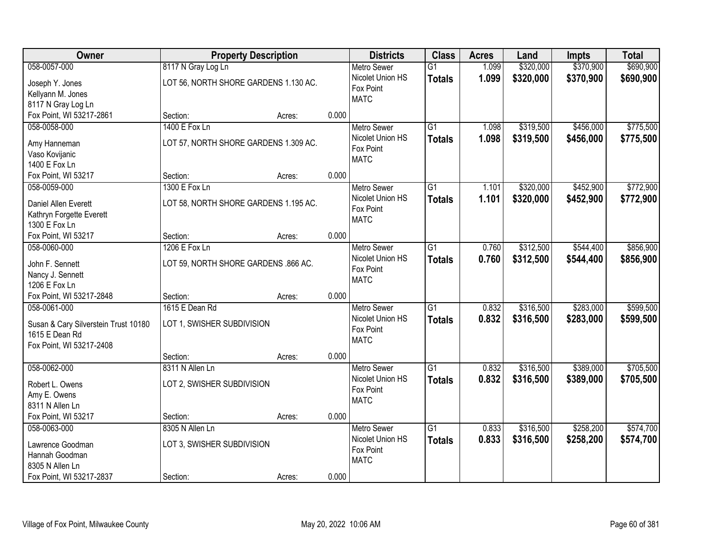| Owner                                | <b>Property Description</b>           |        |       | <b>Districts</b>              | <b>Class</b>    | <b>Acres</b> | Land      | <b>Impts</b> | <b>Total</b> |
|--------------------------------------|---------------------------------------|--------|-------|-------------------------------|-----------------|--------------|-----------|--------------|--------------|
| 058-0057-000                         | 8117 N Gray Log Ln                    |        |       | <b>Metro Sewer</b>            | $\overline{G1}$ | 1.099        | \$320,000 | \$370,900    | \$690,900    |
| Joseph Y. Jones                      | LOT 56, NORTH SHORE GARDENS 1.130 AC. |        |       | Nicolet Union HS              | <b>Totals</b>   | 1.099        | \$320,000 | \$370,900    | \$690,900    |
| Kellyann M. Jones                    |                                       |        |       | Fox Point                     |                 |              |           |              |              |
| 8117 N Gray Log Ln                   |                                       |        |       | <b>MATC</b>                   |                 |              |           |              |              |
| Fox Point, WI 53217-2861             | Section:                              | Acres: | 0.000 |                               |                 |              |           |              |              |
| 058-0058-000                         | 1400 E Fox Ln                         |        |       | <b>Metro Sewer</b>            | $\overline{G1}$ | 1.098        | \$319,500 | \$456,000    | \$775,500    |
|                                      |                                       |        |       | Nicolet Union HS              | <b>Totals</b>   | 1.098        | \$319,500 | \$456,000    | \$775,500    |
| Amy Hanneman                         | LOT 57, NORTH SHORE GARDENS 1.309 AC. |        |       | Fox Point                     |                 |              |           |              |              |
| Vaso Kovijanic<br>1400 E Fox Ln      |                                       |        |       | <b>MATC</b>                   |                 |              |           |              |              |
|                                      | Section:                              |        | 0.000 |                               |                 |              |           |              |              |
| Fox Point, WI 53217                  | 1300 E Fox Ln                         | Acres: |       |                               | $\overline{G1}$ | 1.101        | \$320,000 | \$452,900    | \$772,900    |
| 058-0059-000                         |                                       |        |       | <b>Metro Sewer</b>            |                 |              |           |              |              |
| Daniel Allen Everett                 | LOT 58, NORTH SHORE GARDENS 1.195 AC. |        |       | Nicolet Union HS<br>Fox Point | <b>Totals</b>   | 1.101        | \$320,000 | \$452,900    | \$772,900    |
| Kathryn Forgette Everett             |                                       |        |       | <b>MATC</b>                   |                 |              |           |              |              |
| 1300 E Fox Ln                        |                                       |        |       |                               |                 |              |           |              |              |
| Fox Point, WI 53217                  | Section:                              | Acres: | 0.000 |                               |                 |              |           |              |              |
| 058-0060-000                         | 1206 E Fox Ln                         |        |       | <b>Metro Sewer</b>            | $\overline{G1}$ | 0.760        | \$312,500 | \$544,400    | \$856,900    |
| John F. Sennett                      | LOT 59, NORTH SHORE GARDENS .866 AC.  |        |       | Nicolet Union HS              | <b>Totals</b>   | 0.760        | \$312,500 | \$544,400    | \$856,900    |
| Nancy J. Sennett                     |                                       |        |       | Fox Point                     |                 |              |           |              |              |
| 1206 E Fox Ln                        |                                       |        |       | <b>MATC</b>                   |                 |              |           |              |              |
| Fox Point, WI 53217-2848             | Section:                              | Acres: | 0.000 |                               |                 |              |           |              |              |
| 058-0061-000                         | 1615 E Dean Rd                        |        |       | <b>Metro Sewer</b>            | $\overline{G1}$ | 0.832        | \$316,500 | \$283,000    | \$599,500    |
|                                      |                                       |        |       | Nicolet Union HS              | <b>Totals</b>   | 0.832        | \$316,500 | \$283,000    | \$599,500    |
| Susan & Cary Silverstein Trust 10180 | LOT 1, SWISHER SUBDIVISION            |        |       | Fox Point                     |                 |              |           |              |              |
| 1615 E Dean Rd                       |                                       |        |       | <b>MATC</b>                   |                 |              |           |              |              |
| Fox Point, WI 53217-2408             |                                       |        |       |                               |                 |              |           |              |              |
|                                      | Section:                              | Acres: | 0.000 |                               |                 |              |           |              |              |
| 058-0062-000                         | 8311 N Allen Ln                       |        |       | <b>Metro Sewer</b>            | $\overline{G1}$ | 0.832        | \$316,500 | \$389,000    | \$705,500    |
| Robert L. Owens                      | LOT 2, SWISHER SUBDIVISION            |        |       | Nicolet Union HS              | <b>Totals</b>   | 0.832        | \$316,500 | \$389,000    | \$705,500    |
| Amy E. Owens                         |                                       |        |       | Fox Point                     |                 |              |           |              |              |
| 8311 N Allen Ln                      |                                       |        |       | <b>MATC</b>                   |                 |              |           |              |              |
| Fox Point, WI 53217                  | Section:                              | Acres: | 0.000 |                               |                 |              |           |              |              |
| 058-0063-000                         | 8305 N Allen Ln                       |        |       | <b>Metro Sewer</b>            | $\overline{G1}$ | 0.833        | \$316,500 | \$258,200    | \$574,700    |
|                                      |                                       |        |       | Nicolet Union HS              | <b>Totals</b>   | 0.833        | \$316,500 | \$258,200    | \$574,700    |
| Lawrence Goodman                     | LOT 3, SWISHER SUBDIVISION            |        |       | Fox Point                     |                 |              |           |              |              |
| Hannah Goodman                       |                                       |        |       | <b>MATC</b>                   |                 |              |           |              |              |
| 8305 N Allen Ln                      |                                       |        |       |                               |                 |              |           |              |              |
| Fox Point, WI 53217-2837             | Section:                              | Acres: | 0.000 |                               |                 |              |           |              |              |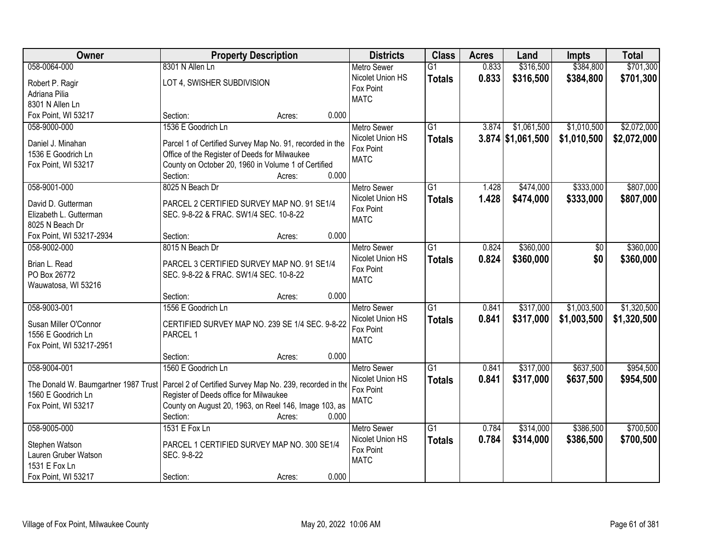| Owner                                                                                            | <b>Property Description</b>                              |                 | <b>Districts</b>   | <b>Class</b>    | <b>Acres</b> | Land                | <b>Impts</b> | <b>Total</b> |
|--------------------------------------------------------------------------------------------------|----------------------------------------------------------|-----------------|--------------------|-----------------|--------------|---------------------|--------------|--------------|
| 058-0064-000                                                                                     | 8301 N Allen Ln                                          |                 | <b>Metro Sewer</b> | $\overline{G1}$ | 0.833        | \$316,500           | \$384,800    | \$701,300    |
| Robert P. Ragir                                                                                  | LOT 4, SWISHER SUBDIVISION                               |                 | Nicolet Union HS   | <b>Totals</b>   | 0.833        | \$316,500           | \$384,800    | \$701,300    |
| Adriana Pilia                                                                                    |                                                          |                 | Fox Point          |                 |              |                     |              |              |
| 8301 N Allen Ln                                                                                  |                                                          |                 | <b>MATC</b>        |                 |              |                     |              |              |
| Fox Point, WI 53217                                                                              | Section:                                                 | 0.000<br>Acres: |                    |                 |              |                     |              |              |
| 058-9000-000                                                                                     | 1536 E Goodrich Ln                                       |                 | <b>Metro Sewer</b> | $\overline{G1}$ | 3.874        | \$1,061,500         | \$1,010,500  | \$2,072,000  |
|                                                                                                  |                                                          |                 | Nicolet Union HS   | <b>Totals</b>   |              | $3.874$ \$1,061,500 | \$1,010,500  | \$2,072,000  |
| Daniel J. Minahan                                                                                | Parcel 1 of Certified Survey Map No. 91, recorded in the |                 | Fox Point          |                 |              |                     |              |              |
| 1536 E Goodrich Ln                                                                               | Office of the Register of Deeds for Milwaukee            |                 | <b>MATC</b>        |                 |              |                     |              |              |
| Fox Point, WI 53217                                                                              | County on October 20, 1960 in Volume 1 of Certified      |                 |                    |                 |              |                     |              |              |
|                                                                                                  | Section:                                                 | 0.000<br>Acres: |                    |                 |              |                     |              |              |
| 058-9001-000                                                                                     | 8025 N Beach Dr                                          |                 | <b>Metro Sewer</b> | G1              | 1.428        | \$474,000           | \$333,000    | \$807,000    |
| David D. Gutterman                                                                               | PARCEL 2 CERTIFIED SURVEY MAP NO. 91 SE1/4               |                 | Nicolet Union HS   | <b>Totals</b>   | 1.428        | \$474,000           | \$333,000    | \$807,000    |
| Elizabeth L. Gutterman                                                                           | SEC. 9-8-22 & FRAC. SW1/4 SEC. 10-8-22                   |                 | Fox Point          |                 |              |                     |              |              |
| 8025 N Beach Dr                                                                                  |                                                          |                 | <b>MATC</b>        |                 |              |                     |              |              |
| Fox Point, WI 53217-2934                                                                         | Section:                                                 | 0.000<br>Acres: |                    |                 |              |                     |              |              |
| 058-9002-000                                                                                     | 8015 N Beach Dr                                          |                 | <b>Metro Sewer</b> | $\overline{G1}$ | 0.824        | \$360,000           | \$0          | \$360,000    |
|                                                                                                  |                                                          |                 | Nicolet Union HS   | <b>Totals</b>   | 0.824        | \$360,000           | \$0          | \$360,000    |
| Brian L. Read                                                                                    | PARCEL 3 CERTIFIED SURVEY MAP NO. 91 SE1/4               |                 | Fox Point          |                 |              |                     |              |              |
| PO Box 26772                                                                                     | SEC. 9-8-22 & FRAC. SW1/4 SEC. 10-8-22                   |                 | <b>MATC</b>        |                 |              |                     |              |              |
| Wauwatosa, WI 53216                                                                              |                                                          |                 |                    |                 |              |                     |              |              |
|                                                                                                  | Section:                                                 | 0.000<br>Acres: |                    |                 |              |                     |              |              |
| 058-9003-001                                                                                     | 1556 E Goodrich Ln                                       |                 | <b>Metro Sewer</b> | $\overline{G1}$ | 0.841        | \$317,000           | \$1,003,500  | \$1,320,500  |
| Susan Miller O'Connor                                                                            | CERTIFIED SURVEY MAP NO. 239 SE 1/4 SEC. 9-8-22          |                 | Nicolet Union HS   | <b>Totals</b>   | 0.841        | \$317,000           | \$1,003,500  | \$1,320,500  |
| 1556 E Goodrich Ln                                                                               | PARCEL 1                                                 |                 | Fox Point          |                 |              |                     |              |              |
| Fox Point, WI 53217-2951                                                                         |                                                          |                 | <b>MATC</b>        |                 |              |                     |              |              |
|                                                                                                  | Section:                                                 | 0.000<br>Acres: |                    |                 |              |                     |              |              |
| 058-9004-001                                                                                     | 1560 E Goodrich Ln                                       |                 | Metro Sewer        | $\overline{G1}$ | 0.841        | \$317,000           | \$637,500    | \$954,500    |
| The Donald W. Baumgartner 1987 Trust   Parcel 2 of Certified Survey Map No. 239, recorded in the |                                                          |                 | Nicolet Union HS   | <b>Totals</b>   | 0.841        | \$317,000           | \$637,500    | \$954,500    |
| 1560 E Goodrich Ln                                                                               | Register of Deeds office for Milwaukee                   |                 | Fox Point          |                 |              |                     |              |              |
| Fox Point, WI 53217                                                                              | County on August 20, 1963, on Reel 146, Image 103, as    |                 | <b>MATC</b>        |                 |              |                     |              |              |
|                                                                                                  | Section:                                                 | 0.000<br>Acres: |                    |                 |              |                     |              |              |
| 058-9005-000                                                                                     | 1531 E Fox Ln                                            |                 | <b>Metro Sewer</b> | $\overline{G1}$ | 0.784        | \$314,000           | \$386,500    | \$700,500    |
|                                                                                                  |                                                          |                 | Nicolet Union HS   | <b>Totals</b>   | 0.784        | \$314,000           | \$386,500    | \$700,500    |
| Stephen Watson                                                                                   | PARCEL 1 CERTIFIED SURVEY MAP NO. 300 SE1/4              |                 | Fox Point          |                 |              |                     |              |              |
| Lauren Gruber Watson                                                                             | SEC. 9-8-22                                              |                 | <b>MATC</b>        |                 |              |                     |              |              |
| 1531 E Fox Ln                                                                                    |                                                          |                 |                    |                 |              |                     |              |              |
| Fox Point, WI 53217                                                                              | Section:                                                 | 0.000<br>Acres: |                    |                 |              |                     |              |              |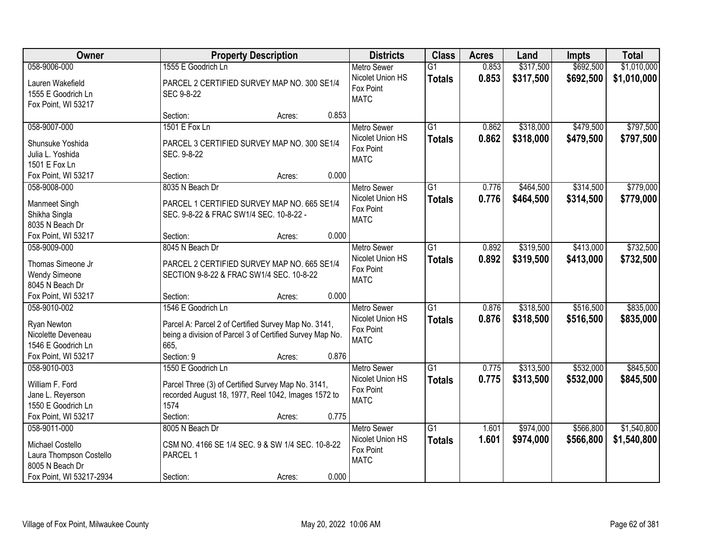| Owner                                                                                          |                                                                                                                                                              | <b>Property Description</b> |       | <b>Districts</b>                                                   | <b>Class</b>                     | <b>Acres</b>   | Land                   | Impts                  | <b>Total</b>           |
|------------------------------------------------------------------------------------------------|--------------------------------------------------------------------------------------------------------------------------------------------------------------|-----------------------------|-------|--------------------------------------------------------------------|----------------------------------|----------------|------------------------|------------------------|------------------------|
| 058-9006-000                                                                                   | 1555 E Goodrich Ln                                                                                                                                           |                             |       | <b>Metro Sewer</b>                                                 | $\overline{G1}$                  | 0.853          | \$317,500              | \$692,500              | \$1,010,000            |
| Lauren Wakefield<br>1555 E Goodrich Ln<br>Fox Point, WI 53217                                  | PARCEL 2 CERTIFIED SURVEY MAP NO. 300 SE1/4<br>SEC 9-8-22                                                                                                    |                             |       | Nicolet Union HS<br>Fox Point<br><b>MATC</b>                       | <b>Totals</b>                    | 0.853          | \$317,500              | \$692,500              | \$1,010,000            |
|                                                                                                | Section:                                                                                                                                                     | Acres:                      | 0.853 |                                                                    |                                  |                |                        |                        |                        |
| 058-9007-000<br>Shunsuke Yoshida<br>Julia L. Yoshida<br>1501 E Fox Ln                          | 1501 E Fox Ln<br>PARCEL 3 CERTIFIED SURVEY MAP NO. 300 SE1/4<br>SEC. 9-8-22                                                                                  |                             |       | <b>Metro Sewer</b><br>Nicolet Union HS<br>Fox Point<br><b>MATC</b> | $\overline{G1}$<br><b>Totals</b> | 0.862<br>0.862 | \$318,000<br>\$318,000 | \$479,500<br>\$479,500 | \$797,500<br>\$797,500 |
| Fox Point, WI 53217                                                                            | Section:                                                                                                                                                     | Acres:                      | 0.000 |                                                                    |                                  |                |                        |                        |                        |
| 058-9008-000<br>Manmeet Singh<br>Shikha Singla<br>8035 N Beach Dr                              | 8035 N Beach Dr<br>PARCEL 1 CERTIFIED SURVEY MAP NO. 665 SE1/4<br>SEC. 9-8-22 & FRAC SW1/4 SEC. 10-8-22 -                                                    |                             |       | <b>Metro Sewer</b><br>Nicolet Union HS<br>Fox Point<br><b>MATC</b> | $\overline{G1}$<br><b>Totals</b> | 0.776<br>0.776 | \$464,500<br>\$464,500 | \$314,500<br>\$314,500 | \$779,000<br>\$779,000 |
| Fox Point, WI 53217                                                                            | Section:                                                                                                                                                     | Acres:                      | 0.000 |                                                                    |                                  |                |                        |                        |                        |
| 058-9009-000<br>Thomas Simeone Jr<br><b>Wendy Simeone</b><br>8045 N Beach Dr                   | 8045 N Beach Dr<br>PARCEL 2 CERTIFIED SURVEY MAP NO. 665 SE1/4<br>SECTION 9-8-22 & FRAC SW1/4 SEC. 10-8-22                                                   |                             |       | <b>Metro Sewer</b><br>Nicolet Union HS<br>Fox Point<br><b>MATC</b> | G1<br><b>Totals</b>              | 0.892<br>0.892 | \$319,500<br>\$319,500 | \$413,000<br>\$413,000 | \$732,500<br>\$732,500 |
| Fox Point, WI 53217                                                                            | Section:                                                                                                                                                     | Acres:                      | 0.000 |                                                                    |                                  |                |                        |                        |                        |
| 058-9010-002<br>Ryan Newton<br>Nicolette Deveneau<br>1546 E Goodrich Ln<br>Fox Point, WI 53217 | 1546 E Goodrich Ln<br>Parcel A: Parcel 2 of Certified Survey Map No. 3141,<br>being a division of Parcel 3 of Certified Survey Map No.<br>665.<br>Section: 9 | Acres:                      | 0.876 | <b>Metro Sewer</b><br>Nicolet Union HS<br>Fox Point<br><b>MATC</b> | $\overline{G1}$<br><b>Totals</b> | 0.876<br>0.876 | \$318,500<br>\$318,500 | \$516,500<br>\$516,500 | \$835,000<br>\$835,000 |
| 058-9010-003                                                                                   | 1550 E Goodrich Ln                                                                                                                                           |                             |       | <b>Metro Sewer</b>                                                 | $\overline{G1}$                  | 0.775          | \$313,500              | \$532,000              | \$845,500              |
| William F. Ford<br>Jane L. Reyerson<br>1550 E Goodrich Ln<br>Fox Point, WI 53217               | Parcel Three (3) of Certified Survey Map No. 3141,<br>recorded August 18, 1977, Reel 1042, Images 1572 to<br>1574<br>Section:                                | Acres:                      | 0.775 | Nicolet Union HS<br>Fox Point<br><b>MATC</b>                       | <b>Totals</b>                    | 0.775          | \$313,500              | \$532,000              | \$845,500              |
| 058-9011-000                                                                                   | 8005 N Beach Dr                                                                                                                                              |                             |       | <b>Metro Sewer</b>                                                 | $\overline{G1}$                  | 1.601          | \$974,000              | \$566,800              | \$1,540,800            |
| Michael Costello<br>Laura Thompson Costello<br>8005 N Beach Dr<br>Fox Point, WI 53217-2934     | CSM NO. 4166 SE 1/4 SEC. 9 & SW 1/4 SEC. 10-8-22<br>PARCEL 1<br>Section:                                                                                     | Acres:                      | 0.000 | Nicolet Union HS<br>Fox Point<br><b>MATC</b>                       | <b>Totals</b>                    | 1.601          | \$974,000              | \$566,800              | \$1,540,800            |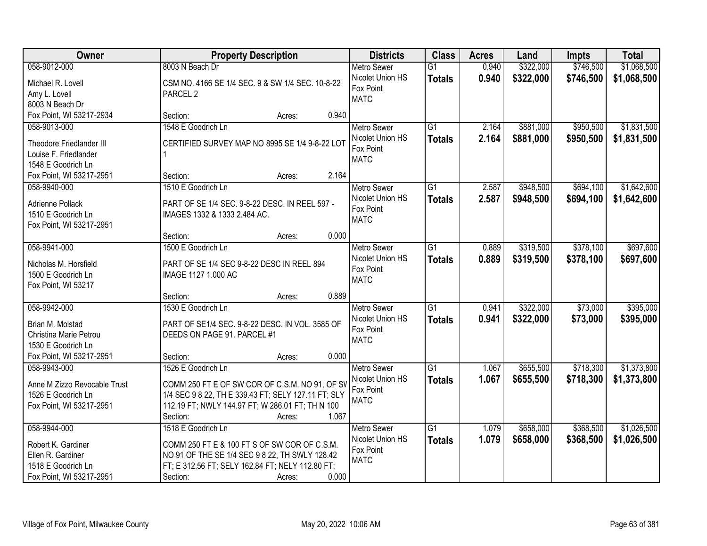| Owner                        | <b>Property Description</b>                         | <b>Districts</b>              | <b>Class</b>    | <b>Acres</b> | Land      | <b>Impts</b> | <b>Total</b> |
|------------------------------|-----------------------------------------------------|-------------------------------|-----------------|--------------|-----------|--------------|--------------|
| 058-9012-000                 | 8003 N Beach Dr                                     | <b>Metro Sewer</b>            | $\overline{G1}$ | 0.940        | \$322,000 | \$746,500    | \$1,068,500  |
| Michael R. Lovell            | CSM NO. 4166 SE 1/4 SEC. 9 & SW 1/4 SEC. 10-8-22    | Nicolet Union HS              | <b>Totals</b>   | 0.940        | \$322,000 | \$746,500    | \$1,068,500  |
| Amy L. Lovell                | PARCEL <sub>2</sub>                                 | Fox Point                     |                 |              |           |              |              |
| 8003 N Beach Dr              |                                                     | <b>MATC</b>                   |                 |              |           |              |              |
| Fox Point, WI 53217-2934     | 0.940<br>Section:<br>Acres:                         |                               |                 |              |           |              |              |
| 058-9013-000                 | 1548 E Goodrich Ln                                  | <b>Metro Sewer</b>            | $\overline{G1}$ | 2.164        | \$881,000 | \$950,500    | \$1,831,500  |
|                              |                                                     | Nicolet Union HS              | <b>Totals</b>   | 2.164        | \$881,000 | \$950,500    | \$1,831,500  |
| Theodore Friedlander III     | CERTIFIED SURVEY MAP NO 8995 SE 1/4 9-8-22 LOT      | Fox Point                     |                 |              |           |              |              |
| Louise F. Friedlander        |                                                     | <b>MATC</b>                   |                 |              |           |              |              |
| 1548 E Goodrich Ln           |                                                     |                               |                 |              |           |              |              |
| Fox Point, WI 53217-2951     | 2.164<br>Section:<br>Acres:                         |                               |                 |              |           |              |              |
| 058-9940-000                 | 1510 E Goodrich Ln                                  | Metro Sewer                   | G1              | 2.587        | \$948,500 | \$694,100    | \$1,642,600  |
| Adrienne Pollack             | PART OF SE 1/4 SEC. 9-8-22 DESC. IN REEL 597 -      | Nicolet Union HS              | <b>Totals</b>   | 2.587        | \$948,500 | \$694,100    | \$1,642,600  |
| 1510 E Goodrich Ln           | IMAGES 1332 & 1333 2.484 AC.                        | Fox Point                     |                 |              |           |              |              |
| Fox Point, WI 53217-2951     |                                                     | <b>MATC</b>                   |                 |              |           |              |              |
|                              | 0.000<br>Section:<br>Acres:                         |                               |                 |              |           |              |              |
| 058-9941-000                 | 1500 E Goodrich Ln                                  | <b>Metro Sewer</b>            | $\overline{G1}$ | 0.889        | \$319,500 | \$378,100    | \$697,600    |
|                              |                                                     | Nicolet Union HS              | <b>Totals</b>   | 0.889        | \$319,500 | \$378,100    | \$697,600    |
| Nicholas M. Horsfield        | PART OF SE 1/4 SEC 9-8-22 DESC IN REEL 894          | Fox Point                     |                 |              |           |              |              |
| 1500 E Goodrich Ln           | IMAGE 1127 1.000 AC                                 | <b>MATC</b>                   |                 |              |           |              |              |
| Fox Point, WI 53217          |                                                     |                               |                 |              |           |              |              |
|                              | 0.889<br>Section:<br>Acres:                         |                               |                 |              |           |              |              |
| 058-9942-000                 | 1530 E Goodrich Ln                                  | <b>Metro Sewer</b>            | $\overline{G1}$ | 0.941        | \$322,000 | \$73,000     | \$395,000    |
| Brian M. Molstad             | PART OF SE1/4 SEC. 9-8-22 DESC. IN VOL. 3585 OF     | Nicolet Union HS              | <b>Totals</b>   | 0.941        | \$322,000 | \$73,000     | \$395,000    |
| Christina Marie Petrou       | DEEDS ON PAGE 91. PARCEL #1                         | Fox Point                     |                 |              |           |              |              |
| 1530 E Goodrich Ln           |                                                     | <b>MATC</b>                   |                 |              |           |              |              |
| Fox Point, WI 53217-2951     | 0.000<br>Section:<br>Acres:                         |                               |                 |              |           |              |              |
| 058-9943-000                 | 1526 E Goodrich Ln                                  | <b>Metro Sewer</b>            | $\overline{G1}$ | 1.067        | \$655,500 | \$718,300    | \$1,373,800  |
| Anne M Zizzo Revocable Trust | COMM 250 FT E OF SW COR OF C.S.M. NO 91, OF SV      | Nicolet Union HS              | <b>Totals</b>   | 1.067        | \$655,500 | \$718,300    | \$1,373,800  |
| 1526 E Goodrich Ln           | 1/4 SEC 9 8 22, TH E 339.43 FT; SELY 127.11 FT; SLY | Fox Point                     |                 |              |           |              |              |
| Fox Point, WI 53217-2951     | 112.19 FT; NWLY 144.97 FT; W 286.01 FT; TH N 100    | <b>MATC</b>                   |                 |              |           |              |              |
|                              | 1.067<br>Section:<br>Acres:                         |                               |                 |              |           |              |              |
| 058-9944-000                 | 1518 E Goodrich Ln                                  | <b>Metro Sewer</b>            | $\overline{G1}$ | 1.079        | \$658,000 | \$368,500    | \$1,026,500  |
|                              |                                                     |                               |                 |              |           |              |              |
| Robert K. Gardiner           | COMM 250 FT E & 100 FT S OF SW COR OF C.S.M.        | Nicolet Union HS<br>Fox Point | <b>Totals</b>   | 1.079        | \$658,000 | \$368,500    | \$1,026,500  |
| Ellen R. Gardiner            | NO 91 OF THE SE 1/4 SEC 9 8 22, TH SWLY 128.42      | <b>MATC</b>                   |                 |              |           |              |              |
| 1518 E Goodrich Ln           | FT; E 312.56 FT; SELY 162.84 FT; NELY 112.80 FT;    |                               |                 |              |           |              |              |
| Fox Point, WI 53217-2951     | 0.000<br>Section:<br>Acres:                         |                               |                 |              |           |              |              |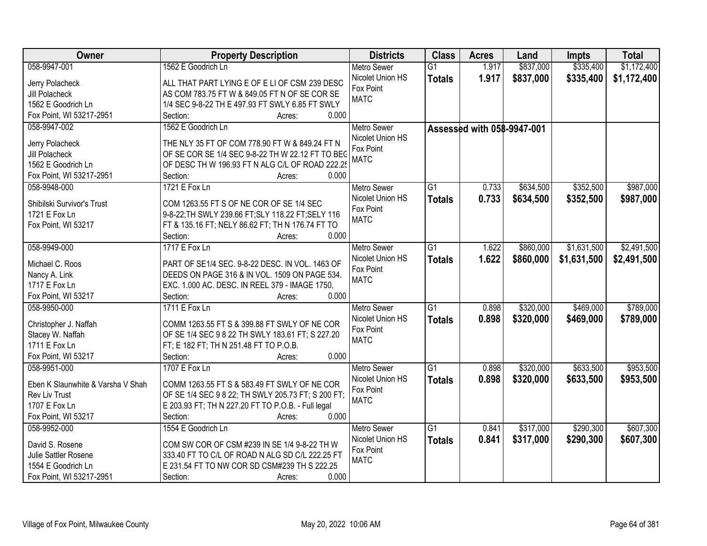| Owner                             | <b>Property Description</b>                               | <b>Districts</b>   | <b>Class</b>    | <b>Acres</b>               | Land      | Impts       | <b>Total</b> |
|-----------------------------------|-----------------------------------------------------------|--------------------|-----------------|----------------------------|-----------|-------------|--------------|
| 058-9947-001                      | 1562 E Goodrich Ln                                        | <b>Metro Sewer</b> | $\overline{G1}$ | 1.917                      | \$837,000 | \$335,400   | \$1,172,400  |
| Jerry Polacheck                   | ALL THAT PART LYING E OF E LI OF CSM 239 DESC             | Nicolet Union HS   | <b>Totals</b>   | 1.917                      | \$837,000 | \$335,400   | \$1,172,400  |
| Jill Polacheck                    | AS COM 783.75 FT W & 849.05 FT N OF SE COR SE             | Fox Point          |                 |                            |           |             |              |
| 1562 E Goodrich Ln                | 1/4 SEC 9-8-22 TH E 497.93 FT SWLY 6.85 FT SWLY           | <b>MATC</b>        |                 |                            |           |             |              |
| Fox Point, WI 53217-2951          | 0.000<br>Section:<br>Acres:                               |                    |                 |                            |           |             |              |
| 058-9947-002                      | 1562 E Goodrich Ln                                        | <b>Metro Sewer</b> |                 |                            |           |             |              |
|                                   |                                                           | Nicolet Union HS   |                 | Assessed with 058-9947-001 |           |             |              |
| Jerry Polacheck                   | THE NLY 35 FT OF COM 778.90 FT W & 849.24 FT N            | Fox Point          |                 |                            |           |             |              |
| Jill Polacheck                    | OF SE COR SE 1/4 SEC 9-8-22 TH W 22.12 FT TO BEC          | <b>MATC</b>        |                 |                            |           |             |              |
| 1562 E Goodrich Ln                | OF DESC TH W 196.93 FT N ALG C/L OF ROAD 222.25           |                    |                 |                            |           |             |              |
| Fox Point, WI 53217-2951          | 0.000<br>Section:<br>Acres:                               |                    |                 |                            |           |             |              |
| 058-9948-000                      | 1721 E Fox Ln                                             | Metro Sewer        | G1              | 0.733                      | \$634,500 | \$352,500   | \$987,000    |
|                                   | COM 1263.55 FT S OF NE COR OF SE 1/4 SEC                  | Nicolet Union HS   | <b>Totals</b>   | 0.733                      | \$634,500 | \$352,500   | \$987,000    |
| Shibilski Survivor's Trust        |                                                           | Fox Point          |                 |                            |           |             |              |
| 1721 E Fox Ln                     | 9-8-22; TH SWLY 239.66 FT; SLY 118.22 FT; SELY 116        | <b>MATC</b>        |                 |                            |           |             |              |
| Fox Point, WI 53217               | FT & 135.16 FT; NELY 86.62 FT; TH N 176.74 FT TO<br>0.000 |                    |                 |                            |           |             |              |
|                                   | Section:<br>Acres:                                        |                    |                 |                            |           |             |              |
| 058-9949-000                      | 1717 E Fox Ln                                             | <b>Metro Sewer</b> | G1              | 1.622                      | \$860,000 | \$1,631,500 | \$2,491,500  |
| Michael C. Roos                   | PART OF SE1/4 SEC. 9-8-22 DESC. IN VOL. 1463 OF           | Nicolet Union HS   | <b>Totals</b>   | 1.622                      | \$860,000 | \$1,631,500 | \$2,491,500  |
| Nancy A. Link                     | DEEDS ON PAGE 316 & IN VOL. 1509 ON PAGE 534.             | Fox Point          |                 |                            |           |             |              |
| 1717 E Fox Ln                     | EXC. 1.000 AC. DESC. IN REEL 379 - IMAGE 1750,            | <b>MATC</b>        |                 |                            |           |             |              |
| Fox Point, WI 53217               | Section:<br>0.000<br>Acres:                               |                    |                 |                            |           |             |              |
| 058-9950-000                      | 1711 E Fox Ln                                             | <b>Metro Sewer</b> | $\overline{G1}$ | 0.898                      | \$320,000 | \$469,000   | \$789,000    |
|                                   |                                                           | Nicolet Union HS   | <b>Totals</b>   | 0.898                      | \$320,000 | \$469,000   | \$789,000    |
| Christopher J. Naffah             | COMM 1263.55 FT S & 399.88 FT SWLY OF NE COR              | Fox Point          |                 |                            |           |             |              |
| Stacey W. Naffah                  | OF SE 1/4 SEC 9 8 22 TH SWLY 183.61 FT; S 227.20          | <b>MATC</b>        |                 |                            |           |             |              |
| 1711 E Fox Ln                     | FT; E 182 FT; TH N 251.48 FT TO P.O.B.                    |                    |                 |                            |           |             |              |
| Fox Point, WI 53217               | Section:<br>0.000<br>Acres:                               |                    |                 |                            |           |             |              |
| 058-9951-000                      | 1707 E Fox Ln                                             | <b>Metro Sewer</b> | G1              | 0.898                      | \$320,000 | \$633,500   | \$953,500    |
| Eben K Slaunwhite & Varsha V Shah | COMM 1263.55 FT S & 583.49 FT SWLY OF NE COR              | Nicolet Union HS   | <b>Totals</b>   | 0.898                      | \$320,000 | \$633,500   | \$953,500    |
| Rev Liv Trust                     | OF SE 1/4 SEC 9 8 22; TH SWLY 205.73 FT; S 200 FT;        | Fox Point          |                 |                            |           |             |              |
| 1707 E Fox Ln                     | E 203.93 FT; TH N 227.20 FT TO P.O.B. - Full legal        | <b>MATC</b>        |                 |                            |           |             |              |
| Fox Point, WI 53217               | 0.000<br>Section:<br>Acres:                               |                    |                 |                            |           |             |              |
| 058-9952-000                      | 1554 E Goodrich Ln                                        | <b>Metro Sewer</b> | $\overline{G1}$ | 0.841                      | \$317,000 | \$290,300   | \$607,300    |
|                                   |                                                           | Nicolet Union HS   | <b>Totals</b>   | 0.841                      | \$317,000 | \$290,300   | \$607,300    |
| David S. Rosene                   | COM SW COR OF CSM #239 IN SE 1/4 9-8-22 TH W              | Fox Point          |                 |                            |           |             |              |
| Julie Sattler Rosene              | 333.40 FT TO C/L OF ROAD N ALG SD C/L 222.25 FT           | <b>MATC</b>        |                 |                            |           |             |              |
| 1554 E Goodrich Ln                | E 231.54 FT TO NW COR SD CSM#239 TH S 222.25              |                    |                 |                            |           |             |              |
| Fox Point, WI 53217-2951          | 0.000<br>Section:<br>Acres:                               |                    |                 |                            |           |             |              |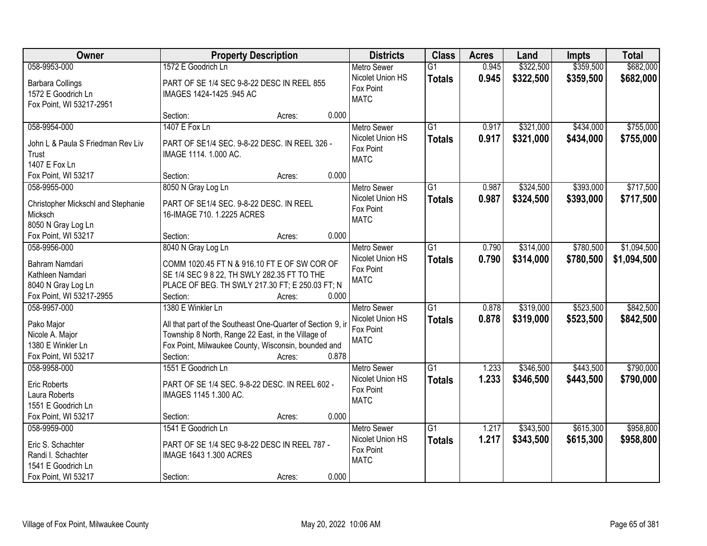| Owner                              | <b>Property Description</b>                                 |        |       | <b>Districts</b>         | <b>Class</b>    | <b>Acres</b> | Land      | Impts     | <b>Total</b> |
|------------------------------------|-------------------------------------------------------------|--------|-------|--------------------------|-----------------|--------------|-----------|-----------|--------------|
| 058-9953-000                       | 1572 E Goodrich Ln                                          |        |       | <b>Metro Sewer</b>       | $\overline{G1}$ | 0.945        | \$322,500 | \$359,500 | \$682,000    |
| <b>Barbara Collings</b>            | PART OF SE 1/4 SEC 9-8-22 DESC IN REEL 855                  |        |       | Nicolet Union HS         | <b>Totals</b>   | 0.945        | \$322,500 | \$359,500 | \$682,000    |
| 1572 E Goodrich Ln                 | IMAGES 1424-1425 .945 AC                                    |        |       | Fox Point                |                 |              |           |           |              |
| Fox Point, WI 53217-2951           |                                                             |        |       | <b>MATC</b>              |                 |              |           |           |              |
|                                    | Section:                                                    | Acres: | 0.000 |                          |                 |              |           |           |              |
| 058-9954-000                       | 1407 E Fox Ln                                               |        |       | <b>Metro Sewer</b>       | $\overline{G1}$ | 0.917        | \$321,000 | \$434,000 | \$755,000    |
| John L & Paula S Friedman Rev Liv  | PART OF SE1/4 SEC. 9-8-22 DESC. IN REEL 326 -               |        |       | Nicolet Union HS         | <b>Totals</b>   | 0.917        | \$321,000 | \$434,000 | \$755,000    |
| Trust                              | IMAGE 1114. 1.000 AC.                                       |        |       | Fox Point                |                 |              |           |           |              |
| 1407 E Fox Ln                      |                                                             |        |       | <b>MATC</b>              |                 |              |           |           |              |
| Fox Point, WI 53217                | Section:                                                    | Acres: | 0.000 |                          |                 |              |           |           |              |
| 058-9955-000                       | 8050 N Gray Log Ln                                          |        |       | Metro Sewer              | $\overline{G1}$ | 0.987        | \$324,500 | \$393,000 | \$717,500    |
|                                    |                                                             |        |       | Nicolet Union HS         | <b>Totals</b>   | 0.987        | \$324,500 | \$393,000 | \$717,500    |
| Christopher Mickschl and Stephanie | PART OF SE1/4 SEC. 9-8-22 DESC. IN REEL                     |        |       | Fox Point                |                 |              |           |           |              |
| Micksch                            | 16-IMAGE 710. 1.2225 ACRES                                  |        |       | <b>MATC</b>              |                 |              |           |           |              |
| 8050 N Gray Log Ln                 |                                                             |        |       |                          |                 |              |           |           |              |
| Fox Point, WI 53217                | Section:                                                    | Acres: | 0.000 |                          |                 |              |           |           |              |
| 058-9956-000                       | 8040 N Gray Log Ln                                          |        |       | <b>Metro Sewer</b>       | $\overline{G1}$ | 0.790        | \$314,000 | \$780,500 | \$1,094,500  |
| Bahram Namdari                     | COMM 1020.45 FT N & 916.10 FT E OF SW COR OF                |        |       | Nicolet Union HS         | <b>Totals</b>   | 0.790        | \$314,000 | \$780,500 | \$1,094,500  |
| Kathleen Namdari                   | SE 1/4 SEC 9 8 22, TH SWLY 282.35 FT TO THE                 |        |       | Fox Point<br><b>MATC</b> |                 |              |           |           |              |
| 8040 N Gray Log Ln                 | PLACE OF BEG. TH SWLY 217.30 FT; E 250.03 FT; N             |        |       |                          |                 |              |           |           |              |
| Fox Point, WI 53217-2955           | Section:                                                    | Acres: | 0.000 |                          |                 |              |           |           |              |
| 058-9957-000                       | 1380 E Winkler Ln                                           |        |       | <b>Metro Sewer</b>       | $\overline{G1}$ | 0.878        | \$319,000 | \$523,500 | \$842,500    |
| Pako Major                         | All that part of the Southeast One-Quarter of Section 9, ir |        |       | Nicolet Union HS         | <b>Totals</b>   | 0.878        | \$319,000 | \$523,500 | \$842,500    |
| Nicole A. Major                    | Township 8 North, Range 22 East, in the Village of          |        |       | Fox Point                |                 |              |           |           |              |
| 1380 E Winkler Ln                  | Fox Point, Milwaukee County, Wisconsin, bounded and         |        |       | <b>MATC</b>              |                 |              |           |           |              |
| Fox Point, WI 53217                | Section:                                                    | Acres: | 0.878 |                          |                 |              |           |           |              |
| 058-9958-000                       | 1551 E Goodrich Ln                                          |        |       | <b>Metro Sewer</b>       | $\overline{G1}$ | 1.233        | \$346,500 | \$443,500 | \$790,000    |
|                                    |                                                             |        |       | Nicolet Union HS         | <b>Totals</b>   | 1.233        | \$346,500 | \$443,500 | \$790,000    |
| <b>Eric Roberts</b>                | PART OF SE 1/4 SEC. 9-8-22 DESC. IN REEL 602 -              |        |       | Fox Point                |                 |              |           |           |              |
| Laura Roberts                      | IMAGES 1145 1.300 AC.                                       |        |       | <b>MATC</b>              |                 |              |           |           |              |
| 1551 E Goodrich Ln                 |                                                             |        |       |                          |                 |              |           |           |              |
| Fox Point, WI 53217                | Section:                                                    | Acres: | 0.000 |                          |                 |              |           |           |              |
| 058-9959-000                       | 1541 E Goodrich Ln                                          |        |       | <b>Metro Sewer</b>       | $\overline{G1}$ | 1.217        | \$343,500 | \$615,300 | \$958,800    |
| Eric S. Schachter                  | PART OF SE 1/4 SEC 9-8-22 DESC IN REEL 787 -                |        |       | Nicolet Union HS         | <b>Totals</b>   | 1.217        | \$343,500 | \$615,300 | \$958,800    |
| Randi I. Schachter                 | IMAGE 1643 1.300 ACRES                                      |        |       | Fox Point<br><b>MATC</b> |                 |              |           |           |              |
| 1541 E Goodrich Ln                 |                                                             |        |       |                          |                 |              |           |           |              |
| Fox Point, WI 53217                | Section:                                                    | Acres: | 0.000 |                          |                 |              |           |           |              |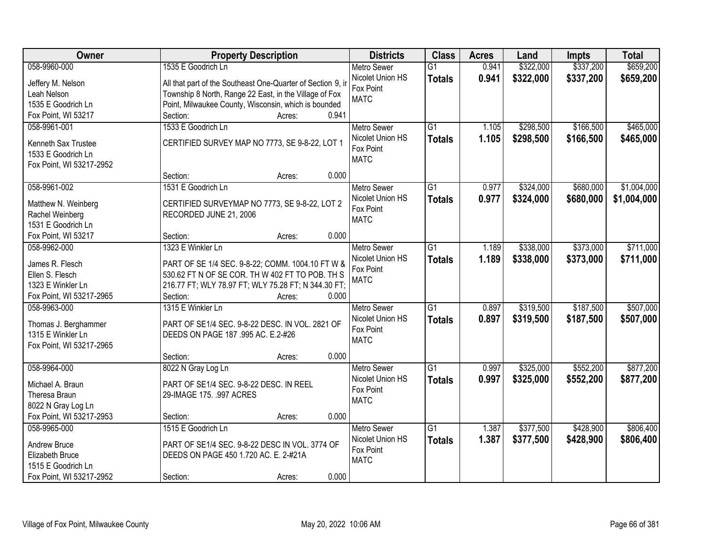| \$337,200<br>\$659,200<br>058-9960-000<br>1535 E Goodrich Ln<br>\$322,000<br><b>Metro Sewer</b><br>$\overline{G1}$<br>0.941<br>Nicolet Union HS<br>0.941<br>\$322,000<br>\$337,200<br>\$659,200<br><b>Totals</b><br>All that part of the Southeast One-Quarter of Section 9, in<br>Jeffery M. Nelson<br>Fox Point<br>Township 8 North, Range 22 East, in the Village of Fox<br>Leah Nelson<br><b>MATC</b><br>Point, Milwaukee County, Wisconsin, which is bounded<br>1535 E Goodrich Ln<br>0.941<br>Fox Point, WI 53217<br>Section:<br>Acres:<br>\$465,000<br>1533 E Goodrich Ln<br>$\overline{G1}$<br>\$298,500<br>\$166,500<br>058-9961-001<br>1.105<br><b>Metro Sewer</b><br>1.105<br>Nicolet Union HS<br>\$298,500<br>\$166,500<br>\$465,000<br><b>Totals</b><br>CERTIFIED SURVEY MAP NO 7773, SE 9-8-22, LOT 1<br>Kenneth Sax Trustee<br>Fox Point<br>1533 E Goodrich Ln<br><b>MATC</b><br>Fox Point, WI 53217-2952<br>0.000<br>Section:<br>Acres:<br>\$1,004,000<br>058-9961-002<br>1531 E Goodrich Ln<br>$\overline{G1}$<br>0.977<br>\$324,000<br>\$680,000<br><b>Metro Sewer</b><br>Nicolet Union HS<br>0.977<br>\$324,000<br>\$680,000<br>\$1,004,000<br><b>Totals</b><br>CERTIFIED SURVEYMAP NO 7773, SE 9-8-22, LOT 2<br>Matthew N. Weinberg<br>Fox Point<br>Rachel Weinberg<br>RECORDED JUNE 21, 2006<br><b>MATC</b><br>1531 E Goodrich Ln<br>0.000<br>Fox Point, WI 53217<br>Section:<br>Acres:<br>1323 E Winkler Ln<br>$\overline{G1}$<br>\$338,000<br>\$373,000<br>\$711,000<br>058-9962-000<br><b>Metro Sewer</b><br>1.189<br>Nicolet Union HS<br>1.189<br>\$338,000<br>\$373,000<br>\$711,000<br><b>Totals</b><br>James R. Flesch<br>PART OF SE 1/4 SEC. 9-8-22; COMM. 1004.10 FT W &<br>Fox Point<br>530.62 FT N OF SE COR. TH W 402 FT TO POB. TH S<br>Ellen S. Flesch<br><b>MATC</b><br>216.77 FT; WLY 78.97 FT; WLY 75.28 FT; N 344.30 FT;<br>1323 E Winkler Ln<br>Fox Point, WI 53217-2965<br>Section:<br>0.000<br>Acres:<br>$\overline{G1}$<br>\$319,500<br>\$187,500<br>\$507,000<br>058-9963-000<br>1315 E Winkler Ln<br>0.897<br><b>Metro Sewer</b><br>0.897<br>\$319,500<br>\$187,500<br>\$507,000<br>Nicolet Union HS<br><b>Totals</b><br>Thomas J. Berghammer<br>PART OF SE1/4 SEC. 9-8-22 DESC. IN VOL. 2821 OF<br>Fox Point<br>1315 E Winkler Ln<br>DEEDS ON PAGE 187 .995 AC. E.2-#26<br><b>MATC</b><br>Fox Point, WI 53217-2965<br>0.000<br>Section:<br>Acres:<br>058-9964-000<br>G1<br>\$552,200<br>\$877,200<br>8022 N Gray Log Ln<br>Metro Sewer<br>0.997<br>\$325,000<br>Nicolet Union HS<br>0.997<br>\$325,000<br>\$552,200<br>\$877,200<br><b>Totals</b><br>Michael A. Braun<br>PART OF SE1/4 SEC. 9-8-22 DESC. IN REEL<br>Fox Point<br>Theresa Braun<br>29-IMAGE 175. .997 ACRES<br><b>MATC</b><br>8022 N Gray Log Ln | Owner | <b>Property Description</b> | <b>Districts</b> | <b>Class</b> | <b>Acres</b> | Land | Impts | <b>Total</b> |
|---------------------------------------------------------------------------------------------------------------------------------------------------------------------------------------------------------------------------------------------------------------------------------------------------------------------------------------------------------------------------------------------------------------------------------------------------------------------------------------------------------------------------------------------------------------------------------------------------------------------------------------------------------------------------------------------------------------------------------------------------------------------------------------------------------------------------------------------------------------------------------------------------------------------------------------------------------------------------------------------------------------------------------------------------------------------------------------------------------------------------------------------------------------------------------------------------------------------------------------------------------------------------------------------------------------------------------------------------------------------------------------------------------------------------------------------------------------------------------------------------------------------------------------------------------------------------------------------------------------------------------------------------------------------------------------------------------------------------------------------------------------------------------------------------------------------------------------------------------------------------------------------------------------------------------------------------------------------------------------------------------------------------------------------------------------------------------------------------------------------------------------------------------------------------------------------------------------------------------------------------------------------------------------------------------------------------------------------------------------------------------------------------------------------------------------------------------------------------------------------------------------------------------------------------------------------------------------------------------------------------------------------------------------------------------------------------------------------------------------------------------------|-------|-----------------------------|------------------|--------------|--------------|------|-------|--------------|
|                                                                                                                                                                                                                                                                                                                                                                                                                                                                                                                                                                                                                                                                                                                                                                                                                                                                                                                                                                                                                                                                                                                                                                                                                                                                                                                                                                                                                                                                                                                                                                                                                                                                                                                                                                                                                                                                                                                                                                                                                                                                                                                                                                                                                                                                                                                                                                                                                                                                                                                                                                                                                                                                                                                                                               |       |                             |                  |              |              |      |       |              |
|                                                                                                                                                                                                                                                                                                                                                                                                                                                                                                                                                                                                                                                                                                                                                                                                                                                                                                                                                                                                                                                                                                                                                                                                                                                                                                                                                                                                                                                                                                                                                                                                                                                                                                                                                                                                                                                                                                                                                                                                                                                                                                                                                                                                                                                                                                                                                                                                                                                                                                                                                                                                                                                                                                                                                               |       |                             |                  |              |              |      |       |              |
|                                                                                                                                                                                                                                                                                                                                                                                                                                                                                                                                                                                                                                                                                                                                                                                                                                                                                                                                                                                                                                                                                                                                                                                                                                                                                                                                                                                                                                                                                                                                                                                                                                                                                                                                                                                                                                                                                                                                                                                                                                                                                                                                                                                                                                                                                                                                                                                                                                                                                                                                                                                                                                                                                                                                                               |       |                             |                  |              |              |      |       |              |
|                                                                                                                                                                                                                                                                                                                                                                                                                                                                                                                                                                                                                                                                                                                                                                                                                                                                                                                                                                                                                                                                                                                                                                                                                                                                                                                                                                                                                                                                                                                                                                                                                                                                                                                                                                                                                                                                                                                                                                                                                                                                                                                                                                                                                                                                                                                                                                                                                                                                                                                                                                                                                                                                                                                                                               |       |                             |                  |              |              |      |       |              |
|                                                                                                                                                                                                                                                                                                                                                                                                                                                                                                                                                                                                                                                                                                                                                                                                                                                                                                                                                                                                                                                                                                                                                                                                                                                                                                                                                                                                                                                                                                                                                                                                                                                                                                                                                                                                                                                                                                                                                                                                                                                                                                                                                                                                                                                                                                                                                                                                                                                                                                                                                                                                                                                                                                                                                               |       |                             |                  |              |              |      |       |              |
|                                                                                                                                                                                                                                                                                                                                                                                                                                                                                                                                                                                                                                                                                                                                                                                                                                                                                                                                                                                                                                                                                                                                                                                                                                                                                                                                                                                                                                                                                                                                                                                                                                                                                                                                                                                                                                                                                                                                                                                                                                                                                                                                                                                                                                                                                                                                                                                                                                                                                                                                                                                                                                                                                                                                                               |       |                             |                  |              |              |      |       |              |
|                                                                                                                                                                                                                                                                                                                                                                                                                                                                                                                                                                                                                                                                                                                                                                                                                                                                                                                                                                                                                                                                                                                                                                                                                                                                                                                                                                                                                                                                                                                                                                                                                                                                                                                                                                                                                                                                                                                                                                                                                                                                                                                                                                                                                                                                                                                                                                                                                                                                                                                                                                                                                                                                                                                                                               |       |                             |                  |              |              |      |       |              |
|                                                                                                                                                                                                                                                                                                                                                                                                                                                                                                                                                                                                                                                                                                                                                                                                                                                                                                                                                                                                                                                                                                                                                                                                                                                                                                                                                                                                                                                                                                                                                                                                                                                                                                                                                                                                                                                                                                                                                                                                                                                                                                                                                                                                                                                                                                                                                                                                                                                                                                                                                                                                                                                                                                                                                               |       |                             |                  |              |              |      |       |              |
|                                                                                                                                                                                                                                                                                                                                                                                                                                                                                                                                                                                                                                                                                                                                                                                                                                                                                                                                                                                                                                                                                                                                                                                                                                                                                                                                                                                                                                                                                                                                                                                                                                                                                                                                                                                                                                                                                                                                                                                                                                                                                                                                                                                                                                                                                                                                                                                                                                                                                                                                                                                                                                                                                                                                                               |       |                             |                  |              |              |      |       |              |
|                                                                                                                                                                                                                                                                                                                                                                                                                                                                                                                                                                                                                                                                                                                                                                                                                                                                                                                                                                                                                                                                                                                                                                                                                                                                                                                                                                                                                                                                                                                                                                                                                                                                                                                                                                                                                                                                                                                                                                                                                                                                                                                                                                                                                                                                                                                                                                                                                                                                                                                                                                                                                                                                                                                                                               |       |                             |                  |              |              |      |       |              |
|                                                                                                                                                                                                                                                                                                                                                                                                                                                                                                                                                                                                                                                                                                                                                                                                                                                                                                                                                                                                                                                                                                                                                                                                                                                                                                                                                                                                                                                                                                                                                                                                                                                                                                                                                                                                                                                                                                                                                                                                                                                                                                                                                                                                                                                                                                                                                                                                                                                                                                                                                                                                                                                                                                                                                               |       |                             |                  |              |              |      |       |              |
|                                                                                                                                                                                                                                                                                                                                                                                                                                                                                                                                                                                                                                                                                                                                                                                                                                                                                                                                                                                                                                                                                                                                                                                                                                                                                                                                                                                                                                                                                                                                                                                                                                                                                                                                                                                                                                                                                                                                                                                                                                                                                                                                                                                                                                                                                                                                                                                                                                                                                                                                                                                                                                                                                                                                                               |       |                             |                  |              |              |      |       |              |
|                                                                                                                                                                                                                                                                                                                                                                                                                                                                                                                                                                                                                                                                                                                                                                                                                                                                                                                                                                                                                                                                                                                                                                                                                                                                                                                                                                                                                                                                                                                                                                                                                                                                                                                                                                                                                                                                                                                                                                                                                                                                                                                                                                                                                                                                                                                                                                                                                                                                                                                                                                                                                                                                                                                                                               |       |                             |                  |              |              |      |       |              |
|                                                                                                                                                                                                                                                                                                                                                                                                                                                                                                                                                                                                                                                                                                                                                                                                                                                                                                                                                                                                                                                                                                                                                                                                                                                                                                                                                                                                                                                                                                                                                                                                                                                                                                                                                                                                                                                                                                                                                                                                                                                                                                                                                                                                                                                                                                                                                                                                                                                                                                                                                                                                                                                                                                                                                               |       |                             |                  |              |              |      |       |              |
|                                                                                                                                                                                                                                                                                                                                                                                                                                                                                                                                                                                                                                                                                                                                                                                                                                                                                                                                                                                                                                                                                                                                                                                                                                                                                                                                                                                                                                                                                                                                                                                                                                                                                                                                                                                                                                                                                                                                                                                                                                                                                                                                                                                                                                                                                                                                                                                                                                                                                                                                                                                                                                                                                                                                                               |       |                             |                  |              |              |      |       |              |
|                                                                                                                                                                                                                                                                                                                                                                                                                                                                                                                                                                                                                                                                                                                                                                                                                                                                                                                                                                                                                                                                                                                                                                                                                                                                                                                                                                                                                                                                                                                                                                                                                                                                                                                                                                                                                                                                                                                                                                                                                                                                                                                                                                                                                                                                                                                                                                                                                                                                                                                                                                                                                                                                                                                                                               |       |                             |                  |              |              |      |       |              |
|                                                                                                                                                                                                                                                                                                                                                                                                                                                                                                                                                                                                                                                                                                                                                                                                                                                                                                                                                                                                                                                                                                                                                                                                                                                                                                                                                                                                                                                                                                                                                                                                                                                                                                                                                                                                                                                                                                                                                                                                                                                                                                                                                                                                                                                                                                                                                                                                                                                                                                                                                                                                                                                                                                                                                               |       |                             |                  |              |              |      |       |              |
|                                                                                                                                                                                                                                                                                                                                                                                                                                                                                                                                                                                                                                                                                                                                                                                                                                                                                                                                                                                                                                                                                                                                                                                                                                                                                                                                                                                                                                                                                                                                                                                                                                                                                                                                                                                                                                                                                                                                                                                                                                                                                                                                                                                                                                                                                                                                                                                                                                                                                                                                                                                                                                                                                                                                                               |       |                             |                  |              |              |      |       |              |
|                                                                                                                                                                                                                                                                                                                                                                                                                                                                                                                                                                                                                                                                                                                                                                                                                                                                                                                                                                                                                                                                                                                                                                                                                                                                                                                                                                                                                                                                                                                                                                                                                                                                                                                                                                                                                                                                                                                                                                                                                                                                                                                                                                                                                                                                                                                                                                                                                                                                                                                                                                                                                                                                                                                                                               |       |                             |                  |              |              |      |       |              |
|                                                                                                                                                                                                                                                                                                                                                                                                                                                                                                                                                                                                                                                                                                                                                                                                                                                                                                                                                                                                                                                                                                                                                                                                                                                                                                                                                                                                                                                                                                                                                                                                                                                                                                                                                                                                                                                                                                                                                                                                                                                                                                                                                                                                                                                                                                                                                                                                                                                                                                                                                                                                                                                                                                                                                               |       |                             |                  |              |              |      |       |              |
|                                                                                                                                                                                                                                                                                                                                                                                                                                                                                                                                                                                                                                                                                                                                                                                                                                                                                                                                                                                                                                                                                                                                                                                                                                                                                                                                                                                                                                                                                                                                                                                                                                                                                                                                                                                                                                                                                                                                                                                                                                                                                                                                                                                                                                                                                                                                                                                                                                                                                                                                                                                                                                                                                                                                                               |       |                             |                  |              |              |      |       |              |
|                                                                                                                                                                                                                                                                                                                                                                                                                                                                                                                                                                                                                                                                                                                                                                                                                                                                                                                                                                                                                                                                                                                                                                                                                                                                                                                                                                                                                                                                                                                                                                                                                                                                                                                                                                                                                                                                                                                                                                                                                                                                                                                                                                                                                                                                                                                                                                                                                                                                                                                                                                                                                                                                                                                                                               |       |                             |                  |              |              |      |       |              |
|                                                                                                                                                                                                                                                                                                                                                                                                                                                                                                                                                                                                                                                                                                                                                                                                                                                                                                                                                                                                                                                                                                                                                                                                                                                                                                                                                                                                                                                                                                                                                                                                                                                                                                                                                                                                                                                                                                                                                                                                                                                                                                                                                                                                                                                                                                                                                                                                                                                                                                                                                                                                                                                                                                                                                               |       |                             |                  |              |              |      |       |              |
|                                                                                                                                                                                                                                                                                                                                                                                                                                                                                                                                                                                                                                                                                                                                                                                                                                                                                                                                                                                                                                                                                                                                                                                                                                                                                                                                                                                                                                                                                                                                                                                                                                                                                                                                                                                                                                                                                                                                                                                                                                                                                                                                                                                                                                                                                                                                                                                                                                                                                                                                                                                                                                                                                                                                                               |       |                             |                  |              |              |      |       |              |
|                                                                                                                                                                                                                                                                                                                                                                                                                                                                                                                                                                                                                                                                                                                                                                                                                                                                                                                                                                                                                                                                                                                                                                                                                                                                                                                                                                                                                                                                                                                                                                                                                                                                                                                                                                                                                                                                                                                                                                                                                                                                                                                                                                                                                                                                                                                                                                                                                                                                                                                                                                                                                                                                                                                                                               |       |                             |                  |              |              |      |       |              |
|                                                                                                                                                                                                                                                                                                                                                                                                                                                                                                                                                                                                                                                                                                                                                                                                                                                                                                                                                                                                                                                                                                                                                                                                                                                                                                                                                                                                                                                                                                                                                                                                                                                                                                                                                                                                                                                                                                                                                                                                                                                                                                                                                                                                                                                                                                                                                                                                                                                                                                                                                                                                                                                                                                                                                               |       |                             |                  |              |              |      |       |              |
|                                                                                                                                                                                                                                                                                                                                                                                                                                                                                                                                                                                                                                                                                                                                                                                                                                                                                                                                                                                                                                                                                                                                                                                                                                                                                                                                                                                                                                                                                                                                                                                                                                                                                                                                                                                                                                                                                                                                                                                                                                                                                                                                                                                                                                                                                                                                                                                                                                                                                                                                                                                                                                                                                                                                                               |       |                             |                  |              |              |      |       |              |
|                                                                                                                                                                                                                                                                                                                                                                                                                                                                                                                                                                                                                                                                                                                                                                                                                                                                                                                                                                                                                                                                                                                                                                                                                                                                                                                                                                                                                                                                                                                                                                                                                                                                                                                                                                                                                                                                                                                                                                                                                                                                                                                                                                                                                                                                                                                                                                                                                                                                                                                                                                                                                                                                                                                                                               |       |                             |                  |              |              |      |       |              |
|                                                                                                                                                                                                                                                                                                                                                                                                                                                                                                                                                                                                                                                                                                                                                                                                                                                                                                                                                                                                                                                                                                                                                                                                                                                                                                                                                                                                                                                                                                                                                                                                                                                                                                                                                                                                                                                                                                                                                                                                                                                                                                                                                                                                                                                                                                                                                                                                                                                                                                                                                                                                                                                                                                                                                               |       |                             |                  |              |              |      |       |              |
|                                                                                                                                                                                                                                                                                                                                                                                                                                                                                                                                                                                                                                                                                                                                                                                                                                                                                                                                                                                                                                                                                                                                                                                                                                                                                                                                                                                                                                                                                                                                                                                                                                                                                                                                                                                                                                                                                                                                                                                                                                                                                                                                                                                                                                                                                                                                                                                                                                                                                                                                                                                                                                                                                                                                                               |       |                             |                  |              |              |      |       |              |
|                                                                                                                                                                                                                                                                                                                                                                                                                                                                                                                                                                                                                                                                                                                                                                                                                                                                                                                                                                                                                                                                                                                                                                                                                                                                                                                                                                                                                                                                                                                                                                                                                                                                                                                                                                                                                                                                                                                                                                                                                                                                                                                                                                                                                                                                                                                                                                                                                                                                                                                                                                                                                                                                                                                                                               |       |                             |                  |              |              |      |       |              |
| Fox Point, WI 53217-2953<br>0.000<br>Section:<br>Acres:                                                                                                                                                                                                                                                                                                                                                                                                                                                                                                                                                                                                                                                                                                                                                                                                                                                                                                                                                                                                                                                                                                                                                                                                                                                                                                                                                                                                                                                                                                                                                                                                                                                                                                                                                                                                                                                                                                                                                                                                                                                                                                                                                                                                                                                                                                                                                                                                                                                                                                                                                                                                                                                                                                       |       |                             |                  |              |              |      |       |              |
| 1515 E Goodrich Ln<br>\$377,500<br>\$428,900<br>\$806,400<br>058-9965-000<br><b>Metro Sewer</b><br>G1<br>1.387                                                                                                                                                                                                                                                                                                                                                                                                                                                                                                                                                                                                                                                                                                                                                                                                                                                                                                                                                                                                                                                                                                                                                                                                                                                                                                                                                                                                                                                                                                                                                                                                                                                                                                                                                                                                                                                                                                                                                                                                                                                                                                                                                                                                                                                                                                                                                                                                                                                                                                                                                                                                                                                |       |                             |                  |              |              |      |       |              |
| 1.387<br>Nicolet Union HS<br>\$377,500<br>\$428,900<br>\$806,400<br><b>Totals</b><br>Andrew Bruce                                                                                                                                                                                                                                                                                                                                                                                                                                                                                                                                                                                                                                                                                                                                                                                                                                                                                                                                                                                                                                                                                                                                                                                                                                                                                                                                                                                                                                                                                                                                                                                                                                                                                                                                                                                                                                                                                                                                                                                                                                                                                                                                                                                                                                                                                                                                                                                                                                                                                                                                                                                                                                                             |       |                             |                  |              |              |      |       |              |
| PART OF SE1/4 SEC. 9-8-22 DESC IN VOL. 3774 OF<br>Fox Point<br>Elizabeth Bruce<br>DEEDS ON PAGE 450 1.720 AC. E. 2-#21A                                                                                                                                                                                                                                                                                                                                                                                                                                                                                                                                                                                                                                                                                                                                                                                                                                                                                                                                                                                                                                                                                                                                                                                                                                                                                                                                                                                                                                                                                                                                                                                                                                                                                                                                                                                                                                                                                                                                                                                                                                                                                                                                                                                                                                                                                                                                                                                                                                                                                                                                                                                                                                       |       |                             |                  |              |              |      |       |              |
| <b>MATC</b><br>1515 E Goodrich Ln                                                                                                                                                                                                                                                                                                                                                                                                                                                                                                                                                                                                                                                                                                                                                                                                                                                                                                                                                                                                                                                                                                                                                                                                                                                                                                                                                                                                                                                                                                                                                                                                                                                                                                                                                                                                                                                                                                                                                                                                                                                                                                                                                                                                                                                                                                                                                                                                                                                                                                                                                                                                                                                                                                                             |       |                             |                  |              |              |      |       |              |
| 0.000<br>Fox Point, WI 53217-2952<br>Section:<br>Acres:                                                                                                                                                                                                                                                                                                                                                                                                                                                                                                                                                                                                                                                                                                                                                                                                                                                                                                                                                                                                                                                                                                                                                                                                                                                                                                                                                                                                                                                                                                                                                                                                                                                                                                                                                                                                                                                                                                                                                                                                                                                                                                                                                                                                                                                                                                                                                                                                                                                                                                                                                                                                                                                                                                       |       |                             |                  |              |              |      |       |              |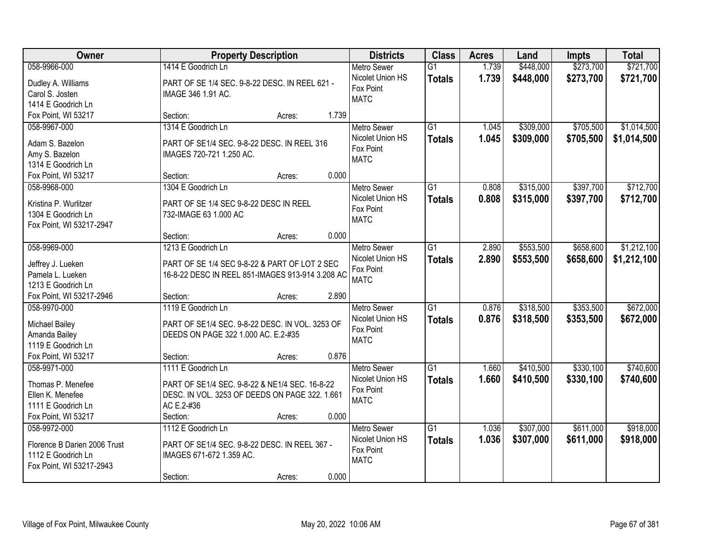| Owner                                | <b>Property Description</b>                      |       | <b>Districts</b>   | <b>Class</b>    | <b>Acres</b> | Land      | Impts     | <b>Total</b> |
|--------------------------------------|--------------------------------------------------|-------|--------------------|-----------------|--------------|-----------|-----------|--------------|
| 058-9966-000                         | 1414 E Goodrich Ln                               |       | <b>Metro Sewer</b> | $\overline{G1}$ | 1.739        | \$448,000 | \$273,700 | \$721,700    |
| Dudley A. Williams                   | PART OF SE 1/4 SEC. 9-8-22 DESC. IN REEL 621 -   |       | Nicolet Union HS   | <b>Totals</b>   | 1.739        | \$448,000 | \$273,700 | \$721,700    |
| Carol S. Josten                      | IMAGE 346 1.91 AC.                               |       | Fox Point          |                 |              |           |           |              |
| 1414 E Goodrich Ln                   |                                                  |       | <b>MATC</b>        |                 |              |           |           |              |
| Fox Point, WI 53217                  | Section:<br>Acres:                               | 1.739 |                    |                 |              |           |           |              |
| 058-9967-000                         | 1314 E Goodrich Ln                               |       | <b>Metro Sewer</b> | $\overline{G1}$ | 1.045        | \$309,000 | \$705,500 | \$1,014,500  |
|                                      |                                                  |       | Nicolet Union HS   | <b>Totals</b>   | 1.045        | \$309,000 | \$705,500 | \$1,014,500  |
| Adam S. Bazelon                      | PART OF SE1/4 SEC, 9-8-22 DESC, IN REEL 316      |       | Fox Point          |                 |              |           |           |              |
| Amy S. Bazelon<br>1314 E Goodrich Ln | IMAGES 720-721 1.250 AC.                         |       | <b>MATC</b>        |                 |              |           |           |              |
| Fox Point, WI 53217                  | Section:                                         | 0.000 |                    |                 |              |           |           |              |
| 058-9968-000                         | Acres:<br>1304 E Goodrich Ln                     |       | Metro Sewer        | G1              | 0.808        | \$315,000 | \$397,700 | \$712,700    |
|                                      |                                                  |       | Nicolet Union HS   |                 |              |           |           |              |
| Kristina P. Wurlitzer                | PART OF SE 1/4 SEC 9-8-22 DESC IN REEL           |       | Fox Point          | <b>Totals</b>   | 0.808        | \$315,000 | \$397,700 | \$712,700    |
| 1304 E Goodrich Ln                   | 732-IMAGE 63 1.000 AC                            |       | <b>MATC</b>        |                 |              |           |           |              |
| Fox Point, WI 53217-2947             |                                                  |       |                    |                 |              |           |           |              |
|                                      | Section:<br>Acres:                               | 0.000 |                    |                 |              |           |           |              |
| 058-9969-000                         | 1213 E Goodrich Ln                               |       | <b>Metro Sewer</b> | G1              | 2.890        | \$553,500 | \$658,600 | \$1,212,100  |
| Jeffrey J. Lueken                    | PART OF SE 1/4 SEC 9-8-22 & PART OF LOT 2 SEC    |       | Nicolet Union HS   | <b>Totals</b>   | 2.890        | \$553,500 | \$658,600 | \$1,212,100  |
| Pamela L. Lueken                     | 16-8-22 DESC IN REEL 851-IMAGES 913-914 3.208 AC |       | Fox Point          |                 |              |           |           |              |
| 1213 E Goodrich Ln                   |                                                  |       | <b>MATC</b>        |                 |              |           |           |              |
| Fox Point, WI 53217-2946             | Section:<br>Acres:                               | 2.890 |                    |                 |              |           |           |              |
| 058-9970-000                         | 1119 E Goodrich Ln                               |       | <b>Metro Sewer</b> | $\overline{G1}$ | 0.876        | \$318,500 | \$353,500 | \$672,000    |
|                                      |                                                  |       | Nicolet Union HS   | <b>Totals</b>   | 0.876        | \$318,500 | \$353,500 | \$672,000    |
| <b>Michael Bailey</b>                | PART OF SE1/4 SEC. 9-8-22 DESC. IN VOL. 3253 OF  |       | Fox Point          |                 |              |           |           |              |
| Amanda Bailey                        | DEEDS ON PAGE 322 1.000 AC. E.2-#35              |       | <b>MATC</b>        |                 |              |           |           |              |
| 1119 E Goodrich Ln                   |                                                  |       |                    |                 |              |           |           |              |
| Fox Point, WI 53217                  | Section:<br>Acres:                               | 0.876 |                    |                 |              |           |           |              |
| 058-9971-000                         | 1111 E Goodrich Ln                               |       | Metro Sewer        | G1              | 1.660        | \$410,500 | \$330,100 | \$740,600    |
| Thomas P. Menefee                    | PART OF SE1/4 SEC. 9-8-22 & NE1/4 SEC. 16-8-22   |       | Nicolet Union HS   | <b>Totals</b>   | 1.660        | \$410,500 | \$330,100 | \$740,600    |
| Ellen K. Menefee                     | DESC. IN VOL. 3253 OF DEEDS ON PAGE 322. 1.661   |       | Fox Point          |                 |              |           |           |              |
| 1111 E Goodrich Ln                   | AC E.2-#36                                       |       | <b>MATC</b>        |                 |              |           |           |              |
| Fox Point, WI 53217                  | Section:<br>Acres:                               | 0.000 |                    |                 |              |           |           |              |
| 058-9972-000                         | 1112 E Goodrich Ln                               |       | <b>Metro Sewer</b> | $\overline{G1}$ | 1.036        | \$307,000 | \$611,000 | \$918,000    |
|                                      |                                                  |       | Nicolet Union HS   | <b>Totals</b>   | 1.036        | \$307,000 | \$611,000 | \$918,000    |
| Florence B Darien 2006 Trust         | PART OF SE1/4 SEC. 9-8-22 DESC. IN REEL 367 -    |       | Fox Point          |                 |              |           |           |              |
| 1112 E Goodrich Ln                   | IMAGES 671-672 1.359 AC.                         |       | <b>MATC</b>        |                 |              |           |           |              |
| Fox Point, WI 53217-2943             |                                                  |       |                    |                 |              |           |           |              |
|                                      | Section:<br>Acres:                               | 0.000 |                    |                 |              |           |           |              |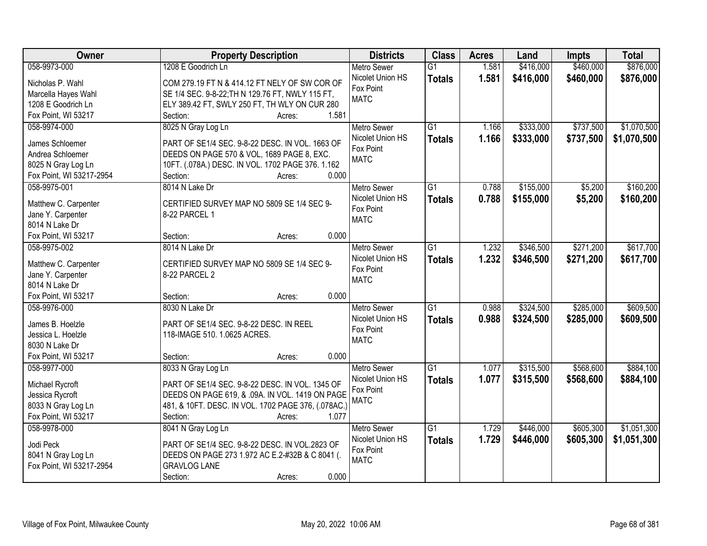| \$460,000<br>\$876,000<br>058-9973-000<br>1208 E Goodrich Ln<br>1.581<br>\$416,000<br><b>Metro Sewer</b><br>$\overline{G1}$<br>Nicolet Union HS<br>1.581<br>\$416,000<br>\$460,000<br>\$876,000<br><b>Totals</b><br>Nicholas P. Wahl<br>COM 279.19 FT N & 414.12 FT NELY OF SW COR OF<br>Fox Point<br>SE 1/4 SEC. 9-8-22; TH N 129.76 FT, NWLY 115 FT,<br>Marcella Hayes Wahl<br><b>MATC</b><br>1208 E Goodrich Ln<br>ELY 389.42 FT, SWLY 250 FT, TH WLY ON CUR 280<br>1.581<br>Fox Point, WI 53217<br>Section:<br>Acres:<br>\$1,070,500<br>8025 N Gray Log Ln<br>$\overline{G1}$<br>\$333,000<br>\$737,500<br>058-9974-000<br>1.166<br><b>Metro Sewer</b><br>1.166<br>Nicolet Union HS<br>\$333,000<br>\$737,500<br>\$1,070,500<br><b>Totals</b><br>James Schloemer<br>PART OF SE1/4 SEC. 9-8-22 DESC. IN VOL. 1663 OF<br>Fox Point<br>Andrea Schloemer<br>DEEDS ON PAGE 570 & VOL, 1689 PAGE 8, EXC.<br><b>MATC</b><br>8025 N Gray Log Ln<br>10FT. (.078A.) DESC. IN VOL. 1702 PAGE 376. 1.162<br>0.000<br>Fox Point, WI 53217-2954<br>Section:<br>Acres:<br>058-9975-001<br>8014 N Lake Dr<br>$\overline{G1}$<br>0.788<br>\$155,000<br>\$5,200<br>\$160,200<br><b>Metro Sewer</b><br>Nicolet Union HS<br>0.788<br>\$155,000<br>\$5,200<br>\$160,200<br><b>Totals</b><br>Matthew C. Carpenter<br>CERTIFIED SURVEY MAP NO 5809 SE 1/4 SEC 9-<br>Fox Point<br>Jane Y. Carpenter<br>8-22 PARCEL 1<br><b>MATC</b><br>8014 N Lake Dr<br>0.000<br>Fox Point, WI 53217<br>Section:<br>Acres:<br>\$346,500<br>\$271,200<br>\$617,700<br>058-9975-002<br>8014 N Lake Dr<br>$\overline{G1}$<br>1.232<br><b>Metro Sewer</b><br>Nicolet Union HS<br>1.232<br>\$346,500<br>\$271,200<br>\$617,700<br><b>Totals</b><br>Matthew C. Carpenter<br>CERTIFIED SURVEY MAP NO 5809 SE 1/4 SEC 9-<br>Fox Point<br>Jane Y. Carpenter<br>8-22 PARCEL 2<br><b>MATC</b><br>8014 N Lake Dr<br>0.000<br>Fox Point, WI 53217<br>Section:<br>Acres:<br>\$609,500<br>$\overline{G1}$<br>\$324,500<br>\$285,000<br>058-9976-000<br>8030 N Lake Dr<br>0.988<br><b>Metro Sewer</b><br>0.988<br>\$324,500<br>Nicolet Union HS<br><b>Totals</b><br>\$285,000<br>\$609,500<br>James B. Hoelzle<br>PART OF SE1/4 SEC. 9-8-22 DESC. IN REEL<br>Fox Point<br>118-IMAGE 510. 1.0625 ACRES.<br>Jessica L. Hoelzle<br><b>MATC</b><br>8030 N Lake Dr<br>Fox Point, WI 53217<br>Section:<br>0.000<br>Acres:<br>$\overline{G1}$<br>\$568,600<br>\$884,100<br>058-9977-000<br>1.077<br>\$315,500<br>8033 N Gray Log Ln<br><b>Metro Sewer</b><br>1.077<br>Nicolet Union HS<br>\$315,500<br>\$568,600<br>\$884,100<br><b>Totals</b><br>Michael Rycroft<br>PART OF SE1/4 SEC. 9-8-22 DESC. IN VOL. 1345 OF<br>Fox Point<br>DEEDS ON PAGE 619, & .09A. IN VOL. 1419 ON PAGE<br>Jessica Rycroft<br><b>MATC</b><br>8033 N Gray Log Ln<br>481, & 10FT. DESC. IN VOL. 1702 PAGE 376, (.078AC.)<br>Fox Point, WI 53217<br>1.077<br>Section:<br>Acres:<br>\$446,000<br>\$605,300<br>\$1,051,300<br>058-9978-000<br>8041 N Gray Log Ln<br>$\overline{G1}$<br>1.729<br><b>Metro Sewer</b><br>1.729<br>Nicolet Union HS<br>\$605,300<br>\$446,000<br>\$1,051,300<br><b>Totals</b><br>Jodi Peck<br>PART OF SE1/4 SEC. 9-8-22 DESC. IN VOL.2823 OF<br>Fox Point<br>8041 N Gray Log Ln<br>DEEDS ON PAGE 273 1.972 AC E.2-#32B & C 8041 (.<br><b>MATC</b><br>Fox Point, WI 53217-2954<br><b>GRAVLOG LANE</b> | Owner | <b>Property Description</b> | <b>Districts</b> | <b>Class</b> | <b>Acres</b> | Land | <b>Impts</b> | <b>Total</b> |
|------------------------------------------------------------------------------------------------------------------------------------------------------------------------------------------------------------------------------------------------------------------------------------------------------------------------------------------------------------------------------------------------------------------------------------------------------------------------------------------------------------------------------------------------------------------------------------------------------------------------------------------------------------------------------------------------------------------------------------------------------------------------------------------------------------------------------------------------------------------------------------------------------------------------------------------------------------------------------------------------------------------------------------------------------------------------------------------------------------------------------------------------------------------------------------------------------------------------------------------------------------------------------------------------------------------------------------------------------------------------------------------------------------------------------------------------------------------------------------------------------------------------------------------------------------------------------------------------------------------------------------------------------------------------------------------------------------------------------------------------------------------------------------------------------------------------------------------------------------------------------------------------------------------------------------------------------------------------------------------------------------------------------------------------------------------------------------------------------------------------------------------------------------------------------------------------------------------------------------------------------------------------------------------------------------------------------------------------------------------------------------------------------------------------------------------------------------------------------------------------------------------------------------------------------------------------------------------------------------------------------------------------------------------------------------------------------------------------------------------------------------------------------------------------------------------------------------------------------------------------------------------------------------------------------------------------------------------------------------------------------------------------------------------------------------------------------------------------------------------------------------------------------------------------------------------------------------------------------------------------------------------------------------------------------------------------------------------------|-------|-----------------------------|------------------|--------------|--------------|------|--------------|--------------|
|                                                                                                                                                                                                                                                                                                                                                                                                                                                                                                                                                                                                                                                                                                                                                                                                                                                                                                                                                                                                                                                                                                                                                                                                                                                                                                                                                                                                                                                                                                                                                                                                                                                                                                                                                                                                                                                                                                                                                                                                                                                                                                                                                                                                                                                                                                                                                                                                                                                                                                                                                                                                                                                                                                                                                                                                                                                                                                                                                                                                                                                                                                                                                                                                                                                                                                                                                |       |                             |                  |              |              |      |              |              |
|                                                                                                                                                                                                                                                                                                                                                                                                                                                                                                                                                                                                                                                                                                                                                                                                                                                                                                                                                                                                                                                                                                                                                                                                                                                                                                                                                                                                                                                                                                                                                                                                                                                                                                                                                                                                                                                                                                                                                                                                                                                                                                                                                                                                                                                                                                                                                                                                                                                                                                                                                                                                                                                                                                                                                                                                                                                                                                                                                                                                                                                                                                                                                                                                                                                                                                                                                |       |                             |                  |              |              |      |              |              |
|                                                                                                                                                                                                                                                                                                                                                                                                                                                                                                                                                                                                                                                                                                                                                                                                                                                                                                                                                                                                                                                                                                                                                                                                                                                                                                                                                                                                                                                                                                                                                                                                                                                                                                                                                                                                                                                                                                                                                                                                                                                                                                                                                                                                                                                                                                                                                                                                                                                                                                                                                                                                                                                                                                                                                                                                                                                                                                                                                                                                                                                                                                                                                                                                                                                                                                                                                |       |                             |                  |              |              |      |              |              |
|                                                                                                                                                                                                                                                                                                                                                                                                                                                                                                                                                                                                                                                                                                                                                                                                                                                                                                                                                                                                                                                                                                                                                                                                                                                                                                                                                                                                                                                                                                                                                                                                                                                                                                                                                                                                                                                                                                                                                                                                                                                                                                                                                                                                                                                                                                                                                                                                                                                                                                                                                                                                                                                                                                                                                                                                                                                                                                                                                                                                                                                                                                                                                                                                                                                                                                                                                |       |                             |                  |              |              |      |              |              |
|                                                                                                                                                                                                                                                                                                                                                                                                                                                                                                                                                                                                                                                                                                                                                                                                                                                                                                                                                                                                                                                                                                                                                                                                                                                                                                                                                                                                                                                                                                                                                                                                                                                                                                                                                                                                                                                                                                                                                                                                                                                                                                                                                                                                                                                                                                                                                                                                                                                                                                                                                                                                                                                                                                                                                                                                                                                                                                                                                                                                                                                                                                                                                                                                                                                                                                                                                |       |                             |                  |              |              |      |              |              |
|                                                                                                                                                                                                                                                                                                                                                                                                                                                                                                                                                                                                                                                                                                                                                                                                                                                                                                                                                                                                                                                                                                                                                                                                                                                                                                                                                                                                                                                                                                                                                                                                                                                                                                                                                                                                                                                                                                                                                                                                                                                                                                                                                                                                                                                                                                                                                                                                                                                                                                                                                                                                                                                                                                                                                                                                                                                                                                                                                                                                                                                                                                                                                                                                                                                                                                                                                |       |                             |                  |              |              |      |              |              |
|                                                                                                                                                                                                                                                                                                                                                                                                                                                                                                                                                                                                                                                                                                                                                                                                                                                                                                                                                                                                                                                                                                                                                                                                                                                                                                                                                                                                                                                                                                                                                                                                                                                                                                                                                                                                                                                                                                                                                                                                                                                                                                                                                                                                                                                                                                                                                                                                                                                                                                                                                                                                                                                                                                                                                                                                                                                                                                                                                                                                                                                                                                                                                                                                                                                                                                                                                |       |                             |                  |              |              |      |              |              |
|                                                                                                                                                                                                                                                                                                                                                                                                                                                                                                                                                                                                                                                                                                                                                                                                                                                                                                                                                                                                                                                                                                                                                                                                                                                                                                                                                                                                                                                                                                                                                                                                                                                                                                                                                                                                                                                                                                                                                                                                                                                                                                                                                                                                                                                                                                                                                                                                                                                                                                                                                                                                                                                                                                                                                                                                                                                                                                                                                                                                                                                                                                                                                                                                                                                                                                                                                |       |                             |                  |              |              |      |              |              |
|                                                                                                                                                                                                                                                                                                                                                                                                                                                                                                                                                                                                                                                                                                                                                                                                                                                                                                                                                                                                                                                                                                                                                                                                                                                                                                                                                                                                                                                                                                                                                                                                                                                                                                                                                                                                                                                                                                                                                                                                                                                                                                                                                                                                                                                                                                                                                                                                                                                                                                                                                                                                                                                                                                                                                                                                                                                                                                                                                                                                                                                                                                                                                                                                                                                                                                                                                |       |                             |                  |              |              |      |              |              |
|                                                                                                                                                                                                                                                                                                                                                                                                                                                                                                                                                                                                                                                                                                                                                                                                                                                                                                                                                                                                                                                                                                                                                                                                                                                                                                                                                                                                                                                                                                                                                                                                                                                                                                                                                                                                                                                                                                                                                                                                                                                                                                                                                                                                                                                                                                                                                                                                                                                                                                                                                                                                                                                                                                                                                                                                                                                                                                                                                                                                                                                                                                                                                                                                                                                                                                                                                |       |                             |                  |              |              |      |              |              |
|                                                                                                                                                                                                                                                                                                                                                                                                                                                                                                                                                                                                                                                                                                                                                                                                                                                                                                                                                                                                                                                                                                                                                                                                                                                                                                                                                                                                                                                                                                                                                                                                                                                                                                                                                                                                                                                                                                                                                                                                                                                                                                                                                                                                                                                                                                                                                                                                                                                                                                                                                                                                                                                                                                                                                                                                                                                                                                                                                                                                                                                                                                                                                                                                                                                                                                                                                |       |                             |                  |              |              |      |              |              |
|                                                                                                                                                                                                                                                                                                                                                                                                                                                                                                                                                                                                                                                                                                                                                                                                                                                                                                                                                                                                                                                                                                                                                                                                                                                                                                                                                                                                                                                                                                                                                                                                                                                                                                                                                                                                                                                                                                                                                                                                                                                                                                                                                                                                                                                                                                                                                                                                                                                                                                                                                                                                                                                                                                                                                                                                                                                                                                                                                                                                                                                                                                                                                                                                                                                                                                                                                |       |                             |                  |              |              |      |              |              |
|                                                                                                                                                                                                                                                                                                                                                                                                                                                                                                                                                                                                                                                                                                                                                                                                                                                                                                                                                                                                                                                                                                                                                                                                                                                                                                                                                                                                                                                                                                                                                                                                                                                                                                                                                                                                                                                                                                                                                                                                                                                                                                                                                                                                                                                                                                                                                                                                                                                                                                                                                                                                                                                                                                                                                                                                                                                                                                                                                                                                                                                                                                                                                                                                                                                                                                                                                |       |                             |                  |              |              |      |              |              |
|                                                                                                                                                                                                                                                                                                                                                                                                                                                                                                                                                                                                                                                                                                                                                                                                                                                                                                                                                                                                                                                                                                                                                                                                                                                                                                                                                                                                                                                                                                                                                                                                                                                                                                                                                                                                                                                                                                                                                                                                                                                                                                                                                                                                                                                                                                                                                                                                                                                                                                                                                                                                                                                                                                                                                                                                                                                                                                                                                                                                                                                                                                                                                                                                                                                                                                                                                |       |                             |                  |              |              |      |              |              |
|                                                                                                                                                                                                                                                                                                                                                                                                                                                                                                                                                                                                                                                                                                                                                                                                                                                                                                                                                                                                                                                                                                                                                                                                                                                                                                                                                                                                                                                                                                                                                                                                                                                                                                                                                                                                                                                                                                                                                                                                                                                                                                                                                                                                                                                                                                                                                                                                                                                                                                                                                                                                                                                                                                                                                                                                                                                                                                                                                                                                                                                                                                                                                                                                                                                                                                                                                |       |                             |                  |              |              |      |              |              |
|                                                                                                                                                                                                                                                                                                                                                                                                                                                                                                                                                                                                                                                                                                                                                                                                                                                                                                                                                                                                                                                                                                                                                                                                                                                                                                                                                                                                                                                                                                                                                                                                                                                                                                                                                                                                                                                                                                                                                                                                                                                                                                                                                                                                                                                                                                                                                                                                                                                                                                                                                                                                                                                                                                                                                                                                                                                                                                                                                                                                                                                                                                                                                                                                                                                                                                                                                |       |                             |                  |              |              |      |              |              |
|                                                                                                                                                                                                                                                                                                                                                                                                                                                                                                                                                                                                                                                                                                                                                                                                                                                                                                                                                                                                                                                                                                                                                                                                                                                                                                                                                                                                                                                                                                                                                                                                                                                                                                                                                                                                                                                                                                                                                                                                                                                                                                                                                                                                                                                                                                                                                                                                                                                                                                                                                                                                                                                                                                                                                                                                                                                                                                                                                                                                                                                                                                                                                                                                                                                                                                                                                |       |                             |                  |              |              |      |              |              |
|                                                                                                                                                                                                                                                                                                                                                                                                                                                                                                                                                                                                                                                                                                                                                                                                                                                                                                                                                                                                                                                                                                                                                                                                                                                                                                                                                                                                                                                                                                                                                                                                                                                                                                                                                                                                                                                                                                                                                                                                                                                                                                                                                                                                                                                                                                                                                                                                                                                                                                                                                                                                                                                                                                                                                                                                                                                                                                                                                                                                                                                                                                                                                                                                                                                                                                                                                |       |                             |                  |              |              |      |              |              |
|                                                                                                                                                                                                                                                                                                                                                                                                                                                                                                                                                                                                                                                                                                                                                                                                                                                                                                                                                                                                                                                                                                                                                                                                                                                                                                                                                                                                                                                                                                                                                                                                                                                                                                                                                                                                                                                                                                                                                                                                                                                                                                                                                                                                                                                                                                                                                                                                                                                                                                                                                                                                                                                                                                                                                                                                                                                                                                                                                                                                                                                                                                                                                                                                                                                                                                                                                |       |                             |                  |              |              |      |              |              |
|                                                                                                                                                                                                                                                                                                                                                                                                                                                                                                                                                                                                                                                                                                                                                                                                                                                                                                                                                                                                                                                                                                                                                                                                                                                                                                                                                                                                                                                                                                                                                                                                                                                                                                                                                                                                                                                                                                                                                                                                                                                                                                                                                                                                                                                                                                                                                                                                                                                                                                                                                                                                                                                                                                                                                                                                                                                                                                                                                                                                                                                                                                                                                                                                                                                                                                                                                |       |                             |                  |              |              |      |              |              |
|                                                                                                                                                                                                                                                                                                                                                                                                                                                                                                                                                                                                                                                                                                                                                                                                                                                                                                                                                                                                                                                                                                                                                                                                                                                                                                                                                                                                                                                                                                                                                                                                                                                                                                                                                                                                                                                                                                                                                                                                                                                                                                                                                                                                                                                                                                                                                                                                                                                                                                                                                                                                                                                                                                                                                                                                                                                                                                                                                                                                                                                                                                                                                                                                                                                                                                                                                |       |                             |                  |              |              |      |              |              |
|                                                                                                                                                                                                                                                                                                                                                                                                                                                                                                                                                                                                                                                                                                                                                                                                                                                                                                                                                                                                                                                                                                                                                                                                                                                                                                                                                                                                                                                                                                                                                                                                                                                                                                                                                                                                                                                                                                                                                                                                                                                                                                                                                                                                                                                                                                                                                                                                                                                                                                                                                                                                                                                                                                                                                                                                                                                                                                                                                                                                                                                                                                                                                                                                                                                                                                                                                |       |                             |                  |              |              |      |              |              |
|                                                                                                                                                                                                                                                                                                                                                                                                                                                                                                                                                                                                                                                                                                                                                                                                                                                                                                                                                                                                                                                                                                                                                                                                                                                                                                                                                                                                                                                                                                                                                                                                                                                                                                                                                                                                                                                                                                                                                                                                                                                                                                                                                                                                                                                                                                                                                                                                                                                                                                                                                                                                                                                                                                                                                                                                                                                                                                                                                                                                                                                                                                                                                                                                                                                                                                                                                |       |                             |                  |              |              |      |              |              |
|                                                                                                                                                                                                                                                                                                                                                                                                                                                                                                                                                                                                                                                                                                                                                                                                                                                                                                                                                                                                                                                                                                                                                                                                                                                                                                                                                                                                                                                                                                                                                                                                                                                                                                                                                                                                                                                                                                                                                                                                                                                                                                                                                                                                                                                                                                                                                                                                                                                                                                                                                                                                                                                                                                                                                                                                                                                                                                                                                                                                                                                                                                                                                                                                                                                                                                                                                |       |                             |                  |              |              |      |              |              |
|                                                                                                                                                                                                                                                                                                                                                                                                                                                                                                                                                                                                                                                                                                                                                                                                                                                                                                                                                                                                                                                                                                                                                                                                                                                                                                                                                                                                                                                                                                                                                                                                                                                                                                                                                                                                                                                                                                                                                                                                                                                                                                                                                                                                                                                                                                                                                                                                                                                                                                                                                                                                                                                                                                                                                                                                                                                                                                                                                                                                                                                                                                                                                                                                                                                                                                                                                |       |                             |                  |              |              |      |              |              |
|                                                                                                                                                                                                                                                                                                                                                                                                                                                                                                                                                                                                                                                                                                                                                                                                                                                                                                                                                                                                                                                                                                                                                                                                                                                                                                                                                                                                                                                                                                                                                                                                                                                                                                                                                                                                                                                                                                                                                                                                                                                                                                                                                                                                                                                                                                                                                                                                                                                                                                                                                                                                                                                                                                                                                                                                                                                                                                                                                                                                                                                                                                                                                                                                                                                                                                                                                |       |                             |                  |              |              |      |              |              |
|                                                                                                                                                                                                                                                                                                                                                                                                                                                                                                                                                                                                                                                                                                                                                                                                                                                                                                                                                                                                                                                                                                                                                                                                                                                                                                                                                                                                                                                                                                                                                                                                                                                                                                                                                                                                                                                                                                                                                                                                                                                                                                                                                                                                                                                                                                                                                                                                                                                                                                                                                                                                                                                                                                                                                                                                                                                                                                                                                                                                                                                                                                                                                                                                                                                                                                                                                |       |                             |                  |              |              |      |              |              |
|                                                                                                                                                                                                                                                                                                                                                                                                                                                                                                                                                                                                                                                                                                                                                                                                                                                                                                                                                                                                                                                                                                                                                                                                                                                                                                                                                                                                                                                                                                                                                                                                                                                                                                                                                                                                                                                                                                                                                                                                                                                                                                                                                                                                                                                                                                                                                                                                                                                                                                                                                                                                                                                                                                                                                                                                                                                                                                                                                                                                                                                                                                                                                                                                                                                                                                                                                |       |                             |                  |              |              |      |              |              |
|                                                                                                                                                                                                                                                                                                                                                                                                                                                                                                                                                                                                                                                                                                                                                                                                                                                                                                                                                                                                                                                                                                                                                                                                                                                                                                                                                                                                                                                                                                                                                                                                                                                                                                                                                                                                                                                                                                                                                                                                                                                                                                                                                                                                                                                                                                                                                                                                                                                                                                                                                                                                                                                                                                                                                                                                                                                                                                                                                                                                                                                                                                                                                                                                                                                                                                                                                |       |                             |                  |              |              |      |              |              |
|                                                                                                                                                                                                                                                                                                                                                                                                                                                                                                                                                                                                                                                                                                                                                                                                                                                                                                                                                                                                                                                                                                                                                                                                                                                                                                                                                                                                                                                                                                                                                                                                                                                                                                                                                                                                                                                                                                                                                                                                                                                                                                                                                                                                                                                                                                                                                                                                                                                                                                                                                                                                                                                                                                                                                                                                                                                                                                                                                                                                                                                                                                                                                                                                                                                                                                                                                |       |                             |                  |              |              |      |              |              |
|                                                                                                                                                                                                                                                                                                                                                                                                                                                                                                                                                                                                                                                                                                                                                                                                                                                                                                                                                                                                                                                                                                                                                                                                                                                                                                                                                                                                                                                                                                                                                                                                                                                                                                                                                                                                                                                                                                                                                                                                                                                                                                                                                                                                                                                                                                                                                                                                                                                                                                                                                                                                                                                                                                                                                                                                                                                                                                                                                                                                                                                                                                                                                                                                                                                                                                                                                |       |                             |                  |              |              |      |              |              |
|                                                                                                                                                                                                                                                                                                                                                                                                                                                                                                                                                                                                                                                                                                                                                                                                                                                                                                                                                                                                                                                                                                                                                                                                                                                                                                                                                                                                                                                                                                                                                                                                                                                                                                                                                                                                                                                                                                                                                                                                                                                                                                                                                                                                                                                                                                                                                                                                                                                                                                                                                                                                                                                                                                                                                                                                                                                                                                                                                                                                                                                                                                                                                                                                                                                                                                                                                |       |                             |                  |              |              |      |              |              |
|                                                                                                                                                                                                                                                                                                                                                                                                                                                                                                                                                                                                                                                                                                                                                                                                                                                                                                                                                                                                                                                                                                                                                                                                                                                                                                                                                                                                                                                                                                                                                                                                                                                                                                                                                                                                                                                                                                                                                                                                                                                                                                                                                                                                                                                                                                                                                                                                                                                                                                                                                                                                                                                                                                                                                                                                                                                                                                                                                                                                                                                                                                                                                                                                                                                                                                                                                |       |                             |                  |              |              |      |              |              |
|                                                                                                                                                                                                                                                                                                                                                                                                                                                                                                                                                                                                                                                                                                                                                                                                                                                                                                                                                                                                                                                                                                                                                                                                                                                                                                                                                                                                                                                                                                                                                                                                                                                                                                                                                                                                                                                                                                                                                                                                                                                                                                                                                                                                                                                                                                                                                                                                                                                                                                                                                                                                                                                                                                                                                                                                                                                                                                                                                                                                                                                                                                                                                                                                                                                                                                                                                |       |                             |                  |              |              |      |              |              |
|                                                                                                                                                                                                                                                                                                                                                                                                                                                                                                                                                                                                                                                                                                                                                                                                                                                                                                                                                                                                                                                                                                                                                                                                                                                                                                                                                                                                                                                                                                                                                                                                                                                                                                                                                                                                                                                                                                                                                                                                                                                                                                                                                                                                                                                                                                                                                                                                                                                                                                                                                                                                                                                                                                                                                                                                                                                                                                                                                                                                                                                                                                                                                                                                                                                                                                                                                |       |                             |                  |              |              |      |              |              |
|                                                                                                                                                                                                                                                                                                                                                                                                                                                                                                                                                                                                                                                                                                                                                                                                                                                                                                                                                                                                                                                                                                                                                                                                                                                                                                                                                                                                                                                                                                                                                                                                                                                                                                                                                                                                                                                                                                                                                                                                                                                                                                                                                                                                                                                                                                                                                                                                                                                                                                                                                                                                                                                                                                                                                                                                                                                                                                                                                                                                                                                                                                                                                                                                                                                                                                                                                |       |                             |                  |              |              |      |              |              |
|                                                                                                                                                                                                                                                                                                                                                                                                                                                                                                                                                                                                                                                                                                                                                                                                                                                                                                                                                                                                                                                                                                                                                                                                                                                                                                                                                                                                                                                                                                                                                                                                                                                                                                                                                                                                                                                                                                                                                                                                                                                                                                                                                                                                                                                                                                                                                                                                                                                                                                                                                                                                                                                                                                                                                                                                                                                                                                                                                                                                                                                                                                                                                                                                                                                                                                                                                |       | 0.000<br>Section:<br>Acres: |                  |              |              |      |              |              |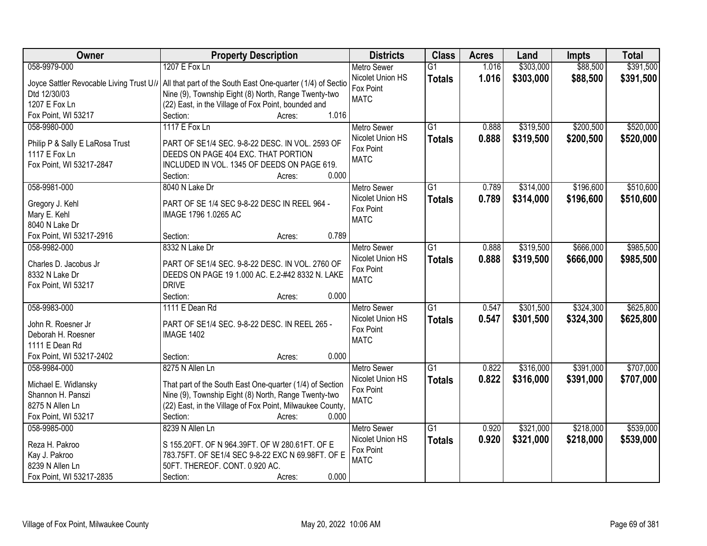| Owner                                    | <b>Property Description</b>                                 | <b>Districts</b>   | <b>Class</b>    | <b>Acres</b> | Land      | <b>Impts</b> | <b>Total</b> |
|------------------------------------------|-------------------------------------------------------------|--------------------|-----------------|--------------|-----------|--------------|--------------|
| 058-9979-000                             | 1207 E Fox Ln                                               | <b>Metro Sewer</b> | $\overline{G1}$ | 1.016        | \$303,000 | \$88,500     | \$391,500    |
| Joyce Sattler Revocable Living Trust U// | All that part of the South East One-quarter (1/4) of Sectio | Nicolet Union HS   | <b>Totals</b>   | 1.016        | \$303,000 | \$88,500     | \$391,500    |
| Dtd 12/30/03                             | Nine (9), Township Eight (8) North, Range Twenty-two        | Fox Point          |                 |              |           |              |              |
| 1207 E Fox Ln                            | (22) East, in the Village of Fox Point, bounded and         | <b>MATC</b>        |                 |              |           |              |              |
| Fox Point, WI 53217                      | 1.016<br>Section:<br>Acres:                                 |                    |                 |              |           |              |              |
| 058-9980-000                             | 1117 E Fox Ln                                               | Metro Sewer        | $\overline{G1}$ | 0.888        | \$319,500 | \$200,500    | \$520,000    |
|                                          |                                                             | Nicolet Union HS   | <b>Totals</b>   | 0.888        | \$319,500 | \$200,500    | \$520,000    |
| Philip P & Sally E LaRosa Trust          | PART OF SE1/4 SEC. 9-8-22 DESC. IN VOL. 2593 OF             | Fox Point          |                 |              |           |              |              |
| 1117 E Fox Ln                            | DEEDS ON PAGE 404 EXC. THAT PORTION                         | <b>MATC</b>        |                 |              |           |              |              |
| Fox Point, WI 53217-2847                 | INCLUDED IN VOL. 1345 OF DEEDS ON PAGE 619.                 |                    |                 |              |           |              |              |
|                                          | 0.000<br>Section:<br>Acres:                                 |                    |                 |              |           |              |              |
| 058-9981-000                             | 8040 N Lake Dr                                              | <b>Metro Sewer</b> | $\overline{G1}$ | 0.789        | \$314,000 | \$196,600    | \$510,600    |
| Gregory J. Kehl                          | PART OF SE 1/4 SEC 9-8-22 DESC IN REEL 964 -                | Nicolet Union HS   | <b>Totals</b>   | 0.789        | \$314,000 | \$196,600    | \$510,600    |
| Mary E. Kehl                             | IMAGE 1796 1.0265 AC                                        | Fox Point          |                 |              |           |              |              |
| 8040 N Lake Dr                           |                                                             | <b>MATC</b>        |                 |              |           |              |              |
| Fox Point, WI 53217-2916                 | 0.789<br>Section:<br>Acres:                                 |                    |                 |              |           |              |              |
| 058-9982-000                             | 8332 N Lake Dr                                              | <b>Metro Sewer</b> | $\overline{G1}$ | 0.888        | \$319,500 | \$666,000    | \$985,500    |
|                                          |                                                             | Nicolet Union HS   |                 | 0.888        | \$319,500 | \$666,000    | \$985,500    |
| Charles D. Jacobus Jr                    | PART OF SE1/4 SEC. 9-8-22 DESC. IN VOL. 2760 OF             | Fox Point          | <b>Totals</b>   |              |           |              |              |
| 8332 N Lake Dr                           | DEEDS ON PAGE 19 1.000 AC. E.2-#42 8332 N. LAKE             | <b>MATC</b>        |                 |              |           |              |              |
| Fox Point, WI 53217                      | <b>DRIVE</b>                                                |                    |                 |              |           |              |              |
|                                          | 0.000<br>Section:<br>Acres:                                 |                    |                 |              |           |              |              |
| 058-9983-000                             | 1111 E Dean Rd                                              | <b>Metro Sewer</b> | $\overline{G1}$ | 0.547        | \$301,500 | \$324,300    | \$625,800    |
| John R. Roesner Jr                       | PART OF SE1/4 SEC. 9-8-22 DESC. IN REEL 265 -               | Nicolet Union HS   | <b>Totals</b>   | 0.547        | \$301,500 | \$324,300    | \$625,800    |
| Deborah H. Roesner                       | <b>IMAGE 1402</b>                                           | Fox Point          |                 |              |           |              |              |
| 1111 E Dean Rd                           |                                                             | <b>MATC</b>        |                 |              |           |              |              |
| Fox Point, WI 53217-2402                 | 0.000<br>Section:<br>Acres:                                 |                    |                 |              |           |              |              |
| 058-9984-000                             | 8275 N Allen Ln                                             | Metro Sewer        | $\overline{G1}$ | 0.822        | \$316,000 | \$391,000    | \$707,000    |
|                                          |                                                             | Nicolet Union HS   |                 |              |           |              |              |
| Michael E. Widlansky                     | That part of the South East One-quarter (1/4) of Section    | Fox Point          | <b>Totals</b>   | 0.822        | \$316,000 | \$391,000    | \$707,000    |
| Shannon H. Panszi                        | Nine (9), Township Eight (8) North, Range Twenty-two        | <b>MATC</b>        |                 |              |           |              |              |
| 8275 N Allen Ln                          | (22) East, in the Village of Fox Point, Milwaukee County,   |                    |                 |              |           |              |              |
| Fox Point, WI 53217                      | 0.000<br>Section:<br>Acres:                                 |                    |                 |              |           |              |              |
| 058-9985-000                             | 8239 N Allen Ln                                             | <b>Metro Sewer</b> | $\overline{G1}$ | 0.920        | \$321,000 | \$218,000    | \$539,000    |
| Reza H. Pakroo                           | S 155.20FT. OF N 964.39FT. OF W 280.61FT. OF E              | Nicolet Union HS   | <b>Totals</b>   | 0.920        | \$321,000 | \$218,000    | \$539,000    |
|                                          | 783.75FT. OF SE1/4 SEC 9-8-22 EXC N 69.98FT. OF E           | Fox Point          |                 |              |           |              |              |
| Kay J. Pakroo<br>8239 N Allen Ln         | 50FT. THEREOF. CONT. 0.920 AC.                              | <b>MATC</b>        |                 |              |           |              |              |
| Fox Point, WI 53217-2835                 | 0.000<br>Section:                                           |                    |                 |              |           |              |              |
|                                          | Acres:                                                      |                    |                 |              |           |              |              |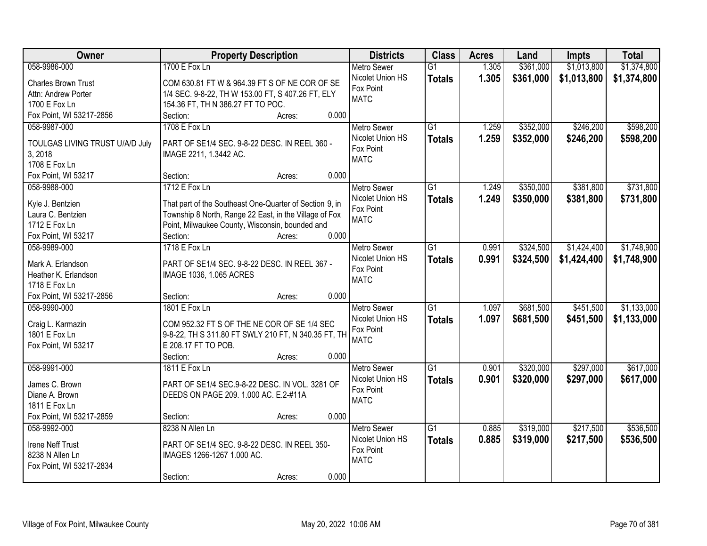| Owner                                 | <b>Property Description</b>                             | <b>Districts</b>              | <b>Class</b>    | <b>Acres</b> | Land      | <b>Impts</b> | <b>Total</b> |
|---------------------------------------|---------------------------------------------------------|-------------------------------|-----------------|--------------|-----------|--------------|--------------|
| 058-9986-000                          | 1700 E Fox Ln                                           | <b>Metro Sewer</b>            | $\overline{G1}$ | 1.305        | \$361,000 | \$1,013,800  | \$1,374,800  |
| <b>Charles Brown Trust</b>            | COM 630.81 FT W & 964.39 FT S OF NE COR OF SE           | Nicolet Union HS              | <b>Totals</b>   | 1.305        | \$361,000 | \$1,013,800  | \$1,374,800  |
| Attn: Andrew Porter                   | 1/4 SEC. 9-8-22, TH W 153.00 FT, S 407.26 FT, ELY       | Fox Point                     |                 |              |           |              |              |
| 1700 E Fox Ln                         | 154.36 FT, TH N 386.27 FT TO POC.                       | <b>MATC</b>                   |                 |              |           |              |              |
| Fox Point, WI 53217-2856              | 0.000<br>Section:<br>Acres:                             |                               |                 |              |           |              |              |
| 058-9987-000                          | 1708 E Fox Ln                                           | <b>Metro Sewer</b>            | $\overline{G1}$ | 1.259        | \$352,000 | \$246,200    | \$598,200    |
|                                       |                                                         | Nicolet Union HS              | <b>Totals</b>   | 1.259        | \$352,000 | \$246,200    | \$598,200    |
| TOULGAS LIVING TRUST U/A/D July       | PART OF SE1/4 SEC. 9-8-22 DESC. IN REEL 360 -           | Fox Point                     |                 |              |           |              |              |
| 3, 2018                               | IMAGE 2211, 1.3442 AC.                                  | <b>MATC</b>                   |                 |              |           |              |              |
| 1708 E Fox Ln                         |                                                         |                               |                 |              |           |              |              |
| Fox Point, WI 53217                   | 0.000<br>Section:<br>Acres:                             |                               |                 |              |           |              |              |
| 058-9988-000                          | 1712 E Fox Ln                                           | Metro Sewer                   | G1              | 1.249        | \$350,000 | \$381,800    | \$731,800    |
| Kyle J. Bentzien                      | That part of the Southeast One-Quarter of Section 9, in | Nicolet Union HS              | <b>Totals</b>   | 1.249        | \$350,000 | \$381,800    | \$731,800    |
| Laura C. Bentzien                     | Township 8 North, Range 22 East, in the Village of Fox  | Fox Point                     |                 |              |           |              |              |
| 1712 E Fox Ln                         | Point, Milwaukee County, Wisconsin, bounded and         | <b>MATC</b>                   |                 |              |           |              |              |
| Fox Point, WI 53217                   | 0.000<br>Section:<br>Acres:                             |                               |                 |              |           |              |              |
| 058-9989-000                          | 1718 E Fox Ln                                           | <b>Metro Sewer</b>            | G1              | 0.991        | \$324,500 | \$1,424,400  | \$1,748,900  |
|                                       |                                                         | Nicolet Union HS              | <b>Totals</b>   | 0.991        | \$324,500 | \$1,424,400  | \$1,748,900  |
| Mark A. Erlandson                     | PART OF SE1/4 SEC. 9-8-22 DESC. IN REEL 367 -           | Fox Point                     |                 |              |           |              |              |
| Heather K. Erlandson<br>1718 E Fox Ln | IMAGE 1036, 1.065 ACRES                                 | <b>MATC</b>                   |                 |              |           |              |              |
| Fox Point, WI 53217-2856              | 0.000<br>Section:                                       |                               |                 |              |           |              |              |
| 058-9990-000                          | Acres:<br>1801 E Fox Ln                                 |                               | $\overline{G1}$ | 1.097        | \$681,500 | \$451,500    | \$1,133,000  |
|                                       |                                                         | <b>Metro Sewer</b>            |                 |              |           |              |              |
| Craig L. Karmazin                     | COM 952.32 FT S OF THE NE COR OF SE 1/4 SEC             | Nicolet Union HS<br>Fox Point | <b>Totals</b>   | 1.097        | \$681,500 | \$451,500    | \$1,133,000  |
| 1801 E Fox Ln                         | 9-8-22, TH S 311.80 FT SWLY 210 FT, N 340.35 FT, TH     | <b>MATC</b>                   |                 |              |           |              |              |
| Fox Point, WI 53217                   | E 208.17 FT TO POB.                                     |                               |                 |              |           |              |              |
|                                       | Section:<br>0.000<br>Acres:                             |                               |                 |              |           |              |              |
| 058-9991-000                          | 1811 E Fox Ln                                           | Metro Sewer                   | $\overline{G1}$ | 0.901        | \$320,000 | \$297,000    | \$617,000    |
| James C. Brown                        | PART OF SE1/4 SEC.9-8-22 DESC. IN VOL. 3281 OF          | Nicolet Union HS              | <b>Totals</b>   | 0.901        | \$320,000 | \$297,000    | \$617,000    |
| Diane A. Brown                        | DEEDS ON PAGE 209. 1.000 AC. E.2-#11A                   | Fox Point                     |                 |              |           |              |              |
| 1811 E Fox Ln                         |                                                         | <b>MATC</b>                   |                 |              |           |              |              |
| Fox Point, WI 53217-2859              | 0.000<br>Section:<br>Acres:                             |                               |                 |              |           |              |              |
| 058-9992-000                          | 8238 N Allen Ln                                         | <b>Metro Sewer</b>            | $\overline{G1}$ | 0.885        | \$319,000 | \$217,500    | \$536,500    |
|                                       |                                                         | Nicolet Union HS              | <b>Totals</b>   | 0.885        | \$319,000 | \$217,500    | \$536,500    |
| Irene Neff Trust                      | PART OF SE1/4 SEC. 9-8-22 DESC. IN REEL 350-            | Fox Point                     |                 |              |           |              |              |
| 8238 N Allen Ln                       | IMAGES 1266-1267 1.000 AC.                              | <b>MATC</b>                   |                 |              |           |              |              |
| Fox Point, WI 53217-2834              |                                                         |                               |                 |              |           |              |              |
|                                       | 0.000<br>Section:<br>Acres:                             |                               |                 |              |           |              |              |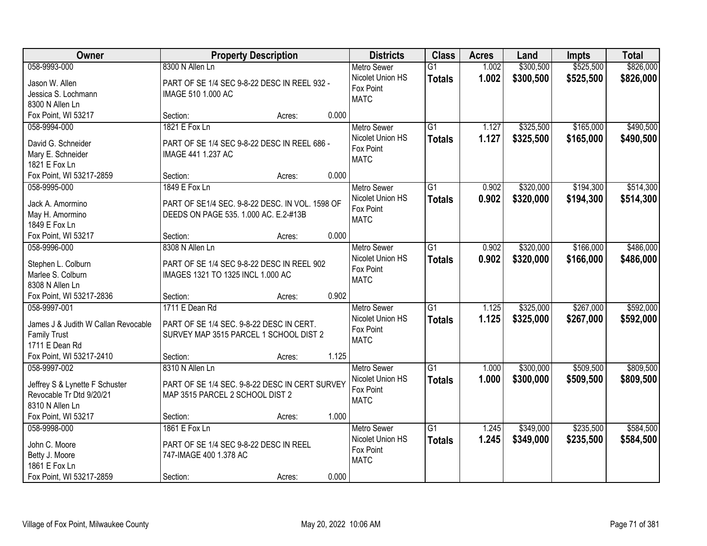| Owner                               |                                                 | <b>Property Description</b> |       | <b>Districts</b>                       | <b>Class</b>    | <b>Acres</b> | Land      | <b>Impts</b> | <b>Total</b> |
|-------------------------------------|-------------------------------------------------|-----------------------------|-------|----------------------------------------|-----------------|--------------|-----------|--------------|--------------|
| 058-9993-000                        | 8300 N Allen Ln                                 |                             |       | <b>Metro Sewer</b>                     | $\overline{G1}$ | 1.002        | \$300,500 | \$525,500    | \$826,000    |
| Jason W. Allen                      | PART OF SE 1/4 SEC 9-8-22 DESC IN REEL 932 -    |                             |       | Nicolet Union HS                       | <b>Totals</b>   | 1.002        | \$300,500 | \$525,500    | \$826,000    |
| Jessica S. Lochmann                 | IMAGE 510 1.000 AC                              |                             |       | Fox Point                              |                 |              |           |              |              |
| 8300 N Allen Ln                     |                                                 |                             |       | <b>MATC</b>                            |                 |              |           |              |              |
| Fox Point, WI 53217                 | Section:                                        | Acres:                      | 0.000 |                                        |                 |              |           |              |              |
| 058-9994-000                        | 1821 E Fox Ln                                   |                             |       | <b>Metro Sewer</b>                     | $\overline{G1}$ | 1.127        | \$325,500 | \$165,000    | \$490,500    |
| David G. Schneider                  | PART OF SE 1/4 SEC 9-8-22 DESC IN REEL 686 -    |                             |       | Nicolet Union HS                       | <b>Totals</b>   | 1.127        | \$325,500 | \$165,000    | \$490,500    |
| Mary E. Schneider                   | IMAGE 441 1.237 AC                              |                             |       | Fox Point                              |                 |              |           |              |              |
| 1821 E Fox Ln                       |                                                 |                             |       | <b>MATC</b>                            |                 |              |           |              |              |
| Fox Point, WI 53217-2859            | Section:                                        | Acres:                      | 0.000 |                                        |                 |              |           |              |              |
| 058-9995-000                        | 1849 E Fox Ln                                   |                             |       | <b>Metro Sewer</b>                     | $\overline{G1}$ | 0.902        | \$320,000 | \$194,300    | \$514,300    |
|                                     |                                                 |                             |       | Nicolet Union HS                       | <b>Totals</b>   | 0.902        | \$320,000 | \$194,300    | \$514,300    |
| Jack A. Amormino                    | PART OF SE1/4 SEC. 9-8-22 DESC. IN VOL. 1598 OF |                             |       | Fox Point                              |                 |              |           |              |              |
| May H. Amormino                     | DEEDS ON PAGE 535. 1.000 AC. E.2-#13B           |                             |       | <b>MATC</b>                            |                 |              |           |              |              |
| 1849 E Fox Ln                       |                                                 |                             |       |                                        |                 |              |           |              |              |
| Fox Point, WI 53217                 | Section:                                        | Acres:                      | 0.000 |                                        |                 |              |           |              |              |
| 058-9996-000                        | 8308 N Allen Ln                                 |                             |       | <b>Metro Sewer</b>                     | $\overline{G1}$ | 0.902        | \$320,000 | \$166,000    | \$486,000    |
| Stephen L. Colburn                  | PART OF SE 1/4 SEC 9-8-22 DESC IN REEL 902      |                             |       | Nicolet Union HS                       | <b>Totals</b>   | 0.902        | \$320,000 | \$166,000    | \$486,000    |
| Marlee S. Colburn                   | IMAGES 1321 TO 1325 INCL 1.000 AC               |                             |       | Fox Point<br><b>MATC</b>               |                 |              |           |              |              |
| 8308 N Allen Ln                     |                                                 |                             |       |                                        |                 |              |           |              |              |
| Fox Point, WI 53217-2836            | Section:                                        | Acres:                      | 0.902 |                                        |                 |              |           |              |              |
| 058-9997-001                        | 1711 E Dean Rd                                  |                             |       | <b>Metro Sewer</b>                     | $\overline{G1}$ | 1.125        | \$325,000 | \$267,000    | \$592,000    |
| James J & Judith W Callan Revocable | PART OF SE 1/4 SEC. 9-8-22 DESC IN CERT.        |                             |       | Nicolet Union HS                       | <b>Totals</b>   | 1.125        | \$325,000 | \$267,000    | \$592,000    |
| <b>Family Trust</b>                 | SURVEY MAP 3515 PARCEL 1 SCHOOL DIST 2          |                             |       | Fox Point                              |                 |              |           |              |              |
| 1711 E Dean Rd                      |                                                 |                             |       | <b>MATC</b>                            |                 |              |           |              |              |
| Fox Point, WI 53217-2410            | Section:                                        | Acres:                      | 1.125 |                                        |                 |              |           |              |              |
| 058-9997-002                        | 8310 N Allen Ln                                 |                             |       | Metro Sewer                            | $\overline{G1}$ | 1.000        | \$300,000 | \$509,500    | \$809,500    |
|                                     |                                                 |                             |       | Nicolet Union HS                       | <b>Totals</b>   | 1.000        | \$300,000 | \$509,500    | \$809,500    |
| Jeffrey S & Lynette F Schuster      | PART OF SE 1/4 SEC. 9-8-22 DESC IN CERT SURVEY  |                             |       | Fox Point                              |                 |              |           |              |              |
| Revocable Tr Dtd 9/20/21            | MAP 3515 PARCEL 2 SCHOOL DIST 2                 |                             |       | <b>MATC</b>                            |                 |              |           |              |              |
| 8310 N Allen Ln                     |                                                 |                             | 1.000 |                                        |                 |              |           |              |              |
| Fox Point, WI 53217                 | Section:<br>1861 E Fox Ln                       | Acres:                      |       |                                        | $\overline{G1}$ |              |           |              | \$584,500    |
| 058-9998-000                        |                                                 |                             |       | <b>Metro Sewer</b><br>Nicolet Union HS |                 | 1.245        | \$349,000 | \$235,500    |              |
| John C. Moore                       | PART OF SE 1/4 SEC 9-8-22 DESC IN REEL          |                             |       | Fox Point                              | <b>Totals</b>   | 1.245        | \$349,000 | \$235,500    | \$584,500    |
| Betty J. Moore                      | 747-IMAGE 400 1.378 AC                          |                             |       | <b>MATC</b>                            |                 |              |           |              |              |
| 1861 E Fox Ln                       |                                                 |                             |       |                                        |                 |              |           |              |              |
| Fox Point, WI 53217-2859            | Section:                                        | Acres:                      | 0.000 |                                        |                 |              |           |              |              |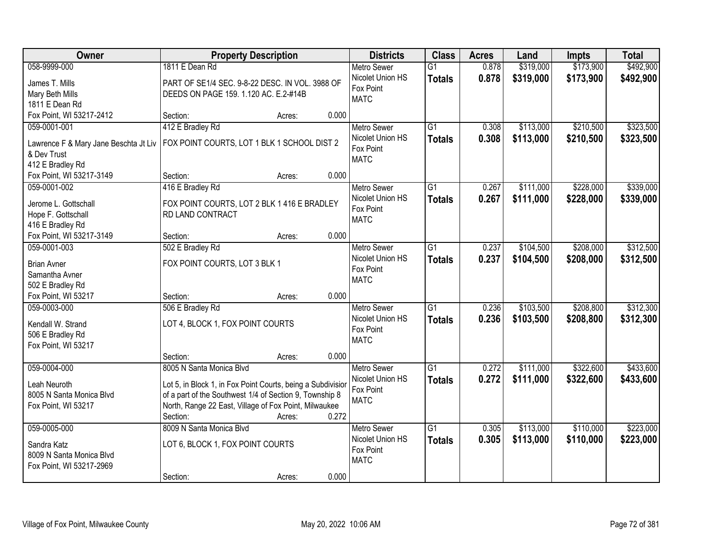| Owner                                  | <b>Property Description</b>                                 |        |       | <b>Districts</b>              | <b>Class</b>    | <b>Acres</b> | Land      | <b>Impts</b> | <b>Total</b> |
|----------------------------------------|-------------------------------------------------------------|--------|-------|-------------------------------|-----------------|--------------|-----------|--------------|--------------|
| 058-9999-000                           | 1811 E Dean Rd                                              |        |       | <b>Metro Sewer</b>            | $\overline{G1}$ | 0.878        | \$319,000 | \$173,900    | \$492,900    |
| James T. Mills                         | PART OF SE1/4 SEC. 9-8-22 DESC. IN VOL. 3988 OF             |        |       | Nicolet Union HS              | <b>Totals</b>   | 0.878        | \$319,000 | \$173,900    | \$492,900    |
| Mary Beth Mills                        | DEEDS ON PAGE 159. 1.120 AC. E.2-#14B                       |        |       | Fox Point                     |                 |              |           |              |              |
| 1811 E Dean Rd                         |                                                             |        |       | <b>MATC</b>                   |                 |              |           |              |              |
| Fox Point, WI 53217-2412               | Section:                                                    | Acres: | 0.000 |                               |                 |              |           |              |              |
| 059-0001-001                           | 412 E Bradley Rd                                            |        |       | <b>Metro Sewer</b>            | $\overline{G1}$ | 0.308        | \$113,000 | \$210,500    | \$323,500    |
| Lawrence F & Mary Jane Beschta Jt Liv  | FOX POINT COURTS, LOT 1 BLK 1 SCHOOL DIST 2                 |        |       | Nicolet Union HS              | <b>Totals</b>   | 0.308        | \$113,000 | \$210,500    | \$323,500    |
| & Dev Trust                            |                                                             |        |       | Fox Point                     |                 |              |           |              |              |
| 412 E Bradley Rd                       |                                                             |        |       | <b>MATC</b>                   |                 |              |           |              |              |
| Fox Point, WI 53217-3149               | Section:                                                    | Acres: | 0.000 |                               |                 |              |           |              |              |
| 059-0001-002                           | 416 E Bradley Rd                                            |        |       | Metro Sewer                   | $\overline{G1}$ | 0.267        | \$111,000 | \$228,000    | \$339,000    |
|                                        |                                                             |        |       | Nicolet Union HS              | <b>Totals</b>   | 0.267        | \$111,000 | \$228,000    | \$339,000    |
| Jerome L. Gottschall                   | FOX POINT COURTS, LOT 2 BLK 1 416 E BRADLEY                 |        |       | Fox Point                     |                 |              |           |              |              |
| Hope F. Gottschall<br>416 E Bradley Rd | RD LAND CONTRACT                                            |        |       | <b>MATC</b>                   |                 |              |           |              |              |
| Fox Point, WI 53217-3149               | Section:                                                    | Acres: | 0.000 |                               |                 |              |           |              |              |
| 059-0001-003                           | 502 E Bradley Rd                                            |        |       | <b>Metro Sewer</b>            | $\overline{G1}$ | 0.237        | \$104,500 | \$208,000    | \$312,500    |
|                                        |                                                             |        |       | Nicolet Union HS              | <b>Totals</b>   | 0.237        | \$104,500 | \$208,000    | \$312,500    |
| <b>Brian Avner</b>                     | FOX POINT COURTS, LOT 3 BLK 1                               |        |       | Fox Point                     |                 |              |           |              |              |
| Samantha Avner                         |                                                             |        |       | <b>MATC</b>                   |                 |              |           |              |              |
| 502 E Bradley Rd                       |                                                             |        |       |                               |                 |              |           |              |              |
| Fox Point, WI 53217                    | Section:                                                    | Acres: | 0.000 |                               |                 |              |           |              |              |
| 059-0003-000                           | 506 E Bradley Rd                                            |        |       | Metro Sewer                   | $\overline{G1}$ | 0.236        | \$103,500 | \$208,800    | \$312,300    |
| Kendall W. Strand                      | LOT 4, BLOCK 1, FOX POINT COURTS                            |        |       | Nicolet Union HS<br>Fox Point | <b>Totals</b>   | 0.236        | \$103,500 | \$208,800    | \$312,300    |
| 506 E Bradley Rd                       |                                                             |        |       | <b>MATC</b>                   |                 |              |           |              |              |
| Fox Point, WI 53217                    |                                                             |        |       |                               |                 |              |           |              |              |
|                                        | Section:                                                    | Acres: | 0.000 |                               |                 |              |           |              |              |
| 059-0004-000                           | 8005 N Santa Monica Blvd                                    |        |       | <b>Metro Sewer</b>            | $\overline{G1}$ | 0.272        | \$111,000 | \$322,600    | \$433,600    |
| Leah Neuroth                           | Lot 5, in Block 1, in Fox Point Courts, being a Subdivisior |        |       | Nicolet Union HS              | <b>Totals</b>   | 0.272        | \$111,000 | \$322,600    | \$433,600    |
| 8005 N Santa Monica Blvd               | of a part of the Southwest 1/4 of Section 9, Township 8     |        |       | Fox Point                     |                 |              |           |              |              |
| Fox Point, WI 53217                    | North, Range 22 East, Village of Fox Point, Milwaukee       |        |       | <b>MATC</b>                   |                 |              |           |              |              |
|                                        | Section:                                                    | Acres: | 0.272 |                               |                 |              |           |              |              |
| 059-0005-000                           | 8009 N Santa Monica Blvd                                    |        |       | <b>Metro Sewer</b>            | $\overline{G1}$ | 0.305        | \$113,000 | \$110,000    | \$223,000    |
| Sandra Katz                            | LOT 6, BLOCK 1, FOX POINT COURTS                            |        |       | Nicolet Union HS              | <b>Totals</b>   | 0.305        | \$113,000 | \$110,000    | \$223,000    |
| 8009 N Santa Monica Blvd               |                                                             |        |       | Fox Point                     |                 |              |           |              |              |
| Fox Point, WI 53217-2969               |                                                             |        |       | <b>MATC</b>                   |                 |              |           |              |              |
|                                        | Section:                                                    | Acres: | 0.000 |                               |                 |              |           |              |              |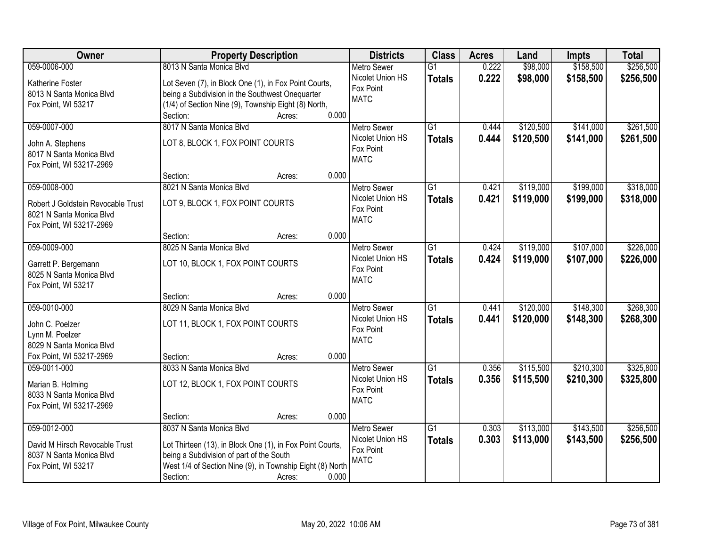| Owner                                                          | <b>Property Description</b>                               | <b>Districts</b>   | <b>Class</b>    | <b>Acres</b> | Land      | <b>Impts</b> | <b>Total</b> |
|----------------------------------------------------------------|-----------------------------------------------------------|--------------------|-----------------|--------------|-----------|--------------|--------------|
| 059-0006-000                                                   | 8013 N Santa Monica Blvd                                  | <b>Metro Sewer</b> | $\overline{G1}$ | 0.222        | \$98,000  | \$158,500    | \$256,500    |
| Katherine Foster                                               | Lot Seven (7), in Block One (1), in Fox Point Courts,     | Nicolet Union HS   | <b>Totals</b>   | 0.222        | \$98,000  | \$158,500    | \$256,500    |
| 8013 N Santa Monica Blvd                                       | being a Subdivision in the Southwest Onequarter           | Fox Point          |                 |              |           |              |              |
| Fox Point, WI 53217                                            | (1/4) of Section Nine (9), Township Eight (8) North,      | <b>MATC</b>        |                 |              |           |              |              |
|                                                                | 0.000<br>Section:<br>Acres:                               |                    |                 |              |           |              |              |
| 059-0007-000                                                   | 8017 N Santa Monica Blvd                                  | <b>Metro Sewer</b> | $\overline{G1}$ | 0.444        | \$120,500 | \$141,000    | \$261,500    |
| John A. Stephens                                               | LOT 8, BLOCK 1, FOX POINT COURTS                          | Nicolet Union HS   | <b>Totals</b>   | 0.444        | \$120,500 | \$141,000    | \$261,500    |
| 8017 N Santa Monica Blvd                                       |                                                           | Fox Point          |                 |              |           |              |              |
| Fox Point, WI 53217-2969                                       |                                                           | <b>MATC</b>        |                 |              |           |              |              |
|                                                                | 0.000<br>Section:<br>Acres:                               |                    |                 |              |           |              |              |
| 059-0008-000                                                   | 8021 N Santa Monica Blvd                                  | <b>Metro Sewer</b> | G1              | 0.421        | \$119,000 | \$199,000    | \$318,000    |
|                                                                |                                                           | Nicolet Union HS   | <b>Totals</b>   | 0.421        | \$119,000 | \$199,000    | \$318,000    |
| Robert J Goldstein Revocable Trust<br>8021 N Santa Monica Blvd | LOT 9, BLOCK 1, FOX POINT COURTS                          | Fox Point          |                 |              |           |              |              |
| Fox Point, WI 53217-2969                                       |                                                           | <b>MATC</b>        |                 |              |           |              |              |
|                                                                | 0.000<br>Section:<br>Acres:                               |                    |                 |              |           |              |              |
| 059-0009-000                                                   | 8025 N Santa Monica Blvd                                  | <b>Metro Sewer</b> | G1              | 0.424        | \$119,000 | \$107,000    | \$226,000    |
|                                                                |                                                           | Nicolet Union HS   | <b>Totals</b>   | 0.424        | \$119,000 | \$107,000    | \$226,000    |
| Garrett P. Bergemann                                           | LOT 10, BLOCK 1, FOX POINT COURTS                         | Fox Point          |                 |              |           |              |              |
| 8025 N Santa Monica Blvd<br>Fox Point, WI 53217                |                                                           | <b>MATC</b>        |                 |              |           |              |              |
|                                                                | 0.000<br>Section:<br>Acres:                               |                    |                 |              |           |              |              |
| 059-0010-000                                                   | 8029 N Santa Monica Blvd                                  | <b>Metro Sewer</b> | $\overline{G1}$ | 0.441        | \$120,000 | \$148,300    | \$268,300    |
|                                                                |                                                           | Nicolet Union HS   | <b>Totals</b>   | 0.441        | \$120,000 | \$148,300    | \$268,300    |
| John C. Poelzer                                                | LOT 11, BLOCK 1, FOX POINT COURTS                         | Fox Point          |                 |              |           |              |              |
| Lynn M. Poelzer<br>8029 N Santa Monica Blvd                    |                                                           | <b>MATC</b>        |                 |              |           |              |              |
| Fox Point, WI 53217-2969                                       | 0.000<br>Section:<br>Acres:                               |                    |                 |              |           |              |              |
| 059-0011-000                                                   | 8033 N Santa Monica Blvd                                  | Metro Sewer        | $\overline{G1}$ | 0.356        | \$115,500 | \$210,300    | \$325,800    |
|                                                                |                                                           | Nicolet Union HS   | <b>Totals</b>   | 0.356        | \$115,500 | \$210,300    | \$325,800    |
| Marian B. Holming                                              | LOT 12, BLOCK 1, FOX POINT COURTS                         | Fox Point          |                 |              |           |              |              |
| 8033 N Santa Monica Blvd                                       |                                                           | <b>MATC</b>        |                 |              |           |              |              |
| Fox Point, WI 53217-2969                                       | 0.000                                                     |                    |                 |              |           |              |              |
| 059-0012-000                                                   | Section:<br>Acres:<br>8037 N Santa Monica Blvd            | <b>Metro Sewer</b> | $\overline{G1}$ | 0.303        | \$113,000 | \$143,500    | \$256,500    |
|                                                                |                                                           | Nicolet Union HS   | <b>Totals</b>   | 0.303        | \$113,000 | \$143,500    | \$256,500    |
| David M Hirsch Revocable Trust                                 | Lot Thirteen (13), in Block One (1), in Fox Point Courts, | Fox Point          |                 |              |           |              |              |
| 8037 N Santa Monica Blvd                                       | being a Subdivision of part of the South                  | <b>MATC</b>        |                 |              |           |              |              |
| Fox Point, WI 53217                                            | West 1/4 of Section Nine (9), in Township Eight (8) North |                    |                 |              |           |              |              |
|                                                                | Section:<br>0.000<br>Acres:                               |                    |                 |              |           |              |              |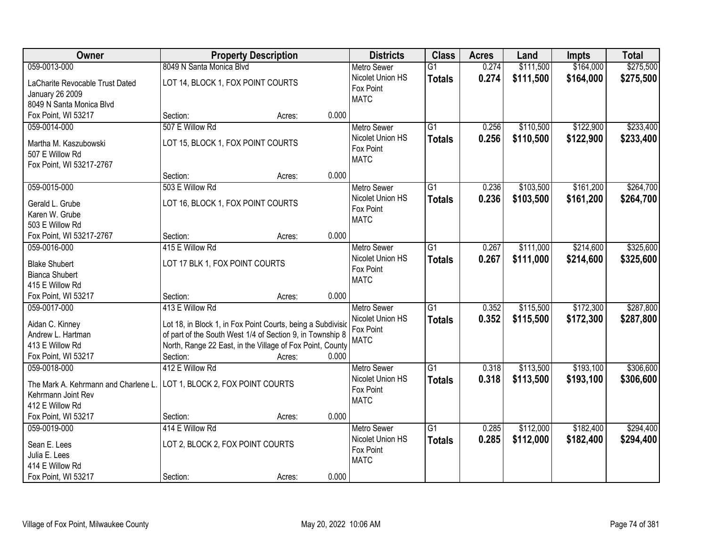| Owner                                                                                                                | <b>Property Description</b>                                                                                                                                                                                                             | <b>Districts</b>                                                   | <b>Class</b>                     | <b>Acres</b>   | Land                   | Impts                  | <b>Total</b>           |
|----------------------------------------------------------------------------------------------------------------------|-----------------------------------------------------------------------------------------------------------------------------------------------------------------------------------------------------------------------------------------|--------------------------------------------------------------------|----------------------------------|----------------|------------------------|------------------------|------------------------|
| 059-0013-000                                                                                                         | 8049 N Santa Monica Blvd                                                                                                                                                                                                                | <b>Metro Sewer</b>                                                 | $\overline{G1}$                  | 0.274          | \$111,500              | \$164,000              | \$275,500              |
| LaCharite Revocable Trust Dated<br><b>January 26 2009</b><br>8049 N Santa Monica Blvd                                | LOT 14, BLOCK 1, FOX POINT COURTS                                                                                                                                                                                                       | Nicolet Union HS<br>Fox Point<br><b>MATC</b>                       | <b>Totals</b>                    | 0.274          | \$111,500              | \$164,000              | \$275,500              |
| Fox Point, WI 53217                                                                                                  | 0.000<br>Section:<br>Acres:                                                                                                                                                                                                             |                                                                    |                                  |                |                        |                        |                        |
| 059-0014-000<br>Martha M. Kaszubowski<br>507 E Willow Rd<br>Fox Point, WI 53217-2767                                 | 507 E Willow Rd<br>LOT 15, BLOCK 1, FOX POINT COURTS                                                                                                                                                                                    | <b>Metro Sewer</b><br>Nicolet Union HS<br>Fox Point<br><b>MATC</b> | $\overline{G1}$<br><b>Totals</b> | 0.256<br>0.256 | \$110,500<br>\$110,500 | \$122,900<br>\$122,900 | \$233,400<br>\$233,400 |
|                                                                                                                      | 0.000<br>Section:<br>Acres:                                                                                                                                                                                                             |                                                                    |                                  |                |                        |                        |                        |
| 059-0015-000<br>Gerald L. Grube<br>Karen W. Grube<br>503 E Willow Rd                                                 | 503 E Willow Rd<br>LOT 16, BLOCK 1, FOX POINT COURTS                                                                                                                                                                                    | <b>Metro Sewer</b><br>Nicolet Union HS<br>Fox Point<br><b>MATC</b> | G1<br><b>Totals</b>              | 0.236<br>0.236 | \$103,500<br>\$103,500 | \$161,200<br>\$161,200 | \$264,700<br>\$264,700 |
| Fox Point, WI 53217-2767                                                                                             | 0.000<br>Section:<br>Acres:                                                                                                                                                                                                             |                                                                    |                                  |                |                        |                        |                        |
| 059-0016-000<br><b>Blake Shubert</b><br><b>Bianca Shubert</b><br>415 E Willow Rd                                     | 415 E Willow Rd<br>LOT 17 BLK 1, FOX POINT COURTS                                                                                                                                                                                       | <b>Metro Sewer</b><br>Nicolet Union HS<br>Fox Point<br><b>MATC</b> | G1<br><b>Totals</b>              | 0.267<br>0.267 | \$111,000<br>\$111,000 | \$214,600<br>\$214,600 | \$325,600<br>\$325,600 |
| Fox Point, WI 53217                                                                                                  | 0.000<br>Section:<br>Acres:                                                                                                                                                                                                             |                                                                    |                                  |                |                        |                        |                        |
| 059-0017-000<br>Aidan C. Kinney<br>Andrew L. Hartman<br>413 E Willow Rd<br>Fox Point, WI 53217                       | 413 E Willow Rd<br>Lot 18, in Block 1, in Fox Point Courts, being a Subdivisio<br>of part of the South West 1/4 of Section 9, in Township 8<br>North, Range 22 East, in the Village of Fox Point, County<br>0.000<br>Section:<br>Acres: | Metro Sewer<br>Nicolet Union HS<br>Fox Point<br><b>MATC</b>        | $\overline{G1}$<br><b>Totals</b> | 0.352<br>0.352 | \$115,500<br>\$115,500 | \$172,300<br>\$172,300 | \$287,800<br>\$287,800 |
| 059-0018-000<br>The Mark A. Kehrmann and Charlene L.<br>Kehrmann Joint Rev<br>412 E Willow Rd<br>Fox Point, WI 53217 | 412 E Willow Rd<br>LOT 1, BLOCK 2, FOX POINT COURTS<br>0.000<br>Section:<br>Acres:                                                                                                                                                      | Metro Sewer<br>Nicolet Union HS<br>Fox Point<br><b>MATC</b>        | $\overline{G1}$<br><b>Totals</b> | 0.318<br>0.318 | \$113,500<br>\$113,500 | \$193,100<br>\$193,100 | \$306,600<br>\$306,600 |
| 059-0019-000<br>Sean E. Lees<br>Julia E. Lees<br>414 E Willow Rd<br>Fox Point, WI 53217                              | 414 E Willow Rd<br>LOT 2, BLOCK 2, FOX POINT COURTS<br>0.000<br>Section:<br>Acres:                                                                                                                                                      | <b>Metro Sewer</b><br>Nicolet Union HS<br>Fox Point<br><b>MATC</b> | $\overline{G1}$<br><b>Totals</b> | 0.285<br>0.285 | \$112,000<br>\$112,000 | \$182,400<br>\$182,400 | \$294,400<br>\$294,400 |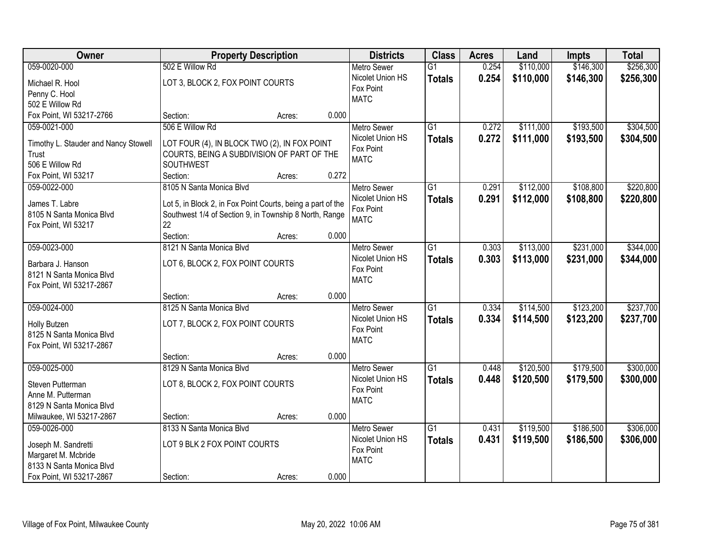| <b>Owner</b>                                         | <b>Property Description</b>                                                                                           |        |       | <b>Districts</b>   | <b>Class</b>    | <b>Acres</b> | Land      | Impts     | <b>Total</b> |
|------------------------------------------------------|-----------------------------------------------------------------------------------------------------------------------|--------|-------|--------------------|-----------------|--------------|-----------|-----------|--------------|
| 059-0020-000                                         | 502 E Willow Rd                                                                                                       |        |       | <b>Metro Sewer</b> | $\overline{G1}$ | 0.254        | \$110,000 | \$146,300 | \$256,300    |
| Michael R. Hool                                      | LOT 3, BLOCK 2, FOX POINT COURTS                                                                                      |        |       | Nicolet Union HS   | <b>Totals</b>   | 0.254        | \$110,000 | \$146,300 | \$256,300    |
| Penny C. Hool                                        |                                                                                                                       |        |       | Fox Point          |                 |              |           |           |              |
| 502 E Willow Rd                                      |                                                                                                                       |        |       | <b>MATC</b>        |                 |              |           |           |              |
| Fox Point, WI 53217-2766                             | Section:                                                                                                              | Acres: | 0.000 |                    |                 |              |           |           |              |
| 059-0021-000                                         | 506 E Willow Rd                                                                                                       |        |       | <b>Metro Sewer</b> | $\overline{G1}$ | 0.272        | \$111,000 | \$193,500 | \$304,500    |
| Timothy L. Stauder and Nancy Stowell                 | LOT FOUR (4), IN BLOCK TWO (2), IN FOX POINT                                                                          |        |       | Nicolet Union HS   | <b>Totals</b>   | 0.272        | \$111,000 | \$193,500 | \$304,500    |
| Trust                                                | COURTS, BEING A SUBDIVISION OF PART OF THE                                                                            |        |       | Fox Point          |                 |              |           |           |              |
| 506 E Willow Rd                                      | SOUTHWEST                                                                                                             |        |       | <b>MATC</b>        |                 |              |           |           |              |
| Fox Point, WI 53217                                  | Section:                                                                                                              | Acres: | 0.272 |                    |                 |              |           |           |              |
| 059-0022-000                                         | 8105 N Santa Monica Blvd                                                                                              |        |       | <b>Metro Sewer</b> | G <sub>1</sub>  | 0.291        | \$112,000 | \$108,800 | \$220,800    |
| James T. Labre                                       |                                                                                                                       |        |       | Nicolet Union HS   | <b>Totals</b>   | 0.291        | \$112,000 | \$108,800 | \$220,800    |
| 8105 N Santa Monica Blvd                             | Lot 5, in Block 2, in Fox Point Courts, being a part of the<br>Southwest 1/4 of Section 9, in Township 8 North, Range |        |       | Fox Point          |                 |              |           |           |              |
| Fox Point, WI 53217                                  | 22                                                                                                                    |        |       | <b>MATC</b>        |                 |              |           |           |              |
|                                                      | Section:                                                                                                              | Acres: | 0.000 |                    |                 |              |           |           |              |
| 059-0023-000                                         | 8121 N Santa Monica Blvd                                                                                              |        |       | <b>Metro Sewer</b> | G1              | 0.303        | \$113,000 | \$231,000 | \$344,000    |
|                                                      |                                                                                                                       |        |       | Nicolet Union HS   | <b>Totals</b>   | 0.303        | \$113,000 | \$231,000 | \$344,000    |
| Barbara J. Hanson<br>8121 N Santa Monica Blvd        | LOT 6, BLOCK 2, FOX POINT COURTS                                                                                      |        |       | Fox Point          |                 |              |           |           |              |
| Fox Point, WI 53217-2867                             |                                                                                                                       |        |       | <b>MATC</b>        |                 |              |           |           |              |
|                                                      | Section:                                                                                                              | Acres: | 0.000 |                    |                 |              |           |           |              |
| 059-0024-000                                         | 8125 N Santa Monica Blvd                                                                                              |        |       | <b>Metro Sewer</b> | $\overline{G1}$ | 0.334        | \$114,500 | \$123,200 | \$237,700    |
|                                                      |                                                                                                                       |        |       | Nicolet Union HS   | <b>Totals</b>   | 0.334        | \$114,500 | \$123,200 | \$237,700    |
| Holly Butzen<br>8125 N Santa Monica Blvd             | LOT 7, BLOCK 2, FOX POINT COURTS                                                                                      |        |       | Fox Point          |                 |              |           |           |              |
| Fox Point, WI 53217-2867                             |                                                                                                                       |        |       | <b>MATC</b>        |                 |              |           |           |              |
|                                                      | Section:                                                                                                              | Acres: | 0.000 |                    |                 |              |           |           |              |
| 059-0025-000                                         | 8129 N Santa Monica Blvd                                                                                              |        |       | Metro Sewer        | $\overline{G1}$ | 0.448        | \$120,500 | \$179,500 | \$300,000    |
|                                                      |                                                                                                                       |        |       | Nicolet Union HS   | <b>Totals</b>   | 0.448        | \$120,500 | \$179,500 | \$300,000    |
| Steven Putterman                                     | LOT 8, BLOCK 2, FOX POINT COURTS                                                                                      |        |       | Fox Point          |                 |              |           |           |              |
| Anne M. Putterman                                    |                                                                                                                       |        |       | <b>MATC</b>        |                 |              |           |           |              |
| 8129 N Santa Monica Blvd<br>Milwaukee, WI 53217-2867 | Section:                                                                                                              | Acres: | 0.000 |                    |                 |              |           |           |              |
| 059-0026-000                                         | 8133 N Santa Monica Blvd                                                                                              |        |       | <b>Metro Sewer</b> | $\overline{G1}$ | 0.431        | \$119,500 | \$186,500 | \$306,000    |
|                                                      |                                                                                                                       |        |       | Nicolet Union HS   | <b>Totals</b>   | 0.431        | \$119,500 | \$186,500 | \$306,000    |
| Joseph M. Sandretti                                  | LOT 9 BLK 2 FOX POINT COURTS                                                                                          |        |       | Fox Point          |                 |              |           |           |              |
| Margaret M. Mcbride                                  |                                                                                                                       |        |       | <b>MATC</b>        |                 |              |           |           |              |
| 8133 N Santa Monica Blvd                             |                                                                                                                       |        |       |                    |                 |              |           |           |              |
| Fox Point, WI 53217-2867                             | Section:                                                                                                              | Acres: | 0.000 |                    |                 |              |           |           |              |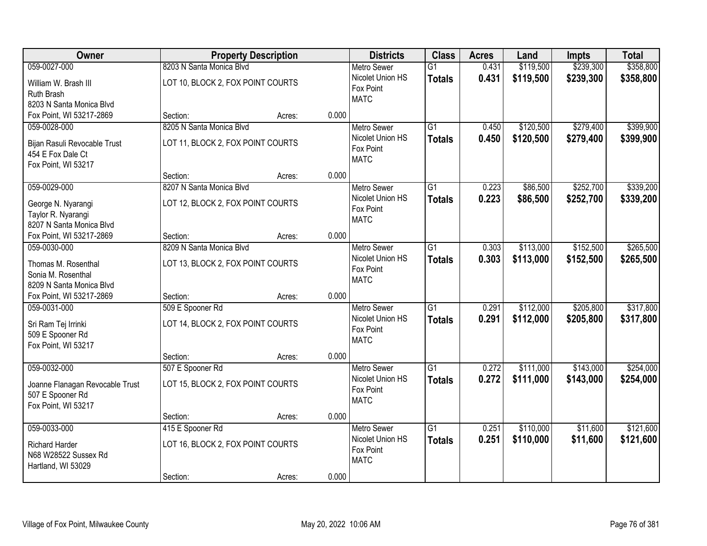| Owner                           | <b>Property Description</b>       |        | <b>Districts</b>   | <b>Class</b>    | <b>Acres</b> | Land      | Impts     | <b>Total</b> |
|---------------------------------|-----------------------------------|--------|--------------------|-----------------|--------------|-----------|-----------|--------------|
| 059-0027-000                    | 8203 N Santa Monica Blvd          |        | <b>Metro Sewer</b> | $\overline{G1}$ | 0.431        | \$119,500 | \$239,300 | \$358,800    |
| William W. Brash III            | LOT 10, BLOCK 2, FOX POINT COURTS |        | Nicolet Union HS   | <b>Totals</b>   | 0.431        | \$119,500 | \$239,300 | \$358,800    |
| Ruth Brash                      |                                   |        | Fox Point          |                 |              |           |           |              |
| 8203 N Santa Monica Blvd        |                                   |        | <b>MATC</b>        |                 |              |           |           |              |
| Fox Point, WI 53217-2869        | Section:                          | Acres: | 0.000              |                 |              |           |           |              |
| 059-0028-000                    | 8205 N Santa Monica Blvd          |        | <b>Metro Sewer</b> | $\overline{G1}$ | 0.450        | \$120,500 | \$279,400 | \$399,900    |
| Bijan Rasuli Revocable Trust    | LOT 11, BLOCK 2, FOX POINT COURTS |        | Nicolet Union HS   | <b>Totals</b>   | 0.450        | \$120,500 | \$279,400 | \$399,900    |
| 454 E Fox Dale Ct               |                                   |        | Fox Point          |                 |              |           |           |              |
| Fox Point, WI 53217             |                                   |        | <b>MATC</b>        |                 |              |           |           |              |
|                                 | Section:                          | Acres: | 0.000              |                 |              |           |           |              |
| 059-0029-000                    | 8207 N Santa Monica Blvd          |        | <b>Metro Sewer</b> | G1              | 0.223        | \$86,500  | \$252,700 | \$339,200    |
| George N. Nyarangi              | LOT 12, BLOCK 2, FOX POINT COURTS |        | Nicolet Union HS   | <b>Totals</b>   | 0.223        | \$86,500  | \$252,700 | \$339,200    |
| Taylor R. Nyarangi              |                                   |        | Fox Point          |                 |              |           |           |              |
| 8207 N Santa Monica Blvd        |                                   |        | <b>MATC</b>        |                 |              |           |           |              |
| Fox Point, WI 53217-2869        | Section:                          | Acres: | 0.000              |                 |              |           |           |              |
| 059-0030-000                    | 8209 N Santa Monica Blvd          |        | <b>Metro Sewer</b> | G1              | 0.303        | \$113,000 | \$152,500 | \$265,500    |
| Thomas M. Rosenthal             | LOT 13, BLOCK 2, FOX POINT COURTS |        | Nicolet Union HS   | <b>Totals</b>   | 0.303        | \$113,000 | \$152,500 | \$265,500    |
| Sonia M. Rosenthal              |                                   |        | Fox Point          |                 |              |           |           |              |
| 8209 N Santa Monica Blvd        |                                   |        | <b>MATC</b>        |                 |              |           |           |              |
| Fox Point, WI 53217-2869        | Section:                          | Acres: | 0.000              |                 |              |           |           |              |
| 059-0031-000                    | 509 E Spooner Rd                  |        | <b>Metro Sewer</b> | $\overline{G1}$ | 0.291        | \$112,000 | \$205,800 | \$317,800    |
|                                 |                                   |        | Nicolet Union HS   | <b>Totals</b>   | 0.291        | \$112,000 | \$205,800 | \$317,800    |
| Sri Ram Tej Irrinki             | LOT 14, BLOCK 2, FOX POINT COURTS |        | Fox Point          |                 |              |           |           |              |
| 509 E Spooner Rd                |                                   |        | <b>MATC</b>        |                 |              |           |           |              |
| Fox Point, WI 53217             | Section:                          | Acres: | 0.000              |                 |              |           |           |              |
| 059-0032-000                    | 507 E Spooner Rd                  |        | Metro Sewer        | $\overline{G1}$ | 0.272        | \$111,000 | \$143,000 | \$254,000    |
|                                 |                                   |        | Nicolet Union HS   | <b>Totals</b>   | 0.272        | \$111,000 | \$143,000 | \$254,000    |
| Joanne Flanagan Revocable Trust | LOT 15, BLOCK 2, FOX POINT COURTS |        | Fox Point          |                 |              |           |           |              |
| 507 E Spooner Rd                |                                   |        | <b>MATC</b>        |                 |              |           |           |              |
| Fox Point, WI 53217             |                                   |        | 0.000              |                 |              |           |           |              |
| 059-0033-000                    | Section:<br>415 E Spooner Rd      | Acres: | <b>Metro Sewer</b> | $\overline{G1}$ | 0.251        | \$110,000 | \$11,600  | \$121,600    |
|                                 |                                   |        | Nicolet Union HS   | <b>Totals</b>   | 0.251        | \$110,000 | \$11,600  | \$121,600    |
| <b>Richard Harder</b>           | LOT 16, BLOCK 2, FOX POINT COURTS |        | Fox Point          |                 |              |           |           |              |
| N68 W28522 Sussex Rd            |                                   |        | <b>MATC</b>        |                 |              |           |           |              |
| Hartland, WI 53029              |                                   |        |                    |                 |              |           |           |              |
|                                 | Section:                          | Acres: | 0.000              |                 |              |           |           |              |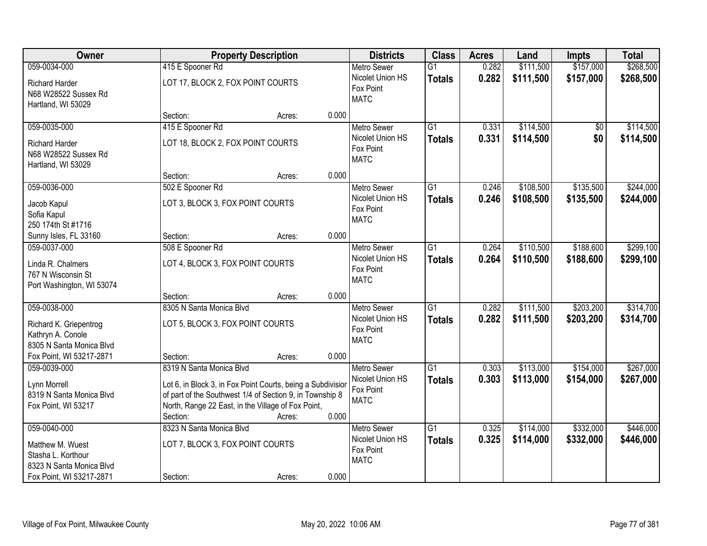| Owner                                                                                          |                                                                                                                                                                                           | <b>Property Description</b> |       | <b>Districts</b>                                                   | <b>Class</b>                     | <b>Acres</b>   | Land                   | Impts                  | <b>Total</b>           |
|------------------------------------------------------------------------------------------------|-------------------------------------------------------------------------------------------------------------------------------------------------------------------------------------------|-----------------------------|-------|--------------------------------------------------------------------|----------------------------------|----------------|------------------------|------------------------|------------------------|
| 059-0034-000                                                                                   | 415 E Spooner Rd                                                                                                                                                                          |                             |       | <b>Metro Sewer</b>                                                 | $\overline{G1}$                  | 0.282          | \$111,500              | \$157,000              | \$268,500              |
| <b>Richard Harder</b><br>N68 W28522 Sussex Rd<br>Hartland, WI 53029                            | LOT 17, BLOCK 2, FOX POINT COURTS                                                                                                                                                         |                             |       | Nicolet Union HS<br>Fox Point<br><b>MATC</b>                       | <b>Totals</b>                    | 0.282          | \$111,500              | \$157,000              | \$268,500              |
|                                                                                                | Section:                                                                                                                                                                                  | Acres:                      | 0.000 |                                                                    |                                  |                |                        |                        |                        |
| 059-0035-000                                                                                   | 415 E Spooner Rd                                                                                                                                                                          |                             |       | <b>Metro Sewer</b>                                                 | $\overline{G1}$                  | 0.331          | \$114,500              | \$0                    | \$114,500              |
| <b>Richard Harder</b><br>N68 W28522 Sussex Rd<br>Hartland, WI 53029                            | LOT 18, BLOCK 2, FOX POINT COURTS                                                                                                                                                         |                             |       | Nicolet Union HS<br>Fox Point<br><b>MATC</b>                       | <b>Totals</b>                    | 0.331          | \$114,500              | \$0                    | \$114,500              |
|                                                                                                | Section:                                                                                                                                                                                  | Acres:                      | 0.000 |                                                                    |                                  |                |                        |                        |                        |
| 059-0036-000                                                                                   | 502 E Spooner Rd                                                                                                                                                                          |                             |       | Metro Sewer                                                        | $\overline{G1}$                  | 0.246          | \$108,500              | \$135,500              | \$244,000              |
| Jacob Kapul<br>Sofia Kapul<br>250 174th St #1716                                               | LOT 3, BLOCK 3, FOX POINT COURTS                                                                                                                                                          |                             |       | Nicolet Union HS<br>Fox Point<br><b>MATC</b>                       | <b>Totals</b>                    | 0.246          | \$108,500              | \$135,500              | \$244,000              |
| Sunny Isles, FL 33160                                                                          | Section:                                                                                                                                                                                  | Acres:                      | 0.000 |                                                                    |                                  |                |                        |                        |                        |
| 059-0037-000                                                                                   | 508 E Spooner Rd                                                                                                                                                                          |                             |       | <b>Metro Sewer</b>                                                 | $\overline{G1}$                  | 0.264          | \$110,500              | \$188,600              | \$299,100              |
| Linda R. Chalmers<br>767 N Wisconsin St<br>Port Washington, WI 53074                           | LOT 4, BLOCK 3, FOX POINT COURTS                                                                                                                                                          |                             |       | Nicolet Union HS<br>Fox Point<br><b>MATC</b>                       | <b>Totals</b>                    | 0.264          | \$110,500              | \$188,600              | \$299,100              |
|                                                                                                | Section:                                                                                                                                                                                  | Acres:                      | 0.000 |                                                                    |                                  |                |                        |                        |                        |
| 059-0038-000<br>Richard K. Griepentrog<br>Kathryn A. Conole<br>8305 N Santa Monica Blvd        | 8305 N Santa Monica Blvd<br>LOT 5, BLOCK 3, FOX POINT COURTS                                                                                                                              |                             |       | <b>Metro Sewer</b><br>Nicolet Union HS<br>Fox Point<br><b>MATC</b> | $\overline{G1}$<br><b>Totals</b> | 0.282<br>0.282 | \$111,500<br>\$111,500 | \$203,200<br>\$203,200 | \$314,700<br>\$314,700 |
| Fox Point, WI 53217-2871                                                                       | Section:                                                                                                                                                                                  | Acres:                      | 0.000 |                                                                    |                                  |                |                        |                        |                        |
| 059-0039-000                                                                                   | 8319 N Santa Monica Blvd                                                                                                                                                                  |                             |       | <b>Metro Sewer</b>                                                 | $\overline{G1}$                  | 0.303          | \$113,000              | \$154,000              | \$267,000              |
| Lynn Morrell<br>8319 N Santa Monica Blvd<br>Fox Point, WI 53217                                | Lot 6, in Block 3, in Fox Point Courts, being a Subdivisior<br>of part of the Southwest 1/4 of Section 9, in Township 8<br>North, Range 22 East, in the Village of Fox Point,<br>Section: | Acres:                      | 0.000 | Nicolet Union HS<br>Fox Point<br><b>MATC</b>                       | <b>Totals</b>                    | 0.303          | \$113,000              | \$154,000              | \$267,000              |
| 059-0040-000                                                                                   | 8323 N Santa Monica Blvd                                                                                                                                                                  |                             |       | <b>Metro Sewer</b>                                                 | $\overline{G1}$                  | 0.325          | \$114,000              | \$332,000              | \$446,000              |
| Matthew M. Wuest<br>Stasha L. Korthour<br>8323 N Santa Monica Blvd<br>Fox Point, WI 53217-2871 | LOT 7, BLOCK 3, FOX POINT COURTS<br>Section:                                                                                                                                              | Acres:                      | 0.000 | Nicolet Union HS<br>Fox Point<br><b>MATC</b>                       | <b>Totals</b>                    | 0.325          | \$114,000              | \$332,000              | \$446,000              |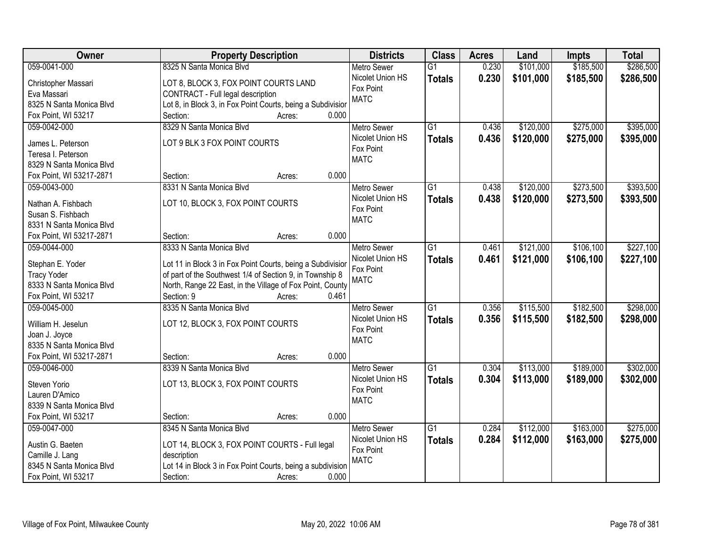| Owner                    | <b>Property Description</b>                                 | <b>Districts</b>   | <b>Class</b>    | <b>Acres</b> | Land      | Impts     | <b>Total</b> |
|--------------------------|-------------------------------------------------------------|--------------------|-----------------|--------------|-----------|-----------|--------------|
| 059-0041-000             | 8325 N Santa Monica Blvd                                    | <b>Metro Sewer</b> | $\overline{G1}$ | 0.230        | \$101,000 | \$185,500 | \$286,500    |
| Christopher Massari      | LOT 8, BLOCK 3, FOX POINT COURTS LAND                       | Nicolet Union HS   | <b>Totals</b>   | 0.230        | \$101,000 | \$185,500 | \$286,500    |
| Eva Massari              | CONTRACT - Full legal description                           | Fox Point          |                 |              |           |           |              |
| 8325 N Santa Monica Blvd | Lot 8, in Block 3, in Fox Point Courts, being a Subdivision | <b>MATC</b>        |                 |              |           |           |              |
| Fox Point, WI 53217      | 0.000<br>Section:<br>Acres:                                 |                    |                 |              |           |           |              |
| 059-0042-000             | 8329 N Santa Monica Blvd                                    | <b>Metro Sewer</b> | $\overline{G1}$ | 0.436        | \$120,000 | \$275,000 | \$395,000    |
|                          |                                                             | Nicolet Union HS   | <b>Totals</b>   | 0.436        | \$120,000 | \$275,000 | \$395,000    |
| James L. Peterson        | LOT 9 BLK 3 FOX POINT COURTS                                | Fox Point          |                 |              |           |           |              |
| Teresa I. Peterson       |                                                             | <b>MATC</b>        |                 |              |           |           |              |
| 8329 N Santa Monica Blvd |                                                             |                    |                 |              |           |           |              |
| Fox Point, WI 53217-2871 | 0.000<br>Section:<br>Acres:                                 |                    |                 |              |           |           |              |
| 059-0043-000             | 8331 N Santa Monica Blvd                                    | <b>Metro Sewer</b> | $\overline{G1}$ | 0.438        | \$120,000 | \$273,500 | \$393,500    |
| Nathan A. Fishbach       | LOT 10, BLOCK 3, FOX POINT COURTS                           | Nicolet Union HS   | <b>Totals</b>   | 0.438        | \$120,000 | \$273,500 | \$393,500    |
| Susan S. Fishbach        |                                                             | Fox Point          |                 |              |           |           |              |
| 8331 N Santa Monica Blvd |                                                             | <b>MATC</b>        |                 |              |           |           |              |
| Fox Point, WI 53217-2871 | 0.000<br>Section:<br>Acres:                                 |                    |                 |              |           |           |              |
| 059-0044-000             | 8333 N Santa Monica Blvd                                    | <b>Metro Sewer</b> | G1              | 0.461        | \$121,000 | \$106,100 | \$227,100    |
|                          |                                                             | Nicolet Union HS   | <b>Totals</b>   | 0.461        | \$121,000 | \$106,100 | \$227,100    |
| Stephan E. Yoder         | Lot 11 in Block 3 in Fox Point Courts, being a Subdivisior  | Fox Point          |                 |              |           |           |              |
| <b>Tracy Yoder</b>       | of part of the Southwest 1/4 of Section 9, in Township 8    | <b>MATC</b>        |                 |              |           |           |              |
| 8333 N Santa Monica Blvd | North, Range 22 East, in the Village of Fox Point, County   |                    |                 |              |           |           |              |
| Fox Point, WI 53217      | 0.461<br>Section: 9<br>Acres:                               |                    |                 |              |           |           |              |
| 059-0045-000             | 8335 N Santa Monica Blvd                                    | <b>Metro Sewer</b> | $\overline{G1}$ | 0.356        | \$115,500 | \$182,500 | \$298,000    |
| William H. Jeselun       | LOT 12, BLOCK 3, FOX POINT COURTS                           | Nicolet Union HS   | <b>Totals</b>   | 0.356        | \$115,500 | \$182,500 | \$298,000    |
| Joan J. Joyce            |                                                             | Fox Point          |                 |              |           |           |              |
| 8335 N Santa Monica Blvd |                                                             | <b>MATC</b>        |                 |              |           |           |              |
| Fox Point, WI 53217-2871 | 0.000<br>Section:<br>Acres:                                 |                    |                 |              |           |           |              |
| 059-0046-000             | 8339 N Santa Monica Blvd                                    | <b>Metro Sewer</b> | G1              | 0.304        | \$113,000 | \$189,000 | \$302,000    |
|                          |                                                             | Nicolet Union HS   |                 | 0.304        |           |           |              |
| Steven Yorio             | LOT 13, BLOCK 3, FOX POINT COURTS                           | Fox Point          | <b>Totals</b>   |              | \$113,000 | \$189,000 | \$302,000    |
| Lauren D'Amico           |                                                             | <b>MATC</b>        |                 |              |           |           |              |
| 8339 N Santa Monica Blvd |                                                             |                    |                 |              |           |           |              |
| Fox Point, WI 53217      | 0.000<br>Section:<br>Acres:                                 |                    |                 |              |           |           |              |
| 059-0047-000             | 8345 N Santa Monica Blvd                                    | <b>Metro Sewer</b> | $\overline{G1}$ | 0.284        | \$112,000 | \$163,000 | \$275,000    |
| Austin G. Baeten         | LOT 14, BLOCK 3, FOX POINT COURTS - Full legal              | Nicolet Union HS   | <b>Totals</b>   | 0.284        | \$112,000 | \$163,000 | \$275,000    |
| Camille J. Lang          | description                                                 | Fox Point          |                 |              |           |           |              |
| 8345 N Santa Monica Blvd | Lot 14 in Block 3 in Fox Point Courts, being a subdivision  | <b>MATC</b>        |                 |              |           |           |              |
| Fox Point, WI 53217      | 0.000<br>Section:<br>Acres:                                 |                    |                 |              |           |           |              |
|                          |                                                             |                    |                 |              |           |           |              |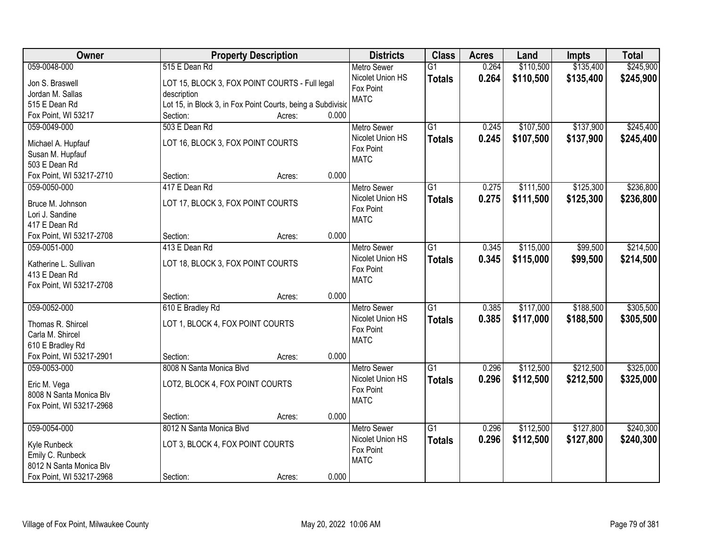| Owner                             | <b>Property Description</b>                                 |                 | <b>Districts</b>         | <b>Class</b>    | <b>Acres</b> | Land      | <b>Impts</b> | <b>Total</b> |
|-----------------------------------|-------------------------------------------------------------|-----------------|--------------------------|-----------------|--------------|-----------|--------------|--------------|
| 059-0048-000                      | 515 E Dean Rd                                               |                 | <b>Metro Sewer</b>       | $\overline{G1}$ | 0.264        | \$110,500 | \$135,400    | \$245,900    |
| Jon S. Braswell                   | LOT 15, BLOCK 3, FOX POINT COURTS - Full legal              |                 | Nicolet Union HS         | <b>Totals</b>   | 0.264        | \$110,500 | \$135,400    | \$245,900    |
| Jordan M. Sallas                  | description                                                 |                 | Fox Point                |                 |              |           |              |              |
| 515 E Dean Rd                     | Lot 15, in Block 3, in Fox Point Courts, being a Subdivisio |                 | <b>MATC</b>              |                 |              |           |              |              |
| Fox Point, WI 53217               | Section:                                                    | 0.000<br>Acres: |                          |                 |              |           |              |              |
| 059-0049-000                      | 503 E Dean Rd                                               |                 | <b>Metro Sewer</b>       | $\overline{G1}$ | 0.245        | \$107,500 | \$137,900    | \$245,400    |
|                                   |                                                             |                 | Nicolet Union HS         | <b>Totals</b>   | 0.245        | \$107,500 | \$137,900    | \$245,400    |
| Michael A. Hupfauf                | LOT 16, BLOCK 3, FOX POINT COURTS                           |                 | Fox Point                |                 |              |           |              |              |
| Susan M. Hupfauf<br>503 E Dean Rd |                                                             |                 | <b>MATC</b>              |                 |              |           |              |              |
| Fox Point, WI 53217-2710          | Section:                                                    | 0.000           |                          |                 |              |           |              |              |
|                                   |                                                             | Acres:          |                          |                 |              |           |              |              |
| 059-0050-000                      | 417 E Dean Rd                                               |                 | <b>Metro Sewer</b>       | $\overline{G1}$ | 0.275        | \$111,500 | \$125,300    | \$236,800    |
| Bruce M. Johnson                  | LOT 17, BLOCK 3, FOX POINT COURTS                           |                 | Nicolet Union HS         | <b>Totals</b>   | 0.275        | \$111,500 | \$125,300    | \$236,800    |
| Lori J. Sandine                   |                                                             |                 | Fox Point<br><b>MATC</b> |                 |              |           |              |              |
| 417 E Dean Rd                     |                                                             |                 |                          |                 |              |           |              |              |
| Fox Point, WI 53217-2708          | Section:                                                    | 0.000<br>Acres: |                          |                 |              |           |              |              |
| 059-0051-000                      | 413 E Dean Rd                                               |                 | <b>Metro Sewer</b>       | $\overline{G1}$ | 0.345        | \$115,000 | \$99,500     | \$214,500    |
| Katherine L. Sullivan             | LOT 18, BLOCK 3, FOX POINT COURTS                           |                 | Nicolet Union HS         | <b>Totals</b>   | 0.345        | \$115,000 | \$99,500     | \$214,500    |
| 413 E Dean Rd                     |                                                             |                 | Fox Point                |                 |              |           |              |              |
| Fox Point, WI 53217-2708          |                                                             |                 | <b>MATC</b>              |                 |              |           |              |              |
|                                   | Section:                                                    | 0.000<br>Acres: |                          |                 |              |           |              |              |
| 059-0052-000                      | 610 E Bradley Rd                                            |                 | Metro Sewer              | $\overline{G1}$ | 0.385        | \$117,000 | \$188,500    | \$305,500    |
|                                   |                                                             |                 | Nicolet Union HS         |                 | 0.385        | \$117,000 | \$188,500    |              |
| Thomas R. Shircel                 | LOT 1, BLOCK 4, FOX POINT COURTS                            |                 | Fox Point                | <b>Totals</b>   |              |           |              | \$305,500    |
| Carla M. Shircel                  |                                                             |                 | <b>MATC</b>              |                 |              |           |              |              |
| 610 E Bradley Rd                  |                                                             |                 |                          |                 |              |           |              |              |
| Fox Point, WI 53217-2901          | Section:                                                    | 0.000<br>Acres: |                          |                 |              |           |              |              |
| 059-0053-000                      | 8008 N Santa Monica Blvd                                    |                 | <b>Metro Sewer</b>       | $\overline{G1}$ | 0.296        | \$112,500 | \$212,500    | \$325,000    |
| Eric M. Vega                      | LOT2, BLOCK 4, FOX POINT COURTS                             |                 | Nicolet Union HS         | <b>Totals</b>   | 0.296        | \$112,500 | \$212,500    | \$325,000    |
| 8008 N Santa Monica Blv           |                                                             |                 | Fox Point                |                 |              |           |              |              |
| Fox Point, WI 53217-2968          |                                                             |                 | <b>MATC</b>              |                 |              |           |              |              |
|                                   | Section:                                                    | 0.000<br>Acres: |                          |                 |              |           |              |              |
| 059-0054-000                      | 8012 N Santa Monica Blvd                                    |                 | <b>Metro Sewer</b>       | $\overline{G1}$ | 0.296        | \$112,500 | \$127,800    | \$240,300    |
|                                   |                                                             |                 | Nicolet Union HS         | <b>Totals</b>   | 0.296        | \$112,500 | \$127,800    | \$240,300    |
| Kyle Runbeck                      | LOT 3, BLOCK 4, FOX POINT COURTS                            |                 | Fox Point                |                 |              |           |              |              |
| Emily C. Runbeck                  |                                                             |                 | <b>MATC</b>              |                 |              |           |              |              |
| 8012 N Santa Monica Blv           |                                                             |                 |                          |                 |              |           |              |              |
| Fox Point, WI 53217-2968          | Section:                                                    | 0.000<br>Acres: |                          |                 |              |           |              |              |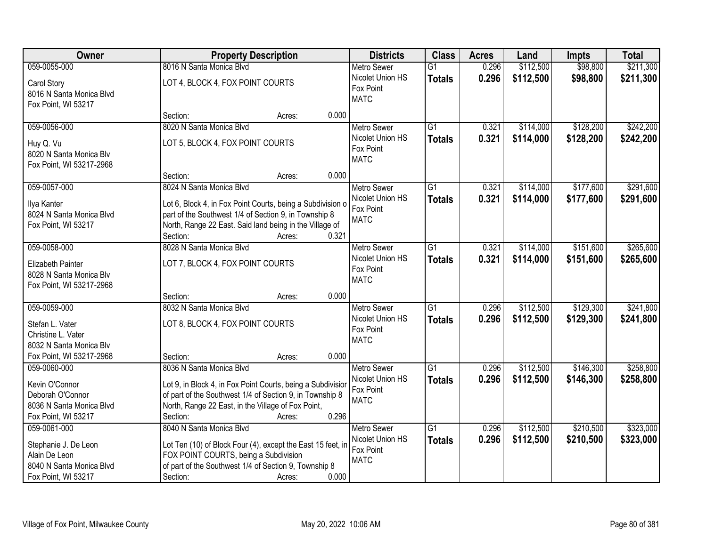| Owner                                                                                                    | <b>Property Description</b>                                                                                                                                                                                                               | <b>Districts</b>                                                   | <b>Class</b>                     | <b>Acres</b>   | Land                   | <b>Impts</b>           | <b>Total</b>           |
|----------------------------------------------------------------------------------------------------------|-------------------------------------------------------------------------------------------------------------------------------------------------------------------------------------------------------------------------------------------|--------------------------------------------------------------------|----------------------------------|----------------|------------------------|------------------------|------------------------|
| 059-0055-000                                                                                             | 8016 N Santa Monica Blvd                                                                                                                                                                                                                  | <b>Metro Sewer</b>                                                 | $\overline{G1}$                  | 0.296          | \$112,500              | \$98,800               | \$211,300              |
| Carol Story<br>8016 N Santa Monica Blvd<br>Fox Point, WI 53217                                           | LOT 4, BLOCK 4, FOX POINT COURTS                                                                                                                                                                                                          | Nicolet Union HS<br>Fox Point<br><b>MATC</b>                       | <b>Totals</b>                    | 0.296          | \$112,500              | \$98,800               | \$211,300              |
|                                                                                                          | 0.000<br>Section:<br>Acres:                                                                                                                                                                                                               |                                                                    |                                  |                |                        |                        |                        |
| 059-0056-000<br>Huy Q. Vu<br>8020 N Santa Monica Blv<br>Fox Point, WI 53217-2968                         | 8020 N Santa Monica Blvd<br>LOT 5, BLOCK 4, FOX POINT COURTS                                                                                                                                                                              | <b>Metro Sewer</b><br>Nicolet Union HS<br>Fox Point<br><b>MATC</b> | $\overline{G1}$<br><b>Totals</b> | 0.321<br>0.321 | \$114,000<br>\$114,000 | \$128,200<br>\$128,200 | \$242,200<br>\$242,200 |
|                                                                                                          | 0.000<br>Section:<br>Acres:                                                                                                                                                                                                               |                                                                    |                                  |                |                        |                        |                        |
| 059-0057-000<br>Ilya Kanter<br>8024 N Santa Monica Blvd<br>Fox Point, WI 53217                           | 8024 N Santa Monica Blvd<br>Lot 6, Block 4, in Fox Point Courts, being a Subdivision o<br>part of the Southwest 1/4 of Section 9, in Township 8<br>North, Range 22 East. Said land being in the Village of<br>0.321<br>Section:<br>Acres: | <b>Metro Sewer</b><br>Nicolet Union HS<br>Fox Point<br><b>MATC</b> | G1<br><b>Totals</b>              | 0.321<br>0.321 | \$114,000<br>\$114,000 | \$177,600<br>\$177,600 | \$291,600<br>\$291,600 |
| 059-0058-000                                                                                             | 8028 N Santa Monica Blvd                                                                                                                                                                                                                  | <b>Metro Sewer</b>                                                 | $\overline{G1}$                  | 0.321          | \$114,000              | \$151,600              | \$265,600              |
| Elizabeth Painter<br>8028 N Santa Monica Blv<br>Fox Point, WI 53217-2968                                 | LOT 7, BLOCK 4, FOX POINT COURTS                                                                                                                                                                                                          | Nicolet Union HS<br>Fox Point<br><b>MATC</b>                       | <b>Totals</b>                    | 0.321          | \$114,000              | \$151,600              | \$265,600              |
|                                                                                                          | 0.000<br>Section:<br>Acres:                                                                                                                                                                                                               |                                                                    |                                  |                |                        |                        |                        |
| 059-0059-000<br>Stefan L. Vater<br>Christine L. Vater<br>8032 N Santa Monica Blv                         | 8032 N Santa Monica Blvd<br>LOT 8, BLOCK 4, FOX POINT COURTS                                                                                                                                                                              | <b>Metro Sewer</b><br>Nicolet Union HS<br>Fox Point<br><b>MATC</b> | $\overline{G1}$<br><b>Totals</b> | 0.296<br>0.296 | \$112,500<br>\$112,500 | \$129,300<br>\$129,300 | \$241,800<br>\$241,800 |
| Fox Point, WI 53217-2968                                                                                 | 0.000<br>Section:<br>Acres:                                                                                                                                                                                                               |                                                                    |                                  |                |                        |                        |                        |
| 059-0060-000<br>Kevin O'Connor<br>Deborah O'Connor<br>8036 N Santa Monica Blvd<br>Fox Point, WI 53217    | 8036 N Santa Monica Blvd<br>Lot 9, in Block 4, in Fox Point Courts, being a Subdivision<br>of part of the Southwest 1/4 of Section 9, in Township 8<br>North, Range 22 East, in the Village of Fox Point,<br>0.296<br>Section:<br>Acres:  | Metro Sewer<br>Nicolet Union HS<br>Fox Point<br><b>MATC</b>        | $\overline{G1}$<br><b>Totals</b> | 0.296<br>0.296 | \$112,500<br>\$112,500 | \$146,300<br>\$146,300 | \$258,800<br>\$258,800 |
| 059-0061-000<br>Stephanie J. De Leon<br>Alain De Leon<br>8040 N Santa Monica Blvd<br>Fox Point, WI 53217 | 8040 N Santa Monica Blvd<br>Lot Ten (10) of Block Four (4), except the East 15 feet, in<br>FOX POINT COURTS, being a Subdivision<br>of part of the Southwest 1/4 of Section 9, Township 8<br>0.000<br>Section:<br>Acres:                  | <b>Metro Sewer</b><br>Nicolet Union HS<br>Fox Point<br><b>MATC</b> | $\overline{G1}$<br><b>Totals</b> | 0.296<br>0.296 | \$112,500<br>\$112,500 | \$210,500<br>\$210,500 | \$323,000<br>\$323,000 |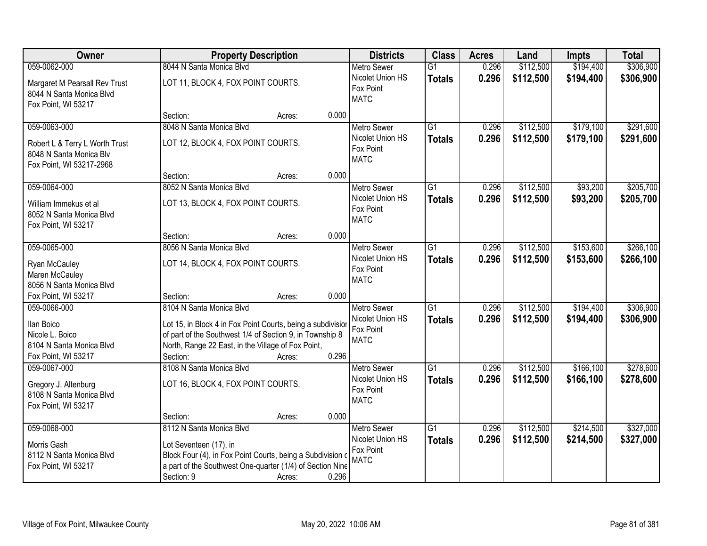| Owner                                                                                                 | <b>Property Description</b>                                                                                                                                                                                           |                 | <b>Districts</b>                                                   | <b>Class</b>                     | <b>Acres</b>   | Land                   | <b>Impts</b>           | <b>Total</b>           |
|-------------------------------------------------------------------------------------------------------|-----------------------------------------------------------------------------------------------------------------------------------------------------------------------------------------------------------------------|-----------------|--------------------------------------------------------------------|----------------------------------|----------------|------------------------|------------------------|------------------------|
| 059-0062-000                                                                                          | 8044 N Santa Monica Blvd                                                                                                                                                                                              |                 | <b>Metro Sewer</b>                                                 | $\overline{G1}$                  | 0.296          | \$112,500              | \$194,400              | \$306,900              |
| Margaret M Pearsall Rev Trust<br>8044 N Santa Monica Blvd<br>Fox Point, WI 53217                      | LOT 11, BLOCK 4, FOX POINT COURTS.                                                                                                                                                                                    |                 | Nicolet Union HS<br>Fox Point<br><b>MATC</b>                       | <b>Totals</b>                    | 0.296          | \$112,500              | \$194,400              | \$306,900              |
|                                                                                                       | Section:                                                                                                                                                                                                              | 0.000<br>Acres: |                                                                    |                                  |                |                        |                        |                        |
| 059-0063-000<br>Robert L & Terry L Worth Trust<br>8048 N Santa Monica Blv<br>Fox Point, WI 53217-2968 | 8048 N Santa Monica Blvd<br>LOT 12, BLOCK 4, FOX POINT COURTS.                                                                                                                                                        |                 | <b>Metro Sewer</b><br>Nicolet Union HS<br>Fox Point<br><b>MATC</b> | $\overline{G1}$<br><b>Totals</b> | 0.296<br>0.296 | \$112,500<br>\$112,500 | \$179,100<br>\$179,100 | \$291,600<br>\$291,600 |
|                                                                                                       | Section:                                                                                                                                                                                                              | 0.000<br>Acres: |                                                                    |                                  |                |                        |                        |                        |
| 059-0064-000<br>William Immekus et al<br>8052 N Santa Monica Blvd<br>Fox Point, WI 53217              | 8052 N Santa Monica Blvd<br>LOT 13, BLOCK 4, FOX POINT COURTS.                                                                                                                                                        |                 | Metro Sewer<br>Nicolet Union HS<br>Fox Point<br><b>MATC</b>        | $\overline{G1}$<br><b>Totals</b> | 0.296<br>0.296 | \$112,500<br>\$112,500 | \$93,200<br>\$93,200   | \$205,700<br>\$205,700 |
|                                                                                                       | Section:                                                                                                                                                                                                              | 0.000<br>Acres: |                                                                    |                                  |                |                        |                        |                        |
| 059-0065-000<br>Ryan McCauley<br>Maren McCauley<br>8056 N Santa Monica Blvd                           | 8056 N Santa Monica Blvd<br>LOT 14, BLOCK 4, FOX POINT COURTS.                                                                                                                                                        |                 | <b>Metro Sewer</b><br>Nicolet Union HS<br>Fox Point<br><b>MATC</b> | G1<br><b>Totals</b>              | 0.296<br>0.296 | \$112,500<br>\$112,500 | \$153,600<br>\$153,600 | \$266,100<br>\$266,100 |
| Fox Point, WI 53217                                                                                   | Section:                                                                                                                                                                                                              | 0.000<br>Acres: |                                                                    |                                  |                |                        |                        |                        |
| 059-0066-000<br>Ilan Boico<br>Nicole L. Boico<br>8104 N Santa Monica Blvd<br>Fox Point, WI 53217      | 8104 N Santa Monica Blvd<br>Lot 15, in Block 4 in Fox Point Courts, being a subdivision<br>of part of the Southwest 1/4 of Section 9, in Township 8<br>North, Range 22 East, in the Village of Fox Point,<br>Section: | 0.296<br>Acres: | <b>Metro Sewer</b><br>Nicolet Union HS<br>Fox Point<br><b>MATC</b> | $\overline{G1}$<br>Totals        | 0.296<br>0.296 | \$112,500<br>\$112,500 | \$194,400<br>\$194,400 | \$306,900<br>\$306,900 |
| 059-0067-000<br>Gregory J. Altenburg<br>8108 N Santa Monica Blvd<br>Fox Point, WI 53217               | 8108 N Santa Monica Blvd<br>LOT 16, BLOCK 4, FOX POINT COURTS.<br>Section:                                                                                                                                            | 0.000<br>Acres: | <b>Metro Sewer</b><br>Nicolet Union HS<br>Fox Point<br><b>MATC</b> | $\overline{G1}$<br><b>Totals</b> | 0.296<br>0.296 | \$112,500<br>\$112,500 | \$166,100<br>\$166,100 | \$278,600<br>\$278,600 |
| 059-0068-000                                                                                          | 8112 N Santa Monica Blvd                                                                                                                                                                                              |                 | <b>Metro Sewer</b>                                                 | G1                               | 0.296          | \$112,500              | \$214,500              | \$327,000              |
| Morris Gash<br>8112 N Santa Monica Blvd<br>Fox Point, WI 53217                                        | Lot Seventeen (17), in<br>Block Four (4), in Fox Point Courts, being a Subdivision of<br>a part of the Southwest One-quarter (1/4) of Section Nine<br>Section: 9                                                      | 0.296<br>Acres: | Nicolet Union HS<br>Fox Point<br><b>MATC</b>                       | <b>Totals</b>                    | 0.296          | \$112,500              | \$214,500              | \$327,000              |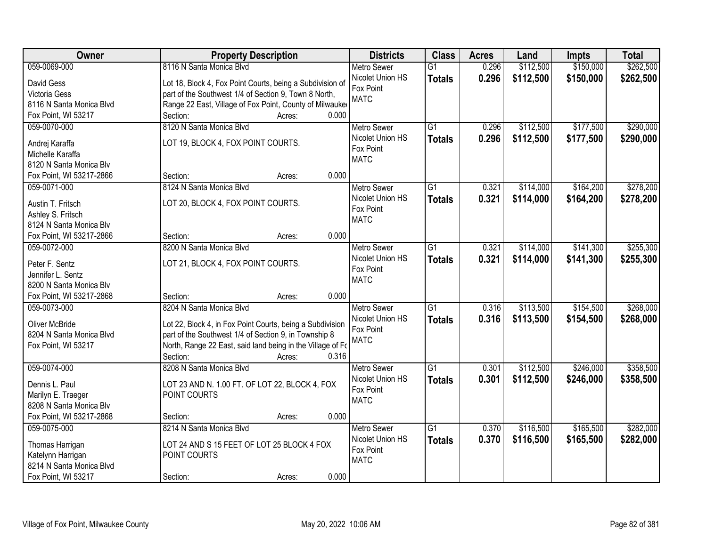| Owner                               | <b>Property Description</b>                                | <b>Districts</b>         | <b>Class</b>    | <b>Acres</b> | Land      | <b>Impts</b> | <b>Total</b> |
|-------------------------------------|------------------------------------------------------------|--------------------------|-----------------|--------------|-----------|--------------|--------------|
| 059-0069-000                        | 8116 N Santa Monica Blvd                                   | <b>Metro Sewer</b>       | $\overline{G1}$ | 0.296        | \$112,500 | \$150,000    | \$262,500    |
| David Gess                          | Lot 18, Block 4, Fox Point Courts, being a Subdivision of  | Nicolet Union HS         | <b>Totals</b>   | 0.296        | \$112,500 | \$150,000    | \$262,500    |
| Victoria Gess                       | part of the Southwest 1/4 of Section 9, Town 8 North,      | Fox Point                |                 |              |           |              |              |
| 8116 N Santa Monica Blvd            | Range 22 East, Village of Fox Point, County of Milwauke    | <b>MATC</b>              |                 |              |           |              |              |
| Fox Point, WI 53217                 | 0.000<br>Section:<br>Acres:                                |                          |                 |              |           |              |              |
| 059-0070-000                        | 8120 N Santa Monica Blvd                                   | <b>Metro Sewer</b>       | $\overline{G1}$ | 0.296        | \$112,500 | \$177,500    | \$290,000    |
|                                     |                                                            | Nicolet Union HS         | <b>Totals</b>   | 0.296        | \$112,500 | \$177,500    | \$290,000    |
| Andrej Karaffa                      | LOT 19, BLOCK 4, FOX POINT COURTS.                         | Fox Point                |                 |              |           |              |              |
| Michelle Karaffa                    |                                                            | <b>MATC</b>              |                 |              |           |              |              |
| 8120 N Santa Monica Blv             | 0.000                                                      |                          |                 |              |           |              |              |
| Fox Point, WI 53217-2866            | Section:<br>Acres:                                         |                          |                 |              |           |              |              |
| 059-0071-000                        | 8124 N Santa Monica Blvd                                   | Metro Sewer              | G1              | 0.321        | \$114,000 | \$164,200    | \$278,200    |
| Austin T. Fritsch                   | LOT 20, BLOCK 4, FOX POINT COURTS.                         | Nicolet Union HS         | <b>Totals</b>   | 0.321        | \$114,000 | \$164,200    | \$278,200    |
| Ashley S. Fritsch                   |                                                            | Fox Point<br><b>MATC</b> |                 |              |           |              |              |
| 8124 N Santa Monica Blv             |                                                            |                          |                 |              |           |              |              |
| Fox Point, WI 53217-2866            | 0.000<br>Section:<br>Acres:                                |                          |                 |              |           |              |              |
| 059-0072-000                        | 8200 N Santa Monica Blvd                                   | <b>Metro Sewer</b>       | $\overline{G1}$ | 0.321        | \$114,000 | \$141,300    | \$255,300    |
|                                     |                                                            | Nicolet Union HS         | <b>Totals</b>   | 0.321        | \$114,000 | \$141,300    | \$255,300    |
| Peter F. Sentz<br>Jennifer L. Sentz | LOT 21, BLOCK 4, FOX POINT COURTS.                         | Fox Point                |                 |              |           |              |              |
| 8200 N Santa Monica Blv             |                                                            | <b>MATC</b>              |                 |              |           |              |              |
| Fox Point, WI 53217-2868            | 0.000<br>Section:<br>Acres:                                |                          |                 |              |           |              |              |
| 059-0073-000                        | 8204 N Santa Monica Blvd                                   | <b>Metro Sewer</b>       | $\overline{G1}$ | 0.316        | \$113,500 | \$154,500    | \$268,000    |
|                                     |                                                            | Nicolet Union HS         |                 | 0.316        |           |              |              |
| <b>Oliver McBride</b>               | Lot 22, Block 4, in Fox Point Courts, being a Subdivision  | Fox Point                | <b>Totals</b>   |              | \$113,500 | \$154,500    | \$268,000    |
| 8204 N Santa Monica Blvd            | part of the Southwest 1/4 of Section 9, in Township 8      | <b>MATC</b>              |                 |              |           |              |              |
| Fox Point, WI 53217                 | North, Range 22 East, said land being in the Village of Fo |                          |                 |              |           |              |              |
|                                     | 0.316<br>Section:<br>Acres:                                |                          |                 |              |           |              |              |
| 059-0074-000                        | 8208 N Santa Monica Blvd                                   | <b>Metro Sewer</b>       | $\overline{G1}$ | 0.301        | \$112,500 | \$246,000    | \$358,500    |
| Dennis L. Paul                      | LOT 23 AND N. 1.00 FT. OF LOT 22, BLOCK 4, FOX             | Nicolet Union HS         | <b>Totals</b>   | 0.301        | \$112,500 | \$246,000    | \$358,500    |
| Marilyn E. Traeger                  | POINT COURTS                                               | Fox Point                |                 |              |           |              |              |
| 8208 N Santa Monica Blv             |                                                            | <b>MATC</b>              |                 |              |           |              |              |
| Fox Point, WI 53217-2868            | 0.000<br>Section:<br>Acres:                                |                          |                 |              |           |              |              |
| 059-0075-000                        | 8214 N Santa Monica Blvd                                   | <b>Metro Sewer</b>       | $\overline{G1}$ | 0.370        | \$116,500 | \$165,500    | \$282,000    |
|                                     |                                                            | Nicolet Union HS         | <b>Totals</b>   | 0.370        | \$116,500 | \$165,500    | \$282,000    |
| Thomas Harrigan                     | LOT 24 AND S 15 FEET OF LOT 25 BLOCK 4 FOX                 | Fox Point                |                 |              |           |              |              |
| Katelynn Harrigan                   | POINT COURTS                                               | <b>MATC</b>              |                 |              |           |              |              |
| 8214 N Santa Monica Blvd            |                                                            |                          |                 |              |           |              |              |
| Fox Point, WI 53217                 | 0.000<br>Section:<br>Acres:                                |                          |                 |              |           |              |              |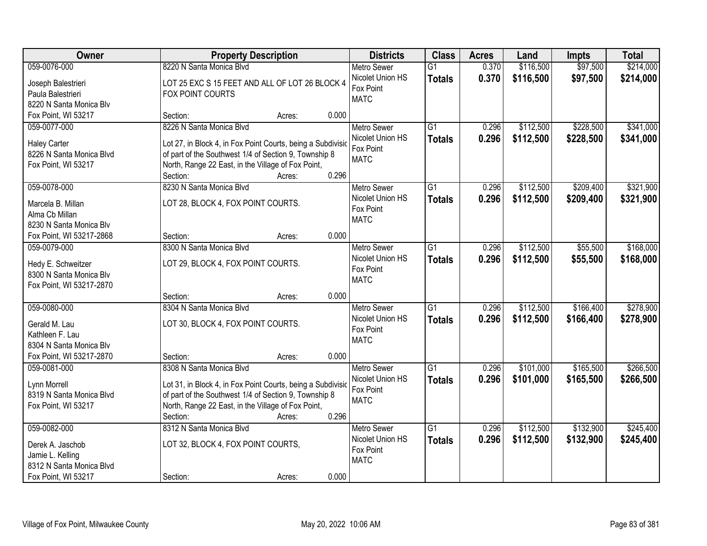| Owner                    | <b>Property Description</b>                                 | <b>Districts</b>              | <b>Class</b>    | <b>Acres</b> | Land      | <b>Impts</b> | <b>Total</b> |
|--------------------------|-------------------------------------------------------------|-------------------------------|-----------------|--------------|-----------|--------------|--------------|
| 059-0076-000             | 8220 N Santa Monica Blvd                                    | <b>Metro Sewer</b>            | $\overline{G1}$ | 0.370        | \$116,500 | \$97,500     | \$214,000    |
| Joseph Balestrieri       | LOT 25 EXC S 15 FEET AND ALL OF LOT 26 BLOCK 4              | Nicolet Union HS              | <b>Totals</b>   | 0.370        | \$116,500 | \$97,500     | \$214,000    |
| Paula Balestrieri        | FOX POINT COURTS                                            | Fox Point                     |                 |              |           |              |              |
| 8220 N Santa Monica Blv  |                                                             | <b>MATC</b>                   |                 |              |           |              |              |
| Fox Point, WI 53217      | 0.000<br>Section:<br>Acres:                                 |                               |                 |              |           |              |              |
| 059-0077-000             | 8226 N Santa Monica Blvd                                    | <b>Metro Sewer</b>            | $\overline{G1}$ | 0.296        | \$112,500 | \$228,500    | \$341,000    |
|                          |                                                             | Nicolet Union HS              | <b>Totals</b>   | 0.296        | \$112,500 | \$228,500    | \$341,000    |
| <b>Haley Carter</b>      | Lot 27, in Block 4, in Fox Point Courts, being a Subdivisic | Fox Point                     |                 |              |           |              |              |
| 8226 N Santa Monica Blvd | of part of the Southwest 1/4 of Section 9, Township 8       | <b>MATC</b>                   |                 |              |           |              |              |
| Fox Point, WI 53217      | North, Range 22 East, in the Village of Fox Point,<br>0.296 |                               |                 |              |           |              |              |
|                          | Section:<br>Acres:                                          |                               |                 |              |           |              |              |
| 059-0078-000             | 8230 N Santa Monica Blvd                                    | <b>Metro Sewer</b>            | G1              | 0.296        | \$112,500 | \$209,400    | \$321,900    |
| Marcela B. Millan        | LOT 28, BLOCK 4, FOX POINT COURTS.                          | Nicolet Union HS              | <b>Totals</b>   | 0.296        | \$112,500 | \$209,400    | \$321,900    |
| Alma Cb Millan           |                                                             | Fox Point                     |                 |              |           |              |              |
| 8230 N Santa Monica Blv  |                                                             | <b>MATC</b>                   |                 |              |           |              |              |
| Fox Point, WI 53217-2868 | 0.000<br>Section:<br>Acres:                                 |                               |                 |              |           |              |              |
| 059-0079-000             | 8300 N Santa Monica Blvd                                    | <b>Metro Sewer</b>            | G1              | 0.296        | \$112,500 | \$55,500     | \$168,000    |
|                          |                                                             | Nicolet Union HS              | <b>Totals</b>   | 0.296        | \$112,500 | \$55,500     | \$168,000    |
| Hedy E. Schweitzer       | LOT 29, BLOCK 4, FOX POINT COURTS.                          | Fox Point                     |                 |              |           |              |              |
| 8300 N Santa Monica Blv  |                                                             | <b>MATC</b>                   |                 |              |           |              |              |
| Fox Point, WI 53217-2870 | 0.000<br>Section:                                           |                               |                 |              |           |              |              |
| 059-0080-000             | Acres:<br>8304 N Santa Monica Blvd                          |                               | $\overline{G1}$ | 0.296        | \$112,500 | \$166,400    | \$278,900    |
|                          |                                                             | <b>Metro Sewer</b>            |                 |              |           |              |              |
| Gerald M. Lau            | LOT 30, BLOCK 4, FOX POINT COURTS.                          | Nicolet Union HS<br>Fox Point | <b>Totals</b>   | 0.296        | \$112,500 | \$166,400    | \$278,900    |
| Kathleen F. Lau          |                                                             | <b>MATC</b>                   |                 |              |           |              |              |
| 8304 N Santa Monica Blv  |                                                             |                               |                 |              |           |              |              |
| Fox Point, WI 53217-2870 | 0.000<br>Section:<br>Acres:                                 |                               |                 |              |           |              |              |
| 059-0081-000             | 8308 N Santa Monica Blvd                                    | <b>Metro Sewer</b>            | $\overline{G1}$ | 0.296        | \$101,000 | \$165,500    | \$266,500    |
| Lynn Morrell             | Lot 31, in Block 4, in Fox Point Courts, being a Subdivisio | Nicolet Union HS              | <b>Totals</b>   | 0.296        | \$101,000 | \$165,500    | \$266,500    |
| 8319 N Santa Monica Blvd | of part of the Southwest 1/4 of Section 9, Township 8       | Fox Point                     |                 |              |           |              |              |
| Fox Point, WI 53217      | North, Range 22 East, in the Village of Fox Point,          | <b>MATC</b>                   |                 |              |           |              |              |
|                          | 0.296<br>Section:<br>Acres:                                 |                               |                 |              |           |              |              |
| 059-0082-000             | 8312 N Santa Monica Blvd                                    | <b>Metro Sewer</b>            | $\overline{G1}$ | 0.296        | \$112,500 | \$132,900    | \$245,400    |
|                          |                                                             | Nicolet Union HS              | <b>Totals</b>   | 0.296        | \$112,500 | \$132,900    | \$245,400    |
| Derek A. Jaschob         | LOT 32, BLOCK 4, FOX POINT COURTS,                          | Fox Point                     |                 |              |           |              |              |
| Jamie L. Kelling         |                                                             | <b>MATC</b>                   |                 |              |           |              |              |
| 8312 N Santa Monica Blvd |                                                             |                               |                 |              |           |              |              |
| Fox Point, WI 53217      | 0.000<br>Section:<br>Acres:                                 |                               |                 |              |           |              |              |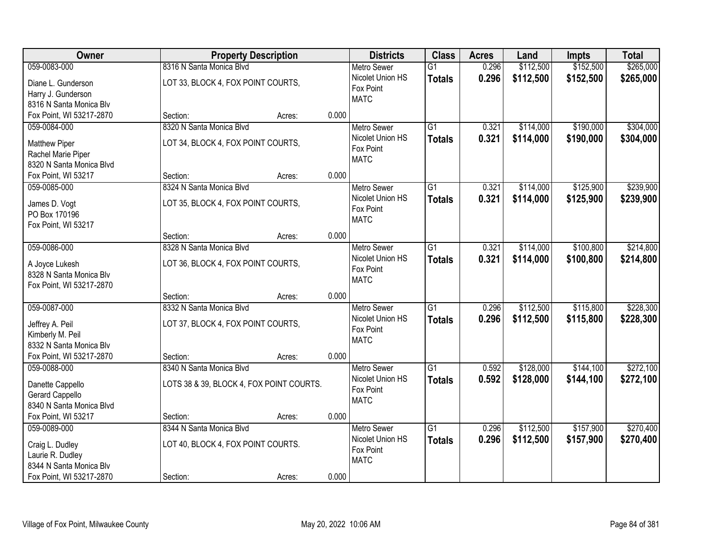| Owner                                               | <b>Property Description</b>              |        |       | <b>Districts</b>              | <b>Class</b>    | <b>Acres</b> | Land      | <b>Impts</b> | <b>Total</b> |
|-----------------------------------------------------|------------------------------------------|--------|-------|-------------------------------|-----------------|--------------|-----------|--------------|--------------|
| 059-0083-000                                        | 8316 N Santa Monica Blvd                 |        |       | <b>Metro Sewer</b>            | $\overline{G1}$ | 0.296        | \$112,500 | \$152,500    | \$265,000    |
| Diane L. Gunderson                                  | LOT 33, BLOCK 4, FOX POINT COURTS,       |        |       | Nicolet Union HS              | <b>Totals</b>   | 0.296        | \$112,500 | \$152,500    | \$265,000    |
| Harry J. Gunderson                                  |                                          |        |       | Fox Point                     |                 |              |           |              |              |
| 8316 N Santa Monica Blv                             |                                          |        |       | <b>MATC</b>                   |                 |              |           |              |              |
| Fox Point, WI 53217-2870                            | Section:                                 | Acres: | 0.000 |                               |                 |              |           |              |              |
| 059-0084-000                                        | 8320 N Santa Monica Blvd                 |        |       | <b>Metro Sewer</b>            | $\overline{G1}$ | 0.321        | \$114,000 | \$190,000    | \$304,000    |
| <b>Matthew Piper</b>                                | LOT 34, BLOCK 4, FOX POINT COURTS,       |        |       | Nicolet Union HS              | <b>Totals</b>   | 0.321        | \$114,000 | \$190,000    | \$304,000    |
| Rachel Marie Piper                                  |                                          |        |       | Fox Point                     |                 |              |           |              |              |
| 8320 N Santa Monica Blvd                            |                                          |        |       | <b>MATC</b>                   |                 |              |           |              |              |
| Fox Point, WI 53217                                 | Section:                                 | Acres: | 0.000 |                               |                 |              |           |              |              |
| 059-0085-000                                        | 8324 N Santa Monica Blvd                 |        |       | <b>Metro Sewer</b>            | G1              | 0.321        | \$114,000 | \$125,900    | \$239,900    |
|                                                     | LOT 35, BLOCK 4, FOX POINT COURTS,       |        |       | Nicolet Union HS              | <b>Totals</b>   | 0.321        | \$114,000 | \$125,900    | \$239,900    |
| James D. Vogt<br>PO Box 170196                      |                                          |        |       | Fox Point                     |                 |              |           |              |              |
| Fox Point, WI 53217                                 |                                          |        |       | <b>MATC</b>                   |                 |              |           |              |              |
|                                                     | Section:                                 | Acres: | 0.000 |                               |                 |              |           |              |              |
| 059-0086-000                                        | 8328 N Santa Monica Blvd                 |        |       | <b>Metro Sewer</b>            | G1              | 0.321        | \$114,000 | \$100,800    | \$214,800    |
|                                                     |                                          |        |       | Nicolet Union HS              | <b>Totals</b>   | 0.321        | \$114,000 | \$100,800    | \$214,800    |
| A Joyce Lukesh                                      | LOT 36, BLOCK 4, FOX POINT COURTS,       |        |       | Fox Point                     |                 |              |           |              |              |
| 8328 N Santa Monica Blv<br>Fox Point, WI 53217-2870 |                                          |        |       | <b>MATC</b>                   |                 |              |           |              |              |
|                                                     | Section:                                 | Acres: | 0.000 |                               |                 |              |           |              |              |
| 059-0087-000                                        | 8332 N Santa Monica Blvd                 |        |       | <b>Metro Sewer</b>            | $\overline{G1}$ | 0.296        | \$112,500 | \$115,800    | \$228,300    |
|                                                     |                                          |        |       | Nicolet Union HS              | <b>Totals</b>   | 0.296        | \$112,500 | \$115,800    | \$228,300    |
| Jeffrey A. Peil                                     | LOT 37, BLOCK 4, FOX POINT COURTS,       |        |       | Fox Point                     |                 |              |           |              |              |
| Kimberly M. Peil                                    |                                          |        |       | <b>MATC</b>                   |                 |              |           |              |              |
| 8332 N Santa Monica Blv                             |                                          |        |       |                               |                 |              |           |              |              |
| Fox Point, WI 53217-2870                            | Section:                                 | Acres: | 0.000 |                               |                 |              |           |              |              |
| 059-0088-000                                        | 8340 N Santa Monica Blvd                 |        |       | <b>Metro Sewer</b>            | $\overline{G1}$ | 0.592        | \$128,000 | \$144,100    | \$272,100    |
| Danette Cappello                                    | LOTS 38 & 39, BLOCK 4, FOX POINT COURTS. |        |       | Nicolet Union HS<br>Fox Point | <b>Totals</b>   | 0.592        | \$128,000 | \$144,100    | \$272,100    |
| Gerard Cappello                                     |                                          |        |       | <b>MATC</b>                   |                 |              |           |              |              |
| 8340 N Santa Monica Blvd                            |                                          |        |       |                               |                 |              |           |              |              |
| Fox Point, WI 53217                                 | Section:                                 | Acres: | 0.000 |                               |                 |              |           |              |              |
| 059-0089-000                                        | 8344 N Santa Monica Blvd                 |        |       | <b>Metro Sewer</b>            | $\overline{G1}$ | 0.296        | \$112,500 | \$157,900    | \$270,400    |
| Craig L. Dudley                                     | LOT 40, BLOCK 4, FOX POINT COURTS.       |        |       | Nicolet Union HS              | <b>Totals</b>   | 0.296        | \$112,500 | \$157,900    | \$270,400    |
| Laurie R. Dudley                                    |                                          |        |       | Fox Point                     |                 |              |           |              |              |
| 8344 N Santa Monica Blv                             |                                          |        |       | <b>MATC</b>                   |                 |              |           |              |              |
| Fox Point, WI 53217-2870                            | Section:                                 | Acres: | 0.000 |                               |                 |              |           |              |              |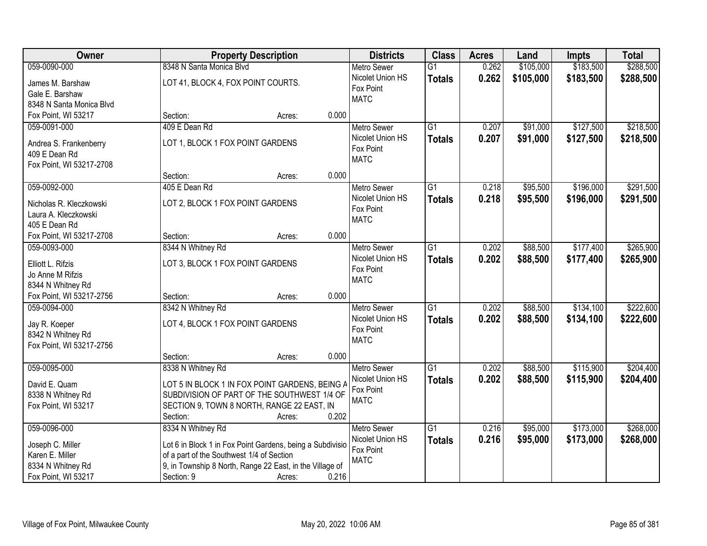| Owner                                    | <b>Property Description</b>                                       | <b>Districts</b>   | <b>Class</b>    | <b>Acres</b> | Land      | <b>Impts</b> | <b>Total</b> |
|------------------------------------------|-------------------------------------------------------------------|--------------------|-----------------|--------------|-----------|--------------|--------------|
| 059-0090-000                             | 8348 N Santa Monica Blvd                                          | <b>Metro Sewer</b> | $\overline{G1}$ | 0.262        | \$105,000 | \$183,500    | \$288,500    |
| James M. Barshaw                         | LOT 41, BLOCK 4, FOX POINT COURTS.                                | Nicolet Union HS   | <b>Totals</b>   | 0.262        | \$105,000 | \$183,500    | \$288,500    |
| Gale E. Barshaw                          |                                                                   | Fox Point          |                 |              |           |              |              |
| 8348 N Santa Monica Blvd                 |                                                                   | <b>MATC</b>        |                 |              |           |              |              |
| Fox Point, WI 53217                      | 0.000<br>Section:<br>Acres:                                       |                    |                 |              |           |              |              |
| 059-0091-000                             | 409 E Dean Rd                                                     | <b>Metro Sewer</b> | $\overline{G1}$ | 0.207        | \$91,000  | \$127,500    | \$218,500    |
| Andrea S. Frankenberry                   | LOT 1, BLOCK 1 FOX POINT GARDENS                                  | Nicolet Union HS   | <b>Totals</b>   | 0.207        | \$91,000  | \$127,500    | \$218,500    |
| 409 E Dean Rd                            |                                                                   | Fox Point          |                 |              |           |              |              |
| Fox Point, WI 53217-2708                 |                                                                   | <b>MATC</b>        |                 |              |           |              |              |
|                                          | 0.000<br>Section:<br>Acres:                                       |                    |                 |              |           |              |              |
| 059-0092-000                             | 405 E Dean Rd                                                     | <b>Metro Sewer</b> | $\overline{G1}$ | 0.218        | \$95,500  | \$196,000    | \$291,500    |
|                                          |                                                                   | Nicolet Union HS   | <b>Totals</b>   | 0.218        | \$95,500  | \$196,000    | \$291,500    |
| Nicholas R. Kleczkowski                  | LOT 2, BLOCK 1 FOX POINT GARDENS                                  | Fox Point          |                 |              |           |              |              |
| Laura A. Kleczkowski                     |                                                                   | <b>MATC</b>        |                 |              |           |              |              |
| 405 E Dean Rd                            | 0.000<br>Section:                                                 |                    |                 |              |           |              |              |
| Fox Point, WI 53217-2708<br>059-0093-000 | Acres:<br>8344 N Whitney Rd                                       | <b>Metro Sewer</b> | G1              | 0.202        | \$88,500  | \$177,400    | \$265,900    |
|                                          |                                                                   | Nicolet Union HS   |                 | 0.202        |           |              |              |
| Elliott L. Rifzis                        | LOT 3, BLOCK 1 FOX POINT GARDENS                                  | Fox Point          | <b>Totals</b>   |              | \$88,500  | \$177,400    | \$265,900    |
| Jo Anne M Rifzis                         |                                                                   | <b>MATC</b>        |                 |              |           |              |              |
| 8344 N Whitney Rd                        |                                                                   |                    |                 |              |           |              |              |
| Fox Point, WI 53217-2756                 | 0.000<br>Section:<br>Acres:                                       |                    |                 |              |           |              |              |
| 059-0094-000                             | 8342 N Whitney Rd                                                 | <b>Metro Sewer</b> | $\overline{G1}$ | 0.202        | \$88,500  | \$134,100    | \$222,600    |
| Jay R. Koeper                            | LOT 4, BLOCK 1 FOX POINT GARDENS                                  | Nicolet Union HS   | <b>Totals</b>   | 0.202        | \$88,500  | \$134,100    | \$222,600    |
| 8342 N Whitney Rd                        |                                                                   | Fox Point          |                 |              |           |              |              |
| Fox Point, WI 53217-2756                 |                                                                   | <b>MATC</b>        |                 |              |           |              |              |
|                                          | Section:<br>0.000<br>Acres:                                       |                    |                 |              |           |              |              |
| 059-0095-000                             | 8338 N Whitney Rd                                                 | <b>Metro Sewer</b> | $\overline{G1}$ | 0.202        | \$88,500  | \$115,900    | \$204,400    |
| David E. Quam                            | LOT 5 IN BLOCK 1 IN FOX POINT GARDENS, BEING A                    | Nicolet Union HS   | <b>Totals</b>   | 0.202        | \$88,500  | \$115,900    | \$204,400    |
| 8338 N Whitney Rd                        | SUBDIVISION OF PART OF THE SOUTHWEST 1/4 OF                       | Fox Point          |                 |              |           |              |              |
| Fox Point, WI 53217                      | SECTION 9, TOWN 8 NORTH, RANGE 22 EAST, IN                        | <b>MATC</b>        |                 |              |           |              |              |
|                                          | 0.202<br>Section:<br>Acres:                                       |                    |                 |              |           |              |              |
| 059-0096-000                             | 8334 N Whitney Rd                                                 | <b>Metro Sewer</b> | $\overline{G1}$ | 0.216        | \$95,000  | \$173,000    | \$268,000    |
|                                          |                                                                   | Nicolet Union HS   | <b>Totals</b>   | 0.216        | \$95,000  | \$173,000    | \$268,000    |
| Joseph C. Miller                         | Lot 6 in Block 1 in Fox Point Gardens, being a Subdivisio         | Fox Point          |                 |              |           |              |              |
| Karen E. Miller                          | of a part of the Southwest 1/4 of Section                         | <b>MATC</b>        |                 |              |           |              |              |
| 8334 N Whitney Rd                        | 9, in Township 8 North, Range 22 East, in the Village of<br>0.216 |                    |                 |              |           |              |              |
| Fox Point, WI 53217                      | Section: 9<br>Acres:                                              |                    |                 |              |           |              |              |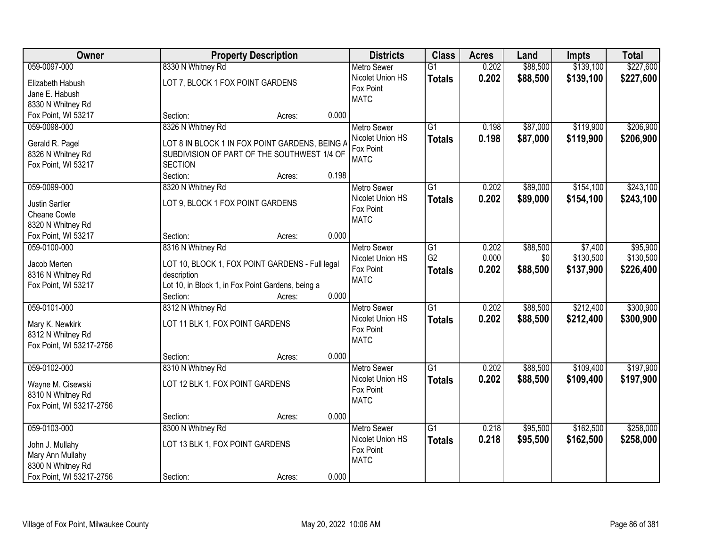| Owner                    |                                                   | <b>Property Description</b> |       | <b>Districts</b>   | <b>Class</b>    | <b>Acres</b> | Land     | <b>Impts</b> | <b>Total</b> |
|--------------------------|---------------------------------------------------|-----------------------------|-------|--------------------|-----------------|--------------|----------|--------------|--------------|
| 059-0097-000             | 8330 N Whitney Rd                                 |                             |       | <b>Metro Sewer</b> | $\overline{G1}$ | 0.202        | \$88,500 | \$139,100    | \$227,600    |
| Elizabeth Habush         | LOT 7, BLOCK 1 FOX POINT GARDENS                  |                             |       | Nicolet Union HS   | <b>Totals</b>   | 0.202        | \$88,500 | \$139,100    | \$227,600    |
| Jane E. Habush           |                                                   |                             |       | Fox Point          |                 |              |          |              |              |
| 8330 N Whitney Rd        |                                                   |                             |       | <b>MATC</b>        |                 |              |          |              |              |
| Fox Point, WI 53217      | Section:                                          | Acres:                      | 0.000 |                    |                 |              |          |              |              |
| 059-0098-000             | 8326 N Whitney Rd                                 |                             |       | <b>Metro Sewer</b> | $\overline{G1}$ | 0.198        | \$87,000 | \$119,900    | \$206,900    |
|                          |                                                   |                             |       | Nicolet Union HS   | <b>Totals</b>   | 0.198        | \$87,000 | \$119,900    | \$206,900    |
| Gerald R. Pagel          | LOT 8 IN BLOCK 1 IN FOX POINT GARDENS, BEING A    |                             |       | Fox Point          |                 |              |          |              |              |
| 8326 N Whitney Rd        | SUBDIVISION OF PART OF THE SOUTHWEST 1/4 OF       |                             |       | <b>MATC</b>        |                 |              |          |              |              |
| Fox Point, WI 53217      | <b>SECTION</b>                                    |                             |       |                    |                 |              |          |              |              |
|                          | Section:                                          | Acres:                      | 0.198 |                    |                 |              |          |              |              |
| 059-0099-000             | 8320 N Whitney Rd                                 |                             |       | <b>Metro Sewer</b> | G1              | 0.202        | \$89,000 | \$154,100    | \$243,100    |
| <b>Justin Sartler</b>    | LOT 9, BLOCK 1 FOX POINT GARDENS                  |                             |       | Nicolet Union HS   | <b>Totals</b>   | 0.202        | \$89,000 | \$154,100    | \$243,100    |
| Cheane Cowle             |                                                   |                             |       | Fox Point          |                 |              |          |              |              |
| 8320 N Whitney Rd        |                                                   |                             |       | <b>MATC</b>        |                 |              |          |              |              |
| Fox Point, WI 53217      | Section:                                          | Acres:                      | 0.000 |                    |                 |              |          |              |              |
| 059-0100-000             | 8316 N Whitney Rd                                 |                             |       | <b>Metro Sewer</b> | G1              | 0.202        | \$88,500 | \$7,400      | \$95,900     |
|                          |                                                   |                             |       | Nicolet Union HS   | G <sub>2</sub>  | 0.000        | \$0      | \$130,500    | \$130,500    |
| Jacob Merten             | LOT 10, BLOCK 1, FOX POINT GARDENS - Full legal   |                             |       | Fox Point          | <b>Totals</b>   | 0.202        | \$88,500 | \$137,900    | \$226,400    |
| 8316 N Whitney Rd        | description                                       |                             |       | <b>MATC</b>        |                 |              |          |              |              |
| Fox Point, WI 53217      | Lot 10, in Block 1, in Fox Point Gardens, being a |                             |       |                    |                 |              |          |              |              |
|                          | Section:                                          | Acres:                      | 0.000 |                    |                 |              |          |              |              |
| 059-0101-000             | 8312 N Whitney Rd                                 |                             |       | <b>Metro Sewer</b> | $\overline{G1}$ | 0.202        | \$88,500 | \$212,400    | \$300,900    |
| Mary K. Newkirk          | LOT 11 BLK 1, FOX POINT GARDENS                   |                             |       | Nicolet Union HS   | <b>Totals</b>   | 0.202        | \$88,500 | \$212,400    | \$300,900    |
| 8312 N Whitney Rd        |                                                   |                             |       | Fox Point          |                 |              |          |              |              |
| Fox Point, WI 53217-2756 |                                                   |                             |       | <b>MATC</b>        |                 |              |          |              |              |
|                          | Section:                                          | Acres:                      | 0.000 |                    |                 |              |          |              |              |
| 059-0102-000             | 8310 N Whitney Rd                                 |                             |       | Metro Sewer        | $\overline{G1}$ | 0.202        | \$88,500 | \$109,400    | \$197,900    |
| Wayne M. Cisewski        | LOT 12 BLK 1, FOX POINT GARDENS                   |                             |       | Nicolet Union HS   | <b>Totals</b>   | 0.202        | \$88,500 | \$109,400    | \$197,900    |
| 8310 N Whitney Rd        |                                                   |                             |       | Fox Point          |                 |              |          |              |              |
| Fox Point, WI 53217-2756 |                                                   |                             |       | <b>MATC</b>        |                 |              |          |              |              |
|                          | Section:                                          | Acres:                      | 0.000 |                    |                 |              |          |              |              |
| 059-0103-000             | 8300 N Whitney Rd                                 |                             |       | <b>Metro Sewer</b> | $\overline{G1}$ | 0.218        | \$95,500 | \$162,500    | \$258,000    |
|                          |                                                   |                             |       | Nicolet Union HS   | <b>Totals</b>   | 0.218        | \$95,500 | \$162,500    | \$258,000    |
| John J. Mullahy          | LOT 13 BLK 1, FOX POINT GARDENS                   |                             |       | Fox Point          |                 |              |          |              |              |
| Mary Ann Mullahy         |                                                   |                             |       | <b>MATC</b>        |                 |              |          |              |              |
| 8300 N Whitney Rd        |                                                   |                             |       |                    |                 |              |          |              |              |
| Fox Point, WI 53217-2756 | Section:                                          | Acres:                      | 0.000 |                    |                 |              |          |              |              |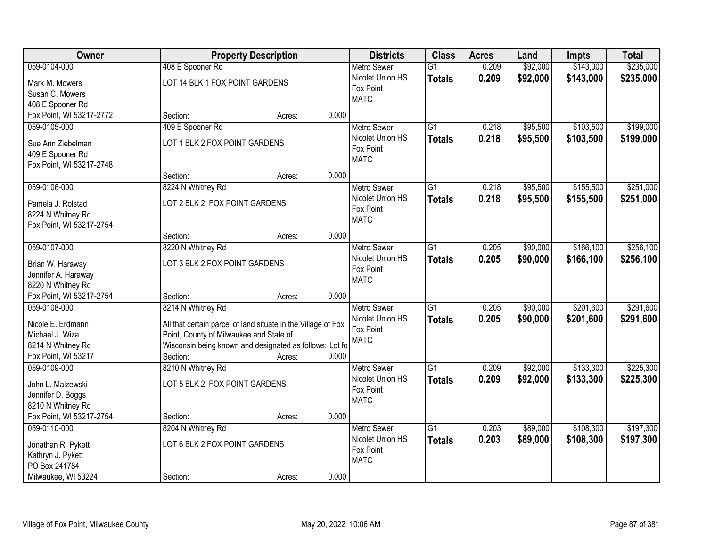| Owner                                         | <b>Property Description</b>                                   |                 | <b>Districts</b>              | <b>Class</b>    | <b>Acres</b> | Land     | <b>Impts</b> | <b>Total</b> |
|-----------------------------------------------|---------------------------------------------------------------|-----------------|-------------------------------|-----------------|--------------|----------|--------------|--------------|
| 059-0104-000                                  | 408 E Spooner Rd                                              |                 | <b>Metro Sewer</b>            | $\overline{G1}$ | 0.209        | \$92,000 | \$143,000    | \$235,000    |
| Mark M. Mowers                                | LOT 14 BLK 1 FOX POINT GARDENS                                |                 | Nicolet Union HS              | <b>Totals</b>   | 0.209        | \$92,000 | \$143,000    | \$235,000    |
| Susan C. Mowers                               |                                                               |                 | Fox Point                     |                 |              |          |              |              |
| 408 E Spooner Rd                              |                                                               |                 | <b>MATC</b>                   |                 |              |          |              |              |
| Fox Point, WI 53217-2772                      | Section:                                                      | 0.000<br>Acres: |                               |                 |              |          |              |              |
| 059-0105-000                                  | 409 E Spooner Rd                                              |                 | <b>Metro Sewer</b>            | $\overline{G1}$ | 0.218        | \$95,500 | \$103,500    | \$199,000    |
|                                               |                                                               |                 | Nicolet Union HS              | <b>Totals</b>   | 0.218        | \$95,500 | \$103,500    | \$199,000    |
| Sue Ann Ziebelman                             | LOT 1 BLK 2 FOX POINT GARDENS                                 |                 | Fox Point                     |                 |              |          |              |              |
| 409 E Spooner Rd                              |                                                               |                 | <b>MATC</b>                   |                 |              |          |              |              |
| Fox Point, WI 53217-2748                      |                                                               |                 |                               |                 |              |          |              |              |
|                                               | Section:                                                      | 0.000<br>Acres: |                               |                 |              |          |              |              |
| 059-0106-000                                  | 8224 N Whitney Rd                                             |                 | Metro Sewer                   | G1              | 0.218        | \$95,500 | \$155,500    | \$251,000    |
| Pamela J. Rolstad                             | LOT 2 BLK 2, FOX POINT GARDENS                                |                 | Nicolet Union HS              | <b>Totals</b>   | 0.218        | \$95,500 | \$155,500    | \$251,000    |
| 8224 N Whitney Rd                             |                                                               |                 | Fox Point                     |                 |              |          |              |              |
| Fox Point, WI 53217-2754                      |                                                               |                 | <b>MATC</b>                   |                 |              |          |              |              |
|                                               | Section:                                                      | 0.000<br>Acres: |                               |                 |              |          |              |              |
| 059-0107-000                                  | 8220 N Whitney Rd                                             |                 | <b>Metro Sewer</b>            | G1              | 0.205        | \$90,000 | \$166,100    | \$256,100    |
|                                               |                                                               |                 | Nicolet Union HS              | <b>Totals</b>   | 0.205        | \$90,000 | \$166,100    | \$256,100    |
| Brian W. Haraway                              | LOT 3 BLK 2 FOX POINT GARDENS                                 |                 | Fox Point                     |                 |              |          |              |              |
| Jennifer A. Haraway                           |                                                               |                 | <b>MATC</b>                   |                 |              |          |              |              |
| 8220 N Whitney Rd<br>Fox Point, WI 53217-2754 | Section:                                                      | 0.000           |                               |                 |              |          |              |              |
| 059-0108-000                                  | 8214 N Whitney Rd                                             | Acres:          |                               | $\overline{G1}$ | 0.205        | \$90,000 | \$201,600    | \$291,600    |
|                                               |                                                               |                 | <b>Metro Sewer</b>            |                 |              |          |              |              |
| Nicole E. Erdmann                             | All that certain parcel of land situate in the Village of Fox |                 | Nicolet Union HS<br>Fox Point | <b>Totals</b>   | 0.205        | \$90,000 | \$201,600    | \$291,600    |
| Michael J. Wiza                               | Point, County of Milwaukee and State of                       |                 | <b>MATC</b>                   |                 |              |          |              |              |
| 8214 N Whitney Rd                             | Wisconsin being known and designated as follows: Lot fo       |                 |                               |                 |              |          |              |              |
| Fox Point, WI 53217                           | Section:                                                      | 0.000<br>Acres: |                               |                 |              |          |              |              |
| 059-0109-000                                  | 8210 N Whitney Rd                                             |                 | <b>Metro Sewer</b>            | $\overline{G1}$ | 0.209        | \$92,000 | \$133,300    | \$225,300    |
| John L. Malzewski                             | LOT 5 BLK 2, FOX POINT GARDENS                                |                 | Nicolet Union HS              | <b>Totals</b>   | 0.209        | \$92,000 | \$133,300    | \$225,300    |
| Jennifer D. Boggs                             |                                                               |                 | Fox Point                     |                 |              |          |              |              |
| 8210 N Whitney Rd                             |                                                               |                 | <b>MATC</b>                   |                 |              |          |              |              |
| Fox Point, WI 53217-2754                      | Section:                                                      | 0.000<br>Acres: |                               |                 |              |          |              |              |
| 059-0110-000                                  | 8204 N Whitney Rd                                             |                 | <b>Metro Sewer</b>            | $\overline{G1}$ | 0.203        | \$89,000 | \$108,300    | \$197,300    |
|                                               |                                                               |                 | Nicolet Union HS              | <b>Totals</b>   | 0.203        | \$89,000 | \$108,300    | \$197,300    |
| Jonathan R. Pykett                            | LOT 6 BLK 2 FOX POINT GARDENS                                 |                 | Fox Point                     |                 |              |          |              |              |
| Kathryn J. Pykett                             |                                                               |                 | <b>MATC</b>                   |                 |              |          |              |              |
| PO Box 241784                                 |                                                               |                 |                               |                 |              |          |              |              |
| Milwaukee, WI 53224                           | Section:                                                      | 0.000<br>Acres: |                               |                 |              |          |              |              |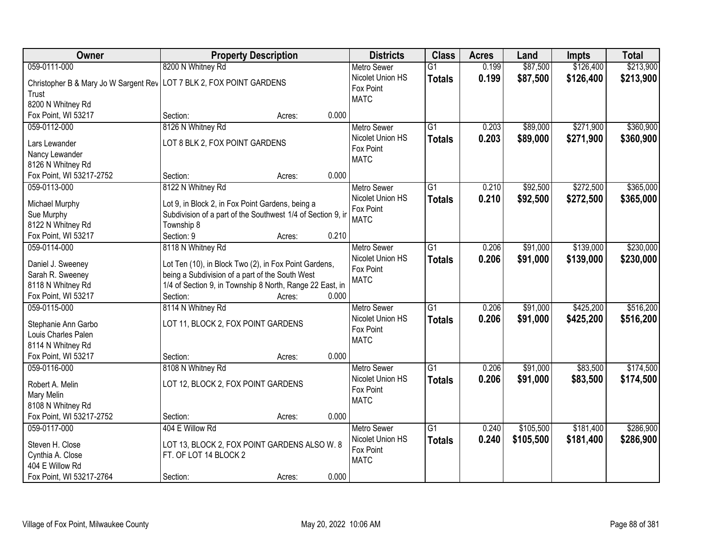| Owner                                                                  | <b>Property Description</b>                                           |       | <b>Districts</b>   | <b>Class</b>    | <b>Acres</b> | Land      | <b>Impts</b> | <b>Total</b> |
|------------------------------------------------------------------------|-----------------------------------------------------------------------|-------|--------------------|-----------------|--------------|-----------|--------------|--------------|
| 059-0111-000                                                           | 8200 N Whitney Rd                                                     |       | <b>Metro Sewer</b> | $\overline{G1}$ | 0.199        | \$87,500  | \$126,400    | \$213,900    |
| Christopher B & Mary Jo W Sargent Rev   LOT 7 BLK 2, FOX POINT GARDENS |                                                                       |       | Nicolet Union HS   | <b>Totals</b>   | 0.199        | \$87,500  | \$126,400    | \$213,900    |
| Trust                                                                  |                                                                       |       | Fox Point          |                 |              |           |              |              |
| 8200 N Whitney Rd                                                      |                                                                       |       | <b>MATC</b>        |                 |              |           |              |              |
| Fox Point, WI 53217                                                    | Section:<br>Acres:                                                    | 0.000 |                    |                 |              |           |              |              |
| 059-0112-000                                                           | 8126 N Whitney Rd                                                     |       | <b>Metro Sewer</b> | $\overline{G1}$ | 0.203        | \$89,000  | \$271,900    | \$360,900    |
|                                                                        |                                                                       |       | Nicolet Union HS   | <b>Totals</b>   | 0.203        | \$89,000  | \$271,900    | \$360,900    |
| Lars Lewander                                                          | LOT 8 BLK 2, FOX POINT GARDENS                                        |       | Fox Point          |                 |              |           |              |              |
| Nancy Lewander                                                         |                                                                       |       | <b>MATC</b>        |                 |              |           |              |              |
| 8126 N Whitney Rd                                                      |                                                                       |       |                    |                 |              |           |              |              |
| Fox Point, WI 53217-2752                                               | Section:<br>Acres:                                                    | 0.000 |                    |                 |              |           |              |              |
| 059-0113-000                                                           | 8122 N Whitney Rd                                                     |       | <b>Metro Sewer</b> | G1              | 0.210        | \$92,500  | \$272,500    | \$365,000    |
| Michael Murphy                                                         | Lot 9, in Block 2, in Fox Point Gardens, being a                      |       | Nicolet Union HS   | <b>Totals</b>   | 0.210        | \$92,500  | \$272,500    | \$365,000    |
| Sue Murphy                                                             | Subdivision of a part of the Southwest 1/4 of Section 9, ir           |       | Fox Point          |                 |              |           |              |              |
| 8122 N Whitney Rd                                                      | Township 8                                                            |       | <b>MATC</b>        |                 |              |           |              |              |
| Fox Point, WI 53217                                                    | Section: 9<br>Acres:                                                  | 0.210 |                    |                 |              |           |              |              |
| 059-0114-000                                                           | 8118 N Whitney Rd                                                     |       | <b>Metro Sewer</b> | $\overline{G1}$ | 0.206        | \$91,000  | \$139,000    | \$230,000    |
|                                                                        |                                                                       |       | Nicolet Union HS   | <b>Totals</b>   | 0.206        | \$91,000  | \$139,000    | \$230,000    |
| Daniel J. Sweeney                                                      | Lot Ten (10), in Block Two (2), in Fox Point Gardens,                 |       | Fox Point          |                 |              |           |              |              |
| Sarah R. Sweeney                                                       | being a Subdivision of a part of the South West                       |       | <b>MATC</b>        |                 |              |           |              |              |
| 8118 N Whitney Rd                                                      | 1/4 of Section 9, in Township 8 North, Range 22 East, in              |       |                    |                 |              |           |              |              |
| Fox Point, WI 53217                                                    | Section:<br>Acres:                                                    | 0.000 |                    |                 |              |           |              |              |
| 059-0115-000                                                           | 8114 N Whitney Rd                                                     |       | <b>Metro Sewer</b> | $\overline{G1}$ | 0.206        | \$91,000  | \$425,200    | \$516,200    |
| Stephanie Ann Garbo                                                    | LOT 11, BLOCK 2, FOX POINT GARDENS                                    |       | Nicolet Union HS   | <b>Totals</b>   | 0.206        | \$91,000  | \$425,200    | \$516,200    |
| Louis Charles Palen                                                    |                                                                       |       | Fox Point          |                 |              |           |              |              |
| 8114 N Whitney Rd                                                      |                                                                       |       | <b>MATC</b>        |                 |              |           |              |              |
| Fox Point, WI 53217                                                    | Section:<br>Acres:                                                    | 0.000 |                    |                 |              |           |              |              |
| 059-0116-000                                                           | 8108 N Whitney Rd                                                     |       | Metro Sewer        | $\overline{G1}$ | 0.206        | \$91,000  | \$83,500     | \$174,500    |
|                                                                        |                                                                       |       | Nicolet Union HS   |                 |              |           |              |              |
| Robert A. Melin                                                        | LOT 12, BLOCK 2, FOX POINT GARDENS                                    |       | Fox Point          | <b>Totals</b>   | 0.206        | \$91,000  | \$83,500     | \$174,500    |
| Mary Melin                                                             |                                                                       |       | <b>MATC</b>        |                 |              |           |              |              |
| 8108 N Whitney Rd                                                      |                                                                       |       |                    |                 |              |           |              |              |
| Fox Point, WI 53217-2752                                               | Section:<br>Acres:                                                    | 0.000 |                    |                 |              |           |              |              |
| 059-0117-000                                                           | 404 E Willow Rd                                                       |       | <b>Metro Sewer</b> | $\overline{G1}$ | 0.240        | \$105,500 | \$181,400    | \$286,900    |
| Steven H. Close                                                        |                                                                       |       | Nicolet Union HS   | <b>Totals</b>   | 0.240        | \$105,500 | \$181,400    | \$286,900    |
|                                                                        | LOT 13, BLOCK 2, FOX POINT GARDENS ALSO W. 8<br>FT. OF LOT 14 BLOCK 2 |       | Fox Point          |                 |              |           |              |              |
| Cynthia A. Close<br>404 E Willow Rd                                    |                                                                       |       | <b>MATC</b>        |                 |              |           |              |              |
| Fox Point, WI 53217-2764                                               |                                                                       | 0.000 |                    |                 |              |           |              |              |
|                                                                        | Section:<br>Acres:                                                    |       |                    |                 |              |           |              |              |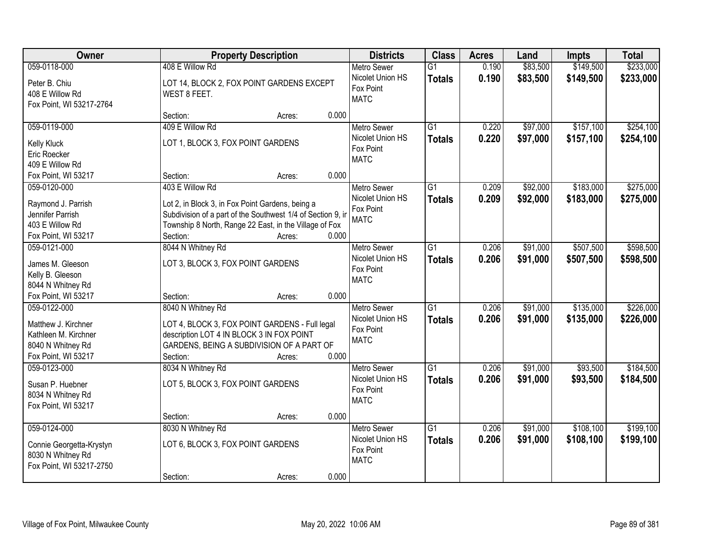| Owner                                                                                                   |                                                                                                                                                                                                          | <b>Property Description</b> |       |                                                                    | <b>Class</b>                     | <b>Acres</b>   | Land                 | <b>Impts</b>           | <b>Total</b>           |
|---------------------------------------------------------------------------------------------------------|----------------------------------------------------------------------------------------------------------------------------------------------------------------------------------------------------------|-----------------------------|-------|--------------------------------------------------------------------|----------------------------------|----------------|----------------------|------------------------|------------------------|
| 059-0118-000<br>Peter B. Chiu<br>408 E Willow Rd<br>Fox Point, WI 53217-2764                            | 408 E Willow Rd<br>LOT 14, BLOCK 2, FOX POINT GARDENS EXCEPT<br>WEST 8 FEET.                                                                                                                             |                             |       | <b>Metro Sewer</b><br>Nicolet Union HS<br>Fox Point<br><b>MATC</b> | $\overline{G1}$<br><b>Totals</b> | 0.190<br>0.190 | \$83,500<br>\$83,500 | \$149,500<br>\$149,500 | \$233,000<br>\$233,000 |
|                                                                                                         | Section:                                                                                                                                                                                                 | Acres:                      | 0.000 |                                                                    |                                  |                |                      |                        |                        |
| 059-0119-000<br>Kelly Kluck<br>Eric Roecker<br>409 E Willow Rd                                          | 409 E Willow Rd<br>LOT 1, BLOCK 3, FOX POINT GARDENS                                                                                                                                                     |                             |       | <b>Metro Sewer</b><br>Nicolet Union HS<br>Fox Point<br><b>MATC</b> | $\overline{G1}$<br><b>Totals</b> | 0.220<br>0.220 | \$97,000<br>\$97,000 | \$157,100<br>\$157,100 | \$254,100<br>\$254,100 |
| Fox Point, WI 53217                                                                                     | Section:                                                                                                                                                                                                 | Acres:                      | 0.000 |                                                                    |                                  |                |                      |                        |                        |
| 059-0120-000<br>Raymond J. Parrish<br>Jennifer Parrish<br>403 E Willow Rd<br>Fox Point, WI 53217        | 403 E Willow Rd<br>Lot 2, in Block 3, in Fox Point Gardens, being a<br>Subdivision of a part of the Southwest 1/4 of Section 9, in<br>Township 8 North, Range 22 East, in the Village of Fox<br>Section: | Acres:                      | 0.000 | <b>Metro Sewer</b><br>Nicolet Union HS<br>Fox Point<br><b>MATC</b> | G1<br><b>Totals</b>              | 0.209<br>0.209 | \$92,000<br>\$92,000 | \$183,000<br>\$183,000 | \$275,000<br>\$275,000 |
| 059-0121-000                                                                                            | 8044 N Whitney Rd                                                                                                                                                                                        |                             |       | <b>Metro Sewer</b>                                                 | G1                               | 0.206          | \$91,000             | \$507,500              | \$598,500              |
| James M. Gleeson<br>Kelly B. Gleeson<br>8044 N Whitney Rd                                               | LOT 3, BLOCK 3, FOX POINT GARDENS                                                                                                                                                                        |                             |       | Nicolet Union HS<br>Fox Point<br><b>MATC</b>                       | <b>Totals</b>                    | 0.206          | \$91,000             | \$507,500              | \$598,500              |
| Fox Point, WI 53217                                                                                     | Section:                                                                                                                                                                                                 | Acres:                      | 0.000 |                                                                    |                                  |                |                      |                        |                        |
| 059-0122-000<br>Matthew J. Kirchner<br>Kathleen M. Kirchner<br>8040 N Whitney Rd<br>Fox Point, WI 53217 | 8040 N Whitney Rd<br>LOT 4, BLOCK 3, FOX POINT GARDENS - Full legal<br>description LOT 4 IN BLOCK 3 IN FOX POINT<br>GARDENS, BEING A SUBDIVISION OF A PART OF<br>Section:                                | Acres:                      | 0.000 | <b>Metro Sewer</b><br>Nicolet Union HS<br>Fox Point<br><b>MATC</b> | $\overline{G1}$<br><b>Totals</b> | 0.206<br>0.206 | \$91,000<br>\$91,000 | \$135,000<br>\$135,000 | \$226,000<br>\$226,000 |
| 059-0123-000<br>Susan P. Huebner<br>8034 N Whitney Rd<br>Fox Point, WI 53217                            | 8034 N Whitney Rd<br>LOT 5, BLOCK 3, FOX POINT GARDENS<br>Section:                                                                                                                                       | Acres:                      | 0.000 | <b>Metro Sewer</b><br>Nicolet Union HS<br>Fox Point<br><b>MATC</b> | $\overline{G1}$<br><b>Totals</b> | 0.206<br>0.206 | \$91,000<br>\$91,000 | \$93,500<br>\$93,500   | \$184,500<br>\$184,500 |
| 059-0124-000                                                                                            | 8030 N Whitney Rd                                                                                                                                                                                        |                             |       | <b>Metro Sewer</b>                                                 | $\overline{G1}$                  | 0.206          | \$91,000             | \$108,100              | \$199,100              |
| Connie Georgetta-Krystyn<br>8030 N Whitney Rd<br>Fox Point, WI 53217-2750                               | LOT 6, BLOCK 3, FOX POINT GARDENS                                                                                                                                                                        |                             |       | Nicolet Union HS<br>Fox Point<br><b>MATC</b>                       | <b>Totals</b>                    | 0.206          | \$91,000             | \$108,100              | \$199,100              |
|                                                                                                         | Section:                                                                                                                                                                                                 | Acres:                      | 0.000 |                                                                    |                                  |                |                      |                        |                        |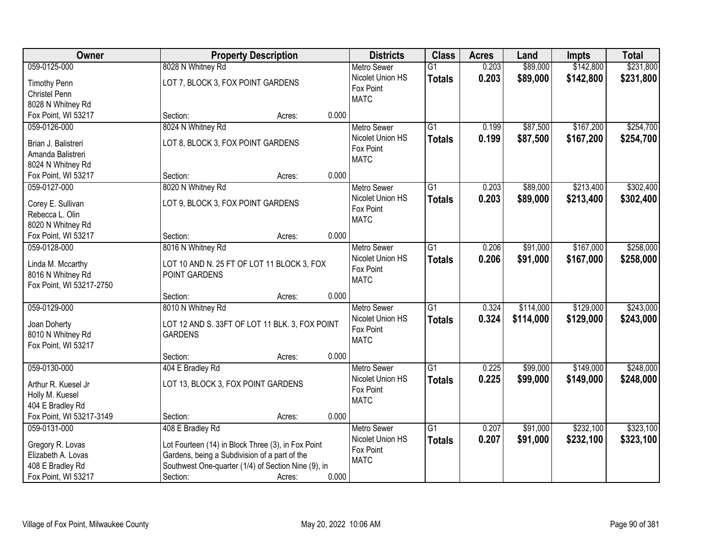| Owner                    | <b>Property Description</b>                         |        |       | <b>Districts</b>   | <b>Class</b>    | <b>Acres</b> | Land      | <b>Impts</b> | <b>Total</b> |
|--------------------------|-----------------------------------------------------|--------|-------|--------------------|-----------------|--------------|-----------|--------------|--------------|
| 059-0125-000             | 8028 N Whitney Rd                                   |        |       | <b>Metro Sewer</b> | $\overline{G1}$ | 0.203        | \$89,000  | \$142,800    | \$231,800    |
| <b>Timothy Penn</b>      | LOT 7, BLOCK 3, FOX POINT GARDENS                   |        |       | Nicolet Union HS   | <b>Totals</b>   | 0.203        | \$89,000  | \$142,800    | \$231,800    |
| Christel Penn            |                                                     |        |       | Fox Point          |                 |              |           |              |              |
| 8028 N Whitney Rd        |                                                     |        |       | <b>MATC</b>        |                 |              |           |              |              |
| Fox Point, WI 53217      | Section:                                            | Acres: | 0.000 |                    |                 |              |           |              |              |
| 059-0126-000             | 8024 N Whitney Rd                                   |        |       | <b>Metro Sewer</b> | $\overline{G1}$ | 0.199        | \$87,500  | \$167,200    | \$254,700    |
| Brian J. Balistreri      | LOT 8, BLOCK 3, FOX POINT GARDENS                   |        |       | Nicolet Union HS   | <b>Totals</b>   | 0.199        | \$87,500  | \$167,200    | \$254,700    |
|                          |                                                     |        |       | Fox Point          |                 |              |           |              |              |
| Amanda Balistreri        |                                                     |        |       | <b>MATC</b>        |                 |              |           |              |              |
| 8024 N Whitney Rd        |                                                     |        | 0.000 |                    |                 |              |           |              |              |
| Fox Point, WI 53217      | Section:                                            | Acres: |       |                    |                 |              |           |              |              |
| 059-0127-000             | 8020 N Whitney Rd                                   |        |       | <b>Metro Sewer</b> | $\overline{G1}$ | 0.203        | \$89,000  | \$213,400    | \$302,400    |
| Corey E. Sullivan        | LOT 9, BLOCK 3, FOX POINT GARDENS                   |        |       | Nicolet Union HS   | Totals          | 0.203        | \$89,000  | \$213,400    | \$302,400    |
| Rebecca L. Olin          |                                                     |        |       | Fox Point          |                 |              |           |              |              |
| 8020 N Whitney Rd        |                                                     |        |       | <b>MATC</b>        |                 |              |           |              |              |
| Fox Point, WI 53217      | Section:                                            | Acres: | 0.000 |                    |                 |              |           |              |              |
| 059-0128-000             | 8016 N Whitney Rd                                   |        |       | <b>Metro Sewer</b> | $\overline{G1}$ | 0.206        | \$91,000  | \$167,000    | \$258,000    |
|                          |                                                     |        |       | Nicolet Union HS   | <b>Totals</b>   | 0.206        | \$91,000  | \$167,000    | \$258,000    |
| Linda M. Mccarthy        | LOT 10 AND N. 25 FT OF LOT 11 BLOCK 3, FOX          |        |       | Fox Point          |                 |              |           |              |              |
| 8016 N Whitney Rd        | POINT GARDENS                                       |        |       | <b>MATC</b>        |                 |              |           |              |              |
| Fox Point, WI 53217-2750 |                                                     |        |       |                    |                 |              |           |              |              |
|                          | Section:                                            | Acres: | 0.000 |                    |                 |              |           |              |              |
| 059-0129-000             | 8010 N Whitney Rd                                   |        |       | <b>Metro Sewer</b> | $\overline{G1}$ | 0.324        | \$114,000 | \$129,000    | \$243,000    |
| Joan Doherty             | LOT 12 AND S. 33FT OF LOT 11 BLK. 3, FOX POINT      |        |       | Nicolet Union HS   | <b>Totals</b>   | 0.324        | \$114,000 | \$129,000    | \$243,000    |
| 8010 N Whitney Rd        | <b>GARDENS</b>                                      |        |       | Fox Point          |                 |              |           |              |              |
| Fox Point, WI 53217      |                                                     |        |       | <b>MATC</b>        |                 |              |           |              |              |
|                          | Section:                                            | Acres: | 0.000 |                    |                 |              |           |              |              |
| 059-0130-000             | 404 E Bradley Rd                                    |        |       | Metro Sewer        | $\overline{G1}$ | 0.225        | \$99,000  | \$149,000    | \$248,000    |
| Arthur R. Kuesel Jr      | LOT 13, BLOCK 3, FOX POINT GARDENS                  |        |       | Nicolet Union HS   | <b>Totals</b>   | 0.225        | \$99,000  | \$149,000    | \$248,000    |
|                          |                                                     |        |       | Fox Point          |                 |              |           |              |              |
| Holly M. Kuesel          |                                                     |        |       | <b>MATC</b>        |                 |              |           |              |              |
| 404 E Bradley Rd         |                                                     |        |       |                    |                 |              |           |              |              |
| Fox Point, WI 53217-3149 | Section:                                            | Acres: | 0.000 |                    |                 |              |           |              |              |
| 059-0131-000             | 408 E Bradley Rd                                    |        |       | <b>Metro Sewer</b> | $\overline{G1}$ | 0.207        | \$91,000  | \$232,100    | \$323,100    |
| Gregory R. Lovas         | Lot Fourteen (14) in Block Three (3), in Fox Point  |        |       | Nicolet Union HS   | <b>Totals</b>   | 0.207        | \$91,000  | \$232,100    | \$323,100    |
| Elizabeth A. Lovas       | Gardens, being a Subdivision of a part of the       |        |       | Fox Point          |                 |              |           |              |              |
| 408 E Bradley Rd         | Southwest One-quarter (1/4) of Section Nine (9), in |        |       | <b>MATC</b>        |                 |              |           |              |              |
| Fox Point, WI 53217      | Section:                                            | Acres: | 0.000 |                    |                 |              |           |              |              |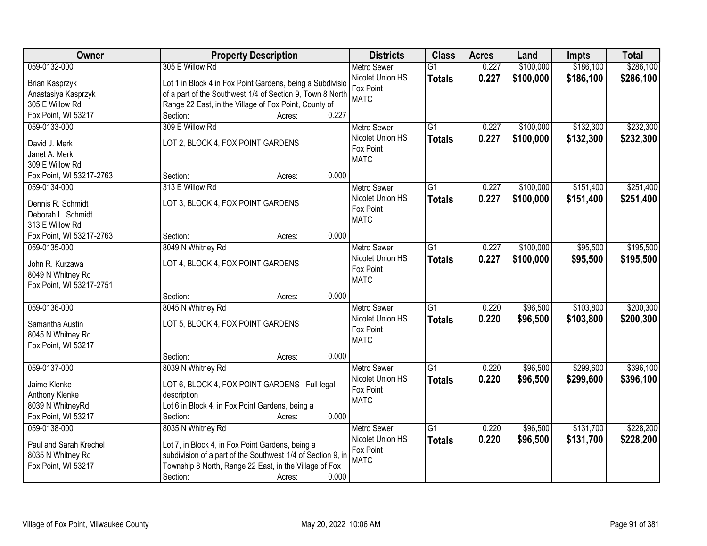| <b>Owner</b>                         | <b>Property Description</b>                                 | <b>Districts</b>         | <b>Class</b>    | <b>Acres</b> | Land      | <b>Impts</b> | <b>Total</b> |
|--------------------------------------|-------------------------------------------------------------|--------------------------|-----------------|--------------|-----------|--------------|--------------|
| 059-0132-000                         | 305 E Willow Rd                                             | <b>Metro Sewer</b>       | $\overline{G1}$ | 0.227        | \$100,000 | \$186,100    | \$286,100    |
| Brian Kasprzyk                       | Lot 1 in Block 4 in Fox Point Gardens, being a Subdivisio   | Nicolet Union HS         | <b>Totals</b>   | 0.227        | \$100,000 | \$186,100    | \$286,100    |
| Anastasiya Kasprzyk                  | of a part of the Southwest 1/4 of Section 9, Town 8 North   | Fox Point                |                 |              |           |              |              |
| 305 E Willow Rd                      | Range 22 East, in the Village of Fox Point, County of       | <b>MATC</b>              |                 |              |           |              |              |
| Fox Point, WI 53217                  | 0.227<br>Section:<br>Acres:                                 |                          |                 |              |           |              |              |
| 059-0133-000                         | 309 E Willow Rd                                             | <b>Metro Sewer</b>       | $\overline{G1}$ | 0.227        | \$100,000 | \$132,300    | \$232,300    |
|                                      |                                                             | Nicolet Union HS         | <b>Totals</b>   | 0.227        | \$100,000 | \$132,300    | \$232,300    |
| David J. Merk                        | LOT 2, BLOCK 4, FOX POINT GARDENS                           | Fox Point                |                 |              |           |              |              |
| Janet A. Merk                        |                                                             | <b>MATC</b>              |                 |              |           |              |              |
| 309 E Willow Rd                      | 0.000                                                       |                          |                 |              |           |              |              |
| Fox Point, WI 53217-2763             | Section:<br>Acres:                                          |                          |                 |              |           |              |              |
| 059-0134-000                         | 313 E Willow Rd                                             | Metro Sewer              | $\overline{G1}$ | 0.227        | \$100,000 | \$151,400    | \$251,400    |
| Dennis R. Schmidt                    | LOT 3, BLOCK 4, FOX POINT GARDENS                           | Nicolet Union HS         | <b>Totals</b>   | 0.227        | \$100,000 | \$151,400    | \$251,400    |
| Deborah L. Schmidt                   |                                                             | Fox Point<br><b>MATC</b> |                 |              |           |              |              |
| 313 E Willow Rd                      |                                                             |                          |                 |              |           |              |              |
| Fox Point, WI 53217-2763             | 0.000<br>Section:<br>Acres:                                 |                          |                 |              |           |              |              |
| 059-0135-000                         | 8049 N Whitney Rd                                           | Metro Sewer              | $\overline{G1}$ | 0.227        | \$100,000 | \$95,500     | \$195,500    |
|                                      | LOT 4, BLOCK 4, FOX POINT GARDENS                           | Nicolet Union HS         | <b>Totals</b>   | 0.227        | \$100,000 | \$95,500     | \$195,500    |
| John R. Kurzawa<br>8049 N Whitney Rd |                                                             | Fox Point                |                 |              |           |              |              |
| Fox Point, WI 53217-2751             |                                                             | <b>MATC</b>              |                 |              |           |              |              |
|                                      | 0.000<br>Section:<br>Acres:                                 |                          |                 |              |           |              |              |
| 059-0136-000                         | 8045 N Whitney Rd                                           | <b>Metro Sewer</b>       | $\overline{G1}$ | 0.220        | \$96,500  | \$103,800    | \$200,300    |
|                                      |                                                             | Nicolet Union HS         |                 | 0.220        |           | \$103,800    |              |
| Samantha Austin                      | LOT 5, BLOCK 4, FOX POINT GARDENS                           | Fox Point                | <b>Totals</b>   |              | \$96,500  |              | \$200,300    |
| 8045 N Whitney Rd                    |                                                             | <b>MATC</b>              |                 |              |           |              |              |
| Fox Point, WI 53217                  |                                                             |                          |                 |              |           |              |              |
|                                      | 0.000<br>Section:<br>Acres:                                 |                          |                 |              |           |              |              |
| 059-0137-000                         | 8039 N Whitney Rd                                           | Metro Sewer              | $\overline{G1}$ | 0.220        | \$96,500  | \$299,600    | \$396,100    |
| Jaime Klenke                         | LOT 6, BLOCK 4, FOX POINT GARDENS - Full legal              | Nicolet Union HS         | <b>Totals</b>   | 0.220        | \$96,500  | \$299,600    | \$396,100    |
| Anthony Klenke                       | description                                                 | Fox Point                |                 |              |           |              |              |
| 8039 N WhitneyRd                     | Lot 6 in Block 4, in Fox Point Gardens, being a             | <b>MATC</b>              |                 |              |           |              |              |
| Fox Point, WI 53217                  | 0.000<br>Section:<br>Acres:                                 |                          |                 |              |           |              |              |
| 059-0138-000                         | 8035 N Whitney Rd                                           | <b>Metro Sewer</b>       | $\overline{G1}$ | 0.220        | \$96,500  | \$131,700    | \$228,200    |
|                                      |                                                             | Nicolet Union HS         | <b>Totals</b>   | 0.220        | \$96,500  | \$131,700    | \$228,200    |
| Paul and Sarah Krechel               | Lot 7, in Block 4, in Fox Point Gardens, being a            | Fox Point                |                 |              |           |              |              |
| 8035 N Whitney Rd                    | subdivision of a part of the Southwest 1/4 of Section 9, in | <b>MATC</b>              |                 |              |           |              |              |
| Fox Point, WI 53217                  | Township 8 North, Range 22 East, in the Village of Fox      |                          |                 |              |           |              |              |
|                                      | 0.000<br>Section:<br>Acres:                                 |                          |                 |              |           |              |              |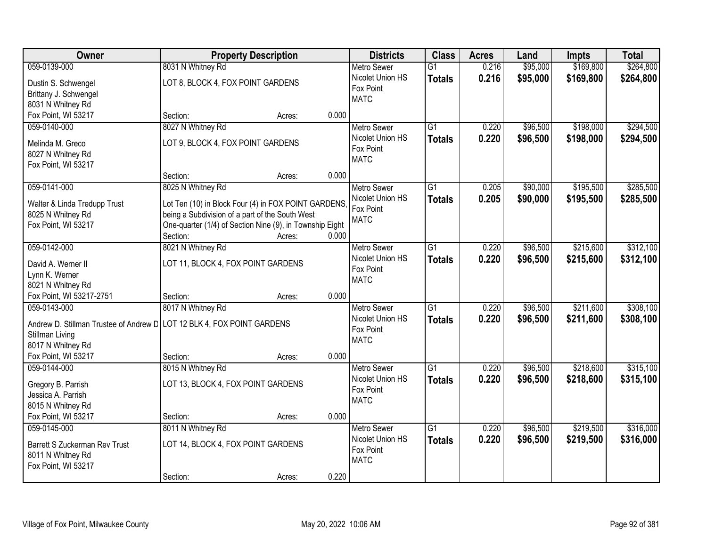| \$169,800<br>\$264,800<br>059-0139-000<br>8031 N Whitney Rd<br>\$95,000<br>$\overline{G1}$<br>0.216<br><b>Metro Sewer</b><br>0.216<br>Nicolet Union HS<br>\$95,000<br>\$169,800<br>\$264,800<br><b>Totals</b><br>LOT 8, BLOCK 4, FOX POINT GARDENS<br>Dustin S. Schwengel<br>Fox Point<br>Brittany J. Schwengel<br><b>MATC</b><br>8031 N Whitney Rd<br>0.000<br>Fox Point, WI 53217<br>Section:<br>Acres:<br>8027 N Whitney Rd<br>059-0140-000<br>$\overline{G1}$<br>0.220<br>\$96,500<br>\$198,000<br><b>Metro Sewer</b><br>Nicolet Union HS<br>0.220<br>\$198,000<br>\$96,500<br><b>Totals</b><br>LOT 9, BLOCK 4, FOX POINT GARDENS<br>Melinda M. Greco<br>Fox Point<br>8027 N Whitney Rd<br><b>MATC</b><br>Fox Point, WI 53217<br>0.000<br>Section:<br>Acres:<br>\$195,500<br>059-0141-000<br>8025 N Whitney Rd<br>$\overline{G1}$<br>0.205<br>\$90,000<br><b>Metro Sewer</b><br>Nicolet Union HS<br>0.205<br>\$90,000<br>\$195,500<br><b>Totals</b><br>Walter & Linda Tredupp Trust<br>Lot Ten (10) in Block Four (4) in FOX POINT GARDENS<br>Fox Point<br>8025 N Whitney Rd<br>being a Subdivision of a part of the South West<br><b>MATC</b><br>One-quarter (1/4) of Section Nine (9), in Township Eight<br>Fox Point, WI 53217<br>Section:<br>0.000<br>Acres:<br>8021 N Whitney Rd<br>\$96,500<br>\$215,600<br>059-0142-000<br><b>Metro Sewer</b><br>G1<br>0.220<br>Nicolet Union HS<br>0.220<br>\$96,500<br>\$215,600<br><b>Totals</b><br>David A. Werner II<br>LOT 11, BLOCK 4, FOX POINT GARDENS<br>Fox Point<br>Lynn K. Werner<br><b>MATC</b><br>8021 N Whitney Rd<br>Fox Point, WI 53217-2751<br>0.000<br>Section:<br>Acres:<br>8017 N Whitney Rd<br>\$211,600<br>059-0143-000<br>$\overline{G1}$<br>0.220<br>\$96,500<br><b>Metro Sewer</b><br>Nicolet Union HS<br>0.220<br>\$96,500<br>\$211,600<br><b>Totals</b><br>Andrew D. Stillman Trustee of Andrew D   LOT 12 BLK 4, FOX POINT GARDENS<br>Fox Point<br>Stillman Living<br><b>MATC</b><br>8017 N Whitney Rd<br>0.000<br>Fox Point, WI 53217<br>Section:<br>Acres:<br>$\overline{G1}$<br>\$96,500<br>\$218,600<br>059-0144-000<br>8015 N Whitney Rd<br>Metro Sewer<br>0.220<br>0.220<br>Nicolet Union HS<br>\$96,500<br>\$218,600<br><b>Totals</b><br>LOT 13, BLOCK 4, FOX POINT GARDENS<br>Gregory B. Parrish<br>Fox Point<br>Jessica A. Parrish<br><b>MATC</b><br>8015 N Whitney Rd<br>Fox Point, WI 53217<br>0.000<br>Section:<br>Acres:<br>\$219,500<br>059-0145-000<br>8011 N Whitney Rd<br>\$96,500<br><b>Metro Sewer</b><br>$\overline{G1}$<br>0.220<br>0.220<br>Nicolet Union HS<br>\$316,000<br>\$96,500<br>\$219,500<br><b>Totals</b><br>LOT 14, BLOCK 4, FOX POINT GARDENS<br>Barrett S Zuckerman Rev Trust<br>Fox Point<br>8011 N Whitney Rd<br><b>MATC</b><br>Fox Point, WI 53217<br>Acres: | Owner | <b>Property Description</b> |       | <b>Districts</b> | <b>Class</b> | <b>Acres</b> | Land | <b>Impts</b> | <b>Total</b> |
|-----------------------------------------------------------------------------------------------------------------------------------------------------------------------------------------------------------------------------------------------------------------------------------------------------------------------------------------------------------------------------------------------------------------------------------------------------------------------------------------------------------------------------------------------------------------------------------------------------------------------------------------------------------------------------------------------------------------------------------------------------------------------------------------------------------------------------------------------------------------------------------------------------------------------------------------------------------------------------------------------------------------------------------------------------------------------------------------------------------------------------------------------------------------------------------------------------------------------------------------------------------------------------------------------------------------------------------------------------------------------------------------------------------------------------------------------------------------------------------------------------------------------------------------------------------------------------------------------------------------------------------------------------------------------------------------------------------------------------------------------------------------------------------------------------------------------------------------------------------------------------------------------------------------------------------------------------------------------------------------------------------------------------------------------------------------------------------------------------------------------------------------------------------------------------------------------------------------------------------------------------------------------------------------------------------------------------------------------------------------------------------------------------------------------------------------------------------------------------------------------------------------------------------------------------------------------------------------------------------------------------------------------------------------------------------------------------------------------------------------------------------------------------|-------|-----------------------------|-------|------------------|--------------|--------------|------|--------------|--------------|
|                                                                                                                                                                                                                                                                                                                                                                                                                                                                                                                                                                                                                                                                                                                                                                                                                                                                                                                                                                                                                                                                                                                                                                                                                                                                                                                                                                                                                                                                                                                                                                                                                                                                                                                                                                                                                                                                                                                                                                                                                                                                                                                                                                                                                                                                                                                                                                                                                                                                                                                                                                                                                                                                                                                                                                             |       |                             |       |                  |              |              |      |              |              |
| \$294,500                                                                                                                                                                                                                                                                                                                                                                                                                                                                                                                                                                                                                                                                                                                                                                                                                                                                                                                                                                                                                                                                                                                                                                                                                                                                                                                                                                                                                                                                                                                                                                                                                                                                                                                                                                                                                                                                                                                                                                                                                                                                                                                                                                                                                                                                                                                                                                                                                                                                                                                                                                                                                                                                                                                                                                   |       |                             |       |                  |              |              |      |              |              |
|                                                                                                                                                                                                                                                                                                                                                                                                                                                                                                                                                                                                                                                                                                                                                                                                                                                                                                                                                                                                                                                                                                                                                                                                                                                                                                                                                                                                                                                                                                                                                                                                                                                                                                                                                                                                                                                                                                                                                                                                                                                                                                                                                                                                                                                                                                                                                                                                                                                                                                                                                                                                                                                                                                                                                                             |       |                             |       |                  |              |              |      |              |              |
|                                                                                                                                                                                                                                                                                                                                                                                                                                                                                                                                                                                                                                                                                                                                                                                                                                                                                                                                                                                                                                                                                                                                                                                                                                                                                                                                                                                                                                                                                                                                                                                                                                                                                                                                                                                                                                                                                                                                                                                                                                                                                                                                                                                                                                                                                                                                                                                                                                                                                                                                                                                                                                                                                                                                                                             |       |                             |       |                  |              |              |      |              |              |
| \$294,500<br>\$285,500<br>\$285,500<br>\$312,100<br>\$312,100<br>\$308,100<br>\$316,000                                                                                                                                                                                                                                                                                                                                                                                                                                                                                                                                                                                                                                                                                                                                                                                                                                                                                                                                                                                                                                                                                                                                                                                                                                                                                                                                                                                                                                                                                                                                                                                                                                                                                                                                                                                                                                                                                                                                                                                                                                                                                                                                                                                                                                                                                                                                                                                                                                                                                                                                                                                                                                                                                     |       |                             |       |                  |              |              |      |              |              |
|                                                                                                                                                                                                                                                                                                                                                                                                                                                                                                                                                                                                                                                                                                                                                                                                                                                                                                                                                                                                                                                                                                                                                                                                                                                                                                                                                                                                                                                                                                                                                                                                                                                                                                                                                                                                                                                                                                                                                                                                                                                                                                                                                                                                                                                                                                                                                                                                                                                                                                                                                                                                                                                                                                                                                                             |       |                             |       |                  |              |              |      |              |              |
|                                                                                                                                                                                                                                                                                                                                                                                                                                                                                                                                                                                                                                                                                                                                                                                                                                                                                                                                                                                                                                                                                                                                                                                                                                                                                                                                                                                                                                                                                                                                                                                                                                                                                                                                                                                                                                                                                                                                                                                                                                                                                                                                                                                                                                                                                                                                                                                                                                                                                                                                                                                                                                                                                                                                                                             |       |                             |       |                  |              |              |      |              |              |
|                                                                                                                                                                                                                                                                                                                                                                                                                                                                                                                                                                                                                                                                                                                                                                                                                                                                                                                                                                                                                                                                                                                                                                                                                                                                                                                                                                                                                                                                                                                                                                                                                                                                                                                                                                                                                                                                                                                                                                                                                                                                                                                                                                                                                                                                                                                                                                                                                                                                                                                                                                                                                                                                                                                                                                             |       |                             |       |                  |              |              |      |              |              |
|                                                                                                                                                                                                                                                                                                                                                                                                                                                                                                                                                                                                                                                                                                                                                                                                                                                                                                                                                                                                                                                                                                                                                                                                                                                                                                                                                                                                                                                                                                                                                                                                                                                                                                                                                                                                                                                                                                                                                                                                                                                                                                                                                                                                                                                                                                                                                                                                                                                                                                                                                                                                                                                                                                                                                                             |       |                             |       |                  |              |              |      |              |              |
|                                                                                                                                                                                                                                                                                                                                                                                                                                                                                                                                                                                                                                                                                                                                                                                                                                                                                                                                                                                                                                                                                                                                                                                                                                                                                                                                                                                                                                                                                                                                                                                                                                                                                                                                                                                                                                                                                                                                                                                                                                                                                                                                                                                                                                                                                                                                                                                                                                                                                                                                                                                                                                                                                                                                                                             |       |                             |       |                  |              |              |      |              |              |
|                                                                                                                                                                                                                                                                                                                                                                                                                                                                                                                                                                                                                                                                                                                                                                                                                                                                                                                                                                                                                                                                                                                                                                                                                                                                                                                                                                                                                                                                                                                                                                                                                                                                                                                                                                                                                                                                                                                                                                                                                                                                                                                                                                                                                                                                                                                                                                                                                                                                                                                                                                                                                                                                                                                                                                             |       |                             |       |                  |              |              |      |              |              |
|                                                                                                                                                                                                                                                                                                                                                                                                                                                                                                                                                                                                                                                                                                                                                                                                                                                                                                                                                                                                                                                                                                                                                                                                                                                                                                                                                                                                                                                                                                                                                                                                                                                                                                                                                                                                                                                                                                                                                                                                                                                                                                                                                                                                                                                                                                                                                                                                                                                                                                                                                                                                                                                                                                                                                                             |       |                             |       |                  |              |              |      |              |              |
|                                                                                                                                                                                                                                                                                                                                                                                                                                                                                                                                                                                                                                                                                                                                                                                                                                                                                                                                                                                                                                                                                                                                                                                                                                                                                                                                                                                                                                                                                                                                                                                                                                                                                                                                                                                                                                                                                                                                                                                                                                                                                                                                                                                                                                                                                                                                                                                                                                                                                                                                                                                                                                                                                                                                                                             |       |                             |       |                  |              |              |      |              |              |
|                                                                                                                                                                                                                                                                                                                                                                                                                                                                                                                                                                                                                                                                                                                                                                                                                                                                                                                                                                                                                                                                                                                                                                                                                                                                                                                                                                                                                                                                                                                                                                                                                                                                                                                                                                                                                                                                                                                                                                                                                                                                                                                                                                                                                                                                                                                                                                                                                                                                                                                                                                                                                                                                                                                                                                             |       |                             |       |                  |              |              |      |              |              |
|                                                                                                                                                                                                                                                                                                                                                                                                                                                                                                                                                                                                                                                                                                                                                                                                                                                                                                                                                                                                                                                                                                                                                                                                                                                                                                                                                                                                                                                                                                                                                                                                                                                                                                                                                                                                                                                                                                                                                                                                                                                                                                                                                                                                                                                                                                                                                                                                                                                                                                                                                                                                                                                                                                                                                                             |       |                             |       |                  |              |              |      |              |              |
|                                                                                                                                                                                                                                                                                                                                                                                                                                                                                                                                                                                                                                                                                                                                                                                                                                                                                                                                                                                                                                                                                                                                                                                                                                                                                                                                                                                                                                                                                                                                                                                                                                                                                                                                                                                                                                                                                                                                                                                                                                                                                                                                                                                                                                                                                                                                                                                                                                                                                                                                                                                                                                                                                                                                                                             |       |                             |       |                  |              |              |      |              |              |
|                                                                                                                                                                                                                                                                                                                                                                                                                                                                                                                                                                                                                                                                                                                                                                                                                                                                                                                                                                                                                                                                                                                                                                                                                                                                                                                                                                                                                                                                                                                                                                                                                                                                                                                                                                                                                                                                                                                                                                                                                                                                                                                                                                                                                                                                                                                                                                                                                                                                                                                                                                                                                                                                                                                                                                             |       |                             |       |                  |              |              |      |              |              |
|                                                                                                                                                                                                                                                                                                                                                                                                                                                                                                                                                                                                                                                                                                                                                                                                                                                                                                                                                                                                                                                                                                                                                                                                                                                                                                                                                                                                                                                                                                                                                                                                                                                                                                                                                                                                                                                                                                                                                                                                                                                                                                                                                                                                                                                                                                                                                                                                                                                                                                                                                                                                                                                                                                                                                                             |       |                             |       |                  |              |              |      |              |              |
| \$308,100<br>\$315,100<br>\$315,100                                                                                                                                                                                                                                                                                                                                                                                                                                                                                                                                                                                                                                                                                                                                                                                                                                                                                                                                                                                                                                                                                                                                                                                                                                                                                                                                                                                                                                                                                                                                                                                                                                                                                                                                                                                                                                                                                                                                                                                                                                                                                                                                                                                                                                                                                                                                                                                                                                                                                                                                                                                                                                                                                                                                         |       |                             |       |                  |              |              |      |              |              |
|                                                                                                                                                                                                                                                                                                                                                                                                                                                                                                                                                                                                                                                                                                                                                                                                                                                                                                                                                                                                                                                                                                                                                                                                                                                                                                                                                                                                                                                                                                                                                                                                                                                                                                                                                                                                                                                                                                                                                                                                                                                                                                                                                                                                                                                                                                                                                                                                                                                                                                                                                                                                                                                                                                                                                                             |       |                             |       |                  |              |              |      |              |              |
|                                                                                                                                                                                                                                                                                                                                                                                                                                                                                                                                                                                                                                                                                                                                                                                                                                                                                                                                                                                                                                                                                                                                                                                                                                                                                                                                                                                                                                                                                                                                                                                                                                                                                                                                                                                                                                                                                                                                                                                                                                                                                                                                                                                                                                                                                                                                                                                                                                                                                                                                                                                                                                                                                                                                                                             |       |                             |       |                  |              |              |      |              |              |
|                                                                                                                                                                                                                                                                                                                                                                                                                                                                                                                                                                                                                                                                                                                                                                                                                                                                                                                                                                                                                                                                                                                                                                                                                                                                                                                                                                                                                                                                                                                                                                                                                                                                                                                                                                                                                                                                                                                                                                                                                                                                                                                                                                                                                                                                                                                                                                                                                                                                                                                                                                                                                                                                                                                                                                             |       |                             |       |                  |              |              |      |              |              |
|                                                                                                                                                                                                                                                                                                                                                                                                                                                                                                                                                                                                                                                                                                                                                                                                                                                                                                                                                                                                                                                                                                                                                                                                                                                                                                                                                                                                                                                                                                                                                                                                                                                                                                                                                                                                                                                                                                                                                                                                                                                                                                                                                                                                                                                                                                                                                                                                                                                                                                                                                                                                                                                                                                                                                                             |       |                             |       |                  |              |              |      |              |              |
|                                                                                                                                                                                                                                                                                                                                                                                                                                                                                                                                                                                                                                                                                                                                                                                                                                                                                                                                                                                                                                                                                                                                                                                                                                                                                                                                                                                                                                                                                                                                                                                                                                                                                                                                                                                                                                                                                                                                                                                                                                                                                                                                                                                                                                                                                                                                                                                                                                                                                                                                                                                                                                                                                                                                                                             |       |                             |       |                  |              |              |      |              |              |
|                                                                                                                                                                                                                                                                                                                                                                                                                                                                                                                                                                                                                                                                                                                                                                                                                                                                                                                                                                                                                                                                                                                                                                                                                                                                                                                                                                                                                                                                                                                                                                                                                                                                                                                                                                                                                                                                                                                                                                                                                                                                                                                                                                                                                                                                                                                                                                                                                                                                                                                                                                                                                                                                                                                                                                             |       |                             |       |                  |              |              |      |              |              |
|                                                                                                                                                                                                                                                                                                                                                                                                                                                                                                                                                                                                                                                                                                                                                                                                                                                                                                                                                                                                                                                                                                                                                                                                                                                                                                                                                                                                                                                                                                                                                                                                                                                                                                                                                                                                                                                                                                                                                                                                                                                                                                                                                                                                                                                                                                                                                                                                                                                                                                                                                                                                                                                                                                                                                                             |       |                             |       |                  |              |              |      |              |              |
|                                                                                                                                                                                                                                                                                                                                                                                                                                                                                                                                                                                                                                                                                                                                                                                                                                                                                                                                                                                                                                                                                                                                                                                                                                                                                                                                                                                                                                                                                                                                                                                                                                                                                                                                                                                                                                                                                                                                                                                                                                                                                                                                                                                                                                                                                                                                                                                                                                                                                                                                                                                                                                                                                                                                                                             |       |                             |       |                  |              |              |      |              |              |
|                                                                                                                                                                                                                                                                                                                                                                                                                                                                                                                                                                                                                                                                                                                                                                                                                                                                                                                                                                                                                                                                                                                                                                                                                                                                                                                                                                                                                                                                                                                                                                                                                                                                                                                                                                                                                                                                                                                                                                                                                                                                                                                                                                                                                                                                                                                                                                                                                                                                                                                                                                                                                                                                                                                                                                             |       |                             |       |                  |              |              |      |              |              |
|                                                                                                                                                                                                                                                                                                                                                                                                                                                                                                                                                                                                                                                                                                                                                                                                                                                                                                                                                                                                                                                                                                                                                                                                                                                                                                                                                                                                                                                                                                                                                                                                                                                                                                                                                                                                                                                                                                                                                                                                                                                                                                                                                                                                                                                                                                                                                                                                                                                                                                                                                                                                                                                                                                                                                                             |       |                             |       |                  |              |              |      |              |              |
|                                                                                                                                                                                                                                                                                                                                                                                                                                                                                                                                                                                                                                                                                                                                                                                                                                                                                                                                                                                                                                                                                                                                                                                                                                                                                                                                                                                                                                                                                                                                                                                                                                                                                                                                                                                                                                                                                                                                                                                                                                                                                                                                                                                                                                                                                                                                                                                                                                                                                                                                                                                                                                                                                                                                                                             |       |                             |       |                  |              |              |      |              |              |
|                                                                                                                                                                                                                                                                                                                                                                                                                                                                                                                                                                                                                                                                                                                                                                                                                                                                                                                                                                                                                                                                                                                                                                                                                                                                                                                                                                                                                                                                                                                                                                                                                                                                                                                                                                                                                                                                                                                                                                                                                                                                                                                                                                                                                                                                                                                                                                                                                                                                                                                                                                                                                                                                                                                                                                             |       |                             |       |                  |              |              |      |              |              |
|                                                                                                                                                                                                                                                                                                                                                                                                                                                                                                                                                                                                                                                                                                                                                                                                                                                                                                                                                                                                                                                                                                                                                                                                                                                                                                                                                                                                                                                                                                                                                                                                                                                                                                                                                                                                                                                                                                                                                                                                                                                                                                                                                                                                                                                                                                                                                                                                                                                                                                                                                                                                                                                                                                                                                                             |       |                             |       |                  |              |              |      |              |              |
|                                                                                                                                                                                                                                                                                                                                                                                                                                                                                                                                                                                                                                                                                                                                                                                                                                                                                                                                                                                                                                                                                                                                                                                                                                                                                                                                                                                                                                                                                                                                                                                                                                                                                                                                                                                                                                                                                                                                                                                                                                                                                                                                                                                                                                                                                                                                                                                                                                                                                                                                                                                                                                                                                                                                                                             |       |                             |       |                  |              |              |      |              |              |
|                                                                                                                                                                                                                                                                                                                                                                                                                                                                                                                                                                                                                                                                                                                                                                                                                                                                                                                                                                                                                                                                                                                                                                                                                                                                                                                                                                                                                                                                                                                                                                                                                                                                                                                                                                                                                                                                                                                                                                                                                                                                                                                                                                                                                                                                                                                                                                                                                                                                                                                                                                                                                                                                                                                                                                             |       |                             |       |                  |              |              |      |              |              |
|                                                                                                                                                                                                                                                                                                                                                                                                                                                                                                                                                                                                                                                                                                                                                                                                                                                                                                                                                                                                                                                                                                                                                                                                                                                                                                                                                                                                                                                                                                                                                                                                                                                                                                                                                                                                                                                                                                                                                                                                                                                                                                                                                                                                                                                                                                                                                                                                                                                                                                                                                                                                                                                                                                                                                                             |       | Section:                    | 0.220 |                  |              |              |      |              |              |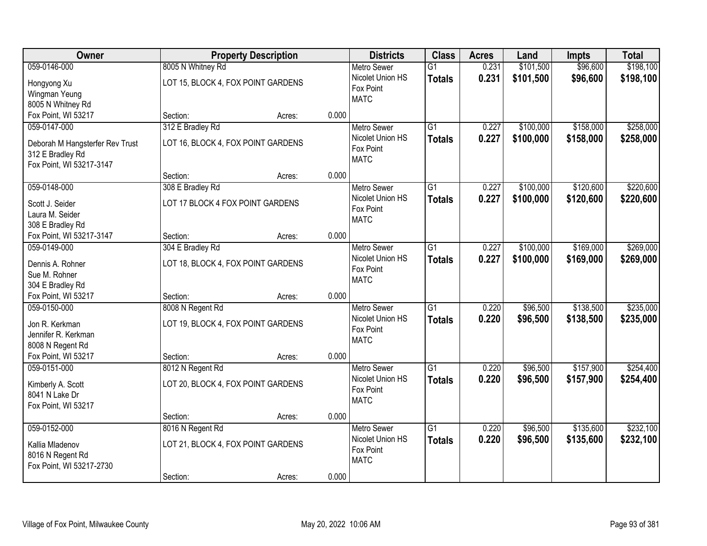| Owner                                   |                                    | <b>Property Description</b> |       | <b>Districts</b>   | <b>Class</b>    | <b>Acres</b> | Land      | <b>Impts</b> | <b>Total</b> |
|-----------------------------------------|------------------------------------|-----------------------------|-------|--------------------|-----------------|--------------|-----------|--------------|--------------|
| 059-0146-000                            | 8005 N Whitney Rd                  |                             |       | <b>Metro Sewer</b> | $\overline{G1}$ | 0.231        | \$101,500 | \$96,600     | \$198,100    |
| Hongyong Xu                             | LOT 15, BLOCK 4, FOX POINT GARDENS |                             |       | Nicolet Union HS   | <b>Totals</b>   | 0.231        | \$101,500 | \$96,600     | \$198,100    |
| Wingman Yeung                           |                                    |                             |       | Fox Point          |                 |              |           |              |              |
| 8005 N Whitney Rd                       |                                    |                             |       | <b>MATC</b>        |                 |              |           |              |              |
| Fox Point, WI 53217                     | Section:                           | Acres:                      | 0.000 |                    |                 |              |           |              |              |
| 059-0147-000                            | 312 E Bradley Rd                   |                             |       | <b>Metro Sewer</b> | $\overline{G1}$ | 0.227        | \$100,000 | \$158,000    | \$258,000    |
| Deborah M Hangsterfer Rev Trust         | LOT 16, BLOCK 4, FOX POINT GARDENS |                             |       | Nicolet Union HS   | <b>Totals</b>   | 0.227        | \$100,000 | \$158,000    | \$258,000    |
| 312 E Bradley Rd                        |                                    |                             |       | Fox Point          |                 |              |           |              |              |
| Fox Point, WI 53217-3147                |                                    |                             |       | <b>MATC</b>        |                 |              |           |              |              |
|                                         | Section:                           | Acres:                      | 0.000 |                    |                 |              |           |              |              |
| 059-0148-000                            | 308 E Bradley Rd                   |                             |       | Metro Sewer        | $\overline{G1}$ | 0.227        | \$100,000 | \$120,600    | \$220,600    |
| Scott J. Seider                         | LOT 17 BLOCK 4 FOX POINT GARDENS   |                             |       | Nicolet Union HS   | <b>Totals</b>   | 0.227        | \$100,000 | \$120,600    | \$220,600    |
| Laura M. Seider                         |                                    |                             |       | Fox Point          |                 |              |           |              |              |
| 308 E Bradley Rd                        |                                    |                             |       | <b>MATC</b>        |                 |              |           |              |              |
| Fox Point, WI 53217-3147                | Section:                           | Acres:                      | 0.000 |                    |                 |              |           |              |              |
| 059-0149-000                            | 304 E Bradley Rd                   |                             |       | <b>Metro Sewer</b> | $\overline{G1}$ | 0.227        | \$100,000 | \$169,000    | \$269,000    |
| Dennis A. Rohner                        | LOT 18, BLOCK 4, FOX POINT GARDENS |                             |       | Nicolet Union HS   | <b>Totals</b>   | 0.227        | \$100,000 | \$169,000    | \$269,000    |
| Sue M. Rohner                           |                                    |                             |       | Fox Point          |                 |              |           |              |              |
| 304 E Bradley Rd                        |                                    |                             |       | <b>MATC</b>        |                 |              |           |              |              |
| Fox Point, WI 53217                     | Section:                           | Acres:                      | 0.000 |                    |                 |              |           |              |              |
| 059-0150-000                            | 8008 N Regent Rd                   |                             |       | <b>Metro Sewer</b> | $\overline{G1}$ | 0.220        | \$96,500  | \$138,500    | \$235,000    |
|                                         |                                    |                             |       | Nicolet Union HS   | <b>Totals</b>   | 0.220        | \$96,500  | \$138,500    | \$235,000    |
| Jon R. Kerkman                          | LOT 19, BLOCK 4, FOX POINT GARDENS |                             |       | Fox Point          |                 |              |           |              |              |
| Jennifer R. Kerkman<br>8008 N Regent Rd |                                    |                             |       | <b>MATC</b>        |                 |              |           |              |              |
| Fox Point, WI 53217                     | Section:                           | Acres:                      | 0.000 |                    |                 |              |           |              |              |
| 059-0151-000                            | 8012 N Regent Rd                   |                             |       | <b>Metro Sewer</b> | G1              | 0.220        | \$96,500  | \$157,900    | \$254,400    |
|                                         |                                    |                             |       | Nicolet Union HS   | <b>Totals</b>   | 0.220        | \$96,500  | \$157,900    | \$254,400    |
| Kimberly A. Scott                       | LOT 20, BLOCK 4, FOX POINT GARDENS |                             |       | Fox Point          |                 |              |           |              |              |
| 8041 N Lake Dr                          |                                    |                             |       | <b>MATC</b>        |                 |              |           |              |              |
| Fox Point, WI 53217                     |                                    |                             | 0.000 |                    |                 |              |           |              |              |
| 059-0152-000                            | Section:                           | Acres:                      |       | <b>Metro Sewer</b> | $\overline{G1}$ | 0.220        | \$96,500  | \$135,600    | \$232,100    |
|                                         | 8016 N Regent Rd                   |                             |       | Nicolet Union HS   |                 | 0.220        | \$96,500  | \$135,600    |              |
| Kallia Mladenov                         | LOT 21, BLOCK 4, FOX POINT GARDENS |                             |       | Fox Point          | <b>Totals</b>   |              |           |              | \$232,100    |
| 8016 N Regent Rd                        |                                    |                             |       | <b>MATC</b>        |                 |              |           |              |              |
| Fox Point, WI 53217-2730                |                                    |                             |       |                    |                 |              |           |              |              |
|                                         | Section:                           | Acres:                      | 0.000 |                    |                 |              |           |              |              |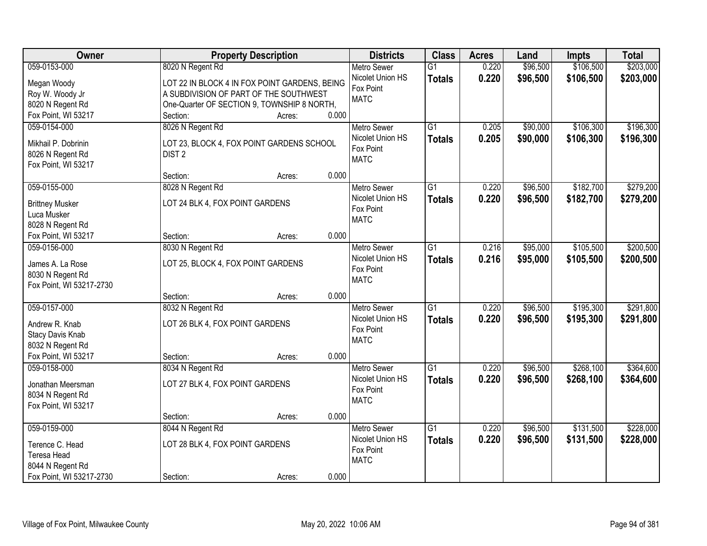| Owner                    |                                               | <b>Property Description</b> |       | <b>Districts</b>              | <b>Class</b>    | <b>Acres</b> | Land     | <b>Impts</b> | <b>Total</b> |
|--------------------------|-----------------------------------------------|-----------------------------|-------|-------------------------------|-----------------|--------------|----------|--------------|--------------|
| 059-0153-000             | 8020 N Regent Rd                              |                             |       | <b>Metro Sewer</b>            | $\overline{G1}$ | 0.220        | \$96,500 | \$106,500    | \$203,000    |
| Megan Woody              | LOT 22 IN BLOCK 4 IN FOX POINT GARDENS, BEING |                             |       | Nicolet Union HS              | <b>Totals</b>   | 0.220        | \$96,500 | \$106,500    | \$203,000    |
| Roy W. Woody Jr          | A SUBDIVISION OF PART OF THE SOUTHWEST        |                             |       | Fox Point                     |                 |              |          |              |              |
| 8020 N Regent Rd         | One-Quarter OF SECTION 9, TOWNSHIP 8 NORTH,   |                             |       | <b>MATC</b>                   |                 |              |          |              |              |
| Fox Point, WI 53217      | Section:                                      | Acres:                      | 0.000 |                               |                 |              |          |              |              |
| 059-0154-000             | 8026 N Regent Rd                              |                             |       | Metro Sewer                   | $\overline{G1}$ | 0.205        | \$90,000 | \$106,300    | \$196,300    |
|                          |                                               |                             |       | Nicolet Union HS              | <b>Totals</b>   | 0.205        | \$90,000 | \$106,300    | \$196,300    |
| Mikhail P. Dobrinin      | LOT 23, BLOCK 4, FOX POINT GARDENS SCHOOL     |                             |       | Fox Point                     |                 |              |          |              |              |
| 8026 N Regent Rd         | DIST <sub>2</sub>                             |                             |       | <b>MATC</b>                   |                 |              |          |              |              |
| Fox Point, WI 53217      |                                               |                             | 0.000 |                               |                 |              |          |              |              |
|                          | Section:                                      | Acres:                      |       |                               |                 |              |          |              |              |
| 059-0155-000             | 8028 N Regent Rd                              |                             |       | <b>Metro Sewer</b>            | G1              | 0.220        | \$96,500 | \$182,700    | \$279,200    |
| <b>Brittney Musker</b>   | LOT 24 BLK 4, FOX POINT GARDENS               |                             |       | Nicolet Union HS<br>Fox Point | <b>Totals</b>   | 0.220        | \$96,500 | \$182,700    | \$279,200    |
| Luca Musker              |                                               |                             |       | <b>MATC</b>                   |                 |              |          |              |              |
| 8028 N Regent Rd         |                                               |                             |       |                               |                 |              |          |              |              |
| Fox Point, WI 53217      | Section:                                      | Acres:                      | 0.000 |                               |                 |              |          |              |              |
| 059-0156-000             | 8030 N Regent Rd                              |                             |       | <b>Metro Sewer</b>            | G1              | 0.216        | \$95,000 | \$105,500    | \$200,500    |
| James A. La Rose         | LOT 25, BLOCK 4, FOX POINT GARDENS            |                             |       | Nicolet Union HS              | <b>Totals</b>   | 0.216        | \$95,000 | \$105,500    | \$200,500    |
| 8030 N Regent Rd         |                                               |                             |       | Fox Point                     |                 |              |          |              |              |
| Fox Point, WI 53217-2730 |                                               |                             |       | <b>MATC</b>                   |                 |              |          |              |              |
|                          | Section:                                      | Acres:                      | 0.000 |                               |                 |              |          |              |              |
| 059-0157-000             | 8032 N Regent Rd                              |                             |       | <b>Metro Sewer</b>            | $\overline{G1}$ | 0.220        | \$96,500 | \$195,300    | \$291,800    |
|                          |                                               |                             |       | Nicolet Union HS              | <b>Totals</b>   | 0.220        | \$96,500 | \$195,300    | \$291,800    |
| Andrew R. Knab           | LOT 26 BLK 4, FOX POINT GARDENS               |                             |       | Fox Point                     |                 |              |          |              |              |
| <b>Stacy Davis Knab</b>  |                                               |                             |       | <b>MATC</b>                   |                 |              |          |              |              |
| 8032 N Regent Rd         |                                               |                             |       |                               |                 |              |          |              |              |
| Fox Point, WI 53217      | Section:                                      | Acres:                      | 0.000 |                               |                 |              |          |              |              |
| 059-0158-000             | 8034 N Regent Rd                              |                             |       | Metro Sewer                   | $\overline{G1}$ | 0.220        | \$96,500 | \$268,100    | \$364,600    |
| Jonathan Meersman        | LOT 27 BLK 4, FOX POINT GARDENS               |                             |       | Nicolet Union HS              | <b>Totals</b>   | 0.220        | \$96,500 | \$268,100    | \$364,600    |
| 8034 N Regent Rd         |                                               |                             |       | Fox Point                     |                 |              |          |              |              |
| Fox Point, WI 53217      |                                               |                             |       | <b>MATC</b>                   |                 |              |          |              |              |
|                          | Section:                                      | Acres:                      | 0.000 |                               |                 |              |          |              |              |
| 059-0159-000             | 8044 N Regent Rd                              |                             |       | <b>Metro Sewer</b>            | $\overline{G1}$ | 0.220        | \$96,500 | \$131,500    | \$228,000    |
|                          |                                               |                             |       | Nicolet Union HS              | <b>Totals</b>   | 0.220        | \$96,500 | \$131,500    | \$228,000    |
| Terence C. Head          | LOT 28 BLK 4, FOX POINT GARDENS               |                             |       | Fox Point                     |                 |              |          |              |              |
| Teresa Head              |                                               |                             |       | <b>MATC</b>                   |                 |              |          |              |              |
| 8044 N Regent Rd         |                                               |                             | 0.000 |                               |                 |              |          |              |              |
| Fox Point, WI 53217-2730 | Section:                                      | Acres:                      |       |                               |                 |              |          |              |              |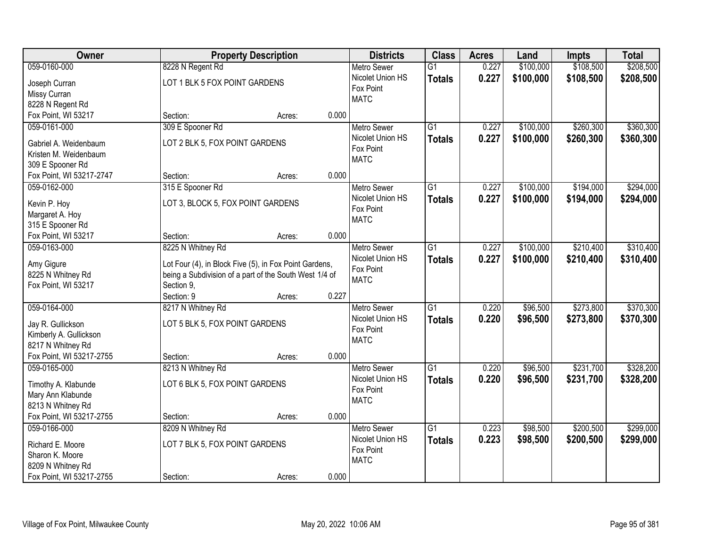| Owner                                          |                                                        | <b>Property Description</b> |       | <b>Districts</b>              | <b>Class</b>    | <b>Acres</b> | Land      | <b>Impts</b> | <b>Total</b> |
|------------------------------------------------|--------------------------------------------------------|-----------------------------|-------|-------------------------------|-----------------|--------------|-----------|--------------|--------------|
| 059-0160-000                                   | 8228 N Regent Rd                                       |                             |       | <b>Metro Sewer</b>            | $\overline{G1}$ | 0.227        | \$100,000 | \$108,500    | \$208,500    |
| Joseph Curran                                  | LOT 1 BLK 5 FOX POINT GARDENS                          |                             |       | Nicolet Union HS              | <b>Totals</b>   | 0.227        | \$100,000 | \$108,500    | \$208,500    |
| Missy Curran                                   |                                                        |                             |       | Fox Point                     |                 |              |           |              |              |
| 8228 N Regent Rd                               |                                                        |                             |       | <b>MATC</b>                   |                 |              |           |              |              |
| Fox Point, WI 53217                            | Section:                                               | Acres:                      | 0.000 |                               |                 |              |           |              |              |
| 059-0161-000                                   | 309 E Spooner Rd                                       |                             |       | Metro Sewer                   | $\overline{G1}$ | 0.227        | \$100,000 | \$260,300    | \$360,300    |
|                                                | LOT 2 BLK 5, FOX POINT GARDENS                         |                             |       | Nicolet Union HS              | <b>Totals</b>   | 0.227        | \$100,000 | \$260,300    | \$360,300    |
| Gabriel A. Weidenbaum<br>Kristen M. Weidenbaum |                                                        |                             |       | Fox Point                     |                 |              |           |              |              |
| 309 E Spooner Rd                               |                                                        |                             |       | <b>MATC</b>                   |                 |              |           |              |              |
| Fox Point, WI 53217-2747                       | Section:                                               | Acres:                      | 0.000 |                               |                 |              |           |              |              |
| 059-0162-000                                   | 315 E Spooner Rd                                       |                             |       | Metro Sewer                   | G1              | 0.227        | \$100,000 | \$194,000    | \$294,000    |
|                                                |                                                        |                             |       | Nicolet Union HS              | <b>Totals</b>   | 0.227        | \$100,000 | \$194,000    | \$294,000    |
| Kevin P. Hoy                                   | LOT 3, BLOCK 5, FOX POINT GARDENS                      |                             |       | Fox Point                     |                 |              |           |              |              |
| Margaret A. Hoy                                |                                                        |                             |       | <b>MATC</b>                   |                 |              |           |              |              |
| 315 E Spooner Rd                               |                                                        |                             |       |                               |                 |              |           |              |              |
| Fox Point, WI 53217                            | Section:                                               | Acres:                      | 0.000 |                               |                 |              |           |              |              |
| 059-0163-000                                   | 8225 N Whitney Rd                                      |                             |       | <b>Metro Sewer</b>            | G1              | 0.227        | \$100,000 | \$210,400    | \$310,400    |
| Amy Gigure                                     | Lot Four (4), in Block Five (5), in Fox Point Gardens, |                             |       | Nicolet Union HS              | <b>Totals</b>   | 0.227        | \$100,000 | \$210,400    | \$310,400    |
| 8225 N Whitney Rd                              | being a Subdivision of a part of the South West 1/4 of |                             |       | Fox Point                     |                 |              |           |              |              |
| Fox Point, WI 53217                            | Section 9,                                             |                             |       | <b>MATC</b>                   |                 |              |           |              |              |
|                                                | Section: 9                                             | Acres:                      | 0.227 |                               |                 |              |           |              |              |
| 059-0164-000                                   | 8217 N Whitney Rd                                      |                             |       | <b>Metro Sewer</b>            | $\overline{G1}$ | 0.220        | \$96,500  | \$273,800    | \$370,300    |
| Jay R. Gullickson                              | LOT 5 BLK 5, FOX POINT GARDENS                         |                             |       | Nicolet Union HS              | Totals          | 0.220        | \$96,500  | \$273,800    | \$370,300    |
| Kimberly A. Gullickson                         |                                                        |                             |       | Fox Point                     |                 |              |           |              |              |
| 8217 N Whitney Rd                              |                                                        |                             |       | <b>MATC</b>                   |                 |              |           |              |              |
| Fox Point, WI 53217-2755                       | Section:                                               | Acres:                      | 0.000 |                               |                 |              |           |              |              |
| 059-0165-000                                   | 8213 N Whitney Rd                                      |                             |       | Metro Sewer                   | $\overline{G1}$ | 0.220        | \$96,500  | \$231,700    | \$328,200    |
|                                                |                                                        |                             |       | Nicolet Union HS              | <b>Totals</b>   | 0.220        | \$96,500  | \$231,700    | \$328,200    |
| Timothy A. Klabunde                            | LOT 6 BLK 5, FOX POINT GARDENS                         |                             |       | Fox Point                     |                 |              |           |              |              |
| Mary Ann Klabunde                              |                                                        |                             |       | <b>MATC</b>                   |                 |              |           |              |              |
| 8213 N Whitney Rd                              |                                                        |                             | 0.000 |                               |                 |              |           |              |              |
| Fox Point, WI 53217-2755                       | Section:                                               | Acres:                      |       |                               |                 |              |           |              |              |
| 059-0166-000                                   | 8209 N Whitney Rd                                      |                             |       | <b>Metro Sewer</b>            | $\overline{G1}$ | 0.223        | \$98,500  | \$200,500    | \$299,000    |
| Richard E. Moore                               | LOT 7 BLK 5, FOX POINT GARDENS                         |                             |       | Nicolet Union HS<br>Fox Point | <b>Totals</b>   | 0.223        | \$98,500  | \$200,500    | \$299,000    |
| Sharon K. Moore                                |                                                        |                             |       | <b>MATC</b>                   |                 |              |           |              |              |
| 8209 N Whitney Rd                              |                                                        |                             |       |                               |                 |              |           |              |              |
| Fox Point, WI 53217-2755                       | Section:                                               | Acres:                      | 0.000 |                               |                 |              |           |              |              |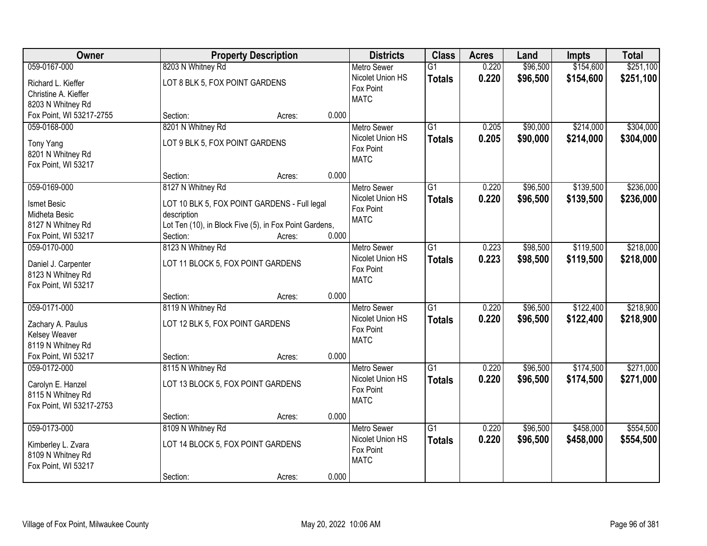| Owner                    |                                                        | <b>Property Description</b> |       | <b>Districts</b>   | <b>Class</b>    | <b>Acres</b> | Land     | <b>Impts</b> | <b>Total</b> |
|--------------------------|--------------------------------------------------------|-----------------------------|-------|--------------------|-----------------|--------------|----------|--------------|--------------|
| 059-0167-000             | 8203 N Whitney Rd                                      |                             |       | <b>Metro Sewer</b> | $\overline{G1}$ | 0.220        | \$96,500 | \$154,600    | \$251,100    |
| Richard L. Kieffer       | LOT 8 BLK 5, FOX POINT GARDENS                         |                             |       | Nicolet Union HS   | <b>Totals</b>   | 0.220        | \$96,500 | \$154,600    | \$251,100    |
| Christine A. Kieffer     |                                                        |                             |       | Fox Point          |                 |              |          |              |              |
| 8203 N Whitney Rd        |                                                        |                             |       | <b>MATC</b>        |                 |              |          |              |              |
| Fox Point, WI 53217-2755 | Section:                                               | Acres:                      | 0.000 |                    |                 |              |          |              |              |
| 059-0168-000             | 8201 N Whitney Rd                                      |                             |       | <b>Metro Sewer</b> | $\overline{G1}$ | 0.205        | \$90,000 | \$214,000    | \$304,000    |
| Tony Yang                | LOT 9 BLK 5, FOX POINT GARDENS                         |                             |       | Nicolet Union HS   | <b>Totals</b>   | 0.205        | \$90,000 | \$214,000    | \$304,000    |
| 8201 N Whitney Rd        |                                                        |                             |       | Fox Point          |                 |              |          |              |              |
| Fox Point, WI 53217      |                                                        |                             |       | <b>MATC</b>        |                 |              |          |              |              |
|                          | Section:                                               | Acres:                      | 0.000 |                    |                 |              |          |              |              |
| 059-0169-000             | 8127 N Whitney Rd                                      |                             |       | <b>Metro Sewer</b> | G1              | 0.220        | \$96,500 | \$139,500    | \$236,000    |
| Ismet Besic              | LOT 10 BLK 5, FOX POINT GARDENS - Full legal           |                             |       | Nicolet Union HS   | <b>Totals</b>   | 0.220        | \$96,500 | \$139,500    | \$236,000    |
| Midheta Besic            | description                                            |                             |       | Fox Point          |                 |              |          |              |              |
| 8127 N Whitney Rd        | Lot Ten (10), in Block Five (5), in Fox Point Gardens, |                             |       | <b>MATC</b>        |                 |              |          |              |              |
| Fox Point, WI 53217      | Section:                                               | Acres:                      | 0.000 |                    |                 |              |          |              |              |
| 059-0170-000             | 8123 N Whitney Rd                                      |                             |       | <b>Metro Sewer</b> | G1              | 0.223        | \$98,500 | \$119,500    | \$218,000    |
|                          |                                                        |                             |       | Nicolet Union HS   | <b>Totals</b>   | 0.223        | \$98,500 | \$119,500    | \$218,000    |
| Daniel J. Carpenter      | LOT 11 BLOCK 5, FOX POINT GARDENS                      |                             |       | Fox Point          |                 |              |          |              |              |
| 8123 N Whitney Rd        |                                                        |                             |       | <b>MATC</b>        |                 |              |          |              |              |
| Fox Point, WI 53217      | Section:                                               | Acres:                      | 0.000 |                    |                 |              |          |              |              |
| 059-0171-000             | 8119 N Whitney Rd                                      |                             |       | <b>Metro Sewer</b> | $\overline{G1}$ | 0.220        | \$96,500 | \$122,400    | \$218,900    |
|                          |                                                        |                             |       | Nicolet Union HS   | <b>Totals</b>   | 0.220        | \$96,500 | \$122,400    | \$218,900    |
| Zachary A. Paulus        | LOT 12 BLK 5, FOX POINT GARDENS                        |                             |       | Fox Point          |                 |              |          |              |              |
| <b>Kelsey Weaver</b>     |                                                        |                             |       | <b>MATC</b>        |                 |              |          |              |              |
| 8119 N Whitney Rd        |                                                        |                             |       |                    |                 |              |          |              |              |
| Fox Point, WI 53217      | Section:                                               | Acres:                      | 0.000 |                    |                 |              |          |              |              |
| 059-0172-000             | 8115 N Whitney Rd                                      |                             |       | Metro Sewer        | $\overline{G1}$ | 0.220        | \$96,500 | \$174,500    | \$271,000    |
| Carolyn E. Hanzel        | LOT 13 BLOCK 5, FOX POINT GARDENS                      |                             |       | Nicolet Union HS   | <b>Totals</b>   | 0.220        | \$96,500 | \$174,500    | \$271,000    |
| 8115 N Whitney Rd        |                                                        |                             |       | Fox Point          |                 |              |          |              |              |
| Fox Point, WI 53217-2753 |                                                        |                             |       | <b>MATC</b>        |                 |              |          |              |              |
|                          | Section:                                               | Acres:                      | 0.000 |                    |                 |              |          |              |              |
| 059-0173-000             | 8109 N Whitney Rd                                      |                             |       | <b>Metro Sewer</b> | $\overline{G1}$ | 0.220        | \$96,500 | \$458,000    | \$554,500    |
| Kimberley L. Zvara       | LOT 14 BLOCK 5, FOX POINT GARDENS                      |                             |       | Nicolet Union HS   | <b>Totals</b>   | 0.220        | \$96,500 | \$458,000    | \$554,500    |
| 8109 N Whitney Rd        |                                                        |                             |       | Fox Point          |                 |              |          |              |              |
| Fox Point, WI 53217      |                                                        |                             |       | <b>MATC</b>        |                 |              |          |              |              |
|                          | Section:                                               | Acres:                      | 0.000 |                    |                 |              |          |              |              |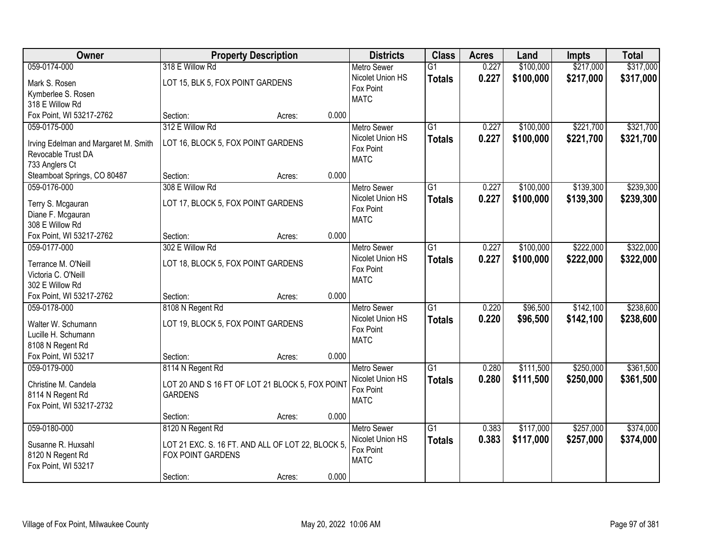| Owner                                                      | <b>Property Description</b>                       |                 | <b>Districts</b>         | <b>Class</b>    | <b>Acres</b> | Land      | <b>Impts</b> | <b>Total</b> |
|------------------------------------------------------------|---------------------------------------------------|-----------------|--------------------------|-----------------|--------------|-----------|--------------|--------------|
| 059-0174-000                                               | 318 E Willow Rd                                   |                 | <b>Metro Sewer</b>       | $\overline{G1}$ | 0.227        | \$100,000 | \$217,000    | \$317,000    |
| Mark S. Rosen                                              | LOT 15, BLK 5, FOX POINT GARDENS                  |                 | Nicolet Union HS         | <b>Totals</b>   | 0.227        | \$100,000 | \$217,000    | \$317,000    |
| Kymberlee S. Rosen                                         |                                                   |                 | Fox Point                |                 |              |           |              |              |
| 318 E Willow Rd                                            |                                                   |                 | <b>MATC</b>              |                 |              |           |              |              |
| Fox Point, WI 53217-2762                                   | Section:                                          | 0.000<br>Acres: |                          |                 |              |           |              |              |
| 059-0175-000                                               | 312 E Willow Rd                                   |                 | <b>Metro Sewer</b>       | $\overline{G1}$ | 0.227        | \$100,000 | \$221,700    | \$321,700    |
|                                                            | LOT 16, BLOCK 5, FOX POINT GARDENS                |                 | Nicolet Union HS         | <b>Totals</b>   | 0.227        | \$100,000 | \$221,700    | \$321,700    |
| Irving Edelman and Margaret M. Smith<br>Revocable Trust DA |                                                   |                 | Fox Point                |                 |              |           |              |              |
| 733 Anglers Ct                                             |                                                   |                 | <b>MATC</b>              |                 |              |           |              |              |
| Steamboat Springs, CO 80487                                | Section:                                          | 0.000<br>Acres: |                          |                 |              |           |              |              |
| 059-0176-000                                               | 308 E Willow Rd                                   |                 | Metro Sewer              | $\overline{G1}$ | 0.227        | \$100,000 | \$139,300    | \$239,300    |
|                                                            |                                                   |                 | Nicolet Union HS         | <b>Totals</b>   | 0.227        | \$100,000 | \$139,300    | \$239,300    |
| Terry S. Mcgauran                                          | LOT 17, BLOCK 5, FOX POINT GARDENS                |                 | Fox Point                |                 |              |           |              |              |
| Diane F. Mcgauran                                          |                                                   |                 | <b>MATC</b>              |                 |              |           |              |              |
| 308 E Willow Rd                                            |                                                   |                 |                          |                 |              |           |              |              |
| Fox Point, WI 53217-2762                                   | Section:                                          | 0.000<br>Acres: |                          |                 |              |           |              |              |
| 059-0177-000                                               | 302 E Willow Rd                                   |                 | Metro Sewer              | $\overline{G1}$ | 0.227        | \$100,000 | \$222,000    | \$322,000    |
| Terrance M. O'Neill                                        | LOT 18, BLOCK 5, FOX POINT GARDENS                |                 | Nicolet Union HS         | <b>Totals</b>   | 0.227        | \$100,000 | \$222,000    | \$322,000    |
| Victoria C. O'Neill                                        |                                                   |                 | Fox Point                |                 |              |           |              |              |
| 302 E Willow Rd                                            |                                                   |                 | <b>MATC</b>              |                 |              |           |              |              |
| Fox Point, WI 53217-2762                                   | Section:                                          | 0.000<br>Acres: |                          |                 |              |           |              |              |
| 059-0178-000                                               | 8108 N Regent Rd                                  |                 | <b>Metro Sewer</b>       | $\overline{G1}$ | 0.220        | \$96,500  | \$142,100    | \$238,600    |
| Walter W. Schumann                                         | LOT 19, BLOCK 5, FOX POINT GARDENS                |                 | Nicolet Union HS         | <b>Totals</b>   | 0.220        | \$96,500  | \$142,100    | \$238,600    |
| Lucille H. Schumann                                        |                                                   |                 | Fox Point                |                 |              |           |              |              |
| 8108 N Regent Rd                                           |                                                   |                 | <b>MATC</b>              |                 |              |           |              |              |
| Fox Point, WI 53217                                        | Section:                                          | 0.000<br>Acres: |                          |                 |              |           |              |              |
| 059-0179-000                                               | 8114 N Regent Rd                                  |                 | Metro Sewer              | $\overline{G1}$ | 0.280        | \$111,500 | \$250,000    | \$361,500    |
|                                                            |                                                   |                 | Nicolet Union HS         | <b>Totals</b>   | 0.280        | \$111,500 | \$250,000    | \$361,500    |
| Christine M. Candela                                       | LOT 20 AND S 16 FT OF LOT 21 BLOCK 5, FOX POINT   |                 | Fox Point                |                 |              |           |              |              |
| 8114 N Regent Rd                                           | <b>GARDENS</b>                                    |                 | <b>MATC</b>              |                 |              |           |              |              |
| Fox Point, WI 53217-2732                                   |                                                   |                 |                          |                 |              |           |              |              |
|                                                            | Section:                                          | 0.000<br>Acres: |                          |                 |              |           |              |              |
| 059-0180-000                                               | 8120 N Regent Rd                                  |                 | <b>Metro Sewer</b>       | $\overline{G1}$ | 0.383        | \$117,000 | \$257,000    | \$374,000    |
| Susanne R. Huxsahl                                         | LOT 21 EXC. S. 16 FT. AND ALL OF LOT 22, BLOCK 5, |                 | Nicolet Union HS         | <b>Totals</b>   | 0.383        | \$117,000 | \$257,000    | \$374,000    |
| 8120 N Regent Rd                                           | FOX POINT GARDENS                                 |                 | Fox Point<br><b>MATC</b> |                 |              |           |              |              |
| Fox Point, WI 53217                                        |                                                   |                 |                          |                 |              |           |              |              |
|                                                            | Section:                                          | 0.000<br>Acres: |                          |                 |              |           |              |              |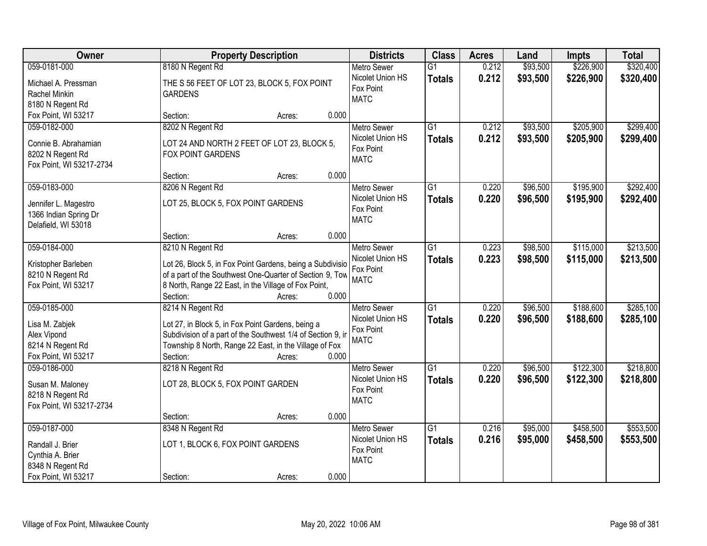| Owner                                   |                                                                                                                       | <b>Property Description</b> |       | <b>Districts</b>                       | <b>Class</b>    | <b>Acres</b> | Land     | <b>Impts</b> | <b>Total</b> |
|-----------------------------------------|-----------------------------------------------------------------------------------------------------------------------|-----------------------------|-------|----------------------------------------|-----------------|--------------|----------|--------------|--------------|
| 059-0181-000                            | 8180 N Regent Rd                                                                                                      |                             |       | <b>Metro Sewer</b>                     | $\overline{G1}$ | 0.212        | \$93,500 | \$226,900    | \$320,400    |
| Michael A. Pressman                     | THE S 56 FEET OF LOT 23, BLOCK 5, FOX POINT                                                                           |                             |       | Nicolet Union HS                       | <b>Totals</b>   | 0.212        | \$93,500 | \$226,900    | \$320,400    |
| Rachel Minkin                           | <b>GARDENS</b>                                                                                                        |                             |       | Fox Point                              |                 |              |          |              |              |
| 8180 N Regent Rd                        |                                                                                                                       |                             |       | <b>MATC</b>                            |                 |              |          |              |              |
| Fox Point, WI 53217                     | Section:                                                                                                              | Acres:                      | 0.000 |                                        |                 |              |          |              |              |
| 059-0182-000                            | 8202 N Regent Rd                                                                                                      |                             |       | <b>Metro Sewer</b>                     | $\overline{G1}$ | 0.212        | \$93,500 | \$205,900    | \$299,400    |
| Connie B. Abrahamian                    | LOT 24 AND NORTH 2 FEET OF LOT 23, BLOCK 5,                                                                           |                             |       | Nicolet Union HS                       | <b>Totals</b>   | 0.212        | \$93,500 | \$205,900    | \$299,400    |
| 8202 N Regent Rd                        | FOX POINT GARDENS                                                                                                     |                             |       | Fox Point                              |                 |              |          |              |              |
| Fox Point, WI 53217-2734                |                                                                                                                       |                             |       | <b>MATC</b>                            |                 |              |          |              |              |
|                                         | Section:                                                                                                              | Acres:                      | 0.000 |                                        |                 |              |          |              |              |
| 059-0183-000                            | 8206 N Regent Rd                                                                                                      |                             |       | <b>Metro Sewer</b>                     | G1              | 0.220        | \$96,500 | \$195,900    | \$292,400    |
| Jennifer L. Magestro                    | LOT 25, BLOCK 5, FOX POINT GARDENS                                                                                    |                             |       | Nicolet Union HS                       | <b>Totals</b>   | 0.220        | \$96,500 | \$195,900    | \$292,400    |
| 1366 Indian Spring Dr                   |                                                                                                                       |                             |       | Fox Point                              |                 |              |          |              |              |
| Delafield, WI 53018                     |                                                                                                                       |                             |       | <b>MATC</b>                            |                 |              |          |              |              |
|                                         | Section:                                                                                                              | Acres:                      | 0.000 |                                        |                 |              |          |              |              |
| 059-0184-000                            | 8210 N Regent Rd                                                                                                      |                             |       | <b>Metro Sewer</b>                     | G1              | 0.223        | \$98,500 | \$115,000    | \$213,500    |
|                                         |                                                                                                                       |                             |       | Nicolet Union HS                       | <b>Totals</b>   | 0.223        | \$98,500 | \$115,000    | \$213,500    |
| Kristopher Barleben<br>8210 N Regent Rd | Lot 26, Block 5, in Fox Point Gardens, being a Subdivisio<br>of a part of the Southwest One-Quarter of Section 9, Tow |                             |       | Fox Point                              |                 |              |          |              |              |
| Fox Point, WI 53217                     | 8 North, Range 22 East, in the Village of Fox Point,                                                                  |                             |       | <b>MATC</b>                            |                 |              |          |              |              |
|                                         | Section:                                                                                                              | Acres:                      | 0.000 |                                        |                 |              |          |              |              |
| 059-0185-000                            | 8214 N Regent Rd                                                                                                      |                             |       | <b>Metro Sewer</b>                     | $\overline{G1}$ | 0.220        | \$96,500 | \$188,600    | \$285,100    |
|                                         |                                                                                                                       |                             |       | Nicolet Union HS                       | <b>Totals</b>   | 0.220        | \$96,500 | \$188,600    | \$285,100    |
| Lisa M. Zabjek                          | Lot 27, in Block 5, in Fox Point Gardens, being a                                                                     |                             |       | Fox Point                              |                 |              |          |              |              |
| Alex Vipond                             | Subdivision of a part of the Southwest 1/4 of Section 9, in                                                           |                             |       | <b>MATC</b>                            |                 |              |          |              |              |
| 8214 N Regent Rd                        | Township 8 North, Range 22 East, in the Village of Fox                                                                |                             |       |                                        |                 |              |          |              |              |
| Fox Point, WI 53217<br>059-0186-000     | Section:                                                                                                              | Acres:                      | 0.000 |                                        | $\overline{G1}$ | 0.220        | \$96,500 | \$122,300    | \$218,800    |
|                                         | 8218 N Regent Rd                                                                                                      |                             |       | <b>Metro Sewer</b><br>Nicolet Union HS |                 |              |          |              |              |
| Susan M. Maloney                        | LOT 28, BLOCK 5, FOX POINT GARDEN                                                                                     |                             |       | Fox Point                              | <b>Totals</b>   | 0.220        | \$96,500 | \$122,300    | \$218,800    |
| 8218 N Regent Rd                        |                                                                                                                       |                             |       | <b>MATC</b>                            |                 |              |          |              |              |
| Fox Point, WI 53217-2734                |                                                                                                                       |                             |       |                                        |                 |              |          |              |              |
|                                         | Section:                                                                                                              | Acres:                      | 0.000 |                                        |                 |              |          |              |              |
| 059-0187-000                            | 8348 N Regent Rd                                                                                                      |                             |       | <b>Metro Sewer</b>                     | $\overline{G1}$ | 0.216        | \$95,000 | \$458,500    | \$553,500    |
| Randall J. Brier                        | LOT 1, BLOCK 6, FOX POINT GARDENS                                                                                     |                             |       | Nicolet Union HS                       | <b>Totals</b>   | 0.216        | \$95,000 | \$458,500    | \$553,500    |
| Cynthia A. Brier                        |                                                                                                                       |                             |       | Fox Point                              |                 |              |          |              |              |
| 8348 N Regent Rd                        |                                                                                                                       |                             |       | <b>MATC</b>                            |                 |              |          |              |              |
| Fox Point, WI 53217                     | Section:                                                                                                              | Acres:                      | 0.000 |                                        |                 |              |          |              |              |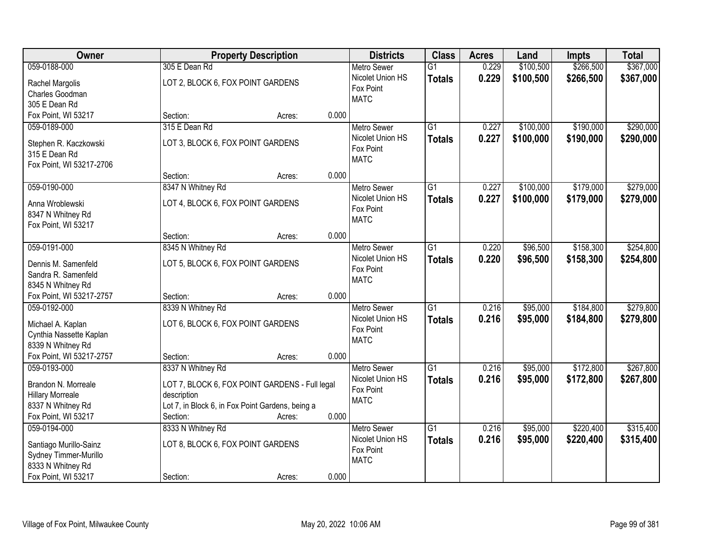| Owner                                  | <b>Property Description</b>                               | <b>Districts</b>              | <b>Class</b>    | <b>Acres</b> | Land      | <b>Impts</b> | <b>Total</b> |
|----------------------------------------|-----------------------------------------------------------|-------------------------------|-----------------|--------------|-----------|--------------|--------------|
| 059-0188-000                           | 305 E Dean Rd                                             | <b>Metro Sewer</b>            | $\overline{G1}$ | 0.229        | \$100,500 | \$266,500    | \$367,000    |
| Rachel Margolis                        | LOT 2, BLOCK 6, FOX POINT GARDENS                         | Nicolet Union HS              | <b>Totals</b>   | 0.229        | \$100,500 | \$266,500    | \$367,000    |
| Charles Goodman                        |                                                           | Fox Point                     |                 |              |           |              |              |
| 305 E Dean Rd                          |                                                           | <b>MATC</b>                   |                 |              |           |              |              |
| Fox Point, WI 53217                    | 0.000<br>Section:<br>Acres:                               |                               |                 |              |           |              |              |
| 059-0189-000                           | 315 E Dean Rd                                             | <b>Metro Sewer</b>            | $\overline{G1}$ | 0.227        | \$100,000 | \$190,000    | \$290,000    |
|                                        | LOT 3, BLOCK 6, FOX POINT GARDENS                         | Nicolet Union HS              | <b>Totals</b>   | 0.227        | \$100,000 | \$190,000    | \$290,000    |
| Stephen R. Kaczkowski<br>315 E Dean Rd |                                                           | Fox Point                     |                 |              |           |              |              |
| Fox Point, WI 53217-2706               |                                                           | <b>MATC</b>                   |                 |              |           |              |              |
|                                        | 0.000<br>Section:<br>Acres:                               |                               |                 |              |           |              |              |
| 059-0190-000                           | 8347 N Whitney Rd                                         | <b>Metro Sewer</b>            | $\overline{G1}$ | 0.227        | \$100,000 | \$179,000    | \$279,000    |
|                                        |                                                           | Nicolet Union HS              | <b>Totals</b>   | 0.227        | \$100,000 | \$179,000    | \$279,000    |
| Anna Wroblewski                        | LOT 4, BLOCK 6, FOX POINT GARDENS                         | Fox Point                     |                 |              |           |              |              |
| 8347 N Whitney Rd                      |                                                           | <b>MATC</b>                   |                 |              |           |              |              |
| Fox Point, WI 53217                    |                                                           |                               |                 |              |           |              |              |
|                                        | 0.000<br>Section:<br>Acres:                               |                               |                 |              |           |              |              |
| 059-0191-000                           | 8345 N Whitney Rd                                         | <b>Metro Sewer</b>            | $\overline{G1}$ | 0.220        | \$96,500  | \$158,300    | \$254,800    |
| Dennis M. Samenfeld                    | LOT 5, BLOCK 6, FOX POINT GARDENS                         | Nicolet Union HS<br>Fox Point | <b>Totals</b>   | 0.220        | \$96,500  | \$158,300    | \$254,800    |
| Sandra R. Samenfeld                    |                                                           | <b>MATC</b>                   |                 |              |           |              |              |
| 8345 N Whitney Rd                      |                                                           |                               |                 |              |           |              |              |
| Fox Point, WI 53217-2757               | 0.000<br>Section:<br>Acres:                               |                               |                 |              |           |              |              |
| 059-0192-000                           | 8339 N Whitney Rd                                         | <b>Metro Sewer</b>            | $\overline{G1}$ | 0.216        | \$95,000  | \$184,800    | \$279,800    |
| Michael A. Kaplan                      | LOT 6, BLOCK 6, FOX POINT GARDENS                         | Nicolet Union HS              | <b>Totals</b>   | 0.216        | \$95,000  | \$184,800    | \$279,800    |
| Cynthia Nassette Kaplan                |                                                           | Fox Point                     |                 |              |           |              |              |
| 8339 N Whitney Rd                      |                                                           | <b>MATC</b>                   |                 |              |           |              |              |
| Fox Point, WI 53217-2757               | 0.000<br>Section:<br>Acres:                               |                               |                 |              |           |              |              |
| 059-0193-000                           | 8337 N Whitney Rd                                         | Metro Sewer                   | $\overline{G1}$ | 0.216        | \$95,000  | \$172,800    | \$267,800    |
|                                        |                                                           | Nicolet Union HS              | <b>Totals</b>   | 0.216        | \$95,000  | \$172,800    | \$267,800    |
| Brandon N. Morreale                    | LOT 7, BLOCK 6, FOX POINT GARDENS - Full legal            | Fox Point                     |                 |              |           |              |              |
| <b>Hillary Morreale</b>                | description                                               | <b>MATC</b>                   |                 |              |           |              |              |
| 8337 N Whitney Rd                      | Lot 7, in Block 6, in Fox Point Gardens, being a<br>0.000 |                               |                 |              |           |              |              |
| Fox Point, WI 53217<br>059-0194-000    | Section:<br>Acres:                                        | <b>Metro Sewer</b>            | $\overline{G1}$ | 0.216        | \$95,000  | \$220,400    | \$315,400    |
|                                        | 8333 N Whitney Rd                                         |                               |                 |              |           |              |              |
| Santiago Murillo-Sainz                 | LOT 8, BLOCK 6, FOX POINT GARDENS                         | Nicolet Union HS<br>Fox Point | <b>Totals</b>   | 0.216        | \$95,000  | \$220,400    | \$315,400    |
| Sydney Timmer-Murillo                  |                                                           | <b>MATC</b>                   |                 |              |           |              |              |
| 8333 N Whitney Rd                      |                                                           |                               |                 |              |           |              |              |
| Fox Point, WI 53217                    | 0.000<br>Section:<br>Acres:                               |                               |                 |              |           |              |              |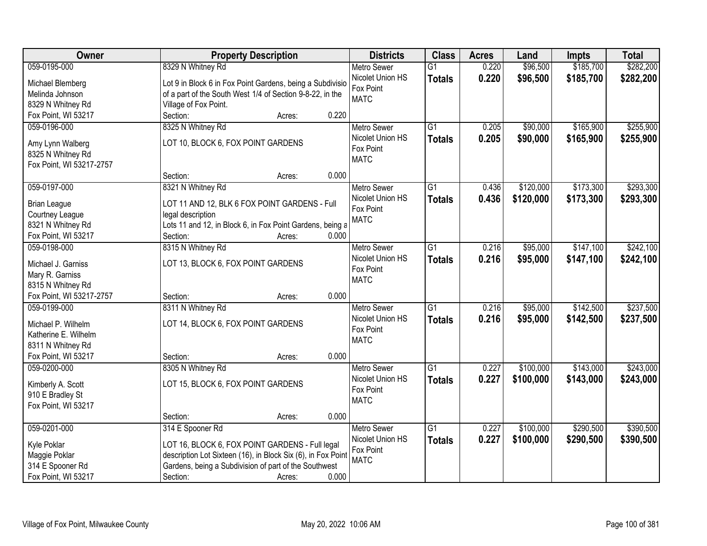| Owner                                         | <b>Property Description</b>                                  |                 | <b>Districts</b>              | <b>Class</b>    | <b>Acres</b> | Land      | <b>Impts</b> | <b>Total</b> |
|-----------------------------------------------|--------------------------------------------------------------|-----------------|-------------------------------|-----------------|--------------|-----------|--------------|--------------|
| 059-0195-000                                  | 8329 N Whitney Rd                                            |                 | <b>Metro Sewer</b>            | $\overline{G1}$ | 0.220        | \$96,500  | \$185,700    | \$282,200    |
| Michael Blemberg                              | Lot 9 in Block 6 in Fox Point Gardens, being a Subdivisio    |                 | Nicolet Union HS              | <b>Totals</b>   | 0.220        | \$96,500  | \$185,700    | \$282,200    |
| Melinda Johnson                               | of a part of the South West 1/4 of Section 9-8-22, in the    |                 | Fox Point                     |                 |              |           |              |              |
| 8329 N Whitney Rd                             | Village of Fox Point.                                        |                 | <b>MATC</b>                   |                 |              |           |              |              |
| Fox Point, WI 53217                           | Section:                                                     | 0.220<br>Acres: |                               |                 |              |           |              |              |
| 059-0196-000                                  | 8325 N Whitney Rd                                            |                 | <b>Metro Sewer</b>            | $\overline{G1}$ | 0.205        | \$90,000  | \$165,900    | \$255,900    |
|                                               |                                                              |                 | Nicolet Union HS              | <b>Totals</b>   | 0.205        | \$90,000  | \$165,900    | \$255,900    |
| Amy Lynn Walberg                              | LOT 10, BLOCK 6, FOX POINT GARDENS                           |                 | Fox Point                     |                 |              |           |              |              |
| 8325 N Whitney Rd                             |                                                              |                 | <b>MATC</b>                   |                 |              |           |              |              |
| Fox Point, WI 53217-2757                      |                                                              | 0.000           |                               |                 |              |           |              |              |
|                                               | Section:                                                     | Acres:          |                               |                 |              |           |              |              |
| 059-0197-000                                  | 8321 N Whitney Rd                                            |                 | <b>Metro Sewer</b>            | $\overline{G1}$ | 0.436        | \$120,000 | \$173,300    | \$293,300    |
| <b>Brian League</b>                           | LOT 11 AND 12, BLK 6 FOX POINT GARDENS - Full                |                 | Nicolet Union HS              | <b>Totals</b>   | 0.436        | \$120,000 | \$173,300    | \$293,300    |
| Courtney League                               | legal description                                            |                 | Fox Point                     |                 |              |           |              |              |
| 8321 N Whitney Rd                             | Lots 11 and 12, in Block 6, in Fox Point Gardens, being a    |                 | <b>MATC</b>                   |                 |              |           |              |              |
| Fox Point, WI 53217                           | Section:                                                     | 0.000<br>Acres: |                               |                 |              |           |              |              |
| 059-0198-000                                  | 8315 N Whitney Rd                                            |                 | <b>Metro Sewer</b>            | G1              | 0.216        | \$95,000  | \$147,100    | \$242,100    |
|                                               |                                                              |                 | Nicolet Union HS              | <b>Totals</b>   | 0.216        | \$95,000  | \$147,100    | \$242,100    |
| Michael J. Garniss                            | LOT 13, BLOCK 6, FOX POINT GARDENS                           |                 | Fox Point                     |                 |              |           |              |              |
| Mary R. Garniss                               |                                                              |                 | <b>MATC</b>                   |                 |              |           |              |              |
| 8315 N Whitney Rd<br>Fox Point, WI 53217-2757 |                                                              | 0.000           |                               |                 |              |           |              |              |
| 059-0199-000                                  | Section:<br>8311 N Whitney Rd                                | Acres:          |                               | $\overline{G1}$ | 0.216        | \$95,000  | \$142,500    | \$237,500    |
|                                               |                                                              |                 | Metro Sewer                   |                 |              |           |              |              |
| Michael P. Wilhelm                            | LOT 14, BLOCK 6, FOX POINT GARDENS                           |                 | Nicolet Union HS<br>Fox Point | <b>Totals</b>   | 0.216        | \$95,000  | \$142,500    | \$237,500    |
| Katherine E. Wilhelm                          |                                                              |                 | <b>MATC</b>                   |                 |              |           |              |              |
| 8311 N Whitney Rd                             |                                                              |                 |                               |                 |              |           |              |              |
| Fox Point, WI 53217                           | Section:                                                     | 0.000<br>Acres: |                               |                 |              |           |              |              |
| 059-0200-000                                  | 8305 N Whitney Rd                                            |                 | Metro Sewer                   | $\overline{G1}$ | 0.227        | \$100,000 | \$143,000    | \$243,000    |
| Kimberly A. Scott                             | LOT 15, BLOCK 6, FOX POINT GARDENS                           |                 | Nicolet Union HS              | <b>Totals</b>   | 0.227        | \$100,000 | \$143,000    | \$243,000    |
| 910 E Bradley St                              |                                                              |                 | Fox Point                     |                 |              |           |              |              |
| Fox Point, WI 53217                           |                                                              |                 | <b>MATC</b>                   |                 |              |           |              |              |
|                                               | Section:                                                     | 0.000<br>Acres: |                               |                 |              |           |              |              |
| 059-0201-000                                  | 314 E Spooner Rd                                             |                 | <b>Metro Sewer</b>            | $\overline{G1}$ | 0.227        | \$100,000 | \$290,500    | \$390,500    |
|                                               |                                                              |                 | Nicolet Union HS              |                 | 0.227        |           |              |              |
| Kyle Poklar                                   | LOT 16, BLOCK 6, FOX POINT GARDENS - Full legal              |                 | Fox Point                     | <b>Totals</b>   |              | \$100,000 | \$290,500    | \$390,500    |
| Maggie Poklar                                 | description Lot Sixteen (16), in Block Six (6), in Fox Point |                 | <b>MATC</b>                   |                 |              |           |              |              |
| 314 E Spooner Rd                              | Gardens, being a Subdivision of part of the Southwest        |                 |                               |                 |              |           |              |              |
| Fox Point, WI 53217                           | Section:                                                     | 0.000<br>Acres: |                               |                 |              |           |              |              |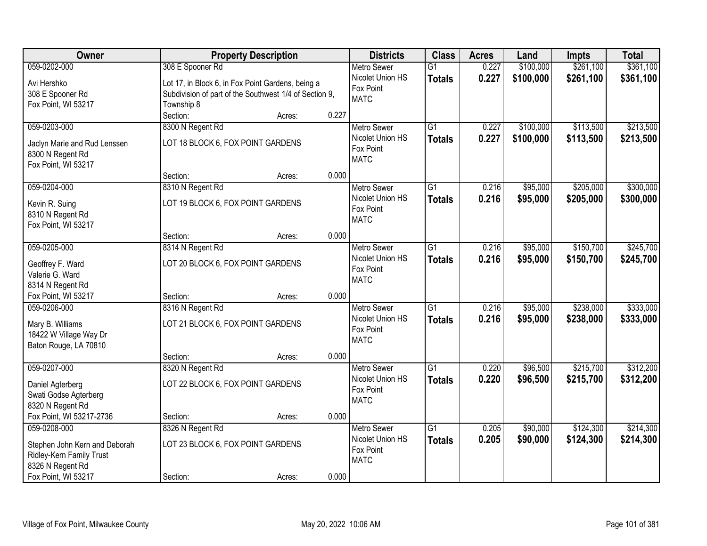| Owner                                            | <b>Property Description</b>                            |                 | <b>Districts</b>              | <b>Class</b>    | <b>Acres</b> | Land      | <b>Impts</b> | <b>Total</b> |
|--------------------------------------------------|--------------------------------------------------------|-----------------|-------------------------------|-----------------|--------------|-----------|--------------|--------------|
| 059-0202-000                                     | 308 E Spooner Rd                                       |                 | <b>Metro Sewer</b>            | $\overline{G1}$ | 0.227        | \$100,000 | \$261,100    | \$361,100    |
| Avi Hershko                                      | Lot 17, in Block 6, in Fox Point Gardens, being a      |                 | Nicolet Union HS              | <b>Totals</b>   | 0.227        | \$100,000 | \$261,100    | \$361,100    |
| 308 E Spooner Rd                                 | Subdivision of part of the Southwest 1/4 of Section 9, |                 | Fox Point                     |                 |              |           |              |              |
| Fox Point, WI 53217                              | Township 8                                             |                 | <b>MATC</b>                   |                 |              |           |              |              |
|                                                  | Section:                                               | 0.227<br>Acres: |                               |                 |              |           |              |              |
| 059-0203-000                                     | 8300 N Regent Rd                                       |                 | <b>Metro Sewer</b>            | $\overline{G1}$ | 0.227        | \$100,000 | \$113,500    | \$213,500    |
|                                                  | LOT 18 BLOCK 6, FOX POINT GARDENS                      |                 | Nicolet Union HS              | <b>Totals</b>   | 0.227        | \$100,000 | \$113,500    | \$213,500    |
| Jaclyn Marie and Rud Lenssen<br>8300 N Regent Rd |                                                        |                 | Fox Point                     |                 |              |           |              |              |
| Fox Point, WI 53217                              |                                                        |                 | <b>MATC</b>                   |                 |              |           |              |              |
|                                                  | Section:                                               | 0.000<br>Acres: |                               |                 |              |           |              |              |
| 059-0204-000                                     | 8310 N Regent Rd                                       |                 | <b>Metro Sewer</b>            | G1              | 0.216        | \$95,000  | \$205,000    | \$300,000    |
|                                                  |                                                        |                 | Nicolet Union HS              | <b>Totals</b>   | 0.216        | \$95,000  | \$205,000    | \$300,000    |
| Kevin R. Suing                                   | LOT 19 BLOCK 6, FOX POINT GARDENS                      |                 | Fox Point                     |                 |              |           |              |              |
| 8310 N Regent Rd<br>Fox Point, WI 53217          |                                                        |                 | <b>MATC</b>                   |                 |              |           |              |              |
|                                                  | Section:                                               | 0.000<br>Acres: |                               |                 |              |           |              |              |
| 059-0205-000                                     | 8314 N Regent Rd                                       |                 | <b>Metro Sewer</b>            | $\overline{G1}$ | 0.216        | \$95,000  | \$150,700    | \$245,700    |
|                                                  |                                                        |                 | Nicolet Union HS              | <b>Totals</b>   | 0.216        | \$95,000  | \$150,700    | \$245,700    |
| Geoffrey F. Ward                                 | LOT 20 BLOCK 6, FOX POINT GARDENS                      |                 | Fox Point                     |                 |              |           |              |              |
| Valerie G. Ward                                  |                                                        |                 | <b>MATC</b>                   |                 |              |           |              |              |
| 8314 N Regent Rd                                 |                                                        |                 |                               |                 |              |           |              |              |
| Fox Point, WI 53217                              | Section:                                               | 0.000<br>Acres: |                               |                 |              |           |              |              |
| 059-0206-000                                     | 8316 N Regent Rd                                       |                 | <b>Metro Sewer</b>            | $\overline{G1}$ | 0.216        | \$95,000  | \$238,000    | \$333,000    |
| Mary B. Williams                                 | LOT 21 BLOCK 6, FOX POINT GARDENS                      |                 | Nicolet Union HS<br>Fox Point | <b>Totals</b>   | 0.216        | \$95,000  | \$238,000    | \$333,000    |
| 18422 W Village Way Dr                           |                                                        |                 | <b>MATC</b>                   |                 |              |           |              |              |
| Baton Rouge, LA 70810                            |                                                        |                 |                               |                 |              |           |              |              |
|                                                  | Section:                                               | 0.000<br>Acres: |                               |                 |              |           |              |              |
| 059-0207-000                                     | 8320 N Regent Rd                                       |                 | Metro Sewer                   | $\overline{G1}$ | 0.220        | \$96,500  | \$215,700    | \$312,200    |
| Daniel Agterberg                                 | LOT 22 BLOCK 6, FOX POINT GARDENS                      |                 | Nicolet Union HS              | <b>Totals</b>   | 0.220        | \$96,500  | \$215,700    | \$312,200    |
| Swati Godse Agterberg                            |                                                        |                 | Fox Point                     |                 |              |           |              |              |
| 8320 N Regent Rd                                 |                                                        |                 | <b>MATC</b>                   |                 |              |           |              |              |
| Fox Point, WI 53217-2736                         | Section:                                               | 0.000<br>Acres: |                               |                 |              |           |              |              |
| 059-0208-000                                     | 8326 N Regent Rd                                       |                 | <b>Metro Sewer</b>            | $\overline{G1}$ | 0.205        | \$90,000  | \$124,300    | \$214,300    |
| Stephen John Kern and Deborah                    | LOT 23 BLOCK 6, FOX POINT GARDENS                      |                 | Nicolet Union HS              | <b>Totals</b>   | 0.205        | \$90,000  | \$124,300    | \$214,300    |
| Ridley-Kern Family Trust                         |                                                        |                 | Fox Point                     |                 |              |           |              |              |
| 8326 N Regent Rd                                 |                                                        |                 | <b>MATC</b>                   |                 |              |           |              |              |
| Fox Point, WI 53217                              | Section:                                               | 0.000<br>Acres: |                               |                 |              |           |              |              |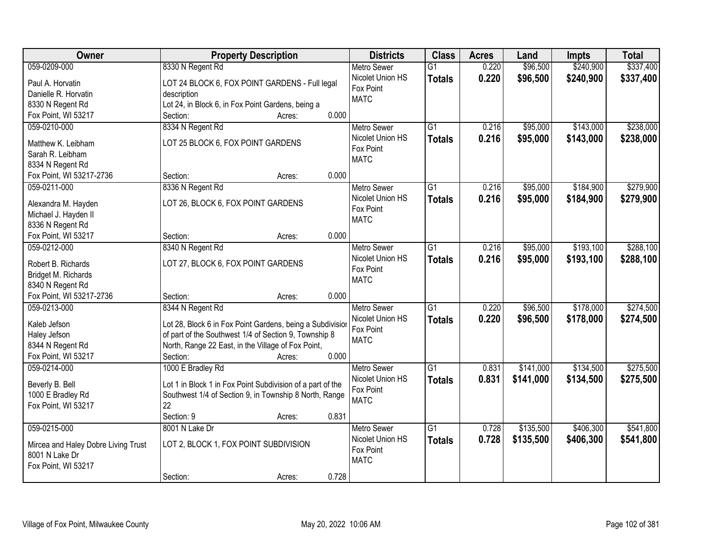| Owner                               | <b>Property Description</b>                                                                                 | <b>Districts</b>   | <b>Class</b>    | <b>Acres</b> | Land      | <b>Impts</b> | <b>Total</b> |
|-------------------------------------|-------------------------------------------------------------------------------------------------------------|--------------------|-----------------|--------------|-----------|--------------|--------------|
| 059-0209-000                        | 8330 N Regent Rd                                                                                            | <b>Metro Sewer</b> | $\overline{G1}$ | 0.220        | \$96,500  | \$240,900    | \$337,400    |
| Paul A. Horvatin                    | LOT 24 BLOCK 6, FOX POINT GARDENS - Full legal                                                              | Nicolet Union HS   | <b>Totals</b>   | 0.220        | \$96,500  | \$240,900    | \$337,400    |
| Danielle R. Horvatin                | description                                                                                                 | Fox Point          |                 |              |           |              |              |
| 8330 N Regent Rd                    | Lot 24, in Block 6, in Fox Point Gardens, being a                                                           | <b>MATC</b>        |                 |              |           |              |              |
| Fox Point, WI 53217                 | 0.000<br>Section:<br>Acres:                                                                                 |                    |                 |              |           |              |              |
| 059-0210-000                        | 8334 N Regent Rd                                                                                            | <b>Metro Sewer</b> | $\overline{G1}$ | 0.216        | \$95,000  | \$143,000    | \$238,000    |
| Matthew K. Leibham                  | LOT 25 BLOCK 6, FOX POINT GARDENS                                                                           | Nicolet Union HS   | <b>Totals</b>   | 0.216        | \$95,000  | \$143,000    | \$238,000    |
| Sarah R. Leibham                    |                                                                                                             | Fox Point          |                 |              |           |              |              |
| 8334 N Regent Rd                    |                                                                                                             | <b>MATC</b>        |                 |              |           |              |              |
| Fox Point, WI 53217-2736            | 0.000<br>Section:<br>Acres:                                                                                 |                    |                 |              |           |              |              |
| 059-0211-000                        | 8336 N Regent Rd                                                                                            | <b>Metro Sewer</b> | G1              | 0.216        | \$95,000  | \$184,900    | \$279,900    |
|                                     |                                                                                                             | Nicolet Union HS   | <b>Totals</b>   | 0.216        | \$95,000  | \$184,900    | \$279,900    |
| Alexandra M. Hayden                 | LOT 26, BLOCK 6, FOX POINT GARDENS                                                                          | Fox Point          |                 |              |           |              |              |
| Michael J. Hayden II                |                                                                                                             | <b>MATC</b>        |                 |              |           |              |              |
| 8336 N Regent Rd                    |                                                                                                             |                    |                 |              |           |              |              |
| Fox Point, WI 53217                 | 0.000<br>Section:<br>Acres:                                                                                 |                    |                 |              |           |              |              |
| 059-0212-000                        | 8340 N Regent Rd                                                                                            | <b>Metro Sewer</b> | G1              | 0.216        | \$95,000  | \$193,100    | \$288,100    |
| Robert B. Richards                  | LOT 27, BLOCK 6, FOX POINT GARDENS                                                                          | Nicolet Union HS   | <b>Totals</b>   | 0.216        | \$95,000  | \$193,100    | \$288,100    |
| Bridget M. Richards                 |                                                                                                             | Fox Point          |                 |              |           |              |              |
| 8340 N Regent Rd                    |                                                                                                             | <b>MATC</b>        |                 |              |           |              |              |
| Fox Point, WI 53217-2736            | 0.000<br>Section:<br>Acres:                                                                                 |                    |                 |              |           |              |              |
| 059-0213-000                        | 8344 N Regent Rd                                                                                            | <b>Metro Sewer</b> | $\overline{G1}$ | 0.220        | \$96,500  | \$178,000    | \$274,500    |
|                                     |                                                                                                             | Nicolet Union HS   | <b>Totals</b>   | 0.220        | \$96,500  | \$178,000    | \$274,500    |
| Kaleb Jefson                        | Lot 28, Block 6 in Fox Point Gardens, being a Subdivisior                                                   | Fox Point          |                 |              |           |              |              |
| Haley Jefson<br>8344 N Regent Rd    | of part of the Southwest 1/4 of Section 9, Township 8<br>North, Range 22 East, in the Village of Fox Point, | <b>MATC</b>        |                 |              |           |              |              |
| Fox Point, WI 53217                 | 0.000<br>Section:<br>Acres:                                                                                 |                    |                 |              |           |              |              |
| 059-0214-000                        | 1000 E Bradley Rd                                                                                           | <b>Metro Sewer</b> | $\overline{G1}$ | 0.831        | \$141,000 | \$134,500    | \$275,500    |
|                                     |                                                                                                             | Nicolet Union HS   | <b>Totals</b>   | 0.831        | \$141,000 | \$134,500    | \$275,500    |
| Beverly B. Bell                     | Lot 1 in Block 1 in Fox Point Subdivision of a part of the                                                  | Fox Point          |                 |              |           |              |              |
| 1000 E Bradley Rd                   | Southwest 1/4 of Section 9, in Township 8 North, Range                                                      | <b>MATC</b>        |                 |              |           |              |              |
| Fox Point, WI 53217                 | 22                                                                                                          |                    |                 |              |           |              |              |
|                                     | 0.831<br>Section: 9<br>Acres:                                                                               |                    |                 |              |           |              |              |
| 059-0215-000                        | 8001 N Lake Dr                                                                                              | <b>Metro Sewer</b> | $\overline{G1}$ | 0.728        | \$135,500 | \$406,300    | \$541,800    |
| Mircea and Haley Dobre Living Trust | LOT 2, BLOCK 1, FOX POINT SUBDIVISION                                                                       | Nicolet Union HS   | <b>Totals</b>   | 0.728        | \$135,500 | \$406,300    | \$541,800    |
| 8001 N Lake Dr                      |                                                                                                             | Fox Point          |                 |              |           |              |              |
| Fox Point, WI 53217                 |                                                                                                             | <b>MATC</b>        |                 |              |           |              |              |
|                                     | 0.728<br>Section:<br>Acres:                                                                                 |                    |                 |              |           |              |              |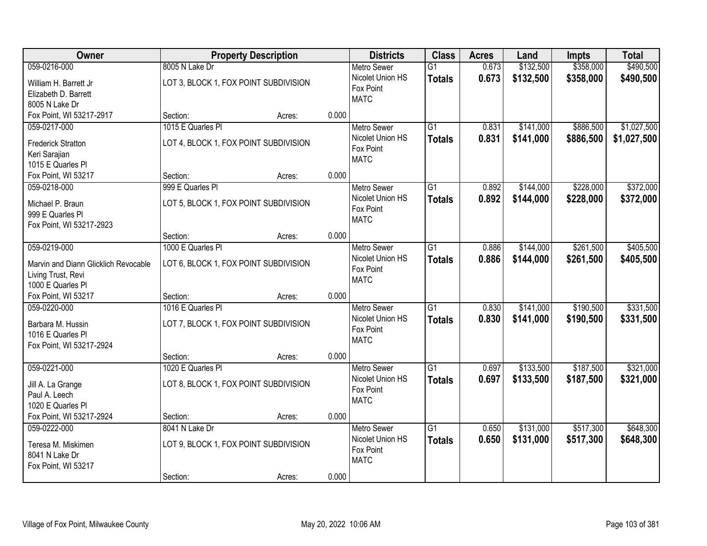| Owner                                  | <b>Property Description</b>           |       | <b>Districts</b>   | <b>Class</b>    | <b>Acres</b> | Land      | <b>Impts</b> | <b>Total</b> |
|----------------------------------------|---------------------------------------|-------|--------------------|-----------------|--------------|-----------|--------------|--------------|
| 059-0216-000                           | 8005 N Lake Dr                        |       | <b>Metro Sewer</b> | $\overline{G1}$ | 0.673        | \$132,500 | \$358,000    | \$490,500    |
| William H. Barrett Jr                  | LOT 3, BLOCK 1, FOX POINT SUBDIVISION |       | Nicolet Union HS   | <b>Totals</b>   | 0.673        | \$132,500 | \$358,000    | \$490,500    |
| Elizabeth D. Barrett                   |                                       |       | Fox Point          |                 |              |           |              |              |
| 8005 N Lake Dr                         |                                       |       | <b>MATC</b>        |                 |              |           |              |              |
| Fox Point, WI 53217-2917               | Section:<br>Acres:                    | 0.000 |                    |                 |              |           |              |              |
| 059-0217-000                           | 1015 E Quarles PI                     |       | <b>Metro Sewer</b> | $\overline{G1}$ | 0.831        | \$141,000 | \$886,500    | \$1,027,500  |
| <b>Frederick Stratton</b>              | LOT 4, BLOCK 1, FOX POINT SUBDIVISION |       | Nicolet Union HS   | <b>Totals</b>   | 0.831        | \$141,000 | \$886,500    | \$1,027,500  |
| Keri Sarajian                          |                                       |       | Fox Point          |                 |              |           |              |              |
| 1015 E Quarles PI                      |                                       |       | <b>MATC</b>        |                 |              |           |              |              |
| Fox Point, WI 53217                    | Section:<br>Acres:                    | 0.000 |                    |                 |              |           |              |              |
| 059-0218-000                           | 999 E Quarles Pl                      |       | Metro Sewer        | $\overline{G1}$ | 0.892        | \$144,000 | \$228,000    | \$372,000    |
| Michael P. Braun                       | LOT 5, BLOCK 1, FOX POINT SUBDIVISION |       | Nicolet Union HS   | <b>Totals</b>   | 0.892        | \$144,000 | \$228,000    | \$372,000    |
| 999 E Quarles PI                       |                                       |       | Fox Point          |                 |              |           |              |              |
| Fox Point, WI 53217-2923               |                                       |       | <b>MATC</b>        |                 |              |           |              |              |
|                                        | Section:<br>Acres:                    | 0.000 |                    |                 |              |           |              |              |
| 059-0219-000                           | 1000 E Quarles PI                     |       | <b>Metro Sewer</b> | $\overline{G1}$ | 0.886        | \$144,000 | \$261,500    | \$405,500    |
| Marvin and Diann Glicklich Revocable   | LOT 6, BLOCK 1, FOX POINT SUBDIVISION |       | Nicolet Union HS   | <b>Totals</b>   | 0.886        | \$144,000 | \$261,500    | \$405,500    |
| Living Trust, Revi                     |                                       |       | Fox Point          |                 |              |           |              |              |
| 1000 E Quarles PI                      |                                       |       | <b>MATC</b>        |                 |              |           |              |              |
| Fox Point, WI 53217                    | Section:<br>Acres:                    | 0.000 |                    |                 |              |           |              |              |
| 059-0220-000                           | 1016 E Quarles PI                     |       | <b>Metro Sewer</b> | $\overline{G1}$ | 0.830        | \$141,000 | \$190,500    | \$331,500    |
|                                        |                                       |       | Nicolet Union HS   | <b>Totals</b>   | 0.830        | \$141,000 | \$190,500    | \$331,500    |
| Barbara M. Hussin<br>1016 E Quarles PI | LOT 7, BLOCK 1, FOX POINT SUBDIVISION |       | Fox Point          |                 |              |           |              |              |
| Fox Point, WI 53217-2924               |                                       |       | <b>MATC</b>        |                 |              |           |              |              |
|                                        | Section:<br>Acres:                    | 0.000 |                    |                 |              |           |              |              |
| 059-0221-000                           | 1020 E Quarles PI                     |       | <b>Metro Sewer</b> | $\overline{G1}$ | 0.697        | \$133,500 | \$187,500    | \$321,000    |
|                                        |                                       |       | Nicolet Union HS   | <b>Totals</b>   | 0.697        | \$133,500 | \$187,500    | \$321,000    |
| Jill A. La Grange<br>Paul A. Leech     | LOT 8, BLOCK 1, FOX POINT SUBDIVISION |       | Fox Point          |                 |              |           |              |              |
| 1020 E Quarles PI                      |                                       |       | <b>MATC</b>        |                 |              |           |              |              |
| Fox Point, WI 53217-2924               | Section:<br>Acres:                    | 0.000 |                    |                 |              |           |              |              |
| 059-0222-000                           | 8041 N Lake Dr                        |       | <b>Metro Sewer</b> | $\overline{G1}$ | 0.650        | \$131,000 | \$517,300    | \$648,300    |
|                                        |                                       |       | Nicolet Union HS   | <b>Totals</b>   | 0.650        | \$131,000 | \$517,300    | \$648,300    |
| Teresa M. Miskimen<br>8041 N Lake Dr   | LOT 9, BLOCK 1, FOX POINT SUBDIVISION |       | Fox Point          |                 |              |           |              |              |
| Fox Point, WI 53217                    |                                       |       | <b>MATC</b>        |                 |              |           |              |              |
|                                        | Section:<br>Acres:                    | 0.000 |                    |                 |              |           |              |              |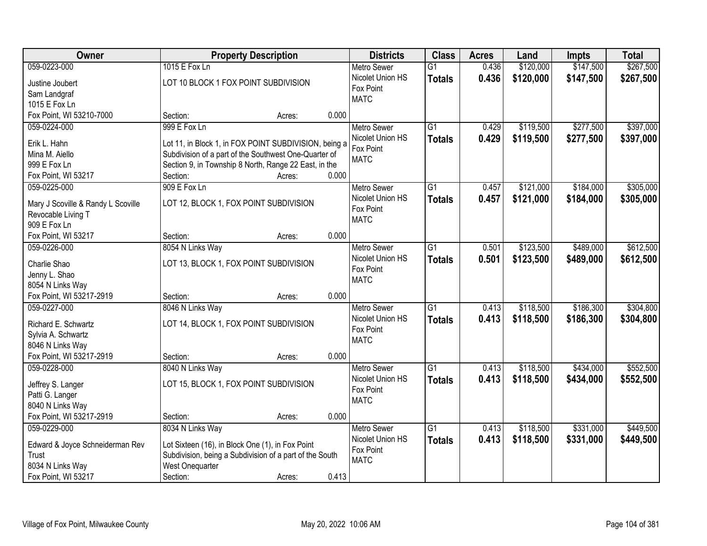| Owner                                                    |                                                         | <b>Property Description</b> |       | <b>Districts</b>              | <b>Class</b>    | <b>Acres</b> | Land      | <b>Impts</b> | <b>Total</b> |
|----------------------------------------------------------|---------------------------------------------------------|-----------------------------|-------|-------------------------------|-----------------|--------------|-----------|--------------|--------------|
| 059-0223-000                                             | 1015 E Fox Ln                                           |                             |       | <b>Metro Sewer</b>            | $\overline{G1}$ | 0.436        | \$120,000 | \$147,500    | \$267,500    |
| Justine Joubert                                          | LOT 10 BLOCK 1 FOX POINT SUBDIVISION                    |                             |       | Nicolet Union HS              | <b>Totals</b>   | 0.436        | \$120,000 | \$147,500    | \$267,500    |
| Sam Landgraf                                             |                                                         |                             |       | Fox Point                     |                 |              |           |              |              |
| 1015 E Fox Ln                                            |                                                         |                             |       | <b>MATC</b>                   |                 |              |           |              |              |
| Fox Point, WI 53210-7000                                 | Section:                                                | Acres:                      | 0.000 |                               |                 |              |           |              |              |
| 059-0224-000                                             | 999 E Fox Ln                                            |                             |       | <b>Metro Sewer</b>            | $\overline{G1}$ | 0.429        | \$119,500 | \$277,500    | \$397,000    |
| Erik L. Hahn                                             | Lot 11, in Block 1, in FOX POINT SUBDIVISION, being a   |                             |       | Nicolet Union HS              | <b>Totals</b>   | 0.429        | \$119,500 | \$277,500    | \$397,000    |
| Mina M. Aiello                                           | Subdivision of a part of the Southwest One-Quarter of   |                             |       | Fox Point                     |                 |              |           |              |              |
| 999 E Fox Ln                                             | Section 9, in Township 8 North, Range 22 East, in the   |                             |       | <b>MATC</b>                   |                 |              |           |              |              |
| Fox Point, WI 53217                                      | Section:                                                | Acres:                      | 0.000 |                               |                 |              |           |              |              |
| 059-0225-000                                             | 909 E Fox Ln                                            |                             |       | Metro Sewer                   | $\overline{G1}$ | 0.457        | \$121,000 | \$184,000    | \$305,000    |
|                                                          |                                                         |                             |       | Nicolet Union HS              | <b>Totals</b>   | 0.457        | \$121,000 | \$184,000    | \$305,000    |
| Mary J Scoville & Randy L Scoville<br>Revocable Living T | LOT 12, BLOCK 1, FOX POINT SUBDIVISION                  |                             |       | Fox Point                     |                 |              |           |              |              |
| 909 E Fox Ln                                             |                                                         |                             |       | <b>MATC</b>                   |                 |              |           |              |              |
| Fox Point, WI 53217                                      | Section:                                                | Acres:                      | 0.000 |                               |                 |              |           |              |              |
| 059-0226-000                                             | 8054 N Links Way                                        |                             |       | <b>Metro Sewer</b>            | $\overline{G1}$ | 0.501        | \$123,500 | \$489,000    | \$612,500    |
|                                                          |                                                         |                             |       | Nicolet Union HS              | <b>Totals</b>   | 0.501        | \$123,500 | \$489,000    | \$612,500    |
| Charlie Shao                                             | LOT 13, BLOCK 1, FOX POINT SUBDIVISION                  |                             |       | Fox Point                     |                 |              |           |              |              |
| Jenny L. Shao                                            |                                                         |                             |       | <b>MATC</b>                   |                 |              |           |              |              |
| 8054 N Links Way<br>Fox Point, WI 53217-2919             | Section:                                                | Acres:                      | 0.000 |                               |                 |              |           |              |              |
| 059-0227-000                                             | 8046 N Links Way                                        |                             |       | Metro Sewer                   | $\overline{G1}$ | 0.413        | \$118,500 | \$186,300    | \$304,800    |
|                                                          |                                                         |                             |       | Nicolet Union HS              | <b>Totals</b>   | 0.413        | \$118,500 | \$186,300    | \$304,800    |
| Richard E. Schwartz                                      | LOT 14, BLOCK 1, FOX POINT SUBDIVISION                  |                             |       | Fox Point                     |                 |              |           |              |              |
| Sylvia A. Schwartz                                       |                                                         |                             |       | <b>MATC</b>                   |                 |              |           |              |              |
| 8046 N Links Way                                         |                                                         |                             |       |                               |                 |              |           |              |              |
| Fox Point, WI 53217-2919                                 | Section:                                                | Acres:                      | 0.000 |                               |                 |              |           |              |              |
| 059-0228-000                                             | 8040 N Links Way                                        |                             |       | Metro Sewer                   | $\overline{G1}$ | 0.413        | \$118,500 | \$434,000    | \$552,500    |
| Jeffrey S. Langer                                        | LOT 15, BLOCK 1, FOX POINT SUBDIVISION                  |                             |       | Nicolet Union HS<br>Fox Point | <b>Totals</b>   | 0.413        | \$118,500 | \$434,000    | \$552,500    |
| Patti G. Langer                                          |                                                         |                             |       | <b>MATC</b>                   |                 |              |           |              |              |
| 8040 N Links Way                                         |                                                         |                             |       |                               |                 |              |           |              |              |
| Fox Point, WI 53217-2919                                 | Section:                                                | Acres:                      | 0.000 |                               |                 |              |           |              |              |
| 059-0229-000                                             | 8034 N Links Way                                        |                             |       | <b>Metro Sewer</b>            | $\overline{G1}$ | 0.413        | \$118,500 | \$331,000    | \$449,500    |
| Edward & Joyce Schneiderman Rev                          | Lot Sixteen (16), in Block One (1), in Fox Point        |                             |       | Nicolet Union HS              | <b>Totals</b>   | 0.413        | \$118,500 | \$331,000    | \$449,500    |
| Trust                                                    | Subdivision, being a Subdivision of a part of the South |                             |       | Fox Point                     |                 |              |           |              |              |
| 8034 N Links Way                                         | West Onequarter                                         |                             |       | <b>MATC</b>                   |                 |              |           |              |              |
| Fox Point, WI 53217                                      | Section:                                                | Acres:                      | 0.413 |                               |                 |              |           |              |              |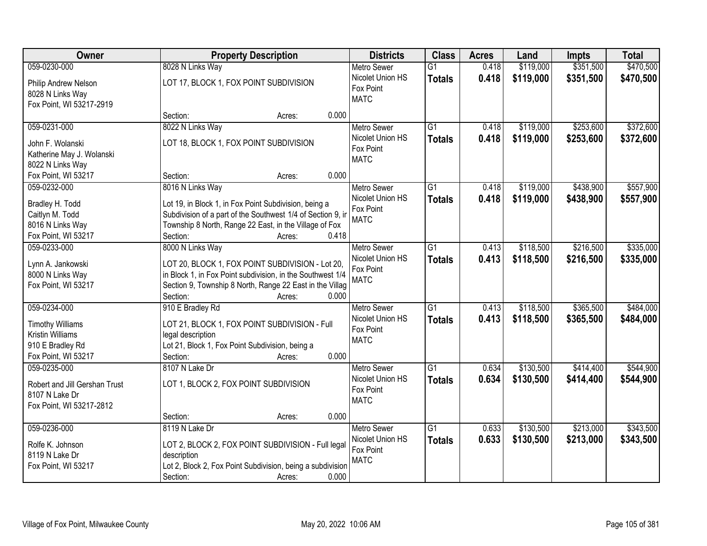| Owner                         | <b>Property Description</b>                                 | <b>Districts</b>              | <b>Class</b>    | <b>Acres</b> | Land      | <b>Impts</b> | <b>Total</b> |
|-------------------------------|-------------------------------------------------------------|-------------------------------|-----------------|--------------|-----------|--------------|--------------|
| 059-0230-000                  | 8028 N Links Way                                            | <b>Metro Sewer</b>            | $\overline{G1}$ | 0.418        | \$119,000 | \$351,500    | \$470,500    |
| Philip Andrew Nelson          | LOT 17, BLOCK 1, FOX POINT SUBDIVISION                      | Nicolet Union HS              | <b>Totals</b>   | 0.418        | \$119,000 | \$351,500    | \$470,500    |
| 8028 N Links Way              |                                                             | Fox Point                     |                 |              |           |              |              |
| Fox Point, WI 53217-2919      |                                                             | <b>MATC</b>                   |                 |              |           |              |              |
|                               | 0.000<br>Section:<br>Acres:                                 |                               |                 |              |           |              |              |
| 059-0231-000                  | 8022 N Links Way                                            | <b>Metro Sewer</b>            | $\overline{G1}$ | 0.418        | \$119,000 | \$253,600    | \$372,600    |
| John F. Wolanski              | LOT 18, BLOCK 1, FOX POINT SUBDIVISION                      | Nicolet Union HS              | <b>Totals</b>   | 0.418        | \$119,000 | \$253,600    | \$372,600    |
| Katherine May J. Wolanski     |                                                             | Fox Point                     |                 |              |           |              |              |
| 8022 N Links Way              |                                                             | <b>MATC</b>                   |                 |              |           |              |              |
| Fox Point, WI 53217           | 0.000<br>Section:<br>Acres:                                 |                               |                 |              |           |              |              |
| 059-0232-000                  | 8016 N Links Way                                            | Metro Sewer                   | $\overline{G1}$ | 0.418        | \$119,000 | \$438,900    | \$557,900    |
|                               |                                                             | Nicolet Union HS              | <b>Totals</b>   | 0.418        | \$119,000 | \$438,900    | \$557,900    |
| Bradley H. Todd               | Lot 19, in Block 1, in Fox Point Subdivision, being a       | Fox Point                     |                 |              |           |              |              |
| Caitlyn M. Todd               | Subdivision of a part of the Southwest 1/4 of Section 9, in | <b>MATC</b>                   |                 |              |           |              |              |
| 8016 N Links Way              | Township 8 North, Range 22 East, in the Village of Fox      |                               |                 |              |           |              |              |
| Fox Point, WI 53217           | Section:<br>0.418<br>Acres:                                 |                               |                 |              |           |              |              |
| 059-0233-000                  | 8000 N Links Way                                            | <b>Metro Sewer</b>            | G1              | 0.413        | \$118,500 | \$216,500    | \$335,000    |
| Lynn A. Jankowski             | LOT 20, BLOCK 1, FOX POINT SUBDIVISION - Lot 20,            | Nicolet Union HS              | <b>Totals</b>   | 0.413        | \$118,500 | \$216,500    | \$335,000    |
| 8000 N Links Way              | in Block 1, in Fox Point subdivision, in the Southwest 1/4  | Fox Point<br><b>MATC</b>      |                 |              |           |              |              |
| Fox Point, WI 53217           | Section 9, Township 8 North, Range 22 East in the Villag    |                               |                 |              |           |              |              |
|                               | Section:<br>0.000<br>Acres:                                 |                               |                 |              |           |              |              |
| 059-0234-000                  | 910 E Bradley Rd                                            | <b>Metro Sewer</b>            | $\overline{G1}$ | 0.413        | \$118,500 | \$365,500    | \$484,000    |
| <b>Timothy Williams</b>       | LOT 21, BLOCK 1, FOX POINT SUBDIVISION - Full               | Nicolet Union HS              | <b>Totals</b>   | 0.413        | \$118,500 | \$365,500    | \$484,000    |
| <b>Kristin Williams</b>       | legal description                                           | Fox Point                     |                 |              |           |              |              |
| 910 E Bradley Rd              | Lot 21, Block 1, Fox Point Subdivision, being a             | <b>MATC</b>                   |                 |              |           |              |              |
| Fox Point, WI 53217           | 0.000<br>Section:<br>Acres:                                 |                               |                 |              |           |              |              |
| 059-0235-000                  | 8107 N Lake Dr                                              | <b>Metro Sewer</b>            | G1              | 0.634        | \$130,500 | \$414,400    | \$544,900    |
|                               |                                                             | Nicolet Union HS              | <b>Totals</b>   | 0.634        | \$130,500 | \$414,400    | \$544,900    |
| Robert and Jill Gershan Trust | LOT 1, BLOCK 2, FOX POINT SUBDIVISION                       | Fox Point                     |                 |              |           |              |              |
| 8107 N Lake Dr                |                                                             | <b>MATC</b>                   |                 |              |           |              |              |
| Fox Point, WI 53217-2812      |                                                             |                               |                 |              |           |              |              |
|                               | 0.000<br>Section:<br>Acres:                                 |                               |                 |              |           |              |              |
| 059-0236-000                  | 8119 N Lake Dr                                              | <b>Metro Sewer</b>            | $\overline{G1}$ | 0.633        | \$130,500 | \$213,000    | \$343,500    |
| Rolfe K. Johnson              | LOT 2, BLOCK 2, FOX POINT SUBDIVISION - Full legal          | Nicolet Union HS<br>Fox Point | <b>Totals</b>   | 0.633        | \$130,500 | \$213,000    | \$343,500    |
| 8119 N Lake Dr                | description                                                 | <b>MATC</b>                   |                 |              |           |              |              |
| Fox Point, WI 53217           | Lot 2, Block 2, Fox Point Subdivision, being a subdivision  |                               |                 |              |           |              |              |
|                               | Section:<br>0.000<br>Acres:                                 |                               |                 |              |           |              |              |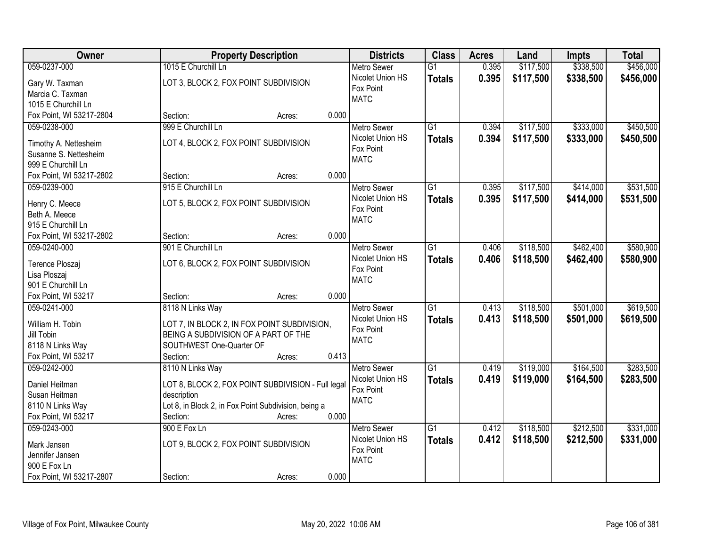| Owner                    | <b>Property Description</b>                          | <b>Districts</b>   | <b>Class</b>    | <b>Acres</b> | Land      | <b>Impts</b> | <b>Total</b> |
|--------------------------|------------------------------------------------------|--------------------|-----------------|--------------|-----------|--------------|--------------|
| 059-0237-000             | 1015 E Churchill Ln                                  | <b>Metro Sewer</b> | $\overline{G1}$ | 0.395        | \$117,500 | \$338,500    | \$456,000    |
| Gary W. Taxman           | LOT 3, BLOCK 2, FOX POINT SUBDIVISION                | Nicolet Union HS   | <b>Totals</b>   | 0.395        | \$117,500 | \$338,500    | \$456,000    |
| Marcia C. Taxman         |                                                      | Fox Point          |                 |              |           |              |              |
| 1015 E Churchill Ln      |                                                      | <b>MATC</b>        |                 |              |           |              |              |
| Fox Point, WI 53217-2804 | 0.000<br>Section:<br>Acres:                          |                    |                 |              |           |              |              |
| 059-0238-000             | 999 E Churchill Ln                                   | <b>Metro Sewer</b> | $\overline{G1}$ | 0.394        | \$117,500 | \$333,000    | \$450,500    |
|                          |                                                      | Nicolet Union HS   | <b>Totals</b>   | 0.394        | \$117,500 | \$333,000    | \$450,500    |
| Timothy A. Nettesheim    | LOT 4, BLOCK 2, FOX POINT SUBDIVISION                | Fox Point          |                 |              |           |              |              |
| Susanne S. Nettesheim    |                                                      | <b>MATC</b>        |                 |              |           |              |              |
| 999 E Churchill Ln       |                                                      |                    |                 |              |           |              |              |
| Fox Point, WI 53217-2802 | 0.000<br>Section:<br>Acres:                          |                    |                 |              |           |              |              |
| 059-0239-000             | 915 E Churchill Ln                                   | <b>Metro Sewer</b> | G1              | 0.395        | \$117,500 | \$414,000    | \$531,500    |
| Henry C. Meece           | LOT 5, BLOCK 2, FOX POINT SUBDIVISION                | Nicolet Union HS   | <b>Totals</b>   | 0.395        | \$117,500 | \$414,000    | \$531,500    |
| Beth A. Meece            |                                                      | Fox Point          |                 |              |           |              |              |
| 915 E Churchill Ln       |                                                      | <b>MATC</b>        |                 |              |           |              |              |
| Fox Point, WI 53217-2802 | 0.000<br>Section:<br>Acres:                          |                    |                 |              |           |              |              |
| 059-0240-000             | 901 E Churchill Ln                                   | <b>Metro Sewer</b> | G1              | 0.406        | \$118,500 | \$462,400    | \$580,900    |
|                          |                                                      | Nicolet Union HS   | <b>Totals</b>   | 0.406        | \$118,500 | \$462,400    | \$580,900    |
| Terence Ploszaj          | LOT 6, BLOCK 2, FOX POINT SUBDIVISION                | Fox Point          |                 |              |           |              |              |
| Lisa Ploszaj             |                                                      | <b>MATC</b>        |                 |              |           |              |              |
| 901 E Churchill Ln       |                                                      |                    |                 |              |           |              |              |
| Fox Point, WI 53217      | 0.000<br>Section:<br>Acres:                          |                    |                 |              |           |              |              |
| 059-0241-000             | 8118 N Links Way                                     | <b>Metro Sewer</b> | $\overline{G1}$ | 0.413        | \$118,500 | \$501,000    | \$619,500    |
| William H. Tobin         | LOT 7, IN BLOCK 2, IN FOX POINT SUBDIVISION,         | Nicolet Union HS   | <b>Totals</b>   | 0.413        | \$118,500 | \$501,000    | \$619,500    |
| Jill Tobin               | BEING A SUBDIVISION OF A PART OF THE                 | Fox Point          |                 |              |           |              |              |
| 8118 N Links Way         | SOUTHWEST One-Quarter OF                             | <b>MATC</b>        |                 |              |           |              |              |
| Fox Point, WI 53217      | Section:<br>0.413<br>Acres:                          |                    |                 |              |           |              |              |
| 059-0242-000             | 8110 N Links Way                                     | <b>Metro Sewer</b> | $\overline{G1}$ | 0.419        | \$119,000 | \$164,500    | \$283,500    |
|                          |                                                      | Nicolet Union HS   | <b>Totals</b>   | 0.419        | \$119,000 | \$164,500    | \$283,500    |
| Daniel Heitman           | LOT 8, BLOCK 2, FOX POINT SUBDIVISION - Full legal   | Fox Point          |                 |              |           |              |              |
| Susan Heitman            | description                                          | <b>MATC</b>        |                 |              |           |              |              |
| 8110 N Links Way         | Lot 8, in Block 2, in Fox Point Subdivision, being a |                    |                 |              |           |              |              |
| Fox Point, WI 53217      | 0.000<br>Section:<br>Acres:                          |                    |                 |              |           |              |              |
| 059-0243-000             | 900 E Fox Ln                                         | <b>Metro Sewer</b> | $\overline{G1}$ | 0.412        | \$118,500 | \$212,500    | \$331,000    |
| Mark Jansen              | LOT 9, BLOCK 2, FOX POINT SUBDIVISION                | Nicolet Union HS   | <b>Totals</b>   | 0.412        | \$118,500 | \$212,500    | \$331,000    |
| Jennifer Jansen          |                                                      | Fox Point          |                 |              |           |              |              |
| 900 E Fox Ln             |                                                      | <b>MATC</b>        |                 |              |           |              |              |
| Fox Point, WI 53217-2807 | 0.000<br>Section:<br>Acres:                          |                    |                 |              |           |              |              |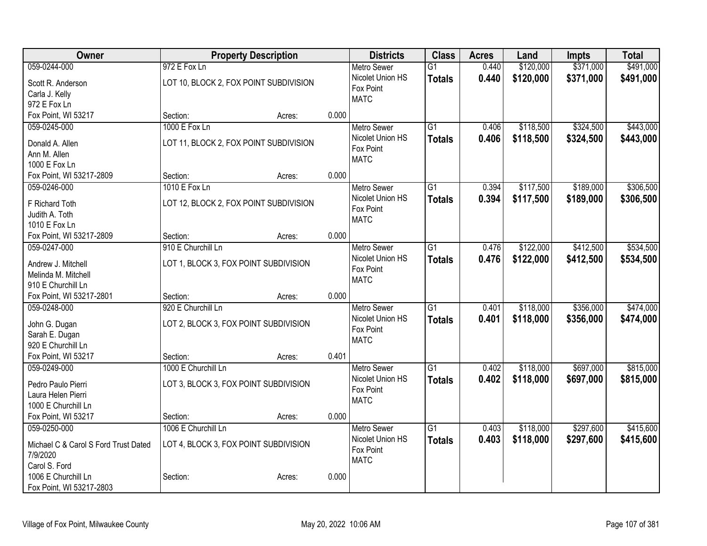| Owner                                |                                        | <b>Property Description</b> |       | <b>Districts</b>   | <b>Class</b>    | <b>Acres</b> | Land      | <b>Impts</b> | <b>Total</b> |
|--------------------------------------|----------------------------------------|-----------------------------|-------|--------------------|-----------------|--------------|-----------|--------------|--------------|
| 059-0244-000                         | 972 E Fox Ln                           |                             |       | <b>Metro Sewer</b> | $\overline{G1}$ | 0.440        | \$120,000 | \$371,000    | \$491,000    |
| Scott R. Anderson                    | LOT 10, BLOCK 2, FOX POINT SUBDIVISION |                             |       | Nicolet Union HS   | <b>Totals</b>   | 0.440        | \$120,000 | \$371,000    | \$491,000    |
| Carla J. Kelly                       |                                        |                             |       | Fox Point          |                 |              |           |              |              |
| 972 E Fox Ln                         |                                        |                             |       | <b>MATC</b>        |                 |              |           |              |              |
| Fox Point, WI 53217                  | Section:                               | Acres:                      | 0.000 |                    |                 |              |           |              |              |
| 059-0245-000                         | 1000 E Fox Ln                          |                             |       | <b>Metro Sewer</b> | G1              | 0.406        | \$118,500 | \$324,500    | \$443,000    |
|                                      | LOT 11, BLOCK 2, FOX POINT SUBDIVISION |                             |       | Nicolet Union HS   | <b>Totals</b>   | 0.406        | \$118,500 | \$324,500    | \$443,000    |
| Donald A. Allen<br>Ann M. Allen      |                                        |                             |       | Fox Point          |                 |              |           |              |              |
| 1000 E Fox Ln                        |                                        |                             |       | <b>MATC</b>        |                 |              |           |              |              |
| Fox Point, WI 53217-2809             | Section:                               | Acres:                      | 0.000 |                    |                 |              |           |              |              |
| 059-0246-000                         | 1010 E Fox Ln                          |                             |       | <b>Metro Sewer</b> | $\overline{G1}$ | 0.394        | \$117,500 | \$189,000    | \$306,500    |
|                                      |                                        |                             |       | Nicolet Union HS   | <b>Totals</b>   | 0.394        | \$117,500 | \$189,000    | \$306,500    |
| F Richard Toth                       | LOT 12, BLOCK 2, FOX POINT SUBDIVISION |                             |       | Fox Point          |                 |              |           |              |              |
| Judith A. Toth                       |                                        |                             |       | <b>MATC</b>        |                 |              |           |              |              |
| 1010 E Fox Ln                        |                                        |                             |       |                    |                 |              |           |              |              |
| Fox Point, WI 53217-2809             | Section:                               | Acres:                      | 0.000 |                    |                 |              |           |              |              |
| 059-0247-000                         | 910 E Churchill Ln                     |                             |       | <b>Metro Sewer</b> | $\overline{G1}$ | 0.476        | \$122,000 | \$412,500    | \$534,500    |
| Andrew J. Mitchell                   | LOT 1, BLOCK 3, FOX POINT SUBDIVISION  |                             |       | Nicolet Union HS   | <b>Totals</b>   | 0.476        | \$122,000 | \$412,500    | \$534,500    |
| Melinda M. Mitchell                  |                                        |                             |       | Fox Point          |                 |              |           |              |              |
| 910 E Churchill Ln                   |                                        |                             |       | <b>MATC</b>        |                 |              |           |              |              |
| Fox Point, WI 53217-2801             | Section:                               | Acres:                      | 0.000 |                    |                 |              |           |              |              |
| 059-0248-000                         | 920 E Churchill Ln                     |                             |       | Metro Sewer        | $\overline{G1}$ | 0.401        | \$118,000 | \$356,000    | \$474,000    |
|                                      |                                        |                             |       | Nicolet Union HS   | <b>Totals</b>   | 0.401        | \$118,000 | \$356,000    | \$474,000    |
| John G. Dugan                        | LOT 2, BLOCK 3, FOX POINT SUBDIVISION  |                             |       | Fox Point          |                 |              |           |              |              |
| Sarah E. Dugan<br>920 E Churchill Ln |                                        |                             |       | <b>MATC</b>        |                 |              |           |              |              |
| Fox Point, WI 53217                  | Section:                               | Acres:                      | 0.401 |                    |                 |              |           |              |              |
| 059-0249-000                         | 1000 E Churchill Ln                    |                             |       | Metro Sewer        | $\overline{G1}$ | 0.402        | \$118,000 | \$697,000    | \$815,000    |
|                                      |                                        |                             |       | Nicolet Union HS   |                 | 0.402        | \$118,000 | \$697,000    | \$815,000    |
| Pedro Paulo Pierri                   | LOT 3, BLOCK 3, FOX POINT SUBDIVISION  |                             |       | Fox Point          | <b>Totals</b>   |              |           |              |              |
| Laura Helen Pierri                   |                                        |                             |       | <b>MATC</b>        |                 |              |           |              |              |
| 1000 E Churchill Ln                  |                                        |                             |       |                    |                 |              |           |              |              |
| Fox Point, WI 53217                  | Section:                               | Acres:                      | 0.000 |                    |                 |              |           |              |              |
| 059-0250-000                         | 1006 E Churchill Ln                    |                             |       | <b>Metro Sewer</b> | $\overline{G1}$ | 0.403        | \$118,000 | \$297,600    | \$415,600    |
| Michael C & Carol S Ford Trust Dated | LOT 4, BLOCK 3, FOX POINT SUBDIVISION  |                             |       | Nicolet Union HS   | <b>Totals</b>   | 0.403        | \$118,000 | \$297,600    | \$415,600    |
| 7/9/2020                             |                                        |                             |       | Fox Point          |                 |              |           |              |              |
| Carol S. Ford                        |                                        |                             |       | <b>MATC</b>        |                 |              |           |              |              |
| 1006 E Churchill Ln                  | Section:                               | Acres:                      | 0.000 |                    |                 |              |           |              |              |
| Fox Point, WI 53217-2803             |                                        |                             |       |                    |                 |              |           |              |              |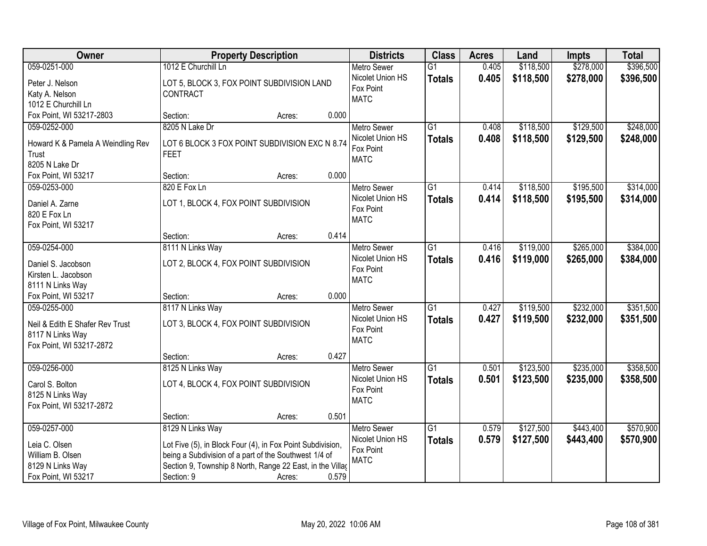| 059-0251-000<br>1012 E Churchill Ln<br>0.405<br>\$118,500<br>\$278,000<br><b>Metro Sewer</b><br>$\overline{G1}$                                     | \$396,500 |
|-----------------------------------------------------------------------------------------------------------------------------------------------------|-----------|
| Nicolet Union HS<br>0.405<br>\$118,500<br>\$278,000<br><b>Totals</b><br>LOT 5, BLOCK 3, FOX POINT SUBDIVISION LAND<br>Peter J. Nelson               | \$396,500 |
| Fox Point<br>Katy A. Nelson<br>CONTRACT                                                                                                             |           |
| <b>MATC</b><br>1012 E Churchill Ln                                                                                                                  |           |
| Fox Point, WI 53217-2803<br>0.000<br>Section:<br>Acres:                                                                                             |           |
| \$129,500<br>059-0252-000<br>8205 N Lake Dr<br>$\overline{G1}$<br>0.408<br>\$118,500<br><b>Metro Sewer</b>                                          | \$248,000 |
| 0.408<br>\$118,500<br>\$129,500<br>Nicolet Union HS<br><b>Totals</b>                                                                                | \$248,000 |
| Howard K & Pamela A Weindling Rev<br>LOT 6 BLOCK 3 FOX POINT SUBDIVISION EXC N 8.74<br>Fox Point                                                    |           |
| Trust<br><b>FEET</b><br><b>MATC</b><br>8205 N Lake Dr                                                                                               |           |
| 0.000<br>Fox Point, WI 53217<br>Section:                                                                                                            |           |
| Acres:<br>\$118,500<br>\$195,500<br>059-0253-000<br>820 E Fox Ln<br>$\overline{G1}$<br><b>Metro Sewer</b><br>0.414                                  | \$314,000 |
| Nicolet Union HS                                                                                                                                    |           |
| 0.414<br>\$118,500<br>\$195,500<br><b>Totals</b><br>Daniel A. Zarne<br>LOT 1, BLOCK 4, FOX POINT SUBDIVISION<br>Fox Point                           | \$314,000 |
| 820 E Fox Ln<br><b>MATC</b>                                                                                                                         |           |
| Fox Point, WI 53217                                                                                                                                 |           |
| 0.414<br>Section:<br>Acres:                                                                                                                         |           |
| 059-0254-000<br>8111 N Links Way<br>$\overline{G1}$<br>\$119,000<br>\$265,000<br><b>Metro Sewer</b><br>0.416                                        | \$384,000 |
| Nicolet Union HS<br>0.416<br>\$119,000<br>\$265,000<br><b>Totals</b><br>LOT 2, BLOCK 4, FOX POINT SUBDIVISION<br>Daniel S. Jacobson                 | \$384,000 |
| Fox Point<br>Kirsten L. Jacobson                                                                                                                    |           |
| <b>MATC</b><br>8111 N Links Way                                                                                                                     |           |
| 0.000<br>Fox Point, WI 53217<br>Section:<br>Acres:                                                                                                  |           |
| \$232,000<br>8117 N Links Way<br>$\overline{G1}$<br>0.427<br>\$119,500<br>059-0255-000<br><b>Metro Sewer</b>                                        | \$351,500 |
| 0.427<br>\$119,500<br>Nicolet Union HS<br>Totals<br>\$232,000                                                                                       | \$351,500 |
| LOT 3, BLOCK 4, FOX POINT SUBDIVISION<br>Neil & Edith E Shafer Rev Trust<br>Fox Point                                                               |           |
| 8117 N Links Way<br><b>MATC</b>                                                                                                                     |           |
| Fox Point, WI 53217-2872                                                                                                                            |           |
| 0.427<br>Section:<br>Acres:                                                                                                                         |           |
| $\overline{G1}$<br>\$123,500<br>\$235,000<br>059-0256-000<br>8125 N Links Way<br>Metro Sewer<br>0.501                                               | \$358,500 |
| Nicolet Union HS<br>0.501<br>\$123,500<br>\$235,000<br><b>Totals</b><br>Carol S. Bolton<br>LOT 4, BLOCK 4, FOX POINT SUBDIVISION                    | \$358,500 |
| Fox Point<br>8125 N Links Way<br><b>MATC</b>                                                                                                        |           |
| Fox Point, WI 53217-2872                                                                                                                            |           |
| 0.501<br>Section:<br>Acres:                                                                                                                         |           |
| 059-0257-000<br>8129 N Links Way<br>$\overline{G1}$<br>\$127,500<br>\$443,400<br><b>Metro Sewer</b><br>0.579                                        | \$570,900 |
| Nicolet Union HS<br>0.579<br>\$127,500<br>\$443,400<br><b>Totals</b><br>Leia C. Olsen<br>Lot Five (5), in Block Four (4), in Fox Point Subdivision, | \$570,900 |
| Fox Point<br>William B. Olsen<br>being a Subdivision of a part of the Southwest 1/4 of                                                              |           |
| <b>MATC</b><br>Section 9, Township 8 North, Range 22 East, in the Villag<br>8129 N Links Way                                                        |           |
| 0.579<br>Fox Point, WI 53217<br>Section: 9<br>Acres:                                                                                                |           |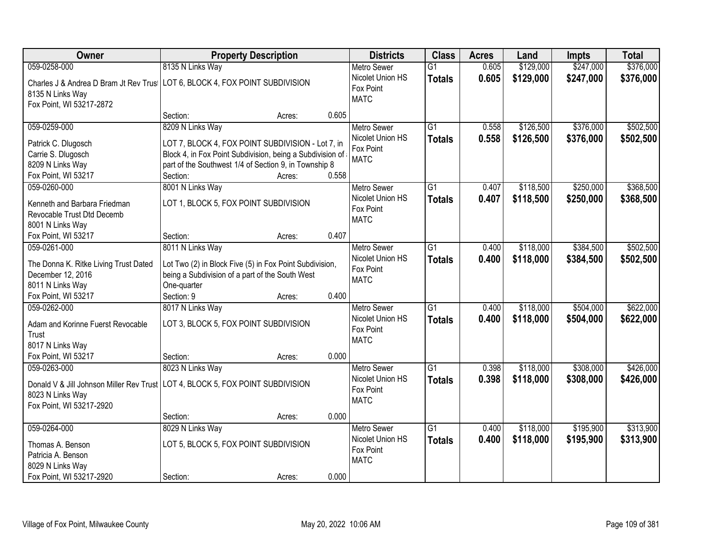| Owner<br><b>Districts</b><br><b>Class</b><br><b>Property Description</b><br><b>Acres</b><br>Land                                                                                                                     | <b>Impts</b> | <b>Total</b> |
|----------------------------------------------------------------------------------------------------------------------------------------------------------------------------------------------------------------------|--------------|--------------|
| 8135 N Links Way<br>0.605<br>\$129,000<br>059-0258-000<br>$\overline{G1}$<br><b>Metro Sewer</b>                                                                                                                      | \$247,000    | \$376,000    |
| Nicolet Union HS<br>0.605<br>\$129,000<br><b>Totals</b><br>Charles J & Andrea D Bram Jt Rev Trus   LOT 6, BLOCK 4, FOX POINT SUBDIVISION<br>Fox Point<br>8135 N Links Way<br><b>MATC</b><br>Fox Point, WI 53217-2872 | \$247,000    | \$376,000    |
| 0.605<br>Section:<br>Acres:                                                                                                                                                                                          |              |              |
| 8209 N Links Way<br>$\overline{G1}$<br>\$126,500<br>059-0259-000<br>0.558<br><b>Metro Sewer</b><br>Nicolet Union HS                                                                                                  | \$376,000    | \$502,500    |
| 0.558<br>\$126,500<br><b>Totals</b><br>LOT 7, BLOCK 4, FOX POINT SUBDIVISION - Lot 7, in<br>Patrick C. Dlugosch<br>Fox Point                                                                                         | \$376,000    | \$502,500    |
| Carrie S. Dlugosch<br>Block 4, in Fox Point Subdivision, being a Subdivision of<br><b>MATC</b>                                                                                                                       |              |              |
| 8209 N Links Way<br>part of the Southwest 1/4 of Section 9, in Township 8                                                                                                                                            |              |              |
| 0.558<br>Fox Point, WI 53217<br>Section:<br>Acres:                                                                                                                                                                   |              |              |
| 8001 N Links Way<br>059-0260-000<br>G1<br>\$118,500<br><b>Metro Sewer</b><br>0.407                                                                                                                                   | \$250,000    | \$368,500    |
| Nicolet Union HS<br>0.407<br>\$118,500<br><b>Totals</b><br>LOT 1, BLOCK 5, FOX POINT SUBDIVISION<br>Kenneth and Barbara Friedman                                                                                     | \$250,000    | \$368,500    |
| Fox Point<br>Revocable Trust Dtd Decemb                                                                                                                                                                              |              |              |
| <b>MATC</b><br>8001 N Links Way                                                                                                                                                                                      |              |              |
| 0.407<br>Fox Point, WI 53217<br>Section:<br>Acres:                                                                                                                                                                   |              |              |
| 059-0261-000<br>8011 N Links Way<br>\$118,000<br>G1<br><b>Metro Sewer</b><br>0.400                                                                                                                                   | \$384,500    | \$502,500    |
| Nicolet Union HS<br>0.400<br>\$118,000<br><b>Totals</b>                                                                                                                                                              | \$384,500    | \$502,500    |
| The Donna K. Ritke Living Trust Dated<br>Lot Two (2) in Block Five (5) in Fox Point Subdivision,<br>Fox Point                                                                                                        |              |              |
| December 12, 2016<br>being a Subdivision of a part of the South West<br><b>MATC</b>                                                                                                                                  |              |              |
| 8011 N Links Way<br>One-quarter                                                                                                                                                                                      |              |              |
| 0.400<br>Fox Point, WI 53217<br>Section: 9<br>Acres:                                                                                                                                                                 |              |              |
| 059-0262-000<br>8017 N Links Way<br>$\overline{G1}$<br>0.400<br>\$118,000<br><b>Metro Sewer</b>                                                                                                                      | \$504,000    | \$622,000    |
| Nicolet Union HS<br>0.400<br>\$118,000<br><b>Totals</b><br>LOT 3, BLOCK 5, FOX POINT SUBDIVISION<br>Adam and Korinne Fuerst Revocable                                                                                | \$504,000    | \$622,000    |
| Fox Point<br>Trust                                                                                                                                                                                                   |              |              |
| <b>MATC</b><br>8017 N Links Way                                                                                                                                                                                      |              |              |
| Fox Point, WI 53217<br>0.000<br>Section:<br>Acres:                                                                                                                                                                   |              |              |
| $\overline{G1}$<br>059-0263-000<br>8023 N Links Way<br>0.398<br>\$118,000<br>Metro Sewer                                                                                                                             | \$308,000    | \$426,000    |
| Nicolet Union HS<br>0.398<br>\$118,000                                                                                                                                                                               | \$308,000    |              |
| <b>Totals</b><br>Donald V & Jill Johnson Miller Rev Trust LOT 4, BLOCK 5, FOX POINT SUBDIVISION<br>Fox Point                                                                                                         |              | \$426,000    |
| 8023 N Links Way<br><b>MATC</b>                                                                                                                                                                                      |              |              |
| Fox Point, WI 53217-2920                                                                                                                                                                                             |              |              |
| 0.000<br>Section:<br>Acres:                                                                                                                                                                                          |              |              |
| $\overline{G1}$<br>\$118,000<br>059-0264-000<br>8029 N Links Way<br>0.400<br><b>Metro Sewer</b>                                                                                                                      | \$195,900    | \$313,900    |
| Nicolet Union HS<br>0.400<br>\$118,000<br><b>Totals</b><br>LOT 5, BLOCK 5, FOX POINT SUBDIVISION<br>Thomas A. Benson                                                                                                 | \$195,900    | \$313,900    |
| Fox Point<br>Patricia A. Benson                                                                                                                                                                                      |              |              |
| <b>MATC</b><br>8029 N Links Way                                                                                                                                                                                      |              |              |
| 0.000<br>Fox Point, WI 53217-2920<br>Section:<br>Acres:                                                                                                                                                              |              |              |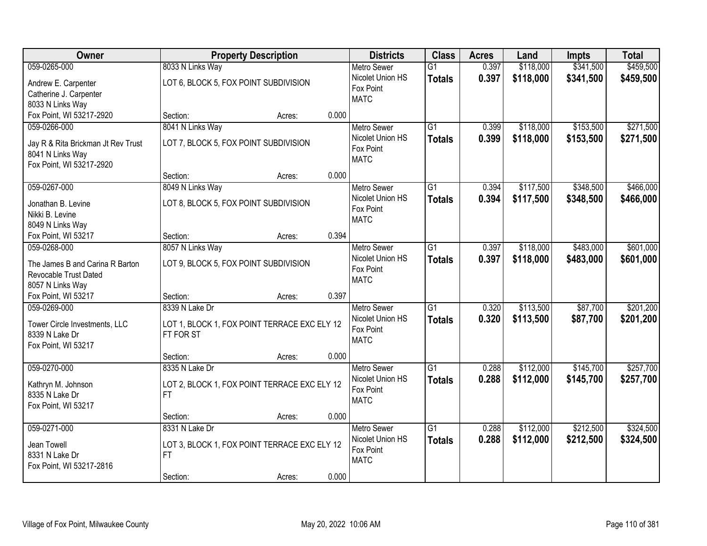| Owner                                           |                                                           | <b>Property Description</b> |       | <b>Districts</b>   | <b>Class</b>    | <b>Acres</b> | Land      | <b>Impts</b> | <b>Total</b> |
|-------------------------------------------------|-----------------------------------------------------------|-----------------------------|-------|--------------------|-----------------|--------------|-----------|--------------|--------------|
| 059-0265-000                                    | 8033 N Links Way                                          |                             |       | <b>Metro Sewer</b> | $\overline{G1}$ | 0.397        | \$118,000 | \$341,500    | \$459,500    |
| Andrew E. Carpenter                             | LOT 6, BLOCK 5, FOX POINT SUBDIVISION                     |                             |       | Nicolet Union HS   | <b>Totals</b>   | 0.397        | \$118,000 | \$341,500    | \$459,500    |
| Catherine J. Carpenter                          |                                                           |                             |       | Fox Point          |                 |              |           |              |              |
| 8033 N Links Way                                |                                                           |                             |       | <b>MATC</b>        |                 |              |           |              |              |
| Fox Point, WI 53217-2920                        | Section:                                                  | Acres:                      | 0.000 |                    |                 |              |           |              |              |
| 059-0266-000                                    | 8041 N Links Way                                          |                             |       | <b>Metro Sewer</b> | $\overline{G1}$ | 0.399        | \$118,000 | \$153,500    | \$271,500    |
| Jay R & Rita Brickman Jt Rev Trust              | LOT 7, BLOCK 5, FOX POINT SUBDIVISION                     |                             |       | Nicolet Union HS   | <b>Totals</b>   | 0.399        | \$118,000 | \$153,500    | \$271,500    |
| 8041 N Links Way                                |                                                           |                             |       | Fox Point          |                 |              |           |              |              |
| Fox Point, WI 53217-2920                        |                                                           |                             |       | <b>MATC</b>        |                 |              |           |              |              |
|                                                 | Section:                                                  | Acres:                      | 0.000 |                    |                 |              |           |              |              |
| 059-0267-000                                    | 8049 N Links Way                                          |                             |       | Metro Sewer        | G1              | 0.394        | \$117,500 | \$348,500    | \$466,000    |
| Jonathan B. Levine                              | LOT 8, BLOCK 5, FOX POINT SUBDIVISION                     |                             |       | Nicolet Union HS   | <b>Totals</b>   | 0.394        | \$117,500 | \$348,500    | \$466,000    |
| Nikki B. Levine                                 |                                                           |                             |       | Fox Point          |                 |              |           |              |              |
| 8049 N Links Way                                |                                                           |                             |       | <b>MATC</b>        |                 |              |           |              |              |
| Fox Point, WI 53217                             | Section:                                                  | Acres:                      | 0.394 |                    |                 |              |           |              |              |
| 059-0268-000                                    | 8057 N Links Way                                          |                             |       | <b>Metro Sewer</b> | $\overline{G1}$ | 0.397        | \$118,000 | \$483,000    | \$601,000    |
| The James B and Carina R Barton                 |                                                           |                             |       | Nicolet Union HS   | <b>Totals</b>   | 0.397        | \$118,000 | \$483,000    | \$601,000    |
| Revocable Trust Dated                           | LOT 9, BLOCK 5, FOX POINT SUBDIVISION                     |                             |       | Fox Point          |                 |              |           |              |              |
| 8057 N Links Way                                |                                                           |                             |       | <b>MATC</b>        |                 |              |           |              |              |
| Fox Point, WI 53217                             | Section:                                                  | Acres:                      | 0.397 |                    |                 |              |           |              |              |
| 059-0269-000                                    | 8339 N Lake Dr                                            |                             |       | <b>Metro Sewer</b> | $\overline{G1}$ | 0.320        | \$113,500 | \$87,700     | \$201,200    |
|                                                 |                                                           |                             |       | Nicolet Union HS   | <b>Totals</b>   | 0.320        | \$113,500 | \$87,700     | \$201,200    |
| Tower Circle Investments, LLC<br>8339 N Lake Dr | LOT 1, BLOCK 1, FOX POINT TERRACE EXC ELY 12<br>FT FOR ST |                             |       | Fox Point          |                 |              |           |              |              |
| Fox Point, WI 53217                             |                                                           |                             |       | <b>MATC</b>        |                 |              |           |              |              |
|                                                 | Section:                                                  | Acres:                      | 0.000 |                    |                 |              |           |              |              |
| 059-0270-000                                    | 8335 N Lake Dr                                            |                             |       | <b>Metro Sewer</b> | $\overline{G1}$ | 0.288        | \$112,000 | \$145,700    | \$257,700    |
|                                                 |                                                           |                             |       | Nicolet Union HS   | <b>Totals</b>   | 0.288        | \$112,000 | \$145,700    | \$257,700    |
| Kathryn M. Johnson<br>8335 N Lake Dr            | LOT 2, BLOCK 1, FOX POINT TERRACE EXC ELY 12<br>FT.       |                             |       | Fox Point          |                 |              |           |              |              |
| Fox Point, WI 53217                             |                                                           |                             |       | <b>MATC</b>        |                 |              |           |              |              |
|                                                 | Section:                                                  | Acres:                      | 0.000 |                    |                 |              |           |              |              |
| 059-0271-000                                    | 8331 N Lake Dr                                            |                             |       | Metro Sewer        | $\overline{G1}$ | 0.288        | \$112,000 | \$212,500    | \$324,500    |
|                                                 |                                                           |                             |       | Nicolet Union HS   | <b>Totals</b>   | 0.288        | \$112,000 | \$212,500    | \$324,500    |
| Jean Towell<br>8331 N Lake Dr                   | LOT 3, BLOCK 1, FOX POINT TERRACE EXC ELY 12<br>FT.       |                             |       | Fox Point          |                 |              |           |              |              |
| Fox Point, WI 53217-2816                        |                                                           |                             |       | <b>MATC</b>        |                 |              |           |              |              |
|                                                 | Section:                                                  | Acres:                      | 0.000 |                    |                 |              |           |              |              |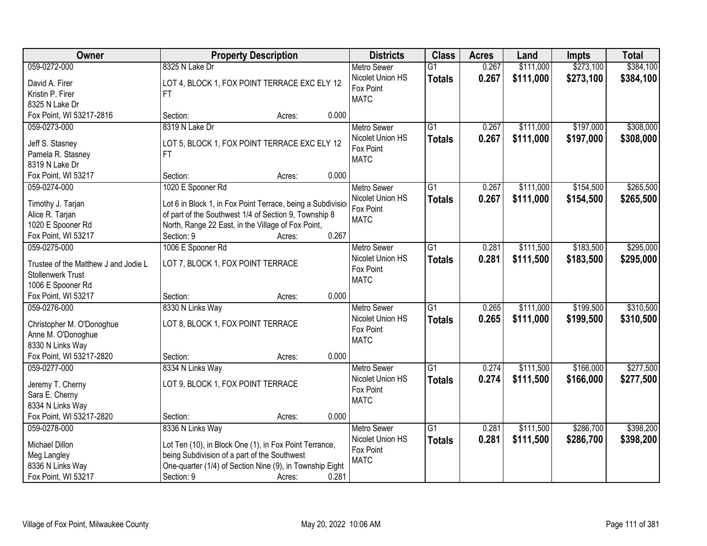| \$384,100<br>059-0272-000<br>8325 N Lake Dr<br>0.267<br>\$111,000<br>\$273,100<br>$\overline{G1}$<br><b>Metro Sewer</b><br>0.267<br>Nicolet Union HS<br>\$111,000<br>\$273,100<br>\$384,100<br><b>Totals</b><br>LOT 4, BLOCK 1, FOX POINT TERRACE EXC ELY 12<br>David A. Firer<br>Fox Point<br>Kristin P. Firer<br>FT. |
|------------------------------------------------------------------------------------------------------------------------------------------------------------------------------------------------------------------------------------------------------------------------------------------------------------------------|
|                                                                                                                                                                                                                                                                                                                        |
|                                                                                                                                                                                                                                                                                                                        |
|                                                                                                                                                                                                                                                                                                                        |
| <b>MATC</b><br>8325 N Lake Dr                                                                                                                                                                                                                                                                                          |
| 0.000<br>Fox Point, WI 53217-2816<br>Section:<br>Acres:                                                                                                                                                                                                                                                                |
| \$308,000<br>8319 N Lake Dr<br>$\overline{G1}$<br>\$111,000<br>\$197,000<br>059-0273-000<br><b>Metro Sewer</b><br>0.267                                                                                                                                                                                                |
| 0.267<br>\$197,000<br>Nicolet Union HS<br>\$111,000<br>\$308,000<br><b>Totals</b>                                                                                                                                                                                                                                      |
| Jeff S. Stasney<br>LOT 5, BLOCK 1, FOX POINT TERRACE EXC ELY 12<br>Fox Point<br>Pamela R. Stasney                                                                                                                                                                                                                      |
| FT.<br><b>MATC</b><br>8319 N Lake Dr                                                                                                                                                                                                                                                                                   |
| 0.000<br>Fox Point, WI 53217<br>Section:<br>Acres:                                                                                                                                                                                                                                                                     |
| \$154,500<br>\$265,500<br>059-0274-000<br>1020 E Spooner Rd<br>$\overline{G1}$<br>0.267<br>\$111,000<br><b>Metro Sewer</b>                                                                                                                                                                                             |
| Nicolet Union HS<br>0.267<br>\$111,000<br>\$154,500<br>\$265,500                                                                                                                                                                                                                                                       |
| <b>Totals</b><br>Lot 6 in Block 1, in Fox Point Terrace, being a Subdivisio<br>Timothy J. Tarjan<br>Fox Point                                                                                                                                                                                                          |
| Alice R. Tarjan<br>of part of the Southwest 1/4 of Section 9, Township 8<br><b>MATC</b>                                                                                                                                                                                                                                |
| North, Range 22 East, in the Village of Fox Point,<br>1020 E Spooner Rd                                                                                                                                                                                                                                                |
| 0.267<br>Section: 9<br>Fox Point, WI 53217<br>Acres:                                                                                                                                                                                                                                                                   |
| 1006 E Spooner Rd<br>$\overline{G1}$<br>\$111,500<br>\$183,500<br>\$295,000<br>059-0275-000<br><b>Metro Sewer</b><br>0.281                                                                                                                                                                                             |
| Nicolet Union HS<br>0.281<br>\$111,500<br>\$183,500<br>\$295,000<br><b>Totals</b><br>LOT 7, BLOCK 1, FOX POINT TERRACE<br>Trustee of the Matthew J and Jodie L                                                                                                                                                         |
| Fox Point<br><b>Stollenwerk Trust</b>                                                                                                                                                                                                                                                                                  |
| <b>MATC</b><br>1006 E Spooner Rd                                                                                                                                                                                                                                                                                       |
| 0.000<br>Fox Point, WI 53217<br>Section:<br>Acres:                                                                                                                                                                                                                                                                     |
| $\overline{G1}$<br>\$111,000<br>\$199,500<br>\$310,500<br>059-0276-000<br>8330 N Links Way<br>0.265<br><b>Metro Sewer</b>                                                                                                                                                                                              |
| Nicolet Union HS<br>0.265<br>\$111,000<br>\$199,500<br><b>Totals</b><br>\$310,500                                                                                                                                                                                                                                      |
| LOT 8, BLOCK 1, FOX POINT TERRACE<br>Christopher M. O'Donoghue<br>Fox Point                                                                                                                                                                                                                                            |
| Anne M. O'Donoghue<br><b>MATC</b>                                                                                                                                                                                                                                                                                      |
| 8330 N Links Way                                                                                                                                                                                                                                                                                                       |
| Fox Point, WI 53217-2820<br>0.000<br>Section:<br>Acres:                                                                                                                                                                                                                                                                |
| G1<br>\$166,000<br>\$277,500<br>059-0277-000<br>8334 N Links Way<br>Metro Sewer<br>0.274<br>\$111,500                                                                                                                                                                                                                  |
| 0.274<br>Nicolet Union HS<br>\$111,500<br>\$166,000<br>\$277,500<br><b>Totals</b><br>LOT 9, BLOCK 1, FOX POINT TERRACE<br>Jeremy T. Cherny                                                                                                                                                                             |
| Fox Point<br>Sara E. Cherny                                                                                                                                                                                                                                                                                            |
| <b>MATC</b><br>8334 N Links Way                                                                                                                                                                                                                                                                                        |
| Fox Point, WI 53217-2820<br>0.000<br>Section:<br>Acres:                                                                                                                                                                                                                                                                |
| \$111,500<br>\$286,700<br>\$398,200<br>059-0278-000<br>8336 N Links Way<br><b>Metro Sewer</b><br>G1<br>0.281                                                                                                                                                                                                           |
| Nicolet Union HS<br>0.281<br>\$398,200<br>\$111,500<br>\$286,700<br><b>Totals</b><br>Michael Dillon<br>Lot Ten (10), in Block One (1), in Fox Point Terrance,                                                                                                                                                          |
| Fox Point<br>being Subdivision of a part of the Southwest<br>Meg Langley                                                                                                                                                                                                                                               |
| <b>MATC</b><br>8336 N Links Way<br>One-quarter (1/4) of Section Nine (9), in Township Eight                                                                                                                                                                                                                            |
| 0.281<br>Fox Point, WI 53217<br>Section: 9<br>Acres:                                                                                                                                                                                                                                                                   |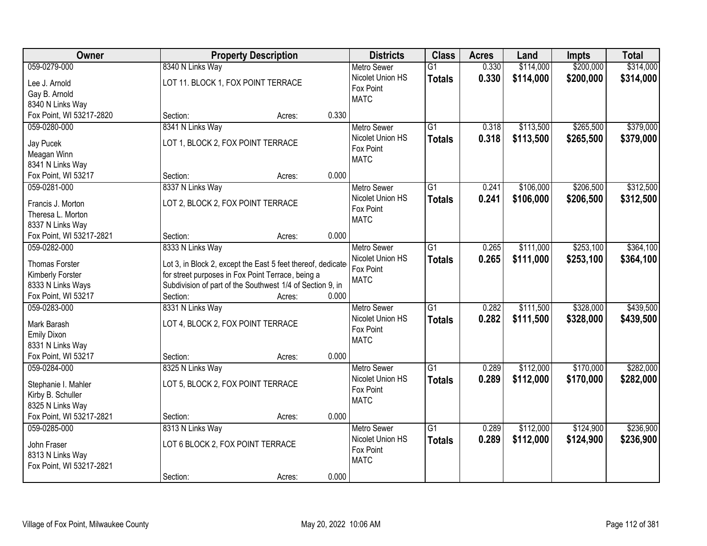| <b>Owner</b>             | <b>Property Description</b>                                 |       | <b>Districts</b>   | <b>Class</b>    | <b>Acres</b> | Land      | <b>Impts</b> | <b>Total</b> |
|--------------------------|-------------------------------------------------------------|-------|--------------------|-----------------|--------------|-----------|--------------|--------------|
| 059-0279-000             | 8340 N Links Way                                            |       | <b>Metro Sewer</b> | $\overline{G1}$ | 0.330        | \$114,000 | \$200,000    | \$314,000    |
| Lee J. Arnold            | LOT 11. BLOCK 1, FOX POINT TERRACE                          |       | Nicolet Union HS   | <b>Totals</b>   | 0.330        | \$114,000 | \$200,000    | \$314,000    |
| Gay B. Arnold            |                                                             |       | Fox Point          |                 |              |           |              |              |
| 8340 N Links Way         |                                                             |       | <b>MATC</b>        |                 |              |           |              |              |
| Fox Point, WI 53217-2820 | Section:<br>Acres:                                          | 0.330 |                    |                 |              |           |              |              |
| 059-0280-000             | 8341 N Links Way                                            |       | <b>Metro Sewer</b> | $\overline{G1}$ | 0.318        | \$113,500 | \$265,500    | \$379,000    |
|                          |                                                             |       | Nicolet Union HS   | <b>Totals</b>   | 0.318        | \$113,500 | \$265,500    | \$379,000    |
| Jay Pucek                | LOT 1, BLOCK 2, FOX POINT TERRACE                           |       | Fox Point          |                 |              |           |              |              |
| Meagan Winn              |                                                             |       | <b>MATC</b>        |                 |              |           |              |              |
| 8341 N Links Way         |                                                             |       |                    |                 |              |           |              |              |
| Fox Point, WI 53217      | Section:<br>Acres:                                          | 0.000 |                    |                 |              |           |              |              |
| 059-0281-000             | 8337 N Links Way                                            |       | Metro Sewer        | $\overline{G1}$ | 0.241        | \$106,000 | \$206,500    | \$312,500    |
| Francis J. Morton        | LOT 2, BLOCK 2, FOX POINT TERRACE                           |       | Nicolet Union HS   | <b>Totals</b>   | 0.241        | \$106,000 | \$206,500    | \$312,500    |
| Theresa L. Morton        |                                                             |       | Fox Point          |                 |              |           |              |              |
| 8337 N Links Way         |                                                             |       | <b>MATC</b>        |                 |              |           |              |              |
| Fox Point, WI 53217-2821 | Section:<br>Acres:                                          | 0.000 |                    |                 |              |           |              |              |
| 059-0282-000             | 8333 N Links Way                                            |       | <b>Metro Sewer</b> | $\overline{G1}$ | 0.265        | \$111,000 | \$253,100    | \$364,100    |
|                          |                                                             |       | Nicolet Union HS   | <b>Totals</b>   | 0.265        | \$111,000 | \$253,100    | \$364,100    |
| <b>Thomas Forster</b>    | Lot 3, in Block 2, except the East 5 feet thereof, dedicate |       | Fox Point          |                 |              |           |              |              |
| Kimberly Forster         | for street purposes in Fox Point Terrace, being a           |       | <b>MATC</b>        |                 |              |           |              |              |
| 8333 N Links Ways        | Subdivision of part of the Southwest 1/4 of Section 9, in   |       |                    |                 |              |           |              |              |
| Fox Point, WI 53217      | Section:<br>Acres:                                          | 0.000 |                    |                 |              |           |              |              |
| 059-0283-000             | 8331 N Links Way                                            |       | <b>Metro Sewer</b> | $\overline{G1}$ | 0.282        | \$111,500 | \$328,000    | \$439,500    |
| Mark Barash              | LOT 4, BLOCK 2, FOX POINT TERRACE                           |       | Nicolet Union HS   | <b>Totals</b>   | 0.282        | \$111,500 | \$328,000    | \$439,500    |
| <b>Emily Dixon</b>       |                                                             |       | Fox Point          |                 |              |           |              |              |
| 8331 N Links Way         |                                                             |       | <b>MATC</b>        |                 |              |           |              |              |
| Fox Point, WI 53217      | Section:<br>Acres:                                          | 0.000 |                    |                 |              |           |              |              |
| 059-0284-000             | 8325 N Links Way                                            |       | <b>Metro Sewer</b> | $\overline{G1}$ | 0.289        | \$112,000 | \$170,000    | \$282,000    |
|                          |                                                             |       | Nicolet Union HS   | <b>Totals</b>   | 0.289        | \$112,000 | \$170,000    | \$282,000    |
| Stephanie I. Mahler      | LOT 5, BLOCK 2, FOX POINT TERRACE                           |       | Fox Point          |                 |              |           |              |              |
| Kirby B. Schuller        |                                                             |       | <b>MATC</b>        |                 |              |           |              |              |
| 8325 N Links Way         |                                                             |       |                    |                 |              |           |              |              |
| Fox Point, WI 53217-2821 | Section:<br>Acres:                                          | 0.000 |                    |                 |              |           |              |              |
| 059-0285-000             | 8313 N Links Way                                            |       | <b>Metro Sewer</b> | $\overline{G1}$ | 0.289        | \$112,000 | \$124,900    | \$236,900    |
| John Fraser              | LOT 6 BLOCK 2, FOX POINT TERRACE                            |       | Nicolet Union HS   | <b>Totals</b>   | 0.289        | \$112,000 | \$124,900    | \$236,900    |
| 8313 N Links Way         |                                                             |       | Fox Point          |                 |              |           |              |              |
| Fox Point, WI 53217-2821 |                                                             |       | <b>MATC</b>        |                 |              |           |              |              |
|                          | Section:<br>Acres:                                          | 0.000 |                    |                 |              |           |              |              |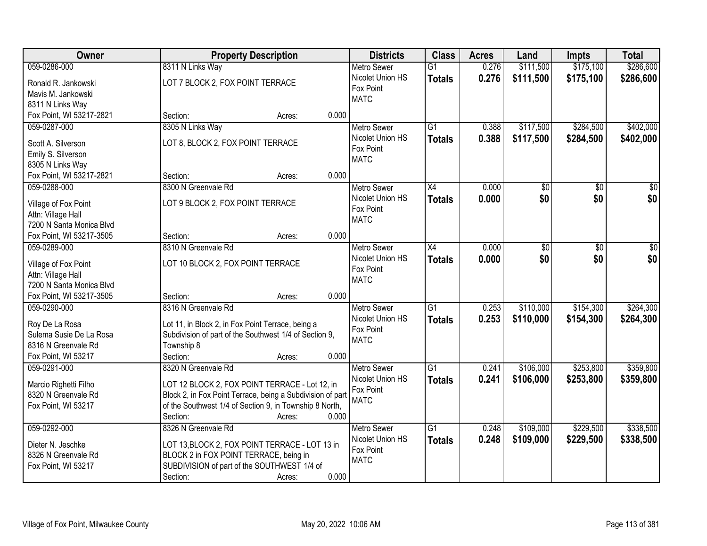| Owner                                     | <b>Property Description</b>                                                                                 | <b>Districts</b>         | <b>Class</b>    | <b>Acres</b> | Land      | <b>Impts</b> | <b>Total</b> |
|-------------------------------------------|-------------------------------------------------------------------------------------------------------------|--------------------------|-----------------|--------------|-----------|--------------|--------------|
| 059-0286-000                              | 8311 N Links Way                                                                                            | <b>Metro Sewer</b>       | $\overline{G1}$ | 0.276        | \$111,500 | \$175,100    | \$286,600    |
| Ronald R. Jankowski                       | LOT 7 BLOCK 2, FOX POINT TERRACE                                                                            | Nicolet Union HS         | <b>Totals</b>   | 0.276        | \$111,500 | \$175,100    | \$286,600    |
| Mavis M. Jankowski                        |                                                                                                             | Fox Point<br><b>MATC</b> |                 |              |           |              |              |
| 8311 N Links Way                          |                                                                                                             |                          |                 |              |           |              |              |
| Fox Point, WI 53217-2821                  | 0.000<br>Section:<br>Acres:                                                                                 |                          |                 |              |           |              |              |
| 059-0287-000                              | 8305 N Links Way                                                                                            | <b>Metro Sewer</b>       | $\overline{G1}$ | 0.388        | \$117,500 | \$284,500    | \$402,000    |
| Scott A. Silverson                        | LOT 8, BLOCK 2, FOX POINT TERRACE                                                                           | Nicolet Union HS         | <b>Totals</b>   | 0.388        | \$117,500 | \$284,500    | \$402,000    |
| Emily S. Silverson                        |                                                                                                             | Fox Point                |                 |              |           |              |              |
| 8305 N Links Way                          |                                                                                                             | <b>MATC</b>              |                 |              |           |              |              |
| Fox Point, WI 53217-2821                  | 0.000<br>Section:<br>Acres:                                                                                 |                          |                 |              |           |              |              |
| 059-0288-000                              | 8300 N Greenvale Rd                                                                                         | <b>Metro Sewer</b>       | X4              | 0.000        | \$0       | \$0          | \$0          |
|                                           |                                                                                                             | Nicolet Union HS         | <b>Totals</b>   | 0.000        | \$0       | \$0          | \$0          |
| Village of Fox Point                      | LOT 9 BLOCK 2, FOX POINT TERRACE                                                                            | Fox Point                |                 |              |           |              |              |
| Attn: Village Hall                        |                                                                                                             | <b>MATC</b>              |                 |              |           |              |              |
| 7200 N Santa Monica Blvd                  |                                                                                                             |                          |                 |              |           |              |              |
| Fox Point, WI 53217-3505                  | 0.000<br>Section:<br>Acres:                                                                                 |                          |                 |              |           |              |              |
| 059-0289-000                              | 8310 N Greenvale Rd                                                                                         | <b>Metro Sewer</b>       | X4              | 0.000        | \$0       | \$0          | \$0          |
| Village of Fox Point                      | LOT 10 BLOCK 2, FOX POINT TERRACE                                                                           | Nicolet Union HS         | <b>Totals</b>   | 0.000        | \$0       | \$0          | \$0          |
| Attn: Village Hall                        |                                                                                                             | Fox Point                |                 |              |           |              |              |
| 7200 N Santa Monica Blvd                  |                                                                                                             | <b>MATC</b>              |                 |              |           |              |              |
| Fox Point, WI 53217-3505                  | 0.000<br>Section:<br>Acres:                                                                                 |                          |                 |              |           |              |              |
| 059-0290-000                              | 8316 N Greenvale Rd                                                                                         | <b>Metro Sewer</b>       | $\overline{G1}$ | 0.253        | \$110,000 | \$154,300    | \$264,300    |
|                                           |                                                                                                             | Nicolet Union HS         | Totals          | 0.253        | \$110,000 | \$154,300    | \$264,300    |
| Roy De La Rosa<br>Sulema Susie De La Rosa | Lot 11, in Block 2, in Fox Point Terrace, being a<br>Subdivision of part of the Southwest 1/4 of Section 9, | Fox Point                |                 |              |           |              |              |
| 8316 N Greenvale Rd                       | Township 8                                                                                                  | <b>MATC</b>              |                 |              |           |              |              |
| Fox Point, WI 53217                       | Section:<br>0.000<br>Acres:                                                                                 |                          |                 |              |           |              |              |
| 059-0291-000                              | 8320 N Greenvale Rd                                                                                         | Metro Sewer              | $\overline{G1}$ | 0.241        | \$106,000 | \$253,800    | \$359,800    |
|                                           |                                                                                                             | Nicolet Union HS         | <b>Totals</b>   | 0.241        | \$106,000 | \$253,800    | \$359,800    |
| Marcio Righetti Filho                     | LOT 12 BLOCK 2, FOX POINT TERRACE - Lot 12, in                                                              | Fox Point                |                 |              |           |              |              |
| 8320 N Greenvale Rd                       | Block 2, in Fox Point Terrace, being a Subdivision of part                                                  | <b>MATC</b>              |                 |              |           |              |              |
| Fox Point, WI 53217                       | of the Southwest 1/4 of Section 9, in Township 8 North,                                                     |                          |                 |              |           |              |              |
|                                           | 0.000<br>Section:<br>Acres:                                                                                 |                          |                 |              |           |              |              |
| 059-0292-000                              | 8326 N Greenvale Rd                                                                                         | <b>Metro Sewer</b>       | $\overline{G1}$ | 0.248        | \$109,000 | \$229,500    | \$338,500    |
| Dieter N. Jeschke                         | LOT 13, BLOCK 2, FOX POINT TERRACE - LOT 13 in                                                              | Nicolet Union HS         | <b>Totals</b>   | 0.248        | \$109,000 | \$229,500    | \$338,500    |
| 8326 N Greenvale Rd                       | BLOCK 2 in FOX POINT TERRACE, being in                                                                      | Fox Point                |                 |              |           |              |              |
| Fox Point, WI 53217                       | SUBDIVISION of part of the SOUTHWEST 1/4 of                                                                 | <b>MATC</b>              |                 |              |           |              |              |
|                                           | 0.000<br>Section:<br>Acres:                                                                                 |                          |                 |              |           |              |              |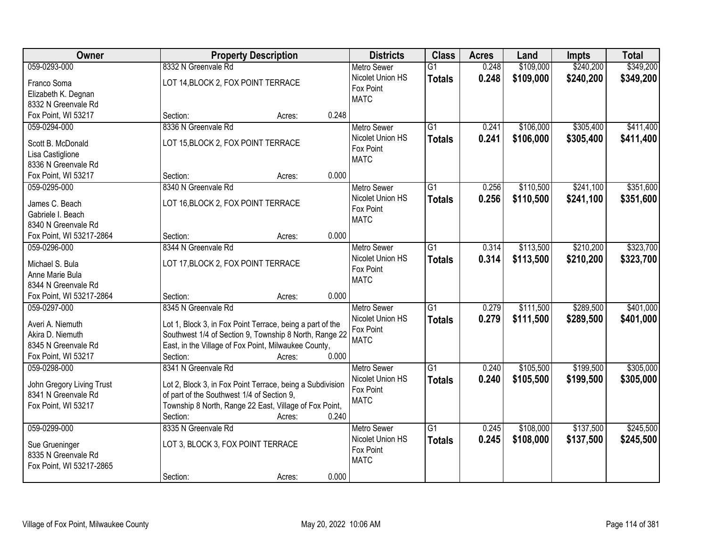| \$240,200<br>\$349,200<br>059-0293-000<br>8332 N Greenvale Rd<br>\$109,000<br><b>Metro Sewer</b><br>$\overline{G1}$<br>0.248<br>Nicolet Union HS<br>0.248<br>\$109,000<br>\$240,200<br><b>Totals</b><br>LOT 14, BLOCK 2, FOX POINT TERRACE<br>Franco Soma<br>Fox Point<br>Elizabeth K. Degnan<br><b>MATC</b><br>8332 N Greenvale Rd<br>Fox Point, WI 53217<br>0.248<br>Section:<br>Acres:<br>\$305,400<br>059-0294-000<br>8336 N Greenvale Rd<br>$\overline{G1}$<br>0.241<br>\$106,000<br><b>Metro Sewer</b><br>Nicolet Union HS<br>0.241<br>\$106,000<br>\$305,400<br><b>Totals</b><br>LOT 15, BLOCK 2, FOX POINT TERRACE<br>Scott B. McDonald<br>Fox Point<br>Lisa Castiglione<br><b>MATC</b><br>8336 N Greenvale Rd<br>0.000<br>Fox Point, WI 53217<br>Section:<br>Acres:<br>$\overline{G1}$<br>\$110,500<br>\$241,100<br>059-0295-000<br>8340 N Greenvale Rd<br>Metro Sewer<br>0.256<br>Nicolet Union HS<br>0.256<br>\$110,500<br>\$241,100<br><b>Totals</b><br>LOT 16, BLOCK 2, FOX POINT TERRACE<br>James C. Beach<br>Fox Point<br>Gabriele I. Beach<br><b>MATC</b><br>8340 N Greenvale Rd<br>Fox Point, WI 53217-2864<br>0.000<br>Section:<br>Acres:<br>\$113,500<br>\$210,200<br>8344 N Greenvale Rd<br>$\overline{G1}$<br>059-0296-000<br><b>Metro Sewer</b><br>0.314<br>Nicolet Union HS<br>0.314<br>\$113,500<br>\$210,200<br><b>Totals</b><br>LOT 17, BLOCK 2, FOX POINT TERRACE<br>Michael S. Bula<br>Fox Point<br>Anne Marie Bula<br><b>MATC</b><br>8344 N Greenvale Rd<br>Fox Point, WI 53217-2864<br>0.000<br>Section:<br>Acres:<br>$\overline{G1}$<br>\$289,500<br>8345 N Greenvale Rd<br>0.279<br>\$111,500<br>059-0297-000<br>Metro Sewer<br>0.279<br>\$111,500<br>\$289,500<br>Nicolet Union HS<br><b>Totals</b><br>Averi A. Niemuth<br>Lot 1, Block 3, in Fox Point Terrace, being a part of the<br>Fox Point<br>Southwest 1/4 of Section 9, Township 8 North, Range 22<br>Akira D. Niemuth<br><b>MATC</b><br>East, in the Village of Fox Point, Milwaukee County,<br>8345 N Greenvale Rd<br>Fox Point, WI 53217<br>0.000<br>Section:<br>Acres:<br>8341 N Greenvale Rd<br>\$199,500<br>059-0298-000<br>$\overline{G1}$<br>\$105,500<br><b>Metro Sewer</b><br>0.240<br>Nicolet Union HS<br>0.240<br>\$105,500<br>\$199,500<br><b>Totals</b><br>John Gregory Living Trust<br>Lot 2, Block 3, in Fox Point Terrace, being a Subdivision<br>Fox Point<br>of part of the Southwest 1/4 of Section 9,<br>8341 N Greenvale Rd<br><b>MATC</b><br>Township 8 North, Range 22 East, Village of Fox Point,<br>Fox Point, WI 53217<br>0.240<br>Section:<br>Acres:<br>$\overline{G1}$<br>\$137,500<br>059-0299-000<br>8335 N Greenvale Rd<br>\$108,000<br><b>Metro Sewer</b><br>0.245<br>Nicolet Union HS<br>0.245<br>\$137,500<br>\$108,000<br><b>Totals</b><br>LOT 3, BLOCK 3, FOX POINT TERRACE<br>Sue Grueninger<br>Fox Point<br>8335 N Greenvale Rd<br><b>MATC</b><br>Fox Point, WI 53217-2865 | Owner | <b>Property Description</b> | <b>Districts</b> | <b>Class</b> | <b>Acres</b> | Land | <b>Impts</b> | <b>Total</b> |
|-------------------------------------------------------------------------------------------------------------------------------------------------------------------------------------------------------------------------------------------------------------------------------------------------------------------------------------------------------------------------------------------------------------------------------------------------------------------------------------------------------------------------------------------------------------------------------------------------------------------------------------------------------------------------------------------------------------------------------------------------------------------------------------------------------------------------------------------------------------------------------------------------------------------------------------------------------------------------------------------------------------------------------------------------------------------------------------------------------------------------------------------------------------------------------------------------------------------------------------------------------------------------------------------------------------------------------------------------------------------------------------------------------------------------------------------------------------------------------------------------------------------------------------------------------------------------------------------------------------------------------------------------------------------------------------------------------------------------------------------------------------------------------------------------------------------------------------------------------------------------------------------------------------------------------------------------------------------------------------------------------------------------------------------------------------------------------------------------------------------------------------------------------------------------------------------------------------------------------------------------------------------------------------------------------------------------------------------------------------------------------------------------------------------------------------------------------------------------------------------------------------------------------------------------------------------------------------------------------------------------------------------------------------------------------------------------------------------------------------------------------------------------------------------------------------------------------------------------------------------------------------------------------------|-------|-----------------------------|------------------|--------------|--------------|------|--------------|--------------|
|                                                                                                                                                                                                                                                                                                                                                                                                                                                                                                                                                                                                                                                                                                                                                                                                                                                                                                                                                                                                                                                                                                                                                                                                                                                                                                                                                                                                                                                                                                                                                                                                                                                                                                                                                                                                                                                                                                                                                                                                                                                                                                                                                                                                                                                                                                                                                                                                                                                                                                                                                                                                                                                                                                                                                                                                                                                                                                             |       |                             |                  |              |              |      |              |              |
| \$411,400<br>\$323,700<br>\$323,700<br>\$401,000<br>\$305,000<br>\$305,000<br>\$245,500<br>\$245,500                                                                                                                                                                                                                                                                                                                                                                                                                                                                                                                                                                                                                                                                                                                                                                                                                                                                                                                                                                                                                                                                                                                                                                                                                                                                                                                                                                                                                                                                                                                                                                                                                                                                                                                                                                                                                                                                                                                                                                                                                                                                                                                                                                                                                                                                                                                                                                                                                                                                                                                                                                                                                                                                                                                                                                                                        |       |                             |                  |              |              |      |              | \$349,200    |
|                                                                                                                                                                                                                                                                                                                                                                                                                                                                                                                                                                                                                                                                                                                                                                                                                                                                                                                                                                                                                                                                                                                                                                                                                                                                                                                                                                                                                                                                                                                                                                                                                                                                                                                                                                                                                                                                                                                                                                                                                                                                                                                                                                                                                                                                                                                                                                                                                                                                                                                                                                                                                                                                                                                                                                                                                                                                                                             |       |                             |                  |              |              |      |              |              |
|                                                                                                                                                                                                                                                                                                                                                                                                                                                                                                                                                                                                                                                                                                                                                                                                                                                                                                                                                                                                                                                                                                                                                                                                                                                                                                                                                                                                                                                                                                                                                                                                                                                                                                                                                                                                                                                                                                                                                                                                                                                                                                                                                                                                                                                                                                                                                                                                                                                                                                                                                                                                                                                                                                                                                                                                                                                                                                             |       |                             |                  |              |              |      |              |              |
| \$411,400<br>\$351,600<br>\$351,600<br>\$401,000                                                                                                                                                                                                                                                                                                                                                                                                                                                                                                                                                                                                                                                                                                                                                                                                                                                                                                                                                                                                                                                                                                                                                                                                                                                                                                                                                                                                                                                                                                                                                                                                                                                                                                                                                                                                                                                                                                                                                                                                                                                                                                                                                                                                                                                                                                                                                                                                                                                                                                                                                                                                                                                                                                                                                                                                                                                            |       |                             |                  |              |              |      |              |              |
|                                                                                                                                                                                                                                                                                                                                                                                                                                                                                                                                                                                                                                                                                                                                                                                                                                                                                                                                                                                                                                                                                                                                                                                                                                                                                                                                                                                                                                                                                                                                                                                                                                                                                                                                                                                                                                                                                                                                                                                                                                                                                                                                                                                                                                                                                                                                                                                                                                                                                                                                                                                                                                                                                                                                                                                                                                                                                                             |       |                             |                  |              |              |      |              |              |
|                                                                                                                                                                                                                                                                                                                                                                                                                                                                                                                                                                                                                                                                                                                                                                                                                                                                                                                                                                                                                                                                                                                                                                                                                                                                                                                                                                                                                                                                                                                                                                                                                                                                                                                                                                                                                                                                                                                                                                                                                                                                                                                                                                                                                                                                                                                                                                                                                                                                                                                                                                                                                                                                                                                                                                                                                                                                                                             |       |                             |                  |              |              |      |              |              |
|                                                                                                                                                                                                                                                                                                                                                                                                                                                                                                                                                                                                                                                                                                                                                                                                                                                                                                                                                                                                                                                                                                                                                                                                                                                                                                                                                                                                                                                                                                                                                                                                                                                                                                                                                                                                                                                                                                                                                                                                                                                                                                                                                                                                                                                                                                                                                                                                                                                                                                                                                                                                                                                                                                                                                                                                                                                                                                             |       |                             |                  |              |              |      |              |              |
|                                                                                                                                                                                                                                                                                                                                                                                                                                                                                                                                                                                                                                                                                                                                                                                                                                                                                                                                                                                                                                                                                                                                                                                                                                                                                                                                                                                                                                                                                                                                                                                                                                                                                                                                                                                                                                                                                                                                                                                                                                                                                                                                                                                                                                                                                                                                                                                                                                                                                                                                                                                                                                                                                                                                                                                                                                                                                                             |       |                             |                  |              |              |      |              |              |
|                                                                                                                                                                                                                                                                                                                                                                                                                                                                                                                                                                                                                                                                                                                                                                                                                                                                                                                                                                                                                                                                                                                                                                                                                                                                                                                                                                                                                                                                                                                                                                                                                                                                                                                                                                                                                                                                                                                                                                                                                                                                                                                                                                                                                                                                                                                                                                                                                                                                                                                                                                                                                                                                                                                                                                                                                                                                                                             |       |                             |                  |              |              |      |              |              |
|                                                                                                                                                                                                                                                                                                                                                                                                                                                                                                                                                                                                                                                                                                                                                                                                                                                                                                                                                                                                                                                                                                                                                                                                                                                                                                                                                                                                                                                                                                                                                                                                                                                                                                                                                                                                                                                                                                                                                                                                                                                                                                                                                                                                                                                                                                                                                                                                                                                                                                                                                                                                                                                                                                                                                                                                                                                                                                             |       |                             |                  |              |              |      |              |              |
|                                                                                                                                                                                                                                                                                                                                                                                                                                                                                                                                                                                                                                                                                                                                                                                                                                                                                                                                                                                                                                                                                                                                                                                                                                                                                                                                                                                                                                                                                                                                                                                                                                                                                                                                                                                                                                                                                                                                                                                                                                                                                                                                                                                                                                                                                                                                                                                                                                                                                                                                                                                                                                                                                                                                                                                                                                                                                                             |       |                             |                  |              |              |      |              |              |
|                                                                                                                                                                                                                                                                                                                                                                                                                                                                                                                                                                                                                                                                                                                                                                                                                                                                                                                                                                                                                                                                                                                                                                                                                                                                                                                                                                                                                                                                                                                                                                                                                                                                                                                                                                                                                                                                                                                                                                                                                                                                                                                                                                                                                                                                                                                                                                                                                                                                                                                                                                                                                                                                                                                                                                                                                                                                                                             |       |                             |                  |              |              |      |              |              |
|                                                                                                                                                                                                                                                                                                                                                                                                                                                                                                                                                                                                                                                                                                                                                                                                                                                                                                                                                                                                                                                                                                                                                                                                                                                                                                                                                                                                                                                                                                                                                                                                                                                                                                                                                                                                                                                                                                                                                                                                                                                                                                                                                                                                                                                                                                                                                                                                                                                                                                                                                                                                                                                                                                                                                                                                                                                                                                             |       |                             |                  |              |              |      |              |              |
|                                                                                                                                                                                                                                                                                                                                                                                                                                                                                                                                                                                                                                                                                                                                                                                                                                                                                                                                                                                                                                                                                                                                                                                                                                                                                                                                                                                                                                                                                                                                                                                                                                                                                                                                                                                                                                                                                                                                                                                                                                                                                                                                                                                                                                                                                                                                                                                                                                                                                                                                                                                                                                                                                                                                                                                                                                                                                                             |       |                             |                  |              |              |      |              |              |
|                                                                                                                                                                                                                                                                                                                                                                                                                                                                                                                                                                                                                                                                                                                                                                                                                                                                                                                                                                                                                                                                                                                                                                                                                                                                                                                                                                                                                                                                                                                                                                                                                                                                                                                                                                                                                                                                                                                                                                                                                                                                                                                                                                                                                                                                                                                                                                                                                                                                                                                                                                                                                                                                                                                                                                                                                                                                                                             |       |                             |                  |              |              |      |              |              |
|                                                                                                                                                                                                                                                                                                                                                                                                                                                                                                                                                                                                                                                                                                                                                                                                                                                                                                                                                                                                                                                                                                                                                                                                                                                                                                                                                                                                                                                                                                                                                                                                                                                                                                                                                                                                                                                                                                                                                                                                                                                                                                                                                                                                                                                                                                                                                                                                                                                                                                                                                                                                                                                                                                                                                                                                                                                                                                             |       |                             |                  |              |              |      |              |              |
|                                                                                                                                                                                                                                                                                                                                                                                                                                                                                                                                                                                                                                                                                                                                                                                                                                                                                                                                                                                                                                                                                                                                                                                                                                                                                                                                                                                                                                                                                                                                                                                                                                                                                                                                                                                                                                                                                                                                                                                                                                                                                                                                                                                                                                                                                                                                                                                                                                                                                                                                                                                                                                                                                                                                                                                                                                                                                                             |       |                             |                  |              |              |      |              |              |
|                                                                                                                                                                                                                                                                                                                                                                                                                                                                                                                                                                                                                                                                                                                                                                                                                                                                                                                                                                                                                                                                                                                                                                                                                                                                                                                                                                                                                                                                                                                                                                                                                                                                                                                                                                                                                                                                                                                                                                                                                                                                                                                                                                                                                                                                                                                                                                                                                                                                                                                                                                                                                                                                                                                                                                                                                                                                                                             |       |                             |                  |              |              |      |              |              |
|                                                                                                                                                                                                                                                                                                                                                                                                                                                                                                                                                                                                                                                                                                                                                                                                                                                                                                                                                                                                                                                                                                                                                                                                                                                                                                                                                                                                                                                                                                                                                                                                                                                                                                                                                                                                                                                                                                                                                                                                                                                                                                                                                                                                                                                                                                                                                                                                                                                                                                                                                                                                                                                                                                                                                                                                                                                                                                             |       |                             |                  |              |              |      |              |              |
|                                                                                                                                                                                                                                                                                                                                                                                                                                                                                                                                                                                                                                                                                                                                                                                                                                                                                                                                                                                                                                                                                                                                                                                                                                                                                                                                                                                                                                                                                                                                                                                                                                                                                                                                                                                                                                                                                                                                                                                                                                                                                                                                                                                                                                                                                                                                                                                                                                                                                                                                                                                                                                                                                                                                                                                                                                                                                                             |       |                             |                  |              |              |      |              |              |
|                                                                                                                                                                                                                                                                                                                                                                                                                                                                                                                                                                                                                                                                                                                                                                                                                                                                                                                                                                                                                                                                                                                                                                                                                                                                                                                                                                                                                                                                                                                                                                                                                                                                                                                                                                                                                                                                                                                                                                                                                                                                                                                                                                                                                                                                                                                                                                                                                                                                                                                                                                                                                                                                                                                                                                                                                                                                                                             |       |                             |                  |              |              |      |              |              |
|                                                                                                                                                                                                                                                                                                                                                                                                                                                                                                                                                                                                                                                                                                                                                                                                                                                                                                                                                                                                                                                                                                                                                                                                                                                                                                                                                                                                                                                                                                                                                                                                                                                                                                                                                                                                                                                                                                                                                                                                                                                                                                                                                                                                                                                                                                                                                                                                                                                                                                                                                                                                                                                                                                                                                                                                                                                                                                             |       |                             |                  |              |              |      |              |              |
|                                                                                                                                                                                                                                                                                                                                                                                                                                                                                                                                                                                                                                                                                                                                                                                                                                                                                                                                                                                                                                                                                                                                                                                                                                                                                                                                                                                                                                                                                                                                                                                                                                                                                                                                                                                                                                                                                                                                                                                                                                                                                                                                                                                                                                                                                                                                                                                                                                                                                                                                                                                                                                                                                                                                                                                                                                                                                                             |       |                             |                  |              |              |      |              |              |
|                                                                                                                                                                                                                                                                                                                                                                                                                                                                                                                                                                                                                                                                                                                                                                                                                                                                                                                                                                                                                                                                                                                                                                                                                                                                                                                                                                                                                                                                                                                                                                                                                                                                                                                                                                                                                                                                                                                                                                                                                                                                                                                                                                                                                                                                                                                                                                                                                                                                                                                                                                                                                                                                                                                                                                                                                                                                                                             |       |                             |                  |              |              |      |              |              |
|                                                                                                                                                                                                                                                                                                                                                                                                                                                                                                                                                                                                                                                                                                                                                                                                                                                                                                                                                                                                                                                                                                                                                                                                                                                                                                                                                                                                                                                                                                                                                                                                                                                                                                                                                                                                                                                                                                                                                                                                                                                                                                                                                                                                                                                                                                                                                                                                                                                                                                                                                                                                                                                                                                                                                                                                                                                                                                             |       |                             |                  |              |              |      |              |              |
|                                                                                                                                                                                                                                                                                                                                                                                                                                                                                                                                                                                                                                                                                                                                                                                                                                                                                                                                                                                                                                                                                                                                                                                                                                                                                                                                                                                                                                                                                                                                                                                                                                                                                                                                                                                                                                                                                                                                                                                                                                                                                                                                                                                                                                                                                                                                                                                                                                                                                                                                                                                                                                                                                                                                                                                                                                                                                                             |       |                             |                  |              |              |      |              |              |
|                                                                                                                                                                                                                                                                                                                                                                                                                                                                                                                                                                                                                                                                                                                                                                                                                                                                                                                                                                                                                                                                                                                                                                                                                                                                                                                                                                                                                                                                                                                                                                                                                                                                                                                                                                                                                                                                                                                                                                                                                                                                                                                                                                                                                                                                                                                                                                                                                                                                                                                                                                                                                                                                                                                                                                                                                                                                                                             |       |                             |                  |              |              |      |              |              |
|                                                                                                                                                                                                                                                                                                                                                                                                                                                                                                                                                                                                                                                                                                                                                                                                                                                                                                                                                                                                                                                                                                                                                                                                                                                                                                                                                                                                                                                                                                                                                                                                                                                                                                                                                                                                                                                                                                                                                                                                                                                                                                                                                                                                                                                                                                                                                                                                                                                                                                                                                                                                                                                                                                                                                                                                                                                                                                             |       |                             |                  |              |              |      |              |              |
|                                                                                                                                                                                                                                                                                                                                                                                                                                                                                                                                                                                                                                                                                                                                                                                                                                                                                                                                                                                                                                                                                                                                                                                                                                                                                                                                                                                                                                                                                                                                                                                                                                                                                                                                                                                                                                                                                                                                                                                                                                                                                                                                                                                                                                                                                                                                                                                                                                                                                                                                                                                                                                                                                                                                                                                                                                                                                                             |       |                             |                  |              |              |      |              |              |
|                                                                                                                                                                                                                                                                                                                                                                                                                                                                                                                                                                                                                                                                                                                                                                                                                                                                                                                                                                                                                                                                                                                                                                                                                                                                                                                                                                                                                                                                                                                                                                                                                                                                                                                                                                                                                                                                                                                                                                                                                                                                                                                                                                                                                                                                                                                                                                                                                                                                                                                                                                                                                                                                                                                                                                                                                                                                                                             |       |                             |                  |              |              |      |              |              |
|                                                                                                                                                                                                                                                                                                                                                                                                                                                                                                                                                                                                                                                                                                                                                                                                                                                                                                                                                                                                                                                                                                                                                                                                                                                                                                                                                                                                                                                                                                                                                                                                                                                                                                                                                                                                                                                                                                                                                                                                                                                                                                                                                                                                                                                                                                                                                                                                                                                                                                                                                                                                                                                                                                                                                                                                                                                                                                             |       |                             |                  |              |              |      |              |              |
|                                                                                                                                                                                                                                                                                                                                                                                                                                                                                                                                                                                                                                                                                                                                                                                                                                                                                                                                                                                                                                                                                                                                                                                                                                                                                                                                                                                                                                                                                                                                                                                                                                                                                                                                                                                                                                                                                                                                                                                                                                                                                                                                                                                                                                                                                                                                                                                                                                                                                                                                                                                                                                                                                                                                                                                                                                                                                                             |       |                             |                  |              |              |      |              |              |
|                                                                                                                                                                                                                                                                                                                                                                                                                                                                                                                                                                                                                                                                                                                                                                                                                                                                                                                                                                                                                                                                                                                                                                                                                                                                                                                                                                                                                                                                                                                                                                                                                                                                                                                                                                                                                                                                                                                                                                                                                                                                                                                                                                                                                                                                                                                                                                                                                                                                                                                                                                                                                                                                                                                                                                                                                                                                                                             |       |                             |                  |              |              |      |              |              |
|                                                                                                                                                                                                                                                                                                                                                                                                                                                                                                                                                                                                                                                                                                                                                                                                                                                                                                                                                                                                                                                                                                                                                                                                                                                                                                                                                                                                                                                                                                                                                                                                                                                                                                                                                                                                                                                                                                                                                                                                                                                                                                                                                                                                                                                                                                                                                                                                                                                                                                                                                                                                                                                                                                                                                                                                                                                                                                             |       |                             |                  |              |              |      |              |              |
|                                                                                                                                                                                                                                                                                                                                                                                                                                                                                                                                                                                                                                                                                                                                                                                                                                                                                                                                                                                                                                                                                                                                                                                                                                                                                                                                                                                                                                                                                                                                                                                                                                                                                                                                                                                                                                                                                                                                                                                                                                                                                                                                                                                                                                                                                                                                                                                                                                                                                                                                                                                                                                                                                                                                                                                                                                                                                                             |       | 0.000<br>Section:<br>Acres: |                  |              |              |      |              |              |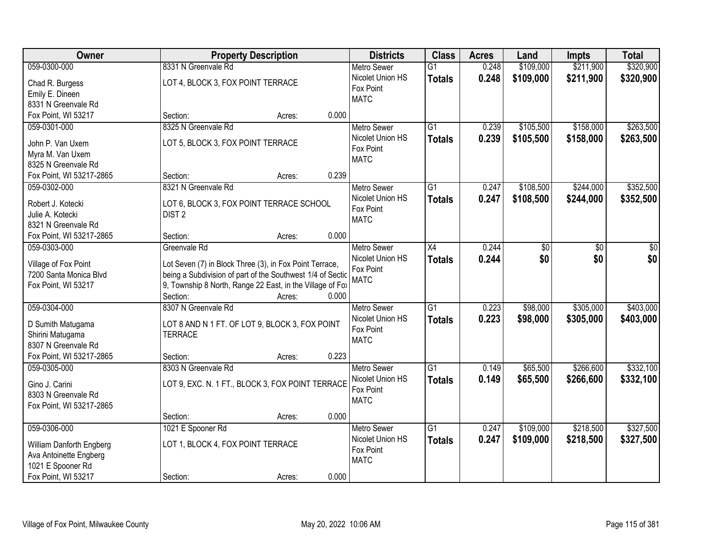| Owner                                          | <b>Property Description</b>                                                                                           | <b>Districts</b>         | <b>Class</b>    | <b>Acres</b> | Land      | <b>Impts</b> | <b>Total</b> |
|------------------------------------------------|-----------------------------------------------------------------------------------------------------------------------|--------------------------|-----------------|--------------|-----------|--------------|--------------|
| 059-0300-000                                   | 8331 N Greenvale Rd                                                                                                   | <b>Metro Sewer</b>       | $\overline{G1}$ | 0.248        | \$109,000 | \$211,900    | \$320,900    |
| Chad R. Burgess                                | LOT 4, BLOCK 3, FOX POINT TERRACE                                                                                     | Nicolet Union HS         | <b>Totals</b>   | 0.248        | \$109,000 | \$211,900    | \$320,900    |
| Emily E. Dineen                                |                                                                                                                       | Fox Point                |                 |              |           |              |              |
| 8331 N Greenvale Rd                            |                                                                                                                       | <b>MATC</b>              |                 |              |           |              |              |
| Fox Point, WI 53217                            | 0.000<br>Section:<br>Acres:                                                                                           |                          |                 |              |           |              |              |
| 059-0301-000                                   | 8325 N Greenvale Rd                                                                                                   | <b>Metro Sewer</b>       | $\overline{G1}$ | 0.239        | \$105,500 | \$158,000    | \$263,500    |
|                                                |                                                                                                                       | Nicolet Union HS         | <b>Totals</b>   | 0.239        | \$105,500 | \$158,000    | \$263,500    |
| John P. Van Uxem                               | LOT 5, BLOCK 3, FOX POINT TERRACE                                                                                     | Fox Point                |                 |              |           |              |              |
| Myra M. Van Uxem                               |                                                                                                                       | <b>MATC</b>              |                 |              |           |              |              |
| 8325 N Greenvale Rd                            | 0.239                                                                                                                 |                          |                 |              |           |              |              |
| Fox Point, WI 53217-2865                       | Section:<br>Acres:                                                                                                    |                          |                 |              |           |              |              |
| 059-0302-000                                   | 8321 N Greenvale Rd                                                                                                   | <b>Metro Sewer</b>       | G1              | 0.247        | \$108,500 | \$244,000    | \$352,500    |
| Robert J. Kotecki                              | LOT 6, BLOCK 3, FOX POINT TERRACE SCHOOL                                                                              | Nicolet Union HS         | <b>Totals</b>   | 0.247        | \$108,500 | \$244,000    | \$352,500    |
| Julie A. Kotecki                               | DIST <sub>2</sub>                                                                                                     | Fox Point<br><b>MATC</b> |                 |              |           |              |              |
| 8321 N Greenvale Rd                            |                                                                                                                       |                          |                 |              |           |              |              |
| Fox Point, WI 53217-2865                       | 0.000<br>Section:<br>Acres:                                                                                           |                          |                 |              |           |              |              |
| 059-0303-000                                   | Greenvale Rd                                                                                                          | <b>Metro Sewer</b>       | X4              | 0.244        | \$0       | \$0          | \$0          |
|                                                |                                                                                                                       | Nicolet Union HS         | <b>Totals</b>   | 0.244        | \$0       | \$0          | \$0          |
| Village of Fox Point<br>7200 Santa Monica Blvd | Lot Seven (7) in Block Three (3), in Fox Point Terrace,<br>being a Subdivision of part of the Southwest 1/4 of Sectic | Fox Point                |                 |              |           |              |              |
| Fox Point, WI 53217                            | 9, Township 8 North, Range 22 East, in the Village of Fox                                                             | <b>MATC</b>              |                 |              |           |              |              |
|                                                | Section:<br>0.000<br>Acres:                                                                                           |                          |                 |              |           |              |              |
| 059-0304-000                                   | 8307 N Greenvale Rd                                                                                                   | <b>Metro Sewer</b>       | $\overline{G1}$ | 0.223        | \$98,000  | \$305,000    | \$403,000    |
|                                                |                                                                                                                       | Nicolet Union HS         |                 |              |           |              |              |
| D Sumith Matugama                              | LOT 8 AND N 1 FT. OF LOT 9, BLOCK 3, FOX POINT                                                                        | Fox Point                | <b>Totals</b>   | 0.223        | \$98,000  | \$305,000    | \$403,000    |
| Shirini Matugama                               | <b>TERRACE</b>                                                                                                        | <b>MATC</b>              |                 |              |           |              |              |
| 8307 N Greenvale Rd                            |                                                                                                                       |                          |                 |              |           |              |              |
| Fox Point, WI 53217-2865                       | 0.223<br>Section:<br>Acres:                                                                                           |                          |                 |              |           |              |              |
| 059-0305-000                                   | 8303 N Greenvale Rd                                                                                                   | <b>Metro Sewer</b>       | $\overline{G1}$ | 0.149        | \$65,500  | \$266,600    | \$332,100    |
| Gino J. Carini                                 | LOT 9, EXC. N. 1 FT., BLOCK 3, FOX POINT TERRACE                                                                      | Nicolet Union HS         | <b>Totals</b>   | 0.149        | \$65,500  | \$266,600    | \$332,100    |
| 8303 N Greenvale Rd                            |                                                                                                                       | Fox Point                |                 |              |           |              |              |
| Fox Point, WI 53217-2865                       |                                                                                                                       | <b>MATC</b>              |                 |              |           |              |              |
|                                                | 0.000<br>Section:<br>Acres:                                                                                           |                          |                 |              |           |              |              |
| 059-0306-000                                   | 1021 E Spooner Rd                                                                                                     | <b>Metro Sewer</b>       | $\overline{G1}$ | 0.247        | \$109,000 | \$218,500    | \$327,500    |
|                                                |                                                                                                                       | Nicolet Union HS         | <b>Totals</b>   | 0.247        | \$109,000 | \$218,500    | \$327,500    |
| William Danforth Engberg                       | LOT 1, BLOCK 4, FOX POINT TERRACE                                                                                     | Fox Point                |                 |              |           |              |              |
| Ava Antoinette Engberg                         |                                                                                                                       | <b>MATC</b>              |                 |              |           |              |              |
| 1021 E Spooner Rd                              |                                                                                                                       |                          |                 |              |           |              |              |
| Fox Point, WI 53217                            | 0.000<br>Section:<br>Acres:                                                                                           |                          |                 |              |           |              |              |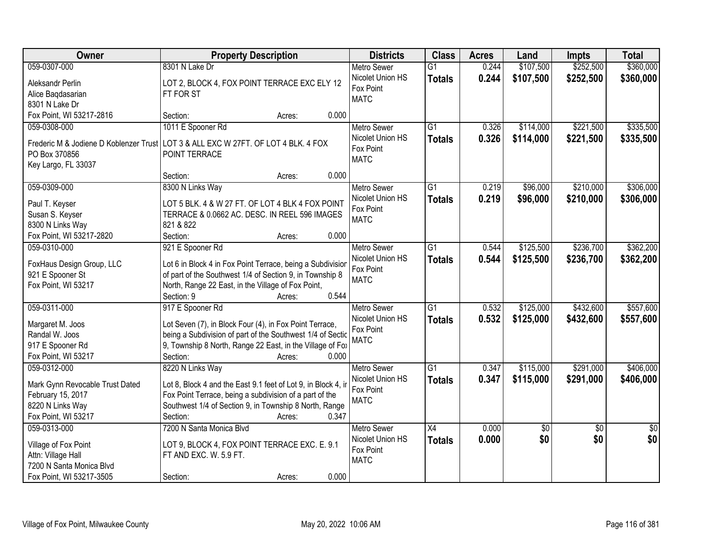| Owner                           | <b>Property Description</b>                                                        | <b>Districts</b>   | <b>Class</b>    | <b>Acres</b> | Land      | <b>Impts</b>    | <b>Total</b>    |
|---------------------------------|------------------------------------------------------------------------------------|--------------------|-----------------|--------------|-----------|-----------------|-----------------|
| 059-0307-000                    | 8301 N Lake Dr                                                                     | <b>Metro Sewer</b> | $\overline{G1}$ | 0.244        | \$107,500 | \$252,500       | \$360,000       |
| Aleksandr Perlin                | LOT 2, BLOCK 4, FOX POINT TERRACE EXC ELY 12                                       | Nicolet Union HS   | <b>Totals</b>   | 0.244        | \$107,500 | \$252,500       | \$360,000       |
| Alice Baqdasarian               | FT FOR ST                                                                          | Fox Point          |                 |              |           |                 |                 |
| 8301 N Lake Dr                  |                                                                                    | <b>MATC</b>        |                 |              |           |                 |                 |
| Fox Point, WI 53217-2816        | 0.000<br>Section:<br>Acres:                                                        |                    |                 |              |           |                 |                 |
| 059-0308-000                    | 1011 E Spooner Rd                                                                  | <b>Metro Sewer</b> | $\overline{G1}$ | 0.326        | \$114,000 | \$221,500       | \$335,500       |
|                                 |                                                                                    | Nicolet Union HS   | <b>Totals</b>   | 0.326        | \$114,000 | \$221,500       | \$335,500       |
|                                 | Frederic M & Jodiene D Koblenzer Trust LOT 3 & ALL EXC W 27FT. OF LOT 4 BLK. 4 FOX | Fox Point          |                 |              |           |                 |                 |
| PO Box 370856                   | POINT TERRACE                                                                      | <b>MATC</b>        |                 |              |           |                 |                 |
| Key Largo, FL 33037             | 0.000<br>Section:                                                                  |                    |                 |              |           |                 |                 |
| 059-0309-000                    | Acres:<br>8300 N Links Way                                                         | <b>Metro Sewer</b> | $\overline{G1}$ | 0.219        | \$96,000  | \$210,000       | \$306,000       |
|                                 |                                                                                    | Nicolet Union HS   |                 |              |           |                 |                 |
| Paul T. Keyser                  | LOT 5 BLK. 4 & W 27 FT. OF LOT 4 BLK 4 FOX POINT                                   | Fox Point          | <b>Totals</b>   | 0.219        | \$96,000  | \$210,000       | \$306,000       |
| Susan S. Keyser                 | TERRACE & 0.0662 AC. DESC. IN REEL 596 IMAGES                                      | <b>MATC</b>        |                 |              |           |                 |                 |
| 8300 N Links Way                | 821 & 822                                                                          |                    |                 |              |           |                 |                 |
| Fox Point, WI 53217-2820        | Section:<br>0.000<br>Acres:                                                        |                    |                 |              |           |                 |                 |
| 059-0310-000                    | 921 E Spooner Rd                                                                   | <b>Metro Sewer</b> | G1              | 0.544        | \$125,500 | \$236,700       | \$362,200       |
| FoxHaus Design Group, LLC       | Lot 6 in Block 4 in Fox Point Terrace, being a Subdivisior                         | Nicolet Union HS   | <b>Totals</b>   | 0.544        | \$125,500 | \$236,700       | \$362,200       |
| 921 E Spooner St                | of part of the Southwest 1/4 of Section 9, in Township 8                           | Fox Point          |                 |              |           |                 |                 |
| Fox Point, WI 53217             | North, Range 22 East, in the Village of Fox Point,                                 | <b>MATC</b>        |                 |              |           |                 |                 |
|                                 | 0.544<br>Section: 9<br>Acres:                                                      |                    |                 |              |           |                 |                 |
| 059-0311-000                    | 917 E Spooner Rd                                                                   | <b>Metro Sewer</b> | $\overline{G1}$ | 0.532        | \$125,000 | \$432,600       | \$557,600       |
|                                 |                                                                                    | Nicolet Union HS   | <b>Totals</b>   | 0.532        | \$125,000 | \$432,600       | \$557,600       |
| Margaret M. Joos                | Lot Seven (7), in Block Four (4), in Fox Point Terrace,                            | Fox Point          |                 |              |           |                 |                 |
| Randal W. Joos                  | being a Subdivision of part of the Southwest 1/4 of Sectic                         | <b>MATC</b>        |                 |              |           |                 |                 |
| 917 E Spooner Rd                | 9, Township 8 North, Range 22 East, in the Village of Fox                          |                    |                 |              |           |                 |                 |
| Fox Point, WI 53217             | Section:<br>0.000<br>Acres:                                                        |                    |                 |              |           |                 |                 |
| 059-0312-000                    | 8220 N Links Way                                                                   | <b>Metro Sewer</b> | $\overline{G1}$ | 0.347        | \$115,000 | \$291,000       | \$406,000       |
| Mark Gynn Revocable Trust Dated | Lot 8, Block 4 and the East 9.1 feet of Lot 9, in Block 4, in                      | Nicolet Union HS   | <b>Totals</b>   | 0.347        | \$115,000 | \$291,000       | \$406,000       |
| February 15, 2017               | Fox Point Terrace, being a subdivision of a part of the                            | Fox Point          |                 |              |           |                 |                 |
| 8220 N Links Way                | Southwest 1/4 of Section 9, in Township 8 North, Range                             | <b>MATC</b>        |                 |              |           |                 |                 |
| Fox Point, WI 53217             | 0.347<br>Section:<br>Acres:                                                        |                    |                 |              |           |                 |                 |
| 059-0313-000                    | 7200 N Santa Monica Blvd                                                           | <b>Metro Sewer</b> | $\overline{X4}$ | 0.000        | \$0       | $\overline{30}$ | $\overline{50}$ |
|                                 |                                                                                    | Nicolet Union HS   | <b>Totals</b>   | 0.000        | \$0       | \$0             | \$0             |
| Village of Fox Point            | LOT 9, BLOCK 4, FOX POINT TERRACE EXC. E. 9.1                                      | Fox Point          |                 |              |           |                 |                 |
| Attn: Village Hall              | FT AND EXC. W. 5.9 FT.                                                             | <b>MATC</b>        |                 |              |           |                 |                 |
| 7200 N Santa Monica Blvd        |                                                                                    |                    |                 |              |           |                 |                 |
| Fox Point, WI 53217-3505        | 0.000<br>Section:<br>Acres:                                                        |                    |                 |              |           |                 |                 |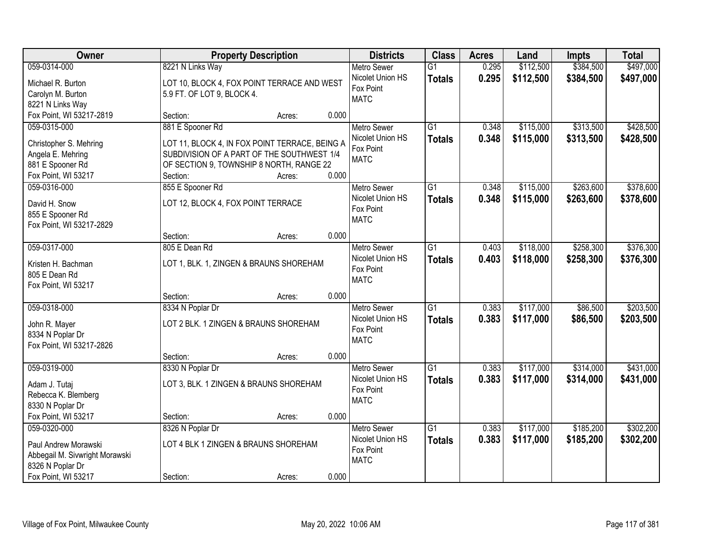| <b>Owner</b>                                       |                                                                                        | <b>Property Description</b> |       | <b>Districts</b>         | <b>Class</b>    | <b>Acres</b> | Land      | <b>Impts</b> | <b>Total</b> |
|----------------------------------------------------|----------------------------------------------------------------------------------------|-----------------------------|-------|--------------------------|-----------------|--------------|-----------|--------------|--------------|
| 059-0314-000                                       | 8221 N Links Way                                                                       |                             |       | <b>Metro Sewer</b>       | $\overline{G1}$ | 0.295        | \$112,500 | \$384,500    | \$497,000    |
| Michael R. Burton                                  | LOT 10, BLOCK 4, FOX POINT TERRACE AND WEST                                            |                             |       | Nicolet Union HS         | <b>Totals</b>   | 0.295        | \$112,500 | \$384,500    | \$497,000    |
| Carolyn M. Burton                                  | 5.9 FT. OF LOT 9, BLOCK 4.                                                             |                             |       | Fox Point                |                 |              |           |              |              |
| 8221 N Links Way                                   |                                                                                        |                             |       | <b>MATC</b>              |                 |              |           |              |              |
| Fox Point, WI 53217-2819                           | Section:                                                                               | Acres:                      | 0.000 |                          |                 |              |           |              |              |
| 059-0315-000                                       | 881 E Spooner Rd                                                                       |                             |       | <b>Metro Sewer</b>       | $\overline{G1}$ | 0.348        | \$115,000 | \$313,500    | \$428,500    |
| Christopher S. Mehring                             | LOT 11, BLOCK 4, IN FOX POINT TERRACE, BEING A                                         |                             |       | Nicolet Union HS         | <b>Totals</b>   | 0.348        | \$115,000 | \$313,500    | \$428,500    |
| Angela E. Mehring                                  |                                                                                        |                             |       | Fox Point                |                 |              |           |              |              |
| 881 E Spooner Rd                                   | SUBDIVISION OF A PART OF THE SOUTHWEST 1/4<br>OF SECTION 9, TOWNSHIP 8 NORTH, RANGE 22 |                             |       | <b>MATC</b>              |                 |              |           |              |              |
| Fox Point, WI 53217                                | Section:                                                                               | Acres:                      | 0.000 |                          |                 |              |           |              |              |
| 059-0316-000                                       | 855 E Spooner Rd                                                                       |                             |       | Metro Sewer              | G1              | 0.348        | \$115,000 | \$263,600    | \$378,600    |
|                                                    |                                                                                        |                             |       | Nicolet Union HS         | <b>Totals</b>   | 0.348        | \$115,000 | \$263,600    | \$378,600    |
| David H. Snow                                      | LOT 12, BLOCK 4, FOX POINT TERRACE                                                     |                             |       | Fox Point                |                 |              |           |              |              |
| 855 E Spooner Rd                                   |                                                                                        |                             |       | <b>MATC</b>              |                 |              |           |              |              |
| Fox Point, WI 53217-2829                           |                                                                                        |                             |       |                          |                 |              |           |              |              |
|                                                    | Section:                                                                               | Acres:                      | 0.000 |                          |                 |              |           |              |              |
| 059-0317-000                                       | 805 E Dean Rd                                                                          |                             |       | <b>Metro Sewer</b>       | G1              | 0.403        | \$118,000 | \$258,300    | \$376,300    |
| Kristen H. Bachman                                 | LOT 1, BLK. 1, ZINGEN & BRAUNS SHOREHAM                                                |                             |       | Nicolet Union HS         | <b>Totals</b>   | 0.403        | \$118,000 | \$258,300    | \$376,300    |
| 805 E Dean Rd                                      |                                                                                        |                             |       | Fox Point<br><b>MATC</b> |                 |              |           |              |              |
| Fox Point, WI 53217                                |                                                                                        |                             |       |                          |                 |              |           |              |              |
|                                                    | Section:                                                                               | Acres:                      | 0.000 |                          |                 |              |           |              |              |
| 059-0318-000                                       | 8334 N Poplar Dr                                                                       |                             |       | <b>Metro Sewer</b>       | $\overline{G1}$ | 0.383        | \$117,000 | \$86,500     | \$203,500    |
| John R. Mayer                                      | LOT 2 BLK. 1 ZINGEN & BRAUNS SHOREHAM                                                  |                             |       | Nicolet Union HS         | <b>Totals</b>   | 0.383        | \$117,000 | \$86,500     | \$203,500    |
| 8334 N Poplar Dr                                   |                                                                                        |                             |       | Fox Point                |                 |              |           |              |              |
| Fox Point, WI 53217-2826                           |                                                                                        |                             |       | <b>MATC</b>              |                 |              |           |              |              |
|                                                    | Section:                                                                               | Acres:                      | 0.000 |                          |                 |              |           |              |              |
| 059-0319-000                                       | 8330 N Poplar Dr                                                                       |                             |       | <b>Metro Sewer</b>       | $\overline{G1}$ | 0.383        | \$117,000 | \$314,000    | \$431,000    |
| Adam J. Tutaj                                      | LOT 3, BLK. 1 ZINGEN & BRAUNS SHOREHAM                                                 |                             |       | Nicolet Union HS         | <b>Totals</b>   | 0.383        | \$117,000 | \$314,000    | \$431,000    |
| Rebecca K. Blemberg                                |                                                                                        |                             |       | Fox Point                |                 |              |           |              |              |
| 8330 N Poplar Dr                                   |                                                                                        |                             |       | <b>MATC</b>              |                 |              |           |              |              |
| Fox Point, WI 53217                                | Section:                                                                               | Acres:                      | 0.000 |                          |                 |              |           |              |              |
| 059-0320-000                                       | 8326 N Poplar Dr                                                                       |                             |       | <b>Metro Sewer</b>       | $\overline{G1}$ | 0.383        | \$117,000 | \$185,200    | \$302,200    |
|                                                    |                                                                                        |                             |       | Nicolet Union HS         | <b>Totals</b>   | 0.383        | \$117,000 | \$185,200    | \$302,200    |
| Paul Andrew Morawski                               | LOT 4 BLK 1 ZINGEN & BRAUNS SHOREHAM                                                   |                             |       | Fox Point                |                 |              |           |              |              |
| Abbegail M. Sivwright Morawski<br>8326 N Poplar Dr |                                                                                        |                             |       | <b>MATC</b>              |                 |              |           |              |              |
| Fox Point, WI 53217                                | Section:                                                                               | Acres:                      | 0.000 |                          |                 |              |           |              |              |
|                                                    |                                                                                        |                             |       |                          |                 |              |           |              |              |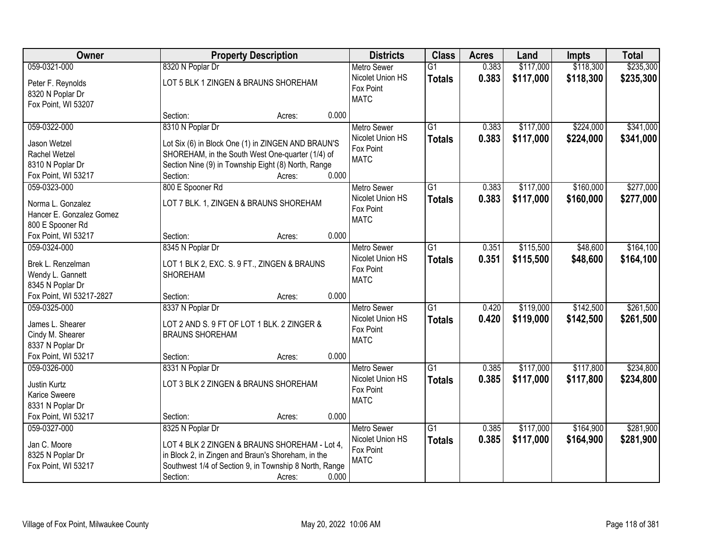| Owner                    |                                                                                                         | <b>Property Description</b>                            |       | <b>Districts</b>              | <b>Class</b>    | <b>Acres</b> | Land      | <b>Impts</b> | <b>Total</b> |
|--------------------------|---------------------------------------------------------------------------------------------------------|--------------------------------------------------------|-------|-------------------------------|-----------------|--------------|-----------|--------------|--------------|
| 059-0321-000             | 8320 N Poplar Dr                                                                                        |                                                        |       | <b>Metro Sewer</b>            | $\overline{G1}$ | 0.383        | \$117,000 | \$118,300    | \$235,300    |
| Peter F. Reynolds        |                                                                                                         | LOT 5 BLK 1 ZINGEN & BRAUNS SHOREHAM                   |       | Nicolet Union HS              | <b>Totals</b>   | 0.383        | \$117,000 | \$118,300    | \$235,300    |
| 8320 N Poplar Dr         |                                                                                                         |                                                        |       | Fox Point                     |                 |              |           |              |              |
| Fox Point, WI 53207      |                                                                                                         |                                                        |       | <b>MATC</b>                   |                 |              |           |              |              |
|                          | Section:                                                                                                | Acres:                                                 | 0.000 |                               |                 |              |           |              |              |
| 059-0322-000             | 8310 N Poplar Dr                                                                                        |                                                        |       | Metro Sewer                   | $\overline{G1}$ | 0.383        | \$117,000 | \$224,000    | \$341,000    |
| Jason Wetzel             |                                                                                                         | Lot Six (6) in Block One (1) in ZINGEN AND BRAUN'S     |       | Nicolet Union HS              | <b>Totals</b>   | 0.383        | \$117,000 | \$224,000    | \$341,000    |
| Rachel Wetzel            |                                                                                                         |                                                        |       | Fox Point                     |                 |              |           |              |              |
| 8310 N Poplar Dr         | SHOREHAM, in the South West One-quarter (1/4) of<br>Section Nine (9) in Township Eight (8) North, Range |                                                        |       | <b>MATC</b>                   |                 |              |           |              |              |
| Fox Point, WI 53217      | Section:                                                                                                | Acres:                                                 | 0.000 |                               |                 |              |           |              |              |
| 059-0323-000             | 800 E Spooner Rd                                                                                        |                                                        |       | Metro Sewer                   | $\overline{G1}$ | 0.383        | \$117,000 | \$160,000    | \$277,000    |
|                          |                                                                                                         |                                                        |       | Nicolet Union HS              | <b>Totals</b>   | 0.383        | \$117,000 | \$160,000    | \$277,000    |
| Norma L. Gonzalez        |                                                                                                         | LOT 7 BLK. 1, ZINGEN & BRAUNS SHOREHAM                 |       | Fox Point                     |                 |              |           |              |              |
| Hancer E. Gonzalez Gomez |                                                                                                         |                                                        |       | <b>MATC</b>                   |                 |              |           |              |              |
| 800 E Spooner Rd         |                                                                                                         |                                                        |       |                               |                 |              |           |              |              |
| Fox Point, WI 53217      | Section:                                                                                                | Acres:                                                 | 0.000 |                               |                 |              |           |              |              |
| 059-0324-000             | 8345 N Poplar Dr                                                                                        |                                                        |       | <b>Metro Sewer</b>            | $\overline{G1}$ | 0.351        | \$115,500 | \$48,600     | \$164,100    |
| Brek L. Renzelman        |                                                                                                         | LOT 1 BLK 2, EXC. S. 9 FT., ZINGEN & BRAUNS            |       | Nicolet Union HS              | <b>Totals</b>   | 0.351        | \$115,500 | \$48,600     | \$164,100    |
| Wendy L. Gannett         | <b>SHOREHAM</b>                                                                                         |                                                        |       | Fox Point<br><b>MATC</b>      |                 |              |           |              |              |
| 8345 N Poplar Dr         |                                                                                                         |                                                        |       |                               |                 |              |           |              |              |
| Fox Point, WI 53217-2827 | Section:                                                                                                | Acres:                                                 | 0.000 |                               |                 |              |           |              |              |
| 059-0325-000             | 8337 N Poplar Dr                                                                                        |                                                        |       | <b>Metro Sewer</b>            | $\overline{G1}$ | 0.420        | \$119,000 | \$142,500    | \$261,500    |
| James L. Shearer         |                                                                                                         | LOT 2 AND S. 9 FT OF LOT 1 BLK. 2 ZINGER &             |       | Nicolet Union HS              | <b>Totals</b>   | 0.420        | \$119,000 | \$142,500    | \$261,500    |
| Cindy M. Shearer         | <b>BRAUNS SHOREHAM</b>                                                                                  |                                                        |       | Fox Point                     |                 |              |           |              |              |
| 8337 N Poplar Dr         |                                                                                                         |                                                        |       | <b>MATC</b>                   |                 |              |           |              |              |
| Fox Point, WI 53217      | Section:                                                                                                | Acres:                                                 | 0.000 |                               |                 |              |           |              |              |
| 059-0326-000             | 8331 N Poplar Dr                                                                                        |                                                        |       | Metro Sewer                   | $\overline{G1}$ | 0.385        | \$117,000 | \$117,800    | \$234,800    |
|                          |                                                                                                         |                                                        |       | Nicolet Union HS              | <b>Totals</b>   | 0.385        | \$117,000 | \$117,800    | \$234,800    |
| Justin Kurtz             |                                                                                                         | LOT 3 BLK 2 ZINGEN & BRAUNS SHOREHAM                   |       | Fox Point                     |                 |              |           |              |              |
| Karice Sweere            |                                                                                                         |                                                        |       | <b>MATC</b>                   |                 |              |           |              |              |
| 8331 N Poplar Dr         |                                                                                                         |                                                        |       |                               |                 |              |           |              |              |
| Fox Point, WI 53217      | Section:                                                                                                | Acres:                                                 | 0.000 |                               |                 |              |           |              |              |
| 059-0327-000             | 8325 N Poplar Dr                                                                                        |                                                        |       | <b>Metro Sewer</b>            | $\overline{G1}$ | 0.385        | \$117,000 | \$164,900    | \$281,900    |
| Jan C. Moore             |                                                                                                         | LOT 4 BLK 2 ZINGEN & BRAUNS SHOREHAM - Lot 4,          |       | Nicolet Union HS<br>Fox Point | <b>Totals</b>   | 0.385        | \$117,000 | \$164,900    | \$281,900    |
| 8325 N Poplar Dr         |                                                                                                         | in Block 2, in Zingen and Braun's Shoreham, in the     |       | <b>MATC</b>                   |                 |              |           |              |              |
| Fox Point, WI 53217      |                                                                                                         | Southwest 1/4 of Section 9, in Township 8 North, Range |       |                               |                 |              |           |              |              |
|                          | Section:                                                                                                | Acres:                                                 | 0.000 |                               |                 |              |           |              |              |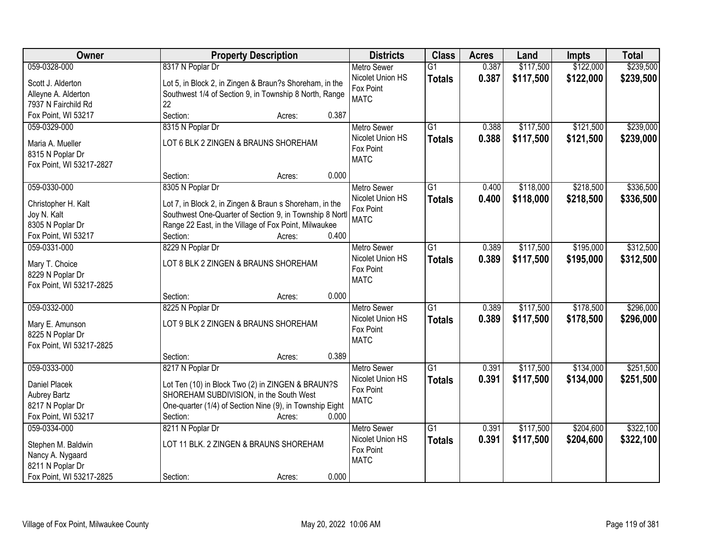| 059-0328-000<br>8317 N Poplar Dr<br>0.387<br>\$117,500<br>\$122,000<br><b>Metro Sewer</b><br>$\overline{G1}$<br>Nicolet Union HS<br>0.387<br>\$117,500<br>\$122,000<br><b>Totals</b><br>Lot 5, in Block 2, in Zingen & Braun?s Shoreham, in the<br>Scott J. Alderton | \$239,500<br>\$239,500 |
|----------------------------------------------------------------------------------------------------------------------------------------------------------------------------------------------------------------------------------------------------------------------|------------------------|
|                                                                                                                                                                                                                                                                      |                        |
|                                                                                                                                                                                                                                                                      |                        |
| Fox Point<br>Southwest 1/4 of Section 9, in Township 8 North, Range<br>Alleyne A. Alderton                                                                                                                                                                           |                        |
| <b>MATC</b><br>22<br>7937 N Fairchild Rd                                                                                                                                                                                                                             |                        |
| Fox Point, WI 53217<br>Section:<br>0.387<br>Acres:                                                                                                                                                                                                                   |                        |
| 8315 N Poplar Dr<br>$\overline{G1}$<br>\$117,500<br>\$121,500<br>059-0329-000<br>0.388<br><b>Metro Sewer</b>                                                                                                                                                         | \$239,000              |
| Nicolet Union HS<br>0.388<br>\$117,500<br>\$121,500<br><b>Totals</b>                                                                                                                                                                                                 | \$239,000              |
| LOT 6 BLK 2 ZINGEN & BRAUNS SHOREHAM<br>Maria A. Mueller<br>Fox Point                                                                                                                                                                                                |                        |
| 8315 N Poplar Dr<br><b>MATC</b>                                                                                                                                                                                                                                      |                        |
| Fox Point, WI 53217-2827<br>0.000                                                                                                                                                                                                                                    |                        |
| Section:<br>Acres:                                                                                                                                                                                                                                                   |                        |
| \$218,500<br>059-0330-000<br>8305 N Poplar Dr<br>G1<br>\$118,000<br><b>Metro Sewer</b><br>0.400                                                                                                                                                                      | \$336,500              |
| Nicolet Union HS<br>0.400<br>\$118,000<br>\$218,500<br><b>Totals</b><br>Lot 7, in Block 2, in Zingen & Braun s Shoreham, in the<br>Christopher H. Kalt                                                                                                               | \$336,500              |
| Fox Point<br>Southwest One-Quarter of Section 9, in Township 8 Nortl<br>Joy N. Kalt<br><b>MATC</b>                                                                                                                                                                   |                        |
| Range 22 East, in the Village of Fox Point, Milwaukee<br>8305 N Poplar Dr                                                                                                                                                                                            |                        |
| 0.400<br>Fox Point, WI 53217<br>Section:<br>Acres:                                                                                                                                                                                                                   |                        |
| \$117,500<br>\$195,000<br>059-0331-000<br>8229 N Poplar Dr<br>G1<br>0.389<br><b>Metro Sewer</b>                                                                                                                                                                      | \$312,500              |
| Nicolet Union HS<br>0.389<br>\$117,500<br>\$195,000<br><b>Totals</b><br>Mary T. Choice<br>LOT 8 BLK 2 ZINGEN & BRAUNS SHOREHAM                                                                                                                                       | \$312,500              |
| Fox Point<br>8229 N Poplar Dr                                                                                                                                                                                                                                        |                        |
| <b>MATC</b><br>Fox Point, WI 53217-2825                                                                                                                                                                                                                              |                        |
| 0.000<br>Section:<br>Acres:                                                                                                                                                                                                                                          |                        |
| 059-0332-000<br>8225 N Poplar Dr<br>$\overline{G1}$<br>0.389<br>\$117,500<br>\$178,500<br><b>Metro Sewer</b>                                                                                                                                                         | \$296,000              |
| Nicolet Union HS<br>0.389<br>\$117,500<br>\$178,500<br><b>Totals</b>                                                                                                                                                                                                 | \$296,000              |
| LOT 9 BLK 2 ZINGEN & BRAUNS SHOREHAM<br>Mary E. Amunson<br>Fox Point                                                                                                                                                                                                 |                        |
| 8225 N Poplar Dr<br><b>MATC</b>                                                                                                                                                                                                                                      |                        |
| Fox Point, WI 53217-2825                                                                                                                                                                                                                                             |                        |
| 0.389<br>Section:<br>Acres:                                                                                                                                                                                                                                          |                        |
| $\overline{G1}$<br>\$134,000<br>059-0333-000<br>8217 N Poplar Dr<br>0.391<br>\$117,500<br>Metro Sewer                                                                                                                                                                | \$251,500              |
| Nicolet Union HS<br>0.391<br>\$117,500<br>\$134,000<br><b>Totals</b><br>Daniel Placek<br>Lot Ten (10) in Block Two (2) in ZINGEN & BRAUN?S                                                                                                                           | \$251,500              |
| Fox Point<br>SHOREHAM SUBDIVISION, in the South West<br><b>Aubrey Bartz</b><br><b>MATC</b>                                                                                                                                                                           |                        |
| 8217 N Poplar Dr<br>One-quarter (1/4) of Section Nine (9), in Township Eight                                                                                                                                                                                         |                        |
| 0.000<br>Fox Point, WI 53217<br>Section:<br>Acres:                                                                                                                                                                                                                   |                        |
| \$204,600<br>059-0334-000<br>8211 N Poplar Dr<br>$\overline{G1}$<br>0.391<br>\$117,500<br><b>Metro Sewer</b>                                                                                                                                                         | \$322,100              |
| Nicolet Union HS<br>0.391<br>\$117,500<br>\$204,600<br><b>Totals</b><br>LOT 11 BLK. 2 ZINGEN & BRAUNS SHOREHAM<br>Stephen M. Baldwin                                                                                                                                 | \$322,100              |
| Fox Point<br>Nancy A. Nygaard                                                                                                                                                                                                                                        |                        |
| <b>MATC</b><br>8211 N Poplar Dr                                                                                                                                                                                                                                      |                        |
| 0.000<br>Fox Point, WI 53217-2825<br>Section:<br>Acres:                                                                                                                                                                                                              |                        |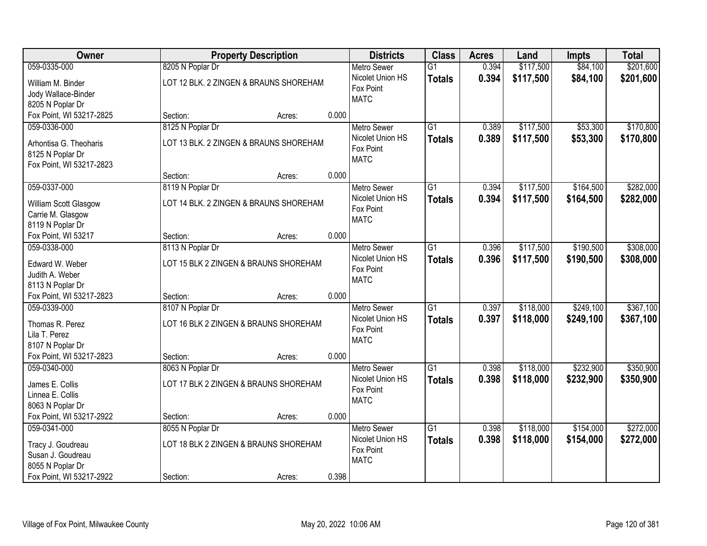| Owner                                        |                                        | <b>Property Description</b> |       | <b>Districts</b>              | <b>Class</b>    | <b>Acres</b> | Land      | <b>Impts</b> | <b>Total</b> |
|----------------------------------------------|----------------------------------------|-----------------------------|-------|-------------------------------|-----------------|--------------|-----------|--------------|--------------|
| 059-0335-000                                 | 8205 N Poplar Dr                       |                             |       | <b>Metro Sewer</b>            | $\overline{G1}$ | 0.394        | \$117,500 | \$84,100     | \$201,600    |
| William M. Binder                            | LOT 12 BLK. 2 ZINGEN & BRAUNS SHOREHAM |                             |       | Nicolet Union HS<br>Fox Point | <b>Totals</b>   | 0.394        | \$117,500 | \$84,100     | \$201,600    |
| Jody Wallace-Binder                          |                                        |                             |       | <b>MATC</b>                   |                 |              |           |              |              |
| 8205 N Poplar Dr                             |                                        |                             |       |                               |                 |              |           |              |              |
| Fox Point, WI 53217-2825                     | Section:                               | Acres:                      | 0.000 |                               |                 |              |           |              |              |
| 059-0336-000                                 | 8125 N Poplar Dr                       |                             |       | <b>Metro Sewer</b>            | $\overline{G1}$ | 0.389        | \$117,500 | \$53,300     | \$170,800    |
| Arhontisa G. Theoharis                       | LOT 13 BLK. 2 ZINGEN & BRAUNS SHOREHAM |                             |       | Nicolet Union HS              | <b>Totals</b>   | 0.389        | \$117,500 | \$53,300     | \$170,800    |
| 8125 N Poplar Dr                             |                                        |                             |       | Fox Point                     |                 |              |           |              |              |
| Fox Point, WI 53217-2823                     |                                        |                             |       | <b>MATC</b>                   |                 |              |           |              |              |
|                                              | Section:                               | Acres:                      | 0.000 |                               |                 |              |           |              |              |
| 059-0337-000                                 | 8119 N Poplar Dr                       |                             |       | Metro Sewer                   | G1              | 0.394        | \$117,500 | \$164,500    | \$282,000    |
|                                              | LOT 14 BLK. 2 ZINGEN & BRAUNS SHOREHAM |                             |       | Nicolet Union HS              | <b>Totals</b>   | 0.394        | \$117,500 | \$164,500    | \$282,000    |
| William Scott Glasgow<br>Carrie M. Glasgow   |                                        |                             |       | Fox Point                     |                 |              |           |              |              |
| 8119 N Poplar Dr                             |                                        |                             |       | <b>MATC</b>                   |                 |              |           |              |              |
| Fox Point, WI 53217                          | Section:                               | Acres:                      | 0.000 |                               |                 |              |           |              |              |
| 059-0338-000                                 | 8113 N Poplar Dr                       |                             |       | <b>Metro Sewer</b>            | G1              | 0.396        | \$117,500 | \$190,500    | \$308,000    |
|                                              |                                        |                             |       | Nicolet Union HS              |                 | 0.396        | \$117,500 | \$190,500    |              |
| Edward W. Weber                              | LOT 15 BLK 2 ZINGEN & BRAUNS SHOREHAM  |                             |       | Fox Point                     | <b>Totals</b>   |              |           |              | \$308,000    |
| Judith A. Weber                              |                                        |                             |       | <b>MATC</b>                   |                 |              |           |              |              |
| 8113 N Poplar Dr                             |                                        |                             |       |                               |                 |              |           |              |              |
| Fox Point, WI 53217-2823                     | Section:                               | Acres:                      | 0.000 |                               |                 |              |           |              |              |
| 059-0339-000                                 | 8107 N Poplar Dr                       |                             |       | <b>Metro Sewer</b>            | $\overline{G1}$ | 0.397        | \$118,000 | \$249,100    | \$367,100    |
| Thomas R. Perez                              | LOT 16 BLK 2 ZINGEN & BRAUNS SHOREHAM  |                             |       | Nicolet Union HS              | <b>Totals</b>   | 0.397        | \$118,000 | \$249,100    | \$367,100    |
| Lila T. Perez                                |                                        |                             |       | Fox Point                     |                 |              |           |              |              |
| 8107 N Poplar Dr                             |                                        |                             |       | <b>MATC</b>                   |                 |              |           |              |              |
| Fox Point, WI 53217-2823                     | Section:                               | Acres:                      | 0.000 |                               |                 |              |           |              |              |
| 059-0340-000                                 | 8063 N Poplar Dr                       |                             |       | Metro Sewer                   | $\overline{G1}$ | 0.398        | \$118,000 | \$232,900    | \$350,900    |
|                                              |                                        |                             |       | Nicolet Union HS              | <b>Totals</b>   | 0.398        | \$118,000 | \$232,900    | \$350,900    |
| James E. Collis                              | LOT 17 BLK 2 ZINGEN & BRAUNS SHOREHAM  |                             |       | Fox Point                     |                 |              |           |              |              |
| Linnea E. Collis                             |                                        |                             |       | <b>MATC</b>                   |                 |              |           |              |              |
| 8063 N Poplar Dr<br>Fox Point, WI 53217-2922 | Section:                               |                             | 0.000 |                               |                 |              |           |              |              |
| 059-0341-000                                 |                                        | Acres:                      |       | <b>Metro Sewer</b>            | $\overline{G1}$ | 0.398        | \$118,000 | \$154,000    | \$272,000    |
|                                              | 8055 N Poplar Dr                       |                             |       | Nicolet Union HS              |                 |              |           |              |              |
| Tracy J. Goudreau                            | LOT 18 BLK 2 ZINGEN & BRAUNS SHOREHAM  |                             |       | Fox Point                     | <b>Totals</b>   | 0.398        | \$118,000 | \$154,000    | \$272,000    |
| Susan J. Goudreau                            |                                        |                             |       | <b>MATC</b>                   |                 |              |           |              |              |
| 8055 N Poplar Dr                             |                                        |                             |       |                               |                 |              |           |              |              |
| Fox Point, WI 53217-2922                     | Section:                               | Acres:                      | 0.398 |                               |                 |              |           |              |              |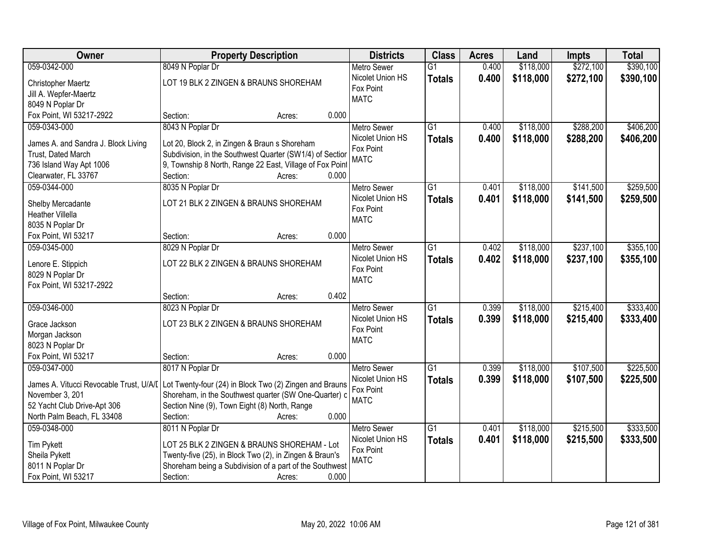| Owner                                                      | <b>Property Description</b>                                                                                      | <b>Districts</b>                             | <b>Class</b>    | <b>Acres</b> | Land      | <b>Impts</b> | <b>Total</b> |
|------------------------------------------------------------|------------------------------------------------------------------------------------------------------------------|----------------------------------------------|-----------------|--------------|-----------|--------------|--------------|
| 059-0342-000                                               | 8049 N Poplar Dr                                                                                                 | <b>Metro Sewer</b>                           | $\overline{G1}$ | 0.400        | \$118,000 | \$272,100    | \$390,100    |
| Christopher Maertz<br>Jill A. Wepfer-Maertz                | LOT 19 BLK 2 ZINGEN & BRAUNS SHOREHAM                                                                            | Nicolet Union HS<br>Fox Point<br><b>MATC</b> | <b>Totals</b>   | 0.400        | \$118,000 | \$272,100    | \$390,100    |
| 8049 N Poplar Dr                                           |                                                                                                                  |                                              |                 |              |           |              |              |
| Fox Point, WI 53217-2922                                   | 0.000<br>Section:<br>Acres:                                                                                      |                                              |                 |              |           |              |              |
| 059-0343-000                                               | 8043 N Poplar Dr                                                                                                 | <b>Metro Sewer</b>                           | $\overline{G1}$ | 0.400        | \$118,000 | \$288,200    | \$406,200    |
| James A. and Sandra J. Block Living                        | Lot 20, Block 2, in Zingen & Braun s Shoreham                                                                    | Nicolet Union HS<br>Fox Point                | <b>Totals</b>   | 0.400        | \$118,000 | \$288,200    | \$406,200    |
| Trust, Dated March                                         | Subdivision, in the Southwest Quarter (SW1/4) of Section                                                         | <b>MATC</b>                                  |                 |              |           |              |              |
| 736 Island Way Apt 1006                                    | 9, Township 8 North, Range 22 East, Village of Fox Point                                                         |                                              |                 |              |           |              |              |
| Clearwater, FL 33767                                       | 0.000<br>Section:<br>Acres:                                                                                      |                                              |                 |              |           |              |              |
| 059-0344-000                                               | 8035 N Poplar Dr                                                                                                 | <b>Metro Sewer</b>                           | G1              | 0.401        | \$118,000 | \$141,500    | \$259,500    |
| Shelby Mercadante                                          | LOT 21 BLK 2 ZINGEN & BRAUNS SHOREHAM                                                                            | Nicolet Union HS<br>Fox Point                | <b>Totals</b>   | 0.401        | \$118,000 | \$141,500    | \$259,500    |
| <b>Heather Villella</b><br>8035 N Poplar Dr                |                                                                                                                  | <b>MATC</b>                                  |                 |              |           |              |              |
| Fox Point, WI 53217                                        | 0.000<br>Section:<br>Acres:                                                                                      |                                              |                 |              |           |              |              |
| 059-0345-000                                               | 8029 N Poplar Dr                                                                                                 | <b>Metro Sewer</b>                           | G1              | 0.402        | \$118,000 | \$237,100    | \$355,100    |
|                                                            |                                                                                                                  | Nicolet Union HS                             | <b>Totals</b>   | 0.402        | \$118,000 | \$237,100    | \$355,100    |
| Lenore E. Stippich                                         | LOT 22 BLK 2 ZINGEN & BRAUNS SHOREHAM                                                                            | Fox Point                                    |                 |              |           |              |              |
| 8029 N Poplar Dr                                           |                                                                                                                  | <b>MATC</b>                                  |                 |              |           |              |              |
| Fox Point, WI 53217-2922                                   |                                                                                                                  |                                              |                 |              |           |              |              |
|                                                            | 0.402<br>Section:<br>Acres:                                                                                      |                                              |                 |              |           |              |              |
| 059-0346-000                                               | 8023 N Poplar Dr                                                                                                 | Metro Sewer                                  | $\overline{G1}$ | 0.399        | \$118,000 | \$215,400    | \$333,400    |
| Grace Jackson                                              | LOT 23 BLK 2 ZINGEN & BRAUNS SHOREHAM                                                                            | Nicolet Union HS                             | <b>Totals</b>   | 0.399        | \$118,000 | \$215,400    | \$333,400    |
| Morgan Jackson                                             |                                                                                                                  | Fox Point                                    |                 |              |           |              |              |
| 8023 N Poplar Dr                                           |                                                                                                                  | <b>MATC</b>                                  |                 |              |           |              |              |
| Fox Point, WI 53217                                        | 0.000<br>Section:<br>Acres:                                                                                      |                                              |                 |              |           |              |              |
| 059-0347-000                                               | 8017 N Poplar Dr                                                                                                 | Metro Sewer                                  | $\overline{G1}$ | 0.399        | \$118,000 | \$107,500    | \$225,500    |
|                                                            |                                                                                                                  | Nicolet Union HS                             | <b>Totals</b>   | 0.399        | \$118,000 | \$107,500    | \$225,500    |
| James A. Vitucci Revocable Trust, U/A/I<br>November 3, 201 | Lot Twenty-four (24) in Block Two (2) Zingen and Brauns<br>Shoreham, in the Southwest quarter (SW One-Quarter) c | Fox Point                                    |                 |              |           |              |              |
| 52 Yacht Club Drive-Apt 306                                | Section Nine (9), Town Eight (8) North, Range                                                                    | <b>MATC</b>                                  |                 |              |           |              |              |
| North Palm Beach, FL 33408                                 | 0.000<br>Section:<br>Acres:                                                                                      |                                              |                 |              |           |              |              |
| 059-0348-000                                               | 8011 N Poplar Dr                                                                                                 | <b>Metro Sewer</b>                           | $\overline{G1}$ | 0.401        | \$118,000 | \$215,500    | \$333,500    |
|                                                            |                                                                                                                  | Nicolet Union HS                             |                 | 0.401        | \$118,000 | \$215,500    | \$333,500    |
| <b>Tim Pykett</b>                                          | LOT 25 BLK 2 ZINGEN & BRAUNS SHOREHAM - Lot                                                                      | Fox Point                                    | <b>Totals</b>   |              |           |              |              |
| Sheila Pykett                                              | Twenty-five (25), in Block Two (2), in Zingen & Braun's                                                          | <b>MATC</b>                                  |                 |              |           |              |              |
| 8011 N Poplar Dr                                           | Shoreham being a Subdivision of a part of the Southwest                                                          |                                              |                 |              |           |              |              |
| Fox Point, WI 53217                                        | 0.000<br>Section:<br>Acres:                                                                                      |                                              |                 |              |           |              |              |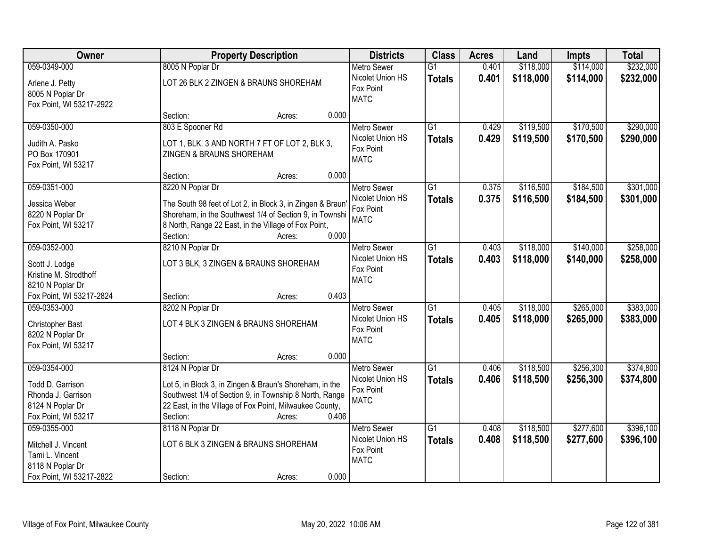| Owner                                                                                                  | <b>Property Description</b>                                                                                                                                                                                                     | <b>Districts</b>                                                   | <b>Class</b>                     | <b>Acres</b>   | Land                   | <b>Impts</b>           | <b>Total</b>           |
|--------------------------------------------------------------------------------------------------------|---------------------------------------------------------------------------------------------------------------------------------------------------------------------------------------------------------------------------------|--------------------------------------------------------------------|----------------------------------|----------------|------------------------|------------------------|------------------------|
| 059-0349-000                                                                                           | 8005 N Poplar Dr                                                                                                                                                                                                                | <b>Metro Sewer</b>                                                 | $\overline{G1}$                  | 0.401          | \$118,000              | \$114,000              | \$232,000              |
| Arlene J. Petty<br>8005 N Poplar Dr<br>Fox Point, WI 53217-2922                                        | LOT 26 BLK 2 ZINGEN & BRAUNS SHOREHAM                                                                                                                                                                                           | Nicolet Union HS<br>Fox Point<br><b>MATC</b>                       | <b>Totals</b>                    | 0.401          | \$118,000              | \$114,000              | \$232,000              |
|                                                                                                        | 0.000<br>Section:<br>Acres:                                                                                                                                                                                                     |                                                                    |                                  |                |                        |                        |                        |
| 059-0350-000<br>Judith A. Pasko<br>PO Box 170901                                                       | 803 E Spooner Rd<br>LOT 1, BLK. 3 AND NORTH 7 FT OF LOT 2, BLK 3,<br>ZINGEN & BRAUNS SHOREHAM                                                                                                                                   | <b>Metro Sewer</b><br>Nicolet Union HS<br>Fox Point<br><b>MATC</b> | $\overline{G1}$<br><b>Totals</b> | 0.429<br>0.429 | \$119,500<br>\$119,500 | \$170,500<br>\$170,500 | \$290,000<br>\$290,000 |
| Fox Point, WI 53217                                                                                    | 0.000<br>Section:<br>Acres:                                                                                                                                                                                                     |                                                                    |                                  |                |                        |                        |                        |
| 059-0351-000                                                                                           | 8220 N Poplar Dr                                                                                                                                                                                                                | <b>Metro Sewer</b>                                                 | G1                               | 0.375          | \$116,500              | \$184,500              | \$301,000              |
| Jessica Weber<br>8220 N Poplar Dr<br>Fox Point, WI 53217                                               | The South 98 feet of Lot 2, in Block 3, in Zingen & Braun<br>Shoreham, in the Southwest 1/4 of Section 9, in Townshi<br>8 North, Range 22 East, in the Village of Fox Point,<br>0.000<br>Section:<br>Acres:                     | Nicolet Union HS<br>Fox Point<br><b>MATC</b>                       | <b>Totals</b>                    | 0.375          | \$116,500              | \$184,500              | \$301,000              |
| 059-0352-000                                                                                           | 8210 N Poplar Dr                                                                                                                                                                                                                | <b>Metro Sewer</b>                                                 | G1                               | 0.403          | \$118,000              | \$140,000              | \$258,000              |
| Scott J. Lodge<br>Kristine M. Strodthoff<br>8210 N Poplar Dr                                           | LOT 3 BLK, 3 ZINGEN & BRAUNS SHOREHAM                                                                                                                                                                                           | Nicolet Union HS<br>Fox Point<br><b>MATC</b>                       | <b>Totals</b>                    | 0.403          | \$118,000              | \$140,000              | \$258,000              |
| Fox Point, WI 53217-2824                                                                               | 0.403<br>Section:<br>Acres:                                                                                                                                                                                                     |                                                                    |                                  |                |                        |                        |                        |
| 059-0353-000<br>Christopher Bast<br>8202 N Poplar Dr<br>Fox Point, WI 53217                            | 8202 N Poplar Dr<br>LOT 4 BLK 3 ZINGEN & BRAUNS SHOREHAM                                                                                                                                                                        | Metro Sewer<br>Nicolet Union HS<br>Fox Point<br><b>MATC</b>        | $\overline{G1}$<br><b>Totals</b> | 0.405<br>0.405 | \$118,000<br>\$118,000 | \$265,000<br>\$265,000 | \$383,000<br>\$383,000 |
|                                                                                                        | 0.000<br>Section:<br>Acres:                                                                                                                                                                                                     |                                                                    |                                  |                |                        |                        |                        |
| 059-0354-000<br>Todd D. Garrison<br>Rhonda J. Garrison<br>8124 N Poplar Dr<br>Fox Point, WI 53217      | 8124 N Poplar Dr<br>Lot 5, in Block 3, in Zingen & Braun's Shoreham, in the<br>Southwest 1/4 of Section 9, in Township 8 North, Range<br>22 East, in the Village of Fox Point, Milwaukee County,<br>0.406<br>Section:<br>Acres: | Metro Sewer<br>Nicolet Union HS<br>Fox Point<br><b>MATC</b>        | $\overline{G1}$<br><b>Totals</b> | 0.406<br>0.406 | \$118,500<br>\$118,500 | \$256,300<br>\$256,300 | \$374,800<br>\$374,800 |
| 059-0355-000<br>Mitchell J. Vincent<br>Tami L. Vincent<br>8118 N Poplar Dr<br>Fox Point, WI 53217-2822 | 8118 N Poplar Dr<br>LOT 6 BLK 3 ZINGEN & BRAUNS SHOREHAM<br>0.000<br>Section:<br>Acres:                                                                                                                                         | <b>Metro Sewer</b><br>Nicolet Union HS<br>Fox Point<br><b>MATC</b> | $\overline{G1}$<br><b>Totals</b> | 0.408<br>0.408 | \$118,500<br>\$118,500 | \$277,600<br>\$277,600 | \$396,100<br>\$396,100 |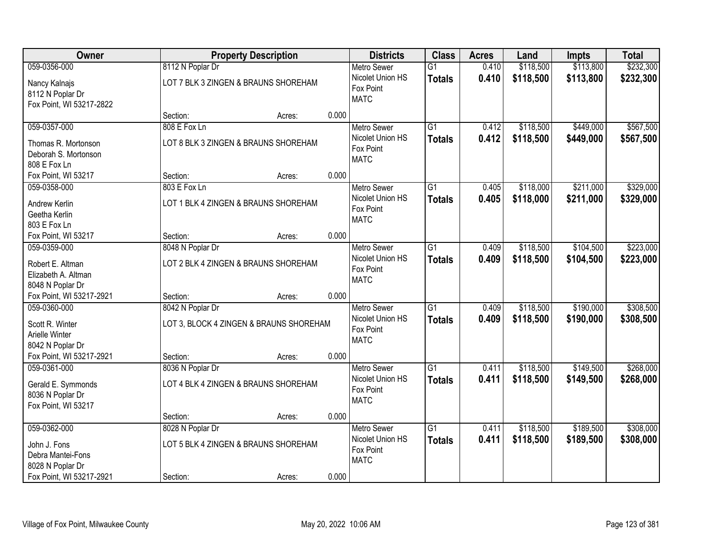| Owner                                                                 |                  | <b>Property Description</b>             |       | <b>Districts</b>                                            | <b>Class</b>                     | <b>Acres</b>   | Land                   | <b>Impts</b>           | <b>Total</b>           |
|-----------------------------------------------------------------------|------------------|-----------------------------------------|-------|-------------------------------------------------------------|----------------------------------|----------------|------------------------|------------------------|------------------------|
| 059-0356-000                                                          | 8112 N Poplar Dr |                                         |       | <b>Metro Sewer</b>                                          | $\overline{G1}$                  | 0.410          | \$118,500              | \$113,800              | \$232,300              |
| Nancy Kalnajs<br>8112 N Poplar Dr<br>Fox Point, WI 53217-2822         |                  | LOT 7 BLK 3 ZINGEN & BRAUNS SHOREHAM    |       | Nicolet Union HS<br>Fox Point<br><b>MATC</b>                | <b>Totals</b>                    | 0.410          | \$118,500              | \$113,800              | \$232,300              |
|                                                                       | Section:         | Acres:                                  | 0.000 |                                                             |                                  |                |                        |                        |                        |
| 059-0357-000                                                          | 808 E Fox Ln     |                                         |       | Metro Sewer                                                 | $\overline{G1}$                  | 0.412          | \$118,500              | \$449,000              | \$567,500              |
| Thomas R. Mortonson<br>Deborah S. Mortonson<br>808 E Fox Ln           |                  | LOT 8 BLK 3 ZINGEN & BRAUNS SHOREHAM    |       | Nicolet Union HS<br>Fox Point<br><b>MATC</b>                | <b>Totals</b>                    | 0.412          | \$118,500              | \$449,000              | \$567,500              |
| Fox Point, WI 53217                                                   | Section:         | Acres:                                  | 0.000 |                                                             |                                  |                |                        |                        |                        |
| 059-0358-000                                                          | 803 E Fox Ln     |                                         |       | Metro Sewer                                                 | $\overline{G1}$                  | 0.405          | \$118,000              | \$211,000              | \$329,000              |
| Andrew Kerlin<br>Geetha Kerlin<br>803 E Fox Ln                        |                  | LOT 1 BLK 4 ZINGEN & BRAUNS SHOREHAM    |       | Nicolet Union HS<br>Fox Point<br><b>MATC</b>                | <b>Totals</b>                    | 0.405          | \$118,000              | \$211,000              | \$329,000              |
| Fox Point, WI 53217                                                   | Section:         | Acres:                                  | 0.000 |                                                             |                                  |                |                        |                        |                        |
| 059-0359-000                                                          | 8048 N Poplar Dr |                                         |       | <b>Metro Sewer</b>                                          | $\overline{G1}$                  | 0.409          | \$118,500              | \$104,500              | \$223,000              |
| Robert E. Altman<br>Elizabeth A. Altman<br>8048 N Poplar Dr           |                  | LOT 2 BLK 4 ZINGEN & BRAUNS SHOREHAM    |       | Nicolet Union HS<br>Fox Point<br><b>MATC</b>                | <b>Totals</b>                    | 0.409          | \$118,500              | \$104,500              | \$223,000              |
| Fox Point, WI 53217-2921                                              | Section:         | Acres:                                  | 0.000 |                                                             |                                  |                |                        |                        |                        |
| 059-0360-000<br>Scott R. Winter<br>Arielle Winter<br>8042 N Poplar Dr | 8042 N Poplar Dr | LOT 3, BLOCK 4 ZINGEN & BRAUNS SHOREHAM |       | Metro Sewer<br>Nicolet Union HS<br>Fox Point<br><b>MATC</b> | $\overline{G1}$<br><b>Totals</b> | 0.409<br>0.409 | \$118,500<br>\$118,500 | \$190,000<br>\$190,000 | \$308,500<br>\$308,500 |
| Fox Point, WI 53217-2921                                              | Section:         | Acres:                                  | 0.000 |                                                             |                                  |                |                        |                        |                        |
| 059-0361-000                                                          | 8036 N Poplar Dr |                                         |       | <b>Metro Sewer</b>                                          | $\overline{G1}$                  | 0.411          | \$118,500              | \$149,500              | \$268,000              |
| Gerald E. Symmonds<br>8036 N Poplar Dr<br>Fox Point, WI 53217         |                  | LOT 4 BLK 4 ZINGEN & BRAUNS SHOREHAM    |       | Nicolet Union HS<br>Fox Point<br><b>MATC</b>                | <b>Totals</b>                    | 0.411          | \$118,500              | \$149,500              | \$268,000              |
|                                                                       | Section:         | Acres:                                  | 0.000 |                                                             |                                  |                |                        |                        |                        |
| 059-0362-000                                                          | 8028 N Poplar Dr |                                         |       | Metro Sewer                                                 | $\overline{G1}$                  | 0.411          | \$118,500              | \$189,500              | \$308,000              |
| John J. Fons<br>Debra Mantei-Fons<br>8028 N Poplar Dr                 |                  | LOT 5 BLK 4 ZINGEN & BRAUNS SHOREHAM    |       | Nicolet Union HS<br>Fox Point<br><b>MATC</b>                | <b>Totals</b>                    | 0.411          | \$118,500              | \$189,500              | \$308,000              |
| Fox Point, WI 53217-2921                                              | Section:         | Acres:                                  | 0.000 |                                                             |                                  |                |                        |                        |                        |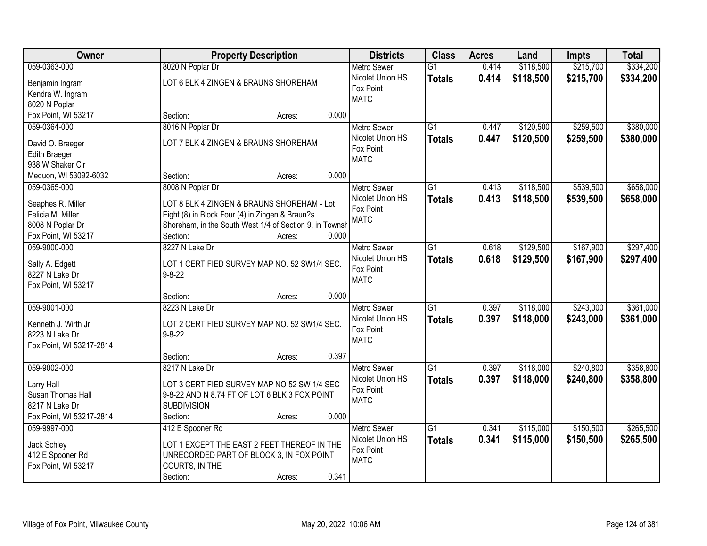| Owner                                                                                         | <b>Property Description</b>                                                                                                                                                    |       | <b>Districts</b>                                                   | <b>Class</b>                     | <b>Acres</b>   | Land                   | <b>Impts</b>           | <b>Total</b>           |
|-----------------------------------------------------------------------------------------------|--------------------------------------------------------------------------------------------------------------------------------------------------------------------------------|-------|--------------------------------------------------------------------|----------------------------------|----------------|------------------------|------------------------|------------------------|
| 059-0363-000                                                                                  | 8020 N Poplar Dr                                                                                                                                                               |       | <b>Metro Sewer</b>                                                 | $\overline{G1}$                  | 0.414          | \$118,500              | \$215,700              | \$334,200              |
| Benjamin Ingram<br>Kendra W. Ingram<br>8020 N Poplar                                          | LOT 6 BLK 4 ZINGEN & BRAUNS SHOREHAM                                                                                                                                           |       | Nicolet Union HS<br>Fox Point<br><b>MATC</b>                       | <b>Totals</b>                    | 0.414          | \$118,500              | \$215,700              | \$334,200              |
| Fox Point, WI 53217                                                                           | Section:<br>Acres:                                                                                                                                                             | 0.000 |                                                                    |                                  |                |                        |                        |                        |
| 059-0364-000                                                                                  | 8016 N Poplar Dr                                                                                                                                                               |       | <b>Metro Sewer</b>                                                 | $\overline{G1}$                  | 0.447          | \$120,500              | \$259,500              | \$380,000              |
| David O. Braeger<br><b>Edith Braeger</b><br>938 W Shaker Cir                                  | LOT 7 BLK 4 ZINGEN & BRAUNS SHOREHAM                                                                                                                                           |       | Nicolet Union HS<br>Fox Point<br><b>MATC</b>                       | <b>Totals</b>                    | 0.447          | \$120,500              | \$259,500              | \$380,000              |
| Mequon, WI 53092-6032                                                                         | Section:<br>Acres:                                                                                                                                                             | 0.000 |                                                                    |                                  |                |                        |                        |                        |
| 059-0365-000                                                                                  | 8008 N Poplar Dr                                                                                                                                                               |       | <b>Metro Sewer</b>                                                 | G1                               | 0.413          | \$118,500              | \$539,500              | \$658,000              |
| Seaphes R. Miller<br>Felicia M. Miller<br>8008 N Poplar Dr<br>Fox Point, WI 53217             | LOT 8 BLK 4 ZINGEN & BRAUNS SHOREHAM - Lot<br>Eight (8) in Block Four (4) in Zingen & Braun?s<br>Shoreham, in the South West 1/4 of Section 9, in Townsh<br>Section:<br>Acres: | 0.000 | Nicolet Union HS<br>Fox Point<br><b>MATC</b>                       | <b>Totals</b>                    | 0.413          | \$118,500              | \$539,500              | \$658,000              |
| 059-9000-000                                                                                  | 8227 N Lake Dr                                                                                                                                                                 |       | <b>Metro Sewer</b>                                                 | G1                               | 0.618          | \$129,500              | \$167,900              | \$297,400              |
| Sally A. Edgett<br>8227 N Lake Dr<br>Fox Point, WI 53217                                      | LOT 1 CERTIFIED SURVEY MAP NO. 52 SW1/4 SEC.<br>$9 - 8 - 22$                                                                                                                   |       | Nicolet Union HS<br>Fox Point<br><b>MATC</b>                       | <b>Totals</b>                    | 0.618          | \$129,500              | \$167,900              | \$297,400              |
|                                                                                               | Section:<br>Acres:                                                                                                                                                             | 0.000 |                                                                    |                                  |                |                        |                        |                        |
| 059-9001-000<br>Kenneth J. Wirth Jr<br>8223 N Lake Dr<br>Fox Point, WI 53217-2814             | 8223 N Lake Dr<br>LOT 2 CERTIFIED SURVEY MAP NO. 52 SW1/4 SEC.<br>$9 - 8 - 22$                                                                                                 |       | <b>Metro Sewer</b><br>Nicolet Union HS<br>Fox Point<br><b>MATC</b> | $\overline{G1}$<br><b>Totals</b> | 0.397<br>0.397 | \$118,000<br>\$118,000 | \$243,000<br>\$243,000 | \$361,000<br>\$361,000 |
|                                                                                               | Section:<br>Acres:                                                                                                                                                             | 0.397 |                                                                    |                                  |                |                        |                        |                        |
| 059-9002-000<br>Larry Hall<br>Susan Thomas Hall<br>8217 N Lake Dr<br>Fox Point, WI 53217-2814 | 8217 N Lake Dr<br>LOT 3 CERTIFIED SURVEY MAP NO 52 SW 1/4 SEC<br>9-8-22 AND N 8.74 FT OF LOT 6 BLK 3 FOX POINT<br><b>SUBDIVISION</b><br>Section:                               | 0.000 | Metro Sewer<br>Nicolet Union HS<br>Fox Point<br><b>MATC</b>        | $\overline{G1}$<br><b>Totals</b> | 0.397<br>0.397 | \$118,000<br>\$118,000 | \$240,800<br>\$240,800 | \$358,800<br>\$358,800 |
| 059-9997-000                                                                                  | Acres:<br>412 E Spooner Rd                                                                                                                                                     |       | Metro Sewer                                                        | $\overline{G1}$                  | 0.341          | \$115,000              | \$150,500              | \$265,500              |
| Jack Schley<br>412 E Spooner Rd<br>Fox Point, WI 53217                                        | LOT 1 EXCEPT THE EAST 2 FEET THEREOF IN THE<br>UNRECORDED PART OF BLOCK 3, IN FOX POINT<br>COURTS, IN THE<br>Section:<br>Acres:                                                | 0.341 | Nicolet Union HS<br>Fox Point<br><b>MATC</b>                       | <b>Totals</b>                    | 0.341          | \$115,000              | \$150,500              | \$265,500              |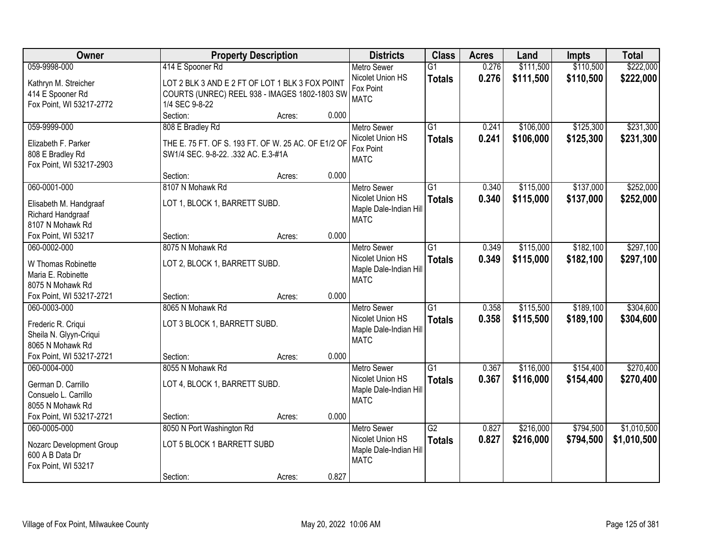| <b>Owner</b>                               | <b>Property Description</b>                         |                 | <b>Districts</b>                       | <b>Class</b>    | <b>Acres</b> | Land      | <b>Impts</b> | <b>Total</b> |
|--------------------------------------------|-----------------------------------------------------|-----------------|----------------------------------------|-----------------|--------------|-----------|--------------|--------------|
| 059-9998-000                               | 414 E Spooner Rd                                    |                 | <b>Metro Sewer</b>                     | $\overline{G1}$ | 0.276        | \$111,500 | \$110,500    | \$222,000    |
| Kathryn M. Streicher                       | LOT 2 BLK 3 AND E 2 FT OF LOT 1 BLK 3 FOX POINT     |                 | Nicolet Union HS                       | <b>Totals</b>   | 0.276        | \$111,500 | \$110,500    | \$222,000    |
| 414 E Spooner Rd                           | COURTS (UNREC) REEL 938 - IMAGES 1802-1803 SW       |                 | Fox Point                              |                 |              |           |              |              |
| Fox Point, WI 53217-2772                   | 1/4 SEC 9-8-22                                      |                 | <b>MATC</b>                            |                 |              |           |              |              |
|                                            | Section:                                            | 0.000<br>Acres: |                                        |                 |              |           |              |              |
| 059-9999-000                               | 808 E Bradley Rd                                    |                 | <b>Metro Sewer</b>                     | $\overline{G1}$ | 0.241        | \$106,000 | \$125,300    | \$231,300    |
| Elizabeth F. Parker                        | THE E. 75 FT. OF S. 193 FT. OF W. 25 AC. OF E1/2 OF |                 | Nicolet Union HS                       | <b>Totals</b>   | 0.241        | \$106,000 | \$125,300    | \$231,300    |
| 808 E Bradley Rd                           | SW1/4 SEC. 9-8-22. .332 AC. E.3-#1A                 |                 | Fox Point                              |                 |              |           |              |              |
| Fox Point, WI 53217-2903                   |                                                     |                 | <b>MATC</b>                            |                 |              |           |              |              |
|                                            | Section:                                            | 0.000<br>Acres: |                                        |                 |              |           |              |              |
| 060-0001-000                               | 8107 N Mohawk Rd                                    |                 | <b>Metro Sewer</b>                     | G1              | 0.340        | \$115,000 | \$137,000    | \$252,000    |
| Elisabeth M. Handgraaf                     | LOT 1, BLOCK 1, BARRETT SUBD.                       |                 | Nicolet Union HS                       | <b>Totals</b>   | 0.340        | \$115,000 | \$137,000    | \$252,000    |
| Richard Handgraaf                          |                                                     |                 | Maple Dale-Indian Hill                 |                 |              |           |              |              |
| 8107 N Mohawk Rd                           |                                                     |                 | <b>MATC</b>                            |                 |              |           |              |              |
| Fox Point, WI 53217                        | Section:                                            | 0.000<br>Acres: |                                        |                 |              |           |              |              |
| 060-0002-000                               | 8075 N Mohawk Rd                                    |                 | <b>Metro Sewer</b>                     | G1              | 0.349        | \$115,000 | \$182,100    | \$297,100    |
|                                            |                                                     |                 | Nicolet Union HS                       | <b>Totals</b>   | 0.349        | \$115,000 | \$182,100    | \$297,100    |
| W Thomas Robinette<br>Maria E. Robinette   | LOT 2, BLOCK 1, BARRETT SUBD.                       |                 | Maple Dale-Indian Hill                 |                 |              |           |              |              |
| 8075 N Mohawk Rd                           |                                                     |                 | <b>MATC</b>                            |                 |              |           |              |              |
| Fox Point, WI 53217-2721                   | Section:                                            | 0.000<br>Acres: |                                        |                 |              |           |              |              |
| 060-0003-000                               | 8065 N Mohawk Rd                                    |                 | <b>Metro Sewer</b>                     | $\overline{G1}$ | 0.358        | \$115,500 | \$189,100    | \$304,600    |
|                                            |                                                     |                 | Nicolet Union HS                       | <b>Totals</b>   | 0.358        | \$115,500 | \$189,100    | \$304,600    |
| Frederic R. Criqui                         | LOT 3 BLOCK 1, BARRETT SUBD.                        |                 | Maple Dale-Indian Hill                 |                 |              |           |              |              |
| Sheila N. Glyyn-Criqui<br>8065 N Mohawk Rd |                                                     |                 | <b>MATC</b>                            |                 |              |           |              |              |
| Fox Point, WI 53217-2721                   | Section:                                            | 0.000<br>Acres: |                                        |                 |              |           |              |              |
| 060-0004-000                               | 8055 N Mohawk Rd                                    |                 | Metro Sewer                            | $\overline{G1}$ | 0.367        | \$116,000 | \$154,400    | \$270,400    |
|                                            |                                                     |                 | Nicolet Union HS                       | <b>Totals</b>   | 0.367        | \$116,000 | \$154,400    | \$270,400    |
| German D. Carrillo                         | LOT 4, BLOCK 1, BARRETT SUBD.                       |                 | Maple Dale-Indian Hill                 |                 |              |           |              |              |
| Consuelo L. Carrillo                       |                                                     |                 | <b>MATC</b>                            |                 |              |           |              |              |
| 8055 N Mohawk Rd                           |                                                     |                 |                                        |                 |              |           |              |              |
| Fox Point, WI 53217-2721                   | Section:                                            | 0.000<br>Acres: |                                        |                 |              |           |              |              |
| 060-0005-000                               | 8050 N Port Washington Rd                           |                 | <b>Metro Sewer</b><br>Nicolet Union HS | $\overline{G2}$ | 0.827        | \$216,000 | \$794,500    | \$1,010,500  |
| Nozarc Development Group                   | LOT 5 BLOCK 1 BARRETT SUBD                          |                 | Maple Dale-Indian Hill                 | <b>Totals</b>   | 0.827        | \$216,000 | \$794,500    | \$1,010,500  |
| 600 A B Data Dr                            |                                                     |                 | <b>MATC</b>                            |                 |              |           |              |              |
| Fox Point, WI 53217                        |                                                     |                 |                                        |                 |              |           |              |              |
|                                            | Section:                                            | 0.827<br>Acres: |                                        |                 |              |           |              |              |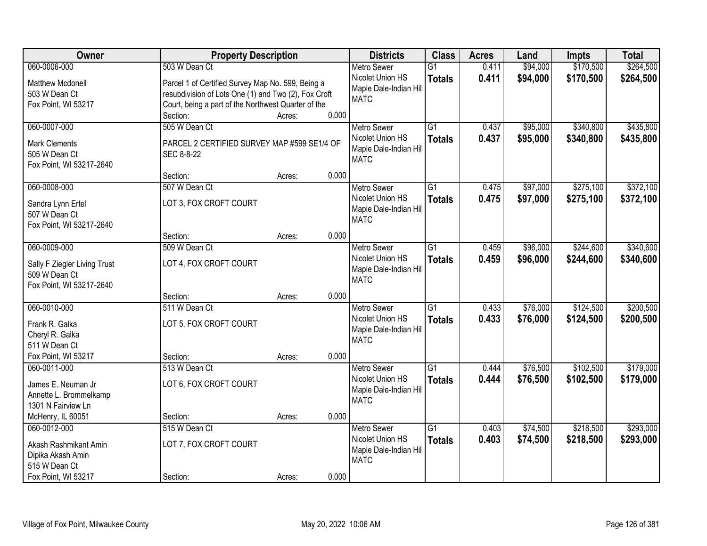| Owner                              | <b>Property Description</b>                          |        |       | <b>Districts</b>       | <b>Class</b>    | <b>Acres</b> | Land     | <b>Impts</b> | <b>Total</b> |
|------------------------------------|------------------------------------------------------|--------|-------|------------------------|-----------------|--------------|----------|--------------|--------------|
| 060-0006-000                       | 503 W Dean Ct                                        |        |       | <b>Metro Sewer</b>     | $\overline{G1}$ | 0.411        | \$94,000 | \$170,500    | \$264,500    |
| <b>Matthew Mcdonell</b>            | Parcel 1 of Certified Survey Map No. 599, Being a    |        |       | Nicolet Union HS       | <b>Totals</b>   | 0.411        | \$94,000 | \$170,500    | \$264,500    |
| 503 W Dean Ct                      | resubdivision of Lots One (1) and Two (2), Fox Croft |        |       | Maple Dale-Indian Hill |                 |              |          |              |              |
| Fox Point, WI 53217                | Court, being a part of the Northwest Quarter of the  |        |       | <b>MATC</b>            |                 |              |          |              |              |
|                                    | Section:                                             | Acres: | 0.000 |                        |                 |              |          |              |              |
| 060-0007-000                       | 505 W Dean Ct                                        |        |       | <b>Metro Sewer</b>     | $\overline{G1}$ | 0.437        | \$95,000 | \$340,800    | \$435,800    |
| <b>Mark Clements</b>               | PARCEL 2 CERTIFIED SURVEY MAP #599 SE1/4 OF          |        |       | Nicolet Union HS       | <b>Totals</b>   | 0.437        | \$95,000 | \$340,800    | \$435,800    |
| 505 W Dean Ct                      | SEC 8-8-22                                           |        |       | Maple Dale-Indian Hill |                 |              |          |              |              |
| Fox Point, WI 53217-2640           |                                                      |        |       | <b>MATC</b>            |                 |              |          |              |              |
|                                    | Section:                                             | Acres: | 0.000 |                        |                 |              |          |              |              |
| 060-0008-000                       | 507 W Dean Ct                                        |        |       | <b>Metro Sewer</b>     | G1              | 0.475        | \$97,000 | \$275,100    | \$372,100    |
|                                    | LOT 3, FOX CROFT COURT                               |        |       | Nicolet Union HS       | <b>Totals</b>   | 0.475        | \$97,000 | \$275,100    | \$372,100    |
| Sandra Lynn Ertel<br>507 W Dean Ct |                                                      |        |       | Maple Dale-Indian Hill |                 |              |          |              |              |
| Fox Point, WI 53217-2640           |                                                      |        |       | <b>MATC</b>            |                 |              |          |              |              |
|                                    | Section:                                             | Acres: | 0.000 |                        |                 |              |          |              |              |
| 060-0009-000                       | 509 W Dean Ct                                        |        |       | <b>Metro Sewer</b>     | $\overline{G1}$ | 0.459        | \$96,000 | \$244,600    | \$340,600    |
|                                    |                                                      |        |       | Nicolet Union HS       | <b>Totals</b>   | 0.459        | \$96,000 | \$244,600    | \$340,600    |
| Sally F Ziegler Living Trust       | LOT 4, FOX CROFT COURT                               |        |       | Maple Dale-Indian Hill |                 |              |          |              |              |
| 509 W Dean Ct                      |                                                      |        |       | <b>MATC</b>            |                 |              |          |              |              |
| Fox Point, WI 53217-2640           | Section:                                             | Acres: | 0.000 |                        |                 |              |          |              |              |
| 060-0010-000                       | 511 W Dean Ct                                        |        |       | <b>Metro Sewer</b>     | $\overline{G1}$ | 0.433        | \$76,000 | \$124,500    | \$200,500    |
|                                    |                                                      |        |       | Nicolet Union HS       |                 |              |          |              |              |
| Frank R. Galka                     | LOT 5, FOX CROFT COURT                               |        |       | Maple Dale-Indian Hill | <b>Totals</b>   | 0.433        | \$76,000 | \$124,500    | \$200,500    |
| Cheryl R. Galka                    |                                                      |        |       | <b>MATC</b>            |                 |              |          |              |              |
| 511 W Dean Ct                      |                                                      |        |       |                        |                 |              |          |              |              |
| Fox Point, WI 53217                | Section:                                             | Acres: | 0.000 |                        |                 |              |          |              |              |
| 060-0011-000                       | 513 W Dean Ct                                        |        |       | Metro Sewer            | $\overline{G1}$ | 0.444        | \$76,500 | \$102,500    | \$179,000    |
| James E. Neuman Jr                 | LOT 6, FOX CROFT COURT                               |        |       | Nicolet Union HS       | <b>Totals</b>   | 0.444        | \$76,500 | \$102,500    | \$179,000    |
| Annette L. Brommelkamp             |                                                      |        |       | Maple Dale-Indian Hill |                 |              |          |              |              |
| 1301 N Fairview Ln                 |                                                      |        |       | <b>MATC</b>            |                 |              |          |              |              |
| McHenry, IL 60051                  | Section:                                             | Acres: | 0.000 |                        |                 |              |          |              |              |
| 060-0012-000                       | 515 W Dean Ct                                        |        |       | <b>Metro Sewer</b>     | $\overline{G1}$ | 0.403        | \$74,500 | \$218,500    | \$293,000    |
| Akash Rashmikant Amin              | LOT 7, FOX CROFT COURT                               |        |       | Nicolet Union HS       | <b>Totals</b>   | 0.403        | \$74,500 | \$218,500    | \$293,000    |
| Dipika Akash Amin                  |                                                      |        |       | Maple Dale-Indian Hill |                 |              |          |              |              |
| 515 W Dean Ct                      |                                                      |        |       | <b>MATC</b>            |                 |              |          |              |              |
| Fox Point, WI 53217                | Section:                                             | Acres: | 0.000 |                        |                 |              |          |              |              |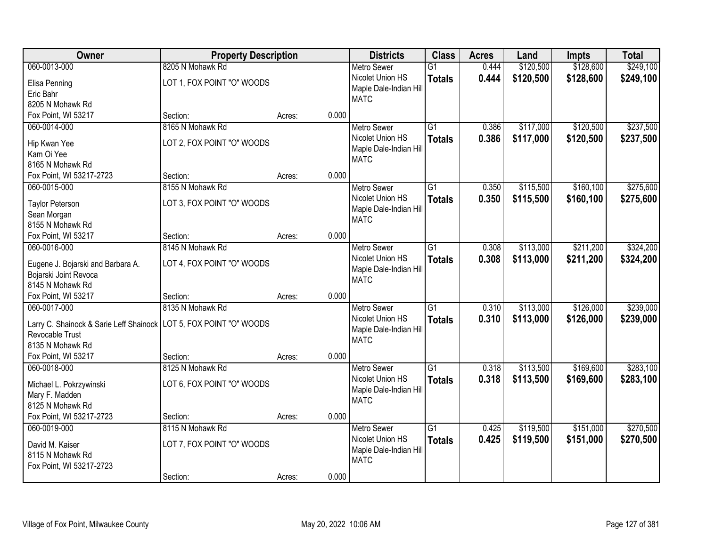| Owner                                                                | <b>Property Description</b> |                 | <b>Districts</b>                      | <b>Class</b>    | <b>Acres</b> | Land      | <b>Impts</b> | <b>Total</b> |
|----------------------------------------------------------------------|-----------------------------|-----------------|---------------------------------------|-----------------|--------------|-----------|--------------|--------------|
| 060-0013-000                                                         | 8205 N Mohawk Rd            |                 | <b>Metro Sewer</b>                    | $\overline{G1}$ | 0.444        | \$120,500 | \$128,600    | \$249,100    |
| Elisa Penning                                                        | LOT 1, FOX POINT "O" WOODS  |                 | Nicolet Union HS                      | <b>Totals</b>   | 0.444        | \$120,500 | \$128,600    | \$249,100    |
| Eric Bahr                                                            |                             |                 | Maple Dale-Indian Hill                |                 |              |           |              |              |
| 8205 N Mohawk Rd                                                     |                             |                 | <b>MATC</b>                           |                 |              |           |              |              |
| Fox Point, WI 53217                                                  | Section:                    | 0.000<br>Acres: |                                       |                 |              |           |              |              |
| 060-0014-000                                                         | 8165 N Mohawk Rd            |                 | <b>Metro Sewer</b>                    | $\overline{G1}$ | 0.386        | \$117,000 | \$120,500    | \$237,500    |
|                                                                      |                             |                 | Nicolet Union HS                      | <b>Totals</b>   | 0.386        | \$117,000 | \$120,500    | \$237,500    |
| Hip Kwan Yee                                                         | LOT 2, FOX POINT "O" WOODS  |                 | Maple Dale-Indian Hill                |                 |              |           |              |              |
| Kam Oi Yee                                                           |                             |                 | <b>MATC</b>                           |                 |              |           |              |              |
| 8165 N Mohawk Rd                                                     |                             | 0.000           |                                       |                 |              |           |              |              |
| Fox Point, WI 53217-2723                                             | Section:                    | Acres:          |                                       |                 |              |           |              |              |
| 060-0015-000                                                         | 8155 N Mohawk Rd            |                 | <b>Metro Sewer</b>                    | G1              | 0.350        | \$115,500 | \$160,100    | \$275,600    |
| <b>Taylor Peterson</b>                                               | LOT 3, FOX POINT "O" WOODS  |                 | Nicolet Union HS                      | <b>Totals</b>   | 0.350        | \$115,500 | \$160,100    | \$275,600    |
| Sean Morgan                                                          |                             |                 | Maple Dale-Indian Hill<br><b>MATC</b> |                 |              |           |              |              |
| 8155 N Mohawk Rd                                                     |                             |                 |                                       |                 |              |           |              |              |
| Fox Point, WI 53217                                                  | Section:                    | 0.000<br>Acres: |                                       |                 |              |           |              |              |
| 060-0016-000                                                         | 8145 N Mohawk Rd            |                 | <b>Metro Sewer</b>                    | G1              | 0.308        | \$113,000 | \$211,200    | \$324,200    |
| Eugene J. Bojarski and Barbara A.                                    | LOT 4, FOX POINT "O" WOODS  |                 | Nicolet Union HS                      | <b>Totals</b>   | 0.308        | \$113,000 | \$211,200    | \$324,200    |
| Bojarski Joint Revoca                                                |                             |                 | Maple Dale-Indian Hill                |                 |              |           |              |              |
| 8145 N Mohawk Rd                                                     |                             |                 | <b>MATC</b>                           |                 |              |           |              |              |
| Fox Point, WI 53217                                                  | Section:                    | 0.000<br>Acres: |                                       |                 |              |           |              |              |
| 060-0017-000                                                         | 8135 N Mohawk Rd            |                 | <b>Metro Sewer</b>                    | $\overline{G1}$ | 0.310        | \$113,000 | \$126,000    | \$239,000    |
|                                                                      |                             |                 | Nicolet Union HS                      | <b>Totals</b>   | 0.310        | \$113,000 | \$126,000    | \$239,000    |
| Larry C. Shainock & Sarie Leff Shainock   LOT 5, FOX POINT "O" WOODS |                             |                 | Maple Dale-Indian Hill                |                 |              |           |              |              |
| Revocable Trust                                                      |                             |                 | <b>MATC</b>                           |                 |              |           |              |              |
| 8135 N Mohawk Rd                                                     |                             |                 |                                       |                 |              |           |              |              |
| Fox Point, WI 53217                                                  | Section:                    | 0.000<br>Acres: |                                       |                 |              |           |              |              |
| 060-0018-000                                                         | 8125 N Mohawk Rd            |                 | Metro Sewer                           | $\overline{G1}$ | 0.318        | \$113,500 | \$169,600    | \$283,100    |
| Michael L. Pokrzywinski                                              | LOT 6, FOX POINT "O" WOODS  |                 | Nicolet Union HS                      | <b>Totals</b>   | 0.318        | \$113,500 | \$169,600    | \$283,100    |
| Mary F. Madden                                                       |                             |                 | Maple Dale-Indian Hill                |                 |              |           |              |              |
| 8125 N Mohawk Rd                                                     |                             |                 | <b>MATC</b>                           |                 |              |           |              |              |
| Fox Point, WI 53217-2723                                             | Section:                    | 0.000<br>Acres: |                                       |                 |              |           |              |              |
| 060-0019-000                                                         | 8115 N Mohawk Rd            |                 | <b>Metro Sewer</b>                    | $\overline{G1}$ | 0.425        | \$119,500 | \$151,000    | \$270,500    |
|                                                                      |                             |                 | Nicolet Union HS                      | <b>Totals</b>   | 0.425        | \$119,500 | \$151,000    | \$270,500    |
| David M. Kaiser                                                      | LOT 7, FOX POINT "O" WOODS  |                 | Maple Dale-Indian Hill                |                 |              |           |              |              |
| 8115 N Mohawk Rd                                                     |                             |                 | <b>MATC</b>                           |                 |              |           |              |              |
| Fox Point, WI 53217-2723                                             |                             |                 |                                       |                 |              |           |              |              |
|                                                                      | Section:                    | 0.000<br>Acres: |                                       |                 |              |           |              |              |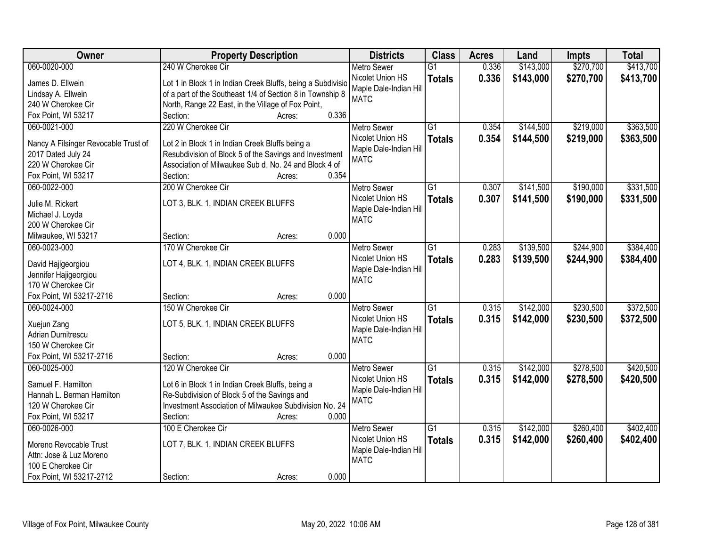| Owner                                | <b>Property Description</b>                                 | <b>Districts</b>                      | <b>Class</b>    | <b>Acres</b> | Land      | <b>Impts</b> | <b>Total</b> |
|--------------------------------------|-------------------------------------------------------------|---------------------------------------|-----------------|--------------|-----------|--------------|--------------|
| 060-0020-000                         | 240 W Cherokee Cir                                          | <b>Metro Sewer</b>                    | $\overline{G1}$ | 0.336        | \$143,000 | \$270,700    | \$413,700    |
| James D. Ellwein                     | Lot 1 in Block 1 in Indian Creek Bluffs, being a Subdivisio | Nicolet Union HS                      | <b>Totals</b>   | 0.336        | \$143,000 | \$270,700    | \$413,700    |
| Lindsay A. Ellwein                   | of a part of the Southeast 1/4 of Section 8 in Township 8   | Maple Dale-Indian Hill                |                 |              |           |              |              |
| 240 W Cherokee Cir                   | North, Range 22 East, in the Village of Fox Point,          | <b>MATC</b>                           |                 |              |           |              |              |
| Fox Point, WI 53217                  | Section:<br>0.336<br>Acres:                                 |                                       |                 |              |           |              |              |
| 060-0021-000                         | 220 W Cherokee Cir                                          | <b>Metro Sewer</b>                    | $\overline{G1}$ | 0.354        | \$144,500 | \$219,000    | \$363,500    |
|                                      |                                                             | Nicolet Union HS                      | <b>Totals</b>   | 0.354        | \$144,500 | \$219,000    | \$363,500    |
| Nancy A Filsinger Revocable Trust of | Lot 2 in Block 1 in Indian Creek Bluffs being a             | Maple Dale-Indian Hill                |                 |              |           |              |              |
| 2017 Dated July 24                   | Resubdivision of Block 5 of the Savings and Investment      | <b>MATC</b>                           |                 |              |           |              |              |
| 220 W Cherokee Cir                   | Association of Milwaukee Sub d. No. 24 and Block 4 of       |                                       |                 |              |           |              |              |
| Fox Point, WI 53217                  | 0.354<br>Section:<br>Acres:                                 |                                       |                 |              |           |              |              |
| 060-0022-000                         | 200 W Cherokee Cir                                          | Metro Sewer                           | $\overline{G1}$ | 0.307        | \$141,500 | \$190,000    | \$331,500    |
| Julie M. Rickert                     | LOT 3, BLK. 1, INDIAN CREEK BLUFFS                          | Nicolet Union HS                      | <b>Totals</b>   | 0.307        | \$141,500 | \$190,000    | \$331,500    |
| Michael J. Loyda                     |                                                             | Maple Dale-Indian Hill                |                 |              |           |              |              |
| 200 W Cherokee Cir                   |                                                             | <b>MATC</b>                           |                 |              |           |              |              |
| Milwaukee, WI 53217                  | 0.000<br>Section:<br>Acres:                                 |                                       |                 |              |           |              |              |
| 060-0023-000                         | 170 W Cherokee Cir                                          | <b>Metro Sewer</b>                    | $\overline{G1}$ | 0.283        | \$139,500 | \$244,900    | \$384,400    |
|                                      |                                                             | Nicolet Union HS                      |                 |              |           |              |              |
| David Hajigeorgiou                   | LOT 4, BLK. 1, INDIAN CREEK BLUFFS                          |                                       | <b>Totals</b>   | 0.283        | \$139,500 | \$244,900    | \$384,400    |
| Jennifer Hajigeorgiou                |                                                             | Maple Dale-Indian Hill<br><b>MATC</b> |                 |              |           |              |              |
| 170 W Cherokee Cir                   |                                                             |                                       |                 |              |           |              |              |
| Fox Point, WI 53217-2716             | 0.000<br>Section:<br>Acres:                                 |                                       |                 |              |           |              |              |
| 060-0024-000                         | 150 W Cherokee Cir                                          | <b>Metro Sewer</b>                    | $\overline{G1}$ | 0.315        | \$142,000 | \$230,500    | \$372,500    |
|                                      |                                                             | Nicolet Union HS                      | <b>Totals</b>   | 0.315        | \$142,000 | \$230,500    | \$372,500    |
| Xuejun Zang                          | LOT 5, BLK. 1, INDIAN CREEK BLUFFS                          | Maple Dale-Indian Hill                |                 |              |           |              |              |
| <b>Adrian Dumitrescu</b>             |                                                             | <b>MATC</b>                           |                 |              |           |              |              |
| 150 W Cherokee Cir                   |                                                             |                                       |                 |              |           |              |              |
| Fox Point, WI 53217-2716             | 0.000<br>Section:<br>Acres:                                 |                                       |                 |              |           |              |              |
| 060-0025-000                         | 120 W Cherokee Cir                                          | <b>Metro Sewer</b>                    | $\overline{G1}$ | 0.315        | \$142,000 | \$278,500    | \$420,500    |
| Samuel F. Hamilton                   | Lot 6 in Block 1 in Indian Creek Bluffs, being a            | Nicolet Union HS                      | <b>Totals</b>   | 0.315        | \$142,000 | \$278,500    | \$420,500    |
| Hannah L. Berman Hamilton            | Re-Subdivision of Block 5 of the Savings and                | Maple Dale-Indian Hill                |                 |              |           |              |              |
| 120 W Cherokee Cir                   | Investment Association of Milwaukee Subdivision No. 24      | <b>MATC</b>                           |                 |              |           |              |              |
| Fox Point, WI 53217                  | 0.000<br>Section:<br>Acres:                                 |                                       |                 |              |           |              |              |
| 060-0026-000                         | 100 E Cherokee Cir                                          | <b>Metro Sewer</b>                    | $\overline{G1}$ | 0.315        | \$142,000 | \$260,400    | \$402,400    |
|                                      |                                                             | Nicolet Union HS                      | <b>Totals</b>   | 0.315        | \$142,000 | \$260,400    | \$402,400    |
| Moreno Revocable Trust               | LOT 7, BLK. 1, INDIAN CREEK BLUFFS                          | Maple Dale-Indian Hill                |                 |              |           |              |              |
| Attn: Jose & Luz Moreno              |                                                             | <b>MATC</b>                           |                 |              |           |              |              |
| 100 E Cherokee Cir                   |                                                             |                                       |                 |              |           |              |              |
| Fox Point, WI 53217-2712             | 0.000<br>Section:<br>Acres:                                 |                                       |                 |              |           |              |              |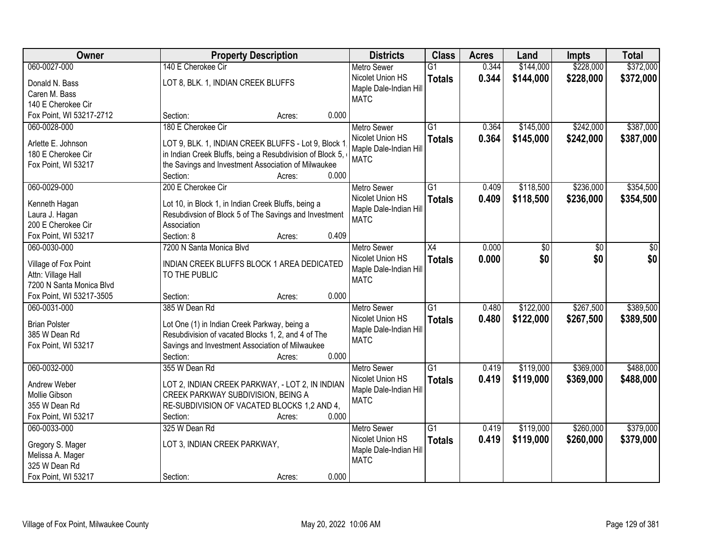| Owner                    | <b>Property Description</b>                                                           | <b>Districts</b>                       | <b>Class</b>    | <b>Acres</b> | Land      | <b>Impts</b> | <b>Total</b> |
|--------------------------|---------------------------------------------------------------------------------------|----------------------------------------|-----------------|--------------|-----------|--------------|--------------|
| 060-0027-000             | 140 E Cherokee Cir                                                                    | <b>Metro Sewer</b>                     | $\overline{G1}$ | 0.344        | \$144,000 | \$228,000    | \$372,000    |
| Donald N. Bass           | LOT 8, BLK. 1, INDIAN CREEK BLUFFS                                                    | Nicolet Union HS                       | <b>Totals</b>   | 0.344        | \$144,000 | \$228,000    | \$372,000    |
| Caren M. Bass            |                                                                                       | Maple Dale-Indian Hill                 |                 |              |           |              |              |
| 140 E Cherokee Cir       |                                                                                       | <b>MATC</b>                            |                 |              |           |              |              |
| Fox Point, WI 53217-2712 | 0.000<br>Section:<br>Acres:                                                           |                                        |                 |              |           |              |              |
| 060-0028-000             | 180 E Cherokee Cir                                                                    | <b>Metro Sewer</b>                     | $\overline{G1}$ | 0.364        | \$145,000 | \$242,000    | \$387,000    |
|                          |                                                                                       | Nicolet Union HS                       | <b>Totals</b>   | 0.364        | \$145,000 | \$242,000    | \$387,000    |
| Arlette E. Johnson       | LOT 9, BLK. 1, INDIAN CREEK BLUFFS - Lot 9, Block 1                                   | Maple Dale-Indian Hill                 |                 |              |           |              |              |
| 180 E Cherokee Cir       | in Indian Creek Bluffs, being a Resubdivision of Block 5,                             | <b>MATC</b>                            |                 |              |           |              |              |
| Fox Point, WI 53217      | the Savings and Investment Association of Milwaukee                                   |                                        |                 |              |           |              |              |
|                          | 0.000<br>Section:<br>Acres:                                                           |                                        |                 |              |           |              |              |
| 060-0029-000             | 200 E Cherokee Cir                                                                    | <b>Metro Sewer</b>                     | $\overline{G1}$ | 0.409        | \$118,500 | \$236,000    | \$354,500    |
| Kenneth Hagan            | Lot 10, in Block 1, in Indian Creek Bluffs, being a                                   | Nicolet Union HS                       | <b>Totals</b>   | 0.409        | \$118,500 | \$236,000    | \$354,500    |
| Laura J. Hagan           | Resubdivsion of Block 5 of The Savings and Investment                                 | Maple Dale-Indian Hill                 |                 |              |           |              |              |
| 200 E Cherokee Cir       | Association                                                                           | <b>MATC</b>                            |                 |              |           |              |              |
| Fox Point, WI 53217      | Section: 8<br>0.409<br>Acres:                                                         |                                        |                 |              |           |              |              |
| 060-0030-000             | 7200 N Santa Monica Blvd                                                              | <b>Metro Sewer</b>                     | $\overline{X4}$ | 0.000        | \$0       | \$0          | \$0          |
|                          |                                                                                       | Nicolet Union HS                       | <b>Totals</b>   | 0.000        | \$0       | \$0          | \$0          |
| Village of Fox Point     | INDIAN CREEK BLUFFS BLOCK 1 AREA DEDICATED                                            | Maple Dale-Indian Hill                 |                 |              |           |              |              |
| Attn: Village Hall       | TO THE PUBLIC                                                                         | <b>MATC</b>                            |                 |              |           |              |              |
| 7200 N Santa Monica Blvd |                                                                                       |                                        |                 |              |           |              |              |
| Fox Point, WI 53217-3505 | 0.000<br>Section:<br>Acres:                                                           |                                        |                 |              |           |              |              |
| 060-0031-000             | 385 W Dean Rd                                                                         | <b>Metro Sewer</b>                     | $\overline{G1}$ | 0.480        | \$122,000 | \$267,500    | \$389,500    |
| <b>Brian Polster</b>     | Lot One (1) in Indian Creek Parkway, being a                                          | Nicolet Union HS                       | <b>Totals</b>   | 0.480        | \$122,000 | \$267,500    | \$389,500    |
| 385 W Dean Rd            | Resubdivision of vacated Blocks 1, 2, and 4 of The                                    | Maple Dale-Indian Hill                 |                 |              |           |              |              |
| Fox Point, WI 53217      | Savings and Investment Association of Milwaukee                                       | <b>MATC</b>                            |                 |              |           |              |              |
|                          | 0.000<br>Section:<br>Acres:                                                           |                                        |                 |              |           |              |              |
| 060-0032-000             | 355 W Dean Rd                                                                         | <b>Metro Sewer</b>                     | $\overline{G1}$ | 0.419        | \$119,000 | \$369,000    | \$488,000    |
| Andrew Weber             |                                                                                       | Nicolet Union HS                       | <b>Totals</b>   | 0.419        | \$119,000 | \$369,000    | \$488,000    |
| Mollie Gibson            | LOT 2, INDIAN CREEK PARKWAY, - LOT 2, IN INDIAN<br>CREEK PARKWAY SUBDIVISION, BEING A | Maple Dale-Indian Hill                 |                 |              |           |              |              |
| 355 W Dean Rd            | RE-SUBDIVISION OF VACATED BLOCKS 1,2 AND 4,                                           | <b>MATC</b>                            |                 |              |           |              |              |
| Fox Point, WI 53217      | 0.000<br>Section:<br>Acres:                                                           |                                        |                 |              |           |              |              |
| 060-0033-000             | 325 W Dean Rd                                                                         |                                        | $\overline{G1}$ | 0.419        | \$119,000 | \$260,000    | \$379,000    |
|                          |                                                                                       | <b>Metro Sewer</b><br>Nicolet Union HS |                 |              |           |              |              |
| Gregory S. Mager         | LOT 3, INDIAN CREEK PARKWAY,                                                          |                                        | <b>Totals</b>   | 0.419        | \$119,000 | \$260,000    | \$379,000    |
| Melissa A. Mager         |                                                                                       | Maple Dale-Indian Hill<br><b>MATC</b>  |                 |              |           |              |              |
| 325 W Dean Rd            |                                                                                       |                                        |                 |              |           |              |              |
| Fox Point, WI 53217      | 0.000<br>Section:<br>Acres:                                                           |                                        |                 |              |           |              |              |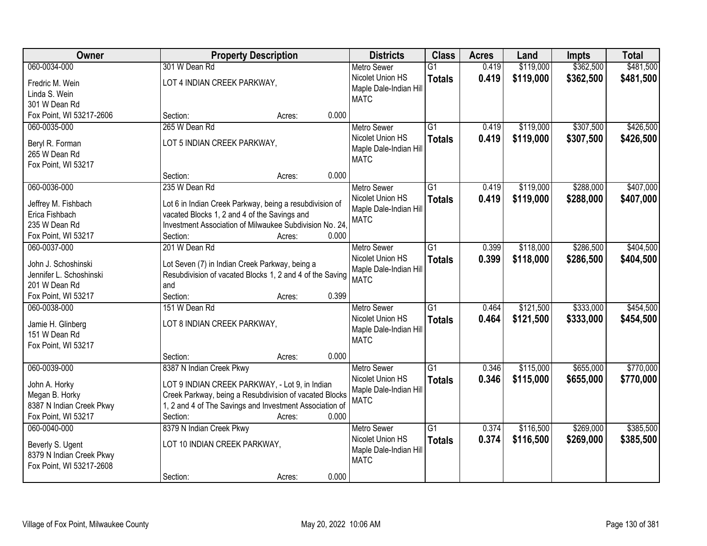| Owner                    | <b>Property Description</b>                              | <b>Districts</b>       | <b>Class</b>    | <b>Acres</b> | Land      | <b>Impts</b> | <b>Total</b> |
|--------------------------|----------------------------------------------------------|------------------------|-----------------|--------------|-----------|--------------|--------------|
| 060-0034-000             | 301 W Dean Rd                                            | <b>Metro Sewer</b>     | $\overline{G1}$ | 0.419        | \$119,000 | \$362,500    | \$481,500    |
| Fredric M. Wein          | LOT 4 INDIAN CREEK PARKWAY,                              | Nicolet Union HS       | <b>Totals</b>   | 0.419        | \$119,000 | \$362,500    | \$481,500    |
| Linda S. Wein            |                                                          | Maple Dale-Indian Hill |                 |              |           |              |              |
| 301 W Dean Rd            |                                                          | <b>MATC</b>            |                 |              |           |              |              |
| Fox Point, WI 53217-2606 | 0.000<br>Section:<br>Acres:                              |                        |                 |              |           |              |              |
| 060-0035-000             | 265 W Dean Rd                                            | <b>Metro Sewer</b>     | $\overline{G1}$ | 0.419        | \$119,000 | \$307,500    | \$426,500    |
|                          |                                                          | Nicolet Union HS       | <b>Totals</b>   | 0.419        | \$119,000 | \$307,500    | \$426,500    |
| Beryl R. Forman          | LOT 5 INDIAN CREEK PARKWAY,                              | Maple Dale-Indian Hill |                 |              |           |              |              |
| 265 W Dean Rd            |                                                          | <b>MATC</b>            |                 |              |           |              |              |
| Fox Point, WI 53217      | 0.000<br>Section:<br>Acres:                              |                        |                 |              |           |              |              |
| 060-0036-000             | 235 W Dean Rd                                            | Metro Sewer            | $\overline{G1}$ | 0.419        | \$119,000 | \$288,000    | \$407,000    |
|                          |                                                          | Nicolet Union HS       |                 | 0.419        | \$119,000 | \$288,000    |              |
| Jeffrey M. Fishbach      | Lot 6 in Indian Creek Parkway, being a resubdivision of  | Maple Dale-Indian Hill | <b>Totals</b>   |              |           |              | \$407,000    |
| Erica Fishbach           | vacated Blocks 1, 2 and 4 of the Savings and             | <b>MATC</b>            |                 |              |           |              |              |
| 235 W Dean Rd            | Investment Association of Milwaukee Subdivision No. 24,  |                        |                 |              |           |              |              |
| Fox Point, WI 53217      | Section:<br>0.000<br>Acres:                              |                        |                 |              |           |              |              |
| 060-0037-000             | 201 W Dean Rd                                            | <b>Metro Sewer</b>     | $\overline{G1}$ | 0.399        | \$118,000 | \$286,500    | \$404,500    |
| John J. Schoshinski      | Lot Seven (7) in Indian Creek Parkway, being a           | Nicolet Union HS       | <b>Totals</b>   | 0.399        | \$118,000 | \$286,500    | \$404,500    |
| Jennifer L. Schoshinski  | Resubdivision of vacated Blocks 1, 2 and 4 of the Saving | Maple Dale-Indian Hill |                 |              |           |              |              |
| 201 W Dean Rd            | and                                                      | <b>MATC</b>            |                 |              |           |              |              |
| Fox Point, WI 53217      | 0.399<br>Section:<br>Acres:                              |                        |                 |              |           |              |              |
| 060-0038-000             | 151 W Dean Rd                                            | <b>Metro Sewer</b>     | $\overline{G1}$ | 0.464        | \$121,500 | \$333,000    | \$454,500    |
|                          |                                                          | Nicolet Union HS       | <b>Totals</b>   | 0.464        | \$121,500 | \$333,000    | \$454,500    |
| Jamie H. Glinberg        | LOT 8 INDIAN CREEK PARKWAY,                              | Maple Dale-Indian Hill |                 |              |           |              |              |
| 151 W Dean Rd            |                                                          | <b>MATC</b>            |                 |              |           |              |              |
| Fox Point, WI 53217      | 0.000<br>Section:                                        |                        |                 |              |           |              |              |
| 060-0039-000             | Acres:                                                   | <b>Metro Sewer</b>     | $\overline{G1}$ | 0.346        |           | \$655,000    | \$770,000    |
|                          | 8387 N Indian Creek Pkwy                                 | Nicolet Union HS       |                 | 0.346        | \$115,000 |              |              |
| John A. Horky            | LOT 9 INDIAN CREEK PARKWAY, - Lot 9, in Indian           | Maple Dale-Indian Hill | <b>Totals</b>   |              | \$115,000 | \$655,000    | \$770,000    |
| Megan B. Horky           | Creek Parkway, being a Resubdivision of vacated Blocks   | <b>MATC</b>            |                 |              |           |              |              |
| 8387 N Indian Creek Pkwy | 1, 2 and 4 of The Savings and Investment Association of  |                        |                 |              |           |              |              |
| Fox Point, WI 53217      | Section:<br>0.000<br>Acres:                              |                        |                 |              |           |              |              |
| 060-0040-000             | 8379 N Indian Creek Pkwy                                 | <b>Metro Sewer</b>     | $\overline{G1}$ | 0.374        | \$116,500 | \$269,000    | \$385,500    |
| Beverly S. Ugent         | LOT 10 INDIAN CREEK PARKWAY,                             | Nicolet Union HS       | <b>Totals</b>   | 0.374        | \$116,500 | \$269,000    | \$385,500    |
| 8379 N Indian Creek Pkwy |                                                          | Maple Dale-Indian Hill |                 |              |           |              |              |
| Fox Point, WI 53217-2608 |                                                          | <b>MATC</b>            |                 |              |           |              |              |
|                          | 0.000<br>Section:<br>Acres:                              |                        |                 |              |           |              |              |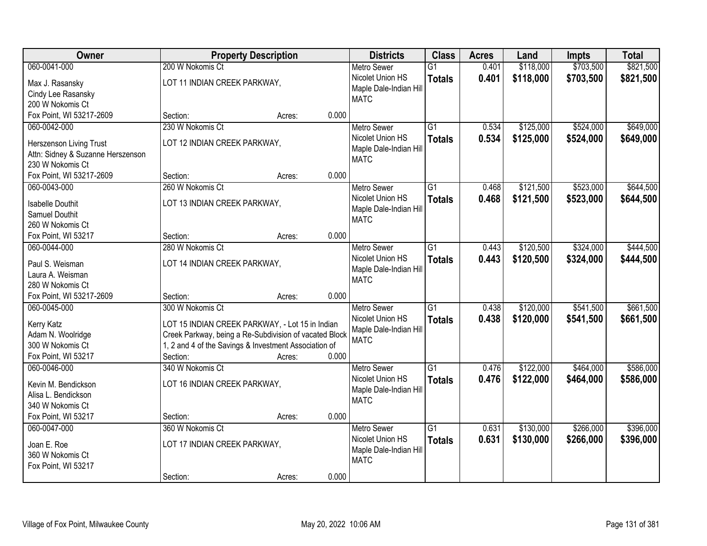| Owner                              |                                                        | <b>Property Description</b> |       | <b>Districts</b>       | <b>Class</b>    | <b>Acres</b> | Land      | <b>Impts</b> | <b>Total</b> |
|------------------------------------|--------------------------------------------------------|-----------------------------|-------|------------------------|-----------------|--------------|-----------|--------------|--------------|
| 060-0041-000                       | 200 W Nokomis Ct                                       |                             |       | <b>Metro Sewer</b>     | $\overline{G1}$ | 0.401        | \$118,000 | \$703,500    | \$821,500    |
| Max J. Rasansky                    | LOT 11 INDIAN CREEK PARKWAY,                           |                             |       | Nicolet Union HS       | <b>Totals</b>   | 0.401        | \$118,000 | \$703,500    | \$821,500    |
| Cindy Lee Rasansky                 |                                                        |                             |       | Maple Dale-Indian Hill |                 |              |           |              |              |
| 200 W Nokomis Ct                   |                                                        |                             |       | <b>MATC</b>            |                 |              |           |              |              |
| Fox Point, WI 53217-2609           | Section:                                               | Acres:                      | 0.000 |                        |                 |              |           |              |              |
| 060-0042-000                       | 230 W Nokomis Ct                                       |                             |       | <b>Metro Sewer</b>     | $\overline{G1}$ | 0.534        | \$125,000 | \$524,000    | \$649,000    |
| Herszenson Living Trust            | LOT 12 INDIAN CREEK PARKWAY,                           |                             |       | Nicolet Union HS       | <b>Totals</b>   | 0.534        | \$125,000 | \$524,000    | \$649,000    |
| Attn: Sidney & Suzanne Herszenson  |                                                        |                             |       | Maple Dale-Indian Hill |                 |              |           |              |              |
| 230 W Nokomis Ct                   |                                                        |                             |       | <b>MATC</b>            |                 |              |           |              |              |
| Fox Point, WI 53217-2609           | Section:                                               | Acres:                      | 0.000 |                        |                 |              |           |              |              |
| 060-0043-000                       | 260 W Nokomis Ct                                       |                             |       | <b>Metro Sewer</b>     | $\overline{G1}$ | 0.468        | \$121,500 | \$523,000    | \$644,500    |
|                                    |                                                        |                             |       | Nicolet Union HS       | <b>Totals</b>   | 0.468        | \$121,500 | \$523,000    | \$644,500    |
| <b>Isabelle Douthit</b>            | LOT 13 INDIAN CREEK PARKWAY,                           |                             |       | Maple Dale-Indian Hill |                 |              |           |              |              |
| Samuel Douthit<br>260 W Nokomis Ct |                                                        |                             |       | <b>MATC</b>            |                 |              |           |              |              |
| Fox Point, WI 53217                | Section:                                               | Acres:                      | 0.000 |                        |                 |              |           |              |              |
| 060-0044-000                       | 280 W Nokomis Ct                                       |                             |       | <b>Metro Sewer</b>     | $\overline{G1}$ | 0.443        | \$120,500 | \$324,000    | \$444,500    |
|                                    |                                                        |                             |       | Nicolet Union HS       | <b>Totals</b>   | 0.443        | \$120,500 | \$324,000    | \$444,500    |
| Paul S. Weisman                    | LOT 14 INDIAN CREEK PARKWAY,                           |                             |       | Maple Dale-Indian Hill |                 |              |           |              |              |
| Laura A. Weisman                   |                                                        |                             |       | <b>MATC</b>            |                 |              |           |              |              |
| 280 W Nokomis Ct                   |                                                        |                             |       |                        |                 |              |           |              |              |
| Fox Point, WI 53217-2609           | Section:                                               | Acres:                      | 0.000 |                        |                 |              |           |              |              |
| 060-0045-000                       | 300 W Nokomis Ct                                       |                             |       | <b>Metro Sewer</b>     | $\overline{G1}$ | 0.438        | \$120,000 | \$541,500    | \$661,500    |
| Kerry Katz                         | LOT 15 INDIAN CREEK PARKWAY, - Lot 15 in Indian        |                             |       | Nicolet Union HS       | <b>Totals</b>   | 0.438        | \$120,000 | \$541,500    | \$661,500    |
| Adam N. Woolridge                  | Creek Parkway, being a Re-Subdivision of vacated Block |                             |       | Maple Dale-Indian Hill |                 |              |           |              |              |
| 300 W Nokomis Ct                   | 1, 2 and 4 of the Savings & Investment Association of  |                             |       | <b>MATC</b>            |                 |              |           |              |              |
| Fox Point, WI 53217                | Section:                                               | Acres:                      | 0.000 |                        |                 |              |           |              |              |
| 060-0046-000                       | 340 W Nokomis Ct                                       |                             |       | Metro Sewer            | $\overline{G1}$ | 0.476        | \$122,000 | \$464,000    | \$586,000    |
| Kevin M. Bendickson                | LOT 16 INDIAN CREEK PARKWAY,                           |                             |       | Nicolet Union HS       | <b>Totals</b>   | 0.476        | \$122,000 | \$464,000    | \$586,000    |
| Alisa L. Bendickson                |                                                        |                             |       | Maple Dale-Indian Hill |                 |              |           |              |              |
| 340 W Nokomis Ct                   |                                                        |                             |       | <b>MATC</b>            |                 |              |           |              |              |
| Fox Point, WI 53217                | Section:                                               | Acres:                      | 0.000 |                        |                 |              |           |              |              |
| 060-0047-000                       | 360 W Nokomis Ct                                       |                             |       | <b>Metro Sewer</b>     | $\overline{G1}$ | 0.631        | \$130,000 | \$266,000    | \$396,000    |
|                                    |                                                        |                             |       | Nicolet Union HS       | <b>Totals</b>   | 0.631        | \$130,000 | \$266,000    | \$396,000    |
| Joan E. Roe                        | LOT 17 INDIAN CREEK PARKWAY,                           |                             |       | Maple Dale-Indian Hill |                 |              |           |              |              |
| 360 W Nokomis Ct                   |                                                        |                             |       | <b>MATC</b>            |                 |              |           |              |              |
| Fox Point, WI 53217                |                                                        |                             | 0.000 |                        |                 |              |           |              |              |
|                                    | Section:                                               | Acres:                      |       |                        |                 |              |           |              |              |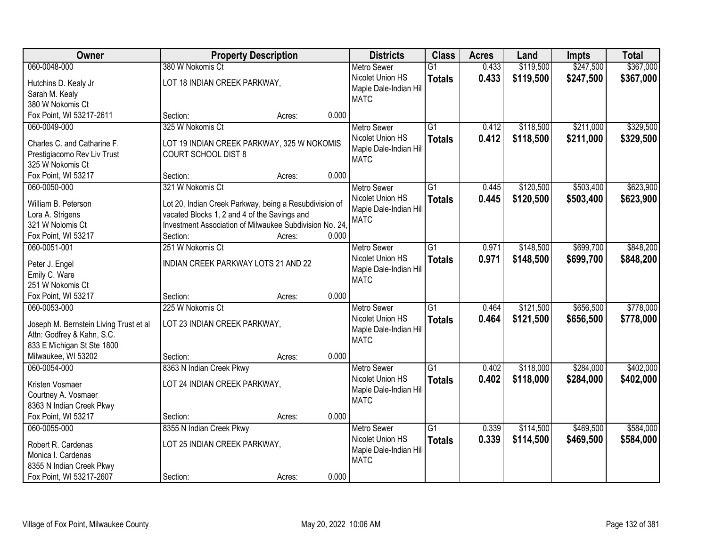| Owner                                  | <b>Property Description</b>                                              |                 | <b>Districts</b>       | <b>Class</b>    | <b>Acres</b> | Land      | <b>Impts</b> | <b>Total</b> |
|----------------------------------------|--------------------------------------------------------------------------|-----------------|------------------------|-----------------|--------------|-----------|--------------|--------------|
| 060-0048-000                           | 380 W Nokomis Ct                                                         |                 | <b>Metro Sewer</b>     | $\overline{G1}$ | 0.433        | \$119,500 | \$247,500    | \$367,000    |
| Hutchins D. Kealy Jr                   | LOT 18 INDIAN CREEK PARKWAY,                                             |                 | Nicolet Union HS       | <b>Totals</b>   | 0.433        | \$119,500 | \$247,500    | \$367,000    |
| Sarah M. Kealy                         |                                                                          |                 | Maple Dale-Indian Hill |                 |              |           |              |              |
| 380 W Nokomis Ct                       |                                                                          |                 | <b>MATC</b>            |                 |              |           |              |              |
| Fox Point, WI 53217-2611               | Section:                                                                 | 0.000<br>Acres: |                        |                 |              |           |              |              |
| 060-0049-000                           | 325 W Nokomis Ct                                                         |                 | <b>Metro Sewer</b>     | $\overline{G1}$ | 0.412        | \$118,500 | \$211,000    | \$329,500    |
| Charles C. and Catharine F.            |                                                                          |                 | Nicolet Union HS       | <b>Totals</b>   | 0.412        | \$118,500 | \$211,000    | \$329,500    |
| Prestigiacomo Rev Liv Trust            | LOT 19 INDIAN CREEK PARKWAY, 325 W NOKOMIS<br><b>COURT SCHOOL DIST 8</b> |                 | Maple Dale-Indian Hill |                 |              |           |              |              |
| 325 W Nokomis Ct                       |                                                                          |                 | <b>MATC</b>            |                 |              |           |              |              |
| Fox Point, WI 53217                    | Section:                                                                 | 0.000<br>Acres: |                        |                 |              |           |              |              |
| 060-0050-000                           | 321 W Nokomis Ct                                                         |                 | <b>Metro Sewer</b>     | G1              | 0.445        | \$120,500 | \$503,400    | \$623,900    |
|                                        |                                                                          |                 | Nicolet Union HS       | <b>Totals</b>   | 0.445        | \$120,500 | \$503,400    | \$623,900    |
| William B. Peterson                    | Lot 20, Indian Creek Parkway, being a Resubdivision of                   |                 | Maple Dale-Indian Hill |                 |              |           |              |              |
| Lora A. Strigens                       | vacated Blocks 1, 2 and 4 of the Savings and                             |                 | <b>MATC</b>            |                 |              |           |              |              |
| 321 W Nolomis Ct                       | Investment Association of Milwaukee Subdivision No. 24.                  |                 |                        |                 |              |           |              |              |
| Fox Point, WI 53217                    | Section:                                                                 | 0.000<br>Acres: |                        |                 |              |           |              |              |
| 060-0051-001                           | 251 W Nokomis Ct                                                         |                 | <b>Metro Sewer</b>     | G1              | 0.971        | \$148,500 | \$699,700    | \$848,200    |
| Peter J. Engel                         | INDIAN CREEK PARKWAY LOTS 21 AND 22                                      |                 | Nicolet Union HS       | <b>Totals</b>   | 0.971        | \$148,500 | \$699,700    | \$848,200    |
| Emily C. Ware                          |                                                                          |                 | Maple Dale-Indian Hill |                 |              |           |              |              |
| 251 W Nokomis Ct                       |                                                                          |                 | <b>MATC</b>            |                 |              |           |              |              |
| Fox Point, WI 53217                    | Section:                                                                 | 0.000<br>Acres: |                        |                 |              |           |              |              |
| 060-0053-000                           | 225 W Nokomis Ct                                                         |                 | <b>Metro Sewer</b>     | $\overline{G1}$ | 0.464        | \$121,500 | \$656,500    | \$778,000    |
| Joseph M. Bernstein Living Trust et al | LOT 23 INDIAN CREEK PARKWAY,                                             |                 | Nicolet Union HS       | <b>Totals</b>   | 0.464        | \$121,500 | \$656,500    | \$778,000    |
| Attn: Godfrey & Kahn, S.C.             |                                                                          |                 | Maple Dale-Indian Hill |                 |              |           |              |              |
| 833 E Michigan St Ste 1800             |                                                                          |                 | <b>MATC</b>            |                 |              |           |              |              |
| Milwaukee, WI 53202                    | Section:                                                                 | 0.000<br>Acres: |                        |                 |              |           |              |              |
| 060-0054-000                           | 8363 N Indian Creek Pkwy                                                 |                 | <b>Metro Sewer</b>     | $\overline{G1}$ | 0.402        | \$118,000 | \$284,000    | \$402,000    |
|                                        |                                                                          |                 | Nicolet Union HS       | <b>Totals</b>   | 0.402        | \$118,000 | \$284,000    | \$402,000    |
| Kristen Vosmaer                        | LOT 24 INDIAN CREEK PARKWAY,                                             |                 | Maple Dale-Indian Hill |                 |              |           |              |              |
| Courtney A. Vosmaer                    |                                                                          |                 | <b>MATC</b>            |                 |              |           |              |              |
| 8363 N Indian Creek Pkwy               |                                                                          |                 |                        |                 |              |           |              |              |
| Fox Point, WI 53217                    | Section:                                                                 | 0.000<br>Acres: |                        |                 |              |           |              |              |
| 060-0055-000                           | 8355 N Indian Creek Pkwy                                                 |                 | <b>Metro Sewer</b>     | $\overline{G1}$ | 0.339        | \$114,500 | \$469,500    | \$584,000    |
| Robert R. Cardenas                     | LOT 25 INDIAN CREEK PARKWAY,                                             |                 | Nicolet Union HS       | <b>Totals</b>   | 0.339        | \$114,500 | \$469,500    | \$584,000    |
| Monica I. Cardenas                     |                                                                          |                 | Maple Dale-Indian Hill |                 |              |           |              |              |
| 8355 N Indian Creek Pkwy               |                                                                          |                 | <b>MATC</b>            |                 |              |           |              |              |
| Fox Point, WI 53217-2607               | Section:                                                                 | 0.000<br>Acres: |                        |                 |              |           |              |              |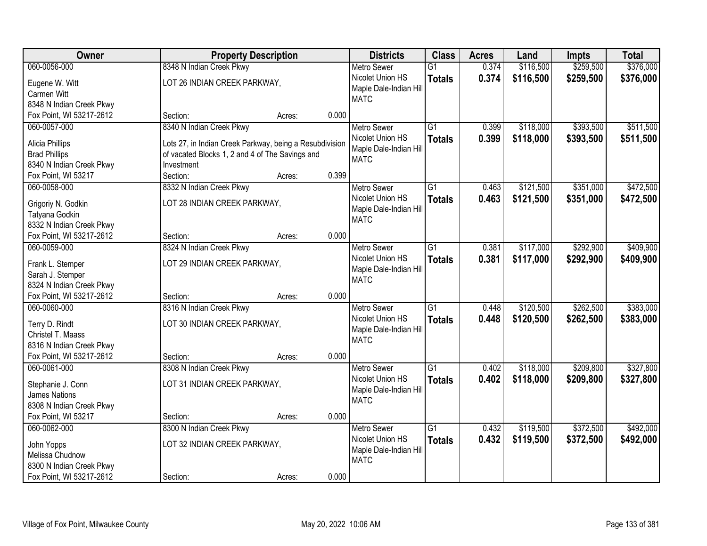| Owner                                                |                                                         | <b>Property Description</b> |       | <b>Districts</b>                      | <b>Class</b>    | <b>Acres</b> | Land      | <b>Impts</b> | <b>Total</b> |
|------------------------------------------------------|---------------------------------------------------------|-----------------------------|-------|---------------------------------------|-----------------|--------------|-----------|--------------|--------------|
| 060-0056-000                                         | 8348 N Indian Creek Pkwy                                |                             |       | <b>Metro Sewer</b>                    | $\overline{G1}$ | 0.374        | \$116,500 | \$259,500    | \$376,000    |
| Eugene W. Witt                                       | LOT 26 INDIAN CREEK PARKWAY,                            |                             |       | Nicolet Union HS                      | <b>Totals</b>   | 0.374        | \$116,500 | \$259,500    | \$376,000    |
| Carmen Witt                                          |                                                         |                             |       | Maple Dale-Indian Hill                |                 |              |           |              |              |
| 8348 N Indian Creek Pkwy                             |                                                         |                             |       | <b>MATC</b>                           |                 |              |           |              |              |
| Fox Point, WI 53217-2612                             | Section:                                                | Acres:                      | 0.000 |                                       |                 |              |           |              |              |
| 060-0057-000                                         | 8340 N Indian Creek Pkwy                                |                             |       | <b>Metro Sewer</b>                    | $\overline{G1}$ | 0.399        | \$118,000 | \$393,500    | \$511,500    |
| Alicia Phillips                                      | Lots 27, in Indian Creek Parkway, being a Resubdivision |                             |       | Nicolet Union HS                      | <b>Totals</b>   | 0.399        | \$118,000 | \$393,500    | \$511,500    |
| <b>Brad Phillips</b>                                 | of vacated Blocks 1, 2 and 4 of The Savings and         |                             |       | Maple Dale-Indian Hill                |                 |              |           |              |              |
| 8340 N Indian Creek Pkwy                             | Investment                                              |                             |       | <b>MATC</b>                           |                 |              |           |              |              |
| Fox Point, WI 53217                                  | Section:                                                | Acres:                      | 0.399 |                                       |                 |              |           |              |              |
| 060-0058-000                                         | 8332 N Indian Creek Pkwy                                |                             |       | <b>Metro Sewer</b>                    | G1              | 0.463        | \$121,500 | \$351,000    | \$472,500    |
|                                                      |                                                         |                             |       | Nicolet Union HS                      | <b>Totals</b>   | 0.463        | \$121,500 | \$351,000    | \$472,500    |
| Grigoriy N. Godkin                                   | LOT 28 INDIAN CREEK PARKWAY,                            |                             |       | Maple Dale-Indian Hill                |                 |              |           |              |              |
| Tatyana Godkin                                       |                                                         |                             |       | <b>MATC</b>                           |                 |              |           |              |              |
| 8332 N Indian Creek Pkwy                             |                                                         |                             |       |                                       |                 |              |           |              |              |
| Fox Point, WI 53217-2612                             | Section:                                                | Acres:                      | 0.000 |                                       |                 |              |           |              |              |
| 060-0059-000                                         | 8324 N Indian Creek Pkwy                                |                             |       | <b>Metro Sewer</b>                    | G1              | 0.381        | \$117,000 | \$292,900    | \$409,900    |
| Frank L. Stemper                                     | LOT 29 INDIAN CREEK PARKWAY,                            |                             |       | Nicolet Union HS                      | <b>Totals</b>   | 0.381        | \$117,000 | \$292,900    | \$409,900    |
| Sarah J. Stemper                                     |                                                         |                             |       | Maple Dale-Indian Hill                |                 |              |           |              |              |
| 8324 N Indian Creek Pkwy                             |                                                         |                             |       | <b>MATC</b>                           |                 |              |           |              |              |
| Fox Point, WI 53217-2612                             | Section:                                                | Acres:                      | 0.000 |                                       |                 |              |           |              |              |
| 060-0060-000                                         | 8316 N Indian Creek Pkwy                                |                             |       | <b>Metro Sewer</b>                    | $\overline{G1}$ | 0.448        | \$120,500 | \$262,500    | \$383,000    |
|                                                      |                                                         |                             |       | Nicolet Union HS                      | <b>Totals</b>   | 0.448        | \$120,500 | \$262,500    | \$383,000    |
| Terry D. Rindt                                       | LOT 30 INDIAN CREEK PARKWAY,                            |                             |       | Maple Dale-Indian Hill                |                 |              |           |              |              |
| Christel T. Maass                                    |                                                         |                             |       | <b>MATC</b>                           |                 |              |           |              |              |
| 8316 N Indian Creek Pkwy<br>Fox Point, WI 53217-2612 |                                                         |                             | 0.000 |                                       |                 |              |           |              |              |
| 060-0061-000                                         | Section:<br>8308 N Indian Creek Pkwy                    | Acres:                      |       |                                       | $\overline{G1}$ | 0.402        | \$118,000 | \$209,800    | \$327,800    |
|                                                      |                                                         |                             |       | <b>Metro Sewer</b>                    |                 |              |           |              |              |
| Stephanie J. Conn                                    | LOT 31 INDIAN CREEK PARKWAY,                            |                             |       | Nicolet Union HS                      | <b>Totals</b>   | 0.402        | \$118,000 | \$209,800    | \$327,800    |
| James Nations                                        |                                                         |                             |       | Maple Dale-Indian Hill<br><b>MATC</b> |                 |              |           |              |              |
| 8308 N Indian Creek Pkwy                             |                                                         |                             |       |                                       |                 |              |           |              |              |
| Fox Point, WI 53217                                  | Section:                                                | Acres:                      | 0.000 |                                       |                 |              |           |              |              |
| 060-0062-000                                         | 8300 N Indian Creek Pkwy                                |                             |       | <b>Metro Sewer</b>                    | $\overline{G1}$ | 0.432        | \$119,500 | \$372,500    | \$492,000    |
| John Yopps                                           | LOT 32 INDIAN CREEK PARKWAY,                            |                             |       | Nicolet Union HS                      | <b>Totals</b>   | 0.432        | \$119,500 | \$372,500    | \$492,000    |
| Melissa Chudnow                                      |                                                         |                             |       | Maple Dale-Indian Hill                |                 |              |           |              |              |
| 8300 N Indian Creek Pkwy                             |                                                         |                             |       | <b>MATC</b>                           |                 |              |           |              |              |
| Fox Point, WI 53217-2612                             | Section:                                                | Acres:                      | 0.000 |                                       |                 |              |           |              |              |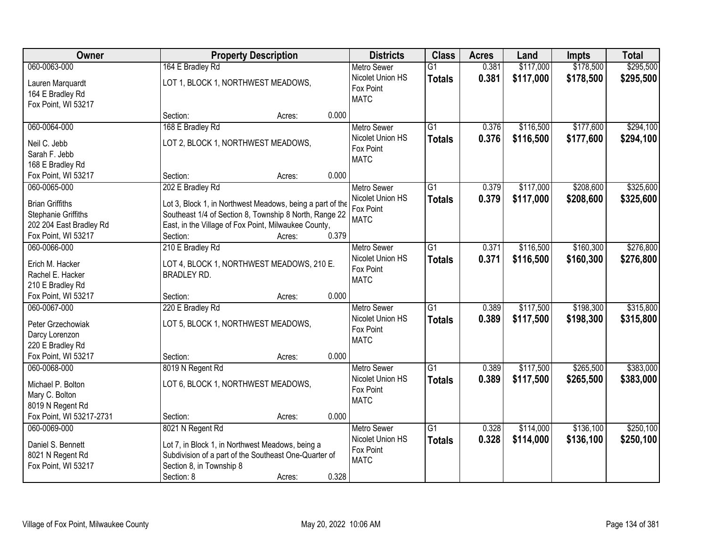| Owner                    |                                                           | <b>Property Description</b> |                    |                 | <b>Acres</b> | Land      | <b>Impts</b> | <b>Total</b> |
|--------------------------|-----------------------------------------------------------|-----------------------------|--------------------|-----------------|--------------|-----------|--------------|--------------|
| 060-0063-000             | 164 E Bradley Rd                                          |                             | <b>Metro Sewer</b> | $\overline{G1}$ | 0.381        | \$117,000 | \$178,500    | \$295,500    |
| Lauren Marquardt         | LOT 1, BLOCK 1, NORTHWEST MEADOWS,                        |                             | Nicolet Union HS   | <b>Totals</b>   | 0.381        | \$117,000 | \$178,500    | \$295,500    |
| 164 E Bradley Rd         |                                                           |                             | Fox Point          |                 |              |           |              |              |
| Fox Point, WI 53217      |                                                           |                             | <b>MATC</b>        |                 |              |           |              |              |
|                          | Section:<br>Acres:                                        | 0.000                       |                    |                 |              |           |              |              |
| 060-0064-000             | 168 E Bradley Rd                                          |                             | <b>Metro Sewer</b> | $\overline{G1}$ | 0.376        | \$116,500 | \$177,600    | \$294,100    |
| Neil C. Jebb             | LOT 2, BLOCK 1, NORTHWEST MEADOWS,                        |                             | Nicolet Union HS   | <b>Totals</b>   | 0.376        | \$116,500 | \$177,600    | \$294,100    |
| Sarah F. Jebb            |                                                           |                             | Fox Point          |                 |              |           |              |              |
| 168 E Bradley Rd         |                                                           |                             | <b>MATC</b>        |                 |              |           |              |              |
| Fox Point, WI 53217      | Section:<br>Acres:                                        | 0.000                       |                    |                 |              |           |              |              |
| 060-0065-000             | 202 E Bradley Rd                                          |                             | Metro Sewer        | G1              | 0.379        | \$117,000 | \$208,600    | \$325,600    |
| <b>Brian Griffiths</b>   | Lot 3, Block 1, in Northwest Meadows, being a part of the |                             | Nicolet Union HS   | <b>Totals</b>   | 0.379        | \$117,000 | \$208,600    | \$325,600    |
| Stephanie Griffiths      | Southeast 1/4 of Section 8, Township 8 North, Range 22    |                             | Fox Point          |                 |              |           |              |              |
| 202 204 East Bradley Rd  | East, in the Village of Fox Point, Milwaukee County,      |                             | <b>MATC</b>        |                 |              |           |              |              |
| Fox Point, WI 53217      | Section:<br>Acres:                                        | 0.379                       |                    |                 |              |           |              |              |
| 060-0066-000             | 210 E Bradley Rd                                          |                             | <b>Metro Sewer</b> | G1              | 0.371        | \$116,500 | \$160,300    | \$276,800    |
|                          |                                                           |                             | Nicolet Union HS   | <b>Totals</b>   | 0.371        | \$116,500 | \$160,300    | \$276,800    |
| Erich M. Hacker          | LOT 4, BLOCK 1, NORTHWEST MEADOWS, 210 E.                 |                             | Fox Point          |                 |              |           |              |              |
| Rachel E. Hacker         | <b>BRADLEY RD.</b>                                        |                             | <b>MATC</b>        |                 |              |           |              |              |
| 210 E Bradley Rd         |                                                           |                             |                    |                 |              |           |              |              |
| Fox Point, WI 53217      | Section:<br>Acres:                                        | 0.000                       |                    |                 |              |           |              |              |
| 060-0067-000             | 220 E Bradley Rd                                          |                             | <b>Metro Sewer</b> | $\overline{G1}$ | 0.389        | \$117,500 | \$198,300    | \$315,800    |
| Peter Grzechowiak        | LOT 5, BLOCK 1, NORTHWEST MEADOWS,                        |                             | Nicolet Union HS   | <b>Totals</b>   | 0.389        | \$117,500 | \$198,300    | \$315,800    |
| Darcy Lorenzon           |                                                           |                             | Fox Point          |                 |              |           |              |              |
| 220 E Bradley Rd         |                                                           |                             | <b>MATC</b>        |                 |              |           |              |              |
| Fox Point, WI 53217      | Section:<br>Acres:                                        | 0.000                       |                    |                 |              |           |              |              |
| 060-0068-000             | 8019 N Regent Rd                                          |                             | Metro Sewer        | G1              | 0.389        | \$117,500 | \$265,500    | \$383,000    |
| Michael P. Bolton        | LOT 6, BLOCK 1, NORTHWEST MEADOWS,                        |                             | Nicolet Union HS   | <b>Totals</b>   | 0.389        | \$117,500 | \$265,500    | \$383,000    |
| Mary C. Bolton           |                                                           |                             | Fox Point          |                 |              |           |              |              |
| 8019 N Regent Rd         |                                                           |                             | <b>MATC</b>        |                 |              |           |              |              |
| Fox Point, WI 53217-2731 | Section:<br>Acres:                                        | 0.000                       |                    |                 |              |           |              |              |
| 060-0069-000             | 8021 N Regent Rd                                          |                             | <b>Metro Sewer</b> | $\overline{G1}$ | 0.328        | \$114,000 | \$136,100    | \$250,100    |
|                          |                                                           |                             | Nicolet Union HS   | <b>Totals</b>   | 0.328        | \$114,000 | \$136,100    | \$250,100    |
| Daniel S. Bennett        | Lot 7, in Block 1, in Northwest Meadows, being a          |                             | Fox Point          |                 |              |           |              |              |
| 8021 N Regent Rd         | Subdivision of a part of the Southeast One-Quarter of     |                             | <b>MATC</b>        |                 |              |           |              |              |
| Fox Point, WI 53217      | Section 8, in Township 8                                  |                             |                    |                 |              |           |              |              |
|                          | Section: 8<br>Acres:                                      | 0.328                       |                    |                 |              |           |              |              |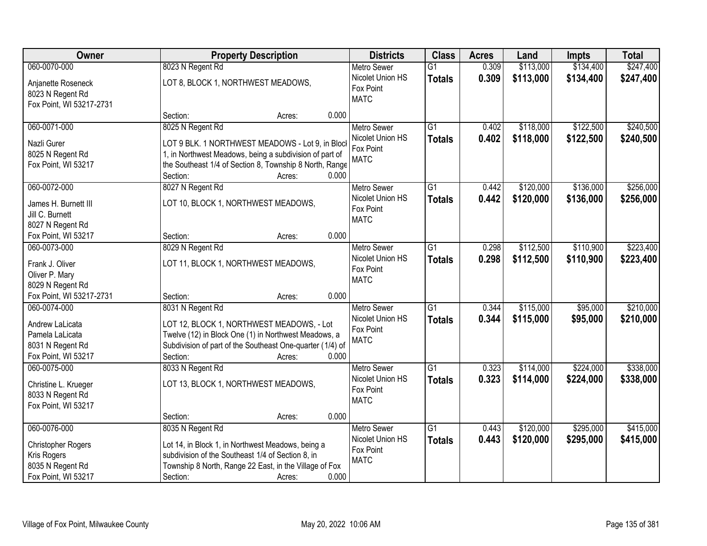| <b>Owner</b>              |                                                           | <b>Property Description</b> |       |                               | <b>Class</b>    | <b>Acres</b> | Land      | <b>Impts</b> | <b>Total</b> |
|---------------------------|-----------------------------------------------------------|-----------------------------|-------|-------------------------------|-----------------|--------------|-----------|--------------|--------------|
| 060-0070-000              | 8023 N Regent Rd                                          |                             |       | <b>Metro Sewer</b>            | $\overline{G1}$ | 0.309        | \$113,000 | \$134,400    | \$247,400    |
| Anjanette Roseneck        | LOT 8, BLOCK 1, NORTHWEST MEADOWS,                        |                             |       | Nicolet Union HS<br>Fox Point | <b>Totals</b>   | 0.309        | \$113,000 | \$134,400    | \$247,400    |
| 8023 N Regent Rd          |                                                           |                             |       | <b>MATC</b>                   |                 |              |           |              |              |
| Fox Point, WI 53217-2731  |                                                           |                             |       |                               |                 |              |           |              |              |
|                           | Section:                                                  | Acres:                      | 0.000 |                               |                 |              |           |              |              |
| 060-0071-000              | 8025 N Regent Rd                                          |                             |       | <b>Metro Sewer</b>            | $\overline{G1}$ | 0.402        | \$118,000 | \$122,500    | \$240,500    |
| Nazli Gurer               | LOT 9 BLK. 1 NORTHWEST MEADOWS - Lot 9, in Bloc           |                             |       | Nicolet Union HS              | <b>Totals</b>   | 0.402        | \$118,000 | \$122,500    | \$240,500    |
| 8025 N Regent Rd          | 1, in Northwest Meadows, being a subdivision of part of   |                             |       | Fox Point                     |                 |              |           |              |              |
| Fox Point, WI 53217       | the Southeast 1/4 of Section 8, Township 8 North, Range   |                             |       | <b>MATC</b>                   |                 |              |           |              |              |
|                           | Section:                                                  | Acres:                      | 0.000 |                               |                 |              |           |              |              |
| 060-0072-000              | 8027 N Regent Rd                                          |                             |       | <b>Metro Sewer</b>            | $\overline{G1}$ | 0.442        | \$120,000 | \$136,000    | \$256,000    |
| James H. Burnett III      | LOT 10, BLOCK 1, NORTHWEST MEADOWS,                       |                             |       | Nicolet Union HS              | <b>Totals</b>   | 0.442        | \$120,000 | \$136,000    | \$256,000    |
| Jill C. Burnett           |                                                           |                             |       | Fox Point                     |                 |              |           |              |              |
| 8027 N Regent Rd          |                                                           |                             |       | <b>MATC</b>                   |                 |              |           |              |              |
| Fox Point, WI 53217       | Section:                                                  | Acres:                      | 0.000 |                               |                 |              |           |              |              |
| 060-0073-000              | 8029 N Regent Rd                                          |                             |       | <b>Metro Sewer</b>            | G1              | 0.298        | \$112,500 | \$110,900    | \$223,400    |
|                           |                                                           |                             |       | Nicolet Union HS              | <b>Totals</b>   | 0.298        | \$112,500 | \$110,900    | \$223,400    |
| Frank J. Oliver           | LOT 11, BLOCK 1, NORTHWEST MEADOWS,                       |                             |       | Fox Point                     |                 |              |           |              |              |
| Oliver P. Mary            |                                                           |                             |       | <b>MATC</b>                   |                 |              |           |              |              |
| 8029 N Regent Rd          |                                                           |                             |       |                               |                 |              |           |              |              |
| Fox Point, WI 53217-2731  | Section:                                                  | Acres:                      | 0.000 |                               |                 |              |           |              |              |
| 060-0074-000              | 8031 N Regent Rd                                          |                             |       | <b>Metro Sewer</b>            | $\overline{G1}$ | 0.344        | \$115,000 | \$95,000     | \$210,000    |
| Andrew LaLicata           | LOT 12, BLOCK 1, NORTHWEST MEADOWS, - Lot                 |                             |       | Nicolet Union HS              | <b>Totals</b>   | 0.344        | \$115,000 | \$95,000     | \$210,000    |
| Pamela LaLicata           | Twelve (12) in Block One (1) in Northwest Meadows, a      |                             |       | Fox Point<br><b>MATC</b>      |                 |              |           |              |              |
| 8031 N Regent Rd          | Subdivision of part of the Southeast One-quarter (1/4) of |                             |       |                               |                 |              |           |              |              |
| Fox Point, WI 53217       | Section:                                                  | Acres:                      | 0.000 |                               |                 |              |           |              |              |
| 060-0075-000              | 8033 N Regent Rd                                          |                             |       | Metro Sewer                   | G1              | 0.323        | \$114,000 | \$224,000    | \$338,000    |
| Christine L. Krueger      | LOT 13, BLOCK 1, NORTHWEST MEADOWS,                       |                             |       | Nicolet Union HS              | <b>Totals</b>   | 0.323        | \$114,000 | \$224,000    | \$338,000    |
| 8033 N Regent Rd          |                                                           |                             |       | Fox Point                     |                 |              |           |              |              |
| Fox Point, WI 53217       |                                                           |                             |       | <b>MATC</b>                   |                 |              |           |              |              |
|                           | Section:                                                  | Acres:                      | 0.000 |                               |                 |              |           |              |              |
| 060-0076-000              | 8035 N Regent Rd                                          |                             |       | <b>Metro Sewer</b>            | $\overline{G1}$ | 0.443        | \$120,000 | \$295,000    | \$415,000    |
|                           |                                                           |                             |       | Nicolet Union HS              | <b>Totals</b>   | 0.443        | \$120,000 | \$295,000    | \$415,000    |
| <b>Christopher Rogers</b> | Lot 14, in Block 1, in Northwest Meadows, being a         |                             |       | Fox Point                     |                 |              |           |              |              |
| Kris Rogers               | subdivision of the Southeast 1/4 of Section 8, in         |                             |       | <b>MATC</b>                   |                 |              |           |              |              |
| 8035 N Regent Rd          | Township 8 North, Range 22 East, in the Village of Fox    |                             |       |                               |                 |              |           |              |              |
| Fox Point, WI 53217       | Section:                                                  | Acres:                      | 0.000 |                               |                 |              |           |              |              |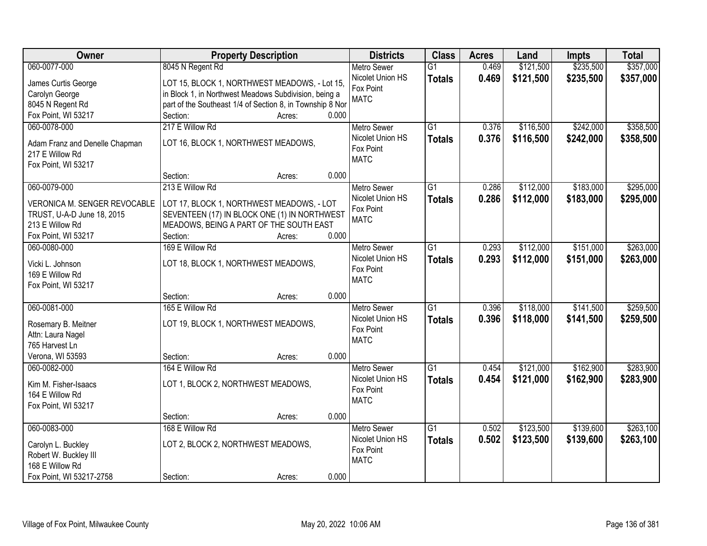| Owner                          | <b>Property Description</b>                               | <b>Districts</b>   | <b>Class</b>    | <b>Acres</b> | Land      | <b>Impts</b> | <b>Total</b> |
|--------------------------------|-----------------------------------------------------------|--------------------|-----------------|--------------|-----------|--------------|--------------|
| 060-0077-000                   | 8045 N Regent Rd                                          | <b>Metro Sewer</b> | $\overline{G1}$ | 0.469        | \$121,500 | \$235,500    | \$357,000    |
| James Curtis George            | LOT 15, BLOCK 1, NORTHWEST MEADOWS, - Lot 15,             | Nicolet Union HS   | <b>Totals</b>   | 0.469        | \$121,500 | \$235,500    | \$357,000    |
| Carolyn George                 | in Block 1, in Northwest Meadows Subdivision, being a     | Fox Point          |                 |              |           |              |              |
| 8045 N Regent Rd               | part of the Southeast 1/4 of Section 8, in Township 8 Nor | <b>MATC</b>        |                 |              |           |              |              |
| Fox Point, WI 53217            | Section:<br>0.000<br>Acres:                               |                    |                 |              |           |              |              |
| 060-0078-000                   | 217 E Willow Rd                                           | <b>Metro Sewer</b> | $\overline{G1}$ | 0.376        | \$116,500 | \$242,000    | \$358,500    |
|                                |                                                           | Nicolet Union HS   | <b>Totals</b>   | 0.376        | \$116,500 | \$242,000    | \$358,500    |
| Adam Franz and Denelle Chapman | LOT 16, BLOCK 1, NORTHWEST MEADOWS,                       | Fox Point          |                 |              |           |              |              |
| 217 E Willow Rd                |                                                           | <b>MATC</b>        |                 |              |           |              |              |
| Fox Point, WI 53217            |                                                           |                    |                 |              |           |              |              |
|                                | 0.000<br>Section:<br>Acres:                               |                    |                 |              |           |              |              |
| 060-0079-000                   | 213 E Willow Rd                                           | Metro Sewer        | G1              | 0.286        | \$112,000 | \$183,000    | \$295,000    |
| VERONICA M. SENGER REVOCABLE   | LOT 17, BLOCK 1, NORTHWEST MEADOWS, - LOT                 | Nicolet Union HS   | <b>Totals</b>   | 0.286        | \$112,000 | \$183,000    | \$295,000    |
| TRUST, U-A-D June 18, 2015     | SEVENTEEN (17) IN BLOCK ONE (1) IN NORTHWEST              | Fox Point          |                 |              |           |              |              |
| 213 E Willow Rd                | MEADOWS, BEING A PART OF THE SOUTH EAST                   | <b>MATC</b>        |                 |              |           |              |              |
| Fox Point, WI 53217            | Section:<br>0.000<br>Acres:                               |                    |                 |              |           |              |              |
| 060-0080-000                   | 169 E Willow Rd                                           | <b>Metro Sewer</b> | $\overline{G1}$ | 0.293        | \$112,000 | \$151,000    | \$263,000    |
|                                |                                                           | Nicolet Union HS   | <b>Totals</b>   | 0.293        | \$112,000 | \$151,000    | \$263,000    |
| Vicki L. Johnson               | LOT 18, BLOCK 1, NORTHWEST MEADOWS,                       | Fox Point          |                 |              |           |              |              |
| 169 E Willow Rd                |                                                           | <b>MATC</b>        |                 |              |           |              |              |
| Fox Point, WI 53217            |                                                           |                    |                 |              |           |              |              |
|                                | 0.000<br>Section:<br>Acres:                               |                    |                 |              |           |              |              |
| 060-0081-000                   | 165 E Willow Rd                                           | Metro Sewer        | $\overline{G1}$ | 0.396        | \$118,000 | \$141,500    | \$259,500    |
| Rosemary B. Meitner            | LOT 19, BLOCK 1, NORTHWEST MEADOWS,                       | Nicolet Union HS   | <b>Totals</b>   | 0.396        | \$118,000 | \$141,500    | \$259,500    |
| Attn: Laura Nagel              |                                                           | Fox Point          |                 |              |           |              |              |
| 765 Harvest Ln                 |                                                           | <b>MATC</b>        |                 |              |           |              |              |
| Verona, WI 53593               | 0.000<br>Section:<br>Acres:                               |                    |                 |              |           |              |              |
| 060-0082-000                   | 164 E Willow Rd                                           | <b>Metro Sewer</b> | $\overline{G1}$ | 0.454        | \$121,000 | \$162,900    | \$283,900    |
|                                |                                                           | Nicolet Union HS   | <b>Totals</b>   | 0.454        | \$121,000 | \$162,900    | \$283,900    |
| Kim M. Fisher-Isaacs           | LOT 1, BLOCK 2, NORTHWEST MEADOWS,                        | Fox Point          |                 |              |           |              |              |
| 164 E Willow Rd                |                                                           | <b>MATC</b>        |                 |              |           |              |              |
| Fox Point, WI 53217            |                                                           |                    |                 |              |           |              |              |
|                                | 0.000<br>Section:<br>Acres:                               |                    |                 |              |           |              |              |
| 060-0083-000                   | 168 E Willow Rd                                           | <b>Metro Sewer</b> | $\overline{G1}$ | 0.502        | \$123,500 | \$139,600    | \$263,100    |
| Carolyn L. Buckley             | LOT 2, BLOCK 2, NORTHWEST MEADOWS,                        | Nicolet Union HS   | <b>Totals</b>   | 0.502        | \$123,500 | \$139,600    | \$263,100    |
| Robert W. Buckley III          |                                                           | Fox Point          |                 |              |           |              |              |
| 168 E Willow Rd                |                                                           | <b>MATC</b>        |                 |              |           |              |              |
| Fox Point, WI 53217-2758       | 0.000<br>Section:<br>Acres:                               |                    |                 |              |           |              |              |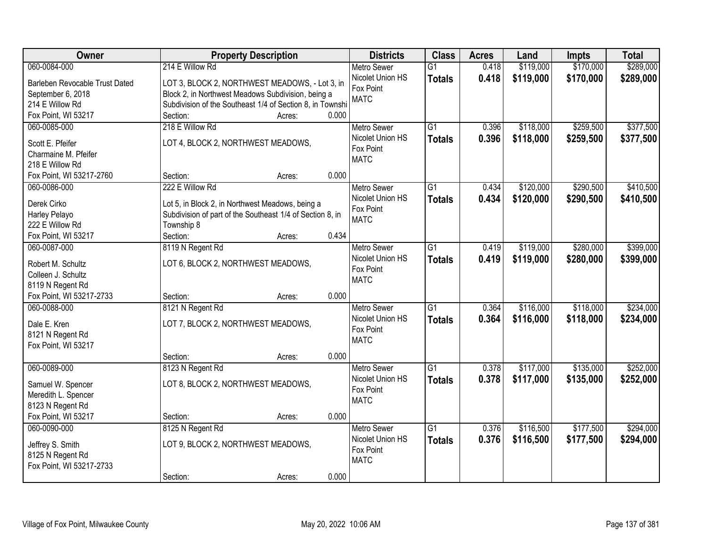| Owner                          | <b>Property Description</b>                               | <b>Districts</b>                       | <b>Class</b>    | <b>Acres</b> | Land      | <b>Impts</b> | <b>Total</b> |
|--------------------------------|-----------------------------------------------------------|----------------------------------------|-----------------|--------------|-----------|--------------|--------------|
| 060-0084-000                   | 214 E Willow Rd                                           | <b>Metro Sewer</b>                     | $\overline{G1}$ | 0.418        | \$119,000 | \$170,000    | \$289,000    |
| Barleben Revocable Trust Dated | LOT 3, BLOCK 2, NORTHWEST MEADOWS, - Lot 3, in            | Nicolet Union HS                       | <b>Totals</b>   | 0.418        | \$119,000 | \$170,000    | \$289,000    |
| September 6, 2018              | Block 2, in Northwest Meadows Subdivision, being a        | Fox Point                              |                 |              |           |              |              |
| 214 E Willow Rd                | Subdivision of the Southeast 1/4 of Section 8, in Townshi | <b>MATC</b>                            |                 |              |           |              |              |
| Fox Point, WI 53217            | 0.000<br>Section:<br>Acres:                               |                                        |                 |              |           |              |              |
| 060-0085-000                   | 218 E Willow Rd                                           | <b>Metro Sewer</b>                     | $\overline{G1}$ | 0.396        | \$118,000 | \$259,500    | \$377,500    |
| Scott E. Pfeifer               | LOT 4, BLOCK 2, NORTHWEST MEADOWS,                        | Nicolet Union HS                       | <b>Totals</b>   | 0.396        | \$118,000 | \$259,500    | \$377,500    |
| Charmaine M. Pfeifer           |                                                           | Fox Point                              |                 |              |           |              |              |
| 218 E Willow Rd                |                                                           | <b>MATC</b>                            |                 |              |           |              |              |
| Fox Point, WI 53217-2760       | 0.000<br>Section:<br>Acres:                               |                                        |                 |              |           |              |              |
| 060-0086-000                   | 222 E Willow Rd                                           | <b>Metro Sewer</b>                     | G1              | 0.434        | \$120,000 | \$290,500    | \$410,500    |
|                                |                                                           | Nicolet Union HS                       | <b>Totals</b>   | 0.434        | \$120,000 | \$290,500    | \$410,500    |
| Derek Cirko                    | Lot 5, in Block 2, in Northwest Meadows, being a          | Fox Point                              |                 |              |           |              |              |
| Harley Pelayo                  | Subdivision of part of the Southeast 1/4 of Section 8, in | <b>MATC</b>                            |                 |              |           |              |              |
| 222 E Willow Rd                | Township 8<br>0.434                                       |                                        |                 |              |           |              |              |
| Fox Point, WI 53217            | Section:<br>Acres:                                        |                                        |                 |              |           |              |              |
| 060-0087-000                   | 8119 N Regent Rd                                          | <b>Metro Sewer</b><br>Nicolet Union HS | G1              | 0.419        | \$119,000 | \$280,000    | \$399,000    |
| Robert M. Schultz              | LOT 6, BLOCK 2, NORTHWEST MEADOWS,                        | Fox Point                              | <b>Totals</b>   | 0.419        | \$119,000 | \$280,000    | \$399,000    |
| Colleen J. Schultz             |                                                           | <b>MATC</b>                            |                 |              |           |              |              |
| 8119 N Regent Rd               |                                                           |                                        |                 |              |           |              |              |
| Fox Point, WI 53217-2733       | 0.000<br>Section:<br>Acres:                               |                                        |                 |              |           |              |              |
| 060-0088-000                   | 8121 N Regent Rd                                          | Metro Sewer                            | $\overline{G1}$ | 0.364        | \$116,000 | \$118,000    | \$234,000    |
| Dale E. Kren                   | LOT 7, BLOCK 2, NORTHWEST MEADOWS,                        | Nicolet Union HS                       | <b>Totals</b>   | 0.364        | \$116,000 | \$118,000    | \$234,000    |
| 8121 N Regent Rd               |                                                           | Fox Point                              |                 |              |           |              |              |
| Fox Point, WI 53217            |                                                           | <b>MATC</b>                            |                 |              |           |              |              |
|                                | 0.000<br>Section:<br>Acres:                               |                                        |                 |              |           |              |              |
| 060-0089-000                   | 8123 N Regent Rd                                          | Metro Sewer                            | $\overline{G1}$ | 0.378        | \$117,000 | \$135,000    | \$252,000    |
| Samuel W. Spencer              | LOT 8, BLOCK 2, NORTHWEST MEADOWS,                        | Nicolet Union HS                       | <b>Totals</b>   | 0.378        | \$117,000 | \$135,000    | \$252,000    |
| Meredith L. Spencer            |                                                           | Fox Point                              |                 |              |           |              |              |
| 8123 N Regent Rd               |                                                           | <b>MATC</b>                            |                 |              |           |              |              |
| Fox Point, WI 53217            | 0.000<br>Section:<br>Acres:                               |                                        |                 |              |           |              |              |
| 060-0090-000                   | 8125 N Regent Rd                                          | <b>Metro Sewer</b>                     | $\overline{G1}$ | 0.376        | \$116,500 | \$177,500    | \$294,000    |
|                                |                                                           | Nicolet Union HS                       | <b>Totals</b>   | 0.376        | \$116,500 | \$177,500    | \$294,000    |
| Jeffrey S. Smith               | LOT 9, BLOCK 2, NORTHWEST MEADOWS,                        | Fox Point                              |                 |              |           |              |              |
| 8125 N Regent Rd               |                                                           | <b>MATC</b>                            |                 |              |           |              |              |
| Fox Point, WI 53217-2733       |                                                           |                                        |                 |              |           |              |              |
|                                | 0.000<br>Section:<br>Acres:                               |                                        |                 |              |           |              |              |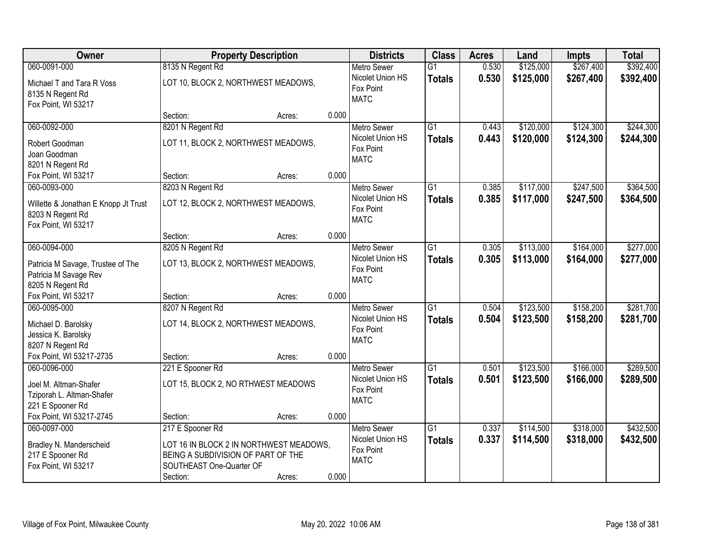| <b>Owner</b>                                                                                    | <b>Property Description</b>                                                                                                               |        | <b>Districts</b> | <b>Class</b>                                                       | <b>Acres</b>                     | Land           | <b>Impts</b>           | <b>Total</b>           |                        |
|-------------------------------------------------------------------------------------------------|-------------------------------------------------------------------------------------------------------------------------------------------|--------|------------------|--------------------------------------------------------------------|----------------------------------|----------------|------------------------|------------------------|------------------------|
| 060-0091-000                                                                                    | 8135 N Regent Rd                                                                                                                          |        |                  | <b>Metro Sewer</b>                                                 | $\overline{G1}$                  | 0.530          | \$125,000              | \$267,400              | \$392,400              |
| Michael T and Tara R Voss<br>8135 N Regent Rd<br>Fox Point, WI 53217                            | LOT 10, BLOCK 2, NORTHWEST MEADOWS,                                                                                                       |        |                  | Nicolet Union HS<br>Fox Point<br><b>MATC</b>                       | <b>Totals</b>                    | 0.530          | \$125,000              | \$267,400              | \$392,400              |
|                                                                                                 | Section:                                                                                                                                  | Acres: | 0.000            |                                                                    |                                  |                |                        |                        |                        |
| 060-0092-000<br>Robert Goodman<br>Joan Goodman<br>8201 N Regent Rd                              | 8201 N Regent Rd<br>LOT 11, BLOCK 2, NORTHWEST MEADOWS,                                                                                   |        |                  | <b>Metro Sewer</b><br>Nicolet Union HS<br>Fox Point<br><b>MATC</b> | $\overline{G1}$<br><b>Totals</b> | 0.443<br>0.443 | \$120,000<br>\$120,000 | \$124,300<br>\$124,300 | \$244,300<br>\$244,300 |
| Fox Point, WI 53217                                                                             | Section:                                                                                                                                  | Acres: | 0.000            |                                                                    |                                  |                |                        |                        |                        |
| 060-0093-000<br>Willette & Jonathan E Knopp Jt Trust<br>8203 N Regent Rd<br>Fox Point, WI 53217 | 8203 N Regent Rd<br>LOT 12, BLOCK 2, NORTHWEST MEADOWS,                                                                                   |        |                  | <b>Metro Sewer</b><br>Nicolet Union HS<br>Fox Point<br><b>MATC</b> | $\overline{G1}$<br><b>Totals</b> | 0.385<br>0.385 | \$117,000<br>\$117,000 | \$247,500<br>\$247,500 | \$364,500<br>\$364,500 |
|                                                                                                 | Section:                                                                                                                                  | Acres: | 0.000            |                                                                    |                                  |                |                        |                        |                        |
| 060-0094-000<br>Patricia M Savage, Trustee of The<br>Patricia M Savage Rev<br>8205 N Regent Rd  | 8205 N Regent Rd<br>LOT 13, BLOCK 2, NORTHWEST MEADOWS,                                                                                   |        |                  | <b>Metro Sewer</b><br>Nicolet Union HS<br>Fox Point<br><b>MATC</b> | G1<br><b>Totals</b>              | 0.305<br>0.305 | \$113,000<br>\$113,000 | \$164,000<br>\$164,000 | \$277,000<br>\$277,000 |
| Fox Point, WI 53217                                                                             | Section:                                                                                                                                  | Acres: | 0.000            |                                                                    |                                  |                |                        |                        |                        |
| 060-0095-000<br>Michael D. Barolsky<br>Jessica K. Barolsky<br>8207 N Regent Rd                  | 8207 N Regent Rd<br>LOT 14, BLOCK 2, NORTHWEST MEADOWS,                                                                                   |        |                  | <b>Metro Sewer</b><br>Nicolet Union HS<br>Fox Point<br><b>MATC</b> | $\overline{G1}$<br><b>Totals</b> | 0.504<br>0.504 | \$123,500<br>\$123,500 | \$158,200<br>\$158,200 | \$281,700<br>\$281,700 |
| Fox Point, WI 53217-2735                                                                        | Section:                                                                                                                                  | Acres: | 0.000            |                                                                    |                                  |                |                        |                        |                        |
| 060-0096-000<br>Joel M. Altman-Shafer<br>Tziporah L. Altman-Shafer<br>221 E Spooner Rd          | 221 E Spooner Rd<br>LOT 15, BLOCK 2, NO RTHWEST MEADOWS                                                                                   |        |                  | <b>Metro Sewer</b><br>Nicolet Union HS<br>Fox Point<br><b>MATC</b> | G1<br><b>Totals</b>              | 0.501<br>0.501 | \$123,500<br>\$123,500 | \$166,000<br>\$166,000 | \$289,500<br>\$289,500 |
| Fox Point, WI 53217-2745                                                                        | Section:                                                                                                                                  | Acres: | 0.000            |                                                                    |                                  |                |                        |                        |                        |
| 060-0097-000<br>Bradley N. Manderscheid<br>217 E Spooner Rd<br>Fox Point, WI 53217              | 217 E Spooner Rd<br>LOT 16 IN BLOCK 2 IN NORTHWEST MEADOWS,<br>BEING A SUBDIVISION OF PART OF THE<br>SOUTHEAST One-Quarter OF<br>Section: | Acres: | 0.000            | <b>Metro Sewer</b><br>Nicolet Union HS<br>Fox Point<br><b>MATC</b> | $\overline{G1}$<br><b>Totals</b> | 0.337<br>0.337 | \$114,500<br>\$114,500 | \$318,000<br>\$318,000 | \$432,500<br>\$432,500 |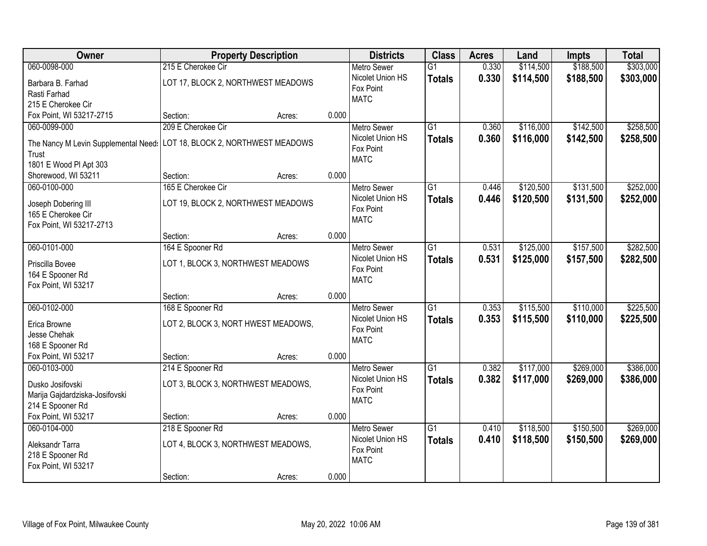| Owner                                | <b>Property Description</b>         |        |       | <b>Districts</b>         | <b>Class</b>    | <b>Acres</b> | Land      | <b>Impts</b> | <b>Total</b> |
|--------------------------------------|-------------------------------------|--------|-------|--------------------------|-----------------|--------------|-----------|--------------|--------------|
| 060-0098-000                         | 215 E Cherokee Cir                  |        |       | <b>Metro Sewer</b>       | $\overline{G1}$ | 0.330        | \$114,500 | \$188,500    | \$303,000    |
| Barbara B. Farhad                    | LOT 17, BLOCK 2, NORTHWEST MEADOWS  |        |       | Nicolet Union HS         | <b>Totals</b>   | 0.330        | \$114,500 | \$188,500    | \$303,000    |
| Rasti Farhad                         |                                     |        |       | Fox Point                |                 |              |           |              |              |
| 215 E Cherokee Cir                   |                                     |        |       | <b>MATC</b>              |                 |              |           |              |              |
| Fox Point, WI 53217-2715             | Section:                            | Acres: | 0.000 |                          |                 |              |           |              |              |
| 060-0099-000                         | 209 E Cherokee Cir                  |        |       | <b>Metro Sewer</b>       | $\overline{G1}$ | 0.360        | \$116,000 | \$142,500    | \$258,500    |
|                                      |                                     |        |       | Nicolet Union HS         | <b>Totals</b>   | 0.360        | \$116,000 | \$142,500    | \$258,500    |
| The Nancy M Levin Supplemental Need: | LOT 18, BLOCK 2, NORTHWEST MEADOWS  |        |       | Fox Point                |                 |              |           |              |              |
| Trust                                |                                     |        |       | <b>MATC</b>              |                 |              |           |              |              |
| 1801 E Wood PI Apt 303               |                                     |        |       |                          |                 |              |           |              |              |
| Shorewood, WI 53211                  | Section:                            | Acres: | 0.000 |                          |                 |              |           |              |              |
| 060-0100-000                         | 165 E Cherokee Cir                  |        |       | Metro Sewer              | G1              | 0.446        | \$120,500 | \$131,500    | \$252,000    |
| Joseph Dobering III                  | LOT 19, BLOCK 2, NORTHWEST MEADOWS  |        |       | Nicolet Union HS         | <b>Totals</b>   | 0.446        | \$120,500 | \$131,500    | \$252,000    |
| 165 E Cherokee Cir                   |                                     |        |       | Fox Point<br><b>MATC</b> |                 |              |           |              |              |
| Fox Point, WI 53217-2713             |                                     |        |       |                          |                 |              |           |              |              |
|                                      | Section:                            | Acres: | 0.000 |                          |                 |              |           |              |              |
| 060-0101-000                         | 164 E Spooner Rd                    |        |       | <b>Metro Sewer</b>       | G1              | 0.531        | \$125,000 | \$157,500    | \$282,500    |
| Priscilla Bovee                      | LOT 1, BLOCK 3, NORTHWEST MEADOWS   |        |       | Nicolet Union HS         | <b>Totals</b>   | 0.531        | \$125,000 | \$157,500    | \$282,500    |
| 164 E Spooner Rd                     |                                     |        |       | Fox Point                |                 |              |           |              |              |
| Fox Point, WI 53217                  |                                     |        |       | <b>MATC</b>              |                 |              |           |              |              |
|                                      | Section:                            | Acres: | 0.000 |                          |                 |              |           |              |              |
| 060-0102-000                         | 168 E Spooner Rd                    |        |       | <b>Metro Sewer</b>       | $\overline{G1}$ | 0.353        | \$115,500 | \$110,000    | \$225,500    |
|                                      |                                     |        |       | Nicolet Union HS         | <b>Totals</b>   | 0.353        | \$115,500 | \$110,000    | \$225,500    |
| Erica Browne                         | LOT 2, BLOCK 3, NORT HWEST MEADOWS, |        |       | Fox Point                |                 |              |           |              |              |
| Jesse Chehak                         |                                     |        |       | <b>MATC</b>              |                 |              |           |              |              |
| 168 E Spooner Rd                     |                                     |        |       |                          |                 |              |           |              |              |
| Fox Point, WI 53217                  | Section:                            | Acres: | 0.000 |                          |                 |              |           |              |              |
| 060-0103-000                         | 214 E Spooner Rd                    |        |       | <b>Metro Sewer</b>       | $\overline{G1}$ | 0.382        | \$117,000 | \$269,000    | \$386,000    |
| Dusko Josifovski                     | LOT 3, BLOCK 3, NORTHWEST MEADOWS,  |        |       | Nicolet Union HS         | <b>Totals</b>   | 0.382        | \$117,000 | \$269,000    | \$386,000    |
| Marija Gajdardziska-Josifovski       |                                     |        |       | Fox Point                |                 |              |           |              |              |
| 214 E Spooner Rd                     |                                     |        |       | <b>MATC</b>              |                 |              |           |              |              |
| Fox Point, WI 53217                  | Section:                            | Acres: | 0.000 |                          |                 |              |           |              |              |
| 060-0104-000                         | 218 E Spooner Rd                    |        |       | <b>Metro Sewer</b>       | $\overline{G1}$ | 0.410        | \$118,500 | \$150,500    | \$269,000    |
|                                      |                                     |        |       | Nicolet Union HS         | <b>Totals</b>   | 0.410        | \$118,500 | \$150,500    | \$269,000    |
| Aleksandr Tarra                      | LOT 4, BLOCK 3, NORTHWEST MEADOWS,  |        |       | Fox Point                |                 |              |           |              |              |
| 218 E Spooner Rd                     |                                     |        |       | <b>MATC</b>              |                 |              |           |              |              |
| Fox Point, WI 53217                  |                                     |        |       |                          |                 |              |           |              |              |
|                                      | Section:                            | Acres: | 0.000 |                          |                 |              |           |              |              |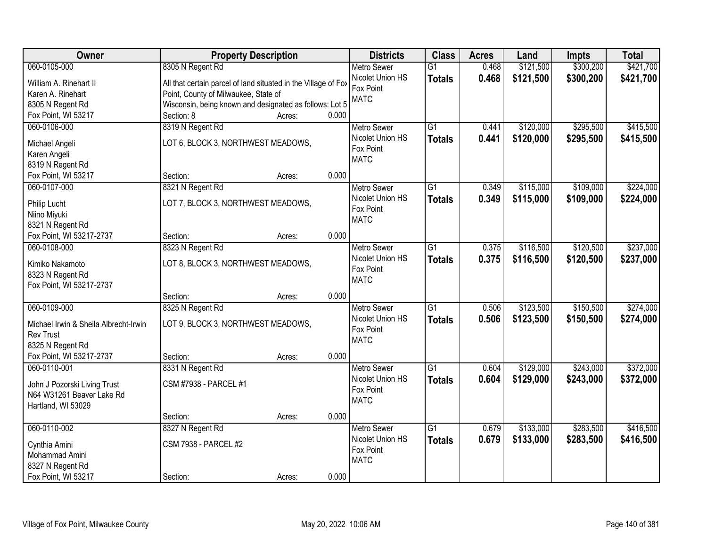| Owner                                 | <b>Property Description</b>                                    |        |       | <b>Districts</b>              | <b>Class</b>    | <b>Acres</b> | Land      | <b>Impts</b> | <b>Total</b> |
|---------------------------------------|----------------------------------------------------------------|--------|-------|-------------------------------|-----------------|--------------|-----------|--------------|--------------|
| 060-0105-000                          | 8305 N Regent Rd                                               |        |       | <b>Metro Sewer</b>            | $\overline{G1}$ | 0.468        | \$121,500 | \$300,200    | \$421,700    |
| William A. Rinehart II                | All that certain parcel of land situated in the Village of Fox |        |       | Nicolet Union HS              | <b>Totals</b>   | 0.468        | \$121,500 | \$300,200    | \$421,700    |
| Karen A. Rinehart                     | Point, County of Milwaukee, State of                           |        |       | Fox Point                     |                 |              |           |              |              |
| 8305 N Regent Rd                      | Wisconsin, being known and designated as follows: Lot 5        |        |       | <b>MATC</b>                   |                 |              |           |              |              |
| Fox Point, WI 53217                   | Section: 8                                                     | Acres: | 0.000 |                               |                 |              |           |              |              |
| 060-0106-000                          | 8319 N Regent Rd                                               |        |       | <b>Metro Sewer</b>            | $\overline{G1}$ | 0.441        | \$120,000 | \$295,500    | \$415,500    |
|                                       |                                                                |        |       | Nicolet Union HS              | <b>Totals</b>   | 0.441        | \$120,000 | \$295,500    | \$415,500    |
| Michael Angeli                        | LOT 6, BLOCK 3, NORTHWEST MEADOWS,                             |        |       | Fox Point                     |                 |              |           |              |              |
| Karen Angeli                          |                                                                |        |       | <b>MATC</b>                   |                 |              |           |              |              |
| 8319 N Regent Rd                      |                                                                |        |       |                               |                 |              |           |              |              |
| Fox Point, WI 53217                   | Section:                                                       | Acres: | 0.000 |                               |                 |              |           |              |              |
| 060-0107-000                          | 8321 N Regent Rd                                               |        |       | <b>Metro Sewer</b>            | G1              | 0.349        | \$115,000 | \$109,000    | \$224,000    |
| Philip Lucht                          | LOT 7, BLOCK 3, NORTHWEST MEADOWS,                             |        |       | Nicolet Union HS              | <b>Totals</b>   | 0.349        | \$115,000 | \$109,000    | \$224,000    |
| Niino Miyuki                          |                                                                |        |       | Fox Point                     |                 |              |           |              |              |
| 8321 N Regent Rd                      |                                                                |        |       | <b>MATC</b>                   |                 |              |           |              |              |
| Fox Point, WI 53217-2737              | Section:                                                       | Acres: | 0.000 |                               |                 |              |           |              |              |
| 060-0108-000                          | 8323 N Regent Rd                                               |        |       | <b>Metro Sewer</b>            | G1              | 0.375        | \$116,500 | \$120,500    | \$237,000    |
|                                       |                                                                |        |       | Nicolet Union HS              | <b>Totals</b>   | 0.375        | \$116,500 | \$120,500    | \$237,000    |
| Kimiko Nakamoto                       | LOT 8, BLOCK 3, NORTHWEST MEADOWS,                             |        |       | Fox Point                     |                 |              |           |              |              |
| 8323 N Regent Rd                      |                                                                |        |       | <b>MATC</b>                   |                 |              |           |              |              |
| Fox Point, WI 53217-2737              |                                                                |        | 0.000 |                               |                 |              |           |              |              |
| 060-0109-000                          | Section:                                                       | Acres: |       |                               | $\overline{G1}$ | 0.506        | \$123,500 | \$150,500    | \$274,000    |
|                                       | 8325 N Regent Rd                                               |        |       | <b>Metro Sewer</b>            |                 |              |           |              |              |
| Michael Irwin & Sheila Albrecht-Irwin | LOT 9, BLOCK 3, NORTHWEST MEADOWS,                             |        |       | Nicolet Union HS<br>Fox Point | <b>Totals</b>   | 0.506        | \$123,500 | \$150,500    | \$274,000    |
| <b>Rev Trust</b>                      |                                                                |        |       | <b>MATC</b>                   |                 |              |           |              |              |
| 8325 N Regent Rd                      |                                                                |        |       |                               |                 |              |           |              |              |
| Fox Point, WI 53217-2737              | Section:                                                       | Acres: | 0.000 |                               |                 |              |           |              |              |
| 060-0110-001                          | 8331 N Regent Rd                                               |        |       | Metro Sewer                   | $\overline{G1}$ | 0.604        | \$129,000 | \$243,000    | \$372,000    |
| John J Pozorski Living Trust          | CSM #7938 - PARCEL #1                                          |        |       | Nicolet Union HS              | <b>Totals</b>   | 0.604        | \$129,000 | \$243,000    | \$372,000    |
| N64 W31261 Beaver Lake Rd             |                                                                |        |       | Fox Point                     |                 |              |           |              |              |
| Hartland, WI 53029                    |                                                                |        |       | <b>MATC</b>                   |                 |              |           |              |              |
|                                       | Section:                                                       | Acres: | 0.000 |                               |                 |              |           |              |              |
| 060-0110-002                          | 8327 N Regent Rd                                               |        |       | <b>Metro Sewer</b>            | $\overline{G1}$ | 0.679        | \$133,000 | \$283,500    | \$416,500    |
|                                       |                                                                |        |       | Nicolet Union HS              | <b>Totals</b>   | 0.679        | \$133,000 | \$283,500    | \$416,500    |
| Cynthia Amini                         | <b>CSM 7938 - PARCEL #2</b>                                    |        |       | Fox Point                     |                 |              |           |              |              |
| Mohammad Amini                        |                                                                |        |       | <b>MATC</b>                   |                 |              |           |              |              |
| 8327 N Regent Rd                      |                                                                |        |       |                               |                 |              |           |              |              |
| Fox Point, WI 53217                   | Section:                                                       | Acres: | 0.000 |                               |                 |              |           |              |              |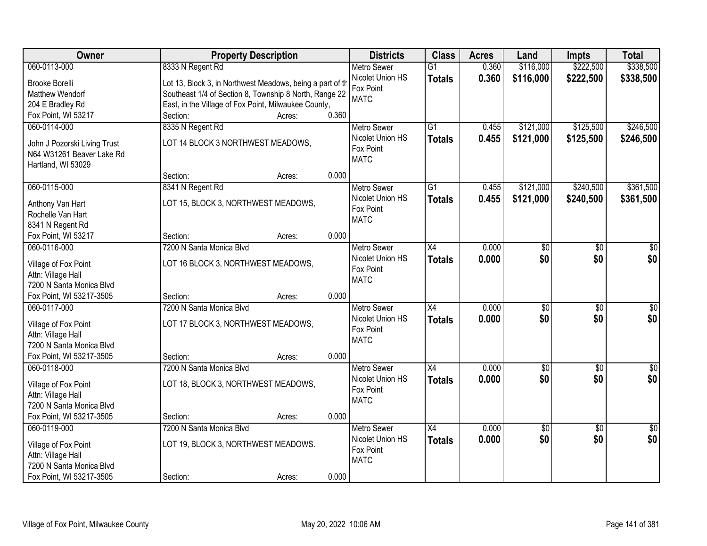| Owner                                          | <b>Property Description</b>                               |                 | <b>Districts</b>   | <b>Class</b>    | <b>Acres</b> | Land            | <b>Impts</b>    | <b>Total</b>    |
|------------------------------------------------|-----------------------------------------------------------|-----------------|--------------------|-----------------|--------------|-----------------|-----------------|-----------------|
| 060-0113-000                                   | 8333 N Regent Rd                                          |                 | <b>Metro Sewer</b> | $\overline{G1}$ | 0.360        | \$116,000       | \$222,500       | \$338,500       |
| <b>Brooke Borelli</b>                          | Lot 13, Block 3, in Northwest Meadows, being a part of th |                 | Nicolet Union HS   | <b>Totals</b>   | 0.360        | \$116,000       | \$222,500       | \$338,500       |
| Matthew Wendorf                                | Southeast 1/4 of Section 8, Township 8 North, Range 22    |                 | Fox Point          |                 |              |                 |                 |                 |
| 204 E Bradley Rd                               | East, in the Village of Fox Point, Milwaukee County,      |                 | <b>MATC</b>        |                 |              |                 |                 |                 |
| Fox Point, WI 53217                            | Section:                                                  | 0.360<br>Acres: |                    |                 |              |                 |                 |                 |
| 060-0114-000                                   | 8335 N Regent Rd                                          |                 | <b>Metro Sewer</b> | $\overline{G1}$ | 0.455        | \$121,000       | \$125,500       | \$246,500       |
|                                                |                                                           |                 | Nicolet Union HS   | <b>Totals</b>   | 0.455        | \$121,000       | \$125,500       | \$246,500       |
| John J Pozorski Living Trust                   | LOT 14 BLOCK 3 NORTHWEST MEADOWS,                         |                 | Fox Point          |                 |              |                 |                 |                 |
| N64 W31261 Beaver Lake Rd                      |                                                           |                 | <b>MATC</b>        |                 |              |                 |                 |                 |
| Hartland, WI 53029                             | Section:                                                  | 0.000<br>Acres: |                    |                 |              |                 |                 |                 |
| 060-0115-000                                   | 8341 N Regent Rd                                          |                 | <b>Metro Sewer</b> | G1              | 0.455        | \$121,000       | \$240,500       | \$361,500       |
|                                                |                                                           |                 | Nicolet Union HS   |                 | 0.455        | \$121,000       | \$240,500       | \$361,500       |
| Anthony Van Hart                               | LOT 15, BLOCK 3, NORTHWEST MEADOWS,                       |                 | Fox Point          | <b>Totals</b>   |              |                 |                 |                 |
| Rochelle Van Hart                              |                                                           |                 | <b>MATC</b>        |                 |              |                 |                 |                 |
| 8341 N Regent Rd                               |                                                           |                 |                    |                 |              |                 |                 |                 |
| Fox Point, WI 53217                            | Section:                                                  | 0.000<br>Acres: |                    |                 |              |                 |                 |                 |
| 060-0116-000                                   | 7200 N Santa Monica Blvd                                  |                 | <b>Metro Sewer</b> | $\overline{X4}$ | 0.000        | \$0             | \$0             | \$0             |
| Village of Fox Point                           | LOT 16 BLOCK 3, NORTHWEST MEADOWS,                        |                 | Nicolet Union HS   | <b>Totals</b>   | 0.000        | \$0             | \$0             | \$0             |
| Attn: Village Hall                             |                                                           |                 | Fox Point          |                 |              |                 |                 |                 |
| 7200 N Santa Monica Blvd                       |                                                           |                 | <b>MATC</b>        |                 |              |                 |                 |                 |
| Fox Point, WI 53217-3505                       | Section:                                                  | 0.000<br>Acres: |                    |                 |              |                 |                 |                 |
| 060-0117-000                                   | 7200 N Santa Monica Blvd                                  |                 | <b>Metro Sewer</b> | $\overline{X4}$ | 0.000        | \$0             | $\overline{30}$ | \$0             |
|                                                |                                                           |                 | Nicolet Union HS   | <b>Totals</b>   | 0.000        | \$0             | \$0             | \$0             |
| Village of Fox Point                           | LOT 17 BLOCK 3, NORTHWEST MEADOWS,                        |                 | Fox Point          |                 |              |                 |                 |                 |
| Attn: Village Hall<br>7200 N Santa Monica Blvd |                                                           |                 | <b>MATC</b>        |                 |              |                 |                 |                 |
| Fox Point, WI 53217-3505                       | Section:                                                  | 0.000<br>Acres: |                    |                 |              |                 |                 |                 |
| 060-0118-000                                   | 7200 N Santa Monica Blvd                                  |                 | <b>Metro Sewer</b> | $\overline{X4}$ | 0.000        | $\sqrt{50}$     | $\overline{50}$ | \$0             |
|                                                |                                                           |                 | Nicolet Union HS   |                 | 0.000        | \$0             | \$0             | \$0             |
| Village of Fox Point                           | LOT 18, BLOCK 3, NORTHWEST MEADOWS,                       |                 | Fox Point          | <b>Totals</b>   |              |                 |                 |                 |
| Attn: Village Hall                             |                                                           |                 | <b>MATC</b>        |                 |              |                 |                 |                 |
| 7200 N Santa Monica Blvd                       |                                                           |                 |                    |                 |              |                 |                 |                 |
| Fox Point, WI 53217-3505                       | Section:                                                  | 0.000<br>Acres: |                    |                 |              |                 |                 |                 |
| 060-0119-000                                   | 7200 N Santa Monica Blvd                                  |                 | <b>Metro Sewer</b> | $\overline{X4}$ | 0.000        | $\overline{50}$ | $\overline{30}$ | $\overline{50}$ |
| Village of Fox Point                           | LOT 19, BLOCK 3, NORTHWEST MEADOWS.                       |                 | Nicolet Union HS   | <b>Totals</b>   | 0.000        | \$0             | \$0             | \$0             |
| Attn: Village Hall                             |                                                           |                 | Fox Point          |                 |              |                 |                 |                 |
| 7200 N Santa Monica Blvd                       |                                                           |                 | <b>MATC</b>        |                 |              |                 |                 |                 |
| Fox Point, WI 53217-3505                       | Section:                                                  | 0.000<br>Acres: |                    |                 |              |                 |                 |                 |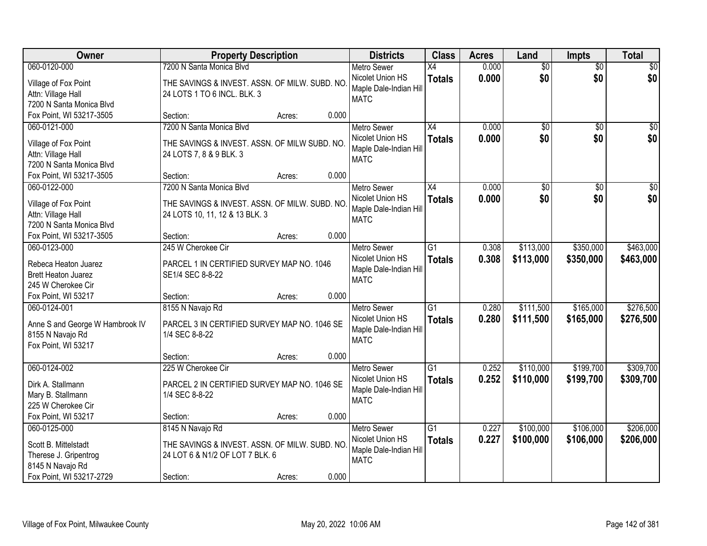| Owner                                                | <b>Property Description</b>                   |        |       | <b>Districts</b>       | <b>Class</b>    | <b>Acres</b> | Land            | Impts           | <b>Total</b>    |
|------------------------------------------------------|-----------------------------------------------|--------|-------|------------------------|-----------------|--------------|-----------------|-----------------|-----------------|
| 060-0120-000                                         | 7200 N Santa Monica Blvd                      |        |       | <b>Metro Sewer</b>     | X4              | 0.000        | $\overline{50}$ | $\overline{50}$ | \$0             |
| Village of Fox Point                                 | THE SAVINGS & INVEST. ASSN. OF MILW. SUBD. NO |        |       | Nicolet Union HS       | <b>Totals</b>   | 0.000        | \$0             | \$0             | \$0             |
| Attn: Village Hall                                   | 24 LOTS 1 TO 6 INCL. BLK. 3                   |        |       | Maple Dale-Indian Hill |                 |              |                 |                 |                 |
| 7200 N Santa Monica Blvd                             |                                               |        |       | <b>MATC</b>            |                 |              |                 |                 |                 |
| Fox Point, WI 53217-3505                             | Section:                                      | Acres: | 0.000 |                        |                 |              |                 |                 |                 |
| 060-0121-000                                         | 7200 N Santa Monica Blvd                      |        |       | <b>Metro Sewer</b>     | $\overline{X4}$ | 0.000        | $\overline{50}$ | $\overline{50}$ | \$0             |
|                                                      |                                               |        |       | Nicolet Union HS       | <b>Totals</b>   | 0.000        | \$0             | \$0             | \$0             |
| Village of Fox Point                                 | THE SAVINGS & INVEST. ASSN. OF MILW SUBD. NO. |        |       | Maple Dale-Indian Hill |                 |              |                 |                 |                 |
| Attn: Village Hall                                   | 24 LOTS 7, 8 & 9 BLK. 3                       |        |       | <b>MATC</b>            |                 |              |                 |                 |                 |
| 7200 N Santa Monica Blvd<br>Fox Point, WI 53217-3505 | Section:                                      | Acres: | 0.000 |                        |                 |              |                 |                 |                 |
| 060-0122-000                                         | 7200 N Santa Monica Blvd                      |        |       | <b>Metro Sewer</b>     | X4              | 0.000        | \$0             | \$0             | $\overline{50}$ |
|                                                      |                                               |        |       | Nicolet Union HS       |                 |              | \$0             | \$0             | \$0             |
| Village of Fox Point                                 | THE SAVINGS & INVEST. ASSN. OF MILW. SUBD. NO |        |       | Maple Dale-Indian Hill | <b>Totals</b>   | 0.000        |                 |                 |                 |
| Attn: Village Hall                                   | 24 LOTS 10, 11, 12 & 13 BLK. 3                |        |       | <b>MATC</b>            |                 |              |                 |                 |                 |
| 7200 N Santa Monica Blvd                             |                                               |        |       |                        |                 |              |                 |                 |                 |
| Fox Point, WI 53217-3505                             | Section:                                      | Acres: | 0.000 |                        |                 |              |                 |                 |                 |
| 060-0123-000                                         | 245 W Cherokee Cir                            |        |       | <b>Metro Sewer</b>     | $\overline{G1}$ | 0.308        | \$113,000       | \$350,000       | \$463,000       |
| Rebeca Heaton Juarez                                 | PARCEL 1 IN CERTIFIED SURVEY MAP NO. 1046     |        |       | Nicolet Union HS       | <b>Totals</b>   | 0.308        | \$113,000       | \$350,000       | \$463,000       |
| <b>Brett Heaton Juarez</b>                           | SE1/4 SEC 8-8-22                              |        |       | Maple Dale-Indian Hill |                 |              |                 |                 |                 |
| 245 W Cherokee Cir                                   |                                               |        |       | <b>MATC</b>            |                 |              |                 |                 |                 |
| Fox Point, WI 53217                                  | Section:                                      | Acres: | 0.000 |                        |                 |              |                 |                 |                 |
| 060-0124-001                                         | 8155 N Navajo Rd                              |        |       | <b>Metro Sewer</b>     | $\overline{G1}$ | 0.280        | \$111,500       | \$165,000       | \$276,500       |
|                                                      |                                               |        |       | Nicolet Union HS       | <b>Totals</b>   | 0.280        | \$111,500       | \$165,000       | \$276,500       |
| Anne S and George W Hambrook IV                      | PARCEL 3 IN CERTIFIED SURVEY MAP NO. 1046 SE  |        |       | Maple Dale-Indian Hill |                 |              |                 |                 |                 |
| 8155 N Navajo Rd                                     | 1/4 SEC 8-8-22                                |        |       | <b>MATC</b>            |                 |              |                 |                 |                 |
| Fox Point, WI 53217                                  |                                               |        |       |                        |                 |              |                 |                 |                 |
|                                                      | Section:                                      | Acres: | 0.000 |                        |                 |              |                 |                 |                 |
| 060-0124-002                                         | 225 W Cherokee Cir                            |        |       | Metro Sewer            | $\overline{G1}$ | 0.252        | \$110,000       | \$199,700       | \$309,700       |
| Dirk A. Stallmann                                    | PARCEL 2 IN CERTIFIED SURVEY MAP NO. 1046 SE  |        |       | Nicolet Union HS       | <b>Totals</b>   | 0.252        | \$110,000       | \$199,700       | \$309,700       |
| Mary B. Stallmann                                    | 1/4 SEC 8-8-22                                |        |       | Maple Dale-Indian Hill |                 |              |                 |                 |                 |
| 225 W Cherokee Cir                                   |                                               |        |       | <b>MATC</b>            |                 |              |                 |                 |                 |
| Fox Point, WI 53217                                  | Section:                                      | Acres: | 0.000 |                        |                 |              |                 |                 |                 |
| 060-0125-000                                         | 8145 N Navajo Rd                              |        |       | <b>Metro Sewer</b>     | $\overline{G1}$ | 0.227        | \$100,000       | \$106,000       | \$206,000       |
|                                                      |                                               |        |       | Nicolet Union HS       | <b>Totals</b>   | 0.227        | \$100,000       | \$106,000       | \$206,000       |
| Scott B. Mittelstadt                                 | THE SAVINGS & INVEST. ASSN. OF MILW. SUBD. NO |        |       | Maple Dale-Indian Hill |                 |              |                 |                 |                 |
| Therese J. Gripentrog                                | 24 LOT 6 & N1/2 OF LOT 7 BLK. 6               |        |       | <b>MATC</b>            |                 |              |                 |                 |                 |
| 8145 N Navajo Rd                                     |                                               |        |       |                        |                 |              |                 |                 |                 |
| Fox Point, WI 53217-2729                             | Section:                                      | Acres: | 0.000 |                        |                 |              |                 |                 |                 |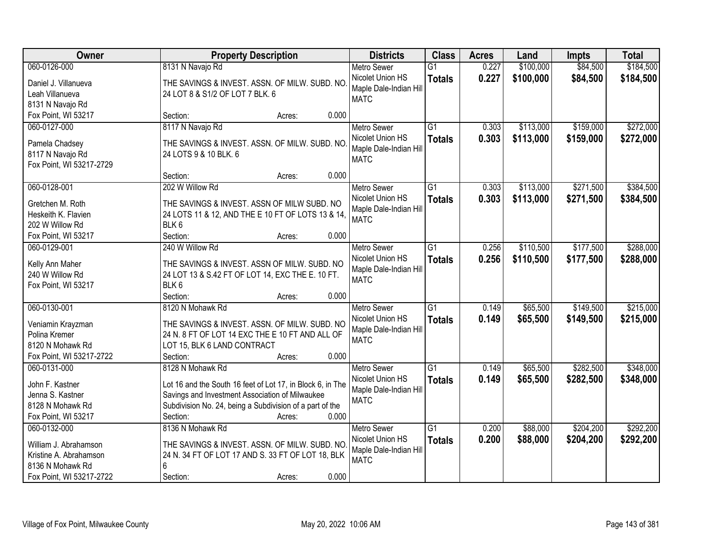| Owner                                      | <b>Property Description</b>                                           | <b>Districts</b>       | <b>Class</b>    | <b>Acres</b> | Land      | <b>Impts</b> | <b>Total</b> |
|--------------------------------------------|-----------------------------------------------------------------------|------------------------|-----------------|--------------|-----------|--------------|--------------|
| 060-0126-000                               | 8131 N Navajo Rd                                                      | <b>Metro Sewer</b>     | $\overline{G1}$ | 0.227        | \$100,000 | \$84,500     | \$184,500    |
| Daniel J. Villanueva                       | THE SAVINGS & INVEST. ASSN. OF MILW. SUBD. NO                         | Nicolet Union HS       | <b>Totals</b>   | 0.227        | \$100,000 | \$84,500     | \$184,500    |
| Leah Villanueva                            | 24 LOT 8 & S1/2 OF LOT 7 BLK. 6                                       | Maple Dale-Indian Hill |                 |              |           |              |              |
| 8131 N Navajo Rd                           |                                                                       | <b>MATC</b>            |                 |              |           |              |              |
| Fox Point, WI 53217                        | 0.000<br>Section:<br>Acres:                                           |                        |                 |              |           |              |              |
| 060-0127-000                               | 8117 N Navajo Rd                                                      | <b>Metro Sewer</b>     | $\overline{G1}$ | 0.303        | \$113,000 | \$159,000    | \$272,000    |
| Pamela Chadsey                             | THE SAVINGS & INVEST. ASSN. OF MILW. SUBD. NO                         | Nicolet Union HS       | <b>Totals</b>   | 0.303        | \$113,000 | \$159,000    | \$272,000    |
| 8117 N Navajo Rd                           | 24 LOTS 9 & 10 BLK. 6                                                 | Maple Dale-Indian Hill |                 |              |           |              |              |
| Fox Point, WI 53217-2729                   |                                                                       | <b>MATC</b>            |                 |              |           |              |              |
|                                            | 0.000<br>Section:<br>Acres:                                           |                        |                 |              |           |              |              |
| 060-0128-001                               | 202 W Willow Rd                                                       | <b>Metro Sewer</b>     | $\overline{G1}$ | 0.303        | \$113,000 | \$271,500    | \$384,500    |
|                                            |                                                                       | Nicolet Union HS       | <b>Totals</b>   | 0.303        | \$113,000 | \$271,500    | \$384,500    |
| Gretchen M. Roth<br>Heskeith K. Flavien    | THE SAVINGS & INVEST. ASSN OF MILW SUBD. NO                           | Maple Dale-Indian Hill |                 |              |           |              |              |
| 202 W Willow Rd                            | 24 LOTS 11 & 12, AND THE E 10 FT OF LOTS 13 & 14,<br>BLK <sub>6</sub> | <b>MATC</b>            |                 |              |           |              |              |
| Fox Point, WI 53217                        | Section:<br>0.000<br>Acres:                                           |                        |                 |              |           |              |              |
| 060-0129-001                               | 240 W Willow Rd                                                       | <b>Metro Sewer</b>     | G1              | 0.256        | \$110,500 | \$177,500    | \$288,000    |
|                                            |                                                                       | Nicolet Union HS       | <b>Totals</b>   | 0.256        | \$110,500 | \$177,500    | \$288,000    |
| Kelly Ann Maher                            | THE SAVINGS & INVEST. ASSN OF MILW. SUBD. NO                          | Maple Dale-Indian Hill |                 |              |           |              |              |
| 240 W Willow Rd                            | 24 LOT 13 & S.42 FT OF LOT 14, EXC THE E. 10 FT.                      | <b>MATC</b>            |                 |              |           |              |              |
| Fox Point, WI 53217                        | BLK 6                                                                 |                        |                 |              |           |              |              |
|                                            | Section:<br>0.000<br>Acres:                                           |                        |                 |              |           |              |              |
| 060-0130-001                               | 8120 N Mohawk Rd                                                      | <b>Metro Sewer</b>     | $\overline{G1}$ | 0.149        | \$65,500  | \$149,500    | \$215,000    |
| Veniamin Krayzman                          | THE SAVINGS & INVEST. ASSN. OF MILW. SUBD. NO                         | Nicolet Union HS       | <b>Totals</b>   | 0.149        | \$65,500  | \$149,500    | \$215,000    |
| Polina Kremer                              | 24 N. 8 FT OF LOT 14 EXC THE E 10 FT AND ALL OF                       | Maple Dale-Indian Hill |                 |              |           |              |              |
| 8120 N Mohawk Rd                           | LOT 15, BLK 6 LAND CONTRACT                                           | <b>MATC</b>            |                 |              |           |              |              |
| Fox Point, WI 53217-2722                   | Section:<br>0.000<br>Acres:                                           |                        |                 |              |           |              |              |
| 060-0131-000                               | 8128 N Mohawk Rd                                                      | <b>Metro Sewer</b>     | $\overline{G1}$ | 0.149        | \$65,500  | \$282,500    | \$348,000    |
| John F. Kastner                            | Lot 16 and the South 16 feet of Lot 17, in Block 6, in The            | Nicolet Union HS       | <b>Totals</b>   | 0.149        | \$65,500  | \$282,500    | \$348,000    |
| Jenna S. Kastner                           | Savings and Investment Association of Milwaukee                       | Maple Dale-Indian Hill |                 |              |           |              |              |
| 8128 N Mohawk Rd                           | Subdivision No. 24, being a Subdivision of a part of the              | <b>MATC</b>            |                 |              |           |              |              |
| Fox Point, WI 53217                        | 0.000<br>Section:<br>Acres:                                           |                        |                 |              |           |              |              |
| 060-0132-000                               | 8136 N Mohawk Rd                                                      | <b>Metro Sewer</b>     | G1              | 0.200        | \$88,000  | \$204,200    | \$292,200    |
|                                            |                                                                       | Nicolet Union HS       | <b>Totals</b>   | 0.200        | \$88,000  | \$204,200    | \$292,200    |
| William J. Abrahamson                      | THE SAVINGS & INVEST. ASSN. OF MILW. SUBD. NO                         | Maple Dale-Indian Hil  |                 |              |           |              |              |
| Kristine A. Abrahamson<br>8136 N Mohawk Rd | 24 N. 34 FT OF LOT 17 AND S. 33 FT OF LOT 18, BLK<br>6                | <b>MATC</b>            |                 |              |           |              |              |
| Fox Point, WI 53217-2722                   | 0.000<br>Section:<br>Acres:                                           |                        |                 |              |           |              |              |
|                                            |                                                                       |                        |                 |              |           |              |              |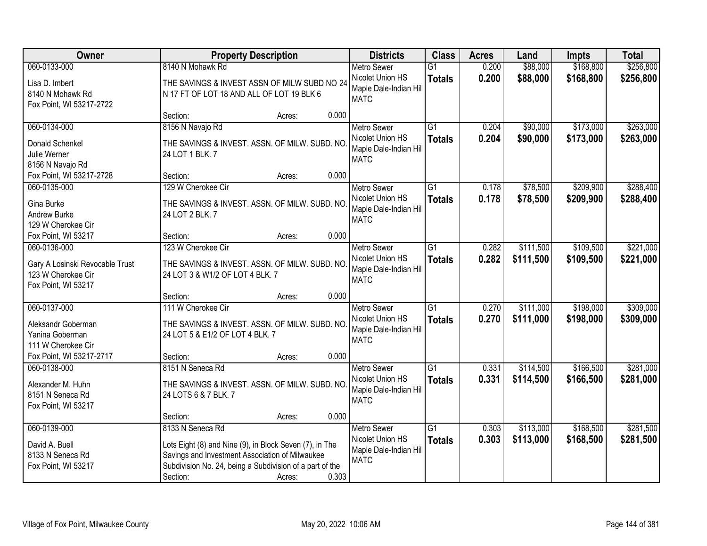| Owner                              | <b>Property Description</b>                                                                                |                 | <b>Districts</b>                           | <b>Class</b>    | <b>Acres</b> | Land      | Impts     | <b>Total</b> |
|------------------------------------|------------------------------------------------------------------------------------------------------------|-----------------|--------------------------------------------|-----------------|--------------|-----------|-----------|--------------|
| 060-0133-000                       | 8140 N Mohawk Rd                                                                                           |                 | <b>Metro Sewer</b>                         | $\overline{G1}$ | 0.200        | \$88,000  | \$168,800 | \$256,800    |
| Lisa D. Imbert<br>8140 N Mohawk Rd | THE SAVINGS & INVEST ASSN OF MILW SUBD NO 24<br>N 17 FT OF LOT 18 AND ALL OF LOT 19 BLK 6                  |                 | Nicolet Union HS<br>Maple Dale-Indian Hill | <b>Totals</b>   | 0.200        | \$88,000  | \$168,800 | \$256,800    |
| Fox Point, WI 53217-2722           |                                                                                                            |                 | <b>MATC</b>                                |                 |              |           |           |              |
|                                    | Section:                                                                                                   | 0.000<br>Acres: |                                            |                 |              |           |           |              |
| 060-0134-000                       | 8156 N Navajo Rd                                                                                           |                 | <b>Metro Sewer</b>                         | $\overline{G1}$ | 0.204        | \$90,000  | \$173,000 | \$263,000    |
| Donald Schenkel                    | THE SAVINGS & INVEST. ASSN. OF MILW. SUBD. NO                                                              |                 | Nicolet Union HS                           | <b>Totals</b>   | 0.204        | \$90,000  | \$173,000 | \$263,000    |
| Julie Werner                       | 24 LOT 1 BLK, 7                                                                                            |                 | Maple Dale-Indian Hill                     |                 |              |           |           |              |
| 8156 N Navajo Rd                   |                                                                                                            |                 | <b>MATC</b>                                |                 |              |           |           |              |
| Fox Point, WI 53217-2728           | Section:                                                                                                   | 0.000<br>Acres: |                                            |                 |              |           |           |              |
| 060-0135-000                       | 129 W Cherokee Cir                                                                                         |                 | <b>Metro Sewer</b>                         | G1              | 0.178        | \$78,500  | \$209,900 | \$288,400    |
| Gina Burke                         | THE SAVINGS & INVEST. ASSN. OF MILW. SUBD. NO                                                              |                 | Nicolet Union HS                           | <b>Totals</b>   | 0.178        | \$78,500  | \$209,900 | \$288,400    |
| Andrew Burke                       | 24 LOT 2 BLK. 7                                                                                            |                 | Maple Dale-Indian Hill                     |                 |              |           |           |              |
| 129 W Cherokee Cir                 |                                                                                                            |                 | <b>MATC</b>                                |                 |              |           |           |              |
| Fox Point, WI 53217                | Section:                                                                                                   | 0.000<br>Acres: |                                            |                 |              |           |           |              |
| 060-0136-000                       | 123 W Cherokee Cir                                                                                         |                 | <b>Metro Sewer</b>                         | $\overline{G1}$ | 0.282        | \$111,500 | \$109,500 | \$221,000    |
| Gary A Losinski Revocable Trust    | THE SAVINGS & INVEST. ASSN. OF MILW. SUBD. NO                                                              |                 | Nicolet Union HS                           | <b>Totals</b>   | 0.282        | \$111,500 | \$109,500 | \$221,000    |
| 123 W Cherokee Cir                 | 24 LOT 3 & W1/2 OF LOT 4 BLK. 7                                                                            |                 | Maple Dale-Indian Hill                     |                 |              |           |           |              |
| Fox Point, WI 53217                |                                                                                                            |                 | <b>MATC</b>                                |                 |              |           |           |              |
|                                    | Section:                                                                                                   | 0.000<br>Acres: |                                            |                 |              |           |           |              |
| 060-0137-000                       | 111 W Cherokee Cir                                                                                         |                 | <b>Metro Sewer</b>                         | $\overline{G1}$ | 0.270        | \$111,000 | \$198,000 | \$309,000    |
| Aleksandr Goberman                 |                                                                                                            |                 | Nicolet Union HS                           | <b>Totals</b>   | 0.270        | \$111,000 | \$198,000 | \$309,000    |
| Yanina Goberman                    | THE SAVINGS & INVEST. ASSN. OF MILW. SUBD. NO<br>24 LOT 5 & E1/2 OF LOT 4 BLK. 7                           |                 | Maple Dale-Indian Hill                     |                 |              |           |           |              |
| 111 W Cherokee Cir                 |                                                                                                            |                 | <b>MATC</b>                                |                 |              |           |           |              |
| Fox Point, WI 53217-2717           | Section:                                                                                                   | 0.000<br>Acres: |                                            |                 |              |           |           |              |
| 060-0138-000                       | 8151 N Seneca Rd                                                                                           |                 | Metro Sewer                                | $\overline{G1}$ | 0.331        | \$114,500 | \$166,500 | \$281,000    |
| Alexander M. Huhn                  | THE SAVINGS & INVEST. ASSN. OF MILW. SUBD. NO                                                              |                 | Nicolet Union HS                           | <b>Totals</b>   | 0.331        | \$114,500 | \$166,500 | \$281,000    |
| 8151 N Seneca Rd                   | 24 LOTS 6 & 7 BLK. 7                                                                                       |                 | Maple Dale-Indian Hill                     |                 |              |           |           |              |
| Fox Point, WI 53217                |                                                                                                            |                 | <b>MATC</b>                                |                 |              |           |           |              |
|                                    | Section:                                                                                                   | 0.000<br>Acres: |                                            |                 |              |           |           |              |
| 060-0139-000                       | 8133 N Seneca Rd                                                                                           |                 | <b>Metro Sewer</b>                         | $\overline{G1}$ | 0.303        | \$113,000 | \$168,500 | \$281,500    |
|                                    |                                                                                                            |                 | Nicolet Union HS                           | <b>Totals</b>   | 0.303        | \$113,000 | \$168,500 | \$281,500    |
| David A. Buell<br>8133 N Seneca Rd | Lots Eight (8) and Nine (9), in Block Seven (7), in The<br>Savings and Investment Association of Milwaukee |                 | Maple Dale-Indian Hill                     |                 |              |           |           |              |
| Fox Point, WI 53217                | Subdivision No. 24, being a Subdivision of a part of the                                                   |                 | <b>MATC</b>                                |                 |              |           |           |              |
|                                    | Section:                                                                                                   | 0.303<br>Acres: |                                            |                 |              |           |           |              |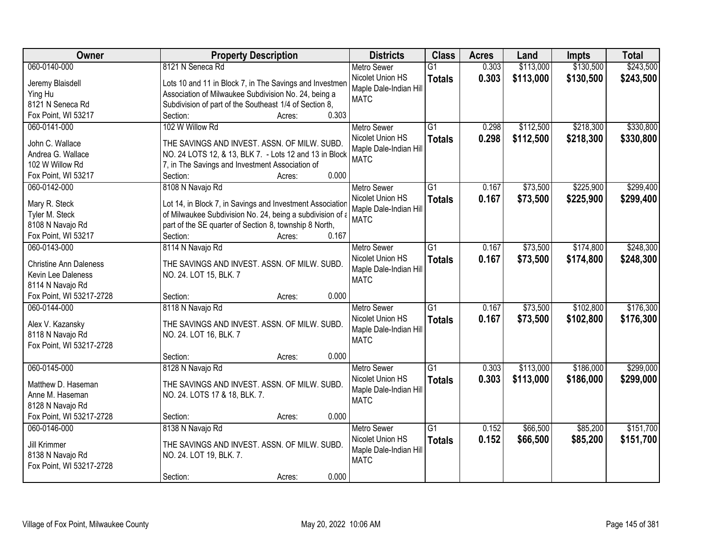| Owner                         | <b>Property Description</b>                               | <b>Districts</b>       | <b>Class</b>    | <b>Acres</b> | Land      | Impts     | <b>Total</b> |
|-------------------------------|-----------------------------------------------------------|------------------------|-----------------|--------------|-----------|-----------|--------------|
| 060-0140-000                  | 8121 N Seneca Rd                                          | <b>Metro Sewer</b>     | $\overline{G1}$ | 0.303        | \$113,000 | \$130,500 | \$243,500    |
| Jeremy Blaisdell              | Lots 10 and 11 in Block 7, in The Savings and Investmen   | Nicolet Union HS       | <b>Totals</b>   | 0.303        | \$113,000 | \$130,500 | \$243,500    |
| Ying Hu                       | Association of Milwaukee Subdivision No. 24, being a      | Maple Dale-Indian Hill |                 |              |           |           |              |
| 8121 N Seneca Rd              | Subdivision of part of the Southeast 1/4 of Section 8,    | <b>MATC</b>            |                 |              |           |           |              |
| Fox Point, WI 53217           | 0.303<br>Section:<br>Acres:                               |                        |                 |              |           |           |              |
| 060-0141-000                  | 102 W Willow Rd                                           | <b>Metro Sewer</b>     | $\overline{G1}$ | 0.298        | \$112,500 | \$218,300 | \$330,800    |
|                               |                                                           | Nicolet Union HS       | <b>Totals</b>   | 0.298        | \$112,500 | \$218,300 | \$330,800    |
| John C. Wallace               | THE SAVINGS AND INVEST. ASSN. OF MILW. SUBD.              | Maple Dale-Indian Hill |                 |              |           |           |              |
| Andrea G. Wallace             | NO. 24 LOTS 12, & 13, BLK 7. - Lots 12 and 13 in Block    | <b>MATC</b>            |                 |              |           |           |              |
| 102 W Willow Rd               | 7, in The Savings and Investment Association of           |                        |                 |              |           |           |              |
| Fox Point, WI 53217           | 0.000<br>Section:<br>Acres:                               |                        |                 |              |           |           |              |
| 060-0142-000                  | 8108 N Navajo Rd                                          | Metro Sewer            | G1              | 0.167        | \$73,500  | \$225,900 | \$299,400    |
| Mary R. Steck                 | Lot 14, in Block 7, in Savings and Investment Association | Nicolet Union HS       | <b>Totals</b>   | 0.167        | \$73,500  | \$225,900 | \$299,400    |
| Tyler M. Steck                | of Milwaukee Subdivision No. 24, being a subdivision of a | Maple Dale-Indian Hill |                 |              |           |           |              |
| 8108 N Navajo Rd              | part of the SE quarter of Section 8, township 8 North,    | <b>MATC</b>            |                 |              |           |           |              |
| Fox Point, WI 53217           | 0.167<br>Section:<br>Acres:                               |                        |                 |              |           |           |              |
| 060-0143-000                  | 8114 N Navajo Rd                                          | <b>Metro Sewer</b>     | $\overline{G1}$ | 0.167        | \$73,500  | \$174,800 | \$248,300    |
|                               |                                                           | Nicolet Union HS       | <b>Totals</b>   | 0.167        | \$73,500  | \$174,800 | \$248,300    |
| <b>Christine Ann Daleness</b> | THE SAVINGS AND INVEST. ASSN. OF MILW. SUBD.              | Maple Dale-Indian Hill |                 |              |           |           |              |
| Kevin Lee Daleness            | NO. 24. LOT 15, BLK. 7                                    | <b>MATC</b>            |                 |              |           |           |              |
| 8114 N Navajo Rd              |                                                           |                        |                 |              |           |           |              |
| Fox Point, WI 53217-2728      | 0.000<br>Section:<br>Acres:                               |                        |                 |              |           |           |              |
| 060-0144-000                  | 8118 N Navajo Rd                                          | Metro Sewer            | $\overline{G1}$ | 0.167        | \$73,500  | \$102,800 | \$176,300    |
| Alex V. Kazansky              | THE SAVINGS AND INVEST. ASSN. OF MILW. SUBD.              | Nicolet Union HS       | <b>Totals</b>   | 0.167        | \$73,500  | \$102,800 | \$176,300    |
| 8118 N Navajo Rd              | NO. 24. LOT 16, BLK. 7                                    | Maple Dale-Indian Hill |                 |              |           |           |              |
| Fox Point, WI 53217-2728      |                                                           | <b>MATC</b>            |                 |              |           |           |              |
|                               | Section:<br>0.000<br>Acres:                               |                        |                 |              |           |           |              |
| 060-0145-000                  | 8128 N Navajo Rd                                          | <b>Metro Sewer</b>     | $\overline{G1}$ | 0.303        | \$113,000 | \$186,000 | \$299,000    |
|                               |                                                           | Nicolet Union HS       |                 |              |           |           |              |
| Matthew D. Haseman            | THE SAVINGS AND INVEST. ASSN. OF MILW. SUBD.              | Maple Dale-Indian Hill | <b>Totals</b>   | 0.303        | \$113,000 | \$186,000 | \$299,000    |
| Anne M. Haseman               | NO. 24. LOTS 17 & 18, BLK. 7.                             | <b>MATC</b>            |                 |              |           |           |              |
| 8128 N Navajo Rd              |                                                           |                        |                 |              |           |           |              |
| Fox Point, WI 53217-2728      | 0.000<br>Section:<br>Acres:                               |                        |                 |              |           |           |              |
| 060-0146-000                  | 8138 N Navajo Rd                                          | <b>Metro Sewer</b>     | $\overline{G1}$ | 0.152        | \$66,500  | \$85,200  | \$151,700    |
| Jill Krimmer                  | THE SAVINGS AND INVEST. ASSN. OF MILW. SUBD.              | Nicolet Union HS       | <b>Totals</b>   | 0.152        | \$66,500  | \$85,200  | \$151,700    |
| 8138 N Navajo Rd              | NO. 24. LOT 19, BLK. 7.                                   | Maple Dale-Indian Hill |                 |              |           |           |              |
| Fox Point, WI 53217-2728      |                                                           | <b>MATC</b>            |                 |              |           |           |              |
|                               | 0.000<br>Section:<br>Acres:                               |                        |                 |              |           |           |              |
|                               |                                                           |                        |                 |              |           |           |              |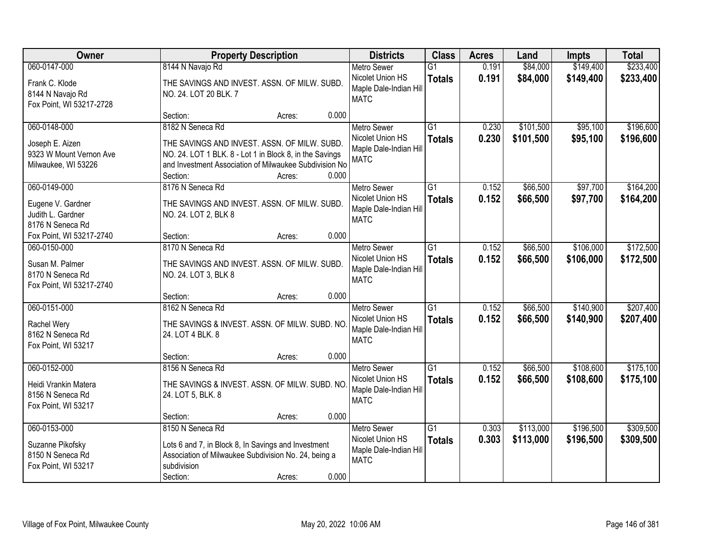| Owner                                                                             | <b>Property Description</b>                                                                                                                                                                                          | <b>Districts</b>                                                                | <b>Class</b>                     | <b>Acres</b>   | Land                   | Impts                  | <b>Total</b>           |
|-----------------------------------------------------------------------------------|----------------------------------------------------------------------------------------------------------------------------------------------------------------------------------------------------------------------|---------------------------------------------------------------------------------|----------------------------------|----------------|------------------------|------------------------|------------------------|
| 060-0147-000                                                                      | 8144 N Navajo Rd                                                                                                                                                                                                     | <b>Metro Sewer</b>                                                              | $\overline{G1}$                  | 0.191          | \$84,000               | \$149,400              | \$233,400              |
| Frank C. Klode<br>8144 N Navajo Rd<br>Fox Point, WI 53217-2728                    | THE SAVINGS AND INVEST. ASSN. OF MILW. SUBD.<br>NO. 24. LOT 20 BLK. 7                                                                                                                                                | Nicolet Union HS<br>Maple Dale-Indian Hill<br><b>MATC</b>                       | <b>Totals</b>                    | 0.191          | \$84,000               | \$149,400              | \$233,400              |
|                                                                                   | 0.000<br>Section:<br>Acres:                                                                                                                                                                                          |                                                                                 |                                  |                |                        |                        |                        |
| 060-0148-000<br>Joseph E. Aizen<br>9323 W Mount Vernon Ave<br>Milwaukee, WI 53226 | 8182 N Seneca Rd<br>THE SAVINGS AND INVEST. ASSN. OF MILW. SUBD.<br>NO. 24. LOT 1 BLK. 8 - Lot 1 in Block 8, in the Savings<br>and Investment Association of Milwaukee Subdivision No<br>0.000<br>Section:<br>Acres: | <b>Metro Sewer</b><br>Nicolet Union HS<br>Maple Dale-Indian Hill<br><b>MATC</b> | $\overline{G1}$<br><b>Totals</b> | 0.230<br>0.230 | \$101,500<br>\$101,500 | \$95,100<br>\$95,100   | \$196,600<br>\$196,600 |
| 060-0149-000                                                                      | 8176 N Seneca Rd                                                                                                                                                                                                     | Metro Sewer                                                                     | $\overline{G1}$                  | 0.152          | \$66,500               | \$97,700               | \$164,200              |
| Eugene V. Gardner<br>Judith L. Gardner<br>8176 N Seneca Rd                        | THE SAVINGS AND INVEST. ASSN. OF MILW. SUBD.<br>NO. 24. LOT 2, BLK 8                                                                                                                                                 | Nicolet Union HS<br>Maple Dale-Indian Hill<br><b>MATC</b>                       | <b>Totals</b>                    | 0.152          | \$66,500               | \$97,700               | \$164,200              |
| Fox Point, WI 53217-2740                                                          | 0.000<br>Section:<br>Acres:                                                                                                                                                                                          |                                                                                 |                                  |                |                        |                        |                        |
| 060-0150-000                                                                      | 8170 N Seneca Rd                                                                                                                                                                                                     | <b>Metro Sewer</b>                                                              | G1                               | 0.152          | \$66,500               | \$106,000              | \$172,500              |
| Susan M. Palmer<br>8170 N Seneca Rd<br>Fox Point, WI 53217-2740                   | THE SAVINGS AND INVEST. ASSN. OF MILW. SUBD.<br>NO. 24. LOT 3, BLK 8                                                                                                                                                 | Nicolet Union HS<br>Maple Dale-Indian Hill<br><b>MATC</b>                       | <b>Totals</b>                    | 0.152          | \$66,500               | \$106,000              | \$172,500              |
|                                                                                   | 0.000<br>Section:<br>Acres:                                                                                                                                                                                          |                                                                                 |                                  |                |                        |                        |                        |
| 060-0151-000<br>Rachel Wery<br>8162 N Seneca Rd<br>Fox Point, WI 53217            | 8162 N Seneca Rd<br>THE SAVINGS & INVEST. ASSN. OF MILW. SUBD. NO<br>24. LOT 4 BLK. 8                                                                                                                                | <b>Metro Sewer</b><br>Nicolet Union HS<br>Maple Dale-Indian Hill<br><b>MATC</b> | $\overline{G1}$<br><b>Totals</b> | 0.152<br>0.152 | \$66,500<br>\$66,500   | \$140,900<br>\$140,900 | \$207,400<br>\$207,400 |
|                                                                                   | 0.000<br>Section:<br>Acres:                                                                                                                                                                                          |                                                                                 |                                  |                |                        |                        |                        |
| 060-0152-000<br>Heidi Vrankin Matera<br>8156 N Seneca Rd<br>Fox Point, WI 53217   | 8156 N Seneca Rd<br>THE SAVINGS & INVEST. ASSN. OF MILW. SUBD. NO<br>24. LOT 5, BLK. 8                                                                                                                               | <b>Metro Sewer</b><br>Nicolet Union HS<br>Maple Dale-Indian Hill<br><b>MATC</b> | G1<br><b>Totals</b>              | 0.152<br>0.152 | \$66,500<br>\$66,500   | \$108,600<br>\$108,600 | \$175,100<br>\$175,100 |
|                                                                                   | 0.000<br>Section:<br>Acres:                                                                                                                                                                                          |                                                                                 |                                  |                |                        |                        |                        |
| 060-0153-000<br>Suzanne Pikofsky<br>8150 N Seneca Rd<br>Fox Point, WI 53217       | 8150 N Seneca Rd<br>Lots 6 and 7, in Block 8, In Savings and Investment<br>Association of Milwaukee Subdivision No. 24, being a<br>subdivision<br>0.000<br>Section:<br>Acres:                                        | <b>Metro Sewer</b><br>Nicolet Union HS<br>Maple Dale-Indian Hill<br><b>MATC</b> | $\overline{G1}$<br><b>Totals</b> | 0.303<br>0.303 | \$113,000<br>\$113,000 | \$196,500<br>\$196,500 | \$309,500<br>\$309,500 |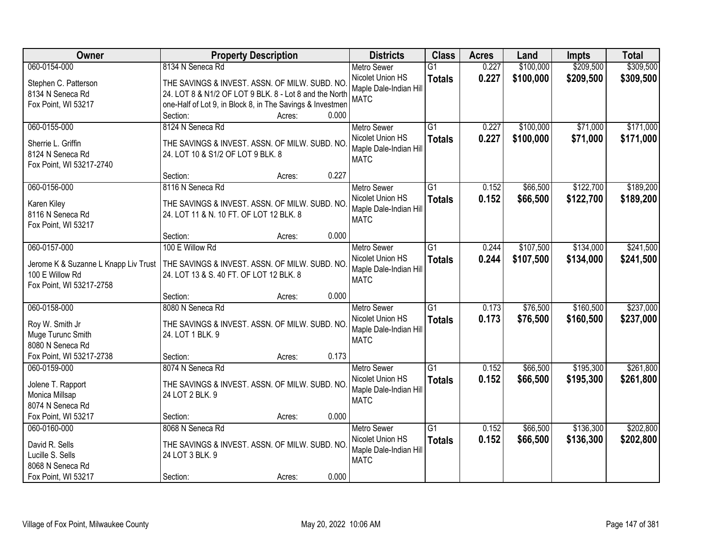| Owner                                | <b>Property Description</b>                               |       | <b>Districts</b>                      | <b>Class</b>    | <b>Acres</b> | Land      | <b>Impts</b> | <b>Total</b> |
|--------------------------------------|-----------------------------------------------------------|-------|---------------------------------------|-----------------|--------------|-----------|--------------|--------------|
| 060-0154-000                         | 8134 N Seneca Rd                                          |       | <b>Metro Sewer</b>                    | $\overline{G1}$ | 0.227        | \$100,000 | \$209,500    | \$309,500    |
| Stephen C. Patterson                 | THE SAVINGS & INVEST. ASSN. OF MILW. SUBD. NO             |       | Nicolet Union HS                      | <b>Totals</b>   | 0.227        | \$100,000 | \$209,500    | \$309,500    |
| 8134 N Seneca Rd                     | 24. LOT 8 & N1/2 OF LOT 9 BLK. 8 - Lot 8 and the North    |       | Maple Dale-Indian Hill                |                 |              |           |              |              |
| Fox Point, WI 53217                  | one-Half of Lot 9, in Block 8, in The Savings & Investmen |       | <b>MATC</b>                           |                 |              |           |              |              |
|                                      | Section:<br>Acres:                                        | 0.000 |                                       |                 |              |           |              |              |
| 060-0155-000                         | 8124 N Seneca Rd                                          |       | <b>Metro Sewer</b>                    | $\overline{G1}$ | 0.227        | \$100,000 | \$71,000     | \$171,000    |
| Sherrie L. Griffin                   | THE SAVINGS & INVEST. ASSN. OF MILW. SUBD. NO             |       | Nicolet Union HS                      | <b>Totals</b>   | 0.227        | \$100,000 | \$71,000     | \$171,000    |
| 8124 N Seneca Rd                     | 24. LOT 10 & S1/2 OF LOT 9 BLK. 8                         |       | Maple Dale-Indian Hill                |                 |              |           |              |              |
| Fox Point, WI 53217-2740             |                                                           |       | <b>MATC</b>                           |                 |              |           |              |              |
|                                      | Section:<br>Acres:                                        | 0.227 |                                       |                 |              |           |              |              |
| 060-0156-000                         | 8116 N Seneca Rd                                          |       | <b>Metro Sewer</b>                    | $\overline{G1}$ | 0.152        | \$66,500  | \$122,700    | \$189,200    |
|                                      |                                                           |       | Nicolet Union HS                      | <b>Totals</b>   | 0.152        | \$66,500  | \$122,700    | \$189,200    |
| Karen Kiley                          | THE SAVINGS & INVEST. ASSN. OF MILW. SUBD. NO             |       | Maple Dale-Indian Hill                |                 |              |           |              |              |
| 8116 N Seneca Rd                     | 24. LOT 11 & N. 10 FT. OF LOT 12 BLK. 8                   |       | <b>MATC</b>                           |                 |              |           |              |              |
| Fox Point, WI 53217                  | Section:<br>Acres:                                        | 0.000 |                                       |                 |              |           |              |              |
| 060-0157-000                         | 100 E Willow Rd                                           |       | <b>Metro Sewer</b>                    | $\overline{G1}$ | 0.244        | \$107,500 | \$134,000    | \$241,500    |
|                                      |                                                           |       | Nicolet Union HS                      | <b>Totals</b>   | 0.244        | \$107,500 | \$134,000    | \$241,500    |
| Jerome K & Suzanne L Knapp Liv Trust | THE SAVINGS & INVEST. ASSN. OF MILW. SUBD. NO             |       | Maple Dale-Indian Hill                |                 |              |           |              |              |
| 100 E Willow Rd                      | 24. LOT 13 & S. 40 FT. OF LOT 12 BLK. 8                   |       | <b>MATC</b>                           |                 |              |           |              |              |
| Fox Point, WI 53217-2758             |                                                           |       |                                       |                 |              |           |              |              |
|                                      | Section:<br>Acres:                                        | 0.000 |                                       |                 |              |           |              |              |
| 060-0158-000                         | 8080 N Seneca Rd                                          |       | <b>Metro Sewer</b>                    | $\overline{G1}$ | 0.173        | \$76,500  | \$160,500    | \$237,000    |
| Roy W. Smith Jr                      | THE SAVINGS & INVEST. ASSN. OF MILW. SUBD. NO             |       | Nicolet Union HS                      | <b>Totals</b>   | 0.173        | \$76,500  | \$160,500    | \$237,000    |
| Muge Turunc Smith                    | 24. LOT 1 BLK. 9                                          |       | Maple Dale-Indian Hill<br><b>MATC</b> |                 |              |           |              |              |
| 8080 N Seneca Rd                     |                                                           |       |                                       |                 |              |           |              |              |
| Fox Point, WI 53217-2738             | Section:<br>Acres:                                        | 0.173 |                                       |                 |              |           |              |              |
| 060-0159-000                         | 8074 N Seneca Rd                                          |       | Metro Sewer                           | $\overline{G1}$ | 0.152        | \$66,500  | \$195,300    | \$261,800    |
| Jolene T. Rapport                    | THE SAVINGS & INVEST. ASSN. OF MILW. SUBD. NO             |       | Nicolet Union HS                      | <b>Totals</b>   | 0.152        | \$66,500  | \$195,300    | \$261,800    |
| Monica Millsap                       | 24 LOT 2 BLK. 9                                           |       | Maple Dale-Indian Hill                |                 |              |           |              |              |
| 8074 N Seneca Rd                     |                                                           |       | <b>MATC</b>                           |                 |              |           |              |              |
| Fox Point, WI 53217                  | Section:<br>Acres:                                        | 0.000 |                                       |                 |              |           |              |              |
| 060-0160-000                         | 8068 N Seneca Rd                                          |       | <b>Metro Sewer</b>                    | $\overline{G1}$ | 0.152        | \$66,500  | \$136,300    | \$202,800    |
| David R. Sells                       | THE SAVINGS & INVEST. ASSN. OF MILW. SUBD. NO             |       | Nicolet Union HS                      | <b>Totals</b>   | 0.152        | \$66,500  | \$136,300    | \$202,800    |
| Lucille S. Sells                     | 24 LOT 3 BLK. 9                                           |       | Maple Dale-Indian Hill                |                 |              |           |              |              |
| 8068 N Seneca Rd                     |                                                           |       | <b>MATC</b>                           |                 |              |           |              |              |
| Fox Point, WI 53217                  | Section:<br>Acres:                                        | 0.000 |                                       |                 |              |           |              |              |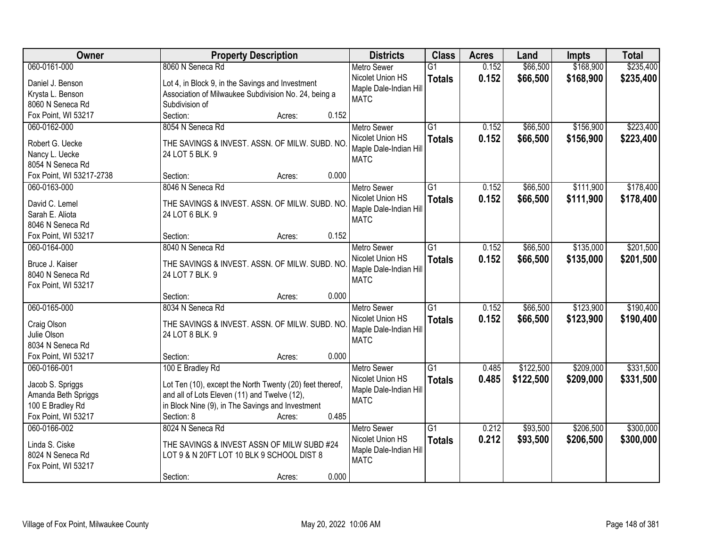| Owner                              | <b>Property Description</b>                              | <b>Districts</b>       | <b>Class</b>    | <b>Acres</b> | Land      | Impts     | <b>Total</b> |
|------------------------------------|----------------------------------------------------------|------------------------|-----------------|--------------|-----------|-----------|--------------|
| 060-0161-000                       | 8060 N Seneca Rd                                         | <b>Metro Sewer</b>     | $\overline{G1}$ | 0.152        | \$66,500  | \$168,900 | \$235,400    |
| Daniel J. Benson                   | Lot 4, in Block 9, in the Savings and Investment         | Nicolet Union HS       | <b>Totals</b>   | 0.152        | \$66,500  | \$168,900 | \$235,400    |
| Krysta L. Benson                   | Association of Milwaukee Subdivision No. 24, being a     | Maple Dale-Indian Hill |                 |              |           |           |              |
| 8060 N Seneca Rd                   | Subdivision of                                           | <b>MATC</b>            |                 |              |           |           |              |
| Fox Point, WI 53217                | Section:<br>0.152<br>Acres:                              |                        |                 |              |           |           |              |
| 060-0162-000                       | 8054 N Seneca Rd                                         | <b>Metro Sewer</b>     | $\overline{G1}$ | 0.152        | \$66,500  | \$156,900 | \$223,400    |
|                                    |                                                          | Nicolet Union HS       | <b>Totals</b>   | 0.152        | \$66,500  | \$156,900 | \$223,400    |
| Robert G. Uecke                    | THE SAVINGS & INVEST. ASSN. OF MILW. SUBD. NO            | Maple Dale-Indian Hill |                 |              |           |           |              |
| Nancy L. Uecke<br>8054 N Seneca Rd | 24 LOT 5 BLK. 9                                          | <b>MATC</b>            |                 |              |           |           |              |
| Fox Point, WI 53217-2738           | 0.000<br>Section:<br>Acres:                              |                        |                 |              |           |           |              |
| 060-0163-000                       | 8046 N Seneca Rd                                         | <b>Metro Sewer</b>     | $\overline{G1}$ | 0.152        | \$66,500  | \$111,900 | \$178,400    |
|                                    |                                                          | Nicolet Union HS       |                 |              |           |           |              |
| David C. Lemel                     | THE SAVINGS & INVEST. ASSN. OF MILW. SUBD. NO            | Maple Dale-Indian Hill | <b>Totals</b>   | 0.152        | \$66,500  | \$111,900 | \$178,400    |
| Sarah E. Aliota                    | 24 LOT 6 BLK. 9                                          | <b>MATC</b>            |                 |              |           |           |              |
| 8046 N Seneca Rd                   |                                                          |                        |                 |              |           |           |              |
| Fox Point, WI 53217                | 0.152<br>Section:<br>Acres:                              |                        |                 |              |           |           |              |
| 060-0164-000                       | 8040 N Seneca Rd                                         | <b>Metro Sewer</b>     | $\overline{G1}$ | 0.152        | \$66,500  | \$135,000 | \$201,500    |
| Bruce J. Kaiser                    | THE SAVINGS & INVEST. ASSN. OF MILW. SUBD. NO.           | Nicolet Union HS       | <b>Totals</b>   | 0.152        | \$66,500  | \$135,000 | \$201,500    |
| 8040 N Seneca Rd                   | 24 LOT 7 BLK. 9                                          | Maple Dale-Indian Hill |                 |              |           |           |              |
| Fox Point, WI 53217                |                                                          | <b>MATC</b>            |                 |              |           |           |              |
|                                    | 0.000<br>Section:<br>Acres:                              |                        |                 |              |           |           |              |
| 060-0165-000                       | 8034 N Seneca Rd                                         | Metro Sewer            | $\overline{G1}$ | 0.152        | \$66,500  | \$123,900 | \$190,400    |
|                                    |                                                          | Nicolet Union HS       | <b>Totals</b>   | 0.152        | \$66,500  | \$123,900 | \$190,400    |
| Craig Olson                        | THE SAVINGS & INVEST. ASSN. OF MILW. SUBD. NO            | Maple Dale-Indian Hill |                 |              |           |           |              |
| Julie Olson                        | 24 LOT 8 BLK. 9                                          | <b>MATC</b>            |                 |              |           |           |              |
| 8034 N Seneca Rd                   |                                                          |                        |                 |              |           |           |              |
| Fox Point, WI 53217                | Section:<br>0.000<br>Acres:                              |                        |                 |              |           |           |              |
| 060-0166-001                       | 100 E Bradley Rd                                         | <b>Metro Sewer</b>     | $\overline{G1}$ | 0.485        | \$122,500 | \$209,000 | \$331,500    |
| Jacob S. Spriggs                   | Lot Ten (10), except the North Twenty (20) feet thereof, | Nicolet Union HS       | <b>Totals</b>   | 0.485        | \$122,500 | \$209,000 | \$331,500    |
| Amanda Beth Spriggs                | and all of Lots Eleven (11) and Twelve (12),             | Maple Dale-Indian Hill |                 |              |           |           |              |
| 100 E Bradley Rd                   | in Block Nine (9), in The Savings and Investment         | <b>MATC</b>            |                 |              |           |           |              |
| Fox Point, WI 53217                | 0.485<br>Section: 8<br>Acres:                            |                        |                 |              |           |           |              |
| 060-0166-002                       | 8024 N Seneca Rd                                         | <b>Metro Sewer</b>     | $\overline{G1}$ | 0.212        | \$93,500  | \$206,500 | \$300,000    |
|                                    |                                                          | Nicolet Union HS       | <b>Totals</b>   | 0.212        | \$93,500  | \$206,500 | \$300,000    |
| Linda S. Ciske                     | THE SAVINGS & INVEST ASSN OF MILW SUBD #24               | Maple Dale-Indian Hill |                 |              |           |           |              |
| 8024 N Seneca Rd                   | LOT 9 & N 20FT LOT 10 BLK 9 SCHOOL DIST 8                | <b>MATC</b>            |                 |              |           |           |              |
| Fox Point, WI 53217                |                                                          |                        |                 |              |           |           |              |
|                                    | 0.000<br>Section:<br>Acres:                              |                        |                 |              |           |           |              |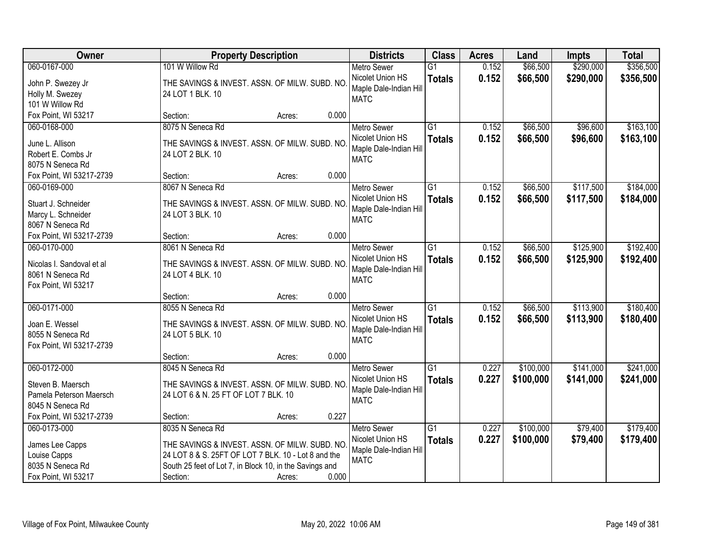| Owner                     | <b>Property Description</b>                             |                 | <b>Districts</b>                      | <b>Class</b>    | <b>Acres</b> | Land      | Impts     | <b>Total</b> |
|---------------------------|---------------------------------------------------------|-----------------|---------------------------------------|-----------------|--------------|-----------|-----------|--------------|
| 060-0167-000              | 101 W Willow Rd                                         |                 | <b>Metro Sewer</b>                    | $\overline{G1}$ | 0.152        | \$66,500  | \$290,000 | \$356,500    |
| John P. Swezey Jr         | THE SAVINGS & INVEST. ASSN. OF MILW. SUBD. NO           |                 | Nicolet Union HS                      | <b>Totals</b>   | 0.152        | \$66,500  | \$290,000 | \$356,500    |
| Holly M. Swezey           | 24 LOT 1 BLK. 10                                        |                 | Maple Dale-Indian Hill                |                 |              |           |           |              |
| 101 W Willow Rd           |                                                         |                 | <b>MATC</b>                           |                 |              |           |           |              |
| Fox Point, WI 53217       | Section:                                                | 0.000<br>Acres: |                                       |                 |              |           |           |              |
| 060-0168-000              | 8075 N Seneca Rd                                        |                 | <b>Metro Sewer</b>                    | $\overline{G1}$ | 0.152        | \$66,500  | \$96,600  | \$163,100    |
| June L. Allison           | THE SAVINGS & INVEST. ASSN. OF MILW. SUBD. NO           |                 | Nicolet Union HS                      | <b>Totals</b>   | 0.152        | \$66,500  | \$96,600  | \$163,100    |
| Robert E. Combs Jr        | 24 LOT 2 BLK. 10                                        |                 | Maple Dale-Indian Hill                |                 |              |           |           |              |
| 8075 N Seneca Rd          |                                                         |                 | <b>MATC</b>                           |                 |              |           |           |              |
| Fox Point, WI 53217-2739  | Section:                                                | 0.000<br>Acres: |                                       |                 |              |           |           |              |
| 060-0169-000              | 8067 N Seneca Rd                                        |                 | Metro Sewer                           | $\overline{G1}$ | 0.152        | \$66,500  | \$117,500 | \$184,000    |
| Stuart J. Schneider       | THE SAVINGS & INVEST. ASSN. OF MILW. SUBD. NO           |                 | Nicolet Union HS                      | <b>Totals</b>   | 0.152        | \$66,500  | \$117,500 | \$184,000    |
| Marcy L. Schneider        | 24 LOT 3 BLK. 10                                        |                 | Maple Dale-Indian Hill                |                 |              |           |           |              |
| 8067 N Seneca Rd          |                                                         |                 | <b>MATC</b>                           |                 |              |           |           |              |
| Fox Point, WI 53217-2739  | Section:                                                | 0.000<br>Acres: |                                       |                 |              |           |           |              |
| 060-0170-000              | 8061 N Seneca Rd                                        |                 | <b>Metro Sewer</b>                    | $\overline{G1}$ | 0.152        | \$66,500  | \$125,900 | \$192,400    |
|                           |                                                         |                 | Nicolet Union HS                      | <b>Totals</b>   | 0.152        | \$66,500  | \$125,900 | \$192,400    |
| Nicolas I. Sandoval et al | THE SAVINGS & INVEST. ASSN. OF MILW. SUBD. NO           |                 | Maple Dale-Indian Hill                |                 |              |           |           |              |
| 8061 N Seneca Rd          | 24 LOT 4 BLK. 10                                        |                 | <b>MATC</b>                           |                 |              |           |           |              |
| Fox Point, WI 53217       | Section:                                                | 0.000<br>Acres: |                                       |                 |              |           |           |              |
| 060-0171-000              | 8055 N Seneca Rd                                        |                 | <b>Metro Sewer</b>                    | $\overline{G1}$ | 0.152        | \$66,500  | \$113,900 | \$180,400    |
|                           |                                                         |                 | Nicolet Union HS                      | <b>Totals</b>   | 0.152        | \$66,500  | \$113,900 | \$180,400    |
| Joan E. Wessel            | THE SAVINGS & INVEST. ASSN. OF MILW. SUBD. NO           |                 | Maple Dale-Indian Hill                |                 |              |           |           |              |
| 8055 N Seneca Rd          | 24 LOT 5 BLK. 10                                        |                 | <b>MATC</b>                           |                 |              |           |           |              |
| Fox Point, WI 53217-2739  |                                                         |                 |                                       |                 |              |           |           |              |
|                           | Section:                                                | 0.000<br>Acres: |                                       |                 |              |           |           |              |
| 060-0172-000              | 8045 N Seneca Rd                                        |                 | <b>Metro Sewer</b>                    | G1              | 0.227        | \$100,000 | \$141,000 | \$241,000    |
| Steven B. Maersch         | THE SAVINGS & INVEST. ASSN. OF MILW. SUBD. NO           |                 | Nicolet Union HS                      | <b>Totals</b>   | 0.227        | \$100,000 | \$141,000 | \$241,000    |
| Pamela Peterson Maersch   | 24 LOT 6 & N. 25 FT OF LOT 7 BLK. 10                    |                 | Maple Dale-Indian Hill<br><b>MATC</b> |                 |              |           |           |              |
| 8045 N Seneca Rd          |                                                         |                 |                                       |                 |              |           |           |              |
| Fox Point, WI 53217-2739  | Section:                                                | 0.227<br>Acres: |                                       |                 |              |           |           |              |
| 060-0173-000              | 8035 N Seneca Rd                                        |                 | <b>Metro Sewer</b>                    | $\overline{G1}$ | 0.227        | \$100,000 | \$79,400  | \$179,400    |
| James Lee Capps           | THE SAVINGS & INVEST. ASSN. OF MILW. SUBD. NO           |                 | Nicolet Union HS                      | <b>Totals</b>   | 0.227        | \$100,000 | \$79,400  | \$179,400    |
| Louise Capps              | 24 LOT 8 & S. 25FT OF LOT 7 BLK. 10 - Lot 8 and the     |                 | Maple Dale-Indian Hill                |                 |              |           |           |              |
| 8035 N Seneca Rd          | South 25 feet of Lot 7, in Block 10, in the Savings and |                 | <b>MATC</b>                           |                 |              |           |           |              |
| Fox Point, WI 53217       | Section:                                                | 0.000<br>Acres: |                                       |                 |              |           |           |              |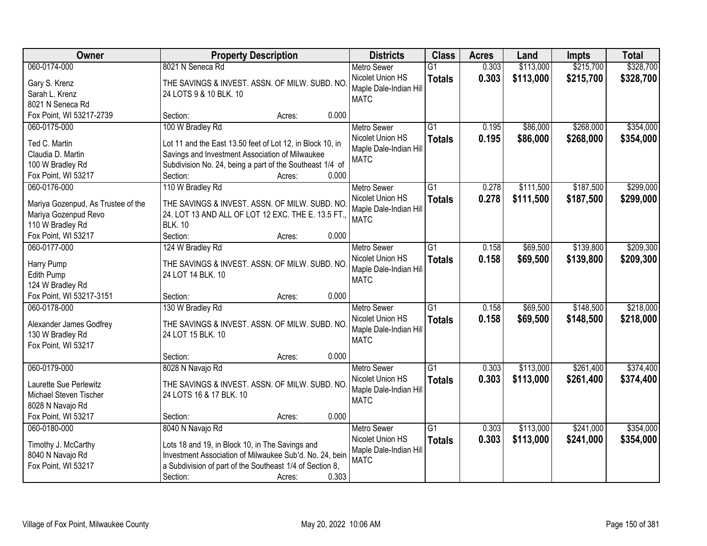| Owner                               | <b>Property Description</b>                                                   | <b>Districts</b>                      | <b>Class</b>    | <b>Acres</b> | Land      | Impts     | <b>Total</b> |
|-------------------------------------|-------------------------------------------------------------------------------|---------------------------------------|-----------------|--------------|-----------|-----------|--------------|
| 060-0174-000                        | 8021 N Seneca Rd                                                              | <b>Metro Sewer</b>                    | $\overline{G1}$ | 0.303        | \$113,000 | \$215,700 | \$328,700    |
| Gary S. Krenz                       | THE SAVINGS & INVEST. ASSN. OF MILW. SUBD. NO                                 | Nicolet Union HS                      | <b>Totals</b>   | 0.303        | \$113,000 | \$215,700 | \$328,700    |
| Sarah L. Krenz                      | 24 LOTS 9 & 10 BLK. 10                                                        | Maple Dale-Indian Hill                |                 |              |           |           |              |
| 8021 N Seneca Rd                    |                                                                               | <b>MATC</b>                           |                 |              |           |           |              |
| Fox Point, WI 53217-2739            | 0.000<br>Section:<br>Acres:                                                   |                                       |                 |              |           |           |              |
| 060-0175-000                        | 100 W Bradley Rd                                                              | <b>Metro Sewer</b>                    | $\overline{G1}$ | 0.195        | \$86,000  | \$268,000 | \$354,000    |
|                                     |                                                                               | Nicolet Union HS                      | <b>Totals</b>   | 0.195        | \$86,000  | \$268,000 | \$354,000    |
| Ted C. Martin                       | Lot 11 and the East 13.50 feet of Lot 12, in Block 10, in                     | Maple Dale-Indian Hill                |                 |              |           |           |              |
| Claudia D. Martin                   | Savings and Investment Association of Milwaukee                               | <b>MATC</b>                           |                 |              |           |           |              |
| 100 W Bradley Rd                    | Subdivision No. 24, being a part of the Southeast 1/4 of<br>0.000<br>Section: |                                       |                 |              |           |           |              |
| Fox Point, WI 53217<br>060-0176-000 | Acres:                                                                        |                                       | $\overline{G1}$ | 0.278        |           | \$187,500 | \$299,000    |
|                                     | 110 W Bradley Rd                                                              | Metro Sewer                           |                 |              | \$111,500 |           |              |
| Mariya Gozenpud, As Trustee of the  | THE SAVINGS & INVEST. ASSN. OF MILW. SUBD. NO                                 | Nicolet Union HS                      | <b>Totals</b>   | 0.278        | \$111,500 | \$187,500 | \$299,000    |
| Mariya Gozenpud Revo                | 24. LOT 13 AND ALL OF LOT 12 EXC. THE E. 13.5 FT.,                            | Maple Dale-Indian Hill<br><b>MATC</b> |                 |              |           |           |              |
| 110 W Bradley Rd                    | <b>BLK. 10</b>                                                                |                                       |                 |              |           |           |              |
| Fox Point, WI 53217                 | Section:<br>0.000<br>Acres:                                                   |                                       |                 |              |           |           |              |
| 060-0177-000                        | 124 W Bradley Rd                                                              | <b>Metro Sewer</b>                    | $\overline{G1}$ | 0.158        | \$69,500  | \$139,800 | \$209,300    |
| Harry Pump                          | THE SAVINGS & INVEST. ASSN. OF MILW. SUBD. NO                                 | Nicolet Union HS                      | <b>Totals</b>   | 0.158        | \$69,500  | \$139,800 | \$209,300    |
| Edith Pump                          | 24 LOT 14 BLK. 10                                                             | Maple Dale-Indian Hill                |                 |              |           |           |              |
| 124 W Bradley Rd                    |                                                                               | <b>MATC</b>                           |                 |              |           |           |              |
| Fox Point, WI 53217-3151            | 0.000<br>Section:<br>Acres:                                                   |                                       |                 |              |           |           |              |
| 060-0178-000                        | 130 W Bradley Rd                                                              | <b>Metro Sewer</b>                    | $\overline{G1}$ | 0.158        | \$69,500  | \$148,500 | \$218,000    |
|                                     |                                                                               | Nicolet Union HS                      | <b>Totals</b>   | 0.158        | \$69,500  | \$148,500 | \$218,000    |
| Alexander James Godfrey             | THE SAVINGS & INVEST. ASSN. OF MILW. SUBD. NO                                 | Maple Dale-Indian Hill                |                 |              |           |           |              |
| 130 W Bradley Rd                    | 24 LOT 15 BLK. 10                                                             | <b>MATC</b>                           |                 |              |           |           |              |
| Fox Point, WI 53217                 |                                                                               |                                       |                 |              |           |           |              |
|                                     | 0.000<br>Section:<br>Acres:                                                   |                                       |                 |              |           |           |              |
| 060-0179-000                        | 8028 N Navajo Rd                                                              | <b>Metro Sewer</b>                    | $\overline{G1}$ | 0.303        | \$113,000 | \$261,400 | \$374,400    |
| Laurette Sue Perlewitz              | THE SAVINGS & INVEST. ASSN. OF MILW. SUBD. NO                                 | Nicolet Union HS                      | <b>Totals</b>   | 0.303        | \$113,000 | \$261,400 | \$374,400    |
| Michael Steven Tischer              | 24 LOTS 16 & 17 BLK. 10                                                       | Maple Dale-Indian Hill                |                 |              |           |           |              |
| 8028 N Navajo Rd                    |                                                                               | <b>MATC</b>                           |                 |              |           |           |              |
| Fox Point, WI 53217                 | 0.000<br>Section:<br>Acres:                                                   |                                       |                 |              |           |           |              |
| 060-0180-000                        | 8040 N Navajo Rd                                                              | <b>Metro Sewer</b>                    | $\overline{G1}$ | 0.303        | \$113,000 | \$241,000 | \$354,000    |
|                                     |                                                                               | Nicolet Union HS                      | <b>Totals</b>   | 0.303        | \$113,000 | \$241,000 | \$354,000    |
| Timothy J. McCarthy                 | Lots 18 and 19, in Block 10, in The Savings and                               | Maple Dale-Indian Hill                |                 |              |           |           |              |
| 8040 N Navajo Rd                    | Investment Association of Milwaukee Sub'd. No. 24, bein                       | <b>MATC</b>                           |                 |              |           |           |              |
| Fox Point, WI 53217                 | a Subdivision of part of the Southeast 1/4 of Section 8,                      |                                       |                 |              |           |           |              |
|                                     | 0.303<br>Section:<br>Acres:                                                   |                                       |                 |              |           |           |              |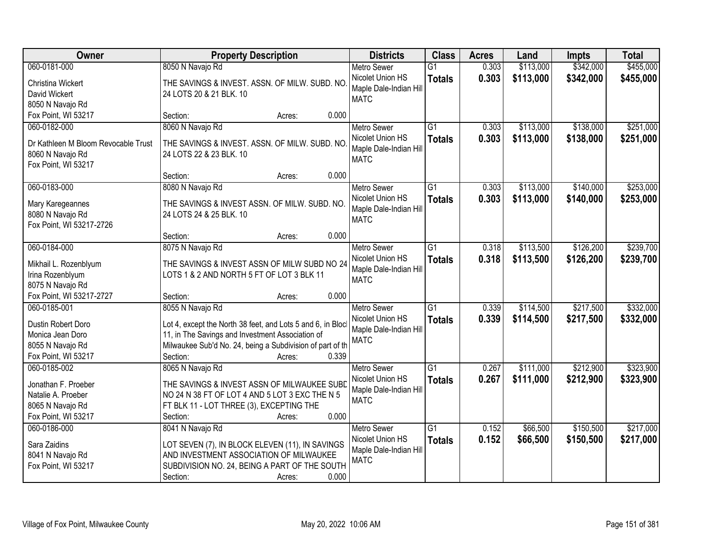| Owner                                | <b>Property Description</b>                                              | <b>Districts</b>                           | <b>Class</b>    | <b>Acres</b> | Land      | Impts     | <b>Total</b> |
|--------------------------------------|--------------------------------------------------------------------------|--------------------------------------------|-----------------|--------------|-----------|-----------|--------------|
| 060-0181-000                         | 8050 N Navajo Rd                                                         | <b>Metro Sewer</b>                         | $\overline{G1}$ | 0.303        | \$113,000 | \$342,000 | \$455,000    |
| Christina Wickert                    | THE SAVINGS & INVEST. ASSN. OF MILW. SUBD. NO                            | Nicolet Union HS                           | <b>Totals</b>   | 0.303        | \$113,000 | \$342,000 | \$455,000    |
| David Wickert                        | 24 LOTS 20 & 21 BLK. 10                                                  | Maple Dale-Indian Hill                     |                 |              |           |           |              |
| 8050 N Navajo Rd                     |                                                                          | <b>MATC</b>                                |                 |              |           |           |              |
| Fox Point, WI 53217                  | 0.000<br>Section:<br>Acres:                                              |                                            |                 |              |           |           |              |
| 060-0182-000                         | 8060 N Navajo Rd                                                         | <b>Metro Sewer</b>                         | $\overline{G1}$ | 0.303        | \$113,000 | \$138,000 | \$251,000    |
| Dr Kathleen M Bloom Revocable Trust  | THE SAVINGS & INVEST. ASSN. OF MILW. SUBD. NO                            | Nicolet Union HS                           | <b>Totals</b>   | 0.303        | \$113,000 | \$138,000 | \$251,000    |
| 8060 N Navajo Rd                     | 24 LOTS 22 & 23 BLK. 10                                                  | Maple Dale-Indian Hill                     |                 |              |           |           |              |
| Fox Point, WI 53217                  |                                                                          | <b>MATC</b>                                |                 |              |           |           |              |
|                                      | 0.000<br>Section:<br>Acres:                                              |                                            |                 |              |           |           |              |
| 060-0183-000                         | 8080 N Navajo Rd                                                         | <b>Metro Sewer</b>                         | G1              | 0.303        | \$113,000 | \$140,000 | \$253,000    |
|                                      |                                                                          | Nicolet Union HS                           | <b>Totals</b>   | 0.303        | \$113,000 | \$140,000 | \$253,000    |
| Mary Karegeannes<br>8080 N Navajo Rd | THE SAVINGS & INVEST ASSN. OF MILW. SUBD. NO.<br>24 LOTS 24 & 25 BLK. 10 | Maple Dale-Indian Hill                     |                 |              |           |           |              |
| Fox Point, WI 53217-2726             |                                                                          | <b>MATC</b>                                |                 |              |           |           |              |
|                                      | 0.000<br>Section:<br>Acres:                                              |                                            |                 |              |           |           |              |
| 060-0184-000                         | 8075 N Navajo Rd                                                         | <b>Metro Sewer</b>                         | G1              | 0.318        | \$113,500 | \$126,200 | \$239,700    |
|                                      |                                                                          | Nicolet Union HS                           | <b>Totals</b>   | 0.318        | \$113,500 | \$126,200 | \$239,700    |
| Mikhail L. Rozenblyum                | THE SAVINGS & INVEST ASSN OF MILW SUBD NO 24                             | Maple Dale-Indian Hill                     |                 |              |           |           |              |
| Irina Rozenblyum                     | LOTS 1 & 2 AND NORTH 5 FT OF LOT 3 BLK 11                                | <b>MATC</b>                                |                 |              |           |           |              |
| 8075 N Navajo Rd                     |                                                                          |                                            |                 |              |           |           |              |
| Fox Point, WI 53217-2727             | 0.000<br>Section:<br>Acres:                                              |                                            |                 |              |           |           |              |
| 060-0185-001                         | 8055 N Navajo Rd                                                         | <b>Metro Sewer</b>                         | $\overline{G1}$ | 0.339        | \$114,500 | \$217,500 | \$332,000    |
| Dustin Robert Doro                   | Lot 4, except the North 38 feet, and Lots 5 and 6, in Block              | Nicolet Union HS<br>Maple Dale-Indian Hill | <b>Totals</b>   | 0.339        | \$114,500 | \$217,500 | \$332,000    |
| Monica Jean Doro                     | 11, in The Savings and Investment Association of                         | <b>MATC</b>                                |                 |              |           |           |              |
| 8055 N Navajo Rd                     | Milwaukee Sub'd No. 24, being a Subdivision of part of th                |                                            |                 |              |           |           |              |
| Fox Point, WI 53217                  | 0.339<br>Section:<br>Acres:                                              |                                            |                 |              |           |           |              |
| 060-0185-002                         | 8065 N Navajo Rd                                                         | <b>Metro Sewer</b>                         | $\overline{G1}$ | 0.267        | \$111,000 | \$212,900 | \$323,900    |
| Jonathan F. Proeber                  | THE SAVINGS & INVEST ASSN OF MILWAUKEE SUBD                              | Nicolet Union HS                           | <b>Totals</b>   | 0.267        | \$111,000 | \$212,900 | \$323,900    |
| Natalie A. Proeber                   | NO 24 N 38 FT OF LOT 4 AND 5 LOT 3 EXC THE N 5                           | Maple Dale-Indian Hill                     |                 |              |           |           |              |
| 8065 N Navajo Rd                     | FT BLK 11 - LOT THREE (3), EXCEPTING THE                                 | <b>MATC</b>                                |                 |              |           |           |              |
| Fox Point, WI 53217                  | 0.000<br>Section:<br>Acres:                                              |                                            |                 |              |           |           |              |
| 060-0186-000                         | 8041 N Navajo Rd                                                         | <b>Metro Sewer</b>                         | $\overline{G1}$ | 0.152        | \$66,500  | \$150,500 | \$217,000    |
| Sara Zaidins                         | LOT SEVEN (7), IN BLOCK ELEVEN (11), IN SAVINGS                          | Nicolet Union HS                           | <b>Totals</b>   | 0.152        | \$66,500  | \$150,500 | \$217,000    |
| 8041 N Navajo Rd                     | AND INVESTMENT ASSOCIATION OF MILWAUKEE                                  | Maple Dale-Indian Hill                     |                 |              |           |           |              |
| Fox Point, WI 53217                  | SUBDIVISION NO. 24, BEING A PART OF THE SOUTH                            | <b>MATC</b>                                |                 |              |           |           |              |
|                                      | 0.000<br>Section:<br>Acres:                                              |                                            |                 |              |           |           |              |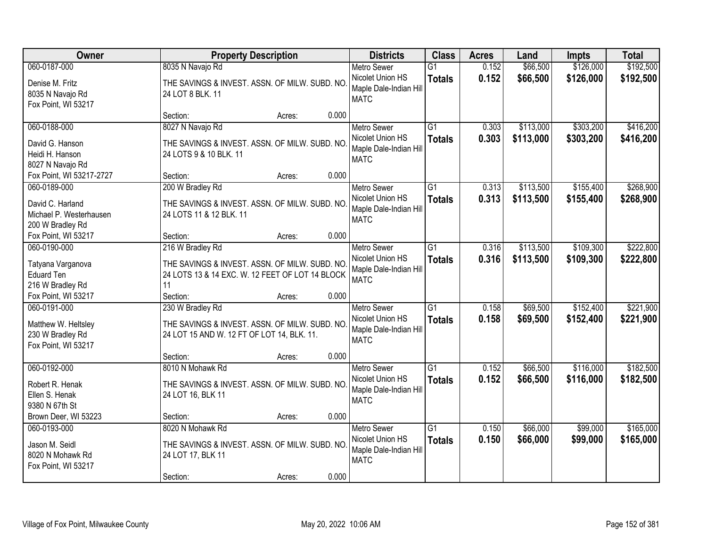| Owner                                                                           | <b>Property Description</b>                                                                                                |       | <b>Districts</b>                                                                | <b>Class</b>                     | <b>Acres</b>   | Land                   | Impts                  | <b>Total</b>           |
|---------------------------------------------------------------------------------|----------------------------------------------------------------------------------------------------------------------------|-------|---------------------------------------------------------------------------------|----------------------------------|----------------|------------------------|------------------------|------------------------|
| 060-0187-000                                                                    | 8035 N Navajo Rd                                                                                                           |       | <b>Metro Sewer</b>                                                              | $\overline{G1}$                  | 0.152          | \$66,500               | \$126,000              | \$192,500              |
| Denise M. Fritz<br>8035 N Navajo Rd<br>Fox Point, WI 53217                      | THE SAVINGS & INVEST. ASSN. OF MILW. SUBD. NO<br>24 LOT 8 BLK. 11                                                          |       | Nicolet Union HS<br>Maple Dale-Indian Hill<br><b>MATC</b>                       | <b>Totals</b>                    | 0.152          | \$66,500               | \$126,000              | \$192,500              |
|                                                                                 | Section:<br>Acres:                                                                                                         | 0.000 |                                                                                 |                                  |                |                        |                        |                        |
| 060-0188-000<br>David G. Hanson<br>Heidi H. Hanson<br>8027 N Navajo Rd          | 8027 N Navajo Rd<br>THE SAVINGS & INVEST. ASSN. OF MILW. SUBD. NO<br>24 LOTS 9 & 10 BLK. 11                                |       | <b>Metro Sewer</b><br>Nicolet Union HS<br>Maple Dale-Indian Hill<br><b>MATC</b> | $\overline{G1}$<br><b>Totals</b> | 0.303<br>0.303 | \$113,000<br>\$113,000 | \$303,200<br>\$303,200 | \$416,200<br>\$416,200 |
| Fox Point, WI 53217-2727                                                        | Section:<br>Acres:                                                                                                         | 0.000 |                                                                                 |                                  |                |                        |                        |                        |
| 060-0189-000<br>David C. Harland<br>Michael P. Westerhausen<br>200 W Bradley Rd | 200 W Bradley Rd<br>THE SAVINGS & INVEST. ASSN. OF MILW. SUBD. NO<br>24 LOTS 11 & 12 BLK. 11                               |       | <b>Metro Sewer</b><br>Nicolet Union HS<br>Maple Dale-Indian Hill<br><b>MATC</b> | $\overline{G1}$<br><b>Totals</b> | 0.313<br>0.313 | \$113,500<br>\$113,500 | \$155,400<br>\$155,400 | \$268,900<br>\$268,900 |
| Fox Point, WI 53217                                                             | Section:<br>Acres:                                                                                                         | 0.000 |                                                                                 |                                  |                |                        |                        |                        |
| 060-0190-000<br>Tatyana Varganova<br><b>Eduard Ten</b><br>216 W Bradley Rd      | 216 W Bradley Rd<br>THE SAVINGS & INVEST. ASSN. OF MILW. SUBD. NO<br>24 LOTS 13 & 14 EXC. W. 12 FEET OF LOT 14 BLOCK<br>11 |       | <b>Metro Sewer</b><br>Nicolet Union HS<br>Maple Dale-Indian Hill<br><b>MATC</b> | $\overline{G1}$<br><b>Totals</b> | 0.316<br>0.316 | \$113,500<br>\$113,500 | \$109,300<br>\$109,300 | \$222,800<br>\$222,800 |
| Fox Point, WI 53217                                                             | Section:<br>Acres:                                                                                                         | 0.000 |                                                                                 |                                  |                |                        |                        |                        |
| 060-0191-000<br>Matthew W. Heltsley<br>230 W Bradley Rd<br>Fox Point, WI 53217  | 230 W Bradley Rd<br>THE SAVINGS & INVEST. ASSN. OF MILW. SUBD. NO<br>24 LOT 15 AND W. 12 FT OF LOT 14, BLK. 11.            |       | <b>Metro Sewer</b><br>Nicolet Union HS<br>Maple Dale-Indian Hill<br><b>MATC</b> | $\overline{G1}$<br><b>Totals</b> | 0.158<br>0.158 | \$69,500<br>\$69,500   | \$152,400<br>\$152,400 | \$221,900<br>\$221,900 |
|                                                                                 | Section:<br>Acres:                                                                                                         | 0.000 |                                                                                 |                                  |                |                        |                        |                        |
| 060-0192-000<br>Robert R. Henak<br>Ellen S. Henak<br>9380 N 67th St             | 8010 N Mohawk Rd<br>THE SAVINGS & INVEST. ASSN. OF MILW. SUBD. NO<br>24 LOT 16, BLK 11                                     |       | Metro Sewer<br>Nicolet Union HS<br>Maple Dale-Indian Hill<br><b>MATC</b>        | G1<br><b>Totals</b>              | 0.152<br>0.152 | \$66,500<br>\$66,500   | \$116,000<br>\$116,000 | \$182,500<br>\$182,500 |
| Brown Deer, WI 53223                                                            | Section:<br>Acres:                                                                                                         | 0.000 |                                                                                 |                                  |                |                        |                        |                        |
| 060-0193-000<br>Jason M. Seidl<br>8020 N Mohawk Rd<br>Fox Point, WI 53217       | 8020 N Mohawk Rd<br>THE SAVINGS & INVEST. ASSN. OF MILW. SUBD. NO<br>24 LOT 17, BLK 11<br>Section:<br>Acres:               | 0.000 | <b>Metro Sewer</b><br>Nicolet Union HS<br>Maple Dale-Indian Hill<br><b>MATC</b> | G1<br><b>Totals</b>              | 0.150<br>0.150 | \$66,000<br>\$66,000   | \$99,000<br>\$99,000   | \$165,000<br>\$165,000 |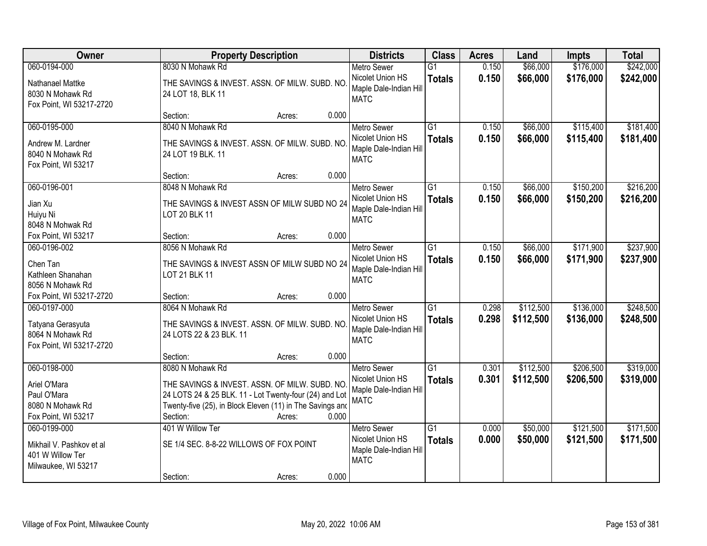| Owner                                                                               | <b>Property Description</b>                                                                                                                                                                         | <b>Districts</b>                                                                | <b>Class</b>                     | <b>Acres</b>   | Land                   | Impts                  | <b>Total</b>           |
|-------------------------------------------------------------------------------------|-----------------------------------------------------------------------------------------------------------------------------------------------------------------------------------------------------|---------------------------------------------------------------------------------|----------------------------------|----------------|------------------------|------------------------|------------------------|
| 060-0194-000                                                                        | 8030 N Mohawk Rd                                                                                                                                                                                    | <b>Metro Sewer</b>                                                              | $\overline{G1}$                  | 0.150          | \$66,000               | \$176,000              | \$242,000              |
| Nathanael Mattke<br>8030 N Mohawk Rd<br>Fox Point, WI 53217-2720                    | THE SAVINGS & INVEST. ASSN. OF MILW. SUBD. NO<br>24 LOT 18, BLK 11                                                                                                                                  | Nicolet Union HS<br>Maple Dale-Indian Hill<br><b>MATC</b>                       | <b>Totals</b>                    | 0.150          | \$66,000               | \$176,000              | \$242,000              |
|                                                                                     | 0.000<br>Section:<br>Acres:                                                                                                                                                                         |                                                                                 |                                  |                |                        |                        |                        |
| 060-0195-000<br>Andrew M. Lardner<br>8040 N Mohawk Rd<br>Fox Point, WI 53217        | 8040 N Mohawk Rd<br>THE SAVINGS & INVEST. ASSN. OF MILW. SUBD. NO<br>24 LOT 19 BLK. 11                                                                                                              | <b>Metro Sewer</b><br>Nicolet Union HS<br>Maple Dale-Indian Hill<br><b>MATC</b> | $\overline{G1}$<br><b>Totals</b> | 0.150<br>0.150 | \$66,000<br>\$66,000   | \$115,400<br>\$115,400 | \$181,400<br>\$181,400 |
|                                                                                     | 0.000<br>Section:<br>Acres:                                                                                                                                                                         |                                                                                 |                                  |                |                        |                        |                        |
| 060-0196-001<br>Jian Xu<br>Huiyu Ni<br>8048 N Mohwak Rd                             | 8048 N Mohawk Rd<br>THE SAVINGS & INVEST ASSN OF MILW SUBD NO 24<br><b>LOT 20 BLK 11</b>                                                                                                            | Metro Sewer<br>Nicolet Union HS<br>Maple Dale-Indian Hill<br><b>MATC</b>        | $\overline{G1}$<br><b>Totals</b> | 0.150<br>0.150 | \$66,000<br>\$66,000   | \$150,200<br>\$150,200 | \$216,200<br>\$216,200 |
| Fox Point, WI 53217                                                                 | 0.000<br>Section:<br>Acres:                                                                                                                                                                         |                                                                                 |                                  |                |                        |                        |                        |
| 060-0196-002<br>Chen Tan<br>Kathleen Shanahan<br>8056 N Mohawk Rd                   | 8056 N Mohawk Rd<br>THE SAVINGS & INVEST ASSN OF MILW SUBD NO 24<br>LOT 21 BLK 11                                                                                                                   | <b>Metro Sewer</b><br>Nicolet Union HS<br>Maple Dale-Indian Hill<br><b>MATC</b> | $\overline{G1}$<br><b>Totals</b> | 0.150<br>0.150 | \$66,000<br>\$66,000   | \$171,900<br>\$171,900 | \$237,900<br>\$237,900 |
| Fox Point, WI 53217-2720                                                            | 0.000<br>Section:<br>Acres:                                                                                                                                                                         |                                                                                 |                                  |                |                        |                        |                        |
| 060-0197-000<br>Tatyana Gerasyuta<br>8064 N Mohawk Rd<br>Fox Point, WI 53217-2720   | 8064 N Mohawk Rd<br>THE SAVINGS & INVEST. ASSN. OF MILW. SUBD. NO<br>24 LOTS 22 & 23 BLK. 11<br>0.000                                                                                               | <b>Metro Sewer</b><br>Nicolet Union HS<br>Maple Dale-Indian Hill<br><b>MATC</b> | $\overline{G1}$<br><b>Totals</b> | 0.298<br>0.298 | \$112,500<br>\$112,500 | \$136,000<br>\$136,000 | \$248,500<br>\$248,500 |
| 060-0198-000                                                                        | Section:<br>Acres:<br>8080 N Mohawk Rd                                                                                                                                                              | <b>Metro Sewer</b>                                                              | $\overline{G1}$                  | 0.301          | \$112,500              | \$206,500              | \$319,000              |
| Ariel O'Mara<br>Paul O'Mara<br>8080 N Mohawk Rd<br>Fox Point, WI 53217              | THE SAVINGS & INVEST. ASSN. OF MILW. SUBD. NO<br>24 LOTS 24 & 25 BLK. 11 - Lot Twenty-four (24) and Lot<br>Twenty-five (25), in Block Eleven (11) in The Savings and<br>0.000<br>Section:<br>Acres: | Nicolet Union HS<br>Maple Dale-Indian Hill<br><b>MATC</b>                       | <b>Totals</b>                    | 0.301          | \$112,500              | \$206,500              | \$319,000              |
| 060-0199-000<br>Mikhail V. Pashkov et al<br>401 W Willow Ter<br>Milwaukee, WI 53217 | 401 W Willow Ter<br>SE 1/4 SEC. 8-8-22 WILLOWS OF FOX POINT<br>0.000<br>Section:<br>Acres:                                                                                                          | <b>Metro Sewer</b><br>Nicolet Union HS<br>Maple Dale-Indian Hill<br><b>MATC</b> | $\overline{G1}$<br><b>Totals</b> | 0.000<br>0.000 | \$50,000<br>\$50,000   | \$121,500<br>\$121,500 | \$171,500<br>\$171,500 |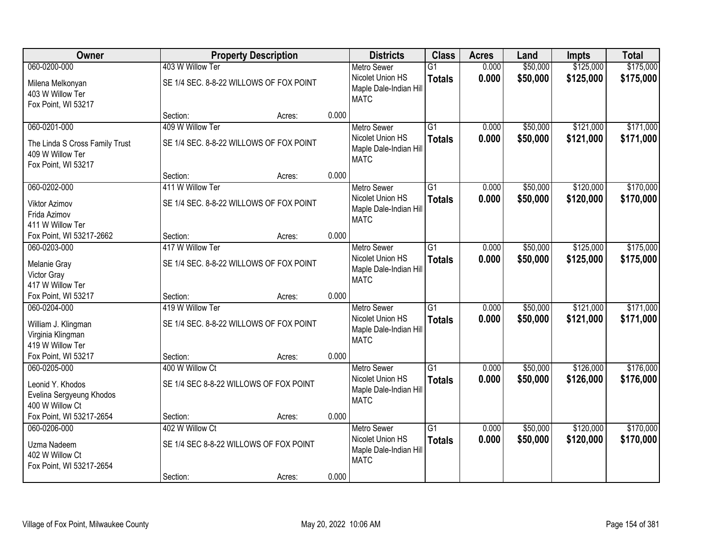| Owner                                                                                     |                                                             | <b>Property Description</b> |       | <b>Districts</b>                                                                | <b>Class</b>                     | <b>Acres</b>   | Land                 | Impts                  | <b>Total</b>           |
|-------------------------------------------------------------------------------------------|-------------------------------------------------------------|-----------------------------|-------|---------------------------------------------------------------------------------|----------------------------------|----------------|----------------------|------------------------|------------------------|
| 060-0200-000                                                                              | 403 W Willow Ter                                            |                             |       | <b>Metro Sewer</b>                                                              | $\overline{G1}$                  | 0.000          | \$50,000             | \$125,000              | \$175,000              |
| Milena Melkonyan<br>403 W Willow Ter<br>Fox Point, WI 53217                               | SE 1/4 SEC. 8-8-22 WILLOWS OF FOX POINT                     |                             |       | Nicolet Union HS<br>Maple Dale-Indian Hill<br><b>MATC</b>                       | <b>Totals</b>                    | 0.000          | \$50,000             | \$125,000              | \$175,000              |
|                                                                                           | Section:                                                    | Acres:                      | 0.000 |                                                                                 |                                  |                |                      |                        |                        |
| 060-0201-000<br>The Linda S Cross Family Trust<br>409 W Willow Ter<br>Fox Point, WI 53217 | 409 W Willow Ter<br>SE 1/4 SEC. 8-8-22 WILLOWS OF FOX POINT |                             |       | <b>Metro Sewer</b><br>Nicolet Union HS<br>Maple Dale-Indian Hill<br><b>MATC</b> | $\overline{G1}$<br><b>Totals</b> | 0.000<br>0.000 | \$50,000<br>\$50,000 | \$121,000<br>\$121,000 | \$171,000<br>\$171,000 |
|                                                                                           | Section:                                                    | Acres:                      | 0.000 |                                                                                 |                                  |                |                      |                        |                        |
| 060-0202-000                                                                              | 411 W Willow Ter                                            |                             |       | <b>Metro Sewer</b>                                                              | G1                               | 0.000          | \$50,000             | \$120,000              | \$170,000              |
| <b>Viktor Azimov</b><br>Frida Azimov<br>411 W Willow Ter                                  | SE 1/4 SEC. 8-8-22 WILLOWS OF FOX POINT                     |                             |       | Nicolet Union HS<br>Maple Dale-Indian Hill<br><b>MATC</b>                       | <b>Totals</b>                    | 0.000          | \$50,000             | \$120,000              | \$170,000              |
| Fox Point, WI 53217-2662                                                                  | Section:                                                    | Acres:                      | 0.000 |                                                                                 |                                  |                |                      |                        |                        |
| 060-0203-000                                                                              | 417 W Willow Ter                                            |                             |       | <b>Metro Sewer</b>                                                              | G1                               | 0.000          | \$50,000             | \$125,000              | \$175,000              |
| Melanie Gray<br>Victor Gray<br>417 W Willow Ter                                           | SE 1/4 SEC. 8-8-22 WILLOWS OF FOX POINT                     |                             |       | Nicolet Union HS<br>Maple Dale-Indian Hill<br><b>MATC</b>                       | <b>Totals</b>                    | 0.000          | \$50,000             | \$125,000              | \$175,000              |
| Fox Point, WI 53217                                                                       | Section:                                                    | Acres:                      | 0.000 |                                                                                 |                                  |                |                      |                        |                        |
| 060-0204-000<br>William J. Klingman<br>Virginia Klingman<br>419 W Willow Ter              | 419 W Willow Ter<br>SE 1/4 SEC. 8-8-22 WILLOWS OF FOX POINT |                             |       | <b>Metro Sewer</b><br>Nicolet Union HS<br>Maple Dale-Indian Hill<br><b>MATC</b> | $\overline{G1}$<br><b>Totals</b> | 0.000<br>0.000 | \$50,000<br>\$50,000 | \$121,000<br>\$121,000 | \$171,000<br>\$171,000 |
| Fox Point, WI 53217                                                                       | Section:                                                    | Acres:                      | 0.000 |                                                                                 |                                  |                |                      |                        |                        |
| 060-0205-000<br>Leonid Y. Khodos<br>Evelina Sergyeung Khodos<br>400 W Willow Ct           | 400 W Willow Ct<br>SE 1/4 SEC 8-8-22 WILLOWS OF FOX POINT   |                             |       | <b>Metro Sewer</b><br>Nicolet Union HS<br>Maple Dale-Indian Hill<br><b>MATC</b> | $\overline{G1}$<br><b>Totals</b> | 0.000<br>0.000 | \$50,000<br>\$50,000 | \$126,000<br>\$126,000 | \$176,000<br>\$176,000 |
| Fox Point, WI 53217-2654                                                                  | Section:                                                    | Acres:                      | 0.000 |                                                                                 |                                  |                |                      |                        |                        |
| 060-0206-000<br>Uzma Nadeem<br>402 W Willow Ct<br>Fox Point, WI 53217-2654                | 402 W Willow Ct<br>SE 1/4 SEC 8-8-22 WILLOWS OF FOX POINT   |                             |       | <b>Metro Sewer</b><br>Nicolet Union HS<br>Maple Dale-Indian Hill<br><b>MATC</b> | $\overline{G1}$<br><b>Totals</b> | 0.000<br>0.000 | \$50,000<br>\$50,000 | \$120,000<br>\$120,000 | \$170,000<br>\$170,000 |
|                                                                                           | Section:                                                    | Acres:                      | 0.000 |                                                                                 |                                  |                |                      |                        |                        |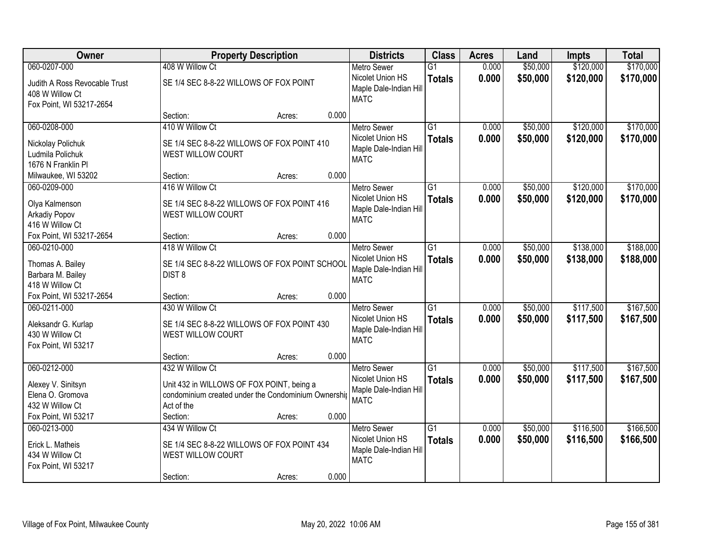| Owner                                                                         | <b>Property Description</b>                                                                                                       |        |       | <b>Districts</b>                                                                | <b>Class</b>                     | <b>Acres</b>   | Land                 | <b>Impts</b>           | <b>Total</b>           |
|-------------------------------------------------------------------------------|-----------------------------------------------------------------------------------------------------------------------------------|--------|-------|---------------------------------------------------------------------------------|----------------------------------|----------------|----------------------|------------------------|------------------------|
| 060-0207-000                                                                  | 408 W Willow Ct                                                                                                                   |        |       | <b>Metro Sewer</b>                                                              | $\overline{G1}$                  | 0.000          | \$50,000             | \$120,000              | \$170,000              |
| Judith A Ross Revocable Trust<br>408 W Willow Ct<br>Fox Point, WI 53217-2654  | SE 1/4 SEC 8-8-22 WILLOWS OF FOX POINT                                                                                            |        |       | Nicolet Union HS<br>Maple Dale-Indian Hill<br><b>MATC</b>                       | <b>Totals</b>                    | 0.000          | \$50,000             | \$120,000              | \$170,000              |
|                                                                               | Section:                                                                                                                          | Acres: | 0.000 |                                                                                 |                                  |                |                      |                        |                        |
| 060-0208-000                                                                  | 410 W Willow Ct                                                                                                                   |        |       | <b>Metro Sewer</b>                                                              | $\overline{G1}$                  | 0.000          | \$50,000             | \$120,000              | \$170,000              |
| Nickolay Polichuk<br>Ludmila Polichuk<br>1676 N Franklin Pl                   | SE 1/4 SEC 8-8-22 WILLOWS OF FOX POINT 410<br>WEST WILLOW COURT                                                                   |        |       | Nicolet Union HS<br>Maple Dale-Indian Hill<br><b>MATC</b>                       | <b>Totals</b>                    | 0.000          | \$50,000             | \$120,000              | \$170,000              |
| Milwaukee, WI 53202                                                           | Section:                                                                                                                          | Acres: | 0.000 |                                                                                 |                                  |                |                      |                        |                        |
| 060-0209-000                                                                  | 416 W Willow Ct                                                                                                                   |        |       | <b>Metro Sewer</b>                                                              | G1                               | 0.000          | \$50,000             | \$120,000              | \$170,000              |
| Olya Kalmenson<br>Arkadiy Popov<br>416 W Willow Ct                            | SE 1/4 SEC 8-8-22 WILLOWS OF FOX POINT 416<br>WEST WILLOW COURT                                                                   |        |       | Nicolet Union HS<br>Maple Dale-Indian Hill<br><b>MATC</b>                       | <b>Totals</b>                    | 0.000          | \$50,000             | \$120,000              | \$170,000              |
| Fox Point, WI 53217-2654                                                      | Section:                                                                                                                          | Acres: | 0.000 |                                                                                 |                                  |                |                      |                        |                        |
| 060-0210-000                                                                  | 418 W Willow Ct                                                                                                                   |        |       | <b>Metro Sewer</b>                                                              | G1                               | 0.000          | \$50,000             | \$138,000              | \$188,000              |
| Thomas A. Bailey<br>Barbara M. Bailey<br>418 W Willow Ct                      | SE 1/4 SEC 8-8-22 WILLOWS OF FOX POINT SCHOOL<br>DIST <sub>8</sub>                                                                |        |       | Nicolet Union HS<br>Maple Dale-Indian Hill<br><b>MATC</b>                       | <b>Totals</b>                    | 0.000          | \$50,000             | \$138,000              | \$188,000              |
| Fox Point, WI 53217-2654                                                      | Section:                                                                                                                          | Acres: | 0.000 |                                                                                 |                                  |                |                      |                        |                        |
| 060-0211-000<br>Aleksandr G. Kurlap<br>430 W Willow Ct<br>Fox Point, WI 53217 | 430 W Willow Ct<br>SE 1/4 SEC 8-8-22 WILLOWS OF FOX POINT 430<br><b>WEST WILLOW COURT</b>                                         |        |       | <b>Metro Sewer</b><br>Nicolet Union HS<br>Maple Dale-Indian Hill<br><b>MATC</b> | $\overline{G1}$<br><b>Totals</b> | 0.000<br>0.000 | \$50,000<br>\$50,000 | \$117,500<br>\$117,500 | \$167,500<br>\$167,500 |
|                                                                               | Section:                                                                                                                          | Acres: | 0.000 |                                                                                 |                                  |                |                      |                        |                        |
| 060-0212-000<br>Alexey V. Sinitsyn<br>Elena O. Gromova<br>432 W Willow Ct     | 432 W Willow Ct<br>Unit 432 in WILLOWS OF FOX POINT, being a<br>condominium created under the Condominium Ownership<br>Act of the |        |       | <b>Metro Sewer</b><br>Nicolet Union HS<br>Maple Dale-Indian Hill<br><b>MATC</b> | $\overline{G1}$<br><b>Totals</b> | 0.000<br>0.000 | \$50,000<br>\$50,000 | \$117,500<br>\$117,500 | \$167,500<br>\$167,500 |
| Fox Point, WI 53217                                                           | Section:                                                                                                                          | Acres: | 0.000 |                                                                                 |                                  |                |                      |                        |                        |
| 060-0213-000<br>Erick L. Matheis<br>434 W Willow Ct<br>Fox Point, WI 53217    | 434 W Willow Ct<br>SE 1/4 SEC 8-8-22 WILLOWS OF FOX POINT 434<br>WEST WILLOW COURT<br>Section:                                    | Acres: | 0.000 | <b>Metro Sewer</b><br>Nicolet Union HS<br>Maple Dale-Indian Hill<br><b>MATC</b> | $\overline{G1}$<br><b>Totals</b> | 0.000<br>0.000 | \$50,000<br>\$50,000 | \$116,500<br>\$116,500 | \$166,500<br>\$166,500 |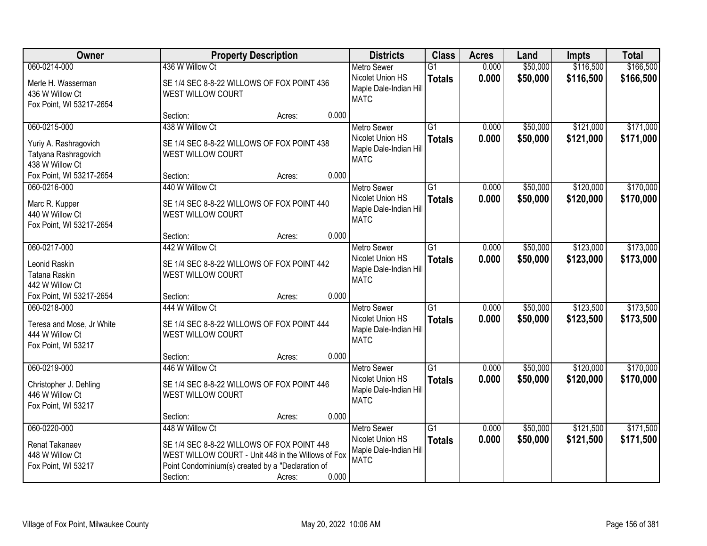| Owner                                                            | <b>Property Description</b>                                                                                                                           |        | <b>Districts</b>                                          | <b>Class</b>                     | <b>Acres</b>   | Land                 | Impts                  | <b>Total</b>           |
|------------------------------------------------------------------|-------------------------------------------------------------------------------------------------------------------------------------------------------|--------|-----------------------------------------------------------|----------------------------------|----------------|----------------------|------------------------|------------------------|
| 060-0214-000<br>Merle H. Wasserman                               | 436 W Willow Ct<br>SE 1/4 SEC 8-8-22 WILLOWS OF FOX POINT 436                                                                                         |        | <b>Metro Sewer</b><br>Nicolet Union HS                    | $\overline{G1}$<br><b>Totals</b> | 0.000<br>0.000 | \$50,000<br>\$50,000 | \$116,500<br>\$116,500 | \$166,500<br>\$166,500 |
| 436 W Willow Ct<br>Fox Point, WI 53217-2654                      | WEST WILLOW COURT                                                                                                                                     |        | Maple Dale-Indian Hill<br><b>MATC</b>                     |                                  |                |                      |                        |                        |
|                                                                  | Section:                                                                                                                                              | Acres: | 0.000                                                     |                                  |                |                      |                        |                        |
| 060-0215-000                                                     | 438 W Willow Ct                                                                                                                                       |        | <b>Metro Sewer</b>                                        | $\overline{G1}$                  | 0.000          | \$50,000             | \$121,000              | \$171,000              |
| Yuriy A. Rashragovich<br>Tatyana Rashragovich<br>438 W Willow Ct | SE 1/4 SEC 8-8-22 WILLOWS OF FOX POINT 438<br>WEST WILLOW COURT                                                                                       |        | Nicolet Union HS<br>Maple Dale-Indian Hill<br><b>MATC</b> | <b>Totals</b>                    | 0.000          | \$50,000             | \$121,000              | \$171,000              |
| Fox Point, WI 53217-2654                                         | Section:                                                                                                                                              | Acres: | 0.000                                                     |                                  |                |                      |                        |                        |
| 060-0216-000                                                     | 440 W Willow Ct                                                                                                                                       |        | <b>Metro Sewer</b>                                        | G1                               | 0.000          | \$50,000             | \$120,000              | \$170,000              |
| Marc R. Kupper<br>440 W Willow Ct<br>Fox Point, WI 53217-2654    | SE 1/4 SEC 8-8-22 WILLOWS OF FOX POINT 440<br>WEST WILLOW COURT                                                                                       |        | Nicolet Union HS<br>Maple Dale-Indian Hill<br><b>MATC</b> | <b>Totals</b>                    | 0.000          | \$50,000             | \$120,000              | \$170,000              |
|                                                                  | Section:                                                                                                                                              | Acres: | 0.000                                                     |                                  |                |                      |                        |                        |
| 060-0217-000                                                     | 442 W Willow Ct                                                                                                                                       |        | <b>Metro Sewer</b>                                        | G1                               | 0.000          | \$50,000             | \$123,000              | \$173,000              |
| Leonid Raskin<br>Tatana Raskin<br>442 W Willow Ct                | SE 1/4 SEC 8-8-22 WILLOWS OF FOX POINT 442<br>WEST WILLOW COURT                                                                                       |        | Nicolet Union HS<br>Maple Dale-Indian Hill<br><b>MATC</b> | <b>Totals</b>                    | 0.000          | \$50,000             | \$123,000              | \$173,000              |
| Fox Point, WI 53217-2654                                         | Section:                                                                                                                                              | Acres: | 0.000                                                     |                                  |                |                      |                        |                        |
| 060-0218-000                                                     | 444 W Willow Ct                                                                                                                                       |        | <b>Metro Sewer</b>                                        | $\overline{G1}$                  | 0.000          | \$50,000             | \$123,500              | \$173,500              |
| Teresa and Mose, Jr White<br>444 W Willow Ct                     | SE 1/4 SEC 8-8-22 WILLOWS OF FOX POINT 444<br>WEST WILLOW COURT                                                                                       |        | Nicolet Union HS<br>Maple Dale-Indian Hill<br><b>MATC</b> | <b>Totals</b>                    | 0.000          | \$50,000             | \$123,500              | \$173,500              |
| Fox Point, WI 53217                                              |                                                                                                                                                       |        |                                                           |                                  |                |                      |                        |                        |
| 060-0219-000                                                     | Section:<br>446 W Willow Ct                                                                                                                           | Acres: | 0.000<br><b>Metro Sewer</b>                               | $\overline{G1}$                  | 0.000          | \$50,000             | \$120,000              | \$170,000              |
| Christopher J. Dehling<br>446 W Willow Ct<br>Fox Point, WI 53217 | SE 1/4 SEC 8-8-22 WILLOWS OF FOX POINT 446<br>WEST WILLOW COURT                                                                                       |        | Nicolet Union HS<br>Maple Dale-Indian Hill<br><b>MATC</b> | <b>Totals</b>                    | 0.000          | \$50,000             | \$120,000              | \$170,000              |
|                                                                  | Section:                                                                                                                                              | Acres: | 0.000                                                     |                                  |                |                      |                        |                        |
| 060-0220-000                                                     | 448 W Willow Ct                                                                                                                                       |        | <b>Metro Sewer</b>                                        | $\overline{G1}$                  | 0.000          | \$50,000             | \$121,500              | \$171,500              |
| Renat Takanaev<br>448 W Willow Ct<br>Fox Point, WI 53217         | SE 1/4 SEC 8-8-22 WILLOWS OF FOX POINT 448<br>WEST WILLOW COURT - Unit 448 in the Willows of Fox<br>Point Condominium(s) created by a "Declaration of |        | Nicolet Union HS<br>Maple Dale-Indian Hill<br><b>MATC</b> | <b>Totals</b>                    | 0.000          | \$50,000             | \$121,500              | \$171,500              |
|                                                                  | Section:                                                                                                                                              | Acres: | 0.000                                                     |                                  |                |                      |                        |                        |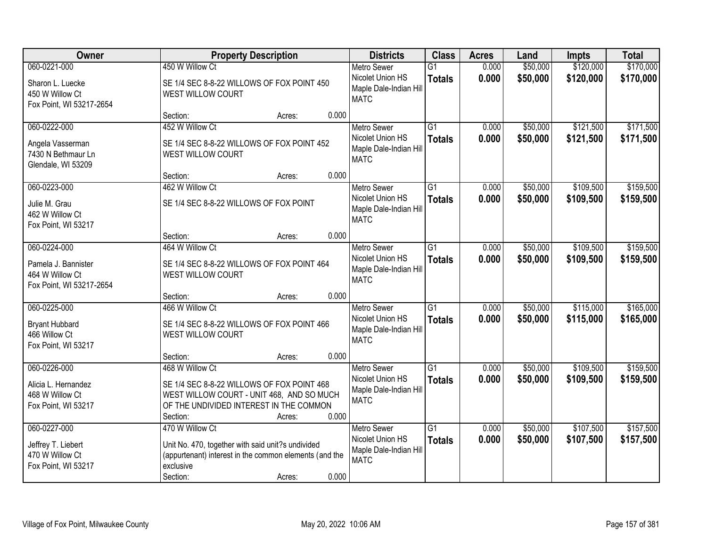| Owner                                                                              | <b>Property Description</b>                                                                                                                                                          | <b>Districts</b>                                                                | <b>Class</b>                     | <b>Acres</b>   | Land                 | Impts                  | <b>Total</b>           |
|------------------------------------------------------------------------------------|--------------------------------------------------------------------------------------------------------------------------------------------------------------------------------------|---------------------------------------------------------------------------------|----------------------------------|----------------|----------------------|------------------------|------------------------|
| 060-0221-000<br>Sharon L. Luecke<br>450 W Willow Ct<br>Fox Point, WI 53217-2654    | 450 W Willow Ct<br>SE 1/4 SEC 8-8-22 WILLOWS OF FOX POINT 450<br><b>WEST WILLOW COURT</b>                                                                                            | <b>Metro Sewer</b><br>Nicolet Union HS<br>Maple Dale-Indian Hill<br><b>MATC</b> | $\overline{G1}$<br><b>Totals</b> | 0.000<br>0.000 | \$50,000<br>\$50,000 | \$120,000<br>\$120,000 | \$170,000<br>\$170,000 |
|                                                                                    | 0.000<br>Section:<br>Acres:                                                                                                                                                          |                                                                                 |                                  |                |                      |                        |                        |
| 060-0222-000<br>Angela Vasserman<br>7430 N Bethmaur Ln<br>Glendale, WI 53209       | 452 W Willow Ct<br>SE 1/4 SEC 8-8-22 WILLOWS OF FOX POINT 452<br>WEST WILLOW COURT                                                                                                   | <b>Metro Sewer</b><br>Nicolet Union HS<br>Maple Dale-Indian Hill<br><b>MATC</b> | $\overline{G1}$<br><b>Totals</b> | 0.000<br>0.000 | \$50,000<br>\$50,000 | \$121,500<br>\$121,500 | \$171,500<br>\$171,500 |
|                                                                                    | 0.000<br>Section:<br>Acres:                                                                                                                                                          |                                                                                 |                                  |                |                      |                        |                        |
| 060-0223-000<br>Julie M. Grau<br>462 W Willow Ct<br>Fox Point, WI 53217            | 462 W Willow Ct<br>SE 1/4 SEC 8-8-22 WILLOWS OF FOX POINT                                                                                                                            | <b>Metro Sewer</b><br>Nicolet Union HS<br>Maple Dale-Indian Hill<br><b>MATC</b> | G1<br><b>Totals</b>              | 0.000<br>0.000 | \$50,000<br>\$50,000 | \$109,500<br>\$109,500 | \$159,500<br>\$159,500 |
|                                                                                    | 0.000<br>Section:<br>Acres:                                                                                                                                                          |                                                                                 |                                  |                |                      |                        |                        |
| 060-0224-000<br>Pamela J. Bannister<br>464 W Willow Ct<br>Fox Point, WI 53217-2654 | 464 W Willow Ct<br>SE 1/4 SEC 8-8-22 WILLOWS OF FOX POINT 464<br>WEST WILLOW COURT                                                                                                   | <b>Metro Sewer</b><br>Nicolet Union HS<br>Maple Dale-Indian Hill<br><b>MATC</b> | G1<br><b>Totals</b>              | 0.000<br>0.000 | \$50,000<br>\$50,000 | \$109,500<br>\$109,500 | \$159,500<br>\$159,500 |
|                                                                                    | 0.000<br>Section:<br>Acres:                                                                                                                                                          |                                                                                 |                                  |                |                      |                        |                        |
| 060-0225-000<br><b>Bryant Hubbard</b><br>466 Willow Ct<br>Fox Point, WI 53217      | 466 W Willow Ct<br>SE 1/4 SEC 8-8-22 WILLOWS OF FOX POINT 466<br><b>WEST WILLOW COURT</b>                                                                                            | <b>Metro Sewer</b><br>Nicolet Union HS<br>Maple Dale-Indian Hill<br><b>MATC</b> | $\overline{G1}$<br><b>Totals</b> | 0.000<br>0.000 | \$50,000<br>\$50,000 | \$115,000<br>\$115,000 | \$165,000<br>\$165,000 |
|                                                                                    | 0.000<br>Section:<br>Acres:                                                                                                                                                          |                                                                                 |                                  |                |                      |                        |                        |
| 060-0226-000<br>Alicia L. Hernandez<br>468 W Willow Ct<br>Fox Point, WI 53217      | 468 W Willow Ct<br>SE 1/4 SEC 8-8-22 WILLOWS OF FOX POINT 468<br>WEST WILLOW COURT - UNIT 468, AND SO MUCH<br>OF THE UNDIVIDED INTEREST IN THE COMMON<br>0.000<br>Section:<br>Acres: | <b>Metro Sewer</b><br>Nicolet Union HS<br>Maple Dale-Indian Hill<br><b>MATC</b> | $\overline{G1}$<br><b>Totals</b> | 0.000<br>0.000 | \$50,000<br>\$50,000 | \$109,500<br>\$109,500 | \$159,500<br>\$159,500 |
| 060-0227-000<br>Jeffrey T. Liebert<br>470 W Willow Ct<br>Fox Point, WI 53217       | 470 W Willow Ct<br>Unit No. 470, together with said unit?s undivided<br>(appurtenant) interest in the common elements (and the<br>exclusive<br>0.000<br>Section:<br>Acres:           | <b>Metro Sewer</b><br>Nicolet Union HS<br>Maple Dale-Indian Hill<br><b>MATC</b> | $\overline{G1}$<br><b>Totals</b> | 0.000<br>0.000 | \$50,000<br>\$50,000 | \$107,500<br>\$107,500 | \$157,500<br>\$157,500 |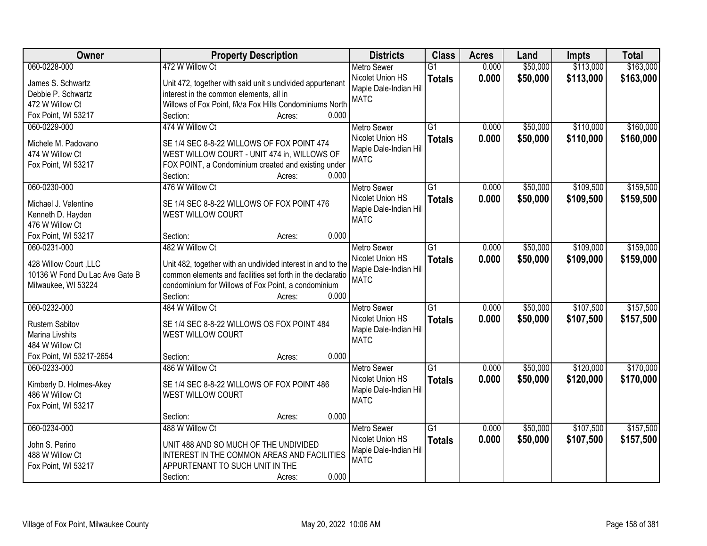| Owner                          | <b>Property Description</b>                                 | <b>Districts</b>       | <b>Class</b>    | <b>Acres</b> | Land     | Impts     | <b>Total</b> |
|--------------------------------|-------------------------------------------------------------|------------------------|-----------------|--------------|----------|-----------|--------------|
| 060-0228-000                   | 472 W Willow Ct                                             | <b>Metro Sewer</b>     | $\overline{G1}$ | 0.000        | \$50,000 | \$113,000 | \$163,000    |
| James S. Schwartz              | Unit 472, together with said unit s undivided appurtenant   | Nicolet Union HS       | <b>Totals</b>   | 0.000        | \$50,000 | \$113,000 | \$163,000    |
| Debbie P. Schwartz             | interest in the common elements, all in                     | Maple Dale-Indian Hill |                 |              |          |           |              |
| 472 W Willow Ct                | Willows of Fox Point, f/k/a Fox Hills Condominiums North    | <b>MATC</b>            |                 |              |          |           |              |
| Fox Point, WI 53217            | 0.000<br>Section:<br>Acres:                                 |                        |                 |              |          |           |              |
| 060-0229-000                   | 474 W Willow Ct                                             | <b>Metro Sewer</b>     | $\overline{G1}$ | 0.000        | \$50,000 | \$110,000 | \$160,000    |
|                                |                                                             | Nicolet Union HS       | <b>Totals</b>   | 0.000        | \$50,000 | \$110,000 | \$160,000    |
| Michele M. Padovano            | SE 1/4 SEC 8-8-22 WILLOWS OF FOX POINT 474                  | Maple Dale-Indian Hill |                 |              |          |           |              |
| 474 W Willow Ct                | WEST WILLOW COURT - UNIT 474 in, WILLOWS OF                 | <b>MATC</b>            |                 |              |          |           |              |
| Fox Point, WI 53217            | FOX POINT, a Condominium created and existing under         |                        |                 |              |          |           |              |
|                                | 0.000<br>Section:<br>Acres:                                 |                        |                 |              |          |           |              |
| 060-0230-000                   | 476 W Willow Ct                                             | <b>Metro Sewer</b>     | G1              | 0.000        | \$50,000 | \$109,500 | \$159,500    |
| Michael J. Valentine           | SE 1/4 SEC 8-8-22 WILLOWS OF FOX POINT 476                  | Nicolet Union HS       | <b>Totals</b>   | 0.000        | \$50,000 | \$109,500 | \$159,500    |
| Kenneth D. Hayden              | WEST WILLOW COURT                                           | Maple Dale-Indian Hill |                 |              |          |           |              |
| 476 W Willow Ct                |                                                             | <b>MATC</b>            |                 |              |          |           |              |
| Fox Point, WI 53217            | 0.000<br>Section:<br>Acres:                                 |                        |                 |              |          |           |              |
| 060-0231-000                   | 482 W Willow Ct                                             | <b>Metro Sewer</b>     | G1              | 0.000        | \$50,000 | \$109,000 | \$159,000    |
|                                |                                                             | Nicolet Union HS       | <b>Totals</b>   | 0.000        | \$50,000 | \$109,000 | \$159,000    |
| 428 Willow Court, LLC          | Unit 482, together with an undivided interest in and to the | Maple Dale-Indian Hill |                 |              |          |           |              |
| 10136 W Fond Du Lac Ave Gate B | common elements and facilities set forth in the declaratio  | <b>MATC</b>            |                 |              |          |           |              |
| Milwaukee, WI 53224            | condominium for Willows of Fox Point, a condominium         |                        |                 |              |          |           |              |
|                                | 0.000<br>Section:<br>Acres:                                 |                        |                 |              |          |           |              |
| 060-0232-000                   | 484 W Willow Ct                                             | <b>Metro Sewer</b>     | $\overline{G1}$ | 0.000        | \$50,000 | \$107,500 | \$157,500    |
| <b>Rustem Sabitov</b>          | SE 1/4 SEC 8-8-22 WILLOWS OS FOX POINT 484                  | Nicolet Union HS       | <b>Totals</b>   | 0.000        | \$50,000 | \$107,500 | \$157,500    |
| Marina Livshits                | <b>WEST WILLOW COURT</b>                                    | Maple Dale-Indian Hill |                 |              |          |           |              |
| 484 W Willow Ct                |                                                             | <b>MATC</b>            |                 |              |          |           |              |
| Fox Point, WI 53217-2654       | 0.000<br>Section:<br>Acres:                                 |                        |                 |              |          |           |              |
| 060-0233-000                   | 486 W Willow Ct                                             | <b>Metro Sewer</b>     | $\overline{G1}$ | 0.000        | \$50,000 | \$120,000 | \$170,000    |
|                                |                                                             | Nicolet Union HS       | <b>Totals</b>   | 0.000        | \$50,000 | \$120,000 | \$170,000    |
| Kimberly D. Holmes-Akey        | SE 1/4 SEC 8-8-22 WILLOWS OF FOX POINT 486                  | Maple Dale-Indian Hill |                 |              |          |           |              |
| 486 W Willow Ct                | WEST WILLOW COURT                                           | <b>MATC</b>            |                 |              |          |           |              |
| Fox Point, WI 53217            |                                                             |                        |                 |              |          |           |              |
|                                | 0.000<br>Section:<br>Acres:                                 |                        |                 |              |          |           |              |
| 060-0234-000                   | 488 W Willow Ct                                             | <b>Metro Sewer</b>     | $\overline{G1}$ | 0.000        | \$50,000 | \$107,500 | \$157,500    |
| John S. Perino                 | UNIT 488 AND SO MUCH OF THE UNDIVIDED                       | Nicolet Union HS       | <b>Totals</b>   | 0.000        | \$50,000 | \$107,500 | \$157,500    |
| 488 W Willow Ct                | INTEREST IN THE COMMON AREAS AND FACILITIES                 | Maple Dale-Indian Hill |                 |              |          |           |              |
| Fox Point, WI 53217            | APPURTENANT TO SUCH UNIT IN THE                             | <b>MATC</b>            |                 |              |          |           |              |
|                                | 0.000<br>Section:<br>Acres:                                 |                        |                 |              |          |           |              |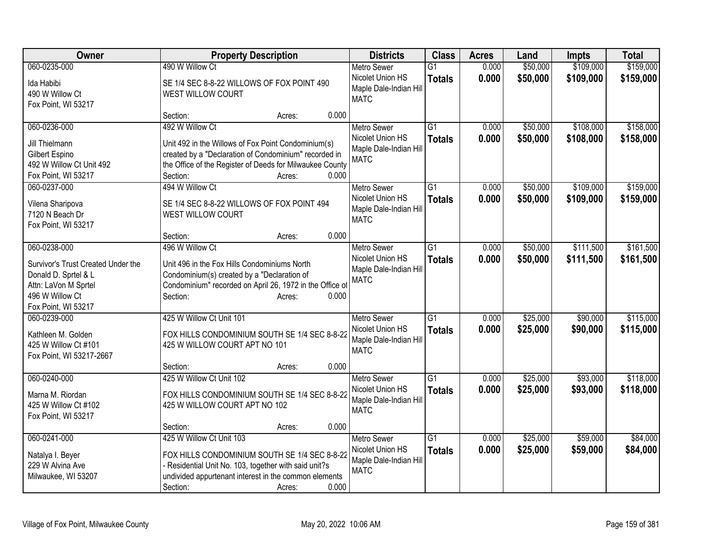| Owner                                      | <b>Property Description</b>                                                                                       | <b>Districts</b>                       | <b>Class</b>    | <b>Acres</b> | Land     | Impts     | <b>Total</b> |
|--------------------------------------------|-------------------------------------------------------------------------------------------------------------------|----------------------------------------|-----------------|--------------|----------|-----------|--------------|
| 060-0235-000                               | 490 W Willow Ct                                                                                                   | <b>Metro Sewer</b>                     | $\overline{G1}$ | 0.000        | \$50,000 | \$109,000 | \$159,000    |
| Ida Habibi                                 | SE 1/4 SEC 8-8-22 WILLOWS OF FOX POINT 490                                                                        | Nicolet Union HS                       | <b>Totals</b>   | 0.000        | \$50,000 | \$109,000 | \$159,000    |
| 490 W Willow Ct                            | WEST WILLOW COURT                                                                                                 | Maple Dale-Indian Hill                 |                 |              |          |           |              |
| Fox Point, WI 53217                        |                                                                                                                   | <b>MATC</b>                            |                 |              |          |           |              |
|                                            | 0.000<br>Section:<br>Acres:                                                                                       |                                        |                 |              |          |           |              |
| 060-0236-000                               | 492 W Willow Ct                                                                                                   | <b>Metro Sewer</b>                     | $\overline{G1}$ | 0.000        | \$50,000 | \$108,000 | \$158,000    |
|                                            |                                                                                                                   | Nicolet Union HS                       | <b>Totals</b>   | 0.000        | \$50,000 | \$108,000 | \$158,000    |
| Jill Thielmann                             | Unit 492 in the Willows of Fox Point Condominium(s)                                                               | Maple Dale-Indian Hill                 |                 |              |          |           |              |
| Gilbert Espino<br>492 W Willow Ct Unit 492 | created by a "Declaration of Condominium" recorded in<br>the Office of the Register of Deeds for Milwaukee County | <b>MATC</b>                            |                 |              |          |           |              |
| Fox Point, WI 53217                        | 0.000<br>Section:<br>Acres:                                                                                       |                                        |                 |              |          |           |              |
| 060-0237-000                               | 494 W Willow Ct                                                                                                   |                                        | $\overline{G1}$ | 0.000        | \$50,000 | \$109,000 | \$159,000    |
|                                            |                                                                                                                   | <b>Metro Sewer</b><br>Nicolet Union HS |                 |              |          |           |              |
| Vilena Sharipova                           | SE 1/4 SEC 8-8-22 WILLOWS OF FOX POINT 494                                                                        | Maple Dale-Indian Hill                 | <b>Totals</b>   | 0.000        | \$50,000 | \$109,000 | \$159,000    |
| 7120 N Beach Dr                            | WEST WILLOW COURT                                                                                                 | <b>MATC</b>                            |                 |              |          |           |              |
| Fox Point, WI 53217                        |                                                                                                                   |                                        |                 |              |          |           |              |
|                                            | 0.000<br>Section:<br>Acres:                                                                                       |                                        |                 |              |          |           |              |
| 060-0238-000                               | 496 W Willow Ct                                                                                                   | <b>Metro Sewer</b>                     | G1              | 0.000        | \$50,000 | \$111,500 | \$161,500    |
| Survivor's Trust Created Under the         | Unit 496 in the Fox Hills Condominiums North                                                                      | Nicolet Union HS                       | <b>Totals</b>   | 0.000        | \$50,000 | \$111,500 | \$161,500    |
| Donald D. Sprtel & L                       | Condominium(s) created by a "Declaration of                                                                       | Maple Dale-Indian Hill                 |                 |              |          |           |              |
| Attn: LaVon M Sprtel                       | Condominium" recorded on April 26, 1972 in the Office of                                                          | <b>MATC</b>                            |                 |              |          |           |              |
| 496 W Willow Ct                            | 0.000<br>Section:<br>Acres:                                                                                       |                                        |                 |              |          |           |              |
| Fox Point, WI 53217                        |                                                                                                                   |                                        |                 |              |          |           |              |
| 060-0239-000                               | 425 W Willow Ct Unit 101                                                                                          | <b>Metro Sewer</b>                     | G1              | 0.000        | \$25,000 | \$90,000  | \$115,000    |
|                                            |                                                                                                                   | Nicolet Union HS                       | <b>Totals</b>   | 0.000        | \$25,000 | \$90,000  | \$115,000    |
| Kathleen M. Golden                         | FOX HILLS CONDOMINIUM SOUTH SE 1/4 SEC 8-8-22                                                                     | Maple Dale-Indian Hill                 |                 |              |          |           |              |
| 425 W Willow Ct #101                       | 425 W WILLOW COURT APT NO 101                                                                                     | <b>MATC</b>                            |                 |              |          |           |              |
| Fox Point, WI 53217-2667                   |                                                                                                                   |                                        |                 |              |          |           |              |
|                                            | 0.000<br>Section:<br>Acres:                                                                                       |                                        |                 |              |          |           |              |
| 060-0240-000                               | 425 W Willow Ct Unit 102                                                                                          | <b>Metro Sewer</b>                     | $\overline{G1}$ | 0.000        | \$25,000 | \$93,000  | \$118,000    |
| Marna M. Riordan                           | FOX HILLS CONDOMINIUM SOUTH SE 1/4 SEC 8-8-22                                                                     | Nicolet Union HS                       | <b>Totals</b>   | 0.000        | \$25,000 | \$93,000  | \$118,000    |
| 425 W Willow Ct #102                       | 425 W WILLOW COURT APT NO 102                                                                                     | Maple Dale-Indian Hill                 |                 |              |          |           |              |
| Fox Point, WI 53217                        |                                                                                                                   | <b>MATC</b>                            |                 |              |          |           |              |
|                                            | 0.000<br>Section:<br>Acres:                                                                                       |                                        |                 |              |          |           |              |
| 060-0241-000                               | 425 W Willow Ct Unit 103                                                                                          | <b>Metro Sewer</b>                     | $\overline{G1}$ | 0.000        | \$25,000 | \$59,000  | \$84,000     |
|                                            | FOX HILLS CONDOMINIUM SOUTH SE 1/4 SEC 8-8-22                                                                     | Nicolet Union HS                       | <b>Totals</b>   | 0.000        | \$25,000 | \$59,000  | \$84,000     |
| Natalya I. Beyer<br>229 W Alvina Ave       | - Residential Unit No. 103, together with said unit?s                                                             | Maple Dale-Indian Hill                 |                 |              |          |           |              |
| Milwaukee, WI 53207                        | undivided appurtenant interest in the common elements                                                             | <b>MATC</b>                            |                 |              |          |           |              |
|                                            | 0.000<br>Section:<br>Acres:                                                                                       |                                        |                 |              |          |           |              |
|                                            |                                                                                                                   |                                        |                 |              |          |           |              |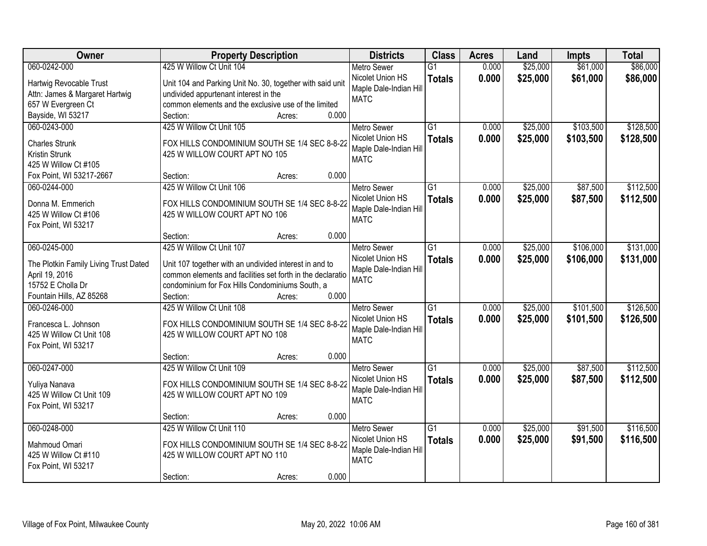| Owner                                     | <b>Property Description</b>                                                    | <b>Districts</b>                       | <b>Class</b>    | <b>Acres</b> | Land     | <b>Impts</b> | <b>Total</b> |
|-------------------------------------------|--------------------------------------------------------------------------------|----------------------------------------|-----------------|--------------|----------|--------------|--------------|
| 060-0242-000                              | 425 W Willow Ct Unit 104                                                       | <b>Metro Sewer</b>                     | $\overline{G1}$ | 0.000        | \$25,000 | \$61,000     | \$86,000     |
| Hartwig Revocable Trust                   | Unit 104 and Parking Unit No. 30, together with said unit                      | Nicolet Union HS                       | <b>Totals</b>   | 0.000        | \$25,000 | \$61,000     | \$86,000     |
| Attn: James & Margaret Hartwig            | undivided appurtenant interest in the                                          | Maple Dale-Indian Hill                 |                 |              |          |              |              |
| 657 W Evergreen Ct                        | common elements and the exclusive use of the limited                           | <b>MATC</b>                            |                 |              |          |              |              |
| Bayside, WI 53217                         | 0.000<br>Section:<br>Acres:                                                    |                                        |                 |              |          |              |              |
| 060-0243-000                              | 425 W Willow Ct Unit 105                                                       | <b>Metro Sewer</b>                     | $\overline{G1}$ | 0.000        | \$25,000 | \$103,500    | \$128,500    |
| <b>Charles Strunk</b>                     | FOX HILLS CONDOMINIUM SOUTH SE 1/4 SEC 8-8-22                                  | Nicolet Union HS                       | <b>Totals</b>   | 0.000        | \$25,000 | \$103,500    | \$128,500    |
| Kristin Strunk                            | 425 W WILLOW COURT APT NO 105                                                  | Maple Dale-Indian Hill                 |                 |              |          |              |              |
| 425 W Willow Ct #105                      |                                                                                | <b>MATC</b>                            |                 |              |          |              |              |
| Fox Point, WI 53217-2667                  | 0.000<br>Section:<br>Acres:                                                    |                                        |                 |              |          |              |              |
| 060-0244-000                              | 425 W Willow Ct Unit 106                                                       | <b>Metro Sewer</b>                     | G1              | 0.000        | \$25,000 | \$87,500     | \$112,500    |
|                                           |                                                                                | Nicolet Union HS                       | <b>Totals</b>   | 0.000        | \$25,000 | \$87,500     | \$112,500    |
| Donna M. Emmerich<br>425 W Willow Ct #106 | FOX HILLS CONDOMINIUM SOUTH SE 1/4 SEC 8-8-22<br>425 W WILLOW COURT APT NO 106 | Maple Dale-Indian Hill                 |                 |              |          |              |              |
| Fox Point, WI 53217                       |                                                                                | <b>MATC</b>                            |                 |              |          |              |              |
|                                           | 0.000<br>Section:<br>Acres:                                                    |                                        |                 |              |          |              |              |
| 060-0245-000                              | 425 W Willow Ct Unit 107                                                       | <b>Metro Sewer</b>                     | G1              | 0.000        | \$25,000 | \$106,000    | \$131,000    |
|                                           |                                                                                | Nicolet Union HS                       | <b>Totals</b>   | 0.000        | \$25,000 | \$106,000    | \$131,000    |
| The Plotkin Family Living Trust Dated     | Unit 107 together with an undivided interest in and to                         | Maple Dale-Indian Hill                 |                 |              |          |              |              |
| April 19, 2016<br>15752 E Cholla Dr       | common elements and facilities set forth in the declaratio                     | <b>MATC</b>                            |                 |              |          |              |              |
| Fountain Hills, AZ 85268                  | condominium for Fox Hills Condominiums South, a<br>0.000<br>Section:<br>Acres: |                                        |                 |              |          |              |              |
| 060-0246-000                              | 425 W Willow Ct Unit 108                                                       | <b>Metro Sewer</b>                     | $\overline{G1}$ | 0.000        | \$25,000 | \$101,500    | \$126,500    |
|                                           |                                                                                | Nicolet Union HS                       | <b>Totals</b>   | 0.000        | \$25,000 | \$101,500    | \$126,500    |
| Francesca L. Johnson                      | FOX HILLS CONDOMINIUM SOUTH SE 1/4 SEC 8-8-22                                  | Maple Dale-Indian Hill                 |                 |              |          |              |              |
| 425 W Willow Ct Unit 108                  | 425 W WILLOW COURT APT NO 108                                                  | <b>MATC</b>                            |                 |              |          |              |              |
| Fox Point, WI 53217                       |                                                                                |                                        |                 |              |          |              |              |
|                                           | 0.000<br>Section:<br>Acres:                                                    |                                        |                 |              |          |              |              |
| 060-0247-000                              | 425 W Willow Ct Unit 109                                                       | <b>Metro Sewer</b><br>Nicolet Union HS | $\overline{G1}$ | 0.000        | \$25,000 | \$87,500     | \$112,500    |
| Yuliya Nanava                             | FOX HILLS CONDOMINIUM SOUTH SE 1/4 SEC 8-8-22                                  | Maple Dale-Indian Hill                 | <b>Totals</b>   | 0.000        | \$25,000 | \$87,500     | \$112,500    |
| 425 W Willow Ct Unit 109                  | 425 W WILLOW COURT APT NO 109                                                  | <b>MATC</b>                            |                 |              |          |              |              |
| Fox Point, WI 53217                       |                                                                                |                                        |                 |              |          |              |              |
|                                           | 0.000<br>Section:<br>Acres:                                                    |                                        |                 |              |          |              |              |
| 060-0248-000                              | 425 W Willow Ct Unit 110                                                       | <b>Metro Sewer</b>                     | $\overline{G1}$ | 0.000        | \$25,000 | \$91,500     | \$116,500    |
| Mahmoud Omari                             | FOX HILLS CONDOMINIUM SOUTH SE 1/4 SEC 8-8-22                                  | Nicolet Union HS                       | <b>Totals</b>   | 0.000        | \$25,000 | \$91,500     | \$116,500    |
| 425 W Willow Ct #110                      | 425 W WILLOW COURT APT NO 110                                                  | Maple Dale-Indian Hill                 |                 |              |          |              |              |
| Fox Point, WI 53217                       |                                                                                | <b>MATC</b>                            |                 |              |          |              |              |
|                                           | 0.000<br>Section:<br>Acres:                                                    |                                        |                 |              |          |              |              |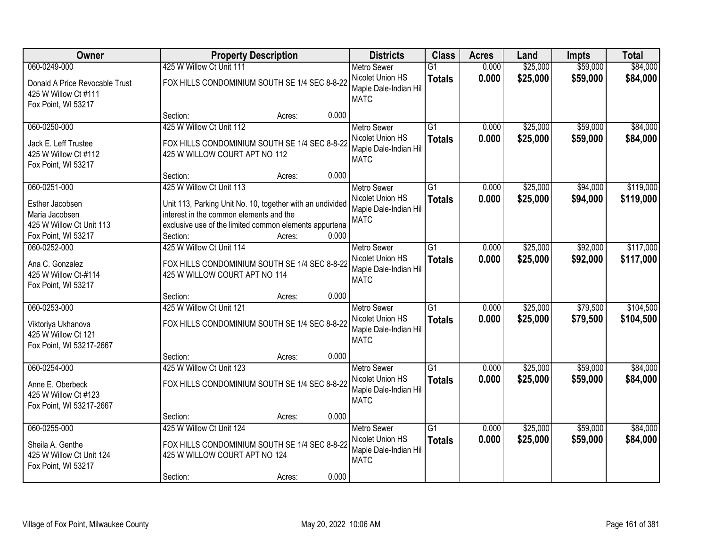| Owner                                                                                                | <b>Property Description</b>                                                                                                                                                                            |        | <b>Districts</b>                                                                         | <b>Class</b>                     | <b>Acres</b>   | Land                 | <b>Impts</b>         | <b>Total</b>           |
|------------------------------------------------------------------------------------------------------|--------------------------------------------------------------------------------------------------------------------------------------------------------------------------------------------------------|--------|------------------------------------------------------------------------------------------|----------------------------------|----------------|----------------------|----------------------|------------------------|
| 060-0249-000                                                                                         | 425 W Willow Ct Unit 111                                                                                                                                                                               |        | <b>Metro Sewer</b>                                                                       | $\overline{G1}$                  | 0.000          | \$25,000             | \$59,000             | \$84,000               |
| Donald A Price Revocable Trust<br>425 W Willow Ct #111<br>Fox Point, WI 53217                        | FOX HILLS CONDOMINIUM SOUTH SE 1/4 SEC 8-8-22                                                                                                                                                          |        | Nicolet Union HS<br>Maple Dale-Indian Hill<br><b>MATC</b>                                | <b>Totals</b>                    | 0.000          | \$25,000             | \$59,000             | \$84,000               |
|                                                                                                      | Section:                                                                                                                                                                                               | Acres: | 0.000                                                                                    |                                  |                |                      |                      |                        |
| 060-0250-000<br>Jack E. Leff Trustee<br>425 W Willow Ct #112<br>Fox Point, WI 53217                  | 425 W Willow Ct Unit 112<br>FOX HILLS CONDOMINIUM SOUTH SE 1/4 SEC 8-8-22<br>425 W WILLOW COURT APT NO 112                                                                                             |        | <b>Metro Sewer</b><br>Nicolet Union HS<br>Maple Dale-Indian Hill<br><b>MATC</b>          | $\overline{G1}$<br><b>Totals</b> | 0.000<br>0.000 | \$25,000<br>\$25,000 | \$59,000<br>\$59,000 | \$84,000<br>\$84,000   |
|                                                                                                      | Section:                                                                                                                                                                                               | Acres: | 0.000                                                                                    |                                  |                |                      |                      |                        |
| 060-0251-000<br>Esther Jacobsen<br>Maria Jacobsen<br>425 W Willow Ct Unit 113<br>Fox Point, WI 53217 | 425 W Willow Ct Unit 113<br>Unit 113, Parking Unit No. 10, together with an undivided<br>interest in the common elements and the<br>exclusive use of the limited common elements appurtena<br>Section: | Acres: | Metro Sewer<br>Nicolet Union HS<br>Maple Dale-Indian Hill<br><b>MATC</b><br>0.000        | $\overline{G1}$<br><b>Totals</b> | 0.000<br>0.000 | \$25,000<br>\$25,000 | \$94,000<br>\$94,000 | \$119,000<br>\$119,000 |
| 060-0252-000                                                                                         | 425 W Willow Ct Unit 114                                                                                                                                                                               |        | <b>Metro Sewer</b>                                                                       | $\overline{G1}$                  | 0.000          | \$25,000             | \$92,000             | \$117,000              |
| Ana C. Gonzalez<br>425 W Willow Ct-#114<br>Fox Point, WI 53217                                       | FOX HILLS CONDOMINIUM SOUTH SE 1/4 SEC 8-8-22<br>425 W WILLOW COURT APT NO 114                                                                                                                         |        | Nicolet Union HS<br>Maple Dale-Indian Hill<br><b>MATC</b>                                | <b>Totals</b>                    | 0.000          | \$25,000             | \$92,000             | \$117,000              |
|                                                                                                      | Section:                                                                                                                                                                                               | Acres: | 0.000                                                                                    |                                  |                |                      |                      |                        |
| 060-0253-000<br>Viktoriya Ukhanova<br>425 W Willow Ct 121<br>Fox Point, WI 53217-2667                | 425 W Willow Ct Unit 121<br>FOX HILLS CONDOMINIUM SOUTH SE 1/4 SEC 8-8-22                                                                                                                              |        | <b>Metro Sewer</b><br>Nicolet Union HS<br>Maple Dale-Indian Hill<br><b>MATC</b>          | $\overline{G1}$<br><b>Totals</b> | 0.000<br>0.000 | \$25,000<br>\$25,000 | \$79,500<br>\$79,500 | \$104,500<br>\$104,500 |
|                                                                                                      | Section:                                                                                                                                                                                               | Acres: | 0.000                                                                                    |                                  |                |                      |                      |                        |
| 060-0254-000<br>Anne E. Oberbeck<br>425 W Willow Ct #123<br>Fox Point, WI 53217-2667                 | 425 W Willow Ct Unit 123<br>FOX HILLS CONDOMINIUM SOUTH SE 1/4 SEC 8-8-22                                                                                                                              |        | <b>Metro Sewer</b><br>Nicolet Union HS<br>Maple Dale-Indian Hill<br><b>MATC</b>          | $\overline{G1}$<br><b>Totals</b> | 0.000<br>0.000 | \$25,000<br>\$25,000 | \$59,000<br>\$59,000 | \$84,000<br>\$84,000   |
|                                                                                                      | Section:                                                                                                                                                                                               | Acres: | 0.000                                                                                    |                                  |                |                      |                      |                        |
| 060-0255-000<br>Sheila A. Genthe<br>425 W Willow Ct Unit 124<br>Fox Point, WI 53217                  | 425 W Willow Ct Unit 124<br>FOX HILLS CONDOMINIUM SOUTH SE 1/4 SEC 8-8-22<br>425 W WILLOW COURT APT NO 124<br>Section:                                                                                 | Acres: | <b>Metro Sewer</b><br>Nicolet Union HS<br>Maple Dale-Indian Hill<br><b>MATC</b><br>0.000 | $\overline{G1}$<br><b>Totals</b> | 0.000<br>0.000 | \$25,000<br>\$25,000 | \$59,000<br>\$59,000 | \$84,000<br>\$84,000   |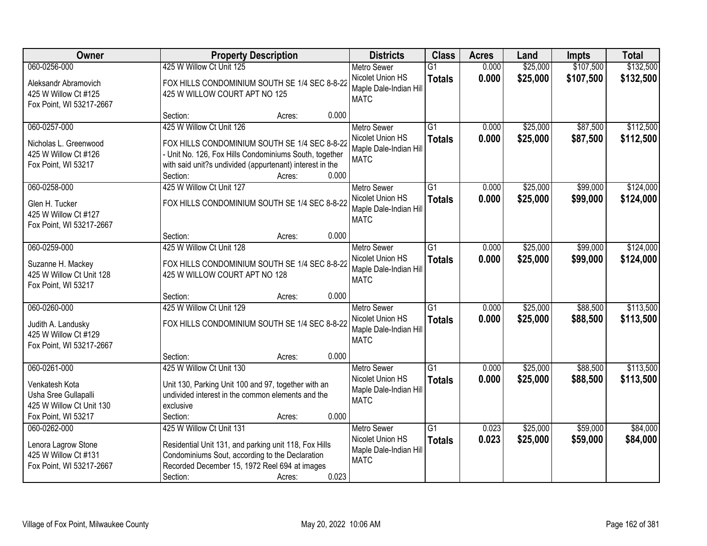| Owner                                                                                                     | <b>Property Description</b>                                                                                                                                                                                           |       | <b>Districts</b>                                                                | <b>Class</b>                     | <b>Acres</b>   | Land                 | <b>Impts</b>         | <b>Total</b>           |
|-----------------------------------------------------------------------------------------------------------|-----------------------------------------------------------------------------------------------------------------------------------------------------------------------------------------------------------------------|-------|---------------------------------------------------------------------------------|----------------------------------|----------------|----------------------|----------------------|------------------------|
| 060-0256-000                                                                                              | 425 W Willow Ct Unit 125                                                                                                                                                                                              |       | <b>Metro Sewer</b>                                                              | $\overline{G1}$                  | 0.000          | \$25,000             | \$107,500            | \$132,500              |
| Aleksandr Abramovich<br>425 W Willow Ct #125<br>Fox Point, WI 53217-2667                                  | FOX HILLS CONDOMINIUM SOUTH SE 1/4 SEC 8-8-22<br>425 W WILLOW COURT APT NO 125                                                                                                                                        |       | Nicolet Union HS<br>Maple Dale-Indian Hill<br><b>MATC</b>                       | <b>Totals</b>                    | 0.000          | \$25,000             | \$107,500            | \$132,500              |
|                                                                                                           | Section:<br>Acres:                                                                                                                                                                                                    | 0.000 |                                                                                 |                                  |                |                      |                      |                        |
| 060-0257-000<br>Nicholas L. Greenwood<br>425 W Willow Ct #126<br>Fox Point, WI 53217                      | 425 W Willow Ct Unit 126<br>FOX HILLS CONDOMINIUM SOUTH SE 1/4 SEC 8-8-22<br>- Unit No. 126, Fox Hills Condominiums South, together<br>with said unit?s undivided (appurtenant) interest in the<br>Section:<br>Acres: | 0.000 | <b>Metro Sewer</b><br>Nicolet Union HS<br>Maple Dale-Indian Hill<br><b>MATC</b> | $\overline{G1}$<br><b>Totals</b> | 0.000<br>0.000 | \$25,000<br>\$25,000 | \$87,500<br>\$87,500 | \$112,500<br>\$112,500 |
| 060-0258-000                                                                                              | 425 W Willow Ct Unit 127                                                                                                                                                                                              |       | <b>Metro Sewer</b>                                                              | $\overline{G1}$                  | 0.000          | \$25,000             | \$99,000             | \$124,000              |
| Glen H. Tucker<br>425 W Willow Ct #127<br>Fox Point, WI 53217-2667                                        | FOX HILLS CONDOMINIUM SOUTH SE 1/4 SEC 8-8-22                                                                                                                                                                         |       | Nicolet Union HS<br>Maple Dale-Indian Hill<br><b>MATC</b>                       | <b>Totals</b>                    | 0.000          | \$25,000             | \$99,000             | \$124,000              |
|                                                                                                           | Section:<br>Acres:                                                                                                                                                                                                    | 0.000 |                                                                                 |                                  |                |                      |                      |                        |
| 060-0259-000                                                                                              | 425 W Willow Ct Unit 128                                                                                                                                                                                              |       | <b>Metro Sewer</b>                                                              | $\overline{G1}$                  | 0.000          | \$25,000             | \$99,000             | \$124,000              |
| Suzanne H. Mackey<br>425 W Willow Ct Unit 128<br>Fox Point, WI 53217                                      | FOX HILLS CONDOMINIUM SOUTH SE 1/4 SEC 8-8-22<br>425 W WILLOW COURT APT NO 128                                                                                                                                        |       | Nicolet Union HS<br>Maple Dale-Indian Hill<br><b>MATC</b>                       | <b>Totals</b>                    | 0.000          | \$25,000             | \$99,000             | \$124,000              |
|                                                                                                           | Section:<br>Acres:                                                                                                                                                                                                    | 0.000 |                                                                                 |                                  |                |                      |                      |                        |
| 060-0260-000<br>Judith A. Landusky<br>425 W Willow Ct #129<br>Fox Point, WI 53217-2667                    | 425 W Willow Ct Unit 129<br>FOX HILLS CONDOMINIUM SOUTH SE 1/4 SEC 8-8-22                                                                                                                                             |       | <b>Metro Sewer</b><br>Nicolet Union HS<br>Maple Dale-Indian Hill<br><b>MATC</b> | $\overline{G1}$<br><b>Totals</b> | 0.000<br>0.000 | \$25,000<br>\$25,000 | \$88,500<br>\$88,500 | \$113,500<br>\$113,500 |
|                                                                                                           | Section:<br>Acres:                                                                                                                                                                                                    | 0.000 |                                                                                 |                                  |                |                      |                      |                        |
| 060-0261-000<br>Venkatesh Kota<br>Usha Sree Gullapalli<br>425 W Willow Ct Unit 130<br>Fox Point, WI 53217 | 425 W Willow Ct Unit 130<br>Unit 130, Parking Unit 100 and 97, together with an<br>undivided interest in the common elements and the<br>exclusive<br>Section:<br>Acres:                                               | 0.000 | Metro Sewer<br>Nicolet Union HS<br>Maple Dale-Indian Hill<br><b>MATC</b>        | G1<br><b>Totals</b>              | 0.000<br>0.000 | \$25,000<br>\$25,000 | \$88,500<br>\$88,500 | \$113,500<br>\$113,500 |
| 060-0262-000                                                                                              | 425 W Willow Ct Unit 131                                                                                                                                                                                              |       | <b>Metro Sewer</b>                                                              | G1                               | 0.023          | \$25,000             | \$59,000             | \$84,000               |
| Lenora Lagrow Stone<br>425 W Willow Ct #131<br>Fox Point, WI 53217-2667                                   | Residential Unit 131, and parking unit 118, Fox Hills<br>Condominiums Sout, according to the Declaration<br>Recorded December 15, 1972 Reel 694 at images<br>Section:<br>Acres:                                       | 0.023 | Nicolet Union HS<br>Maple Dale-Indian Hill<br><b>MATC</b>                       | <b>Totals</b>                    | 0.023          | \$25,000             | \$59,000             | \$84,000               |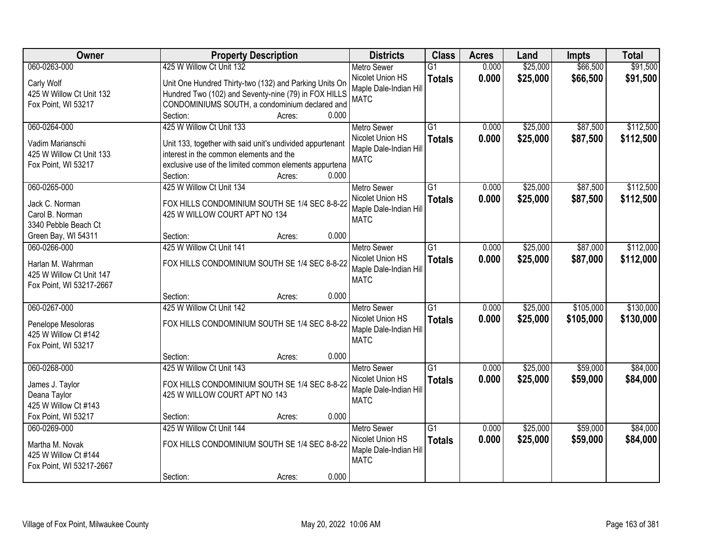| Owner                                                                                     | <b>Property Description</b>                                                                                                                                                                            |                 | <b>Districts</b>                                                                | <b>Class</b>                     | <b>Acres</b>   | Land                 | <b>Impts</b>           | <b>Total</b>           |
|-------------------------------------------------------------------------------------------|--------------------------------------------------------------------------------------------------------------------------------------------------------------------------------------------------------|-----------------|---------------------------------------------------------------------------------|----------------------------------|----------------|----------------------|------------------------|------------------------|
| 060-0263-000                                                                              | 425 W Willow Ct Unit 132                                                                                                                                                                               |                 | <b>Metro Sewer</b>                                                              | $\overline{G1}$                  | 0.000          | \$25,000             | \$66,500               | \$91,500               |
| Carly Wolf<br>425 W Willow Ct Unit 132<br>Fox Point, WI 53217                             | Unit One Hundred Thirty-two (132) and Parking Units On<br>Hundred Two (102) and Seventy-nine (79) in FOX HILLS<br>CONDOMINIUMS SOUTH, a condominium declared and                                       | 0.000           | Nicolet Union HS<br>Maple Dale-Indian Hill<br><b>MATC</b>                       | <b>Totals</b>                    | 0.000          | \$25,000             | \$66,500               | \$91,500               |
|                                                                                           | Section:                                                                                                                                                                                               | Acres:          |                                                                                 |                                  |                |                      |                        |                        |
| 060-0264-000<br>Vadim Marianschi<br>425 W Willow Ct Unit 133<br>Fox Point, WI 53217       | 425 W Willow Ct Unit 133<br>Unit 133, together with said unit's undivided appurtenant<br>interest in the common elements and the<br>exclusive use of the limited common elements appurtena<br>Section: | 0.000<br>Acres: | <b>Metro Sewer</b><br>Nicolet Union HS<br>Maple Dale-Indian Hill<br><b>MATC</b> | $\overline{G1}$<br><b>Totals</b> | 0.000<br>0.000 | \$25,000<br>\$25,000 | \$87,500<br>\$87,500   | \$112,500<br>\$112,500 |
| 060-0265-000                                                                              | 425 W Willow Ct Unit 134                                                                                                                                                                               |                 | <b>Metro Sewer</b>                                                              | G1                               | 0.000          | \$25,000             | \$87,500               | \$112,500              |
| Jack C. Norman<br>Carol B. Norman<br>3340 Pebble Beach Ct                                 | FOX HILLS CONDOMINIUM SOUTH SE 1/4 SEC 8-8-22<br>425 W WILLOW COURT APT NO 134                                                                                                                         |                 | Nicolet Union HS<br>Maple Dale-Indian Hill<br><b>MATC</b>                       | <b>Totals</b>                    | 0.000          | \$25,000             | \$87,500               | \$112,500              |
| Green Bay, WI 54311                                                                       | Section:                                                                                                                                                                                               | 0.000<br>Acres: |                                                                                 |                                  |                |                      |                        |                        |
| 060-0266-000<br>Harlan M. Wahrman<br>425 W Willow Ct Unit 147<br>Fox Point, WI 53217-2667 | 425 W Willow Ct Unit 141<br>FOX HILLS CONDOMINIUM SOUTH SE 1/4 SEC 8-8-22                                                                                                                              |                 | <b>Metro Sewer</b><br>Nicolet Union HS<br>Maple Dale-Indian Hill<br><b>MATC</b> | G1<br><b>Totals</b>              | 0.000<br>0.000 | \$25,000<br>\$25,000 | \$87,000<br>\$87,000   | \$112,000<br>\$112,000 |
|                                                                                           | Section:                                                                                                                                                                                               | 0.000<br>Acres: |                                                                                 |                                  |                |                      |                        |                        |
| 060-0267-000<br>Penelope Mesoloras<br>425 W Willow Ct #142<br>Fox Point, WI 53217         | 425 W Willow Ct Unit 142<br>FOX HILLS CONDOMINIUM SOUTH SE 1/4 SEC 8-8-22                                                                                                                              |                 | <b>Metro Sewer</b><br>Nicolet Union HS<br>Maple Dale-Indian Hill<br><b>MATC</b> | $\overline{G1}$<br><b>Totals</b> | 0.000<br>0.000 | \$25,000<br>\$25,000 | \$105,000<br>\$105,000 | \$130,000<br>\$130,000 |
|                                                                                           | Section:                                                                                                                                                                                               | 0.000<br>Acres: |                                                                                 |                                  |                |                      |                        |                        |
| 060-0268-000<br>James J. Taylor<br>Deana Taylor<br>425 W Willow Ct #143                   | 425 W Willow Ct Unit 143<br>FOX HILLS CONDOMINIUM SOUTH SE 1/4 SEC 8-8-22<br>425 W WILLOW COURT APT NO 143                                                                                             |                 | <b>Metro Sewer</b><br>Nicolet Union HS<br>Maple Dale-Indian Hill<br><b>MATC</b> | $\overline{G1}$<br><b>Totals</b> | 0.000<br>0.000 | \$25,000<br>\$25,000 | \$59,000<br>\$59,000   | \$84,000<br>\$84,000   |
| Fox Point, WI 53217                                                                       | Section:                                                                                                                                                                                               | 0.000<br>Acres: |                                                                                 |                                  |                |                      |                        |                        |
| 060-0269-000<br>Martha M. Novak<br>425 W Willow Ct #144<br>Fox Point, WI 53217-2667       | 425 W Willow Ct Unit 144<br>FOX HILLS CONDOMINIUM SOUTH SE 1/4 SEC 8-8-22<br>Section:                                                                                                                  | 0.000<br>Acres: | <b>Metro Sewer</b><br>Nicolet Union HS<br>Maple Dale-Indian Hill<br><b>MATC</b> | $\overline{G1}$<br><b>Totals</b> | 0.000<br>0.000 | \$25,000<br>\$25,000 | \$59,000<br>\$59,000   | \$84,000<br>\$84,000   |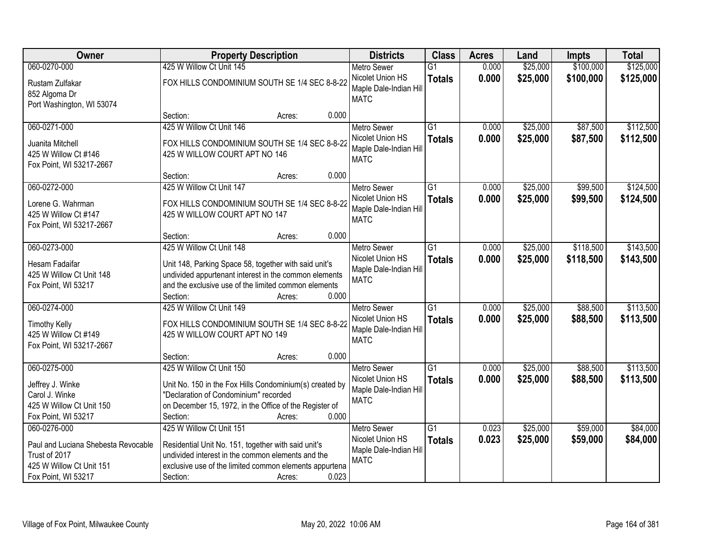| Owner                                                                                                                   | <b>Property Description</b>                                                                                                                                                                                                   | <b>Districts</b>                                                                | <b>Class</b>                     | <b>Acres</b>   | Land                 | <b>Impts</b>           | <b>Total</b>           |
|-------------------------------------------------------------------------------------------------------------------------|-------------------------------------------------------------------------------------------------------------------------------------------------------------------------------------------------------------------------------|---------------------------------------------------------------------------------|----------------------------------|----------------|----------------------|------------------------|------------------------|
| 060-0270-000                                                                                                            | 425 W Willow Ct Unit 145                                                                                                                                                                                                      | <b>Metro Sewer</b>                                                              | $\overline{G1}$                  | 0.000          | \$25,000             | \$100,000              | \$125,000              |
| Rustam Zulfakar<br>852 Algoma Dr<br>Port Washington, WI 53074                                                           | FOX HILLS CONDOMINIUM SOUTH SE 1/4 SEC 8-8-22                                                                                                                                                                                 | Nicolet Union HS<br>Maple Dale-Indian Hill<br><b>MATC</b>                       | <b>Totals</b>                    | 0.000          | \$25,000             | \$100,000              | \$125,000              |
|                                                                                                                         | 0.000<br>Section:<br>Acres:                                                                                                                                                                                                   |                                                                                 |                                  |                |                      |                        |                        |
| 060-0271-000<br>Juanita Mitchell<br>425 W Willow Ct #146<br>Fox Point, WI 53217-2667                                    | 425 W Willow Ct Unit 146<br>FOX HILLS CONDOMINIUM SOUTH SE 1/4 SEC 8-8-22<br>425 W WILLOW COURT APT NO 146                                                                                                                    | <b>Metro Sewer</b><br>Nicolet Union HS<br>Maple Dale-Indian Hill<br><b>MATC</b> | $\overline{G1}$<br><b>Totals</b> | 0.000<br>0.000 | \$25,000<br>\$25,000 | \$87,500<br>\$87,500   | \$112,500<br>\$112,500 |
|                                                                                                                         | 0.000<br>Section:<br>Acres:                                                                                                                                                                                                   |                                                                                 |                                  |                |                      |                        |                        |
| 060-0272-000<br>Lorene G. Wahrman<br>425 W Willow Ct #147<br>Fox Point, WI 53217-2667                                   | 425 W Willow Ct Unit 147<br>FOX HILLS CONDOMINIUM SOUTH SE 1/4 SEC 8-8-22<br>425 W WILLOW COURT APT NO 147                                                                                                                    | Metro Sewer<br>Nicolet Union HS<br>Maple Dale-Indian Hill<br><b>MATC</b>        | G1<br><b>Totals</b>              | 0.000<br>0.000 | \$25,000<br>\$25,000 | \$99,500<br>\$99,500   | \$124,500<br>\$124,500 |
|                                                                                                                         | 0.000<br>Section:<br>Acres:                                                                                                                                                                                                   |                                                                                 |                                  |                |                      |                        |                        |
| 060-0273-000<br>Hesam Fadaifar<br>425 W Willow Ct Unit 148<br>Fox Point, WI 53217                                       | 425 W Willow Ct Unit 148<br>Unit 148, Parking Space 58, together with said unit's<br>undivided appurtenant interest in the common elements<br>and the exclusive use of the limited common elements                            | <b>Metro Sewer</b><br>Nicolet Union HS<br>Maple Dale-Indian Hill<br><b>MATC</b> | $\overline{G1}$<br><b>Totals</b> | 0.000<br>0.000 | \$25,000<br>\$25,000 | \$118,500<br>\$118,500 | \$143,500<br>\$143,500 |
|                                                                                                                         | 0.000<br>Section:<br>Acres:                                                                                                                                                                                                   |                                                                                 |                                  |                |                      |                        |                        |
| 060-0274-000<br><b>Timothy Kelly</b><br>425 W Willow Ct #149<br>Fox Point, WI 53217-2667                                | 425 W Willow Ct Unit 149<br>FOX HILLS CONDOMINIUM SOUTH SE 1/4 SEC 8-8-22<br>425 W WILLOW COURT APT NO 149                                                                                                                    | Metro Sewer<br>Nicolet Union HS<br>Maple Dale-Indian Hill<br><b>MATC</b>        | $\overline{G1}$<br><b>Totals</b> | 0.000<br>0.000 | \$25,000<br>\$25,000 | \$88,500<br>\$88,500   | \$113,500<br>\$113,500 |
|                                                                                                                         | 0.000<br>Section:<br>Acres:                                                                                                                                                                                                   |                                                                                 |                                  |                |                      |                        |                        |
| 060-0275-000<br>Jeffrey J. Winke<br>Carol J. Winke<br>425 W Willow Ct Unit 150<br>Fox Point, WI 53217                   | 425 W Willow Ct Unit 150<br>Unit No. 150 in the Fox Hills Condominium(s) created by<br>"Declaration of Condominium" recorded<br>on December 15, 1972, in the Office of the Register of<br>0.000<br>Section:<br>Acres:         | <b>Metro Sewer</b><br>Nicolet Union HS<br>Maple Dale-Indian Hill<br><b>MATC</b> | $\overline{G1}$<br><b>Totals</b> | 0.000<br>0.000 | \$25,000<br>\$25,000 | \$88,500<br>\$88,500   | \$113,500<br>\$113,500 |
| 060-0276-000<br>Paul and Luciana Shebesta Revocable<br>Trust of 2017<br>425 W Willow Ct Unit 151<br>Fox Point, WI 53217 | 425 W Willow Ct Unit 151<br>Residential Unit No. 151, together with said unit's<br>undivided interest in the common elements and the<br>exclusive use of the limited common elements appurtena<br>0.023<br>Section:<br>Acres: | <b>Metro Sewer</b><br>Nicolet Union HS<br>Maple Dale-Indian Hill<br><b>MATC</b> | $\overline{G1}$<br><b>Totals</b> | 0.023<br>0.023 | \$25,000<br>\$25,000 | \$59,000<br>\$59,000   | \$84,000<br>\$84,000   |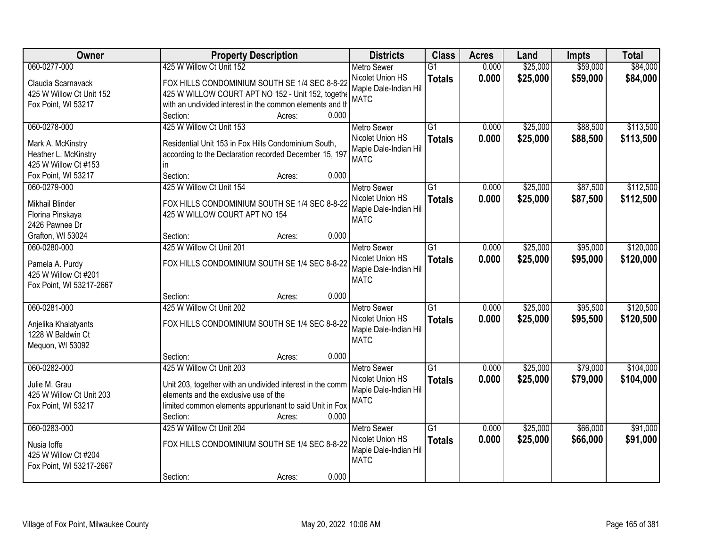| Owner                                     | <b>Property Description</b>                                                                                    | <b>Districts</b>       | <b>Class</b>    | <b>Acres</b> | Land     | <b>Impts</b> | <b>Total</b> |
|-------------------------------------------|----------------------------------------------------------------------------------------------------------------|------------------------|-----------------|--------------|----------|--------------|--------------|
| 060-0277-000                              | 425 W Willow Ct Unit 152                                                                                       | <b>Metro Sewer</b>     | $\overline{G1}$ | 0.000        | \$25,000 | \$59,000     | \$84,000     |
| Claudia Scarnavack                        | FOX HILLS CONDOMINIUM SOUTH SE 1/4 SEC 8-8-22                                                                  | Nicolet Union HS       | <b>Totals</b>   | 0.000        | \$25,000 | \$59,000     | \$84,000     |
| 425 W Willow Ct Unit 152                  | 425 W WILLOW COURT APT NO 152 - Unit 152, togethe                                                              | Maple Dale-Indian Hill |                 |              |          |              |              |
| Fox Point, WI 53217                       | with an undivided interest in the common elements and th                                                       | <b>MATC</b>            |                 |              |          |              |              |
|                                           | 0.000<br>Section:<br>Acres:                                                                                    |                        |                 |              |          |              |              |
| 060-0278-000                              | 425 W Willow Ct Unit 153                                                                                       | <b>Metro Sewer</b>     | $\overline{G1}$ | 0.000        | \$25,000 | \$88,500     | \$113,500    |
|                                           |                                                                                                                | Nicolet Union HS       | <b>Totals</b>   | 0.000        | \$25,000 | \$88,500     | \$113,500    |
| Mark A. McKinstry<br>Heather L. McKinstry | Residential Unit 153 in Fox Hills Condominium South,<br>according to the Declaration recorded December 15, 197 | Maple Dale-Indian Hill |                 |              |          |              |              |
| 425 W Willow Ct #153                      | in.                                                                                                            | <b>MATC</b>            |                 |              |          |              |              |
| Fox Point, WI 53217                       | Section:<br>0.000<br>Acres:                                                                                    |                        |                 |              |          |              |              |
| 060-0279-000                              | 425 W Willow Ct Unit 154                                                                                       | Metro Sewer            | G1              | 0.000        | \$25,000 | \$87,500     | \$112,500    |
|                                           |                                                                                                                | Nicolet Union HS       | <b>Totals</b>   | 0.000        | \$25,000 | \$87,500     | \$112,500    |
| Mikhail Blinder                           | FOX HILLS CONDOMINIUM SOUTH SE 1/4 SEC 8-8-22                                                                  | Maple Dale-Indian Hill |                 |              |          |              |              |
| Florina Pinskaya                          | 425 W WILLOW COURT APT NO 154                                                                                  | <b>MATC</b>            |                 |              |          |              |              |
| 2426 Pawnee Dr                            |                                                                                                                |                        |                 |              |          |              |              |
| Grafton, WI 53024                         | 0.000<br>Section:<br>Acres:                                                                                    |                        |                 |              |          |              |              |
| 060-0280-000                              | 425 W Willow Ct Unit 201                                                                                       | <b>Metro Sewer</b>     | G1              | 0.000        | \$25,000 | \$95,000     | \$120,000    |
| Pamela A. Purdy                           | FOX HILLS CONDOMINIUM SOUTH SE 1/4 SEC 8-8-22                                                                  | Nicolet Union HS       | <b>Totals</b>   | 0.000        | \$25,000 | \$95,000     | \$120,000    |
| 425 W Willow Ct #201                      |                                                                                                                | Maple Dale-Indian Hill |                 |              |          |              |              |
| Fox Point, WI 53217-2667                  |                                                                                                                | <b>MATC</b>            |                 |              |          |              |              |
|                                           | 0.000<br>Section:<br>Acres:                                                                                    |                        |                 |              |          |              |              |
| 060-0281-000                              | 425 W Willow Ct Unit 202                                                                                       | <b>Metro Sewer</b>     | $\overline{G1}$ | 0.000        | \$25,000 | \$95,500     | \$120,500    |
| Anjelika Khalatyants                      | FOX HILLS CONDOMINIUM SOUTH SE 1/4 SEC 8-8-22                                                                  | Nicolet Union HS       | <b>Totals</b>   | 0.000        | \$25,000 | \$95,500     | \$120,500    |
| 1228 W Baldwin Ct                         |                                                                                                                | Maple Dale-Indian Hill |                 |              |          |              |              |
| Mequon, WI 53092                          |                                                                                                                | <b>MATC</b>            |                 |              |          |              |              |
|                                           | 0.000<br>Section:<br>Acres:                                                                                    |                        |                 |              |          |              |              |
| 060-0282-000                              | 425 W Willow Ct Unit 203                                                                                       | Metro Sewer            | $\overline{G1}$ | 0.000        | \$25,000 | \$79,000     | \$104,000    |
|                                           |                                                                                                                | Nicolet Union HS       | <b>Totals</b>   | 0.000        | \$25,000 | \$79,000     | \$104,000    |
| Julie M. Grau<br>425 W Willow Ct Unit 203 | Unit 203, together with an undivided interest in the comm<br>elements and the exclusive use of the             | Maple Dale-Indian Hill |                 |              |          |              |              |
| Fox Point, WI 53217                       | limited common elements appurtenant to said Unit in Fox                                                        | <b>MATC</b>            |                 |              |          |              |              |
|                                           | 0.000<br>Section:<br>Acres:                                                                                    |                        |                 |              |          |              |              |
| 060-0283-000                              | 425 W Willow Ct Unit 204                                                                                       | <b>Metro Sewer</b>     | $\overline{G1}$ | 0.000        | \$25,000 | \$66,000     | \$91,000     |
|                                           |                                                                                                                | Nicolet Union HS       | <b>Totals</b>   | 0.000        | \$25,000 | \$66,000     | \$91,000     |
| Nusia loffe                               | FOX HILLS CONDOMINIUM SOUTH SE 1/4 SEC 8-8-22                                                                  | Maple Dale-Indian Hill |                 |              |          |              |              |
| 425 W Willow Ct #204                      |                                                                                                                | <b>MATC</b>            |                 |              |          |              |              |
| Fox Point, WI 53217-2667                  |                                                                                                                |                        |                 |              |          |              |              |
|                                           | 0.000<br>Section:<br>Acres:                                                                                    |                        |                 |              |          |              |              |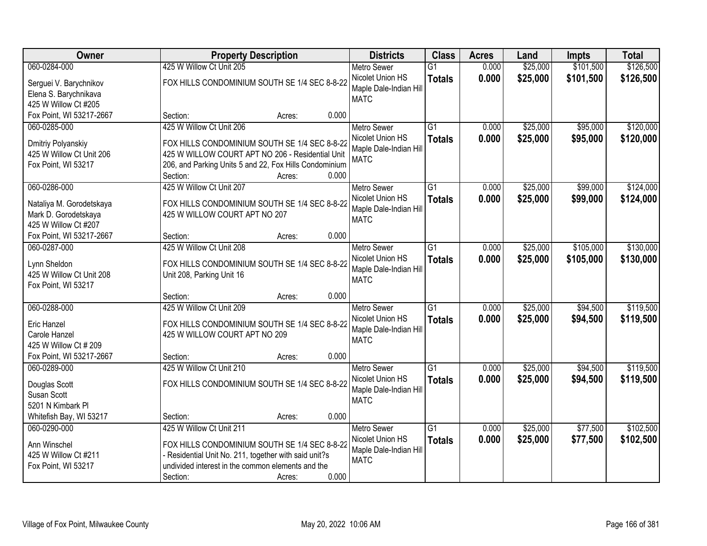| Owner                    |                                                        | <b>Property Description</b> |       | <b>Districts</b>       | <b>Class</b>    | <b>Acres</b> | Land     | <b>Impts</b> | <b>Total</b> |
|--------------------------|--------------------------------------------------------|-----------------------------|-------|------------------------|-----------------|--------------|----------|--------------|--------------|
| 060-0284-000             | 425 W Willow Ct Unit 205                               |                             |       | <b>Metro Sewer</b>     | $\overline{G1}$ | 0.000        | \$25,000 | \$101,500    | \$126,500    |
| Serguei V. Barychnikov   | FOX HILLS CONDOMINIUM SOUTH SE 1/4 SEC 8-8-22          |                             |       | Nicolet Union HS       | <b>Totals</b>   | 0.000        | \$25,000 | \$101,500    | \$126,500    |
| Elena S. Barychnikava    |                                                        |                             |       | Maple Dale-Indian Hill |                 |              |          |              |              |
| 425 W Willow Ct #205     |                                                        |                             |       | <b>MATC</b>            |                 |              |          |              |              |
| Fox Point, WI 53217-2667 | Section:                                               | Acres:                      | 0.000 |                        |                 |              |          |              |              |
| 060-0285-000             | 425 W Willow Ct Unit 206                               |                             |       | <b>Metro Sewer</b>     | $\overline{G1}$ | 0.000        | \$25,000 | \$95,000     | \$120,000    |
| Dmitriy Polyanskiy       | FOX HILLS CONDOMINIUM SOUTH SE 1/4 SEC 8-8-22          |                             |       | Nicolet Union HS       | <b>Totals</b>   | 0.000        | \$25,000 | \$95,000     | \$120,000    |
| 425 W Willow Ct Unit 206 | 425 W WILLOW COURT APT NO 206 - Residential Unit       |                             |       | Maple Dale-Indian Hill |                 |              |          |              |              |
| Fox Point, WI 53217      | 206, and Parking Units 5 and 22, Fox Hills Condominium |                             |       | <b>MATC</b>            |                 |              |          |              |              |
|                          | Section:                                               | Acres:                      | 0.000 |                        |                 |              |          |              |              |
| 060-0286-000             | 425 W Willow Ct Unit 207                               |                             |       | <b>Metro Sewer</b>     | G1              | 0.000        | \$25,000 | \$99,000     | \$124,000    |
| Nataliya M. Gorodetskaya | FOX HILLS CONDOMINIUM SOUTH SE 1/4 SEC 8-8-22          |                             |       | Nicolet Union HS       | <b>Totals</b>   | 0.000        | \$25,000 | \$99,000     | \$124,000    |
| Mark D. Gorodetskaya     | 425 W WILLOW COURT APT NO 207                          |                             |       | Maple Dale-Indian Hill |                 |              |          |              |              |
| 425 W Willow Ct #207     |                                                        |                             |       | <b>MATC</b>            |                 |              |          |              |              |
| Fox Point, WI 53217-2667 | Section:                                               | Acres:                      | 0.000 |                        |                 |              |          |              |              |
| 060-0287-000             | 425 W Willow Ct Unit 208                               |                             |       | <b>Metro Sewer</b>     | G1              | 0.000        | \$25,000 | \$105,000    | \$130,000    |
| Lynn Sheldon             | FOX HILLS CONDOMINIUM SOUTH SE 1/4 SEC 8-8-22          |                             |       | Nicolet Union HS       | <b>Totals</b>   | 0.000        | \$25,000 | \$105,000    | \$130,000    |
| 425 W Willow Ct Unit 208 | Unit 208, Parking Unit 16                              |                             |       | Maple Dale-Indian Hill |                 |              |          |              |              |
| Fox Point, WI 53217      |                                                        |                             |       | <b>MATC</b>            |                 |              |          |              |              |
|                          | Section:                                               | Acres:                      | 0.000 |                        |                 |              |          |              |              |
| 060-0288-000             | 425 W Willow Ct Unit 209                               |                             |       | <b>Metro Sewer</b>     | $\overline{G1}$ | 0.000        | \$25,000 | \$94,500     | \$119,500    |
| <b>Eric Hanzel</b>       | FOX HILLS CONDOMINIUM SOUTH SE 1/4 SEC 8-8-22          |                             |       | Nicolet Union HS       | <b>Totals</b>   | 0.000        | \$25,000 | \$94,500     | \$119,500    |
| Carole Hanzel            | 425 W WILLOW COURT APT NO 209                          |                             |       | Maple Dale-Indian Hill |                 |              |          |              |              |
| 425 W Willow Ct # 209    |                                                        |                             |       | <b>MATC</b>            |                 |              |          |              |              |
| Fox Point, WI 53217-2667 | Section:                                               | Acres:                      | 0.000 |                        |                 |              |          |              |              |
| 060-0289-000             | 425 W Willow Ct Unit 210                               |                             |       | <b>Metro Sewer</b>     | $\overline{G1}$ | 0.000        | \$25,000 | \$94,500     | \$119,500    |
| Douglas Scott            | FOX HILLS CONDOMINIUM SOUTH SE 1/4 SEC 8-8-22          |                             |       | Nicolet Union HS       | <b>Totals</b>   | 0.000        | \$25,000 | \$94,500     | \$119,500    |
| Susan Scott              |                                                        |                             |       | Maple Dale-Indian Hill |                 |              |          |              |              |
| 5201 N Kimbark PI        |                                                        |                             |       | <b>MATC</b>            |                 |              |          |              |              |
| Whitefish Bay, WI 53217  | Section:                                               | Acres:                      | 0.000 |                        |                 |              |          |              |              |
| 060-0290-000             | 425 W Willow Ct Unit 211                               |                             |       | <b>Metro Sewer</b>     | $\overline{G1}$ | 0.000        | \$25,000 | \$77,500     | \$102,500    |
| Ann Winschel             | FOX HILLS CONDOMINIUM SOUTH SE 1/4 SEC 8-8-22          |                             |       | Nicolet Union HS       | <b>Totals</b>   | 0.000        | \$25,000 | \$77,500     | \$102,500    |
| 425 W Willow Ct #211     | - Residential Unit No. 211, together with said unit?s  |                             |       | Maple Dale-Indian Hill |                 |              |          |              |              |
| Fox Point, WI 53217      | undivided interest in the common elements and the      |                             |       | <b>MATC</b>            |                 |              |          |              |              |
|                          | Section:                                               | Acres:                      | 0.000 |                        |                 |              |          |              |              |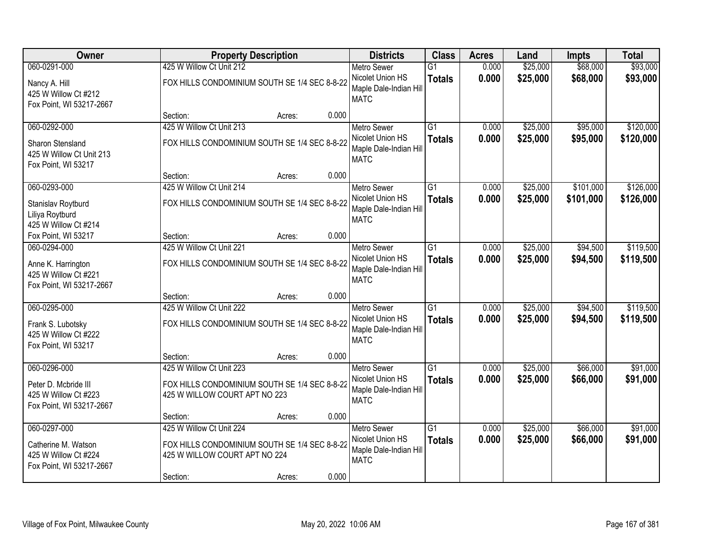| Owner                                                                                    | <b>Property Description</b>                                                                                                      |       | <b>Districts</b>                                                                | <b>Class</b>                     | <b>Acres</b>   | Land                 | <b>Impts</b>           | <b>Total</b>           |
|------------------------------------------------------------------------------------------|----------------------------------------------------------------------------------------------------------------------------------|-------|---------------------------------------------------------------------------------|----------------------------------|----------------|----------------------|------------------------|------------------------|
| 060-0291-000<br>Nancy A. Hill<br>425 W Willow Ct #212<br>Fox Point, WI 53217-2667        | 425 W Willow Ct Unit 212<br>FOX HILLS CONDOMINIUM SOUTH SE 1/4 SEC 8-8-22                                                        |       | <b>Metro Sewer</b><br>Nicolet Union HS<br>Maple Dale-Indian Hill<br><b>MATC</b> | $\overline{G1}$<br><b>Totals</b> | 0.000<br>0.000 | \$25,000<br>\$25,000 | \$68,000<br>\$68,000   | \$93,000<br>\$93,000   |
|                                                                                          | Section:<br>Acres:                                                                                                               | 0.000 |                                                                                 |                                  |                |                      |                        |                        |
| 060-0292-000<br>Sharon Stensland<br>425 W Willow Ct Unit 213<br>Fox Point, WI 53217      | 425 W Willow Ct Unit 213<br>FOX HILLS CONDOMINIUM SOUTH SE 1/4 SEC 8-8-22                                                        |       | <b>Metro Sewer</b><br>Nicolet Union HS<br>Maple Dale-Indian Hill<br><b>MATC</b> | $\overline{G1}$<br><b>Totals</b> | 0.000<br>0.000 | \$25,000<br>\$25,000 | \$95,000<br>\$95,000   | \$120,000<br>\$120,000 |
|                                                                                          | Section:<br>Acres:                                                                                                               | 0.000 |                                                                                 |                                  |                |                      |                        |                        |
| 060-0293-000<br>Stanislav Roytburd<br>Liliya Roytburd<br>425 W Willow Ct #214            | 425 W Willow Ct Unit 214<br>FOX HILLS CONDOMINIUM SOUTH SE 1/4 SEC 8-8-22                                                        |       | <b>Metro Sewer</b><br>Nicolet Union HS<br>Maple Dale-Indian Hill<br><b>MATC</b> | $\overline{G1}$<br><b>Totals</b> | 0.000<br>0.000 | \$25,000<br>\$25,000 | \$101,000<br>\$101,000 | \$126,000<br>\$126,000 |
| Fox Point, WI 53217                                                                      | Section:<br>Acres:                                                                                                               | 0.000 |                                                                                 |                                  |                |                      |                        |                        |
| 060-0294-000<br>Anne K. Harrington<br>425 W Willow Ct #221<br>Fox Point, WI 53217-2667   | 425 W Willow Ct Unit 221<br>FOX HILLS CONDOMINIUM SOUTH SE 1/4 SEC 8-8-22                                                        |       | <b>Metro Sewer</b><br>Nicolet Union HS<br>Maple Dale-Indian Hill<br><b>MATC</b> | $\overline{G1}$<br><b>Totals</b> | 0.000<br>0.000 | \$25,000<br>\$25,000 | \$94,500<br>\$94,500   | \$119,500<br>\$119,500 |
|                                                                                          | Section:<br>Acres:                                                                                                               | 0.000 |                                                                                 |                                  |                |                      |                        |                        |
| 060-0295-000<br>Frank S. Lubotsky<br>425 W Willow Ct #222<br>Fox Point, WI 53217         | 425 W Willow Ct Unit 222<br>FOX HILLS CONDOMINIUM SOUTH SE 1/4 SEC 8-8-22                                                        |       | <b>Metro Sewer</b><br>Nicolet Union HS<br>Maple Dale-Indian Hill<br><b>MATC</b> | $\overline{G1}$<br><b>Totals</b> | 0.000<br>0.000 | \$25,000<br>\$25,000 | \$94,500<br>\$94,500   | \$119,500<br>\$119,500 |
|                                                                                          | Section:<br>Acres:                                                                                                               | 0.000 |                                                                                 |                                  |                |                      |                        |                        |
| 060-0296-000<br>Peter D. Mcbride III<br>425 W Willow Ct #223<br>Fox Point, WI 53217-2667 | 425 W Willow Ct Unit 223<br>FOX HILLS CONDOMINIUM SOUTH SE 1/4 SEC 8-8-22<br>425 W WILLOW COURT APT NO 223                       |       | <b>Metro Sewer</b><br>Nicolet Union HS<br>Maple Dale-Indian Hill<br><b>MATC</b> | $\overline{G1}$<br><b>Totals</b> | 0.000<br>0.000 | \$25,000<br>\$25,000 | \$66,000<br>\$66,000   | \$91,000<br>\$91,000   |
|                                                                                          | Section:<br>Acres:                                                                                                               | 0.000 |                                                                                 |                                  |                |                      |                        |                        |
| 060-0297-000<br>Catherine M. Watson<br>425 W Willow Ct #224<br>Fox Point, WI 53217-2667  | 425 W Willow Ct Unit 224<br>FOX HILLS CONDOMINIUM SOUTH SE 1/4 SEC 8-8-22<br>425 W WILLOW COURT APT NO 224<br>Section:<br>Acres: | 0.000 | <b>Metro Sewer</b><br>Nicolet Union HS<br>Maple Dale-Indian Hill<br><b>MATC</b> | $\overline{G1}$<br><b>Totals</b> | 0.000<br>0.000 | \$25,000<br>\$25,000 | \$66,000<br>\$66,000   | \$91,000<br>\$91,000   |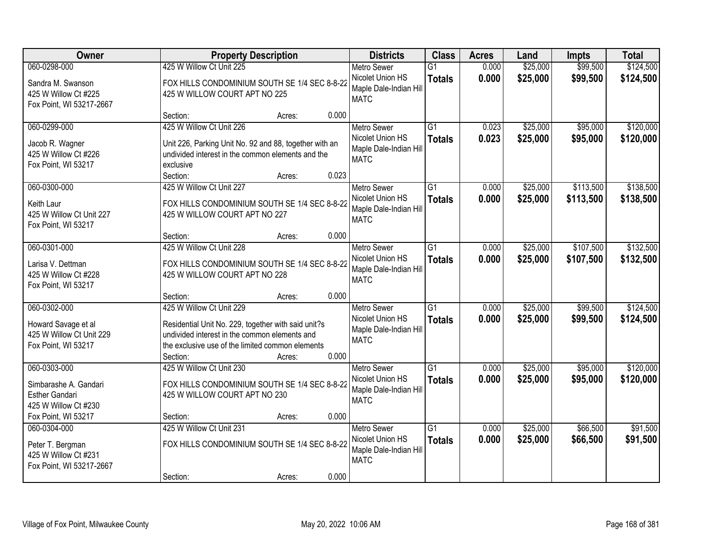| Owner                                                                                  |                                                                                                                                                                                                  | <b>Property Description</b> |       | <b>Districts</b>                                                                | <b>Class</b>                     | <b>Acres</b>   | Land                 | <b>Impts</b>           | <b>Total</b>           |
|----------------------------------------------------------------------------------------|--------------------------------------------------------------------------------------------------------------------------------------------------------------------------------------------------|-----------------------------|-------|---------------------------------------------------------------------------------|----------------------------------|----------------|----------------------|------------------------|------------------------|
| 060-0298-000<br>Sandra M. Swanson<br>425 W Willow Ct #225<br>Fox Point, WI 53217-2667  | 425 W Willow Ct Unit 225<br>FOX HILLS CONDOMINIUM SOUTH SE 1/4 SEC 8-8-22<br>425 W WILLOW COURT APT NO 225                                                                                       |                             |       | <b>Metro Sewer</b><br>Nicolet Union HS<br>Maple Dale-Indian Hill<br><b>MATC</b> | $\overline{G1}$<br><b>Totals</b> | 0.000<br>0.000 | \$25,000<br>\$25,000 | \$99,500<br>\$99,500   | \$124,500<br>\$124,500 |
|                                                                                        | Section:                                                                                                                                                                                         | Acres:                      | 0.000 |                                                                                 |                                  |                |                      |                        |                        |
| 060-0299-000<br>Jacob R. Wagner<br>425 W Willow Ct #226<br>Fox Point, WI 53217         | 425 W Willow Ct Unit 226<br>Unit 226, Parking Unit No. 92 and 88, together with an<br>undivided interest in the common elements and the<br>exclusive<br>Section:                                 | Acres:                      | 0.023 | <b>Metro Sewer</b><br>Nicolet Union HS<br>Maple Dale-Indian Hill<br><b>MATC</b> | $\overline{G1}$<br><b>Totals</b> | 0.023<br>0.023 | \$25,000<br>\$25,000 | \$95,000<br>\$95,000   | \$120,000<br>\$120,000 |
| 060-0300-000<br>Keith Laur<br>425 W Willow Ct Unit 227<br>Fox Point, WI 53217          | 425 W Willow Ct Unit 227<br>FOX HILLS CONDOMINIUM SOUTH SE 1/4 SEC 8-8-22<br>425 W WILLOW COURT APT NO 227                                                                                       |                             |       | Metro Sewer<br>Nicolet Union HS<br>Maple Dale-Indian Hill<br><b>MATC</b>        | $\overline{G1}$<br><b>Totals</b> | 0.000<br>0.000 | \$25,000<br>\$25,000 | \$113,500<br>\$113,500 | \$138,500<br>\$138,500 |
|                                                                                        | Section:                                                                                                                                                                                         | Acres:                      | 0.000 |                                                                                 |                                  |                |                      |                        |                        |
| 060-0301-000<br>Larisa V. Dettman<br>425 W Willow Ct #228<br>Fox Point, WI 53217       | 425 W Willow Ct Unit 228<br>FOX HILLS CONDOMINIUM SOUTH SE 1/4 SEC 8-8-22<br>425 W WILLOW COURT APT NO 228                                                                                       |                             |       | <b>Metro Sewer</b><br>Nicolet Union HS<br>Maple Dale-Indian Hill<br><b>MATC</b> | $\overline{G1}$<br><b>Totals</b> | 0.000<br>0.000 | \$25,000<br>\$25,000 | \$107,500<br>\$107,500 | \$132,500<br>\$132,500 |
|                                                                                        | Section:                                                                                                                                                                                         | Acres:                      | 0.000 |                                                                                 |                                  |                |                      |                        |                        |
| 060-0302-000<br>Howard Savage et al<br>425 W Willow Ct Unit 229<br>Fox Point, WI 53217 | 425 W Willow Ct Unit 229<br>Residential Unit No. 229, together with said unit?s<br>undivided interest in the common elements and<br>the exclusive use of the limited common elements<br>Section: | Acres:                      | 0.000 | <b>Metro Sewer</b><br>Nicolet Union HS<br>Maple Dale-Indian Hill<br><b>MATC</b> | $\overline{G1}$<br><b>Totals</b> | 0.000<br>0.000 | \$25,000<br>\$25,000 | \$99,500<br>\$99,500   | \$124,500<br>\$124,500 |
| 060-0303-000<br>Simbarashe A. Gandari<br><b>Esther Gandari</b><br>425 W Willow Ct #230 | 425 W Willow Ct Unit 230<br>FOX HILLS CONDOMINIUM SOUTH SE 1/4 SEC 8-8-22<br>425 W WILLOW COURT APT NO 230                                                                                       |                             |       | Metro Sewer<br>Nicolet Union HS<br>Maple Dale-Indian Hill<br><b>MATC</b>        | $\overline{G1}$<br><b>Totals</b> | 0.000<br>0.000 | \$25,000<br>\$25,000 | \$95,000<br>\$95,000   | \$120,000<br>\$120,000 |
| Fox Point, WI 53217<br>060-0304-000                                                    | Section:<br>425 W Willow Ct Unit 231                                                                                                                                                             | Acres:                      | 0.000 | <b>Metro Sewer</b>                                                              | $\overline{G1}$                  | 0.000          | \$25,000             | \$66,500               | \$91,500               |
| Peter T. Bergman<br>425 W Willow Ct #231<br>Fox Point, WI 53217-2667                   | FOX HILLS CONDOMINIUM SOUTH SE 1/4 SEC 8-8-22<br>Section:                                                                                                                                        |                             | 0.000 | Nicolet Union HS<br>Maple Dale-Indian Hill<br><b>MATC</b>                       | <b>Totals</b>                    | 0.000          | \$25,000             | \$66,500               | \$91,500               |
|                                                                                        |                                                                                                                                                                                                  | Acres:                      |       |                                                                                 |                                  |                |                      |                        |                        |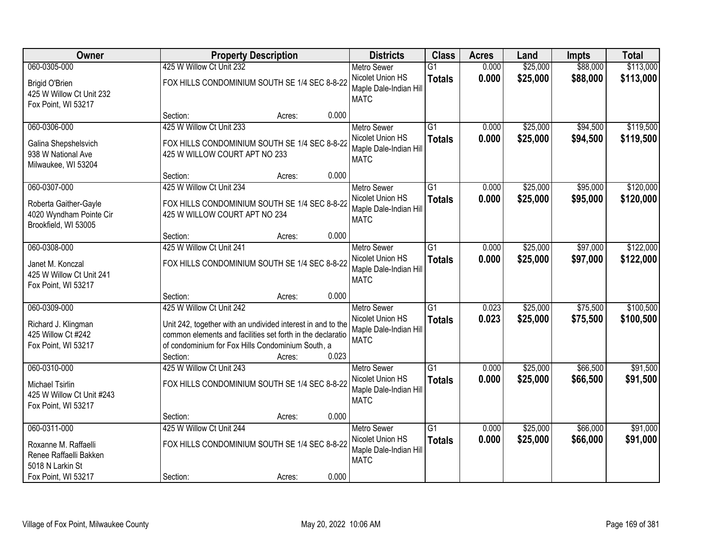| Owner                                                                                    |                                                                                                                                                                                                                        | <b>Property Description</b> |       |                                                                                 | <b>Class</b>                     | <b>Acres</b>   | Land                 | <b>Impts</b>         | <b>Total</b>           |
|------------------------------------------------------------------------------------------|------------------------------------------------------------------------------------------------------------------------------------------------------------------------------------------------------------------------|-----------------------------|-------|---------------------------------------------------------------------------------|----------------------------------|----------------|----------------------|----------------------|------------------------|
| 060-0305-000                                                                             | 425 W Willow Ct Unit 232                                                                                                                                                                                               |                             |       | <b>Metro Sewer</b>                                                              | $\overline{G1}$                  | 0.000          | \$25,000             | \$88,000             | \$113,000              |
| <b>Brigid O'Brien</b><br>425 W Willow Ct Unit 232<br>Fox Point, WI 53217                 | FOX HILLS CONDOMINIUM SOUTH SE 1/4 SEC 8-8-22                                                                                                                                                                          |                             |       | Nicolet Union HS<br>Maple Dale-Indian Hill<br><b>MATC</b>                       | <b>Totals</b>                    | 0.000          | \$25,000             | \$88,000             | \$113,000              |
|                                                                                          | Section:                                                                                                                                                                                                               | Acres:                      | 0.000 |                                                                                 |                                  |                |                      |                      |                        |
| 060-0306-000<br>Galina Shepshelsvich<br>938 W National Ave<br>Milwaukee, WI 53204        | 425 W Willow Ct Unit 233<br>FOX HILLS CONDOMINIUM SOUTH SE 1/4 SEC 8-8-22<br>425 W WILLOW COURT APT NO 233                                                                                                             |                             |       | <b>Metro Sewer</b><br>Nicolet Union HS<br>Maple Dale-Indian Hill<br><b>MATC</b> | $\overline{G1}$<br><b>Totals</b> | 0.000<br>0.000 | \$25,000<br>\$25,000 | \$94,500<br>\$94,500 | \$119,500<br>\$119,500 |
|                                                                                          | Section:                                                                                                                                                                                                               | Acres:                      | 0.000 |                                                                                 |                                  |                |                      |                      |                        |
| 060-0307-000<br>Roberta Gaither-Gayle<br>4020 Wyndham Pointe Cir<br>Brookfield, WI 53005 | 425 W Willow Ct Unit 234<br>FOX HILLS CONDOMINIUM SOUTH SE 1/4 SEC 8-8-22<br>425 W WILLOW COURT APT NO 234                                                                                                             |                             |       | Metro Sewer<br>Nicolet Union HS<br>Maple Dale-Indian Hill<br><b>MATC</b>        | $\overline{G1}$<br><b>Totals</b> | 0.000<br>0.000 | \$25,000<br>\$25,000 | \$95,000<br>\$95,000 | \$120,000<br>\$120,000 |
|                                                                                          | Section:                                                                                                                                                                                                               | Acres:                      | 0.000 |                                                                                 |                                  |                |                      |                      |                        |
| 060-0308-000<br>Janet M. Konczal<br>425 W Willow Ct Unit 241<br>Fox Point, WI 53217      | 425 W Willow Ct Unit 241<br>FOX HILLS CONDOMINIUM SOUTH SE 1/4 SEC 8-8-22                                                                                                                                              |                             |       | <b>Metro Sewer</b><br>Nicolet Union HS<br>Maple Dale-Indian Hill<br><b>MATC</b> | $\overline{G1}$<br><b>Totals</b> | 0.000<br>0.000 | \$25,000<br>\$25,000 | \$97,000<br>\$97,000 | \$122,000<br>\$122,000 |
|                                                                                          | Section:                                                                                                                                                                                                               | Acres:                      | 0.000 |                                                                                 |                                  |                |                      |                      |                        |
| 060-0309-000<br>Richard J. Klingman<br>425 Willow Ct #242<br>Fox Point, WI 53217         | 425 W Willow Ct Unit 242<br>Unit 242, together with an undivided interest in and to the<br>common elements and facilities set forth in the declaratio<br>of condominium for Fox Hills Condominium South, a<br>Section: | Acres:                      | 0.023 | <b>Metro Sewer</b><br>Nicolet Union HS<br>Maple Dale-Indian Hill<br><b>MATC</b> | $\overline{G1}$<br><b>Totals</b> | 0.023<br>0.023 | \$25,000<br>\$25,000 | \$75,500<br>\$75,500 | \$100,500<br>\$100,500 |
| 060-0310-000<br>Michael Tsirlin<br>425 W Willow Ct Unit #243<br>Fox Point, WI 53217      | 425 W Willow Ct Unit 243<br>FOX HILLS CONDOMINIUM SOUTH SE 1/4 SEC 8-8-22<br>Section:                                                                                                                                  |                             | 0.000 | Metro Sewer<br>Nicolet Union HS<br>Maple Dale-Indian Hill<br><b>MATC</b>        | $\overline{G1}$<br><b>Totals</b> | 0.000<br>0.000 | \$25,000<br>\$25,000 | \$66,500<br>\$66,500 | \$91,500<br>\$91,500   |
| 060-0311-000                                                                             | 425 W Willow Ct Unit 244                                                                                                                                                                                               | Acres:                      |       | <b>Metro Sewer</b>                                                              | $\overline{G1}$                  | 0.000          | \$25,000             | \$66,000             | \$91,000               |
| Roxanne M. Raffaelli<br>Renee Raffaelli Bakken<br>5018 N Larkin St                       | FOX HILLS CONDOMINIUM SOUTH SE 1/4 SEC 8-8-22                                                                                                                                                                          |                             |       | Nicolet Union HS<br>Maple Dale-Indian Hill<br><b>MATC</b>                       | <b>Totals</b>                    | 0.000          | \$25,000             | \$66,000             | \$91,000               |
| Fox Point, WI 53217                                                                      | Section:                                                                                                                                                                                                               | Acres:                      | 0.000 |                                                                                 |                                  |                |                      |                      |                        |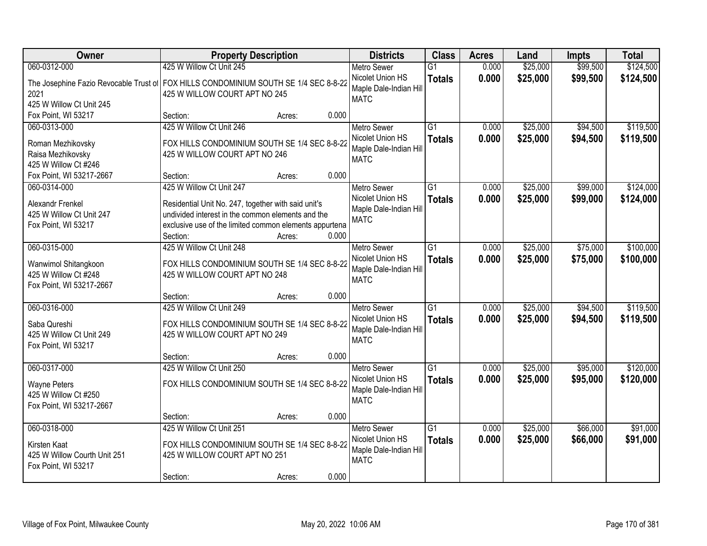| Owner                                                                                | <b>Property Description</b>                            | <b>Districts</b> | <b>Class</b>           | <b>Acres</b>    | Land  | <b>Impts</b> | <b>Total</b> |           |
|--------------------------------------------------------------------------------------|--------------------------------------------------------|------------------|------------------------|-----------------|-------|--------------|--------------|-----------|
| 060-0312-000                                                                         | 425 W Willow Ct Unit 245                               |                  | <b>Metro Sewer</b>     | $\overline{G1}$ | 0.000 | \$25,000     | \$99,500     | \$124,500 |
| The Josephine Fazio Revocable Trust of FOX HILLS CONDOMINIUM SOUTH SE 1/4 SEC 8-8-22 |                                                        |                  | Nicolet Union HS       | <b>Totals</b>   | 0.000 | \$25,000     | \$99,500     | \$124,500 |
| 2021                                                                                 | 425 W WILLOW COURT APT NO 245                          |                  | Maple Dale-Indian Hill |                 |       |              |              |           |
| 425 W Willow Ct Unit 245                                                             |                                                        |                  | <b>MATC</b>            |                 |       |              |              |           |
| Fox Point, WI 53217                                                                  | Section:                                               | 0.000<br>Acres:  |                        |                 |       |              |              |           |
| 060-0313-000                                                                         | 425 W Willow Ct Unit 246                               |                  | <b>Metro Sewer</b>     | $\overline{G1}$ | 0.000 | \$25,000     | \$94,500     | \$119,500 |
| Roman Mezhikovsky                                                                    | FOX HILLS CONDOMINIUM SOUTH SE 1/4 SEC 8-8-22          |                  | Nicolet Union HS       | <b>Totals</b>   | 0.000 | \$25,000     | \$94,500     | \$119,500 |
| Raisa Mezhikovsky                                                                    | 425 W WILLOW COURT APT NO 246                          |                  | Maple Dale-Indian Hill |                 |       |              |              |           |
| 425 W Willow Ct #246                                                                 |                                                        |                  | <b>MATC</b>            |                 |       |              |              |           |
| Fox Point, WI 53217-2667                                                             | Section:                                               | 0.000<br>Acres:  |                        |                 |       |              |              |           |
| 060-0314-000                                                                         | 425 W Willow Ct Unit 247                               |                  | <b>Metro Sewer</b>     | $\overline{G1}$ | 0.000 | \$25,000     | \$99,000     | \$124,000 |
| Alexandr Frenkel                                                                     | Residential Unit No. 247, together with said unit's    |                  | Nicolet Union HS       | <b>Totals</b>   | 0.000 | \$25,000     | \$99,000     | \$124,000 |
| 425 W Willow Ct Unit 247                                                             | undivided interest in the common elements and the      |                  | Maple Dale-Indian Hill |                 |       |              |              |           |
| Fox Point, WI 53217                                                                  | exclusive use of the limited common elements appurtena |                  | <b>MATC</b>            |                 |       |              |              |           |
|                                                                                      | Section:                                               | 0.000<br>Acres:  |                        |                 |       |              |              |           |
| 060-0315-000                                                                         | 425 W Willow Ct Unit 248                               |                  | <b>Metro Sewer</b>     | G1              | 0.000 | \$25,000     | \$75,000     | \$100,000 |
| Wanwimol Shitangkoon                                                                 | FOX HILLS CONDOMINIUM SOUTH SE 1/4 SEC 8-8-22          |                  | Nicolet Union HS       | <b>Totals</b>   | 0.000 | \$25,000     | \$75,000     | \$100,000 |
| 425 W Willow Ct #248                                                                 | 425 W WILLOW COURT APT NO 248                          |                  | Maple Dale-Indian Hill |                 |       |              |              |           |
| Fox Point, WI 53217-2667                                                             |                                                        |                  | <b>MATC</b>            |                 |       |              |              |           |
|                                                                                      | Section:                                               | 0.000<br>Acres:  |                        |                 |       |              |              |           |
| 060-0316-000                                                                         | 425 W Willow Ct Unit 249                               |                  | <b>Metro Sewer</b>     | $\overline{G1}$ | 0.000 | \$25,000     | \$94,500     | \$119,500 |
| Saba Qureshi                                                                         | FOX HILLS CONDOMINIUM SOUTH SE 1/4 SEC 8-8-22          |                  | Nicolet Union HS       | <b>Totals</b>   | 0.000 | \$25,000     | \$94,500     | \$119,500 |
| 425 W Willow Ct Unit 249                                                             | 425 W WILLOW COURT APT NO 249                          |                  | Maple Dale-Indian Hill |                 |       |              |              |           |
| Fox Point, WI 53217                                                                  |                                                        |                  | <b>MATC</b>            |                 |       |              |              |           |
|                                                                                      | Section:                                               | 0.000<br>Acres:  |                        |                 |       |              |              |           |
| 060-0317-000                                                                         | 425 W Willow Ct Unit 250                               |                  | <b>Metro Sewer</b>     | $\overline{G1}$ | 0.000 | \$25,000     | \$95,000     | \$120,000 |
| <b>Wayne Peters</b>                                                                  | FOX HILLS CONDOMINIUM SOUTH SE 1/4 SEC 8-8-22          |                  | Nicolet Union HS       | <b>Totals</b>   | 0.000 | \$25,000     | \$95,000     | \$120,000 |
| 425 W Willow Ct #250                                                                 |                                                        |                  | Maple Dale-Indian Hill |                 |       |              |              |           |
| Fox Point, WI 53217-2667                                                             |                                                        |                  | <b>MATC</b>            |                 |       |              |              |           |
|                                                                                      | Section:                                               | 0.000<br>Acres:  |                        |                 |       |              |              |           |
| 060-0318-000                                                                         | 425 W Willow Ct Unit 251                               |                  | <b>Metro Sewer</b>     | $\overline{G1}$ | 0.000 | \$25,000     | \$66,000     | \$91,000  |
| Kirsten Kaat                                                                         | FOX HILLS CONDOMINIUM SOUTH SE 1/4 SEC 8-8-22          |                  | Nicolet Union HS       | <b>Totals</b>   | 0.000 | \$25,000     | \$66,000     | \$91,000  |
| 425 W Willow Courth Unit 251                                                         | 425 W WILLOW COURT APT NO 251                          |                  | Maple Dale-Indian Hill |                 |       |              |              |           |
| Fox Point, WI 53217                                                                  |                                                        |                  | <b>MATC</b>            |                 |       |              |              |           |
|                                                                                      | Section:                                               | 0.000<br>Acres:  |                        |                 |       |              |              |           |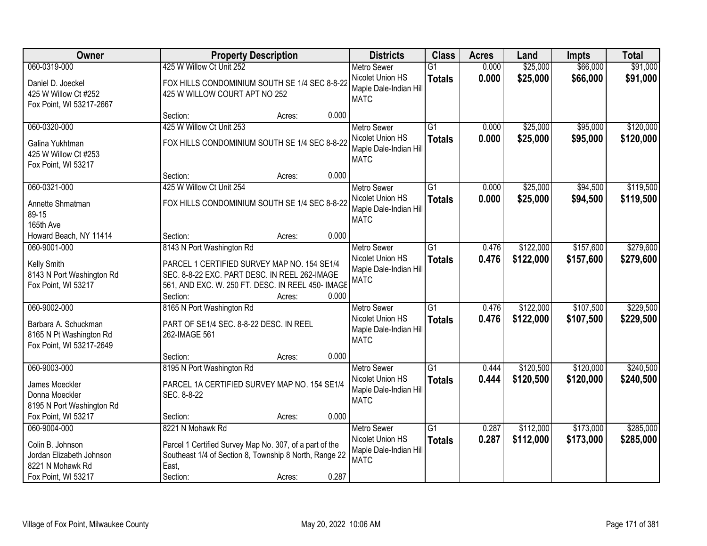| Owner                                                                       |                                                                                                                                                               | <b>Property Description</b> |       |                                                                  | <b>Class</b>                     | <b>Acres</b>   | Land                   | <b>Impts</b>         | <b>Total</b>           |
|-----------------------------------------------------------------------------|---------------------------------------------------------------------------------------------------------------------------------------------------------------|-----------------------------|-------|------------------------------------------------------------------|----------------------------------|----------------|------------------------|----------------------|------------------------|
| 060-0319-000                                                                | 425 W Willow Ct Unit 252                                                                                                                                      |                             |       | <b>Metro Sewer</b>                                               | $\overline{G1}$                  | 0.000          | \$25,000               | \$66,000             | \$91,000               |
| Daniel D. Joeckel<br>425 W Willow Ct #252<br>Fox Point, WI 53217-2667       | FOX HILLS CONDOMINIUM SOUTH SE 1/4 SEC 8-8-22<br>425 W WILLOW COURT APT NO 252                                                                                |                             |       | Nicolet Union HS<br>Maple Dale-Indian Hill<br><b>MATC</b>        | <b>Totals</b>                    | 0.000          | \$25,000               | \$66,000             | \$91,000               |
|                                                                             | Section:                                                                                                                                                      | Acres:                      | 0.000 |                                                                  |                                  |                |                        |                      |                        |
| 060-0320-000<br>Galina Yukhtman                                             | 425 W Willow Ct Unit 253<br>FOX HILLS CONDOMINIUM SOUTH SE 1/4 SEC 8-8-22                                                                                     |                             |       | <b>Metro Sewer</b><br>Nicolet Union HS<br>Maple Dale-Indian Hill | $\overline{G1}$<br><b>Totals</b> | 0.000<br>0.000 | \$25,000<br>\$25,000   | \$95,000<br>\$95,000 | \$120,000<br>\$120,000 |
| 425 W Willow Ct #253<br>Fox Point, WI 53217                                 | Section:                                                                                                                                                      | Acres:                      | 0.000 | <b>MATC</b>                                                      |                                  |                |                        |                      |                        |
| 060-0321-000                                                                | 425 W Willow Ct Unit 254                                                                                                                                      |                             |       | Metro Sewer                                                      | $\overline{G1}$                  | 0.000          | \$25,000               | \$94,500             | \$119,500              |
| Annette Shmatman<br>89-15<br>165th Ave                                      | FOX HILLS CONDOMINIUM SOUTH SE 1/4 SEC 8-8-22                                                                                                                 |                             |       | Nicolet Union HS<br>Maple Dale-Indian Hill<br><b>MATC</b>        | <b>Totals</b>                    | 0.000          | \$25,000               | \$94,500             | \$119,500              |
| Howard Beach, NY 11414                                                      | Section:                                                                                                                                                      | Acres:                      | 0.000 |                                                                  |                                  |                |                        |                      |                        |
| 060-9001-000                                                                | 8143 N Port Washington Rd                                                                                                                                     |                             |       | <b>Metro Sewer</b>                                               | G1                               | 0.476          | \$122,000              | \$157,600            | \$279,600              |
| Kelly Smith<br>8143 N Port Washington Rd<br>Fox Point, WI 53217             | PARCEL 1 CERTIFIED SURVEY MAP NO. 154 SE1/4<br>SEC. 8-8-22 EXC. PART DESC. IN REEL 262-IMAGE<br>561, AND EXC. W. 250 FT. DESC. IN REEL 450- IMAGE<br>Section: | Acres:                      | 0.000 | Nicolet Union HS<br>Maple Dale-Indian Hill<br><b>MATC</b>        | <b>Totals</b>                    | 0.476          | \$122,000              | \$157,600            | \$279,600              |
| 060-9002-000                                                                | 8165 N Port Washington Rd                                                                                                                                     |                             |       | <b>Metro Sewer</b>                                               | $\overline{G1}$                  | 0.476          | \$122,000              | \$107,500            | \$229,500              |
| Barbara A. Schuckman<br>8165 N Pt Washington Rd<br>Fox Point, WI 53217-2649 | PART OF SE1/4 SEC. 8-8-22 DESC. IN REEL<br>262-IMAGE 561                                                                                                      |                             |       | Nicolet Union HS<br>Maple Dale-Indian Hill<br><b>MATC</b>        | <b>Totals</b>                    | 0.476          | \$122,000              | \$107,500            | \$229,500              |
|                                                                             | Section:                                                                                                                                                      | Acres:                      | 0.000 |                                                                  |                                  |                |                        |                      |                        |
| 060-9003-000                                                                | 8195 N Port Washington Rd                                                                                                                                     |                             |       | <b>Metro Sewer</b>                                               | G1                               | 0.444          | \$120,500              | \$120,000            | \$240,500              |
| James Moeckler<br>Donna Moeckler<br>8195 N Port Washington Rd               | PARCEL 1A CERTIFIED SURVEY MAP NO. 154 SE1/4<br>SEC. 8-8-22                                                                                                   |                             |       | Nicolet Union HS<br>Maple Dale-Indian Hill<br><b>MATC</b>        | <b>Totals</b>                    | 0.444          | \$120,500              | \$120,000            | \$240,500              |
| Fox Point, WI 53217                                                         | Section:                                                                                                                                                      | Acres:                      | 0.000 |                                                                  |                                  |                |                        |                      |                        |
| 060-9004-000                                                                | 8221 N Mohawk Rd                                                                                                                                              |                             |       | <b>Metro Sewer</b>                                               | $\overline{G1}$                  | 0.287          |                        | \$173,000            | \$285,000              |
| Colin B. Johnson<br>Jordan Elizabeth Johnson<br>8221 N Mohawk Rd            | Parcel 1 Certified Survey Map No. 307, of a part of the<br>Southeast 1/4 of Section 8, Township 8 North, Range 22<br>East,                                    |                             |       | Maple Dale-Indian Hill<br><b>MATC</b>                            |                                  |                |                        |                      | \$285,000              |
| Fox Point, WI 53217                                                         | Section:                                                                                                                                                      | Acres:                      | 0.287 | Nicolet Union HS                                                 | <b>Totals</b>                    | 0.287          | \$112,000<br>\$112,000 | \$173,000            |                        |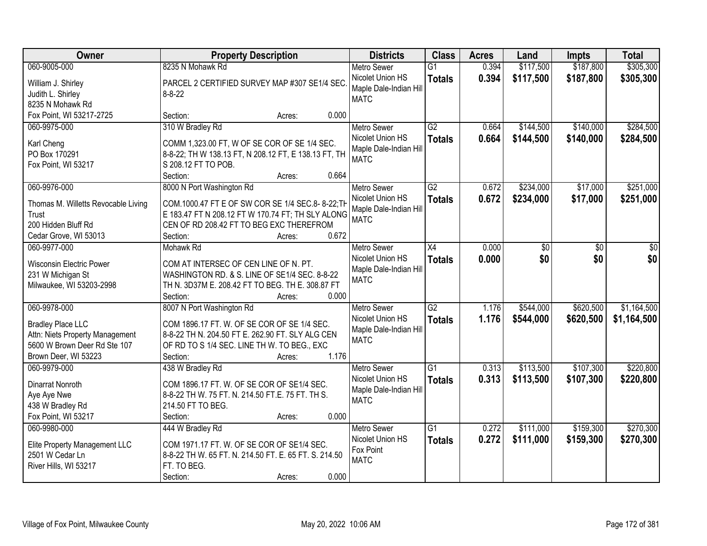| Owner                                                                                                                               | <b>Property Description</b>                                                                                                                                                                                | <b>Districts</b>                                                                | <b>Class</b>                     | <b>Acres</b>   | Land                   | <b>Impts</b>           | <b>Total</b>               |
|-------------------------------------------------------------------------------------------------------------------------------------|------------------------------------------------------------------------------------------------------------------------------------------------------------------------------------------------------------|---------------------------------------------------------------------------------|----------------------------------|----------------|------------------------|------------------------|----------------------------|
| 060-9005-000                                                                                                                        | 8235 N Mohawk Rd                                                                                                                                                                                           | <b>Metro Sewer</b>                                                              | $\overline{G1}$                  | 0.394          | \$117,500              | \$187,800              | \$305,300                  |
| William J. Shirley<br>Judith L. Shirley<br>8235 N Mohawk Rd                                                                         | PARCEL 2 CERTIFIED SURVEY MAP #307 SE1/4 SEC.<br>$8 - 8 - 22$                                                                                                                                              | Nicolet Union HS<br>Maple Dale-Indian Hill<br><b>MATC</b>                       | <b>Totals</b>                    | 0.394          | \$117,500              | \$187,800              | \$305,300                  |
| Fox Point, WI 53217-2725                                                                                                            | 0.000<br>Section:<br>Acres:                                                                                                                                                                                |                                                                                 |                                  |                |                        |                        |                            |
| 060-9975-000<br>Karl Cheng<br>PO Box 170291<br>Fox Point, WI 53217                                                                  | 310 W Bradley Rd<br>COMM 1,323.00 FT, W OF SE COR OF SE 1/4 SEC.<br>8-8-22; TH W 138.13 FT, N 208.12 FT, E 138.13 FT, TH<br>S 208.12 FT TO POB.<br>0.664<br>Section:<br>Acres:                             | <b>Metro Sewer</b><br>Nicolet Union HS<br>Maple Dale-Indian Hill<br><b>MATC</b> | G2<br><b>Totals</b>              | 0.664<br>0.664 | \$144,500<br>\$144,500 | \$140,000<br>\$140,000 | \$284,500<br>\$284,500     |
| 060-9976-000                                                                                                                        | 8000 N Port Washington Rd                                                                                                                                                                                  | <b>Metro Sewer</b>                                                              | G2                               | 0.672          | \$234,000              | \$17,000               | \$251,000                  |
| Thomas M. Willetts Revocable Living<br>Trust<br>200 Hidden Bluff Rd<br>Cedar Grove, WI 53013                                        | COM.1000.47 FT E OF SW COR SE 1/4 SEC.8-8-22; TH<br>E 183.47 FT N 208.12 FT W 170.74 FT; TH SLY ALONG<br>CEN OF RD 208.42 FT TO BEG EXC THEREFROM<br>0.672<br>Section:<br>Acres:                           | Nicolet Union HS<br>Maple Dale-Indian Hill<br><b>MATC</b>                       | <b>Totals</b>                    | 0.672          | \$234,000              | \$17,000               | \$251,000                  |
| 060-9977-000                                                                                                                        | Mohawk Rd                                                                                                                                                                                                  | <b>Metro Sewer</b>                                                              | X4                               | 0.000          | \$0                    | \$0                    | \$0                        |
| <b>Wisconsin Electric Power</b><br>231 W Michigan St<br>Milwaukee, WI 53203-2998                                                    | COM AT INTERSEC OF CEN LINE OF N. PT.<br>WASHINGTON RD. & S. LINE OF SE1/4 SEC. 8-8-22<br>TH N. 3D37M E. 208.42 FT TO BEG. TH E. 308.87 FT<br>Section:<br>0.000<br>Acres:                                  | Nicolet Union HS<br>Maple Dale-Indian Hill<br><b>MATC</b>                       | <b>Totals</b>                    | 0.000          | \$0                    | \$0                    | \$0                        |
| 060-9978-000<br><b>Bradley Place LLC</b><br>Attn: Niets Property Management<br>5600 W Brown Deer Rd Ste 107<br>Brown Deer, WI 53223 | 8007 N Port Washington Rd<br>COM 1896.17 FT. W. OF SE COR OF SE 1/4 SEC.<br>8-8-22 TH N. 204.50 FT E. 262.90 FT. SLY ALG CEN<br>OF RD TO S 1/4 SEC. LINE TH W. TO BEG., EXC<br>1.176<br>Section:<br>Acres: | <b>Metro Sewer</b><br>Nicolet Union HS<br>Maple Dale-Indian Hill<br><b>MATC</b> | $\overline{G2}$<br><b>Totals</b> | 1.176<br>1.176 | \$544,000<br>\$544,000 | \$620,500<br>\$620,500 | \$1,164,500<br>\$1,164,500 |
| 060-9979-000                                                                                                                        | 438 W Bradley Rd                                                                                                                                                                                           | <b>Metro Sewer</b>                                                              | $\overline{G1}$                  | 0.313          | \$113,500              | \$107,300              | \$220,800                  |
| Dinarrat Nonroth<br>Aye Aye Nwe<br>438 W Bradley Rd<br>Fox Point, WI 53217                                                          | COM 1896.17 FT. W. OF SE COR OF SE1/4 SEC.<br>8-8-22 TH W. 75 FT. N. 214.50 FT.E. 75 FT. TH S.<br>214.50 FT TO BEG.<br>0.000<br>Section:<br>Acres:                                                         | Nicolet Union HS<br>Maple Dale-Indian Hill<br><b>MATC</b>                       | <b>Totals</b>                    | 0.313          | \$113,500              | \$107,300              | \$220,800                  |
| 060-9980-000                                                                                                                        | 444 W Bradley Rd                                                                                                                                                                                           | <b>Metro Sewer</b>                                                              | $\overline{G1}$                  | 0.272          | \$111,000              | \$159,300              | \$270,300                  |
| Elite Property Management LLC<br>2501 W Cedar Ln<br>River Hills, WI 53217                                                           | COM 1971.17 FT. W. OF SE COR OF SE1/4 SEC.<br>8-8-22 TH W. 65 FT. N. 214.50 FT. E. 65 FT. S. 214.50<br>FT. TO BEG.<br>0.000<br>Section:<br>Acres:                                                          | Nicolet Union HS<br>Fox Point<br><b>MATC</b>                                    | <b>Totals</b>                    | 0.272          | \$111,000              | \$159,300              | \$270,300                  |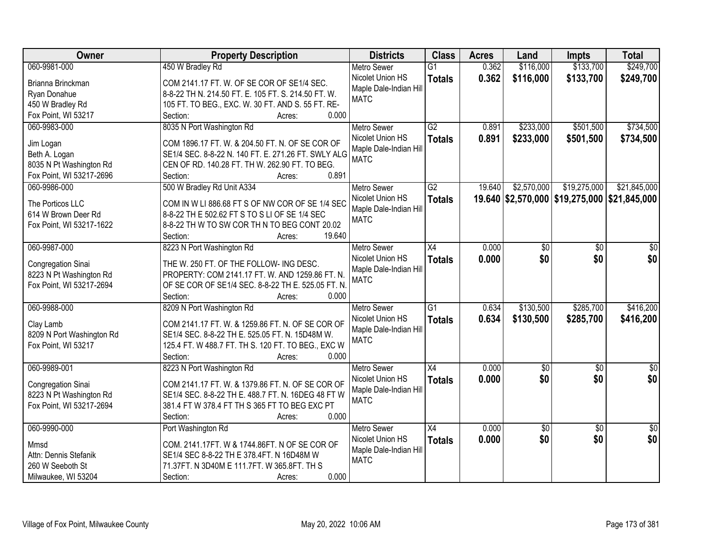| Owner                     | <b>Property Description</b>                         | <b>Districts</b>       | <b>Class</b>    | <b>Acres</b> | Land            | <b>Impts</b>                                 | <b>Total</b>    |
|---------------------------|-----------------------------------------------------|------------------------|-----------------|--------------|-----------------|----------------------------------------------|-----------------|
| 060-9981-000              | 450 W Bradley Rd                                    | <b>Metro Sewer</b>     | $\overline{G1}$ | 0.362        | \$116,000       | \$133,700                                    | \$249,700       |
| Brianna Brinckman         | COM 2141.17 FT. W. OF SE COR OF SE1/4 SEC.          | Nicolet Union HS       | <b>Totals</b>   | 0.362        | \$116,000       | \$133,700                                    | \$249,700       |
| Ryan Donahue              | 8-8-22 TH N. 214.50 FT. E. 105 FT. S. 214.50 FT. W. | Maple Dale-Indian Hill |                 |              |                 |                                              |                 |
| 450 W Bradley Rd          | 105 FT. TO BEG., EXC. W. 30 FT. AND S. 55 FT. RE-   | <b>MATC</b>            |                 |              |                 |                                              |                 |
| Fox Point, WI 53217       | 0.000<br>Section:<br>Acres:                         |                        |                 |              |                 |                                              |                 |
| 060-9983-000              | 8035 N Port Washington Rd                           | <b>Metro Sewer</b>     | $\overline{G2}$ | 0.891        | \$233,000       | \$501,500                                    | \$734,500       |
|                           |                                                     | Nicolet Union HS       | <b>Totals</b>   | 0.891        | \$233,000       | \$501,500                                    | \$734,500       |
| Jim Logan                 | COM 1896.17 FT. W. & 204.50 FT. N. OF SE COR OF     | Maple Dale-Indian Hill |                 |              |                 |                                              |                 |
| Beth A. Logan             | SE1/4 SEC. 8-8-22 N. 140 FT. E. 271.26 FT. SWLY ALG | <b>MATC</b>            |                 |              |                 |                                              |                 |
| 8035 N Pt Washington Rd   | CEN OF RD. 140.28 FT. TH W. 262.90 FT. TO BEG.      |                        |                 |              |                 |                                              |                 |
| Fox Point, WI 53217-2696  | 0.891<br>Section:<br>Acres:                         |                        |                 |              |                 |                                              |                 |
| 060-9986-000              | 500 W Bradley Rd Unit A334                          | Metro Sewer            | G2              | 19.640       | \$2,570,000     | \$19,275,000                                 | \$21,845,000    |
| The Porticos LLC          | COM IN W LI 886.68 FT S OF NW COR OF SE 1/4 SEC     | Nicolet Union HS       | <b>Totals</b>   |              |                 | 19.640 \$2,570,000 \$19,275,000 \$21,845,000 |                 |
| 614 W Brown Deer Rd       | 8-8-22 TH E 502.62 FT S TO S LI OF SE 1/4 SEC       | Maple Dale-Indian Hill |                 |              |                 |                                              |                 |
| Fox Point, WI 53217-1622  | 8-8-22 TH W TO SW COR TH N TO BEG CONT 20.02        | <b>MATC</b>            |                 |              |                 |                                              |                 |
|                           | 19.640<br>Section:<br>Acres:                        |                        |                 |              |                 |                                              |                 |
| 060-9987-000              |                                                     |                        | $\overline{X4}$ | 0.000        |                 |                                              |                 |
|                           | 8223 N Port Washington Rd                           | <b>Metro Sewer</b>     |                 |              | \$0             | \$0                                          | \$0             |
| Congregation Sinai        | THE W. 250 FT. OF THE FOLLOW- ING DESC.             | Nicolet Union HS       | <b>Totals</b>   | 0.000        | \$0             | \$0                                          | \$0             |
| 8223 N Pt Washington Rd   | PROPERTY: COM 2141.17 FT. W. AND 1259.86 FT. N.     | Maple Dale-Indian Hill |                 |              |                 |                                              |                 |
| Fox Point, WI 53217-2694  | OF SE COR OF SE1/4 SEC. 8-8-22 TH E. 525.05 FT. N.  | <b>MATC</b>            |                 |              |                 |                                              |                 |
|                           | Section:<br>0.000<br>Acres:                         |                        |                 |              |                 |                                              |                 |
| 060-9988-000              | 8209 N Port Washington Rd                           | Metro Sewer            | $\overline{G1}$ | 0.634        | \$130,500       | \$285,700                                    | \$416,200       |
|                           |                                                     | Nicolet Union HS       | <b>Totals</b>   | 0.634        | \$130,500       | \$285,700                                    | \$416,200       |
| Clay Lamb                 | COM 2141.17 FT. W. & 1259.86 FT. N. OF SE COR OF    | Maple Dale-Indian Hill |                 |              |                 |                                              |                 |
| 8209 N Port Washington Rd | SE1/4 SEC. 8-8-22 TH E. 525.05 FT. N. 15D48M W.     | <b>MATC</b>            |                 |              |                 |                                              |                 |
| Fox Point, WI 53217       | 125.4 FT. W 488.7 FT. TH S. 120 FT. TO BEG., EXC W  |                        |                 |              |                 |                                              |                 |
|                           | Section:<br>0.000<br>Acres:                         |                        |                 |              |                 |                                              |                 |
| 060-9989-001              | 8223 N Port Washington Rd                           | <b>Metro Sewer</b>     | $\overline{X4}$ | 0.000        | $\sqrt{50}$     | $\overline{50}$                              | \$0             |
| Congregation Sinai        | COM 2141.17 FT. W. & 1379.86 FT. N. OF SE COR OF    | Nicolet Union HS       | <b>Totals</b>   | 0.000        | \$0             | \$0                                          | \$0             |
| 8223 N Pt Washington Rd   | SE1/4 SEC. 8-8-22 TH E. 488.7 FT. N. 16DEG 48 FT W  | Maple Dale-Indian Hill |                 |              |                 |                                              |                 |
| Fox Point, WI 53217-2694  | 381.4 FT W 378.4 FT TH S 365 FT TO BEG EXC PT       | <b>MATC</b>            |                 |              |                 |                                              |                 |
|                           | 0.000<br>Section:<br>Acres:                         |                        |                 |              |                 |                                              |                 |
| 060-9990-000              | Port Washington Rd                                  | <b>Metro Sewer</b>     | $\overline{X4}$ | 0.000        | $\overline{50}$ | $\overline{30}$                              | $\overline{50}$ |
|                           |                                                     | Nicolet Union HS       | <b>Totals</b>   | 0.000        | \$0             | \$0                                          | \$0             |
| Mmsd                      | COM. 2141.17FT. W & 1744.86FT. N OF SE COR OF       | Maple Dale-Indian Hill |                 |              |                 |                                              |                 |
| Attn: Dennis Stefanik     | SE1/4 SEC 8-8-22 TH E 378.4FT. N 16D48M W           | <b>MATC</b>            |                 |              |                 |                                              |                 |
| 260 W Seeboth St          | 71.37FT. N 3D40M E 111.7FT. W 365.8FT. TH S         |                        |                 |              |                 |                                              |                 |
| Milwaukee, WI 53204       | 0.000<br>Section:<br>Acres:                         |                        |                 |              |                 |                                              |                 |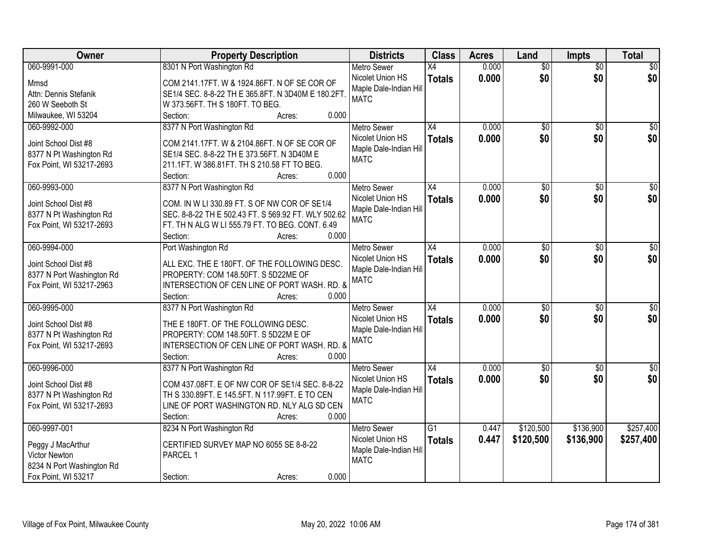| Owner                     | <b>Property Description</b>                         | <b>Districts</b>       | <b>Class</b>    | <b>Acres</b> | Land            | <b>Impts</b>    | <b>Total</b>    |
|---------------------------|-----------------------------------------------------|------------------------|-----------------|--------------|-----------------|-----------------|-----------------|
| 060-9991-000              | 8301 N Port Washington Rd                           | <b>Metro Sewer</b>     | X4              | 0.000        | $\overline{50}$ | $\overline{50}$ | \$0             |
| Mmsd                      | COM 2141.17FT. W & 1924.86FT. N OF SE COR OF        | Nicolet Union HS       | <b>Totals</b>   | 0.000        | \$0             | \$0             | \$0             |
| Attn: Dennis Stefanik     | SE1/4 SEC. 8-8-22 TH E 365.8FT. N 3D40M E 180.2FT   | Maple Dale-Indian Hill |                 |              |                 |                 |                 |
| 260 W Seeboth St          | W 373.56FT. TH S 180FT. TO BEG.                     | <b>MATC</b>            |                 |              |                 |                 |                 |
| Milwaukee, WI 53204       | 0.000<br>Section:<br>Acres:                         |                        |                 |              |                 |                 |                 |
| 060-9992-000              | 8377 N Port Washington Rd                           | <b>Metro Sewer</b>     | $\overline{X4}$ | 0.000        | $\overline{50}$ | $\overline{50}$ | \$0             |
|                           |                                                     | Nicolet Union HS       | <b>Totals</b>   | 0.000        | \$0             | \$0             | \$0             |
| Joint School Dist #8      | COM 2141.17FT. W & 2104.86FT. N OF SE COR OF        | Maple Dale-Indian Hill |                 |              |                 |                 |                 |
| 8377 N Pt Washington Rd   | SE1/4 SEC. 8-8-22 TH E 373.56FT. N 3D40M E          | <b>MATC</b>            |                 |              |                 |                 |                 |
| Fox Point, WI 53217-2693  | 211.1FT. W 386.81FT. TH S 210.58 FT TO BEG.         |                        |                 |              |                 |                 |                 |
|                           | 0.000<br>Section:<br>Acres:                         |                        |                 |              |                 |                 |                 |
| 060-9993-000              | 8377 N Port Washington Rd                           | <b>Metro Sewer</b>     | $\overline{X4}$ | 0.000        | $\overline{50}$ | \$0             | $\overline{50}$ |
| Joint School Dist #8      | COM. IN W LI 330.89 FT. S OF NW COR OF SE1/4        | Nicolet Union HS       | <b>Totals</b>   | 0.000        | \$0             | \$0             | \$0             |
| 8377 N Pt Washington Rd   | SEC. 8-8-22 TH E 502.43 FT. S 569.92 FT. WLY 502.62 | Maple Dale-Indian Hill |                 |              |                 |                 |                 |
| Fox Point, WI 53217-2693  | FT. TH N ALG W LI 555.79 FT. TO BEG. CONT. 6.49     | <b>MATC</b>            |                 |              |                 |                 |                 |
|                           | 0.000<br>Section:<br>Acres:                         |                        |                 |              |                 |                 |                 |
| 060-9994-000              | Port Washington Rd                                  | <b>Metro Sewer</b>     | $\overline{X4}$ | 0.000        | $\overline{50}$ | \$0             | $\sqrt{50}$     |
|                           |                                                     | Nicolet Union HS       | <b>Totals</b>   | 0.000        | \$0             | \$0             | \$0             |
| Joint School Dist #8      | ALL EXC. THE E 180FT. OF THE FOLLOWING DESC.        | Maple Dale-Indian Hill |                 |              |                 |                 |                 |
| 8377 N Port Washington Rd | PROPERTY: COM 148.50FT. S 5D22ME OF                 | <b>MATC</b>            |                 |              |                 |                 |                 |
| Fox Point, WI 53217-2963  | INTERSECTION OF CEN LINE OF PORT WASH. RD. &        |                        |                 |              |                 |                 |                 |
|                           | 0.000<br>Section:<br>Acres:                         |                        |                 |              |                 |                 |                 |
| 060-9995-000              | 8377 N Port Washington Rd                           | <b>Metro Sewer</b>     | $\overline{X4}$ | 0.000        | $\overline{50}$ | $\overline{30}$ | $\sqrt{50}$     |
| Joint School Dist #8      | THE E 180FT. OF THE FOLLOWING DESC.                 | Nicolet Union HS       | <b>Totals</b>   | 0.000        | \$0             | \$0             | \$0             |
| 8377 N Pt Washington Rd   | PROPERTY: COM 148.50FT. S 5D22M E OF                | Maple Dale-Indian Hill |                 |              |                 |                 |                 |
| Fox Point, WI 53217-2693  | INTERSECTION OF CEN LINE OF PORT WASH. RD. &        | <b>MATC</b>            |                 |              |                 |                 |                 |
|                           | 0.000<br>Section:<br>Acres:                         |                        |                 |              |                 |                 |                 |
| 060-9996-000              | 8377 N Port Washington Rd                           | Metro Sewer            | X4              | 0.000        | $\overline{50}$ | \$0             | \$0             |
|                           |                                                     | Nicolet Union HS       | <b>Totals</b>   | 0.000        | \$0             | \$0             | \$0             |
| Joint School Dist #8      | COM 437.08FT. E OF NW COR OF SE1/4 SEC. 8-8-22      | Maple Dale-Indian Hill |                 |              |                 |                 |                 |
| 8377 N Pt Washington Rd   | TH S 330.89FT. E 145.5FT. N 117.99FT. E TO CEN      | <b>MATC</b>            |                 |              |                 |                 |                 |
| Fox Point, WI 53217-2693  | LINE OF PORT WASHINGTON RD. NLY ALG SD CEN          |                        |                 |              |                 |                 |                 |
|                           | 0.000<br>Section:<br>Acres:                         |                        |                 |              |                 |                 |                 |
| 060-9997-001              | 8234 N Port Washington Rd                           | <b>Metro Sewer</b>     | $\overline{G1}$ | 0.447        | \$120,500       | \$136,900       | \$257,400       |
| Peggy J MacArthur         | CERTIFIED SURVEY MAP NO 6055 SE 8-8-22              | Nicolet Union HS       | <b>Totals</b>   | 0.447        | \$120,500       | \$136,900       | \$257,400       |
| Victor Newton             | PARCEL 1                                            | Maple Dale-Indian Hill |                 |              |                 |                 |                 |
| 8234 N Port Washington Rd |                                                     | <b>MATC</b>            |                 |              |                 |                 |                 |
| Fox Point, WI 53217       | 0.000<br>Section:<br>Acres:                         |                        |                 |              |                 |                 |                 |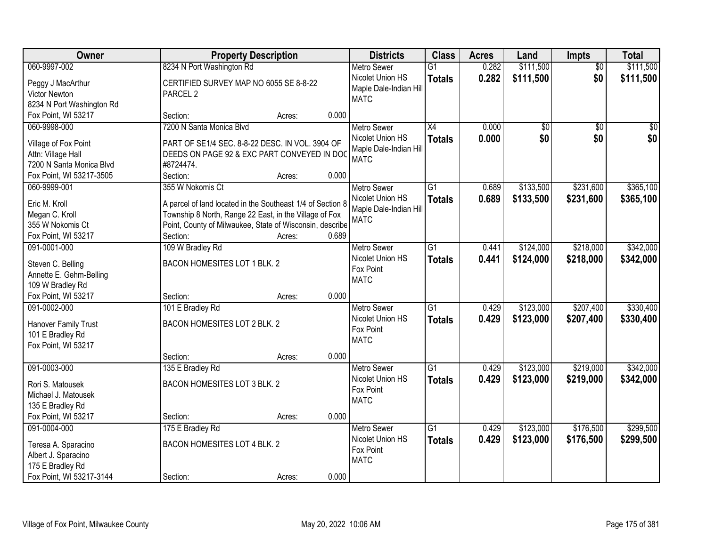| Owner                     |                                                            | <b>Property Description</b> |       |                        | <b>Class</b>    | <b>Acres</b> | Land            | <b>Impts</b>    | <b>Total</b> |
|---------------------------|------------------------------------------------------------|-----------------------------|-------|------------------------|-----------------|--------------|-----------------|-----------------|--------------|
| 060-9997-002              | 8234 N Port Washington Rd                                  |                             |       | <b>Metro Sewer</b>     | $\overline{G1}$ | 0.282        | \$111,500       | $\overline{50}$ | \$111,500    |
| Peggy J MacArthur         | CERTIFIED SURVEY MAP NO 6055 SE 8-8-22                     |                             |       | Nicolet Union HS       | <b>Totals</b>   | 0.282        | \$111,500       | \$0             | \$111,500    |
| <b>Victor Newton</b>      | PARCEL <sub>2</sub>                                        |                             |       | Maple Dale-Indian Hill |                 |              |                 |                 |              |
| 8234 N Port Washington Rd |                                                            |                             |       | <b>MATC</b>            |                 |              |                 |                 |              |
| Fox Point, WI 53217       | Section:                                                   | Acres:                      | 0.000 |                        |                 |              |                 |                 |              |
| 060-9998-000              | 7200 N Santa Monica Blvd                                   |                             |       | <b>Metro Sewer</b>     | $\overline{X4}$ | 0.000        | $\overline{50}$ | $\overline{50}$ | $\sqrt{50}$  |
|                           |                                                            |                             |       | Nicolet Union HS       | <b>Totals</b>   | 0.000        | \$0             | \$0             | \$0          |
| Village of Fox Point      | PART OF SE1/4 SEC. 8-8-22 DESC. IN VOL. 3904 OF            |                             |       | Maple Dale-Indian Hill |                 |              |                 |                 |              |
| Attn: Village Hall        | DEEDS ON PAGE 92 & EXC PART CONVEYED IN DOC                |                             |       | <b>MATC</b>            |                 |              |                 |                 |              |
| 7200 N Santa Monica Blvd  | #8724474.                                                  |                             |       |                        |                 |              |                 |                 |              |
| Fox Point, WI 53217-3505  | Section:                                                   | Acres:                      | 0.000 |                        |                 |              |                 |                 |              |
| 060-9999-001              | 355 W Nokomis Ct                                           |                             |       | <b>Metro Sewer</b>     | G1              | 0.689        | \$133,500       | \$231,600       | \$365,100    |
| Eric M. Kroll             | A parcel of land located in the Southeast 1/4 of Section 8 |                             |       | Nicolet Union HS       | <b>Totals</b>   | 0.689        | \$133,500       | \$231,600       | \$365,100    |
| Megan C. Kroll            | Township 8 North, Range 22 East, in the Village of Fox     |                             |       | Maple Dale-Indian Hill |                 |              |                 |                 |              |
| 355 W Nokomis Ct          | Point, County of Milwaukee, State of Wisconsin, describe   |                             |       | <b>MATC</b>            |                 |              |                 |                 |              |
| Fox Point, WI 53217       | Section:                                                   | Acres:                      | 0.689 |                        |                 |              |                 |                 |              |
| 091-0001-000              | 109 W Bradley Rd                                           |                             |       | <b>Metro Sewer</b>     | G1              | 0.441        | \$124,000       | \$218,000       | \$342,000    |
|                           |                                                            |                             |       | Nicolet Union HS       | <b>Totals</b>   | 0.441        | \$124,000       | \$218,000       | \$342,000    |
| Steven C. Belling         | BACON HOMESITES LOT 1 BLK. 2                               |                             |       | Fox Point              |                 |              |                 |                 |              |
| Annette E. Gehm-Belling   |                                                            |                             |       | <b>MATC</b>            |                 |              |                 |                 |              |
| 109 W Bradley Rd          |                                                            |                             |       |                        |                 |              |                 |                 |              |
| Fox Point, WI 53217       | Section:                                                   | Acres:                      | 0.000 |                        |                 |              |                 |                 |              |
| 091-0002-000              | 101 E Bradley Rd                                           |                             |       | <b>Metro Sewer</b>     | $\overline{G1}$ | 0.429        | \$123,000       | \$207,400       | \$330,400    |
| Hanover Family Trust      | BACON HOMESITES LOT 2 BLK. 2                               |                             |       | Nicolet Union HS       | <b>Totals</b>   | 0.429        | \$123,000       | \$207,400       | \$330,400    |
| 101 E Bradley Rd          |                                                            |                             |       | Fox Point              |                 |              |                 |                 |              |
| Fox Point, WI 53217       |                                                            |                             |       | <b>MATC</b>            |                 |              |                 |                 |              |
|                           | Section:                                                   | Acres:                      | 0.000 |                        |                 |              |                 |                 |              |
| 091-0003-000              | 135 E Bradley Rd                                           |                             |       | <b>Metro Sewer</b>     | $\overline{G1}$ | 0.429        | \$123,000       | \$219,000       | \$342,000    |
| Rori S. Matousek          | BACON HOMESITES LOT 3 BLK. 2                               |                             |       | Nicolet Union HS       | <b>Totals</b>   | 0.429        | \$123,000       | \$219,000       | \$342,000    |
| Michael J. Matousek       |                                                            |                             |       | Fox Point              |                 |              |                 |                 |              |
| 135 E Bradley Rd          |                                                            |                             |       | <b>MATC</b>            |                 |              |                 |                 |              |
| Fox Point, WI 53217       | Section:                                                   | Acres:                      | 0.000 |                        |                 |              |                 |                 |              |
| 091-0004-000              | 175 E Bradley Rd                                           |                             |       | <b>Metro Sewer</b>     | $\overline{G1}$ | 0.429        | \$123,000       | \$176,500       | \$299,500    |
|                           |                                                            |                             |       | Nicolet Union HS       |                 |              |                 |                 |              |
| Teresa A. Sparacino       | <b>BACON HOMESITES LOT 4 BLK. 2</b>                        |                             |       | Fox Point              | <b>Totals</b>   | 0.429        | \$123,000       | \$176,500       | \$299,500    |
| Albert J. Sparacino       |                                                            |                             |       | <b>MATC</b>            |                 |              |                 |                 |              |
| 175 E Bradley Rd          |                                                            |                             |       |                        |                 |              |                 |                 |              |
| Fox Point, WI 53217-3144  | Section:                                                   | Acres:                      | 0.000 |                        |                 |              |                 |                 |              |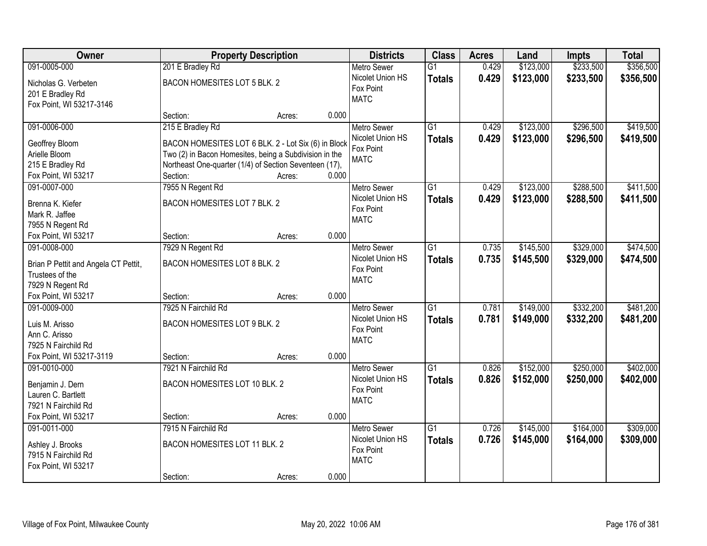| Owner                                | <b>Property Description</b>                            |        |       | <b>Districts</b>   | <b>Class</b>    | <b>Acres</b> | Land      | <b>Impts</b> | <b>Total</b> |
|--------------------------------------|--------------------------------------------------------|--------|-------|--------------------|-----------------|--------------|-----------|--------------|--------------|
| 091-0005-000                         | 201 E Bradley Rd                                       |        |       | <b>Metro Sewer</b> | $\overline{G1}$ | 0.429        | \$123,000 | \$233,500    | \$356,500    |
| Nicholas G. Verbeten                 | BACON HOMESITES LOT 5 BLK. 2                           |        |       | Nicolet Union HS   | <b>Totals</b>   | 0.429        | \$123,000 | \$233,500    | \$356,500    |
| 201 E Bradley Rd                     |                                                        |        |       | Fox Point          |                 |              |           |              |              |
| Fox Point, WI 53217-3146             |                                                        |        |       | <b>MATC</b>        |                 |              |           |              |              |
|                                      | Section:                                               | Acres: | 0.000 |                    |                 |              |           |              |              |
| 091-0006-000                         | 215 E Bradley Rd                                       |        |       | <b>Metro Sewer</b> | $\overline{G1}$ | 0.429        | \$123,000 | \$296,500    | \$419,500    |
| Geoffrey Bloom                       | BACON HOMESITES LOT 6 BLK. 2 - Lot Six (6) in Block    |        |       | Nicolet Union HS   | <b>Totals</b>   | 0.429        | \$123,000 | \$296,500    | \$419,500    |
| Arielle Bloom                        | Two (2) in Bacon Homesites, being a Subdivision in the |        |       | Fox Point          |                 |              |           |              |              |
| 215 E Bradley Rd                     | Northeast One-quarter (1/4) of Section Seventeen (17), |        |       | <b>MATC</b>        |                 |              |           |              |              |
| Fox Point, WI 53217                  | Section:                                               | Acres: | 0.000 |                    |                 |              |           |              |              |
| 091-0007-000                         | 7955 N Regent Rd                                       |        |       | Metro Sewer        | $\overline{G1}$ | 0.429        | \$123,000 | \$288,500    | \$411,500    |
|                                      |                                                        |        |       | Nicolet Union HS   |                 | 0.429        | \$123,000 | \$288,500    |              |
| Brenna K. Kiefer                     | BACON HOMESITES LOT 7 BLK. 2                           |        |       | Fox Point          | <b>Totals</b>   |              |           |              | \$411,500    |
| Mark R. Jaffee                       |                                                        |        |       | <b>MATC</b>        |                 |              |           |              |              |
| 7955 N Regent Rd                     |                                                        |        |       |                    |                 |              |           |              |              |
| Fox Point, WI 53217                  | Section:                                               | Acres: | 0.000 |                    |                 |              |           |              |              |
| 091-0008-000                         | 7929 N Regent Rd                                       |        |       | <b>Metro Sewer</b> | $\overline{G1}$ | 0.735        | \$145,500 | \$329,000    | \$474,500    |
| Brian P Pettit and Angela CT Pettit, | BACON HOMESITES LOT 8 BLK. 2                           |        |       | Nicolet Union HS   | <b>Totals</b>   | 0.735        | \$145,500 | \$329,000    | \$474,500    |
| Trustees of the                      |                                                        |        |       | Fox Point          |                 |              |           |              |              |
| 7929 N Regent Rd                     |                                                        |        |       | <b>MATC</b>        |                 |              |           |              |              |
| Fox Point, WI 53217                  | Section:                                               | Acres: | 0.000 |                    |                 |              |           |              |              |
| 091-0009-000                         | 7925 N Fairchild Rd                                    |        |       | <b>Metro Sewer</b> | $\overline{G1}$ | 0.781        | \$149,000 | \$332,200    | \$481,200    |
|                                      |                                                        |        |       | Nicolet Union HS   |                 | 0.781        |           | \$332,200    |              |
| Luis M. Arisso                       | BACON HOMESITES LOT 9 BLK. 2                           |        |       | Fox Point          | <b>Totals</b>   |              | \$149,000 |              | \$481,200    |
| Ann C. Arisso                        |                                                        |        |       | <b>MATC</b>        |                 |              |           |              |              |
| 7925 N Fairchild Rd                  |                                                        |        |       |                    |                 |              |           |              |              |
| Fox Point, WI 53217-3119             | Section:                                               | Acres: | 0.000 |                    |                 |              |           |              |              |
| 091-0010-000                         | 7921 N Fairchild Rd                                    |        |       | <b>Metro Sewer</b> | $\overline{G1}$ | 0.826        | \$152,000 | \$250,000    | \$402,000    |
| Benjamin J. Dern                     | BACON HOMESITES LOT 10 BLK. 2                          |        |       | Nicolet Union HS   | <b>Totals</b>   | 0.826        | \$152,000 | \$250,000    | \$402,000    |
| Lauren C. Bartlett                   |                                                        |        |       | Fox Point          |                 |              |           |              |              |
| 7921 N Fairchild Rd                  |                                                        |        |       | <b>MATC</b>        |                 |              |           |              |              |
| Fox Point, WI 53217                  | Section:                                               | Acres: | 0.000 |                    |                 |              |           |              |              |
| 091-0011-000                         | 7915 N Fairchild Rd                                    |        |       | <b>Metro Sewer</b> | $\overline{G1}$ | 0.726        | \$145,000 | \$164,000    | \$309,000    |
|                                      |                                                        |        |       | Nicolet Union HS   |                 | 0.726        | \$145,000 | \$164,000    | \$309,000    |
| Ashley J. Brooks                     | BACON HOMESITES LOT 11 BLK. 2                          |        |       | Fox Point          | <b>Totals</b>   |              |           |              |              |
| 7915 N Fairchild Rd                  |                                                        |        |       | <b>MATC</b>        |                 |              |           |              |              |
| Fox Point, WI 53217                  |                                                        |        |       |                    |                 |              |           |              |              |
|                                      | Section:                                               | Acres: | 0.000 |                    |                 |              |           |              |              |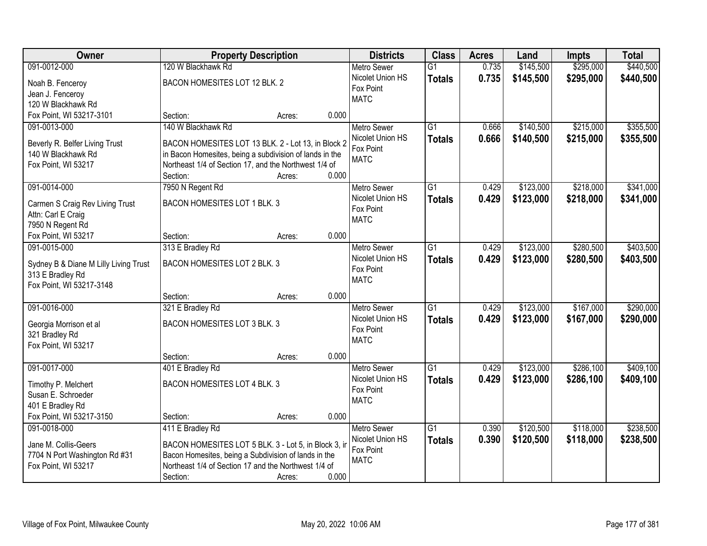| Owner                                 | <b>Property Description</b>                                       |        |       | <b>Districts</b>   | <b>Class</b>    | <b>Acres</b> | Land      | <b>Impts</b> | <b>Total</b> |
|---------------------------------------|-------------------------------------------------------------------|--------|-------|--------------------|-----------------|--------------|-----------|--------------|--------------|
| 091-0012-000                          | 120 W Blackhawk Rd                                                |        |       | <b>Metro Sewer</b> | $\overline{G1}$ | 0.735        | \$145,500 | \$295,000    | \$440,500    |
| Noah B. Fenceroy                      | BACON HOMESITES LOT 12 BLK. 2                                     |        |       | Nicolet Union HS   | <b>Totals</b>   | 0.735        | \$145,500 | \$295,000    | \$440,500    |
| Jean J. Fenceroy                      |                                                                   |        |       | Fox Point          |                 |              |           |              |              |
| 120 W Blackhawk Rd                    |                                                                   |        |       | <b>MATC</b>        |                 |              |           |              |              |
| Fox Point, WI 53217-3101              | Section:                                                          | Acres: | 0.000 |                    |                 |              |           |              |              |
| 091-0013-000                          | 140 W Blackhawk Rd                                                |        |       | <b>Metro Sewer</b> | $\overline{G1}$ | 0.666        | \$140,500 | \$215,000    | \$355,500    |
|                                       |                                                                   |        |       | Nicolet Union HS   | <b>Totals</b>   | 0.666        | \$140,500 | \$215,000    | \$355,500    |
| Beverly R. Belfer Living Trust        | BACON HOMESITES LOT 13 BLK. 2 - Lot 13, in Block 2                |        |       | Fox Point          |                 |              |           |              |              |
| 140 W Blackhawk Rd                    | in Bacon Homesites, being a subdivision of lands in the           |        |       | <b>MATC</b>        |                 |              |           |              |              |
| Fox Point, WI 53217                   | Northeast 1/4 of Section 17, and the Northwest 1/4 of<br>Section: | Acres: | 0.000 |                    |                 |              |           |              |              |
| 091-0014-000                          | 7950 N Regent Rd                                                  |        |       | <b>Metro Sewer</b> | $\overline{G1}$ | 0.429        | \$123,000 | \$218,000    | \$341,000    |
|                                       |                                                                   |        |       | Nicolet Union HS   |                 |              |           |              |              |
| Carmen S Craig Rev Living Trust       | BACON HOMESITES LOT 1 BLK. 3                                      |        |       | Fox Point          | <b>Totals</b>   | 0.429        | \$123,000 | \$218,000    | \$341,000    |
| Attn: Carl E Craig                    |                                                                   |        |       | <b>MATC</b>        |                 |              |           |              |              |
| 7950 N Regent Rd                      |                                                                   |        |       |                    |                 |              |           |              |              |
| Fox Point, WI 53217                   | Section:                                                          | Acres: | 0.000 |                    |                 |              |           |              |              |
| 091-0015-000                          | 313 E Bradley Rd                                                  |        |       | <b>Metro Sewer</b> | $\overline{G1}$ | 0.429        | \$123,000 | \$280,500    | \$403,500    |
| Sydney B & Diane M Lilly Living Trust | BACON HOMESITES LOT 2 BLK. 3                                      |        |       | Nicolet Union HS   | <b>Totals</b>   | 0.429        | \$123,000 | \$280,500    | \$403,500    |
| 313 E Bradley Rd                      |                                                                   |        |       | Fox Point          |                 |              |           |              |              |
| Fox Point, WI 53217-3148              |                                                                   |        |       | <b>MATC</b>        |                 |              |           |              |              |
|                                       | Section:                                                          | Acres: | 0.000 |                    |                 |              |           |              |              |
| 091-0016-000                          | 321 E Bradley Rd                                                  |        |       | <b>Metro Sewer</b> | $\overline{G1}$ | 0.429        | \$123,000 | \$167,000    | \$290,000    |
|                                       |                                                                   |        |       | Nicolet Union HS   | <b>Totals</b>   | 0.429        | \$123,000 | \$167,000    | \$290,000    |
| Georgia Morrison et al                | BACON HOMESITES LOT 3 BLK. 3                                      |        |       | Fox Point          |                 |              |           |              |              |
| 321 Bradley Rd                        |                                                                   |        |       | <b>MATC</b>        |                 |              |           |              |              |
| Fox Point, WI 53217                   | Section:                                                          |        | 0.000 |                    |                 |              |           |              |              |
| 091-0017-000                          | 401 E Bradley Rd                                                  | Acres: |       | Metro Sewer        | G1              | 0.429        | \$123,000 | \$286,100    | \$409,100    |
|                                       |                                                                   |        |       | Nicolet Union HS   |                 | 0.429        |           |              |              |
| Timothy P. Melchert                   | BACON HOMESITES LOT 4 BLK. 3                                      |        |       | Fox Point          | <b>Totals</b>   |              | \$123,000 | \$286,100    | \$409,100    |
| Susan E. Schroeder                    |                                                                   |        |       | <b>MATC</b>        |                 |              |           |              |              |
| 401 E Bradley Rd                      |                                                                   |        |       |                    |                 |              |           |              |              |
| Fox Point, WI 53217-3150              | Section:                                                          | Acres: | 0.000 |                    |                 |              |           |              |              |
| 091-0018-000                          | 411 E Bradley Rd                                                  |        |       | <b>Metro Sewer</b> | $\overline{G1}$ | 0.390        | \$120,500 | \$118,000    | \$238,500    |
| Jane M. Collis-Geers                  | BACON HOMESITES LOT 5 BLK. 3 - Lot 5, in Block 3, in              |        |       | Nicolet Union HS   | <b>Totals</b>   | 0.390        | \$120,500 | \$118,000    | \$238,500    |
| 7704 N Port Washington Rd #31         | Bacon Homesites, being a Subdivision of lands in the              |        |       | Fox Point          |                 |              |           |              |              |
| Fox Point, WI 53217                   | Northeast 1/4 of Section 17 and the Northwest 1/4 of              |        |       | <b>MATC</b>        |                 |              |           |              |              |
|                                       | Section:                                                          | Acres: | 0.000 |                    |                 |              |           |              |              |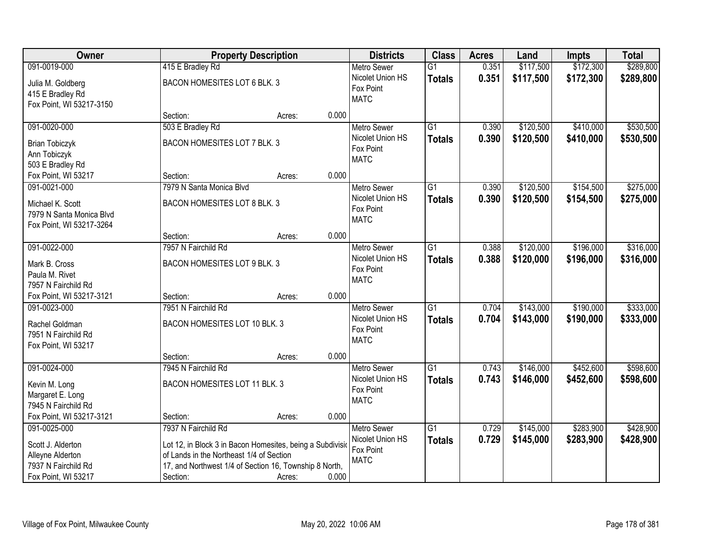| Owner                                 |                                                           | <b>Property Description</b> |       | <b>Districts</b>   | <b>Class</b>    | <b>Acres</b> | Land      | <b>Impts</b> | <b>Total</b> |
|---------------------------------------|-----------------------------------------------------------|-----------------------------|-------|--------------------|-----------------|--------------|-----------|--------------|--------------|
| 091-0019-000                          | 415 E Bradley Rd                                          |                             |       | <b>Metro Sewer</b> | $\overline{G1}$ | 0.351        | \$117,500 | \$172,300    | \$289,800    |
| Julia M. Goldberg                     | BACON HOMESITES LOT 6 BLK. 3                              |                             |       | Nicolet Union HS   | <b>Totals</b>   | 0.351        | \$117,500 | \$172,300    | \$289,800    |
| 415 E Bradley Rd                      |                                                           |                             |       | Fox Point          |                 |              |           |              |              |
| Fox Point, WI 53217-3150              |                                                           |                             |       | <b>MATC</b>        |                 |              |           |              |              |
|                                       | Section:                                                  | Acres:                      | 0.000 |                    |                 |              |           |              |              |
| 091-0020-000                          | 503 E Bradley Rd                                          |                             |       | <b>Metro Sewer</b> | $\overline{G1}$ | 0.390        | \$120,500 | \$410,000    | \$530,500    |
| <b>Brian Tobiczyk</b>                 | BACON HOMESITES LOT 7 BLK. 3                              |                             |       | Nicolet Union HS   | <b>Totals</b>   | 0.390        | \$120,500 | \$410,000    | \$530,500    |
| Ann Tobiczyk                          |                                                           |                             |       | Fox Point          |                 |              |           |              |              |
| 503 E Bradley Rd                      |                                                           |                             |       | <b>MATC</b>        |                 |              |           |              |              |
| Fox Point, WI 53217                   | Section:                                                  | Acres:                      | 0.000 |                    |                 |              |           |              |              |
| 091-0021-000                          | 7979 N Santa Monica Blvd                                  |                             |       | Metro Sewer        | $\overline{G1}$ | 0.390        | \$120,500 | \$154,500    | \$275,000    |
| Michael K. Scott                      | BACON HOMESITES LOT 8 BLK. 3                              |                             |       | Nicolet Union HS   | <b>Totals</b>   | 0.390        | \$120,500 | \$154,500    | \$275,000    |
| 7979 N Santa Monica Blvd              |                                                           |                             |       | Fox Point          |                 |              |           |              |              |
| Fox Point, WI 53217-3264              |                                                           |                             |       | <b>MATC</b>        |                 |              |           |              |              |
|                                       | Section:                                                  | Acres:                      | 0.000 |                    |                 |              |           |              |              |
| 091-0022-000                          | 7957 N Fairchild Rd                                       |                             |       | <b>Metro Sewer</b> | $\overline{G1}$ | 0.388        | \$120,000 | \$196,000    | \$316,000    |
| Mark B. Cross                         | BACON HOMESITES LOT 9 BLK. 3                              |                             |       | Nicolet Union HS   | <b>Totals</b>   | 0.388        | \$120,000 | \$196,000    | \$316,000    |
| Paula M. Rivet                        |                                                           |                             |       | Fox Point          |                 |              |           |              |              |
| 7957 N Fairchild Rd                   |                                                           |                             |       | <b>MATC</b>        |                 |              |           |              |              |
| Fox Point, WI 53217-3121              | Section:                                                  | Acres:                      | 0.000 |                    |                 |              |           |              |              |
| 091-0023-000                          | 7951 N Fairchild Rd                                       |                             |       | <b>Metro Sewer</b> | $\overline{G1}$ | 0.704        | \$143,000 | \$190,000    | \$333,000    |
|                                       | BACON HOMESITES LOT 10 BLK. 3                             |                             |       | Nicolet Union HS   | <b>Totals</b>   | 0.704        | \$143,000 | \$190,000    | \$333,000    |
| Rachel Goldman<br>7951 N Fairchild Rd |                                                           |                             |       | Fox Point          |                 |              |           |              |              |
| Fox Point, WI 53217                   |                                                           |                             |       | <b>MATC</b>        |                 |              |           |              |              |
|                                       | Section:                                                  | Acres:                      | 0.000 |                    |                 |              |           |              |              |
| 091-0024-000                          | 7945 N Fairchild Rd                                       |                             |       | Metro Sewer        | G1              | 0.743        | \$146,000 | \$452,600    | \$598,600    |
| Kevin M. Long                         | BACON HOMESITES LOT 11 BLK. 3                             |                             |       | Nicolet Union HS   | <b>Totals</b>   | 0.743        | \$146,000 | \$452,600    | \$598,600    |
| Margaret E. Long                      |                                                           |                             |       | Fox Point          |                 |              |           |              |              |
| 7945 N Fairchild Rd                   |                                                           |                             |       | <b>MATC</b>        |                 |              |           |              |              |
| Fox Point, WI 53217-3121              | Section:                                                  | Acres:                      | 0.000 |                    |                 |              |           |              |              |
| 091-0025-000                          | 7937 N Fairchild Rd                                       |                             |       | <b>Metro Sewer</b> | $\overline{G1}$ | 0.729        | \$145,000 | \$283,900    | \$428,900    |
| Scott J. Alderton                     | Lot 12, in Block 3 in Bacon Homesites, being a Subdivisio |                             |       | Nicolet Union HS   | <b>Totals</b>   | 0.729        | \$145,000 | \$283,900    | \$428,900    |
| Alleyne Alderton                      | of Lands in the Northeast 1/4 of Section                  |                             |       | Fox Point          |                 |              |           |              |              |
| 7937 N Fairchild Rd                   | 17, and Northwest 1/4 of Section 16, Township 8 North,    |                             |       | <b>MATC</b>        |                 |              |           |              |              |
| Fox Point, WI 53217                   | Section:                                                  | Acres:                      | 0.000 |                    |                 |              |           |              |              |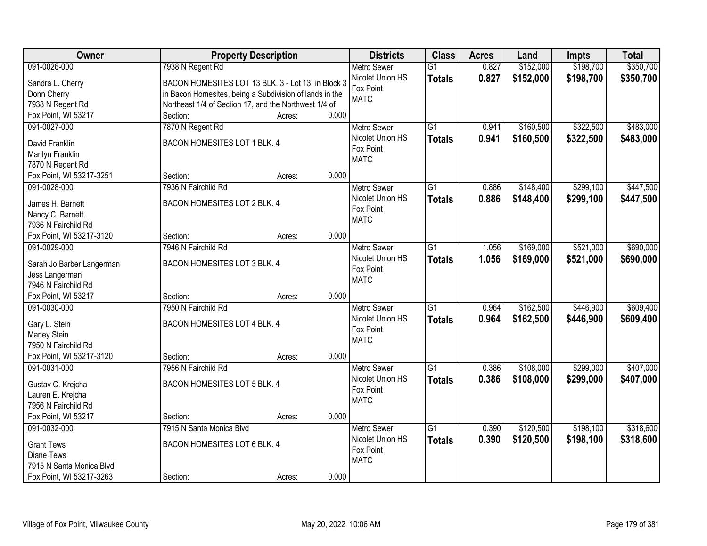| Owner                           | <b>Property Description</b>                             |                 | <b>Districts</b>              | <b>Class</b>    | <b>Acres</b> | Land      | <b>Impts</b> | <b>Total</b> |
|---------------------------------|---------------------------------------------------------|-----------------|-------------------------------|-----------------|--------------|-----------|--------------|--------------|
| 091-0026-000                    | 7938 N Regent Rd                                        |                 | <b>Metro Sewer</b>            | $\overline{G1}$ | 0.827        | \$152,000 | \$198,700    | \$350,700    |
| Sandra L. Cherry                | BACON HOMESITES LOT 13 BLK. 3 - Lot 13, in Block 3      |                 | Nicolet Union HS              | <b>Totals</b>   | 0.827        | \$152,000 | \$198,700    | \$350,700    |
| Donn Cherry                     | in Bacon Homesites, being a Subdivision of lands in the |                 | Fox Point                     |                 |              |           |              |              |
| 7938 N Regent Rd                | Northeast 1/4 of Section 17, and the Northwest 1/4 of   |                 | <b>MATC</b>                   |                 |              |           |              |              |
| Fox Point, WI 53217             | Section:                                                | 0.000<br>Acres: |                               |                 |              |           |              |              |
| 091-0027-000                    | 7870 N Regent Rd                                        |                 | <b>Metro Sewer</b>            | $\overline{G1}$ | 0.941        | \$160,500 | \$322,500    | \$483,000    |
|                                 |                                                         |                 | Nicolet Union HS              | <b>Totals</b>   | 0.941        | \$160,500 | \$322,500    | \$483,000    |
| David Franklin                  | BACON HOMESITES LOT 1 BLK. 4                            |                 | Fox Point                     |                 |              |           |              |              |
| Marilyn Franklin                |                                                         |                 | <b>MATC</b>                   |                 |              |           |              |              |
| 7870 N Regent Rd                |                                                         | 0.000           |                               |                 |              |           |              |              |
| Fox Point, WI 53217-3251        | Section:                                                | Acres:          |                               |                 |              |           |              |              |
| 091-0028-000                    | 7936 N Fairchild Rd                                     |                 | <b>Metro Sewer</b>            | G1              | 0.886        | \$148,400 | \$299,100    | \$447,500    |
| James H. Barnett                | BACON HOMESITES LOT 2 BLK. 4                            |                 | Nicolet Union HS<br>Fox Point | <b>Totals</b>   | 0.886        | \$148,400 | \$299,100    | \$447,500    |
| Nancy C. Barnett                |                                                         |                 | <b>MATC</b>                   |                 |              |           |              |              |
| 7936 N Fairchild Rd             |                                                         |                 |                               |                 |              |           |              |              |
| Fox Point, WI 53217-3120        | Section:                                                | 0.000<br>Acres: |                               |                 |              |           |              |              |
| 091-0029-000                    | 7946 N Fairchild Rd                                     |                 | <b>Metro Sewer</b>            | $\overline{G1}$ | 1.056        | \$169,000 | \$521,000    | \$690,000    |
| Sarah Jo Barber Langerman       | BACON HOMESITES LOT 3 BLK. 4                            |                 | Nicolet Union HS              | <b>Totals</b>   | 1.056        | \$169,000 | \$521,000    | \$690,000    |
| Jess Langerman                  |                                                         |                 | Fox Point                     |                 |              |           |              |              |
| 7946 N Fairchild Rd             |                                                         |                 | <b>MATC</b>                   |                 |              |           |              |              |
| Fox Point, WI 53217             | Section:                                                | 0.000<br>Acres: |                               |                 |              |           |              |              |
| 091-0030-000                    | 7950 N Fairchild Rd                                     |                 | Metro Sewer                   | $\overline{G1}$ | 0.964        | \$162,500 | \$446,900    | \$609,400    |
|                                 |                                                         |                 | Nicolet Union HS              | <b>Totals</b>   | 0.964        | \$162,500 | \$446,900    | \$609,400    |
| Gary L. Stein                   | BACON HOMESITES LOT 4 BLK. 4                            |                 | Fox Point                     |                 |              |           |              |              |
| Marley Stein                    |                                                         |                 | <b>MATC</b>                   |                 |              |           |              |              |
| 7950 N Fairchild Rd             |                                                         |                 |                               |                 |              |           |              |              |
| Fox Point, WI 53217-3120        | Section:                                                | 0.000<br>Acres: |                               |                 |              |           |              |              |
| 091-0031-000                    | 7956 N Fairchild Rd                                     |                 | <b>Metro Sewer</b>            | $\overline{G1}$ | 0.386        | \$108,000 | \$299,000    | \$407,000    |
| Gustav C. Krejcha               | BACON HOMESITES LOT 5 BLK. 4                            |                 | Nicolet Union HS              | <b>Totals</b>   | 0.386        | \$108,000 | \$299,000    | \$407,000    |
| Lauren E. Krejcha               |                                                         |                 | Fox Point                     |                 |              |           |              |              |
| 7956 N Fairchild Rd             |                                                         |                 | <b>MATC</b>                   |                 |              |           |              |              |
| Fox Point, WI 53217             | Section:                                                | 0.000<br>Acres: |                               |                 |              |           |              |              |
| 091-0032-000                    | 7915 N Santa Monica Blvd                                |                 | <b>Metro Sewer</b>            | $\overline{G1}$ | 0.390        | \$120,500 | \$198,100    | \$318,600    |
|                                 | BACON HOMESITES LOT 6 BLK. 4                            |                 | Nicolet Union HS              | <b>Totals</b>   | 0.390        | \$120,500 | \$198,100    | \$318,600    |
| <b>Grant Tews</b><br>Diane Tews |                                                         |                 | Fox Point                     |                 |              |           |              |              |
| 7915 N Santa Monica Blvd        |                                                         |                 | <b>MATC</b>                   |                 |              |           |              |              |
|                                 |                                                         |                 |                               |                 |              |           |              |              |
| Fox Point, WI 53217-3263        | Section:                                                | 0.000<br>Acres: |                               |                 |              |           |              |              |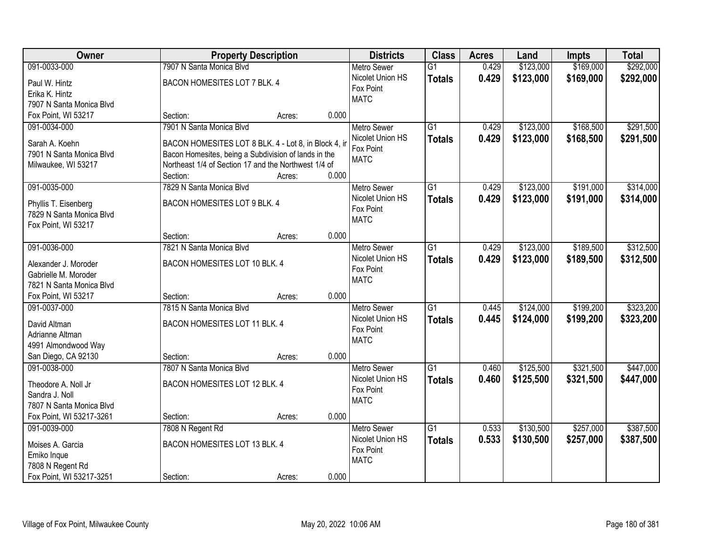| Owner                    | <b>Property Description</b>                                      |        |       | <b>Districts</b>   | <b>Class</b>    | <b>Acres</b> | Land      | <b>Impts</b> | <b>Total</b> |
|--------------------------|------------------------------------------------------------------|--------|-------|--------------------|-----------------|--------------|-----------|--------------|--------------|
| 091-0033-000             | 7907 N Santa Monica Blvd                                         |        |       | <b>Metro Sewer</b> | $\overline{G1}$ | 0.429        | \$123,000 | \$169,000    | \$292,000    |
| Paul W. Hintz            | BACON HOMESITES LOT 7 BLK. 4                                     |        |       | Nicolet Union HS   | <b>Totals</b>   | 0.429        | \$123,000 | \$169,000    | \$292,000    |
| Erika K. Hintz           |                                                                  |        |       | Fox Point          |                 |              |           |              |              |
| 7907 N Santa Monica Blvd |                                                                  |        |       | <b>MATC</b>        |                 |              |           |              |              |
| Fox Point, WI 53217      | Section:                                                         | Acres: | 0.000 |                    |                 |              |           |              |              |
| 091-0034-000             | 7901 N Santa Monica Blvd                                         |        |       | <b>Metro Sewer</b> | $\overline{G1}$ | 0.429        | \$123,000 | \$168,500    | \$291,500    |
|                          |                                                                  |        |       | Nicolet Union HS   | <b>Totals</b>   | 0.429        | \$123,000 | \$168,500    | \$291,500    |
| Sarah A. Koehn           | BACON HOMESITES LOT 8 BLK. 4 - Lot 8, in Block 4, in             |        |       | Fox Point          |                 |              |           |              |              |
| 7901 N Santa Monica Blvd | Bacon Homesites, being a Subdivision of lands in the             |        |       | <b>MATC</b>        |                 |              |           |              |              |
| Milwaukee, WI 53217      | Northeast 1/4 of Section 17 and the Northwest 1/4 of<br>Section: |        | 0.000 |                    |                 |              |           |              |              |
| 091-0035-000             | 7829 N Santa Monica Blvd                                         | Acres: |       | Metro Sewer        | $\overline{G1}$ | 0.429        | \$123,000 | \$191,000    | \$314,000    |
|                          |                                                                  |        |       | Nicolet Union HS   |                 |              |           |              |              |
| Phyllis T. Eisenberg     | BACON HOMESITES LOT 9 BLK. 4                                     |        |       | Fox Point          | <b>Totals</b>   | 0.429        | \$123,000 | \$191,000    | \$314,000    |
| 7829 N Santa Monica Blvd |                                                                  |        |       | <b>MATC</b>        |                 |              |           |              |              |
| Fox Point, WI 53217      |                                                                  |        |       |                    |                 |              |           |              |              |
|                          | Section:                                                         | Acres: | 0.000 |                    |                 |              |           |              |              |
| 091-0036-000             | 7821 N Santa Monica Blvd                                         |        |       | <b>Metro Sewer</b> | $\overline{G1}$ | 0.429        | \$123,000 | \$189,500    | \$312,500    |
| Alexander J. Moroder     | BACON HOMESITES LOT 10 BLK. 4                                    |        |       | Nicolet Union HS   | <b>Totals</b>   | 0.429        | \$123,000 | \$189,500    | \$312,500    |
| Gabrielle M. Moroder     |                                                                  |        |       | Fox Point          |                 |              |           |              |              |
| 7821 N Santa Monica Blvd |                                                                  |        |       | <b>MATC</b>        |                 |              |           |              |              |
| Fox Point, WI 53217      | Section:                                                         | Acres: | 0.000 |                    |                 |              |           |              |              |
| 091-0037-000             | 7815 N Santa Monica Blvd                                         |        |       | <b>Metro Sewer</b> | $\overline{G1}$ | 0.445        | \$124,000 | \$199,200    | \$323,200    |
|                          |                                                                  |        |       | Nicolet Union HS   | <b>Totals</b>   | 0.445        | \$124,000 | \$199,200    | \$323,200    |
| David Altman             | BACON HOMESITES LOT 11 BLK. 4                                    |        |       | Fox Point          |                 |              |           |              |              |
| Adrianne Altman          |                                                                  |        |       | <b>MATC</b>        |                 |              |           |              |              |
| 4991 Almondwood Way      |                                                                  |        |       |                    |                 |              |           |              |              |
| San Diego, CA 92130      | Section:                                                         | Acres: | 0.000 |                    |                 |              |           |              |              |
| 091-0038-000             | 7807 N Santa Monica Blvd                                         |        |       | <b>Metro Sewer</b> | $\overline{G1}$ | 0.460        | \$125,500 | \$321,500    | \$447,000    |
| Theodore A. Noll Jr      | BACON HOMESITES LOT 12 BLK. 4                                    |        |       | Nicolet Union HS   | <b>Totals</b>   | 0.460        | \$125,500 | \$321,500    | \$447,000    |
| Sandra J. Noll           |                                                                  |        |       | Fox Point          |                 |              |           |              |              |
| 7807 N Santa Monica Blvd |                                                                  |        |       | <b>MATC</b>        |                 |              |           |              |              |
| Fox Point, WI 53217-3261 | Section:                                                         | Acres: | 0.000 |                    |                 |              |           |              |              |
| 091-0039-000             | 7808 N Regent Rd                                                 |        |       | <b>Metro Sewer</b> | $\overline{G1}$ | 0.533        | \$130,500 | \$257,000    | \$387,500    |
| Moises A. Garcia         | BACON HOMESITES LOT 13 BLK. 4                                    |        |       | Nicolet Union HS   | <b>Totals</b>   | 0.533        | \$130,500 | \$257,000    | \$387,500    |
| Emiko Inque              |                                                                  |        |       | Fox Point          |                 |              |           |              |              |
| 7808 N Regent Rd         |                                                                  |        |       | <b>MATC</b>        |                 |              |           |              |              |
| Fox Point, WI 53217-3251 | Section:                                                         | Acres: | 0.000 |                    |                 |              |           |              |              |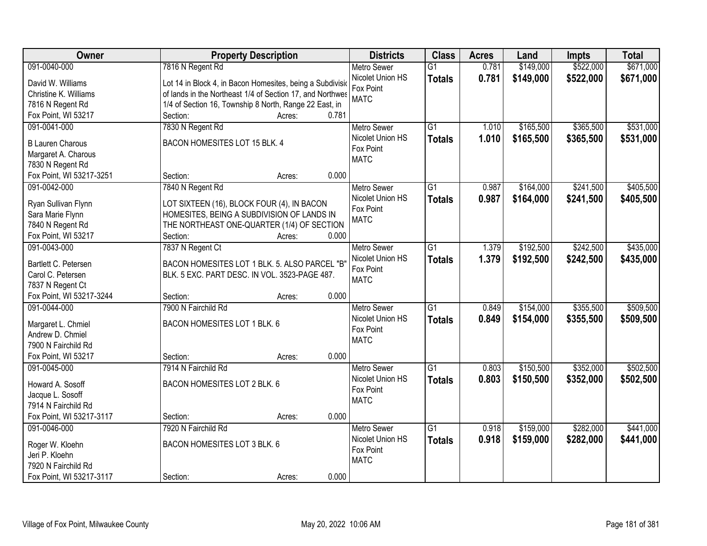| Owner                    | <b>Property Description</b>                               | <b>Districts</b>   | <b>Class</b>    | <b>Acres</b> | Land      | <b>Impts</b> | <b>Total</b> |
|--------------------------|-----------------------------------------------------------|--------------------|-----------------|--------------|-----------|--------------|--------------|
| 091-0040-000             | 7816 N Regent Rd                                          | <b>Metro Sewer</b> | $\overline{G1}$ | 0.781        | \$149,000 | \$522,000    | \$671,000    |
| David W. Williams        | Lot 14 in Block 4, in Bacon Homesites, being a Subdivisio | Nicolet Union HS   | <b>Totals</b>   | 0.781        | \$149,000 | \$522,000    | \$671,000    |
| Christine K. Williams    | of lands in the Northeast 1/4 of Section 17, and Northwes | Fox Point          |                 |              |           |              |              |
| 7816 N Regent Rd         | 1/4 of Section 16, Township 8 North, Range 22 East, in    | <b>MATC</b>        |                 |              |           |              |              |
| Fox Point, WI 53217      | 0.781<br>Section:<br>Acres:                               |                    |                 |              |           |              |              |
| 091-0041-000             | 7830 N Regent Rd                                          | <b>Metro Sewer</b> | $\overline{G1}$ | 1.010        | \$165,500 | \$365,500    | \$531,000    |
|                          |                                                           | Nicolet Union HS   | <b>Totals</b>   | 1.010        | \$165,500 | \$365,500    | \$531,000    |
| <b>B Lauren Charous</b>  | BACON HOMESITES LOT 15 BLK. 4                             | Fox Point          |                 |              |           |              |              |
| Margaret A. Charous      |                                                           | <b>MATC</b>        |                 |              |           |              |              |
| 7830 N Regent Rd         |                                                           |                    |                 |              |           |              |              |
| Fox Point, WI 53217-3251 | 0.000<br>Section:<br>Acres:                               |                    |                 |              |           |              |              |
| 091-0042-000             | 7840 N Regent Rd                                          | <b>Metro Sewer</b> | G1              | 0.987        | \$164,000 | \$241,500    | \$405,500    |
| Ryan Sullivan Flynn      | LOT SIXTEEN (16), BLOCK FOUR (4), IN BACON                | Nicolet Union HS   | <b>Totals</b>   | 0.987        | \$164,000 | \$241,500    | \$405,500    |
| Sara Marie Flynn         | HOMESITES, BEING A SUBDIVISION OF LANDS IN                | Fox Point          |                 |              |           |              |              |
| 7840 N Regent Rd         | THE NORTHEAST ONE-QUARTER (1/4) OF SECTION                | <b>MATC</b>        |                 |              |           |              |              |
| Fox Point, WI 53217      | Section:<br>0.000<br>Acres:                               |                    |                 |              |           |              |              |
| 091-0043-000             | 7837 N Regent Ct                                          | <b>Metro Sewer</b> | G1              | 1.379        | \$192,500 | \$242,500    | \$435,000    |
|                          |                                                           | Nicolet Union HS   | <b>Totals</b>   | 1.379        | \$192,500 | \$242,500    | \$435,000    |
| Bartlett C. Petersen     | BACON HOMESITES LOT 1 BLK. 5. ALSO PARCEL "B"             | Fox Point          |                 |              |           |              |              |
| Carol C. Petersen        | BLK. 5 EXC. PART DESC. IN VOL. 3523-PAGE 487.             | <b>MATC</b>        |                 |              |           |              |              |
| 7837 N Regent Ct         |                                                           |                    |                 |              |           |              |              |
| Fox Point, WI 53217-3244 | 0.000<br>Section:<br>Acres:                               |                    |                 |              |           |              |              |
| 091-0044-000             | 7900 N Fairchild Rd                                       | <b>Metro Sewer</b> | $\overline{G1}$ | 0.849        | \$154,000 | \$355,500    | \$509,500    |
| Margaret L. Chmiel       | BACON HOMESITES LOT 1 BLK. 6                              | Nicolet Union HS   | <b>Totals</b>   | 0.849        | \$154,000 | \$355,500    | \$509,500    |
| Andrew D. Chmiel         |                                                           | Fox Point          |                 |              |           |              |              |
| 7900 N Fairchild Rd      |                                                           | <b>MATC</b>        |                 |              |           |              |              |
| Fox Point, WI 53217      | 0.000<br>Section:<br>Acres:                               |                    |                 |              |           |              |              |
| 091-0045-000             | 7914 N Fairchild Rd                                       | <b>Metro Sewer</b> | $\overline{G1}$ | 0.803        | \$150,500 | \$352,000    | \$502,500    |
|                          |                                                           | Nicolet Union HS   | <b>Totals</b>   | 0.803        | \$150,500 | \$352,000    | \$502,500    |
| Howard A. Sosoff         | BACON HOMESITES LOT 2 BLK. 6                              | Fox Point          |                 |              |           |              |              |
| Jacque L. Sosoff         |                                                           | <b>MATC</b>        |                 |              |           |              |              |
| 7914 N Fairchild Rd      |                                                           |                    |                 |              |           |              |              |
| Fox Point, WI 53217-3117 | 0.000<br>Section:<br>Acres:                               |                    |                 |              |           |              |              |
| 091-0046-000             | 7920 N Fairchild Rd                                       | <b>Metro Sewer</b> | $\overline{G1}$ | 0.918        | \$159,000 | \$282,000    | \$441,000    |
| Roger W. Kloehn          | BACON HOMESITES LOT 3 BLK. 6                              | Nicolet Union HS   | <b>Totals</b>   | 0.918        | \$159,000 | \$282,000    | \$441,000    |
| Jeri P. Kloehn           |                                                           | Fox Point          |                 |              |           |              |              |
| 7920 N Fairchild Rd      |                                                           | <b>MATC</b>        |                 |              |           |              |              |
| Fox Point, WI 53217-3117 | 0.000<br>Section:<br>Acres:                               |                    |                 |              |           |              |              |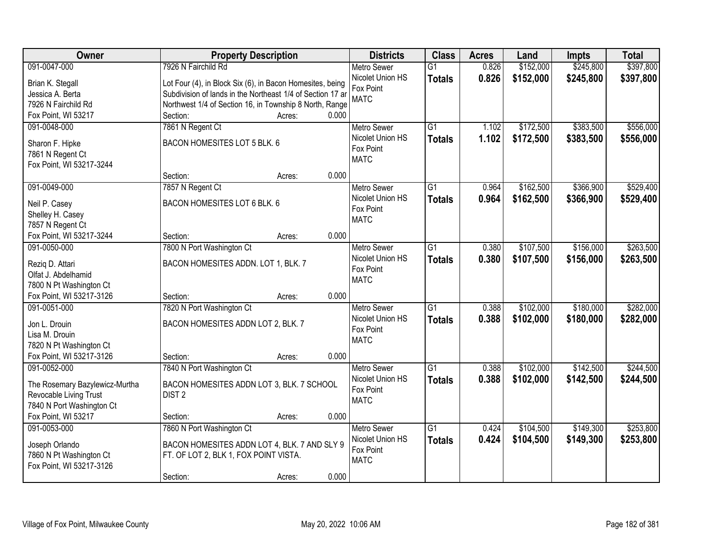| <b>Owner</b>                                        | <b>Property Description</b>                                |                 | <b>Districts</b>   | <b>Class</b>    | <b>Acres</b> | Land      | <b>Impts</b> | <b>Total</b> |
|-----------------------------------------------------|------------------------------------------------------------|-----------------|--------------------|-----------------|--------------|-----------|--------------|--------------|
| 091-0047-000                                        | 7926 N Fairchild Rd                                        |                 | <b>Metro Sewer</b> | $\overline{G1}$ | 0.826        | \$152,000 | \$245,800    | \$397,800    |
| Brian K. Stegall                                    | Lot Four (4), in Block Six (6), in Bacon Homesites, being  |                 | Nicolet Union HS   | <b>Totals</b>   | 0.826        | \$152,000 | \$245,800    | \$397,800    |
| Jessica A. Berta                                    | Subdivision of lands in the Northeast 1/4 of Section 17 ar |                 | Fox Point          |                 |              |           |              |              |
| 7926 N Fairchild Rd                                 | Northwest 1/4 of Section 16, in Township 8 North, Range    |                 | <b>MATC</b>        |                 |              |           |              |              |
| Fox Point, WI 53217                                 | Section:                                                   | 0.000<br>Acres: |                    |                 |              |           |              |              |
| 091-0048-000                                        | 7861 N Regent Ct                                           |                 | <b>Metro Sewer</b> | $\overline{G1}$ | 1.102        | \$172,500 | \$383,500    | \$556,000    |
|                                                     |                                                            |                 | Nicolet Union HS   | <b>Totals</b>   | 1.102        | \$172,500 | \$383,500    | \$556,000    |
| Sharon F. Hipke                                     | BACON HOMESITES LOT 5 BLK. 6                               |                 | Fox Point          |                 |              |           |              |              |
| 7861 N Regent Ct                                    |                                                            |                 | <b>MATC</b>        |                 |              |           |              |              |
| Fox Point, WI 53217-3244                            |                                                            |                 |                    |                 |              |           |              |              |
|                                                     | Section:                                                   | 0.000<br>Acres: |                    |                 |              |           |              |              |
| 091-0049-000                                        | 7857 N Regent Ct                                           |                 | <b>Metro Sewer</b> | G1              | 0.964        | \$162,500 | \$366,900    | \$529,400    |
| Neil P. Casey                                       | BACON HOMESITES LOT 6 BLK. 6                               |                 | Nicolet Union HS   | <b>Totals</b>   | 0.964        | \$162,500 | \$366,900    | \$529,400    |
| Shelley H. Casey                                    |                                                            |                 | Fox Point          |                 |              |           |              |              |
| 7857 N Regent Ct                                    |                                                            |                 | <b>MATC</b>        |                 |              |           |              |              |
| Fox Point, WI 53217-3244                            | Section:                                                   | 0.000<br>Acres: |                    |                 |              |           |              |              |
| 091-0050-000                                        | 7800 N Port Washington Ct                                  |                 | <b>Metro Sewer</b> | G1              | 0.380        | \$107,500 | \$156,000    | \$263,500    |
|                                                     |                                                            |                 | Nicolet Union HS   | <b>Totals</b>   | 0.380        | \$107,500 | \$156,000    | \$263,500    |
| Rezig D. Attari                                     | BACON HOMESITES ADDN. LOT 1, BLK. 7                        |                 | Fox Point          |                 |              |           |              |              |
| Olfat J. Abdelhamid                                 |                                                            |                 | <b>MATC</b>        |                 |              |           |              |              |
| 7800 N Pt Washington Ct<br>Fox Point, WI 53217-3126 | Section:                                                   | 0.000<br>Acres: |                    |                 |              |           |              |              |
| 091-0051-000                                        | 7820 N Port Washington Ct                                  |                 | <b>Metro Sewer</b> | $\overline{G1}$ | 0.388        | \$102,000 | \$180,000    | \$282,000    |
|                                                     |                                                            |                 | Nicolet Union HS   |                 |              |           |              |              |
| Jon L. Drouin                                       | BACON HOMESITES ADDN LOT 2, BLK. 7                         |                 | Fox Point          | <b>Totals</b>   | 0.388        | \$102,000 | \$180,000    | \$282,000    |
| Lisa M. Drouin                                      |                                                            |                 | <b>MATC</b>        |                 |              |           |              |              |
| 7820 N Pt Washington Ct                             |                                                            |                 |                    |                 |              |           |              |              |
| Fox Point, WI 53217-3126                            | Section:                                                   | 0.000<br>Acres: |                    |                 |              |           |              |              |
| 091-0052-000                                        | 7840 N Port Washington Ct                                  |                 | Metro Sewer        | $\overline{G1}$ | 0.388        | \$102,000 | \$142,500    | \$244,500    |
| The Rosemary Bazylewicz-Murtha                      | BACON HOMESITES ADDN LOT 3, BLK. 7 SCHOOL                  |                 | Nicolet Union HS   | <b>Totals</b>   | 0.388        | \$102,000 | \$142,500    | \$244,500    |
| Revocable Living Trust                              | DIST <sub>2</sub>                                          |                 | Fox Point          |                 |              |           |              |              |
| 7840 N Port Washington Ct                           |                                                            |                 | <b>MATC</b>        |                 |              |           |              |              |
| Fox Point, WI 53217                                 | Section:                                                   | 0.000<br>Acres: |                    |                 |              |           |              |              |
| 091-0053-000                                        | 7860 N Port Washington Ct                                  |                 | <b>Metro Sewer</b> | $\overline{G1}$ | 0.424        | \$104,500 | \$149,300    | \$253,800    |
|                                                     |                                                            |                 | Nicolet Union HS   | <b>Totals</b>   | 0.424        | \$104,500 | \$149,300    | \$253,800    |
| Joseph Orlando                                      | BACON HOMESITES ADDN LOT 4, BLK. 7 AND SLY 9               |                 | Fox Point          |                 |              |           |              |              |
| 7860 N Pt Washington Ct                             | FT. OF LOT 2, BLK 1, FOX POINT VISTA.                      |                 | <b>MATC</b>        |                 |              |           |              |              |
| Fox Point, WI 53217-3126                            |                                                            |                 |                    |                 |              |           |              |              |
|                                                     | Section:                                                   | 0.000<br>Acres: |                    |                 |              |           |              |              |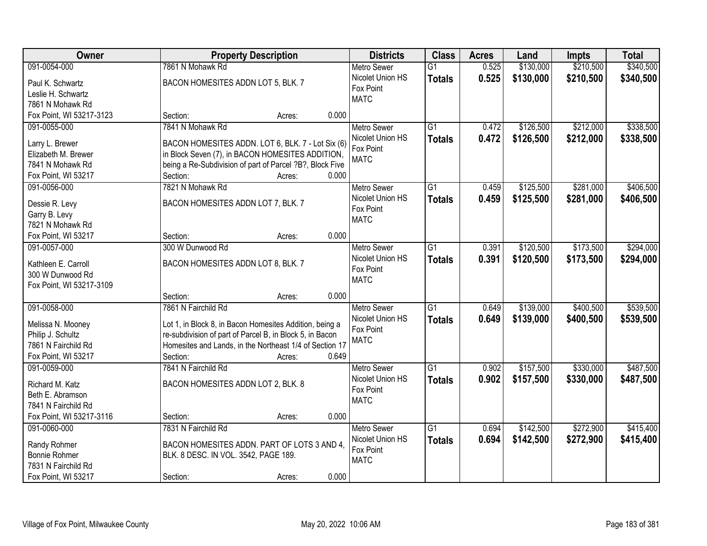| Owner                                |                                                                      | <b>Property Description</b> |       | <b>Districts</b>              | <b>Class</b>    | <b>Acres</b> | Land      | <b>Impts</b> | <b>Total</b> |
|--------------------------------------|----------------------------------------------------------------------|-----------------------------|-------|-------------------------------|-----------------|--------------|-----------|--------------|--------------|
| 091-0054-000                         | 7861 N Mohawk Rd                                                     |                             |       | <b>Metro Sewer</b>            | $\overline{G1}$ | 0.525        | \$130,000 | \$210,500    | \$340,500    |
| Paul K. Schwartz                     | BACON HOMESITES ADDN LOT 5, BLK. 7                                   |                             |       | Nicolet Union HS              | <b>Totals</b>   | 0.525        | \$130,000 | \$210,500    | \$340,500    |
| Leslie H. Schwartz                   |                                                                      |                             |       | Fox Point                     |                 |              |           |              |              |
| 7861 N Mohawk Rd                     |                                                                      |                             |       | <b>MATC</b>                   |                 |              |           |              |              |
| Fox Point, WI 53217-3123             | Section:                                                             | Acres:                      | 0.000 |                               |                 |              |           |              |              |
| 091-0055-000                         | 7841 N Mohawk Rd                                                     |                             |       | <b>Metro Sewer</b>            | $\overline{G1}$ | 0.472        | \$126,500 | \$212,000    | \$338,500    |
|                                      |                                                                      |                             |       | Nicolet Union HS              | <b>Totals</b>   | 0.472        | \$126,500 | \$212,000    | \$338,500    |
| Larry L. Brewer                      | BACON HOMESITES ADDN. LOT 6, BLK. 7 - Lot Six (6)                    |                             |       | Fox Point                     |                 |              |           |              |              |
| Elizabeth M. Brewer                  | in Block Seven (7), in BACON HOMESITES ADDITION,                     |                             |       | <b>MATC</b>                   |                 |              |           |              |              |
| 7841 N Mohawk Rd                     | being a Re-Subdivision of part of Parcel ?B?, Block Five<br>Section: |                             | 0.000 |                               |                 |              |           |              |              |
| Fox Point, WI 53217<br>091-0056-000  | 7821 N Mohawk Rd                                                     | Acres:                      |       |                               | G1              | 0.459        |           | \$281,000    | \$406,500    |
|                                      |                                                                      |                             |       | <b>Metro Sewer</b>            |                 |              | \$125,500 |              |              |
| Dessie R. Levy                       | BACON HOMESITES ADDN LOT 7, BLK. 7                                   |                             |       | Nicolet Union HS<br>Fox Point | <b>Totals</b>   | 0.459        | \$125,500 | \$281,000    | \$406,500    |
| Garry B. Levy                        |                                                                      |                             |       | <b>MATC</b>                   |                 |              |           |              |              |
| 7821 N Mohawk Rd                     |                                                                      |                             |       |                               |                 |              |           |              |              |
| Fox Point, WI 53217                  | Section:                                                             | Acres:                      | 0.000 |                               |                 |              |           |              |              |
| 091-0057-000                         | 300 W Dunwood Rd                                                     |                             |       | <b>Metro Sewer</b>            | G1              | 0.391        | \$120,500 | \$173,500    | \$294,000    |
| Kathleen E. Carroll                  | BACON HOMESITES ADDN LOT 8, BLK. 7                                   |                             |       | Nicolet Union HS              | <b>Totals</b>   | 0.391        | \$120,500 | \$173,500    | \$294,000    |
| 300 W Dunwood Rd                     |                                                                      |                             |       | Fox Point                     |                 |              |           |              |              |
| Fox Point, WI 53217-3109             |                                                                      |                             |       | <b>MATC</b>                   |                 |              |           |              |              |
|                                      | Section:                                                             | Acres:                      | 0.000 |                               |                 |              |           |              |              |
| 091-0058-000                         | 7861 N Fairchild Rd                                                  |                             |       | <b>Metro Sewer</b>            | $\overline{G1}$ | 0.649        | \$139,000 | \$400,500    | \$539,500    |
|                                      |                                                                      |                             |       | Nicolet Union HS              | <b>Totals</b>   | 0.649        | \$139,000 | \$400,500    | \$539,500    |
| Melissa N. Mooney                    | Lot 1, in Block 8, in Bacon Homesites Addition, being a              |                             |       | Fox Point                     |                 |              |           |              |              |
| Philip J. Schultz                    | re-subdivision of part of Parcel B, in Block 5, in Bacon             |                             |       | <b>MATC</b>                   |                 |              |           |              |              |
| 7861 N Fairchild Rd                  | Homesites and Lands, in the Northeast 1/4 of Section 17              |                             |       |                               |                 |              |           |              |              |
| Fox Point, WI 53217                  | Section:                                                             | Acres:                      | 0.649 |                               |                 |              |           |              |              |
| 091-0059-000                         | 7841 N Fairchild Rd                                                  |                             |       | Metro Sewer                   | G1              | 0.902        | \$157,500 | \$330,000    | \$487,500    |
| Richard M. Katz                      | BACON HOMESITES ADDN LOT 2, BLK. 8                                   |                             |       | Nicolet Union HS              | <b>Totals</b>   | 0.902        | \$157,500 | \$330,000    | \$487,500    |
| Beth E. Abramson                     |                                                                      |                             |       | Fox Point                     |                 |              |           |              |              |
| 7841 N Fairchild Rd                  |                                                                      |                             |       | <b>MATC</b>                   |                 |              |           |              |              |
| Fox Point, WI 53217-3116             | Section:                                                             | Acres:                      | 0.000 |                               |                 |              |           |              |              |
| 091-0060-000                         | 7831 N Fairchild Rd                                                  |                             |       | <b>Metro Sewer</b>            | $\overline{G1}$ | 0.694        | \$142,500 | \$272,900    | \$415,400    |
|                                      |                                                                      |                             |       | Nicolet Union HS              | <b>Totals</b>   | 0.694        | \$142,500 | \$272,900    | \$415,400    |
| Randy Rohmer<br><b>Bonnie Rohmer</b> | BACON HOMESITES ADDN. PART OF LOTS 3 AND 4,                          |                             |       | Fox Point                     |                 |              |           |              |              |
| 7831 N Fairchild Rd                  | BLK. 8 DESC. IN VOL. 3542, PAGE 189.                                 |                             |       | <b>MATC</b>                   |                 |              |           |              |              |
| Fox Point, WI 53217                  | Section:                                                             | Acres:                      | 0.000 |                               |                 |              |           |              |              |
|                                      |                                                                      |                             |       |                               |                 |              |           |              |              |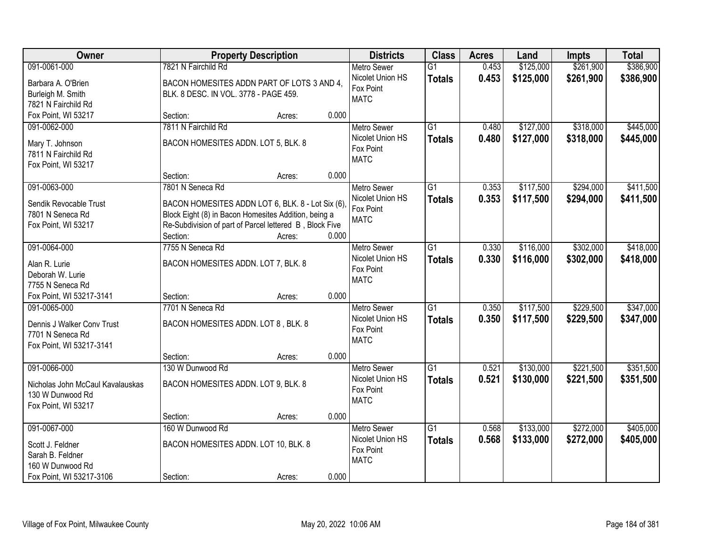| Owner                                          | <b>Property Description</b>                             |        |       | <b>Districts</b>   | <b>Class</b>    | <b>Acres</b> | Land      | <b>Impts</b> | <b>Total</b> |
|------------------------------------------------|---------------------------------------------------------|--------|-------|--------------------|-----------------|--------------|-----------|--------------|--------------|
| 091-0061-000                                   | 7821 N Fairchild Rd                                     |        |       | <b>Metro Sewer</b> | $\overline{G1}$ | 0.453        | \$125,000 | \$261,900    | \$386,900    |
| Barbara A. O'Brien                             | BACON HOMESITES ADDN PART OF LOTS 3 AND 4,              |        |       | Nicolet Union HS   | <b>Totals</b>   | 0.453        | \$125,000 | \$261,900    | \$386,900    |
| Burleigh M. Smith                              | BLK. 8 DESC. IN VOL. 3778 - PAGE 459.                   |        |       | Fox Point          |                 |              |           |              |              |
| 7821 N Fairchild Rd                            |                                                         |        |       | <b>MATC</b>        |                 |              |           |              |              |
| Fox Point, WI 53217                            | Section:                                                | Acres: | 0.000 |                    |                 |              |           |              |              |
| 091-0062-000                                   | 7811 N Fairchild Rd                                     |        |       | <b>Metro Sewer</b> | $\overline{G1}$ | 0.480        | \$127,000 | \$318,000    | \$445,000    |
| Mary T. Johnson                                | BACON HOMESITES ADDN. LOT 5, BLK. 8                     |        |       | Nicolet Union HS   | <b>Totals</b>   | 0.480        | \$127,000 | \$318,000    | \$445,000    |
| 7811 N Fairchild Rd                            |                                                         |        |       | Fox Point          |                 |              |           |              |              |
| Fox Point, WI 53217                            |                                                         |        |       | <b>MATC</b>        |                 |              |           |              |              |
|                                                | Section:                                                | Acres: | 0.000 |                    |                 |              |           |              |              |
| 091-0063-000                                   | 7801 N Seneca Rd                                        |        |       | <b>Metro Sewer</b> | G1              | 0.353        | \$117,500 | \$294,000    | \$411,500    |
| Sendik Revocable Trust                         | BACON HOMESITES ADDN LOT 6, BLK. 8 - Lot Six (6),       |        |       | Nicolet Union HS   | <b>Totals</b>   | 0.353        | \$117,500 | \$294,000    | \$411,500    |
| 7801 N Seneca Rd                               | Block Eight (8) in Bacon Homesites Addition, being a    |        |       | Fox Point          |                 |              |           |              |              |
| Fox Point, WI 53217                            | Re-Subdivision of part of Parcel lettered B, Block Five |        |       | <b>MATC</b>        |                 |              |           |              |              |
|                                                | Section:                                                | Acres: | 0.000 |                    |                 |              |           |              |              |
| 091-0064-000                                   | 7755 N Seneca Rd                                        |        |       | <b>Metro Sewer</b> | G1              | 0.330        | \$116,000 | \$302,000    | \$418,000    |
| Alan R. Lurie                                  | BACON HOMESITES ADDN. LOT 7, BLK. 8                     |        |       | Nicolet Union HS   | <b>Totals</b>   | 0.330        | \$116,000 | \$302,000    | \$418,000    |
| Deborah W. Lurie                               |                                                         |        |       | Fox Point          |                 |              |           |              |              |
| 7755 N Seneca Rd                               |                                                         |        |       | <b>MATC</b>        |                 |              |           |              |              |
| Fox Point, WI 53217-3141                       | Section:                                                | Acres: | 0.000 |                    |                 |              |           |              |              |
| 091-0065-000                                   | 7701 N Seneca Rd                                        |        |       | Metro Sewer        | $\overline{G1}$ | 0.350        | \$117,500 | \$229,500    | \$347,000    |
|                                                |                                                         |        |       | Nicolet Union HS   | <b>Totals</b>   | 0.350        | \$117,500 | \$229,500    | \$347,000    |
| Dennis J Walker Conv Trust<br>7701 N Seneca Rd | BACON HOMESITES ADDN. LOT 8, BLK. 8                     |        |       | Fox Point          |                 |              |           |              |              |
| Fox Point, WI 53217-3141                       |                                                         |        |       | <b>MATC</b>        |                 |              |           |              |              |
|                                                | Section:                                                | Acres: | 0.000 |                    |                 |              |           |              |              |
| 091-0066-000                                   | 130 W Dunwood Rd                                        |        |       | <b>Metro Sewer</b> | $\overline{G1}$ | 0.521        | \$130,000 | \$221,500    | \$351,500    |
| Nicholas John McCaul Kavalauskas               | BACON HOMESITES ADDN. LOT 9, BLK. 8                     |        |       | Nicolet Union HS   | <b>Totals</b>   | 0.521        | \$130,000 | \$221,500    | \$351,500    |
| 130 W Dunwood Rd                               |                                                         |        |       | Fox Point          |                 |              |           |              |              |
| Fox Point, WI 53217                            |                                                         |        |       | <b>MATC</b>        |                 |              |           |              |              |
|                                                | Section:                                                | Acres: | 0.000 |                    |                 |              |           |              |              |
| 091-0067-000                                   | 160 W Dunwood Rd                                        |        |       | <b>Metro Sewer</b> | $\overline{G1}$ | 0.568        | \$133,000 | \$272,000    | \$405,000    |
| Scott J. Feldner                               | BACON HOMESITES ADDN. LOT 10, BLK. 8                    |        |       | Nicolet Union HS   | <b>Totals</b>   | 0.568        | \$133,000 | \$272,000    | \$405,000    |
| Sarah B. Feldner                               |                                                         |        |       | Fox Point          |                 |              |           |              |              |
| 160 W Dunwood Rd                               |                                                         |        |       | <b>MATC</b>        |                 |              |           |              |              |
| Fox Point, WI 53217-3106                       | Section:                                                | Acres: | 0.000 |                    |                 |              |           |              |              |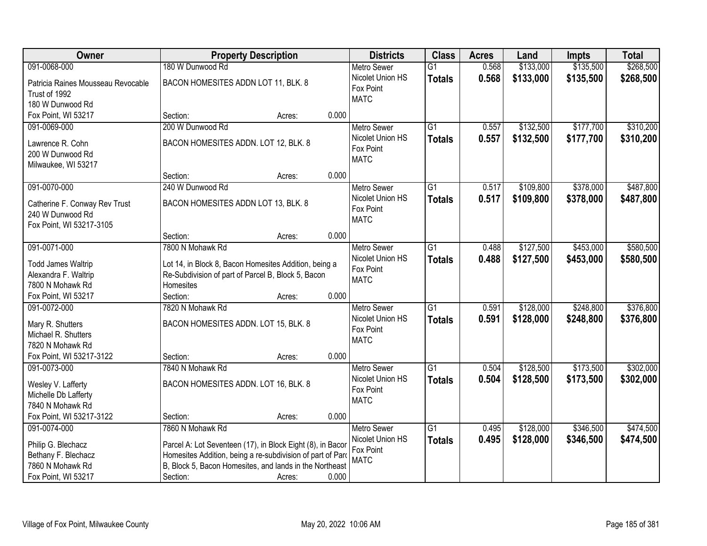| Owner                                   | <b>Property Description</b>                                                                                           |        | <b>Districts</b>         | <b>Class</b>    | <b>Acres</b> | Land      | <b>Impts</b> | <b>Total</b> |
|-----------------------------------------|-----------------------------------------------------------------------------------------------------------------------|--------|--------------------------|-----------------|--------------|-----------|--------------|--------------|
| 091-0068-000                            | 180 W Dunwood Rd                                                                                                      |        | <b>Metro Sewer</b>       | $\overline{G1}$ | 0.568        | \$133,000 | \$135,500    | \$268,500    |
| Patricia Raines Mousseau Revocable      | BACON HOMESITES ADDN LOT 11, BLK. 8                                                                                   |        | Nicolet Union HS         | <b>Totals</b>   | 0.568        | \$133,000 | \$135,500    | \$268,500    |
| Trust of 1992                           |                                                                                                                       |        | Fox Point                |                 |              |           |              |              |
| 180 W Dunwood Rd                        |                                                                                                                       |        | <b>MATC</b>              |                 |              |           |              |              |
| Fox Point, WI 53217                     | Section:                                                                                                              | Acres: | 0.000                    |                 |              |           |              |              |
| 091-0069-000                            | 200 W Dunwood Rd                                                                                                      |        | <b>Metro Sewer</b>       | $\overline{G1}$ | 0.557        | \$132,500 | \$177,700    | \$310,200    |
|                                         |                                                                                                                       |        | Nicolet Union HS         | <b>Totals</b>   | 0.557        | \$132,500 | \$177,700    | \$310,200    |
| Lawrence R. Cohn                        | BACON HOMESITES ADDN. LOT 12, BLK. 8                                                                                  |        | Fox Point                |                 |              |           |              |              |
| 200 W Dunwood Rd                        |                                                                                                                       |        | <b>MATC</b>              |                 |              |           |              |              |
| Milwaukee, WI 53217                     |                                                                                                                       |        |                          |                 |              |           |              |              |
|                                         | Section:                                                                                                              | Acres: | 0.000                    |                 |              |           |              |              |
| 091-0070-000                            | 240 W Dunwood Rd                                                                                                      |        | Metro Sewer              | $\overline{G1}$ | 0.517        | \$109,800 | \$378,000    | \$487,800    |
| Catherine F. Conway Rev Trust           | BACON HOMESITES ADDN LOT 13, BLK. 8                                                                                   |        | Nicolet Union HS         | <b>Totals</b>   | 0.517        | \$109,800 | \$378,000    | \$487,800    |
| 240 W Dunwood Rd                        |                                                                                                                       |        | Fox Point<br><b>MATC</b> |                 |              |           |              |              |
| Fox Point, WI 53217-3105                |                                                                                                                       |        |                          |                 |              |           |              |              |
|                                         | Section:                                                                                                              | Acres: | 0.000                    |                 |              |           |              |              |
| 091-0071-000                            | 7800 N Mohawk Rd                                                                                                      |        | <b>Metro Sewer</b>       | $\overline{G1}$ | 0.488        | \$127,500 | \$453,000    | \$580,500    |
| <b>Todd James Waltrip</b>               | Lot 14, in Block 8, Bacon Homesites Addition, being a                                                                 |        | Nicolet Union HS         | <b>Totals</b>   | 0.488        | \$127,500 | \$453,000    | \$580,500    |
| Alexandra F. Waltrip                    | Re-Subdivision of part of Parcel B, Block 5, Bacon                                                                    |        | Fox Point                |                 |              |           |              |              |
| 7800 N Mohawk Rd                        | Homesites                                                                                                             |        | <b>MATC</b>              |                 |              |           |              |              |
| Fox Point, WI 53217                     | Section:                                                                                                              | Acres: | 0.000                    |                 |              |           |              |              |
| 091-0072-000                            | 7820 N Mohawk Rd                                                                                                      |        | Metro Sewer              | $\overline{G1}$ | 0.591        | \$128,000 | \$248,800    | \$376,800    |
|                                         |                                                                                                                       |        | Nicolet Union HS         | <b>Totals</b>   | 0.591        | \$128,000 | \$248,800    | \$376,800    |
| Mary R. Shutters                        | BACON HOMESITES ADDN. LOT 15, BLK. 8                                                                                  |        | Fox Point                |                 |              |           |              |              |
| Michael R. Shutters                     |                                                                                                                       |        | <b>MATC</b>              |                 |              |           |              |              |
| 7820 N Mohawk Rd                        |                                                                                                                       |        |                          |                 |              |           |              |              |
| Fox Point, WI 53217-3122                | Section:                                                                                                              | Acres: | 0.000                    |                 |              |           |              |              |
| 091-0073-000                            | 7840 N Mohawk Rd                                                                                                      |        | Metro Sewer              | $\overline{G1}$ | 0.504        | \$128,500 | \$173,500    | \$302,000    |
| Wesley V. Lafferty                      | BACON HOMESITES ADDN. LOT 16, BLK. 8                                                                                  |        | Nicolet Union HS         | <b>Totals</b>   | 0.504        | \$128,500 | \$173,500    | \$302,000    |
| Michelle Db Lafferty                    |                                                                                                                       |        | Fox Point                |                 |              |           |              |              |
| 7840 N Mohawk Rd                        |                                                                                                                       |        | <b>MATC</b>              |                 |              |           |              |              |
| Fox Point, WI 53217-3122                | Section:                                                                                                              | Acres: | 0.000                    |                 |              |           |              |              |
| 091-0074-000                            | 7860 N Mohawk Rd                                                                                                      |        | <b>Metro Sewer</b>       | $\overline{G1}$ | 0.495        | \$128,000 | \$346,500    | \$474,500    |
|                                         |                                                                                                                       |        | Nicolet Union HS         | <b>Totals</b>   | 0.495        | \$128,000 | \$346,500    | \$474,500    |
| Philip G. Blechacz                      | Parcel A: Lot Seventeen (17), in Block Eight (8), in Bacor                                                            |        | Fox Point                |                 |              |           |              |              |
| Bethany F. Blechacz<br>7860 N Mohawk Rd | Homesites Addition, being a re-subdivision of part of Parc<br>B, Block 5, Bacon Homesites, and lands in the Northeast |        | <b>MATC</b>              |                 |              |           |              |              |
| Fox Point, WI 53217                     | Section:                                                                                                              |        | 0.000                    |                 |              |           |              |              |
|                                         |                                                                                                                       | Acres: |                          |                 |              |           |              |              |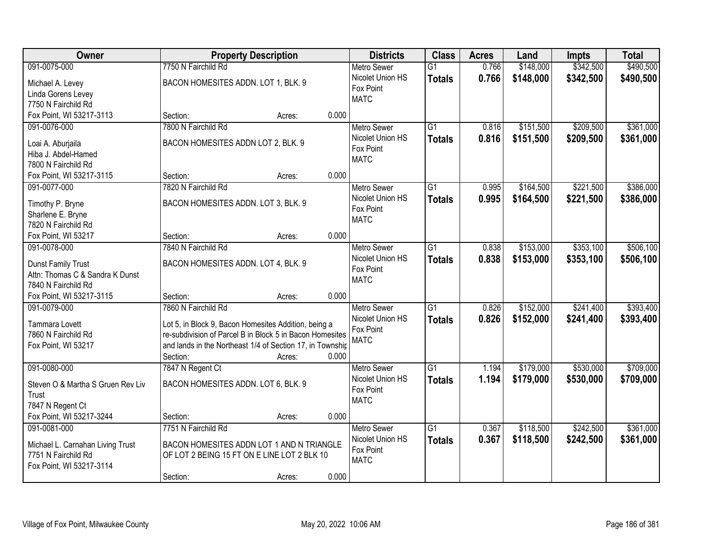| Owner                             | <b>Property Description</b>                               |        |       | <b>Districts</b>         | <b>Class</b>    | <b>Acres</b> | Land      | <b>Impts</b> | <b>Total</b> |
|-----------------------------------|-----------------------------------------------------------|--------|-------|--------------------------|-----------------|--------------|-----------|--------------|--------------|
| 091-0075-000                      | 7750 N Fairchild Rd                                       |        |       | <b>Metro Sewer</b>       | $\overline{G1}$ | 0.766        | \$148,000 | \$342,500    | \$490,500    |
| Michael A. Levey                  | BACON HOMESITES ADDN. LOT 1, BLK. 9                       |        |       | Nicolet Union HS         | <b>Totals</b>   | 0.766        | \$148,000 | \$342,500    | \$490,500    |
| Linda Gorens Levey                |                                                           |        |       | Fox Point                |                 |              |           |              |              |
| 7750 N Fairchild Rd               |                                                           |        |       | <b>MATC</b>              |                 |              |           |              |              |
| Fox Point, WI 53217-3113          | Section:                                                  | Acres: | 0.000 |                          |                 |              |           |              |              |
| 091-0076-000                      | 7800 N Fairchild Rd                                       |        |       | <b>Metro Sewer</b>       | $\overline{G1}$ | 0.816        | \$151,500 | \$209,500    | \$361,000    |
|                                   |                                                           |        |       | Nicolet Union HS         | <b>Totals</b>   | 0.816        | \$151,500 | \$209,500    | \$361,000    |
| Loai A. Aburjaila                 | BACON HOMESITES ADDN LOT 2, BLK. 9                        |        |       | Fox Point                |                 |              |           |              |              |
| Hiba J. Abdel-Hamed               |                                                           |        |       | <b>MATC</b>              |                 |              |           |              |              |
| 7800 N Fairchild Rd               |                                                           |        | 0.000 |                          |                 |              |           |              |              |
| Fox Point, WI 53217-3115          | Section:                                                  | Acres: |       |                          |                 |              |           |              |              |
| 091-0077-000                      | 7820 N Fairchild Rd                                       |        |       | <b>Metro Sewer</b>       | G1              | 0.995        | \$164,500 | \$221,500    | \$386,000    |
| Timothy P. Bryne                  | BACON HOMESITES ADDN. LOT 3, BLK. 9                       |        |       | Nicolet Union HS         | <b>Totals</b>   | 0.995        | \$164,500 | \$221,500    | \$386,000    |
| Sharlene E. Bryne                 |                                                           |        |       | Fox Point<br><b>MATC</b> |                 |              |           |              |              |
| 7820 N Fairchild Rd               |                                                           |        |       |                          |                 |              |           |              |              |
| Fox Point, WI 53217               | Section:                                                  | Acres: | 0.000 |                          |                 |              |           |              |              |
| 091-0078-000                      | 7840 N Fairchild Rd                                       |        |       | <b>Metro Sewer</b>       | $\overline{G1}$ | 0.838        | \$153,000 | \$353,100    | \$506,100    |
| Dunst Family Trust                | BACON HOMESITES ADDN. LOT 4, BLK. 9                       |        |       | Nicolet Union HS         | <b>Totals</b>   | 0.838        | \$153,000 | \$353,100    | \$506,100    |
| Attn: Thomas C & Sandra K Dunst   |                                                           |        |       | Fox Point                |                 |              |           |              |              |
| 7840 N Fairchild Rd               |                                                           |        |       | <b>MATC</b>              |                 |              |           |              |              |
| Fox Point, WI 53217-3115          | Section:                                                  | Acres: | 0.000 |                          |                 |              |           |              |              |
| 091-0079-000                      | 7860 N Fairchild Rd                                       |        |       | <b>Metro Sewer</b>       | $\overline{G1}$ | 0.826        | \$152,000 | \$241,400    | \$393,400    |
|                                   |                                                           |        |       | Nicolet Union HS         | <b>Totals</b>   | 0.826        | \$152,000 | \$241,400    | \$393,400    |
| Tammara Lovett                    | Lot 5, in Block 9, Bacon Homesites Addition, being a      |        |       | Fox Point                |                 |              |           |              |              |
| 7860 N Fairchild Rd               | re-subdivision of Parcel B in Block 5 in Bacon Homesites  |        |       | <b>MATC</b>              |                 |              |           |              |              |
| Fox Point, WI 53217               | and lands in the Northeast 1/4 of Section 17, in Township |        |       |                          |                 |              |           |              |              |
|                                   | Section:                                                  | Acres: | 0.000 |                          |                 |              |           |              |              |
| 091-0080-000                      | 7847 N Regent Ct                                          |        |       | Metro Sewer              | $\overline{G1}$ | 1.194        | \$179,000 | \$530,000    | \$709,000    |
| Steven O & Martha S Gruen Rev Liv | BACON HOMESITES ADDN. LOT 6, BLK. 9                       |        |       | Nicolet Union HS         | <b>Totals</b>   | 1.194        | \$179,000 | \$530,000    | \$709,000    |
| Trust                             |                                                           |        |       | Fox Point                |                 |              |           |              |              |
| 7847 N Regent Ct                  |                                                           |        |       | <b>MATC</b>              |                 |              |           |              |              |
| Fox Point, WI 53217-3244          | Section:                                                  | Acres: | 0.000 |                          |                 |              |           |              |              |
| 091-0081-000                      | 7751 N Fairchild Rd                                       |        |       | <b>Metro Sewer</b>       | $\overline{G1}$ | 0.367        | \$118,500 | \$242,500    | \$361,000    |
|                                   |                                                           |        |       | Nicolet Union HS         | <b>Totals</b>   | 0.367        | \$118,500 | \$242,500    | \$361,000    |
| Michael L. Carnahan Living Trust  | BACON HOMESITES ADDN LOT 1 AND N TRIANGLE                 |        |       | Fox Point                |                 |              |           |              |              |
| 7751 N Fairchild Rd               | OF LOT 2 BEING 15 FT ON E LINE LOT 2 BLK 10               |        |       | <b>MATC</b>              |                 |              |           |              |              |
| Fox Point, WI 53217-3114          |                                                           |        |       |                          |                 |              |           |              |              |
|                                   | Section:                                                  | Acres: | 0.000 |                          |                 |              |           |              |              |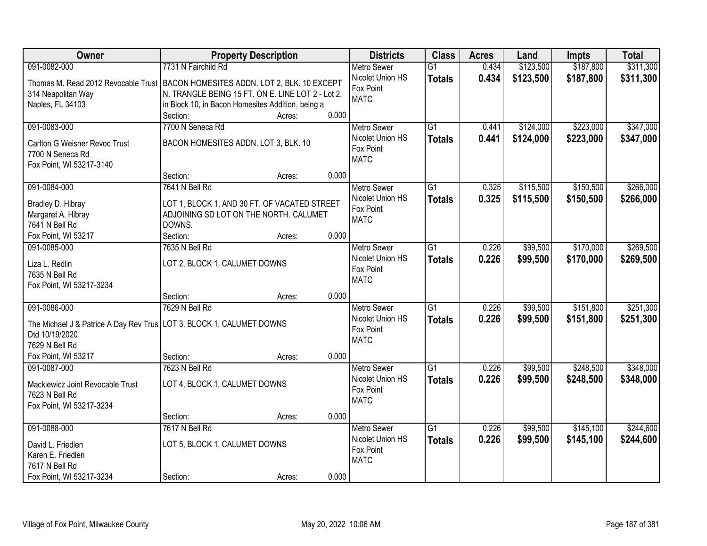| Owner                                                                             | <b>Property Description</b>                       |                 | <b>Districts</b>                       | <b>Class</b>    | <b>Acres</b> | Land      | <b>Impts</b> | <b>Total</b> |
|-----------------------------------------------------------------------------------|---------------------------------------------------|-----------------|----------------------------------------|-----------------|--------------|-----------|--------------|--------------|
| 091-0082-000                                                                      | 7731 N Fairchild Rd                               |                 | <b>Metro Sewer</b>                     | $\overline{G1}$ | 0.434        | \$123,500 | \$187,800    | \$311,300    |
| Thomas M. Read 2012 Revocable Trust   BACON HOMESITES ADDN. LOT 2, BLK. 10 EXCEPT |                                                   |                 | Nicolet Union HS                       | <b>Totals</b>   | 0.434        | \$123,500 | \$187,800    | \$311,300    |
| 314 Neapolitan Way                                                                | N. TRANGLE BEING 15 FT. ON E. LINE LOT 2 - Lot 2, |                 | Fox Point                              |                 |              |           |              |              |
| Naples, FL 34103                                                                  | in Block 10, in Bacon Homesites Addition, being a |                 | <b>MATC</b>                            |                 |              |           |              |              |
|                                                                                   | Section:                                          | 0.000<br>Acres: |                                        |                 |              |           |              |              |
| 091-0083-000                                                                      | 7700 N Seneca Rd                                  |                 | <b>Metro Sewer</b>                     | $\overline{G1}$ | 0.441        | \$124,000 | \$223,000    | \$347,000    |
|                                                                                   | BACON HOMESITES ADDN. LOT 3, BLK. 10              |                 | Nicolet Union HS                       | <b>Totals</b>   | 0.441        | \$124,000 | \$223,000    | \$347,000    |
| Carlton G Weisner Revoc Trust<br>7700 N Seneca Rd                                 |                                                   |                 | Fox Point                              |                 |              |           |              |              |
| Fox Point, WI 53217-3140                                                          |                                                   |                 | <b>MATC</b>                            |                 |              |           |              |              |
|                                                                                   | Section:                                          | 0.000<br>Acres: |                                        |                 |              |           |              |              |
| 091-0084-000                                                                      | 7641 N Bell Rd                                    |                 | Metro Sewer                            | G1              | 0.325        | \$115,500 | \$150,500    | \$266,000    |
|                                                                                   |                                                   |                 | Nicolet Union HS                       | <b>Totals</b>   | 0.325        | \$115,500 | \$150,500    | \$266,000    |
| Bradley D. Hibray                                                                 | LOT 1, BLOCK 1, AND 30 FT. OF VACATED STREET      |                 | Fox Point                              |                 |              |           |              |              |
| Margaret A. Hibray                                                                | ADJOINING SD LOT ON THE NORTH. CALUMET            |                 | <b>MATC</b>                            |                 |              |           |              |              |
| 7641 N Bell Rd                                                                    | DOWNS.                                            |                 |                                        |                 |              |           |              |              |
| Fox Point, WI 53217                                                               | Section:                                          | 0.000<br>Acres: |                                        |                 |              |           |              |              |
| 091-0085-000                                                                      | 7635 N Bell Rd                                    |                 | <b>Metro Sewer</b><br>Nicolet Union HS | $\overline{G1}$ | 0.226        | \$99,500  | \$170,000    | \$269,500    |
| Liza L. Redlin                                                                    | LOT 2, BLOCK 1, CALUMET DOWNS                     |                 | Fox Point                              | <b>Totals</b>   | 0.226        | \$99,500  | \$170,000    | \$269,500    |
| 7635 N Bell Rd                                                                    |                                                   |                 | <b>MATC</b>                            |                 |              |           |              |              |
| Fox Point, WI 53217-3234                                                          |                                                   |                 |                                        |                 |              |           |              |              |
|                                                                                   | Section:                                          | 0.000<br>Acres: |                                        |                 |              |           |              |              |
| 091-0086-000                                                                      | 7629 N Bell Rd                                    |                 | <b>Metro Sewer</b>                     | $\overline{G1}$ | 0.226        | \$99,500  | \$151,800    | \$251,300    |
| The Michael J & Patrice A Day Rev Trus   LOT 3, BLOCK 1, CALUMET DOWNS            |                                                   |                 | Nicolet Union HS                       | <b>Totals</b>   | 0.226        | \$99,500  | \$151,800    | \$251,300    |
| Dtd 10/19/2020                                                                    |                                                   |                 | Fox Point                              |                 |              |           |              |              |
| 7629 N Bell Rd                                                                    |                                                   |                 | <b>MATC</b>                            |                 |              |           |              |              |
| Fox Point, WI 53217                                                               | Section:                                          | 0.000<br>Acres: |                                        |                 |              |           |              |              |
| 091-0087-000                                                                      | 7623 N Bell Rd                                    |                 | Metro Sewer                            | $\overline{G1}$ | 0.226        | \$99,500  | \$248,500    | \$348,000    |
| Mackiewicz Joint Revocable Trust                                                  | LOT 4, BLOCK 1, CALUMET DOWNS                     |                 | Nicolet Union HS                       | <b>Totals</b>   | 0.226        | \$99,500  | \$248,500    | \$348,000    |
| 7623 N Bell Rd                                                                    |                                                   |                 | Fox Point                              |                 |              |           |              |              |
| Fox Point, WI 53217-3234                                                          |                                                   |                 | <b>MATC</b>                            |                 |              |           |              |              |
|                                                                                   | Section:                                          | 0.000<br>Acres: |                                        |                 |              |           |              |              |
| 091-0088-000                                                                      | 7617 N Bell Rd                                    |                 | <b>Metro Sewer</b>                     | $\overline{G1}$ | 0.226        | \$99,500  | \$145,100    | \$244,600    |
|                                                                                   |                                                   |                 | Nicolet Union HS                       | <b>Totals</b>   | 0.226        | \$99,500  | \$145,100    | \$244,600    |
| David L. Friedlen                                                                 | LOT 5, BLOCK 1, CALUMET DOWNS                     |                 | Fox Point                              |                 |              |           |              |              |
| Karen E. Friedlen<br>7617 N Bell Rd                                               |                                                   |                 | <b>MATC</b>                            |                 |              |           |              |              |
| Fox Point, WI 53217-3234                                                          | Section:                                          | 0.000<br>Acres: |                                        |                 |              |           |              |              |
|                                                                                   |                                                   |                 |                                        |                 |              |           |              |              |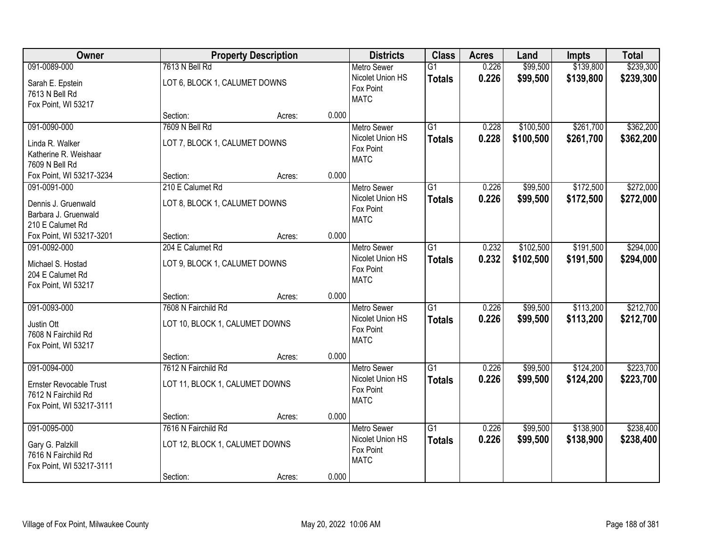| Owner                          |                                | <b>Property Description</b> |       | <b>Districts</b>              | <b>Class</b>    | <b>Acres</b> | Land      | <b>Impts</b> | <b>Total</b> |
|--------------------------------|--------------------------------|-----------------------------|-------|-------------------------------|-----------------|--------------|-----------|--------------|--------------|
| 091-0089-000                   | 7613 N Bell Rd                 |                             |       | <b>Metro Sewer</b>            | $\overline{G1}$ | 0.226        | \$99,500  | \$139,800    | \$239,300    |
| Sarah E. Epstein               | LOT 6, BLOCK 1, CALUMET DOWNS  |                             |       | Nicolet Union HS<br>Fox Point | <b>Totals</b>   | 0.226        | \$99,500  | \$139,800    | \$239,300    |
| 7613 N Bell Rd                 |                                |                             |       | <b>MATC</b>                   |                 |              |           |              |              |
| Fox Point, WI 53217            |                                |                             |       |                               |                 |              |           |              |              |
|                                | Section:                       | Acres:                      | 0.000 |                               |                 |              |           |              |              |
| 091-0090-000                   | 7609 N Bell Rd                 |                             |       | <b>Metro Sewer</b>            | $\overline{G1}$ | 0.228        | \$100,500 | \$261,700    | \$362,200    |
| Linda R. Walker                | LOT 7, BLOCK 1, CALUMET DOWNS  |                             |       | Nicolet Union HS              | <b>Totals</b>   | 0.228        | \$100,500 | \$261,700    | \$362,200    |
| Katherine R. Weishaar          |                                |                             |       | Fox Point<br><b>MATC</b>      |                 |              |           |              |              |
| 7609 N Bell Rd                 |                                |                             |       |                               |                 |              |           |              |              |
| Fox Point, WI 53217-3234       | Section:                       | Acres:                      | 0.000 |                               |                 |              |           |              |              |
| 091-0091-000                   | 210 E Calumet Rd               |                             |       | Metro Sewer                   | G1              | 0.226        | \$99,500  | \$172,500    | \$272,000    |
| Dennis J. Gruenwald            | LOT 8, BLOCK 1, CALUMET DOWNS  |                             |       | Nicolet Union HS              | <b>Totals</b>   | 0.226        | \$99,500  | \$172,500    | \$272,000    |
| Barbara J. Gruenwald           |                                |                             |       | Fox Point                     |                 |              |           |              |              |
| 210 E Calumet Rd               |                                |                             |       | <b>MATC</b>                   |                 |              |           |              |              |
| Fox Point, WI 53217-3201       | Section:                       | Acres:                      | 0.000 |                               |                 |              |           |              |              |
| 091-0092-000                   | 204 E Calumet Rd               |                             |       | <b>Metro Sewer</b>            | $\overline{G1}$ | 0.232        | \$102,500 | \$191,500    | \$294,000    |
| Michael S. Hostad              | LOT 9, BLOCK 1, CALUMET DOWNS  |                             |       | Nicolet Union HS              | <b>Totals</b>   | 0.232        | \$102,500 | \$191,500    | \$294,000    |
| 204 E Calumet Rd               |                                |                             |       | Fox Point                     |                 |              |           |              |              |
| Fox Point, WI 53217            |                                |                             |       | <b>MATC</b>                   |                 |              |           |              |              |
|                                | Section:                       | Acres:                      | 0.000 |                               |                 |              |           |              |              |
| 091-0093-000                   | 7608 N Fairchild Rd            |                             |       | <b>Metro Sewer</b>            | $\overline{G1}$ | 0.226        | \$99,500  | \$113,200    | \$212,700    |
|                                |                                |                             |       | Nicolet Union HS              | <b>Totals</b>   | 0.226        | \$99,500  | \$113,200    | \$212,700    |
| Justin Ott                     | LOT 10, BLOCK 1, CALUMET DOWNS |                             |       | Fox Point                     |                 |              |           |              |              |
| 7608 N Fairchild Rd            |                                |                             |       | <b>MATC</b>                   |                 |              |           |              |              |
| Fox Point, WI 53217            | Section:                       | Acres:                      | 0.000 |                               |                 |              |           |              |              |
| 091-0094-000                   | 7612 N Fairchild Rd            |                             |       | <b>Metro Sewer</b>            | G1              | 0.226        | \$99,500  | \$124,200    | \$223,700    |
|                                |                                |                             |       | Nicolet Union HS              | <b>Totals</b>   | 0.226        | \$99,500  | \$124,200    | \$223,700    |
| <b>Ernster Revocable Trust</b> | LOT 11, BLOCK 1, CALUMET DOWNS |                             |       | Fox Point                     |                 |              |           |              |              |
| 7612 N Fairchild Rd            |                                |                             |       | <b>MATC</b>                   |                 |              |           |              |              |
| Fox Point, WI 53217-3111       |                                |                             |       |                               |                 |              |           |              |              |
|                                | Section:                       | Acres:                      | 0.000 |                               |                 |              |           |              |              |
| 091-0095-000                   | 7616 N Fairchild Rd            |                             |       | <b>Metro Sewer</b>            | G1              | 0.226        | \$99,500  | \$138,900    | \$238,400    |
| Gary G. Palzkill               | LOT 12, BLOCK 1, CALUMET DOWNS |                             |       | Nicolet Union HS<br>Fox Point | <b>Totals</b>   | 0.226        | \$99,500  | \$138,900    | \$238,400    |
| 7616 N Fairchild Rd            |                                |                             |       | <b>MATC</b>                   |                 |              |           |              |              |
| Fox Point, WI 53217-3111       |                                |                             |       |                               |                 |              |           |              |              |
|                                | Section:                       | Acres:                      | 0.000 |                               |                 |              |           |              |              |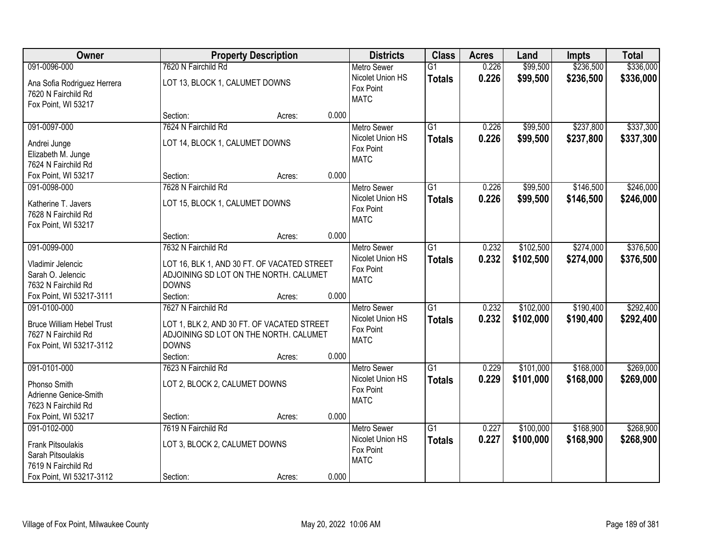| <b>Owner</b>                                                                                                     | <b>Property Description</b>                                                                                                                                | <b>Districts</b>                                                   | <b>Class</b>                     | <b>Acres</b>   | Land                   | <b>Impts</b>           | <b>Total</b>           |
|------------------------------------------------------------------------------------------------------------------|------------------------------------------------------------------------------------------------------------------------------------------------------------|--------------------------------------------------------------------|----------------------------------|----------------|------------------------|------------------------|------------------------|
| 091-0096-000                                                                                                     | 7620 N Fairchild Rd                                                                                                                                        | <b>Metro Sewer</b>                                                 | $\overline{G1}$                  | 0.226          | \$99,500               | \$236,500              | \$336,000              |
| Ana Sofia Rodriguez Herrera<br>7620 N Fairchild Rd<br>Fox Point, WI 53217                                        | LOT 13, BLOCK 1, CALUMET DOWNS                                                                                                                             | Nicolet Union HS<br>Fox Point<br><b>MATC</b>                       | <b>Totals</b>                    | 0.226          | \$99,500               | \$236,500              | \$336,000              |
|                                                                                                                  | 0.000<br>Section:<br>Acres:                                                                                                                                |                                                                    |                                  |                |                        |                        |                        |
| 091-0097-000<br>Andrei Junge<br>Elizabeth M. Junge<br>7624 N Fairchild Rd                                        | 7624 N Fairchild Rd<br>LOT 14, BLOCK 1, CALUMET DOWNS                                                                                                      | <b>Metro Sewer</b><br>Nicolet Union HS<br>Fox Point<br><b>MATC</b> | $\overline{G1}$<br><b>Totals</b> | 0.226<br>0.226 | \$99,500<br>\$99,500   | \$237,800<br>\$237,800 | \$337,300<br>\$337,300 |
| Fox Point, WI 53217                                                                                              | 0.000<br>Section:<br>Acres:                                                                                                                                |                                                                    |                                  |                |                        |                        |                        |
| 091-0098-000<br>Katherine T. Javers<br>7628 N Fairchild Rd<br>Fox Point, WI 53217                                | 7628 N Fairchild Rd<br>LOT 15, BLOCK 1, CALUMET DOWNS                                                                                                      | <b>Metro Sewer</b><br>Nicolet Union HS<br>Fox Point<br><b>MATC</b> | G <sub>1</sub><br><b>Totals</b>  | 0.226<br>0.226 | \$99,500<br>\$99,500   | \$146,500<br>\$146,500 | \$246,000<br>\$246,000 |
|                                                                                                                  | 0.000<br>Section:<br>Acres:                                                                                                                                |                                                                    |                                  |                |                        |                        |                        |
| 091-0099-000<br>Vladimir Jelencic<br>Sarah O. Jelencic<br>7632 N Fairchild Rd                                    | 7632 N Fairchild Rd<br>LOT 16, BLK 1, AND 30 FT. OF VACATED STREET<br>ADJOINING SD LOT ON THE NORTH. CALUMET<br><b>DOWNS</b>                               | <b>Metro Sewer</b><br>Nicolet Union HS<br>Fox Point<br><b>MATC</b> | G1<br><b>Totals</b>              | 0.232<br>0.232 | \$102,500<br>\$102,500 | \$274,000<br>\$274,000 | \$376,500<br>\$376,500 |
| Fox Point, WI 53217-3111                                                                                         | 0.000<br>Section:<br>Acres:                                                                                                                                |                                                                    |                                  |                |                        |                        |                        |
| 091-0100-000<br><b>Bruce William Hebel Trust</b><br>7627 N Fairchild Rd<br>Fox Point, WI 53217-3112              | 7627 N Fairchild Rd<br>LOT 1, BLK 2, AND 30 FT. OF VACATED STREET<br>ADJOINING SD LOT ON THE NORTH. CALUMET<br><b>DOWNS</b><br>Section:<br>0.000<br>Acres: | <b>Metro Sewer</b><br>Nicolet Union HS<br>Fox Point<br><b>MATC</b> | $\overline{G1}$<br><b>Totals</b> | 0.232<br>0.232 | \$102,000<br>\$102,000 | \$190,400<br>\$190,400 | \$292,400<br>\$292,400 |
| 091-0101-000<br>Phonso Smith<br>Adrienne Genice-Smith<br>7623 N Fairchild Rd<br>Fox Point, WI 53217              | 7623 N Fairchild Rd<br>LOT 2, BLOCK 2, CALUMET DOWNS<br>0.000<br>Section:<br>Acres:                                                                        | <b>Metro Sewer</b><br>Nicolet Union HS<br>Fox Point<br><b>MATC</b> | $\overline{G1}$<br><b>Totals</b> | 0.229<br>0.229 | \$101,000<br>\$101,000 | \$168,000<br>\$168,000 | \$269,000<br>\$269,000 |
| 091-0102-000<br><b>Frank Pitsoulakis</b><br>Sarah Pitsoulakis<br>7619 N Fairchild Rd<br>Fox Point, WI 53217-3112 | 7619 N Fairchild Rd<br>LOT 3, BLOCK 2, CALUMET DOWNS<br>0.000<br>Section:<br>Acres:                                                                        | <b>Metro Sewer</b><br>Nicolet Union HS<br>Fox Point<br><b>MATC</b> | $\overline{G1}$<br><b>Totals</b> | 0.227<br>0.227 | \$100,000<br>\$100,000 | \$168,900<br>\$168,900 | \$268,900<br>\$268,900 |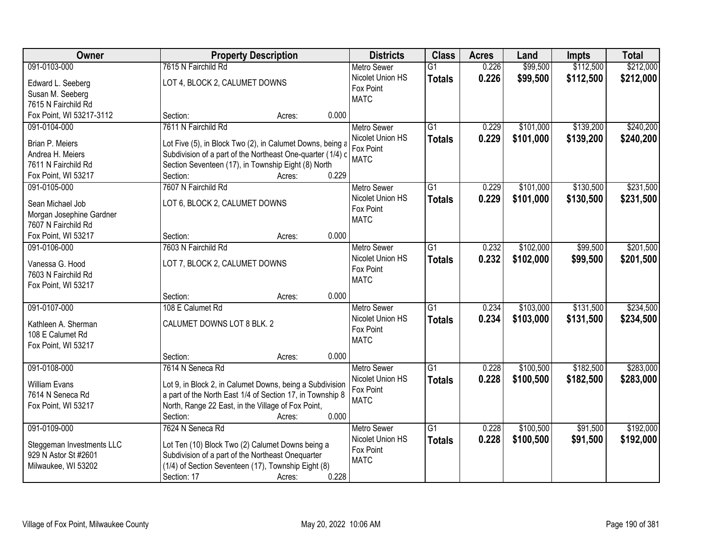| <b>Owner</b>              | <b>Property Description</b>                                | <b>Districts</b>   | <b>Class</b>    | <b>Acres</b> | Land      | <b>Impts</b> | <b>Total</b> |
|---------------------------|------------------------------------------------------------|--------------------|-----------------|--------------|-----------|--------------|--------------|
| 091-0103-000              | 7615 N Fairchild Rd                                        | <b>Metro Sewer</b> | $\overline{G1}$ | 0.226        | \$99,500  | \$112,500    | \$212,000    |
| Edward L. Seeberg         | LOT 4, BLOCK 2, CALUMET DOWNS                              | Nicolet Union HS   | <b>Totals</b>   | 0.226        | \$99,500  | \$112,500    | \$212,000    |
| Susan M. Seeberg          |                                                            | Fox Point          |                 |              |           |              |              |
| 7615 N Fairchild Rd       |                                                            | <b>MATC</b>        |                 |              |           |              |              |
| Fox Point, WI 53217-3112  | 0.000<br>Section:<br>Acres:                                |                    |                 |              |           |              |              |
| 091-0104-000              | 7611 N Fairchild Rd                                        | <b>Metro Sewer</b> | $\overline{G1}$ | 0.229        | \$101,000 | \$139,200    | \$240,200    |
|                           |                                                            | Nicolet Union HS   | <b>Totals</b>   | 0.229        | \$101,000 | \$139,200    | \$240,200    |
| Brian P. Meiers           | Lot Five (5), in Block Two (2), in Calumet Downs, being a  | Fox Point          |                 |              |           |              |              |
| Andrea H. Meiers          | Subdivision of a part of the Northeast One-quarter (1/4) c | <b>MATC</b>        |                 |              |           |              |              |
| 7611 N Fairchild Rd       | Section Seventeen (17), in Township Eight (8) North        |                    |                 |              |           |              |              |
| Fox Point, WI 53217       | 0.229<br>Section:<br>Acres:                                |                    |                 |              |           |              |              |
| 091-0105-000              | 7607 N Fairchild Rd                                        | <b>Metro Sewer</b> | G1              | 0.229        | \$101,000 | \$130,500    | \$231,500    |
| Sean Michael Job          | LOT 6, BLOCK 2, CALUMET DOWNS                              | Nicolet Union HS   | <b>Totals</b>   | 0.229        | \$101,000 | \$130,500    | \$231,500    |
| Morgan Josephine Gardner  |                                                            | Fox Point          |                 |              |           |              |              |
| 7607 N Fairchild Rd       |                                                            | <b>MATC</b>        |                 |              |           |              |              |
| Fox Point, WI 53217       | 0.000<br>Section:<br>Acres:                                |                    |                 |              |           |              |              |
| 091-0106-000              | 7603 N Fairchild Rd                                        | <b>Metro Sewer</b> | $\overline{G1}$ | 0.232        | \$102,000 | \$99,500     | \$201,500    |
|                           |                                                            | Nicolet Union HS   | <b>Totals</b>   | 0.232        | \$102,000 | \$99,500     | \$201,500    |
| Vanessa G. Hood           | LOT 7, BLOCK 2, CALUMET DOWNS                              | Fox Point          |                 |              |           |              |              |
| 7603 N Fairchild Rd       |                                                            | <b>MATC</b>        |                 |              |           |              |              |
| Fox Point, WI 53217       |                                                            |                    |                 |              |           |              |              |
|                           | 0.000<br>Section:<br>Acres:                                |                    |                 |              |           |              |              |
| 091-0107-000              | 108 E Calumet Rd                                           | Metro Sewer        | $\overline{G1}$ | 0.234        | \$103,000 | \$131,500    | \$234,500    |
| Kathleen A. Sherman       | CALUMET DOWNS LOT 8 BLK. 2                                 | Nicolet Union HS   | <b>Totals</b>   | 0.234        | \$103,000 | \$131,500    | \$234,500    |
| 108 E Calumet Rd          |                                                            | Fox Point          |                 |              |           |              |              |
| Fox Point, WI 53217       |                                                            | <b>MATC</b>        |                 |              |           |              |              |
|                           | 0.000<br>Section:<br>Acres:                                |                    |                 |              |           |              |              |
| 091-0108-000              | 7614 N Seneca Rd                                           | Metro Sewer        | G1              | 0.228        | \$100,500 | \$182,500    | \$283,000    |
| <b>William Evans</b>      | Lot 9, in Block 2, in Calumet Downs, being a Subdivision   | Nicolet Union HS   | <b>Totals</b>   | 0.228        | \$100,500 | \$182,500    | \$283,000    |
| 7614 N Seneca Rd          | a part of the North East 1/4 of Section 17, in Township 8  | Fox Point          |                 |              |           |              |              |
| Fox Point, WI 53217       | North, Range 22 East, in the Village of Fox Point,         | <b>MATC</b>        |                 |              |           |              |              |
|                           | 0.000<br>Section:<br>Acres:                                |                    |                 |              |           |              |              |
| 091-0109-000              | 7624 N Seneca Rd                                           | <b>Metro Sewer</b> | $\overline{G1}$ | 0.228        | \$100,500 | \$91,500     | \$192,000    |
|                           |                                                            | Nicolet Union HS   | <b>Totals</b>   | 0.228        | \$100,500 | \$91,500     | \$192,000    |
| Steggeman Investments LLC | Lot Ten (10) Block Two (2) Calumet Downs being a           | Fox Point          |                 |              |           |              |              |
| 929 N Astor St #2601      | Subdivision of a part of the Northeast Onequarter          | <b>MATC</b>        |                 |              |           |              |              |
| Milwaukee, WI 53202       | (1/4) of Section Seventeen (17), Township Eight (8)        |                    |                 |              |           |              |              |
|                           | 0.228<br>Section: 17<br>Acres:                             |                    |                 |              |           |              |              |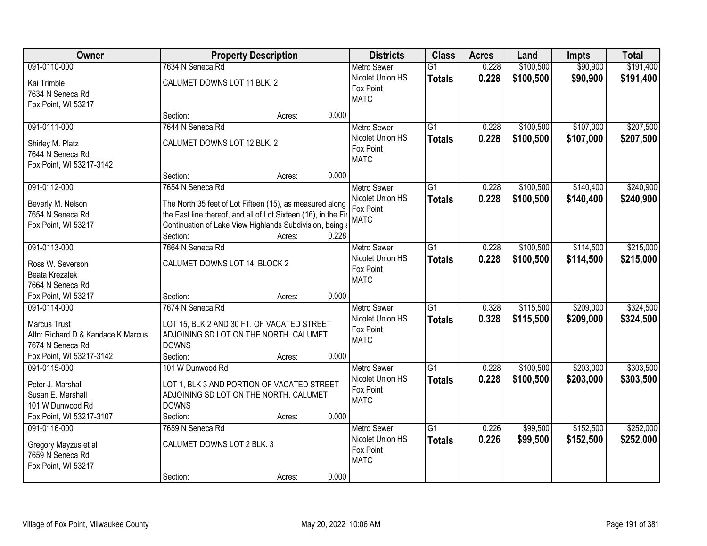| Owner                                                                                                                     | <b>Property Description</b>                                                                                                                                                                                  |       | <b>Districts</b>                                                   | <b>Class</b>                     | <b>Acres</b>   | Land                   | <b>Impts</b>           | <b>Total</b>           |
|---------------------------------------------------------------------------------------------------------------------------|--------------------------------------------------------------------------------------------------------------------------------------------------------------------------------------------------------------|-------|--------------------------------------------------------------------|----------------------------------|----------------|------------------------|------------------------|------------------------|
| 091-0110-000                                                                                                              | 7634 N Seneca Rd                                                                                                                                                                                             |       | <b>Metro Sewer</b>                                                 | $\overline{G1}$                  | 0.228          | \$100,500              | \$90,900               | \$191,400              |
| Kai Trimble<br>7634 N Seneca Rd<br>Fox Point, WI 53217                                                                    | CALUMET DOWNS LOT 11 BLK. 2                                                                                                                                                                                  |       | Nicolet Union HS<br>Fox Point<br><b>MATC</b>                       | <b>Totals</b>                    | 0.228          | \$100,500              | \$90,900               | \$191,400              |
|                                                                                                                           | Section:<br>Acres:                                                                                                                                                                                           | 0.000 |                                                                    |                                  |                |                        |                        |                        |
| 091-0111-000                                                                                                              | 7644 N Seneca Rd                                                                                                                                                                                             |       | <b>Metro Sewer</b>                                                 | $\overline{G1}$                  | 0.228          | \$100,500              | \$107,000              | \$207,500              |
| Shirley M. Platz<br>7644 N Seneca Rd<br>Fox Point, WI 53217-3142                                                          | CALUMET DOWNS LOT 12 BLK. 2                                                                                                                                                                                  |       | Nicolet Union HS<br>Fox Point<br><b>MATC</b>                       | <b>Totals</b>                    | 0.228          | \$100,500              | \$107,000              | \$207,500              |
|                                                                                                                           | Section:<br>Acres:                                                                                                                                                                                           | 0.000 |                                                                    |                                  |                |                        |                        |                        |
| 091-0112-000                                                                                                              | 7654 N Seneca Rd                                                                                                                                                                                             |       | Metro Sewer                                                        | $\overline{G1}$                  | 0.228          | \$100,500              | \$140,400              | \$240,900              |
| Beverly M. Nelson<br>7654 N Seneca Rd<br>Fox Point, WI 53217                                                              | The North 35 feet of Lot Fifteen (15), as measured along<br>the East line thereof, and all of Lot Sixteen (16), in the Fir<br>Continuation of Lake View Highlands Subdivision, being a<br>Section:<br>Acres: | 0.228 | Nicolet Union HS<br>Fox Point<br><b>MATC</b>                       | <b>Totals</b>                    | 0.228          | \$100,500              | \$140,400              | \$240,900              |
| 091-0113-000                                                                                                              | 7664 N Seneca Rd                                                                                                                                                                                             |       | <b>Metro Sewer</b>                                                 | $\overline{G1}$                  | 0.228          | \$100,500              | \$114,500              | \$215,000              |
| Ross W. Severson<br>Beata Krezalek<br>7664 N Seneca Rd                                                                    | CALUMET DOWNS LOT 14, BLOCK 2                                                                                                                                                                                |       | Nicolet Union HS<br>Fox Point<br><b>MATC</b>                       | <b>Totals</b>                    | 0.228          | \$100,500              | \$114,500              | \$215,000              |
| Fox Point, WI 53217                                                                                                       | Section:<br>Acres:                                                                                                                                                                                           | 0.000 |                                                                    |                                  |                |                        |                        |                        |
| 091-0114-000<br><b>Marcus Trust</b><br>Attn: Richard D & Kandace K Marcus<br>7674 N Seneca Rd<br>Fox Point, WI 53217-3142 | 7674 N Seneca Rd<br>LOT 15, BLK 2 AND 30 FT. OF VACATED STREET<br>ADJOINING SD LOT ON THE NORTH. CALUMET<br><b>DOWNS</b><br>Section:<br>Acres:                                                               | 0.000 | <b>Metro Sewer</b><br>Nicolet Union HS<br>Fox Point<br><b>MATC</b> | $\overline{G1}$<br><b>Totals</b> | 0.328<br>0.328 | \$115,500<br>\$115,500 | \$209,000<br>\$209,000 | \$324,500<br>\$324,500 |
| 091-0115-000                                                                                                              | 101 W Dunwood Rd                                                                                                                                                                                             |       | <b>Metro Sewer</b>                                                 | $\overline{G1}$                  | 0.228          | \$100,500              | \$203,000              | \$303,500              |
| Peter J. Marshall<br>Susan E. Marshall<br>101 W Dunwood Rd<br>Fox Point, WI 53217-3107                                    | LOT 1, BLK 3 AND PORTION OF VACATED STREET<br>ADJOINING SD LOT ON THE NORTH. CALUMET<br><b>DOWNS</b><br>Section:<br>Acres:                                                                                   | 0.000 | Nicolet Union HS<br>Fox Point<br><b>MATC</b>                       | <b>Totals</b>                    | 0.228          | \$100,500              | \$203,000              | \$303,500              |
| 091-0116-000                                                                                                              | 7659 N Seneca Rd                                                                                                                                                                                             |       | <b>Metro Sewer</b>                                                 | $\overline{G1}$                  | 0.226          | \$99,500               | \$152,500              | \$252,000              |
| Gregory Mayzus et al<br>7659 N Seneca Rd<br>Fox Point, WI 53217                                                           | CALUMET DOWNS LOT 2 BLK. 3                                                                                                                                                                                   |       | Nicolet Union HS<br>Fox Point<br><b>MATC</b>                       | <b>Totals</b>                    | 0.226          | \$99,500               | \$152,500              | \$252,000              |
|                                                                                                                           | Section:<br>Acres:                                                                                                                                                                                           | 0.000 |                                                                    |                                  |                |                        |                        |                        |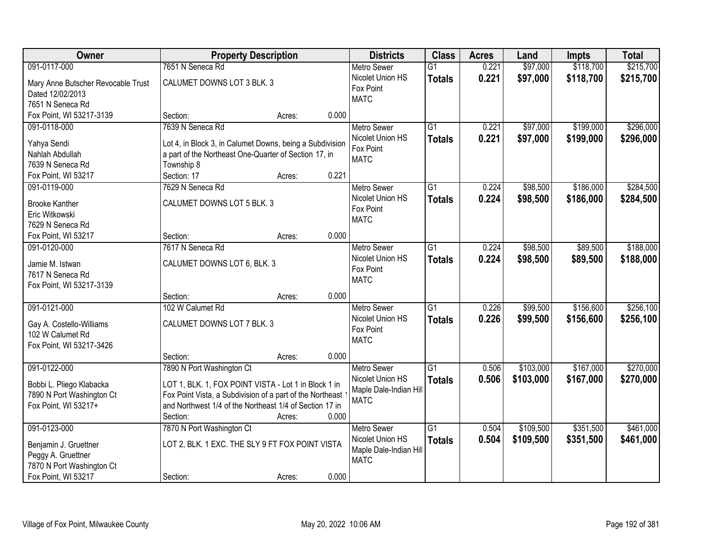| Owner                              | <b>Property Description</b>                               |        |       | <b>Districts</b>       | <b>Class</b>    | <b>Acres</b> | Land      | <b>Impts</b> | <b>Total</b> |
|------------------------------------|-----------------------------------------------------------|--------|-------|------------------------|-----------------|--------------|-----------|--------------|--------------|
| 091-0117-000                       | 7651 N Seneca Rd                                          |        |       | <b>Metro Sewer</b>     | $\overline{G1}$ | 0.221        | \$97,000  | \$118,700    | \$215,700    |
| Mary Anne Butscher Revocable Trust | CALUMET DOWNS LOT 3 BLK. 3                                |        |       | Nicolet Union HS       | <b>Totals</b>   | 0.221        | \$97,000  | \$118,700    | \$215,700    |
| Dated 12/02/2013                   |                                                           |        |       | Fox Point              |                 |              |           |              |              |
| 7651 N Seneca Rd                   |                                                           |        |       | <b>MATC</b>            |                 |              |           |              |              |
| Fox Point, WI 53217-3139           | Section:                                                  | Acres: | 0.000 |                        |                 |              |           |              |              |
| 091-0118-000                       | 7639 N Seneca Rd                                          |        |       | <b>Metro Sewer</b>     | $\overline{G1}$ | 0.221        | \$97,000  | \$199,000    | \$296,000    |
|                                    |                                                           |        |       | Nicolet Union HS       | <b>Totals</b>   | 0.221        | \$97,000  | \$199,000    | \$296,000    |
| Yahya Sendi                        | Lot 4, in Block 3, in Calumet Downs, being a Subdivision  |        |       | Fox Point              |                 |              |           |              |              |
| Nahlah Abdullah                    | a part of the Northeast One-Quarter of Section 17, in     |        |       | <b>MATC</b>            |                 |              |           |              |              |
| 7639 N Seneca Rd                   | Township 8                                                |        |       |                        |                 |              |           |              |              |
| Fox Point, WI 53217                | Section: 17                                               | Acres: | 0.221 |                        |                 |              |           |              |              |
| 091-0119-000                       | 7629 N Seneca Rd                                          |        |       | <b>Metro Sewer</b>     | $\overline{G1}$ | 0.224        | \$98,500  | \$186,000    | \$284,500    |
| <b>Brooke Kanther</b>              | CALUMET DOWNS LOT 5 BLK. 3                                |        |       | Nicolet Union HS       | <b>Totals</b>   | 0.224        | \$98,500  | \$186,000    | \$284,500    |
| Eric Witkowski                     |                                                           |        |       | Fox Point              |                 |              |           |              |              |
| 7629 N Seneca Rd                   |                                                           |        |       | <b>MATC</b>            |                 |              |           |              |              |
| Fox Point, WI 53217                | Section:                                                  | Acres: | 0.000 |                        |                 |              |           |              |              |
| 091-0120-000                       | 7617 N Seneca Rd                                          |        |       | <b>Metro Sewer</b>     | $\overline{G1}$ | 0.224        | \$98,500  | \$89,500     | \$188,000    |
|                                    |                                                           |        |       | Nicolet Union HS       | <b>Totals</b>   | 0.224        | \$98,500  | \$89,500     | \$188,000    |
| Jamie M. Istwan                    | CALUMET DOWNS LOT 6, BLK. 3                               |        |       | Fox Point              |                 |              |           |              |              |
| 7617 N Seneca Rd                   |                                                           |        |       | <b>MATC</b>            |                 |              |           |              |              |
| Fox Point, WI 53217-3139           |                                                           |        |       |                        |                 |              |           |              |              |
|                                    | Section:                                                  | Acres: | 0.000 |                        |                 |              |           |              |              |
| 091-0121-000                       | 102 W Calumet Rd                                          |        |       | <b>Metro Sewer</b>     | $\overline{G1}$ | 0.226        | \$99,500  | \$156,600    | \$256,100    |
| Gay A. Costello-Williams           | CALUMET DOWNS LOT 7 BLK. 3                                |        |       | Nicolet Union HS       | <b>Totals</b>   | 0.226        | \$99,500  | \$156,600    | \$256,100    |
| 102 W Calumet Rd                   |                                                           |        |       | Fox Point              |                 |              |           |              |              |
| Fox Point, WI 53217-3426           |                                                           |        |       | <b>MATC</b>            |                 |              |           |              |              |
|                                    | Section:                                                  | Acres: | 0.000 |                        |                 |              |           |              |              |
| 091-0122-000                       | 7890 N Port Washington Ct                                 |        |       | <b>Metro Sewer</b>     | $\overline{G1}$ | 0.506        | \$103,000 | \$167,000    | \$270,000    |
|                                    |                                                           |        |       | Nicolet Union HS       | <b>Totals</b>   | 0.506        | \$103,000 | \$167,000    | \$270,000    |
| Bobbi L. Pliego Klabacka           | LOT 1, BLK. 1, FOX POINT VISTA - Lot 1 in Block 1 in      |        |       | Maple Dale-Indian Hill |                 |              |           |              |              |
| 7890 N Port Washington Ct          | Fox Point Vista, a Subdivision of a part of the Northeast |        |       | <b>MATC</b>            |                 |              |           |              |              |
| Fox Point, WI 53217+               | and Northwest 1/4 of the Northeast 1/4 of Section 17 in   |        |       |                        |                 |              |           |              |              |
|                                    | Section:                                                  | Acres: | 0.000 |                        |                 |              |           |              |              |
| 091-0123-000                       | 7870 N Port Washington Ct                                 |        |       | <b>Metro Sewer</b>     | $\overline{G1}$ | 0.504        | \$109,500 | \$351,500    | \$461,000    |
| Benjamin J. Gruettner              | LOT 2, BLK. 1 EXC. THE SLY 9 FT FOX POINT VISTA           |        |       | Nicolet Union HS       | <b>Totals</b>   | 0.504        | \$109,500 | \$351,500    | \$461,000    |
| Peggy A. Gruettner                 |                                                           |        |       | Maple Dale-Indian Hill |                 |              |           |              |              |
| 7870 N Port Washington Ct          |                                                           |        |       | <b>MATC</b>            |                 |              |           |              |              |
| Fox Point, WI 53217                | Section:                                                  | Acres: | 0.000 |                        |                 |              |           |              |              |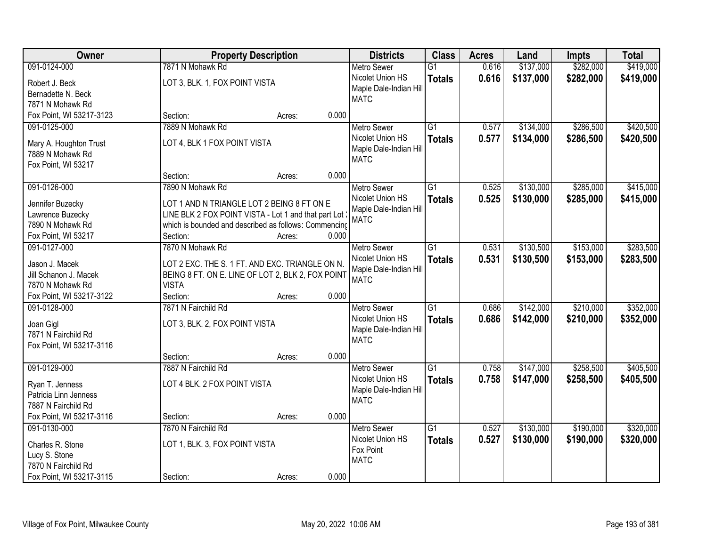| 7871 N Mohawk Rd<br>\$137,000<br>\$282,000<br>091-0124-000<br>$\overline{G1}$<br>0.616<br><b>Metro Sewer</b><br>0.616<br>\$282,000<br>Nicolet Union HS<br>\$137,000<br><b>Totals</b><br>LOT 3, BLK. 1, FOX POINT VISTA<br>Robert J. Beck<br>Maple Dale-Indian Hill<br>Bernadette N. Beck<br><b>MATC</b><br>7871 N Mohawk Rd<br>0.000<br>Fox Point, WI 53217-3123<br>Section:<br>Acres:<br>7889 N Mohawk Rd<br>$\overline{G1}$<br>\$134,000<br>\$286,500<br>091-0125-000<br>0.577<br><b>Metro Sewer</b><br>Nicolet Union HS<br>0.577<br>\$134,000<br>\$286,500<br><b>Totals</b><br>LOT 4, BLK 1 FOX POINT VISTA<br>Mary A. Houghton Trust<br>Maple Dale-Indian Hill<br>7889 N Mohawk Rd<br><b>MATC</b><br>Fox Point, WI 53217 | Owner | <b>Property Description</b> | <b>Districts</b> | <b>Class</b> | <b>Acres</b> | Land | <b>Impts</b> | <b>Total</b> |
|------------------------------------------------------------------------------------------------------------------------------------------------------------------------------------------------------------------------------------------------------------------------------------------------------------------------------------------------------------------------------------------------------------------------------------------------------------------------------------------------------------------------------------------------------------------------------------------------------------------------------------------------------------------------------------------------------------------------------|-------|-----------------------------|------------------|--------------|--------------|------|--------------|--------------|
|                                                                                                                                                                                                                                                                                                                                                                                                                                                                                                                                                                                                                                                                                                                              |       |                             |                  |              |              |      |              | \$419,000    |
|                                                                                                                                                                                                                                                                                                                                                                                                                                                                                                                                                                                                                                                                                                                              |       |                             |                  |              |              |      |              | \$419,000    |
|                                                                                                                                                                                                                                                                                                                                                                                                                                                                                                                                                                                                                                                                                                                              |       |                             |                  |              |              |      |              |              |
|                                                                                                                                                                                                                                                                                                                                                                                                                                                                                                                                                                                                                                                                                                                              |       |                             |                  |              |              |      |              |              |
|                                                                                                                                                                                                                                                                                                                                                                                                                                                                                                                                                                                                                                                                                                                              |       |                             |                  |              |              |      |              |              |
|                                                                                                                                                                                                                                                                                                                                                                                                                                                                                                                                                                                                                                                                                                                              |       |                             |                  |              |              |      |              | \$420,500    |
|                                                                                                                                                                                                                                                                                                                                                                                                                                                                                                                                                                                                                                                                                                                              |       |                             |                  |              |              |      |              | \$420,500    |
|                                                                                                                                                                                                                                                                                                                                                                                                                                                                                                                                                                                                                                                                                                                              |       |                             |                  |              |              |      |              |              |
|                                                                                                                                                                                                                                                                                                                                                                                                                                                                                                                                                                                                                                                                                                                              |       |                             |                  |              |              |      |              |              |
| 0.000<br>Section:<br>Acres:                                                                                                                                                                                                                                                                                                                                                                                                                                                                                                                                                                                                                                                                                                  |       |                             |                  |              |              |      |              |              |
| 091-0126-000<br>G1<br>\$130,000<br>\$285,000<br>7890 N Mohawk Rd<br><b>Metro Sewer</b><br>0.525                                                                                                                                                                                                                                                                                                                                                                                                                                                                                                                                                                                                                              |       |                             |                  |              |              |      |              | \$415,000    |
| Nicolet Union HS<br>0.525<br>\$130,000<br>\$285,000<br><b>Totals</b>                                                                                                                                                                                                                                                                                                                                                                                                                                                                                                                                                                                                                                                         |       |                             |                  |              |              |      |              | \$415,000    |
| Jennifer Buzecky<br>LOT 1 AND N TRIANGLE LOT 2 BEING 8 FT ON E<br>Maple Dale-Indian Hill                                                                                                                                                                                                                                                                                                                                                                                                                                                                                                                                                                                                                                     |       |                             |                  |              |              |      |              |              |
| LINE BLK 2 FOX POINT VISTA - Lot 1 and that part Lot<br>Lawrence Buzecky<br><b>MATC</b><br>7890 N Mohawk Rd<br>which is bounded and described as follows: Commencing                                                                                                                                                                                                                                                                                                                                                                                                                                                                                                                                                         |       |                             |                  |              |              |      |              |              |
| 0.000<br>Fox Point, WI 53217<br>Section:<br>Acres:                                                                                                                                                                                                                                                                                                                                                                                                                                                                                                                                                                                                                                                                           |       |                             |                  |              |              |      |              |              |
| \$130,500<br>\$153,000<br>091-0127-000<br>7870 N Mohawk Rd<br>$\overline{G1}$<br>0.531<br><b>Metro Sewer</b>                                                                                                                                                                                                                                                                                                                                                                                                                                                                                                                                                                                                                 |       |                             |                  |              |              |      |              | \$283,500    |
| Nicolet Union HS<br>0.531<br>\$153,000<br>\$130,500                                                                                                                                                                                                                                                                                                                                                                                                                                                                                                                                                                                                                                                                          |       |                             |                  |              |              |      |              | \$283,500    |
| <b>Totals</b><br>Jason J. Macek<br>LOT 2 EXC. THE S. 1 FT. AND EXC. TRIANGLE ON N.<br>Maple Dale-Indian Hill                                                                                                                                                                                                                                                                                                                                                                                                                                                                                                                                                                                                                 |       |                             |                  |              |              |      |              |              |
| Jill Schanon J. Macek<br>BEING 8 FT. ON E. LINE OF LOT 2, BLK 2, FOX POINT<br><b>MATC</b>                                                                                                                                                                                                                                                                                                                                                                                                                                                                                                                                                                                                                                    |       |                             |                  |              |              |      |              |              |
| <b>VISTA</b><br>7870 N Mohawk Rd                                                                                                                                                                                                                                                                                                                                                                                                                                                                                                                                                                                                                                                                                             |       |                             |                  |              |              |      |              |              |
| Fox Point, WI 53217-3122<br>0.000<br>Section:<br>Acres:                                                                                                                                                                                                                                                                                                                                                                                                                                                                                                                                                                                                                                                                      |       |                             |                  |              |              |      |              |              |
| 7871 N Fairchild Rd<br>$\overline{G1}$<br>\$142,000<br>\$210,000<br>091-0128-000<br>0.686<br><b>Metro Sewer</b>                                                                                                                                                                                                                                                                                                                                                                                                                                                                                                                                                                                                              |       |                             |                  |              |              |      |              | \$352,000    |
| 0.686<br>\$142,000<br>\$210,000<br>Nicolet Union HS<br><b>Totals</b><br>Joan Gigl<br>LOT 3, BLK. 2, FOX POINT VISTA                                                                                                                                                                                                                                                                                                                                                                                                                                                                                                                                                                                                          |       |                             |                  |              |              |      |              | \$352,000    |
| Maple Dale-Indian Hill<br>7871 N Fairchild Rd                                                                                                                                                                                                                                                                                                                                                                                                                                                                                                                                                                                                                                                                                |       |                             |                  |              |              |      |              |              |
| <b>MATC</b><br>Fox Point, WI 53217-3116                                                                                                                                                                                                                                                                                                                                                                                                                                                                                                                                                                                                                                                                                      |       |                             |                  |              |              |      |              |              |
| 0.000<br>Section:<br>Acres:                                                                                                                                                                                                                                                                                                                                                                                                                                                                                                                                                                                                                                                                                                  |       |                             |                  |              |              |      |              |              |
| \$258,500<br>091-0129-000<br>7887 N Fairchild Rd<br>G1<br>0.758<br>\$147,000<br><b>Metro Sewer</b>                                                                                                                                                                                                                                                                                                                                                                                                                                                                                                                                                                                                                           |       |                             |                  |              |              |      |              | \$405,500    |
| Nicolet Union HS<br>0.758<br>\$258,500<br>\$147,000<br><b>Totals</b><br>LOT 4 BLK. 2 FOX POINT VISTA<br>Ryan T. Jenness                                                                                                                                                                                                                                                                                                                                                                                                                                                                                                                                                                                                      |       |                             |                  |              |              |      |              | \$405,500    |
| Maple Dale-Indian Hill<br>Patricia Linn Jenness                                                                                                                                                                                                                                                                                                                                                                                                                                                                                                                                                                                                                                                                              |       |                             |                  |              |              |      |              |              |
| <b>MATC</b><br>7887 N Fairchild Rd                                                                                                                                                                                                                                                                                                                                                                                                                                                                                                                                                                                                                                                                                           |       |                             |                  |              |              |      |              |              |
| 0.000<br>Fox Point, WI 53217-3116<br>Section:<br>Acres:                                                                                                                                                                                                                                                                                                                                                                                                                                                                                                                                                                                                                                                                      |       |                             |                  |              |              |      |              |              |
| \$130,000<br>\$190,000<br>091-0130-000<br>7870 N Fairchild Rd<br>$\overline{G1}$<br>0.527<br><b>Metro Sewer</b>                                                                                                                                                                                                                                                                                                                                                                                                                                                                                                                                                                                                              |       |                             |                  |              |              |      |              | \$320,000    |
| Nicolet Union HS<br>0.527<br>\$130,000<br>\$190,000<br><b>Totals</b><br>LOT 1, BLK. 3, FOX POINT VISTA<br>Charles R. Stone                                                                                                                                                                                                                                                                                                                                                                                                                                                                                                                                                                                                   |       |                             |                  |              |              |      |              | \$320,000    |
| Fox Point<br>Lucy S. Stone                                                                                                                                                                                                                                                                                                                                                                                                                                                                                                                                                                                                                                                                                                   |       |                             |                  |              |              |      |              |              |
| <b>MATC</b><br>7870 N Fairchild Rd                                                                                                                                                                                                                                                                                                                                                                                                                                                                                                                                                                                                                                                                                           |       |                             |                  |              |              |      |              |              |
| 0.000<br>Fox Point, WI 53217-3115<br>Section:<br>Acres:                                                                                                                                                                                                                                                                                                                                                                                                                                                                                                                                                                                                                                                                      |       |                             |                  |              |              |      |              |              |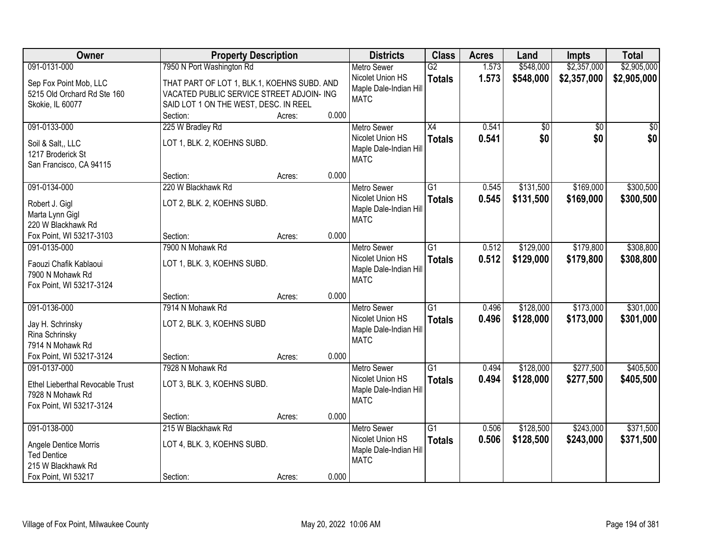| Owner                                       | <b>Property Description</b>                 |                 | <b>Districts</b>                      | <b>Class</b>    | <b>Acres</b> | Land      | <b>Impts</b>    | <b>Total</b>    |
|---------------------------------------------|---------------------------------------------|-----------------|---------------------------------------|-----------------|--------------|-----------|-----------------|-----------------|
| 091-0131-000                                | 7950 N Port Washington Rd                   |                 | <b>Metro Sewer</b>                    | $\overline{G2}$ | 1.573        | \$548,000 | \$2,357,000     | \$2,905,000     |
| Sep Fox Point Mob, LLC                      | THAT PART OF LOT 1, BLK.1, KOEHNS SUBD. AND |                 | Nicolet Union HS                      | <b>Totals</b>   | 1.573        | \$548,000 | \$2,357,000     | \$2,905,000     |
| 5215 Old Orchard Rd Ste 160                 | VACATED PUBLIC SERVICE STREET ADJOIN- ING   |                 | Maple Dale-Indian Hill                |                 |              |           |                 |                 |
| Skokie, IL 60077                            | SAID LOT 1 ON THE WEST, DESC. IN REEL       |                 | <b>MATC</b>                           |                 |              |           |                 |                 |
|                                             | Section:                                    | 0.000<br>Acres: |                                       |                 |              |           |                 |                 |
| 091-0133-000                                | 225 W Bradley Rd                            |                 | <b>Metro Sewer</b>                    | $\overline{X4}$ | 0.541        | \$0       | $\overline{50}$ | $\overline{50}$ |
| Soil & Salt., LLC                           | LOT 1, BLK. 2, KOEHNS SUBD.                 |                 | Nicolet Union HS                      | <b>Totals</b>   | 0.541        | \$0       | \$0             | \$0             |
| 1217 Broderick St                           |                                             |                 | Maple Dale-Indian Hill                |                 |              |           |                 |                 |
| San Francisco, CA 94115                     |                                             |                 | <b>MATC</b>                           |                 |              |           |                 |                 |
|                                             | Section:                                    | 0.000<br>Acres: |                                       |                 |              |           |                 |                 |
| 091-0134-000                                | 220 W Blackhawk Rd                          |                 | <b>Metro Sewer</b>                    | G1              | 0.545        | \$131,500 | \$169,000       | \$300,500       |
|                                             |                                             |                 | Nicolet Union HS                      | <b>Totals</b>   | 0.545        | \$131,500 | \$169,000       | \$300,500       |
| Robert J. Gigl                              | LOT 2, BLK. 2, KOEHNS SUBD.                 |                 | Maple Dale-Indian Hill                |                 |              |           |                 |                 |
| Marta Lynn Gigl<br>220 W Blackhawk Rd       |                                             |                 | <b>MATC</b>                           |                 |              |           |                 |                 |
| Fox Point, WI 53217-3103                    | Section:                                    | 0.000<br>Acres: |                                       |                 |              |           |                 |                 |
| 091-0135-000                                | 7900 N Mohawk Rd                            |                 | <b>Metro Sewer</b>                    | $\overline{G1}$ | 0.512        | \$129,000 | \$179,800       | \$308,800       |
|                                             |                                             |                 | Nicolet Union HS                      | <b>Totals</b>   | 0.512        | \$129,000 | \$179,800       | \$308,800       |
| Faouzi Chafik Kablaoui                      | LOT 1, BLK. 3, KOEHNS SUBD.                 |                 | Maple Dale-Indian Hill                |                 |              |           |                 |                 |
| 7900 N Mohawk Rd                            |                                             |                 | <b>MATC</b>                           |                 |              |           |                 |                 |
| Fox Point, WI 53217-3124                    |                                             |                 |                                       |                 |              |           |                 |                 |
|                                             | Section:                                    | 0.000<br>Acres: |                                       |                 |              |           |                 |                 |
| 091-0136-000                                | 7914 N Mohawk Rd                            |                 | Metro Sewer                           | $\overline{G1}$ | 0.496        | \$128,000 | \$173,000       | \$301,000       |
| Jay H. Schrinsky                            | LOT 2, BLK. 3, KOEHNS SUBD                  |                 | Nicolet Union HS                      | <b>Totals</b>   | 0.496        | \$128,000 | \$173,000       | \$301,000       |
| Rina Schrinsky                              |                                             |                 | Maple Dale-Indian Hill<br><b>MATC</b> |                 |              |           |                 |                 |
| 7914 N Mohawk Rd                            |                                             |                 |                                       |                 |              |           |                 |                 |
| Fox Point, WI 53217-3124                    | Section:                                    | 0.000<br>Acres: |                                       |                 |              |           |                 |                 |
| 091-0137-000                                | 7928 N Mohawk Rd                            |                 | Metro Sewer                           | $\overline{G1}$ | 0.494        | \$128,000 | \$277,500       | \$405,500       |
| Ethel Lieberthal Revocable Trust            | LOT 3, BLK. 3, KOEHNS SUBD.                 |                 | Nicolet Union HS                      | <b>Totals</b>   | 0.494        | \$128,000 | \$277,500       | \$405,500       |
| 7928 N Mohawk Rd                            |                                             |                 | Maple Dale-Indian Hill                |                 |              |           |                 |                 |
| Fox Point, WI 53217-3124                    |                                             |                 | <b>MATC</b>                           |                 |              |           |                 |                 |
|                                             | Section:                                    | 0.000<br>Acres: |                                       |                 |              |           |                 |                 |
| 091-0138-000                                | 215 W Blackhawk Rd                          |                 | <b>Metro Sewer</b>                    | $\overline{G1}$ | 0.506        | \$128,500 | \$243,000       | \$371,500       |
|                                             |                                             |                 | Nicolet Union HS                      | <b>Totals</b>   | 0.506        | \$128,500 | \$243,000       | \$371,500       |
| Angele Dentice Morris<br><b>Ted Dentice</b> | LOT 4, BLK. 3, KOEHNS SUBD.                 |                 | Maple Dale-Indian Hill                |                 |              |           |                 |                 |
| 215 W Blackhawk Rd                          |                                             |                 | <b>MATC</b>                           |                 |              |           |                 |                 |
| Fox Point, WI 53217                         | Section:                                    | 0.000<br>Acres: |                                       |                 |              |           |                 |                 |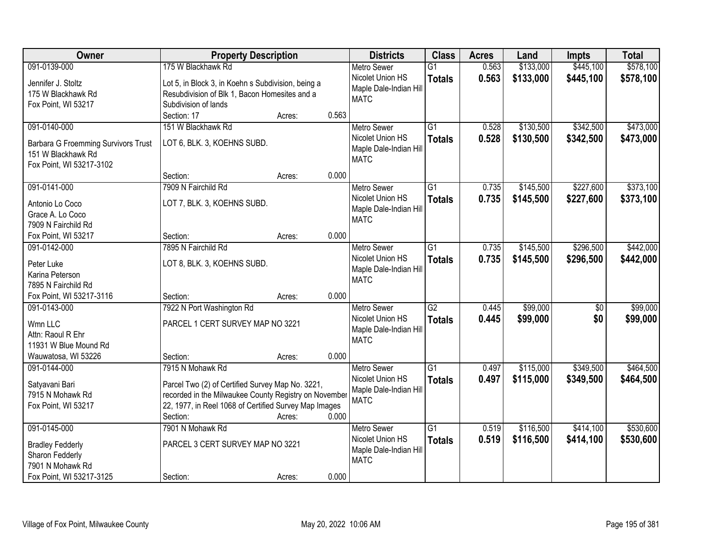| Owner                                      | <b>Property Description</b>                           |        |       | <b>Districts</b>                      | <b>Class</b>    | <b>Acres</b> | Land      | <b>Impts</b>    | <b>Total</b> |
|--------------------------------------------|-------------------------------------------------------|--------|-------|---------------------------------------|-----------------|--------------|-----------|-----------------|--------------|
| 091-0139-000                               | 175 W Blackhawk Rd                                    |        |       | <b>Metro Sewer</b>                    | $\overline{G1}$ | 0.563        | \$133,000 | \$445,100       | \$578,100    |
| Jennifer J. Stoltz                         | Lot 5, in Block 3, in Koehn s Subdivision, being a    |        |       | Nicolet Union HS                      | <b>Totals</b>   | 0.563        | \$133,000 | \$445,100       | \$578,100    |
| 175 W Blackhawk Rd                         | Resubdivision of Blk 1, Bacon Homesites and a         |        |       | Maple Dale-Indian Hill                |                 |              |           |                 |              |
| Fox Point, WI 53217                        | Subdivision of lands                                  |        |       | <b>MATC</b>                           |                 |              |           |                 |              |
|                                            | Section: 17                                           | Acres: | 0.563 |                                       |                 |              |           |                 |              |
| 091-0140-000                               | 151 W Blackhawk Rd                                    |        |       | <b>Metro Sewer</b>                    | $\overline{G1}$ | 0.528        | \$130,500 | \$342,500       | \$473,000    |
|                                            |                                                       |        |       | Nicolet Union HS                      | <b>Totals</b>   | 0.528        | \$130,500 | \$342,500       | \$473,000    |
| <b>Barbara G Froemming Survivors Trust</b> | LOT 6, BLK. 3, KOEHNS SUBD.                           |        |       | Maple Dale-Indian Hill                |                 |              |           |                 |              |
| 151 W Blackhawk Rd                         |                                                       |        |       | <b>MATC</b>                           |                 |              |           |                 |              |
| Fox Point, WI 53217-3102                   |                                                       |        | 0.000 |                                       |                 |              |           |                 |              |
|                                            | Section:                                              | Acres: |       |                                       |                 |              |           |                 |              |
| 091-0141-000                               | 7909 N Fairchild Rd                                   |        |       | Metro Sewer                           | $\overline{G1}$ | 0.735        | \$145,500 | \$227,600       | \$373,100    |
| Antonio Lo Coco                            | LOT 7, BLK. 3, KOEHNS SUBD.                           |        |       | Nicolet Union HS                      | <b>Totals</b>   | 0.735        | \$145,500 | \$227,600       | \$373,100    |
| Grace A. Lo Coco                           |                                                       |        |       | Maple Dale-Indian Hill                |                 |              |           |                 |              |
| 7909 N Fairchild Rd                        |                                                       |        |       | <b>MATC</b>                           |                 |              |           |                 |              |
| Fox Point, WI 53217                        | Section:                                              | Acres: | 0.000 |                                       |                 |              |           |                 |              |
| 091-0142-000                               | 7895 N Fairchild Rd                                   |        |       | <b>Metro Sewer</b>                    | $\overline{G1}$ | 0.735        | \$145,500 | \$296,500       | \$442,000    |
|                                            |                                                       |        |       | Nicolet Union HS                      | <b>Totals</b>   | 0.735        | \$145,500 | \$296,500       | \$442,000    |
| Peter Luke<br>Karina Peterson              | LOT 8, BLK. 3, KOEHNS SUBD.                           |        |       | Maple Dale-Indian Hill                |                 |              |           |                 |              |
| 7895 N Fairchild Rd                        |                                                       |        |       | <b>MATC</b>                           |                 |              |           |                 |              |
| Fox Point, WI 53217-3116                   | Section:                                              |        | 0.000 |                                       |                 |              |           |                 |              |
| 091-0143-000                               | 7922 N Port Washington Rd                             | Acres: |       | <b>Metro Sewer</b>                    | $\overline{G2}$ | 0.445        | \$99,000  | $\overline{50}$ | \$99,000     |
|                                            |                                                       |        |       | Nicolet Union HS                      |                 |              |           |                 |              |
| Wmn LLC                                    | PARCEL 1 CERT SURVEY MAP NO 3221                      |        |       |                                       | <b>Totals</b>   | 0.445        | \$99,000  | \$0             | \$99,000     |
| Attn: Raoul R Ehr                          |                                                       |        |       | Maple Dale-Indian Hill<br><b>MATC</b> |                 |              |           |                 |              |
| 11931 W Blue Mound Rd                      |                                                       |        |       |                                       |                 |              |           |                 |              |
| Wauwatosa, WI 53226                        | Section:                                              | Acres: | 0.000 |                                       |                 |              |           |                 |              |
| 091-0144-000                               | 7915 N Mohawk Rd                                      |        |       | <b>Metro Sewer</b>                    | $\overline{G1}$ | 0.497        | \$115,000 | \$349,500       | \$464,500    |
| Satyavani Bari                             | Parcel Two (2) of Certified Survey Map No. 3221,      |        |       | Nicolet Union HS                      | <b>Totals</b>   | 0.497        | \$115,000 | \$349,500       | \$464,500    |
| 7915 N Mohawk Rd                           | recorded in the Milwaukee County Registry on November |        |       | Maple Dale-Indian Hill                |                 |              |           |                 |              |
| Fox Point, WI 53217                        | 22, 1977, in Reel 1068 of Certified Survey Map Images |        |       | <b>MATC</b>                           |                 |              |           |                 |              |
|                                            | Section:                                              | Acres: | 0.000 |                                       |                 |              |           |                 |              |
| 091-0145-000                               | 7901 N Mohawk Rd                                      |        |       | <b>Metro Sewer</b>                    | $\overline{G1}$ | 0.519        | \$116,500 | \$414,100       | \$530,600    |
|                                            |                                                       |        |       | Nicolet Union HS                      | <b>Totals</b>   | 0.519        | \$116,500 | \$414,100       | \$530,600    |
| <b>Bradley Fedderly</b>                    | PARCEL 3 CERT SURVEY MAP NO 3221                      |        |       | Maple Dale-Indian Hill                |                 |              |           |                 |              |
| Sharon Fedderly                            |                                                       |        |       | <b>MATC</b>                           |                 |              |           |                 |              |
| 7901 N Mohawk Rd                           |                                                       |        |       |                                       |                 |              |           |                 |              |
| Fox Point, WI 53217-3125                   | Section:                                              | Acres: | 0.000 |                                       |                 |              |           |                 |              |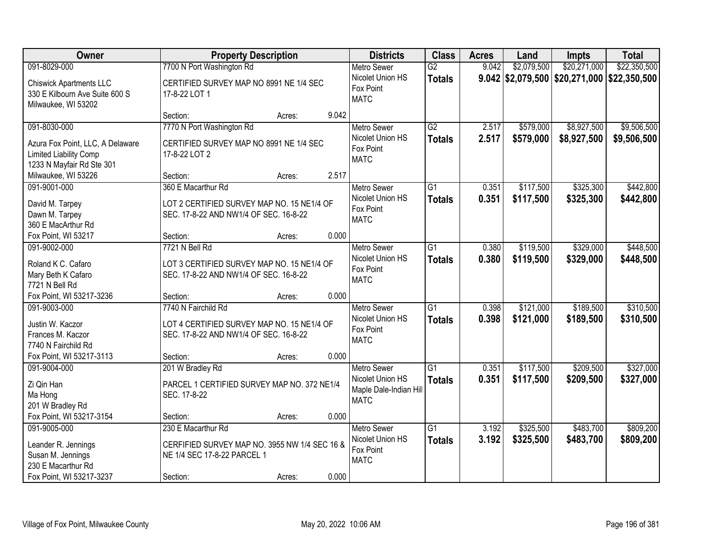| Owner                                                                                                      | <b>Property Description</b>                                                                                    |                 | <b>Districts</b>                                                                | <b>Class</b>                     | <b>Acres</b>   | Land                   | Impts                                         | <b>Total</b>               |
|------------------------------------------------------------------------------------------------------------|----------------------------------------------------------------------------------------------------------------|-----------------|---------------------------------------------------------------------------------|----------------------------------|----------------|------------------------|-----------------------------------------------|----------------------------|
| 091-8029-000                                                                                               | 7700 N Port Washington Rd                                                                                      |                 | <b>Metro Sewer</b>                                                              | $\overline{G2}$                  | 9.042          | \$2,079,500            | \$20,271,000                                  | \$22,350,500               |
| <b>Chiswick Apartments LLC</b><br>330 E Kilbourn Ave Suite 600 S<br>Milwaukee, WI 53202                    | CERTIFIED SURVEY MAP NO 8991 NE 1/4 SEC<br>17-8-22 LOT 1                                                       |                 | Nicolet Union HS<br>Fox Point<br><b>MATC</b>                                    | <b>Totals</b>                    |                |                        | $9.042$ \$2,079,500 \$20,271,000 \$22,350,500 |                            |
|                                                                                                            | Section:                                                                                                       | 9.042<br>Acres: |                                                                                 |                                  |                |                        |                                               |                            |
| 091-8030-000<br>Azura Fox Point, LLC, A Delaware<br>Limited Liability Comp<br>1233 N Mayfair Rd Ste 301    | 7770 N Port Washington Rd<br>CERTIFIED SURVEY MAP NO 8991 NE 1/4 SEC<br>17-8-22 LOT 2                          |                 | <b>Metro Sewer</b><br>Nicolet Union HS<br>Fox Point<br><b>MATC</b>              | $\overline{G2}$<br><b>Totals</b> | 2.517<br>2.517 | \$579,000<br>\$579,000 | \$8,927,500<br>\$8,927,500                    | \$9,506,500<br>\$9,506,500 |
| Milwaukee, WI 53226                                                                                        | Section:                                                                                                       | 2.517<br>Acres: |                                                                                 |                                  |                |                        |                                               |                            |
| 091-9001-000<br>David M. Tarpey<br>Dawn M. Tarpey<br>360 E MacArthur Rd                                    | 360 E Macarthur Rd<br>LOT 2 CERTIFIED SURVEY MAP NO. 15 NE1/4 OF<br>SEC. 17-8-22 AND NW1/4 OF SEC. 16-8-22     |                 | <b>Metro Sewer</b><br>Nicolet Union HS<br>Fox Point<br><b>MATC</b>              | G1<br><b>Totals</b>              | 0.351<br>0.351 | \$117,500<br>\$117,500 | \$325,300<br>\$325,300                        | \$442,800<br>\$442,800     |
| Fox Point, WI 53217                                                                                        | Section:                                                                                                       | 0.000<br>Acres: |                                                                                 |                                  |                |                        |                                               |                            |
| 091-9002-000<br>Roland K C. Cafaro<br>Mary Beth K Cafaro<br>7721 N Bell Rd                                 | 7721 N Bell Rd<br>LOT 3 CERTIFIED SURVEY MAP NO. 15 NE1/4 OF<br>SEC. 17-8-22 AND NW1/4 OF SEC. 16-8-22         |                 | <b>Metro Sewer</b><br>Nicolet Union HS<br>Fox Point<br><b>MATC</b>              | $\overline{G1}$<br><b>Totals</b> | 0.380<br>0.380 | \$119,500<br>\$119,500 | \$329,000<br>\$329,000                        | \$448,500<br>\$448,500     |
| Fox Point, WI 53217-3236                                                                                   | Section:                                                                                                       | 0.000<br>Acres: |                                                                                 |                                  |                |                        |                                               |                            |
| 091-9003-000<br>Justin W. Kaczor<br>Frances M. Kaczor<br>7740 N Fairchild Rd                               | 7740 N Fairchild Rd<br>LOT 4 CERTIFIED SURVEY MAP NO. 15 NE1/4 OF<br>SEC. 17-8-22 AND NW1/4 OF SEC. 16-8-22    |                 | <b>Metro Sewer</b><br>Nicolet Union HS<br>Fox Point<br><b>MATC</b>              | $\overline{G1}$<br><b>Totals</b> | 0.398<br>0.398 | \$121,000<br>\$121,000 | \$189,500<br>\$189,500                        | \$310,500<br>\$310,500     |
| Fox Point, WI 53217-3113                                                                                   | Section:                                                                                                       | 0.000<br>Acres: |                                                                                 |                                  |                |                        |                                               |                            |
| 091-9004-000<br>Zi Qin Han<br>Ma Hong<br>201 W Bradley Rd                                                  | 201 W Bradley Rd<br>PARCEL 1 CERTIFIED SURVEY MAP NO. 372 NE1/4<br>SEC. 17-8-22                                |                 | <b>Metro Sewer</b><br>Nicolet Union HS<br>Maple Dale-Indian Hill<br><b>MATC</b> | $\overline{G1}$<br><b>Totals</b> | 0.351<br>0.351 | \$117,500<br>\$117,500 | \$209,500<br>\$209,500                        | \$327,000<br>\$327,000     |
| Fox Point, WI 53217-3154                                                                                   | Section:                                                                                                       | 0.000<br>Acres: |                                                                                 |                                  |                |                        |                                               |                            |
| 091-9005-000<br>Leander R. Jennings<br>Susan M. Jennings<br>230 E Macarthur Rd<br>Fox Point, WI 53217-3237 | 230 E Macarthur Rd<br>CERFIFIED SURVEY MAP NO. 3955 NW 1/4 SEC 16 &<br>NE 1/4 SEC 17-8-22 PARCEL 1<br>Section: | 0.000<br>Acres: | <b>Metro Sewer</b><br>Nicolet Union HS<br>Fox Point<br><b>MATC</b>              | $\overline{G1}$<br><b>Totals</b> | 3.192<br>3.192 | \$325,500<br>\$325,500 | \$483,700<br>\$483,700                        | \$809,200<br>\$809,200     |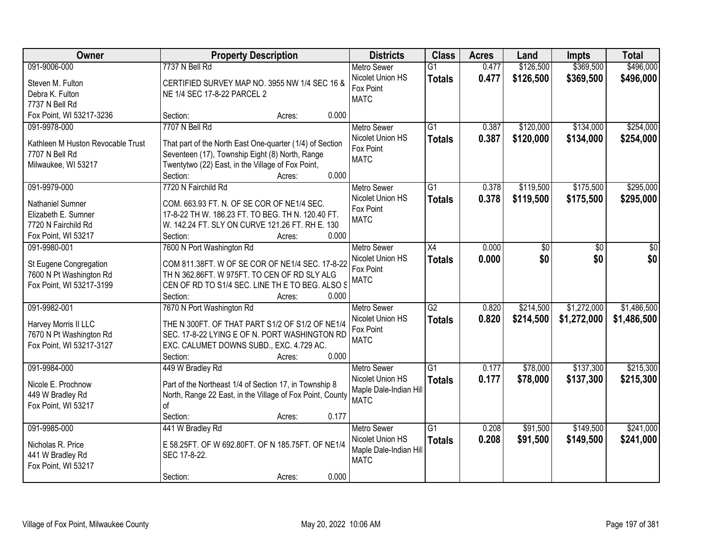| <b>Owner</b>                      | <b>Property Description</b>                               | <b>Districts</b>              | <b>Class</b>    | <b>Acres</b> | Land      | <b>Impts</b> | <b>Total</b> |
|-----------------------------------|-----------------------------------------------------------|-------------------------------|-----------------|--------------|-----------|--------------|--------------|
| 091-9006-000                      | 7737 N Bell Rd                                            | <b>Metro Sewer</b>            | $\overline{G1}$ | 0.477        | \$126,500 | \$369,500    | \$496,000    |
| Steven M. Fulton                  | CERTIFIED SURVEY MAP NO. 3955 NW 1/4 SEC 16 &             | Nicolet Union HS<br>Fox Point | <b>Totals</b>   | 0.477        | \$126,500 | \$369,500    | \$496,000    |
| Debra K. Fulton                   | NE 1/4 SEC 17-8-22 PARCEL 2                               | <b>MATC</b>                   |                 |              |           |              |              |
| 7737 N Bell Rd                    |                                                           |                               |                 |              |           |              |              |
| Fox Point, WI 53217-3236          | 0.000<br>Section:<br>Acres:                               |                               |                 |              |           |              |              |
| 091-9978-000                      | 7707 N Bell Rd                                            | <b>Metro Sewer</b>            | $\overline{G1}$ | 0.387        | \$120,000 | \$134,000    | \$254,000    |
| Kathleen M Huston Revocable Trust | That part of the North East One-quarter (1/4) of Section  | Nicolet Union HS              | <b>Totals</b>   | 0.387        | \$120,000 | \$134,000    | \$254,000    |
| 7707 N Bell Rd                    | Seventeen (17), Township Eight (8) North, Range           | Fox Point                     |                 |              |           |              |              |
| Milwaukee, WI 53217               | Twentytwo (22) East, in the Village of Fox Point,         | <b>MATC</b>                   |                 |              |           |              |              |
|                                   | 0.000<br>Section:<br>Acres:                               |                               |                 |              |           |              |              |
| 091-9979-000                      | 7720 N Fairchild Rd                                       | Metro Sewer                   | $\overline{G1}$ | 0.378        | \$119,500 | \$175,500    | \$295,000    |
| Nathaniel Sumner                  | COM. 663.93 FT. N. OF SE COR OF NE1/4 SEC.                | Nicolet Union HS              | <b>Totals</b>   | 0.378        | \$119,500 | \$175,500    | \$295,000    |
| Elizabeth E. Sumner               | 17-8-22 TH W. 186.23 FT. TO BEG. TH N. 120.40 FT.         | Fox Point                     |                 |              |           |              |              |
| 7720 N Fairchild Rd               | W. 142.24 FT. SLY ON CURVE 121.26 FT. RH E. 130           | <b>MATC</b>                   |                 |              |           |              |              |
| Fox Point, WI 53217               | Section:<br>0.000<br>Acres:                               |                               |                 |              |           |              |              |
| 091-9980-001                      | 7600 N Port Washington Rd                                 | <b>Metro Sewer</b>            | X4              | 0.000        | \$0       | \$0          | \$0          |
|                                   |                                                           | Nicolet Union HS              | <b>Totals</b>   | 0.000        | \$0       | \$0          | \$0          |
| St Eugene Congregation            | COM 811.38FT. W OF SE COR OF NE1/4 SEC. 17-8-22           | Fox Point                     |                 |              |           |              |              |
| 7600 N Pt Washington Rd           | TH N 362.86FT. W 975FT. TO CEN OF RD SLY ALG              | <b>MATC</b>                   |                 |              |           |              |              |
| Fox Point, WI 53217-3199          | CEN OF RD TO S1/4 SEC. LINE TH E TO BEG. ALSO S           |                               |                 |              |           |              |              |
|                                   | Section:<br>0.000<br>Acres:                               |                               |                 |              |           |              |              |
| 091-9982-001                      | 7670 N Port Washington Rd                                 | <b>Metro Sewer</b>            | $\overline{G2}$ | 0.820        | \$214,500 | \$1,272,000  | \$1,486,500  |
| Harvey Morris II LLC              | THE N 300FT. OF THAT PART S1/2 OF S1/2 OF NE1/4           | Nicolet Union HS              | <b>Totals</b>   | 0.820        | \$214,500 | \$1,272,000  | \$1,486,500  |
| 7670 N Pt Washington Rd           | SEC. 17-8-22 LYING E OF N. PORT WASHINGTON RD             | Fox Point                     |                 |              |           |              |              |
| Fox Point, WI 53217-3127          | EXC. CALUMET DOWNS SUBD., EXC. 4.729 AC.                  | <b>MATC</b>                   |                 |              |           |              |              |
|                                   | Section:<br>0.000<br>Acres:                               |                               |                 |              |           |              |              |
| 091-9984-000                      | 449 W Bradley Rd                                          | Metro Sewer                   | G1              | 0.177        | \$78,000  | \$137,300    | \$215,300    |
| Nicole E. Prochnow                | Part of the Northeast 1/4 of Section 17, in Township 8    | Nicolet Union HS              | <b>Totals</b>   | 0.177        | \$78,000  | \$137,300    | \$215,300    |
| 449 W Bradley Rd                  | North, Range 22 East, in the Village of Fox Point, County | Maple Dale-Indian Hill        |                 |              |           |              |              |
| Fox Point, WI 53217               | of                                                        | <b>MATC</b>                   |                 |              |           |              |              |
|                                   | 0.177<br>Section:<br>Acres:                               |                               |                 |              |           |              |              |
| 091-9985-000                      | 441 W Bradley Rd                                          | <b>Metro Sewer</b>            | $\overline{G1}$ | 0.208        | \$91,500  | \$149,500    | \$241,000    |
|                                   |                                                           | Nicolet Union HS              | <b>Totals</b>   | 0.208        | \$91,500  | \$149,500    | \$241,000    |
| Nicholas R. Price                 | E 58.25FT. OF W 692.80FT. OF N 185.75FT. OF NE1/4         | Maple Dale-Indian Hill        |                 |              |           |              |              |
| 441 W Bradley Rd                  | SEC 17-8-22.                                              | <b>MATC</b>                   |                 |              |           |              |              |
| Fox Point, WI 53217               | 0.000                                                     |                               |                 |              |           |              |              |
|                                   | Section:<br>Acres:                                        |                               |                 |              |           |              |              |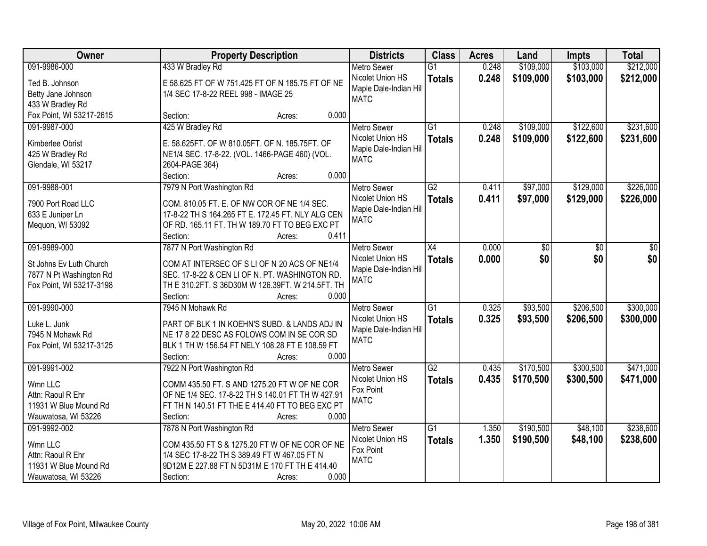| Owner                                | <b>Property Description</b>                       | <b>Districts</b>                      | <b>Class</b>    | <b>Acres</b> | Land      | <b>Impts</b> | <b>Total</b> |
|--------------------------------------|---------------------------------------------------|---------------------------------------|-----------------|--------------|-----------|--------------|--------------|
| 091-9986-000                         | 433 W Bradley Rd                                  | <b>Metro Sewer</b>                    | $\overline{G1}$ | 0.248        | \$109,000 | \$103,000    | \$212,000    |
| Ted B. Johnson                       | E 58.625 FT OF W 751.425 FT OF N 185.75 FT OF NE  | Nicolet Union HS                      | <b>Totals</b>   | 0.248        | \$109,000 | \$103,000    | \$212,000    |
| Betty Jane Johnson                   | 1/4 SEC 17-8-22 REEL 998 - IMAGE 25               | Maple Dale-Indian Hill                |                 |              |           |              |              |
| 433 W Bradley Rd                     |                                                   | <b>MATC</b>                           |                 |              |           |              |              |
| Fox Point, WI 53217-2615             | 0.000<br>Section:<br>Acres:                       |                                       |                 |              |           |              |              |
| 091-9987-000                         | 425 W Bradley Rd                                  | <b>Metro Sewer</b>                    | $\overline{G1}$ | 0.248        | \$109,000 | \$122,600    | \$231,600    |
|                                      | E. 58.625FT. OF W 810.05FT. OF N. 185.75FT. OF    | Nicolet Union HS                      | <b>Totals</b>   | 0.248        | \$109,000 | \$122,600    | \$231,600    |
| Kimberlee Obrist<br>425 W Bradley Rd | NE1/4 SEC. 17-8-22. (VOL. 1466-PAGE 460) (VOL.    | Maple Dale-Indian Hill                |                 |              |           |              |              |
| Glendale, WI 53217                   | 2604-PAGE 364)                                    | <b>MATC</b>                           |                 |              |           |              |              |
|                                      | 0.000<br>Section:<br>Acres:                       |                                       |                 |              |           |              |              |
| 091-9988-001                         | 7979 N Port Washington Rd                         | <b>Metro Sewer</b>                    | $\overline{G2}$ | 0.411        | \$97,000  | \$129,000    | \$226,000    |
|                                      |                                                   | Nicolet Union HS                      | <b>Totals</b>   | 0.411        | \$97,000  | \$129,000    | \$226,000    |
| 7900 Port Road LLC                   | COM. 810.05 FT. E. OF NW COR OF NE 1/4 SEC.       | Maple Dale-Indian Hill                |                 |              |           |              |              |
| 633 E Juniper Ln                     | 17-8-22 TH S 164.265 FT E. 172.45 FT. NLY ALG CEN | <b>MATC</b>                           |                 |              |           |              |              |
| Mequon, WI 53092                     | OF RD. 165.11 FT. TH W 189.70 FT TO BEG EXC PT    |                                       |                 |              |           |              |              |
|                                      | Section:<br>0.411<br>Acres:                       |                                       |                 |              |           |              |              |
| 091-9989-000                         | 7877 N Port Washington Rd                         | <b>Metro Sewer</b>                    | $\overline{X4}$ | 0.000        | \$0       | \$0          | \$0          |
| St Johns Ev Luth Church              | COM AT INTERSEC OF S LI OF N 20 ACS OF NE1/4      | Nicolet Union HS                      | <b>Totals</b>   | 0.000        | \$0       | \$0          | \$0          |
| 7877 N Pt Washington Rd              | SEC. 17-8-22 & CEN LI OF N. PT. WASHINGTON RD.    | Maple Dale-Indian Hill<br><b>MATC</b> |                 |              |           |              |              |
| Fox Point, WI 53217-3198             | TH E 310.2FT. S 36D30M W 126.39FT. W 214.5FT. TH  |                                       |                 |              |           |              |              |
|                                      | 0.000<br>Section:<br>Acres:                       |                                       |                 |              |           |              |              |
| 091-9990-000                         | 7945 N Mohawk Rd                                  | <b>Metro Sewer</b>                    | $\overline{G1}$ | 0.325        | \$93,500  | \$206,500    | \$300,000    |
| Luke L. Junk                         | PART OF BLK 1 IN KOEHN'S SUBD. & LANDS ADJ IN     | Nicolet Union HS                      | <b>Totals</b>   | 0.325        | \$93,500  | \$206,500    | \$300,000    |
| 7945 N Mohawk Rd                     | NE 17 8 22 DESC AS FOLOWS COM IN SE COR SD        | Maple Dale-Indian Hill                |                 |              |           |              |              |
| Fox Point, WI 53217-3125             | BLK 1 TH W 156.54 FT NELY 108.28 FT E 108.59 FT   | <b>MATC</b>                           |                 |              |           |              |              |
|                                      | Section:<br>0.000<br>Acres:                       |                                       |                 |              |           |              |              |
| 091-9991-002                         | 7922 N Port Washington Rd                         | <b>Metro Sewer</b>                    | $\overline{G2}$ | 0.435        | \$170,500 | \$300,500    | \$471,000    |
| Wmn LLC                              | COMM 435.50 FT. S AND 1275.20 FT W OF NE COR      | Nicolet Union HS                      | <b>Totals</b>   | 0.435        | \$170,500 | \$300,500    | \$471,000    |
| Attn: Raoul R Ehr                    | OF NE 1/4 SEC. 17-8-22 TH S 140.01 FT TH W 427.91 | Fox Point                             |                 |              |           |              |              |
| 11931 W Blue Mound Rd                | FT TH N 140.51 FT THE E 414.40 FT TO BEG EXC PT   | <b>MATC</b>                           |                 |              |           |              |              |
| Wauwatosa, WI 53226                  | 0.000<br>Section:<br>Acres:                       |                                       |                 |              |           |              |              |
| 091-9992-002                         | 7878 N Port Washington Rd                         | <b>Metro Sewer</b>                    | $\overline{G1}$ | 1.350        | \$190,500 | \$48,100     | \$238,600    |
|                                      |                                                   | Nicolet Union HS                      | <b>Totals</b>   | 1.350        | \$190,500 | \$48,100     | \$238,600    |
| Wmn LLC                              | COM 435.50 FT S & 1275.20 FT W OF NE COR OF NE    | Fox Point                             |                 |              |           |              |              |
| Attn: Raoul R Ehr                    | 1/4 SEC 17-8-22 TH S 389.49 FT W 467.05 FT N      | <b>MATC</b>                           |                 |              |           |              |              |
| 11931 W Blue Mound Rd                | 9D12M E 227.88 FT N 5D31M E 170 FT TH E 414.40    |                                       |                 |              |           |              |              |
| Wauwatosa, WI 53226                  | 0.000<br>Section:<br>Acres:                       |                                       |                 |              |           |              |              |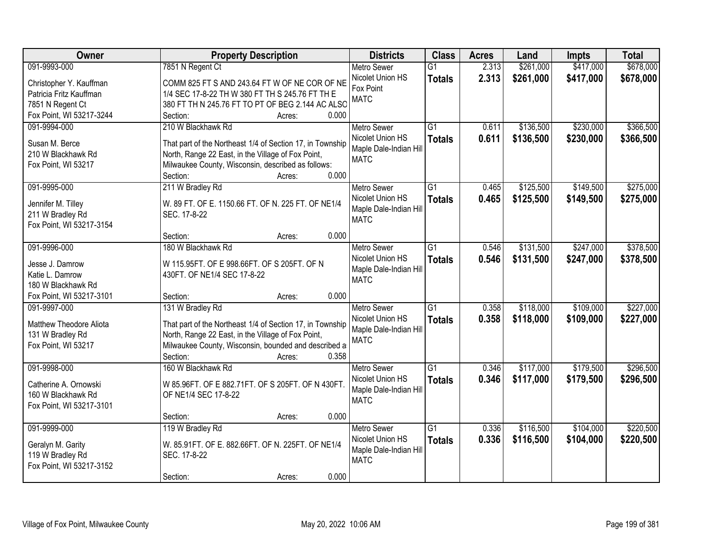| Owner                    | <b>Property Description</b>                                 | <b>Districts</b>                      | <b>Class</b>    | <b>Acres</b> | Land      | <b>Impts</b> | <b>Total</b> |
|--------------------------|-------------------------------------------------------------|---------------------------------------|-----------------|--------------|-----------|--------------|--------------|
| 091-9993-000             | 7851 N Regent Ct                                            | <b>Metro Sewer</b>                    | $\overline{G1}$ | 2.313        | \$261,000 | \$417,000    | \$678,000    |
| Christopher Y. Kauffman  | COMM 825 FT S AND 243.64 FT W OF NE COR OF NE               | Nicolet Union HS                      | <b>Totals</b>   | 2.313        | \$261,000 | \$417,000    | \$678,000    |
| Patricia Fritz Kauffman  | 1/4 SEC 17-8-22 TH W 380 FT TH S 245.76 FT TH E             | Fox Point                             |                 |              |           |              |              |
| 7851 N Regent Ct         | 380 FT TH N 245.76 FT TO PT OF BEG 2.144 AC ALSO            | <b>MATC</b>                           |                 |              |           |              |              |
| Fox Point, WI 53217-3244 | 0.000<br>Section:<br>Acres:                                 |                                       |                 |              |           |              |              |
| 091-9994-000             | 210 W Blackhawk Rd                                          | <b>Metro Sewer</b>                    | $\overline{G1}$ | 0.611        | \$136,500 | \$230,000    | \$366,500    |
|                          |                                                             | Nicolet Union HS                      | <b>Totals</b>   | 0.611        | \$136,500 | \$230,000    | \$366,500    |
| Susan M. Berce           | That part of the Northeast 1/4 of Section 17, in Township   | Maple Dale-Indian Hill                |                 |              |           |              |              |
| 210 W Blackhawk Rd       | North, Range 22 East, in the Village of Fox Point,          | <b>MATC</b>                           |                 |              |           |              |              |
| Fox Point, WI 53217      | Milwaukee County, Wisconsin, described as follows:<br>0.000 |                                       |                 |              |           |              |              |
|                          | Section:<br>Acres:                                          |                                       |                 |              |           |              |              |
| 091-9995-000             | 211 W Bradley Rd                                            | Metro Sewer                           | G1              | 0.465        | \$125,500 | \$149,500    | \$275,000    |
| Jennifer M. Tilley       | W. 89 FT. OF E. 1150.66 FT. OF N. 225 FT. OF NE1/4          | Nicolet Union HS                      | <b>Totals</b>   | 0.465        | \$125,500 | \$149,500    | \$275,000    |
| 211 W Bradley Rd         | SEC. 17-8-22                                                | Maple Dale-Indian Hill<br><b>MATC</b> |                 |              |           |              |              |
| Fox Point, WI 53217-3154 |                                                             |                                       |                 |              |           |              |              |
|                          | 0.000<br>Section:<br>Acres:                                 |                                       |                 |              |           |              |              |
| 091-9996-000             | 180 W Blackhawk Rd                                          | <b>Metro Sewer</b>                    | $\overline{G1}$ | 0.546        | \$131,500 | \$247,000    | \$378,500    |
| Jesse J. Damrow          | W 115.95FT. OF E 998.66FT. OF S 205FT. OF N                 | Nicolet Union HS                      | <b>Totals</b>   | 0.546        | \$131,500 | \$247,000    | \$378,500    |
| Katie L. Damrow          | 430FT. OF NE1/4 SEC 17-8-22                                 | Maple Dale-Indian Hill                |                 |              |           |              |              |
| 180 W Blackhawk Rd       |                                                             | <b>MATC</b>                           |                 |              |           |              |              |
| Fox Point, WI 53217-3101 | 0.000<br>Section:<br>Acres:                                 |                                       |                 |              |           |              |              |
| 091-9997-000             | 131 W Bradley Rd                                            | Metro Sewer                           | $\overline{G1}$ | 0.358        | \$118,000 | \$109,000    | \$227,000    |
|                          |                                                             | Nicolet Union HS                      | <b>Totals</b>   | 0.358        | \$118,000 | \$109,000    | \$227,000    |
| Matthew Theodore Aliota  | That part of the Northeast 1/4 of Section 17, in Township   | Maple Dale-Indian Hill                |                 |              |           |              |              |
| 131 W Bradley Rd         | North, Range 22 East, in the Village of Fox Point,          | <b>MATC</b>                           |                 |              |           |              |              |
| Fox Point, WI 53217      | Milwaukee County, Wisconsin, bounded and described a        |                                       |                 |              |           |              |              |
|                          | Section:<br>0.358<br>Acres:                                 |                                       |                 |              |           |              |              |
| 091-9998-000             | 160 W Blackhawk Rd                                          | Metro Sewer                           | $\overline{G1}$ | 0.346        | \$117,000 | \$179,500    | \$296,500    |
| Catherine A. Ornowski    | W 85.96FT. OF E 882.71FT. OF S 205FT. OF N 430FT.           | Nicolet Union HS                      | <b>Totals</b>   | 0.346        | \$117,000 | \$179,500    | \$296,500    |
| 160 W Blackhawk Rd       | OF NE1/4 SEC 17-8-22                                        | Maple Dale-Indian Hill                |                 |              |           |              |              |
| Fox Point, WI 53217-3101 |                                                             | <b>MATC</b>                           |                 |              |           |              |              |
|                          | 0.000<br>Section:<br>Acres:                                 |                                       |                 |              |           |              |              |
| 091-9999-000             | 119 W Bradley Rd                                            | <b>Metro Sewer</b>                    | $\overline{G1}$ | 0.336        | \$116,500 | \$104,000    | \$220,500    |
| Geralyn M. Garity        | W. 85.91FT. OF E. 882.66FT. OF N. 225FT. OF NE1/4           | Nicolet Union HS                      | <b>Totals</b>   | 0.336        | \$116,500 | \$104,000    | \$220,500    |
| 119 W Bradley Rd         | SEC. 17-8-22                                                | Maple Dale-Indian Hill                |                 |              |           |              |              |
| Fox Point, WI 53217-3152 |                                                             | <b>MATC</b>                           |                 |              |           |              |              |
|                          | 0.000<br>Section:<br>Acres:                                 |                                       |                 |              |           |              |              |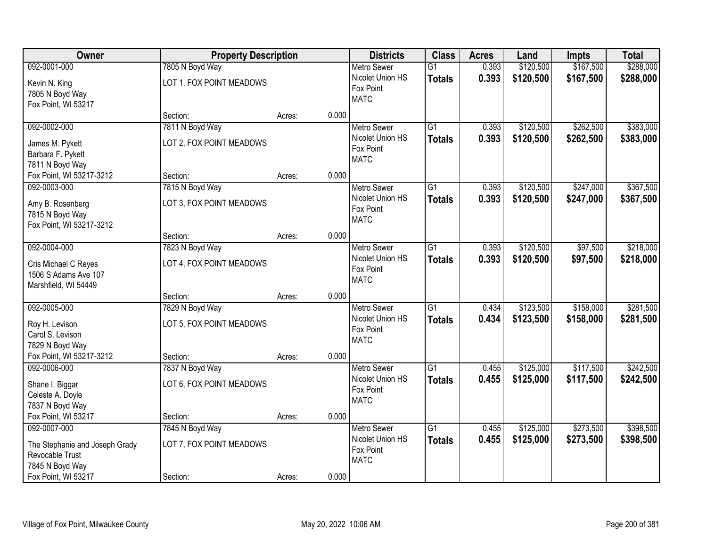| \$167,500<br>092-0001-000<br>7805 N Boyd Way<br>0.393<br>\$120,500<br><b>Metro Sewer</b><br>$\overline{G1}$<br>Nicolet Union HS<br>0.393<br>\$120,500<br>\$167,500<br><b>Totals</b><br>LOT 1, FOX POINT MEADOWS<br>Kevin N. King<br>Fox Point<br>7805 N Boyd Way<br><b>MATC</b><br>Fox Point, WI 53217<br>0.000<br>Section:<br>Acres:<br>092-0002-000<br>7811 N Boyd Way<br>$\overline{G1}$<br>\$120,500<br>\$262,500<br>0.393<br><b>Metro Sewer</b><br>0.393<br>Nicolet Union HS<br>\$120,500<br>\$262,500<br><b>Totals</b><br>LOT 2, FOX POINT MEADOWS<br>James M. Pykett<br>Fox Point<br>Barbara F. Pykett<br><b>MATC</b><br>7811 N Boyd Way<br>0.000<br>Fox Point, WI 53217-3212<br>Section:<br>Acres:<br>\$120,500<br>\$247,000<br>092-0003-000<br>7815 N Boyd Way<br>G1<br>0.393<br><b>Metro Sewer</b><br>Nicolet Union HS<br>0.393<br>\$120,500<br>\$247,000<br><b>Totals</b><br>LOT 3, FOX POINT MEADOWS<br>Amy B. Rosenberg<br>Fox Point<br>7815 N Boyd Way<br><b>MATC</b><br>Fox Point, WI 53217-3212<br>0.000<br>Section:<br>Acres:<br>092-0004-000<br>7823 N Boyd Way<br>\$120,500<br>\$97,500<br><b>Metro Sewer</b><br>G1<br>0.393<br>Nicolet Union HS<br>0.393<br>\$120,500<br>\$97,500<br><b>Totals</b><br>LOT 4, FOX POINT MEADOWS<br>Cris Michael C Reyes<br>Fox Point<br>1506 S Adams Ave 107<br><b>MATC</b><br>Marshfield, WI 54449<br>0.000<br>Section:<br>Acres:<br>\$123,500<br>\$158,000<br>092-0005-000<br>7829 N Boyd Way<br>$\overline{G1}$<br>0.434<br><b>Metro Sewer</b><br>Nicolet Union HS<br>0.434<br>\$123,500<br>\$158,000<br><b>Totals</b><br>LOT 5, FOX POINT MEADOWS<br>Roy H. Levison<br>Fox Point<br>Carol S. Levison<br><b>MATC</b><br>7829 N Boyd Way<br>Fox Point, WI 53217-3212<br>0.000<br>Section:<br>Acres:<br>092-0006-000<br>$\overline{G1}$<br>\$125,000<br>\$117,500<br>7837 N Boyd Way<br>Metro Sewer<br>0.455<br>Nicolet Union HS<br>0.455<br>\$125,000<br>\$117,500<br><b>Totals</b><br>LOT 6, FOX POINT MEADOWS<br>Shane I. Biggar<br>Fox Point<br>Celeste A. Doyle<br><b>MATC</b><br>7837 N Boyd Way<br>0.000<br>Fox Point, WI 53217<br>Section:<br>Acres:<br>092-0007-000<br>7845 N Boyd Way<br>$\overline{G1}$<br>\$125,000<br>\$273,500<br><b>Metro Sewer</b><br>0.455<br>Nicolet Union HS<br>0.455<br>\$125,000<br>\$273,500<br><b>Totals</b><br>LOT 7, FOX POINT MEADOWS<br>The Stephanie and Joseph Grady<br>Fox Point<br>Revocable Trust<br><b>MATC</b><br>7845 N Boyd Way | Owner               | <b>Property Description</b> |       | <b>Districts</b> | <b>Class</b> | <b>Acres</b> | Land | <b>Impts</b> | <b>Total</b>           |
|-----------------------------------------------------------------------------------------------------------------------------------------------------------------------------------------------------------------------------------------------------------------------------------------------------------------------------------------------------------------------------------------------------------------------------------------------------------------------------------------------------------------------------------------------------------------------------------------------------------------------------------------------------------------------------------------------------------------------------------------------------------------------------------------------------------------------------------------------------------------------------------------------------------------------------------------------------------------------------------------------------------------------------------------------------------------------------------------------------------------------------------------------------------------------------------------------------------------------------------------------------------------------------------------------------------------------------------------------------------------------------------------------------------------------------------------------------------------------------------------------------------------------------------------------------------------------------------------------------------------------------------------------------------------------------------------------------------------------------------------------------------------------------------------------------------------------------------------------------------------------------------------------------------------------------------------------------------------------------------------------------------------------------------------------------------------------------------------------------------------------------------------------------------------------------------------------------------------------------------------------------------------------------------------------------------------------------------------------------------------------------------------------------------------------------------------|---------------------|-----------------------------|-------|------------------|--------------|--------------|------|--------------|------------------------|
|                                                                                                                                                                                                                                                                                                                                                                                                                                                                                                                                                                                                                                                                                                                                                                                                                                                                                                                                                                                                                                                                                                                                                                                                                                                                                                                                                                                                                                                                                                                                                                                                                                                                                                                                                                                                                                                                                                                                                                                                                                                                                                                                                                                                                                                                                                                                                                                                                                         |                     |                             |       |                  |              |              |      |              | \$288,000              |
|                                                                                                                                                                                                                                                                                                                                                                                                                                                                                                                                                                                                                                                                                                                                                                                                                                                                                                                                                                                                                                                                                                                                                                                                                                                                                                                                                                                                                                                                                                                                                                                                                                                                                                                                                                                                                                                                                                                                                                                                                                                                                                                                                                                                                                                                                                                                                                                                                                         |                     |                             |       |                  |              |              |      |              | \$288,000              |
|                                                                                                                                                                                                                                                                                                                                                                                                                                                                                                                                                                                                                                                                                                                                                                                                                                                                                                                                                                                                                                                                                                                                                                                                                                                                                                                                                                                                                                                                                                                                                                                                                                                                                                                                                                                                                                                                                                                                                                                                                                                                                                                                                                                                                                                                                                                                                                                                                                         |                     |                             |       |                  |              |              |      |              |                        |
|                                                                                                                                                                                                                                                                                                                                                                                                                                                                                                                                                                                                                                                                                                                                                                                                                                                                                                                                                                                                                                                                                                                                                                                                                                                                                                                                                                                                                                                                                                                                                                                                                                                                                                                                                                                                                                                                                                                                                                                                                                                                                                                                                                                                                                                                                                                                                                                                                                         |                     |                             |       |                  |              |              |      |              | \$383,000<br>\$383,000 |
|                                                                                                                                                                                                                                                                                                                                                                                                                                                                                                                                                                                                                                                                                                                                                                                                                                                                                                                                                                                                                                                                                                                                                                                                                                                                                                                                                                                                                                                                                                                                                                                                                                                                                                                                                                                                                                                                                                                                                                                                                                                                                                                                                                                                                                                                                                                                                                                                                                         |                     |                             |       |                  |              |              |      |              |                        |
|                                                                                                                                                                                                                                                                                                                                                                                                                                                                                                                                                                                                                                                                                                                                                                                                                                                                                                                                                                                                                                                                                                                                                                                                                                                                                                                                                                                                                                                                                                                                                                                                                                                                                                                                                                                                                                                                                                                                                                                                                                                                                                                                                                                                                                                                                                                                                                                                                                         |                     |                             |       |                  |              |              |      |              | \$367,500<br>\$367,500 |
|                                                                                                                                                                                                                                                                                                                                                                                                                                                                                                                                                                                                                                                                                                                                                                                                                                                                                                                                                                                                                                                                                                                                                                                                                                                                                                                                                                                                                                                                                                                                                                                                                                                                                                                                                                                                                                                                                                                                                                                                                                                                                                                                                                                                                                                                                                                                                                                                                                         |                     |                             |       |                  |              |              |      |              |                        |
|                                                                                                                                                                                                                                                                                                                                                                                                                                                                                                                                                                                                                                                                                                                                                                                                                                                                                                                                                                                                                                                                                                                                                                                                                                                                                                                                                                                                                                                                                                                                                                                                                                                                                                                                                                                                                                                                                                                                                                                                                                                                                                                                                                                                                                                                                                                                                                                                                                         |                     |                             |       |                  |              |              |      |              | \$218,000<br>\$218,000 |
|                                                                                                                                                                                                                                                                                                                                                                                                                                                                                                                                                                                                                                                                                                                                                                                                                                                                                                                                                                                                                                                                                                                                                                                                                                                                                                                                                                                                                                                                                                                                                                                                                                                                                                                                                                                                                                                                                                                                                                                                                                                                                                                                                                                                                                                                                                                                                                                                                                         |                     |                             |       |                  |              |              |      |              |                        |
|                                                                                                                                                                                                                                                                                                                                                                                                                                                                                                                                                                                                                                                                                                                                                                                                                                                                                                                                                                                                                                                                                                                                                                                                                                                                                                                                                                                                                                                                                                                                                                                                                                                                                                                                                                                                                                                                                                                                                                                                                                                                                                                                                                                                                                                                                                                                                                                                                                         |                     |                             |       |                  |              |              |      |              | \$281,500<br>\$281,500 |
|                                                                                                                                                                                                                                                                                                                                                                                                                                                                                                                                                                                                                                                                                                                                                                                                                                                                                                                                                                                                                                                                                                                                                                                                                                                                                                                                                                                                                                                                                                                                                                                                                                                                                                                                                                                                                                                                                                                                                                                                                                                                                                                                                                                                                                                                                                                                                                                                                                         |                     |                             |       |                  |              |              |      |              |                        |
|                                                                                                                                                                                                                                                                                                                                                                                                                                                                                                                                                                                                                                                                                                                                                                                                                                                                                                                                                                                                                                                                                                                                                                                                                                                                                                                                                                                                                                                                                                                                                                                                                                                                                                                                                                                                                                                                                                                                                                                                                                                                                                                                                                                                                                                                                                                                                                                                                                         |                     |                             |       |                  |              |              |      |              | \$242,500<br>\$242,500 |
|                                                                                                                                                                                                                                                                                                                                                                                                                                                                                                                                                                                                                                                                                                                                                                                                                                                                                                                                                                                                                                                                                                                                                                                                                                                                                                                                                                                                                                                                                                                                                                                                                                                                                                                                                                                                                                                                                                                                                                                                                                                                                                                                                                                                                                                                                                                                                                                                                                         |                     |                             |       |                  |              |              |      |              |                        |
| Section:<br>Acres:                                                                                                                                                                                                                                                                                                                                                                                                                                                                                                                                                                                                                                                                                                                                                                                                                                                                                                                                                                                                                                                                                                                                                                                                                                                                                                                                                                                                                                                                                                                                                                                                                                                                                                                                                                                                                                                                                                                                                                                                                                                                                                                                                                                                                                                                                                                                                                                                                      | Fox Point, WI 53217 |                             | 0.000 |                  |              |              |      |              | \$398,500<br>\$398,500 |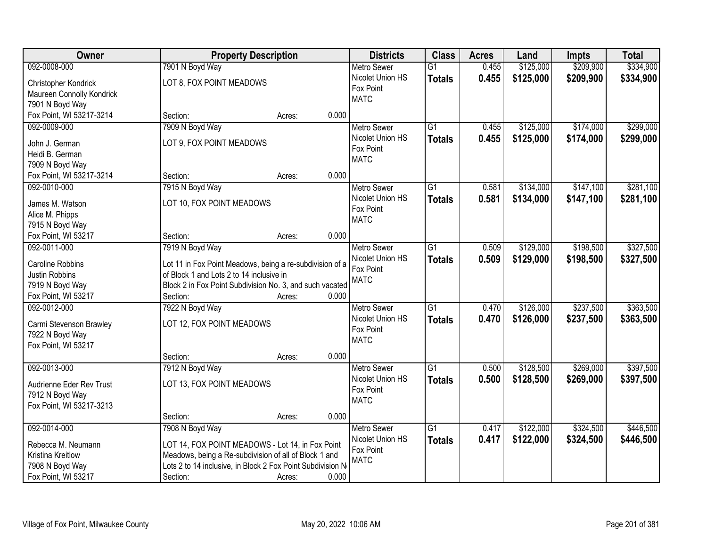| <b>Owner</b>              |                                                            | <b>Property Description</b> |       | <b>Districts</b>   | <b>Class</b>    | <b>Acres</b> | Land      | <b>Impts</b> | <b>Total</b> |
|---------------------------|------------------------------------------------------------|-----------------------------|-------|--------------------|-----------------|--------------|-----------|--------------|--------------|
| 092-0008-000              | 7901 N Boyd Way                                            |                             |       | <b>Metro Sewer</b> | $\overline{G1}$ | 0.455        | \$125,000 | \$209,900    | \$334,900    |
| Christopher Kondrick      | LOT 8, FOX POINT MEADOWS                                   |                             |       | Nicolet Union HS   | <b>Totals</b>   | 0.455        | \$125,000 | \$209,900    | \$334,900    |
| Maureen Connolly Kondrick |                                                            |                             |       | Fox Point          |                 |              |           |              |              |
| 7901 N Boyd Way           |                                                            |                             |       | <b>MATC</b>        |                 |              |           |              |              |
| Fox Point, WI 53217-3214  | Section:                                                   | Acres:                      | 0.000 |                    |                 |              |           |              |              |
| 092-0009-000              | 7909 N Boyd Way                                            |                             |       | <b>Metro Sewer</b> | $\overline{G1}$ | 0.455        | \$125,000 | \$174,000    | \$299,000    |
| John J. German            | LOT 9, FOX POINT MEADOWS                                   |                             |       | Nicolet Union HS   | <b>Totals</b>   | 0.455        | \$125,000 | \$174,000    | \$299,000    |
| Heidi B. German           |                                                            |                             |       | Fox Point          |                 |              |           |              |              |
| 7909 N Boyd Way           |                                                            |                             |       | <b>MATC</b>        |                 |              |           |              |              |
| Fox Point, WI 53217-3214  | Section:                                                   | Acres:                      | 0.000 |                    |                 |              |           |              |              |
| 092-0010-000              | 7915 N Boyd Way                                            |                             |       | <b>Metro Sewer</b> | $\overline{G1}$ | 0.581        | \$134,000 | \$147,100    | \$281,100    |
|                           |                                                            |                             |       | Nicolet Union HS   |                 |              |           |              |              |
| James M. Watson           | LOT 10, FOX POINT MEADOWS                                  |                             |       | Fox Point          | <b>Totals</b>   | 0.581        | \$134,000 | \$147,100    | \$281,100    |
| Alice M. Phipps           |                                                            |                             |       | <b>MATC</b>        |                 |              |           |              |              |
| 7915 N Boyd Way           |                                                            |                             |       |                    |                 |              |           |              |              |
| Fox Point, WI 53217       | Section:                                                   | Acres:                      | 0.000 |                    |                 |              |           |              |              |
| 092-0011-000              | 7919 N Boyd Way                                            |                             |       | <b>Metro Sewer</b> | $\overline{G1}$ | 0.509        | \$129,000 | \$198,500    | \$327,500    |
| Caroline Robbins          | Lot 11 in Fox Point Meadows, being a re-subdivision of a   |                             |       | Nicolet Union HS   | <b>Totals</b>   | 0.509        | \$129,000 | \$198,500    | \$327,500    |
| Justin Robbins            | of Block 1 and Lots 2 to 14 inclusive in                   |                             |       | Fox Point          |                 |              |           |              |              |
| 7919 N Boyd Way           | Block 2 in Fox Point Subdivision No. 3, and such vacated   |                             |       | <b>MATC</b>        |                 |              |           |              |              |
| Fox Point, WI 53217       | Section:                                                   | Acres:                      | 0.000 |                    |                 |              |           |              |              |
| 092-0012-000              | 7922 N Boyd Way                                            |                             |       | <b>Metro Sewer</b> | $\overline{G1}$ | 0.470        | \$126,000 | \$237,500    | \$363,500    |
|                           |                                                            |                             |       | Nicolet Union HS   | <b>Totals</b>   | 0.470        | \$126,000 | \$237,500    | \$363,500    |
| Carmi Stevenson Brawley   | LOT 12, FOX POINT MEADOWS                                  |                             |       | Fox Point          |                 |              |           |              |              |
| 7922 N Boyd Way           |                                                            |                             |       | <b>MATC</b>        |                 |              |           |              |              |
| Fox Point, WI 53217       |                                                            |                             |       |                    |                 |              |           |              |              |
|                           | Section:                                                   | Acres:                      | 0.000 |                    |                 |              |           |              |              |
| 092-0013-000              | 7912 N Boyd Way                                            |                             |       | Metro Sewer        | G1              | 0.500        | \$128,500 | \$269,000    | \$397,500    |
| Audrienne Eder Rev Trust  | LOT 13, FOX POINT MEADOWS                                  |                             |       | Nicolet Union HS   | <b>Totals</b>   | 0.500        | \$128,500 | \$269,000    | \$397,500    |
| 7912 N Boyd Way           |                                                            |                             |       | Fox Point          |                 |              |           |              |              |
| Fox Point, WI 53217-3213  |                                                            |                             |       | <b>MATC</b>        |                 |              |           |              |              |
|                           | Section:                                                   | Acres:                      | 0.000 |                    |                 |              |           |              |              |
| 092-0014-000              | 7908 N Boyd Way                                            |                             |       | <b>Metro Sewer</b> | $\overline{G1}$ | 0.417        | \$122,000 | \$324,500    | \$446,500    |
|                           |                                                            |                             |       | Nicolet Union HS   | <b>Totals</b>   | 0.417        | \$122,000 | \$324,500    | \$446,500    |
| Rebecca M. Neumann        | LOT 14, FOX POINT MEADOWS - Lot 14, in Fox Point           |                             |       | Fox Point          |                 |              |           |              |              |
| Kristina Kreitlow         | Meadows, being a Re-subdivision of all of Block 1 and      |                             |       | <b>MATC</b>        |                 |              |           |              |              |
| 7908 N Boyd Way           | Lots 2 to 14 inclusive, in Block 2 Fox Point Subdivision N |                             |       |                    |                 |              |           |              |              |
| Fox Point, WI 53217       | Section:                                                   | Acres:                      | 0.000 |                    |                 |              |           |              |              |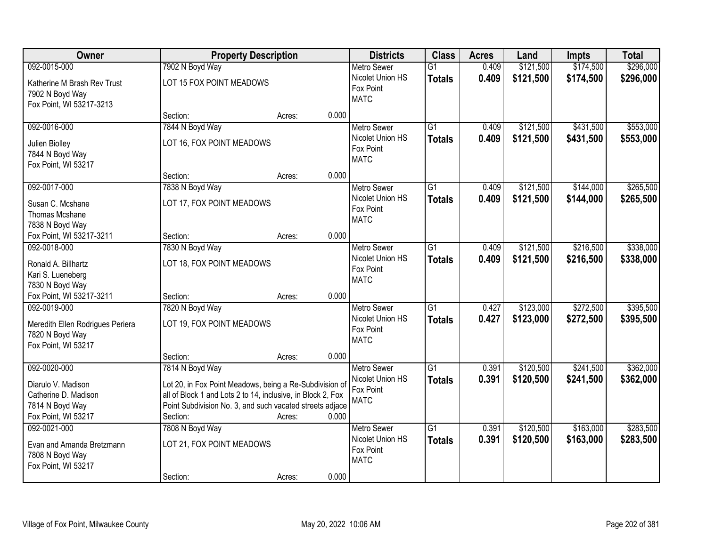| Owner                                                                                                | <b>Property Description</b>                                                                                                                                                                                       |        |       | <b>Districts</b>                                                   | <b>Class</b>                     | <b>Acres</b>   | Land                   | <b>Impts</b>           | <b>Total</b>           |
|------------------------------------------------------------------------------------------------------|-------------------------------------------------------------------------------------------------------------------------------------------------------------------------------------------------------------------|--------|-------|--------------------------------------------------------------------|----------------------------------|----------------|------------------------|------------------------|------------------------|
| 092-0015-000                                                                                         | 7902 N Boyd Way                                                                                                                                                                                                   |        |       | <b>Metro Sewer</b>                                                 | $\overline{G1}$                  | 0.409          | \$121,500              | \$174,500              | \$296,000              |
| Katherine M Brash Rev Trust<br>7902 N Boyd Way<br>Fox Point, WI 53217-3213                           | LOT 15 FOX POINT MEADOWS                                                                                                                                                                                          |        |       | Nicolet Union HS<br>Fox Point<br><b>MATC</b>                       | <b>Totals</b>                    | 0.409          | \$121,500              | \$174,500              | \$296,000              |
|                                                                                                      | Section:                                                                                                                                                                                                          | Acres: | 0.000 |                                                                    |                                  |                |                        |                        |                        |
| 092-0016-000<br>Julien Biolley<br>7844 N Boyd Way<br>Fox Point, WI 53217                             | 7844 N Boyd Way<br>LOT 16, FOX POINT MEADOWS                                                                                                                                                                      |        |       | <b>Metro Sewer</b><br>Nicolet Union HS<br>Fox Point<br><b>MATC</b> | $\overline{G1}$<br><b>Totals</b> | 0.409<br>0.409 | \$121,500<br>\$121,500 | \$431,500<br>\$431,500 | \$553,000<br>\$553,000 |
|                                                                                                      | Section:                                                                                                                                                                                                          | Acres: | 0.000 |                                                                    |                                  |                |                        |                        |                        |
| 092-0017-000<br>Susan C. Mcshane<br><b>Thomas Mcshane</b><br>7838 N Boyd Way                         | 7838 N Boyd Way<br>LOT 17, FOX POINT MEADOWS                                                                                                                                                                      |        |       | Metro Sewer<br>Nicolet Union HS<br>Fox Point<br><b>MATC</b>        | $\overline{G1}$<br><b>Totals</b> | 0.409<br>0.409 | \$121,500<br>\$121,500 | \$144,000<br>\$144,000 | \$265,500<br>\$265,500 |
| Fox Point, WI 53217-3211                                                                             | Section:                                                                                                                                                                                                          | Acres: | 0.000 |                                                                    |                                  |                |                        |                        |                        |
| 092-0018-000<br>Ronald A. Billhartz<br>Kari S. Lueneberg<br>7830 N Boyd Way                          | 7830 N Boyd Way<br>LOT 18, FOX POINT MEADOWS                                                                                                                                                                      |        |       | <b>Metro Sewer</b><br>Nicolet Union HS<br>Fox Point<br><b>MATC</b> | $\overline{G1}$<br><b>Totals</b> | 0.409<br>0.409 | \$121,500<br>\$121,500 | \$216,500<br>\$216,500 | \$338,000<br>\$338,000 |
| Fox Point, WI 53217-3211                                                                             | Section:                                                                                                                                                                                                          | Acres: | 0.000 |                                                                    |                                  |                |                        |                        |                        |
| 092-0019-000<br>Meredith Ellen Rodrigues Periera<br>7820 N Boyd Way<br>Fox Point, WI 53217           | 7820 N Boyd Way<br>LOT 19, FOX POINT MEADOWS                                                                                                                                                                      |        |       | Metro Sewer<br>Nicolet Union HS<br>Fox Point<br><b>MATC</b>        | $\overline{G1}$<br><b>Totals</b> | 0.427<br>0.427 | \$123,000<br>\$123,000 | \$272,500<br>\$272,500 | \$395,500<br>\$395,500 |
|                                                                                                      | Section:                                                                                                                                                                                                          | Acres: | 0.000 |                                                                    |                                  |                |                        |                        |                        |
| 092-0020-000<br>Diarulo V. Madison<br>Catherine D. Madison<br>7814 N Boyd Way<br>Fox Point, WI 53217 | 7814 N Boyd Way<br>Lot 20, in Fox Point Meadows, being a Re-Subdivision of<br>all of Block 1 and Lots 2 to 14, inclusive, in Block 2, Fox<br>Point Subdivision No. 3, and such vacated streets adjace<br>Section: | Acres: | 0.000 | <b>Metro Sewer</b><br>Nicolet Union HS<br>Fox Point<br><b>MATC</b> | $\overline{G1}$<br><b>Totals</b> | 0.391<br>0.391 | \$120,500<br>\$120,500 | \$241,500<br>\$241,500 | \$362,000<br>\$362,000 |
| 092-0021-000<br>Evan and Amanda Bretzmann<br>7808 N Boyd Way<br>Fox Point, WI 53217                  | 7808 N Boyd Way<br>LOT 21, FOX POINT MEADOWS<br>Section:                                                                                                                                                          | Acres: | 0.000 | <b>Metro Sewer</b><br>Nicolet Union HS<br>Fox Point<br><b>MATC</b> | $\overline{G1}$<br><b>Totals</b> | 0.391<br>0.391 | \$120,500<br>\$120,500 | \$163,000<br>\$163,000 | \$283,500<br>\$283,500 |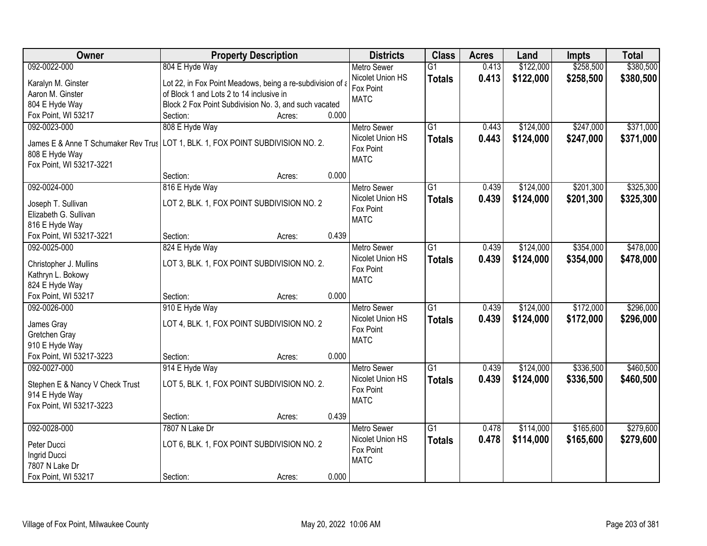| Owner                               | <b>Property Description</b>                                                     | <b>Districts</b>              | <b>Class</b>    | <b>Acres</b> | Land      | <b>Impts</b> | <b>Total</b> |
|-------------------------------------|---------------------------------------------------------------------------------|-------------------------------|-----------------|--------------|-----------|--------------|--------------|
| 092-0022-000                        | 804 E Hyde Way                                                                  | <b>Metro Sewer</b>            | $\overline{G1}$ | 0.413        | \$122,000 | \$258,500    | \$380,500    |
| Karalyn M. Ginster                  | Lot 22, in Fox Point Meadows, being a re-subdivision of a                       | Nicolet Union HS              | <b>Totals</b>   | 0.413        | \$122,000 | \$258,500    | \$380,500    |
| Aaron M. Ginster                    | of Block 1 and Lots 2 to 14 inclusive in                                        | Fox Point                     |                 |              |           |              |              |
| 804 E Hyde Way                      | Block 2 Fox Point Subdivision No. 3, and such vacated                           | <b>MATC</b>                   |                 |              |           |              |              |
| Fox Point, WI 53217                 | 0.000<br>Section:<br>Acres:                                                     |                               |                 |              |           |              |              |
| 092-0023-000                        | 808 E Hyde Way                                                                  | <b>Metro Sewer</b>            | $\overline{G1}$ | 0.443        | \$124,000 | \$247,000    | \$371,000    |
|                                     |                                                                                 | Nicolet Union HS              | <b>Totals</b>   | 0.443        | \$124,000 | \$247,000    | \$371,000    |
|                                     | James E & Anne T Schumaker Rev Trus LOT 1, BLK. 1, FOX POINT SUBDIVISION NO. 2. | Fox Point                     |                 |              |           |              |              |
| 808 E Hyde Way                      |                                                                                 | <b>MATC</b>                   |                 |              |           |              |              |
| Fox Point, WI 53217-3221            |                                                                                 |                               |                 |              |           |              |              |
|                                     | 0.000<br>Section:<br>Acres:                                                     |                               |                 |              |           |              |              |
| 092-0024-000                        | 816 E Hyde Way                                                                  | <b>Metro Sewer</b>            | $\overline{G1}$ | 0.439        | \$124,000 | \$201,300    | \$325,300    |
| Joseph T. Sullivan                  | LOT 2, BLK. 1, FOX POINT SUBDIVISION NO. 2                                      | Nicolet Union HS              | <b>Totals</b>   | 0.439        | \$124,000 | \$201,300    | \$325,300    |
| Elizabeth G. Sullivan               |                                                                                 | Fox Point                     |                 |              |           |              |              |
| 816 E Hyde Way                      |                                                                                 | <b>MATC</b>                   |                 |              |           |              |              |
| Fox Point, WI 53217-3221            | 0.439<br>Section:<br>Acres:                                                     |                               |                 |              |           |              |              |
| 092-0025-000                        | 824 E Hyde Way                                                                  | <b>Metro Sewer</b>            | $\overline{G1}$ | 0.439        | \$124,000 | \$354,000    | \$478,000    |
|                                     |                                                                                 | Nicolet Union HS              | <b>Totals</b>   | 0.439        | \$124,000 | \$354,000    | \$478,000    |
| Christopher J. Mullins              | LOT 3, BLK. 1, FOX POINT SUBDIVISION NO. 2.                                     | Fox Point                     |                 |              |           |              |              |
| Kathryn L. Bokowy                   |                                                                                 | <b>MATC</b>                   |                 |              |           |              |              |
| 824 E Hyde Way                      | 0.000                                                                           |                               |                 |              |           |              |              |
| Fox Point, WI 53217<br>092-0026-000 | Section:<br>Acres:                                                              |                               | $\overline{G1}$ | 0.439        | \$124,000 | \$172,000    | \$296,000    |
|                                     | 910 E Hyde Way                                                                  | <b>Metro Sewer</b>            |                 |              |           |              |              |
| James Gray                          | LOT 4, BLK. 1, FOX POINT SUBDIVISION NO. 2                                      | Nicolet Union HS<br>Fox Point | <b>Totals</b>   | 0.439        | \$124,000 | \$172,000    | \$296,000    |
| Gretchen Gray                       |                                                                                 | <b>MATC</b>                   |                 |              |           |              |              |
| 910 E Hyde Way                      |                                                                                 |                               |                 |              |           |              |              |
| Fox Point, WI 53217-3223            | 0.000<br>Section:<br>Acres:                                                     |                               |                 |              |           |              |              |
| 092-0027-000                        | 914 E Hyde Way                                                                  | <b>Metro Sewer</b>            | $\overline{G1}$ | 0.439        | \$124,000 | \$336,500    | \$460,500    |
| Stephen E & Nancy V Check Trust     | LOT 5, BLK. 1, FOX POINT SUBDIVISION NO. 2.                                     | Nicolet Union HS              | <b>Totals</b>   | 0.439        | \$124,000 | \$336,500    | \$460,500    |
| 914 E Hyde Way                      |                                                                                 | Fox Point                     |                 |              |           |              |              |
| Fox Point, WI 53217-3223            |                                                                                 | <b>MATC</b>                   |                 |              |           |              |              |
|                                     | 0.439<br>Section:<br>Acres:                                                     |                               |                 |              |           |              |              |
| 092-0028-000                        | 7807 N Lake Dr                                                                  | Metro Sewer                   | $\overline{G1}$ | 0.478        | \$114,000 | \$165,600    | \$279,600    |
|                                     |                                                                                 | Nicolet Union HS              | <b>Totals</b>   | 0.478        | \$114,000 | \$165,600    | \$279,600    |
| Peter Ducci                         | LOT 6, BLK. 1, FOX POINT SUBDIVISION NO. 2                                      | Fox Point                     |                 |              |           |              |              |
| Ingrid Ducci                        |                                                                                 | <b>MATC</b>                   |                 |              |           |              |              |
| 7807 N Lake Dr                      |                                                                                 |                               |                 |              |           |              |              |
| Fox Point, WI 53217                 | 0.000<br>Section:<br>Acres:                                                     |                               |                 |              |           |              |              |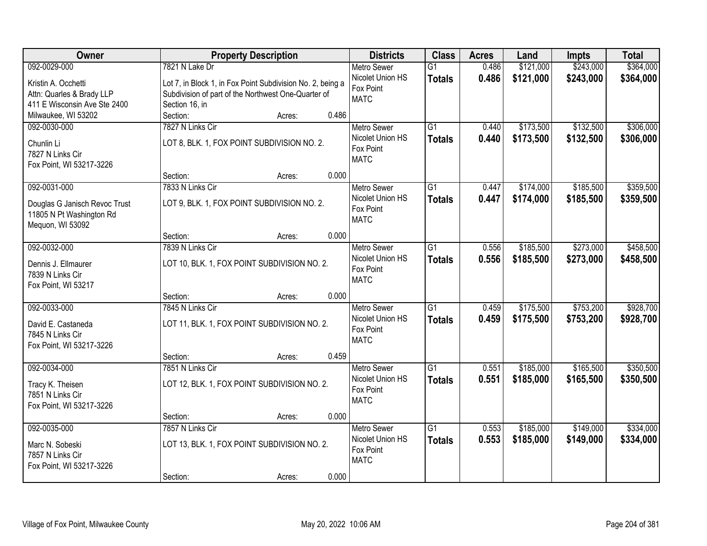| Owner                         |                                              | <b>Property Description</b>                                |       | <b>Districts</b>   | <b>Class</b>    | <b>Acres</b> | Land      | <b>Impts</b> | <b>Total</b> |
|-------------------------------|----------------------------------------------|------------------------------------------------------------|-------|--------------------|-----------------|--------------|-----------|--------------|--------------|
| 092-0029-000                  | 7821 N Lake Dr                               |                                                            |       | <b>Metro Sewer</b> | $\overline{G1}$ | 0.486        | \$121,000 | \$243,000    | \$364,000    |
| Kristin A. Occhetti           |                                              | Lot 7, in Block 1, in Fox Point Subdivision No. 2, being a |       | Nicolet Union HS   | <b>Totals</b>   | 0.486        | \$121,000 | \$243,000    | \$364,000    |
| Attn: Quarles & Brady LLP     |                                              | Subdivision of part of the Northwest One-Quarter of        |       | Fox Point          |                 |              |           |              |              |
| 411 E Wisconsin Ave Ste 2400  | Section 16, in                               |                                                            |       | <b>MATC</b>        |                 |              |           |              |              |
| Milwaukee, WI 53202           | Section:                                     | Acres:                                                     | 0.486 |                    |                 |              |           |              |              |
| 092-0030-000                  | 7827 N Links Cir                             |                                                            |       | <b>Metro Sewer</b> | $\overline{G1}$ | 0.440        | \$173,500 | \$132,500    | \$306,000    |
| Chunlin Li                    |                                              | LOT 8, BLK. 1, FOX POINT SUBDIVISION NO. 2.                |       | Nicolet Union HS   | <b>Totals</b>   | 0.440        | \$173,500 | \$132,500    | \$306,000    |
| 7827 N Links Cir              |                                              |                                                            |       | Fox Point          |                 |              |           |              |              |
| Fox Point, WI 53217-3226      |                                              |                                                            |       | <b>MATC</b>        |                 |              |           |              |              |
|                               | Section:                                     | Acres:                                                     | 0.000 |                    |                 |              |           |              |              |
| 092-0031-000                  | 7833 N Links Cir                             |                                                            |       | <b>Metro Sewer</b> | G1              | 0.447        | \$174,000 | \$185,500    | \$359,500    |
| Douglas G Janisch Revoc Trust |                                              | LOT 9, BLK. 1, FOX POINT SUBDIVISION NO. 2.                |       | Nicolet Union HS   | <b>Totals</b>   | 0.447        | \$174,000 | \$185,500    | \$359,500    |
| 11805 N Pt Washington Rd      |                                              |                                                            |       | Fox Point          |                 |              |           |              |              |
| Mequon, WI 53092              |                                              |                                                            |       | <b>MATC</b>        |                 |              |           |              |              |
|                               | Section:                                     | Acres:                                                     | 0.000 |                    |                 |              |           |              |              |
| 092-0032-000                  | 7839 N Links Cir                             |                                                            |       | <b>Metro Sewer</b> | G1              | 0.556        | \$185,500 | \$273,000    | \$458,500    |
| Dennis J. Ellmaurer           |                                              | LOT 10, BLK. 1, FOX POINT SUBDIVISION NO. 2.               |       | Nicolet Union HS   | <b>Totals</b>   | 0.556        | \$185,500 | \$273,000    | \$458,500    |
| 7839 N Links Cir              |                                              |                                                            |       | Fox Point          |                 |              |           |              |              |
| Fox Point, WI 53217           |                                              |                                                            |       | <b>MATC</b>        |                 |              |           |              |              |
|                               | Section:                                     | Acres:                                                     | 0.000 |                    |                 |              |           |              |              |
| 092-0033-000                  | 7845 N Links Cir                             |                                                            |       | <b>Metro Sewer</b> | $\overline{G1}$ | 0.459        | \$175,500 | \$753,200    | \$928,700    |
| David E. Castaneda            | LOT 11, BLK. 1, FOX POINT SUBDIVISION NO. 2. |                                                            |       | Nicolet Union HS   | <b>Totals</b>   | 0.459        | \$175,500 | \$753,200    | \$928,700    |
| 7845 N Links Cir              |                                              |                                                            |       | Fox Point          |                 |              |           |              |              |
| Fox Point, WI 53217-3226      |                                              |                                                            |       | <b>MATC</b>        |                 |              |           |              |              |
|                               | Section:                                     | Acres:                                                     | 0.459 |                    |                 |              |           |              |              |
| 092-0034-000                  | 7851 N Links Cir                             |                                                            |       | <b>Metro Sewer</b> | $\overline{G1}$ | 0.551        | \$185,000 | \$165,500    | \$350,500    |
| Tracy K. Theisen              |                                              | LOT 12, BLK. 1, FOX POINT SUBDIVISION NO. 2.               |       | Nicolet Union HS   | <b>Totals</b>   | 0.551        | \$185,000 | \$165,500    | \$350,500    |
| 7851 N Links Cir              |                                              |                                                            |       | Fox Point          |                 |              |           |              |              |
| Fox Point, WI 53217-3226      |                                              |                                                            |       | <b>MATC</b>        |                 |              |           |              |              |
|                               | Section:                                     | Acres:                                                     | 0.000 |                    |                 |              |           |              |              |
| 092-0035-000                  | 7857 N Links Cir                             |                                                            |       | <b>Metro Sewer</b> | $\overline{G1}$ | 0.553        | \$185,000 | \$149,000    | \$334,000    |
| Marc N. Sobeski               |                                              | LOT 13, BLK. 1, FOX POINT SUBDIVISION NO. 2.               |       | Nicolet Union HS   | <b>Totals</b>   | 0.553        | \$185,000 | \$149,000    | \$334,000    |
| 7857 N Links Cir              |                                              |                                                            |       | Fox Point          |                 |              |           |              |              |
| Fox Point, WI 53217-3226      |                                              |                                                            |       | <b>MATC</b>        |                 |              |           |              |              |
|                               | Section:                                     | Acres:                                                     | 0.000 |                    |                 |              |           |              |              |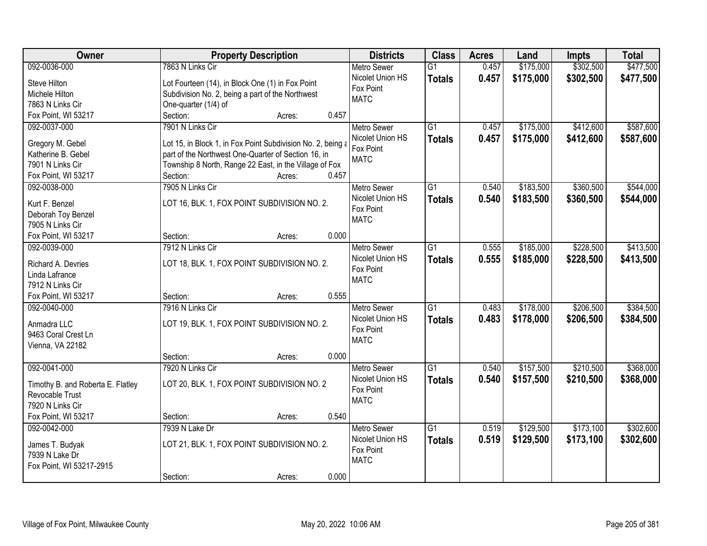| Owner                             | <b>Property Description</b>                                 | <b>Districts</b>   | <b>Class</b>    | <b>Acres</b> | Land      | <b>Impts</b> | <b>Total</b> |
|-----------------------------------|-------------------------------------------------------------|--------------------|-----------------|--------------|-----------|--------------|--------------|
| 092-0036-000                      | 7863 N Links Cir                                            | <b>Metro Sewer</b> | $\overline{G1}$ | 0.457        | \$175,000 | \$302,500    | \$477,500    |
| Steve Hilton                      | Lot Fourteen (14), in Block One (1) in Fox Point            | Nicolet Union HS   | <b>Totals</b>   | 0.457        | \$175,000 | \$302,500    | \$477,500    |
| Michele Hilton                    | Subdivision No. 2, being a part of the Northwest            | Fox Point          |                 |              |           |              |              |
| 7863 N Links Cir                  | One-quarter (1/4) of                                        | <b>MATC</b>        |                 |              |           |              |              |
| Fox Point, WI 53217               | Section:<br>0.457<br>Acres:                                 |                    |                 |              |           |              |              |
| 092-0037-000                      | 7901 N Links Cir                                            | <b>Metro Sewer</b> | $\overline{G1}$ | 0.457        | \$175,000 | \$412,600    | \$587,600    |
|                                   |                                                             | Nicolet Union HS   | <b>Totals</b>   | 0.457        | \$175,000 | \$412,600    | \$587,600    |
| Gregory M. Gebel                  | Lot 15, in Block 1, in Fox Point Subdivision No. 2, being a | Fox Point          |                 |              |           |              |              |
| Katherine B. Gebel                | part of the Northwest One-Quarter of Section 16, in         | <b>MATC</b>        |                 |              |           |              |              |
| 7901 N Links Cir                  | Township 8 North, Range 22 East, in the Village of Fox      |                    |                 |              |           |              |              |
| Fox Point, WI 53217               | 0.457<br>Section:<br>Acres:                                 |                    |                 |              |           |              |              |
| 092-0038-000                      | 7905 N Links Cir                                            | Metro Sewer        | G1              | 0.540        | \$183,500 | \$360,500    | \$544,000    |
| Kurt F. Benzel                    | LOT 16, BLK. 1, FOX POINT SUBDIVISION NO. 2.                | Nicolet Union HS   | <b>Totals</b>   | 0.540        | \$183,500 | \$360,500    | \$544,000    |
| Deborah Toy Benzel                |                                                             | Fox Point          |                 |              |           |              |              |
| 7905 N Links Cir                  |                                                             | <b>MATC</b>        |                 |              |           |              |              |
| Fox Point, WI 53217               | 0.000<br>Section:<br>Acres:                                 |                    |                 |              |           |              |              |
| 092-0039-000                      | 7912 N Links Cir                                            | <b>Metro Sewer</b> | $\overline{G1}$ | 0.555        | \$185,000 | \$228,500    | \$413,500    |
| Richard A. Devries                | LOT 18, BLK. 1, FOX POINT SUBDIVISION NO. 2.                | Nicolet Union HS   | <b>Totals</b>   | 0.555        | \$185,000 | \$228,500    | \$413,500    |
| Linda Lafrance                    |                                                             | Fox Point          |                 |              |           |              |              |
| 7912 N Links Cir                  |                                                             | <b>MATC</b>        |                 |              |           |              |              |
| Fox Point, WI 53217               | 0.555<br>Section:<br>Acres:                                 |                    |                 |              |           |              |              |
| 092-0040-000                      | 7916 N Links Cir                                            | Metro Sewer        | $\overline{G1}$ | 0.483        | \$178,000 | \$206,500    | \$384,500    |
|                                   |                                                             | Nicolet Union HS   | <b>Totals</b>   | 0.483        | \$178,000 | \$206,500    | \$384,500    |
| Anmadra LLC                       | LOT 19, BLK. 1, FOX POINT SUBDIVISION NO. 2.                | Fox Point          |                 |              |           |              |              |
| 9463 Coral Crest Ln               |                                                             | <b>MATC</b>        |                 |              |           |              |              |
| Vienna, VA 22182                  |                                                             |                    |                 |              |           |              |              |
|                                   | 0.000<br>Section:<br>Acres:                                 |                    |                 |              |           |              |              |
| 092-0041-000                      | 7920 N Links Cir                                            | <b>Metro Sewer</b> | $\overline{G1}$ | 0.540        | \$157,500 | \$210,500    | \$368,000    |
| Timothy B. and Roberta E. Flatley | LOT 20, BLK. 1, FOX POINT SUBDIVISION NO. 2                 | Nicolet Union HS   | <b>Totals</b>   | 0.540        | \$157,500 | \$210,500    | \$368,000    |
| Revocable Trust                   |                                                             | Fox Point          |                 |              |           |              |              |
| 7920 N Links Cir                  |                                                             | <b>MATC</b>        |                 |              |           |              |              |
| Fox Point, WI 53217               | 0.540<br>Section:<br>Acres:                                 |                    |                 |              |           |              |              |
| 092-0042-000                      | 7939 N Lake Dr                                              | <b>Metro Sewer</b> | $\overline{G1}$ | 0.519        | \$129,500 | \$173,100    | \$302,600    |
|                                   |                                                             | Nicolet Union HS   | <b>Totals</b>   | 0.519        | \$129,500 | \$173,100    | \$302,600    |
| James T. Budyak                   | LOT 21, BLK. 1, FOX POINT SUBDIVISION NO. 2.                | Fox Point          |                 |              |           |              |              |
| 7939 N Lake Dr                    |                                                             | <b>MATC</b>        |                 |              |           |              |              |
| Fox Point, WI 53217-2915          |                                                             |                    |                 |              |           |              |              |
|                                   | 0.000<br>Section:<br>Acres:                                 |                    |                 |              |           |              |              |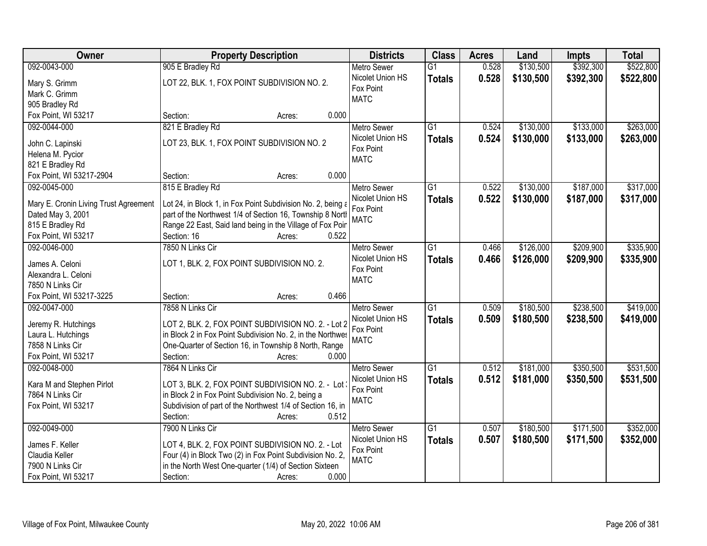| \$130,500<br>\$392,300<br>\$522,800<br>905 E Bradley Rd<br>0.528<br>092-0043-000<br>$\overline{G1}$<br><b>Metro Sewer</b><br>Nicolet Union HS<br>0.528<br>\$130,500<br>\$392,300<br>\$522,800<br><b>Totals</b><br>LOT 22, BLK. 1, FOX POINT SUBDIVISION NO. 2.<br>Mary S. Grimm<br>Fox Point<br>Mark C. Grimm<br><b>MATC</b><br>905 Bradley Rd<br>Fox Point, WI 53217<br>0.000<br>Section:<br>Acres:<br>821 E Bradley Rd<br>\$130,000<br>\$133,000<br>\$263,000<br>092-0044-000<br>$\overline{G1}$<br>0.524<br><b>Metro Sewer</b><br>Nicolet Union HS<br>0.524<br>\$130,000<br>\$133,000<br>\$263,000<br><b>Totals</b><br>LOT 23, BLK. 1, FOX POINT SUBDIVISION NO. 2<br>John C. Lapinski<br>Fox Point<br>Helena M. Pycior<br><b>MATC</b><br>821 E Bradley Rd<br>0.000<br>Fox Point, WI 53217-2904<br>Section:<br>Acres:<br>815 E Bradley Rd<br>\$130,000<br>\$187,000<br>\$317,000<br>092-0045-000<br><b>Metro Sewer</b><br>G1<br>0.522<br>Nicolet Union HS<br>0.522<br>\$130,000<br>\$187,000<br><b>Totals</b><br>Lot 24, in Block 1, in Fox Point Subdivision No. 2, being a<br>Mary E. Cronin Living Trust Agreement<br>Fox Point<br>part of the Northwest 1/4 of Section 16, Township 8 North<br>Dated May 3, 2001<br><b>MATC</b><br>815 E Bradley Rd<br>Range 22 East, Said land being in the Village of Fox Poir<br>Section: 16<br>Fox Point, WI 53217<br>0.522<br>Acres:<br>\$209,900<br>\$335,900<br>092-0046-000<br>7850 N Links Cir<br>\$126,000<br><b>Metro Sewer</b><br>G1<br>0.466<br>Nicolet Union HS<br>0.466<br>\$126,000<br>\$209,900<br>\$335,900<br><b>Totals</b><br>LOT 1, BLK. 2, FOX POINT SUBDIVISION NO. 2.<br>James A. Celoni<br>Fox Point<br>Alexandra L. Celoni<br><b>MATC</b><br>7850 N Links Cir<br>Fox Point, WI 53217-3225<br>Section:<br>0.466<br>Acres:<br>$\overline{G1}$<br>\$180,500<br>\$238,500<br>092-0047-000<br>7858 N Links Cir<br>0.509<br><b>Metro Sewer</b><br>Nicolet Union HS<br>0.509<br>\$180,500<br>\$238,500<br>\$419,000<br><b>Totals</b><br>LOT 2, BLK. 2, FOX POINT SUBDIVISION NO. 2. - Lot 2<br>Jeremy R. Hutchings<br>Fox Point<br>in Block 2 in Fox Point Subdivision No. 2, in the Northwes<br>Laura L. Hutchings<br><b>MATC</b><br>7858 N Links Cir<br>One-Quarter of Section 16, in Township 8 North, Range<br>Fox Point, WI 53217<br>Section:<br>0.000<br>Acres:<br>$\overline{G1}$<br>\$181,000<br>\$350,500<br>092-0048-000<br>7864 N Links Cir<br><b>Metro Sewer</b><br>0.512<br>0.512<br>Nicolet Union HS<br>\$181,000<br>\$350,500<br><b>Totals</b><br>Kara M and Stephen Pirlot<br>LOT 3, BLK. 2, FOX POINT SUBDIVISION NO. 2. - Lot<br>Fox Point<br>7864 N Links Cir<br>in Block 2 in Fox Point Subdivision No. 2, being a<br><b>MATC</b><br>Subdivision of part of the Northwest 1/4 of Section 16, in<br>Fox Point, WI 53217<br>0.512<br>Section:<br>Acres:<br>\$352,000<br>092-0049-000<br>7900 N Links Cir<br>\$180,500<br>\$171,500<br><b>Metro Sewer</b><br>$\overline{G1}$<br>0.507<br>Nicolet Union HS<br>0.507<br>\$171,500<br>\$352,000<br>\$180,500<br><b>Totals</b><br>LOT 4, BLK. 2, FOX POINT SUBDIVISION NO. 2. - Lot<br>James F. Keller<br>Fox Point<br>Four (4) in Block Two (2) in Fox Point Subdivision No. 2,<br>Claudia Keller<br><b>MATC</b> | Owner            | <b>Property Description</b>                            | <b>Districts</b> | <b>Class</b> | <b>Acres</b> | Land | <b>Impts</b> | <b>Total</b> |
|------------------------------------------------------------------------------------------------------------------------------------------------------------------------------------------------------------------------------------------------------------------------------------------------------------------------------------------------------------------------------------------------------------------------------------------------------------------------------------------------------------------------------------------------------------------------------------------------------------------------------------------------------------------------------------------------------------------------------------------------------------------------------------------------------------------------------------------------------------------------------------------------------------------------------------------------------------------------------------------------------------------------------------------------------------------------------------------------------------------------------------------------------------------------------------------------------------------------------------------------------------------------------------------------------------------------------------------------------------------------------------------------------------------------------------------------------------------------------------------------------------------------------------------------------------------------------------------------------------------------------------------------------------------------------------------------------------------------------------------------------------------------------------------------------------------------------------------------------------------------------------------------------------------------------------------------------------------------------------------------------------------------------------------------------------------------------------------------------------------------------------------------------------------------------------------------------------------------------------------------------------------------------------------------------------------------------------------------------------------------------------------------------------------------------------------------------------------------------------------------------------------------------------------------------------------------------------------------------------------------------------------------------------------------------------------------------------------------------------------------------------------------------------------------------------------------------------------------------------------------------------------------------------------------------------------------------------------------------------------------------------------------------------------------------------------------------------------------------------------------------------------------------------------------------------------------------------------------------------------|------------------|--------------------------------------------------------|------------------|--------------|--------------|------|--------------|--------------|
|                                                                                                                                                                                                                                                                                                                                                                                                                                                                                                                                                                                                                                                                                                                                                                                                                                                                                                                                                                                                                                                                                                                                                                                                                                                                                                                                                                                                                                                                                                                                                                                                                                                                                                                                                                                                                                                                                                                                                                                                                                                                                                                                                                                                                                                                                                                                                                                                                                                                                                                                                                                                                                                                                                                                                                                                                                                                                                                                                                                                                                                                                                                                                                                                                                          |                  |                                                        |                  |              |              |      |              |              |
|                                                                                                                                                                                                                                                                                                                                                                                                                                                                                                                                                                                                                                                                                                                                                                                                                                                                                                                                                                                                                                                                                                                                                                                                                                                                                                                                                                                                                                                                                                                                                                                                                                                                                                                                                                                                                                                                                                                                                                                                                                                                                                                                                                                                                                                                                                                                                                                                                                                                                                                                                                                                                                                                                                                                                                                                                                                                                                                                                                                                                                                                                                                                                                                                                                          |                  |                                                        |                  |              |              |      |              |              |
|                                                                                                                                                                                                                                                                                                                                                                                                                                                                                                                                                                                                                                                                                                                                                                                                                                                                                                                                                                                                                                                                                                                                                                                                                                                                                                                                                                                                                                                                                                                                                                                                                                                                                                                                                                                                                                                                                                                                                                                                                                                                                                                                                                                                                                                                                                                                                                                                                                                                                                                                                                                                                                                                                                                                                                                                                                                                                                                                                                                                                                                                                                                                                                                                                                          |                  |                                                        |                  |              |              |      |              |              |
|                                                                                                                                                                                                                                                                                                                                                                                                                                                                                                                                                                                                                                                                                                                                                                                                                                                                                                                                                                                                                                                                                                                                                                                                                                                                                                                                                                                                                                                                                                                                                                                                                                                                                                                                                                                                                                                                                                                                                                                                                                                                                                                                                                                                                                                                                                                                                                                                                                                                                                                                                                                                                                                                                                                                                                                                                                                                                                                                                                                                                                                                                                                                                                                                                                          |                  |                                                        |                  |              |              |      |              |              |
|                                                                                                                                                                                                                                                                                                                                                                                                                                                                                                                                                                                                                                                                                                                                                                                                                                                                                                                                                                                                                                                                                                                                                                                                                                                                                                                                                                                                                                                                                                                                                                                                                                                                                                                                                                                                                                                                                                                                                                                                                                                                                                                                                                                                                                                                                                                                                                                                                                                                                                                                                                                                                                                                                                                                                                                                                                                                                                                                                                                                                                                                                                                                                                                                                                          |                  |                                                        |                  |              |              |      |              |              |
| \$317,000                                                                                                                                                                                                                                                                                                                                                                                                                                                                                                                                                                                                                                                                                                                                                                                                                                                                                                                                                                                                                                                                                                                                                                                                                                                                                                                                                                                                                                                                                                                                                                                                                                                                                                                                                                                                                                                                                                                                                                                                                                                                                                                                                                                                                                                                                                                                                                                                                                                                                                                                                                                                                                                                                                                                                                                                                                                                                                                                                                                                                                                                                                                                                                                                                                |                  |                                                        |                  |              |              |      |              |              |
|                                                                                                                                                                                                                                                                                                                                                                                                                                                                                                                                                                                                                                                                                                                                                                                                                                                                                                                                                                                                                                                                                                                                                                                                                                                                                                                                                                                                                                                                                                                                                                                                                                                                                                                                                                                                                                                                                                                                                                                                                                                                                                                                                                                                                                                                                                                                                                                                                                                                                                                                                                                                                                                                                                                                                                                                                                                                                                                                                                                                                                                                                                                                                                                                                                          |                  |                                                        |                  |              |              |      |              |              |
|                                                                                                                                                                                                                                                                                                                                                                                                                                                                                                                                                                                                                                                                                                                                                                                                                                                                                                                                                                                                                                                                                                                                                                                                                                                                                                                                                                                                                                                                                                                                                                                                                                                                                                                                                                                                                                                                                                                                                                                                                                                                                                                                                                                                                                                                                                                                                                                                                                                                                                                                                                                                                                                                                                                                                                                                                                                                                                                                                                                                                                                                                                                                                                                                                                          |                  |                                                        |                  |              |              |      |              |              |
| \$419,000<br>\$531,500<br>\$531,500                                                                                                                                                                                                                                                                                                                                                                                                                                                                                                                                                                                                                                                                                                                                                                                                                                                                                                                                                                                                                                                                                                                                                                                                                                                                                                                                                                                                                                                                                                                                                                                                                                                                                                                                                                                                                                                                                                                                                                                                                                                                                                                                                                                                                                                                                                                                                                                                                                                                                                                                                                                                                                                                                                                                                                                                                                                                                                                                                                                                                                                                                                                                                                                                      |                  |                                                        |                  |              |              |      |              |              |
|                                                                                                                                                                                                                                                                                                                                                                                                                                                                                                                                                                                                                                                                                                                                                                                                                                                                                                                                                                                                                                                                                                                                                                                                                                                                                                                                                                                                                                                                                                                                                                                                                                                                                                                                                                                                                                                                                                                                                                                                                                                                                                                                                                                                                                                                                                                                                                                                                                                                                                                                                                                                                                                                                                                                                                                                                                                                                                                                                                                                                                                                                                                                                                                                                                          |                  |                                                        |                  |              |              |      |              |              |
|                                                                                                                                                                                                                                                                                                                                                                                                                                                                                                                                                                                                                                                                                                                                                                                                                                                                                                                                                                                                                                                                                                                                                                                                                                                                                                                                                                                                                                                                                                                                                                                                                                                                                                                                                                                                                                                                                                                                                                                                                                                                                                                                                                                                                                                                                                                                                                                                                                                                                                                                                                                                                                                                                                                                                                                                                                                                                                                                                                                                                                                                                                                                                                                                                                          |                  |                                                        |                  |              |              |      |              |              |
|                                                                                                                                                                                                                                                                                                                                                                                                                                                                                                                                                                                                                                                                                                                                                                                                                                                                                                                                                                                                                                                                                                                                                                                                                                                                                                                                                                                                                                                                                                                                                                                                                                                                                                                                                                                                                                                                                                                                                                                                                                                                                                                                                                                                                                                                                                                                                                                                                                                                                                                                                                                                                                                                                                                                                                                                                                                                                                                                                                                                                                                                                                                                                                                                                                          |                  |                                                        |                  |              |              |      |              |              |
|                                                                                                                                                                                                                                                                                                                                                                                                                                                                                                                                                                                                                                                                                                                                                                                                                                                                                                                                                                                                                                                                                                                                                                                                                                                                                                                                                                                                                                                                                                                                                                                                                                                                                                                                                                                                                                                                                                                                                                                                                                                                                                                                                                                                                                                                                                                                                                                                                                                                                                                                                                                                                                                                                                                                                                                                                                                                                                                                                                                                                                                                                                                                                                                                                                          |                  |                                                        |                  |              |              |      |              |              |
|                                                                                                                                                                                                                                                                                                                                                                                                                                                                                                                                                                                                                                                                                                                                                                                                                                                                                                                                                                                                                                                                                                                                                                                                                                                                                                                                                                                                                                                                                                                                                                                                                                                                                                                                                                                                                                                                                                                                                                                                                                                                                                                                                                                                                                                                                                                                                                                                                                                                                                                                                                                                                                                                                                                                                                                                                                                                                                                                                                                                                                                                                                                                                                                                                                          |                  |                                                        |                  |              |              |      |              |              |
|                                                                                                                                                                                                                                                                                                                                                                                                                                                                                                                                                                                                                                                                                                                                                                                                                                                                                                                                                                                                                                                                                                                                                                                                                                                                                                                                                                                                                                                                                                                                                                                                                                                                                                                                                                                                                                                                                                                                                                                                                                                                                                                                                                                                                                                                                                                                                                                                                                                                                                                                                                                                                                                                                                                                                                                                                                                                                                                                                                                                                                                                                                                                                                                                                                          |                  |                                                        |                  |              |              |      |              |              |
|                                                                                                                                                                                                                                                                                                                                                                                                                                                                                                                                                                                                                                                                                                                                                                                                                                                                                                                                                                                                                                                                                                                                                                                                                                                                                                                                                                                                                                                                                                                                                                                                                                                                                                                                                                                                                                                                                                                                                                                                                                                                                                                                                                                                                                                                                                                                                                                                                                                                                                                                                                                                                                                                                                                                                                                                                                                                                                                                                                                                                                                                                                                                                                                                                                          |                  |                                                        |                  |              |              |      |              |              |
|                                                                                                                                                                                                                                                                                                                                                                                                                                                                                                                                                                                                                                                                                                                                                                                                                                                                                                                                                                                                                                                                                                                                                                                                                                                                                                                                                                                                                                                                                                                                                                                                                                                                                                                                                                                                                                                                                                                                                                                                                                                                                                                                                                                                                                                                                                                                                                                                                                                                                                                                                                                                                                                                                                                                                                                                                                                                                                                                                                                                                                                                                                                                                                                                                                          |                  |                                                        |                  |              |              |      |              |              |
|                                                                                                                                                                                                                                                                                                                                                                                                                                                                                                                                                                                                                                                                                                                                                                                                                                                                                                                                                                                                                                                                                                                                                                                                                                                                                                                                                                                                                                                                                                                                                                                                                                                                                                                                                                                                                                                                                                                                                                                                                                                                                                                                                                                                                                                                                                                                                                                                                                                                                                                                                                                                                                                                                                                                                                                                                                                                                                                                                                                                                                                                                                                                                                                                                                          |                  |                                                        |                  |              |              |      |              |              |
|                                                                                                                                                                                                                                                                                                                                                                                                                                                                                                                                                                                                                                                                                                                                                                                                                                                                                                                                                                                                                                                                                                                                                                                                                                                                                                                                                                                                                                                                                                                                                                                                                                                                                                                                                                                                                                                                                                                                                                                                                                                                                                                                                                                                                                                                                                                                                                                                                                                                                                                                                                                                                                                                                                                                                                                                                                                                                                                                                                                                                                                                                                                                                                                                                                          |                  |                                                        |                  |              |              |      |              |              |
|                                                                                                                                                                                                                                                                                                                                                                                                                                                                                                                                                                                                                                                                                                                                                                                                                                                                                                                                                                                                                                                                                                                                                                                                                                                                                                                                                                                                                                                                                                                                                                                                                                                                                                                                                                                                                                                                                                                                                                                                                                                                                                                                                                                                                                                                                                                                                                                                                                                                                                                                                                                                                                                                                                                                                                                                                                                                                                                                                                                                                                                                                                                                                                                                                                          |                  |                                                        |                  |              |              |      |              |              |
|                                                                                                                                                                                                                                                                                                                                                                                                                                                                                                                                                                                                                                                                                                                                                                                                                                                                                                                                                                                                                                                                                                                                                                                                                                                                                                                                                                                                                                                                                                                                                                                                                                                                                                                                                                                                                                                                                                                                                                                                                                                                                                                                                                                                                                                                                                                                                                                                                                                                                                                                                                                                                                                                                                                                                                                                                                                                                                                                                                                                                                                                                                                                                                                                                                          |                  |                                                        |                  |              |              |      |              |              |
|                                                                                                                                                                                                                                                                                                                                                                                                                                                                                                                                                                                                                                                                                                                                                                                                                                                                                                                                                                                                                                                                                                                                                                                                                                                                                                                                                                                                                                                                                                                                                                                                                                                                                                                                                                                                                                                                                                                                                                                                                                                                                                                                                                                                                                                                                                                                                                                                                                                                                                                                                                                                                                                                                                                                                                                                                                                                                                                                                                                                                                                                                                                                                                                                                                          |                  |                                                        |                  |              |              |      |              |              |
|                                                                                                                                                                                                                                                                                                                                                                                                                                                                                                                                                                                                                                                                                                                                                                                                                                                                                                                                                                                                                                                                                                                                                                                                                                                                                                                                                                                                                                                                                                                                                                                                                                                                                                                                                                                                                                                                                                                                                                                                                                                                                                                                                                                                                                                                                                                                                                                                                                                                                                                                                                                                                                                                                                                                                                                                                                                                                                                                                                                                                                                                                                                                                                                                                                          |                  |                                                        |                  |              |              |      |              |              |
|                                                                                                                                                                                                                                                                                                                                                                                                                                                                                                                                                                                                                                                                                                                                                                                                                                                                                                                                                                                                                                                                                                                                                                                                                                                                                                                                                                                                                                                                                                                                                                                                                                                                                                                                                                                                                                                                                                                                                                                                                                                                                                                                                                                                                                                                                                                                                                                                                                                                                                                                                                                                                                                                                                                                                                                                                                                                                                                                                                                                                                                                                                                                                                                                                                          |                  |                                                        |                  |              |              |      |              |              |
|                                                                                                                                                                                                                                                                                                                                                                                                                                                                                                                                                                                                                                                                                                                                                                                                                                                                                                                                                                                                                                                                                                                                                                                                                                                                                                                                                                                                                                                                                                                                                                                                                                                                                                                                                                                                                                                                                                                                                                                                                                                                                                                                                                                                                                                                                                                                                                                                                                                                                                                                                                                                                                                                                                                                                                                                                                                                                                                                                                                                                                                                                                                                                                                                                                          |                  |                                                        |                  |              |              |      |              |              |
|                                                                                                                                                                                                                                                                                                                                                                                                                                                                                                                                                                                                                                                                                                                                                                                                                                                                                                                                                                                                                                                                                                                                                                                                                                                                                                                                                                                                                                                                                                                                                                                                                                                                                                                                                                                                                                                                                                                                                                                                                                                                                                                                                                                                                                                                                                                                                                                                                                                                                                                                                                                                                                                                                                                                                                                                                                                                                                                                                                                                                                                                                                                                                                                                                                          |                  |                                                        |                  |              |              |      |              |              |
|                                                                                                                                                                                                                                                                                                                                                                                                                                                                                                                                                                                                                                                                                                                                                                                                                                                                                                                                                                                                                                                                                                                                                                                                                                                                                                                                                                                                                                                                                                                                                                                                                                                                                                                                                                                                                                                                                                                                                                                                                                                                                                                                                                                                                                                                                                                                                                                                                                                                                                                                                                                                                                                                                                                                                                                                                                                                                                                                                                                                                                                                                                                                                                                                                                          |                  |                                                        |                  |              |              |      |              |              |
|                                                                                                                                                                                                                                                                                                                                                                                                                                                                                                                                                                                                                                                                                                                                                                                                                                                                                                                                                                                                                                                                                                                                                                                                                                                                                                                                                                                                                                                                                                                                                                                                                                                                                                                                                                                                                                                                                                                                                                                                                                                                                                                                                                                                                                                                                                                                                                                                                                                                                                                                                                                                                                                                                                                                                                                                                                                                                                                                                                                                                                                                                                                                                                                                                                          |                  |                                                        |                  |              |              |      |              |              |
|                                                                                                                                                                                                                                                                                                                                                                                                                                                                                                                                                                                                                                                                                                                                                                                                                                                                                                                                                                                                                                                                                                                                                                                                                                                                                                                                                                                                                                                                                                                                                                                                                                                                                                                                                                                                                                                                                                                                                                                                                                                                                                                                                                                                                                                                                                                                                                                                                                                                                                                                                                                                                                                                                                                                                                                                                                                                                                                                                                                                                                                                                                                                                                                                                                          |                  |                                                        |                  |              |              |      |              |              |
|                                                                                                                                                                                                                                                                                                                                                                                                                                                                                                                                                                                                                                                                                                                                                                                                                                                                                                                                                                                                                                                                                                                                                                                                                                                                                                                                                                                                                                                                                                                                                                                                                                                                                                                                                                                                                                                                                                                                                                                                                                                                                                                                                                                                                                                                                                                                                                                                                                                                                                                                                                                                                                                                                                                                                                                                                                                                                                                                                                                                                                                                                                                                                                                                                                          |                  |                                                        |                  |              |              |      |              |              |
|                                                                                                                                                                                                                                                                                                                                                                                                                                                                                                                                                                                                                                                                                                                                                                                                                                                                                                                                                                                                                                                                                                                                                                                                                                                                                                                                                                                                                                                                                                                                                                                                                                                                                                                                                                                                                                                                                                                                                                                                                                                                                                                                                                                                                                                                                                                                                                                                                                                                                                                                                                                                                                                                                                                                                                                                                                                                                                                                                                                                                                                                                                                                                                                                                                          |                  |                                                        |                  |              |              |      |              |              |
|                                                                                                                                                                                                                                                                                                                                                                                                                                                                                                                                                                                                                                                                                                                                                                                                                                                                                                                                                                                                                                                                                                                                                                                                                                                                                                                                                                                                                                                                                                                                                                                                                                                                                                                                                                                                                                                                                                                                                                                                                                                                                                                                                                                                                                                                                                                                                                                                                                                                                                                                                                                                                                                                                                                                                                                                                                                                                                                                                                                                                                                                                                                                                                                                                                          |                  |                                                        |                  |              |              |      |              |              |
|                                                                                                                                                                                                                                                                                                                                                                                                                                                                                                                                                                                                                                                                                                                                                                                                                                                                                                                                                                                                                                                                                                                                                                                                                                                                                                                                                                                                                                                                                                                                                                                                                                                                                                                                                                                                                                                                                                                                                                                                                                                                                                                                                                                                                                                                                                                                                                                                                                                                                                                                                                                                                                                                                                                                                                                                                                                                                                                                                                                                                                                                                                                                                                                                                                          |                  |                                                        |                  |              |              |      |              |              |
|                                                                                                                                                                                                                                                                                                                                                                                                                                                                                                                                                                                                                                                                                                                                                                                                                                                                                                                                                                                                                                                                                                                                                                                                                                                                                                                                                                                                                                                                                                                                                                                                                                                                                                                                                                                                                                                                                                                                                                                                                                                                                                                                                                                                                                                                                                                                                                                                                                                                                                                                                                                                                                                                                                                                                                                                                                                                                                                                                                                                                                                                                                                                                                                                                                          |                  |                                                        |                  |              |              |      |              |              |
|                                                                                                                                                                                                                                                                                                                                                                                                                                                                                                                                                                                                                                                                                                                                                                                                                                                                                                                                                                                                                                                                                                                                                                                                                                                                                                                                                                                                                                                                                                                                                                                                                                                                                                                                                                                                                                                                                                                                                                                                                                                                                                                                                                                                                                                                                                                                                                                                                                                                                                                                                                                                                                                                                                                                                                                                                                                                                                                                                                                                                                                                                                                                                                                                                                          |                  |                                                        |                  |              |              |      |              |              |
|                                                                                                                                                                                                                                                                                                                                                                                                                                                                                                                                                                                                                                                                                                                                                                                                                                                                                                                                                                                                                                                                                                                                                                                                                                                                                                                                                                                                                                                                                                                                                                                                                                                                                                                                                                                                                                                                                                                                                                                                                                                                                                                                                                                                                                                                                                                                                                                                                                                                                                                                                                                                                                                                                                                                                                                                                                                                                                                                                                                                                                                                                                                                                                                                                                          |                  |                                                        |                  |              |              |      |              |              |
|                                                                                                                                                                                                                                                                                                                                                                                                                                                                                                                                                                                                                                                                                                                                                                                                                                                                                                                                                                                                                                                                                                                                                                                                                                                                                                                                                                                                                                                                                                                                                                                                                                                                                                                                                                                                                                                                                                                                                                                                                                                                                                                                                                                                                                                                                                                                                                                                                                                                                                                                                                                                                                                                                                                                                                                                                                                                                                                                                                                                                                                                                                                                                                                                                                          | 7900 N Links Cir | in the North West One-quarter (1/4) of Section Sixteen |                  |              |              |      |              |              |
| 0.000<br>Fox Point, WI 53217<br>Section:<br>Acres:                                                                                                                                                                                                                                                                                                                                                                                                                                                                                                                                                                                                                                                                                                                                                                                                                                                                                                                                                                                                                                                                                                                                                                                                                                                                                                                                                                                                                                                                                                                                                                                                                                                                                                                                                                                                                                                                                                                                                                                                                                                                                                                                                                                                                                                                                                                                                                                                                                                                                                                                                                                                                                                                                                                                                                                                                                                                                                                                                                                                                                                                                                                                                                                       |                  |                                                        |                  |              |              |      |              |              |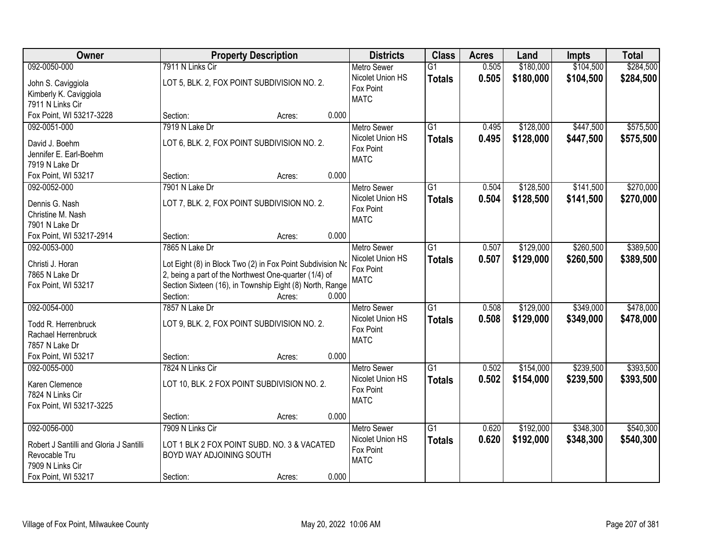| Owner                                   |                          | <b>Property Description</b>                                |       | <b>Districts</b>   | <b>Class</b>    | <b>Acres</b> | Land      | <b>Impts</b> | <b>Total</b> |
|-----------------------------------------|--------------------------|------------------------------------------------------------|-------|--------------------|-----------------|--------------|-----------|--------------|--------------|
| 092-0050-000                            | 7911 N Links Cir         |                                                            |       | <b>Metro Sewer</b> | $\overline{G1}$ | 0.505        | \$180,000 | \$104,500    | \$284,500    |
| John S. Caviggiola                      |                          | LOT 5, BLK. 2, FOX POINT SUBDIVISION NO. 2.                |       | Nicolet Union HS   | <b>Totals</b>   | 0.505        | \$180,000 | \$104,500    | \$284,500    |
| Kimberly K. Caviggiola                  |                          |                                                            |       | Fox Point          |                 |              |           |              |              |
| 7911 N Links Cir                        |                          |                                                            |       | <b>MATC</b>        |                 |              |           |              |              |
| Fox Point, WI 53217-3228                | Section:                 | Acres:                                                     | 0.000 |                    |                 |              |           |              |              |
| 092-0051-000                            | 7919 N Lake Dr           |                                                            |       | <b>Metro Sewer</b> | $\overline{G1}$ | 0.495        | \$128,000 | \$447,500    | \$575,500    |
|                                         |                          |                                                            |       | Nicolet Union HS   | <b>Totals</b>   | 0.495        | \$128,000 | \$447,500    | \$575,500    |
| David J. Boehm                          |                          | LOT 6, BLK. 2, FOX POINT SUBDIVISION NO. 2.                |       | Fox Point          |                 |              |           |              |              |
| Jennifer E. Earl-Boehm                  |                          |                                                            |       | <b>MATC</b>        |                 |              |           |              |              |
| 7919 N Lake Dr<br>Fox Point, WI 53217   | Section:                 | Acres:                                                     | 0.000 |                    |                 |              |           |              |              |
| 092-0052-000                            | 7901 N Lake Dr           |                                                            |       | Metro Sewer        | G1              | 0.504        | \$128,500 | \$141,500    | \$270,000    |
|                                         |                          |                                                            |       | Nicolet Union HS   |                 |              |           |              |              |
| Dennis G. Nash                          |                          | LOT 7, BLK. 2, FOX POINT SUBDIVISION NO. 2.                |       | Fox Point          | <b>Totals</b>   | 0.504        | \$128,500 | \$141,500    | \$270,000    |
| Christine M. Nash                       |                          |                                                            |       | <b>MATC</b>        |                 |              |           |              |              |
| 7901 N Lake Dr                          |                          |                                                            |       |                    |                 |              |           |              |              |
| Fox Point, WI 53217-2914                | Section:                 | Acres:                                                     | 0.000 |                    |                 |              |           |              |              |
| 092-0053-000                            | 7865 N Lake Dr           |                                                            |       | <b>Metro Sewer</b> | $\overline{G1}$ | 0.507        | \$129,000 | \$260,500    | \$389,500    |
| Christi J. Horan                        |                          | Lot Eight (8) in Block Two (2) in Fox Point Subdivision No |       | Nicolet Union HS   | <b>Totals</b>   | 0.507        | \$129,000 | \$260,500    | \$389,500    |
| 7865 N Lake Dr                          |                          | 2, being a part of the Northwest One-quarter (1/4) of      |       | Fox Point          |                 |              |           |              |              |
| Fox Point, WI 53217                     |                          | Section Sixteen (16), in Township Eight (8) North, Range   |       | <b>MATC</b>        |                 |              |           |              |              |
|                                         | Section:                 | Acres:                                                     | 0.000 |                    |                 |              |           |              |              |
| 092-0054-000                            | 7857 N Lake Dr           |                                                            |       | Metro Sewer        | $\overline{G1}$ | 0.508        | \$129,000 | \$349,000    | \$478,000    |
|                                         |                          |                                                            |       | Nicolet Union HS   | <b>Totals</b>   | 0.508        | \$129,000 | \$349,000    | \$478,000    |
| Todd R. Herrenbruck                     |                          | LOT 9, BLK. 2, FOX POINT SUBDIVISION NO. 2.                |       | Fox Point          |                 |              |           |              |              |
| Rachael Herrenbruck                     |                          |                                                            |       | <b>MATC</b>        |                 |              |           |              |              |
| 7857 N Lake Dr                          |                          |                                                            |       |                    |                 |              |           |              |              |
| Fox Point, WI 53217                     | Section:                 | Acres:                                                     | 0.000 |                    |                 |              |           |              |              |
| 092-0055-000                            | 7824 N Links Cir         |                                                            |       | <b>Metro Sewer</b> | $\overline{G1}$ | 0.502        | \$154,000 | \$239,500    | \$393,500    |
| Karen Clemence                          |                          | LOT 10, BLK. 2 FOX POINT SUBDIVISION NO. 2.                |       | Nicolet Union HS   | <b>Totals</b>   | 0.502        | \$154,000 | \$239,500    | \$393,500    |
| 7824 N Links Cir                        |                          |                                                            |       | Fox Point          |                 |              |           |              |              |
| Fox Point, WI 53217-3225                |                          |                                                            |       | <b>MATC</b>        |                 |              |           |              |              |
|                                         | Section:                 | Acres:                                                     | 0.000 |                    |                 |              |           |              |              |
| 092-0056-000                            | 7909 N Links Cir         |                                                            |       | <b>Metro Sewer</b> | $\overline{G1}$ | 0.620        | \$192,000 | \$348,300    | \$540,300    |
|                                         |                          |                                                            |       | Nicolet Union HS   | <b>Totals</b>   | 0.620        | \$192,000 | \$348,300    | \$540,300    |
| Robert J Santilli and Gloria J Santilli |                          | LOT 1 BLK 2 FOX POINT SUBD. NO. 3 & VACATED                |       | Fox Point          |                 |              |           |              |              |
| Revocable Tru                           | BOYD WAY ADJOINING SOUTH |                                                            |       | <b>MATC</b>        |                 |              |           |              |              |
| 7909 N Links Cir                        |                          |                                                            |       |                    |                 |              |           |              |              |
| Fox Point, WI 53217                     | Section:                 | Acres:                                                     | 0.000 |                    |                 |              |           |              |              |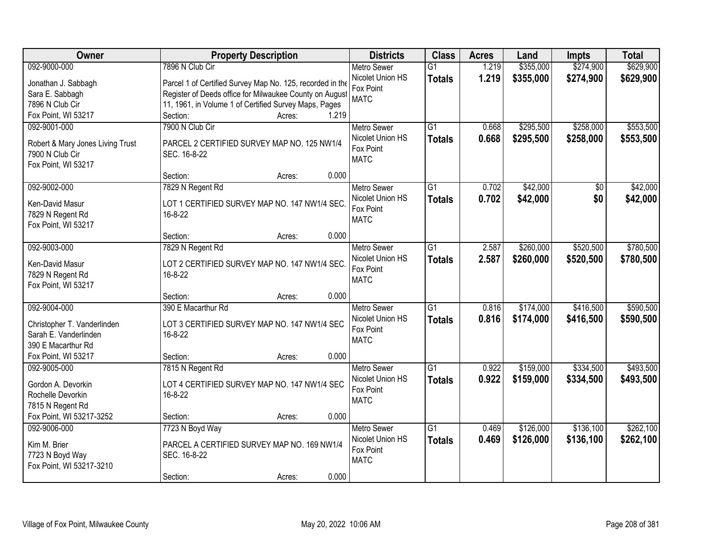| Owner                            | <b>Property Description</b>                               | <b>Districts</b>   | <b>Class</b>    | <b>Acres</b> | Land      | <b>Impts</b> | <b>Total</b> |
|----------------------------------|-----------------------------------------------------------|--------------------|-----------------|--------------|-----------|--------------|--------------|
| 092-9000-000                     | 7896 N Club Cir                                           | <b>Metro Sewer</b> | $\overline{G1}$ | 1.219        | \$355,000 | \$274,900    | \$629,900    |
| Jonathan J. Sabbagh              | Parcel 1 of Certified Survey Map No. 125, recorded in the | Nicolet Union HS   | <b>Totals</b>   | 1.219        | \$355,000 | \$274,900    | \$629,900    |
| Sara E. Sabbagh                  | Register of Deeds office for Milwaukee County on August   | Fox Point          |                 |              |           |              |              |
| 7896 N Club Cir                  | 11, 1961, in Volume 1 of Certified Survey Maps, Pages     | <b>MATC</b>        |                 |              |           |              |              |
| Fox Point, WI 53217              | 1.219<br>Section:<br>Acres:                               |                    |                 |              |           |              |              |
| 092-9001-000                     | 7900 N Club Cir                                           | <b>Metro Sewer</b> | $\overline{G1}$ | 0.668        | \$295,500 | \$258,000    | \$553,500    |
|                                  |                                                           | Nicolet Union HS   | <b>Totals</b>   | 0.668        | \$295,500 | \$258,000    | \$553,500    |
| Robert & Mary Jones Living Trust | PARCEL 2 CERTIFIED SURVEY MAP NO. 125 NW1/4               | Fox Point          |                 |              |           |              |              |
| 7900 N Club Cir                  | SEC. 16-8-22                                              | <b>MATC</b>        |                 |              |           |              |              |
| Fox Point, WI 53217              |                                                           |                    |                 |              |           |              |              |
|                                  | 0.000<br>Section:<br>Acres:                               |                    |                 |              |           |              |              |
| 092-9002-000                     | 7829 N Regent Rd                                          | Metro Sewer        | G1              | 0.702        | \$42,000  | \$0          | \$42,000     |
| Ken-David Masur                  | LOT 1 CERTIFIED SURVEY MAP NO. 147 NW1/4 SEC.             | Nicolet Union HS   | <b>Totals</b>   | 0.702        | \$42,000  | \$0          | \$42,000     |
| 7829 N Regent Rd                 | 16-8-22                                                   | Fox Point          |                 |              |           |              |              |
| Fox Point, WI 53217              |                                                           | <b>MATC</b>        |                 |              |           |              |              |
|                                  | 0.000<br>Section:<br>Acres:                               |                    |                 |              |           |              |              |
| 092-9003-000                     | 7829 N Regent Rd                                          | <b>Metro Sewer</b> | $\overline{G1}$ | 2.587        | \$260,000 | \$520,500    | \$780,500    |
|                                  |                                                           | Nicolet Union HS   | <b>Totals</b>   | 2.587        | \$260,000 | \$520,500    | \$780,500    |
| Ken-David Masur                  | LOT 2 CERTIFIED SURVEY MAP NO. 147 NW1/4 SEC.             | Fox Point          |                 |              |           |              |              |
| 7829 N Regent Rd                 | 16-8-22                                                   | <b>MATC</b>        |                 |              |           |              |              |
| Fox Point, WI 53217              |                                                           |                    |                 |              |           |              |              |
|                                  | 0.000<br>Section:<br>Acres:                               |                    |                 |              |           |              |              |
| 092-9004-000                     | 390 E Macarthur Rd                                        | Metro Sewer        | $\overline{G1}$ | 0.816        | \$174,000 | \$416,500    | \$590,500    |
| Christopher T. Vanderlinden      | LOT 3 CERTIFIED SURVEY MAP NO. 147 NW1/4 SEC              | Nicolet Union HS   | <b>Totals</b>   | 0.816        | \$174,000 | \$416,500    | \$590,500    |
| Sarah E. Vanderlinden            | 16-8-22                                                   | Fox Point          |                 |              |           |              |              |
| 390 E Macarthur Rd               |                                                           | <b>MATC</b>        |                 |              |           |              |              |
| Fox Point, WI 53217              | Section:<br>0.000<br>Acres:                               |                    |                 |              |           |              |              |
| 092-9005-000                     | 7815 N Regent Rd                                          | <b>Metro Sewer</b> | $\overline{G1}$ | 0.922        | \$159,000 | \$334,500    | \$493,500    |
|                                  |                                                           | Nicolet Union HS   | <b>Totals</b>   | 0.922        | \$159,000 | \$334,500    | \$493,500    |
| Gordon A. Devorkin               | LOT 4 CERTIFIED SURVEY MAP NO. 147 NW1/4 SEC              | Fox Point          |                 |              |           |              |              |
| Rochelle Devorkin                | 16-8-22                                                   | <b>MATC</b>        |                 |              |           |              |              |
| 7815 N Regent Rd                 |                                                           |                    |                 |              |           |              |              |
| Fox Point, WI 53217-3252         | 0.000<br>Section:<br>Acres:                               |                    |                 |              |           |              |              |
| 092-9006-000                     | 7723 N Boyd Way                                           | <b>Metro Sewer</b> | $\overline{G1}$ | 0.469        | \$126,000 | \$136,100    | \$262,100    |
| Kim M. Brier                     | PARCEL A CERTIFIED SURVEY MAP NO. 169 NW1/4               | Nicolet Union HS   | <b>Totals</b>   | 0.469        | \$126,000 | \$136,100    | \$262,100    |
| 7723 N Boyd Way                  | SEC. 16-8-22                                              | Fox Point          |                 |              |           |              |              |
| Fox Point, WI 53217-3210         |                                                           | <b>MATC</b>        |                 |              |           |              |              |
|                                  | 0.000<br>Section:<br>Acres:                               |                    |                 |              |           |              |              |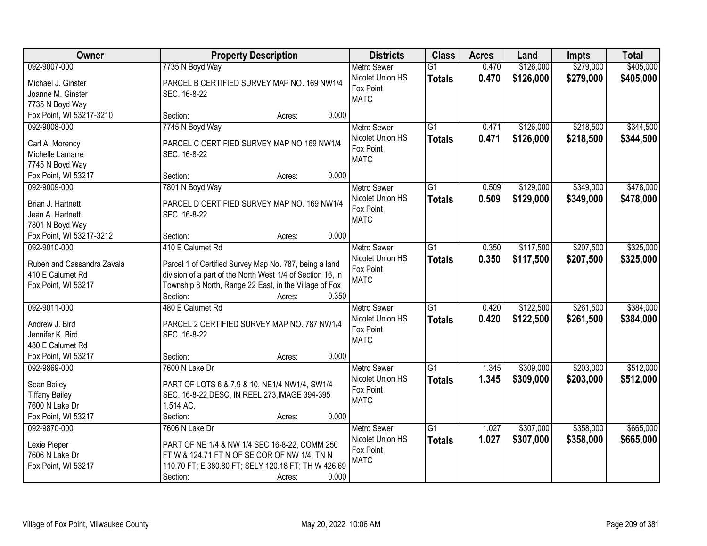| Owner                      | <b>Property Description</b>                                | <b>Districts</b>   | <b>Class</b>    | <b>Acres</b> | Land      | <b>Impts</b> | <b>Total</b> |
|----------------------------|------------------------------------------------------------|--------------------|-----------------|--------------|-----------|--------------|--------------|
| 092-9007-000               | 7735 N Boyd Way                                            | <b>Metro Sewer</b> | $\overline{G1}$ | 0.470        | \$126,000 | \$279,000    | \$405,000    |
| Michael J. Ginster         | PARCEL B CERTIFIED SURVEY MAP NO. 169 NW1/4                | Nicolet Union HS   | <b>Totals</b>   | 0.470        | \$126,000 | \$279,000    | \$405,000    |
| Joanne M. Ginster          | SEC. 16-8-22                                               | Fox Point          |                 |              |           |              |              |
| 7735 N Boyd Way            |                                                            | <b>MATC</b>        |                 |              |           |              |              |
| Fox Point, WI 53217-3210   | 0.000<br>Section:<br>Acres:                                |                    |                 |              |           |              |              |
| 092-9008-000               | 7745 N Boyd Way                                            | <b>Metro Sewer</b> | $\overline{G1}$ | 0.471        | \$126,000 | \$218,500    | \$344,500    |
|                            |                                                            | Nicolet Union HS   | <b>Totals</b>   | 0.471        | \$126,000 | \$218,500    | \$344,500    |
| Carl A. Morency            | PARCEL C CERTIFIED SURVEY MAP NO 169 NW1/4                 | Fox Point          |                 |              |           |              |              |
| Michelle Lamarre           | SEC. 16-8-22                                               | <b>MATC</b>        |                 |              |           |              |              |
| 7745 N Boyd Way            |                                                            |                    |                 |              |           |              |              |
| Fox Point, WI 53217        | 0.000<br>Section:<br>Acres:                                |                    |                 |              |           |              |              |
| 092-9009-000               | 7801 N Boyd Way                                            | <b>Metro Sewer</b> | G1              | 0.509        | \$129,000 | \$349,000    | \$478,000    |
| Brian J. Hartnett          | PARCEL D CERTIFIED SURVEY MAP NO. 169 NW1/4                | Nicolet Union HS   | <b>Totals</b>   | 0.509        | \$129,000 | \$349,000    | \$478,000    |
| Jean A. Hartnett           | SEC. 16-8-22                                               | Fox Point          |                 |              |           |              |              |
| 7801 N Boyd Way            |                                                            | <b>MATC</b>        |                 |              |           |              |              |
| Fox Point, WI 53217-3212   | 0.000<br>Section:<br>Acres:                                |                    |                 |              |           |              |              |
| 092-9010-000               | 410 E Calumet Rd                                           | <b>Metro Sewer</b> | G1              | 0.350        | \$117,500 | \$207,500    | \$325,000    |
|                            |                                                            | Nicolet Union HS   | <b>Totals</b>   | 0.350        | \$117,500 | \$207,500    | \$325,000    |
| Ruben and Cassandra Zavala | Parcel 1 of Certified Survey Map No. 787, being a land     | Fox Point          |                 |              |           |              |              |
| 410 E Calumet Rd           | division of a part of the North West 1/4 of Section 16, in | <b>MATC</b>        |                 |              |           |              |              |
| Fox Point, WI 53217        | Township 8 North, Range 22 East, in the Village of Fox     |                    |                 |              |           |              |              |
|                            | Section:<br>0.350<br>Acres:                                |                    |                 |              |           |              |              |
| 092-9011-000               | 480 E Calumet Rd                                           | Metro Sewer        | $\overline{G1}$ | 0.420        | \$122,500 | \$261,500    | \$384,000    |
| Andrew J. Bird             | PARCEL 2 CERTIFIED SURVEY MAP NO. 787 NW1/4                | Nicolet Union HS   | <b>Totals</b>   | 0.420        | \$122,500 | \$261,500    | \$384,000    |
| Jennifer K. Bird           | SEC. 16-8-22                                               | Fox Point          |                 |              |           |              |              |
| 480 E Calumet Rd           |                                                            | <b>MATC</b>        |                 |              |           |              |              |
| Fox Point, WI 53217        | 0.000<br>Section:<br>Acres:                                |                    |                 |              |           |              |              |
| 092-9869-000               | 7600 N Lake Dr                                             | <b>Metro Sewer</b> | $\overline{G1}$ | 1.345        | \$309,000 | \$203,000    | \$512,000    |
|                            |                                                            | Nicolet Union HS   |                 | 1.345        | \$309,000 | \$203,000    | \$512,000    |
| Sean Bailey                | PART OF LOTS 6 & 7,9 & 10, NE1/4 NW1/4, SW1/4              | Fox Point          | <b>Totals</b>   |              |           |              |              |
| <b>Tiffany Bailey</b>      | SEC. 16-8-22, DESC, IN REEL 273, IMAGE 394-395             | <b>MATC</b>        |                 |              |           |              |              |
| 7600 N Lake Dr             | 1.514 AC.                                                  |                    |                 |              |           |              |              |
| Fox Point, WI 53217        | 0.000<br>Section:<br>Acres:                                |                    |                 |              |           |              |              |
| 092-9870-000               | 7606 N Lake Dr                                             | <b>Metro Sewer</b> | $\overline{G1}$ | 1.027        | \$307,000 | \$358,000    | \$665,000    |
| Lexie Pieper               | PART OF NE 1/4 & NW 1/4 SEC 16-8-22, COMM 250              | Nicolet Union HS   | <b>Totals</b>   | 1.027        | \$307,000 | \$358,000    | \$665,000    |
| 7606 N Lake Dr             | FT W & 124.71 FT N OF SE COR OF NW 1/4, TN N               | Fox Point          |                 |              |           |              |              |
| Fox Point, WI 53217        | 110.70 FT; E 380.80 FT; SELY 120.18 FT; TH W 426.69        | <b>MATC</b>        |                 |              |           |              |              |
|                            | 0.000<br>Section:                                          |                    |                 |              |           |              |              |
|                            | Acres:                                                     |                    |                 |              |           |              |              |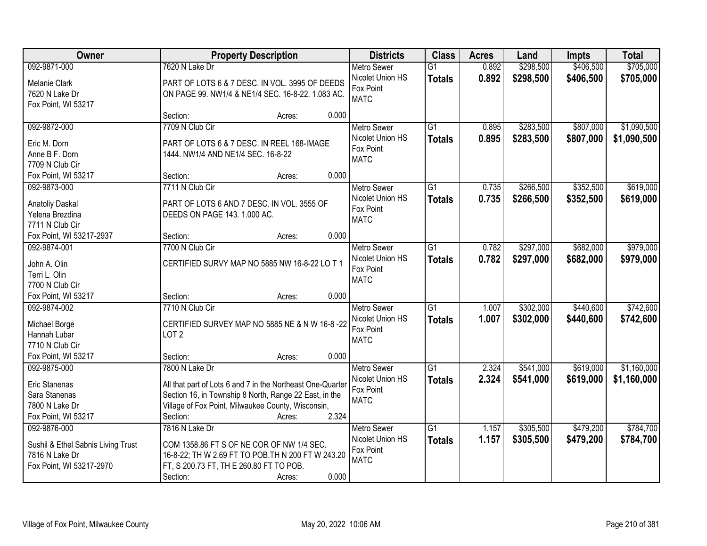| Owner                              |                                                                  | <b>Property Description</b> |       | <b>Districts</b>                       | <b>Class</b>                     | <b>Acres</b>   | Land                   | <b>Impts</b>           | <b>Total</b>           |
|------------------------------------|------------------------------------------------------------------|-----------------------------|-------|----------------------------------------|----------------------------------|----------------|------------------------|------------------------|------------------------|
| 092-9871-000<br>Melanie Clark      | 7620 N Lake Dr<br>PART OF LOTS 6 & 7 DESC. IN VOL. 3995 OF DEEDS |                             |       | <b>Metro Sewer</b><br>Nicolet Union HS | $\overline{G1}$<br><b>Totals</b> | 0.892<br>0.892 | \$298,500<br>\$298,500 | \$406,500<br>\$406,500 | \$705,000<br>\$705,000 |
| 7620 N Lake Dr                     | ON PAGE 99. NW1/4 & NE1/4 SEC. 16-8-22. 1.083 AC.                |                             |       | Fox Point                              |                                  |                |                        |                        |                        |
| Fox Point, WI 53217                |                                                                  |                             |       | <b>MATC</b>                            |                                  |                |                        |                        |                        |
|                                    | Section:                                                         | Acres:                      | 0.000 |                                        |                                  |                |                        |                        |                        |
| 092-9872-000                       | 7709 N Club Cir                                                  |                             |       | <b>Metro Sewer</b>                     | $\overline{G1}$                  | 0.895          | \$283,500              | \$807,000              | \$1,090,500            |
| Eric M. Dorn                       | PART OF LOTS 6 & 7 DESC. IN REEL 168-IMAGE                       |                             |       | Nicolet Union HS                       | <b>Totals</b>                    | 0.895          | \$283,500              | \$807,000              | \$1,090,500            |
| Anne B F. Dorn                     | 1444. NW1/4 AND NE1/4 SEC. 16-8-22                               |                             |       | Fox Point<br><b>MATC</b>               |                                  |                |                        |                        |                        |
| 7709 N Club Cir                    |                                                                  |                             |       |                                        |                                  |                |                        |                        |                        |
| Fox Point, WI 53217                | Section:                                                         | Acres:                      | 0.000 |                                        |                                  |                |                        |                        |                        |
| 092-9873-000                       | 7711 N Club Cir                                                  |                             |       | <b>Metro Sewer</b>                     | $\overline{G1}$                  | 0.735          | \$266,500              | \$352,500              | \$619,000              |
| <b>Anatoliy Daskal</b>             | PART OF LOTS 6 AND 7 DESC. IN VOL. 3555 OF                       |                             |       | Nicolet Union HS                       | <b>Totals</b>                    | 0.735          | \$266,500              | \$352,500              | \$619,000              |
| Yelena Brezdina                    | DEEDS ON PAGE 143. 1.000 AC.                                     |                             |       | Fox Point<br><b>MATC</b>               |                                  |                |                        |                        |                        |
| 7711 N Club Cir                    |                                                                  |                             |       |                                        |                                  |                |                        |                        |                        |
| Fox Point, WI 53217-2937           | Section:                                                         | Acres:                      | 0.000 |                                        |                                  |                |                        |                        |                        |
| 092-9874-001                       | 7700 N Club Cir                                                  |                             |       | <b>Metro Sewer</b>                     | G1                               | 0.782          | \$297,000              | \$682,000              | \$979,000              |
| John A. Olin                       | CERTIFIED SURVY MAP NO 5885 NW 16-8-22 LO T 1                    |                             |       | Nicolet Union HS                       | <b>Totals</b>                    | 0.782          | \$297,000              | \$682,000              | \$979,000              |
| Terri L. Olin                      |                                                                  |                             |       | Fox Point<br><b>MATC</b>               |                                  |                |                        |                        |                        |
| 7700 N Club Cir                    |                                                                  |                             |       |                                        |                                  |                |                        |                        |                        |
| Fox Point, WI 53217                | Section:                                                         | Acres:                      | 0.000 |                                        |                                  |                |                        |                        |                        |
| 092-9874-002                       | 7710 N Club Cir                                                  |                             |       | <b>Metro Sewer</b>                     | $\overline{G1}$                  | 1.007          | \$302,000              | \$440,600              | \$742,600              |
| Michael Borge                      | CERTIFIED SURVEY MAP NO 5885 NE & N W 16-8-22                    |                             |       | Nicolet Union HS                       | <b>Totals</b>                    | 1.007          | \$302,000              | \$440,600              | \$742,600              |
| Hannah Lubar                       | LOT <sub>2</sub>                                                 |                             |       | Fox Point<br><b>MATC</b>               |                                  |                |                        |                        |                        |
| 7710 N Club Cir                    |                                                                  |                             |       |                                        |                                  |                |                        |                        |                        |
| Fox Point, WI 53217                | Section:                                                         | Acres:                      | 0.000 |                                        |                                  |                |                        |                        |                        |
| 092-9875-000                       | 7800 N Lake Dr                                                   |                             |       | <b>Metro Sewer</b>                     | $\overline{G1}$                  | 2.324          | \$541,000              | \$619,000              | \$1,160,000            |
| Eric Stanenas                      | All that part of Lots 6 and 7 in the Northeast One-Quarter       |                             |       | Nicolet Union HS                       | <b>Totals</b>                    | 2.324          | \$541,000              | \$619,000              | \$1,160,000            |
| Sara Stanenas                      | Section 16, in Township 8 North, Range 22 East, in the           |                             |       | Fox Point<br><b>MATC</b>               |                                  |                |                        |                        |                        |
| 7800 N Lake Dr                     | Village of Fox Point, Milwaukee County, Wisconsin,               |                             |       |                                        |                                  |                |                        |                        |                        |
| Fox Point, WI 53217                | Section:                                                         | Acres:                      | 2.324 |                                        |                                  |                |                        |                        |                        |
| 092-9876-000                       | 7816 N Lake Dr                                                   |                             |       | <b>Metro Sewer</b>                     | $\overline{G1}$                  | 1.157          | \$305,500              | \$479,200              | \$784,700              |
| Sushil & Ethel Sabnis Living Trust | COM 1358.86 FT S OF NE COR OF NW 1/4 SEC.                        |                             |       | Nicolet Union HS                       | <b>Totals</b>                    | 1.157          | \$305,500              | \$479,200              | \$784,700              |
| 7816 N Lake Dr                     | 16-8-22; TH W 2.69 FT TO POB.TH N 200 FT W 243.20                |                             |       | Fox Point                              |                                  |                |                        |                        |                        |
| Fox Point, WI 53217-2970           | FT, S 200.73 FT, TH E 260.80 FT TO POB.                          |                             |       | <b>MATC</b>                            |                                  |                |                        |                        |                        |
|                                    | Section:                                                         | Acres:                      | 0.000 |                                        |                                  |                |                        |                        |                        |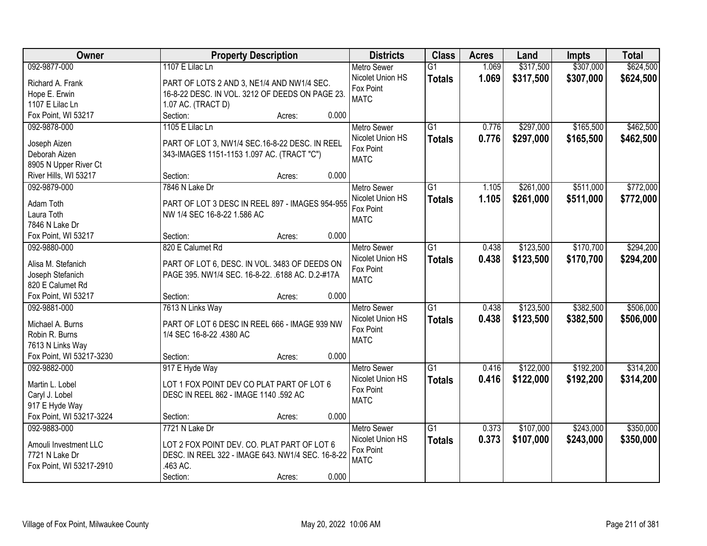| Owner                    | <b>Property Description</b>                       | <b>Districts</b>   | <b>Class</b>    | <b>Acres</b> | Land      | <b>Impts</b> | <b>Total</b> |
|--------------------------|---------------------------------------------------|--------------------|-----------------|--------------|-----------|--------------|--------------|
| 092-9877-000             | 1107 E Lilac Ln                                   | <b>Metro Sewer</b> | $\overline{G1}$ | 1.069        | \$317,500 | \$307,000    | \$624,500    |
| Richard A. Frank         | PART OF LOTS 2 AND 3, NE1/4 AND NW1/4 SEC.        | Nicolet Union HS   | <b>Totals</b>   | 1.069        | \$317,500 | \$307,000    | \$624,500    |
| Hope E. Erwin            | 16-8-22 DESC. IN VOL. 3212 OF DEEDS ON PAGE 23.   | Fox Point          |                 |              |           |              |              |
| 1107 E Lilac Ln          | 1.07 AC. (TRACT D)                                | <b>MATC</b>        |                 |              |           |              |              |
| Fox Point, WI 53217      | Section:<br>0.000<br>Acres:                       |                    |                 |              |           |              |              |
| 092-9878-000             | 1105 E Lilac Ln                                   | <b>Metro Sewer</b> | $\overline{G1}$ | 0.776        | \$297,000 | \$165,500    | \$462,500    |
|                          |                                                   | Nicolet Union HS   | <b>Totals</b>   | 0.776        | \$297,000 | \$165,500    | \$462,500    |
| Joseph Aizen             | PART OF LOT 3, NW1/4 SEC.16-8-22 DESC. IN REEL    | Fox Point          |                 |              |           |              |              |
| Deborah Aizen            | 343-IMAGES 1151-1153 1.097 AC. (TRACT "C")        | <b>MATC</b>        |                 |              |           |              |              |
| 8905 N Upper River Ct    |                                                   |                    |                 |              |           |              |              |
| River Hills, WI 53217    | 0.000<br>Section:<br>Acres:                       |                    |                 |              |           |              |              |
| 092-9879-000             | 7846 N Lake Dr                                    | Metro Sewer        | $\overline{G1}$ | 1.105        | \$261,000 | \$511,000    | \$772,000    |
| Adam Toth                | PART OF LOT 3 DESC IN REEL 897 - IMAGES 954-955   | Nicolet Union HS   | <b>Totals</b>   | 1.105        | \$261,000 | \$511,000    | \$772,000    |
| Laura Toth               | NW 1/4 SEC 16-8-22 1.586 AC                       | Fox Point          |                 |              |           |              |              |
| 7846 N Lake Dr           |                                                   | <b>MATC</b>        |                 |              |           |              |              |
| Fox Point, WI 53217      | 0.000<br>Section:<br>Acres:                       |                    |                 |              |           |              |              |
| 092-9880-000             | 820 E Calumet Rd                                  | <b>Metro Sewer</b> | $\overline{G1}$ | 0.438        | \$123,500 | \$170,700    | \$294,200    |
|                          |                                                   | Nicolet Union HS   |                 | 0.438        |           |              |              |
| Alisa M. Stefanich       | PART OF LOT 6, DESC. IN VOL. 3483 OF DEEDS ON     | Fox Point          | <b>Totals</b>   |              | \$123,500 | \$170,700    | \$294,200    |
| Joseph Stefanich         | PAGE 395. NW1/4 SEC. 16-8-22. .6188 AC. D.2-#17A  | <b>MATC</b>        |                 |              |           |              |              |
| 820 E Calumet Rd         |                                                   |                    |                 |              |           |              |              |
| Fox Point, WI 53217      | 0.000<br>Section:<br>Acres:                       |                    |                 |              |           |              |              |
| 092-9881-000             | 7613 N Links Way                                  | <b>Metro Sewer</b> | $\overline{G1}$ | 0.438        | \$123,500 | \$382,500    | \$506,000    |
|                          | PART OF LOT 6 DESC IN REEL 666 - IMAGE 939 NW     | Nicolet Union HS   | <b>Totals</b>   | 0.438        | \$123,500 | \$382,500    | \$506,000    |
| Michael A. Burns         |                                                   | Fox Point          |                 |              |           |              |              |
| Robin R. Burns           | 1/4 SEC 16-8-22 .4380 AC                          | <b>MATC</b>        |                 |              |           |              |              |
| 7613 N Links Way         | 0.000                                             |                    |                 |              |           |              |              |
| Fox Point, WI 53217-3230 | Section:<br>Acres:                                |                    |                 |              |           |              |              |
| 092-9882-000             | 917 E Hyde Way                                    | <b>Metro Sewer</b> | $\overline{G1}$ | 0.416        | \$122,000 | \$192,200    | \$314,200    |
| Martin L. Lobel          | LOT 1 FOX POINT DEV CO PLAT PART OF LOT 6         | Nicolet Union HS   | <b>Totals</b>   | 0.416        | \$122,000 | \$192,200    | \$314,200    |
| Caryl J. Lobel           | DESC IN REEL 862 - IMAGE 1140 .592 AC             | Fox Point          |                 |              |           |              |              |
| 917 E Hyde Way           |                                                   | <b>MATC</b>        |                 |              |           |              |              |
| Fox Point, WI 53217-3224 | 0.000<br>Section:<br>Acres:                       |                    |                 |              |           |              |              |
| 092-9883-000             | 7721 N Lake Dr                                    | Metro Sewer        | $\overline{G1}$ | 0.373        | \$107,000 | \$243,000    | \$350,000    |
|                          |                                                   | Nicolet Union HS   | <b>Totals</b>   | 0.373        | \$107,000 | \$243,000    | \$350,000    |
| Amouli Investment LLC    | LOT 2 FOX POINT DEV. CO. PLAT PART OF LOT 6       | Fox Point          |                 |              |           |              |              |
| 7721 N Lake Dr           | DESC. IN REEL 322 - IMAGE 643. NW1/4 SEC. 16-8-22 | <b>MATC</b>        |                 |              |           |              |              |
| Fox Point, WI 53217-2910 | .463 AC.                                          |                    |                 |              |           |              |              |
|                          | 0.000<br>Section:<br>Acres:                       |                    |                 |              |           |              |              |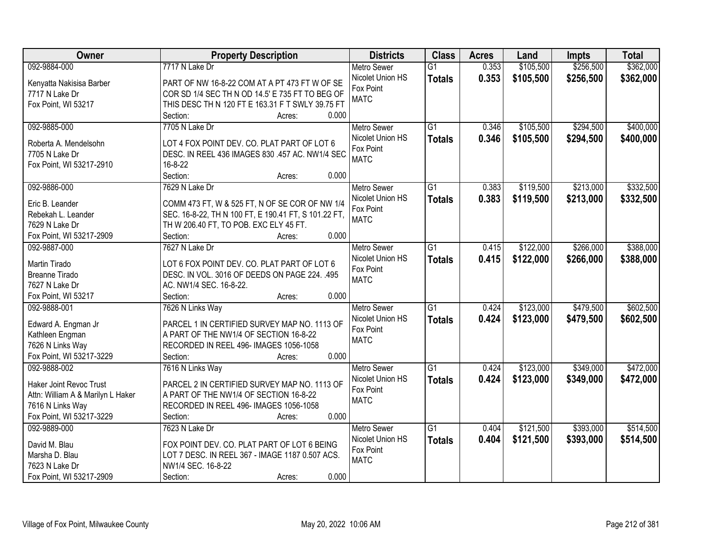| Owner                             | <b>Property Description</b>                          | <b>Districts</b>         | <b>Class</b>    | <b>Acres</b> | Land      | <b>Impts</b> | <b>Total</b> |
|-----------------------------------|------------------------------------------------------|--------------------------|-----------------|--------------|-----------|--------------|--------------|
| 092-9884-000                      | 7717 N Lake Dr                                       | <b>Metro Sewer</b>       | $\overline{G1}$ | 0.353        | \$105,500 | \$256,500    | \$362,000    |
| Kenyatta Nakisisa Barber          | PART OF NW 16-8-22 COM AT A PT 473 FT W OF SE        | Nicolet Union HS         | <b>Totals</b>   | 0.353        | \$105,500 | \$256,500    | \$362,000    |
| 7717 N Lake Dr                    | COR SD 1/4 SEC TH N OD 14.5' E 735 FT TO BEG OF      | Fox Point                |                 |              |           |              |              |
| Fox Point, WI 53217               | THIS DESC TH N 120 FT E 163.31 F T SWLY 39.75 FT     | <b>MATC</b>              |                 |              |           |              |              |
|                                   | 0.000<br>Section:<br>Acres:                          |                          |                 |              |           |              |              |
| 092-9885-000                      | 7705 N Lake Dr                                       | <b>Metro Sewer</b>       | $\overline{G1}$ | 0.346        | \$105,500 | \$294,500    | \$400,000    |
|                                   |                                                      | Nicolet Union HS         | <b>Totals</b>   | 0.346        | \$105,500 | \$294,500    | \$400,000    |
| Roberta A. Mendelsohn             | LOT 4 FOX POINT DEV. CO. PLAT PART OF LOT 6          | Fox Point                |                 |              |           |              |              |
| 7705 N Lake Dr                    | DESC. IN REEL 436 IMAGES 830 .457 AC. NW1/4 SEC      | <b>MATC</b>              |                 |              |           |              |              |
| Fox Point, WI 53217-2910          | 16-8-22                                              |                          |                 |              |           |              |              |
|                                   | 0.000<br>Section:<br>Acres:                          |                          |                 |              |           |              |              |
| 092-9886-000                      | 7629 N Lake Dr                                       | <b>Metro Sewer</b>       | G1              | 0.383        | \$119,500 | \$213,000    | \$332,500    |
| Eric B. Leander                   | COMM 473 FT, W & 525 FT, N OF SE COR OF NW 1/4       | Nicolet Union HS         | <b>Totals</b>   | 0.383        | \$119,500 | \$213,000    | \$332,500    |
| Rebekah L. Leander                | SEC. 16-8-22, TH N 100 FT, E 190.41 FT, S 101.22 FT, | Fox Point                |                 |              |           |              |              |
| 7629 N Lake Dr                    | TH W 206.40 FT, TO POB. EXC ELY 45 FT.               | <b>MATC</b>              |                 |              |           |              |              |
| Fox Point, WI 53217-2909          | 0.000<br>Section:<br>Acres:                          |                          |                 |              |           |              |              |
| 092-9887-000                      | 7627 N Lake Dr                                       | <b>Metro Sewer</b>       | $\overline{G1}$ | 0.415        | \$122,000 | \$266,000    | \$388,000    |
|                                   |                                                      | Nicolet Union HS         | <b>Totals</b>   | 0.415        | \$122,000 | \$266,000    | \$388,000    |
| Martin Tirado                     | LOT 6 FOX POINT DEV. CO. PLAT PART OF LOT 6          | Fox Point                |                 |              |           |              |              |
| <b>Breanne Tirado</b>             | DESC. IN VOL. 3016 OF DEEDS ON PAGE 224. .495        | <b>MATC</b>              |                 |              |           |              |              |
| 7627 N Lake Dr                    | AC. NW1/4 SEC. 16-8-22.                              |                          |                 |              |           |              |              |
| Fox Point, WI 53217               | Section:<br>0.000<br>Acres:                          |                          | $\overline{G1}$ |              |           |              |              |
| 092-9888-001                      | 7626 N Links Way                                     | <b>Metro Sewer</b>       |                 | 0.424        | \$123,000 | \$479,500    | \$602,500    |
| Edward A. Engman Jr               | PARCEL 1 IN CERTIFIED SURVEY MAP NO. 1113 OF         | Nicolet Union HS         | <b>Totals</b>   | 0.424        | \$123,000 | \$479,500    | \$602,500    |
| Kathleen Engman                   | A PART OF THE NW1/4 OF SECTION 16-8-22               | Fox Point<br><b>MATC</b> |                 |              |           |              |              |
| 7626 N Links Way                  | RECORDED IN REEL 496- IMAGES 1056-1058               |                          |                 |              |           |              |              |
| Fox Point, WI 53217-3229          | 0.000<br>Section:<br>Acres:                          |                          |                 |              |           |              |              |
| 092-9888-002                      | 7616 N Links Way                                     | <b>Metro Sewer</b>       | $\overline{G1}$ | 0.424        | \$123,000 | \$349,000    | \$472,000    |
| <b>Haker Joint Revoc Trust</b>    | PARCEL 2 IN CERTIFIED SURVEY MAP NO. 1113 OF         | Nicolet Union HS         | <b>Totals</b>   | 0.424        | \$123,000 | \$349,000    | \$472,000    |
| Attn: William A & Marilyn L Haker | A PART OF THE NW1/4 OF SECTION 16-8-22               | Fox Point                |                 |              |           |              |              |
| 7616 N Links Way                  | RECORDED IN REEL 496- IMAGES 1056-1058               | <b>MATC</b>              |                 |              |           |              |              |
| Fox Point, WI 53217-3229          | 0.000<br>Section:<br>Acres:                          |                          |                 |              |           |              |              |
| 092-9889-000                      | 7623 N Lake Dr                                       | <b>Metro Sewer</b>       | $\overline{G1}$ | 0.404        | \$121,500 | \$393,000    | \$514,500    |
|                                   |                                                      | Nicolet Union HS         | <b>Totals</b>   | 0.404        | \$121,500 | \$393,000    | \$514,500    |
| David M. Blau                     | FOX POINT DEV. CO. PLAT PART OF LOT 6 BEING          | Fox Point                |                 |              |           |              |              |
| Marsha D. Blau                    | LOT 7 DESC. IN REEL 367 - IMAGE 1187 0.507 ACS.      | <b>MATC</b>              |                 |              |           |              |              |
| 7623 N Lake Dr                    | NW1/4 SEC. 16-8-22                                   |                          |                 |              |           |              |              |
| Fox Point, WI 53217-2909          | 0.000<br>Section:<br>Acres:                          |                          |                 |              |           |              |              |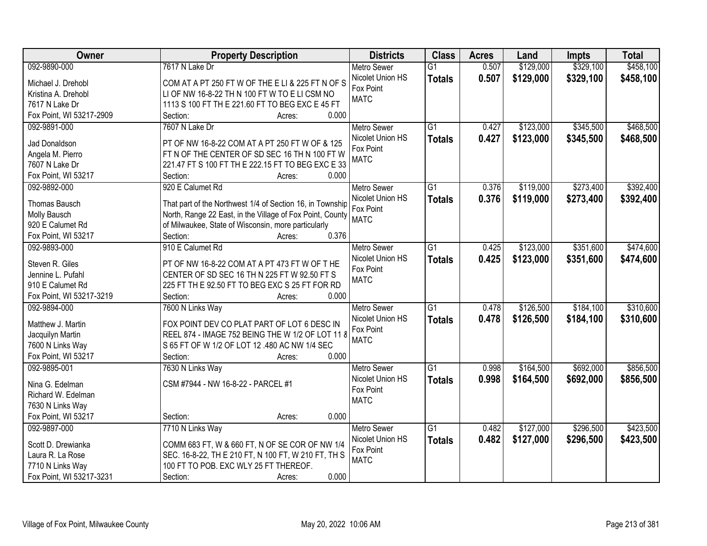| <b>Owner</b>             | <b>Property Description</b>                               | <b>Districts</b>   | <b>Class</b>    | <b>Acres</b> | Land      | <b>Impts</b> | <b>Total</b> |
|--------------------------|-----------------------------------------------------------|--------------------|-----------------|--------------|-----------|--------------|--------------|
| 092-9890-000             | 7617 N Lake Dr                                            | <b>Metro Sewer</b> | $\overline{G1}$ | 0.507        | \$129,000 | \$329,100    | \$458,100    |
| Michael J. Drehobl       | COM AT A PT 250 FT W OF THE E LI & 225 FT N OF S          | Nicolet Union HS   | <b>Totals</b>   | 0.507        | \$129,000 | \$329,100    | \$458,100    |
| Kristina A. Drehobl      | LI OF NW 16-8-22 TH N 100 FT W TO E LI CSM NO             | Fox Point          |                 |              |           |              |              |
| 7617 N Lake Dr           | 1113 S 100 FT TH E 221.60 FT TO BEG EXC E 45 FT           | <b>MATC</b>        |                 |              |           |              |              |
| Fox Point, WI 53217-2909 | 0.000<br>Section:<br>Acres:                               |                    |                 |              |           |              |              |
| 092-9891-000             | 7607 N Lake Dr                                            | <b>Metro Sewer</b> | $\overline{G1}$ | 0.427        | \$123,000 | \$345,500    | \$468,500    |
|                          |                                                           | Nicolet Union HS   | <b>Totals</b>   | 0.427        | \$123,000 | \$345,500    | \$468,500    |
| Jad Donaldson            | PT OF NW 16-8-22 COM AT A PT 250 FT W OF & 125            | Fox Point          |                 |              |           |              |              |
| Angela M. Pierro         | FT N OF THE CENTER OF SD SEC 16 TH N 100 FT W             | <b>MATC</b>        |                 |              |           |              |              |
| 7607 N Lake Dr           | 221.47 FT S 100 FT TH E 222.15 FT TO BEG EXC E 33         |                    |                 |              |           |              |              |
| Fox Point, WI 53217      | 0.000<br>Section:<br>Acres:                               |                    |                 |              |           |              |              |
| 092-9892-000             | 920 E Calumet Rd                                          | <b>Metro Sewer</b> | $\overline{G1}$ | 0.376        | \$119,000 | \$273,400    | \$392,400    |
| <b>Thomas Bausch</b>     | That part of the Northwest 1/4 of Section 16, in Township | Nicolet Union HS   | <b>Totals</b>   | 0.376        | \$119,000 | \$273,400    | \$392,400    |
| Molly Bausch             | North, Range 22 East, in the Village of Fox Point, County | Fox Point          |                 |              |           |              |              |
| 920 E Calumet Rd         | of Milwaukee, State of Wisconsin, more particularly       | <b>MATC</b>        |                 |              |           |              |              |
| Fox Point, WI 53217      | 0.376<br>Section:<br>Acres:                               |                    |                 |              |           |              |              |
| 092-9893-000             | 910 E Calumet Rd                                          | <b>Metro Sewer</b> | $\overline{G1}$ | 0.425        | \$123,000 | \$351,600    | \$474,600    |
|                          |                                                           | Nicolet Union HS   | <b>Totals</b>   | 0.425        | \$123,000 | \$351,600    | \$474,600    |
| Steven R. Giles          | PT OF NW 16-8-22 COM AT A PT 473 FT W OF THE              | Fox Point          |                 |              |           |              |              |
| Jennine L. Pufahl        | CENTER OF SD SEC 16 TH N 225 FT W 92.50 FT S              | <b>MATC</b>        |                 |              |           |              |              |
| 910 E Calumet Rd         | 225 FT TH E 92.50 FT TO BEG EXC S 25 FT FOR RD            |                    |                 |              |           |              |              |
| Fox Point, WI 53217-3219 | Section:<br>0.000<br>Acres:                               |                    |                 |              |           |              |              |
| 092-9894-000             | 7600 N Links Way                                          | Metro Sewer        | $\overline{G1}$ | 0.478        | \$126,500 | \$184,100    | \$310,600    |
| Matthew J. Martin        | FOX POINT DEV CO PLAT PART OF LOT 6 DESC IN               | Nicolet Union HS   | <b>Totals</b>   | 0.478        | \$126,500 | \$184,100    | \$310,600    |
| Jacquilyn Martin         | REEL 874 - IMAGE 752 BEING THE W 1/2 OF LOT 11 8          | Fox Point          |                 |              |           |              |              |
| 7600 N Links Way         | S 65 FT OF W 1/2 OF LOT 12 .480 AC NW 1/4 SEC             | <b>MATC</b>        |                 |              |           |              |              |
| Fox Point, WI 53217      | 0.000<br>Section:<br>Acres:                               |                    |                 |              |           |              |              |
| 092-9895-001             | 7630 N Links Way                                          | <b>Metro Sewer</b> | $\overline{G1}$ | 0.998        | \$164,500 | \$692,000    | \$856,500    |
|                          |                                                           | Nicolet Union HS   |                 | 0.998        | \$164,500 | \$692,000    | \$856,500    |
| Nina G. Edelman          | CSM #7944 - NW 16-8-22 - PARCEL #1                        | Fox Point          | <b>Totals</b>   |              |           |              |              |
| Richard W. Edelman       |                                                           | <b>MATC</b>        |                 |              |           |              |              |
| 7630 N Links Way         |                                                           |                    |                 |              |           |              |              |
| Fox Point, WI 53217      | 0.000<br>Section:<br>Acres:                               |                    |                 |              |           |              |              |
| 092-9897-000             | 7710 N Links Way                                          | <b>Metro Sewer</b> | $\overline{G1}$ | 0.482        | \$127,000 | \$296,500    | \$423,500    |
| Scott D. Drewianka       | COMM 683 FT, W & 660 FT, N OF SE COR OF NW 1/4            | Nicolet Union HS   | <b>Totals</b>   | 0.482        | \$127,000 | \$296,500    | \$423,500    |
| Laura R. La Rose         | SEC. 16-8-22, TH E 210 FT, N 100 FT, W 210 FT, TH S       | Fox Point          |                 |              |           |              |              |
| 7710 N Links Way         | 100 FT TO POB. EXC WLY 25 FT THEREOF.                     | <b>MATC</b>        |                 |              |           |              |              |
|                          |                                                           |                    |                 |              |           |              |              |
| Fox Point, WI 53217-3231 | 0.000<br>Section:<br>Acres:                               |                    |                 |              |           |              |              |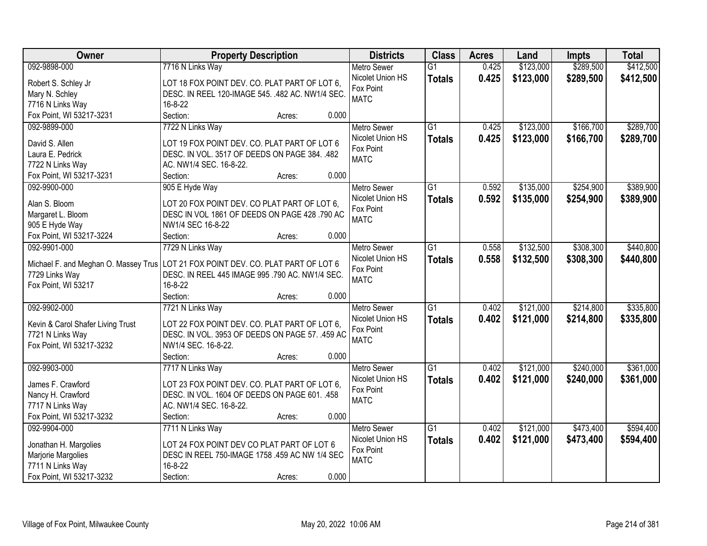| <b>Owner</b>                                | <b>Property Description</b>                      | <b>Districts</b>   | <b>Class</b>    | <b>Acres</b> | Land      | <b>Impts</b> | <b>Total</b> |
|---------------------------------------------|--------------------------------------------------|--------------------|-----------------|--------------|-----------|--------------|--------------|
| 092-9898-000                                | 7716 N Links Way                                 | <b>Metro Sewer</b> | $\overline{G1}$ | 0.425        | \$123,000 | \$289,500    | \$412,500    |
| Robert S. Schley Jr                         | LOT 18 FOX POINT DEV. CO. PLAT PART OF LOT 6,    | Nicolet Union HS   | <b>Totals</b>   | 0.425        | \$123,000 | \$289,500    | \$412,500    |
| Mary N. Schley                              | DESC. IN REEL 120-IMAGE 545. .482 AC. NW1/4 SEC. | Fox Point          |                 |              |           |              |              |
| 7716 N Links Way                            | 16-8-22                                          | <b>MATC</b>        |                 |              |           |              |              |
| Fox Point, WI 53217-3231                    | Section:<br>0.000<br>Acres:                      |                    |                 |              |           |              |              |
| 092-9899-000                                | 7722 N Links Way                                 | <b>Metro Sewer</b> | $\overline{G1}$ | 0.425        | \$123,000 | \$166,700    | \$289,700    |
|                                             |                                                  | Nicolet Union HS   | <b>Totals</b>   | 0.425        | \$123,000 | \$166,700    | \$289,700    |
| David S. Allen                              | LOT 19 FOX POINT DEV. CO. PLAT PART OF LOT 6     | Fox Point          |                 |              |           |              |              |
| Laura E. Pedrick                            | DESC. IN VOL. 3517 OF DEEDS ON PAGE 384. .482    | <b>MATC</b>        |                 |              |           |              |              |
| 7722 N Links Way                            | AC. NW1/4 SEC. 16-8-22.                          |                    |                 |              |           |              |              |
| Fox Point, WI 53217-3231                    | 0.000<br>Section:<br>Acres:                      |                    |                 |              |           |              |              |
| 092-9900-000                                | 905 E Hyde Way                                   | Metro Sewer        | G1              | 0.592        | \$135,000 | \$254,900    | \$389,900    |
| Alan S. Bloom                               | LOT 20 FOX POINT DEV. CO PLAT PART OF LOT 6,     | Nicolet Union HS   | <b>Totals</b>   | 0.592        | \$135,000 | \$254,900    | \$389,900    |
| Margaret L. Bloom                           | DESC IN VOL 1861 OF DEEDS ON PAGE 428 .790 AC    | Fox Point          |                 |              |           |              |              |
| 905 E Hyde Way                              | NW1/4 SEC 16-8-22                                | <b>MATC</b>        |                 |              |           |              |              |
| Fox Point, WI 53217-3224                    | 0.000<br>Section:<br>Acres:                      |                    |                 |              |           |              |              |
| 092-9901-000                                | 7729 N Links Way                                 | <b>Metro Sewer</b> | G1              | 0.558        | \$132,500 | \$308,300    | \$440,800    |
|                                             |                                                  | Nicolet Union HS   | <b>Totals</b>   | 0.558        | \$132,500 | \$308,300    | \$440,800    |
| Michael F. and Meghan O. Massey Trus        | LOT 21 FOX POINT DEV. CO. PLAT PART OF LOT 6     | Fox Point          |                 |              |           |              |              |
| 7729 Links Way                              | DESC. IN REEL 445 IMAGE 995 .790 AC. NW1/4 SEC.  | <b>MATC</b>        |                 |              |           |              |              |
| Fox Point, WI 53217                         | 16-8-22                                          |                    |                 |              |           |              |              |
|                                             | 0.000<br>Section:<br>Acres:                      |                    |                 |              |           |              |              |
| 092-9902-000                                | 7721 N Links Way                                 | <b>Metro Sewer</b> | $\overline{G1}$ | 0.402        | \$121,000 | \$214,800    | \$335,800    |
| Kevin & Carol Shafer Living Trust           | LOT 22 FOX POINT DEV. CO. PLAT PART OF LOT 6,    | Nicolet Union HS   | <b>Totals</b>   | 0.402        | \$121,000 | \$214,800    | \$335,800    |
| 7721 N Links Way                            | DESC. IN VOL. 3953 OF DEEDS ON PAGE 57. .459 AC  | Fox Point          |                 |              |           |              |              |
| Fox Point, WI 53217-3232                    | NW1/4 SEC. 16-8-22.                              | <b>MATC</b>        |                 |              |           |              |              |
|                                             | 0.000<br>Section:<br>Acres:                      |                    |                 |              |           |              |              |
| 092-9903-000                                | 7717 N Links Way                                 | Metro Sewer        | $\overline{G1}$ | 0.402        | \$121,000 | \$240,000    | \$361,000    |
|                                             |                                                  | Nicolet Union HS   |                 |              |           |              |              |
| James F. Crawford                           | LOT 23 FOX POINT DEV. CO. PLAT PART OF LOT 6,    | Fox Point          | <b>Totals</b>   | 0.402        | \$121,000 | \$240,000    | \$361,000    |
| Nancy H. Crawford                           | DESC. IN VOL. 1604 OF DEEDS ON PAGE 601. .458    | <b>MATC</b>        |                 |              |           |              |              |
| 7717 N Links Way                            | AC. NW1/4 SEC. 16-8-22.                          |                    |                 |              |           |              |              |
| Fox Point, WI 53217-3232                    | 0.000<br>Section:<br>Acres:                      |                    |                 |              |           |              |              |
| 092-9904-000                                | 7711 N Links Way                                 | <b>Metro Sewer</b> | $\overline{G1}$ | 0.402        | \$121,000 | \$473,400    | \$594,400    |
|                                             | LOT 24 FOX POINT DEV CO PLAT PART OF LOT 6       | Nicolet Union HS   | <b>Totals</b>   | 0.402        | \$121,000 | \$473,400    | \$594,400    |
| Jonathan H. Margolies<br>Marjorie Margolies | DESC IN REEL 750-IMAGE 1758 .459 AC NW 1/4 SEC   | Fox Point          |                 |              |           |              |              |
| 7711 N Links Way                            | 16-8-22                                          | <b>MATC</b>        |                 |              |           |              |              |
|                                             | 0.000                                            |                    |                 |              |           |              |              |
| Fox Point, WI 53217-3232                    | Section:<br>Acres:                               |                    |                 |              |           |              |              |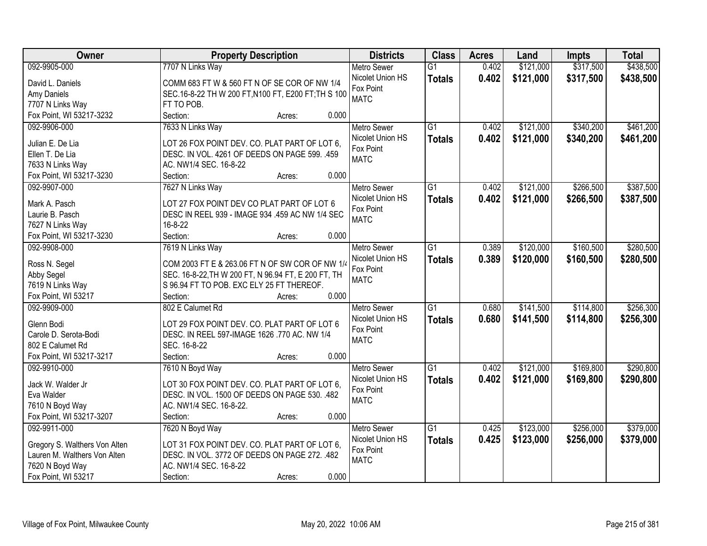| Owner                         | <b>Property Description</b>                         | <b>Districts</b>   | <b>Class</b>    | <b>Acres</b> | Land      | <b>Impts</b> | <b>Total</b> |
|-------------------------------|-----------------------------------------------------|--------------------|-----------------|--------------|-----------|--------------|--------------|
| 092-9905-000                  | 7707 N Links Way                                    | <b>Metro Sewer</b> | $\overline{G1}$ | 0.402        | \$121,000 | \$317,500    | \$438,500    |
| David L. Daniels              | COMM 683 FT W & 560 FT N OF SE COR OF NW 1/4        | Nicolet Union HS   | <b>Totals</b>   | 0.402        | \$121,000 | \$317,500    | \$438,500    |
| Amy Daniels                   | SEC.16-8-22 TH W 200 FT, N100 FT, E200 FT; TH S 100 | Fox Point          |                 |              |           |              |              |
| 7707 N Links Way              | FT TO POB.                                          | <b>MATC</b>        |                 |              |           |              |              |
| Fox Point, WI 53217-3232      | 0.000<br>Section:<br>Acres:                         |                    |                 |              |           |              |              |
| 092-9906-000                  | 7633 N Links Way                                    | <b>Metro Sewer</b> | $\overline{G1}$ | 0.402        | \$121,000 | \$340,200    | \$461,200    |
|                               |                                                     | Nicolet Union HS   | <b>Totals</b>   | 0.402        | \$121,000 | \$340,200    | \$461,200    |
| Julian E. De Lia              | LOT 26 FOX POINT DEV. CO. PLAT PART OF LOT 6,       | Fox Point          |                 |              |           |              |              |
| Ellen T. De Lia               | DESC. IN VOL. 4261 OF DEEDS ON PAGE 599. .459       | <b>MATC</b>        |                 |              |           |              |              |
| 7633 N Links Way              | AC. NW1/4 SEC. 16-8-22                              |                    |                 |              |           |              |              |
| Fox Point, WI 53217-3230      | 0.000<br>Section:<br>Acres:                         |                    |                 |              |           |              |              |
| 092-9907-000                  | 7627 N Links Way                                    | Metro Sewer        | $\overline{G1}$ | 0.402        | \$121,000 | \$266,500    | \$387,500    |
| Mark A. Pasch                 | LOT 27 FOX POINT DEV CO PLAT PART OF LOT 6          | Nicolet Union HS   | <b>Totals</b>   | 0.402        | \$121,000 | \$266,500    | \$387,500    |
| Laurie B. Pasch               | DESC IN REEL 939 - IMAGE 934 .459 AC NW 1/4 SEC     | Fox Point          |                 |              |           |              |              |
| 7627 N Links Way              | $16 - 8 - 22$                                       | <b>MATC</b>        |                 |              |           |              |              |
| Fox Point, WI 53217-3230      | Section:<br>0.000<br>Acres:                         |                    |                 |              |           |              |              |
| 092-9908-000                  | 7619 N Links Way                                    | <b>Metro Sewer</b> | $\overline{G1}$ | 0.389        | \$120,000 | \$160,500    | \$280,500    |
|                               |                                                     | Nicolet Union HS   |                 | 0.389        | \$120,000 | \$160,500    | \$280,500    |
| Ross N. Segel                 | COM 2003 FT E & 263.06 FT N OF SW COR OF NW 1/4     | Fox Point          | <b>Totals</b>   |              |           |              |              |
| Abby Segel                    | SEC. 16-8-22, TH W 200 FT, N 96.94 FT, E 200 FT, TH | <b>MATC</b>        |                 |              |           |              |              |
| 7619 N Links Way              | S 96.94 FT TO POB. EXC ELY 25 FT THEREOF.           |                    |                 |              |           |              |              |
| Fox Point, WI 53217           | 0.000<br>Section:<br>Acres:                         |                    |                 |              |           |              |              |
| 092-9909-000                  | 802 E Calumet Rd                                    | <b>Metro Sewer</b> | $\overline{G1}$ | 0.680        | \$141,500 | \$114,800    | \$256,300    |
| Glenn Bodi                    | LOT 29 FOX POINT DEV. CO. PLAT PART OF LOT 6        | Nicolet Union HS   | <b>Totals</b>   | 0.680        | \$141,500 | \$114,800    | \$256,300    |
| Carole D. Serota-Bodi         | DESC. IN REEL 597-IMAGE 1626 .770 AC. NW 1/4        | Fox Point          |                 |              |           |              |              |
| 802 E Calumet Rd              | SEC. 16-8-22                                        | <b>MATC</b>        |                 |              |           |              |              |
| Fox Point, WI 53217-3217      | Section:<br>0.000<br>Acres:                         |                    |                 |              |           |              |              |
| 092-9910-000                  | 7610 N Boyd Way                                     | <b>Metro Sewer</b> | $\overline{G1}$ | 0.402        | \$121,000 | \$169,800    | \$290,800    |
|                               |                                                     | Nicolet Union HS   |                 | 0.402        | \$121,000 | \$169,800    | \$290,800    |
| Jack W. Walder Jr             | LOT 30 FOX POINT DEV. CO. PLAT PART OF LOT 6,       | Fox Point          | <b>Totals</b>   |              |           |              |              |
| Eva Walder                    | DESC. IN VOL. 1500 OF DEEDS ON PAGE 530. .482       | <b>MATC</b>        |                 |              |           |              |              |
| 7610 N Boyd Way               | AC. NW1/4 SEC. 16-8-22.                             |                    |                 |              |           |              |              |
| Fox Point, WI 53217-3207      | 0.000<br>Section:<br>Acres:                         |                    |                 |              |           |              |              |
| 092-9911-000                  | 7620 N Boyd Way                                     | <b>Metro Sewer</b> | $\overline{G1}$ | 0.425        | \$123,000 | \$256,000    | \$379,000    |
| Gregory S. Walthers Von Alten | LOT 31 FOX POINT DEV. CO. PLAT PART OF LOT 6,       | Nicolet Union HS   | <b>Totals</b>   | 0.425        | \$123,000 | \$256,000    | \$379,000    |
| Lauren M. Walthers Von Alten  | DESC. IN VOL. 3772 OF DEEDS ON PAGE 272. .482       | Fox Point          |                 |              |           |              |              |
| 7620 N Boyd Way               | AC. NW1/4 SEC. 16-8-22                              | <b>MATC</b>        |                 |              |           |              |              |
| Fox Point, WI 53217           | 0.000<br>Section:<br>Acres:                         |                    |                 |              |           |              |              |
|                               |                                                     |                    |                 |              |           |              |              |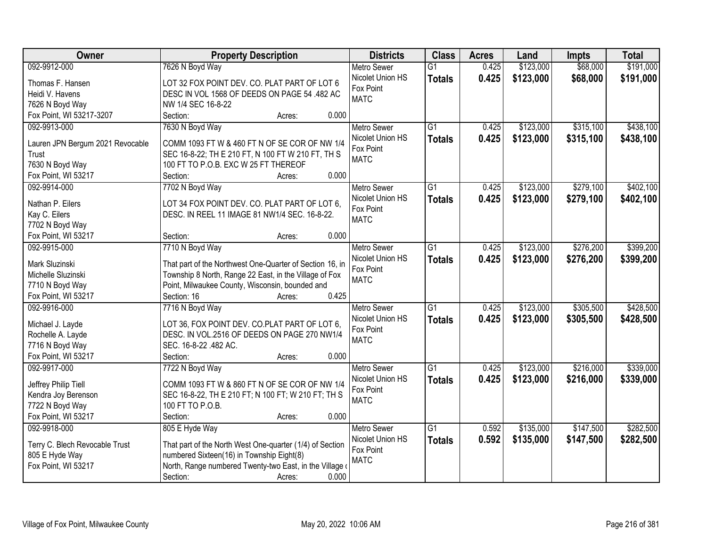| Owner                               | <b>Property Description</b>                              | <b>Districts</b>              | <b>Class</b>    | <b>Acres</b> | Land      | <b>Impts</b> | <b>Total</b> |
|-------------------------------------|----------------------------------------------------------|-------------------------------|-----------------|--------------|-----------|--------------|--------------|
| 092-9912-000                        | 7626 N Boyd Way                                          | <b>Metro Sewer</b>            | $\overline{G1}$ | 0.425        | \$123,000 | \$68,000     | \$191,000    |
| Thomas F. Hansen                    | LOT 32 FOX POINT DEV. CO. PLAT PART OF LOT 6             | Nicolet Union HS              | <b>Totals</b>   | 0.425        | \$123,000 | \$68,000     | \$191,000    |
| Heidi V. Havens                     | DESC IN VOL 1568 OF DEEDS ON PAGE 54 .482 AC             | Fox Point                     |                 |              |           |              |              |
| 7626 N Boyd Way                     | NW 1/4 SEC 16-8-22                                       | <b>MATC</b>                   |                 |              |           |              |              |
| Fox Point, WI 53217-3207            | Section:<br>0.000<br>Acres:                              |                               |                 |              |           |              |              |
| 092-9913-000                        | 7630 N Boyd Way                                          | <b>Metro Sewer</b>            | $\overline{G1}$ | 0.425        | \$123,000 | \$315,100    | \$438,100    |
|                                     |                                                          | Nicolet Union HS              | <b>Totals</b>   | 0.425        | \$123,000 | \$315,100    | \$438,100    |
| Lauren JPN Bergum 2021 Revocable    | COMM 1093 FT W & 460 FT N OF SE COR OF NW 1/4            | Fox Point                     |                 |              |           |              |              |
| Trust                               | SEC 16-8-22; TH E 210 FT, N 100 FT W 210 FT, TH S        | <b>MATC</b>                   |                 |              |           |              |              |
| 7630 N Boyd Way                     | 100 FT TO P.O.B. EXC W 25 FT THEREOF<br>0.000            |                               |                 |              |           |              |              |
| Fox Point, WI 53217<br>092-9914-000 | Section:<br>Acres:                                       |                               | $\overline{G1}$ | 0.425        |           | \$279,100    | \$402,100    |
|                                     | 7702 N Boyd Way                                          | <b>Metro Sewer</b>            |                 |              | \$123,000 |              |              |
| Nathan P. Eilers                    | LOT 34 FOX POINT DEV. CO. PLAT PART OF LOT 6.            | Nicolet Union HS<br>Fox Point | <b>Totals</b>   | 0.425        | \$123,000 | \$279,100    | \$402,100    |
| Kay C. Eilers                       | DESC. IN REEL 11 IMAGE 81 NW1/4 SEC. 16-8-22.            | <b>MATC</b>                   |                 |              |           |              |              |
| 7702 N Boyd Way                     |                                                          |                               |                 |              |           |              |              |
| Fox Point, WI 53217                 | 0.000<br>Section:<br>Acres:                              |                               |                 |              |           |              |              |
| 092-9915-000                        | 7710 N Boyd Way                                          | <b>Metro Sewer</b>            | G1              | 0.425        | \$123,000 | \$276,200    | \$399,200    |
| Mark Sluzinski                      | That part of the Northwest One-Quarter of Section 16, in | Nicolet Union HS              | <b>Totals</b>   | 0.425        | \$123,000 | \$276,200    | \$399,200    |
| Michelle Sluzinski                  | Township 8 North, Range 22 East, in the Village of Fox   | Fox Point                     |                 |              |           |              |              |
| 7710 N Boyd Way                     | Point, Milwaukee County, Wisconsin, bounded and          | <b>MATC</b>                   |                 |              |           |              |              |
| Fox Point, WI 53217                 | 0.425<br>Section: 16<br>Acres:                           |                               |                 |              |           |              |              |
| 092-9916-000                        | 7716 N Boyd Way                                          | <b>Metro Sewer</b>            | $\overline{G1}$ | 0.425        | \$123,000 | \$305,500    | \$428,500    |
|                                     |                                                          | Nicolet Union HS              | <b>Totals</b>   | 0.425        | \$123,000 | \$305,500    | \$428,500    |
| Michael J. Layde                    | LOT 36, FOX POINT DEV. CO.PLAT PART OF LOT 6,            | Fox Point                     |                 |              |           |              |              |
| Rochelle A. Layde                   | DESC. IN VOL.2516 OF DEEDS ON PAGE 270 NW1/4             | <b>MATC</b>                   |                 |              |           |              |              |
| 7716 N Boyd Way                     | SEC. 16-8-22 .482 AC.                                    |                               |                 |              |           |              |              |
| Fox Point, WI 53217                 | Section:<br>0.000<br>Acres:                              |                               |                 |              |           |              |              |
| 092-9917-000                        | 7722 N Boyd Way                                          | <b>Metro Sewer</b>            | $\overline{G1}$ | 0.425        | \$123,000 | \$216,000    | \$339,000    |
| Jeffrey Philip Tiell                | COMM 1093 FT W & 860 FT N OF SE COR OF NW 1/4            | Nicolet Union HS              | <b>Totals</b>   | 0.425        | \$123,000 | \$216,000    | \$339,000    |
| Kendra Joy Berenson                 | SEC 16-8-22, TH E 210 FT; N 100 FT; W 210 FT; TH S       | Fox Point                     |                 |              |           |              |              |
| 7722 N Boyd Way                     | 100 FT TO P.O.B.                                         | <b>MATC</b>                   |                 |              |           |              |              |
| Fox Point, WI 53217                 | 0.000<br>Section:<br>Acres:                              |                               |                 |              |           |              |              |
| 092-9918-000                        | 805 E Hyde Way                                           | <b>Metro Sewer</b>            | $\overline{G1}$ | 0.592        | \$135,000 | \$147,500    | \$282,500    |
|                                     |                                                          | Nicolet Union HS              | <b>Totals</b>   | 0.592        | \$135,000 | \$147,500    | \$282,500    |
| Terry C. Blech Revocable Trust      | That part of the North West One-quarter (1/4) of Section | Fox Point                     |                 |              |           |              |              |
| 805 E Hyde Way                      | numbered Sixteen(16) in Township Eight(8)                | <b>MATC</b>                   |                 |              |           |              |              |
| Fox Point, WI 53217                 | North, Range numbered Twenty-two East, in the Village of |                               |                 |              |           |              |              |
|                                     | 0.000<br>Section:<br>Acres:                              |                               |                 |              |           |              |              |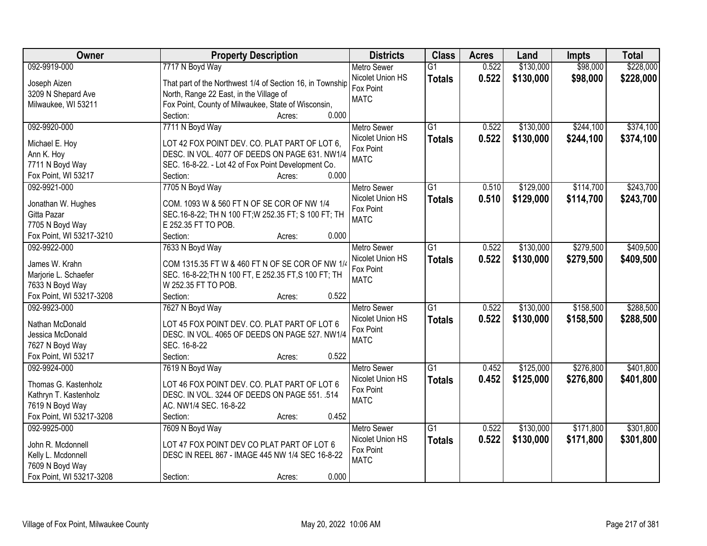| Owner                    | <b>Property Description</b>                               | <b>Districts</b>   | <b>Class</b>    | <b>Acres</b> | Land      | <b>Impts</b> | <b>Total</b> |
|--------------------------|-----------------------------------------------------------|--------------------|-----------------|--------------|-----------|--------------|--------------|
| 092-9919-000             | 7717 N Boyd Way                                           | <b>Metro Sewer</b> | $\overline{G1}$ | 0.522        | \$130,000 | \$98,000     | \$228,000    |
| Joseph Aizen             | That part of the Northwest 1/4 of Section 16, in Township | Nicolet Union HS   | <b>Totals</b>   | 0.522        | \$130,000 | \$98,000     | \$228,000    |
| 3209 N Shepard Ave       | North, Range 22 East, in the Village of                   | Fox Point          |                 |              |           |              |              |
| Milwaukee, WI 53211      | Fox Point, County of Milwaukee, State of Wisconsin,       | <b>MATC</b>        |                 |              |           |              |              |
|                          | 0.000<br>Section:<br>Acres:                               |                    |                 |              |           |              |              |
| 092-9920-000             | 7711 N Boyd Way                                           | <b>Metro Sewer</b> | $\overline{G1}$ | 0.522        | \$130,000 | \$244,100    | \$374,100    |
|                          |                                                           | Nicolet Union HS   | <b>Totals</b>   | 0.522        | \$130,000 | \$244,100    | \$374,100    |
| Michael E. Hoy           | LOT 42 FOX POINT DEV. CO. PLAT PART OF LOT 6,             | Fox Point          |                 |              |           |              |              |
| Ann K. Hoy               | DESC. IN VOL. 4077 OF DEEDS ON PAGE 631. NW1/4            | <b>MATC</b>        |                 |              |           |              |              |
| 7711 N Boyd Way          | SEC. 16-8-22. - Lot 42 of Fox Point Development Co.       |                    |                 |              |           |              |              |
| Fox Point, WI 53217      | 0.000<br>Section:<br>Acres:                               |                    |                 |              |           |              |              |
| 092-9921-000             | 7705 N Boyd Way                                           | <b>Metro Sewer</b> | G1              | 0.510        | \$129,000 | \$114,700    | \$243,700    |
| Jonathan W. Hughes       | COM. 1093 W & 560 FT N OF SE COR OF NW 1/4                | Nicolet Union HS   | <b>Totals</b>   | 0.510        | \$129,000 | \$114,700    | \$243,700    |
| Gitta Pazar              | SEC.16-8-22; TH N 100 FT; W 252.35 FT; S 100 FT; TH       | Fox Point          |                 |              |           |              |              |
| 7705 N Boyd Way          | E 252.35 FT TO POB.                                       | <b>MATC</b>        |                 |              |           |              |              |
| Fox Point, WI 53217-3210 | 0.000<br>Section:<br>Acres:                               |                    |                 |              |           |              |              |
| 092-9922-000             | 7633 N Boyd Way                                           | <b>Metro Sewer</b> | $\overline{G1}$ | 0.522        | \$130,000 | \$279,500    | \$409,500    |
|                          |                                                           | Nicolet Union HS   | <b>Totals</b>   | 0.522        | \$130,000 | \$279,500    | \$409,500    |
| James W. Krahn           | COM 1315.35 FT W & 460 FT N OF SE COR OF NW 1/4           | Fox Point          |                 |              |           |              |              |
| Marjorie L. Schaefer     | SEC. 16-8-22; TH N 100 FT, E 252.35 FT, S 100 FT; TH      | <b>MATC</b>        |                 |              |           |              |              |
| 7633 N Boyd Way          | W 252.35 FT TO POB.                                       |                    |                 |              |           |              |              |
| Fox Point, WI 53217-3208 | 0.522<br>Section:<br>Acres:                               |                    |                 |              |           |              |              |
| 092-9923-000             | 7627 N Boyd Way                                           | <b>Metro Sewer</b> | $\overline{G1}$ | 0.522        | \$130,000 | \$158,500    | \$288,500    |
| Nathan McDonald          | LOT 45 FOX POINT DEV. CO. PLAT PART OF LOT 6              | Nicolet Union HS   | <b>Totals</b>   | 0.522        | \$130,000 | \$158,500    | \$288,500    |
| Jessica McDonald         | DESC. IN VOL. 4065 OF DEEDS ON PAGE 527. NW1/4            | Fox Point          |                 |              |           |              |              |
| 7627 N Boyd Way          | SEC. 16-8-22                                              | <b>MATC</b>        |                 |              |           |              |              |
| Fox Point, WI 53217      | Section:<br>0.522<br>Acres:                               |                    |                 |              |           |              |              |
| 092-9924-000             | 7619 N Boyd Way                                           | <b>Metro Sewer</b> | $\overline{G1}$ | 0.452        | \$125,000 | \$276,800    | \$401,800    |
|                          |                                                           | Nicolet Union HS   | <b>Totals</b>   | 0.452        | \$125,000 | \$276,800    | \$401,800    |
| Thomas G. Kastenholz     | LOT 46 FOX POINT DEV. CO. PLAT PART OF LOT 6              | Fox Point          |                 |              |           |              |              |
| Kathryn T. Kastenholz    | DESC. IN VOL. 3244 OF DEEDS ON PAGE 551. .514             | <b>MATC</b>        |                 |              |           |              |              |
| 7619 N Boyd Way          | AC. NW1/4 SEC. 16-8-22                                    |                    |                 |              |           |              |              |
| Fox Point, WI 53217-3208 | 0.452<br>Section:<br>Acres:                               |                    |                 |              |           |              |              |
| 092-9925-000             | 7609 N Boyd Way                                           | <b>Metro Sewer</b> | $\overline{G1}$ | 0.522        | \$130,000 | \$171,800    | \$301,800    |
| John R. Mcdonnell        | LOT 47 FOX POINT DEV CO PLAT PART OF LOT 6                | Nicolet Union HS   | <b>Totals</b>   | 0.522        | \$130,000 | \$171,800    | \$301,800    |
| Kelly L. Mcdonnell       | DESC IN REEL 867 - IMAGE 445 NW 1/4 SEC 16-8-22           | Fox Point          |                 |              |           |              |              |
| 7609 N Boyd Way          |                                                           | <b>MATC</b>        |                 |              |           |              |              |
| Fox Point, WI 53217-3208 | 0.000<br>Section:<br>Acres:                               |                    |                 |              |           |              |              |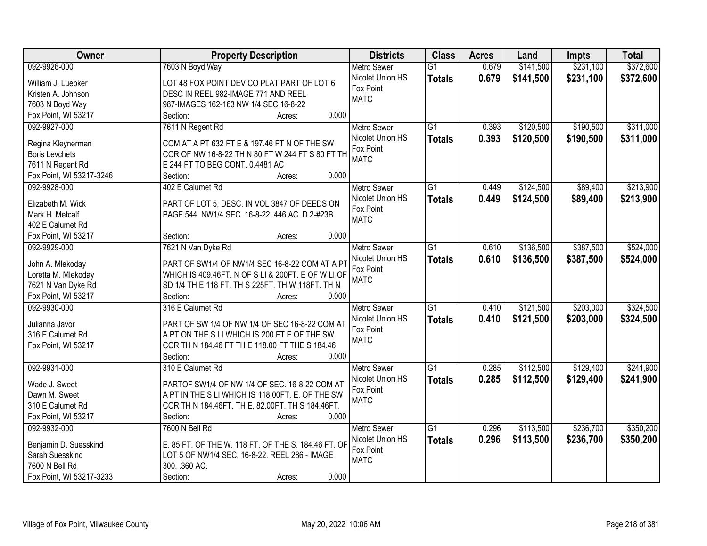| Owner                                   | <b>Property Description</b>                         | <b>Districts</b>         | <b>Class</b>    | <b>Acres</b> | Land      | <b>Impts</b> | <b>Total</b> |
|-----------------------------------------|-----------------------------------------------------|--------------------------|-----------------|--------------|-----------|--------------|--------------|
| 092-9926-000                            | 7603 N Boyd Way                                     | <b>Metro Sewer</b>       | $\overline{G1}$ | 0.679        | \$141,500 | \$231,100    | \$372,600    |
| William J. Luebker                      | LOT 48 FOX POINT DEV CO PLAT PART OF LOT 6          | Nicolet Union HS         | <b>Totals</b>   | 0.679        | \$141,500 | \$231,100    | \$372,600    |
| Kristen A. Johnson                      | DESC IN REEL 982-IMAGE 771 AND REEL                 | Fox Point                |                 |              |           |              |              |
| 7603 N Boyd Way                         | 987-IMAGES 162-163 NW 1/4 SEC 16-8-22               | <b>MATC</b>              |                 |              |           |              |              |
| Fox Point, WI 53217                     | 0.000<br>Section:<br>Acres:                         |                          |                 |              |           |              |              |
| 092-9927-000                            | 7611 N Regent Rd                                    | <b>Metro Sewer</b>       | $\overline{G1}$ | 0.393        | \$120,500 | \$190,500    | \$311,000    |
|                                         |                                                     | Nicolet Union HS         | <b>Totals</b>   | 0.393        | \$120,500 | \$190,500    | \$311,000    |
| Regina Kleynerman                       | COM AT A PT 632 FT E & 197.46 FT N OF THE SW        | Fox Point                |                 |              |           |              |              |
| <b>Boris Levchets</b>                   | COR OF NW 16-8-22 TH N 80 FT W 244 FT S 80 FT TH    | <b>MATC</b>              |                 |              |           |              |              |
| 7611 N Regent Rd                        | E 244 FT TO BEG CONT. 0.4481 AC                     |                          |                 |              |           |              |              |
| Fox Point, WI 53217-3246                | 0.000<br>Section:<br>Acres:                         |                          |                 |              |           |              |              |
| 092-9928-000                            | 402 E Calumet Rd                                    | <b>Metro Sewer</b>       | $\overline{G1}$ | 0.449        | \$124,500 | \$89,400     | \$213,900    |
| Elizabeth M. Wick                       | PART OF LOT 5, DESC. IN VOL 3847 OF DEEDS ON        | Nicolet Union HS         | <b>Totals</b>   | 0.449        | \$124,500 | \$89,400     | \$213,900    |
| Mark H. Metcalf                         | PAGE 544. NW1/4 SEC. 16-8-22 .446 AC. D.2-#23B      | Fox Point<br><b>MATC</b> |                 |              |           |              |              |
| 402 E Calumet Rd                        |                                                     |                          |                 |              |           |              |              |
| Fox Point, WI 53217                     | 0.000<br>Section:<br>Acres:                         |                          |                 |              |           |              |              |
| 092-9929-000                            | 7621 N Van Dyke Rd                                  | <b>Metro Sewer</b>       | G1              | 0.610        | \$136,500 | \$387,500    | \$524,000    |
|                                         | PART OF SW1/4 OF NW1/4 SEC 16-8-22 COM AT A PT      | Nicolet Union HS         | <b>Totals</b>   | 0.610        | \$136,500 | \$387,500    | \$524,000    |
| John A. Mlekoday<br>Loretta M. Mlekoday | WHICH IS 409.46FT. N OF S LI & 200FT. E OF W LI OF  | Fox Point                |                 |              |           |              |              |
| 7621 N Van Dyke Rd                      | SD 1/4 TH E 118 FT. TH S 225FT. TH W 118FT. TH N    | <b>MATC</b>              |                 |              |           |              |              |
| Fox Point, WI 53217                     | Section:<br>0.000<br>Acres:                         |                          |                 |              |           |              |              |
| 092-9930-000                            | 316 E Calumet Rd                                    | <b>Metro Sewer</b>       | $\overline{G1}$ | 0.410        | \$121,500 | \$203,000    | \$324,500    |
|                                         |                                                     | Nicolet Union HS         | <b>Totals</b>   | 0.410        | \$121,500 | \$203,000    | \$324,500    |
| Julianna Javor                          | PART OF SW 1/4 OF NW 1/4 OF SEC 16-8-22 COM AT      | Fox Point                |                 |              |           |              |              |
| 316 E Calumet Rd                        | A PT ON THE S LI WHICH IS 200 FT E OF THE SW        | <b>MATC</b>              |                 |              |           |              |              |
| Fox Point, WI 53217                     | COR TH N 184.46 FT TH E 118.00 FT THE S 184.46      |                          |                 |              |           |              |              |
|                                         | Section:<br>0.000<br>Acres:                         |                          |                 |              |           |              |              |
| 092-9931-000                            | 310 E Calumet Rd                                    | <b>Metro Sewer</b>       | $\overline{G1}$ | 0.285        | \$112,500 | \$129,400    | \$241,900    |
| Wade J. Sweet                           | PARTOF SW1/4 OF NW 1/4 OF SEC. 16-8-22 COM AT       | Nicolet Union HS         | <b>Totals</b>   | 0.285        | \$112,500 | \$129,400    | \$241,900    |
| Dawn M. Sweet                           | A PT IN THE S LI WHICH IS 118.00FT. E. OF THE SW    | Fox Point                |                 |              |           |              |              |
| 310 E Calumet Rd                        | COR TH N 184.46FT. TH E. 82.00FT. TH S 184.46FT.    | <b>MATC</b>              |                 |              |           |              |              |
| Fox Point, WI 53217                     | 0.000<br>Section:<br>Acres:                         |                          |                 |              |           |              |              |
| 092-9932-000                            | 7600 N Bell Rd                                      | <b>Metro Sewer</b>       | $\overline{G1}$ | 0.296        | \$113,500 | \$236,700    | \$350,200    |
|                                         |                                                     | Nicolet Union HS         | <b>Totals</b>   | 0.296        | \$113,500 | \$236,700    | \$350,200    |
| Benjamin D. Suesskind                   | E. 85 FT. OF THE W. 118 FT. OF THE S. 184.46 FT. OF | Fox Point                |                 |              |           |              |              |
| Sarah Suesskind<br>7600 N Bell Rd       | LOT 5 OF NW1/4 SEC. 16-8-22. REEL 286 - IMAGE       | <b>MATC</b>              |                 |              |           |              |              |
|                                         | 300. . 360 AC.<br>0.000                             |                          |                 |              |           |              |              |
| Fox Point, WI 53217-3233                | Section:<br>Acres:                                  |                          |                 |              |           |              |              |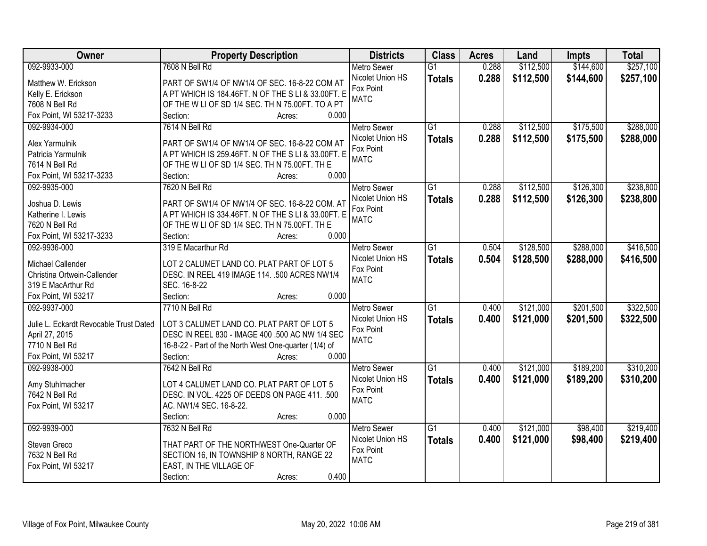| Owner                                  | <b>Property Description</b>                           | <b>Districts</b>   | <b>Class</b>    | <b>Acres</b> | Land      | <b>Impts</b> | <b>Total</b> |
|----------------------------------------|-------------------------------------------------------|--------------------|-----------------|--------------|-----------|--------------|--------------|
| 092-9933-000                           | 7608 N Bell Rd                                        | <b>Metro Sewer</b> | $\overline{G1}$ | 0.288        | \$112,500 | \$144,600    | \$257,100    |
| Matthew W. Erickson                    | PART OF SW1/4 OF NW1/4 OF SEC. 16-8-22 COM AT         | Nicolet Union HS   | <b>Totals</b>   | 0.288        | \$112,500 | \$144,600    | \$257,100    |
| Kelly E. Erickson                      | A PT WHICH IS 184.46FT. N OF THE S LI & 33.00FT. E    | Fox Point          |                 |              |           |              |              |
| 7608 N Bell Rd                         | OF THE W LI OF SD 1/4 SEC. TH N 75.00FT. TO A PT      | <b>MATC</b>        |                 |              |           |              |              |
| Fox Point, WI 53217-3233               | 0.000<br>Section:<br>Acres:                           |                    |                 |              |           |              |              |
| 092-9934-000                           | 7614 N Bell Rd                                        | <b>Metro Sewer</b> | $\overline{G1}$ | 0.288        | \$112,500 | \$175,500    | \$288,000    |
|                                        |                                                       | Nicolet Union HS   | <b>Totals</b>   | 0.288        | \$112,500 | \$175,500    | \$288,000    |
| Alex Yarmulnik                         | PART OF SW1/4 OF NW1/4 OF SEC. 16-8-22 COM AT         | Fox Point          |                 |              |           |              |              |
| Patricia Yarmulnik                     | A PT WHICH IS 259.46FT. N OF THE S LI & 33.00FT. E    | <b>MATC</b>        |                 |              |           |              |              |
| 7614 N Bell Rd                         | OF THE W LI OF SD 1/4 SEC. TH N 75.00FT. TH E         |                    |                 |              |           |              |              |
| Fox Point, WI 53217-3233               | 0.000<br>Section:<br>Acres:                           |                    |                 |              |           |              |              |
| 092-9935-000                           | 7620 N Bell Rd                                        | Metro Sewer        | G1              | 0.288        | \$112,500 | \$126,300    | \$238,800    |
| Joshua D. Lewis                        | PART OF SW1/4 OF NW1/4 OF SEC. 16-8-22 COM. AT        | Nicolet Union HS   | <b>Totals</b>   | 0.288        | \$112,500 | \$126,300    | \$238,800    |
| Katherine I. Lewis                     | A PT WHICH IS 334.46FT. N OF THE S LI & 33.00FT. E    | Fox Point          |                 |              |           |              |              |
| 7620 N Bell Rd                         | OF THE W LI OF SD 1/4 SEC. TH N 75.00FT. TH E         | <b>MATC</b>        |                 |              |           |              |              |
| Fox Point, WI 53217-3233               | Section:<br>0.000<br>Acres:                           |                    |                 |              |           |              |              |
| 092-9936-000                           | 319 E Macarthur Rd                                    | <b>Metro Sewer</b> | G1              | 0.504        | \$128,500 | \$288,000    | \$416,500    |
|                                        |                                                       | Nicolet Union HS   |                 | 0.504        | \$128,500 | \$288,000    |              |
| Michael Callender                      | LOT 2 CALUMET LAND CO. PLAT PART OF LOT 5             | Fox Point          | <b>Totals</b>   |              |           |              | \$416,500    |
| Christina Ortwein-Callender            | DESC. IN REEL 419 IMAGE 114. .500 ACRES NW1/4         | <b>MATC</b>        |                 |              |           |              |              |
| 319 E MacArthur Rd                     | SEC. 16-8-22                                          |                    |                 |              |           |              |              |
| Fox Point, WI 53217                    | 0.000<br>Section:<br>Acres:                           |                    |                 |              |           |              |              |
| 092-9937-000                           | 7710 N Bell Rd                                        | <b>Metro Sewer</b> | $\overline{G1}$ | 0.400        | \$121,000 | \$201,500    | \$322,500    |
| Julie L. Eckardt Revocable Trust Dated | LOT 3 CALUMET LAND CO. PLAT PART OF LOT 5             | Nicolet Union HS   | <b>Totals</b>   | 0.400        | \$121,000 | \$201,500    | \$322,500    |
| April 27, 2015                         | DESC IN REEL 830 - IMAGE 400 .500 AC NW 1/4 SEC       | Fox Point          |                 |              |           |              |              |
| 7710 N Bell Rd                         | 16-8-22 - Part of the North West One-quarter (1/4) of | <b>MATC</b>        |                 |              |           |              |              |
| Fox Point, WI 53217                    | Section:<br>0.000                                     |                    |                 |              |           |              |              |
|                                        | Acres:                                                |                    |                 |              |           |              |              |
| 092-9938-000                           | 7642 N Bell Rd                                        | <b>Metro Sewer</b> | $\overline{G1}$ | 0.400        | \$121,000 | \$189,200    | \$310,200    |
| Amy Stuhlmacher                        | LOT 4 CALUMET LAND CO. PLAT PART OF LOT 5             | Nicolet Union HS   | <b>Totals</b>   | 0.400        | \$121,000 | \$189,200    | \$310,200    |
| 7642 N Bell Rd                         | DESC. IN VOL. 4225 OF DEEDS ON PAGE 411. .500         | Fox Point          |                 |              |           |              |              |
| Fox Point, WI 53217                    | AC. NW1/4 SEC. 16-8-22.                               | <b>MATC</b>        |                 |              |           |              |              |
|                                        | 0.000<br>Section:<br>Acres:                           |                    |                 |              |           |              |              |
| 092-9939-000                           | 7632 N Bell Rd                                        | <b>Metro Sewer</b> | $\overline{G1}$ | 0.400        | \$121,000 | \$98,400     | \$219,400    |
|                                        |                                                       | Nicolet Union HS   | <b>Totals</b>   | 0.400        | \$121,000 | \$98,400     | \$219,400    |
| Steven Greco                           | THAT PART OF THE NORTHWEST One-Quarter OF             | Fox Point          |                 |              |           |              |              |
| 7632 N Bell Rd                         | SECTION 16, IN TOWNSHIP 8 NORTH, RANGE 22             | <b>MATC</b>        |                 |              |           |              |              |
| Fox Point, WI 53217                    | EAST, IN THE VILLAGE OF                               |                    |                 |              |           |              |              |
|                                        | 0.400<br>Section:<br>Acres:                           |                    |                 |              |           |              |              |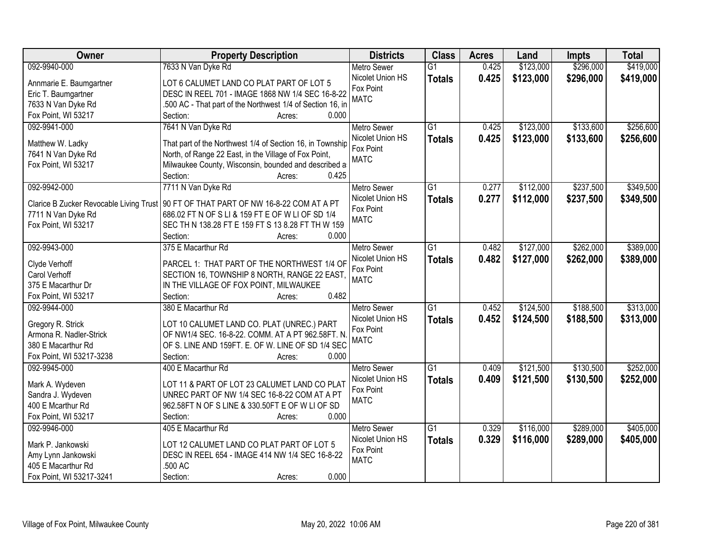| Owner                          | <b>Property Description</b>                                                                 | <b>Districts</b>   | <b>Class</b>    | <b>Acres</b> | Land      | <b>Impts</b> | <b>Total</b> |
|--------------------------------|---------------------------------------------------------------------------------------------|--------------------|-----------------|--------------|-----------|--------------|--------------|
| 092-9940-000                   | 7633 N Van Dyke Rd                                                                          | <b>Metro Sewer</b> | $\overline{G1}$ | 0.425        | \$123,000 | \$296,000    | \$419,000    |
| Annmarie E. Baumgartner        | LOT 6 CALUMET LAND CO PLAT PART OF LOT 5                                                    | Nicolet Union HS   | <b>Totals</b>   | 0.425        | \$123,000 | \$296,000    | \$419,000    |
| Eric T. Baumgartner            | DESC IN REEL 701 - IMAGE 1868 NW 1/4 SEC 16-8-22                                            | Fox Point          |                 |              |           |              |              |
| 7633 N Van Dyke Rd             | 500 AC - That part of the Northwest 1/4 of Section 16, in                                   | <b>MATC</b>        |                 |              |           |              |              |
| Fox Point, WI 53217            | 0.000<br>Section:<br>Acres:                                                                 |                    |                 |              |           |              |              |
| 092-9941-000                   | 7641 N Van Dyke Rd                                                                          | <b>Metro Sewer</b> | $\overline{G1}$ | 0.425        | \$123,000 | \$133,600    | \$256,600    |
|                                |                                                                                             | Nicolet Union HS   | <b>Totals</b>   | 0.425        | \$123,000 | \$133,600    | \$256,600    |
| Matthew W. Ladky               | That part of the Northwest 1/4 of Section 16, in Township                                   | Fox Point          |                 |              |           |              |              |
| 7641 N Van Dyke Rd             | North, of Range 22 East, in the Village of Fox Point,                                       | <b>MATC</b>        |                 |              |           |              |              |
| Fox Point, WI 53217            | Milwaukee County, Wisconsin, bounded and described a                                        |                    |                 |              |           |              |              |
|                                | 0.425<br>Section:<br>Acres:                                                                 |                    |                 |              |           |              |              |
| 092-9942-000                   | 7711 N Van Dyke Rd                                                                          | <b>Metro Sewer</b> | $\overline{G1}$ | 0.277        | \$112,000 | \$237,500    | \$349,500    |
|                                | Clarice B Zucker Revocable Living Trust   90 FT OF THAT PART OF NW 16-8-22 COM AT A PT      | Nicolet Union HS   | <b>Totals</b>   | 0.277        | \$112,000 | \$237,500    | \$349,500    |
| 7711 N Van Dyke Rd             | 686.02 FT N OF S LI & 159 FT E OF W LI OF SD 1/4                                            | Fox Point          |                 |              |           |              |              |
| Fox Point, WI 53217            | SEC TH N 138.28 FT E 159 FT S 13 8.28 FT TH W 159                                           | <b>MATC</b>        |                 |              |           |              |              |
|                                | Section:<br>0.000<br>Acres:                                                                 |                    |                 |              |           |              |              |
| 092-9943-000                   | 375 E Macarthur Rd                                                                          | <b>Metro Sewer</b> | G1              | 0.482        | \$127,000 | \$262,000    | \$389,000    |
|                                |                                                                                             | Nicolet Union HS   | <b>Totals</b>   | 0.482        | \$127,000 | \$262,000    | \$389,000    |
| Clyde Verhoff<br>Carol Verhoff | PARCEL 1: THAT PART OF THE NORTHWEST 1/4 OF<br>SECTION 16, TOWNSHIP 8 NORTH, RANGE 22 EAST, | Fox Point          |                 |              |           |              |              |
| 375 E Macarthur Dr             | IN THE VILLAGE OF FOX POINT, MILWAUKEE                                                      | <b>MATC</b>        |                 |              |           |              |              |
| Fox Point, WI 53217            | 0.482<br>Section:<br>Acres:                                                                 |                    |                 |              |           |              |              |
| 092-9944-000                   | 380 E Macarthur Rd                                                                          | <b>Metro Sewer</b> | $\overline{G1}$ | 0.452        | \$124,500 | \$188,500    | \$313,000    |
|                                |                                                                                             | Nicolet Union HS   |                 | 0.452        | \$124,500 | \$188,500    |              |
| Gregory R. Strick              | LOT 10 CALUMET LAND CO. PLAT (UNREC.) PART                                                  | Fox Point          | <b>Totals</b>   |              |           |              | \$313,000    |
| Armona R. Nadler-Strick        | OF NW1/4 SEC. 16-8-22. COMM. AT A PT 962.58FT. N                                            | <b>MATC</b>        |                 |              |           |              |              |
| 380 E Macarthur Rd             | OF S. LINE AND 159FT. E. OF W. LINE OF SD 1/4 SEC                                           |                    |                 |              |           |              |              |
| Fox Point, WI 53217-3238       | Section:<br>0.000<br>Acres:                                                                 |                    |                 |              |           |              |              |
| 092-9945-000                   | 400 E Macarthur Rd                                                                          | <b>Metro Sewer</b> | $\overline{G1}$ | 0.409        | \$121,500 | \$130,500    | \$252,000    |
| Mark A. Wydeven                | LOT 11 & PART OF LOT 23 CALUMET LAND CO PLAT                                                | Nicolet Union HS   | <b>Totals</b>   | 0.409        | \$121,500 | \$130,500    | \$252,000    |
| Sandra J. Wydeven              | UNREC PART OF NW 1/4 SEC 16-8-22 COM AT A PT                                                | Fox Point          |                 |              |           |              |              |
| 400 E Mcarthur Rd              | 962.58FT N OF S LINE & 330.50FT E OF W LI OF SD                                             | <b>MATC</b>        |                 |              |           |              |              |
| Fox Point, WI 53217            | 0.000<br>Section:<br>Acres:                                                                 |                    |                 |              |           |              |              |
| 092-9946-000                   | 405 E Macarthur Rd                                                                          | <b>Metro Sewer</b> | $\overline{G1}$ | 0.329        | \$116,000 | \$289,000    | \$405,000    |
|                                |                                                                                             | Nicolet Union HS   | <b>Totals</b>   | 0.329        | \$116,000 | \$289,000    | \$405,000    |
| Mark P. Jankowski              | LOT 12 CALUMET LAND CO PLAT PART OF LOT 5                                                   | Fox Point          |                 |              |           |              |              |
| Amy Lynn Jankowski             | DESC IN REEL 654 - IMAGE 414 NW 1/4 SEC 16-8-22                                             | <b>MATC</b>        |                 |              |           |              |              |
| 405 E Macarthur Rd             | .500 AC                                                                                     |                    |                 |              |           |              |              |
| Fox Point, WI 53217-3241       | 0.000<br>Section:<br>Acres:                                                                 |                    |                 |              |           |              |              |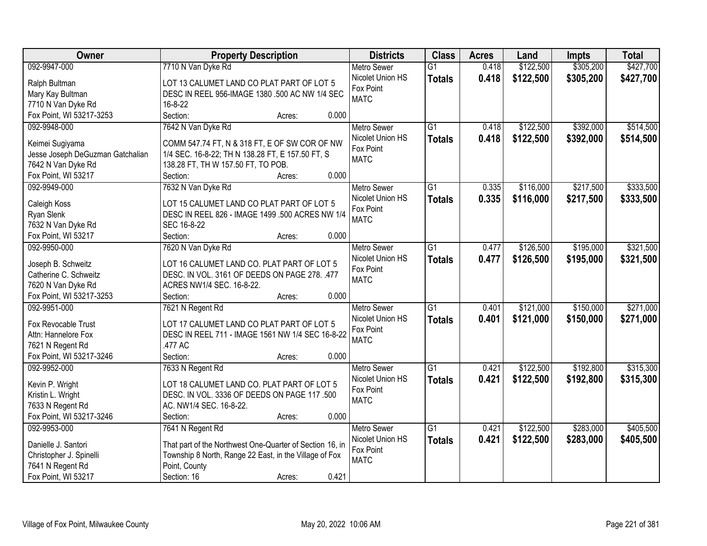| Owner                                       | <b>Property Description</b>                                                                 | <b>Districts</b>         | <b>Class</b>    | <b>Acres</b> | Land      | <b>Impts</b> | <b>Total</b> |
|---------------------------------------------|---------------------------------------------------------------------------------------------|--------------------------|-----------------|--------------|-----------|--------------|--------------|
| 092-9947-000                                | 7710 N Van Dyke Rd                                                                          | <b>Metro Sewer</b>       | $\overline{G1}$ | 0.418        | \$122,500 | \$305,200    | \$427,700    |
| Ralph Bultman                               | LOT 13 CALUMET LAND CO PLAT PART OF LOT 5                                                   | Nicolet Union HS         | <b>Totals</b>   | 0.418        | \$122,500 | \$305,200    | \$427,700    |
| Mary Kay Bultman                            | DESC IN REEL 956-IMAGE 1380 .500 AC NW 1/4 SEC                                              | Fox Point                |                 |              |           |              |              |
| 7710 N Van Dyke Rd                          | 16-8-22                                                                                     | <b>MATC</b>              |                 |              |           |              |              |
| Fox Point, WI 53217-3253                    | Section:<br>0.000<br>Acres:                                                                 |                          |                 |              |           |              |              |
| 092-9948-000                                | 7642 N Van Dyke Rd                                                                          | <b>Metro Sewer</b>       | $\overline{G1}$ | 0.418        | \$122,500 | \$392,000    | \$514,500    |
|                                             |                                                                                             | Nicolet Union HS         | <b>Totals</b>   | 0.418        | \$122,500 | \$392,000    | \$514,500    |
| Keimei Sugiyama                             | COMM 547.74 FT, N & 318 FT, E OF SW COR OF NW                                               | Fox Point                |                 |              |           |              |              |
| Jesse Joseph DeGuzman Gatchalian            | 1/4 SEC. 16-8-22; TH N 138.28 FT, E 157.50 FT, S                                            | <b>MATC</b>              |                 |              |           |              |              |
| 7642 N Van Dyke Rd                          | 138.28 FT, TH W 157.50 FT, TO POB.                                                          |                          |                 |              |           |              |              |
| Fox Point, WI 53217                         | 0.000<br>Section:<br>Acres:                                                                 |                          |                 |              |           |              |              |
| 092-9949-000                                | 7632 N Van Dyke Rd                                                                          | <b>Metro Sewer</b>       | $\overline{G1}$ | 0.335        | \$116,000 | \$217,500    | \$333,500    |
| Caleigh Koss                                | LOT 15 CALUMET LAND CO PLAT PART OF LOT 5                                                   | Nicolet Union HS         | <b>Totals</b>   | 0.335        | \$116,000 | \$217,500    | \$333,500    |
| Ryan Slenk                                  | DESC IN REEL 826 - IMAGE 1499 .500 ACRES NW 1/4                                             | Fox Point<br><b>MATC</b> |                 |              |           |              |              |
| 7632 N Van Dyke Rd                          | SEC 16-8-22                                                                                 |                          |                 |              |           |              |              |
| Fox Point, WI 53217                         | Section:<br>0.000<br>Acres:                                                                 |                          |                 |              |           |              |              |
| 092-9950-000                                | 7620 N Van Dyke Rd                                                                          | <b>Metro Sewer</b>       | G1              | 0.477        | \$126,500 | \$195,000    | \$321,500    |
|                                             |                                                                                             | Nicolet Union HS         | <b>Totals</b>   | 0.477        | \$126,500 | \$195,000    | \$321,500    |
| Joseph B. Schweitz<br>Catherine C. Schweitz | LOT 16 CALUMET LAND CO. PLAT PART OF LOT 5<br>DESC. IN VOL. 3161 OF DEEDS ON PAGE 278. .477 | Fox Point                |                 |              |           |              |              |
| 7620 N Van Dyke Rd                          | ACRES NW1/4 SEC. 16-8-22.                                                                   | <b>MATC</b>              |                 |              |           |              |              |
| Fox Point, WI 53217-3253                    | 0.000<br>Section:<br>Acres:                                                                 |                          |                 |              |           |              |              |
| 092-9951-000                                | 7621 N Regent Rd                                                                            | <b>Metro Sewer</b>       | $\overline{G1}$ | 0.401        | \$121,000 | \$150,000    | \$271,000    |
|                                             |                                                                                             | Nicolet Union HS         |                 | 0.401        |           |              |              |
| Fox Revocable Trust                         | LOT 17 CALUMET LAND CO PLAT PART OF LOT 5                                                   | Fox Point                | <b>Totals</b>   |              | \$121,000 | \$150,000    | \$271,000    |
| Attn: Hannelore Fox                         | DESC IN REEL 711 - IMAGE 1561 NW 1/4 SEC 16-8-22                                            | <b>MATC</b>              |                 |              |           |              |              |
| 7621 N Regent Rd                            | .477 AC                                                                                     |                          |                 |              |           |              |              |
| Fox Point, WI 53217-3246                    | Section:<br>0.000<br>Acres:                                                                 |                          |                 |              |           |              |              |
| 092-9952-000                                | 7633 N Regent Rd                                                                            | <b>Metro Sewer</b>       | $\overline{G1}$ | 0.421        | \$122,500 | \$192,800    | \$315,300    |
| Kevin P. Wright                             | LOT 18 CALUMET LAND CO. PLAT PART OF LOT 5                                                  | Nicolet Union HS         | <b>Totals</b>   | 0.421        | \$122,500 | \$192,800    | \$315,300    |
| Kristin L. Wright                           | DESC. IN VOL. 3336 OF DEEDS ON PAGE 117 .500                                                | Fox Point                |                 |              |           |              |              |
| 7633 N Regent Rd                            | AC. NW1/4 SEC. 16-8-22.                                                                     | <b>MATC</b>              |                 |              |           |              |              |
| Fox Point, WI 53217-3246                    | 0.000<br>Section:<br>Acres:                                                                 |                          |                 |              |           |              |              |
| 092-9953-000                                | 7641 N Regent Rd                                                                            | <b>Metro Sewer</b>       | $\overline{G1}$ | 0.421        | \$122,500 | \$283,000    | \$405,500    |
|                                             |                                                                                             | Nicolet Union HS         | <b>Totals</b>   | 0.421        | \$122,500 | \$283,000    | \$405,500    |
| Danielle J. Santori                         | That part of the Northwest One-Quarter of Section 16, in                                    | Fox Point                |                 |              |           |              |              |
| Christopher J. Spinelli                     | Township 8 North, Range 22 East, in the Village of Fox                                      | <b>MATC</b>              |                 |              |           |              |              |
| 7641 N Regent Rd                            | Point, County                                                                               |                          |                 |              |           |              |              |
| Fox Point, WI 53217                         | 0.421<br>Section: 16<br>Acres:                                                              |                          |                 |              |           |              |              |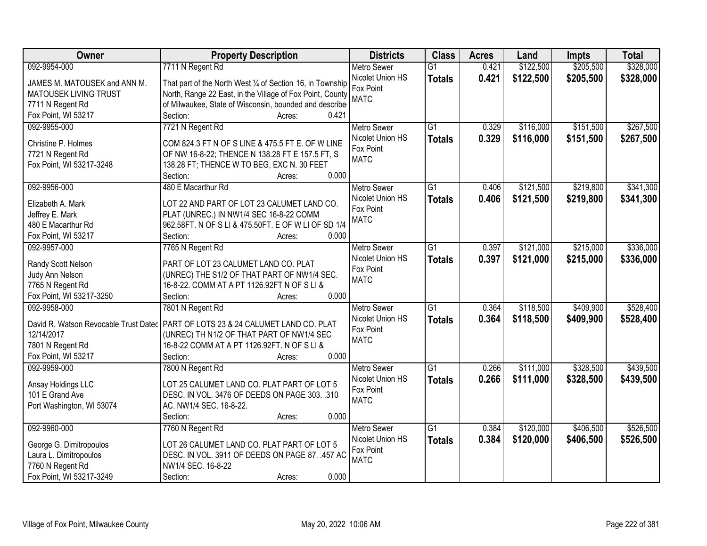| Owner                        | <b>Property Description</b>                                                        | <b>Districts</b>   | <b>Class</b>    | <b>Acres</b> | Land      | <b>Impts</b> | <b>Total</b> |
|------------------------------|------------------------------------------------------------------------------------|--------------------|-----------------|--------------|-----------|--------------|--------------|
| 092-9954-000                 | 7711 N Regent Rd                                                                   | <b>Metro Sewer</b> | $\overline{G1}$ | 0.421        | \$122,500 | \$205,500    | \$328,000    |
| JAMES M. MATOUSEK and ANN M. | That part of the North West 1/4 of Section 16, in Township                         | Nicolet Union HS   | <b>Totals</b>   | 0.421        | \$122,500 | \$205,500    | \$328,000    |
| MATOUSEK LIVING TRUST        | North, Range 22 East, in the Village of Fox Point, County                          | Fox Point          |                 |              |           |              |              |
| 7711 N Regent Rd             | of Milwaukee, State of Wisconsin, bounded and describe                             | <b>MATC</b>        |                 |              |           |              |              |
| Fox Point, WI 53217          | Section:<br>0.421<br>Acres:                                                        |                    |                 |              |           |              |              |
| 092-9955-000                 | 7721 N Regent Rd                                                                   | <b>Metro Sewer</b> | $\overline{G1}$ | 0.329        | \$116,000 | \$151,500    | \$267,500    |
|                              |                                                                                    | Nicolet Union HS   | <b>Totals</b>   | 0.329        | \$116,000 | \$151,500    | \$267,500    |
| Christine P. Holmes          | COM 824.3 FT N OF S LINE & 475.5 FT E. OF W LINE                                   | Fox Point          |                 |              |           |              |              |
| 7721 N Regent Rd             | OF NW 16-8-22; THENCE N 138.28 FT E 157.5 FT, S                                    | <b>MATC</b>        |                 |              |           |              |              |
| Fox Point, WI 53217-3248     | 138.28 FT; THENCE W TO BEG, EXC N. 30 FEET                                         |                    |                 |              |           |              |              |
|                              | 0.000<br>Section:<br>Acres:                                                        |                    |                 |              |           |              |              |
| 092-9956-000                 | 480 E Macarthur Rd                                                                 | Metro Sewer        | $\overline{G1}$ | 0.406        | \$121,500 | \$219,800    | \$341,300    |
| Elizabeth A. Mark            | LOT 22 AND PART OF LOT 23 CALUMET LAND CO.                                         | Nicolet Union HS   | <b>Totals</b>   | 0.406        | \$121,500 | \$219,800    | \$341,300    |
| Jeffrey E. Mark              | PLAT (UNREC.) IN NW1/4 SEC 16-8-22 COMM                                            | Fox Point          |                 |              |           |              |              |
| 480 E Macarthur Rd           | 962.58FT. N OF S LI & 475.50FT. E OF W LI OF SD 1/4                                | <b>MATC</b>        |                 |              |           |              |              |
| Fox Point, WI 53217          | 0.000<br>Section:<br>Acres:                                                        |                    |                 |              |           |              |              |
| 092-9957-000                 | 7765 N Regent Rd                                                                   | <b>Metro Sewer</b> | $\overline{G1}$ | 0.397        | \$121,000 | \$215,000    | \$336,000    |
|                              |                                                                                    | Nicolet Union HS   | <b>Totals</b>   | 0.397        | \$121,000 | \$215,000    | \$336,000    |
| Randy Scott Nelson           | PART OF LOT 23 CALUMET LAND CO. PLAT                                               | Fox Point          |                 |              |           |              |              |
| Judy Ann Nelson              | (UNREC) THE S1/2 OF THAT PART OF NW1/4 SEC.                                        | <b>MATC</b>        |                 |              |           |              |              |
| 7765 N Regent Rd             | 16-8-22. COMM AT A PT 1126.92FT N OF S LI &                                        |                    |                 |              |           |              |              |
| Fox Point, WI 53217-3250     | 0.000<br>Section:<br>Acres:                                                        |                    |                 |              |           |              |              |
| 092-9958-000                 | 7801 N Regent Rd                                                                   | <b>Metro Sewer</b> | $\overline{G1}$ | 0.364        | \$118,500 | \$409,900    | \$528,400    |
|                              | David R. Watson Revocable Trust Datec   PART OF LOTS 23 & 24 CALUMET LAND CO. PLAT | Nicolet Union HS   | Totals          | 0.364        | \$118,500 | \$409,900    | \$528,400    |
| 12/14/2017                   | (UNREC) TH N1/2 OF THAT PART OF NW1/4 SEC                                          | Fox Point          |                 |              |           |              |              |
| 7801 N Regent Rd             | 16-8-22 COMM AT A PT 1126.92FT. N OF S LI &                                        | <b>MATC</b>        |                 |              |           |              |              |
| Fox Point, WI 53217          | 0.000<br>Section:<br>Acres:                                                        |                    |                 |              |           |              |              |
| 092-9959-000                 | 7800 N Regent Rd                                                                   | <b>Metro Sewer</b> | $\overline{G1}$ | 0.266        | \$111,000 | \$328,500    | \$439,500    |
|                              |                                                                                    | Nicolet Union HS   | <b>Totals</b>   | 0.266        | \$111,000 | \$328,500    | \$439,500    |
| Ansay Holdings LLC           | LOT 25 CALUMET LAND CO. PLAT PART OF LOT 5                                         | Fox Point          |                 |              |           |              |              |
| 101 E Grand Ave              | DESC. IN VOL. 3476 OF DEEDS ON PAGE 303. .310                                      | <b>MATC</b>        |                 |              |           |              |              |
| Port Washington, WI 53074    | AC. NW1/4 SEC. 16-8-22.                                                            |                    |                 |              |           |              |              |
|                              | 0.000<br>Section:<br>Acres:                                                        |                    |                 |              |           |              |              |
| 092-9960-000                 | 7760 N Regent Rd                                                                   | <b>Metro Sewer</b> | G1              | 0.384        | \$120,000 | \$406,500    | \$526,500    |
| George G. Dimitropoulos      | LOT 26 CALUMET LAND CO. PLAT PART OF LOT 5                                         | Nicolet Union HS   | <b>Totals</b>   | 0.384        | \$120,000 | \$406,500    | \$526,500    |
| Laura L. Dimitropoulos       | DESC. IN VOL. 3911 OF DEEDS ON PAGE 87. .457 AC                                    | Fox Point          |                 |              |           |              |              |
| 7760 N Regent Rd             | NW1/4 SEC. 16-8-22                                                                 | <b>MATC</b>        |                 |              |           |              |              |
| Fox Point, WI 53217-3249     | 0.000<br>Section:<br>Acres:                                                        |                    |                 |              |           |              |              |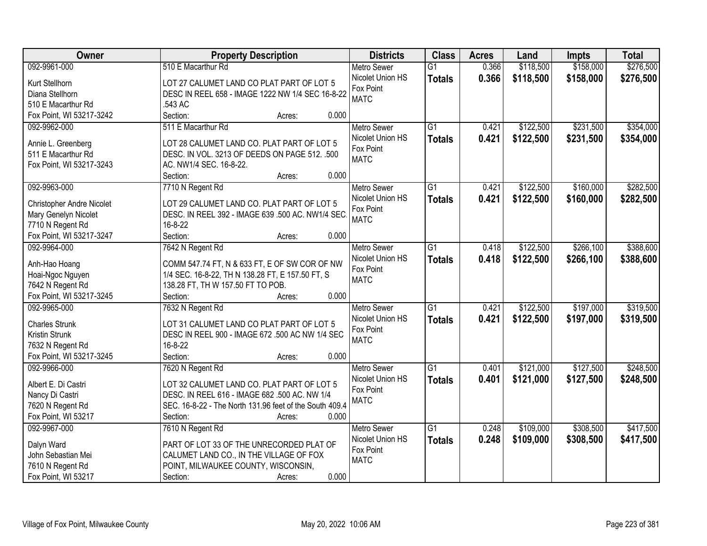| Owner                            | <b>Property Description</b>                             | <b>Districts</b>   | <b>Class</b>    | <b>Acres</b> | Land      | <b>Impts</b> | <b>Total</b> |
|----------------------------------|---------------------------------------------------------|--------------------|-----------------|--------------|-----------|--------------|--------------|
| 092-9961-000                     | 510 E Macarthur Rd                                      | <b>Metro Sewer</b> | $\overline{G1}$ | 0.366        | \$118,500 | \$158,000    | \$276,500    |
| Kurt Stellhorn                   | LOT 27 CALUMET LAND CO PLAT PART OF LOT 5               | Nicolet Union HS   | <b>Totals</b>   | 0.366        | \$118,500 | \$158,000    | \$276,500    |
| Diana Stellhorn                  | DESC IN REEL 658 - IMAGE 1222 NW 1/4 SEC 16-8-22        | Fox Point          |                 |              |           |              |              |
| 510 E Macarthur Rd               | .543 AC                                                 | <b>MATC</b>        |                 |              |           |              |              |
| Fox Point, WI 53217-3242         | Section:<br>0.000<br>Acres:                             |                    |                 |              |           |              |              |
| 092-9962-000                     | 511 E Macarthur Rd                                      | <b>Metro Sewer</b> | $\overline{G1}$ | 0.421        | \$122,500 | \$231,500    | \$354,000    |
|                                  |                                                         | Nicolet Union HS   | <b>Totals</b>   | 0.421        | \$122,500 | \$231,500    | \$354,000    |
| Annie L. Greenberg               | LOT 28 CALUMET LAND CO. PLAT PART OF LOT 5              | Fox Point          |                 |              |           |              |              |
| 511 E Macarthur Rd               | DESC. IN VOL. 3213 OF DEEDS ON PAGE 512. .500           | <b>MATC</b>        |                 |              |           |              |              |
| Fox Point, WI 53217-3243         | AC. NW1/4 SEC. 16-8-22.                                 |                    |                 |              |           |              |              |
|                                  | 0.000<br>Section:<br>Acres:                             |                    |                 |              |           |              |              |
| 092-9963-000                     | 7710 N Regent Rd                                        | <b>Metro Sewer</b> | G1              | 0.421        | \$122,500 | \$160,000    | \$282,500    |
| <b>Christopher Andre Nicolet</b> | LOT 29 CALUMET LAND CO. PLAT PART OF LOT 5              | Nicolet Union HS   | <b>Totals</b>   | 0.421        | \$122,500 | \$160,000    | \$282,500    |
| Mary Genelyn Nicolet             | DESC. IN REEL 392 - IMAGE 639 .500 AC. NW1/4 SEC.       | Fox Point          |                 |              |           |              |              |
| 7710 N Regent Rd                 | 16-8-22                                                 | <b>MATC</b>        |                 |              |           |              |              |
| Fox Point, WI 53217-3247         | Section:<br>0.000<br>Acres:                             |                    |                 |              |           |              |              |
| 092-9964-000                     | 7642 N Regent Rd                                        | <b>Metro Sewer</b> | $\overline{G1}$ | 0.418        | \$122,500 | \$266,100    | \$388,600    |
|                                  |                                                         | Nicolet Union HS   | <b>Totals</b>   | 0.418        | \$122,500 | \$266,100    | \$388,600    |
| Anh-Hao Hoang                    | COMM 547.74 FT, N & 633 FT, E OF SW COR OF NW           | Fox Point          |                 |              |           |              |              |
| Hoai-Ngoc Nguyen                 | 1/4 SEC. 16-8-22, TH N 138.28 FT, E 157.50 FT, S        | <b>MATC</b>        |                 |              |           |              |              |
| 7642 N Regent Rd                 | 138.28 FT, TH W 157.50 FT TO POB.                       |                    |                 |              |           |              |              |
| Fox Point, WI 53217-3245         | 0.000<br>Section:<br>Acres:                             |                    |                 |              |           |              |              |
| 092-9965-000                     | 7632 N Regent Rd                                        | <b>Metro Sewer</b> | $\overline{G1}$ | 0.421        | \$122,500 | \$197,000    | \$319,500    |
| <b>Charles Strunk</b>            | LOT 31 CALUMET LAND CO PLAT PART OF LOT 5               | Nicolet Union HS   | <b>Totals</b>   | 0.421        | \$122,500 | \$197,000    | \$319,500    |
| Kristin Strunk                   | DESC IN REEL 900 - IMAGE 672 .500 AC NW 1/4 SEC         | Fox Point          |                 |              |           |              |              |
| 7632 N Regent Rd                 | 16-8-22                                                 | <b>MATC</b>        |                 |              |           |              |              |
| Fox Point, WI 53217-3245         | Section:<br>0.000<br>Acres:                             |                    |                 |              |           |              |              |
| 092-9966-000                     | 7620 N Regent Rd                                        | Metro Sewer        | $\overline{G1}$ | 0.401        | \$121,000 | \$127,500    | \$248,500    |
|                                  |                                                         | Nicolet Union HS   | <b>Totals</b>   | 0.401        | \$121,000 | \$127,500    | \$248,500    |
| Albert E. Di Castri              | LOT 32 CALUMET LAND CO. PLAT PART OF LOT 5              | Fox Point          |                 |              |           |              |              |
| Nancy Di Castri                  | DESC. IN REEL 616 - IMAGE 682 .500 AC. NW 1/4           | <b>MATC</b>        |                 |              |           |              |              |
| 7620 N Regent Rd                 | SEC. 16-8-22 - The North 131.96 feet of the South 409.4 |                    |                 |              |           |              |              |
| Fox Point, WI 53217              | 0.000<br>Section:<br>Acres:                             |                    |                 |              |           |              |              |
| 092-9967-000                     | 7610 N Regent Rd                                        | <b>Metro Sewer</b> | $\overline{G1}$ | 0.248        | \$109,000 | \$308,500    | \$417,500    |
| Dalyn Ward                       | PART OF LOT 33 OF THE UNRECORDED PLAT OF                | Nicolet Union HS   | <b>Totals</b>   | 0.248        | \$109,000 | \$308,500    | \$417,500    |
| John Sebastian Mei               | CALUMET LAND CO., IN THE VILLAGE OF FOX                 | Fox Point          |                 |              |           |              |              |
| 7610 N Regent Rd                 | POINT, MILWAUKEE COUNTY, WISCONSIN,                     | <b>MATC</b>        |                 |              |           |              |              |
| Fox Point, WI 53217              | 0.000<br>Section:<br>Acres:                             |                    |                 |              |           |              |              |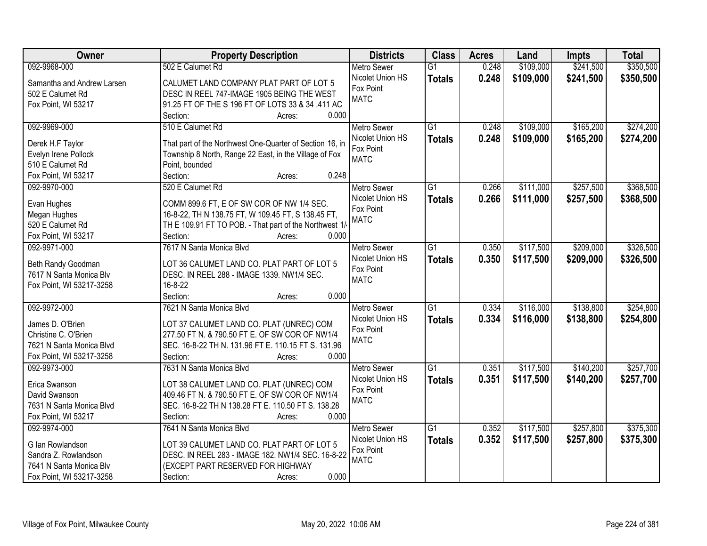| Owner                      | <b>Property Description</b>                              | <b>Districts</b>   | <b>Class</b>    | <b>Acres</b> | Land      | <b>Impts</b> | <b>Total</b> |
|----------------------------|----------------------------------------------------------|--------------------|-----------------|--------------|-----------|--------------|--------------|
| 092-9968-000               | 502 E Calumet Rd                                         | <b>Metro Sewer</b> | $\overline{G1}$ | 0.248        | \$109,000 | \$241,500    | \$350,500    |
| Samantha and Andrew Larsen | CALUMET LAND COMPANY PLAT PART OF LOT 5                  | Nicolet Union HS   | <b>Totals</b>   | 0.248        | \$109,000 | \$241,500    | \$350,500    |
| 502 E Calumet Rd           | DESC IN REEL 747-IMAGE 1905 BEING THE WEST               | Fox Point          |                 |              |           |              |              |
| Fox Point, WI 53217        | 91.25 FT OF THE S 196 FT OF LOTS 33 & 34 .411 AC         | <b>MATC</b>        |                 |              |           |              |              |
|                            | Section:<br>0.000<br>Acres:                              |                    |                 |              |           |              |              |
| 092-9969-000               | 510 E Calumet Rd                                         | Metro Sewer        | $\overline{G1}$ | 0.248        | \$109,000 | \$165,200    | \$274,200    |
|                            |                                                          | Nicolet Union HS   | <b>Totals</b>   | 0.248        | \$109,000 | \$165,200    | \$274,200    |
| Derek H.F Taylor           | That part of the Northwest One-Quarter of Section 16, in | Fox Point          |                 |              |           |              |              |
| Evelyn Irene Pollock       | Township 8 North, Range 22 East, in the Village of Fox   | <b>MATC</b>        |                 |              |           |              |              |
| 510 E Calumet Rd           | Point, bounded                                           |                    |                 |              |           |              |              |
| Fox Point, WI 53217        | 0.248<br>Section:<br>Acres:                              |                    |                 |              |           |              |              |
| 092-9970-000               | 520 E Calumet Rd                                         | Metro Sewer        | $\overline{G1}$ | 0.266        | \$111,000 | \$257,500    | \$368,500    |
| Evan Hughes                | COMM 899.6 FT, E OF SW COR OF NW 1/4 SEC.                | Nicolet Union HS   | <b>Totals</b>   | 0.266        | \$111,000 | \$257,500    | \$368,500    |
| Megan Hughes               | 16-8-22, TH N 138.75 FT, W 109.45 FT, S 138.45 FT,       | Fox Point          |                 |              |           |              |              |
| 520 E Calumet Rd           | TH E 109.91 FT TO POB. - That part of the Northwest 1/   | <b>MATC</b>        |                 |              |           |              |              |
| Fox Point, WI 53217        | 0.000<br>Section:<br>Acres:                              |                    |                 |              |           |              |              |
| 092-9971-000               | 7617 N Santa Monica Blvd                                 | <b>Metro Sewer</b> | G1              | 0.350        | \$117,500 | \$209,000    | \$326,500    |
|                            |                                                          | Nicolet Union HS   | <b>Totals</b>   | 0.350        | \$117,500 | \$209,000    | \$326,500    |
| Beth Randy Goodman         | LOT 36 CALUMET LAND CO. PLAT PART OF LOT 5               | Fox Point          |                 |              |           |              |              |
| 7617 N Santa Monica Blv    | DESC. IN REEL 288 - IMAGE 1339. NW1/4 SEC.               | <b>MATC</b>        |                 |              |           |              |              |
| Fox Point, WI 53217-3258   | 16-8-22                                                  |                    |                 |              |           |              |              |
|                            | 0.000<br>Section:<br>Acres:                              |                    |                 |              |           |              |              |
| 092-9972-000               | 7621 N Santa Monica Blvd                                 | <b>Metro Sewer</b> | $\overline{G1}$ | 0.334        | \$116,000 | \$138,800    | \$254,800    |
| James D. O'Brien           | LOT 37 CALUMET LAND CO. PLAT (UNREC) COM                 | Nicolet Union HS   | <b>Totals</b>   | 0.334        | \$116,000 | \$138,800    | \$254,800    |
| Christine C. O'Brien       | 277.50 FT N. & 790.50 FT E. OF SW COR OF NW1/4           | Fox Point          |                 |              |           |              |              |
| 7621 N Santa Monica Blvd   | SEC. 16-8-22 TH N. 131.96 FT E. 110.15 FT S. 131.96      | <b>MATC</b>        |                 |              |           |              |              |
| Fox Point, WI 53217-3258   | Section:<br>0.000<br>Acres:                              |                    |                 |              |           |              |              |
| 092-9973-000               | 7631 N Santa Monica Blvd                                 | Metro Sewer        | $\overline{G1}$ | 0.351        | \$117,500 | \$140,200    | \$257,700    |
|                            |                                                          | Nicolet Union HS   | <b>Totals</b>   | 0.351        | \$117,500 | \$140,200    | \$257,700    |
| Erica Swanson              | LOT 38 CALUMET LAND CO. PLAT (UNREC) COM                 | Fox Point          |                 |              |           |              |              |
| David Swanson              | 409.46 FT N. & 790.50 FT E. OF SW COR OF NW1/4           | <b>MATC</b>        |                 |              |           |              |              |
| 7631 N Santa Monica Blvd   | SEC. 16-8-22 TH N 138.28 FT E. 110.50 FT S. 138.28       |                    |                 |              |           |              |              |
| Fox Point, WI 53217        | 0.000<br>Section:<br>Acres:                              |                    |                 |              |           |              |              |
| 092-9974-000               | 7641 N Santa Monica Blvd                                 | <b>Metro Sewer</b> | $\overline{G1}$ | 0.352        | \$117,500 | \$257,800    | \$375,300    |
| G Ian Rowlandson           | LOT 39 CALUMET LAND CO. PLAT PART OF LOT 5               | Nicolet Union HS   | <b>Totals</b>   | 0.352        | \$117,500 | \$257,800    | \$375,300    |
| Sandra Z. Rowlandson       | DESC. IN REEL 283 - IMAGE 182. NW1/4 SEC. 16-8-22        | Fox Point          |                 |              |           |              |              |
| 7641 N Santa Monica Blv    | (EXCEPT PART RESERVED FOR HIGHWAY                        | <b>MATC</b>        |                 |              |           |              |              |
| Fox Point, WI 53217-3258   | 0.000<br>Section:<br>Acres:                              |                    |                 |              |           |              |              |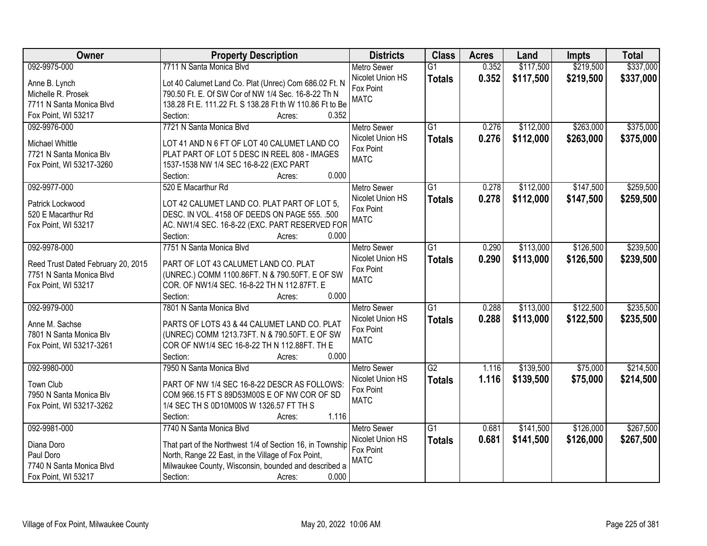| Owner                              | <b>Property Description</b>                                      | <b>Districts</b>   | <b>Class</b>    | <b>Acres</b> | Land      | <b>Impts</b> | <b>Total</b> |
|------------------------------------|------------------------------------------------------------------|--------------------|-----------------|--------------|-----------|--------------|--------------|
| 092-9975-000                       | 7711 N Santa Monica Blvd                                         | <b>Metro Sewer</b> | $\overline{G1}$ | 0.352        | \$117,500 | \$219,500    | \$337,000    |
| Anne B. Lynch                      | Lot 40 Calumet Land Co. Plat (Unrec) Com 686.02 Ft. N            | Nicolet Union HS   | <b>Totals</b>   | 0.352        | \$117,500 | \$219,500    | \$337,000    |
| Michelle R. Prosek                 | 790.50 Ft. E. Of SW Cor of NW 1/4 Sec. 16-8-22 Th N              | Fox Point          |                 |              |           |              |              |
| 7711 N Santa Monica Blvd           | 138.28 Ft E. 111.22 Ft. S 138.28 Ft th W 110.86 Ft to Be         | <b>MATC</b>        |                 |              |           |              |              |
| Fox Point, WI 53217                | 0.352<br>Section:<br>Acres:                                      |                    |                 |              |           |              |              |
| 092-9976-000                       | 7721 N Santa Monica Blvd                                         | <b>Metro Sewer</b> | $\overline{G1}$ | 0.276        | \$112,000 | \$263,000    | \$375,000    |
|                                    |                                                                  | Nicolet Union HS   | <b>Totals</b>   | 0.276        | \$112,000 | \$263,000    | \$375,000    |
| Michael Whittle                    | LOT 41 AND N 6 FT OF LOT 40 CALUMET LAND CO                      | Fox Point          |                 |              |           |              |              |
| 7721 N Santa Monica Blv            | PLAT PART OF LOT 5 DESC IN REEL 808 - IMAGES                     | <b>MATC</b>        |                 |              |           |              |              |
| Fox Point, WI 53217-3260           | 1537-1538 NW 1/4 SEC 16-8-22 (EXC PART<br>0.000                  |                    |                 |              |           |              |              |
|                                    | Section:<br>Acres:                                               |                    |                 |              |           |              |              |
| 092-9977-000                       | 520 E Macarthur Rd                                               | Metro Sewer        | G1              | 0.278        | \$112,000 | \$147,500    | \$259,500    |
| Patrick Lockwood                   | LOT 42 CALUMET LAND CO. PLAT PART OF LOT 5,                      | Nicolet Union HS   | <b>Totals</b>   | 0.278        | \$112,000 | \$147,500    | \$259,500    |
| 520 E Macarthur Rd                 | DESC. IN VOL. 4158 OF DEEDS ON PAGE 555. .500                    | Fox Point          |                 |              |           |              |              |
| Fox Point, WI 53217                | AC. NW1/4 SEC. 16-8-22 (EXC. PART RESERVED FOR                   | <b>MATC</b>        |                 |              |           |              |              |
|                                    | Section:<br>0.000<br>Acres:                                      |                    |                 |              |           |              |              |
| 092-9978-000                       | 7751 N Santa Monica Blvd                                         | <b>Metro Sewer</b> | G1              | 0.290        | \$113,000 | \$126,500    | \$239,500    |
|                                    |                                                                  | Nicolet Union HS   | <b>Totals</b>   | 0.290        | \$113,000 | \$126,500    | \$239,500    |
| Reed Trust Dated February 20, 2015 | PART OF LOT 43 CALUMET LAND CO. PLAT                             | Fox Point          |                 |              |           |              |              |
| 7751 N Santa Monica Blvd           | (UNREC.) COMM 1100.86FT. N & 790.50FT. E OF SW                   | <b>MATC</b>        |                 |              |           |              |              |
| Fox Point, WI 53217                | COR. OF NW1/4 SEC. 16-8-22 TH N 112.87FT. E<br>0.000<br>Section: |                    |                 |              |           |              |              |
| 092-9979-000                       | Acres:<br>7801 N Santa Monica Blvd                               | <b>Metro Sewer</b> | $\overline{G1}$ | 0.288        | \$113,000 | \$122,500    | \$235,500    |
|                                    |                                                                  | Nicolet Union HS   |                 |              |           |              |              |
| Anne M. Sachse                     | PARTS OF LOTS 43 & 44 CALUMET LAND CO. PLAT                      | Fox Point          | <b>Totals</b>   | 0.288        | \$113,000 | \$122,500    | \$235,500    |
| 7801 N Santa Monica Blv            | (UNREC) COMM 1213.73FT. N & 790.50FT. E OF SW                    | <b>MATC</b>        |                 |              |           |              |              |
| Fox Point, WI 53217-3261           | COR OF NW1/4 SEC 16-8-22 TH N 112.88FT. TH E                     |                    |                 |              |           |              |              |
|                                    | 0.000<br>Section:<br>Acres:                                      |                    |                 |              |           |              |              |
| 092-9980-000                       | 7950 N Santa Monica Blvd                                         | <b>Metro Sewer</b> | G2              | 1.116        | \$139,500 | \$75,000     | \$214,500    |
| Town Club                          | PART OF NW 1/4 SEC 16-8-22 DESCR AS FOLLOWS:                     | Nicolet Union HS   | <b>Totals</b>   | 1.116        | \$139,500 | \$75,000     | \$214,500    |
| 7950 N Santa Monica Blv            | COM 966.15 FT S 89D53M00S E OF NW COR OF SD                      | Fox Point          |                 |              |           |              |              |
| Fox Point, WI 53217-3262           | 1/4 SEC TH S 0D10M00S W 1326.57 FT TH S                          | <b>MATC</b>        |                 |              |           |              |              |
|                                    | 1.116<br>Section:<br>Acres:                                      |                    |                 |              |           |              |              |
| 092-9981-000                       | 7740 N Santa Monica Blvd                                         | <b>Metro Sewer</b> | $\overline{G1}$ | 0.681        | \$141,500 | \$126,000    | \$267,500    |
|                                    |                                                                  | Nicolet Union HS   | <b>Totals</b>   | 0.681        | \$141,500 | \$126,000    | \$267,500    |
| Diana Doro                         | That part of the Northwest 1/4 of Section 16, in Township        | Fox Point          |                 |              |           |              |              |
| Paul Doro                          | North, Range 22 East, in the Village of Fox Point,               | <b>MATC</b>        |                 |              |           |              |              |
| 7740 N Santa Monica Blvd           | Milwaukee County, Wisconsin, bounded and described a             |                    |                 |              |           |              |              |
| Fox Point, WI 53217                | Section:<br>0.000<br>Acres:                                      |                    |                 |              |           |              |              |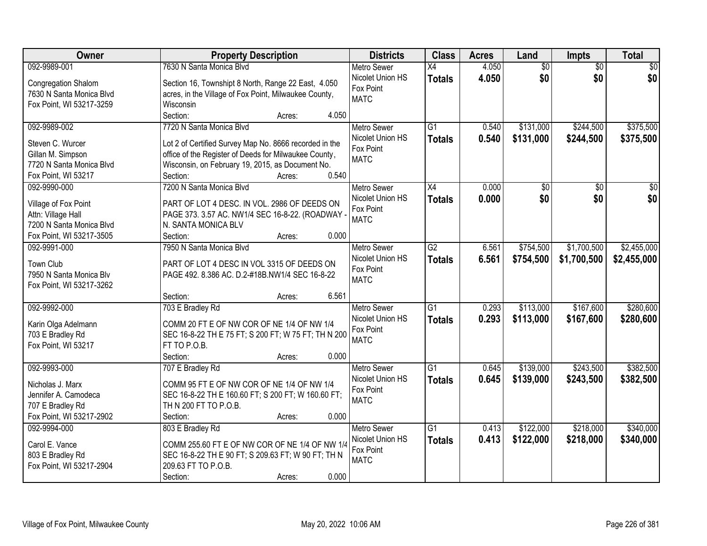| 092-9989-001<br>7630 N Santa Monica Blvd<br>4.050<br>$\overline{50}$<br>\$0<br><b>Metro Sewer</b><br>$\overline{X4}$<br>$\overline{50}$<br>\$0<br>\$0<br>\$0<br>Nicolet Union HS<br>4.050<br><b>Totals</b><br>Section 16, Townshipt 8 North, Range 22 East, 4.050<br>Congregation Shalom<br>Fox Point<br>7630 N Santa Monica Blvd<br>acres, in the Village of Fox Point, Milwaukee County,<br><b>MATC</b><br>Fox Point, WI 53217-3259<br>Wisconsin<br>Section:<br>4.050<br>Acres: |
|-----------------------------------------------------------------------------------------------------------------------------------------------------------------------------------------------------------------------------------------------------------------------------------------------------------------------------------------------------------------------------------------------------------------------------------------------------------------------------------|
|                                                                                                                                                                                                                                                                                                                                                                                                                                                                                   |
|                                                                                                                                                                                                                                                                                                                                                                                                                                                                                   |
|                                                                                                                                                                                                                                                                                                                                                                                                                                                                                   |
|                                                                                                                                                                                                                                                                                                                                                                                                                                                                                   |
| 7720 N Santa Monica Blvd<br>$\overline{G1}$<br>\$244,500<br>\$375,500<br>092-9989-002<br>0.540<br>\$131,000<br><b>Metro Sewer</b>                                                                                                                                                                                                                                                                                                                                                 |
| Nicolet Union HS<br>0.540<br>\$131,000<br>\$375,500<br>\$244,500<br><b>Totals</b><br>Lot 2 of Certified Survey Map No. 8666 recorded in the<br>Steven C. Wurcer                                                                                                                                                                                                                                                                                                                   |
| Fox Point<br>office of the Register of Deeds for Milwaukee County,<br>Gillan M. Simpson                                                                                                                                                                                                                                                                                                                                                                                           |
| <b>MATC</b><br>Wisconsin, on February 19, 2015, as Document No.<br>7720 N Santa Monica Blvd                                                                                                                                                                                                                                                                                                                                                                                       |
| 0.540<br>Section:<br>Fox Point, WI 53217<br>Acres:                                                                                                                                                                                                                                                                                                                                                                                                                                |
| 092-9990-000<br>7200 N Santa Monica Blvd<br>X4<br>0.000<br>\$0<br>\$0<br><b>Metro Sewer</b><br>\$0                                                                                                                                                                                                                                                                                                                                                                                |
| \$0<br>\$0 <br>\$0<br>Nicolet Union HS<br>0.000<br><b>Totals</b>                                                                                                                                                                                                                                                                                                                                                                                                                  |
| PART OF LOT 4 DESC. IN VOL. 2986 OF DEEDS ON<br>Village of Fox Point<br>Fox Point                                                                                                                                                                                                                                                                                                                                                                                                 |
| Attn: Village Hall<br>PAGE 373. 3.57 AC. NW1/4 SEC 16-8-22. (ROADWAY -<br><b>MATC</b><br>N. SANTA MONICA BLV<br>7200 N Santa Monica Blvd                                                                                                                                                                                                                                                                                                                                          |
| Fox Point, WI 53217-3505<br>Section:<br>0.000<br>Acres:                                                                                                                                                                                                                                                                                                                                                                                                                           |
| 7950 N Santa Monica Blvd<br>$\overline{G2}$<br>\$754,500<br>\$1,700,500<br>\$2,455,000<br>092-9991-000<br><b>Metro Sewer</b><br>6.561                                                                                                                                                                                                                                                                                                                                             |
| Nicolet Union HS<br>6.561<br>\$754,500<br>\$1,700,500<br>\$2,455,000<br><b>Totals</b>                                                                                                                                                                                                                                                                                                                                                                                             |
| Town Club<br>PART OF LOT 4 DESC IN VOL 3315 OF DEEDS ON<br>Fox Point                                                                                                                                                                                                                                                                                                                                                                                                              |
| 7950 N Santa Monica Blv<br>PAGE 492. 8.386 AC. D.2-#18B.NW1/4 SEC 16-8-22<br><b>MATC</b>                                                                                                                                                                                                                                                                                                                                                                                          |
| Fox Point, WI 53217-3262                                                                                                                                                                                                                                                                                                                                                                                                                                                          |
| 6.561<br>Section:<br>Acres:                                                                                                                                                                                                                                                                                                                                                                                                                                                       |
| \$167,600<br>\$280,600<br>092-9992-000<br>703 E Bradley Rd<br>$\overline{G1}$<br>0.293<br>\$113,000<br><b>Metro Sewer</b>                                                                                                                                                                                                                                                                                                                                                         |
| 0.293<br>\$113,000<br>\$167,600<br>\$280,600<br>Nicolet Union HS<br><b>Totals</b><br>Karin Olga Adelmann<br>COMM 20 FT E OF NW COR OF NE 1/4 OF NW 1/4                                                                                                                                                                                                                                                                                                                            |
| Fox Point<br>SEC 16-8-22 TH E 75 FT; S 200 FT; W 75 FT; TH N 200<br>703 E Bradley Rd<br><b>MATC</b>                                                                                                                                                                                                                                                                                                                                                                               |
| Fox Point, WI 53217<br>FT TO P.O.B.                                                                                                                                                                                                                                                                                                                                                                                                                                               |
| Section:<br>0.000<br>Acres:                                                                                                                                                                                                                                                                                                                                                                                                                                                       |
| $\overline{G1}$<br>\$243,500<br>\$382,500<br>092-9993-000<br>707 E Bradley Rd<br>\$139,000<br>Metro Sewer<br>0.645                                                                                                                                                                                                                                                                                                                                                                |
| Nicolet Union HS<br>0.645<br>\$139,000<br>\$243,500<br>\$382,500<br><b>Totals</b><br>COMM 95 FT E OF NW COR OF NE 1/4 OF NW 1/4<br>Nicholas J. Marx                                                                                                                                                                                                                                                                                                                               |
| Fox Point<br>SEC 16-8-22 TH E 160.60 FT; S 200 FT; W 160.60 FT;<br>Jennifer A. Camodeca                                                                                                                                                                                                                                                                                                                                                                                           |
| <b>MATC</b><br>TH N 200 FT TO P.O.B.<br>707 E Bradley Rd                                                                                                                                                                                                                                                                                                                                                                                                                          |
| 0.000<br>Fox Point, WI 53217-2902<br>Section:<br>Acres:                                                                                                                                                                                                                                                                                                                                                                                                                           |
| 092-9994-000<br>$\overline{G1}$<br>\$122,000<br>\$218,000<br>\$340,000<br>803 E Bradley Rd<br>0.413<br><b>Metro Sewer</b>                                                                                                                                                                                                                                                                                                                                                         |
| Nicolet Union HS<br>0.413<br>\$122,000<br>\$340,000<br>\$218,000<br><b>Totals</b><br>COMM 255.60 FT E OF NW COR OF NE 1/4 OF NW 1/4                                                                                                                                                                                                                                                                                                                                               |
| Carol E. Vance<br>Fox Point<br>803 E Bradley Rd<br>SEC 16-8-22 TH E 90 FT; S 209.63 FT; W 90 FT; TH N                                                                                                                                                                                                                                                                                                                                                                             |
| <b>MATC</b><br>Fox Point, WI 53217-2904<br>209.63 FT TO P.O.B.                                                                                                                                                                                                                                                                                                                                                                                                                    |
| 0.000<br>Section:<br>Acres:                                                                                                                                                                                                                                                                                                                                                                                                                                                       |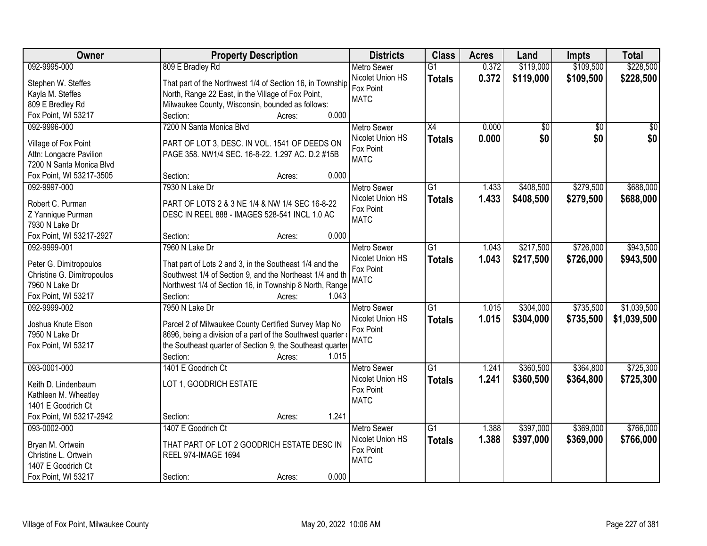| Owner                      | <b>Property Description</b>                               | <b>Districts</b>         | <b>Class</b>    | <b>Acres</b> | Land      | <b>Impts</b>    | <b>Total</b> |
|----------------------------|-----------------------------------------------------------|--------------------------|-----------------|--------------|-----------|-----------------|--------------|
| 092-9995-000               | 809 E Bradley Rd                                          | <b>Metro Sewer</b>       | $\overline{G1}$ | 0.372        | \$119,000 | \$109,500       | \$228,500    |
| Stephen W. Steffes         | That part of the Northwest 1/4 of Section 16, in Township | Nicolet Union HS         | <b>Totals</b>   | 0.372        | \$119,000 | \$109,500       | \$228,500    |
| Kayla M. Steffes           | North, Range 22 East, in the Village of Fox Point,        | Fox Point                |                 |              |           |                 |              |
| 809 E Bredley Rd           | Milwaukee County, Wisconsin, bounded as follows:          | <b>MATC</b>              |                 |              |           |                 |              |
| Fox Point, WI 53217        | 0.000<br>Section:<br>Acres:                               |                          |                 |              |           |                 |              |
| 092-9996-000               | 7200 N Santa Monica Blvd                                  | <b>Metro Sewer</b>       | $\overline{X4}$ | 0.000        | \$0       | $\overline{50}$ | \$0          |
|                            |                                                           | Nicolet Union HS         | <b>Totals</b>   | 0.000        | \$0       | \$0             | \$0          |
| Village of Fox Point       | PART OF LOT 3, DESC. IN VOL. 1541 OF DEEDS ON             | Fox Point                |                 |              |           |                 |              |
| Attn: Longacre Pavilion    | PAGE 358. NW1/4 SEC. 16-8-22. 1.297 AC. D.2 #15B          | <b>MATC</b>              |                 |              |           |                 |              |
| 7200 N Santa Monica Blvd   | 0.000                                                     |                          |                 |              |           |                 |              |
| Fox Point, WI 53217-3505   | Section:<br>Acres:                                        |                          |                 |              |           |                 |              |
| 092-9997-000               | 7930 N Lake Dr                                            | <b>Metro Sewer</b>       | $\overline{G1}$ | 1.433        | \$408,500 | \$279,500       | \$688,000    |
| Robert C. Purman           | PART OF LOTS 2 & 3 NE 1/4 & NW 1/4 SEC 16-8-22            | Nicolet Union HS         | <b>Totals</b>   | 1.433        | \$408,500 | \$279,500       | \$688,000    |
| Z Yannique Purman          | DESC IN REEL 888 - IMAGES 528-541 INCL 1.0 AC             | Fox Point<br><b>MATC</b> |                 |              |           |                 |              |
| 7930 N Lake Dr             |                                                           |                          |                 |              |           |                 |              |
| Fox Point, WI 53217-2927   | 0.000<br>Section:<br>Acres:                               |                          |                 |              |           |                 |              |
| 092-9999-001               | 7960 N Lake Dr                                            | <b>Metro Sewer</b>       | G1              | 1.043        | \$217,500 | \$726,000       | \$943,500    |
| Peter G. Dimitropoulos     | That part of Lots 2 and 3, in the Southeast 1/4 and the   | Nicolet Union HS         | <b>Totals</b>   | 1.043        | \$217,500 | \$726,000       | \$943,500    |
| Christine G. Dimitropoulos | Southwest 1/4 of Section 9, and the Northeast 1/4 and th  | Fox Point                |                 |              |           |                 |              |
| 7960 N Lake Dr             | Northwest 1/4 of Section 16, in Township 8 North, Range   | <b>MATC</b>              |                 |              |           |                 |              |
| Fox Point, WI 53217        | Section:<br>1.043<br>Acres:                               |                          |                 |              |           |                 |              |
| 092-9999-002               | 7950 N Lake Dr                                            | <b>Metro Sewer</b>       | $\overline{G1}$ | 1.015        | \$304,000 | \$735,500       | \$1,039,500  |
|                            |                                                           | Nicolet Union HS         | <b>Totals</b>   | 1.015        | \$304,000 | \$735,500       | \$1,039,500  |
| Joshua Knute Elson         | Parcel 2 of Milwaukee County Certified Survey Map No      | Fox Point                |                 |              |           |                 |              |
| 7950 N Lake Dr             | 8696, being a division of a part of the Southwest quarter | <b>MATC</b>              |                 |              |           |                 |              |
| Fox Point, WI 53217        | the Southeast quarter of Section 9, the Southeast quarter |                          |                 |              |           |                 |              |
|                            | 1.015<br>Section:<br>Acres:                               |                          |                 |              |           |                 |              |
| 093-0001-000               | 1401 E Goodrich Ct                                        | <b>Metro Sewer</b>       | $\overline{G1}$ | 1.241        | \$360,500 | \$364,800       | \$725,300    |
| Keith D. Lindenbaum        | LOT 1, GOODRICH ESTATE                                    | Nicolet Union HS         | <b>Totals</b>   | 1.241        | \$360,500 | \$364,800       | \$725,300    |
| Kathleen M. Wheatley       |                                                           | Fox Point                |                 |              |           |                 |              |
| 1401 E Goodrich Ct         |                                                           | <b>MATC</b>              |                 |              |           |                 |              |
| Fox Point, WI 53217-2942   | 1.241<br>Section:<br>Acres:                               |                          |                 |              |           |                 |              |
| 093-0002-000               | 1407 E Goodrich Ct                                        | <b>Metro Sewer</b>       | $\overline{G1}$ | 1.388        | \$397,000 | \$369,000       | \$766,000    |
|                            |                                                           | Nicolet Union HS         | <b>Totals</b>   | 1.388        | \$397,000 | \$369,000       | \$766,000    |
| Bryan M. Ortwein           | THAT PART OF LOT 2 GOODRICH ESTATE DESC IN                | Fox Point                |                 |              |           |                 |              |
| Christine L. Ortwein       | <b>REEL 974-IMAGE 1694</b>                                | <b>MATC</b>              |                 |              |           |                 |              |
| 1407 E Goodrich Ct         | 0.000                                                     |                          |                 |              |           |                 |              |
| Fox Point, WI 53217        | Section:<br>Acres:                                        |                          |                 |              |           |                 |              |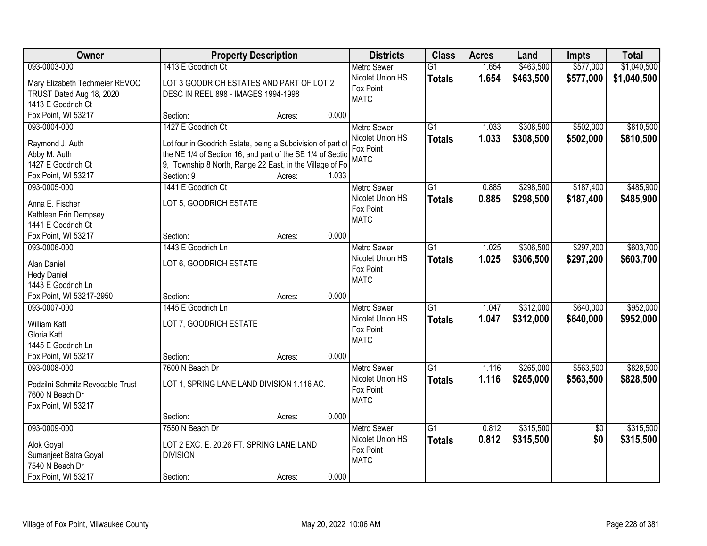| <b>Owner</b>                             |                                                             | <b>Property Description</b> |       | <b>Districts</b>   | <b>Class</b>    | <b>Acres</b> | Land      | <b>Impts</b>    | <b>Total</b> |
|------------------------------------------|-------------------------------------------------------------|-----------------------------|-------|--------------------|-----------------|--------------|-----------|-----------------|--------------|
| 093-0003-000                             | 1413 E Goodrich Ct                                          |                             |       | <b>Metro Sewer</b> | $\overline{G1}$ | 1.654        | \$463,500 | \$577,000       | \$1,040,500  |
| Mary Elizabeth Techmeier REVOC           | LOT 3 GOODRICH ESTATES AND PART OF LOT 2                    |                             |       | Nicolet Union HS   | <b>Totals</b>   | 1.654        | \$463,500 | \$577,000       | \$1,040,500  |
| TRUST Dated Aug 18, 2020                 | DESC IN REEL 898 - IMAGES 1994-1998                         |                             |       | Fox Point          |                 |              |           |                 |              |
| 1413 E Goodrich Ct                       |                                                             |                             |       | <b>MATC</b>        |                 |              |           |                 |              |
| Fox Point, WI 53217                      | Section:                                                    | Acres:                      | 0.000 |                    |                 |              |           |                 |              |
| 093-0004-000                             | 1427 E Goodrich Ct                                          |                             |       | <b>Metro Sewer</b> | $\overline{G1}$ | 1.033        | \$308,500 | \$502,000       | \$810,500    |
|                                          |                                                             |                             |       | Nicolet Union HS   | <b>Totals</b>   | 1.033        | \$308,500 | \$502,000       | \$810,500    |
| Raymond J. Auth                          | Lot four in Goodrich Estate, being a Subdivision of part of |                             |       | Fox Point          |                 |              |           |                 |              |
| Abby M. Auth                             | the NE 1/4 of Section 16, and part of the SE 1/4 of Sectio  |                             |       | <b>MATC</b>        |                 |              |           |                 |              |
| 1427 E Goodrich Ct                       | 9, Township 8 North, Range 22 East, in the Village of Fo    |                             |       |                    |                 |              |           |                 |              |
| Fox Point, WI 53217                      | Section: 9                                                  | Acres:                      | 1.033 |                    |                 |              |           |                 |              |
| 093-0005-000                             | 1441 E Goodrich Ct                                          |                             |       | Metro Sewer        | G1              | 0.885        | \$298,500 | \$187,400       | \$485,900    |
| Anna E. Fischer                          | LOT 5, GOODRICH ESTATE                                      |                             |       | Nicolet Union HS   | <b>Totals</b>   | 0.885        | \$298,500 | \$187,400       | \$485,900    |
| Kathleen Erin Dempsey                    |                                                             |                             |       | Fox Point          |                 |              |           |                 |              |
| 1441 E Goodrich Ct                       |                                                             |                             |       | <b>MATC</b>        |                 |              |           |                 |              |
| Fox Point, WI 53217                      | Section:                                                    | Acres:                      | 0.000 |                    |                 |              |           |                 |              |
| 093-0006-000                             | 1443 E Goodrich Ln                                          |                             |       | Metro Sewer        | $\overline{G1}$ | 1.025        | \$306,500 | \$297,200       | \$603,700    |
|                                          |                                                             |                             |       | Nicolet Union HS   | <b>Totals</b>   | 1.025        | \$306,500 | \$297,200       | \$603,700    |
| Alan Daniel                              | LOT 6, GOODRICH ESTATE                                      |                             |       | Fox Point          |                 |              |           |                 |              |
| <b>Hedy Daniel</b><br>1443 E Goodrich Ln |                                                             |                             |       | <b>MATC</b>        |                 |              |           |                 |              |
| Fox Point, WI 53217-2950                 | Section:                                                    | Acres:                      | 0.000 |                    |                 |              |           |                 |              |
| 093-0007-000                             | 1445 E Goodrich Ln                                          |                             |       | Metro Sewer        | $\overline{G1}$ | 1.047        | \$312,000 | \$640,000       | \$952,000    |
|                                          |                                                             |                             |       | Nicolet Union HS   |                 |              |           |                 |              |
| <b>William Katt</b>                      | LOT 7, GOODRICH ESTATE                                      |                             |       | Fox Point          | <b>Totals</b>   | 1.047        | \$312,000 | \$640,000       | \$952,000    |
| Gloria Katt                              |                                                             |                             |       | <b>MATC</b>        |                 |              |           |                 |              |
| 1445 E Goodrich Ln                       |                                                             |                             |       |                    |                 |              |           |                 |              |
| Fox Point, WI 53217                      | Section:                                                    | Acres:                      | 0.000 |                    |                 |              |           |                 |              |
| 093-0008-000                             | 7600 N Beach Dr                                             |                             |       | Metro Sewer        | $\overline{G1}$ | 1.116        | \$265,000 | \$563,500       | \$828,500    |
| Podzilni Schmitz Revocable Trust         | LOT 1, SPRING LANE LAND DIVISION 1.116 AC.                  |                             |       | Nicolet Union HS   | <b>Totals</b>   | 1.116        | \$265,000 | \$563,500       | \$828,500    |
| 7600 N Beach Dr                          |                                                             |                             |       | Fox Point          |                 |              |           |                 |              |
| Fox Point, WI 53217                      |                                                             |                             |       | <b>MATC</b>        |                 |              |           |                 |              |
|                                          | Section:                                                    | Acres:                      | 0.000 |                    |                 |              |           |                 |              |
| 093-0009-000                             | 7550 N Beach Dr                                             |                             |       | <b>Metro Sewer</b> | $\overline{G1}$ | 0.812        | \$315,500 | $\overline{50}$ | \$315,500    |
|                                          |                                                             |                             |       | Nicolet Union HS   | <b>Totals</b>   | 0.812        | \$315,500 | \$0             | \$315,500    |
| Alok Goyal                               | LOT 2 EXC. E. 20.26 FT. SPRING LANE LAND                    |                             |       | Fox Point          |                 |              |           |                 |              |
| Sumanjeet Batra Goyal                    | <b>DIVISION</b>                                             |                             |       | <b>MATC</b>        |                 |              |           |                 |              |
| 7540 N Beach Dr                          |                                                             |                             |       |                    |                 |              |           |                 |              |
| Fox Point, WI 53217                      | Section:                                                    | Acres:                      | 0.000 |                    |                 |              |           |                 |              |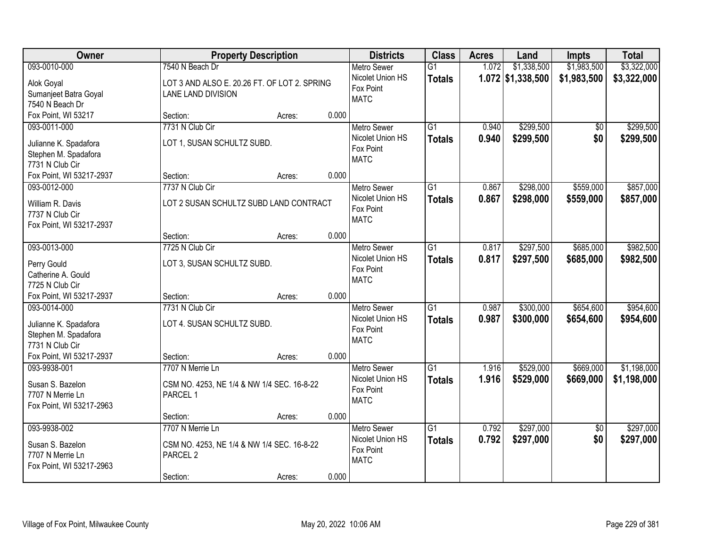| Owner                                         |                                              | <b>Property Description</b> |       | <b>Districts</b>                       | <b>Class</b>    | <b>Acres</b> | Land                | <b>Impts</b>    | <b>Total</b> |
|-----------------------------------------------|----------------------------------------------|-----------------------------|-------|----------------------------------------|-----------------|--------------|---------------------|-----------------|--------------|
| 093-0010-000                                  | 7540 N Beach Dr                              |                             |       | <b>Metro Sewer</b>                     | $\overline{G1}$ | 1.072        | \$1,338,500         | \$1,983,500     | \$3,322,000  |
| Alok Goyal                                    | LOT 3 AND ALSO E. 20.26 FT. OF LOT 2. SPRING |                             |       | Nicolet Union HS                       | <b>Totals</b>   |              | $1.072$ \$1,338,500 | \$1,983,500     | \$3,322,000  |
| Sumanjeet Batra Goyal                         | LANE LAND DIVISION                           |                             |       | Fox Point                              |                 |              |                     |                 |              |
| 7540 N Beach Dr                               |                                              |                             |       | <b>MATC</b>                            |                 |              |                     |                 |              |
| Fox Point, WI 53217                           | Section:                                     | Acres:                      | 0.000 |                                        |                 |              |                     |                 |              |
| 093-0011-000                                  | 7731 N Club Cir                              |                             |       | <b>Metro Sewer</b>                     | $\overline{G1}$ | 0.940        | \$299,500           | \$0             | \$299,500    |
|                                               | LOT 1, SUSAN SCHULTZ SUBD.                   |                             |       | Nicolet Union HS                       | <b>Totals</b>   | 0.940        | \$299,500           | \$0             | \$299,500    |
| Julianne K. Spadafora<br>Stephen M. Spadafora |                                              |                             |       | Fox Point                              |                 |              |                     |                 |              |
| 7731 N Club Cir                               |                                              |                             |       | <b>MATC</b>                            |                 |              |                     |                 |              |
| Fox Point, WI 53217-2937                      | Section:                                     | Acres:                      | 0.000 |                                        |                 |              |                     |                 |              |
| 093-0012-000                                  | 7737 N Club Cir                              |                             |       | Metro Sewer                            | G1              | 0.867        | \$298,000           | \$559,000       | \$857,000    |
|                                               |                                              |                             |       | Nicolet Union HS                       | <b>Totals</b>   | 0.867        | \$298,000           | \$559,000       | \$857,000    |
| William R. Davis                              | LOT 2 SUSAN SCHULTZ SUBD LAND CONTRACT       |                             |       | Fox Point                              |                 |              |                     |                 |              |
| 7737 N Club Cir                               |                                              |                             |       | <b>MATC</b>                            |                 |              |                     |                 |              |
| Fox Point, WI 53217-2937                      |                                              |                             |       |                                        |                 |              |                     |                 |              |
|                                               | Section:                                     | Acres:                      | 0.000 |                                        |                 |              |                     |                 |              |
| 093-0013-000                                  | 7725 N Club Cir                              |                             |       | <b>Metro Sewer</b><br>Nicolet Union HS | G1              | 0.817        | \$297,500           | \$685,000       | \$982,500    |
| Perry Gould                                   | LOT 3, SUSAN SCHULTZ SUBD.                   |                             |       | Fox Point                              | <b>Totals</b>   | 0.817        | \$297,500           | \$685,000       | \$982,500    |
| Catherine A. Gould                            |                                              |                             |       | <b>MATC</b>                            |                 |              |                     |                 |              |
| 7725 N Club Cir                               |                                              |                             |       |                                        |                 |              |                     |                 |              |
| Fox Point, WI 53217-2937                      | Section:                                     | Acres:                      | 0.000 |                                        |                 |              |                     |                 |              |
| 093-0014-000                                  | 7731 N Club Cir                              |                             |       | <b>Metro Sewer</b>                     | $\overline{G1}$ | 0.987        | \$300,000           | \$654,600       | \$954,600    |
| Julianne K. Spadafora                         | LOT 4. SUSAN SCHULTZ SUBD.                   |                             |       | Nicolet Union HS                       | <b>Totals</b>   | 0.987        | \$300,000           | \$654,600       | \$954,600    |
| Stephen M. Spadafora                          |                                              |                             |       | Fox Point                              |                 |              |                     |                 |              |
| 7731 N Club Cir                               |                                              |                             |       | <b>MATC</b>                            |                 |              |                     |                 |              |
| Fox Point, WI 53217-2937                      | Section:                                     | Acres:                      | 0.000 |                                        |                 |              |                     |                 |              |
| 093-9938-001                                  | 7707 N Merrie Ln                             |                             |       | Metro Sewer                            | G1              | 1.916        | \$529,000           | \$669,000       | \$1,198,000  |
| Susan S. Bazelon                              | CSM NO. 4253, NE 1/4 & NW 1/4 SEC. 16-8-22   |                             |       | Nicolet Union HS                       | <b>Totals</b>   | 1.916        | \$529,000           | \$669,000       | \$1,198,000  |
| 7707 N Merrie Ln                              | PARCEL 1                                     |                             |       | Fox Point                              |                 |              |                     |                 |              |
| Fox Point, WI 53217-2963                      |                                              |                             |       | <b>MATC</b>                            |                 |              |                     |                 |              |
|                                               | Section:                                     | Acres:                      | 0.000 |                                        |                 |              |                     |                 |              |
| 093-9938-002                                  | 7707 N Merrie Ln                             |                             |       | <b>Metro Sewer</b>                     | $\overline{G1}$ | 0.792        | \$297,000           | $\overline{50}$ | \$297,000    |
|                                               |                                              |                             |       | Nicolet Union HS                       | <b>Totals</b>   | 0.792        | \$297,000           | \$0             | \$297,000    |
| Susan S. Bazelon                              | CSM NO. 4253, NE 1/4 & NW 1/4 SEC. 16-8-22   |                             |       | Fox Point                              |                 |              |                     |                 |              |
| 7707 N Merrie Ln                              | PARCEL <sub>2</sub>                          |                             |       | <b>MATC</b>                            |                 |              |                     |                 |              |
| Fox Point, WI 53217-2963                      |                                              |                             |       |                                        |                 |              |                     |                 |              |
|                                               | Section:                                     | Acres:                      | 0.000 |                                        |                 |              |                     |                 |              |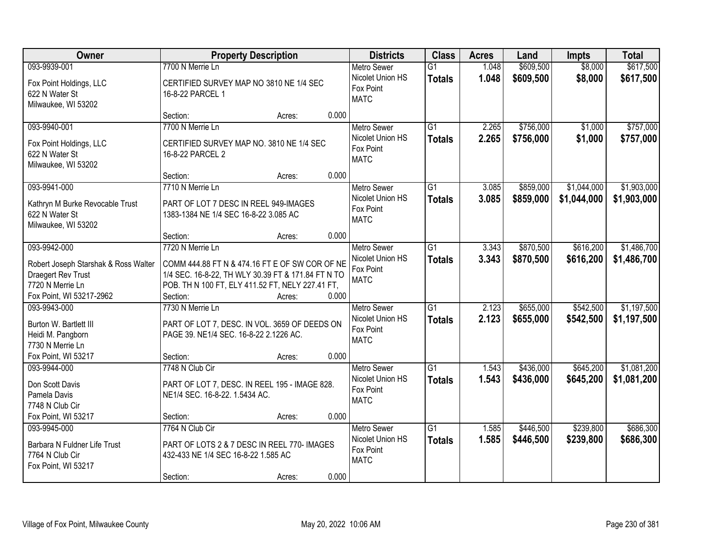| Owner                                                                                                                      | <b>Property Description</b>                                                                                                                                                                        | <b>Districts</b>                                                            | <b>Class</b>                     | <b>Acres</b>   | Land                   | <b>Impts</b>               | <b>Total</b>               |
|----------------------------------------------------------------------------------------------------------------------------|----------------------------------------------------------------------------------------------------------------------------------------------------------------------------------------------------|-----------------------------------------------------------------------------|----------------------------------|----------------|------------------------|----------------------------|----------------------------|
| 093-9939-001                                                                                                               | 7700 N Merrie Ln                                                                                                                                                                                   | <b>Metro Sewer</b>                                                          | $\overline{G1}$                  | 1.048          | \$609,500              | \$8,000                    | \$617,500                  |
| Fox Point Holdings, LLC<br>622 N Water St<br>Milwaukee, WI 53202                                                           | CERTIFIED SURVEY MAP NO 3810 NE 1/4 SEC<br>16-8-22 PARCEL 1                                                                                                                                        | Nicolet Union HS<br>Fox Point<br><b>MATC</b>                                | <b>Totals</b>                    | 1.048          | \$609,500              | \$8,000                    | \$617,500                  |
|                                                                                                                            | Section:<br>Acres:                                                                                                                                                                                 | 0.000                                                                       |                                  |                |                        |                            |                            |
| 093-9940-001<br>Fox Point Holdings, LLC<br>622 N Water St<br>Milwaukee, WI 53202                                           | 7700 N Merrie Ln<br>CERTIFIED SURVEY MAP NO. 3810 NE 1/4 SEC<br>16-8-22 PARCEL 2                                                                                                                   | <b>Metro Sewer</b><br>Nicolet Union HS<br>Fox Point<br><b>MATC</b>          | $\overline{G1}$<br><b>Totals</b> | 2.265<br>2.265 | \$756,000<br>\$756,000 | \$1,000<br>\$1,000         | \$757,000<br>\$757,000     |
|                                                                                                                            | Section:<br>Acres:                                                                                                                                                                                 | 0.000                                                                       |                                  |                |                        |                            |                            |
| 093-9941-000<br>Kathryn M Burke Revocable Trust<br>622 N Water St<br>Milwaukee, WI 53202                                   | 7710 N Merrie Ln<br>PART OF LOT 7 DESC IN REEL 949-IMAGES<br>1383-1384 NE 1/4 SEC 16-8-22 3.085 AC                                                                                                 | Metro Sewer<br>Nicolet Union HS<br>Fox Point<br><b>MATC</b>                 | G1<br><b>Totals</b>              | 3.085<br>3.085 | \$859,000<br>\$859,000 | \$1,044,000<br>\$1,044,000 | \$1,903,000<br>\$1,903,000 |
|                                                                                                                            | Section:<br>Acres:                                                                                                                                                                                 | 0.000                                                                       |                                  |                |                        |                            |                            |
| 093-9942-000<br>Robert Joseph Starshak & Ross Walter<br>Draegert Rev Trust<br>7720 N Merrie Ln<br>Fox Point, WI 53217-2962 | 7720 N Merrie Ln<br>COMM 444.88 FT N & 474.16 FT E OF SW COR OF NE<br>1/4 SEC. 16-8-22, TH WLY 30.39 FT & 171.84 FT N TO<br>POB. TH N 100 FT, ELY 411.52 FT, NELY 227.41 FT,<br>Section:<br>Acres: | <b>Metro Sewer</b><br>Nicolet Union HS<br>Fox Point<br><b>MATC</b><br>0.000 | $\overline{G1}$<br><b>Totals</b> | 3.343<br>3.343 | \$870,500<br>\$870,500 | \$616,200<br>\$616,200     | \$1,486,700<br>\$1,486,700 |
| 093-9943-000<br>Burton W. Bartlett III<br>Heidi M. Pangborn<br>7730 N Merrie Ln<br>Fox Point, WI 53217                     | 7730 N Merrie Ln<br>PART OF LOT 7, DESC. IN VOL. 3659 OF DEEDS ON<br>PAGE 39. NE1/4 SEC. 16-8-22 2.1226 AC.<br>Section:<br>Acres:                                                                  | Metro Sewer<br>Nicolet Union HS<br>Fox Point<br><b>MATC</b><br>0.000        | $\overline{G1}$<br><b>Totals</b> | 2.123<br>2.123 | \$655,000<br>\$655,000 | \$542,500<br>\$542,500     | \$1,197,500<br>\$1,197,500 |
| 093-9944-000<br>Don Scott Davis<br>Pamela Davis<br>7748 N Club Cir<br>Fox Point, WI 53217                                  | 7748 N Club Cir<br>PART OF LOT 7, DESC. IN REEL 195 - IMAGE 828.<br>NE1/4 SEC. 16-8-22. 1.5434 AC.<br>Section:<br>Acres:                                                                           | <b>Metro Sewer</b><br>Nicolet Union HS<br>Fox Point<br><b>MATC</b><br>0.000 | $\overline{G1}$<br><b>Totals</b> | 1.543<br>1.543 | \$436,000<br>\$436,000 | \$645,200<br>\$645,200     | \$1,081,200<br>\$1,081,200 |
| 093-9945-000<br>Barbara N Fuldner Life Trust<br>7764 N Club Cir<br>Fox Point, WI 53217                                     | 7764 N Club Cir<br>PART OF LOTS 2 & 7 DESC IN REEL 770- IMAGES<br>432-433 NE 1/4 SEC 16-8-22 1.585 AC<br>Section:<br>Acres:                                                                        | <b>Metro Sewer</b><br>Nicolet Union HS<br>Fox Point<br><b>MATC</b><br>0.000 | $\overline{G1}$<br><b>Totals</b> | 1.585<br>1.585 | \$446,500<br>\$446,500 | \$239,800<br>\$239,800     | \$686,300<br>\$686,300     |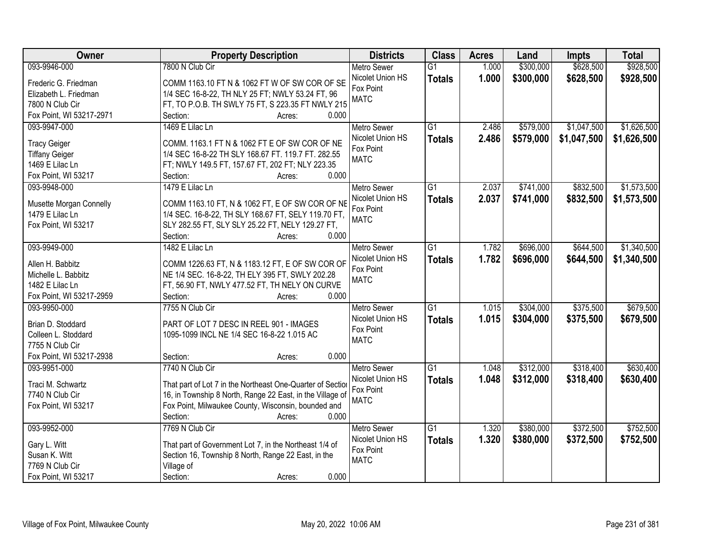| Owner                                   | <b>Property Description</b>                                                                        | <b>Districts</b>   | <b>Class</b>    | <b>Acres</b> | Land      | <b>Impts</b> | <b>Total</b> |
|-----------------------------------------|----------------------------------------------------------------------------------------------------|--------------------|-----------------|--------------|-----------|--------------|--------------|
| 093-9946-000                            | 7800 N Club Cir                                                                                    | <b>Metro Sewer</b> | $\overline{G1}$ | 1.000        | \$300,000 | \$628,500    | \$928,500    |
| Frederic G. Friedman                    | COMM 1163.10 FT N & 1062 FT W OF SW COR OF SE                                                      | Nicolet Union HS   | <b>Totals</b>   | 1.000        | \$300,000 | \$628,500    | \$928,500    |
| Elizabeth L. Friedman                   | 1/4 SEC 16-8-22, TH NLY 25 FT; NWLY 53.24 FT, 96                                                   | Fox Point          |                 |              |           |              |              |
| 7800 N Club Cir                         | FT, TO P.O.B. TH SWLY 75 FT, S 223.35 FT NWLY 215                                                  | <b>MATC</b>        |                 |              |           |              |              |
| Fox Point, WI 53217-2971                | 0.000<br>Section:<br>Acres:                                                                        |                    |                 |              |           |              |              |
| 093-9947-000                            | 1469 E Lilac Ln                                                                                    | <b>Metro Sewer</b> | $\overline{G1}$ | 2.486        | \$579,000 | \$1,047,500  | \$1,626,500  |
|                                         |                                                                                                    | Nicolet Union HS   | <b>Totals</b>   | 2.486        | \$579,000 | \$1,047,500  | \$1,626,500  |
| <b>Tracy Geiger</b>                     | COMM. 1163.1 FT N & 1062 FT E OF SW COR OF NE                                                      | Fox Point          |                 |              |           |              |              |
| <b>Tiffany Geiger</b>                   | 1/4 SEC 16-8-22 TH SLY 168.67 FT. 119.7 FT. 282.55                                                 | <b>MATC</b>        |                 |              |           |              |              |
| 1469 E Lilac Ln                         | FT; NWLY 149.5 FT, 157.67 FT, 202 FT; NLY 223.35                                                   |                    |                 |              |           |              |              |
| Fox Point, WI 53217                     | 0.000<br>Section:<br>Acres:                                                                        |                    |                 |              |           |              |              |
| 093-9948-000                            | 1479 E Lilac Ln                                                                                    | Metro Sewer        | G1              | 2.037        | \$741,000 | \$832,500    | \$1,573,500  |
| Musette Morgan Connelly                 | COMM 1163.10 FT, N & 1062 FT, E OF SW COR OF NE                                                    | Nicolet Union HS   | <b>Totals</b>   | 2.037        | \$741,000 | \$832,500    | \$1,573,500  |
| 1479 E Lilac Ln                         | 1/4 SEC. 16-8-22, TH SLY 168.67 FT, SELY 119.70 FT,                                                | Fox Point          |                 |              |           |              |              |
| Fox Point, WI 53217                     | SLY 282.55 FT, SLY SLY 25.22 FT, NELY 129.27 FT,                                                   | <b>MATC</b>        |                 |              |           |              |              |
|                                         | 0.000<br>Section:<br>Acres:                                                                        |                    |                 |              |           |              |              |
| 093-9949-000                            | 1482 E Lilac Ln                                                                                    | <b>Metro Sewer</b> | G1              | 1.782        | \$696,000 | \$644,500    | \$1,340,500  |
|                                         |                                                                                                    | Nicolet Union HS   | <b>Totals</b>   | 1.782        | \$696,000 | \$644,500    | \$1,340,500  |
| Allen H. Babbitz<br>Michelle L. Babbitz | COMM 1226.63 FT, N & 1183.12 FT, E OF SW COR OF<br>NE 1/4 SEC. 16-8-22, TH ELY 395 FT, SWLY 202.28 | Fox Point          |                 |              |           |              |              |
| 1482 E Lilac Ln                         | FT, 56.90 FT, NWLY 477.52 FT, TH NELY ON CURVE                                                     | <b>MATC</b>        |                 |              |           |              |              |
| Fox Point, WI 53217-2959                | Section:<br>0.000<br>Acres:                                                                        |                    |                 |              |           |              |              |
| 093-9950-000                            | 7755 N Club Cir                                                                                    | <b>Metro Sewer</b> | $\overline{G1}$ | 1.015        | \$304,000 | \$375,500    | \$679,500    |
|                                         |                                                                                                    | Nicolet Union HS   |                 | 1.015        | \$304,000 | \$375,500    |              |
| Brian D. Stoddard                       | PART OF LOT 7 DESC IN REEL 901 - IMAGES                                                            | Fox Point          | <b>Totals</b>   |              |           |              | \$679,500    |
| Colleen L. Stoddard                     | 1095-1099 INCL NE 1/4 SEC 16-8-22 1.015 AC                                                         | <b>MATC</b>        |                 |              |           |              |              |
| 7755 N Club Cir                         |                                                                                                    |                    |                 |              |           |              |              |
| Fox Point, WI 53217-2938                | Section:<br>0.000<br>Acres:                                                                        |                    |                 |              |           |              |              |
| 093-9951-000                            | 7740 N Club Cir                                                                                    | <b>Metro Sewer</b> | G1              | 1.048        | \$312,000 | \$318,400    | \$630,400    |
| Traci M. Schwartz                       | That part of Lot 7 in the Northeast One-Quarter of Section                                         | Nicolet Union HS   | <b>Totals</b>   | 1.048        | \$312,000 | \$318,400    | \$630,400    |
| 7740 N Club Cir                         | 16, in Township 8 North, Range 22 East, in the Village of                                          | Fox Point          |                 |              |           |              |              |
| Fox Point, WI 53217                     | Fox Point, Milwaukee County, Wisconsin, bounded and                                                | <b>MATC</b>        |                 |              |           |              |              |
|                                         | 0.000<br>Section:<br>Acres:                                                                        |                    |                 |              |           |              |              |
| 093-9952-000                            | 7769 N Club Cir                                                                                    | <b>Metro Sewer</b> | $\overline{G1}$ | 1.320        | \$380,000 | \$372,500    | \$752,500    |
|                                         |                                                                                                    | Nicolet Union HS   | <b>Totals</b>   | 1.320        | \$380,000 | \$372,500    | \$752,500    |
| Gary L. Witt                            | That part of Government Lot 7, in the Northeast 1/4 of                                             | Fox Point          |                 |              |           |              |              |
| Susan K. Witt                           | Section 16, Township 8 North, Range 22 East, in the                                                | <b>MATC</b>        |                 |              |           |              |              |
| 7769 N Club Cir                         | Village of                                                                                         |                    |                 |              |           |              |              |
| Fox Point, WI 53217                     | 0.000<br>Section:<br>Acres:                                                                        |                    |                 |              |           |              |              |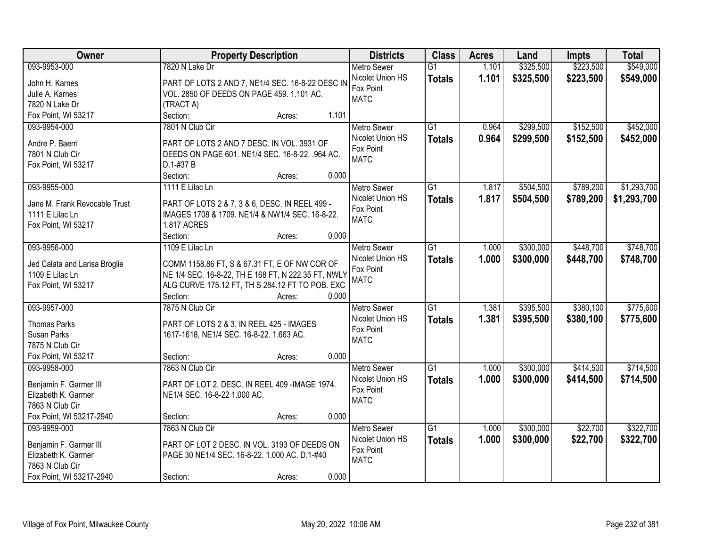| Owner                                         |                                                                               | <b>Property Description</b> |       | <b>Districts</b>         | <b>Class</b>    | <b>Acres</b> | Land      | <b>Impts</b> | <b>Total</b> |
|-----------------------------------------------|-------------------------------------------------------------------------------|-----------------------------|-------|--------------------------|-----------------|--------------|-----------|--------------|--------------|
| 093-9953-000                                  | 7820 N Lake Dr                                                                |                             |       | Metro Sewer              | $\overline{G1}$ | 1.101        | \$325,500 | \$223,500    | \$549,000    |
| John H. Karnes                                | PART OF LOTS 2 AND 7, NE1/4 SEC. 16-8-22 DESC IN                              |                             |       | Nicolet Union HS         | <b>Totals</b>   | 1.101        | \$325,500 | \$223,500    | \$549,000    |
| Julie A. Karnes                               | VOL. 2850 OF DEEDS ON PAGE 459. 1.101 AC.                                     |                             |       | Fox Point                |                 |              |           |              |              |
| 7820 N Lake Dr                                | (TRACT A)                                                                     |                             |       | <b>MATC</b>              |                 |              |           |              |              |
| Fox Point, WI 53217                           | Section:                                                                      | Acres:                      | 1.101 |                          |                 |              |           |              |              |
| 093-9954-000                                  | 7801 N Club Cir                                                               |                             |       | <b>Metro Sewer</b>       | $\overline{G1}$ | 0.964        | \$299,500 | \$152,500    | \$452,000    |
|                                               |                                                                               |                             |       | Nicolet Union HS         | <b>Totals</b>   | 0.964        | \$299,500 | \$152,500    | \$452,000    |
| Andre P. Baerri                               | PART OF LOTS 2 AND 7 DESC. IN VOL. 3931 OF                                    |                             |       | Fox Point                |                 |              |           |              |              |
| 7801 N Club Cir                               | DEEDS ON PAGE 601. NE1/4 SEC. 16-8-22. .964 AC.                               |                             |       | <b>MATC</b>              |                 |              |           |              |              |
| Fox Point, WI 53217                           | D.1-#37 B                                                                     |                             |       |                          |                 |              |           |              |              |
|                                               | Section:                                                                      | Acres:                      | 0.000 |                          |                 |              |           |              |              |
| 093-9955-000                                  | 1111 E Lilac Ln                                                               |                             |       | <b>Metro Sewer</b>       | $\overline{G1}$ | 1.817        | \$504,500 | \$789,200    | \$1,293,700  |
| Jane M. Frank Revocable Trust                 | PART OF LOTS 2 & 7, 3 & 6, DESC. IN REEL 499 -                                |                             |       | Nicolet Union HS         | <b>Totals</b>   | 1.817        | \$504,500 | \$789,200    | \$1,293,700  |
| 1111 E Lilac Ln                               | IMAGES 1708 & 1709. NE1/4 & NW1/4 SEC. 16-8-22.                               |                             |       | Fox Point                |                 |              |           |              |              |
| Fox Point, WI 53217                           | <b>1.817 ACRES</b>                                                            |                             |       | <b>MATC</b>              |                 |              |           |              |              |
|                                               | Section:                                                                      | Acres:                      | 0.000 |                          |                 |              |           |              |              |
| 093-9956-000                                  | 1109 E Lilac Ln                                                               |                             |       | <b>Metro Sewer</b>       | $\overline{G1}$ | 1.000        | \$300,000 | \$448,700    | \$748,700    |
|                                               |                                                                               |                             |       | Nicolet Union HS         | <b>Totals</b>   | 1.000        | \$300,000 | \$448,700    | \$748,700    |
| Jed Calata and Larisa Broglie                 | COMM 1158.86 FT, S & 67.31 FT, E OF NW COR OF                                 |                             |       | Fox Point                |                 |              |           |              |              |
| 1109 E Lilac Ln                               | NE 1/4 SEC. 16-8-22, TH E 168 FT, N 222.35 FT, NWLY                           |                             |       | <b>MATC</b>              |                 |              |           |              |              |
| Fox Point, WI 53217                           | ALG CURVE 175.12 FT, TH S 284.12 FT TO POB. EXC                               |                             |       |                          |                 |              |           |              |              |
|                                               | Section:                                                                      | Acres:                      | 0.000 |                          |                 |              |           |              |              |
| 093-9957-000                                  | 7875 N Club Cir                                                               |                             |       | Metro Sewer              | $\overline{G1}$ | 1.381        | \$395,500 | \$380,100    | \$775,600    |
| <b>Thomas Parks</b>                           | PART OF LOTS 2 & 3, IN REEL 425 - IMAGES                                      |                             |       | Nicolet Union HS         | <b>Totals</b>   | 1.381        | \$395,500 | \$380,100    | \$775,600    |
| Susan Parks                                   | 1617-1618, NE1/4 SEC. 16-8-22. 1.663 AC.                                      |                             |       | Fox Point                |                 |              |           |              |              |
| 7875 N Club Cir                               |                                                                               |                             |       | <b>MATC</b>              |                 |              |           |              |              |
| Fox Point, WI 53217                           | Section:                                                                      | Acres:                      | 0.000 |                          |                 |              |           |              |              |
| 093-9958-000                                  | 7863 N Club Cir                                                               |                             |       | Metro Sewer              | $\overline{G1}$ | 1.000        | \$300,000 | \$414,500    | \$714,500    |
|                                               |                                                                               |                             |       | Nicolet Union HS         | <b>Totals</b>   | 1.000        | \$300,000 | \$414,500    | \$714,500    |
| Benjamin F. Garmer III<br>Elizabeth K. Garmer | PART OF LOT 2, DESC. IN REEL 409 -IMAGE 1974.<br>NE1/4 SEC. 16-8-22 1.000 AC. |                             |       | Fox Point                |                 |              |           |              |              |
| 7863 N Club Cir                               |                                                                               |                             |       | <b>MATC</b>              |                 |              |           |              |              |
| Fox Point, WI 53217-2940                      | Section:                                                                      |                             | 0.000 |                          |                 |              |           |              |              |
| 093-9959-000                                  | 7863 N Club Cir                                                               | Acres:                      |       | <b>Metro Sewer</b>       | $\overline{G1}$ | 1.000        | \$300,000 | \$22,700     | \$322,700    |
|                                               |                                                                               |                             |       | Nicolet Union HS         |                 |              |           |              |              |
| Benjamin F. Garmer III                        | PART OF LOT 2 DESC. IN VOL. 3193 OF DEEDS ON                                  |                             |       |                          | <b>Totals</b>   | 1.000        | \$300,000 | \$22,700     | \$322,700    |
| Elizabeth K. Garmer                           | PAGE 30 NE1/4 SEC. 16-8-22. 1.000 AC. D.1-#40                                 |                             |       | Fox Point<br><b>MATC</b> |                 |              |           |              |              |
| 7863 N Club Cir                               |                                                                               |                             |       |                          |                 |              |           |              |              |
| Fox Point, WI 53217-2940                      | Section:                                                                      | Acres:                      | 0.000 |                          |                 |              |           |              |              |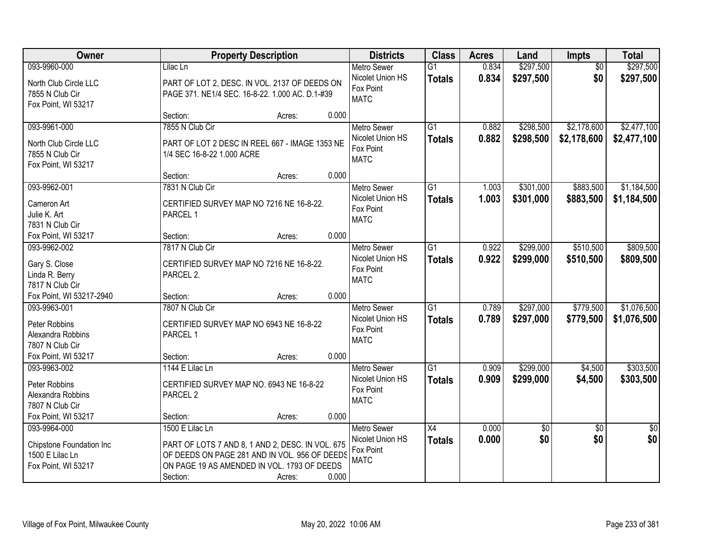| Owner                               |                                                  | <b>Property Description</b> |       | <b>Districts</b>                | <b>Class</b>    | <b>Acres</b> | Land            | <b>Impts</b>    | <b>Total</b>    |
|-------------------------------------|--------------------------------------------------|-----------------------------|-------|---------------------------------|-----------------|--------------|-----------------|-----------------|-----------------|
| 093-9960-000                        | Lilac Ln                                         |                             |       | <b>Metro Sewer</b>              | $\overline{G1}$ | 0.834        | \$297,500       | $\overline{50}$ | \$297,500       |
| North Club Circle LLC               | PART OF LOT 2, DESC. IN VOL. 2137 OF DEEDS ON    |                             |       | Nicolet Union HS                | <b>Totals</b>   | 0.834        | \$297,500       | \$0             | \$297,500       |
| 7855 N Club Cir                     | PAGE 371. NE1/4 SEC. 16-8-22. 1.000 AC. D.1-#39  |                             |       | Fox Point                       |                 |              |                 |                 |                 |
| Fox Point, WI 53217                 |                                                  |                             |       | <b>MATC</b>                     |                 |              |                 |                 |                 |
|                                     | Section:                                         | Acres:                      | 0.000 |                                 |                 |              |                 |                 |                 |
| 093-9961-000                        | 7855 N Club Cir                                  |                             |       | <b>Metro Sewer</b>              | $\overline{G1}$ | 0.882        | \$298,500       | \$2,178,600     | \$2,477,100     |
| North Club Circle LLC               | PART OF LOT 2 DESC IN REEL 667 - IMAGE 1353 NE   |                             |       | Nicolet Union HS                | <b>Totals</b>   | 0.882        | \$298,500       | \$2,178,600     | \$2,477,100     |
| 7855 N Club Cir                     | 1/4 SEC 16-8-22 1.000 ACRE                       |                             |       | Fox Point                       |                 |              |                 |                 |                 |
| Fox Point, WI 53217                 |                                                  |                             |       | <b>MATC</b>                     |                 |              |                 |                 |                 |
|                                     | Section:                                         | Acres:                      | 0.000 |                                 |                 |              |                 |                 |                 |
| 093-9962-001                        | 7831 N Club Cir                                  |                             |       | <b>Metro Sewer</b>              | $\overline{G1}$ | 1.003        | \$301,000       | \$883,500       | \$1,184,500     |
| Cameron Art                         | CERTIFIED SURVEY MAP NO 7216 NE 16-8-22.         |                             |       | Nicolet Union HS                | <b>Totals</b>   | 1.003        | \$301,000       | \$883,500       | \$1,184,500     |
| Julie K. Art                        | PARCEL 1                                         |                             |       | Fox Point                       |                 |              |                 |                 |                 |
| 7831 N Club Cir                     |                                                  |                             |       | <b>MATC</b>                     |                 |              |                 |                 |                 |
| Fox Point, WI 53217                 | Section:                                         | Acres:                      | 0.000 |                                 |                 |              |                 |                 |                 |
| 093-9962-002                        | 7817 N Club Cir                                  |                             |       | <b>Metro Sewer</b>              | $\overline{G1}$ | 0.922        | \$299,000       | \$510,500       | \$809,500       |
| Gary S. Close                       | CERTIFIED SURVEY MAP NO 7216 NE 16-8-22.         |                             |       | Nicolet Union HS                | <b>Totals</b>   | 0.922        | \$299,000       | \$510,500       | \$809,500       |
| Linda R. Berry                      | PARCEL 2.                                        |                             |       | Fox Point                       |                 |              |                 |                 |                 |
| 7817 N Club Cir                     |                                                  |                             |       | <b>MATC</b>                     |                 |              |                 |                 |                 |
| Fox Point, WI 53217-2940            | Section:                                         | Acres:                      | 0.000 |                                 |                 |              |                 |                 |                 |
| 093-9963-001                        | 7807 N Club Cir                                  |                             |       | <b>Metro Sewer</b>              | $\overline{G1}$ | 0.789        | \$297,000       | \$779,500       | \$1,076,500     |
|                                     |                                                  |                             |       | Nicolet Union HS                | Totals          | 0.789        | \$297,000       | \$779,500       | \$1,076,500     |
| Peter Robbins                       | CERTIFIED SURVEY MAP NO 6943 NE 16-8-22          |                             |       | Fox Point                       |                 |              |                 |                 |                 |
| Alexandra Robbins                   | PARCEL 1                                         |                             |       | <b>MATC</b>                     |                 |              |                 |                 |                 |
| 7807 N Club Cir                     |                                                  |                             | 0.000 |                                 |                 |              |                 |                 |                 |
| Fox Point, WI 53217<br>093-9963-002 | Section:<br>1144 E Lilac Ln                      | Acres:                      |       |                                 | $\overline{G1}$ | 0.909        | \$299,000       |                 | \$303,500       |
|                                     |                                                  |                             |       | Metro Sewer<br>Nicolet Union HS |                 | 0.909        |                 | \$4,500         |                 |
| Peter Robbins                       | CERTIFIED SURVEY MAP NO. 6943 NE 16-8-22         |                             |       | Fox Point                       | <b>Totals</b>   |              | \$299,000       | \$4,500         | \$303,500       |
| Alexandra Robbins                   | PARCEL <sub>2</sub>                              |                             |       | <b>MATC</b>                     |                 |              |                 |                 |                 |
| 7807 N Club Cir                     |                                                  |                             |       |                                 |                 |              |                 |                 |                 |
| Fox Point, WI 53217                 | Section:                                         | Acres:                      | 0.000 |                                 |                 |              |                 |                 |                 |
| 093-9964-000                        | 1500 E Lilac Ln                                  |                             |       | <b>Metro Sewer</b>              | X4              | 0.000        | $\overline{50}$ | $\overline{50}$ | $\overline{50}$ |
| Chipstone Foundation Inc            | PART OF LOTS 7 AND 8, 1 AND 2, DESC. IN VOL. 675 |                             |       | Nicolet Union HS                | <b>Totals</b>   | 0.000        | \$0             | \$0             | \$0             |
| 1500 E Lilac Ln                     | OF DEEDS ON PAGE 281 AND IN VOL. 956 OF DEEDS    |                             |       | Fox Point                       |                 |              |                 |                 |                 |
| Fox Point, WI 53217                 | ON PAGE 19 AS AMENDED IN VOL. 1793 OF DEEDS      |                             |       | <b>MATC</b>                     |                 |              |                 |                 |                 |
|                                     | Section:                                         | Acres:                      | 0.000 |                                 |                 |              |                 |                 |                 |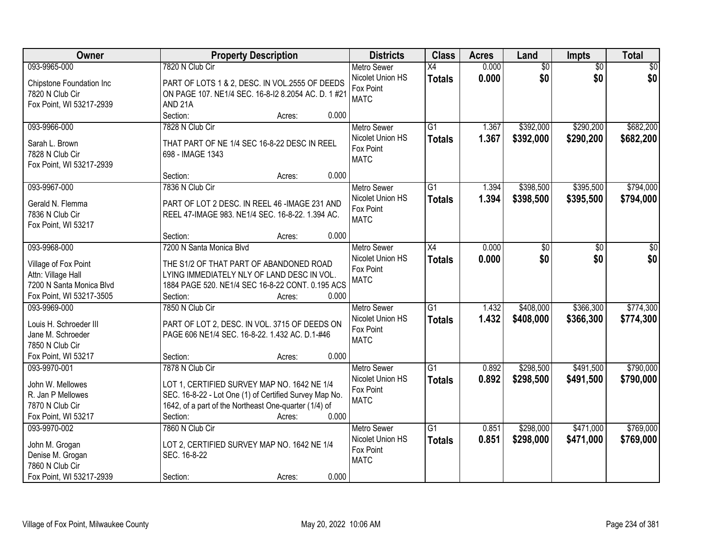| Owner                    | <b>Property Description</b>                            | <b>Districts</b>              | <b>Class</b>    | <b>Acres</b> | Land            | <b>Impts</b>    | <b>Total</b>    |
|--------------------------|--------------------------------------------------------|-------------------------------|-----------------|--------------|-----------------|-----------------|-----------------|
| 093-9965-000             | 7820 N Club Cir                                        | <b>Metro Sewer</b>            | $\overline{X4}$ | 0.000        | $\overline{60}$ | $\overline{50}$ | $\overline{50}$ |
| Chipstone Foundation Inc | PART OF LOTS 1 & 2, DESC. IN VOL.2555 OF DEEDS         | Nicolet Union HS<br>Fox Point | <b>Totals</b>   | 0.000        | \$0             | \$0             | \$0             |
| 7820 N Club Cir          | ON PAGE 107. NE1/4 SEC. 16-8-12 8.2054 AC. D. 1 #21    | <b>MATC</b>                   |                 |              |                 |                 |                 |
| Fox Point, WI 53217-2939 | AND <sub>21A</sub>                                     |                               |                 |              |                 |                 |                 |
|                          | Section:<br>0.000<br>Acres:                            |                               |                 |              |                 |                 |                 |
| 093-9966-000             | 7828 N Club Cir                                        | <b>Metro Sewer</b>            | $\overline{G1}$ | 1.367        | \$392,000       | \$290,200       | \$682,200       |
| Sarah L. Brown           | THAT PART OF NE 1/4 SEC 16-8-22 DESC IN REEL           | Nicolet Union HS              | <b>Totals</b>   | 1.367        | \$392,000       | \$290,200       | \$682,200       |
| 7828 N Club Cir          | 698 - IMAGE 1343                                       | Fox Point                     |                 |              |                 |                 |                 |
| Fox Point, WI 53217-2939 |                                                        | <b>MATC</b>                   |                 |              |                 |                 |                 |
|                          | 0.000<br>Section:<br>Acres:                            |                               |                 |              |                 |                 |                 |
| 093-9967-000             | 7836 N Club Cir                                        | <b>Metro Sewer</b>            | $\overline{G1}$ | 1.394        | \$398,500       | \$395,500       | \$794,000       |
|                          |                                                        | Nicolet Union HS              | <b>Totals</b>   | 1.394        | \$398,500       | \$395,500       | \$794,000       |
| Gerald N. Flemma         | PART OF LOT 2 DESC. IN REEL 46 -IMAGE 231 AND          | Fox Point                     |                 |              |                 |                 |                 |
| 7836 N Club Cir          | REEL 47-IMAGE 983. NE1/4 SEC. 16-8-22. 1.394 AC.       | <b>MATC</b>                   |                 |              |                 |                 |                 |
| Fox Point, WI 53217      | 0.000<br>Section:                                      |                               |                 |              |                 |                 |                 |
| 093-9968-000             | Acres:<br>7200 N Santa Monica Blvd                     | <b>Metro Sewer</b>            | X4              | 0.000        |                 |                 |                 |
|                          |                                                        | Nicolet Union HS              |                 |              | \$0             | \$0             | \$0             |
| Village of Fox Point     | THE S1/2 OF THAT PART OF ABANDONED ROAD                | Fox Point                     | <b>Totals</b>   | 0.000        | \$0             | \$0             | \$0             |
| Attn: Village Hall       | LYING IMMEDIATELY NLY OF LAND DESC IN VOL.             | <b>MATC</b>                   |                 |              |                 |                 |                 |
| 7200 N Santa Monica Blvd | 1884 PAGE 520. NE1/4 SEC 16-8-22 CONT. 0.195 ACS       |                               |                 |              |                 |                 |                 |
| Fox Point, WI 53217-3505 | 0.000<br>Section:<br>Acres:                            |                               |                 |              |                 |                 |                 |
| 093-9969-000             | 7850 N Club Cir                                        | <b>Metro Sewer</b>            | $\overline{G1}$ | 1.432        | \$408,000       | \$366,300       | \$774,300       |
| Louis H. Schroeder III   | PART OF LOT 2, DESC. IN VOL. 3715 OF DEEDS ON          | Nicolet Union HS              | <b>Totals</b>   | 1.432        | \$408,000       | \$366,300       | \$774,300       |
| Jane M. Schroeder        | PAGE 606 NE1/4 SEC. 16-8-22. 1.432 AC. D.1-#46         | Fox Point                     |                 |              |                 |                 |                 |
| 7850 N Club Cir          |                                                        | <b>MATC</b>                   |                 |              |                 |                 |                 |
| Fox Point, WI 53217      | Section:<br>0.000<br>Acres:                            |                               |                 |              |                 |                 |                 |
| 093-9970-001             | 7878 N Club Cir                                        | Metro Sewer                   | $\overline{G1}$ | 0.892        | \$298,500       | \$491,500       | \$790,000       |
|                          |                                                        | Nicolet Union HS              | <b>Totals</b>   | 0.892        | \$298,500       | \$491,500       | \$790,000       |
| John W. Mellowes         | LOT 1, CERTIFIED SURVEY MAP NO. 1642 NE 1/4            | Fox Point                     |                 |              |                 |                 |                 |
| R. Jan P Mellowes        | SEC. 16-8-22 - Lot One (1) of Certified Survey Map No. | <b>MATC</b>                   |                 |              |                 |                 |                 |
| 7870 N Club Cir          | 1642, of a part of the Northeast One-quarter (1/4) of  |                               |                 |              |                 |                 |                 |
| Fox Point, WI 53217      | 0.000<br>Section:<br>Acres:                            |                               |                 |              |                 |                 |                 |
| 093-9970-002             | 7860 N Club Cir                                        | <b>Metro Sewer</b>            | $\overline{G1}$ | 0.851        | \$298,000       | \$471,000       | \$769,000       |
| John M. Grogan           | LOT 2, CERTIFIED SURVEY MAP NO. 1642 NE 1/4            | Nicolet Union HS              | <b>Totals</b>   | 0.851        | \$298,000       | \$471,000       | \$769,000       |
| Denise M. Grogan         | SEC. 16-8-22                                           | Fox Point                     |                 |              |                 |                 |                 |
| 7860 N Club Cir          |                                                        | <b>MATC</b>                   |                 |              |                 |                 |                 |
| Fox Point, WI 53217-2939 | 0.000<br>Section:<br>Acres:                            |                               |                 |              |                 |                 |                 |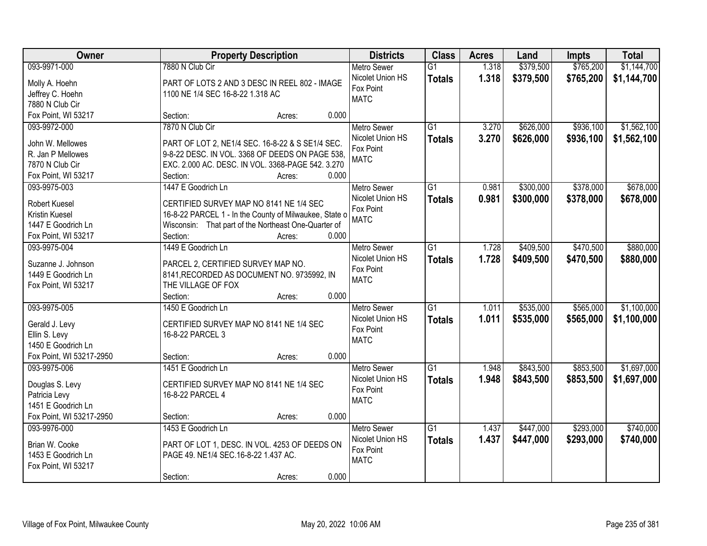| Owner                               | <b>Property Description</b>                            | <b>Districts</b>              | <b>Class</b>    | <b>Acres</b> | Land      | <b>Impts</b> | <b>Total</b> |
|-------------------------------------|--------------------------------------------------------|-------------------------------|-----------------|--------------|-----------|--------------|--------------|
| 093-9971-000                        | 7880 N Club Cir                                        | <b>Metro Sewer</b>            | $\overline{G1}$ | 1.318        | \$379,500 | \$765,200    | \$1,144,700  |
| Molly A. Hoehn                      | PART OF LOTS 2 AND 3 DESC IN REEL 802 - IMAGE          | Nicolet Union HS              | <b>Totals</b>   | 1.318        | \$379,500 | \$765,200    | \$1,144,700  |
| Jeffrey C. Hoehn                    | 1100 NE 1/4 SEC 16-8-22 1.318 AC                       | Fox Point                     |                 |              |           |              |              |
| 7880 N Club Cir                     |                                                        | <b>MATC</b>                   |                 |              |           |              |              |
| Fox Point, WI 53217                 | 0.000<br>Section:<br>Acres:                            |                               |                 |              |           |              |              |
| 093-9972-000                        | 7870 N Club Cir                                        | <b>Metro Sewer</b>            | $\overline{G1}$ | 3.270        | \$626,000 | \$936,100    | \$1,562,100  |
|                                     |                                                        | Nicolet Union HS              | <b>Totals</b>   | 3.270        | \$626,000 | \$936,100    | \$1,562,100  |
| John W. Mellowes                    | PART OF LOT 2, NE1/4 SEC. 16-8-22 & S SE1/4 SEC.       | Fox Point                     |                 |              |           |              |              |
| R. Jan P Mellowes                   | 9-8-22 DESC. IN VOL. 3368 OF DEEDS ON PAGE 538,        | <b>MATC</b>                   |                 |              |           |              |              |
| 7870 N Club Cir                     | EXC. 2.000 AC. DESC. IN VOL. 3368-PAGE 542. 3.270      |                               |                 |              |           |              |              |
| Fox Point, WI 53217<br>093-9975-003 | 0.000<br>Section:<br>Acres:<br>1447 E Goodrich Ln      |                               | G1              | 0.981        |           | \$378,000    | \$678,000    |
|                                     |                                                        | Metro Sewer                   |                 |              | \$300,000 |              |              |
| <b>Robert Kuesel</b>                | CERTIFIED SURVEY MAP NO 8141 NE 1/4 SEC                | Nicolet Union HS<br>Fox Point | <b>Totals</b>   | 0.981        | \$300,000 | \$378,000    | \$678,000    |
| Kristin Kuesel                      | 16-8-22 PARCEL 1 - In the County of Milwaukee, State o | <b>MATC</b>                   |                 |              |           |              |              |
| 1447 E Goodrich Ln                  | Wisconsin: That part of the Northeast One-Quarter of   |                               |                 |              |           |              |              |
| Fox Point, WI 53217                 | Section:<br>0.000<br>Acres:                            |                               |                 |              |           |              |              |
| 093-9975-004                        | 1449 E Goodrich Ln                                     | <b>Metro Sewer</b>            | G1              | 1.728        | \$409,500 | \$470,500    | \$880,000    |
| Suzanne J. Johnson                  | PARCEL 2, CERTIFIED SURVEY MAP NO.                     | Nicolet Union HS              | <b>Totals</b>   | 1.728        | \$409,500 | \$470,500    | \$880,000    |
| 1449 E Goodrich Ln                  | 8141, RECORDED AS DOCUMENT NO. 9735992, IN             | Fox Point                     |                 |              |           |              |              |
| Fox Point, WI 53217                 | THE VILLAGE OF FOX                                     | <b>MATC</b>                   |                 |              |           |              |              |
|                                     | 0.000<br>Section:<br>Acres:                            |                               |                 |              |           |              |              |
| 093-9975-005                        | 1450 E Goodrich Ln                                     | <b>Metro Sewer</b>            | $\overline{G1}$ | 1.011        | \$535,000 | \$565,000    | \$1,100,000  |
|                                     |                                                        | Nicolet Union HS              | <b>Totals</b>   | 1.011        | \$535,000 | \$565,000    | \$1,100,000  |
| Gerald J. Levy                      | CERTIFIED SURVEY MAP NO 8141 NE 1/4 SEC                | Fox Point                     |                 |              |           |              |              |
| Ellin S. Levy                       | 16-8-22 PARCEL 3                                       | <b>MATC</b>                   |                 |              |           |              |              |
| 1450 E Goodrich Ln                  |                                                        |                               |                 |              |           |              |              |
| Fox Point, WI 53217-2950            | 0.000<br>Section:<br>Acres:                            |                               |                 |              |           |              |              |
| 093-9975-006                        | 1451 E Goodrich Ln                                     | <b>Metro Sewer</b>            | G1              | 1.948        | \$843,500 | \$853,500    | \$1,697,000  |
| Douglas S. Levy                     | CERTIFIED SURVEY MAP NO 8141 NE 1/4 SEC                | Nicolet Union HS              | <b>Totals</b>   | 1.948        | \$843,500 | \$853,500    | \$1,697,000  |
| Patricia Levy                       | 16-8-22 PARCEL 4                                       | Fox Point                     |                 |              |           |              |              |
| 1451 E Goodrich Ln                  |                                                        | <b>MATC</b>                   |                 |              |           |              |              |
| Fox Point, WI 53217-2950            | 0.000<br>Section:<br>Acres:                            |                               |                 |              |           |              |              |
| 093-9976-000                        | 1453 E Goodrich Ln                                     | <b>Metro Sewer</b>            | $\overline{G1}$ | 1.437        | \$447,000 | \$293,000    | \$740,000    |
|                                     |                                                        | Nicolet Union HS              | <b>Totals</b>   | 1.437        | \$447,000 | \$293,000    | \$740,000    |
| Brian W. Cooke                      | PART OF LOT 1, DESC. IN VOL. 4253 OF DEEDS ON          | Fox Point                     |                 |              |           |              |              |
| 1453 E Goodrich Ln                  | PAGE 49. NE1/4 SEC.16-8-22 1.437 AC.                   | <b>MATC</b>                   |                 |              |           |              |              |
| Fox Point, WI 53217                 | 0.000                                                  |                               |                 |              |           |              |              |
|                                     | Section:<br>Acres:                                     |                               |                 |              |           |              |              |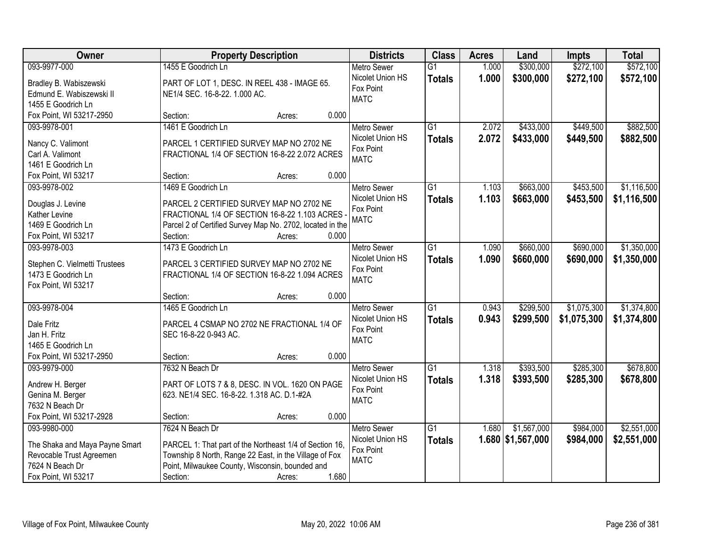| Owner                               |                                                           | <b>Property Description</b> | <b>Districts</b>              | <b>Class</b>    | <b>Acres</b> | Land              | <b>Impts</b> | <b>Total</b> |
|-------------------------------------|-----------------------------------------------------------|-----------------------------|-------------------------------|-----------------|--------------|-------------------|--------------|--------------|
| 093-9977-000                        | 1455 E Goodrich Ln                                        |                             | <b>Metro Sewer</b>            | $\overline{G1}$ | 1.000        | \$300,000         | \$272,100    | \$572,100    |
| Bradley B. Wabiszewski              | PART OF LOT 1, DESC. IN REEL 438 - IMAGE 65.              |                             | Nicolet Union HS              | <b>Totals</b>   | 1.000        | \$300,000         | \$272,100    | \$572,100    |
| Edmund E. Wabiszewski II            | NE1/4 SEC. 16-8-22. 1.000 AC.                             |                             | Fox Point                     |                 |              |                   |              |              |
| 1455 E Goodrich Ln                  |                                                           |                             | <b>MATC</b>                   |                 |              |                   |              |              |
| Fox Point, WI 53217-2950            | Section:                                                  | 0.000<br>Acres:             |                               |                 |              |                   |              |              |
| 093-9978-001                        | 1461 E Goodrich Ln                                        |                             | <b>Metro Sewer</b>            | $\overline{G1}$ | 2.072        | \$433,000         | \$449,500    | \$882,500    |
|                                     |                                                           |                             | Nicolet Union HS              | <b>Totals</b>   | 2.072        | \$433,000         | \$449,500    | \$882,500    |
| Nancy C. Valimont                   | PARCEL 1 CERTIFIED SURVEY MAP NO 2702 NE                  |                             | Fox Point                     |                 |              |                   |              |              |
| Carl A. Valimont                    | FRACTIONAL 1/4 OF SECTION 16-8-22 2.072 ACRES             |                             | <b>MATC</b>                   |                 |              |                   |              |              |
| 1461 E Goodrich Ln                  | Section:                                                  |                             | 0.000                         |                 |              |                   |              |              |
| Fox Point, WI 53217<br>093-9978-002 |                                                           | Acres:                      |                               |                 |              |                   |              | \$1,116,500  |
|                                     | 1469 E Goodrich Ln                                        |                             | <b>Metro Sewer</b>            | G1              | 1.103        | \$663,000         | \$453,500    |              |
| Douglas J. Levine                   | PARCEL 2 CERTIFIED SURVEY MAP NO 2702 NE                  |                             | Nicolet Union HS<br>Fox Point | <b>Totals</b>   | 1.103        | \$663,000         | \$453,500    | \$1,116,500  |
| Kather Levine                       | FRACTIONAL 1/4 OF SECTION 16-8-22 1.103 ACRES             |                             | <b>MATC</b>                   |                 |              |                   |              |              |
| 1469 E Goodrich Ln                  | Parcel 2 of Certified Survey Map No. 2702, located in the |                             |                               |                 |              |                   |              |              |
| Fox Point, WI 53217                 | Section:                                                  | Acres:                      | 0.000                         |                 |              |                   |              |              |
| 093-9978-003                        | 1473 E Goodrich Ln                                        |                             | <b>Metro Sewer</b>            | $\overline{G1}$ | 1.090        | \$660,000         | \$690,000    | \$1,350,000  |
| Stephen C. Vielmetti Trustees       | PARCEL 3 CERTIFIED SURVEY MAP NO 2702 NE                  |                             | Nicolet Union HS              | <b>Totals</b>   | 1.090        | \$660,000         | \$690,000    | \$1,350,000  |
| 1473 E Goodrich Ln                  | FRACTIONAL 1/4 OF SECTION 16-8-22 1.094 ACRES             |                             | Fox Point                     |                 |              |                   |              |              |
| Fox Point, WI 53217                 |                                                           |                             | <b>MATC</b>                   |                 |              |                   |              |              |
|                                     | Section:                                                  | 0.000<br>Acres:             |                               |                 |              |                   |              |              |
| 093-9978-004                        | 1465 E Goodrich Ln                                        |                             | <b>Metro Sewer</b>            | $\overline{G1}$ | 0.943        | \$299,500         | \$1,075,300  | \$1,374,800  |
|                                     |                                                           |                             | Nicolet Union HS              | <b>Totals</b>   | 0.943        | \$299,500         | \$1,075,300  | \$1,374,800  |
| Dale Fritz                          | PARCEL 4 CSMAP NO 2702 NE FRACTIONAL 1/4 OF               |                             | Fox Point                     |                 |              |                   |              |              |
| Jan H. Fritz                        | SEC 16-8-22 0-943 AC.                                     |                             | <b>MATC</b>                   |                 |              |                   |              |              |
| 1465 E Goodrich Ln                  |                                                           |                             |                               |                 |              |                   |              |              |
| Fox Point, WI 53217-2950            | Section:                                                  | Acres:                      | 0.000                         |                 |              |                   |              |              |
| 093-9979-000                        | 7632 N Beach Dr                                           |                             | Metro Sewer                   | G1              | 1.318        | \$393,500         | \$285,300    | \$678,800    |
| Andrew H. Berger                    | PART OF LOTS 7 & 8, DESC. IN VOL. 1620 ON PAGE            |                             | Nicolet Union HS              | <b>Totals</b>   | 1.318        | \$393,500         | \$285,300    | \$678,800    |
| Genina M. Berger                    | 623. NE1/4 SEC. 16-8-22. 1.318 AC. D.1-#2A                |                             | Fox Point                     |                 |              |                   |              |              |
| 7632 N Beach Dr                     |                                                           |                             | <b>MATC</b>                   |                 |              |                   |              |              |
| Fox Point, WI 53217-2928            | Section:                                                  | Acres:                      | 0.000                         |                 |              |                   |              |              |
| 093-9980-000                        | 7624 N Beach Dr                                           |                             | <b>Metro Sewer</b>            | $\overline{G1}$ | 1.680        | \$1,567,000       | \$984,000    | \$2,551,000  |
|                                     |                                                           |                             | Nicolet Union HS              | <b>Totals</b>   |              | 1.680 \$1,567,000 | \$984,000    | \$2,551,000  |
| The Shaka and Maya Payne Smart      | PARCEL 1: That part of the Northeast 1/4 of Section 16,   |                             | Fox Point                     |                 |              |                   |              |              |
| Revocable Trust Agreemen            | Township 8 North, Range 22 East, in the Village of Fox    |                             | <b>MATC</b>                   |                 |              |                   |              |              |
| 7624 N Beach Dr                     | Point, Milwaukee County, Wisconsin, bounded and           |                             | 1.680                         |                 |              |                   |              |              |
| Fox Point, WI 53217                 | Section:                                                  | Acres:                      |                               |                 |              |                   |              |              |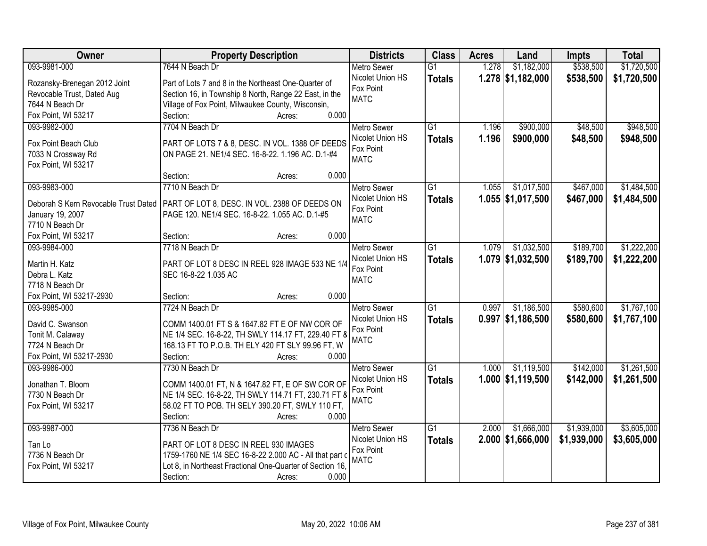| Owner                                | <b>Property Description</b>                               | <b>Districts</b>   | <b>Class</b>    | <b>Acres</b> | Land                | <b>Impts</b> | <b>Total</b> |
|--------------------------------------|-----------------------------------------------------------|--------------------|-----------------|--------------|---------------------|--------------|--------------|
| 093-9981-000                         | 7644 N Beach Dr                                           | <b>Metro Sewer</b> | $\overline{G1}$ | 1.278        | \$1,182,000         | \$538,500    | \$1,720,500  |
| Rozansky-Brenegan 2012 Joint         | Part of Lots 7 and 8 in the Northeast One-Quarter of      | Nicolet Union HS   | <b>Totals</b>   |              | $1.278$ \$1,182,000 | \$538,500    | \$1,720,500  |
| Revocable Trust, Dated Aug           | Section 16, in Township 8 North, Range 22 East, in the    | Fox Point          |                 |              |                     |              |              |
| 7644 N Beach Dr                      | Village of Fox Point, Milwaukee County, Wisconsin,        | <b>MATC</b>        |                 |              |                     |              |              |
| Fox Point, WI 53217                  | 0.000<br>Section:<br>Acres:                               |                    |                 |              |                     |              |              |
| 093-9982-000                         | 7704 N Beach Dr                                           | <b>Metro Sewer</b> | $\overline{G1}$ | 1.196        | \$900,000           | \$48,500     | \$948,500    |
|                                      |                                                           | Nicolet Union HS   | <b>Totals</b>   | 1.196        | \$900,000           | \$48,500     | \$948,500    |
| Fox Point Beach Club                 | PART OF LOTS 7 & 8, DESC. IN VOL. 1388 OF DEEDS           | Fox Point          |                 |              |                     |              |              |
| 7033 N Crossway Rd                   | ON PAGE 21. NE1/4 SEC. 16-8-22. 1.196 AC. D.1-#4          | <b>MATC</b>        |                 |              |                     |              |              |
| Fox Point, WI 53217                  |                                                           |                    |                 |              |                     |              |              |
|                                      | 0.000<br>Section:<br>Acres:                               |                    |                 |              |                     |              |              |
| 093-9983-000                         | 7710 N Beach Dr                                           | <b>Metro Sewer</b> | G1              | 1.055        | \$1,017,500         | \$467,000    | \$1,484,500  |
| Deborah S Kern Revocable Trust Dated | PART OF LOT 8, DESC. IN VOL. 2388 OF DEEDS ON             | Nicolet Union HS   | <b>Totals</b>   |              | $1.055$ \$1,017,500 | \$467,000    | \$1,484,500  |
| January 19, 2007                     | PAGE 120. NE1/4 SEC. 16-8-22. 1.055 AC. D.1-#5            | Fox Point          |                 |              |                     |              |              |
| 7710 N Beach Dr                      |                                                           | <b>MATC</b>        |                 |              |                     |              |              |
| Fox Point, WI 53217                  | 0.000<br>Section:<br>Acres:                               |                    |                 |              |                     |              |              |
| 093-9984-000                         | 7718 N Beach Dr                                           | <b>Metro Sewer</b> | G1              | 1.079        | \$1,032,500         | \$189,700    | \$1,222,200  |
|                                      |                                                           | Nicolet Union HS   | <b>Totals</b>   |              | 1.079 \$1,032,500   | \$189,700    | \$1,222,200  |
| Martin H. Katz                       | PART OF LOT 8 DESC IN REEL 928 IMAGE 533 NE 1/4           | Fox Point          |                 |              |                     |              |              |
| Debra L. Katz                        | SEC 16-8-22 1.035 AC                                      | <b>MATC</b>        |                 |              |                     |              |              |
| 7718 N Beach Dr                      |                                                           |                    |                 |              |                     |              |              |
| Fox Point, WI 53217-2930             | 0.000<br>Section:<br>Acres:                               |                    |                 |              |                     |              |              |
| 093-9985-000                         | 7724 N Beach Dr                                           | Metro Sewer        | $\overline{G1}$ | 0.997        | \$1,186,500         | \$580,600    | \$1,767,100  |
| David C. Swanson                     | COMM 1400.01 FT S & 1647.82 FT E OF NW COR OF             | Nicolet Union HS   | <b>Totals</b>   |              | $0.997$ \$1,186,500 | \$580,600    | \$1,767,100  |
| Tonit M. Calaway                     | NE 1/4 SEC. 16-8-22, TH SWLY 114.17 FT, 229.40 FT 8       | Fox Point          |                 |              |                     |              |              |
| 7724 N Beach Dr                      | 168.13 FT TO P.O.B. TH ELY 420 FT SLY 99.96 FT, W         | <b>MATC</b>        |                 |              |                     |              |              |
| Fox Point, WI 53217-2930             | Section:<br>0.000<br>Acres:                               |                    |                 |              |                     |              |              |
| 093-9986-000                         | 7730 N Beach Dr                                           | <b>Metro Sewer</b> | $\overline{G1}$ | 1.000        | \$1,119,500         | \$142,000    | \$1,261,500  |
|                                      |                                                           | Nicolet Union HS   | <b>Totals</b>   |              | 1.000 \$1,119,500   | \$142,000    | \$1,261,500  |
| Jonathan T. Bloom                    | COMM 1400.01 FT, N & 1647.82 FT, E OF SW COR OF           | Fox Point          |                 |              |                     |              |              |
| 7730 N Beach Dr                      | NE 1/4 SEC. 16-8-22, TH SWLY 114.71 FT, 230.71 FT 8       | <b>MATC</b>        |                 |              |                     |              |              |
| Fox Point, WI 53217                  | 58.02 FT TO POB. TH SELY 390.20 FT, SWLY 110 FT,          |                    |                 |              |                     |              |              |
|                                      | Section:<br>0.000<br>Acres:                               |                    |                 |              |                     |              |              |
| 093-9987-000                         | 7736 N Beach Dr                                           | <b>Metro Sewer</b> | $\overline{G1}$ | 2.000        | \$1,666,000         | \$1,939,000  | \$3,605,000  |
| Tan Lo                               | PART OF LOT 8 DESC IN REEL 930 IMAGES                     | Nicolet Union HS   | <b>Totals</b>   |              | $2.000$ \$1,666,000 | \$1,939,000  | \$3,605,000  |
| 7736 N Beach Dr                      | 1759-1760 NE 1/4 SEC 16-8-22 2.000 AC - All that part o   | Fox Point          |                 |              |                     |              |              |
| Fox Point, WI 53217                  | Lot 8, in Northeast Fractional One-Quarter of Section 16, | <b>MATC</b>        |                 |              |                     |              |              |
|                                      | 0.000<br>Section:<br>Acres:                               |                    |                 |              |                     |              |              |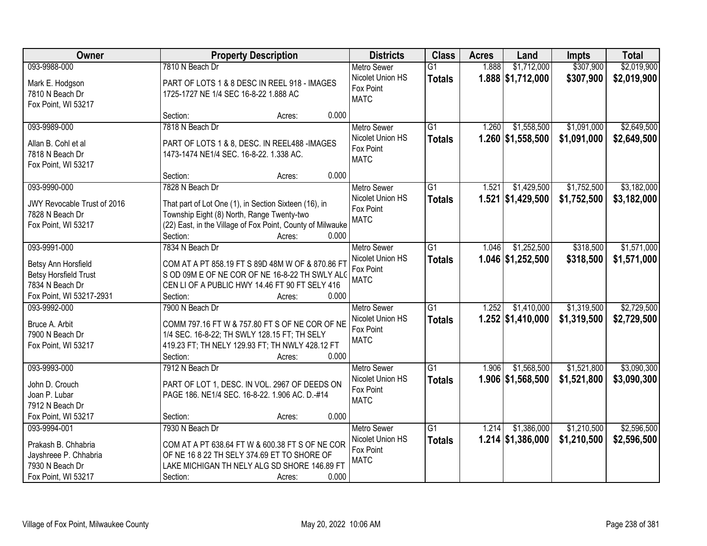| Owner                        | <b>Property Description</b>                                | <b>Districts</b>              | <b>Class</b>    | <b>Acres</b> | Land                | <b>Impts</b> | <b>Total</b> |
|------------------------------|------------------------------------------------------------|-------------------------------|-----------------|--------------|---------------------|--------------|--------------|
| 093-9988-000                 | 7810 N Beach Dr                                            | Metro Sewer                   | $\overline{G1}$ | 1.888        | \$1,712,000         | \$307,900    | \$2,019,900  |
| Mark E. Hodgson              | PART OF LOTS 1 & 8 DESC IN REEL 918 - IMAGES               | Nicolet Union HS              | <b>Totals</b>   |              | 1.888 \$1,712,000   | \$307,900    | \$2,019,900  |
| 7810 N Beach Dr              | 1725-1727 NE 1/4 SEC 16-8-22 1.888 AC                      | Fox Point                     |                 |              |                     |              |              |
| Fox Point, WI 53217          |                                                            | <b>MATC</b>                   |                 |              |                     |              |              |
|                              | Section:<br>0.000<br>Acres:                                |                               |                 |              |                     |              |              |
| 093-9989-000                 | 7818 N Beach Dr                                            | Metro Sewer                   | $\overline{G1}$ | 1.260        | \$1,558,500         | \$1,091,000  | \$2,649,500  |
| Allan B. Cohl et al          | PART OF LOTS 1 & 8, DESC. IN REEL488 -IMAGES               | Nicolet Union HS              | <b>Totals</b>   |              | 1.260 \$1,558,500   | \$1,091,000  | \$2,649,500  |
| 7818 N Beach Dr              | 1473-1474 NE1/4 SEC. 16-8-22. 1.338 AC.                    | Fox Point                     |                 |              |                     |              |              |
| Fox Point, WI 53217          |                                                            | <b>MATC</b>                   |                 |              |                     |              |              |
|                              | 0.000<br>Section:<br>Acres:                                |                               |                 |              |                     |              |              |
| 093-9990-000                 | 7828 N Beach Dr                                            | <b>Metro Sewer</b>            | G1              | 1.521        | \$1,429,500         | \$1,752,500  | \$3,182,000  |
| JWY Revocable Trust of 2016  | That part of Lot One (1), in Section Sixteen (16), in      | Nicolet Union HS              | <b>Totals</b>   |              | 1.521 \$1,429,500   | \$1,752,500  | \$3,182,000  |
| 7828 N Beach Dr              | Township Eight (8) North, Range Twenty-two                 | Fox Point                     |                 |              |                     |              |              |
| Fox Point, WI 53217          | (22) East, in the Village of Fox Point, County of Milwauke | <b>MATC</b>                   |                 |              |                     |              |              |
|                              | Section:<br>0.000<br>Acres:                                |                               |                 |              |                     |              |              |
| 093-9991-000                 | 7834 N Beach Dr                                            | <b>Metro Sewer</b>            | G1              | 1.046        | \$1,252,500         | \$318,500    | \$1,571,000  |
|                              |                                                            | Nicolet Union HS              | <b>Totals</b>   |              | 1.046 \$1,252,500   | \$318,500    | \$1,571,000  |
| Betsy Ann Horsfield          | COM AT A PT 858.19 FT S 89D 48M W OF & 870.86 FT           | Fox Point                     |                 |              |                     |              |              |
| <b>Betsy Horsfield Trust</b> | S OD 09M E OF NE COR OF NE 16-8-22 TH SWLY ALC             | <b>MATC</b>                   |                 |              |                     |              |              |
| 7834 N Beach Dr              | CEN LI OF A PUBLIC HWY 14.46 FT 90 FT SELY 416             |                               |                 |              |                     |              |              |
| Fox Point, WI 53217-2931     | Section:<br>0.000<br>Acres:                                |                               |                 |              |                     |              |              |
| 093-9992-000                 | 7900 N Beach Dr                                            | Metro Sewer                   | $\overline{G1}$ | 1.252        | \$1,410,000         | \$1,319,500  | \$2,729,500  |
| Bruce A. Arbit               | COMM 797.16 FT W & 757.80 FT S OF NE COR OF NE             | Nicolet Union HS<br>Fox Point | <b>Totals</b>   |              | $1.252$ \$1,410,000 | \$1,319,500  | \$2,729,500  |
| 7900 N Beach Dr              | 1/4 SEC. 16-8-22; TH SWLY 128.15 FT; TH SELY               | <b>MATC</b>                   |                 |              |                     |              |              |
| Fox Point, WI 53217          | 419.23 FT; TH NELY 129.93 FT; TH NWLY 428.12 FT            |                               |                 |              |                     |              |              |
|                              | Section:<br>0.000<br>Acres:                                |                               |                 |              |                     |              |              |
| 093-9993-000                 | 7912 N Beach Dr                                            | Metro Sewer                   | $\overline{G1}$ | 1.906        | \$1,568,500         | \$1,521,800  | \$3,090,300  |
| John D. Crouch               | PART OF LOT 1, DESC. IN VOL. 2967 OF DEEDS ON              | Nicolet Union HS              | <b>Totals</b>   |              | 1.906 \$1,568,500   | \$1,521,800  | \$3,090,300  |
| Joan P. Lubar                | PAGE 186. NE1/4 SEC. 16-8-22. 1.906 AC. D.-#14             | Fox Point                     |                 |              |                     |              |              |
| 7912 N Beach Dr              |                                                            | <b>MATC</b>                   |                 |              |                     |              |              |
| Fox Point, WI 53217          | 0.000<br>Section:<br>Acres:                                |                               |                 |              |                     |              |              |
| 093-9994-001                 | 7930 N Beach Dr                                            | <b>Metro Sewer</b>            | $\overline{G1}$ | 1.214        | \$1,386,000         | \$1,210,500  | \$2,596,500  |
| Prakash B. Chhabria          | COM AT A PT 638.64 FT W & 600.38 FT S OF NE COR            | Nicolet Union HS              | <b>Totals</b>   |              | $1.214$ \$1,386,000 | \$1,210,500  | \$2,596,500  |
| Jayshreee P. Chhabria        | OF NE 16 8 22 TH SELY 374.69 ET TO SHORE OF                | Fox Point                     |                 |              |                     |              |              |
| 7930 N Beach Dr              | LAKE MICHIGAN TH NELY ALG SD SHORE 146.89 FT               | <b>MATC</b>                   |                 |              |                     |              |              |
| Fox Point, WI 53217          | Section:<br>0.000<br>Acres:                                |                               |                 |              |                     |              |              |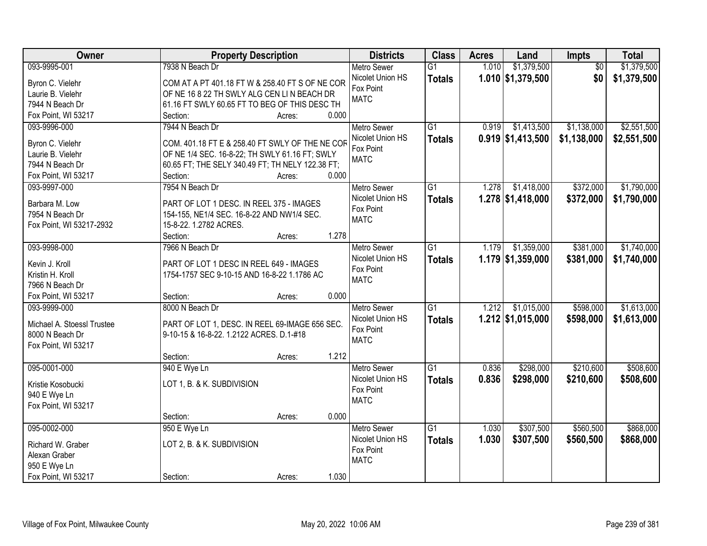| Owner                              | <b>Property Description</b>                                                            | <b>Districts</b>   | <b>Class</b>    | <b>Acres</b> | Land                | Impts           | <b>Total</b> |
|------------------------------------|----------------------------------------------------------------------------------------|--------------------|-----------------|--------------|---------------------|-----------------|--------------|
| 093-9995-001                       | 7938 N Beach Dr                                                                        | <b>Metro Sewer</b> | $\overline{G1}$ | 1.010        | \$1,379,500         | $\overline{50}$ | \$1,379,500  |
| Byron C. Vielehr                   | COM AT A PT 401.18 FT W & 258.40 FT S OF NE COR                                        | Nicolet Union HS   | <b>Totals</b>   |              | $1.010$ \$1,379,500 | \$0             | \$1,379,500  |
| Laurie B. Vielehr                  | OF NE 16 8 22 TH SWLY ALG CEN LIN BEACH DR                                             | Fox Point          |                 |              |                     |                 |              |
| 7944 N Beach Dr                    | 61.16 FT SWLY 60.65 FT TO BEG OF THIS DESC TH                                          | <b>MATC</b>        |                 |              |                     |                 |              |
| Fox Point, WI 53217                | 0.000<br>Section:<br>Acres:                                                            |                    |                 |              |                     |                 |              |
| 093-9996-000                       | 7944 N Beach Dr                                                                        | <b>Metro Sewer</b> | $\overline{G1}$ | 0.919        | \$1,413,500         | \$1,138,000     | \$2,551,500  |
|                                    |                                                                                        | Nicolet Union HS   | <b>Totals</b>   |              | $0.919$ \$1,413,500 | \$1,138,000     | \$2,551,500  |
| Byron C. Vielehr                   | COM. 401.18 FT E & 258.40 FT SWLY OF THE NE COR                                        | Fox Point          |                 |              |                     |                 |              |
| Laurie B. Vielehr                  | OF NE 1/4 SEC. 16-8-22; TH SWLY 61.16 FT; SWLY                                         | <b>MATC</b>        |                 |              |                     |                 |              |
| 7944 N Beach Dr                    | 60.65 FT; THE SELY 340.49 FT; TH NELY 122.38 FT;                                       |                    |                 |              |                     |                 |              |
| Fox Point, WI 53217                | 0.000<br>Section:<br>Acres:                                                            |                    |                 |              |                     |                 |              |
| 093-9997-000                       | 7954 N Beach Dr                                                                        | Metro Sewer        | G1              | 1.278        | \$1,418,000         | \$372,000       | \$1,790,000  |
| Barbara M. Low                     | PART OF LOT 1 DESC. IN REEL 375 - IMAGES                                               | Nicolet Union HS   | <b>Totals</b>   |              | $1.278$ \$1,418,000 | \$372,000       | \$1,790,000  |
| 7954 N Beach Dr                    | 154-155, NE1/4 SEC. 16-8-22 AND NW1/4 SEC.                                             | Fox Point          |                 |              |                     |                 |              |
| Fox Point, WI 53217-2932           | 15-8-22. 1.2782 ACRES.                                                                 | <b>MATC</b>        |                 |              |                     |                 |              |
|                                    | 1.278<br>Section:<br>Acres:                                                            |                    |                 |              |                     |                 |              |
| 093-9998-000                       | 7966 N Beach Dr                                                                        | <b>Metro Sewer</b> | G1              | 1.179        | \$1,359,000         | \$381,000       | \$1,740,000  |
|                                    |                                                                                        | Nicolet Union HS   | <b>Totals</b>   |              | $1.179$ \$1,359,000 | \$381,000       | \$1,740,000  |
| Kevin J. Kroll<br>Kristin H. Kroll | PART OF LOT 1 DESC IN REEL 649 - IMAGES<br>1754-1757 SEC 9-10-15 AND 16-8-22 1.1786 AC | Fox Point          |                 |              |                     |                 |              |
| 7966 N Beach Dr                    |                                                                                        | <b>MATC</b>        |                 |              |                     |                 |              |
| Fox Point, WI 53217                | 0.000<br>Section:<br>Acres:                                                            |                    |                 |              |                     |                 |              |
| 093-9999-000                       | 8000 N Beach Dr                                                                        | <b>Metro Sewer</b> | $\overline{G1}$ | 1.212        | \$1,015,000         | \$598,000       | \$1,613,000  |
|                                    |                                                                                        | Nicolet Union HS   |                 |              | $1.212$ \$1,015,000 | \$598,000       | \$1,613,000  |
| Michael A. Stoessl Trustee         | PART OF LOT 1, DESC. IN REEL 69-IMAGE 656 SEC.                                         | Fox Point          | <b>Totals</b>   |              |                     |                 |              |
| 8000 N Beach Dr                    | 9-10-15 & 16-8-22. 1.2122 ACRES. D.1-#18                                               | <b>MATC</b>        |                 |              |                     |                 |              |
| Fox Point, WI 53217                |                                                                                        |                    |                 |              |                     |                 |              |
|                                    | 1.212<br>Section:<br>Acres:                                                            |                    |                 |              |                     |                 |              |
| 095-0001-000                       | 940 E Wye Ln                                                                           | <b>Metro Sewer</b> | $\overline{G1}$ | 0.836        | \$298,000           | \$210,600       | \$508,600    |
| Kristie Kosobucki                  | LOT 1, B. & K. SUBDIVISION                                                             | Nicolet Union HS   | <b>Totals</b>   | 0.836        | \$298,000           | \$210,600       | \$508,600    |
| 940 E Wye Ln                       |                                                                                        | Fox Point          |                 |              |                     |                 |              |
| Fox Point, WI 53217                |                                                                                        | <b>MATC</b>        |                 |              |                     |                 |              |
|                                    | 0.000<br>Section:<br>Acres:                                                            |                    |                 |              |                     |                 |              |
| 095-0002-000                       | 950 E Wye Ln                                                                           | <b>Metro Sewer</b> | $\overline{G1}$ | 1.030        | \$307,500           | \$560,500       | \$868,000    |
|                                    |                                                                                        | Nicolet Union HS   | <b>Totals</b>   | 1.030        | \$307,500           | \$560,500       | \$868,000    |
| Richard W. Graber                  | LOT 2, B. & K. SUBDIVISION                                                             | Fox Point          |                 |              |                     |                 |              |
| Alexan Graber                      |                                                                                        | <b>MATC</b>        |                 |              |                     |                 |              |
| 950 E Wye Ln                       |                                                                                        |                    |                 |              |                     |                 |              |
| Fox Point, WI 53217                | 1.030<br>Section:<br>Acres:                                                            |                    |                 |              |                     |                 |              |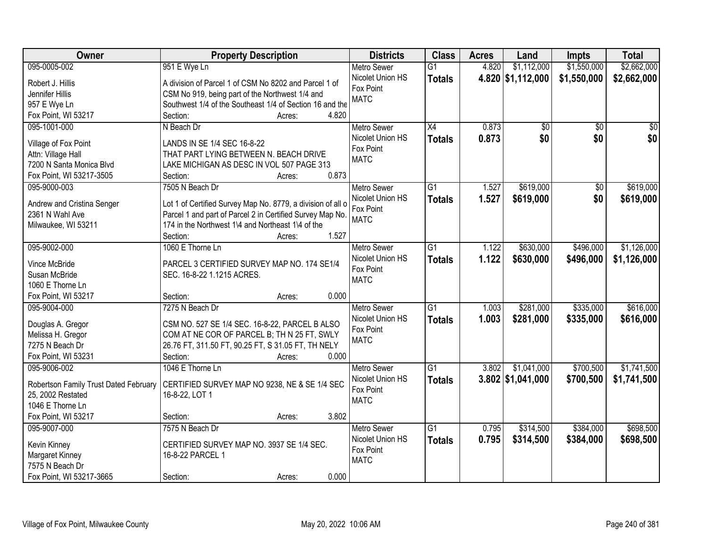| Owner                                 | <b>Property Description</b>                                     | <b>Districts</b>         | <b>Class</b>    | <b>Acres</b> | Land                | <b>Impts</b>    | <b>Total</b>    |
|---------------------------------------|-----------------------------------------------------------------|--------------------------|-----------------|--------------|---------------------|-----------------|-----------------|
| 095-0005-002                          | 951 E Wye Ln                                                    | <b>Metro Sewer</b>       | $\overline{G1}$ | 4.820        | \$1,112,000         | \$1,550,000     | \$2,662,000     |
| Robert J. Hillis                      | A division of Parcel 1 of CSM No 8202 and Parcel 1 of           | Nicolet Union HS         | <b>Totals</b>   |              | 4.820 \$1,112,000   | \$1,550,000     | \$2,662,000     |
| Jennifer Hillis                       | CSM No 919, being part of the Northwest 1/4 and                 | Fox Point                |                 |              |                     |                 |                 |
| 957 E Wye Ln                          | Southwest 1/4 of the Southeast 1/4 of Section 16 and the        | <b>MATC</b>              |                 |              |                     |                 |                 |
| Fox Point, WI 53217                   | 4.820<br>Section:<br>Acres:                                     |                          |                 |              |                     |                 |                 |
| 095-1001-000                          | N Beach Dr                                                      | <b>Metro Sewer</b>       | $\overline{X4}$ | 0.873        | \$0                 | $\overline{50}$ | $\overline{50}$ |
|                                       |                                                                 | Nicolet Union HS         | <b>Totals</b>   | 0.873        | \$0                 | \$0             | \$0             |
| Village of Fox Point                  | LANDS IN SE 1/4 SEC 16-8-22                                     | Fox Point                |                 |              |                     |                 |                 |
| Attn: Village Hall                    | THAT PART LYING BETWEEN N. BEACH DRIVE                          | <b>MATC</b>              |                 |              |                     |                 |                 |
| 7200 N Santa Monica Blvd              | LAKE MICHIGAN AS DESC IN VOL 507 PAGE 313                       |                          |                 |              |                     |                 |                 |
| Fox Point, WI 53217-3505              | 0.873<br>Section:<br>Acres:                                     |                          |                 |              |                     |                 |                 |
| 095-9000-003                          | 7505 N Beach Dr                                                 | <b>Metro Sewer</b>       | G1              | 1.527        | \$619,000           | $\overline{50}$ | \$619,000       |
| Andrew and Cristina Senger            | Lot 1 of Certified Survey Map No. 8779, a division of all o     | Nicolet Union HS         | <b>Totals</b>   | 1.527        | \$619,000           | \$0             | \$619,000       |
| 2361 N Wahl Ave                       | Parcel 1 and part of Parcel 2 in Certified Survey Map No.       | Fox Point                |                 |              |                     |                 |                 |
| Milwaukee, WI 53211                   | 174 in the Northwest 1\4 and Northeast 1\4 of the               | <b>MATC</b>              |                 |              |                     |                 |                 |
|                                       | 1.527<br>Section:<br>Acres:                                     |                          |                 |              |                     |                 |                 |
| 095-9002-000                          | 1060 E Thorne Ln                                                | <b>Metro Sewer</b>       | G1              | 1.122        | \$630,000           | \$496,000       | \$1,126,000     |
|                                       |                                                                 | Nicolet Union HS         | <b>Totals</b>   | 1.122        | \$630,000           | \$496,000       | \$1,126,000     |
| Vince McBride                         | PARCEL 3 CERTIFIED SURVEY MAP NO. 174 SE1/4                     | Fox Point                |                 |              |                     |                 |                 |
| Susan McBride                         | SEC. 16-8-22 1.1215 ACRES.                                      | <b>MATC</b>              |                 |              |                     |                 |                 |
| 1060 E Thorne Ln                      |                                                                 |                          |                 |              |                     |                 |                 |
| Fox Point, WI 53217                   | 0.000<br>Section:<br>Acres:                                     |                          |                 |              |                     |                 |                 |
| 095-9004-000                          | 7275 N Beach Dr                                                 | <b>Metro Sewer</b>       | $\overline{G1}$ | 1.003        | \$281,000           | \$335,000       | \$616,000       |
| Douglas A. Gregor                     | CSM NO. 527 SE 1/4 SEC. 16-8-22, PARCEL B ALSO                  | Nicolet Union HS         | <b>Totals</b>   | 1.003        | \$281,000           | \$335,000       | \$616,000       |
| Melissa H. Gregor                     | COM AT NE COR OF PARCEL B; TH N 25 FT, SWLY                     | Fox Point                |                 |              |                     |                 |                 |
| 7275 N Beach Dr                       | 26.76 FT, 311.50 FT, 90.25 FT, S 31.05 FT, TH NELY              | <b>MATC</b>              |                 |              |                     |                 |                 |
| Fox Point, WI 53231                   | Section:<br>0.000<br>Acres:                                     |                          |                 |              |                     |                 |                 |
| 095-9006-002                          | 1046 E Thorne Ln                                                | <b>Metro Sewer</b>       | G1              | 3.802        | \$1,041,000         | \$700,500       | \$1,741,500     |
|                                       |                                                                 | Nicolet Union HS         | <b>Totals</b>   |              | $3.802$ \$1,041,000 | \$700,500       | \$1,741,500     |
| Robertson Family Trust Dated February | CERTIFIED SURVEY MAP NO 9238, NE & SE 1/4 SEC<br>16-8-22, LOT 1 | Fox Point                |                 |              |                     |                 |                 |
| 25, 2002 Restated<br>1046 E Thorne Ln |                                                                 | <b>MATC</b>              |                 |              |                     |                 |                 |
| Fox Point, WI 53217                   | 3.802                                                           |                          |                 |              |                     |                 |                 |
|                                       | Section:<br>Acres:                                              |                          |                 |              |                     |                 |                 |
| 095-9007-000                          | 7575 N Beach Dr                                                 | <b>Metro Sewer</b>       | $\overline{G1}$ | 0.795        | \$314,500           | \$384,000       | \$698,500       |
| Kevin Kinney                          | CERTIFIED SURVEY MAP NO. 3937 SE 1/4 SEC.                       | Nicolet Union HS         | <b>Totals</b>   | 0.795        | \$314,500           | \$384,000       | \$698,500       |
| Margaret Kinney                       | 16-8-22 PARCEL 1                                                | Fox Point<br><b>MATC</b> |                 |              |                     |                 |                 |
| 7575 N Beach Dr                       |                                                                 |                          |                 |              |                     |                 |                 |
| Fox Point, WI 53217-3665              | 0.000<br>Section:<br>Acres:                                     |                          |                 |              |                     |                 |                 |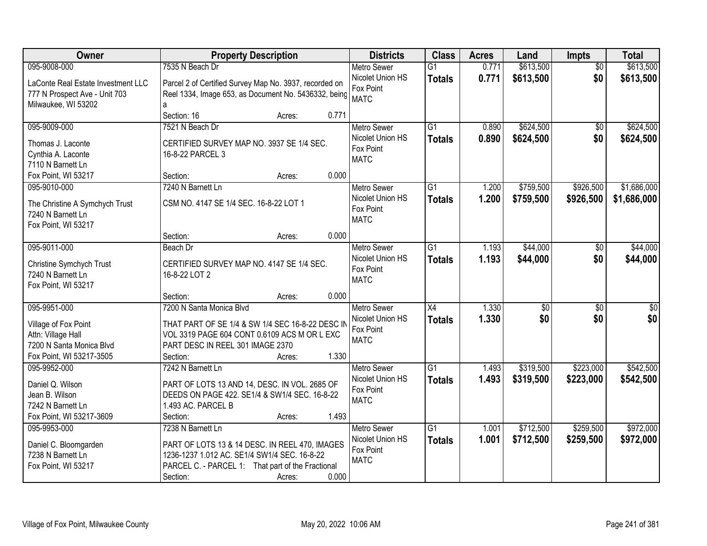| Owner                              |                                                        | <b>Property Description</b> | <b>Districts</b>                       | <b>Class</b>    | <b>Acres</b> | Land            | <b>Impts</b>    | <b>Total</b>     |
|------------------------------------|--------------------------------------------------------|-----------------------------|----------------------------------------|-----------------|--------------|-----------------|-----------------|------------------|
| 095-9008-000                       | 7535 N Beach Dr                                        |                             | <b>Metro Sewer</b>                     | $\overline{G1}$ | 0.771        | \$613,500       | $\overline{50}$ | \$613,500        |
| LaConte Real Estate Investment LLC | Parcel 2 of Certified Survey Map No. 3937, recorded on |                             | Nicolet Union HS                       | <b>Totals</b>   | 0.771        | \$613,500       | \$0             | \$613,500        |
| 777 N Prospect Ave - Unit 703      | Reel 1334, Image 653, as Document No. 5436332, being   |                             | Fox Point                              |                 |              |                 |                 |                  |
| Milwaukee, WI 53202                | a                                                      |                             | <b>MATC</b>                            |                 |              |                 |                 |                  |
|                                    | Section: 16                                            | Acres:                      | 0.771                                  |                 |              |                 |                 |                  |
| 095-9009-000                       | 7521 N Beach Dr                                        |                             | <b>Metro Sewer</b>                     | $\overline{G1}$ | 0.890        | \$624,500       | \$0             | \$624,500        |
| Thomas J. Laconte                  | CERTIFIED SURVEY MAP NO. 3937 SE 1/4 SEC.              |                             | Nicolet Union HS                       | <b>Totals</b>   | 0.890        | \$624,500       | \$0             | \$624,500        |
| Cynthia A. Laconte                 | 16-8-22 PARCEL 3                                       |                             | Fox Point                              |                 |              |                 |                 |                  |
| 7110 N Barnett Ln                  |                                                        |                             | <b>MATC</b>                            |                 |              |                 |                 |                  |
| Fox Point, WI 53217                | Section:                                               | Acres:                      | 0.000                                  |                 |              |                 |                 |                  |
| 095-9010-000                       | 7240 N Barnett Ln                                      |                             | Metro Sewer                            | $\overline{G1}$ | 1.200        | \$759,500       | \$926,500       | \$1,686,000      |
|                                    |                                                        |                             | Nicolet Union HS                       | <b>Totals</b>   | 1.200        | \$759,500       | \$926,500       | \$1,686,000      |
| The Christine A Symchych Trust     | CSM NO. 4147 SE 1/4 SEC. 16-8-22 LOT 1                 |                             | Fox Point                              |                 |              |                 |                 |                  |
| 7240 N Barnett Ln                  |                                                        |                             | <b>MATC</b>                            |                 |              |                 |                 |                  |
| Fox Point, WI 53217                |                                                        |                             |                                        |                 |              |                 |                 |                  |
|                                    | Section:                                               | Acres:                      | 0.000                                  |                 |              |                 |                 |                  |
| 095-9011-000                       | Beach Dr                                               |                             | <b>Metro Sewer</b><br>Nicolet Union HS | $\overline{G1}$ | 1.193        | \$44,000        | \$0             | \$44,000         |
| Christine Symchych Trust           | CERTIFIED SURVEY MAP NO. 4147 SE 1/4 SEC.              |                             | Fox Point                              | <b>Totals</b>   | 1.193        | \$44,000        | \$0             | \$44,000         |
| 7240 N Barnett Ln                  | 16-8-22 LOT 2                                          |                             | <b>MATC</b>                            |                 |              |                 |                 |                  |
| Fox Point, WI 53217                |                                                        |                             |                                        |                 |              |                 |                 |                  |
|                                    | Section:                                               | Acres:                      | 0.000                                  |                 |              |                 |                 |                  |
| 095-9951-000                       | 7200 N Santa Monica Blvd                               |                             | <b>Metro Sewer</b>                     | $\overline{X4}$ | 1.330        | $\overline{30}$ | $\overline{30}$ | $\overline{\$0}$ |
| Village of Fox Point               | THAT PART OF SE 1/4 & SW 1/4 SEC 16-8-22 DESC II       |                             | Nicolet Union HS                       | <b>Totals</b>   | 1.330        | \$0             | \$0             | \$0              |
| Attn: Village Hall                 | VOL 3319 PAGE 604 CONT 0.6109 ACS M OR L EXC           |                             | Fox Point                              |                 |              |                 |                 |                  |
| 7200 N Santa Monica Blvd           | PART DESC IN REEL 301 IMAGE 2370                       |                             | <b>MATC</b>                            |                 |              |                 |                 |                  |
| Fox Point, WI 53217-3505           | Section:                                               | Acres:                      | 1.330                                  |                 |              |                 |                 |                  |
| 095-9952-000                       | 7242 N Barnett Ln                                      |                             | Metro Sewer                            | $\overline{G1}$ | 1.493        | \$319,500       | \$223,000       | \$542,500        |
| Daniel Q. Wilson                   | PART OF LOTS 13 AND 14, DESC. IN VOL. 2685 OF          |                             | Nicolet Union HS                       | <b>Totals</b>   | 1.493        | \$319,500       | \$223,000       | \$542,500        |
| Jean B. Wilson                     | DEEDS ON PAGE 422. SE1/4 & SW1/4 SEC. 16-8-22          |                             | Fox Point                              |                 |              |                 |                 |                  |
| 7242 N Barnett Ln                  | 1.493 AC. PARCEL B                                     |                             | <b>MATC</b>                            |                 |              |                 |                 |                  |
| Fox Point, WI 53217-3609           | Section:                                               | Acres:                      | 1.493                                  |                 |              |                 |                 |                  |
| 095-9953-000                       | 7238 N Barnett Ln                                      |                             | <b>Metro Sewer</b>                     | $\overline{G1}$ | 1.001        | \$712,500       | \$259,500       | \$972,000        |
|                                    |                                                        |                             | Nicolet Union HS                       | <b>Totals</b>   | 1.001        | \$712,500       | \$259,500       | \$972,000        |
| Daniel C. Bloomgarden              | PART OF LOTS 13 & 14 DESC. IN REEL 470, IMAGES         |                             | Fox Point                              |                 |              |                 |                 |                  |
| 7238 N Barnett Ln                  | 1236-1237 1.012 AC. SE1/4 SW1/4 SEC. 16-8-22           |                             | <b>MATC</b>                            |                 |              |                 |                 |                  |
| Fox Point, WI 53217                | PARCEL C. - PARCEL 1: That part of the Fractional      |                             |                                        |                 |              |                 |                 |                  |
|                                    | Section:                                               | Acres:                      | 0.000                                  |                 |              |                 |                 |                  |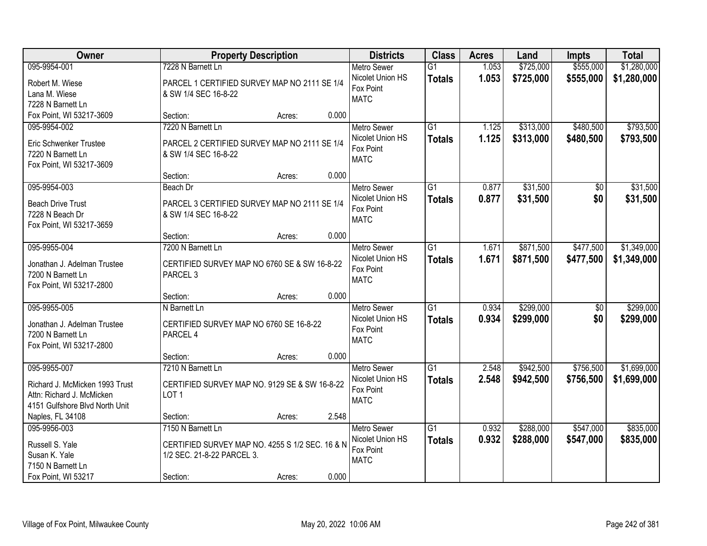| Owner                          |                                                 | <b>Property Description</b> |       | <b>Districts</b>   | <b>Class</b>    | <b>Acres</b> | Land      | <b>Impts</b>    | <b>Total</b> |
|--------------------------------|-------------------------------------------------|-----------------------------|-------|--------------------|-----------------|--------------|-----------|-----------------|--------------|
| 095-9954-001                   | 7228 N Barnett Ln                               |                             |       | <b>Metro Sewer</b> | $\overline{G1}$ | 1.053        | \$725,000 | \$555,000       | \$1,280,000  |
| Robert M. Wiese                | PARCEL 1 CERTIFIED SURVEY MAP NO 2111 SE 1/4    |                             |       | Nicolet Union HS   | <b>Totals</b>   | 1.053        | \$725,000 | \$555,000       | \$1,280,000  |
| Lana M. Wiese                  | & SW 1/4 SEC 16-8-22                            |                             |       | Fox Point          |                 |              |           |                 |              |
| 7228 N Barnett Ln              |                                                 |                             |       | <b>MATC</b>        |                 |              |           |                 |              |
| Fox Point, WI 53217-3609       | Section:                                        | Acres:                      | 0.000 |                    |                 |              |           |                 |              |
| 095-9954-002                   | 7220 N Barnett Ln                               |                             |       | <b>Metro Sewer</b> | $\overline{G1}$ | 1.125        | \$313,000 | \$480,500       | \$793,500    |
| Eric Schwenker Trustee         | PARCEL 2 CERTIFIED SURVEY MAP NO 2111 SE 1/4    |                             |       | Nicolet Union HS   | <b>Totals</b>   | 1.125        | \$313,000 | \$480,500       | \$793,500    |
| 7220 N Barnett Ln              | & SW 1/4 SEC 16-8-22                            |                             |       | Fox Point          |                 |              |           |                 |              |
| Fox Point, WI 53217-3609       |                                                 |                             |       | <b>MATC</b>        |                 |              |           |                 |              |
|                                | Section:                                        | Acres:                      | 0.000 |                    |                 |              |           |                 |              |
| 095-9954-003                   | Beach Dr                                        |                             |       | <b>Metro Sewer</b> | $\overline{G1}$ | 0.877        | \$31,500  | $\overline{50}$ | \$31,500     |
| <b>Beach Drive Trust</b>       | PARCEL 3 CERTIFIED SURVEY MAP NO 2111 SE 1/4    |                             |       | Nicolet Union HS   | <b>Totals</b>   | 0.877        | \$31,500  | \$0             | \$31,500     |
| 7228 N Beach Dr                | & SW 1/4 SEC 16-8-22                            |                             |       | Fox Point          |                 |              |           |                 |              |
| Fox Point, WI 53217-3659       |                                                 |                             |       | <b>MATC</b>        |                 |              |           |                 |              |
|                                | Section:                                        | Acres:                      | 0.000 |                    |                 |              |           |                 |              |
| 095-9955-004                   | 7200 N Barnett Ln                               |                             |       | <b>Metro Sewer</b> | G1              | 1.671        | \$871,500 | \$477,500       | \$1,349,000  |
| Jonathan J. Adelman Trustee    | CERTIFIED SURVEY MAP NO 6760 SE & SW 16-8-22    |                             |       | Nicolet Union HS   | <b>Totals</b>   | 1.671        | \$871,500 | \$477,500       | \$1,349,000  |
| 7200 N Barnett Ln              | PARCEL <sub>3</sub>                             |                             |       | Fox Point          |                 |              |           |                 |              |
| Fox Point, WI 53217-2800       |                                                 |                             |       | <b>MATC</b>        |                 |              |           |                 |              |
|                                | Section:                                        | Acres:                      | 0.000 |                    |                 |              |           |                 |              |
| 095-9955-005                   | N Barnett Ln                                    |                             |       | <b>Metro Sewer</b> | $\overline{G1}$ | 0.934        | \$299,000 | $\overline{50}$ | \$299,000    |
| Jonathan J. Adelman Trustee    | CERTIFIED SURVEY MAP NO 6760 SE 16-8-22         |                             |       | Nicolet Union HS   | <b>Totals</b>   | 0.934        | \$299,000 | \$0             | \$299,000    |
| 7200 N Barnett Ln              | PARCEL 4                                        |                             |       | Fox Point          |                 |              |           |                 |              |
| Fox Point, WI 53217-2800       |                                                 |                             |       | <b>MATC</b>        |                 |              |           |                 |              |
|                                | Section:                                        | Acres:                      | 0.000 |                    |                 |              |           |                 |              |
| 095-9955-007                   | 7210 N Barnett Ln                               |                             |       | Metro Sewer        | G1              | 2.548        | \$942,500 | \$756,500       | \$1,699,000  |
| Richard J. McMicken 1993 Trust | CERTIFIED SURVEY MAP NO. 9129 SE & SW 16-8-22   |                             |       | Nicolet Union HS   | <b>Totals</b>   | 2.548        | \$942,500 | \$756,500       | \$1,699,000  |
| Attn: Richard J. McMicken      | LOT <sub>1</sub>                                |                             |       | Fox Point          |                 |              |           |                 |              |
| 4151 Gulfshore Blvd North Unit |                                                 |                             |       | <b>MATC</b>        |                 |              |           |                 |              |
| Naples, FL 34108               | Section:                                        | Acres:                      | 2.548 |                    |                 |              |           |                 |              |
| 095-9956-003                   | 7150 N Barnett Ln                               |                             |       | <b>Metro Sewer</b> | G1              | 0.932        | \$288,000 | \$547,000       | \$835,000    |
| Russell S. Yale                | CERTIFIED SURVEY MAP NO. 4255 S 1/2 SEC. 16 & N |                             |       | Nicolet Union HS   | <b>Totals</b>   | 0.932        | \$288,000 | \$547,000       | \$835,000    |
| Susan K. Yale                  | 1/2 SEC. 21-8-22 PARCEL 3.                      |                             |       | Fox Point          |                 |              |           |                 |              |
| 7150 N Barnett Ln              |                                                 |                             |       | <b>MATC</b>        |                 |              |           |                 |              |
| Fox Point, WI 53217            | Section:                                        | Acres:                      | 0.000 |                    |                 |              |           |                 |              |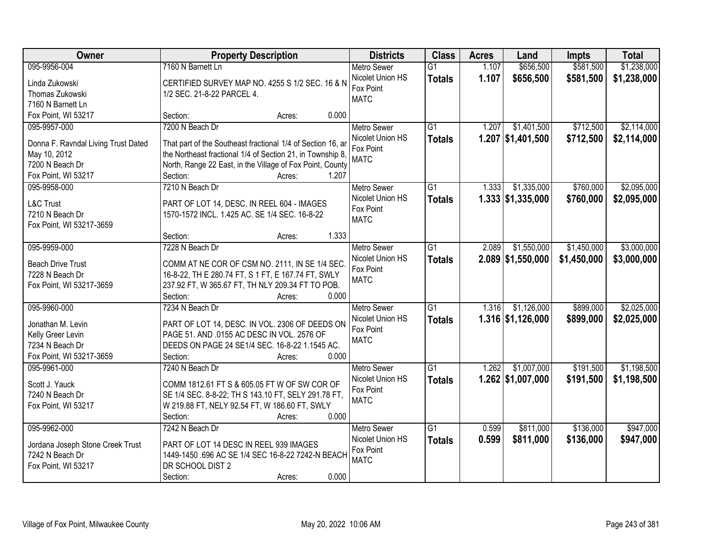| Owner                               | <b>Property Description</b>                                 | <b>Districts</b>   | <b>Class</b>    | <b>Acres</b> | Land                | <b>Impts</b> | <b>Total</b> |
|-------------------------------------|-------------------------------------------------------------|--------------------|-----------------|--------------|---------------------|--------------|--------------|
| 095-9956-004                        | 7160 N Barnett Ln                                           | <b>Metro Sewer</b> | $\overline{G1}$ | 1.107        | \$656,500           | \$581,500    | \$1,238,000  |
| Linda Zukowski                      | CERTIFIED SURVEY MAP NO. 4255 S 1/2 SEC. 16 & N             | Nicolet Union HS   | <b>Totals</b>   | 1.107        | \$656,500           | \$581,500    | \$1,238,000  |
| Thomas Zukowski                     | 1/2 SEC. 21-8-22 PARCEL 4.                                  | Fox Point          |                 |              |                     |              |              |
| 7160 N Barnett Ln                   |                                                             | <b>MATC</b>        |                 |              |                     |              |              |
| Fox Point, WI 53217                 | 0.000<br>Section:<br>Acres:                                 |                    |                 |              |                     |              |              |
| 095-9957-000                        | 7200 N Beach Dr                                             | <b>Metro Sewer</b> | $\overline{G1}$ | 1.207        | \$1,401,500         | \$712,500    | \$2,114,000  |
|                                     |                                                             | Nicolet Union HS   | <b>Totals</b>   |              | $1.207$ \$1,401,500 | \$712,500    | \$2,114,000  |
| Donna F. Ravndal Living Trust Dated | That part of the Southeast fractional 1/4 of Section 16, ar | Fox Point          |                 |              |                     |              |              |
| May 10, 2012                        | the Northeast fractional 1/4 of Section 21, in Township 8,  | <b>MATC</b>        |                 |              |                     |              |              |
| 7200 N Beach Dr                     | North, Range 22 East, in the Village of Fox Point, County   |                    |                 |              |                     |              |              |
| Fox Point, WI 53217                 | 1.207<br>Section:<br>Acres:                                 |                    |                 |              |                     |              |              |
| 095-9958-000                        | 7210 N Beach Dr                                             | <b>Metro Sewer</b> | G1              | 1.333        | \$1,335,000         | \$760,000    | \$2,095,000  |
| <b>L&amp;C Trust</b>                | PART OF LOT 14, DESC. IN REEL 604 - IMAGES                  | Nicolet Union HS   | <b>Totals</b>   |              | $1.333$ \$1,335,000 | \$760,000    | \$2,095,000  |
| 7210 N Beach Dr                     | 1570-1572 INCL. 1.425 AC. SE 1/4 SEC. 16-8-22               | Fox Point          |                 |              |                     |              |              |
| Fox Point, WI 53217-3659            |                                                             | <b>MATC</b>        |                 |              |                     |              |              |
|                                     | 1.333<br>Section:<br>Acres:                                 |                    |                 |              |                     |              |              |
| 095-9959-000                        | 7228 N Beach Dr                                             | <b>Metro Sewer</b> | $\overline{G1}$ | 2.089        | \$1,550,000         | \$1,450,000  | \$3,000,000  |
|                                     |                                                             | Nicolet Union HS   | <b>Totals</b>   |              | $2.089$ \$1,550,000 | \$1,450,000  | \$3,000,000  |
| <b>Beach Drive Trust</b>            | COMM AT NE COR OF CSM NO. 2111, IN SE 1/4 SEC.              | Fox Point          |                 |              |                     |              |              |
| 7228 N Beach Dr                     | 16-8-22, TH E 280.74 FT, S 1 FT, E 167.74 FT, SWLY          | <b>MATC</b>        |                 |              |                     |              |              |
| Fox Point, WI 53217-3659            | 237.92 FT, W 365.67 FT, TH NLY 209.34 FT TO POB.            |                    |                 |              |                     |              |              |
|                                     | Section:<br>0.000<br>Acres:                                 |                    |                 |              |                     |              |              |
| 095-9960-000                        | 7234 N Beach Dr                                             | <b>Metro Sewer</b> | $\overline{G1}$ | 1.316        | \$1,126,000         | \$899,000    | \$2,025,000  |
| Jonathan M. Levin                   | PART OF LOT 14, DESC. IN VOL. 2306 OF DEEDS ON              | Nicolet Union HS   | <b>Totals</b>   |              | $1.316$ \$1,126,000 | \$899,000    | \$2,025,000  |
| Kelly Greer Levin                   | PAGE 51. AND .0155 AC DESC IN VOL. 2576 OF                  | Fox Point          |                 |              |                     |              |              |
| 7234 N Beach Dr                     | DEEDS ON PAGE 24 SE1/4 SEC. 16-8-22 1.1545 AC.              | <b>MATC</b>        |                 |              |                     |              |              |
| Fox Point, WI 53217-3659            | Section:<br>0.000<br>Acres:                                 |                    |                 |              |                     |              |              |
| 095-9961-000                        | 7240 N Beach Dr                                             | <b>Metro Sewer</b> | $\overline{G1}$ | 1.262        | \$1,007,000         | \$191,500    | \$1,198,500  |
|                                     |                                                             | Nicolet Union HS   | <b>Totals</b>   |              | $1.262$ \$1,007,000 | \$191,500    | \$1,198,500  |
| Scott J. Yauck                      | COMM 1812.61 FT S & 605.05 FT W OF SW COR OF                | Fox Point          |                 |              |                     |              |              |
| 7240 N Beach Dr                     | SE 1/4 SEC. 8-8-22; TH S 143.10 FT, SELY 291.78 FT,         | <b>MATC</b>        |                 |              |                     |              |              |
| Fox Point, WI 53217                 | W 219.88 FT, NELY 92.54 FT, W 186.60 FT, SWLY               |                    |                 |              |                     |              |              |
|                                     | 0.000<br>Section:<br>Acres:                                 |                    |                 |              |                     |              |              |
| 095-9962-000                        | 7242 N Beach Dr                                             | <b>Metro Sewer</b> | $\overline{G1}$ | 0.599        | \$811,000           | \$136,000    | \$947,000    |
| Jordana Joseph Stone Creek Trust    | PART OF LOT 14 DESC IN REEL 939 IMAGES                      | Nicolet Union HS   | <b>Totals</b>   | 0.599        | \$811,000           | \$136,000    | \$947,000    |
| 7242 N Beach Dr                     | 1449-1450 .696 AC SE 1/4 SEC 16-8-22 7242-N BEACH           | Fox Point          |                 |              |                     |              |              |
| Fox Point, WI 53217                 | DR SCHOOL DIST 2                                            | <b>MATC</b>        |                 |              |                     |              |              |
|                                     | 0.000<br>Section:<br>Acres:                                 |                    |                 |              |                     |              |              |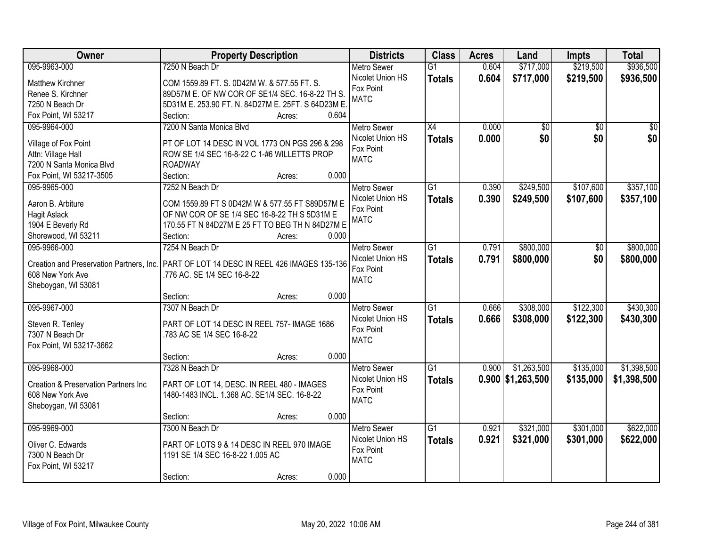| Owner                                            | <b>Property Description</b>                       | <b>Districts</b>   | <b>Class</b>    | <b>Acres</b> | Land                | <b>Impts</b>    | <b>Total</b>    |
|--------------------------------------------------|---------------------------------------------------|--------------------|-----------------|--------------|---------------------|-----------------|-----------------|
| 095-9963-000                                     | 7250 N Beach Dr                                   | <b>Metro Sewer</b> | $\overline{G1}$ | 0.604        | \$717,000           | \$219,500       | \$936,500       |
| <b>Matthew Kirchner</b>                          | COM 1559.89 FT. S. 0D42M W. & 577.55 FT. S.       | Nicolet Union HS   | <b>Totals</b>   | 0.604        | \$717,000           | \$219,500       | \$936,500       |
| Renee S. Kirchner                                | 89D57M E. OF NW COR OF SE1/4 SEC. 16-8-22 TH S.   | Fox Point          |                 |              |                     |                 |                 |
| 7250 N Beach Dr                                  | 5D31M E. 253.90 FT. N. 84D27M E. 25FT. S 64D23M E | <b>MATC</b>        |                 |              |                     |                 |                 |
| Fox Point, WI 53217                              | 0.604<br>Section:<br>Acres:                       |                    |                 |              |                     |                 |                 |
| 095-9964-000                                     | 7200 N Santa Monica Blvd                          | <b>Metro Sewer</b> | X4              | 0.000        | $\overline{50}$     | $\overline{50}$ | $\overline{50}$ |
|                                                  |                                                   | Nicolet Union HS   | <b>Totals</b>   | 0.000        | \$0                 | \$0             | \$0             |
| Village of Fox Point                             | PT OF LOT 14 DESC IN VOL 1773 ON PGS 296 & 298    | Fox Point          |                 |              |                     |                 |                 |
| Attn: Village Hall                               | ROW SE 1/4 SEC 16-8-22 C 1-#6 WILLETTS PROP       | <b>MATC</b>        |                 |              |                     |                 |                 |
| 7200 N Santa Monica Blvd                         | <b>ROADWAY</b>                                    |                    |                 |              |                     |                 |                 |
| Fox Point, WI 53217-3505                         | Section:<br>0.000<br>Acres:                       |                    |                 |              |                     |                 |                 |
| 095-9965-000                                     | 7252 N Beach Dr                                   | <b>Metro Sewer</b> | G <sub>1</sub>  | 0.390        | \$249,500           | \$107,600       | \$357,100       |
| Aaron B. Arbiture                                | COM 1559.89 FT S 0D42M W & 577.55 FT S89D57M E    | Nicolet Union HS   | <b>Totals</b>   | 0.390        | \$249,500           | \$107,600       | \$357,100       |
| <b>Hagit Aslack</b>                              | OF NW COR OF SE 1/4 SEC 16-8-22 TH S 5D31M E      | Fox Point          |                 |              |                     |                 |                 |
| 1904 E Beverly Rd                                | 170.55 FT N 84D27M E 25 FT TO BEG TH N 84D27M E   | <b>MATC</b>        |                 |              |                     |                 |                 |
| Shorewood, WI 53211                              | Section:<br>0.000<br>Acres:                       |                    |                 |              |                     |                 |                 |
| 095-9966-000                                     | 7254 N Beach Dr                                   | <b>Metro Sewer</b> | $\overline{G1}$ | 0.791        | \$800,000           | \$0             | \$800,000       |
|                                                  |                                                   | Nicolet Union HS   | <b>Totals</b>   | 0.791        | \$800,000           | \$0             | \$800,000       |
| Creation and Preservation Partners, Inc.         | PART OF LOT 14 DESC IN REEL 426 IMAGES 135-136    | Fox Point          |                 |              |                     |                 |                 |
| 608 New York Ave                                 | .776 AC. SE 1/4 SEC 16-8-22                       | <b>MATC</b>        |                 |              |                     |                 |                 |
| Sheboygan, WI 53081                              |                                                   |                    |                 |              |                     |                 |                 |
|                                                  | 0.000<br>Section:<br>Acres:                       |                    |                 |              |                     |                 |                 |
| 095-9967-000                                     | 7307 N Beach Dr                                   | <b>Metro Sewer</b> | $\overline{G1}$ | 0.666        | \$308,000           | \$122,300       | \$430,300       |
| Steven R. Tenley                                 | PART OF LOT 14 DESC IN REEL 757- IMAGE 1686       | Nicolet Union HS   | <b>Totals</b>   | 0.666        | \$308,000           | \$122,300       | \$430,300       |
| 7307 N Beach Dr                                  | .783 AC SE 1/4 SEC 16-8-22                        | Fox Point          |                 |              |                     |                 |                 |
| Fox Point, WI 53217-3662                         |                                                   | <b>MATC</b>        |                 |              |                     |                 |                 |
|                                                  | 0.000<br>Section:<br>Acres:                       |                    |                 |              |                     |                 |                 |
| 095-9968-000                                     | 7328 N Beach Dr                                   | <b>Metro Sewer</b> | $\overline{G1}$ | 0.900        | \$1,263,500         | \$135,000       | \$1,398,500     |
|                                                  |                                                   | Nicolet Union HS   | <b>Totals</b>   |              | $0.900$ \$1,263,500 | \$135,000       | \$1,398,500     |
| <b>Creation &amp; Preservation Partners Inc.</b> | PART OF LOT 14, DESC. IN REEL 480 - IMAGES        | Fox Point          |                 |              |                     |                 |                 |
| 608 New York Ave                                 | 1480-1483 INCL. 1.368 AC. SE1/4 SEC. 16-8-22      | <b>MATC</b>        |                 |              |                     |                 |                 |
| Sheboygan, WI 53081                              |                                                   |                    |                 |              |                     |                 |                 |
|                                                  | 0.000<br>Section:<br>Acres:                       |                    |                 |              |                     |                 |                 |
| 095-9969-000                                     | 7300 N Beach Dr                                   | <b>Metro Sewer</b> | $\overline{G1}$ | 0.921        | \$321,000           | \$301,000       | \$622,000       |
| Oliver C. Edwards                                | PART OF LOTS 9 & 14 DESC IN REEL 970 IMAGE        | Nicolet Union HS   | <b>Totals</b>   | 0.921        | \$321,000           | \$301,000       | \$622,000       |
| 7300 N Beach Dr                                  | 1191 SE 1/4 SEC 16-8-22 1.005 AC                  | Fox Point          |                 |              |                     |                 |                 |
| Fox Point, WI 53217                              |                                                   | <b>MATC</b>        |                 |              |                     |                 |                 |
|                                                  | 0.000<br>Section:<br>Acres:                       |                    |                 |              |                     |                 |                 |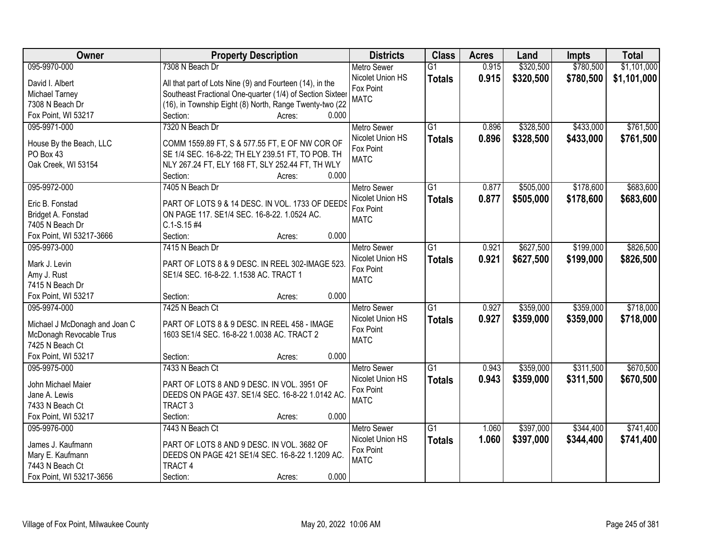| \$1,101,000<br>095-9970-000<br>7308 N Beach Dr<br>0.915<br>\$320,500<br>\$780,500<br><b>Metro Sewer</b><br>$\overline{G1}$<br>0.915<br>Nicolet Union HS<br>\$320,500<br>\$780,500<br>\$1,101,000<br><b>Totals</b><br>David I. Albert<br>All that part of Lots Nine (9) and Fourteen (14), in the<br>Fox Point<br>Southeast Fractional One-quarter (1/4) of Section Sixteer<br>Michael Tarney<br><b>MATC</b><br>(16), in Township Eight (8) North, Range Twenty-two (22<br>7308 N Beach Dr<br>0.000<br>Fox Point, WI 53217<br>Section:<br>Acres:<br>7320 N Beach Dr<br>$\overline{G1}$<br>\$328,500<br>\$433,000<br>095-9971-000<br>0.896<br><b>Metro Sewer</b><br>0.896<br>Nicolet Union HS<br>\$328,500<br>\$433,000<br><b>Totals</b><br>COMM 1559.89 FT, S & 577.55 FT, E OF NW COR OF<br>House By the Beach, LLC<br>Fox Point<br>PO Box 43<br>SE 1/4 SEC. 16-8-22; TH ELY 239.51 FT, TO POB. TH<br><b>MATC</b><br>Oak Creek, WI 53154<br>NLY 267.24 FT, ELY 168 FT, SLY 252.44 FT, TH WLY<br>0.000<br>Section:<br>Acres:<br>095-9972-000<br>7405 N Beach Dr<br>$\overline{G1}$<br>\$505,000<br>\$178,600<br><b>Metro Sewer</b><br>0.877<br>Nicolet Union HS<br>0.877<br>\$505,000<br>\$178,600<br><b>Totals</b><br>Eric B. Fonstad<br>PART OF LOTS 9 & 14 DESC. IN VOL. 1733 OF DEEDS<br>Fox Point<br>ON PAGE 117. SE1/4 SEC. 16-8-22. 1.0524 AC.<br>Bridget A. Fonstad<br><b>MATC</b><br>7405 N Beach Dr<br>$C.1-S.15#4$<br>Fox Point, WI 53217-3666<br>Section:<br>0.000<br>Acres:<br>\$627,500<br>\$199,000<br>095-9973-000<br>7415 N Beach Dr<br><b>Metro Sewer</b><br>G1<br>0.921<br>Nicolet Union HS<br>0.921<br>\$627,500<br>\$199,000<br><b>Totals</b><br>Mark J. Levin<br>PART OF LOTS 8 & 9 DESC. IN REEL 302-IMAGE 523.<br>Fox Point<br>Amy J. Rust<br>SE1/4 SEC. 16-8-22. 1.1538 AC. TRACT 1<br><b>MATC</b><br>7415 N Beach Dr<br>0.000<br>Fox Point, WI 53217<br>Section:<br>Acres:<br>\$359,000<br>\$359,000<br>095-9974-000<br>7425 N Beach Ct<br>$\overline{G1}$<br>0.927<br><b>Metro Sewer</b><br>Nicolet Union HS<br>0.927<br>\$359,000<br>\$359,000<br><b>Totals</b><br>Michael J McDonagh and Joan C<br>PART OF LOTS 8 & 9 DESC. IN REEL 458 - IMAGE<br>Fox Point<br>McDonagh Revocable Trus<br>1603 SE1/4 SEC. 16-8-22 1.0038 AC. TRACT 2<br><b>MATC</b><br>7425 N Beach Ct<br>0.000<br>Fox Point, WI 53217<br>Section:<br>Acres:<br>$\overline{G1}$<br>\$359,000<br>\$311,500<br>095-9975-000<br>7433 N Beach Ct<br><b>Metro Sewer</b><br>0.943<br>Nicolet Union HS<br>0.943<br>\$359,000<br>\$311,500<br><b>Totals</b><br>PART OF LOTS 8 AND 9 DESC. IN VOL. 3951 OF<br>John Michael Maier<br>Fox Point<br>DEEDS ON PAGE 437. SE1/4 SEC. 16-8-22 1.0142 AC.<br>Jane A. Lewis<br><b>MATC</b><br>TRACT <sub>3</sub><br>7433 N Beach Ct | Owner               | <b>Property Description</b> | <b>Districts</b> | <b>Class</b> | <b>Acres</b> | Land | <b>Impts</b> | <b>Total</b> |
|----------------------------------------------------------------------------------------------------------------------------------------------------------------------------------------------------------------------------------------------------------------------------------------------------------------------------------------------------------------------------------------------------------------------------------------------------------------------------------------------------------------------------------------------------------------------------------------------------------------------------------------------------------------------------------------------------------------------------------------------------------------------------------------------------------------------------------------------------------------------------------------------------------------------------------------------------------------------------------------------------------------------------------------------------------------------------------------------------------------------------------------------------------------------------------------------------------------------------------------------------------------------------------------------------------------------------------------------------------------------------------------------------------------------------------------------------------------------------------------------------------------------------------------------------------------------------------------------------------------------------------------------------------------------------------------------------------------------------------------------------------------------------------------------------------------------------------------------------------------------------------------------------------------------------------------------------------------------------------------------------------------------------------------------------------------------------------------------------------------------------------------------------------------------------------------------------------------------------------------------------------------------------------------------------------------------------------------------------------------------------------------------------------------------------------------------------------------------------------------------------------------------------------------------------------------------------------------------------------------------------------------------------------------------------------------------------------------------------------------------------------------|---------------------|-----------------------------|------------------|--------------|--------------|------|--------------|--------------|
|                                                                                                                                                                                                                                                                                                                                                                                                                                                                                                                                                                                                                                                                                                                                                                                                                                                                                                                                                                                                                                                                                                                                                                                                                                                                                                                                                                                                                                                                                                                                                                                                                                                                                                                                                                                                                                                                                                                                                                                                                                                                                                                                                                                                                                                                                                                                                                                                                                                                                                                                                                                                                                                                                                                                                                |                     |                             |                  |              |              |      |              |              |
|                                                                                                                                                                                                                                                                                                                                                                                                                                                                                                                                                                                                                                                                                                                                                                                                                                                                                                                                                                                                                                                                                                                                                                                                                                                                                                                                                                                                                                                                                                                                                                                                                                                                                                                                                                                                                                                                                                                                                                                                                                                                                                                                                                                                                                                                                                                                                                                                                                                                                                                                                                                                                                                                                                                                                                |                     |                             |                  |              |              |      |              |              |
| \$761,500<br>\$761,500<br>\$683,600<br>\$683,600<br>\$826,500<br>\$826,500                                                                                                                                                                                                                                                                                                                                                                                                                                                                                                                                                                                                                                                                                                                                                                                                                                                                                                                                                                                                                                                                                                                                                                                                                                                                                                                                                                                                                                                                                                                                                                                                                                                                                                                                                                                                                                                                                                                                                                                                                                                                                                                                                                                                                                                                                                                                                                                                                                                                                                                                                                                                                                                                                     |                     |                             |                  |              |              |      |              |              |
|                                                                                                                                                                                                                                                                                                                                                                                                                                                                                                                                                                                                                                                                                                                                                                                                                                                                                                                                                                                                                                                                                                                                                                                                                                                                                                                                                                                                                                                                                                                                                                                                                                                                                                                                                                                                                                                                                                                                                                                                                                                                                                                                                                                                                                                                                                                                                                                                                                                                                                                                                                                                                                                                                                                                                                |                     |                             |                  |              |              |      |              |              |
|                                                                                                                                                                                                                                                                                                                                                                                                                                                                                                                                                                                                                                                                                                                                                                                                                                                                                                                                                                                                                                                                                                                                                                                                                                                                                                                                                                                                                                                                                                                                                                                                                                                                                                                                                                                                                                                                                                                                                                                                                                                                                                                                                                                                                                                                                                                                                                                                                                                                                                                                                                                                                                                                                                                                                                |                     |                             |                  |              |              |      |              |              |
|                                                                                                                                                                                                                                                                                                                                                                                                                                                                                                                                                                                                                                                                                                                                                                                                                                                                                                                                                                                                                                                                                                                                                                                                                                                                                                                                                                                                                                                                                                                                                                                                                                                                                                                                                                                                                                                                                                                                                                                                                                                                                                                                                                                                                                                                                                                                                                                                                                                                                                                                                                                                                                                                                                                                                                |                     |                             |                  |              |              |      |              |              |
|                                                                                                                                                                                                                                                                                                                                                                                                                                                                                                                                                                                                                                                                                                                                                                                                                                                                                                                                                                                                                                                                                                                                                                                                                                                                                                                                                                                                                                                                                                                                                                                                                                                                                                                                                                                                                                                                                                                                                                                                                                                                                                                                                                                                                                                                                                                                                                                                                                                                                                                                                                                                                                                                                                                                                                |                     |                             |                  |              |              |      |              |              |
|                                                                                                                                                                                                                                                                                                                                                                                                                                                                                                                                                                                                                                                                                                                                                                                                                                                                                                                                                                                                                                                                                                                                                                                                                                                                                                                                                                                                                                                                                                                                                                                                                                                                                                                                                                                                                                                                                                                                                                                                                                                                                                                                                                                                                                                                                                                                                                                                                                                                                                                                                                                                                                                                                                                                                                |                     |                             |                  |              |              |      |              |              |
|                                                                                                                                                                                                                                                                                                                                                                                                                                                                                                                                                                                                                                                                                                                                                                                                                                                                                                                                                                                                                                                                                                                                                                                                                                                                                                                                                                                                                                                                                                                                                                                                                                                                                                                                                                                                                                                                                                                                                                                                                                                                                                                                                                                                                                                                                                                                                                                                                                                                                                                                                                                                                                                                                                                                                                |                     |                             |                  |              |              |      |              |              |
|                                                                                                                                                                                                                                                                                                                                                                                                                                                                                                                                                                                                                                                                                                                                                                                                                                                                                                                                                                                                                                                                                                                                                                                                                                                                                                                                                                                                                                                                                                                                                                                                                                                                                                                                                                                                                                                                                                                                                                                                                                                                                                                                                                                                                                                                                                                                                                                                                                                                                                                                                                                                                                                                                                                                                                |                     |                             |                  |              |              |      |              |              |
|                                                                                                                                                                                                                                                                                                                                                                                                                                                                                                                                                                                                                                                                                                                                                                                                                                                                                                                                                                                                                                                                                                                                                                                                                                                                                                                                                                                                                                                                                                                                                                                                                                                                                                                                                                                                                                                                                                                                                                                                                                                                                                                                                                                                                                                                                                                                                                                                                                                                                                                                                                                                                                                                                                                                                                |                     |                             |                  |              |              |      |              |              |
|                                                                                                                                                                                                                                                                                                                                                                                                                                                                                                                                                                                                                                                                                                                                                                                                                                                                                                                                                                                                                                                                                                                                                                                                                                                                                                                                                                                                                                                                                                                                                                                                                                                                                                                                                                                                                                                                                                                                                                                                                                                                                                                                                                                                                                                                                                                                                                                                                                                                                                                                                                                                                                                                                                                                                                |                     |                             |                  |              |              |      |              |              |
|                                                                                                                                                                                                                                                                                                                                                                                                                                                                                                                                                                                                                                                                                                                                                                                                                                                                                                                                                                                                                                                                                                                                                                                                                                                                                                                                                                                                                                                                                                                                                                                                                                                                                                                                                                                                                                                                                                                                                                                                                                                                                                                                                                                                                                                                                                                                                                                                                                                                                                                                                                                                                                                                                                                                                                |                     |                             |                  |              |              |      |              |              |
|                                                                                                                                                                                                                                                                                                                                                                                                                                                                                                                                                                                                                                                                                                                                                                                                                                                                                                                                                                                                                                                                                                                                                                                                                                                                                                                                                                                                                                                                                                                                                                                                                                                                                                                                                                                                                                                                                                                                                                                                                                                                                                                                                                                                                                                                                                                                                                                                                                                                                                                                                                                                                                                                                                                                                                |                     |                             |                  |              |              |      |              |              |
|                                                                                                                                                                                                                                                                                                                                                                                                                                                                                                                                                                                                                                                                                                                                                                                                                                                                                                                                                                                                                                                                                                                                                                                                                                                                                                                                                                                                                                                                                                                                                                                                                                                                                                                                                                                                                                                                                                                                                                                                                                                                                                                                                                                                                                                                                                                                                                                                                                                                                                                                                                                                                                                                                                                                                                |                     |                             |                  |              |              |      |              |              |
|                                                                                                                                                                                                                                                                                                                                                                                                                                                                                                                                                                                                                                                                                                                                                                                                                                                                                                                                                                                                                                                                                                                                                                                                                                                                                                                                                                                                                                                                                                                                                                                                                                                                                                                                                                                                                                                                                                                                                                                                                                                                                                                                                                                                                                                                                                                                                                                                                                                                                                                                                                                                                                                                                                                                                                |                     |                             |                  |              |              |      |              |              |
|                                                                                                                                                                                                                                                                                                                                                                                                                                                                                                                                                                                                                                                                                                                                                                                                                                                                                                                                                                                                                                                                                                                                                                                                                                                                                                                                                                                                                                                                                                                                                                                                                                                                                                                                                                                                                                                                                                                                                                                                                                                                                                                                                                                                                                                                                                                                                                                                                                                                                                                                                                                                                                                                                                                                                                |                     |                             |                  |              |              |      |              |              |
|                                                                                                                                                                                                                                                                                                                                                                                                                                                                                                                                                                                                                                                                                                                                                                                                                                                                                                                                                                                                                                                                                                                                                                                                                                                                                                                                                                                                                                                                                                                                                                                                                                                                                                                                                                                                                                                                                                                                                                                                                                                                                                                                                                                                                                                                                                                                                                                                                                                                                                                                                                                                                                                                                                                                                                |                     |                             |                  |              |              |      |              |              |
|                                                                                                                                                                                                                                                                                                                                                                                                                                                                                                                                                                                                                                                                                                                                                                                                                                                                                                                                                                                                                                                                                                                                                                                                                                                                                                                                                                                                                                                                                                                                                                                                                                                                                                                                                                                                                                                                                                                                                                                                                                                                                                                                                                                                                                                                                                                                                                                                                                                                                                                                                                                                                                                                                                                                                                |                     |                             |                  |              |              |      |              |              |
|                                                                                                                                                                                                                                                                                                                                                                                                                                                                                                                                                                                                                                                                                                                                                                                                                                                                                                                                                                                                                                                                                                                                                                                                                                                                                                                                                                                                                                                                                                                                                                                                                                                                                                                                                                                                                                                                                                                                                                                                                                                                                                                                                                                                                                                                                                                                                                                                                                                                                                                                                                                                                                                                                                                                                                |                     |                             |                  |              |              |      |              |              |
| \$718,000<br>\$718,000<br>\$670,500<br>\$670,500                                                                                                                                                                                                                                                                                                                                                                                                                                                                                                                                                                                                                                                                                                                                                                                                                                                                                                                                                                                                                                                                                                                                                                                                                                                                                                                                                                                                                                                                                                                                                                                                                                                                                                                                                                                                                                                                                                                                                                                                                                                                                                                                                                                                                                                                                                                                                                                                                                                                                                                                                                                                                                                                                                               |                     |                             |                  |              |              |      |              |              |
|                                                                                                                                                                                                                                                                                                                                                                                                                                                                                                                                                                                                                                                                                                                                                                                                                                                                                                                                                                                                                                                                                                                                                                                                                                                                                                                                                                                                                                                                                                                                                                                                                                                                                                                                                                                                                                                                                                                                                                                                                                                                                                                                                                                                                                                                                                                                                                                                                                                                                                                                                                                                                                                                                                                                                                |                     |                             |                  |              |              |      |              |              |
|                                                                                                                                                                                                                                                                                                                                                                                                                                                                                                                                                                                                                                                                                                                                                                                                                                                                                                                                                                                                                                                                                                                                                                                                                                                                                                                                                                                                                                                                                                                                                                                                                                                                                                                                                                                                                                                                                                                                                                                                                                                                                                                                                                                                                                                                                                                                                                                                                                                                                                                                                                                                                                                                                                                                                                |                     |                             |                  |              |              |      |              |              |
|                                                                                                                                                                                                                                                                                                                                                                                                                                                                                                                                                                                                                                                                                                                                                                                                                                                                                                                                                                                                                                                                                                                                                                                                                                                                                                                                                                                                                                                                                                                                                                                                                                                                                                                                                                                                                                                                                                                                                                                                                                                                                                                                                                                                                                                                                                                                                                                                                                                                                                                                                                                                                                                                                                                                                                |                     |                             |                  |              |              |      |              |              |
|                                                                                                                                                                                                                                                                                                                                                                                                                                                                                                                                                                                                                                                                                                                                                                                                                                                                                                                                                                                                                                                                                                                                                                                                                                                                                                                                                                                                                                                                                                                                                                                                                                                                                                                                                                                                                                                                                                                                                                                                                                                                                                                                                                                                                                                                                                                                                                                                                                                                                                                                                                                                                                                                                                                                                                |                     |                             |                  |              |              |      |              |              |
|                                                                                                                                                                                                                                                                                                                                                                                                                                                                                                                                                                                                                                                                                                                                                                                                                                                                                                                                                                                                                                                                                                                                                                                                                                                                                                                                                                                                                                                                                                                                                                                                                                                                                                                                                                                                                                                                                                                                                                                                                                                                                                                                                                                                                                                                                                                                                                                                                                                                                                                                                                                                                                                                                                                                                                |                     |                             |                  |              |              |      |              |              |
|                                                                                                                                                                                                                                                                                                                                                                                                                                                                                                                                                                                                                                                                                                                                                                                                                                                                                                                                                                                                                                                                                                                                                                                                                                                                                                                                                                                                                                                                                                                                                                                                                                                                                                                                                                                                                                                                                                                                                                                                                                                                                                                                                                                                                                                                                                                                                                                                                                                                                                                                                                                                                                                                                                                                                                |                     |                             |                  |              |              |      |              |              |
|                                                                                                                                                                                                                                                                                                                                                                                                                                                                                                                                                                                                                                                                                                                                                                                                                                                                                                                                                                                                                                                                                                                                                                                                                                                                                                                                                                                                                                                                                                                                                                                                                                                                                                                                                                                                                                                                                                                                                                                                                                                                                                                                                                                                                                                                                                                                                                                                                                                                                                                                                                                                                                                                                                                                                                |                     |                             |                  |              |              |      |              |              |
|                                                                                                                                                                                                                                                                                                                                                                                                                                                                                                                                                                                                                                                                                                                                                                                                                                                                                                                                                                                                                                                                                                                                                                                                                                                                                                                                                                                                                                                                                                                                                                                                                                                                                                                                                                                                                                                                                                                                                                                                                                                                                                                                                                                                                                                                                                                                                                                                                                                                                                                                                                                                                                                                                                                                                                |                     |                             |                  |              |              |      |              |              |
|                                                                                                                                                                                                                                                                                                                                                                                                                                                                                                                                                                                                                                                                                                                                                                                                                                                                                                                                                                                                                                                                                                                                                                                                                                                                                                                                                                                                                                                                                                                                                                                                                                                                                                                                                                                                                                                                                                                                                                                                                                                                                                                                                                                                                                                                                                                                                                                                                                                                                                                                                                                                                                                                                                                                                                |                     |                             |                  |              |              |      |              |              |
|                                                                                                                                                                                                                                                                                                                                                                                                                                                                                                                                                                                                                                                                                                                                                                                                                                                                                                                                                                                                                                                                                                                                                                                                                                                                                                                                                                                                                                                                                                                                                                                                                                                                                                                                                                                                                                                                                                                                                                                                                                                                                                                                                                                                                                                                                                                                                                                                                                                                                                                                                                                                                                                                                                                                                                |                     |                             |                  |              |              |      |              |              |
|                                                                                                                                                                                                                                                                                                                                                                                                                                                                                                                                                                                                                                                                                                                                                                                                                                                                                                                                                                                                                                                                                                                                                                                                                                                                                                                                                                                                                                                                                                                                                                                                                                                                                                                                                                                                                                                                                                                                                                                                                                                                                                                                                                                                                                                                                                                                                                                                                                                                                                                                                                                                                                                                                                                                                                |                     |                             |                  |              |              |      |              |              |
|                                                                                                                                                                                                                                                                                                                                                                                                                                                                                                                                                                                                                                                                                                                                                                                                                                                                                                                                                                                                                                                                                                                                                                                                                                                                                                                                                                                                                                                                                                                                                                                                                                                                                                                                                                                                                                                                                                                                                                                                                                                                                                                                                                                                                                                                                                                                                                                                                                                                                                                                                                                                                                                                                                                                                                | Fox Point, WI 53217 | Section:<br>0.000<br>Acres: |                  |              |              |      |              |              |
| 7443 N Beach Ct<br>$\overline{G1}$<br>\$397,000<br>\$344,400<br>\$741,400<br>095-9976-000<br><b>Metro Sewer</b><br>1.060                                                                                                                                                                                                                                                                                                                                                                                                                                                                                                                                                                                                                                                                                                                                                                                                                                                                                                                                                                                                                                                                                                                                                                                                                                                                                                                                                                                                                                                                                                                                                                                                                                                                                                                                                                                                                                                                                                                                                                                                                                                                                                                                                                                                                                                                                                                                                                                                                                                                                                                                                                                                                                       |                     |                             |                  |              |              |      |              |              |
| Nicolet Union HS<br>1.060<br>\$397,000<br>\$344,400<br>\$741,400<br><b>Totals</b><br>James J. Kaufmann<br>PART OF LOTS 8 AND 9 DESC. IN VOL. 3682 OF                                                                                                                                                                                                                                                                                                                                                                                                                                                                                                                                                                                                                                                                                                                                                                                                                                                                                                                                                                                                                                                                                                                                                                                                                                                                                                                                                                                                                                                                                                                                                                                                                                                                                                                                                                                                                                                                                                                                                                                                                                                                                                                                                                                                                                                                                                                                                                                                                                                                                                                                                                                                           |                     |                             |                  |              |              |      |              |              |
| Fox Point<br>Mary E. Kaufmann<br>DEEDS ON PAGE 421 SE1/4 SEC. 16-8-22 1.1209 AC.                                                                                                                                                                                                                                                                                                                                                                                                                                                                                                                                                                                                                                                                                                                                                                                                                                                                                                                                                                                                                                                                                                                                                                                                                                                                                                                                                                                                                                                                                                                                                                                                                                                                                                                                                                                                                                                                                                                                                                                                                                                                                                                                                                                                                                                                                                                                                                                                                                                                                                                                                                                                                                                                               |                     |                             |                  |              |              |      |              |              |
| <b>MATC</b><br>7443 N Beach Ct<br>TRACT 4                                                                                                                                                                                                                                                                                                                                                                                                                                                                                                                                                                                                                                                                                                                                                                                                                                                                                                                                                                                                                                                                                                                                                                                                                                                                                                                                                                                                                                                                                                                                                                                                                                                                                                                                                                                                                                                                                                                                                                                                                                                                                                                                                                                                                                                                                                                                                                                                                                                                                                                                                                                                                                                                                                                      |                     |                             |                  |              |              |      |              |              |
| 0.000<br>Fox Point, WI 53217-3656<br>Section:<br>Acres:                                                                                                                                                                                                                                                                                                                                                                                                                                                                                                                                                                                                                                                                                                                                                                                                                                                                                                                                                                                                                                                                                                                                                                                                                                                                                                                                                                                                                                                                                                                                                                                                                                                                                                                                                                                                                                                                                                                                                                                                                                                                                                                                                                                                                                                                                                                                                                                                                                                                                                                                                                                                                                                                                                        |                     |                             |                  |              |              |      |              |              |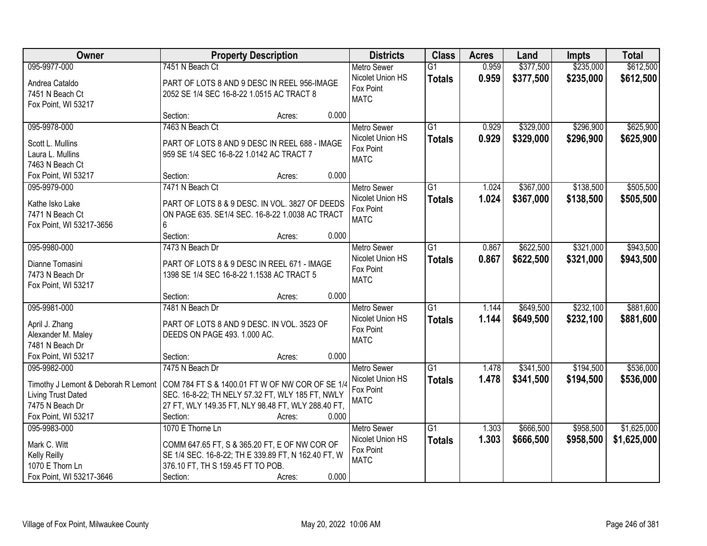| Owner                                                                                 |                                                     | <b>Property Description</b> |       | <b>Districts</b>              | <b>Class</b>    | <b>Acres</b> | Land      | <b>Impts</b> | <b>Total</b> |
|---------------------------------------------------------------------------------------|-----------------------------------------------------|-----------------------------|-------|-------------------------------|-----------------|--------------|-----------|--------------|--------------|
| 095-9977-000                                                                          | 7451 N Beach Ct                                     |                             |       | <b>Metro Sewer</b>            | $\overline{G1}$ | 0.959        | \$377,500 | \$235,000    | \$612,500    |
| Andrea Cataldo                                                                        | PART OF LOTS 8 AND 9 DESC IN REEL 956-IMAGE         |                             |       | Nicolet Union HS              | <b>Totals</b>   | 0.959        | \$377,500 | \$235,000    | \$612,500    |
| 7451 N Beach Ct                                                                       | 2052 SE 1/4 SEC 16-8-22 1.0515 AC TRACT 8           |                             |       | Fox Point                     |                 |              |           |              |              |
| Fox Point, WI 53217                                                                   |                                                     |                             |       | <b>MATC</b>                   |                 |              |           |              |              |
|                                                                                       | Section:                                            | Acres:                      | 0.000 |                               |                 |              |           |              |              |
| 095-9978-000                                                                          | 7463 N Beach Ct                                     |                             |       | Metro Sewer                   | $\overline{G1}$ | 0.929        | \$329,000 | \$296,900    | \$625,900    |
| Scott L. Mullins                                                                      | PART OF LOTS 8 AND 9 DESC IN REEL 688 - IMAGE       |                             |       | Nicolet Union HS              | <b>Totals</b>   | 0.929        | \$329,000 | \$296,900    | \$625,900    |
| Laura L. Mullins                                                                      | 959 SE 1/4 SEC 16-8-22 1.0142 AC TRACT 7            |                             |       | Fox Point                     |                 |              |           |              |              |
| 7463 N Beach Ct                                                                       |                                                     |                             |       | <b>MATC</b>                   |                 |              |           |              |              |
| Fox Point, WI 53217                                                                   | Section:                                            | Acres:                      | 0.000 |                               |                 |              |           |              |              |
| 095-9979-000                                                                          | 7471 N Beach Ct                                     |                             |       | <b>Metro Sewer</b>            | $\overline{G1}$ | 1.024        | \$367,000 | \$138,500    | \$505,500    |
|                                                                                       |                                                     |                             |       | Nicolet Union HS              | <b>Totals</b>   | 1.024        | \$367,000 | \$138,500    | \$505,500    |
| Kathe Isko Lake                                                                       | PART OF LOTS 8 & 9 DESC. IN VOL. 3827 OF DEEDS      |                             |       | Fox Point                     |                 |              |           |              |              |
| 7471 N Beach Ct                                                                       | ON PAGE 635. SE1/4 SEC. 16-8-22 1.0038 AC TRACT     |                             |       | <b>MATC</b>                   |                 |              |           |              |              |
| Fox Point, WI 53217-3656                                                              | 6                                                   |                             |       |                               |                 |              |           |              |              |
|                                                                                       | Section:                                            | Acres:                      | 0.000 |                               |                 |              |           |              |              |
| 095-9980-000                                                                          | 7473 N Beach Dr                                     |                             |       | <b>Metro Sewer</b>            | G1              | 0.867        | \$622,500 | \$321,000    | \$943,500    |
| Dianne Tomasini                                                                       | PART OF LOTS 8 & 9 DESC IN REEL 671 - IMAGE         |                             |       | Nicolet Union HS              | <b>Totals</b>   | 0.867        | \$622,500 | \$321,000    | \$943,500    |
| 7473 N Beach Dr                                                                       | 1398 SE 1/4 SEC 16-8-22 1.1538 AC TRACT 5           |                             |       | Fox Point<br><b>MATC</b>      |                 |              |           |              |              |
| Fox Point, WI 53217                                                                   |                                                     |                             |       |                               |                 |              |           |              |              |
|                                                                                       | Section:                                            | Acres:                      | 0.000 |                               |                 |              |           |              |              |
| 095-9981-000                                                                          | 7481 N Beach Dr                                     |                             |       | <b>Metro Sewer</b>            | $\overline{G1}$ | 1.144        | \$649,500 | \$232,100    | \$881,600    |
| April J. Zhang                                                                        | PART OF LOTS 8 AND 9 DESC. IN VOL. 3523 OF          |                             |       | Nicolet Union HS              | <b>Totals</b>   | 1.144        | \$649,500 | \$232,100    | \$881,600    |
| Alexander M. Maley                                                                    | DEEDS ON PAGE 493. 1.000 AC.                        |                             |       | Fox Point                     |                 |              |           |              |              |
| 7481 N Beach Dr                                                                       |                                                     |                             |       | <b>MATC</b>                   |                 |              |           |              |              |
| Fox Point, WI 53217                                                                   | Section:                                            | Acres:                      | 0.000 |                               |                 |              |           |              |              |
| 095-9982-000                                                                          | 7475 N Beach Dr                                     |                             |       | <b>Metro Sewer</b>            | $\overline{G1}$ | 1.478        | \$341,500 | \$194,500    | \$536,000    |
|                                                                                       |                                                     |                             |       | Nicolet Union HS              | <b>Totals</b>   | 1.478        | \$341,500 | \$194,500    | \$536,000    |
| Timothy J Lemont & Deborah R Lemont   COM 784 FT S & 1400.01 FT W OF NW COR OF SE 1/4 |                                                     |                             |       | Fox Point                     |                 |              |           |              |              |
| Living Trust Dated                                                                    | SEC. 16-8-22; TH NELY 57.32 FT, WLY 185 FT, NWLY    |                             |       | <b>MATC</b>                   |                 |              |           |              |              |
| 7475 N Beach Dr                                                                       | 27 FT, WLY 149.35 FT, NLY 98.48 FT, WLY 288.40 FT,  |                             |       |                               |                 |              |           |              |              |
| Fox Point, WI 53217                                                                   | Section:                                            | Acres:                      | 0.000 |                               |                 |              |           |              |              |
| 095-9983-000                                                                          | 1070 E Thorne Ln                                    |                             |       | <b>Metro Sewer</b>            | G1              | 1.303        | \$666,500 | \$958,500    | \$1,625,000  |
| Mark C. Witt                                                                          | COMM 647.65 FT, S & 365.20 FT, E OF NW COR OF       |                             |       | Nicolet Union HS<br>Fox Point | <b>Totals</b>   | 1.303        | \$666,500 | \$958,500    | \$1,625,000  |
| Kelly Reilly                                                                          | SE 1/4 SEC. 16-8-22; TH E 339.89 FT, N 162.40 FT, W |                             |       | <b>MATC</b>                   |                 |              |           |              |              |
| 1070 E Thorn Ln                                                                       | 376.10 FT, TH S 159.45 FT TO POB.                   |                             |       |                               |                 |              |           |              |              |
| Fox Point, WI 53217-3646                                                              | Section:                                            | Acres:                      | 0.000 |                               |                 |              |           |              |              |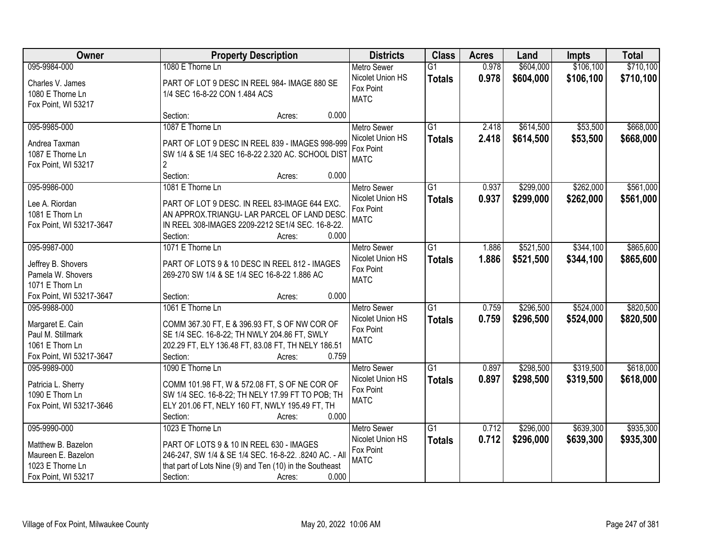| Owner                    | <b>Property Description</b>                              | <b>Districts</b>   | <b>Class</b>    | <b>Acres</b> | Land      | <b>Impts</b> | <b>Total</b> |
|--------------------------|----------------------------------------------------------|--------------------|-----------------|--------------|-----------|--------------|--------------|
| 095-9984-000             | 1080 E Thorne Ln                                         | <b>Metro Sewer</b> | $\overline{G1}$ | 0.978        | \$604,000 | \$106,100    | \$710,100    |
| Charles V. James         | PART OF LOT 9 DESC IN REEL 984- IMAGE 880 SE             | Nicolet Union HS   | <b>Totals</b>   | 0.978        | \$604,000 | \$106,100    | \$710,100    |
| 1080 E Thorne Ln         | 1/4 SEC 16-8-22 CON 1.484 ACS                            | Fox Point          |                 |              |           |              |              |
| Fox Point, WI 53217      |                                                          | <b>MATC</b>        |                 |              |           |              |              |
|                          | Section:<br>Acres:                                       | 0.000              |                 |              |           |              |              |
| 095-9985-000             | 1087 E Thorne Ln                                         | <b>Metro Sewer</b> | $\overline{G1}$ | 2.418        | \$614,500 | \$53,500     | \$668,000    |
| Andrea Taxman            | PART OF LOT 9 DESC IN REEL 839 - IMAGES 998-999          | Nicolet Union HS   | <b>Totals</b>   | 2.418        | \$614,500 | \$53,500     | \$668,000    |
| 1087 E Thorne Ln         | SW 1/4 & SE 1/4 SEC 16-8-22 2.320 AC. SCHOOL DIST        | Fox Point          |                 |              |           |              |              |
| Fox Point, WI 53217      | $\overline{2}$                                           | <b>MATC</b>        |                 |              |           |              |              |
|                          | Section:<br>Acres:                                       | 0.000              |                 |              |           |              |              |
| 095-9986-000             | 1081 E Thorne Ln                                         | <b>Metro Sewer</b> | G1              | 0.937        | \$299,000 | \$262,000    | \$561,000    |
| Lee A. Riordan           | PART OF LOT 9 DESC. IN REEL 83-IMAGE 644 EXC.            | Nicolet Union HS   | <b>Totals</b>   | 0.937        | \$299,000 | \$262,000    | \$561,000    |
| 1081 E Thorn Ln          | AN APPROX.TRIANGU- LAR PARCEL OF LAND DESC.              | Fox Point          |                 |              |           |              |              |
| Fox Point, WI 53217-3647 | IN REEL 308-IMAGES 2209-2212 SE1/4 SEC. 16-8-22.         | <b>MATC</b>        |                 |              |           |              |              |
|                          | Section:<br>Acres:                                       | 0.000              |                 |              |           |              |              |
| 095-9987-000             | 1071 E Thorne Ln                                         | <b>Metro Sewer</b> | $\overline{G1}$ | 1.886        | \$521,500 | \$344,100    | \$865,600    |
|                          |                                                          | Nicolet Union HS   | <b>Totals</b>   | 1.886        | \$521,500 | \$344,100    | \$865,600    |
| Jeffrey B. Shovers       | PART OF LOTS 9 & 10 DESC IN REEL 812 - IMAGES            | Fox Point          |                 |              |           |              |              |
| Pamela W. Shovers        | 269-270 SW 1/4 & SE 1/4 SEC 16-8-22 1.886 AC             | <b>MATC</b>        |                 |              |           |              |              |
| 1071 E Thorn Ln          |                                                          |                    |                 |              |           |              |              |
| Fox Point, WI 53217-3647 | Section:<br>Acres:                                       | 0.000              |                 |              |           |              |              |
| 095-9988-000             | 1061 E Thorne Ln                                         | <b>Metro Sewer</b> | $\overline{G1}$ | 0.759        | \$296,500 | \$524,000    | \$820,500    |
| Margaret E. Cain         | COMM 367.30 FT, E & 396.93 FT, S OF NW COR OF            | Nicolet Union HS   | <b>Totals</b>   | 0.759        | \$296,500 | \$524,000    | \$820,500    |
| Paul M. Stillmark        | SE 1/4 SEC. 16-8-22; TH NWLY 204.86 FT, SWLY             | Fox Point          |                 |              |           |              |              |
| 1061 E Thorn Ln          | 202.29 FT, ELY 136.48 FT, 83.08 FT, TH NELY 186.51       | <b>MATC</b>        |                 |              |           |              |              |
| Fox Point, WI 53217-3647 | Section:<br>Acres:                                       | 0.759              |                 |              |           |              |              |
| 095-9989-000             | 1090 E Thorne Ln                                         | <b>Metro Sewer</b> | $\overline{G1}$ | 0.897        | \$298,500 | \$319,500    | \$618,000    |
| Patricia L. Sherry       | COMM 101.98 FT, W & 572.08 FT, S OF NE COR OF            | Nicolet Union HS   | <b>Totals</b>   | 0.897        | \$298,500 | \$319,500    | \$618,000    |
| 1090 E Thorn Ln          | SW 1/4 SEC. 16-8-22; TH NELY 17.99 FT TO POB; TH         | Fox Point          |                 |              |           |              |              |
| Fox Point, WI 53217-3646 | ELY 201.06 FT, NELY 160 FT, NWLY 195.49 FT, TH           | <b>MATC</b>        |                 |              |           |              |              |
|                          | Section:<br>Acres:                                       | 0.000              |                 |              |           |              |              |
| 095-9990-000             | 1023 E Thorne Ln                                         | <b>Metro Sewer</b> | $\overline{G1}$ | 0.712        | \$296,000 | \$639,300    | \$935,300    |
|                          |                                                          | Nicolet Union HS   | <b>Totals</b>   | 0.712        | \$296,000 | \$639,300    | \$935,300    |
| Matthew B. Bazelon       | PART OF LOTS 9 & 10 IN REEL 630 - IMAGES                 | Fox Point          |                 |              |           |              |              |
| Maureen E. Bazelon       | 246-247, SW 1/4 & SE 1/4 SEC. 16-8-22. .8240 AC. - All   | <b>MATC</b>        |                 |              |           |              |              |
| 1023 E Thorne Ln         | that part of Lots Nine (9) and Ten (10) in the Southeast |                    |                 |              |           |              |              |
| Fox Point, WI 53217      | Section:<br>Acres:                                       | 0.000              |                 |              |           |              |              |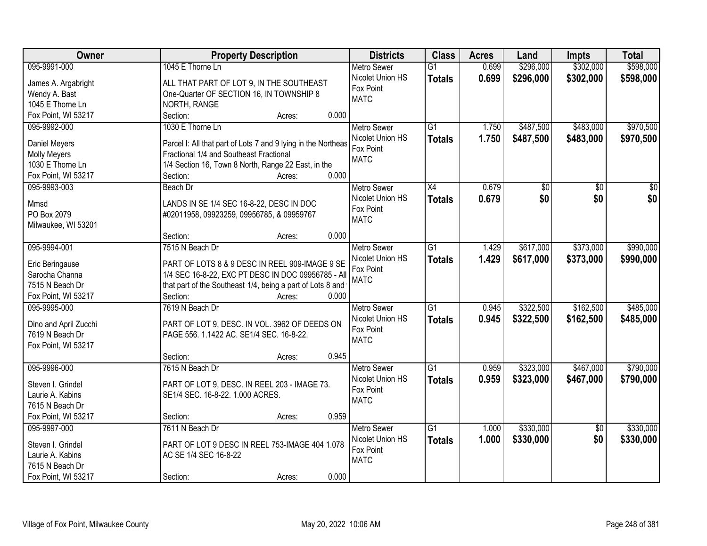| <b>Owner</b>                      | <b>Property Description</b>                                   | <b>Districts</b>   | <b>Class</b>    | <b>Acres</b> | Land            | <b>Impts</b>    | <b>Total</b>    |
|-----------------------------------|---------------------------------------------------------------|--------------------|-----------------|--------------|-----------------|-----------------|-----------------|
| 095-9991-000                      | 1045 E Thorne Ln                                              | <b>Metro Sewer</b> | $\overline{G1}$ | 0.699        | \$296,000       | \$302,000       | \$598,000       |
| James A. Argabright               | ALL THAT PART OF LOT 9, IN THE SOUTHEAST                      | Nicolet Union HS   | <b>Totals</b>   | 0.699        | \$296,000       | \$302,000       | \$598,000       |
| Wendy A. Bast                     | One-Quarter OF SECTION 16, IN TOWNSHIP 8                      | Fox Point          |                 |              |                 |                 |                 |
| 1045 E Thorne Ln                  | NORTH, RANGE                                                  | <b>MATC</b>        |                 |              |                 |                 |                 |
| Fox Point, WI 53217               | 0.000<br>Section:<br>Acres:                                   |                    |                 |              |                 |                 |                 |
| 095-9992-000                      | 1030 E Thorne Ln                                              | <b>Metro Sewer</b> | $\overline{G1}$ | 1.750        | \$487,500       | \$483,000       | \$970,500       |
|                                   |                                                               | Nicolet Union HS   | <b>Totals</b>   | 1.750        | \$487,500       | \$483,000       | \$970,500       |
| Daniel Meyers                     | Parcel I: All that part of Lots 7 and 9 lying in the Northeas | Fox Point          |                 |              |                 |                 |                 |
| <b>Molly Meyers</b>               | Fractional 1/4 and Southeast Fractional                       | <b>MATC</b>        |                 |              |                 |                 |                 |
| 1030 E Thorne Ln                  | 1/4 Section 16, Town 8 North, Range 22 East, in the           |                    |                 |              |                 |                 |                 |
| Fox Point, WI 53217               | 0.000<br>Section:<br>Acres:                                   |                    |                 |              |                 |                 |                 |
| 095-9993-003                      | Beach Dr                                                      | Metro Sewer        | $\overline{X4}$ | 0.679        | $\overline{50}$ | $\overline{50}$ | $\overline{50}$ |
| Mmsd                              | LANDS IN SE 1/4 SEC 16-8-22, DESC IN DOC                      | Nicolet Union HS   | <b>Totals</b>   | 0.679        | \$0             | \$0             | \$0             |
| PO Box 2079                       | #02011958, 09923259, 09956785, & 09959767                     | Fox Point          |                 |              |                 |                 |                 |
| Milwaukee, WI 53201               |                                                               | <b>MATC</b>        |                 |              |                 |                 |                 |
|                                   | 0.000<br>Section:<br>Acres:                                   |                    |                 |              |                 |                 |                 |
| 095-9994-001                      | 7515 N Beach Dr                                               | <b>Metro Sewer</b> | $\overline{G1}$ | 1.429        | \$617,000       | \$373,000       | \$990,000       |
|                                   | PART OF LOTS 8 & 9 DESC IN REEL 909-IMAGE 9 SE                | Nicolet Union HS   | <b>Totals</b>   | 1.429        | \$617,000       | \$373,000       | \$990,000       |
| Eric Beringause<br>Sarocha Channa | 1/4 SEC 16-8-22, EXC PT DESC IN DOC 09956785 - All            | Fox Point          |                 |              |                 |                 |                 |
| 7515 N Beach Dr                   | that part of the Southeast 1/4, being a part of Lots 8 and    | <b>MATC</b>        |                 |              |                 |                 |                 |
| Fox Point, WI 53217               | Section:<br>0.000<br>Acres:                                   |                    |                 |              |                 |                 |                 |
| 095-9995-000                      | 7619 N Beach Dr                                               | <b>Metro Sewer</b> | $\overline{G1}$ | 0.945        | \$322,500       | \$162,500       | \$485,000       |
|                                   |                                                               | Nicolet Union HS   |                 | 0.945        |                 |                 |                 |
| Dino and April Zucchi             | PART OF LOT 9, DESC. IN VOL. 3962 OF DEEDS ON                 | Fox Point          | <b>Totals</b>   |              | \$322,500       | \$162,500       | \$485,000       |
| 7619 N Beach Dr                   | PAGE 556. 1.1422 AC. SE1/4 SEC. 16-8-22.                      | <b>MATC</b>        |                 |              |                 |                 |                 |
| Fox Point, WI 53217               |                                                               |                    |                 |              |                 |                 |                 |
|                                   | 0.945<br>Section:<br>Acres:                                   |                    |                 |              |                 |                 |                 |
| 095-9996-000                      | 7615 N Beach Dr                                               | Metro Sewer        | $\overline{G1}$ | 0.959        | \$323,000       | \$467,000       | \$790,000       |
| Steven I. Grindel                 | PART OF LOT 9, DESC. IN REEL 203 - IMAGE 73.                  | Nicolet Union HS   | <b>Totals</b>   | 0.959        | \$323,000       | \$467,000       | \$790,000       |
| Laurie A. Kabins                  | SE1/4 SEC. 16-8-22. 1.000 ACRES.                              | Fox Point          |                 |              |                 |                 |                 |
| 7615 N Beach Dr                   |                                                               | <b>MATC</b>        |                 |              |                 |                 |                 |
| Fox Point, WI 53217               | 0.959<br>Section:<br>Acres:                                   |                    |                 |              |                 |                 |                 |
| 095-9997-000                      | 7611 N Beach Dr                                               | <b>Metro Sewer</b> | $\overline{G1}$ | 1.000        | \$330,000       | $\overline{50}$ | \$330,000       |
|                                   |                                                               | Nicolet Union HS   | <b>Totals</b>   | 1.000        | \$330,000       | \$0             | \$330,000       |
| Steven I. Grindel                 | PART OF LOT 9 DESC IN REEL 753-IMAGE 404 1.078                | Fox Point          |                 |              |                 |                 |                 |
| Laurie A. Kabins                  | AC SE 1/4 SEC 16-8-22                                         | <b>MATC</b>        |                 |              |                 |                 |                 |
| 7615 N Beach Dr                   |                                                               |                    |                 |              |                 |                 |                 |
| Fox Point, WI 53217               | 0.000<br>Section:<br>Acres:                                   |                    |                 |              |                 |                 |                 |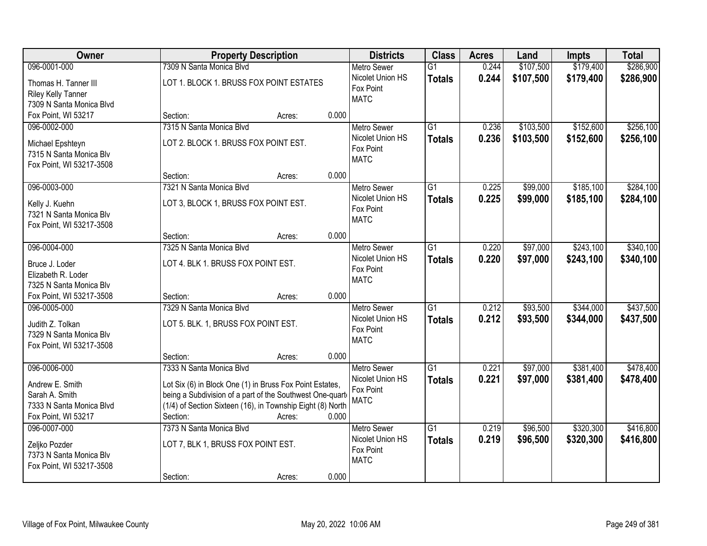| Owner                                                                                   | <b>Property Description</b>                                                                                                                                                                                       | <b>Districts</b>                                                   | <b>Class</b>                     | <b>Acres</b>   | Land                   | <b>Impts</b>           | <b>Total</b>           |
|-----------------------------------------------------------------------------------------|-------------------------------------------------------------------------------------------------------------------------------------------------------------------------------------------------------------------|--------------------------------------------------------------------|----------------------------------|----------------|------------------------|------------------------|------------------------|
| 096-0001-000                                                                            | 7309 N Santa Monica Blvd                                                                                                                                                                                          | <b>Metro Sewer</b>                                                 | $\overline{G1}$                  | 0.244          | \$107,500              | \$179,400              | \$286,900              |
| Thomas H. Tanner III<br><b>Riley Kelly Tanner</b><br>7309 N Santa Monica Blvd           | LOT 1. BLOCK 1. BRUSS FOX POINT ESTATES                                                                                                                                                                           | Nicolet Union HS<br>Fox Point<br><b>MATC</b>                       | <b>Totals</b>                    | 0.244          | \$107,500              | \$179,400              | \$286,900              |
| Fox Point, WI 53217                                                                     | 0.000<br>Section:<br>Acres:                                                                                                                                                                                       |                                                                    |                                  |                |                        |                        |                        |
| 096-0002-000<br>Michael Epshteyn<br>7315 N Santa Monica Blv                             | 7315 N Santa Monica Blvd<br>LOT 2. BLOCK 1. BRUSS FOX POINT EST.                                                                                                                                                  | <b>Metro Sewer</b><br>Nicolet Union HS<br>Fox Point                | $\overline{G1}$<br><b>Totals</b> | 0.236<br>0.236 | \$103,500<br>\$103,500 | \$152,600<br>\$152,600 | \$256,100<br>\$256,100 |
| Fox Point, WI 53217-3508                                                                | 0.000<br>Section:<br>Acres:                                                                                                                                                                                       | <b>MATC</b>                                                        |                                  |                |                        |                        |                        |
| 096-0003-000                                                                            | 7321 N Santa Monica Blvd                                                                                                                                                                                          | Metro Sewer                                                        | $\overline{G1}$                  | 0.225          | \$99,000               | \$185,100              | \$284,100              |
| Kelly J. Kuehn<br>7321 N Santa Monica Blv<br>Fox Point, WI 53217-3508                   | LOT 3, BLOCK 1, BRUSS FOX POINT EST.                                                                                                                                                                              | Nicolet Union HS<br>Fox Point<br><b>MATC</b>                       | <b>Totals</b>                    | 0.225          | \$99,000               | \$185,100              | \$284,100              |
|                                                                                         | 0.000<br>Section:<br>Acres:                                                                                                                                                                                       |                                                                    |                                  |                |                        |                        |                        |
| 096-0004-000                                                                            | 7325 N Santa Monica Blvd                                                                                                                                                                                          | <b>Metro Sewer</b>                                                 | $\overline{G1}$                  | 0.220          | \$97,000               | \$243,100              | \$340,100              |
| Bruce J. Loder<br>Elizabeth R. Loder<br>7325 N Santa Monica Blv                         | LOT 4. BLK 1. BRUSS FOX POINT EST.                                                                                                                                                                                | Nicolet Union HS<br>Fox Point<br><b>MATC</b>                       | <b>Totals</b>                    | 0.220          | \$97,000               | \$243,100              | \$340,100              |
| Fox Point, WI 53217-3508                                                                | 0.000<br>Section:<br>Acres:                                                                                                                                                                                       |                                                                    |                                  |                |                        |                        |                        |
| 096-0005-000<br>Judith Z. Tolkan<br>7329 N Santa Monica Blv<br>Fox Point, WI 53217-3508 | 7329 N Santa Monica Blyd<br>LOT 5. BLK. 1, BRUSS FOX POINT EST.                                                                                                                                                   | <b>Metro Sewer</b><br>Nicolet Union HS<br>Fox Point<br><b>MATC</b> | $\overline{G1}$<br><b>Totals</b> | 0.212<br>0.212 | \$93,500<br>\$93,500   | \$344,000<br>\$344,000 | \$437,500<br>\$437,500 |
|                                                                                         | 0.000<br>Section:<br>Acres:                                                                                                                                                                                       |                                                                    |                                  |                |                        |                        |                        |
| 096-0006-000                                                                            | 7333 N Santa Monica Blvd                                                                                                                                                                                          | <b>Metro Sewer</b>                                                 | $\overline{G1}$                  | 0.221          | \$97,000               | \$381,400              | \$478,400              |
| Andrew E. Smith<br>Sarah A. Smith<br>7333 N Santa Monica Blvd<br>Fox Point, WI 53217    | Lot Six (6) in Block One (1) in Bruss Fox Point Estates,<br>being a Subdivision of a part of the Southwest One-quart<br>(1/4) of Section Sixteen (16), in Township Eight (8) North<br>Section:<br>0.000<br>Acres: | Nicolet Union HS<br>Fox Point<br><b>MATC</b>                       | <b>Totals</b>                    | 0.221          | \$97,000               | \$381,400              | \$478,400              |
| 096-0007-000<br>Zeljko Pozder<br>7373 N Santa Monica Blv<br>Fox Point, WI 53217-3508    | 7373 N Santa Monica Blvd<br>LOT 7, BLK 1, BRUSS FOX POINT EST.<br>0.000<br>Section:<br>Acres:                                                                                                                     | <b>Metro Sewer</b><br>Nicolet Union HS<br>Fox Point<br><b>MATC</b> | $\overline{G1}$<br><b>Totals</b> | 0.219<br>0.219 | \$96,500<br>\$96,500   | \$320,300<br>\$320,300 | \$416,800<br>\$416,800 |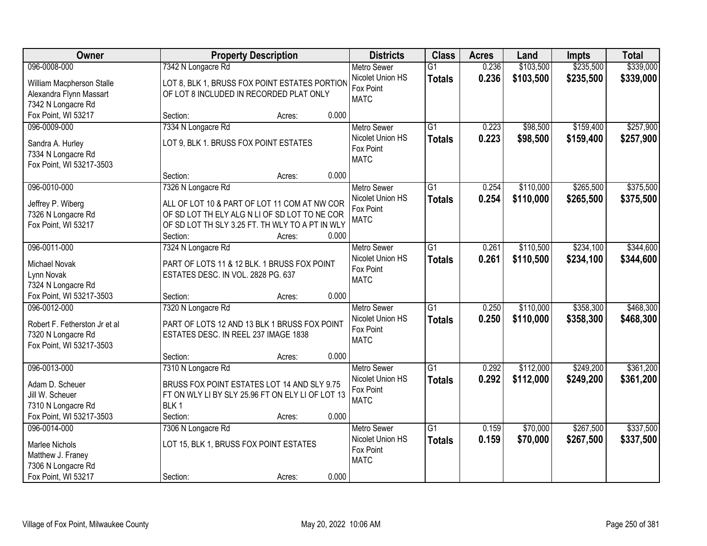| <b>Owner</b>                                   |                                                  | <b>Property Description</b> | <b>Districts</b>         | <b>Class</b>    | <b>Acres</b> | Land      | <b>Impts</b> | <b>Total</b> |
|------------------------------------------------|--------------------------------------------------|-----------------------------|--------------------------|-----------------|--------------|-----------|--------------|--------------|
| 096-0008-000                                   | 7342 N Longacre Rd                               |                             | <b>Metro Sewer</b>       | $\overline{G1}$ | 0.236        | \$103,500 | \$235,500    | \$339,000    |
| William Macpherson Stalle                      | LOT 8, BLK 1, BRUSS FOX POINT ESTATES PORTION    |                             | Nicolet Union HS         | <b>Totals</b>   | 0.236        | \$103,500 | \$235,500    | \$339,000    |
| Alexandra Flynn Massart                        | OF LOT 8 INCLUDED IN RECORDED PLAT ONLY          |                             | Fox Point                |                 |              |           |              |              |
| 7342 N Longacre Rd                             |                                                  |                             | <b>MATC</b>              |                 |              |           |              |              |
| Fox Point, WI 53217                            | Section:                                         | 0.000<br>Acres:             |                          |                 |              |           |              |              |
| 096-0009-000                                   | 7334 N Longacre Rd                               |                             | <b>Metro Sewer</b>       | $\overline{G1}$ | 0.223        | \$98,500  | \$159,400    | \$257,900    |
|                                                |                                                  |                             | Nicolet Union HS         | <b>Totals</b>   | 0.223        | \$98,500  | \$159,400    | \$257,900    |
| Sandra A. Hurley                               | LOT 9, BLK 1. BRUSS FOX POINT ESTATES            |                             | Fox Point                |                 |              |           |              |              |
| 7334 N Longacre Rd<br>Fox Point, WI 53217-3503 |                                                  |                             | <b>MATC</b>              |                 |              |           |              |              |
|                                                | Section:                                         | 0.000<br>Acres:             |                          |                 |              |           |              |              |
| 096-0010-000                                   | 7326 N Longacre Rd                               |                             | Metro Sewer              | G1              | 0.254        | \$110,000 | \$265,500    | \$375,500    |
|                                                |                                                  |                             | Nicolet Union HS         | <b>Totals</b>   | 0.254        | \$110,000 | \$265,500    | \$375,500    |
| Jeffrey P. Wiberg                              | ALL OF LOT 10 & PART OF LOT 11 COM AT NW COR     |                             | Fox Point                |                 |              |           |              |              |
| 7326 N Longacre Rd                             | OF SD LOT TH ELY ALG N LI OF SD LOT TO NE COR    |                             | <b>MATC</b>              |                 |              |           |              |              |
| Fox Point, WI 53217                            | OF SD LOT TH SLY 3.25 FT. TH WLY TO A PT IN WLY  |                             |                          |                 |              |           |              |              |
|                                                | Section:                                         | 0.000<br>Acres:             |                          |                 |              |           |              |              |
| 096-0011-000                                   | 7324 N Longacre Rd                               |                             | <b>Metro Sewer</b>       | G1              | 0.261        | \$110,500 | \$234,100    | \$344,600    |
| Michael Novak                                  | PART OF LOTS 11 & 12 BLK. 1 BRUSS FOX POINT      |                             | Nicolet Union HS         | <b>Totals</b>   | 0.261        | \$110,500 | \$234,100    | \$344,600    |
| Lynn Novak                                     | ESTATES DESC. IN VOL. 2828 PG. 637               |                             | Fox Point                |                 |              |           |              |              |
| 7324 N Longacre Rd                             |                                                  |                             | <b>MATC</b>              |                 |              |           |              |              |
| Fox Point, WI 53217-3503                       | Section:                                         | 0.000<br>Acres:             |                          |                 |              |           |              |              |
| 096-0012-000                                   | 7320 N Longacre Rd                               |                             | <b>Metro Sewer</b>       | $\overline{G1}$ | 0.250        | \$110,000 | \$358,300    | \$468,300    |
| Robert F. Fetherston Jr et al                  | PART OF LOTS 12 AND 13 BLK 1 BRUSS FOX POINT     |                             | Nicolet Union HS         | <b>Totals</b>   | 0.250        | \$110,000 | \$358,300    | \$468,300    |
| 7320 N Longacre Rd                             | ESTATES DESC. IN REEL 237 IMAGE 1838             |                             | Fox Point                |                 |              |           |              |              |
| Fox Point, WI 53217-3503                       |                                                  |                             | <b>MATC</b>              |                 |              |           |              |              |
|                                                | Section:                                         | 0.000<br>Acres:             |                          |                 |              |           |              |              |
| 096-0013-000                                   | 7310 N Longacre Rd                               |                             | Metro Sewer              | $\overline{G1}$ | 0.292        | \$112,000 | \$249,200    | \$361,200    |
|                                                |                                                  |                             | Nicolet Union HS         | <b>Totals</b>   | 0.292        | \$112,000 | \$249,200    | \$361,200    |
| Adam D. Scheuer                                | BRUSS FOX POINT ESTATES LOT 14 AND SLY 9.75      |                             | Fox Point                |                 |              |           |              |              |
| Jill W. Scheuer                                | FT ON WLY LI BY SLY 25.96 FT ON ELY LI OF LOT 13 |                             | <b>MATC</b>              |                 |              |           |              |              |
| 7310 N Longacre Rd                             | BLK <sub>1</sub>                                 |                             |                          |                 |              |           |              |              |
| Fox Point, WI 53217-3503                       | Section:                                         | 0.000<br>Acres:             |                          |                 |              |           |              |              |
| 096-0014-000                                   | 7306 N Longacre Rd                               |                             | <b>Metro Sewer</b>       | $\overline{G1}$ | 0.159        | \$70,000  | \$267,500    | \$337,500    |
| Marlee Nichols                                 | LOT 15, BLK 1, BRUSS FOX POINT ESTATES           |                             | Nicolet Union HS         | <b>Totals</b>   | 0.159        | \$70,000  | \$267,500    | \$337,500    |
| Matthew J. Franey                              |                                                  |                             | Fox Point<br><b>MATC</b> |                 |              |           |              |              |
| 7306 N Longacre Rd                             |                                                  |                             |                          |                 |              |           |              |              |
| Fox Point, WI 53217                            | Section:                                         | 0.000<br>Acres:             |                          |                 |              |           |              |              |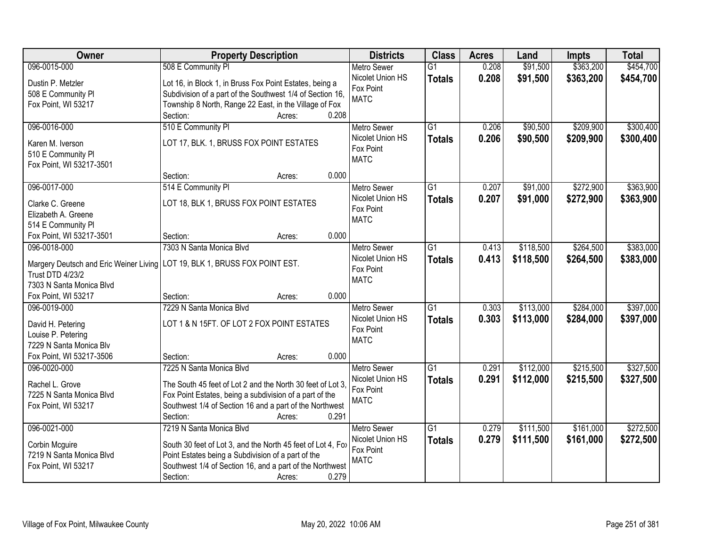| Owner                                     | <b>Property Description</b>                                                  | <b>Districts</b>   | <b>Class</b>    | <b>Acres</b> | Land      | <b>Impts</b> | <b>Total</b> |
|-------------------------------------------|------------------------------------------------------------------------------|--------------------|-----------------|--------------|-----------|--------------|--------------|
| 096-0015-000                              | 508 E Community PI                                                           | <b>Metro Sewer</b> | $\overline{G1}$ | 0.208        | \$91,500  | \$363,200    | \$454,700    |
| Dustin P. Metzler                         | Lot 16, in Block 1, in Bruss Fox Point Estates, being a                      | Nicolet Union HS   | <b>Totals</b>   | 0.208        | \$91,500  | \$363,200    | \$454,700    |
| 508 E Community PI                        | Subdivision of a part of the Southwest 1/4 of Section 16,                    | Fox Point          |                 |              |           |              |              |
| Fox Point, WI 53217                       | Township 8 North, Range 22 East, in the Village of Fox                       | <b>MATC</b>        |                 |              |           |              |              |
|                                           | 0.208<br>Section:<br>Acres:                                                  |                    |                 |              |           |              |              |
| 096-0016-000                              | 510 E Community PI                                                           | <b>Metro Sewer</b> | $\overline{G1}$ | 0.206        | \$90,500  | \$209,900    | \$300,400    |
| Karen M. Iverson                          | LOT 17, BLK. 1, BRUSS FOX POINT ESTATES                                      | Nicolet Union HS   | <b>Totals</b>   | 0.206        | \$90,500  | \$209,900    | \$300,400    |
| 510 E Community PI                        |                                                                              | Fox Point          |                 |              |           |              |              |
| Fox Point, WI 53217-3501                  |                                                                              | <b>MATC</b>        |                 |              |           |              |              |
|                                           | 0.000<br>Section:<br>Acres:                                                  |                    |                 |              |           |              |              |
| 096-0017-000                              | 514 E Community PI                                                           | <b>Metro Sewer</b> | $\overline{G1}$ | 0.207        | \$91,000  | \$272,900    | \$363,900    |
|                                           |                                                                              | Nicolet Union HS   | <b>Totals</b>   | 0.207        | \$91,000  | \$272,900    | \$363,900    |
| Clarke C. Greene                          | LOT 18, BLK 1, BRUSS FOX POINT ESTATES                                       | Fox Point          |                 |              |           |              |              |
| Elizabeth A. Greene<br>514 E Community PI |                                                                              | <b>MATC</b>        |                 |              |           |              |              |
| Fox Point, WI 53217-3501                  | 0.000<br>Section:<br>Acres:                                                  |                    |                 |              |           |              |              |
| 096-0018-000                              | 7303 N Santa Monica Blvd                                                     | <b>Metro Sewer</b> | G1              | 0.413        | \$118,500 | \$264,500    | \$383,000    |
|                                           |                                                                              | Nicolet Union HS   | <b>Totals</b>   | 0.413        | \$118,500 | \$264,500    | \$383,000    |
|                                           | Margery Deutsch and Eric Weiner Living   LOT 19, BLK 1, BRUSS FOX POINT EST. | Fox Point          |                 |              |           |              |              |
| <b>Trust DTD 4/23/2</b>                   |                                                                              | <b>MATC</b>        |                 |              |           |              |              |
| 7303 N Santa Monica Blvd                  |                                                                              |                    |                 |              |           |              |              |
| Fox Point, WI 53217                       | 0.000<br>Section:<br>Acres:                                                  |                    |                 |              |           |              |              |
| 096-0019-000                              | 7229 N Santa Monica Blvd                                                     | <b>Metro Sewer</b> | $\overline{G1}$ | 0.303        | \$113,000 | \$284,000    | \$397,000    |
| David H. Petering                         | LOT 1 & N 15FT. OF LOT 2 FOX POINT ESTATES                                   | Nicolet Union HS   | <b>Totals</b>   | 0.303        | \$113,000 | \$284,000    | \$397,000    |
| Louise P. Petering                        |                                                                              | Fox Point          |                 |              |           |              |              |
| 7229 N Santa Monica Blv                   |                                                                              | <b>MATC</b>        |                 |              |           |              |              |
| Fox Point, WI 53217-3506                  | 0.000<br>Section:<br>Acres:                                                  |                    |                 |              |           |              |              |
| 096-0020-000                              | 7225 N Santa Monica Blvd                                                     | Metro Sewer        | $\overline{G1}$ | 0.291        | \$112,000 | \$215,500    | \$327,500    |
| Rachel L. Grove                           | The South 45 feet of Lot 2 and the North 30 feet of Lot 3.                   | Nicolet Union HS   | <b>Totals</b>   | 0.291        | \$112,000 | \$215,500    | \$327,500    |
| 7225 N Santa Monica Blvd                  | Fox Point Estates, being a subdivision of a part of the                      | Fox Point          |                 |              |           |              |              |
| Fox Point, WI 53217                       | Southwest 1/4 of Section 16 and a part of the Northwest                      | <b>MATC</b>        |                 |              |           |              |              |
|                                           | 0.291<br>Section:<br>Acres:                                                  |                    |                 |              |           |              |              |
| 096-0021-000                              | 7219 N Santa Monica Blvd                                                     | <b>Metro Sewer</b> | $\overline{G1}$ | 0.279        | \$111,500 | \$161,000    | \$272,500    |
|                                           |                                                                              | Nicolet Union HS   | <b>Totals</b>   | 0.279        | \$111,500 | \$161,000    | \$272,500    |
| Corbin Mcguire                            | South 30 feet of Lot 3, and the North 45 feet of Lot 4, Fox                  | Fox Point          |                 |              |           |              |              |
| 7219 N Santa Monica Blvd                  | Point Estates being a Subdivision of a part of the                           | <b>MATC</b>        |                 |              |           |              |              |
| Fox Point, WI 53217                       | Southwest 1/4 of Section 16, and a part of the Northwest                     |                    |                 |              |           |              |              |
|                                           | 0.279<br>Section:<br>Acres:                                                  |                    |                 |              |           |              |              |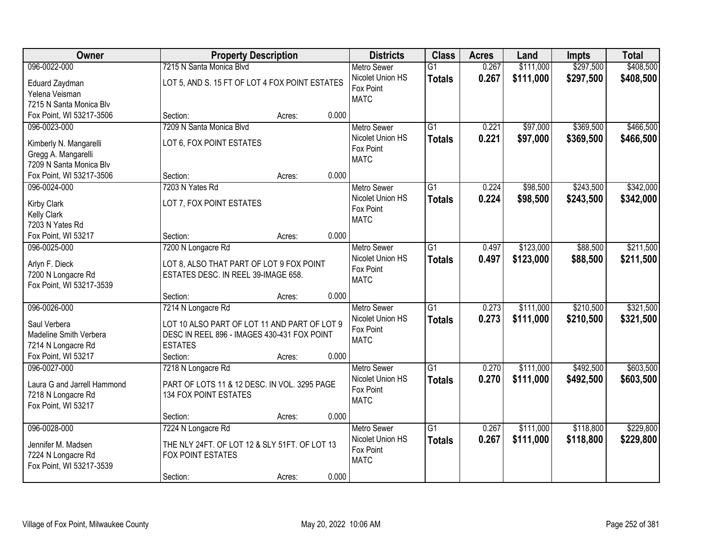| Owner                                    | <b>Property Description</b>                    |        |       | <b>Districts</b>              | <b>Class</b>    | <b>Acres</b> | Land      | <b>Impts</b> | <b>Total</b> |
|------------------------------------------|------------------------------------------------|--------|-------|-------------------------------|-----------------|--------------|-----------|--------------|--------------|
| 096-0022-000                             | 7215 N Santa Monica Blvd                       |        |       | <b>Metro Sewer</b>            | $\overline{G1}$ | 0.267        | \$111,000 | \$297,500    | \$408,500    |
| Eduard Zaydman                           | LOT 5, AND S. 15 FT OF LOT 4 FOX POINT ESTATES |        |       | Nicolet Union HS              | <b>Totals</b>   | 0.267        | \$111,000 | \$297,500    | \$408,500    |
| Yelena Veisman                           |                                                |        |       | Fox Point                     |                 |              |           |              |              |
| 7215 N Santa Monica Blv                  |                                                |        |       | <b>MATC</b>                   |                 |              |           |              |              |
| Fox Point, WI 53217-3506                 | Section:                                       | Acres: | 0.000 |                               |                 |              |           |              |              |
| 096-0023-000                             | 7209 N Santa Monica Blvd                       |        |       | <b>Metro Sewer</b>            | $\overline{G1}$ | 0.221        | \$97,000  | \$369,500    | \$466,500    |
| Kimberly N. Mangarelli                   | LOT 6, FOX POINT ESTATES                       |        |       | Nicolet Union HS              | <b>Totals</b>   | 0.221        | \$97,000  | \$369,500    | \$466,500    |
| Gregg A. Mangarelli                      |                                                |        |       | Fox Point                     |                 |              |           |              |              |
| 7209 N Santa Monica Blv                  |                                                |        |       | <b>MATC</b>                   |                 |              |           |              |              |
| Fox Point, WI 53217-3506                 | Section:                                       | Acres: | 0.000 |                               |                 |              |           |              |              |
| 096-0024-000                             | 7203 N Yates Rd                                |        |       | Metro Sewer                   | $\overline{G1}$ | 0.224        | \$98,500  | \$243,500    | \$342,000    |
|                                          |                                                |        |       | Nicolet Union HS              | <b>Totals</b>   | 0.224        | \$98,500  | \$243,500    | \$342,000    |
| <b>Kirby Clark</b>                       | LOT 7, FOX POINT ESTATES                       |        |       | Fox Point                     |                 |              |           |              |              |
| <b>Kelly Clark</b><br>7203 N Yates Rd    |                                                |        |       | <b>MATC</b>                   |                 |              |           |              |              |
| Fox Point, WI 53217                      | Section:                                       | Acres: | 0.000 |                               |                 |              |           |              |              |
| 096-0025-000                             | 7200 N Longacre Rd                             |        |       | <b>Metro Sewer</b>            | $\overline{G1}$ | 0.497        | \$123,000 | \$88,500     | \$211,500    |
|                                          |                                                |        |       | Nicolet Union HS              | <b>Totals</b>   | 0.497        | \$123,000 | \$88,500     | \$211,500    |
| Arlyn F. Dieck                           | LOT 8, ALSO THAT PART OF LOT 9 FOX POINT       |        |       | Fox Point                     |                 |              |           |              |              |
| 7200 N Longacre Rd                       | ESTATES DESC. IN REEL 39-IMAGE 658.            |        |       | <b>MATC</b>                   |                 |              |           |              |              |
| Fox Point, WI 53217-3539                 |                                                |        |       |                               |                 |              |           |              |              |
|                                          | Section:                                       | Acres: | 0.000 |                               |                 |              |           |              |              |
| 096-0026-000                             | 7214 N Longacre Rd                             |        |       | Metro Sewer                   | $\overline{G1}$ | 0.273        | \$111,000 | \$210,500    | \$321,500    |
| Saul Verbera                             | LOT 10 ALSO PART OF LOT 11 AND PART OF LOT 9   |        |       | Nicolet Union HS<br>Fox Point | <b>Totals</b>   | 0.273        | \$111,000 | \$210,500    | \$321,500    |
| Madeline Smith Verbera                   | DESC IN REEL 896 - IMAGES 430-431 FOX POINT    |        |       | <b>MATC</b>                   |                 |              |           |              |              |
| 7214 N Longacre Rd                       | <b>ESTATES</b>                                 |        |       |                               |                 |              |           |              |              |
| Fox Point, WI 53217                      | Section:                                       | Acres: | 0.000 |                               |                 |              |           |              |              |
| 096-0027-000                             | 7218 N Longacre Rd                             |        |       | <b>Metro Sewer</b>            | $\overline{G1}$ | 0.270        | \$111,000 | \$492,500    | \$603,500    |
| Laura G and Jarrell Hammond              | PART OF LOTS 11 & 12 DESC. IN VOL. 3295 PAGE   |        |       | Nicolet Union HS              | <b>Totals</b>   | 0.270        | \$111,000 | \$492,500    | \$603,500    |
| 7218 N Longacre Rd                       | 134 FOX POINT ESTATES                          |        |       | Fox Point                     |                 |              |           |              |              |
| Fox Point, WI 53217                      |                                                |        |       | <b>MATC</b>                   |                 |              |           |              |              |
|                                          | Section:                                       | Acres: | 0.000 |                               |                 |              |           |              |              |
| 096-0028-000                             | 7224 N Longacre Rd                             |        |       | <b>Metro Sewer</b>            | $\overline{G1}$ | 0.267        | \$111,000 | \$118,800    | \$229,800    |
|                                          | THE NLY 24FT. OF LOT 12 & SLY 51FT. OF LOT 13  |        |       | Nicolet Union HS              | <b>Totals</b>   | 0.267        | \$111,000 | \$118,800    | \$229,800    |
| Jennifer M. Madsen<br>7224 N Longacre Rd | <b>FOX POINT ESTATES</b>                       |        |       | Fox Point                     |                 |              |           |              |              |
| Fox Point, WI 53217-3539                 |                                                |        |       | <b>MATC</b>                   |                 |              |           |              |              |
|                                          | Section:                                       | Acres: | 0.000 |                               |                 |              |           |              |              |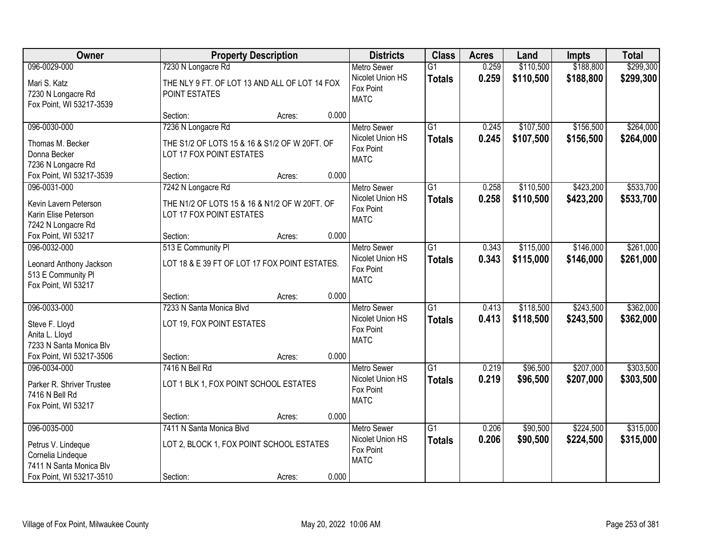| Owner                                                                                                          |                                                                                                 | <b>Property Description</b> |       | <b>Districts</b>                                                   | <b>Class</b>                     | <b>Acres</b>   | Land                   | Impts                  | <b>Total</b>           |
|----------------------------------------------------------------------------------------------------------------|-------------------------------------------------------------------------------------------------|-----------------------------|-------|--------------------------------------------------------------------|----------------------------------|----------------|------------------------|------------------------|------------------------|
| 096-0029-000                                                                                                   | 7230 N Longacre Rd                                                                              |                             |       | <b>Metro Sewer</b>                                                 | $\overline{G1}$                  | 0.259          | \$110,500              | \$188,800              | \$299,300              |
| Mari S. Katz<br>7230 N Longacre Rd<br>Fox Point, WI 53217-3539                                                 | THE NLY 9 FT. OF LOT 13 AND ALL OF LOT 14 FOX<br>POINT ESTATES                                  |                             |       | Nicolet Union HS<br>Fox Point<br><b>MATC</b>                       | <b>Totals</b>                    | 0.259          | \$110,500              | \$188,800              | \$299,300              |
|                                                                                                                | Section:                                                                                        | Acres:                      | 0.000 |                                                                    |                                  |                |                        |                        |                        |
| 096-0030-000<br>Thomas M. Becker<br>Donna Becker<br>7236 N Longacre Rd                                         | 7236 N Longacre Rd<br>THE S1/2 OF LOTS 15 & 16 & S1/2 OF W 20FT. OF<br>LOT 17 FOX POINT ESTATES |                             |       | <b>Metro Sewer</b><br>Nicolet Union HS<br>Fox Point<br><b>MATC</b> | $\overline{G1}$<br><b>Totals</b> | 0.245<br>0.245 | \$107,500<br>\$107,500 | \$156,500<br>\$156,500 | \$264,000<br>\$264,000 |
| Fox Point, WI 53217-3539                                                                                       | Section:                                                                                        | Acres:                      | 0.000 |                                                                    |                                  |                |                        |                        |                        |
| 096-0031-000<br>Kevin Lavern Peterson<br>Karin Elise Peterson<br>7242 N Longacre Rd                            | 7242 N Longacre Rd<br>THE N1/2 OF LOTS 15 & 16 & N1/2 OF W 20FT. OF<br>LOT 17 FOX POINT ESTATES |                             |       | <b>Metro Sewer</b><br>Nicolet Union HS<br>Fox Point<br><b>MATC</b> | G <sub>1</sub><br><b>Totals</b>  | 0.258<br>0.258 | \$110,500<br>\$110,500 | \$423,200<br>\$423,200 | \$533,700<br>\$533,700 |
| Fox Point, WI 53217                                                                                            | Section:                                                                                        | Acres:                      | 0.000 |                                                                    |                                  |                |                        |                        |                        |
| 096-0032-000<br>Leonard Anthony Jackson<br>513 E Community PI<br>Fox Point, WI 53217                           | 513 E Community PI<br>LOT 18 & E 39 FT OF LOT 17 FOX POINT ESTATES.                             |                             |       | <b>Metro Sewer</b><br>Nicolet Union HS<br>Fox Point<br><b>MATC</b> | $\overline{G1}$<br><b>Totals</b> | 0.343<br>0.343 | \$115,000<br>\$115,000 | \$146,000<br>\$146,000 | \$261,000<br>\$261,000 |
|                                                                                                                | Section:                                                                                        | Acres:                      | 0.000 |                                                                    |                                  |                |                        |                        |                        |
| 096-0033-000<br>Steve F. Lloyd<br>Anita L. Lloyd<br>7233 N Santa Monica Blv<br>Fox Point, WI 53217-3506        | 7233 N Santa Monica Blvd<br>LOT 19, FOX POINT ESTATES<br>Section:                               | Acres:                      | 0.000 | <b>Metro Sewer</b><br>Nicolet Union HS<br>Fox Point<br><b>MATC</b> | $\overline{G1}$<br><b>Totals</b> | 0.413<br>0.413 | \$118,500<br>\$118,500 | \$243,500<br>\$243,500 | \$362,000<br>\$362,000 |
| 096-0034-000                                                                                                   | 7416 N Bell Rd                                                                                  |                             |       | <b>Metro Sewer</b>                                                 | $\overline{G1}$                  | 0.219          | \$96,500               | \$207,000              | \$303,500              |
| Parker R. Shriver Trustee<br>7416 N Bell Rd<br>Fox Point, WI 53217                                             | LOT 1 BLK 1, FOX POINT SCHOOL ESTATES                                                           |                             |       | Nicolet Union HS<br>Fox Point<br><b>MATC</b>                       | <b>Totals</b>                    | 0.219          | \$96,500               | \$207,000              | \$303,500              |
|                                                                                                                | Section:                                                                                        | Acres:                      | 0.000 |                                                                    |                                  |                |                        |                        |                        |
| 096-0035-000<br>Petrus V. Lindeque<br>Cornelia Lindeque<br>7411 N Santa Monica Blv<br>Fox Point, WI 53217-3510 | 7411 N Santa Monica Blvd<br>LOT 2, BLOCK 1, FOX POINT SCHOOL ESTATES<br>Section:                | Acres:                      | 0.000 | <b>Metro Sewer</b><br>Nicolet Union HS<br>Fox Point<br><b>MATC</b> | $\overline{G1}$<br><b>Totals</b> | 0.206<br>0.206 | \$90,500<br>\$90,500   | \$224,500<br>\$224,500 | \$315,000<br>\$315,000 |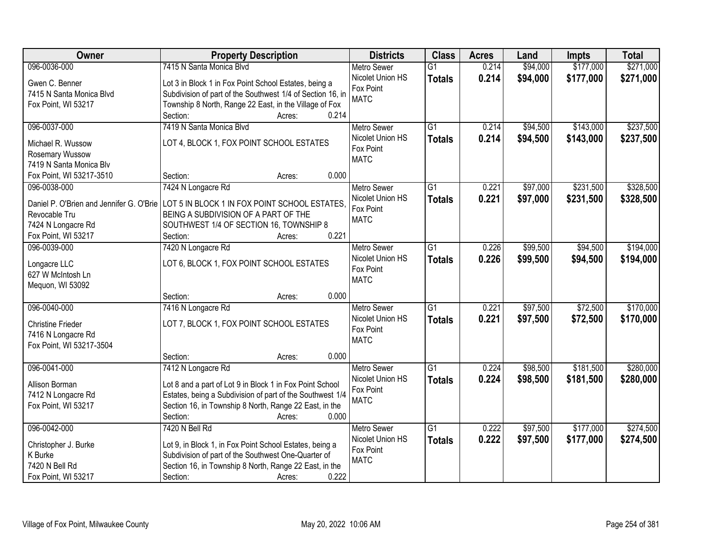| Owner                                    | <b>Property Description</b>                                | <b>Districts</b>              | <b>Class</b>    | <b>Acres</b> | Land     | Impts     | <b>Total</b> |
|------------------------------------------|------------------------------------------------------------|-------------------------------|-----------------|--------------|----------|-----------|--------------|
| 096-0036-000                             | 7415 N Santa Monica Blvd                                   | <b>Metro Sewer</b>            | $\overline{G1}$ | 0.214        | \$94,000 | \$177,000 | \$271,000    |
| Gwen C. Benner                           | Lot 3 in Block 1 in Fox Point School Estates, being a      | Nicolet Union HS              | <b>Totals</b>   | 0.214        | \$94,000 | \$177,000 | \$271,000    |
| 7415 N Santa Monica Blvd                 | Subdivision of part of the Southwest 1/4 of Section 16, in | Fox Point                     |                 |              |          |           |              |
| Fox Point, WI 53217                      | Township 8 North, Range 22 East, in the Village of Fox     | <b>MATC</b>                   |                 |              |          |           |              |
|                                          | 0.214<br>Section:<br>Acres:                                |                               |                 |              |          |           |              |
| 096-0037-000                             | 7419 N Santa Monica Blvd                                   | <b>Metro Sewer</b>            | $\overline{G1}$ | 0.214        | \$94,500 | \$143,000 | \$237,500    |
|                                          |                                                            | Nicolet Union HS              | <b>Totals</b>   | 0.214        | \$94,500 | \$143,000 | \$237,500    |
| Michael R. Wussow                        | LOT 4, BLOCK 1, FOX POINT SCHOOL ESTATES                   | Fox Point                     |                 |              |          |           |              |
| Rosemary Wussow                          |                                                            | <b>MATC</b>                   |                 |              |          |           |              |
| 7419 N Santa Monica Blv                  | 0.000<br>Section:                                          |                               |                 |              |          |           |              |
| Fox Point, WI 53217-3510<br>096-0038-000 | Acres:                                                     |                               | $\overline{G1}$ | 0.221        |          | \$231,500 | \$328,500    |
|                                          | 7424 N Longacre Rd                                         | Metro Sewer                   |                 |              | \$97,000 |           |              |
| Daniel P. O'Brien and Jennifer G. O'Brie | LOT 5 IN BLOCK 1 IN FOX POINT SCHOOL ESTATES.              | Nicolet Union HS<br>Fox Point | <b>Totals</b>   | 0.221        | \$97,000 | \$231,500 | \$328,500    |
| Revocable Tru                            | BEING A SUBDIVISION OF A PART OF THE                       | <b>MATC</b>                   |                 |              |          |           |              |
| 7424 N Longacre Rd                       | SOUTHWEST 1/4 OF SECTION 16, TOWNSHIP 8                    |                               |                 |              |          |           |              |
| Fox Point, WI 53217                      | 0.221<br>Section:<br>Acres:                                |                               |                 |              |          |           |              |
| 096-0039-000                             | 7420 N Longacre Rd                                         | <b>Metro Sewer</b>            | G1              | 0.226        | \$99,500 | \$94,500  | \$194,000    |
| Longacre LLC                             | LOT 6, BLOCK 1, FOX POINT SCHOOL ESTATES                   | Nicolet Union HS              | <b>Totals</b>   | 0.226        | \$99,500 | \$94,500  | \$194,000    |
| 627 W McIntosh Ln                        |                                                            | Fox Point                     |                 |              |          |           |              |
| Mequon, WI 53092                         |                                                            | <b>MATC</b>                   |                 |              |          |           |              |
|                                          | 0.000<br>Section:<br>Acres:                                |                               |                 |              |          |           |              |
| 096-0040-000                             | 7416 N Longacre Rd                                         | <b>Metro Sewer</b>            | $\overline{G1}$ | 0.221        | \$97,500 | \$72,500  | \$170,000    |
|                                          |                                                            | Nicolet Union HS              |                 | 0.221        | \$97,500 | \$72,500  | \$170,000    |
| <b>Christine Frieder</b>                 | LOT 7, BLOCK 1, FOX POINT SCHOOL ESTATES                   | Fox Point                     | <b>Totals</b>   |              |          |           |              |
| 7416 N Longacre Rd                       |                                                            | <b>MATC</b>                   |                 |              |          |           |              |
| Fox Point, WI 53217-3504                 |                                                            |                               |                 |              |          |           |              |
|                                          | 0.000<br>Section:<br>Acres:                                |                               |                 |              |          |           |              |
| 096-0041-000                             | 7412 N Longacre Rd                                         | Metro Sewer                   | G1              | 0.224        | \$98,500 | \$181,500 | \$280,000    |
| Allison Borman                           | Lot 8 and a part of Lot 9 in Block 1 in Fox Point School   | Nicolet Union HS              | <b>Totals</b>   | 0.224        | \$98,500 | \$181,500 | \$280,000    |
| 7412 N Longacre Rd                       | Estates, being a Subdivision of part of the Southwest 1/4  | Fox Point                     |                 |              |          |           |              |
| Fox Point, WI 53217                      | Section 16, in Township 8 North, Range 22 East, in the     | <b>MATC</b>                   |                 |              |          |           |              |
|                                          | 0.000<br>Section:<br>Acres:                                |                               |                 |              |          |           |              |
| 096-0042-000                             | 7420 N Bell Rd                                             | <b>Metro Sewer</b>            | $\overline{G1}$ | 0.222        | \$97,500 | \$177,000 | \$274,500    |
|                                          |                                                            | Nicolet Union HS              | <b>Totals</b>   | 0.222        | \$97,500 | \$177,000 | \$274,500    |
| Christopher J. Burke                     | Lot 9, in Block 1, in Fox Point School Estates, being a    | Fox Point                     |                 |              |          |           |              |
| K Burke                                  | Subdivision of part of the Southwest One-Quarter of        | <b>MATC</b>                   |                 |              |          |           |              |
| 7420 N Bell Rd                           | Section 16, in Township 8 North, Range 22 East, in the     |                               |                 |              |          |           |              |
| Fox Point, WI 53217                      | 0.222<br>Section:<br>Acres:                                |                               |                 |              |          |           |              |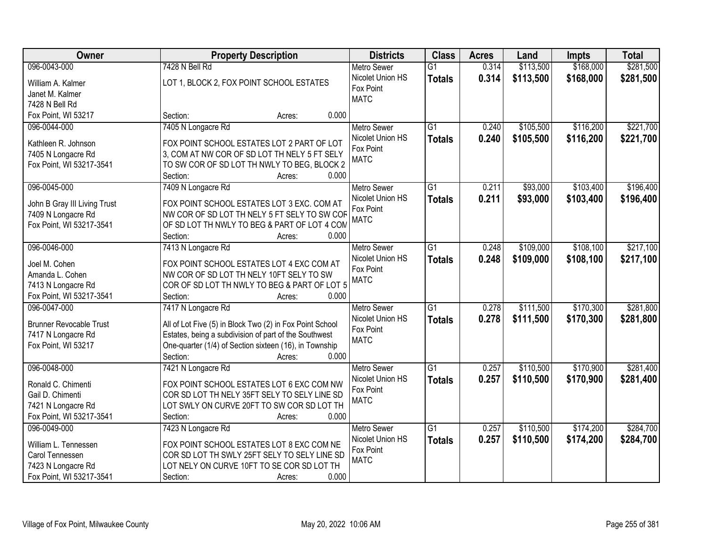| Owner                                          | <b>Property Description</b>                                                                                     | <b>Districts</b>   | <b>Class</b>    | <b>Acres</b> | Land      | Impts     | <b>Total</b> |
|------------------------------------------------|-----------------------------------------------------------------------------------------------------------------|--------------------|-----------------|--------------|-----------|-----------|--------------|
| 096-0043-000                                   | 7428 N Bell Rd                                                                                                  | <b>Metro Sewer</b> | $\overline{G1}$ | 0.314        | \$113,500 | \$168,000 | \$281,500    |
| William A. Kalmer                              | LOT 1, BLOCK 2, FOX POINT SCHOOL ESTATES                                                                        | Nicolet Union HS   | <b>Totals</b>   | 0.314        | \$113,500 | \$168,000 | \$281,500    |
| Janet M. Kalmer                                |                                                                                                                 | Fox Point          |                 |              |           |           |              |
| 7428 N Bell Rd                                 |                                                                                                                 | <b>MATC</b>        |                 |              |           |           |              |
| Fox Point, WI 53217                            | 0.000<br>Section:<br>Acres:                                                                                     |                    |                 |              |           |           |              |
| 096-0044-000                                   | 7405 N Longacre Rd                                                                                              | <b>Metro Sewer</b> | $\overline{G1}$ | 0.240        | \$105,500 | \$116,200 | \$221,700    |
|                                                |                                                                                                                 | Nicolet Union HS   | <b>Totals</b>   | 0.240        | \$105,500 | \$116,200 | \$221,700    |
| Kathleen R. Johnson                            | FOX POINT SCHOOL ESTATES LOT 2 PART OF LOT                                                                      | Fox Point          |                 |              |           |           |              |
| 7405 N Longacre Rd<br>Fox Point, WI 53217-3541 | 3, COM AT NW COR OF SD LOT TH NELY 5 FT SELY<br>TO SW COR OF SD LOT TH NWLY TO BEG, BLOCK 2                     | <b>MATC</b>        |                 |              |           |           |              |
|                                                | 0.000<br>Section:<br>Acres:                                                                                     |                    |                 |              |           |           |              |
| 096-0045-000                                   | 7409 N Longacre Rd                                                                                              | <b>Metro Sewer</b> | $\overline{G1}$ | 0.211        | \$93,000  | \$103,400 | \$196,400    |
|                                                |                                                                                                                 | Nicolet Union HS   | <b>Totals</b>   | 0.211        | \$93,000  | \$103,400 | \$196,400    |
| John B Gray III Living Trust                   | FOX POINT SCHOOL ESTATES LOT 3 EXC. COM AT                                                                      | Fox Point          |                 |              |           |           |              |
| 7409 N Longacre Rd                             | NW COR OF SD LOT TH NELY 5 FT SELY TO SW COF                                                                    | <b>MATC</b>        |                 |              |           |           |              |
| Fox Point, WI 53217-3541                       | OF SD LOT TH NWLY TO BEG & PART OF LOT 4 COM                                                                    |                    |                 |              |           |           |              |
|                                                | Section:<br>0.000<br>Acres:                                                                                     |                    |                 |              |           |           |              |
| 096-0046-000                                   | 7413 N Longacre Rd                                                                                              | <b>Metro Sewer</b> | $\overline{G1}$ | 0.248        | \$109,000 | \$108,100 | \$217,100    |
| Joel M. Cohen                                  | FOX POINT SCHOOL ESTATES LOT 4 EXC COM AT                                                                       | Nicolet Union HS   | <b>Totals</b>   | 0.248        | \$109,000 | \$108,100 | \$217,100    |
| Amanda L. Cohen                                | NW COR OF SD LOT TH NELY 10FT SELY TO SW                                                                        | Fox Point          |                 |              |           |           |              |
| 7413 N Longacre Rd                             | COR OF SD LOT TH NWLY TO BEG & PART OF LOT 5                                                                    | <b>MATC</b>        |                 |              |           |           |              |
| Fox Point, WI 53217-3541                       | Section:<br>0.000<br>Acres:                                                                                     |                    |                 |              |           |           |              |
| 096-0047-000                                   | 7417 N Longacre Rd                                                                                              | <b>Metro Sewer</b> | $\overline{G1}$ | 0.278        | \$111,500 | \$170,300 | \$281,800    |
|                                                |                                                                                                                 | Nicolet Union HS   | <b>Totals</b>   | 0.278        | \$111,500 | \$170,300 | \$281,800    |
| <b>Brunner Revocable Trust</b>                 | All of Lot Five (5) in Block Two (2) in Fox Point School                                                        | Fox Point          |                 |              |           |           |              |
| 7417 N Longacre Rd<br>Fox Point, WI 53217      | Estates, being a subdivision of part of the Southwest<br>One-quarter (1/4) of Section sixteen (16), in Township | <b>MATC</b>        |                 |              |           |           |              |
|                                                | Section:<br>0.000<br>Acres:                                                                                     |                    |                 |              |           |           |              |
| 096-0048-000                                   | 7421 N Longacre Rd                                                                                              | Metro Sewer        | $\overline{G1}$ | 0.257        | \$110,500 | \$170,900 | \$281,400    |
|                                                |                                                                                                                 | Nicolet Union HS   | <b>Totals</b>   | 0.257        | \$110,500 | \$170,900 | \$281,400    |
| Ronald C. Chimenti                             | FOX POINT SCHOOL ESTATES LOT 6 EXC COM NW                                                                       | Fox Point          |                 |              |           |           |              |
| Gail D. Chimenti                               | COR SD LOT TH NELY 35FT SELY TO SELY LINE SD                                                                    | <b>MATC</b>        |                 |              |           |           |              |
| 7421 N Longacre Rd                             | LOT SWLY ON CURVE 20FT TO SW COR SD LOT TH                                                                      |                    |                 |              |           |           |              |
| Fox Point, WI 53217-3541                       | 0.000<br>Section:<br>Acres:                                                                                     |                    |                 |              |           |           |              |
| 096-0049-000                                   | 7423 N Longacre Rd                                                                                              | <b>Metro Sewer</b> | $\overline{G1}$ | 0.257        | \$110,500 | \$174,200 | \$284,700    |
| William L. Tennessen                           | FOX POINT SCHOOL ESTATES LOT 8 EXC COM NE                                                                       | Nicolet Union HS   | <b>Totals</b>   | 0.257        | \$110,500 | \$174,200 | \$284,700    |
| Carol Tennessen                                | COR SD LOT TH SWLY 25FT SELY TO SELY LINE SD                                                                    | Fox Point          |                 |              |           |           |              |
| 7423 N Longacre Rd                             | LOT NELY ON CURVE 10FT TO SE COR SD LOT TH                                                                      | <b>MATC</b>        |                 |              |           |           |              |
| Fox Point, WI 53217-3541                       | 0.000<br>Section:<br>Acres:                                                                                     |                    |                 |              |           |           |              |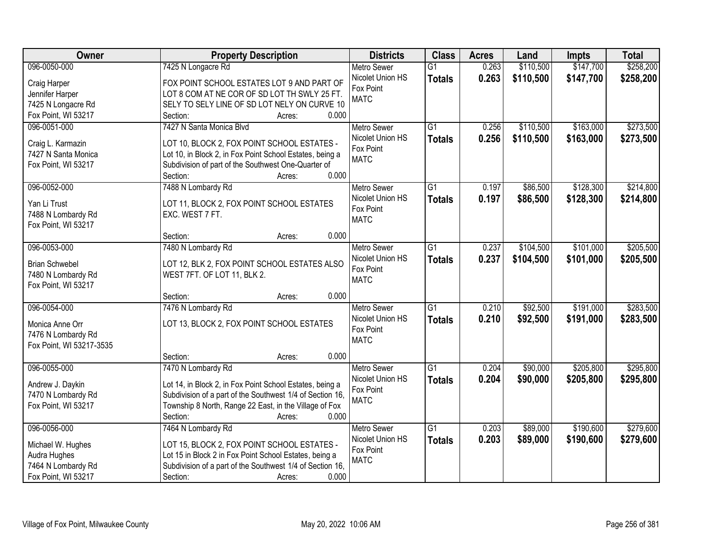| Owner                    | <b>Property Description</b>                                  | <b>Districts</b>         | <b>Class</b>    | <b>Acres</b> | Land      | Impts     | <b>Total</b> |
|--------------------------|--------------------------------------------------------------|--------------------------|-----------------|--------------|-----------|-----------|--------------|
| 096-0050-000             | 7425 N Longacre Rd                                           | <b>Metro Sewer</b>       | $\overline{G1}$ | 0.263        | \$110,500 | \$147,700 | \$258,200    |
| Craig Harper             | FOX POINT SCHOOL ESTATES LOT 9 AND PART OF                   | Nicolet Union HS         | <b>Totals</b>   | 0.263        | \$110,500 | \$147,700 | \$258,200    |
| Jennifer Harper          | LOT 8 COM AT NE COR OF SD LOT TH SWLY 25 FT.                 | Fox Point                |                 |              |           |           |              |
| 7425 N Longacre Rd       | SELY TO SELY LINE OF SD LOT NELY ON CURVE 10                 | <b>MATC</b>              |                 |              |           |           |              |
| Fox Point, WI 53217      | 0.000<br>Section:<br>Acres:                                  |                          |                 |              |           |           |              |
| 096-0051-000             | 7427 N Santa Monica Blvd                                     | <b>Metro Sewer</b>       | $\overline{G1}$ | 0.256        | \$110,500 | \$163,000 | \$273,500    |
|                          |                                                              | Nicolet Union HS         | <b>Totals</b>   | 0.256        | \$110,500 | \$163,000 | \$273,500    |
| Craig L. Karmazin        | LOT 10, BLOCK 2, FOX POINT SCHOOL ESTATES -                  | Fox Point                |                 |              |           |           |              |
| 7427 N Santa Monica      | Lot 10, in Block 2, in Fox Point School Estates, being a     | <b>MATC</b>              |                 |              |           |           |              |
| Fox Point, WI 53217      | Subdivision of part of the Southwest One-Quarter of<br>0.000 |                          |                 |              |           |           |              |
|                          | Section:<br>Acres:                                           |                          |                 |              |           |           |              |
| 096-0052-000             | 7488 N Lombardy Rd                                           | Metro Sewer              | $\overline{G1}$ | 0.197        | \$86,500  | \$128,300 | \$214,800    |
| Yan Li Trust             | LOT 11, BLOCK 2, FOX POINT SCHOOL ESTATES                    | Nicolet Union HS         | <b>Totals</b>   | 0.197        | \$86,500  | \$128,300 | \$214,800    |
| 7488 N Lombardy Rd       | EXC. WEST 7 FT.                                              | Fox Point<br><b>MATC</b> |                 |              |           |           |              |
| Fox Point, WI 53217      |                                                              |                          |                 |              |           |           |              |
|                          | 0.000<br>Section:<br>Acres:                                  |                          |                 |              |           |           |              |
| 096-0053-000             | 7480 N Lombardy Rd                                           | <b>Metro Sewer</b>       | G1              | 0.237        | \$104,500 | \$101,000 | \$205,500    |
| <b>Brian Schwebel</b>    | LOT 12, BLK 2, FOX POINT SCHOOL ESTATES ALSO                 | Nicolet Union HS         | <b>Totals</b>   | 0.237        | \$104,500 | \$101,000 | \$205,500    |
| 7480 N Lombardy Rd       | WEST 7FT. OF LOT 11, BLK 2.                                  | Fox Point                |                 |              |           |           |              |
| Fox Point, WI 53217      |                                                              | <b>MATC</b>              |                 |              |           |           |              |
|                          | 0.000<br>Section:<br>Acres:                                  |                          |                 |              |           |           |              |
| 096-0054-000             | 7476 N Lombardy Rd                                           | <b>Metro Sewer</b>       | $\overline{G1}$ | 0.210        | \$92,500  | \$191,000 | \$283,500    |
|                          |                                                              | Nicolet Union HS         |                 | 0.210        | \$92,500  | \$191,000 | \$283,500    |
| Monica Anne Orr          | LOT 13, BLOCK 2, FOX POINT SCHOOL ESTATES                    | Fox Point                | <b>Totals</b>   |              |           |           |              |
| 7476 N Lombardy Rd       |                                                              | <b>MATC</b>              |                 |              |           |           |              |
| Fox Point, WI 53217-3535 |                                                              |                          |                 |              |           |           |              |
|                          | 0.000<br>Section:<br>Acres:                                  |                          |                 |              |           |           |              |
| 096-0055-000             | 7470 N Lombardy Rd                                           | Metro Sewer              | G1              | 0.204        | \$90,000  | \$205,800 | \$295,800    |
| Andrew J. Daykin         | Lot 14, in Block 2, in Fox Point School Estates, being a     | Nicolet Union HS         | <b>Totals</b>   | 0.204        | \$90,000  | \$205,800 | \$295,800    |
| 7470 N Lombardy Rd       | Subdivision of a part of the Southwest 1/4 of Section 16,    | Fox Point                |                 |              |           |           |              |
| Fox Point, WI 53217      | Township 8 North, Range 22 East, in the Village of Fox       | <b>MATC</b>              |                 |              |           |           |              |
|                          | 0.000<br>Section:<br>Acres:                                  |                          |                 |              |           |           |              |
| 096-0056-000             | 7464 N Lombardy Rd                                           | <b>Metro Sewer</b>       | $\overline{G1}$ | 0.203        | \$89,000  | \$190,600 | \$279,600    |
|                          |                                                              | Nicolet Union HS         | <b>Totals</b>   | 0.203        | \$89,000  | \$190,600 | \$279,600    |
| Michael W. Hughes        | LOT 15, BLOCK 2, FOX POINT SCHOOL ESTATES -                  | Fox Point                |                 |              |           |           |              |
| Audra Hughes             | Lot 15 in Block 2 in Fox Point School Estates, being a       | <b>MATC</b>              |                 |              |           |           |              |
| 7464 N Lombardy Rd       | Subdivision of a part of the Southwest 1/4 of Section 16,    |                          |                 |              |           |           |              |
| Fox Point, WI 53217      | 0.000<br>Section:<br>Acres:                                  |                          |                 |              |           |           |              |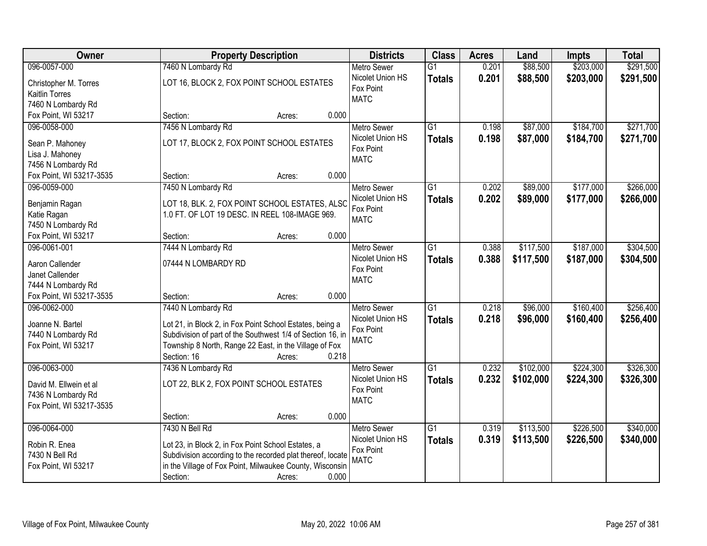| \$203,000<br>\$291,500<br>096-0057-000<br>7460 N Lombardy Rd<br>\$88,500<br>$\overline{G1}$<br>0.201<br><b>Metro Sewer</b><br>Nicolet Union HS<br>0.201<br>\$88,500<br>\$203,000<br>\$291,500<br><b>Totals</b><br>LOT 16, BLOCK 2, FOX POINT SCHOOL ESTATES<br>Christopher M. Torres<br>Fox Point<br><b>Kaitlin Torres</b><br><b>MATC</b><br>7460 N Lombardy Rd<br>0.000<br>Fox Point, WI 53217<br>Section:<br>Acres:<br>$\overline{G1}$<br>\$87,000<br>\$184,700<br>096-0058-000<br>7456 N Lombardy Rd<br>0.198<br><b>Metro Sewer</b><br>Nicolet Union HS<br>0.198<br>\$87,000<br>\$184,700<br><b>Totals</b><br>LOT 17, BLOCK 2, FOX POINT SCHOOL ESTATES<br>Sean P. Mahoney<br>Fox Point<br>Lisa J. Mahoney<br><b>MATC</b><br>7456 N Lombardy Rd<br>0.000<br>Fox Point, WI 53217-3535<br>Section:<br>Acres:<br>096-0059-000<br>7450 N Lombardy Rd<br>G1<br>0.202<br>\$89,000<br>\$177,000<br>Metro Sewer<br>Nicolet Union HS<br>\$89,000<br>0.202<br>\$177,000<br><b>Totals</b><br>LOT 18, BLK. 2, FOX POINT SCHOOL ESTATES, ALSC<br>Benjamin Ragan<br>Fox Point<br>1.0 FT. OF LOT 19 DESC. IN REEL 108-IMAGE 969.<br>Katie Ragan<br><b>MATC</b><br>7450 N Lombardy Rd<br>Fox Point, WI 53217<br>0.000<br>Section:<br>Acres:<br>096-0061-001<br>\$117,500<br>\$187,000<br>7444 N Lombardy Rd<br><b>Metro Sewer</b><br>G1<br>0.388<br>Nicolet Union HS<br>0.388<br>\$117,500<br>\$187,000<br><b>Totals</b><br>Aaron Callender<br>07444 N LOMBARDY RD<br>Fox Point<br>Janet Callender<br><b>MATC</b><br>7444 N Lombardy Rd<br>Fox Point, WI 53217-3535<br>0.000<br>Section:<br>Acres:<br>\$160,400<br>096-0062-000<br>7440 N Lombardy Rd<br>$\overline{G1}$<br>0.218<br>\$96,000<br><b>Metro Sewer</b><br>0.218<br>\$96,000<br>\$160,400<br>Nicolet Union HS<br><b>Totals</b><br>Joanne N. Bartel<br>Lot 21, in Block 2, in Fox Point School Estates, being a<br>Fox Point<br>Subdivision of part of the Southwest 1/4 of Section 16, in<br>7440 N Lombardy Rd<br><b>MATC</b><br>Township 8 North, Range 22 East, in the Village of Fox<br>Fox Point, WI 53217<br>Section: 16<br>0.218<br>Acres:<br>$\overline{G1}$<br>\$224,300<br>096-0063-000<br>7436 N Lombardy Rd<br>0.232<br>\$102,000<br><b>Metro Sewer</b><br>Nicolet Union HS<br>0.232<br>\$102,000<br>\$224,300<br><b>Totals</b><br>LOT 22, BLK 2, FOX POINT SCHOOL ESTATES<br>David M. Ellwein et al<br>Fox Point<br>7436 N Lombardy Rd | Owner | <b>Property Description</b> | <b>Districts</b> | <b>Class</b> | <b>Acres</b> | Land | Impts | <b>Total</b> |
|----------------------------------------------------------------------------------------------------------------------------------------------------------------------------------------------------------------------------------------------------------------------------------------------------------------------------------------------------------------------------------------------------------------------------------------------------------------------------------------------------------------------------------------------------------------------------------------------------------------------------------------------------------------------------------------------------------------------------------------------------------------------------------------------------------------------------------------------------------------------------------------------------------------------------------------------------------------------------------------------------------------------------------------------------------------------------------------------------------------------------------------------------------------------------------------------------------------------------------------------------------------------------------------------------------------------------------------------------------------------------------------------------------------------------------------------------------------------------------------------------------------------------------------------------------------------------------------------------------------------------------------------------------------------------------------------------------------------------------------------------------------------------------------------------------------------------------------------------------------------------------------------------------------------------------------------------------------------------------------------------------------------------------------------------------------------------------------------------------------------------------------------------------------------------------------------------------------------------------------------------------------------------------------------------------------------------------------------------------------------------------------------------|-------|-----------------------------|------------------|--------------|--------------|------|-------|--------------|
|                                                                                                                                                                                                                                                                                                                                                                                                                                                                                                                                                                                                                                                                                                                                                                                                                                                                                                                                                                                                                                                                                                                                                                                                                                                                                                                                                                                                                                                                                                                                                                                                                                                                                                                                                                                                                                                                                                                                                                                                                                                                                                                                                                                                                                                                                                                                                                                                    |       |                             |                  |              |              |      |       |              |
|                                                                                                                                                                                                                                                                                                                                                                                                                                                                                                                                                                                                                                                                                                                                                                                                                                                                                                                                                                                                                                                                                                                                                                                                                                                                                                                                                                                                                                                                                                                                                                                                                                                                                                                                                                                                                                                                                                                                                                                                                                                                                                                                                                                                                                                                                                                                                                                                    |       |                             |                  |              |              |      |       |              |
| \$271,700<br>\$271,700<br>\$304,500<br>\$304,500<br>\$256,400<br>\$326,300                                                                                                                                                                                                                                                                                                                                                                                                                                                                                                                                                                                                                                                                                                                                                                                                                                                                                                                                                                                                                                                                                                                                                                                                                                                                                                                                                                                                                                                                                                                                                                                                                                                                                                                                                                                                                                                                                                                                                                                                                                                                                                                                                                                                                                                                                                                         |       |                             |                  |              |              |      |       |              |
|                                                                                                                                                                                                                                                                                                                                                                                                                                                                                                                                                                                                                                                                                                                                                                                                                                                                                                                                                                                                                                                                                                                                                                                                                                                                                                                                                                                                                                                                                                                                                                                                                                                                                                                                                                                                                                                                                                                                                                                                                                                                                                                                                                                                                                                                                                                                                                                                    |       |                             |                  |              |              |      |       |              |
|                                                                                                                                                                                                                                                                                                                                                                                                                                                                                                                                                                                                                                                                                                                                                                                                                                                                                                                                                                                                                                                                                                                                                                                                                                                                                                                                                                                                                                                                                                                                                                                                                                                                                                                                                                                                                                                                                                                                                                                                                                                                                                                                                                                                                                                                                                                                                                                                    |       |                             |                  |              |              |      |       |              |
|                                                                                                                                                                                                                                                                                                                                                                                                                                                                                                                                                                                                                                                                                                                                                                                                                                                                                                                                                                                                                                                                                                                                                                                                                                                                                                                                                                                                                                                                                                                                                                                                                                                                                                                                                                                                                                                                                                                                                                                                                                                                                                                                                                                                                                                                                                                                                                                                    |       |                             |                  |              |              |      |       |              |
|                                                                                                                                                                                                                                                                                                                                                                                                                                                                                                                                                                                                                                                                                                                                                                                                                                                                                                                                                                                                                                                                                                                                                                                                                                                                                                                                                                                                                                                                                                                                                                                                                                                                                                                                                                                                                                                                                                                                                                                                                                                                                                                                                                                                                                                                                                                                                                                                    |       |                             |                  |              |              |      |       |              |
|                                                                                                                                                                                                                                                                                                                                                                                                                                                                                                                                                                                                                                                                                                                                                                                                                                                                                                                                                                                                                                                                                                                                                                                                                                                                                                                                                                                                                                                                                                                                                                                                                                                                                                                                                                                                                                                                                                                                                                                                                                                                                                                                                                                                                                                                                                                                                                                                    |       |                             |                  |              |              |      |       |              |
|                                                                                                                                                                                                                                                                                                                                                                                                                                                                                                                                                                                                                                                                                                                                                                                                                                                                                                                                                                                                                                                                                                                                                                                                                                                                                                                                                                                                                                                                                                                                                                                                                                                                                                                                                                                                                                                                                                                                                                                                                                                                                                                                                                                                                                                                                                                                                                                                    |       |                             |                  |              |              |      |       |              |
| \$266,000<br>\$266,000<br>\$256,400<br>\$326,300                                                                                                                                                                                                                                                                                                                                                                                                                                                                                                                                                                                                                                                                                                                                                                                                                                                                                                                                                                                                                                                                                                                                                                                                                                                                                                                                                                                                                                                                                                                                                                                                                                                                                                                                                                                                                                                                                                                                                                                                                                                                                                                                                                                                                                                                                                                                                   |       |                             |                  |              |              |      |       |              |
|                                                                                                                                                                                                                                                                                                                                                                                                                                                                                                                                                                                                                                                                                                                                                                                                                                                                                                                                                                                                                                                                                                                                                                                                                                                                                                                                                                                                                                                                                                                                                                                                                                                                                                                                                                                                                                                                                                                                                                                                                                                                                                                                                                                                                                                                                                                                                                                                    |       |                             |                  |              |              |      |       |              |
|                                                                                                                                                                                                                                                                                                                                                                                                                                                                                                                                                                                                                                                                                                                                                                                                                                                                                                                                                                                                                                                                                                                                                                                                                                                                                                                                                                                                                                                                                                                                                                                                                                                                                                                                                                                                                                                                                                                                                                                                                                                                                                                                                                                                                                                                                                                                                                                                    |       |                             |                  |              |              |      |       |              |
|                                                                                                                                                                                                                                                                                                                                                                                                                                                                                                                                                                                                                                                                                                                                                                                                                                                                                                                                                                                                                                                                                                                                                                                                                                                                                                                                                                                                                                                                                                                                                                                                                                                                                                                                                                                                                                                                                                                                                                                                                                                                                                                                                                                                                                                                                                                                                                                                    |       |                             |                  |              |              |      |       |              |
|                                                                                                                                                                                                                                                                                                                                                                                                                                                                                                                                                                                                                                                                                                                                                                                                                                                                                                                                                                                                                                                                                                                                                                                                                                                                                                                                                                                                                                                                                                                                                                                                                                                                                                                                                                                                                                                                                                                                                                                                                                                                                                                                                                                                                                                                                                                                                                                                    |       |                             |                  |              |              |      |       |              |
|                                                                                                                                                                                                                                                                                                                                                                                                                                                                                                                                                                                                                                                                                                                                                                                                                                                                                                                                                                                                                                                                                                                                                                                                                                                                                                                                                                                                                                                                                                                                                                                                                                                                                                                                                                                                                                                                                                                                                                                                                                                                                                                                                                                                                                                                                                                                                                                                    |       |                             |                  |              |              |      |       |              |
|                                                                                                                                                                                                                                                                                                                                                                                                                                                                                                                                                                                                                                                                                                                                                                                                                                                                                                                                                                                                                                                                                                                                                                                                                                                                                                                                                                                                                                                                                                                                                                                                                                                                                                                                                                                                                                                                                                                                                                                                                                                                                                                                                                                                                                                                                                                                                                                                    |       |                             |                  |              |              |      |       |              |
|                                                                                                                                                                                                                                                                                                                                                                                                                                                                                                                                                                                                                                                                                                                                                                                                                                                                                                                                                                                                                                                                                                                                                                                                                                                                                                                                                                                                                                                                                                                                                                                                                                                                                                                                                                                                                                                                                                                                                                                                                                                                                                                                                                                                                                                                                                                                                                                                    |       |                             |                  |              |              |      |       |              |
|                                                                                                                                                                                                                                                                                                                                                                                                                                                                                                                                                                                                                                                                                                                                                                                                                                                                                                                                                                                                                                                                                                                                                                                                                                                                                                                                                                                                                                                                                                                                                                                                                                                                                                                                                                                                                                                                                                                                                                                                                                                                                                                                                                                                                                                                                                                                                                                                    |       |                             |                  |              |              |      |       |              |
|                                                                                                                                                                                                                                                                                                                                                                                                                                                                                                                                                                                                                                                                                                                                                                                                                                                                                                                                                                                                                                                                                                                                                                                                                                                                                                                                                                                                                                                                                                                                                                                                                                                                                                                                                                                                                                                                                                                                                                                                                                                                                                                                                                                                                                                                                                                                                                                                    |       |                             |                  |              |              |      |       |              |
|                                                                                                                                                                                                                                                                                                                                                                                                                                                                                                                                                                                                                                                                                                                                                                                                                                                                                                                                                                                                                                                                                                                                                                                                                                                                                                                                                                                                                                                                                                                                                                                                                                                                                                                                                                                                                                                                                                                                                                                                                                                                                                                                                                                                                                                                                                                                                                                                    |       |                             |                  |              |              |      |       |              |
|                                                                                                                                                                                                                                                                                                                                                                                                                                                                                                                                                                                                                                                                                                                                                                                                                                                                                                                                                                                                                                                                                                                                                                                                                                                                                                                                                                                                                                                                                                                                                                                                                                                                                                                                                                                                                                                                                                                                                                                                                                                                                                                                                                                                                                                                                                                                                                                                    |       |                             |                  |              |              |      |       |              |
|                                                                                                                                                                                                                                                                                                                                                                                                                                                                                                                                                                                                                                                                                                                                                                                                                                                                                                                                                                                                                                                                                                                                                                                                                                                                                                                                                                                                                                                                                                                                                                                                                                                                                                                                                                                                                                                                                                                                                                                                                                                                                                                                                                                                                                                                                                                                                                                                    |       |                             |                  |              |              |      |       |              |
|                                                                                                                                                                                                                                                                                                                                                                                                                                                                                                                                                                                                                                                                                                                                                                                                                                                                                                                                                                                                                                                                                                                                                                                                                                                                                                                                                                                                                                                                                                                                                                                                                                                                                                                                                                                                                                                                                                                                                                                                                                                                                                                                                                                                                                                                                                                                                                                                    |       |                             |                  |              |              |      |       |              |
|                                                                                                                                                                                                                                                                                                                                                                                                                                                                                                                                                                                                                                                                                                                                                                                                                                                                                                                                                                                                                                                                                                                                                                                                                                                                                                                                                                                                                                                                                                                                                                                                                                                                                                                                                                                                                                                                                                                                                                                                                                                                                                                                                                                                                                                                                                                                                                                                    |       |                             |                  |              |              |      |       |              |
|                                                                                                                                                                                                                                                                                                                                                                                                                                                                                                                                                                                                                                                                                                                                                                                                                                                                                                                                                                                                                                                                                                                                                                                                                                                                                                                                                                                                                                                                                                                                                                                                                                                                                                                                                                                                                                                                                                                                                                                                                                                                                                                                                                                                                                                                                                                                                                                                    |       |                             |                  |              |              |      |       |              |
|                                                                                                                                                                                                                                                                                                                                                                                                                                                                                                                                                                                                                                                                                                                                                                                                                                                                                                                                                                                                                                                                                                                                                                                                                                                                                                                                                                                                                                                                                                                                                                                                                                                                                                                                                                                                                                                                                                                                                                                                                                                                                                                                                                                                                                                                                                                                                                                                    |       |                             |                  |              |              |      |       |              |
|                                                                                                                                                                                                                                                                                                                                                                                                                                                                                                                                                                                                                                                                                                                                                                                                                                                                                                                                                                                                                                                                                                                                                                                                                                                                                                                                                                                                                                                                                                                                                                                                                                                                                                                                                                                                                                                                                                                                                                                                                                                                                                                                                                                                                                                                                                                                                                                                    |       |                             |                  |              |              |      |       |              |
|                                                                                                                                                                                                                                                                                                                                                                                                                                                                                                                                                                                                                                                                                                                                                                                                                                                                                                                                                                                                                                                                                                                                                                                                                                                                                                                                                                                                                                                                                                                                                                                                                                                                                                                                                                                                                                                                                                                                                                                                                                                                                                                                                                                                                                                                                                                                                                                                    |       |                             |                  |              |              |      |       |              |
|                                                                                                                                                                                                                                                                                                                                                                                                                                                                                                                                                                                                                                                                                                                                                                                                                                                                                                                                                                                                                                                                                                                                                                                                                                                                                                                                                                                                                                                                                                                                                                                                                                                                                                                                                                                                                                                                                                                                                                                                                                                                                                                                                                                                                                                                                                                                                                                                    |       |                             |                  |              |              |      |       |              |
|                                                                                                                                                                                                                                                                                                                                                                                                                                                                                                                                                                                                                                                                                                                                                                                                                                                                                                                                                                                                                                                                                                                                                                                                                                                                                                                                                                                                                                                                                                                                                                                                                                                                                                                                                                                                                                                                                                                                                                                                                                                                                                                                                                                                                                                                                                                                                                                                    |       |                             |                  |              |              |      |       |              |
|                                                                                                                                                                                                                                                                                                                                                                                                                                                                                                                                                                                                                                                                                                                                                                                                                                                                                                                                                                                                                                                                                                                                                                                                                                                                                                                                                                                                                                                                                                                                                                                                                                                                                                                                                                                                                                                                                                                                                                                                                                                                                                                                                                                                                                                                                                                                                                                                    |       |                             | <b>MATC</b>      |              |              |      |       |              |
| Fox Point, WI 53217-3535                                                                                                                                                                                                                                                                                                                                                                                                                                                                                                                                                                                                                                                                                                                                                                                                                                                                                                                                                                                                                                                                                                                                                                                                                                                                                                                                                                                                                                                                                                                                                                                                                                                                                                                                                                                                                                                                                                                                                                                                                                                                                                                                                                                                                                                                                                                                                                           |       |                             |                  |              |              |      |       |              |
| 0.000<br>Section:<br>Acres:                                                                                                                                                                                                                                                                                                                                                                                                                                                                                                                                                                                                                                                                                                                                                                                                                                                                                                                                                                                                                                                                                                                                                                                                                                                                                                                                                                                                                                                                                                                                                                                                                                                                                                                                                                                                                                                                                                                                                                                                                                                                                                                                                                                                                                                                                                                                                                        |       |                             |                  |              |              |      |       |              |
| 096-0064-000<br>7430 N Bell Rd<br>\$113,500<br>\$226,500<br>\$340,000<br>$\overline{G1}$<br>0.319<br><b>Metro Sewer</b>                                                                                                                                                                                                                                                                                                                                                                                                                                                                                                                                                                                                                                                                                                                                                                                                                                                                                                                                                                                                                                                                                                                                                                                                                                                                                                                                                                                                                                                                                                                                                                                                                                                                                                                                                                                                                                                                                                                                                                                                                                                                                                                                                                                                                                                                            |       |                             |                  |              |              |      |       |              |
| Nicolet Union HS<br>0.319<br>\$226,500<br>\$340,000<br>\$113,500<br><b>Totals</b><br>Robin R. Enea<br>Lot 23, in Block 2, in Fox Point School Estates, a                                                                                                                                                                                                                                                                                                                                                                                                                                                                                                                                                                                                                                                                                                                                                                                                                                                                                                                                                                                                                                                                                                                                                                                                                                                                                                                                                                                                                                                                                                                                                                                                                                                                                                                                                                                                                                                                                                                                                                                                                                                                                                                                                                                                                                           |       |                             |                  |              |              |      |       |              |
| Fox Point<br>7430 N Bell Rd<br>Subdivision according to the recorded plat thereof, locate                                                                                                                                                                                                                                                                                                                                                                                                                                                                                                                                                                                                                                                                                                                                                                                                                                                                                                                                                                                                                                                                                                                                                                                                                                                                                                                                                                                                                                                                                                                                                                                                                                                                                                                                                                                                                                                                                                                                                                                                                                                                                                                                                                                                                                                                                                          |       |                             |                  |              |              |      |       |              |
| <b>MATC</b><br>in the Village of Fox Point, Milwaukee County, Wisconsin<br>Fox Point, WI 53217                                                                                                                                                                                                                                                                                                                                                                                                                                                                                                                                                                                                                                                                                                                                                                                                                                                                                                                                                                                                                                                                                                                                                                                                                                                                                                                                                                                                                                                                                                                                                                                                                                                                                                                                                                                                                                                                                                                                                                                                                                                                                                                                                                                                                                                                                                     |       |                             |                  |              |              |      |       |              |
| 0.000<br>Section:<br>Acres:                                                                                                                                                                                                                                                                                                                                                                                                                                                                                                                                                                                                                                                                                                                                                                                                                                                                                                                                                                                                                                                                                                                                                                                                                                                                                                                                                                                                                                                                                                                                                                                                                                                                                                                                                                                                                                                                                                                                                                                                                                                                                                                                                                                                                                                                                                                                                                        |       |                             |                  |              |              |      |       |              |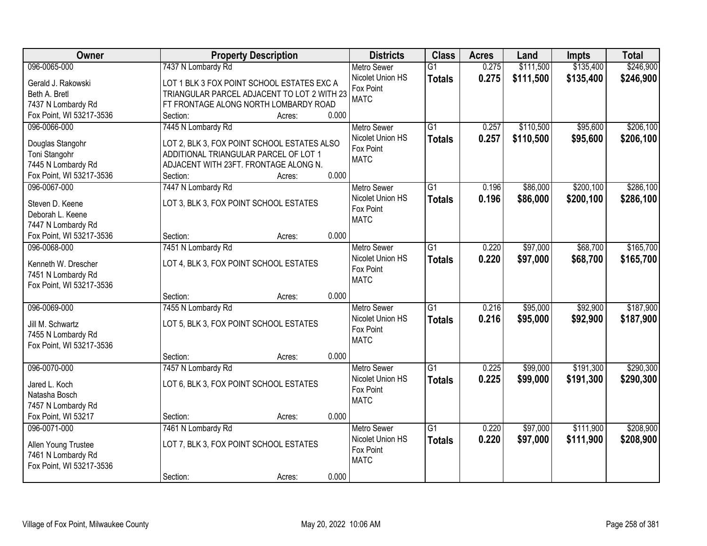| Owner                    |                                             | <b>Property Description</b> |       | <b>Districts</b>   | <b>Class</b>    | <b>Acres</b> | Land      | Impts     | <b>Total</b> |
|--------------------------|---------------------------------------------|-----------------------------|-------|--------------------|-----------------|--------------|-----------|-----------|--------------|
| 096-0065-000             | 7437 N Lombardy Rd                          |                             |       | <b>Metro Sewer</b> | $\overline{G1}$ | 0.275        | \$111,500 | \$135,400 | \$246,900    |
| Gerald J. Rakowski       | LOT 1 BLK 3 FOX POINT SCHOOL ESTATES EXC A  |                             |       | Nicolet Union HS   | <b>Totals</b>   | 0.275        | \$111,500 | \$135,400 | \$246,900    |
| Beth A. Bretl            | TRIANGULAR PARCEL ADJACENT TO LOT 2 WITH 23 |                             |       | Fox Point          |                 |              |           |           |              |
| 7437 N Lombardy Rd       | FT FRONTAGE ALONG NORTH LOMBARDY ROAD       |                             |       | <b>MATC</b>        |                 |              |           |           |              |
| Fox Point, WI 53217-3536 | Section:                                    | Acres:                      | 0.000 |                    |                 |              |           |           |              |
| 096-0066-000             | 7445 N Lombardy Rd                          |                             |       | <b>Metro Sewer</b> | $\overline{G1}$ | 0.257        | \$110,500 | \$95,600  | \$206,100    |
|                          |                                             |                             |       | Nicolet Union HS   | <b>Totals</b>   | 0.257        | \$110,500 | \$95,600  | \$206,100    |
| Douglas Stangohr         | LOT 2, BLK 3, FOX POINT SCHOOL ESTATES ALSO |                             |       | Fox Point          |                 |              |           |           |              |
| Toni Stangohr            | ADDITIONAL TRIANGULAR PARCEL OF LOT 1       |                             |       | <b>MATC</b>        |                 |              |           |           |              |
| 7445 N Lombardy Rd       | ADJACENT WITH 23FT. FRONTAGE ALONG N.       |                             |       |                    |                 |              |           |           |              |
| Fox Point, WI 53217-3536 | Section:                                    | Acres:                      | 0.000 |                    |                 |              |           |           |              |
| 096-0067-000             | 7447 N Lombardy Rd                          |                             |       | Metro Sewer        | G1              | 0.196        | \$86,000  | \$200,100 | \$286,100    |
| Steven D. Keene          | LOT 3, BLK 3, FOX POINT SCHOOL ESTATES      |                             |       | Nicolet Union HS   | <b>Totals</b>   | 0.196        | \$86,000  | \$200,100 | \$286,100    |
| Deborah L. Keene         |                                             |                             |       | Fox Point          |                 |              |           |           |              |
| 7447 N Lombardy Rd       |                                             |                             |       | <b>MATC</b>        |                 |              |           |           |              |
| Fox Point, WI 53217-3536 | Section:                                    | Acres:                      | 0.000 |                    |                 |              |           |           |              |
| 096-0068-000             | 7451 N Lombardy Rd                          |                             |       | <b>Metro Sewer</b> | G1              | 0.220        | \$97,000  | \$68,700  | \$165,700    |
|                          |                                             |                             |       | Nicolet Union HS   | <b>Totals</b>   | 0.220        | \$97,000  | \$68,700  | \$165,700    |
| Kenneth W. Drescher      | LOT 4, BLK 3, FOX POINT SCHOOL ESTATES      |                             |       | Fox Point          |                 |              |           |           |              |
| 7451 N Lombardy Rd       |                                             |                             |       | <b>MATC</b>        |                 |              |           |           |              |
| Fox Point, WI 53217-3536 |                                             |                             |       |                    |                 |              |           |           |              |
|                          | Section:                                    | Acres:                      | 0.000 |                    |                 |              |           |           |              |
| 096-0069-000             | 7455 N Lombardy Rd                          |                             |       | Metro Sewer        | $\overline{G1}$ | 0.216        | \$95,000  | \$92,900  | \$187,900    |
| Jill M. Schwartz         | LOT 5, BLK 3, FOX POINT SCHOOL ESTATES      |                             |       | Nicolet Union HS   | <b>Totals</b>   | 0.216        | \$95,000  | \$92,900  | \$187,900    |
| 7455 N Lombardy Rd       |                                             |                             |       | Fox Point          |                 |              |           |           |              |
| Fox Point, WI 53217-3536 |                                             |                             |       | <b>MATC</b>        |                 |              |           |           |              |
|                          | Section:                                    | Acres:                      | 0.000 |                    |                 |              |           |           |              |
| 096-0070-000             | 7457 N Lombardy Rd                          |                             |       | <b>Metro Sewer</b> | $\overline{G1}$ | 0.225        | \$99,000  | \$191,300 | \$290,300    |
|                          |                                             |                             |       | Nicolet Union HS   | <b>Totals</b>   | 0.225        | \$99,000  | \$191,300 | \$290,300    |
| Jared L. Koch            | LOT 6, BLK 3, FOX POINT SCHOOL ESTATES      |                             |       | Fox Point          |                 |              |           |           |              |
| Natasha Bosch            |                                             |                             |       | <b>MATC</b>        |                 |              |           |           |              |
| 7457 N Lombardy Rd       |                                             |                             |       |                    |                 |              |           |           |              |
| Fox Point, WI 53217      | Section:                                    | Acres:                      | 0.000 |                    |                 |              |           |           |              |
| 096-0071-000             | 7461 N Lombardy Rd                          |                             |       | <b>Metro Sewer</b> | $\overline{G1}$ | 0.220        | \$97,000  | \$111,900 | \$208,900    |
| Allen Young Trustee      | LOT 7, BLK 3, FOX POINT SCHOOL ESTATES      |                             |       | Nicolet Union HS   | <b>Totals</b>   | 0.220        | \$97,000  | \$111,900 | \$208,900    |
| 7461 N Lombardy Rd       |                                             |                             |       | Fox Point          |                 |              |           |           |              |
| Fox Point, WI 53217-3536 |                                             |                             |       | <b>MATC</b>        |                 |              |           |           |              |
|                          | Section:                                    | Acres:                      | 0.000 |                    |                 |              |           |           |              |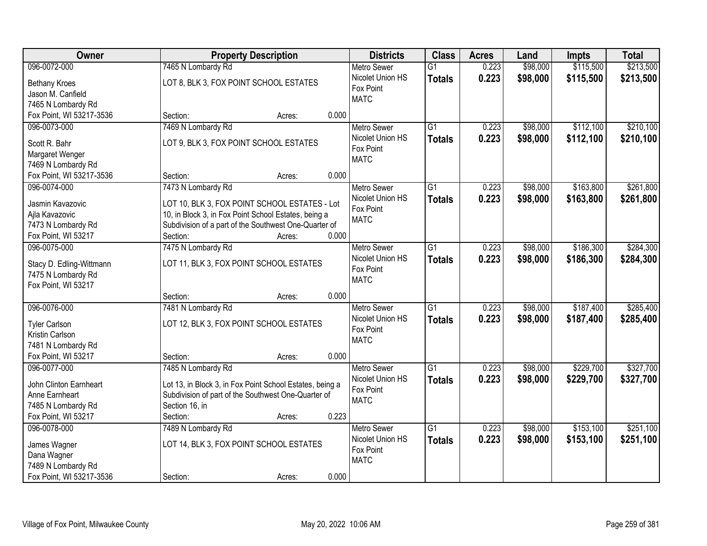| Owner                    | <b>Property Description</b>                              | <b>Districts</b>   | <b>Class</b>    | <b>Acres</b> | Land     | Impts     | <b>Total</b> |
|--------------------------|----------------------------------------------------------|--------------------|-----------------|--------------|----------|-----------|--------------|
| 096-0072-000             | 7465 N Lombardy Rd                                       | <b>Metro Sewer</b> | $\overline{G1}$ | 0.223        | \$98,000 | \$115,500 | \$213,500    |
| <b>Bethany Kroes</b>     | LOT 8, BLK 3, FOX POINT SCHOOL ESTATES                   | Nicolet Union HS   | <b>Totals</b>   | 0.223        | \$98,000 | \$115,500 | \$213,500    |
| Jason M. Canfield        |                                                          | Fox Point          |                 |              |          |           |              |
| 7465 N Lombardy Rd       |                                                          | <b>MATC</b>        |                 |              |          |           |              |
| Fox Point, WI 53217-3536 | 0.000<br>Section:<br>Acres:                              |                    |                 |              |          |           |              |
| 096-0073-000             | 7469 N Lombardy Rd                                       | <b>Metro Sewer</b> | $\overline{G1}$ | 0.223        | \$98,000 | \$112,100 | \$210,100    |
|                          |                                                          | Nicolet Union HS   | <b>Totals</b>   | 0.223        | \$98,000 | \$112,100 | \$210,100    |
| Scott R. Bahr            | LOT 9, BLK 3, FOX POINT SCHOOL ESTATES                   | Fox Point          |                 |              |          |           |              |
| Margaret Wenger          |                                                          | <b>MATC</b>        |                 |              |          |           |              |
| 7469 N Lombardy Rd       |                                                          |                    |                 |              |          |           |              |
| Fox Point, WI 53217-3536 | 0.000<br>Section:<br>Acres:                              |                    |                 |              |          |           |              |
| 096-0074-000             | 7473 N Lombardy Rd                                       | <b>Metro Sewer</b> | G1              | 0.223        | \$98,000 | \$163,800 | \$261,800    |
| Jasmin Kavazovic         | LOT 10, BLK 3, FOX POINT SCHOOL ESTATES - Lot            | Nicolet Union HS   | <b>Totals</b>   | 0.223        | \$98,000 | \$163,800 | \$261,800    |
| Ajla Kavazovic           | 10, in Block 3, in Fox Point School Estates, being a     | Fox Point          |                 |              |          |           |              |
| 7473 N Lombardy Rd       | Subdivision of a part of the Southwest One-Quarter of    | <b>MATC</b>        |                 |              |          |           |              |
| Fox Point, WI 53217      | 0.000<br>Section:<br>Acres:                              |                    |                 |              |          |           |              |
| 096-0075-000             | 7475 N Lombardy Rd                                       | <b>Metro Sewer</b> | G1              | 0.223        | \$98,000 | \$186,300 | \$284,300    |
|                          |                                                          | Nicolet Union HS   | <b>Totals</b>   | 0.223        | \$98,000 | \$186,300 | \$284,300    |
| Stacy D. Edling-Wittmann | LOT 11, BLK 3, FOX POINT SCHOOL ESTATES                  | Fox Point          |                 |              |          |           |              |
| 7475 N Lombardy Rd       |                                                          | <b>MATC</b>        |                 |              |          |           |              |
| Fox Point, WI 53217      |                                                          |                    |                 |              |          |           |              |
|                          | 0.000<br>Section:<br>Acres:                              |                    |                 |              |          |           |              |
| 096-0076-000             | 7481 N Lombardy Rd                                       | <b>Metro Sewer</b> | $\overline{G1}$ | 0.223        | \$98,000 | \$187,400 | \$285,400    |
| <b>Tyler Carlson</b>     | LOT 12, BLK 3, FOX POINT SCHOOL ESTATES                  | Nicolet Union HS   | <b>Totals</b>   | 0.223        | \$98,000 | \$187,400 | \$285,400    |
| Kristin Carlson          |                                                          | Fox Point          |                 |              |          |           |              |
| 7481 N Lombardy Rd       |                                                          | <b>MATC</b>        |                 |              |          |           |              |
| Fox Point, WI 53217      | 0.000<br>Section:<br>Acres:                              |                    |                 |              |          |           |              |
| 096-0077-000             | 7485 N Lombardy Rd                                       | Metro Sewer        | $\overline{G1}$ | 0.223        | \$98,000 | \$229,700 | \$327,700    |
|                          |                                                          | Nicolet Union HS   | <b>Totals</b>   | 0.223        | \$98,000 | \$229,700 | \$327,700    |
| John Clinton Earnheart   | Lot 13, in Block 3, in Fox Point School Estates, being a | Fox Point          |                 |              |          |           |              |
| Anne Earnheart           | Subdivision of part of the Southwest One-Quarter of      | <b>MATC</b>        |                 |              |          |           |              |
| 7485 N Lombardy Rd       | Section 16, in                                           |                    |                 |              |          |           |              |
| Fox Point, WI 53217      | 0.223<br>Section:<br>Acres:                              |                    |                 |              |          |           |              |
| 096-0078-000             | 7489 N Lombardy Rd                                       | <b>Metro Sewer</b> | $\overline{G1}$ | 0.223        | \$98,000 | \$153,100 | \$251,100    |
| James Wagner             | LOT 14, BLK 3, FOX POINT SCHOOL ESTATES                  | Nicolet Union HS   | <b>Totals</b>   | 0.223        | \$98,000 | \$153,100 | \$251,100    |
| Dana Wagner              |                                                          | Fox Point          |                 |              |          |           |              |
| 7489 N Lombardy Rd       |                                                          | <b>MATC</b>        |                 |              |          |           |              |
| Fox Point, WI 53217-3536 | 0.000<br>Section:<br>Acres:                              |                    |                 |              |          |           |              |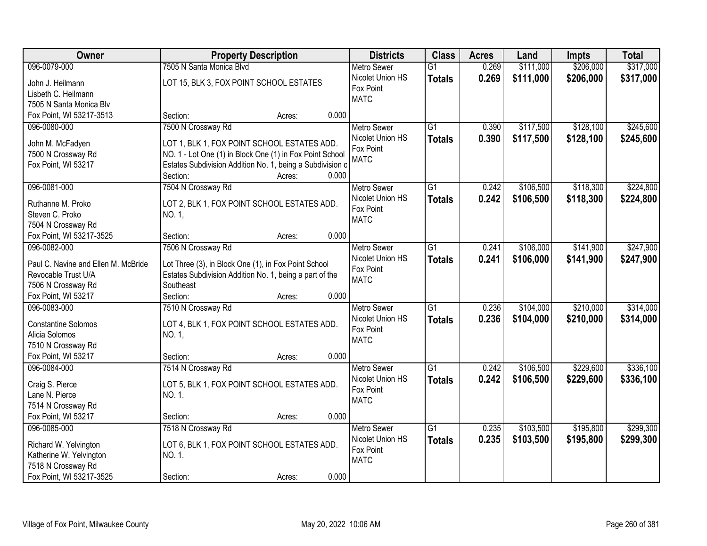| Owner                               | <b>Property Description</b>                               |        |       | <b>Districts</b>   | <b>Class</b>    | <b>Acres</b> | Land      | Impts     | <b>Total</b> |
|-------------------------------------|-----------------------------------------------------------|--------|-------|--------------------|-----------------|--------------|-----------|-----------|--------------|
| 096-0079-000                        | 7505 N Santa Monica Blvd                                  |        |       | <b>Metro Sewer</b> | $\overline{G1}$ | 0.269        | \$111,000 | \$206,000 | \$317,000    |
| John J. Heilmann                    | LOT 15, BLK 3, FOX POINT SCHOOL ESTATES                   |        |       | Nicolet Union HS   | <b>Totals</b>   | 0.269        | \$111,000 | \$206,000 | \$317,000    |
| Lisbeth C. Heilmann                 |                                                           |        |       | Fox Point          |                 |              |           |           |              |
| 7505 N Santa Monica Blv             |                                                           |        |       | <b>MATC</b>        |                 |              |           |           |              |
| Fox Point, WI 53217-3513            | Section:                                                  | Acres: | 0.000 |                    |                 |              |           |           |              |
| 096-0080-000                        | 7500 N Crossway Rd                                        |        |       | <b>Metro Sewer</b> | $\overline{G1}$ | 0.390        | \$117,500 | \$128,100 | \$245,600    |
|                                     |                                                           |        |       | Nicolet Union HS   | <b>Totals</b>   | 0.390        | \$117,500 | \$128,100 | \$245,600    |
| John M. McFadyen                    | LOT 1, BLK 1, FOX POINT SCHOOL ESTATES ADD.               |        |       | Fox Point          |                 |              |           |           |              |
| 7500 N Crossway Rd                  | NO. 1 - Lot One (1) in Block One (1) in Fox Point School  |        |       | <b>MATC</b>        |                 |              |           |           |              |
| Fox Point, WI 53217                 | Estates Subdivision Addition No. 1, being a Subdivision c |        |       |                    |                 |              |           |           |              |
|                                     | Section:                                                  | Acres: | 0.000 |                    |                 |              |           |           |              |
| 096-0081-000                        | 7504 N Crossway Rd                                        |        |       | Metro Sewer        | $\overline{G1}$ | 0.242        | \$106,500 | \$118,300 | \$224,800    |
| Ruthanne M. Proko                   | LOT 2, BLK 1, FOX POINT SCHOOL ESTATES ADD.               |        |       | Nicolet Union HS   | <b>Totals</b>   | 0.242        | \$106,500 | \$118,300 | \$224,800    |
| Steven C. Proko                     | NO. 1,                                                    |        |       | Fox Point          |                 |              |           |           |              |
| 7504 N Crossway Rd                  |                                                           |        |       | <b>MATC</b>        |                 |              |           |           |              |
| Fox Point, WI 53217-3525            | Section:                                                  | Acres: | 0.000 |                    |                 |              |           |           |              |
| 096-0082-000                        | 7506 N Crossway Rd                                        |        |       | <b>Metro Sewer</b> | $\overline{G1}$ | 0.241        | \$106,000 | \$141,900 | \$247,900    |
|                                     |                                                           |        |       | Nicolet Union HS   | <b>Totals</b>   | 0.241        | \$106,000 | \$141,900 | \$247,900    |
| Paul C. Navine and Ellen M. McBride | Lot Three (3), in Block One (1), in Fox Point School      |        |       | Fox Point          |                 |              |           |           |              |
| Revocable Trust U/A                 | Estates Subdivision Addition No. 1, being a part of the   |        |       | <b>MATC</b>        |                 |              |           |           |              |
| 7506 N Crossway Rd                  | Southeast                                                 |        |       |                    |                 |              |           |           |              |
| Fox Point, WI 53217                 | Section:                                                  | Acres: | 0.000 |                    |                 |              |           |           |              |
| 096-0083-000                        | 7510 N Crossway Rd                                        |        |       | <b>Metro Sewer</b> | $\overline{G1}$ | 0.236        | \$104,000 | \$210,000 | \$314,000    |
| <b>Constantine Solomos</b>          | LOT 4, BLK 1, FOX POINT SCHOOL ESTATES ADD.               |        |       | Nicolet Union HS   | <b>Totals</b>   | 0.236        | \$104,000 | \$210,000 | \$314,000    |
| Alicia Solomos                      | NO. 1,                                                    |        |       | Fox Point          |                 |              |           |           |              |
| 7510 N Crossway Rd                  |                                                           |        |       | <b>MATC</b>        |                 |              |           |           |              |
| Fox Point, WI 53217                 | Section:                                                  | Acres: | 0.000 |                    |                 |              |           |           |              |
| 096-0084-000                        | 7514 N Crossway Rd                                        |        |       | Metro Sewer        | $\overline{G1}$ | 0.242        | \$106,500 | \$229,600 | \$336,100    |
|                                     |                                                           |        |       | Nicolet Union HS   | <b>Totals</b>   | 0.242        | \$106,500 | \$229,600 | \$336,100    |
| Craig S. Pierce                     | LOT 5, BLK 1, FOX POINT SCHOOL ESTATES ADD.               |        |       | Fox Point          |                 |              |           |           |              |
| Lane N. Pierce                      | NO. 1.                                                    |        |       | <b>MATC</b>        |                 |              |           |           |              |
| 7514 N Crossway Rd                  |                                                           |        |       |                    |                 |              |           |           |              |
| Fox Point, WI 53217                 | Section:                                                  | Acres: | 0.000 |                    |                 |              |           |           |              |
| 096-0085-000                        | 7518 N Crossway Rd                                        |        |       | <b>Metro Sewer</b> | $\overline{G1}$ | 0.235        | \$103,500 | \$195,800 | \$299,300    |
| Richard W. Yelvington               | LOT 6, BLK 1, FOX POINT SCHOOL ESTATES ADD.               |        |       | Nicolet Union HS   | <b>Totals</b>   | 0.235        | \$103,500 | \$195,800 | \$299,300    |
| Katherine W. Yelvington             | NO. 1.                                                    |        |       | Fox Point          |                 |              |           |           |              |
| 7518 N Crossway Rd                  |                                                           |        |       | <b>MATC</b>        |                 |              |           |           |              |
| Fox Point, WI 53217-3525            | Section:                                                  | Acres: | 0.000 |                    |                 |              |           |           |              |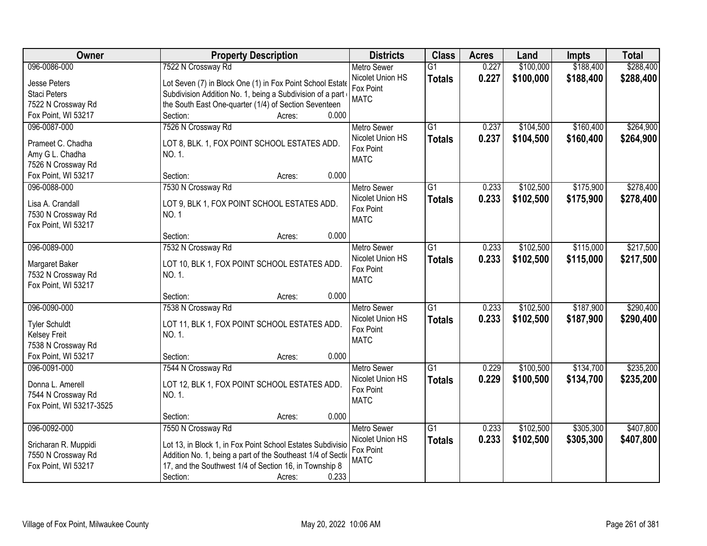| Owner                    | <b>Property Description</b>                                  | <b>Districts</b>              | <b>Class</b>    | <b>Acres</b> | Land      | <b>Impts</b> | <b>Total</b> |
|--------------------------|--------------------------------------------------------------|-------------------------------|-----------------|--------------|-----------|--------------|--------------|
| 096-0086-000             | 7522 N Crossway Rd                                           | <b>Metro Sewer</b>            | $\overline{G1}$ | 0.227        | \$100,000 | \$188,400    | \$288,400    |
| Jesse Peters             | Lot Seven (7) in Block One (1) in Fox Point School Estate    | Nicolet Union HS              | <b>Totals</b>   | 0.227        | \$100,000 | \$188,400    | \$288,400    |
| <b>Staci Peters</b>      | Subdivision Addition No. 1, being a Subdivision of a part    | Fox Point                     |                 |              |           |              |              |
| 7522 N Crossway Rd       | the South East One-quarter (1/4) of Section Seventeen        | <b>MATC</b>                   |                 |              |           |              |              |
| Fox Point, WI 53217      | 0.000<br>Section:<br>Acres:                                  |                               |                 |              |           |              |              |
| 096-0087-000             | 7526 N Crossway Rd                                           | <b>Metro Sewer</b>            | $\overline{G1}$ | 0.237        | \$104,500 | \$160,400    | \$264,900    |
|                          |                                                              | Nicolet Union HS              | <b>Totals</b>   | 0.237        | \$104,500 | \$160,400    | \$264,900    |
| Prameet C. Chadha        | LOT 8, BLK. 1, FOX POINT SCHOOL ESTATES ADD.                 | Fox Point                     |                 |              |           |              |              |
| Amy G L. Chadha          | NO. 1.                                                       | <b>MATC</b>                   |                 |              |           |              |              |
| 7526 N Crossway Rd       | 0.000<br>Section:                                            |                               |                 |              |           |              |              |
| Fox Point, WI 53217      | Acres:                                                       |                               | $\overline{G1}$ | 0.233        |           |              | \$278,400    |
| 096-0088-000             | 7530 N Crossway Rd                                           | <b>Metro Sewer</b>            |                 |              | \$102,500 | \$175,900    |              |
| Lisa A. Crandall         | LOT 9, BLK 1, FOX POINT SCHOOL ESTATES ADD.                  | Nicolet Union HS<br>Fox Point | <b>Totals</b>   | 0.233        | \$102,500 | \$175,900    | \$278,400    |
| 7530 N Crossway Rd       | <b>NO.1</b>                                                  | <b>MATC</b>                   |                 |              |           |              |              |
| Fox Point, WI 53217      |                                                              |                               |                 |              |           |              |              |
|                          | 0.000<br>Section:<br>Acres:                                  |                               |                 |              |           |              |              |
| 096-0089-000             | 7532 N Crossway Rd                                           | <b>Metro Sewer</b>            | G1              | 0.233        | \$102,500 | \$115,000    | \$217,500    |
| Margaret Baker           | LOT 10, BLK 1, FOX POINT SCHOOL ESTATES ADD.                 | Nicolet Union HS              | <b>Totals</b>   | 0.233        | \$102,500 | \$115,000    | \$217,500    |
| 7532 N Crossway Rd       | NO. 1.                                                       | Fox Point                     |                 |              |           |              |              |
| Fox Point, WI 53217      |                                                              | <b>MATC</b>                   |                 |              |           |              |              |
|                          | 0.000<br>Section:<br>Acres:                                  |                               |                 |              |           |              |              |
| 096-0090-000             | 7538 N Crossway Rd                                           | <b>Metro Sewer</b>            | $\overline{G1}$ | 0.233        | \$102,500 | \$187,900    | \$290,400    |
|                          |                                                              | Nicolet Union HS              | <b>Totals</b>   | 0.233        | \$102,500 | \$187,900    | \$290,400    |
| <b>Tyler Schuldt</b>     | LOT 11, BLK 1, FOX POINT SCHOOL ESTATES ADD.                 | Fox Point                     |                 |              |           |              |              |
| <b>Kelsey Freit</b>      | NO. 1.                                                       | <b>MATC</b>                   |                 |              |           |              |              |
| 7538 N Crossway Rd       |                                                              |                               |                 |              |           |              |              |
| Fox Point, WI 53217      | 0.000<br>Section:<br>Acres:                                  |                               |                 |              |           |              |              |
| 096-0091-000             | 7544 N Crossway Rd                                           | Metro Sewer                   | G1              | 0.229        | \$100,500 | \$134,700    | \$235,200    |
| Donna L. Amerell         | LOT 12, BLK 1, FOX POINT SCHOOL ESTATES ADD.                 | Nicolet Union HS              | <b>Totals</b>   | 0.229        | \$100,500 | \$134,700    | \$235,200    |
| 7544 N Crossway Rd       | NO. 1.                                                       | Fox Point                     |                 |              |           |              |              |
| Fox Point, WI 53217-3525 |                                                              | <b>MATC</b>                   |                 |              |           |              |              |
|                          | 0.000<br>Section:<br>Acres:                                  |                               |                 |              |           |              |              |
| 096-0092-000             | 7550 N Crossway Rd                                           | <b>Metro Sewer</b>            | $\overline{G1}$ | 0.233        | \$102,500 | \$305,300    | \$407,800    |
|                          |                                                              | Nicolet Union HS              | <b>Totals</b>   | 0.233        | \$102,500 | \$305,300    | \$407,800    |
| Sricharan R. Muppidi     | Lot 13, in Block 1, in Fox Point School Estates Subdivisio   | Fox Point                     |                 |              |           |              |              |
| 7550 N Crossway Rd       | Addition No. 1, being a part of the Southeast 1/4 of Section | <b>MATC</b>                   |                 |              |           |              |              |
| Fox Point, WI 53217      | 17, and the Southwest 1/4 of Section 16, in Township 8       |                               |                 |              |           |              |              |
|                          | 0.233<br>Section:<br>Acres:                                  |                               |                 |              |           |              |              |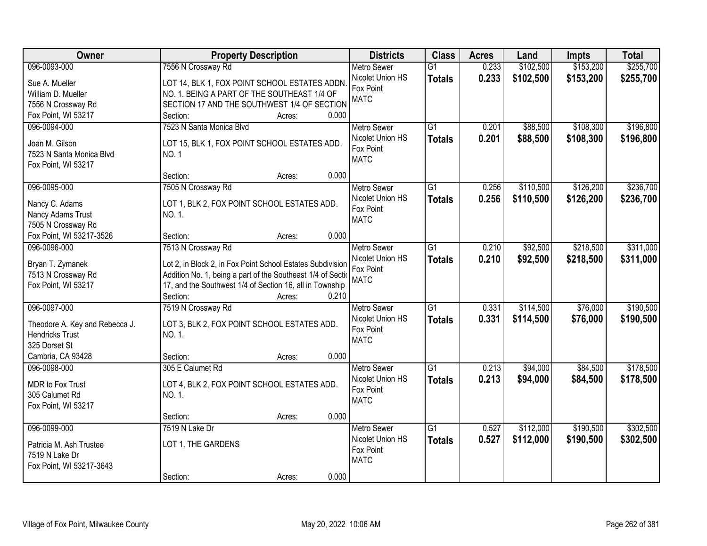| Owner                          | <b>Property Description</b>                                  | <b>Districts</b>         | <b>Class</b>    | <b>Acres</b> | Land      | <b>Impts</b> | <b>Total</b> |
|--------------------------------|--------------------------------------------------------------|--------------------------|-----------------|--------------|-----------|--------------|--------------|
| 096-0093-000                   | 7556 N Crossway Rd                                           | <b>Metro Sewer</b>       | $\overline{G1}$ | 0.233        | \$102,500 | \$153,200    | \$255,700    |
| Sue A. Mueller                 | LOT 14, BLK 1, FOX POINT SCHOOL ESTATES ADDN.                | Nicolet Union HS         | <b>Totals</b>   | 0.233        | \$102,500 | \$153,200    | \$255,700    |
| William D. Mueller             | NO. 1. BEING A PART OF THE SOUTHEAST 1/4 OF                  | Fox Point                |                 |              |           |              |              |
| 7556 N Crossway Rd             | SECTION 17 AND THE SOUTHWEST 1/4 OF SECTION                  | <b>MATC</b>              |                 |              |           |              |              |
| Fox Point, WI 53217            | 0.000<br>Section:<br>Acres:                                  |                          |                 |              |           |              |              |
| 096-0094-000                   | 7523 N Santa Monica Blvd                                     | <b>Metro Sewer</b>       | $\overline{G1}$ | 0.201        | \$88,500  | \$108,300    | \$196,800    |
|                                |                                                              | Nicolet Union HS         | <b>Totals</b>   | 0.201        | \$88,500  | \$108,300    | \$196,800    |
| Joan M. Gilson                 | LOT 15, BLK 1, FOX POINT SCHOOL ESTATES ADD.                 | Fox Point                |                 |              |           |              |              |
| 7523 N Santa Monica Blvd       | NO. 1                                                        | <b>MATC</b>              |                 |              |           |              |              |
| Fox Point, WI 53217            | 0.000<br>Section:<br>Acres:                                  |                          |                 |              |           |              |              |
| 096-0095-000                   | 7505 N Crossway Rd                                           | Metro Sewer              | $\overline{G1}$ | 0.256        | \$110,500 | \$126,200    | \$236,700    |
|                                |                                                              | Nicolet Union HS         |                 |              |           |              |              |
| Nancy C. Adams                 | LOT 1, BLK 2, FOX POINT SCHOOL ESTATES ADD.                  | Fox Point                | <b>Totals</b>   | 0.256        | \$110,500 | \$126,200    | \$236,700    |
| Nancy Adams Trust              | NO. 1.                                                       | <b>MATC</b>              |                 |              |           |              |              |
| 7505 N Crossway Rd             |                                                              |                          |                 |              |           |              |              |
| Fox Point, WI 53217-3526       | 0.000<br>Section:<br>Acres:                                  |                          |                 |              |           |              |              |
| 096-0096-000                   | 7513 N Crossway Rd                                           | <b>Metro Sewer</b>       | $\overline{G1}$ | 0.210        | \$92,500  | \$218,500    | \$311,000    |
| Bryan T. Zymanek               | Lot 2, in Block 2, in Fox Point School Estates Subdivision   | Nicolet Union HS         | <b>Totals</b>   | 0.210        | \$92,500  | \$218,500    | \$311,000    |
| 7513 N Crossway Rd             | Addition No. 1, being a part of the Southeast 1/4 of Section | Fox Point                |                 |              |           |              |              |
| Fox Point, WI 53217            | 17, and the Southwest 1/4 of Section 16, all in Township     | <b>MATC</b>              |                 |              |           |              |              |
|                                | Section:<br>0.210<br>Acres:                                  |                          |                 |              |           |              |              |
| 096-0097-000                   | 7519 N Crossway Rd                                           | <b>Metro Sewer</b>       | $\overline{G1}$ | 0.331        | \$114,500 | \$76,000     | \$190,500    |
|                                |                                                              | Nicolet Union HS         | <b>Totals</b>   | 0.331        | \$114,500 | \$76,000     | \$190,500    |
| Theodore A. Key and Rebecca J. | LOT 3, BLK 2, FOX POINT SCHOOL ESTATES ADD.                  | Fox Point                |                 |              |           |              |              |
| <b>Hendricks Trust</b>         | NO. 1.                                                       | <b>MATC</b>              |                 |              |           |              |              |
| 325 Dorset St                  |                                                              |                          |                 |              |           |              |              |
| Cambria, CA 93428              | 0.000<br>Section:<br>Acres:                                  |                          |                 |              |           |              |              |
| 096-0098-000                   | 305 E Calumet Rd                                             | <b>Metro Sewer</b>       | $\overline{G1}$ | 0.213        | \$94,000  | \$84,500     | \$178,500    |
| MDR to Fox Trust               | LOT 4, BLK 2, FOX POINT SCHOOL ESTATES ADD.                  | Nicolet Union HS         | <b>Totals</b>   | 0.213        | \$94,000  | \$84,500     | \$178,500    |
| 305 Calumet Rd                 | NO. 1.                                                       | Fox Point<br><b>MATC</b> |                 |              |           |              |              |
| Fox Point, WI 53217            |                                                              |                          |                 |              |           |              |              |
|                                | 0.000<br>Section:<br>Acres:                                  |                          |                 |              |           |              |              |
| 096-0099-000                   | 7519 N Lake Dr                                               | <b>Metro Sewer</b>       | $\overline{G1}$ | 0.527        | \$112,000 | \$190,500    | \$302,500    |
| Patricia M. Ash Trustee        | LOT 1, THE GARDENS                                           | Nicolet Union HS         | <b>Totals</b>   | 0.527        | \$112,000 | \$190,500    | \$302,500    |
| 7519 N Lake Dr                 |                                                              | Fox Point                |                 |              |           |              |              |
| Fox Point, WI 53217-3643       |                                                              | <b>MATC</b>              |                 |              |           |              |              |
|                                | 0.000<br>Section:<br>Acres:                                  |                          |                 |              |           |              |              |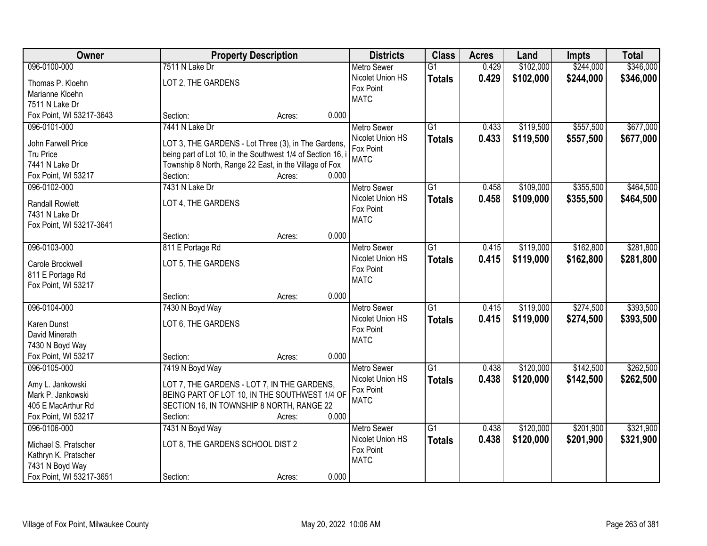| <b>Owner</b>             |                                                             | <b>Property Description</b> |       | <b>Districts</b>   | <b>Class</b>    | <b>Acres</b> | Land      | <b>Impts</b> | <b>Total</b> |
|--------------------------|-------------------------------------------------------------|-----------------------------|-------|--------------------|-----------------|--------------|-----------|--------------|--------------|
| 096-0100-000             | 7511 N Lake Dr                                              |                             |       | <b>Metro Sewer</b> | $\overline{G1}$ | 0.429        | \$102,000 | \$244,000    | \$346,000    |
| Thomas P. Kloehn         | LOT 2, THE GARDENS                                          |                             |       | Nicolet Union HS   | <b>Totals</b>   | 0.429        | \$102,000 | \$244,000    | \$346,000    |
| Marianne Kloehn          |                                                             |                             |       | Fox Point          |                 |              |           |              |              |
| 7511 N Lake Dr           |                                                             |                             |       | <b>MATC</b>        |                 |              |           |              |              |
| Fox Point, WI 53217-3643 | Section:                                                    | Acres:                      | 0.000 |                    |                 |              |           |              |              |
| 096-0101-000             | 7441 N Lake Dr                                              |                             |       | <b>Metro Sewer</b> | $\overline{G1}$ | 0.433        | \$119,500 | \$557,500    | \$677,000    |
|                          |                                                             |                             |       | Nicolet Union HS   | <b>Totals</b>   | 0.433        | \$119,500 | \$557,500    | \$677,000    |
| John Farwell Price       | LOT 3, THE GARDENS - Lot Three (3), in The Gardens,         |                             |       | Fox Point          |                 |              |           |              |              |
| Tru Price                | being part of Lot 10, in the Southwest 1/4 of Section 16, i |                             |       | <b>MATC</b>        |                 |              |           |              |              |
| 7441 N Lake Dr           | Township 8 North, Range 22 East, in the Village of Fox      |                             |       |                    |                 |              |           |              |              |
| Fox Point, WI 53217      | Section:                                                    | Acres:                      | 0.000 |                    |                 |              |           |              |              |
| 096-0102-000             | 7431 N Lake Dr                                              |                             |       | <b>Metro Sewer</b> | G1              | 0.458        | \$109,000 | \$355,500    | \$464,500    |
| <b>Randall Rowlett</b>   | LOT 4, THE GARDENS                                          |                             |       | Nicolet Union HS   | <b>Totals</b>   | 0.458        | \$109,000 | \$355,500    | \$464,500    |
| 7431 N Lake Dr           |                                                             |                             |       | Fox Point          |                 |              |           |              |              |
| Fox Point, WI 53217-3641 |                                                             |                             |       | <b>MATC</b>        |                 |              |           |              |              |
|                          | Section:                                                    | Acres:                      | 0.000 |                    |                 |              |           |              |              |
| 096-0103-000             | 811 E Portage Rd                                            |                             |       | <b>Metro Sewer</b> | G1              | 0.415        | \$119,000 | \$162,800    | \$281,800    |
|                          |                                                             |                             |       | Nicolet Union HS   | <b>Totals</b>   | 0.415        | \$119,000 | \$162,800    | \$281,800    |
| Carole Brockwell         | LOT 5, THE GARDENS                                          |                             |       | Fox Point          |                 |              |           |              |              |
| 811 E Portage Rd         |                                                             |                             |       | <b>MATC</b>        |                 |              |           |              |              |
| Fox Point, WI 53217      |                                                             |                             |       |                    |                 |              |           |              |              |
|                          | Section:                                                    | Acres:                      | 0.000 |                    |                 |              |           |              |              |
| 096-0104-000             | 7430 N Boyd Way                                             |                             |       | <b>Metro Sewer</b> | $\overline{G1}$ | 0.415        | \$119,000 | \$274,500    | \$393,500    |
| Karen Dunst              | LOT 6, THE GARDENS                                          |                             |       | Nicolet Union HS   | <b>Totals</b>   | 0.415        | \$119,000 | \$274,500    | \$393,500    |
| David Minerath           |                                                             |                             |       | Fox Point          |                 |              |           |              |              |
| 7430 N Boyd Way          |                                                             |                             |       | <b>MATC</b>        |                 |              |           |              |              |
| Fox Point, WI 53217      | Section:                                                    | Acres:                      | 0.000 |                    |                 |              |           |              |              |
| 096-0105-000             | 7419 N Boyd Way                                             |                             |       | <b>Metro Sewer</b> | G1              | 0.438        | \$120,000 | \$142,500    | \$262,500    |
|                          |                                                             |                             |       | Nicolet Union HS   | <b>Totals</b>   | 0.438        | \$120,000 | \$142,500    | \$262,500    |
| Amy L. Jankowski         | LOT 7, THE GARDENS - LOT 7, IN THE GARDENS,                 |                             |       | Fox Point          |                 |              |           |              |              |
| Mark P. Jankowski        | BEING PART OF LOT 10, IN THE SOUTHWEST 1/4 OF               |                             |       | <b>MATC</b>        |                 |              |           |              |              |
| 405 E MacArthur Rd       | SECTION 16, IN TOWNSHIP 8 NORTH, RANGE 22                   |                             |       |                    |                 |              |           |              |              |
| Fox Point, WI 53217      | Section:                                                    | Acres:                      | 0.000 |                    |                 |              |           |              |              |
| 096-0106-000             | 7431 N Boyd Way                                             |                             |       | <b>Metro Sewer</b> | $\overline{G1}$ | 0.438        | \$120,000 | \$201,900    | \$321,900    |
| Michael S. Pratscher     | LOT 8, THE GARDENS SCHOOL DIST 2                            |                             |       | Nicolet Union HS   | <b>Totals</b>   | 0.438        | \$120,000 | \$201,900    | \$321,900    |
| Kathryn K. Pratscher     |                                                             |                             |       | Fox Point          |                 |              |           |              |              |
| 7431 N Boyd Way          |                                                             |                             |       | <b>MATC</b>        |                 |              |           |              |              |
| Fox Point, WI 53217-3651 | Section:                                                    | Acres:                      | 0.000 |                    |                 |              |           |              |              |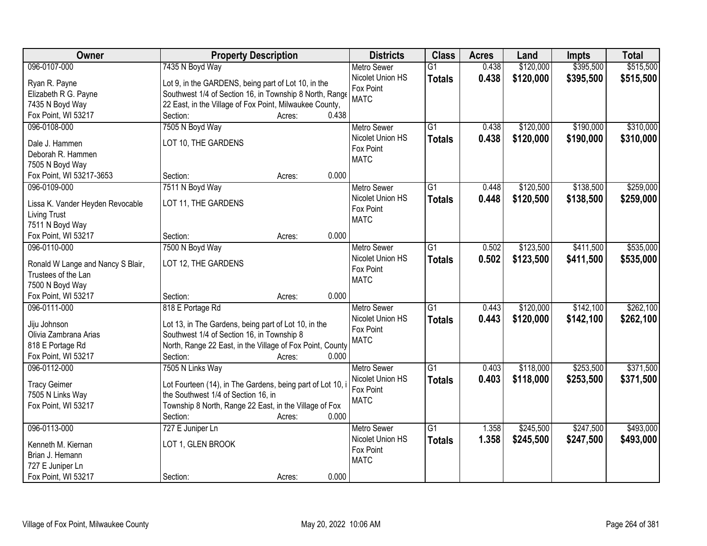| Owner                                                    | <b>Property Description</b>                                | <b>Districts</b>         | <b>Class</b>    | <b>Acres</b> | Land      | <b>Impts</b> | <b>Total</b> |
|----------------------------------------------------------|------------------------------------------------------------|--------------------------|-----------------|--------------|-----------|--------------|--------------|
| 096-0107-000                                             | 7435 N Boyd Way                                            | <b>Metro Sewer</b>       | $\overline{G1}$ | 0.438        | \$120,000 | \$395,500    | \$515,500    |
| Ryan R. Payne                                            | Lot 9, in the GARDENS, being part of Lot 10, in the        | Nicolet Union HS         | <b>Totals</b>   | 0.438        | \$120,000 | \$395,500    | \$515,500    |
| Elizabeth R G. Payne                                     | Southwest 1/4 of Section 16, in Township 8 North, Range    | Fox Point                |                 |              |           |              |              |
| 7435 N Boyd Way                                          | 22 East, in the Village of Fox Point, Milwaukee County,    | <b>MATC</b>              |                 |              |           |              |              |
| Fox Point, WI 53217                                      | 0.438<br>Section:<br>Acres:                                |                          |                 |              |           |              |              |
| 096-0108-000                                             | 7505 N Boyd Way                                            | <b>Metro Sewer</b>       | $\overline{G1}$ | 0.438        | \$120,000 | \$190,000    | \$310,000    |
|                                                          |                                                            | Nicolet Union HS         | <b>Totals</b>   | 0.438        | \$120,000 | \$190,000    | \$310,000    |
| Dale J. Hammen                                           | LOT 10, THE GARDENS                                        | Fox Point                |                 |              |           |              |              |
| Deborah R. Hammen                                        |                                                            | <b>MATC</b>              |                 |              |           |              |              |
| 7505 N Boyd Way                                          |                                                            |                          |                 |              |           |              |              |
| Fox Point, WI 53217-3653                                 | 0.000<br>Section:<br>Acres:                                |                          |                 |              |           |              |              |
| 096-0109-000                                             | 7511 N Boyd Way                                            | <b>Metro Sewer</b>       | G1              | 0.448        | \$120,500 | \$138,500    | \$259,000    |
| Lissa K. Vander Heyden Revocable                         | LOT 11, THE GARDENS                                        | Nicolet Union HS         | <b>Totals</b>   | 0.448        | \$120,500 | \$138,500    | \$259,000    |
| <b>Living Trust</b>                                      |                                                            | Fox Point<br><b>MATC</b> |                 |              |           |              |              |
| 7511 N Boyd Way                                          |                                                            |                          |                 |              |           |              |              |
| Fox Point, WI 53217                                      | Section:<br>0.000<br>Acres:                                |                          |                 |              |           |              |              |
| 096-0110-000                                             | 7500 N Boyd Way                                            | <b>Metro Sewer</b>       | G1              | 0.502        | \$123,500 | \$411,500    | \$535,000    |
|                                                          | LOT 12, THE GARDENS                                        | Nicolet Union HS         | <b>Totals</b>   | 0.502        | \$123,500 | \$411,500    | \$535,000    |
| Ronald W Lange and Nancy S Blair,<br>Trustees of the Lan |                                                            | Fox Point                |                 |              |           |              |              |
| 7500 N Boyd Way                                          |                                                            | <b>MATC</b>              |                 |              |           |              |              |
| Fox Point, WI 53217                                      | 0.000<br>Section:<br>Acres:                                |                          |                 |              |           |              |              |
| 096-0111-000                                             | 818 E Portage Rd                                           | <b>Metro Sewer</b>       | $\overline{G1}$ | 0.443        | \$120,000 | \$142,100    | \$262,100    |
|                                                          |                                                            | Nicolet Union HS         |                 | 0.443        | \$120,000 | \$142,100    | \$262,100    |
| Jiju Johnson                                             | Lot 13, in The Gardens, being part of Lot 10, in the       | Fox Point                | <b>Totals</b>   |              |           |              |              |
| Olivia Zambrana Arias                                    | Southwest 1/4 of Section 16, in Township 8                 | <b>MATC</b>              |                 |              |           |              |              |
| 818 E Portage Rd                                         | North, Range 22 East, in the Village of Fox Point, County  |                          |                 |              |           |              |              |
| Fox Point, WI 53217                                      | 0.000<br>Section:<br>Acres:                                |                          |                 |              |           |              |              |
| 096-0112-000                                             | 7505 N Links Way                                           | <b>Metro Sewer</b>       | $\overline{G1}$ | 0.403        | \$118,000 | \$253,500    | \$371,500    |
| <b>Tracy Geimer</b>                                      | Lot Fourteen (14), in The Gardens, being part of Lot 10, i | Nicolet Union HS         | <b>Totals</b>   | 0.403        | \$118,000 | \$253,500    | \$371,500    |
| 7505 N Links Way                                         | the Southwest 1/4 of Section 16, in                        | Fox Point                |                 |              |           |              |              |
| Fox Point, WI 53217                                      | Township 8 North, Range 22 East, in the Village of Fox     | <b>MATC</b>              |                 |              |           |              |              |
|                                                          | 0.000<br>Section:<br>Acres:                                |                          |                 |              |           |              |              |
| 096-0113-000                                             | 727 E Juniper Ln                                           | <b>Metro Sewer</b>       | $\overline{G1}$ | 1.358        | \$245,500 | \$247,500    | \$493,000    |
|                                                          |                                                            | Nicolet Union HS         | <b>Totals</b>   | 1.358        | \$245,500 | \$247,500    | \$493,000    |
| Kenneth M. Kiernan                                       | LOT 1, GLEN BROOK                                          | Fox Point                |                 |              |           |              |              |
| Brian J. Hemann                                          |                                                            | <b>MATC</b>              |                 |              |           |              |              |
| 727 E Juniper Ln                                         |                                                            |                          |                 |              |           |              |              |
| Fox Point, WI 53217                                      | 0.000<br>Section:<br>Acres:                                |                          |                 |              |           |              |              |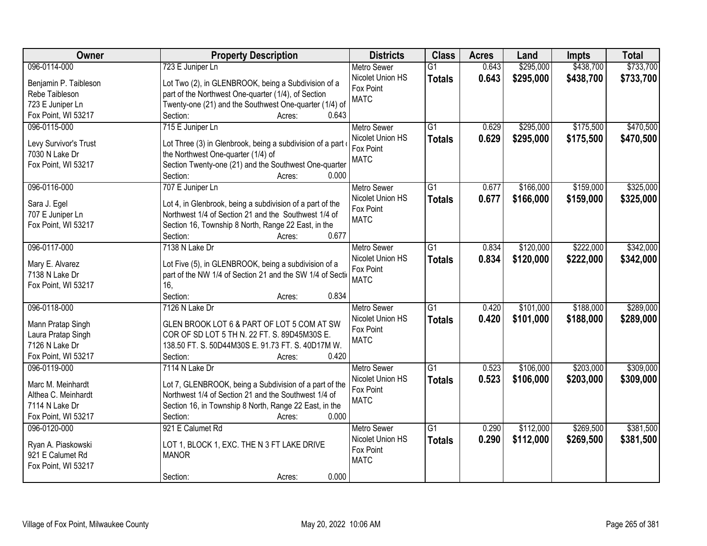| Owner                 | <b>Property Description</b>                                                           | <b>Districts</b>                       | <b>Class</b>    | <b>Acres</b> | Land      | <b>Impts</b> | <b>Total</b> |
|-----------------------|---------------------------------------------------------------------------------------|----------------------------------------|-----------------|--------------|-----------|--------------|--------------|
| 096-0114-000          | 723 E Juniper Ln                                                                      | <b>Metro Sewer</b>                     | $\overline{G1}$ | 0.643        | \$295,000 | \$438,700    | \$733,700    |
| Benjamin P. Taibleson | Lot Two (2), in GLENBROOK, being a Subdivision of a                                   | Nicolet Union HS                       | <b>Totals</b>   | 0.643        | \$295,000 | \$438,700    | \$733,700    |
| Rebe Taibleson        | part of the Northwest One-quarter (1/4), of Section                                   | Fox Point                              |                 |              |           |              |              |
| 723 E Juniper Ln      | Twenty-one (21) and the Southwest One-quarter (1/4) of                                | <b>MATC</b>                            |                 |              |           |              |              |
| Fox Point, WI 53217   | 0.643<br>Section:<br>Acres:                                                           |                                        |                 |              |           |              |              |
| 096-0115-000          | 715 E Juniper Ln                                                                      | <b>Metro Sewer</b>                     | $\overline{G1}$ | 0.629        | \$295,000 | \$175,500    | \$470,500    |
|                       |                                                                                       | Nicolet Union HS                       | <b>Totals</b>   | 0.629        | \$295,000 | \$175,500    | \$470,500    |
| Levy Survivor's Trust | Lot Three (3) in Glenbrook, being a subdivision of a part                             | Fox Point                              |                 |              |           |              |              |
| 7030 N Lake Dr        | the Northwest One-quarter (1/4) of                                                    | <b>MATC</b>                            |                 |              |           |              |              |
| Fox Point, WI 53217   | Section Twenty-one (21) and the Southwest One-quarter<br>0.000                        |                                        |                 |              |           |              |              |
|                       | Section:<br>Acres:                                                                    |                                        |                 |              |           |              |              |
| 096-0116-000          | 707 E Juniper Ln                                                                      | <b>Metro Sewer</b>                     | G1              | 0.677        | \$166,000 | \$159,000    | \$325,000    |
| Sara J. Egel          | Lot 4, in Glenbrook, being a subdivision of a part of the                             | Nicolet Union HS                       | <b>Totals</b>   | 0.677        | \$166,000 | \$159,000    | \$325,000    |
| 707 E Juniper Ln      | Northwest 1/4 of Section 21 and the Southwest 1/4 of                                  | Fox Point                              |                 |              |           |              |              |
| Fox Point, WI 53217   | Section 16, Township 8 North, Range 22 East, in the                                   | <b>MATC</b>                            |                 |              |           |              |              |
|                       | 0.677<br>Section:<br>Acres:                                                           |                                        |                 |              |           |              |              |
| 096-0117-000          | 7138 N Lake Dr                                                                        | <b>Metro Sewer</b>                     | G1              | 0.834        | \$120,000 | \$222,000    | \$342,000    |
|                       |                                                                                       | Nicolet Union HS                       | <b>Totals</b>   | 0.834        | \$120,000 | \$222,000    | \$342,000    |
| Mary E. Alvarez       | Lot Five (5), in GLENBROOK, being a subdivision of a                                  | Fox Point                              |                 |              |           |              |              |
| 7138 N Lake Dr        | part of the NW 1/4 of Section 21 and the SW 1/4 of Section                            | <b>MATC</b>                            |                 |              |           |              |              |
| Fox Point, WI 53217   | 16,<br>0.834<br>Section:                                                              |                                        |                 |              |           |              |              |
| 096-0118-000          | Acres:                                                                                |                                        | $\overline{G1}$ | 0.420        | \$101,000 | \$188,000    | \$289,000    |
|                       | 7126 N Lake Dr                                                                        | <b>Metro Sewer</b>                     |                 |              |           |              |              |
| Mann Pratap Singh     | GLEN BROOK LOT 6 & PART OF LOT 5 COM AT SW                                            | Nicolet Union HS<br>Fox Point          | <b>Totals</b>   | 0.420        | \$101,000 | \$188,000    | \$289,000    |
| Laura Pratap Singh    | COR OF SD LOT 5 TH N. 22 FT. S. 89D45M30S E.                                          | <b>MATC</b>                            |                 |              |           |              |              |
| 7126 N Lake Dr        | 138.50 FT. S. 50D44M30S E. 91.73 FT. S. 40D17M W.                                     |                                        |                 |              |           |              |              |
| Fox Point, WI 53217   | 0.420<br>Section:<br>Acres:                                                           |                                        |                 |              |           |              |              |
| 096-0119-000          | 7114 N Lake Dr                                                                        | <b>Metro Sewer</b>                     | G1              | 0.523        | \$106,000 | \$203,000    | \$309,000    |
| Marc M. Meinhardt     | Lot 7, GLENBROOK, being a Subdivision of a part of the                                | Nicolet Union HS                       | <b>Totals</b>   | 0.523        | \$106,000 | \$203,000    | \$309,000    |
| Althea C. Meinhardt   | Northwest 1/4 of Section 21 and the Southwest 1/4 of                                  | Fox Point                              |                 |              |           |              |              |
| 7114 N Lake Dr        |                                                                                       | <b>MATC</b>                            |                 |              |           |              |              |
| Fox Point, WI 53217   | Section 16, in Township 8 North, Range 22 East, in the<br>0.000<br>Section:<br>Acres: |                                        |                 |              |           |              |              |
| 096-0120-000          | 921 E Calumet Rd                                                                      |                                        | $\overline{G1}$ | 0.290        | \$112,000 | \$269,500    | \$381,500    |
|                       |                                                                                       | <b>Metro Sewer</b><br>Nicolet Union HS |                 |              |           |              |              |
| Ryan A. Piaskowski    | LOT 1, BLOCK 1, EXC. THE N 3 FT LAKE DRIVE                                            | Fox Point                              | <b>Totals</b>   | 0.290        | \$112,000 | \$269,500    | \$381,500    |
| 921 E Calumet Rd      | <b>MANOR</b>                                                                          | <b>MATC</b>                            |                 |              |           |              |              |
| Fox Point, WI 53217   |                                                                                       |                                        |                 |              |           |              |              |
|                       | 0.000<br>Section:<br>Acres:                                                           |                                        |                 |              |           |              |              |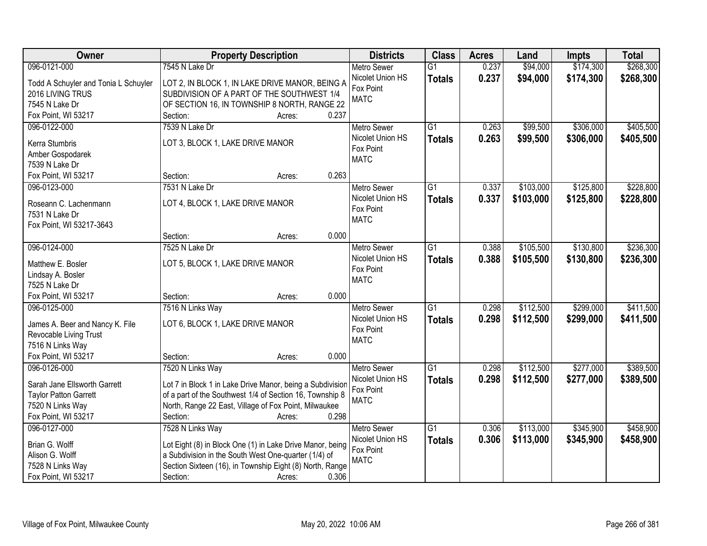| Owner                                   | <b>Property Description</b>                                       | <b>Districts</b>         | <b>Class</b>    | <b>Acres</b> | Land      | <b>Impts</b> | <b>Total</b> |
|-----------------------------------------|-------------------------------------------------------------------|--------------------------|-----------------|--------------|-----------|--------------|--------------|
| 096-0121-000                            | 7545 N Lake Dr                                                    | <b>Metro Sewer</b>       | $\overline{G1}$ | 0.237        | \$94,000  | \$174,300    | \$268,300    |
| Todd A Schuyler and Tonia L Schuyler    | LOT 2, IN BLOCK 1, IN LAKE DRIVE MANOR, BEING A                   | Nicolet Union HS         | <b>Totals</b>   | 0.237        | \$94,000  | \$174,300    | \$268,300    |
| 2016 LIVING TRUS                        | SUBDIVISION OF A PART OF THE SOUTHWEST 1/4                        | Fox Point                |                 |              |           |              |              |
| 7545 N Lake Dr                          | OF SECTION 16, IN TOWNSHIP 8 NORTH, RANGE 22                      | <b>MATC</b>              |                 |              |           |              |              |
| Fox Point, WI 53217                     | 0.237<br>Section:<br>Acres:                                       |                          |                 |              |           |              |              |
| 096-0122-000                            | 7539 N Lake Dr                                                    | <b>Metro Sewer</b>       | $\overline{G1}$ | 0.263        | \$99,500  | \$306,000    | \$405,500    |
|                                         |                                                                   | Nicolet Union HS         | <b>Totals</b>   | 0.263        | \$99,500  | \$306,000    | \$405,500    |
| Kerra Stumbris                          | LOT 3, BLOCK 1, LAKE DRIVE MANOR                                  | Fox Point                |                 |              |           |              |              |
| Amber Gospodarek                        |                                                                   | <b>MATC</b>              |                 |              |           |              |              |
| 7539 N Lake Dr                          | 0.263                                                             |                          |                 |              |           |              |              |
| Fox Point, WI 53217                     | Section:<br>Acres:                                                |                          |                 |              |           |              |              |
| 096-0123-000                            | 7531 N Lake Dr                                                    | <b>Metro Sewer</b>       | $\overline{G1}$ | 0.337        | \$103,000 | \$125,800    | \$228,800    |
| Roseann C. Lachenmann                   | LOT 4, BLOCK 1, LAKE DRIVE MANOR                                  | Nicolet Union HS         | <b>Totals</b>   | 0.337        | \$103,000 | \$125,800    | \$228,800    |
| 7531 N Lake Dr                          |                                                                   | Fox Point<br><b>MATC</b> |                 |              |           |              |              |
| Fox Point, WI 53217-3643                |                                                                   |                          |                 |              |           |              |              |
|                                         | 0.000<br>Section:<br>Acres:                                       |                          |                 |              |           |              |              |
| 096-0124-000                            | 7525 N Lake Dr                                                    | <b>Metro Sewer</b>       | $\overline{G1}$ | 0.388        | \$105,500 | \$130,800    | \$236,300    |
| Matthew E. Bosler                       | LOT 5, BLOCK 1, LAKE DRIVE MANOR                                  | Nicolet Union HS         | <b>Totals</b>   | 0.388        | \$105,500 | \$130,800    | \$236,300    |
| Lindsay A. Bosler                       |                                                                   | Fox Point                |                 |              |           |              |              |
| 7525 N Lake Dr                          |                                                                   | <b>MATC</b>              |                 |              |           |              |              |
| Fox Point, WI 53217                     | 0.000<br>Section:<br>Acres:                                       |                          |                 |              |           |              |              |
| 096-0125-000                            | 7516 N Links Way                                                  | Metro Sewer              | $\overline{G1}$ | 0.298        | \$112,500 | \$299,000    | \$411,500    |
|                                         |                                                                   | Nicolet Union HS         | <b>Totals</b>   | 0.298        | \$112,500 | \$299,000    | \$411,500    |
| James A. Beer and Nancy K. File         | LOT 6, BLOCK 1, LAKE DRIVE MANOR                                  | Fox Point                |                 |              |           |              |              |
| Revocable Living Trust                  |                                                                   | <b>MATC</b>              |                 |              |           |              |              |
| 7516 N Links Way                        |                                                                   |                          |                 |              |           |              |              |
| Fox Point, WI 53217                     | 0.000<br>Section:<br>Acres:                                       |                          |                 |              |           |              |              |
| 096-0126-000                            | 7520 N Links Way                                                  | Metro Sewer              | $\overline{G1}$ | 0.298        | \$112,500 | \$277,000    | \$389,500    |
| Sarah Jane Ellsworth Garrett            | Lot 7 in Block 1 in Lake Drive Manor, being a Subdivision         | Nicolet Union HS         | <b>Totals</b>   | 0.298        | \$112,500 | \$277,000    | \$389,500    |
| <b>Taylor Patton Garrett</b>            | of a part of the Southwest 1/4 of Section 16, Township 8          | Fox Point                |                 |              |           |              |              |
| 7520 N Links Way                        | North, Range 22 East, Village of Fox Point, Milwaukee             | <b>MATC</b>              |                 |              |           |              |              |
| Fox Point, WI 53217                     | 0.298<br>Section:<br>Acres:                                       |                          |                 |              |           |              |              |
| 096-0127-000                            | 7528 N Links Way                                                  | <b>Metro Sewer</b>       | $\overline{G1}$ | 0.306        | \$113,000 | \$345,900    | \$458,900    |
|                                         |                                                                   | Nicolet Union HS         | <b>Totals</b>   | 0.306        | \$113,000 | \$345,900    | \$458,900    |
| Brian G. Wolff<br>Alison G. Wolff       | Lot Eight (8) in Block One (1) in Lake Drive Manor, being         | Fox Point                |                 |              |           |              |              |
|                                         | a Subdivision in the South West One-quarter (1/4) of              | <b>MATC</b>              |                 |              |           |              |              |
| 7528 N Links Way<br>Fox Point, WI 53217 | Section Sixteen (16), in Township Eight (8) North, Range<br>0.306 |                          |                 |              |           |              |              |
|                                         | Section:<br>Acres:                                                |                          |                 |              |           |              |              |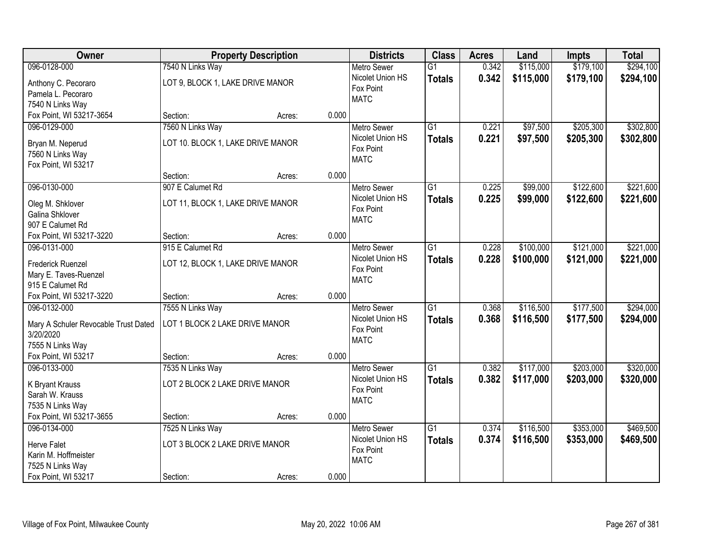| Owner                                |                                   | <b>Property Description</b> |       | <b>Districts</b>              | <b>Class</b>    | <b>Acres</b> | Land      | <b>Impts</b> | <b>Total</b> |
|--------------------------------------|-----------------------------------|-----------------------------|-------|-------------------------------|-----------------|--------------|-----------|--------------|--------------|
| 096-0128-000                         | 7540 N Links Way                  |                             |       | <b>Metro Sewer</b>            | $\overline{G1}$ | 0.342        | \$115,000 | \$179,100    | \$294,100    |
| Anthony C. Pecoraro                  | LOT 9, BLOCK 1, LAKE DRIVE MANOR  |                             |       | Nicolet Union HS              | <b>Totals</b>   | 0.342        | \$115,000 | \$179,100    | \$294,100    |
| Pamela L. Pecoraro                   |                                   |                             |       | Fox Point                     |                 |              |           |              |              |
| 7540 N Links Way                     |                                   |                             |       | <b>MATC</b>                   |                 |              |           |              |              |
| Fox Point, WI 53217-3654             | Section:                          | Acres:                      | 0.000 |                               |                 |              |           |              |              |
| 096-0129-000                         | 7560 N Links Way                  |                             |       | <b>Metro Sewer</b>            | $\overline{G1}$ | 0.221        | \$97,500  | \$205,300    | \$302,800    |
| Bryan M. Neperud                     | LOT 10. BLOCK 1, LAKE DRIVE MANOR |                             |       | Nicolet Union HS              | <b>Totals</b>   | 0.221        | \$97,500  | \$205,300    | \$302,800    |
| 7560 N Links Way                     |                                   |                             |       | Fox Point                     |                 |              |           |              |              |
| Fox Point, WI 53217                  |                                   |                             |       | <b>MATC</b>                   |                 |              |           |              |              |
|                                      | Section:                          | Acres:                      | 0.000 |                               |                 |              |           |              |              |
| 096-0130-000                         | 907 E Calumet Rd                  |                             |       | <b>Metro Sewer</b>            | $\overline{G1}$ | 0.225        | \$99,000  | \$122,600    | \$221,600    |
| Oleg M. Shklover                     | LOT 11, BLOCK 1, LAKE DRIVE MANOR |                             |       | Nicolet Union HS              | <b>Totals</b>   | 0.225        | \$99,000  | \$122,600    | \$221,600    |
| <b>Galina Shklover</b>               |                                   |                             |       | Fox Point                     |                 |              |           |              |              |
| 907 E Calumet Rd                     |                                   |                             |       | <b>MATC</b>                   |                 |              |           |              |              |
| Fox Point, WI 53217-3220             | Section:                          | Acres:                      | 0.000 |                               |                 |              |           |              |              |
| 096-0131-000                         | 915 E Calumet Rd                  |                             |       | <b>Metro Sewer</b>            | $\overline{G1}$ | 0.228        | \$100,000 | \$121,000    | \$221,000    |
|                                      |                                   |                             |       | Nicolet Union HS              | <b>Totals</b>   | 0.228        | \$100,000 | \$121,000    | \$221,000    |
| <b>Frederick Ruenzel</b>             | LOT 12, BLOCK 1, LAKE DRIVE MANOR |                             |       | Fox Point                     |                 |              |           |              |              |
| Mary E. Taves-Ruenzel                |                                   |                             |       | <b>MATC</b>                   |                 |              |           |              |              |
| 915 E Calumet Rd                     |                                   |                             |       |                               |                 |              |           |              |              |
| Fox Point, WI 53217-3220             | Section:                          | Acres:                      | 0.000 |                               | $\overline{G1}$ |              |           |              |              |
| 096-0132-000                         | 7555 N Links Way                  |                             |       | Metro Sewer                   |                 | 0.368        | \$116,500 | \$177,500    | \$294,000    |
| Mary A Schuler Revocable Trust Dated | LOT 1 BLOCK 2 LAKE DRIVE MANOR    |                             |       | Nicolet Union HS<br>Fox Point | <b>Totals</b>   | 0.368        | \$116,500 | \$177,500    | \$294,000    |
| 3/20/2020                            |                                   |                             |       | <b>MATC</b>                   |                 |              |           |              |              |
| 7555 N Links Way                     |                                   |                             |       |                               |                 |              |           |              |              |
| Fox Point, WI 53217                  | Section:                          | Acres:                      | 0.000 |                               |                 |              |           |              |              |
| 096-0133-000                         | 7535 N Links Way                  |                             |       | <b>Metro Sewer</b>            | $\overline{G1}$ | 0.382        | \$117,000 | \$203,000    | \$320,000    |
| K Bryant Krauss                      | LOT 2 BLOCK 2 LAKE DRIVE MANOR    |                             |       | Nicolet Union HS              | <b>Totals</b>   | 0.382        | \$117,000 | \$203,000    | \$320,000    |
| Sarah W. Krauss                      |                                   |                             |       | Fox Point                     |                 |              |           |              |              |
| 7535 N Links Way                     |                                   |                             |       | <b>MATC</b>                   |                 |              |           |              |              |
| Fox Point, WI 53217-3655             | Section:                          | Acres:                      | 0.000 |                               |                 |              |           |              |              |
| 096-0134-000                         | 7525 N Links Way                  |                             |       | <b>Metro Sewer</b>            | $\overline{G1}$ | 0.374        | \$116,500 | \$353,000    | \$469,500    |
| <b>Herve Falet</b>                   | LOT 3 BLOCK 2 LAKE DRIVE MANOR    |                             |       | Nicolet Union HS              | <b>Totals</b>   | 0.374        | \$116,500 | \$353,000    | \$469,500    |
| Karin M. Hoffmeister                 |                                   |                             |       | Fox Point                     |                 |              |           |              |              |
| 7525 N Links Way                     |                                   |                             |       | <b>MATC</b>                   |                 |              |           |              |              |
| Fox Point, WI 53217                  | Section:                          | Acres:                      | 0.000 |                               |                 |              |           |              |              |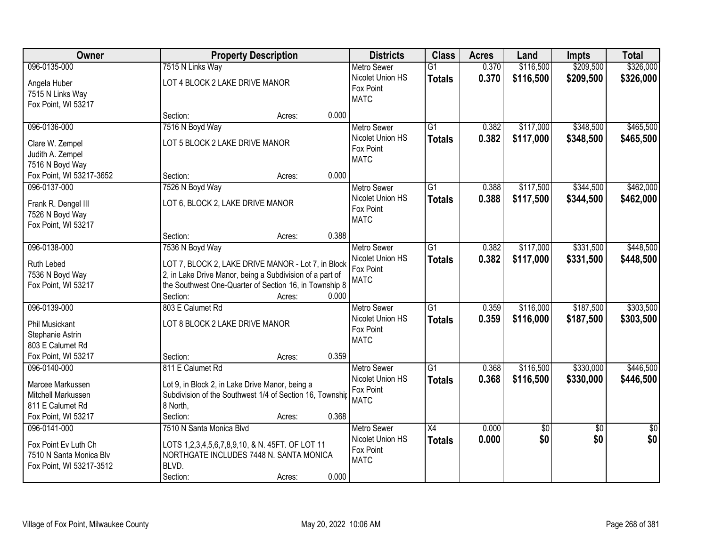| Owner                                  |                                                          | <b>Property Description</b>                                     |       | <b>Districts</b>   | <b>Class</b>    | <b>Acres</b> | Land       | <b>Impts</b>    | <b>Total</b>    |
|----------------------------------------|----------------------------------------------------------|-----------------------------------------------------------------|-------|--------------------|-----------------|--------------|------------|-----------------|-----------------|
| 096-0135-000                           | 7515 N Links Way                                         |                                                                 |       | <b>Metro Sewer</b> | $\overline{G1}$ | 0.370        | \$116,500  | \$209,500       | \$326,000       |
| Angela Huber<br>7515 N Links Way       |                                                          | Nicolet Union HS<br>LOT 4 BLOCK 2 LAKE DRIVE MANOR<br>Fox Point |       |                    | <b>Totals</b>   | 0.370        | \$116,500  | \$209,500       | \$326,000       |
| Fox Point, WI 53217                    |                                                          |                                                                 |       | <b>MATC</b>        |                 |              |            |                 |                 |
|                                        | Section:                                                 | Acres:                                                          | 0.000 |                    |                 |              |            |                 |                 |
| 096-0136-000                           | 7516 N Boyd Way                                          |                                                                 |       | <b>Metro Sewer</b> | $\overline{G1}$ | 0.382        | \$117,000  | \$348,500       | \$465,500       |
| Clare W. Zempel                        | LOT 5 BLOCK 2 LAKE DRIVE MANOR                           |                                                                 |       | Nicolet Union HS   | <b>Totals</b>   | 0.382        | \$117,000  | \$348,500       | \$465,500       |
| Judith A. Zempel                       |                                                          |                                                                 |       | Fox Point          |                 |              |            |                 |                 |
| 7516 N Boyd Way                        |                                                          |                                                                 |       | <b>MATC</b>        |                 |              |            |                 |                 |
| Fox Point, WI 53217-3652               | Section:                                                 | Acres:                                                          | 0.000 |                    |                 |              |            |                 |                 |
| 096-0137-000                           | 7526 N Boyd Way                                          |                                                                 |       | <b>Metro Sewer</b> | $\overline{G1}$ | 0.388        | \$117,500  | \$344,500       | \$462,000       |
|                                        |                                                          |                                                                 |       | Nicolet Union HS   | <b>Totals</b>   | 0.388        | \$117,500  | \$344,500       | \$462,000       |
| Frank R. Dengel III                    | LOT 6, BLOCK 2, LAKE DRIVE MANOR                         |                                                                 |       | Fox Point          |                 |              |            |                 |                 |
| 7526 N Boyd Way<br>Fox Point, WI 53217 |                                                          |                                                                 |       | <b>MATC</b>        |                 |              |            |                 |                 |
|                                        | Section:                                                 | Acres:                                                          | 0.388 |                    |                 |              |            |                 |                 |
| 096-0138-000                           | 7536 N Boyd Way                                          |                                                                 |       | <b>Metro Sewer</b> | $\overline{G1}$ | 0.382        | \$117,000  | \$331,500       | \$448,500       |
|                                        |                                                          |                                                                 |       | Nicolet Union HS   |                 | 0.382        |            |                 |                 |
| Ruth Lebed                             | LOT 7, BLOCK 2, LAKE DRIVE MANOR - Lot 7, in Block       |                                                                 |       | Fox Point          | <b>Totals</b>   |              | \$117,000  | \$331,500       | \$448,500       |
| 7536 N Boyd Way                        | 2, in Lake Drive Manor, being a Subdivision of a part of |                                                                 |       | <b>MATC</b>        |                 |              |            |                 |                 |
| Fox Point, WI 53217                    | the Southwest One-Quarter of Section 16, in Township 8   |                                                                 |       |                    |                 |              |            |                 |                 |
|                                        | Section:                                                 | Acres:                                                          | 0.000 |                    |                 |              |            |                 |                 |
| 096-0139-000                           | 803 E Calumet Rd                                         |                                                                 |       | <b>Metro Sewer</b> | $\overline{G1}$ | 0.359        | \$116,000  | \$187,500       | \$303,500       |
| <b>Phil Musickant</b>                  | LOT 8 BLOCK 2 LAKE DRIVE MANOR                           |                                                                 |       | Nicolet Union HS   | <b>Totals</b>   | 0.359        | \$116,000  | \$187,500       | \$303,500       |
| Stephanie Astrin                       |                                                          |                                                                 |       | Fox Point          |                 |              |            |                 |                 |
| 803 E Calumet Rd                       |                                                          |                                                                 |       | <b>MATC</b>        |                 |              |            |                 |                 |
| Fox Point, WI 53217                    | Section:                                                 | Acres:                                                          | 0.359 |                    |                 |              |            |                 |                 |
| 096-0140-000                           | 811 E Calumet Rd                                         |                                                                 |       | Metro Sewer        | G1              | 0.368        | \$116,500  | \$330,000       | \$446,500       |
|                                        |                                                          |                                                                 |       | Nicolet Union HS   | <b>Totals</b>   | 0.368        | \$116,500  | \$330,000       | \$446,500       |
| Marcee Markussen                       | Lot 9, in Block 2, in Lake Drive Manor, being a          |                                                                 |       | Fox Point          |                 |              |            |                 |                 |
| Mitchell Markussen                     | Subdivision of the Southwest 1/4 of Section 16, Township |                                                                 |       | <b>MATC</b>        |                 |              |            |                 |                 |
| 811 E Calumet Rd                       | 8 North,                                                 |                                                                 |       |                    |                 |              |            |                 |                 |
| Fox Point, WI 53217                    | Section:                                                 | Acres:                                                          | 0.368 |                    |                 |              |            |                 |                 |
| 096-0141-000                           | 7510 N Santa Monica Blvd                                 |                                                                 |       | <b>Metro Sewer</b> | $\overline{X4}$ | 0.000        | $\sqrt{6}$ | $\overline{50}$ | $\overline{50}$ |
| Fox Point Ev Luth Ch                   | LOTS 1,2,3,4,5,6,7,8,9,10, & N. 45FT. OF LOT 11          |                                                                 |       | Nicolet Union HS   | <b>Totals</b>   | 0.000        | \$0        | \$0             | \$0             |
| 7510 N Santa Monica Blv                | NORTHGATE INCLUDES 7448 N. SANTA MONICA                  |                                                                 |       | Fox Point          |                 |              |            |                 |                 |
| Fox Point, WI 53217-3512               | BLVD.                                                    |                                                                 |       | <b>MATC</b>        |                 |              |            |                 |                 |
|                                        | Section:                                                 | Acres:                                                          | 0.000 |                    |                 |              |            |                 |                 |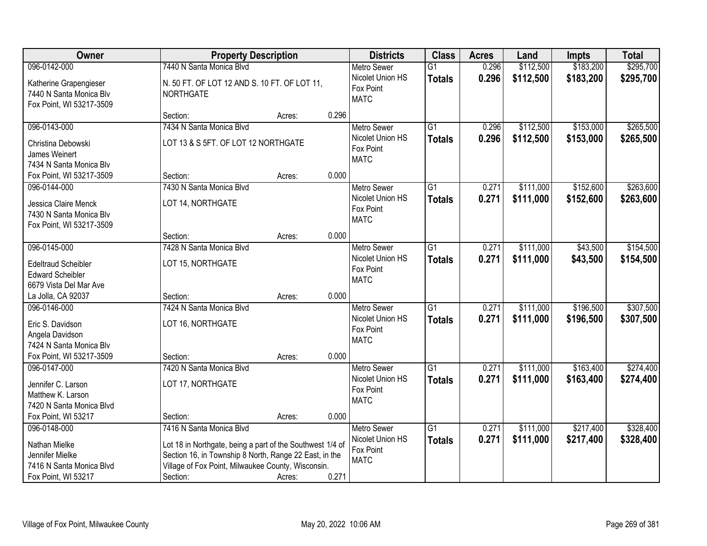| Owner                                                                                                      | <b>Property Description</b>                                                                                                                                                                                       |        |       | <b>Districts</b>                                                   | <b>Class</b>                     | <b>Acres</b>   | Land                   | <b>Impts</b>           | <b>Total</b>           |
|------------------------------------------------------------------------------------------------------------|-------------------------------------------------------------------------------------------------------------------------------------------------------------------------------------------------------------------|--------|-------|--------------------------------------------------------------------|----------------------------------|----------------|------------------------|------------------------|------------------------|
| 096-0142-000                                                                                               | 7440 N Santa Monica Blvd                                                                                                                                                                                          |        |       | <b>Metro Sewer</b>                                                 | $\overline{G1}$                  | 0.296          | \$112,500              | \$183,200              | \$295,700              |
| Katherine Grapengieser<br>7440 N Santa Monica Blv<br>Fox Point, WI 53217-3509                              | N. 50 FT. OF LOT 12 AND S. 10 FT. OF LOT 11,<br><b>NORTHGATE</b>                                                                                                                                                  |        |       | Nicolet Union HS<br>Fox Point<br><b>MATC</b>                       | <b>Totals</b>                    | 0.296          | \$112,500              | \$183,200              | \$295,700              |
|                                                                                                            | Section:                                                                                                                                                                                                          | Acres: | 0.296 |                                                                    |                                  |                |                        |                        |                        |
| 096-0143-000<br>Christina Debowski<br>James Weinert<br>7434 N Santa Monica Blv                             | 7434 N Santa Monica Blvd<br>LOT 13 & S 5FT. OF LOT 12 NORTHGATE                                                                                                                                                   |        |       | <b>Metro Sewer</b><br>Nicolet Union HS<br>Fox Point<br><b>MATC</b> | $\overline{G1}$<br><b>Totals</b> | 0.296<br>0.296 | \$112,500<br>\$112,500 | \$153,000<br>\$153,000 | \$265,500<br>\$265,500 |
| Fox Point, WI 53217-3509                                                                                   | Section:                                                                                                                                                                                                          | Acres: | 0.000 |                                                                    |                                  |                |                        |                        |                        |
| 096-0144-000<br>Jessica Claire Menck<br>7430 N Santa Monica Blv<br>Fox Point, WI 53217-3509                | 7430 N Santa Monica Blvd<br>LOT 14, NORTHGATE                                                                                                                                                                     |        |       | Metro Sewer<br>Nicolet Union HS<br>Fox Point<br><b>MATC</b>        | $\overline{G1}$<br><b>Totals</b> | 0.271<br>0.271 | \$111,000<br>\$111,000 | \$152,600<br>\$152,600 | \$263,600<br>\$263,600 |
|                                                                                                            | Section:                                                                                                                                                                                                          | Acres: | 0.000 |                                                                    |                                  |                |                        |                        |                        |
| 096-0145-000<br><b>Edeltraud Scheibler</b><br><b>Edward Scheibler</b><br>6679 Vista Del Mar Ave            | 7428 N Santa Monica Blvd<br>LOT 15, NORTHGATE                                                                                                                                                                     |        |       | <b>Metro Sewer</b><br>Nicolet Union HS<br>Fox Point<br><b>MATC</b> | G1<br><b>Totals</b>              | 0.271<br>0.271 | \$111,000<br>\$111,000 | \$43,500<br>\$43,500   | \$154,500<br>\$154,500 |
| La Jolla, CA 92037                                                                                         | Section:                                                                                                                                                                                                          | Acres: | 0.000 |                                                                    |                                  |                |                        |                        |                        |
| 096-0146-000<br>Eric S. Davidson<br>Angela Davidson<br>7424 N Santa Monica Blv<br>Fox Point, WI 53217-3509 | 7424 N Santa Monica Blvd<br>LOT 16, NORTHGATE<br>Section:                                                                                                                                                         | Acres: | 0.000 | <b>Metro Sewer</b><br>Nicolet Union HS<br>Fox Point<br><b>MATC</b> | $\overline{G1}$<br><b>Totals</b> | 0.271<br>0.271 | \$111,000<br>\$111,000 | \$196,500<br>\$196,500 | \$307,500<br>\$307,500 |
| 096-0147-000                                                                                               | 7420 N Santa Monica Blvd                                                                                                                                                                                          |        |       | Metro Sewer                                                        | G1                               | 0.271          | \$111,000              | \$163,400              | \$274,400              |
| Jennifer C. Larson<br>Matthew K. Larson<br>7420 N Santa Monica Blvd                                        | LOT 17, NORTHGATE                                                                                                                                                                                                 |        |       | Nicolet Union HS<br>Fox Point<br><b>MATC</b>                       | <b>Totals</b>                    | 0.271          | \$111,000              | \$163,400              | \$274,400              |
| Fox Point, WI 53217                                                                                        | Section:                                                                                                                                                                                                          | Acres: | 0.000 |                                                                    |                                  |                |                        |                        |                        |
| 096-0148-000<br>Nathan Mielke<br>Jennifer Mielke<br>7416 N Santa Monica Blvd<br>Fox Point, WI 53217        | 7416 N Santa Monica Blvd<br>Lot 18 in Northgate, being a part of the Southwest 1/4 of<br>Section 16, in Township 8 North, Range 22 East, in the<br>Village of Fox Point, Milwaukee County, Wisconsin.<br>Section: | Acres: | 0.271 | <b>Metro Sewer</b><br>Nicolet Union HS<br>Fox Point<br><b>MATC</b> | $\overline{G1}$<br><b>Totals</b> | 0.271<br>0.271 | \$111,000<br>\$111,000 | \$217,400<br>\$217,400 | \$328,400<br>\$328,400 |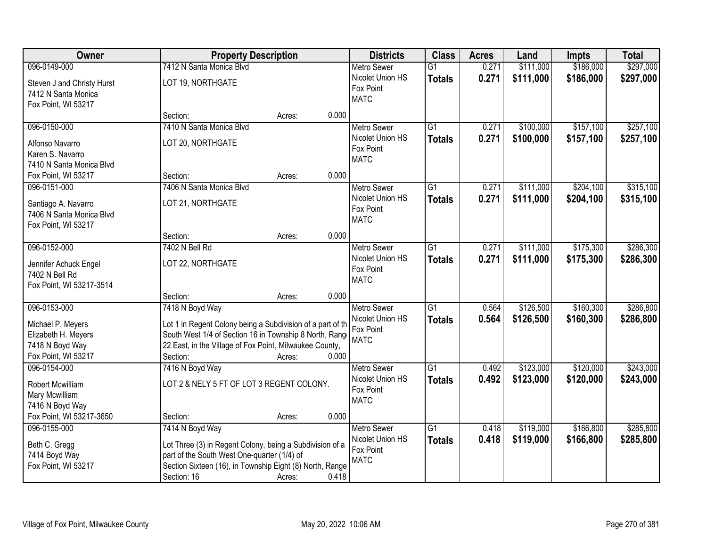| Owner                                                                                              |                                                                                                                                                                                                                 | <b>Property Description</b> |       | <b>Districts</b>                                                   | <b>Class</b>                     | <b>Acres</b>   | Land                   | <b>Impts</b>           | <b>Total</b>           |
|----------------------------------------------------------------------------------------------------|-----------------------------------------------------------------------------------------------------------------------------------------------------------------------------------------------------------------|-----------------------------|-------|--------------------------------------------------------------------|----------------------------------|----------------|------------------------|------------------------|------------------------|
| 096-0149-000                                                                                       | 7412 N Santa Monica Blvd                                                                                                                                                                                        |                             |       | <b>Metro Sewer</b>                                                 | $\overline{G1}$                  | 0.271          | \$111,000              | \$186,000              | \$297,000              |
| Steven J and Christy Hurst<br>7412 N Santa Monica<br>Fox Point, WI 53217                           | LOT 19, NORTHGATE                                                                                                                                                                                               |                             |       | Nicolet Union HS<br>Fox Point<br><b>MATC</b>                       | <b>Totals</b>                    | 0.271          | \$111,000              | \$186,000              | \$297,000              |
|                                                                                                    | Section:                                                                                                                                                                                                        | Acres:                      | 0.000 |                                                                    |                                  |                |                        |                        |                        |
| 096-0150-000<br>Alfonso Navarro<br>Karen S. Navarro<br>7410 N Santa Monica Blvd                    | 7410 N Santa Monica Blyd<br>LOT 20, NORTHGATE                                                                                                                                                                   |                             |       | <b>Metro Sewer</b><br>Nicolet Union HS<br>Fox Point<br><b>MATC</b> | $\overline{G1}$<br><b>Totals</b> | 0.271<br>0.271 | \$100,000<br>\$100,000 | \$157,100<br>\$157,100 | \$257,100<br>\$257,100 |
| Fox Point, WI 53217                                                                                | Section:                                                                                                                                                                                                        | Acres:                      | 0.000 |                                                                    |                                  |                |                        |                        |                        |
| 096-0151-000<br>Santiago A. Navarro<br>7406 N Santa Monica Blvd<br>Fox Point, WI 53217             | 7406 N Santa Monica Blvd<br>LOT 21, NORTHGATE                                                                                                                                                                   |                             |       | <b>Metro Sewer</b><br>Nicolet Union HS<br>Fox Point<br><b>MATC</b> | $\overline{G1}$<br><b>Totals</b> | 0.271<br>0.271 | \$111,000<br>\$111,000 | \$204,100<br>\$204,100 | \$315,100<br>\$315,100 |
|                                                                                                    | Section:                                                                                                                                                                                                        | Acres:                      | 0.000 |                                                                    |                                  |                |                        |                        |                        |
| 096-0152-000<br>Jennifer Achuck Engel<br>7402 N Bell Rd<br>Fox Point, WI 53217-3514                | 7402 N Bell Rd<br>LOT 22, NORTHGATE                                                                                                                                                                             |                             |       | <b>Metro Sewer</b><br>Nicolet Union HS<br>Fox Point<br><b>MATC</b> | $\overline{G1}$<br><b>Totals</b> | 0.271<br>0.271 | \$111,000<br>\$111,000 | \$175,300<br>\$175,300 | \$286,300<br>\$286,300 |
|                                                                                                    | Section:                                                                                                                                                                                                        | Acres:                      | 0.000 |                                                                    |                                  |                |                        |                        |                        |
| 096-0153-000<br>Michael P. Meyers<br>Elizabeth H. Meyers<br>7418 N Boyd Way<br>Fox Point, WI 53217 | 7418 N Boyd Way<br>Lot 1 in Regent Colony being a Subdivision of a part of th<br>South West 1/4 of Section 16 in Township 8 North, Range<br>22 East, in the Village of Fox Point, Milwaukee County,<br>Section: | Acres:                      | 0.000 | <b>Metro Sewer</b><br>Nicolet Union HS<br>Fox Point<br><b>MATC</b> | $\overline{G1}$<br><b>Totals</b> | 0.564<br>0.564 | \$126,500<br>\$126,500 | \$160,300<br>\$160,300 | \$286,800<br>\$286,800 |
| 096-0154-000<br>Robert Mcwilliam<br>Mary Mcwilliam<br>7416 N Boyd Way<br>Fox Point, WI 53217-3650  | 7416 N Boyd Way<br>LOT 2 & NELY 5 FT OF LOT 3 REGENT COLONY.<br>Section:                                                                                                                                        | Acres:                      | 0.000 | Metro Sewer<br>Nicolet Union HS<br>Fox Point<br><b>MATC</b>        | G1<br><b>Totals</b>              | 0.492<br>0.492 | \$123,000<br>\$123,000 | \$120,000<br>\$120,000 | \$243,000<br>\$243,000 |
| 096-0155-000<br>Beth C. Gregg<br>7414 Boyd Way<br>Fox Point, WI 53217                              | 7414 N Boyd Way<br>Lot Three (3) in Regent Colony, being a Subdivision of a<br>part of the South West One-quarter (1/4) of<br>Section Sixteen (16), in Township Eight (8) North, Range<br>Section: 16           | Acres:                      | 0.418 | <b>Metro Sewer</b><br>Nicolet Union HS<br>Fox Point<br><b>MATC</b> | G1<br><b>Totals</b>              | 0.418<br>0.418 | \$119,000<br>\$119,000 | \$166,800<br>\$166,800 | \$285,800<br>\$285,800 |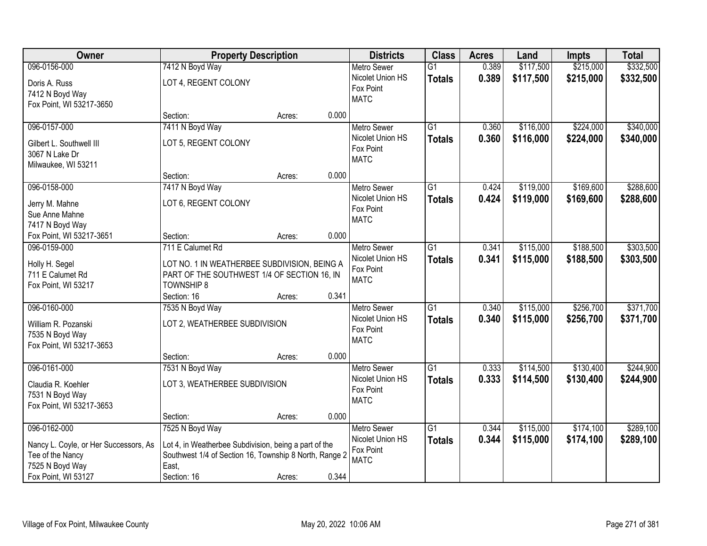| Owner                                 |                                                        | <b>Property Description</b> |       | <b>Districts</b>   | <b>Class</b>    | <b>Acres</b> | Land      | <b>Impts</b> | <b>Total</b> |
|---------------------------------------|--------------------------------------------------------|-----------------------------|-------|--------------------|-----------------|--------------|-----------|--------------|--------------|
| 096-0156-000                          | 7412 N Boyd Way                                        |                             |       | Metro Sewer        | $\overline{G1}$ | 0.389        | \$117,500 | \$215,000    | \$332,500    |
| Doris A. Russ                         | LOT 4, REGENT COLONY                                   |                             |       | Nicolet Union HS   | <b>Totals</b>   | 0.389        | \$117,500 | \$215,000    | \$332,500    |
| 7412 N Boyd Way                       |                                                        |                             |       | Fox Point          |                 |              |           |              |              |
| Fox Point, WI 53217-3650              |                                                        |                             |       | <b>MATC</b>        |                 |              |           |              |              |
|                                       | Section:                                               | Acres:                      | 0.000 |                    |                 |              |           |              |              |
| 096-0157-000                          | 7411 N Boyd Way                                        |                             |       | <b>Metro Sewer</b> | $\overline{G1}$ | 0.360        | \$116,000 | \$224,000    | \$340,000    |
| Gilbert L. Southwell III              | LOT 5, REGENT COLONY                                   |                             |       | Nicolet Union HS   | <b>Totals</b>   | 0.360        | \$116,000 | \$224,000    | \$340,000    |
| 3067 N Lake Dr                        |                                                        |                             |       | Fox Point          |                 |              |           |              |              |
| Milwaukee, WI 53211                   |                                                        |                             |       | <b>MATC</b>        |                 |              |           |              |              |
|                                       | Section:                                               | Acres:                      | 0.000 |                    |                 |              |           |              |              |
| 096-0158-000                          | 7417 N Boyd Way                                        |                             |       | Metro Sewer        | $\overline{G1}$ | 0.424        | \$119,000 | \$169,600    | \$288,600    |
| Jerry M. Mahne                        | LOT 6, REGENT COLONY                                   |                             |       | Nicolet Union HS   | <b>Totals</b>   | 0.424        | \$119,000 | \$169,600    | \$288,600    |
| Sue Anne Mahne                        |                                                        |                             |       | Fox Point          |                 |              |           |              |              |
| 7417 N Boyd Way                       |                                                        |                             |       | <b>MATC</b>        |                 |              |           |              |              |
| Fox Point, WI 53217-3651              | Section:                                               | Acres:                      | 0.000 |                    |                 |              |           |              |              |
| 096-0159-000                          | 711 E Calumet Rd                                       |                             |       | Metro Sewer        | $\overline{G1}$ | 0.341        | \$115,000 | \$188,500    | \$303,500    |
| Holly H. Segel                        | LOT NO. 1 IN WEATHERBEE SUBDIVISION, BEING A           |                             |       | Nicolet Union HS   | <b>Totals</b>   | 0.341        | \$115,000 | \$188,500    | \$303,500    |
| 711 E Calumet Rd                      | PART OF THE SOUTHWEST 1/4 OF SECTION 16, IN            |                             |       | Fox Point          |                 |              |           |              |              |
| Fox Point, WI 53217                   | <b>TOWNSHIP 8</b>                                      |                             |       | <b>MATC</b>        |                 |              |           |              |              |
|                                       | Section: 16                                            | Acres:                      | 0.341 |                    |                 |              |           |              |              |
| 096-0160-000                          | 7535 N Boyd Way                                        |                             |       | Metro Sewer        | $\overline{G1}$ | 0.340        | \$115,000 | \$256,700    | \$371,700    |
| William R. Pozanski                   | LOT 2, WEATHERBEE SUBDIVISION                          |                             |       | Nicolet Union HS   | <b>Totals</b>   | 0.340        | \$115,000 | \$256,700    | \$371,700    |
| 7535 N Boyd Way                       |                                                        |                             |       | Fox Point          |                 |              |           |              |              |
| Fox Point, WI 53217-3653              |                                                        |                             |       | <b>MATC</b>        |                 |              |           |              |              |
|                                       | Section:                                               | Acres:                      | 0.000 |                    |                 |              |           |              |              |
| 096-0161-000                          | 7531 N Boyd Way                                        |                             |       | Metro Sewer        | $\overline{G1}$ | 0.333        | \$114,500 | \$130,400    | \$244,900    |
| Claudia R. Koehler                    | LOT 3, WEATHERBEE SUBDIVISION                          |                             |       | Nicolet Union HS   | <b>Totals</b>   | 0.333        | \$114,500 | \$130,400    | \$244,900    |
| 7531 N Boyd Way                       |                                                        |                             |       | Fox Point          |                 |              |           |              |              |
| Fox Point, WI 53217-3653              |                                                        |                             |       | <b>MATC</b>        |                 |              |           |              |              |
|                                       | Section:                                               | Acres:                      | 0.000 |                    |                 |              |           |              |              |
| 096-0162-000                          | 7525 N Boyd Way                                        |                             |       | <b>Metro Sewer</b> | $\overline{G1}$ | 0.344        | \$115,000 | \$174,100    | \$289,100    |
| Nancy L. Coyle, or Her Successors, As | Lot 4, in Weatherbee Subdivision, being a part of the  |                             |       | Nicolet Union HS   | <b>Totals</b>   | 0.344        | \$115,000 | \$174,100    | \$289,100    |
| Tee of the Nancy                      | Southwest 1/4 of Section 16, Township 8 North, Range 2 |                             |       | Fox Point          |                 |              |           |              |              |
| 7525 N Boyd Way                       | East,                                                  |                             |       | <b>MATC</b>        |                 |              |           |              |              |
| Fox Point, WI 53127                   | Section: 16                                            | Acres:                      | 0.344 |                    |                 |              |           |              |              |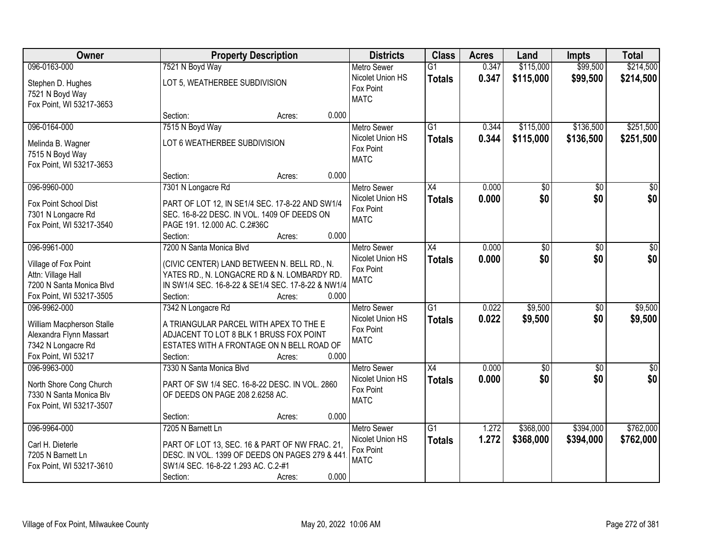| Owner                                                                                              |                                                                                                                                                                          | <b>Property Description</b> |       |                                                                    | <b>Class</b>                     | <b>Acres</b>   | Land                   | <b>Impts</b>           | <b>Total</b>           |
|----------------------------------------------------------------------------------------------------|--------------------------------------------------------------------------------------------------------------------------------------------------------------------------|-----------------------------|-------|--------------------------------------------------------------------|----------------------------------|----------------|------------------------|------------------------|------------------------|
| 096-0163-000                                                                                       | 7521 N Boyd Way                                                                                                                                                          |                             |       | <b>Metro Sewer</b>                                                 | $\overline{G1}$                  | 0.347          | \$115,000              | \$99,500               | \$214,500              |
| Stephen D. Hughes<br>7521 N Boyd Way<br>Fox Point, WI 53217-3653                                   | LOT 5, WEATHERBEE SUBDIVISION                                                                                                                                            |                             |       | Nicolet Union HS<br>Fox Point<br><b>MATC</b>                       | <b>Totals</b>                    | 0.347          | \$115,000              | \$99,500               | \$214,500              |
|                                                                                                    | Section:                                                                                                                                                                 | Acres:                      | 0.000 |                                                                    |                                  |                |                        |                        |                        |
| 096-0164-000<br>Melinda B. Wagner                                                                  | 7515 N Boyd Way<br>LOT 6 WEATHERBEE SUBDIVISION                                                                                                                          |                             |       | <b>Metro Sewer</b><br>Nicolet Union HS<br>Fox Point                | $\overline{G1}$<br><b>Totals</b> | 0.344<br>0.344 | \$115,000<br>\$115,000 | \$136,500<br>\$136,500 | \$251,500<br>\$251,500 |
| 7515 N Boyd Way<br>Fox Point, WI 53217-3653                                                        | Section:                                                                                                                                                                 | Acres:                      | 0.000 | <b>MATC</b>                                                        |                                  |                |                        |                        |                        |
| 096-9960-000                                                                                       | 7301 N Longacre Rd                                                                                                                                                       |                             |       | <b>Metro Sewer</b>                                                 | X4                               | 0.000          | \$0                    | \$0                    | $\overline{30}$        |
| Fox Point School Dist<br>7301 N Longacre Rd<br>Fox Point, WI 53217-3540                            | PART OF LOT 12, IN SE1/4 SEC. 17-8-22 AND SW1/4<br>SEC. 16-8-22 DESC. IN VOL. 1409 OF DEEDS ON<br>PAGE 191. 12.000 AC. C.2#36C<br>Section:                               | Acres:                      | 0.000 | Nicolet Union HS<br>Fox Point<br><b>MATC</b>                       | <b>Totals</b>                    | 0.000          | \$0                    | \$0                    | \$0                    |
| 096-9961-000                                                                                       | 7200 N Santa Monica Blvd                                                                                                                                                 |                             |       | <b>Metro Sewer</b>                                                 | X4                               | 0.000          | \$0                    | $\sqrt[6]{3}$          | $\sqrt{50}$            |
| Village of Fox Point<br>Attn: Village Hall<br>7200 N Santa Monica Blvd<br>Fox Point, WI 53217-3505 | (CIVIC CENTER) LAND BETWEEN N. BELL RD., N.<br>YATES RD., N. LONGACRE RD & N. LOMBARDY RD.<br>IN SW1/4 SEC. 16-8-22 & SE1/4 SEC. 17-8-22 & NW1/4<br>Section:             | Acres:                      | 0.000 | Nicolet Union HS<br>Fox Point<br><b>MATC</b>                       | <b>Totals</b>                    | 0.000          | \$0                    | \$0                    | \$0                    |
| 096-9962-000                                                                                       | 7342 N Longacre Rd                                                                                                                                                       |                             |       | <b>Metro Sewer</b>                                                 | $\overline{G1}$                  | 0.022          | \$9,500                | \$0                    | \$9,500                |
| William Macpherson Stalle<br>Alexandra Flynn Massart<br>7342 N Longacre Rd<br>Fox Point, WI 53217  | A TRIANGULAR PARCEL WITH APEX TO THE E<br>ADJACENT TO LOT 8 BLK 1 BRUSS FOX POINT<br>ESTATES WITH A FRONTAGE ON N BELL ROAD OF<br>Section:                               | Acres:                      | 0.000 | Nicolet Union HS<br>Fox Point<br><b>MATC</b>                       | <b>Totals</b>                    | 0.022          | \$9,500                | \$0                    | \$9,500                |
| 096-9963-000                                                                                       | 7330 N Santa Monica Blvd                                                                                                                                                 |                             |       | Metro Sewer                                                        | X4                               | 0.000          | $\overline{50}$        | $\overline{50}$        | $\overline{\$0}$       |
| North Shore Cong Church<br>7330 N Santa Monica Blv<br>Fox Point, WI 53217-3507                     | PART OF SW 1/4 SEC. 16-8-22 DESC. IN VOL. 2860<br>OF DEEDS ON PAGE 208 2.6258 AC.                                                                                        |                             |       | Nicolet Union HS<br>Fox Point<br><b>MATC</b>                       | <b>Totals</b>                    | 0.000          | \$0                    | \$0                    | \$0                    |
|                                                                                                    | Section:                                                                                                                                                                 | Acres:                      | 0.000 |                                                                    |                                  |                |                        |                        |                        |
| 096-9964-000<br>Carl H. Dieterle<br>7205 N Barnett Ln<br>Fox Point, WI 53217-3610                  | 7205 N Barnett Ln<br>PART OF LOT 13, SEC. 16 & PART OF NW FRAC. 21,<br>DESC. IN VOL. 1399 OF DEEDS ON PAGES 279 & 441<br>SW1/4 SEC. 16-8-22 1.293 AC. C.2-#1<br>Section: | Acres:                      | 0.000 | <b>Metro Sewer</b><br>Nicolet Union HS<br>Fox Point<br><b>MATC</b> | $\overline{G1}$<br><b>Totals</b> | 1.272<br>1.272 | \$368,000<br>\$368,000 | \$394,000<br>\$394,000 | \$762,000<br>\$762,000 |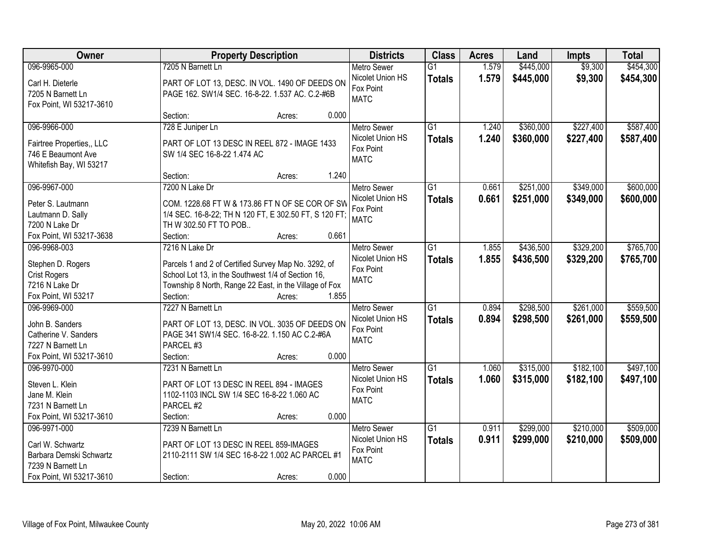| Owner                     | <b>Property Description</b>                            | <b>Districts</b> | <b>Class</b>             | <b>Acres</b>    | Land  | <b>Impts</b> | <b>Total</b> |           |
|---------------------------|--------------------------------------------------------|------------------|--------------------------|-----------------|-------|--------------|--------------|-----------|
| 096-9965-000              | 7205 N Barnett Ln                                      |                  | <b>Metro Sewer</b>       | $\overline{G1}$ | 1.579 | \$445,000    | \$9,300      | \$454,300 |
| Carl H. Dieterle          | PART OF LOT 13, DESC. IN VOL. 1490 OF DEEDS ON         |                  | Nicolet Union HS         | <b>Totals</b>   | 1.579 | \$445,000    | \$9,300      | \$454,300 |
| 7205 N Barnett Ln         | PAGE 162. SW1/4 SEC. 16-8-22. 1.537 AC. C.2-#6B        |                  | Fox Point                |                 |       |              |              |           |
| Fox Point, WI 53217-3610  |                                                        |                  | <b>MATC</b>              |                 |       |              |              |           |
|                           | Section:                                               | Acres:           | 0.000                    |                 |       |              |              |           |
| 096-9966-000              | 728 E Juniper Ln                                       |                  | <b>Metro Sewer</b>       | $\overline{G1}$ | 1.240 | \$360,000    | \$227,400    | \$587,400 |
| Fairtree Properties,, LLC | PART OF LOT 13 DESC IN REEL 872 - IMAGE 1433           |                  | Nicolet Union HS         | <b>Totals</b>   | 1.240 | \$360,000    | \$227,400    | \$587,400 |
| 746 E Beaumont Ave        | SW 1/4 SEC 16-8-22 1.474 AC                            |                  | Fox Point                |                 |       |              |              |           |
| Whitefish Bay, WI 53217   |                                                        |                  | <b>MATC</b>              |                 |       |              |              |           |
|                           | Section:                                               | Acres:           | 1.240                    |                 |       |              |              |           |
| 096-9967-000              | 7200 N Lake Dr                                         |                  | Metro Sewer              | G1              | 0.661 | \$251,000    | \$349,000    | \$600,000 |
| Peter S. Lautmann         | COM. 1228.68 FT W & 173.86 FT N OF SE COR OF SW        |                  | Nicolet Union HS         | <b>Totals</b>   | 0.661 | \$251,000    | \$349,000    | \$600,000 |
| Lautmann D. Sally         | 1/4 SEC. 16-8-22; TH N 120 FT, E 302.50 FT, S 120 FT;  |                  | Fox Point                |                 |       |              |              |           |
| 7200 N Lake Dr            | TH W 302.50 FT TO POB                                  |                  | <b>MATC</b>              |                 |       |              |              |           |
| Fox Point, WI 53217-3638  | Section:                                               | Acres:           | 0.661                    |                 |       |              |              |           |
| 096-9968-003              | 7216 N Lake Dr                                         |                  | <b>Metro Sewer</b>       | G1              | 1.855 | \$436,500    | \$329,200    | \$765,700 |
|                           |                                                        |                  | Nicolet Union HS         | <b>Totals</b>   | 1.855 | \$436,500    | \$329,200    | \$765,700 |
| Stephen D. Rogers         | Parcels 1 and 2 of Certified Survey Map No. 3292, of   |                  | Fox Point                |                 |       |              |              |           |
| <b>Crist Rogers</b>       | School Lot 13, in the Southwest 1/4 of Section 16,     |                  | <b>MATC</b>              |                 |       |              |              |           |
| 7216 N Lake Dr            | Township 8 North, Range 22 East, in the Village of Fox |                  |                          |                 |       |              |              |           |
| Fox Point, WI 53217       | Section:                                               | Acres:           | 1.855                    |                 |       |              |              |           |
| 096-9969-000              | 7227 N Barnett Ln                                      |                  | <b>Metro Sewer</b>       | $\overline{G1}$ | 0.894 | \$298,500    | \$261,000    | \$559,500 |
| John B. Sanders           | PART OF LOT 13, DESC. IN VOL. 3035 OF DEEDS ON         |                  | Nicolet Union HS         | <b>Totals</b>   | 0.894 | \$298,500    | \$261,000    | \$559,500 |
| Catherine V. Sanders      | PAGE 341 SW1/4 SEC. 16-8-22. 1.150 AC C.2-#6A          |                  | Fox Point<br><b>MATC</b> |                 |       |              |              |           |
| 7227 N Barnett Ln         | PARCEL #3                                              |                  |                          |                 |       |              |              |           |
| Fox Point, WI 53217-3610  | Section:                                               | Acres:           | 0.000                    |                 |       |              |              |           |
| 096-9970-000              | 7231 N Barnett Ln                                      |                  | Metro Sewer              | G1              | 1.060 | \$315,000    | \$182,100    | \$497,100 |
| Steven L. Klein           | PART OF LOT 13 DESC IN REEL 894 - IMAGES               |                  | Nicolet Union HS         | <b>Totals</b>   | 1.060 | \$315,000    | \$182,100    | \$497,100 |
| Jane M. Klein             | 1102-1103 INCL SW 1/4 SEC 16-8-22 1.060 AC             |                  | Fox Point                |                 |       |              |              |           |
| 7231 N Barnett Ln         | PARCEL #2                                              |                  | <b>MATC</b>              |                 |       |              |              |           |
| Fox Point, WI 53217-3610  | Section:                                               | Acres:           | 0.000                    |                 |       |              |              |           |
| 096-9971-000              | 7239 N Barnett Ln                                      |                  | <b>Metro Sewer</b>       | $\overline{G1}$ | 0.911 | \$299,000    | \$210,000    | \$509,000 |
| Carl W. Schwartz          | PART OF LOT 13 DESC IN REEL 859-IMAGES                 |                  | Nicolet Union HS         | <b>Totals</b>   | 0.911 | \$299,000    | \$210,000    | \$509,000 |
| Barbara Demski Schwartz   | 2110-2111 SW 1/4 SEC 16-8-22 1.002 AC PARCEL #1        |                  | Fox Point                |                 |       |              |              |           |
| 7239 N Barnett Ln         |                                                        |                  | <b>MATC</b>              |                 |       |              |              |           |
| Fox Point, WI 53217-3610  | Section:                                               | Acres:           | 0.000                    |                 |       |              |              |           |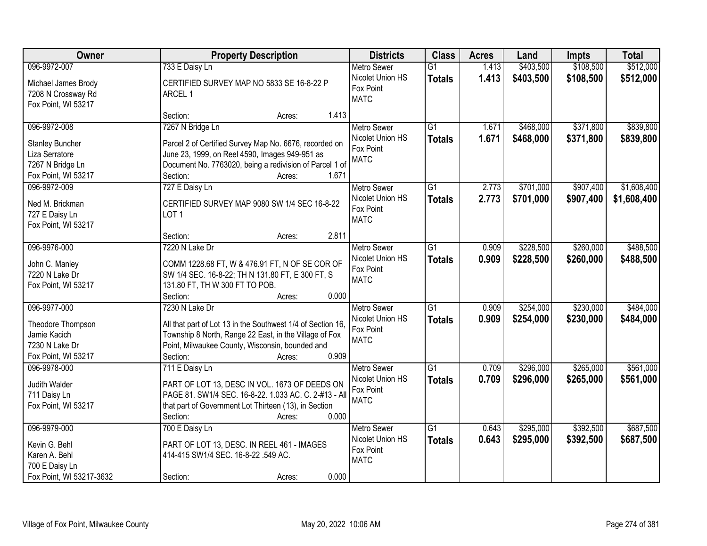| Owner                    | <b>Property Description</b>                                 | <b>Districts</b>   | <b>Class</b>    | <b>Acres</b> | Land      | <b>Impts</b> | <b>Total</b> |
|--------------------------|-------------------------------------------------------------|--------------------|-----------------|--------------|-----------|--------------|--------------|
| 096-9972-007             | 733 E Daisy Ln                                              | <b>Metro Sewer</b> | $\overline{G1}$ | 1.413        | \$403,500 | \$108,500    | \$512,000    |
| Michael James Brody      | CERTIFIED SURVEY MAP NO 5833 SE 16-8-22 P                   | Nicolet Union HS   | <b>Totals</b>   | 1.413        | \$403,500 | \$108,500    | \$512,000    |
| 7208 N Crossway Rd       | ARCEL 1                                                     | Fox Point          |                 |              |           |              |              |
| Fox Point, WI 53217      |                                                             | <b>MATC</b>        |                 |              |           |              |              |
|                          | 1.413<br>Section:<br>Acres:                                 |                    |                 |              |           |              |              |
| 096-9972-008             | 7267 N Bridge Ln                                            | <b>Metro Sewer</b> | $\overline{G1}$ | 1.671        | \$468,000 | \$371,800    | \$839,800    |
| <b>Stanley Buncher</b>   | Parcel 2 of Certified Survey Map No. 6676, recorded on      | Nicolet Union HS   | <b>Totals</b>   | 1.671        | \$468,000 | \$371,800    | \$839,800    |
| Liza Serratore           | June 23, 1999, on Reel 4590, Images 949-951 as              | Fox Point          |                 |              |           |              |              |
| 7267 N Bridge Ln         | Document No. 7763020, being a redivision of Parcel 1 of     | <b>MATC</b>        |                 |              |           |              |              |
| Fox Point, WI 53217      | 1.671<br>Section:<br>Acres:                                 |                    |                 |              |           |              |              |
| 096-9972-009             | 727 E Daisy Ln                                              | Metro Sewer        | G1              | 2.773        | \$701,000 | \$907,400    | \$1,608,400  |
|                          |                                                             | Nicolet Union HS   | <b>Totals</b>   | 2.773        | \$701,000 | \$907,400    | \$1,608,400  |
| Ned M. Brickman          | CERTIFIED SURVEY MAP 9080 SW 1/4 SEC 16-8-22                | Fox Point          |                 |              |           |              |              |
| 727 E Daisy Ln           | LOT <sub>1</sub>                                            | <b>MATC</b>        |                 |              |           |              |              |
| Fox Point, WI 53217      | 2.811<br>Section:<br>Acres:                                 |                    |                 |              |           |              |              |
| 096-9976-000             | 7220 N Lake Dr                                              | <b>Metro Sewer</b> | G1              | 0.909        | \$228,500 | \$260,000    | \$488,500    |
|                          |                                                             | Nicolet Union HS   |                 | 0.909        |           | \$260,000    |              |
| John C. Manley           | COMM 1228.68 FT, W & 476.91 FT, N OF SE COR OF              | Fox Point          | <b>Totals</b>   |              | \$228,500 |              | \$488,500    |
| 7220 N Lake Dr           | SW 1/4 SEC. 16-8-22; TH N 131.80 FT, E 300 FT, S            | <b>MATC</b>        |                 |              |           |              |              |
| Fox Point, WI 53217      | 131.80 FT, TH W 300 FT TO POB.                              |                    |                 |              |           |              |              |
|                          | 0.000<br>Section:<br>Acres:                                 |                    |                 |              |           |              |              |
| 096-9977-000             | 7230 N Lake Dr                                              | <b>Metro Sewer</b> | $\overline{G1}$ | 0.909        | \$254,000 | \$230,000    | \$484,000    |
| Theodore Thompson        | All that part of Lot 13 in the Southwest 1/4 of Section 16, | Nicolet Union HS   | <b>Totals</b>   | 0.909        | \$254,000 | \$230,000    | \$484,000    |
| Jamie Kacich             | Township 8 North, Range 22 East, in the Village of Fox      | Fox Point          |                 |              |           |              |              |
| 7230 N Lake Dr           | Point, Milwaukee County, Wisconsin, bounded and             | <b>MATC</b>        |                 |              |           |              |              |
| Fox Point, WI 53217      | Section:<br>0.909<br>Acres:                                 |                    |                 |              |           |              |              |
| 096-9978-000             | 711 E Daisy Ln                                              | Metro Sewer        | G1              | 0.709        | \$296,000 | \$265,000    | \$561,000    |
|                          |                                                             | Nicolet Union HS   | <b>Totals</b>   | 0.709        | \$296,000 | \$265,000    | \$561,000    |
| Judith Walder            | PART OF LOT 13, DESC IN VOL. 1673 OF DEEDS ON               | Fox Point          |                 |              |           |              |              |
| 711 Daisy Ln             | PAGE 81. SW1/4 SEC. 16-8-22. 1.033 AC. C. 2-#13 - All       | <b>MATC</b>        |                 |              |           |              |              |
| Fox Point, WI 53217      | that part of Government Lot Thirteen (13), in Section       |                    |                 |              |           |              |              |
|                          | 0.000<br>Section:<br>Acres:                                 |                    |                 |              |           |              |              |
| 096-9979-000             | 700 E Daisy Ln                                              | <b>Metro Sewer</b> | $\overline{G1}$ | 0.643        | \$295,000 | \$392,500    | \$687,500    |
| Kevin G. Behl            | PART OF LOT 13, DESC. IN REEL 461 - IMAGES                  | Nicolet Union HS   | <b>Totals</b>   | 0.643        | \$295,000 | \$392,500    | \$687,500    |
| Karen A. Behl            | 414-415 SW1/4 SEC. 16-8-22 .549 AC.                         | Fox Point          |                 |              |           |              |              |
| 700 E Daisy Ln           |                                                             | <b>MATC</b>        |                 |              |           |              |              |
| Fox Point, WI 53217-3632 | 0.000<br>Section:<br>Acres:                                 |                    |                 |              |           |              |              |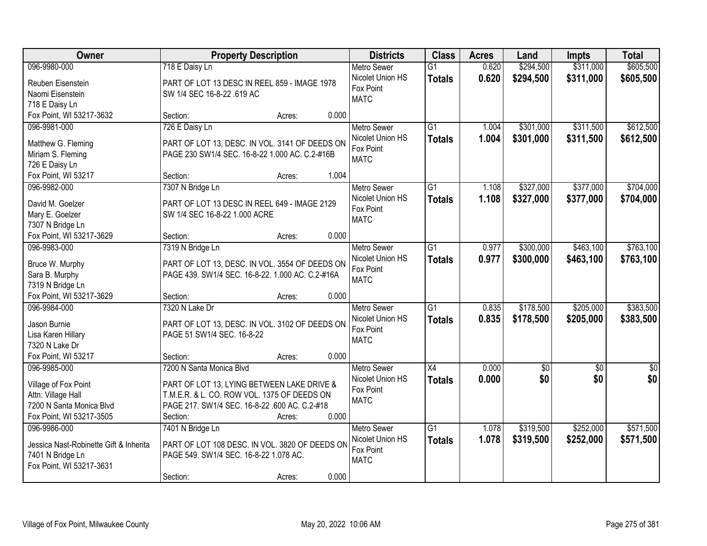| Owner                                  | <b>Property Description</b>                      | <b>Districts</b> | <b>Class</b>       | <b>Acres</b>    | Land  | <b>Impts</b>    | <b>Total</b>    |                 |
|----------------------------------------|--------------------------------------------------|------------------|--------------------|-----------------|-------|-----------------|-----------------|-----------------|
| 096-9980-000                           | 718 E Daisy Ln                                   |                  | <b>Metro Sewer</b> | $\overline{G1}$ | 0.620 | \$294,500       | \$311,000       | \$605,500       |
| Reuben Eisenstein                      | PART OF LOT 13 DESC IN REEL 859 - IMAGE 1978     |                  | Nicolet Union HS   | <b>Totals</b>   | 0.620 | \$294,500       | \$311,000       | \$605,500       |
| Naomi Eisenstein                       | SW 1/4 SEC 16-8-22 .619 AC                       |                  | Fox Point          |                 |       |                 |                 |                 |
| 718 E Daisy Ln                         |                                                  |                  | <b>MATC</b>        |                 |       |                 |                 |                 |
| Fox Point, WI 53217-3632               | Section:                                         | Acres:           | 0.000              |                 |       |                 |                 |                 |
| 096-9981-000                           | 726 E Daisy Ln                                   |                  | <b>Metro Sewer</b> | $\overline{G1}$ | 1.004 | \$301,000       | \$311,500       | \$612,500       |
|                                        |                                                  |                  | Nicolet Union HS   | <b>Totals</b>   | 1.004 | \$301,000       | \$311,500       | \$612,500       |
| Matthew G. Fleming                     | PART OF LOT 13, DESC. IN VOL. 3141 OF DEEDS ON   |                  | Fox Point          |                 |       |                 |                 |                 |
| Miriam S. Fleming                      | PAGE 230 SW1/4 SEC. 16-8-22 1.000 AC. C.2-#16B   |                  | <b>MATC</b>        |                 |       |                 |                 |                 |
| 726 E Daisy Ln                         |                                                  |                  |                    |                 |       |                 |                 |                 |
| Fox Point, WI 53217                    | Section:                                         | Acres:           | 1.004              |                 |       |                 |                 |                 |
| 096-9982-000                           | 7307 N Bridge Ln                                 |                  | Metro Sewer        | G1              | 1.108 | \$327,000       | \$377,000       | \$704,000       |
| David M. Goelzer                       | PART OF LOT 13 DESC IN REEL 649 - IMAGE 2129     |                  | Nicolet Union HS   | <b>Totals</b>   | 1.108 | \$327,000       | \$377,000       | \$704,000       |
| Mary E. Goelzer                        | SW 1/4 SEC 16-8-22 1.000 ACRE                    |                  | Fox Point          |                 |       |                 |                 |                 |
| 7307 N Bridge Ln                       |                                                  |                  | <b>MATC</b>        |                 |       |                 |                 |                 |
| Fox Point, WI 53217-3629               | Section:                                         | Acres:           | 0.000              |                 |       |                 |                 |                 |
| 096-9983-000                           | 7319 N Bridge Ln                                 |                  | <b>Metro Sewer</b> | G1              | 0.977 | \$300,000       | \$463,100       | \$763,100       |
|                                        |                                                  |                  | Nicolet Union HS   | <b>Totals</b>   | 0.977 | \$300,000       | \$463,100       | \$763,100       |
| Bruce W. Murphy                        | PART OF LOT 13, DESC. IN VOL. 3554 OF DEEDS ON   |                  | Fox Point          |                 |       |                 |                 |                 |
| Sara B. Murphy                         | PAGE 439. SW1/4 SEC. 16-8-22. 1.000 AC. C.2-#16A |                  | <b>MATC</b>        |                 |       |                 |                 |                 |
| 7319 N Bridge Ln                       |                                                  |                  |                    |                 |       |                 |                 |                 |
| Fox Point, WI 53217-3629               | Section:                                         | Acres:           | 0.000              |                 |       |                 |                 |                 |
| 096-9984-000                           | 7320 N Lake Dr                                   |                  | <b>Metro Sewer</b> | $\overline{G1}$ | 0.835 | \$178,500       | \$205,000       | \$383,500       |
| Jason Burnie                           | PART OF LOT 13, DESC. IN VOL. 3102 OF DEEDS ON   |                  | Nicolet Union HS   | <b>Totals</b>   | 0.835 | \$178,500       | \$205,000       | \$383,500       |
| Lisa Karen Hillary                     | PAGE 51 SW1/4 SEC. 16-8-22                       |                  | Fox Point          |                 |       |                 |                 |                 |
| 7320 N Lake Dr                         |                                                  |                  | <b>MATC</b>        |                 |       |                 |                 |                 |
| Fox Point, WI 53217                    | Section:                                         | Acres:           | 0.000              |                 |       |                 |                 |                 |
| 096-9985-000                           | 7200 N Santa Monica Blvd                         |                  | Metro Sewer        | $\overline{X4}$ | 0.000 | $\overline{50}$ | $\overline{50}$ | $\overline{50}$ |
|                                        |                                                  |                  | Nicolet Union HS   | <b>Totals</b>   | 0.000 | \$0             | \$0             | \$0             |
| Village of Fox Point                   | PART OF LOT 13, LYING BETWEEN LAKE DRIVE &       |                  | Fox Point          |                 |       |                 |                 |                 |
| Attn: Village Hall                     | T.M.E.R. & L. CO. ROW VOL. 1375 OF DEEDS ON      |                  | <b>MATC</b>        |                 |       |                 |                 |                 |
| 7200 N Santa Monica Blvd               | PAGE 217. SW1/4 SEC. 16-8-22 .600 AC. C.2-#18    |                  |                    |                 |       |                 |                 |                 |
| Fox Point, WI 53217-3505               | Section:                                         | Acres:           | 0.000              |                 |       |                 |                 |                 |
| 096-9986-000                           | 7401 N Bridge Ln                                 |                  | <b>Metro Sewer</b> | $\overline{G1}$ | 1.078 | \$319,500       | \$252,000       | \$571,500       |
| Jessica Nast-Robinette Gift & Inherita | PART OF LOT 108 DESC. IN VOL. 3820 OF DEEDS ON   |                  | Nicolet Union HS   | <b>Totals</b>   | 1.078 | \$319,500       | \$252,000       | \$571,500       |
| 7401 N Bridge Ln                       | PAGE 549. SW1/4 SEC. 16-8-22 1.078 AC.           |                  | Fox Point          |                 |       |                 |                 |                 |
| Fox Point, WI 53217-3631               |                                                  |                  | <b>MATC</b>        |                 |       |                 |                 |                 |
|                                        | Section:                                         | Acres:           | 0.000              |                 |       |                 |                 |                 |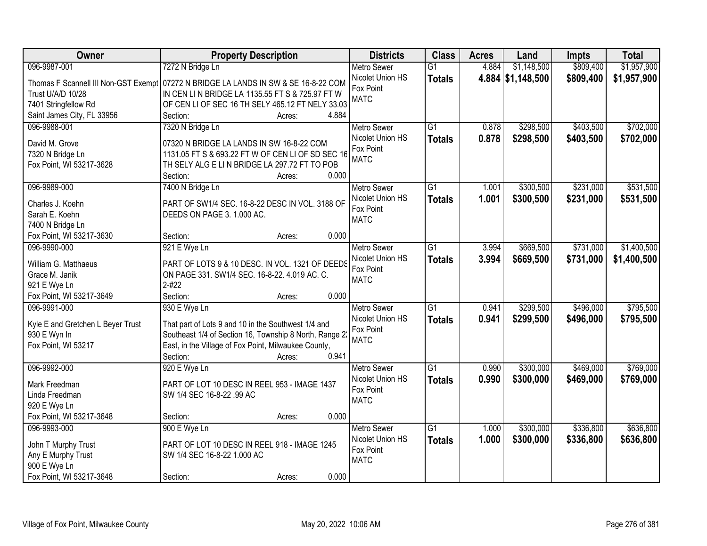| Owner                                        | <b>Property Description</b>                                                                                     |                 | <b>Districts</b>   | <b>Class</b>    | <b>Acres</b> | Land              | <b>Impts</b> | <b>Total</b> |
|----------------------------------------------|-----------------------------------------------------------------------------------------------------------------|-----------------|--------------------|-----------------|--------------|-------------------|--------------|--------------|
| 096-9987-001                                 | 7272 N Bridge Ln                                                                                                |                 | <b>Metro Sewer</b> | $\overline{G1}$ | 4.884        | \$1,148,500       | \$809,400    | \$1,957,900  |
| Thomas F Scannell III Non-GST Exempt         | 07272 N BRIDGE LA LANDS IN SW & SE 16-8-22 COM                                                                  |                 | Nicolet Union HS   | <b>Totals</b>   |              | 4.884 \$1,148,500 | \$809,400    | \$1,957,900  |
| Trust U/A/D 10/28                            | IN CEN LIN BRIDGE LA 1135.55 FT S & 725.97 FT W                                                                 |                 | Fox Point          |                 |              |                   |              |              |
| 7401 Stringfellow Rd                         | OF CEN LI OF SEC 16 TH SELY 465.12 FT NELY 33.03                                                                |                 | <b>MATC</b>        |                 |              |                   |              |              |
| Saint James City, FL 33956                   | Section:                                                                                                        | 4.884<br>Acres: |                    |                 |              |                   |              |              |
| 096-9988-001                                 | 7320 N Bridge Ln                                                                                                |                 | <b>Metro Sewer</b> | $\overline{G1}$ | 0.878        | \$298,500         | \$403,500    | \$702,000    |
|                                              |                                                                                                                 |                 | Nicolet Union HS   | <b>Totals</b>   | 0.878        | \$298,500         | \$403,500    | \$702,000    |
| David M. Grove                               | 07320 N BRIDGE LA LANDS IN SW 16-8-22 COM<br>1131.05 FT S & 693.22 FT W OF CEN LI OF SD SEC 16                  |                 | Fox Point          |                 |              |                   |              |              |
| 7320 N Bridge Ln<br>Fox Point, WI 53217-3628 | TH SELY ALG E LIN BRIDGE LA 297.72 FT TO POB                                                                    |                 | <b>MATC</b>        |                 |              |                   |              |              |
|                                              | Section:                                                                                                        | 0.000<br>Acres: |                    |                 |              |                   |              |              |
| 096-9989-000                                 | 7400 N Bridge Ln                                                                                                |                 | Metro Sewer        | $\overline{G1}$ | 1.001        | \$300,500         | \$231,000    | \$531,500    |
|                                              |                                                                                                                 |                 | Nicolet Union HS   | <b>Totals</b>   | 1.001        | \$300,500         | \$231,000    | \$531,500    |
| Charles J. Koehn                             | PART OF SW1/4 SEC. 16-8-22 DESC IN VOL. 3188 OF                                                                 |                 | Fox Point          |                 |              |                   |              |              |
| Sarah E. Koehn                               | DEEDS ON PAGE 3. 1.000 AC.                                                                                      |                 | <b>MATC</b>        |                 |              |                   |              |              |
| 7400 N Bridge Ln                             |                                                                                                                 |                 |                    |                 |              |                   |              |              |
| Fox Point, WI 53217-3630                     | Section:                                                                                                        | 0.000<br>Acres: |                    |                 |              |                   |              |              |
| 096-9990-000                                 | 921 E Wye Ln                                                                                                    |                 | <b>Metro Sewer</b> | $\overline{G1}$ | 3.994        | \$669,500         | \$731,000    | \$1,400,500  |
| William G. Matthaeus                         | PART OF LOTS 9 & 10 DESC. IN VOL. 1321 OF DEEDS                                                                 |                 | Nicolet Union HS   | <b>Totals</b>   | 3.994        | \$669,500         | \$731,000    | \$1,400,500  |
| Grace M. Janik                               | ON PAGE 331. SW1/4 SEC. 16-8-22. 4.019 AC. C.                                                                   |                 | Fox Point          |                 |              |                   |              |              |
| 921 E Wye Ln                                 | $2 - 422$                                                                                                       |                 | <b>MATC</b>        |                 |              |                   |              |              |
| Fox Point, WI 53217-3649                     | Section:                                                                                                        | 0.000<br>Acres: |                    |                 |              |                   |              |              |
| 096-9991-000                                 | 930 E Wye Ln                                                                                                    |                 | <b>Metro Sewer</b> | $\overline{G1}$ | 0.941        | \$299,500         | \$496,000    | \$795,500    |
|                                              |                                                                                                                 |                 | Nicolet Union HS   | Totals          | 0.941        | \$299,500         | \$496,000    | \$795,500    |
| Kyle E and Gretchen L Beyer Trust            | That part of Lots 9 and 10 in the Southwest 1/4 and                                                             |                 | Fox Point          |                 |              |                   |              |              |
| 930 E Wyn In<br>Fox Point, WI 53217          | Southeast 1/4 of Section 16, Township 8 North, Range 2:<br>East, in the Village of Fox Point, Milwaukee County, |                 | <b>MATC</b>        |                 |              |                   |              |              |
|                                              | Section:                                                                                                        | 0.941<br>Acres: |                    |                 |              |                   |              |              |
| 096-9992-000                                 | 920 E Wye Ln                                                                                                    |                 | Metro Sewer        | $\overline{G1}$ | 0.990        | \$300,000         | \$469,000    | \$769,000    |
|                                              |                                                                                                                 |                 | Nicolet Union HS   |                 | 0.990        | \$300,000         | \$469,000    | \$769,000    |
| Mark Freedman                                | PART OF LOT 10 DESC IN REEL 953 - IMAGE 1437                                                                    |                 | Fox Point          | <b>Totals</b>   |              |                   |              |              |
| Linda Freedman                               | SW 1/4 SEC 16-8-22 .99 AC                                                                                       |                 | <b>MATC</b>        |                 |              |                   |              |              |
| 920 E Wye Ln                                 |                                                                                                                 |                 |                    |                 |              |                   |              |              |
| Fox Point, WI 53217-3648                     | Section:                                                                                                        | 0.000<br>Acres: |                    |                 |              |                   |              |              |
| 096-9993-000                                 | 900 E Wye Ln                                                                                                    |                 | <b>Metro Sewer</b> | $\overline{G1}$ | 1.000        | \$300,000         | \$336,800    | \$636,800    |
| John T Murphy Trust                          | PART OF LOT 10 DESC IN REEL 918 - IMAGE 1245                                                                    |                 | Nicolet Union HS   | <b>Totals</b>   | 1.000        | \$300,000         | \$336,800    | \$636,800    |
| Any E Murphy Trust                           | SW 1/4 SEC 16-8-22 1.000 AC                                                                                     |                 | Fox Point          |                 |              |                   |              |              |
| 900 E Wye Ln                                 |                                                                                                                 |                 | <b>MATC</b>        |                 |              |                   |              |              |
| Fox Point, WI 53217-3648                     | Section:                                                                                                        | 0.000<br>Acres: |                    |                 |              |                   |              |              |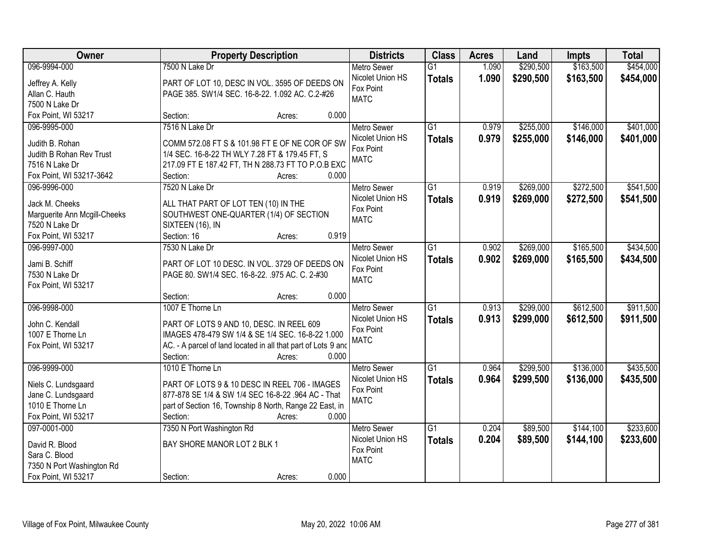| Owner                        |                                                               | <b>Property Description</b> |       | <b>Districts</b>   | <b>Class</b>    | <b>Acres</b> | Land      | <b>Impts</b> | <b>Total</b> |
|------------------------------|---------------------------------------------------------------|-----------------------------|-------|--------------------|-----------------|--------------|-----------|--------------|--------------|
| 096-9994-000                 | 7500 N Lake Dr                                                |                             |       | <b>Metro Sewer</b> | $\overline{G1}$ | 1.090        | \$290,500 | \$163,500    | \$454,000    |
| Jeffrey A. Kelly             | PART OF LOT 10, DESC IN VOL. 3595 OF DEEDS ON                 |                             |       | Nicolet Union HS   | <b>Totals</b>   | 1.090        | \$290,500 | \$163,500    | \$454,000    |
| Allan C. Hauth               | PAGE 385. SW1/4 SEC. 16-8-22. 1.092 AC. C.2-#26               |                             |       | Fox Point          |                 |              |           |              |              |
| 7500 N Lake Dr               |                                                               |                             |       | <b>MATC</b>        |                 |              |           |              |              |
| Fox Point, WI 53217          | Section:                                                      | Acres:                      | 0.000 |                    |                 |              |           |              |              |
| 096-9995-000                 | 7516 N Lake Dr                                                |                             |       | <b>Metro Sewer</b> | $\overline{G1}$ | 0.979        | \$255,000 | \$146,000    | \$401,000    |
|                              |                                                               |                             |       | Nicolet Union HS   | <b>Totals</b>   | 0.979        | \$255,000 | \$146,000    | \$401,000    |
| Judith B. Rohan              | COMM 572.08 FT S & 101.98 FT E OF NE COR OF SW                |                             |       | Fox Point          |                 |              |           |              |              |
| Judith B Rohan Rev Trust     | 1/4 SEC. 16-8-22 TH WLY 7.28 FT & 179.45 FT, S                |                             |       | <b>MATC</b>        |                 |              |           |              |              |
| 7516 N Lake Dr               | 217.09 FT E 187.42 FT, TH N 288.73 FT TO P.O.B EXC            |                             |       |                    |                 |              |           |              |              |
| Fox Point, WI 53217-3642     | Section:                                                      | Acres:                      | 0.000 |                    |                 |              |           |              |              |
| 096-9996-000                 | 7520 N Lake Dr                                                |                             |       | Metro Sewer        | G1              | 0.919        | \$269,000 | \$272,500    | \$541,500    |
| Jack M. Cheeks               | ALL THAT PART OF LOT TEN (10) IN THE                          |                             |       | Nicolet Union HS   | <b>Totals</b>   | 0.919        | \$269,000 | \$272,500    | \$541,500    |
| Marguerite Ann Mcgill-Cheeks | SOUTHWEST ONE-QUARTER (1/4) OF SECTION                        |                             |       | Fox Point          |                 |              |           |              |              |
| 7520 N Lake Dr               | SIXTEEN (16), IN                                              |                             |       | <b>MATC</b>        |                 |              |           |              |              |
| Fox Point, WI 53217          | Section: 16                                                   | Acres:                      | 0.919 |                    |                 |              |           |              |              |
| 096-9997-000                 | 7530 N Lake Dr                                                |                             |       | <b>Metro Sewer</b> | G1              | 0.902        | \$269,000 | \$165,500    | \$434,500    |
|                              |                                                               |                             |       | Nicolet Union HS   | <b>Totals</b>   | 0.902        | \$269,000 | \$165,500    | \$434,500    |
| Jami B. Schiff               | PART OF LOT 10 DESC. IN VOL. 3729 OF DEEDS ON                 |                             |       | Fox Point          |                 |              |           |              |              |
| 7530 N Lake Dr               | PAGE 80. SW1/4 SEC. 16-8-22. .975 AC. C. 2-#30                |                             |       | <b>MATC</b>        |                 |              |           |              |              |
| Fox Point, WI 53217          |                                                               |                             |       |                    |                 |              |           |              |              |
|                              | Section:                                                      | Acres:                      | 0.000 |                    |                 |              |           |              |              |
| 096-9998-000                 | 1007 E Thorne Ln                                              |                             |       | <b>Metro Sewer</b> | $\overline{G1}$ | 0.913        | \$299,000 | \$612,500    | \$911,500    |
| John C. Kendall              | PART OF LOTS 9 AND 10, DESC. IN REEL 609                      |                             |       | Nicolet Union HS   | <b>Totals</b>   | 0.913        | \$299,000 | \$612,500    | \$911,500    |
| 1007 E Thorne Ln             | IMAGES 478-479 SW 1/4 & SE 1/4 SEC. 16-8-22 1.000             |                             |       | Fox Point          |                 |              |           |              |              |
| Fox Point, WI 53217          | AC. - A parcel of land located in all that part of Lots 9 and |                             |       | <b>MATC</b>        |                 |              |           |              |              |
|                              | Section:                                                      | Acres:                      | 0.000 |                    |                 |              |           |              |              |
| 096-9999-000                 | 1010 E Thorne Ln                                              |                             |       | <b>Metro Sewer</b> | G1              | 0.964        | \$299,500 | \$136,000    | \$435,500    |
|                              |                                                               |                             |       | Nicolet Union HS   | <b>Totals</b>   | 0.964        | \$299,500 | \$136,000    | \$435,500    |
| Niels C. Lundsgaard          | PART OF LOTS 9 & 10 DESC IN REEL 706 - IMAGES                 |                             |       | Fox Point          |                 |              |           |              |              |
| Jane C. Lundsgaard           | 877-878 SE 1/4 & SW 1/4 SEC 16-8-22 .964 AC - That            |                             |       | <b>MATC</b>        |                 |              |           |              |              |
| 1010 E Thorne Ln             | part of Section 16, Township 8 North, Range 22 East, in       |                             |       |                    |                 |              |           |              |              |
| Fox Point, WI 53217          | Section:                                                      | Acres:                      | 0.000 |                    |                 |              |           |              |              |
| 097-0001-000                 | 7350 N Port Washington Rd                                     |                             |       | <b>Metro Sewer</b> | $\overline{G1}$ | 0.204        | \$89,500  | \$144,100    | \$233,600    |
| David R. Blood               | BAY SHORE MANOR LOT 2 BLK 1                                   |                             |       | Nicolet Union HS   | <b>Totals</b>   | 0.204        | \$89,500  | \$144,100    | \$233,600    |
| Sara C. Blood                |                                                               |                             |       | Fox Point          |                 |              |           |              |              |
| 7350 N Port Washington Rd    |                                                               |                             |       | <b>MATC</b>        |                 |              |           |              |              |
| Fox Point, WI 53217          | Section:                                                      | Acres:                      | 0.000 |                    |                 |              |           |              |              |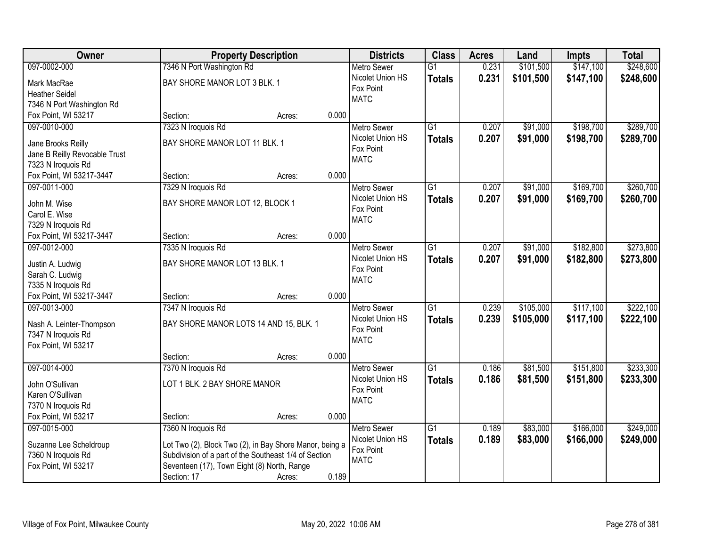| Owner                               |                                                         | <b>Property Description</b> |       | <b>Districts</b>         | <b>Class</b>    | <b>Acres</b> | Land      | <b>Impts</b> | <b>Total</b> |
|-------------------------------------|---------------------------------------------------------|-----------------------------|-------|--------------------------|-----------------|--------------|-----------|--------------|--------------|
| 097-0002-000                        | 7346 N Port Washington Rd                               |                             |       | <b>Metro Sewer</b>       | $\overline{G1}$ | 0.231        | \$101,500 | \$147,100    | \$248,600    |
| Mark MacRae                         | BAY SHORE MANOR LOT 3 BLK. 1                            |                             |       | Nicolet Union HS         | <b>Totals</b>   | 0.231        | \$101,500 | \$147,100    | \$248,600    |
| <b>Heather Seidel</b>               |                                                         |                             |       | Fox Point                |                 |              |           |              |              |
| 7346 N Port Washington Rd           |                                                         |                             |       | <b>MATC</b>              |                 |              |           |              |              |
| Fox Point, WI 53217                 | Section:                                                | Acres:                      | 0.000 |                          |                 |              |           |              |              |
| 097-0010-000                        | 7323 N Iroquois Rd                                      |                             |       | <b>Metro Sewer</b>       | $\overline{G1}$ | 0.207        | \$91,000  | \$198,700    | \$289,700    |
|                                     |                                                         |                             |       | Nicolet Union HS         | <b>Totals</b>   | 0.207        | \$91,000  | \$198,700    | \$289,700    |
| Jane Brooks Reilly                  | BAY SHORE MANOR LOT 11 BLK. 1                           |                             |       | Fox Point                |                 |              |           |              |              |
| Jane B Reilly Revocable Trust       |                                                         |                             |       | <b>MATC</b>              |                 |              |           |              |              |
| 7323 N Iroquois Rd                  |                                                         |                             | 0.000 |                          |                 |              |           |              |              |
| Fox Point, WI 53217-3447            | Section:                                                | Acres:                      |       |                          |                 |              |           |              |              |
| 097-0011-000                        | 7329 N Iroquois Rd                                      |                             |       | Metro Sewer              | $\overline{G1}$ | 0.207        | \$91,000  | \$169,700    | \$260,700    |
| John M. Wise                        | BAY SHORE MANOR LOT 12, BLOCK 1                         |                             |       | Nicolet Union HS         | <b>Totals</b>   | 0.207        | \$91,000  | \$169,700    | \$260,700    |
| Carol E. Wise                       |                                                         |                             |       | Fox Point<br><b>MATC</b> |                 |              |           |              |              |
| 7329 N Iroquois Rd                  |                                                         |                             |       |                          |                 |              |           |              |              |
| Fox Point, WI 53217-3447            | Section:                                                | Acres:                      | 0.000 |                          |                 |              |           |              |              |
| 097-0012-000                        | 7335 N Iroquois Rd                                      |                             |       | Metro Sewer              | $\overline{G1}$ | 0.207        | \$91,000  | \$182,800    | \$273,800    |
|                                     | BAY SHORE MANOR LOT 13 BLK. 1                           |                             |       | Nicolet Union HS         | <b>Totals</b>   | 0.207        | \$91,000  | \$182,800    | \$273,800    |
| Justin A. Ludwig<br>Sarah C. Ludwig |                                                         |                             |       | Fox Point                |                 |              |           |              |              |
| 7335 N Iroquois Rd                  |                                                         |                             |       | <b>MATC</b>              |                 |              |           |              |              |
| Fox Point, WI 53217-3447            | Section:                                                | Acres:                      | 0.000 |                          |                 |              |           |              |              |
| 097-0013-000                        | 7347 N Iroquois Rd                                      |                             |       | <b>Metro Sewer</b>       | $\overline{G1}$ | 0.239        | \$105,000 | \$117,100    | \$222,100    |
|                                     |                                                         |                             |       | Nicolet Union HS         | <b>Totals</b>   | 0.239        | \$105,000 | \$117,100    | \$222,100    |
| Nash A. Leinter-Thompson            | BAY SHORE MANOR LOTS 14 AND 15, BLK. 1                  |                             |       | Fox Point                |                 |              |           |              |              |
| 7347 N Iroquois Rd                  |                                                         |                             |       | <b>MATC</b>              |                 |              |           |              |              |
| Fox Point, WI 53217                 |                                                         |                             |       |                          |                 |              |           |              |              |
|                                     | Section:                                                | Acres:                      | 0.000 |                          |                 |              |           |              |              |
| 097-0014-000                        | 7370 N Iroquois Rd                                      |                             |       | Metro Sewer              | $\overline{G1}$ | 0.186        | \$81,500  | \$151,800    | \$233,300    |
| John O'Sullivan                     | LOT 1 BLK. 2 BAY SHORE MANOR                            |                             |       | Nicolet Union HS         | <b>Totals</b>   | 0.186        | \$81,500  | \$151,800    | \$233,300    |
| Karen O'Sullivan                    |                                                         |                             |       | Fox Point                |                 |              |           |              |              |
| 7370 N Iroquois Rd                  |                                                         |                             |       | <b>MATC</b>              |                 |              |           |              |              |
| Fox Point, WI 53217                 | Section:                                                | Acres:                      | 0.000 |                          |                 |              |           |              |              |
| 097-0015-000                        | 7360 N Iroquois Rd                                      |                             |       | <b>Metro Sewer</b>       | $\overline{G1}$ | 0.189        | \$83,000  | \$166,000    | \$249,000    |
|                                     |                                                         |                             |       | Nicolet Union HS         | <b>Totals</b>   | 0.189        | \$83,000  | \$166,000    | \$249,000    |
| Suzanne Lee Scheldroup              | Lot Two (2), Block Two (2), in Bay Shore Manor, being a |                             |       | Fox Point                |                 |              |           |              |              |
| 7360 N Iroquois Rd                  | Subdivision of a part of the Southeast 1/4 of Section   |                             |       | <b>MATC</b>              |                 |              |           |              |              |
| Fox Point, WI 53217                 | Seventeen (17), Town Eight (8) North, Range             |                             |       |                          |                 |              |           |              |              |
|                                     | Section: 17                                             | Acres:                      | 0.189 |                          |                 |              |           |              |              |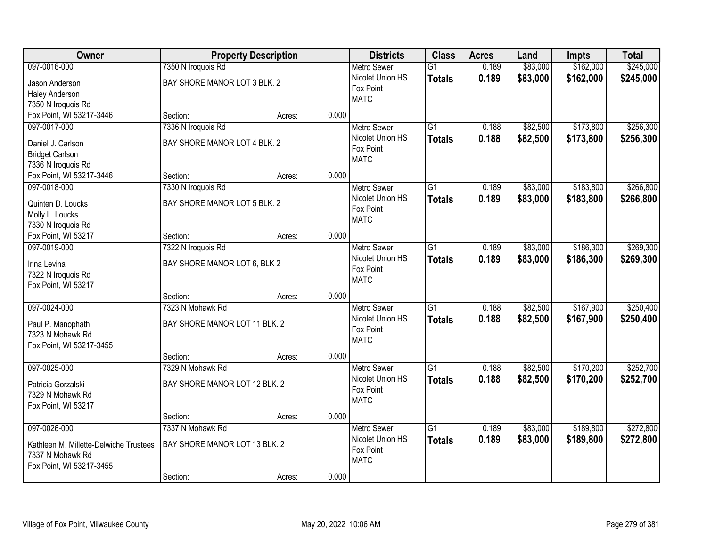| Owner                                  | <b>Property Description</b>   |        |       | <b>Districts</b>         | <b>Class</b>    | <b>Acres</b> | Land     | <b>Impts</b> | <b>Total</b> |
|----------------------------------------|-------------------------------|--------|-------|--------------------------|-----------------|--------------|----------|--------------|--------------|
| 097-0016-000                           | 7350 N Iroquois Rd            |        |       | <b>Metro Sewer</b>       | $\overline{G1}$ | 0.189        | \$83,000 | \$162,000    | \$245,000    |
| Jason Anderson                         | BAY SHORE MANOR LOT 3 BLK. 2  |        |       | Nicolet Union HS         | <b>Totals</b>   | 0.189        | \$83,000 | \$162,000    | \$245,000    |
| Haley Anderson                         |                               |        |       | Fox Point                |                 |              |          |              |              |
| 7350 N Iroquois Rd                     |                               |        |       | <b>MATC</b>              |                 |              |          |              |              |
| Fox Point, WI 53217-3446               | Section:                      | Acres: | 0.000 |                          |                 |              |          |              |              |
| 097-0017-000                           | 7336 N Iroquois Rd            |        |       | <b>Metro Sewer</b>       | $\overline{G1}$ | 0.188        | \$82,500 | \$173,800    | \$256,300    |
|                                        | BAY SHORE MANOR LOT 4 BLK. 2  |        |       | Nicolet Union HS         | <b>Totals</b>   | 0.188        | \$82,500 | \$173,800    | \$256,300    |
| Daniel J. Carlson                      |                               |        |       | Fox Point                |                 |              |          |              |              |
| <b>Bridget Carlson</b>                 |                               |        |       | <b>MATC</b>              |                 |              |          |              |              |
| 7336 N Iroquois Rd                     | Section:                      |        | 0.000 |                          |                 |              |          |              |              |
| Fox Point, WI 53217-3446               |                               | Acres: |       |                          | $\overline{G1}$ |              |          | \$183,800    |              |
| 097-0018-000                           | 7330 N Iroquois Rd            |        |       | <b>Metro Sewer</b>       |                 | 0.189        | \$83,000 |              | \$266,800    |
| Quinten D. Loucks                      | BAY SHORE MANOR LOT 5 BLK. 2  |        |       | Nicolet Union HS         | <b>Totals</b>   | 0.189        | \$83,000 | \$183,800    | \$266,800    |
| Molly L. Loucks                        |                               |        |       | Fox Point<br><b>MATC</b> |                 |              |          |              |              |
| 7330 N Iroquois Rd                     |                               |        |       |                          |                 |              |          |              |              |
| Fox Point, WI 53217                    | Section:                      | Acres: | 0.000 |                          |                 |              |          |              |              |
| 097-0019-000                           | 7322 N Iroquois Rd            |        |       | <b>Metro Sewer</b>       | $\overline{G1}$ | 0.189        | \$83,000 | \$186,300    | \$269,300    |
|                                        | BAY SHORE MANOR LOT 6, BLK 2  |        |       | Nicolet Union HS         | <b>Totals</b>   | 0.189        | \$83,000 | \$186,300    | \$269,300    |
| Irina Levina                           |                               |        |       | Fox Point                |                 |              |          |              |              |
| 7322 N Iroquois Rd                     |                               |        |       | <b>MATC</b>              |                 |              |          |              |              |
| Fox Point, WI 53217                    |                               |        | 0.000 |                          |                 |              |          |              |              |
| 097-0024-000                           | Section:<br>7323 N Mohawk Rd  | Acres: |       |                          | $\overline{G1}$ | 0.188        | \$82,500 | \$167,900    | \$250,400    |
|                                        |                               |        |       | <b>Metro Sewer</b>       |                 |              |          |              |              |
| Paul P. Manophath                      | BAY SHORE MANOR LOT 11 BLK. 2 |        |       | Nicolet Union HS         | <b>Totals</b>   | 0.188        | \$82,500 | \$167,900    | \$250,400    |
| 7323 N Mohawk Rd                       |                               |        |       | Fox Point<br><b>MATC</b> |                 |              |          |              |              |
| Fox Point, WI 53217-3455               |                               |        |       |                          |                 |              |          |              |              |
|                                        | Section:                      | Acres: | 0.000 |                          |                 |              |          |              |              |
| 097-0025-000                           | 7329 N Mohawk Rd              |        |       | <b>Metro Sewer</b>       | $\overline{G1}$ | 0.188        | \$82,500 | \$170,200    | \$252,700    |
| Patricia Gorzalski                     | BAY SHORE MANOR LOT 12 BLK. 2 |        |       | Nicolet Union HS         | <b>Totals</b>   | 0.188        | \$82,500 | \$170,200    | \$252,700    |
| 7329 N Mohawk Rd                       |                               |        |       | Fox Point                |                 |              |          |              |              |
| Fox Point, WI 53217                    |                               |        |       | <b>MATC</b>              |                 |              |          |              |              |
|                                        | Section:                      | Acres: | 0.000 |                          |                 |              |          |              |              |
| 097-0026-000                           | 7337 N Mohawk Rd              |        |       | Metro Sewer              | $\overline{G1}$ | 0.189        | \$83,000 | \$189,800    | \$272,800    |
|                                        |                               |        |       | Nicolet Union HS         | <b>Totals</b>   | 0.189        | \$83,000 | \$189,800    | \$272,800    |
| Kathleen M. Millette-Delwiche Trustees | BAY SHORE MANOR LOT 13 BLK. 2 |        |       | Fox Point                |                 |              |          |              |              |
| 7337 N Mohawk Rd                       |                               |        |       | <b>MATC</b>              |                 |              |          |              |              |
| Fox Point, WI 53217-3455               |                               |        |       |                          |                 |              |          |              |              |
|                                        | Section:                      | Acres: | 0.000 |                          |                 |              |          |              |              |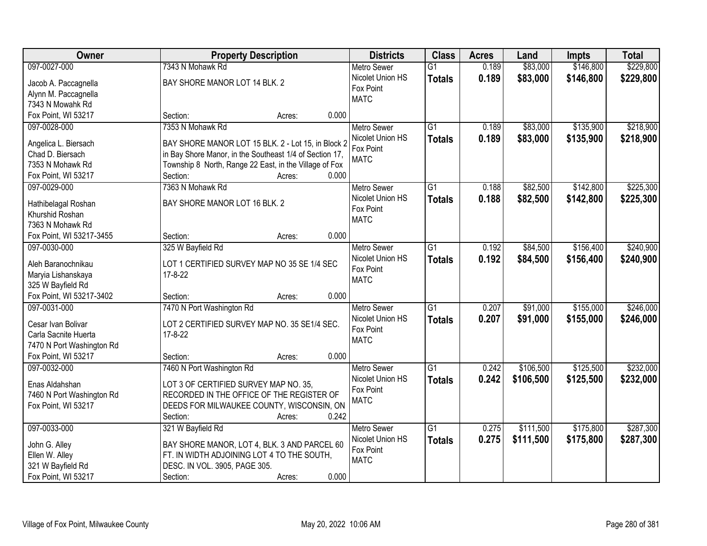| Owner                     | <b>Property Description</b>                             | <b>Districts</b>   | <b>Class</b>    | <b>Acres</b> | Land      | <b>Impts</b> | <b>Total</b> |
|---------------------------|---------------------------------------------------------|--------------------|-----------------|--------------|-----------|--------------|--------------|
| 097-0027-000              | 7343 N Mohawk Rd                                        | <b>Metro Sewer</b> | $\overline{G1}$ | 0.189        | \$83,000  | \$146,800    | \$229,800    |
| Jacob A. Paccagnella      | BAY SHORE MANOR LOT 14 BLK. 2                           | Nicolet Union HS   | <b>Totals</b>   | 0.189        | \$83,000  | \$146,800    | \$229,800    |
| Alynn M. Paccagnella      |                                                         | Fox Point          |                 |              |           |              |              |
| 7343 N Mowahk Rd          |                                                         | <b>MATC</b>        |                 |              |           |              |              |
| Fox Point, WI 53217       | 0.000<br>Section:<br>Acres:                             |                    |                 |              |           |              |              |
| 097-0028-000              | 7353 N Mohawk Rd                                        | <b>Metro Sewer</b> | $\overline{G1}$ | 0.189        | \$83,000  | \$135,900    | \$218,900    |
|                           |                                                         | Nicolet Union HS   | <b>Totals</b>   | 0.189        | \$83,000  | \$135,900    | \$218,900    |
| Angelica L. Biersach      | BAY SHORE MANOR LOT 15 BLK. 2 - Lot 15, in Block 2      | Fox Point          |                 |              |           |              |              |
| Chad D. Biersach          | in Bay Shore Manor, in the Southeast 1/4 of Section 17, | <b>MATC</b>        |                 |              |           |              |              |
| 7353 N Mohawk Rd          | Township 8 North, Range 22 East, in the Village of Fox  |                    |                 |              |           |              |              |
| Fox Point, WI 53217       | 0.000<br>Section:<br>Acres:                             |                    |                 |              |           |              |              |
| 097-0029-000              | 7363 N Mohawk Rd                                        | Metro Sewer        | G1              | 0.188        | \$82,500  | \$142,800    | \$225,300    |
| Hathibelagal Roshan       | BAY SHORE MANOR LOT 16 BLK. 2                           | Nicolet Union HS   | <b>Totals</b>   | 0.188        | \$82,500  | \$142,800    | \$225,300    |
| Khurshid Roshan           |                                                         | Fox Point          |                 |              |           |              |              |
| 7363 N Mohawk Rd          |                                                         | <b>MATC</b>        |                 |              |           |              |              |
| Fox Point, WI 53217-3455  | 0.000<br>Section:<br>Acres:                             |                    |                 |              |           |              |              |
| 097-0030-000              | 325 W Bayfield Rd                                       | <b>Metro Sewer</b> | $\overline{G1}$ | 0.192        | \$84,500  | \$156,400    | \$240,900    |
|                           |                                                         | Nicolet Union HS   | <b>Totals</b>   | 0.192        | \$84,500  | \$156,400    | \$240,900    |
| Aleh Baranochnikau        | LOT 1 CERTIFIED SURVEY MAP NO 35 SE 1/4 SEC             | Fox Point          |                 |              |           |              |              |
| Maryia Lishanskaya        | 17-8-22                                                 | <b>MATC</b>        |                 |              |           |              |              |
| 325 W Bayfield Rd         |                                                         |                    |                 |              |           |              |              |
| Fox Point, WI 53217-3402  | 0.000<br>Section:<br>Acres:                             |                    |                 |              |           |              |              |
| 097-0031-000              | 7470 N Port Washington Rd                               | <b>Metro Sewer</b> | $\overline{G1}$ | 0.207        | \$91,000  | \$155,000    | \$246,000    |
| Cesar Ivan Bolivar        | LOT 2 CERTIFIED SURVEY MAP NO. 35 SE1/4 SEC.            | Nicolet Union HS   | <b>Totals</b>   | 0.207        | \$91,000  | \$155,000    | \$246,000    |
| Carla Sacnite Huerta      | $17 - 8 - 22$                                           | Fox Point          |                 |              |           |              |              |
| 7470 N Port Washington Rd |                                                         | <b>MATC</b>        |                 |              |           |              |              |
| Fox Point, WI 53217       | 0.000<br>Section:<br>Acres:                             |                    |                 |              |           |              |              |
| 097-0032-000              | 7460 N Port Washington Rd                               | <b>Metro Sewer</b> | $\overline{G1}$ | 0.242        | \$106,500 | \$125,500    | \$232,000    |
|                           |                                                         | Nicolet Union HS   | <b>Totals</b>   | 0.242        | \$106,500 | \$125,500    | \$232,000    |
| Enas Aldahshan            | LOT 3 OF CERTIFIED SURVEY MAP NO. 35,                   | Fox Point          |                 |              |           |              |              |
| 7460 N Port Washington Rd | RECORDED IN THE OFFICE OF THE REGISTER OF               | <b>MATC</b>        |                 |              |           |              |              |
| Fox Point, WI 53217       | DEEDS FOR MILWAUKEE COUNTY, WISCONSIN, ON               |                    |                 |              |           |              |              |
|                           | 0.242<br>Section:<br>Acres:                             |                    |                 |              |           |              |              |
| 097-0033-000              | 321 W Bayfield Rd                                       | <b>Metro Sewer</b> | $\overline{G1}$ | 0.275        | \$111,500 | \$175,800    | \$287,300    |
| John G. Alley             | BAY SHORE MANOR, LOT 4, BLK. 3 AND PARCEL 60            | Nicolet Union HS   | <b>Totals</b>   | 0.275        | \$111,500 | \$175,800    | \$287,300    |
| Ellen W. Alley            | FT. IN WIDTH ADJOINING LOT 4 TO THE SOUTH,              | Fox Point          |                 |              |           |              |              |
| 321 W Bayfield Rd         | DESC. IN VOL. 3905, PAGE 305.                           | <b>MATC</b>        |                 |              |           |              |              |
|                           |                                                         |                    |                 |              |           |              |              |
| Fox Point, WI 53217       | 0.000<br>Section:<br>Acres:                             |                    |                 |              |           |              |              |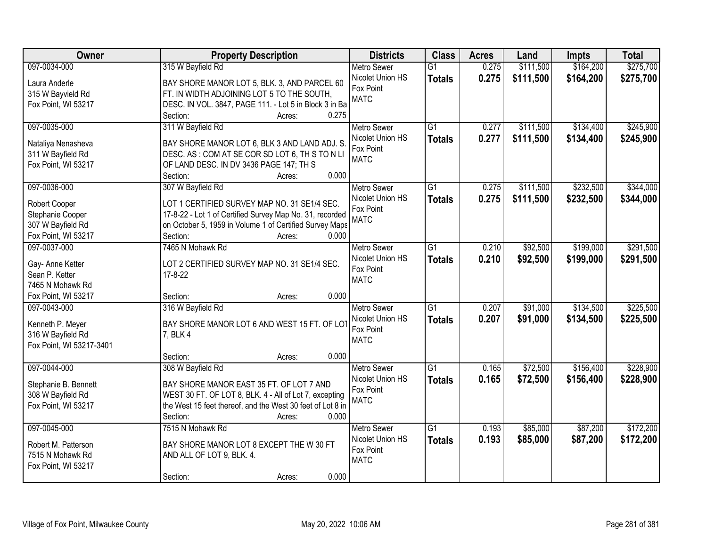| Owner                    | <b>Property Description</b>                                  | <b>Districts</b>   | <b>Class</b>    | <b>Acres</b> | Land      | <b>Impts</b> | <b>Total</b> |
|--------------------------|--------------------------------------------------------------|--------------------|-----------------|--------------|-----------|--------------|--------------|
| 097-0034-000             | 315 W Bayfield Rd                                            | <b>Metro Sewer</b> | $\overline{G1}$ | 0.275        | \$111,500 | \$164,200    | \$275,700    |
| Laura Anderle            | BAY SHORE MANOR LOT 5, BLK. 3, AND PARCEL 60                 | Nicolet Union HS   | <b>Totals</b>   | 0.275        | \$111,500 | \$164,200    | \$275,700    |
| 315 W Bayvield Rd        | FT. IN WIDTH ADJOINING LOT 5 TO THE SOUTH,                   | Fox Point          |                 |              |           |              |              |
| Fox Point, WI 53217      | DESC. IN VOL. 3847, PAGE 111. - Lot 5 in Block 3 in Ba       | <b>MATC</b>        |                 |              |           |              |              |
|                          | 0.275<br>Section:<br>Acres:                                  |                    |                 |              |           |              |              |
| 097-0035-000             | 311 W Bayfield Rd                                            | <b>Metro Sewer</b> | $\overline{G1}$ | 0.277        | \$111,500 | \$134,400    | \$245,900    |
|                          |                                                              | Nicolet Union HS   | <b>Totals</b>   | 0.277        | \$111,500 | \$134,400    | \$245,900    |
| Nataliya Nenasheva       | BAY SHORE MANOR LOT 6, BLK 3 AND LAND ADJ. S.                | Fox Point          |                 |              |           |              |              |
| 311 W Bayfield Rd        | DESC. AS: COM AT SE COR SD LOT 6, TH S TO N LI               | <b>MATC</b>        |                 |              |           |              |              |
| Fox Point, WI 53217      | OF LAND DESC. IN DV 3436 PAGE 147; TH S<br>0.000<br>Section: |                    |                 |              |           |              |              |
| 097-0036-000             | Acres:<br>307 W Bayfield Rd                                  | Metro Sewer        | G1              | 0.275        | \$111,500 | \$232,500    | \$344,000    |
|                          |                                                              | Nicolet Union HS   |                 |              |           |              |              |
| Robert Cooper            | LOT 1 CERTIFIED SURVEY MAP NO. 31 SE1/4 SEC.                 | Fox Point          | <b>Totals</b>   | 0.275        | \$111,500 | \$232,500    | \$344,000    |
| Stephanie Cooper         | 17-8-22 - Lot 1 of Certified Survey Map No. 31, recorded     | <b>MATC</b>        |                 |              |           |              |              |
| 307 W Bayfield Rd        | on October 5, 1959 in Volume 1 of Certified Survey Maps      |                    |                 |              |           |              |              |
| Fox Point, WI 53217      | Section:<br>0.000<br>Acres:                                  |                    |                 |              |           |              |              |
| 097-0037-000             | 7465 N Mohawk Rd                                             | <b>Metro Sewer</b> | G1              | 0.210        | \$92,500  | \$199,000    | \$291,500    |
| Gay- Anne Ketter         | LOT 2 CERTIFIED SURVEY MAP NO. 31 SE1/4 SEC.                 | Nicolet Union HS   | <b>Totals</b>   | 0.210        | \$92,500  | \$199,000    | \$291,500    |
| Sean P. Ketter           | $17 - 8 - 22$                                                | Fox Point          |                 |              |           |              |              |
| 7465 N Mohawk Rd         |                                                              | <b>MATC</b>        |                 |              |           |              |              |
| Fox Point, WI 53217      | 0.000<br>Section:<br>Acres:                                  |                    |                 |              |           |              |              |
| 097-0043-000             | 316 W Bayfield Rd                                            | <b>Metro Sewer</b> | $\overline{G1}$ | 0.207        | \$91,000  | \$134,500    | \$225,500    |
|                          |                                                              | Nicolet Union HS   | <b>Totals</b>   | 0.207        | \$91,000  | \$134,500    | \$225,500    |
| Kenneth P. Meyer         | BAY SHORE MANOR LOT 6 AND WEST 15 FT. OF LOT                 | Fox Point          |                 |              |           |              |              |
| 316 W Bayfield Rd        | 7, BLK 4                                                     | <b>MATC</b>        |                 |              |           |              |              |
| Fox Point, WI 53217-3401 |                                                              |                    |                 |              |           |              |              |
|                          | 0.000<br>Section:<br>Acres:                                  |                    |                 |              |           |              |              |
| 097-0044-000             | 308 W Bayfield Rd                                            | Metro Sewer        | G1              | 0.165        | \$72,500  | \$156,400    | \$228,900    |
| Stephanie B. Bennett     | BAY SHORE MANOR EAST 35 FT. OF LOT 7 AND                     | Nicolet Union HS   | <b>Totals</b>   | 0.165        | \$72,500  | \$156,400    | \$228,900    |
| 308 W Bayfield Rd        | WEST 30 FT. OF LOT 8, BLK. 4 - All of Lot 7, excepting       | Fox Point          |                 |              |           |              |              |
| Fox Point, WI 53217      | the West 15 feet thereof, and the West 30 feet of Lot 8 in   | <b>MATC</b>        |                 |              |           |              |              |
|                          | Section:<br>0.000<br>Acres:                                  |                    |                 |              |           |              |              |
| 097-0045-000             | 7515 N Mohawk Rd                                             | <b>Metro Sewer</b> | $\overline{G1}$ | 0.193        | \$85,000  | \$87,200     | \$172,200    |
|                          |                                                              | Nicolet Union HS   | <b>Totals</b>   | 0.193        | \$85,000  | \$87,200     | \$172,200    |
| Robert M. Patterson      | BAY SHORE MANOR LOT 8 EXCEPT THE W 30 FT                     | Fox Point          |                 |              |           |              |              |
| 7515 N Mohawk Rd         | AND ALL OF LOT 9, BLK. 4.                                    | <b>MATC</b>        |                 |              |           |              |              |
| Fox Point, WI 53217      |                                                              |                    |                 |              |           |              |              |
|                          | 0.000<br>Section:<br>Acres:                                  |                    |                 |              |           |              |              |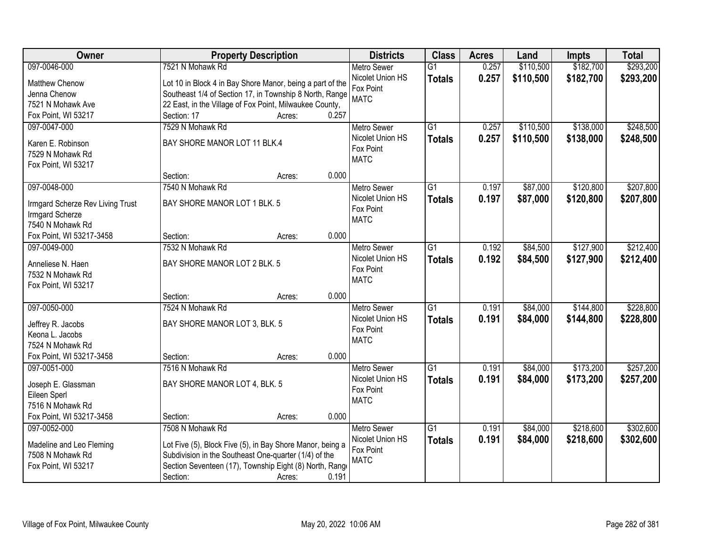| Owner                            | <b>Property Description</b>                               |                 | <b>Districts</b>              | <b>Class</b>    | <b>Acres</b> | Land      | <b>Impts</b> | <b>Total</b> |
|----------------------------------|-----------------------------------------------------------|-----------------|-------------------------------|-----------------|--------------|-----------|--------------|--------------|
| 097-0046-000                     | 7521 N Mohawk Rd                                          |                 | <b>Metro Sewer</b>            | $\overline{G1}$ | 0.257        | \$110,500 | \$182,700    | \$293,200    |
| Matthew Chenow                   | Lot 10 in Block 4 in Bay Shore Manor, being a part of the |                 | Nicolet Union HS              | <b>Totals</b>   | 0.257        | \$110,500 | \$182,700    | \$293,200    |
| Jenna Chenow                     | Southeast 1/4 of Section 17, in Township 8 North, Range   |                 | Fox Point                     |                 |              |           |              |              |
| 7521 N Mohawk Ave                | 22 East, in the Village of Fox Point, Milwaukee County,   |                 | <b>MATC</b>                   |                 |              |           |              |              |
| Fox Point, WI 53217              | Section: 17                                               | 0.257<br>Acres: |                               |                 |              |           |              |              |
| 097-0047-000                     | 7529 N Mohawk Rd                                          |                 | <b>Metro Sewer</b>            | $\overline{G1}$ | 0.257        | \$110,500 | \$138,000    | \$248,500    |
|                                  |                                                           |                 | Nicolet Union HS              | <b>Totals</b>   | 0.257        | \$110,500 | \$138,000    | \$248,500    |
| Karen E. Robinson                | BAY SHORE MANOR LOT 11 BLK.4                              |                 | Fox Point                     |                 |              |           |              |              |
| 7529 N Mohawk Rd                 |                                                           |                 | <b>MATC</b>                   |                 |              |           |              |              |
| Fox Point, WI 53217              | Section:                                                  | 0.000           |                               |                 |              |           |              |              |
| 097-0048-000                     | 7540 N Mohawk Rd                                          | Acres:          | Metro Sewer                   | $\overline{G1}$ | 0.197        | \$87,000  | \$120,800    | \$207,800    |
|                                  |                                                           |                 | Nicolet Union HS              |                 |              |           |              |              |
| Irmgard Scherze Rev Living Trust | BAY SHORE MANOR LOT 1 BLK. 5                              |                 | Fox Point                     | <b>Totals</b>   | 0.197        | \$87,000  | \$120,800    | \$207,800    |
| Irmgard Scherze                  |                                                           |                 | <b>MATC</b>                   |                 |              |           |              |              |
| 7540 N Mohawk Rd                 |                                                           |                 |                               |                 |              |           |              |              |
| Fox Point, WI 53217-3458         | Section:                                                  | 0.000<br>Acres: |                               |                 |              |           |              |              |
| 097-0049-000                     | 7532 N Mohawk Rd                                          |                 | <b>Metro Sewer</b>            | $\overline{G1}$ | 0.192        | \$84,500  | \$127,900    | \$212,400    |
| Anneliese N. Haen                | BAY SHORE MANOR LOT 2 BLK. 5                              |                 | Nicolet Union HS              | <b>Totals</b>   | 0.192        | \$84,500  | \$127,900    | \$212,400    |
| 7532 N Mohawk Rd                 |                                                           |                 | Fox Point                     |                 |              |           |              |              |
| Fox Point, WI 53217              |                                                           |                 | <b>MATC</b>                   |                 |              |           |              |              |
|                                  | Section:                                                  | 0.000<br>Acres: |                               |                 |              |           |              |              |
| 097-0050-000                     | 7524 N Mohawk Rd                                          |                 | <b>Metro Sewer</b>            | $\overline{G1}$ | 0.191        | \$84,000  | \$144,800    | \$228,800    |
|                                  |                                                           |                 | Nicolet Union HS              | <b>Totals</b>   | 0.191        | \$84,000  | \$144,800    | \$228,800    |
| Jeffrey R. Jacobs                | BAY SHORE MANOR LOT 3, BLK. 5                             |                 | Fox Point                     |                 |              |           |              |              |
| Keona L. Jacobs                  |                                                           |                 | <b>MATC</b>                   |                 |              |           |              |              |
| 7524 N Mohawk Rd                 |                                                           |                 |                               |                 |              |           |              |              |
| Fox Point, WI 53217-3458         | Section:                                                  | 0.000<br>Acres: |                               |                 |              |           |              |              |
| 097-0051-000                     | 7516 N Mohawk Rd                                          |                 | Metro Sewer                   | $\overline{G1}$ | 0.191        | \$84,000  | \$173,200    | \$257,200    |
| Joseph E. Glassman               | BAY SHORE MANOR LOT 4, BLK. 5                             |                 | Nicolet Union HS<br>Fox Point | <b>Totals</b>   | 0.191        | \$84,000  | \$173,200    | \$257,200    |
| Eileen Sperl                     |                                                           |                 | <b>MATC</b>                   |                 |              |           |              |              |
| 7516 N Mohawk Rd                 |                                                           |                 |                               |                 |              |           |              |              |
| Fox Point, WI 53217-3458         | Section:                                                  | 0.000<br>Acres: |                               |                 |              |           |              |              |
| 097-0052-000                     | 7508 N Mohawk Rd                                          |                 | <b>Metro Sewer</b>            | $\overline{G1}$ | 0.191        | \$84,000  | \$218,600    | \$302,600    |
| Madeline and Leo Fleming         | Lot Five (5), Block Five (5), in Bay Shore Manor, being a |                 | Nicolet Union HS              | <b>Totals</b>   | 0.191        | \$84,000  | \$218,600    | \$302,600    |
| 7508 N Mohawk Rd                 | Subdivision in the Southeast One-quarter (1/4) of the     |                 | Fox Point                     |                 |              |           |              |              |
| Fox Point, WI 53217              | Section Seventeen (17), Township Eight (8) North, Range   |                 | <b>MATC</b>                   |                 |              |           |              |              |
|                                  | Section:                                                  | 0.191<br>Acres: |                               |                 |              |           |              |              |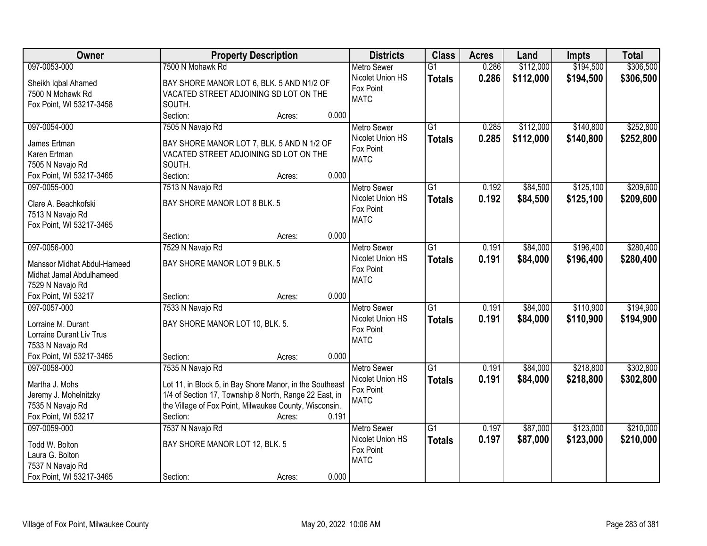| Owner                                    | <b>Property Description</b>                              | <b>Districts</b>              | <b>Class</b>    | <b>Acres</b> | Land      | <b>Impts</b> | <b>Total</b> |
|------------------------------------------|----------------------------------------------------------|-------------------------------|-----------------|--------------|-----------|--------------|--------------|
| 097-0053-000                             | 7500 N Mohawk Rd                                         | <b>Metro Sewer</b>            | $\overline{G1}$ | 0.286        | \$112,000 | \$194,500    | \$306,500    |
| Sheikh Iqbal Ahamed                      | BAY SHORE MANOR LOT 6, BLK. 5 AND N1/2 OF                | Nicolet Union HS              | <b>Totals</b>   | 0.286        | \$112,000 | \$194,500    | \$306,500    |
| 7500 N Mohawk Rd                         | VACATED STREET ADJOINING SD LOT ON THE                   | Fox Point                     |                 |              |           |              |              |
| Fox Point, WI 53217-3458                 | SOUTH.                                                   | <b>MATC</b>                   |                 |              |           |              |              |
|                                          | 0.000<br>Section:<br>Acres:                              |                               |                 |              |           |              |              |
| 097-0054-000                             | 7505 N Navajo Rd                                         | <b>Metro Sewer</b>            | $\overline{G1}$ | 0.285        | \$112,000 | \$140,800    | \$252,800    |
|                                          |                                                          | Nicolet Union HS              | <b>Totals</b>   | 0.285        | \$112,000 | \$140,800    | \$252,800    |
| James Ertman                             | BAY SHORE MANOR LOT 7, BLK. 5 AND N 1/2 OF               | Fox Point                     |                 |              |           |              |              |
| Karen Ertman                             | VACATED STREET ADJOINING SD LOT ON THE                   | <b>MATC</b>                   |                 |              |           |              |              |
| 7505 N Navajo Rd                         | SOUTH.<br>0.000<br>Section:                              |                               |                 |              |           |              |              |
| Fox Point, WI 53217-3465<br>097-0055-000 | Acres:                                                   |                               | $\overline{G1}$ | 0.192        | \$84,500  | \$125,100    | \$209,600    |
|                                          | 7513 N Navajo Rd                                         | <b>Metro Sewer</b>            |                 |              |           |              |              |
| Clare A. Beachkofski                     | BAY SHORE MANOR LOT 8 BLK. 5                             | Nicolet Union HS<br>Fox Point | <b>Totals</b>   | 0.192        | \$84,500  | \$125,100    | \$209,600    |
| 7513 N Navajo Rd                         |                                                          | <b>MATC</b>                   |                 |              |           |              |              |
| Fox Point, WI 53217-3465                 |                                                          |                               |                 |              |           |              |              |
|                                          | 0.000<br>Section:<br>Acres:                              |                               |                 |              |           |              |              |
| 097-0056-000                             | 7529 N Navajo Rd                                         | <b>Metro Sewer</b>            | $\overline{G1}$ | 0.191        | \$84,000  | \$196,400    | \$280,400    |
| Manssor Midhat Abdul-Hameed              | BAY SHORE MANOR LOT 9 BLK. 5                             | Nicolet Union HS              | <b>Totals</b>   | 0.191        | \$84,000  | \$196,400    | \$280,400    |
| Midhat Jamal Abdulhameed                 |                                                          | Fox Point                     |                 |              |           |              |              |
| 7529 N Navajo Rd                         |                                                          | <b>MATC</b>                   |                 |              |           |              |              |
| Fox Point, WI 53217                      | 0.000<br>Section:<br>Acres:                              |                               |                 |              |           |              |              |
| 097-0057-000                             | 7533 N Navajo Rd                                         | <b>Metro Sewer</b>            | $\overline{G1}$ | 0.191        | \$84,000  | \$110,900    | \$194,900    |
|                                          |                                                          | Nicolet Union HS              | <b>Totals</b>   | 0.191        | \$84,000  | \$110,900    | \$194,900    |
| Lorraine M. Durant                       | BAY SHORE MANOR LOT 10, BLK. 5.                          | Fox Point                     |                 |              |           |              |              |
| Lorraine Durant Liv Trus                 |                                                          | <b>MATC</b>                   |                 |              |           |              |              |
| 7533 N Navajo Rd                         |                                                          |                               |                 |              |           |              |              |
| Fox Point, WI 53217-3465                 | 0.000<br>Section:<br>Acres:                              |                               |                 |              |           |              |              |
| 097-0058-000                             | 7535 N Navajo Rd                                         | <b>Metro Sewer</b>            | $\overline{G1}$ | 0.191        | \$84,000  | \$218,800    | \$302,800    |
| Martha J. Mohs                           | Lot 11, in Block 5, in Bay Shore Manor, in the Southeast | Nicolet Union HS              | <b>Totals</b>   | 0.191        | \$84,000  | \$218,800    | \$302,800    |
| Jeremy J. Mohelnitzky                    | 1/4 of Section 17, Township 8 North, Range 22 East, in   | Fox Point                     |                 |              |           |              |              |
| 7535 N Navajo Rd                         | the Village of Fox Point, Milwaukee County, Wisconsin.   | <b>MATC</b>                   |                 |              |           |              |              |
| Fox Point, WI 53217                      | 0.191<br>Section:<br>Acres:                              |                               |                 |              |           |              |              |
| 097-0059-000                             | 7537 N Navajo Rd                                         | <b>Metro Sewer</b>            | $\overline{G1}$ | 0.197        | \$87,000  | \$123,000    | \$210,000    |
|                                          |                                                          | Nicolet Union HS              | <b>Totals</b>   | 0.197        | \$87,000  | \$123,000    | \$210,000    |
| Todd W. Bolton                           | BAY SHORE MANOR LOT 12, BLK. 5                           | Fox Point                     |                 |              |           |              |              |
| Laura G. Bolton                          |                                                          | <b>MATC</b>                   |                 |              |           |              |              |
| 7537 N Navajo Rd                         |                                                          |                               |                 |              |           |              |              |
| Fox Point, WI 53217-3465                 | 0.000<br>Section:<br>Acres:                              |                               |                 |              |           |              |              |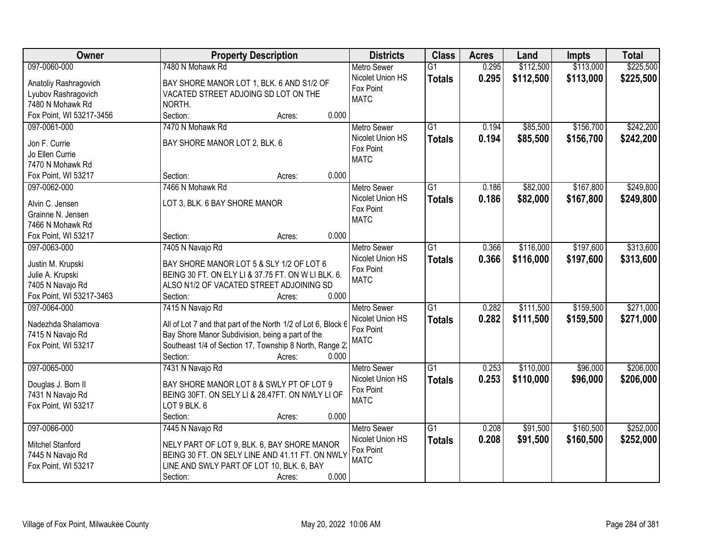| <b>Owner</b>                                 | <b>Property Description</b>                                   | <b>Districts</b>              | <b>Class</b>    | <b>Acres</b> | Land      | <b>Impts</b> | <b>Total</b> |
|----------------------------------------------|---------------------------------------------------------------|-------------------------------|-----------------|--------------|-----------|--------------|--------------|
| 097-0060-000                                 | 7480 N Mohawk Rd                                              | <b>Metro Sewer</b>            | $\overline{G1}$ | 0.295        | \$112,500 | \$113,000    | \$225,500    |
| Anatoliy Rashragovich                        | BAY SHORE MANOR LOT 1, BLK. 6 AND S1/2 OF                     | Nicolet Union HS              | <b>Totals</b>   | 0.295        | \$112,500 | \$113,000    | \$225,500    |
| Lyubov Rashragovich                          | VACATED STREET ADJOING SD LOT ON THE                          | Fox Point                     |                 |              |           |              |              |
| 7480 N Mohawk Rd                             | NORTH.                                                        | <b>MATC</b>                   |                 |              |           |              |              |
| Fox Point, WI 53217-3456                     | 0.000<br>Section:<br>Acres:                                   |                               |                 |              |           |              |              |
| 097-0061-000                                 | 7470 N Mohawk Rd                                              | <b>Metro Sewer</b>            | $\overline{G1}$ | 0.194        | \$85,500  | \$156,700    | \$242,200    |
|                                              |                                                               | Nicolet Union HS              | <b>Totals</b>   | 0.194        | \$85,500  | \$156,700    | \$242,200    |
| Jon F. Currie                                | BAY SHORE MANOR LOT 2, BLK. 6                                 | Fox Point                     |                 |              |           |              |              |
| Jo Ellen Currie                              |                                                               | <b>MATC</b>                   |                 |              |           |              |              |
| 7470 N Mohawk Rd                             |                                                               |                               |                 |              |           |              |              |
| Fox Point, WI 53217                          | 0.000<br>Section:<br>Acres:                                   |                               |                 |              |           |              |              |
| 097-0062-000                                 | 7466 N Mohawk Rd                                              | <b>Metro Sewer</b>            | G1              | 0.186        | \$82,000  | \$167,800    | \$249,800    |
| Alvin C. Jensen                              | LOT 3, BLK. 6 BAY SHORE MANOR                                 | Nicolet Union HS              | <b>Totals</b>   | 0.186        | \$82,000  | \$167,800    | \$249,800    |
| Grainne N. Jensen                            |                                                               | Fox Point                     |                 |              |           |              |              |
| 7466 N Mohawk Rd                             |                                                               | <b>MATC</b>                   |                 |              |           |              |              |
| Fox Point, WI 53217                          | 0.000<br>Section:<br>Acres:                                   |                               |                 |              |           |              |              |
| 097-0063-000                                 | 7405 N Navajo Rd                                              | <b>Metro Sewer</b>            | G1              | 0.366        | \$116,000 | \$197,600    | \$313,600    |
|                                              |                                                               | Nicolet Union HS              | <b>Totals</b>   | 0.366        | \$116,000 | \$197,600    | \$313,600    |
| Justin M. Krupski                            | BAY SHORE MANOR LOT 5 & SLY 1/2 OF LOT 6                      | Fox Point                     |                 |              |           |              |              |
| Julie A. Krupski                             | BEING 30 FT. ON ELY LI & 37.75 FT. ON W LI BLK. 6.            | <b>MATC</b>                   |                 |              |           |              |              |
| 7405 N Navajo Rd<br>Fox Point, WI 53217-3463 | ALSO N1/2 OF VACATED STREET ADJOINING SD<br>0.000             |                               |                 |              |           |              |              |
| 097-0064-000                                 | Section:<br>Acres:                                            |                               | $\overline{G1}$ | 0.282        | \$111,500 | \$159,500    | \$271,000    |
|                                              | 7415 N Navajo Rd                                              | <b>Metro Sewer</b>            |                 |              |           |              |              |
| Nadezhda Shalamova                           | All of Lot 7 and that part of the North 1/2 of Lot 6, Block 6 | Nicolet Union HS<br>Fox Point | <b>Totals</b>   | 0.282        | \$111,500 | \$159,500    | \$271,000    |
| 7415 N Navajo Rd                             | Bay Shore Manor Subdivision, being a part of the              | <b>MATC</b>                   |                 |              |           |              |              |
| Fox Point, WI 53217                          | Southeast 1/4 of Section 17, Township 8 North, Range 2:       |                               |                 |              |           |              |              |
|                                              | 0.000<br>Section:<br>Acres:                                   |                               |                 |              |           |              |              |
| 097-0065-000                                 | 7431 N Navajo Rd                                              | <b>Metro Sewer</b>            | $\overline{G1}$ | 0.253        | \$110,000 | \$96,000     | \$206,000    |
| Douglas J. Born II                           | BAY SHORE MANOR LOT 8 & SWLY PT OF LOT 9                      | Nicolet Union HS              | <b>Totals</b>   | 0.253        | \$110,000 | \$96,000     | \$206,000    |
| 7431 N Navajo Rd                             | BEING 30FT. ON SELY LI & 28.47FT. ON NWLY LI OF               | Fox Point                     |                 |              |           |              |              |
| Fox Point, WI 53217                          | LOT 9 BLK. 6                                                  | <b>MATC</b>                   |                 |              |           |              |              |
|                                              | 0.000<br>Section:<br>Acres:                                   |                               |                 |              |           |              |              |
| 097-0066-000                                 | 7445 N Navajo Rd                                              | <b>Metro Sewer</b>            | $\overline{G1}$ | 0.208        | \$91,500  | \$160,500    | \$252,000    |
|                                              |                                                               | Nicolet Union HS              | <b>Totals</b>   | 0.208        | \$91,500  | \$160,500    | \$252,000    |
| Mitchel Stanford                             | NELY PART OF LOT 9, BLK. 6, BAY SHORE MANOR                   | Fox Point                     |                 |              |           |              |              |
| 7445 N Navajo Rd                             | BEING 30 FT. ON SELY LINE AND 41.11 FT. ON NWLY               | <b>MATC</b>                   |                 |              |           |              |              |
| Fox Point, WI 53217                          | LINE AND SWLY PART OF LOT 10, BLK. 6, BAY                     |                               |                 |              |           |              |              |
|                                              | 0.000<br>Section:<br>Acres:                                   |                               |                 |              |           |              |              |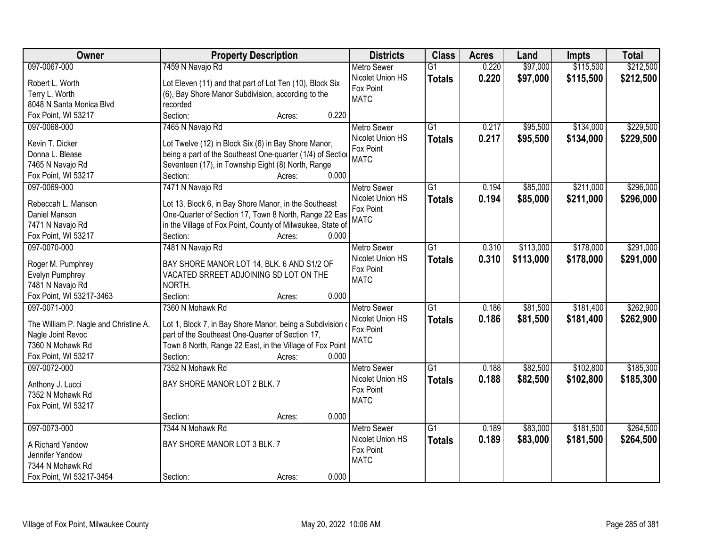| Owner                                 | <b>Property Description</b>                                | <b>Districts</b>   | <b>Class</b>    | <b>Acres</b> | Land      | <b>Impts</b> | <b>Total</b> |
|---------------------------------------|------------------------------------------------------------|--------------------|-----------------|--------------|-----------|--------------|--------------|
| 097-0067-000                          | 7459 N Navajo Rd                                           | <b>Metro Sewer</b> | $\overline{G1}$ | 0.220        | \$97,000  | \$115,500    | \$212,500    |
| Robert L. Worth                       | Lot Eleven (11) and that part of Lot Ten (10), Block Six   | Nicolet Union HS   | <b>Totals</b>   | 0.220        | \$97,000  | \$115,500    | \$212,500    |
| Terry L. Worth                        | (6), Bay Shore Manor Subdivision, according to the         | Fox Point          |                 |              |           |              |              |
| 8048 N Santa Monica Blvd              | recorded                                                   | <b>MATC</b>        |                 |              |           |              |              |
| Fox Point, WI 53217                   | 0.220<br>Section:<br>Acres:                                |                    |                 |              |           |              |              |
| 097-0068-000                          | 7465 N Navajo Rd                                           | <b>Metro Sewer</b> | $\overline{G1}$ | 0.217        | \$95,500  | \$134,000    | \$229,500    |
|                                       |                                                            | Nicolet Union HS   | <b>Totals</b>   | 0.217        | \$95,500  | \$134,000    | \$229,500    |
| Kevin T. Dicker                       | Lot Twelve (12) in Block Six (6) in Bay Shore Manor,       | Fox Point          |                 |              |           |              |              |
| Donna L. Blease                       | being a part of the Southeast One-quarter (1/4) of Section | <b>MATC</b>        |                 |              |           |              |              |
| 7465 N Navajo Rd                      | Seventeen (17), in Township Eight (8) North, Range         |                    |                 |              |           |              |              |
| Fox Point, WI 53217                   | 0.000<br>Section:<br>Acres:                                |                    |                 |              |           |              |              |
| 097-0069-000                          | 7471 N Navajo Rd                                           | Metro Sewer        | G1              | 0.194        | \$85,000  | \$211,000    | \$296,000    |
| Rebeccah L. Manson                    | Lot 13, Block 6, in Bay Shore Manor, in the Southeast      | Nicolet Union HS   | <b>Totals</b>   | 0.194        | \$85,000  | \$211,000    | \$296,000    |
| Daniel Manson                         | One-Quarter of Section 17, Town 8 North, Range 22 Eas      | Fox Point          |                 |              |           |              |              |
| 7471 N Navajo Rd                      | in the Village of Fox Point, County of Milwaukee, State of | <b>MATC</b>        |                 |              |           |              |              |
| Fox Point, WI 53217                   | Section:<br>0.000<br>Acres:                                |                    |                 |              |           |              |              |
| 097-0070-000                          | 7481 N Navajo Rd                                           | <b>Metro Sewer</b> | G1              | 0.310        | \$113,000 | \$178,000    | \$291,000    |
|                                       |                                                            | Nicolet Union HS   | <b>Totals</b>   | 0.310        | \$113,000 | \$178,000    | \$291,000    |
| Roger M. Pumphrey                     | BAY SHORE MANOR LOT 14, BLK. 6 AND S1/2 OF                 | Fox Point          |                 |              |           |              |              |
| Evelyn Pumphrey                       | VACATED SRREET ADJOINING SD LOT ON THE                     | <b>MATC</b>        |                 |              |           |              |              |
| 7481 N Navajo Rd                      | NORTH.                                                     |                    |                 |              |           |              |              |
| Fox Point, WI 53217-3463              | 0.000<br>Section:<br>Acres:                                |                    |                 |              |           |              |              |
| 097-0071-000                          | 7360 N Mohawk Rd                                           | <b>Metro Sewer</b> | $\overline{G1}$ | 0.186        | \$81,500  | \$181,400    | \$262,900    |
| The William P. Nagle and Christine A. | Lot 1, Block 7, in Bay Shore Manor, being a Subdivision    | Nicolet Union HS   | <b>Totals</b>   | 0.186        | \$81,500  | \$181,400    | \$262,900    |
| Nagle Joint Revoc                     | part of the Southeast One-Quarter of Section 17,           | Fox Point          |                 |              |           |              |              |
| 7360 N Mohawk Rd                      | Town 8 North, Range 22 East, in the Village of Fox Point   | <b>MATC</b>        |                 |              |           |              |              |
| Fox Point, WI 53217                   | Section:<br>0.000<br>Acres:                                |                    |                 |              |           |              |              |
| 097-0072-000                          | 7352 N Mohawk Rd                                           | <b>Metro Sewer</b> | $\overline{G1}$ | 0.188        | \$82,500  | \$102,800    | \$185,300    |
|                                       |                                                            | Nicolet Union HS   | <b>Totals</b>   | 0.188        | \$82,500  | \$102,800    | \$185,300    |
| Anthony J. Lucci                      | BAY SHORE MANOR LOT 2 BLK. 7                               | Fox Point          |                 |              |           |              |              |
| 7352 N Mohawk Rd                      |                                                            | <b>MATC</b>        |                 |              |           |              |              |
| Fox Point, WI 53217                   |                                                            |                    |                 |              |           |              |              |
|                                       | 0.000<br>Section:<br>Acres:                                |                    |                 |              |           |              |              |
| 097-0073-000                          | 7344 N Mohawk Rd                                           | <b>Metro Sewer</b> | $\overline{G1}$ | 0.189        | \$83,000  | \$181,500    | \$264,500    |
| A Richard Yandow                      | BAY SHORE MANOR LOT 3 BLK. 7                               | Nicolet Union HS   | <b>Totals</b>   | 0.189        | \$83,000  | \$181,500    | \$264,500    |
| Jennifer Yandow                       |                                                            | Fox Point          |                 |              |           |              |              |
| 7344 N Mohawk Rd                      |                                                            | <b>MATC</b>        |                 |              |           |              |              |
| Fox Point, WI 53217-3454              | 0.000<br>Section:<br>Acres:                                |                    |                 |              |           |              |              |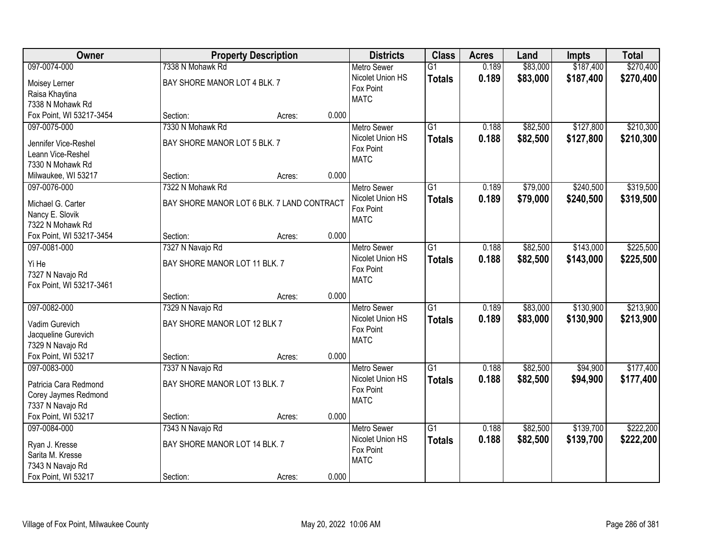| Owner                    |                                            | <b>Property Description</b> |       | <b>Districts</b>   | <b>Class</b>    | <b>Acres</b> | Land     | <b>Impts</b> | <b>Total</b> |
|--------------------------|--------------------------------------------|-----------------------------|-------|--------------------|-----------------|--------------|----------|--------------|--------------|
| 097-0074-000             | 7338 N Mohawk Rd                           |                             |       | <b>Metro Sewer</b> | $\overline{G1}$ | 0.189        | \$83,000 | \$187,400    | \$270,400    |
| Moisey Lerner            | BAY SHORE MANOR LOT 4 BLK. 7               |                             |       | Nicolet Union HS   | <b>Totals</b>   | 0.189        | \$83,000 | \$187,400    | \$270,400    |
| Raisa Khaytina           |                                            |                             |       | Fox Point          |                 |              |          |              |              |
| 7338 N Mohawk Rd         |                                            |                             |       | <b>MATC</b>        |                 |              |          |              |              |
| Fox Point, WI 53217-3454 | Section:                                   | Acres:                      | 0.000 |                    |                 |              |          |              |              |
| 097-0075-000             | 7330 N Mohawk Rd                           |                             |       | <b>Metro Sewer</b> | $\overline{G1}$ | 0.188        | \$82,500 | \$127,800    | \$210,300    |
|                          |                                            |                             |       | Nicolet Union HS   | <b>Totals</b>   | 0.188        | \$82,500 | \$127,800    | \$210,300    |
| Jennifer Vice-Reshel     | BAY SHORE MANOR LOT 5 BLK. 7               |                             |       | Fox Point          |                 |              |          |              |              |
| Leann Vice-Reshel        |                                            |                             |       | <b>MATC</b>        |                 |              |          |              |              |
| 7330 N Mohawk Rd         |                                            |                             |       |                    |                 |              |          |              |              |
| Milwaukee, WI 53217      | Section:                                   | Acres:                      | 0.000 |                    |                 |              |          |              |              |
| 097-0076-000             | 7322 N Mohawk Rd                           |                             |       | Metro Sewer        | $\overline{G1}$ | 0.189        | \$79,000 | \$240,500    | \$319,500    |
| Michael G. Carter        | BAY SHORE MANOR LOT 6 BLK. 7 LAND CONTRACT |                             |       | Nicolet Union HS   | <b>Totals</b>   | 0.189        | \$79,000 | \$240,500    | \$319,500    |
| Nancy E. Slovik          |                                            |                             |       | Fox Point          |                 |              |          |              |              |
| 7322 N Mohawk Rd         |                                            |                             |       | <b>MATC</b>        |                 |              |          |              |              |
| Fox Point, WI 53217-3454 | Section:                                   | Acres:                      | 0.000 |                    |                 |              |          |              |              |
| 097-0081-000             | 7327 N Navajo Rd                           |                             |       | <b>Metro Sewer</b> | $\overline{G1}$ | 0.188        | \$82,500 | \$143,000    | \$225,500    |
|                          |                                            |                             |       | Nicolet Union HS   | <b>Totals</b>   | 0.188        | \$82,500 | \$143,000    | \$225,500    |
| Yi He                    | BAY SHORE MANOR LOT 11 BLK. 7              |                             |       | Fox Point          |                 |              |          |              |              |
| 7327 N Navajo Rd         |                                            |                             |       | <b>MATC</b>        |                 |              |          |              |              |
| Fox Point, WI 53217-3461 | Section:                                   |                             | 0.000 |                    |                 |              |          |              |              |
| 097-0082-000             | 7329 N Navajo Rd                           | Acres:                      |       | <b>Metro Sewer</b> | $\overline{G1}$ | 0.189        | \$83,000 | \$130,900    | \$213,900    |
|                          |                                            |                             |       | Nicolet Union HS   |                 |              |          |              |              |
| Vadim Gurevich           | BAY SHORE MANOR LOT 12 BLK 7               |                             |       | Fox Point          | <b>Totals</b>   | 0.189        | \$83,000 | \$130,900    | \$213,900    |
| Jacqueline Gurevich      |                                            |                             |       | <b>MATC</b>        |                 |              |          |              |              |
| 7329 N Navajo Rd         |                                            |                             |       |                    |                 |              |          |              |              |
| Fox Point, WI 53217      | Section:                                   | Acres:                      | 0.000 |                    |                 |              |          |              |              |
| 097-0083-000             | 7337 N Navajo Rd                           |                             |       | <b>Metro Sewer</b> | $\overline{G1}$ | 0.188        | \$82,500 | \$94,900     | \$177,400    |
| Patricia Cara Redmond    | BAY SHORE MANOR LOT 13 BLK. 7              |                             |       | Nicolet Union HS   | <b>Totals</b>   | 0.188        | \$82,500 | \$94,900     | \$177,400    |
| Corey Jaymes Redmond     |                                            |                             |       | Fox Point          |                 |              |          |              |              |
| 7337 N Navajo Rd         |                                            |                             |       | <b>MATC</b>        |                 |              |          |              |              |
| Fox Point, WI 53217      | Section:                                   | Acres:                      | 0.000 |                    |                 |              |          |              |              |
| 097-0084-000             | 7343 N Navajo Rd                           |                             |       | <b>Metro Sewer</b> | $\overline{G1}$ | 0.188        | \$82,500 | \$139,700    | \$222,200    |
|                          |                                            |                             |       | Nicolet Union HS   |                 | 0.188        | \$82,500 | \$139,700    | \$222,200    |
| Ryan J. Kresse           | BAY SHORE MANOR LOT 14 BLK. 7              |                             |       | Fox Point          | <b>Totals</b>   |              |          |              |              |
| Sarita M. Kresse         |                                            |                             |       | <b>MATC</b>        |                 |              |          |              |              |
| 7343 N Navajo Rd         |                                            |                             |       |                    |                 |              |          |              |              |
| Fox Point, WI 53217      | Section:                                   | Acres:                      | 0.000 |                    |                 |              |          |              |              |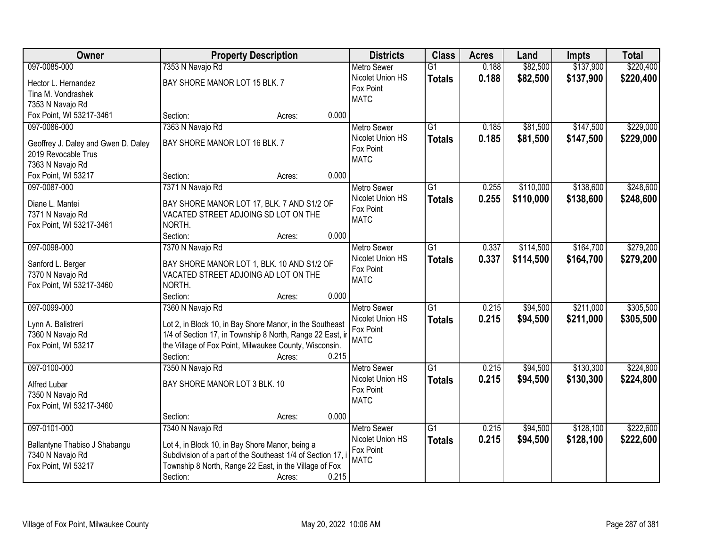| Owner                                        |                                                             | <b>Property Description</b> |       | <b>Districts</b>                       | <b>Class</b>    | <b>Acres</b> | Land      | <b>Impts</b> | <b>Total</b> |
|----------------------------------------------|-------------------------------------------------------------|-----------------------------|-------|----------------------------------------|-----------------|--------------|-----------|--------------|--------------|
| 097-0085-000                                 | 7353 N Navajo Rd                                            |                             |       | <b>Metro Sewer</b>                     | $\overline{G1}$ | 0.188        | \$82,500  | \$137,900    | \$220,400    |
| Hector L. Hernandez                          | BAY SHORE MANOR LOT 15 BLK. 7                               |                             |       | Nicolet Union HS                       | <b>Totals</b>   | 0.188        | \$82,500  | \$137,900    | \$220,400    |
| Tina M. Vondrashek                           |                                                             |                             |       | Fox Point                              |                 |              |           |              |              |
| 7353 N Navajo Rd                             |                                                             |                             |       | <b>MATC</b>                            |                 |              |           |              |              |
| Fox Point, WI 53217-3461                     | Section:                                                    | Acres:                      | 0.000 |                                        |                 |              |           |              |              |
| 097-0086-000                                 | 7363 N Navajo Rd                                            |                             |       | <b>Metro Sewer</b>                     | $\overline{G1}$ | 0.185        | \$81,500  | \$147,500    | \$229,000    |
| Geoffrey J. Daley and Gwen D. Daley          | BAY SHORE MANOR LOT 16 BLK. 7                               |                             |       | Nicolet Union HS                       | <b>Totals</b>   | 0.185        | \$81,500  | \$147,500    | \$229,000    |
| 2019 Revocable Trus                          |                                                             |                             |       | Fox Point                              |                 |              |           |              |              |
| 7363 N Navajo Rd                             |                                                             |                             |       | <b>MATC</b>                            |                 |              |           |              |              |
| Fox Point, WI 53217                          | Section:                                                    | Acres:                      | 0.000 |                                        |                 |              |           |              |              |
| 097-0087-000                                 | 7371 N Navajo Rd                                            |                             |       | <b>Metro Sewer</b>                     | $\overline{G1}$ | 0.255        | \$110,000 | \$138,600    | \$248,600    |
|                                              |                                                             |                             |       | Nicolet Union HS                       | <b>Totals</b>   | 0.255        | \$110,000 | \$138,600    | \$248,600    |
| Diane L. Mantei                              | BAY SHORE MANOR LOT 17, BLK. 7 AND S1/2 OF                  |                             |       | Fox Point                              |                 |              |           |              |              |
| 7371 N Navajo Rd<br>Fox Point, WI 53217-3461 | VACATED STREET ADJOING SD LOT ON THE<br>NORTH.              |                             |       | <b>MATC</b>                            |                 |              |           |              |              |
|                                              | Section:                                                    | Acres:                      | 0.000 |                                        |                 |              |           |              |              |
| 097-0098-000                                 | 7370 N Navajo Rd                                            |                             |       | <b>Metro Sewer</b>                     | $\overline{G1}$ | 0.337        | \$114,500 | \$164,700    | \$279,200    |
|                                              |                                                             |                             |       | Nicolet Union HS                       | <b>Totals</b>   | 0.337        | \$114,500 | \$164,700    | \$279,200    |
| Sanford L. Berger                            | BAY SHORE MANOR LOT 1, BLK. 10 AND S1/2 OF                  |                             |       | Fox Point                              |                 |              |           |              |              |
| 7370 N Navajo Rd                             | VACATED STREET ADJOING AD LOT ON THE                        |                             |       | <b>MATC</b>                            |                 |              |           |              |              |
| Fox Point, WI 53217-3460                     | NORTH.                                                      |                             |       |                                        |                 |              |           |              |              |
| 097-0099-000                                 | Section:                                                    | Acres:                      | 0.000 |                                        | $\overline{G1}$ | 0.215        |           | \$211,000    | \$305,500    |
|                                              | 7360 N Navajo Rd                                            |                             |       | <b>Metro Sewer</b><br>Nicolet Union HS |                 |              | \$94,500  |              |              |
| Lynn A. Balistreri                           | Lot 2, in Block 10, in Bay Shore Manor, in the Southeast    |                             |       | Fox Point                              | <b>Totals</b>   | 0.215        | \$94,500  | \$211,000    | \$305,500    |
| 7360 N Navajo Rd                             | 1/4 of Section 17, in Township 8 North, Range 22 East, ir   |                             |       | <b>MATC</b>                            |                 |              |           |              |              |
| Fox Point, WI 53217                          | the Village of Fox Point, Milwaukee County, Wisconsin.      |                             |       |                                        |                 |              |           |              |              |
|                                              | Section:                                                    | Acres:                      | 0.215 |                                        |                 |              |           |              |              |
| 097-0100-000                                 | 7350 N Navajo Rd                                            |                             |       | Metro Sewer                            | $\overline{G1}$ | 0.215        | \$94,500  | \$130,300    | \$224,800    |
| Alfred Lubar                                 | BAY SHORE MANOR LOT 3 BLK. 10                               |                             |       | Nicolet Union HS                       | <b>Totals</b>   | 0.215        | \$94,500  | \$130,300    | \$224,800    |
| 7350 N Navajo Rd                             |                                                             |                             |       | Fox Point<br><b>MATC</b>               |                 |              |           |              |              |
| Fox Point, WI 53217-3460                     |                                                             |                             |       |                                        |                 |              |           |              |              |
|                                              | Section:                                                    | Acres:                      | 0.000 |                                        |                 |              |           |              |              |
| 097-0101-000                                 | 7340 N Navajo Rd                                            |                             |       | <b>Metro Sewer</b>                     | $\overline{G1}$ | 0.215        | \$94,500  | \$128,100    | \$222,600    |
| Ballantyne Thabiso J Shabangu                | Lot 4, in Block 10, in Bay Shore Manor, being a             |                             |       | Nicolet Union HS                       | <b>Totals</b>   | 0.215        | \$94,500  | \$128,100    | \$222,600    |
| 7340 N Navajo Rd                             | Subdivision of a part of the Southeast 1/4 of Section 17, i |                             |       | Fox Point                              |                 |              |           |              |              |
| Fox Point, WI 53217                          | Township 8 North, Range 22 East, in the Village of Fox      |                             |       | <b>MATC</b>                            |                 |              |           |              |              |
|                                              | Section:                                                    | Acres:                      | 0.215 |                                        |                 |              |           |              |              |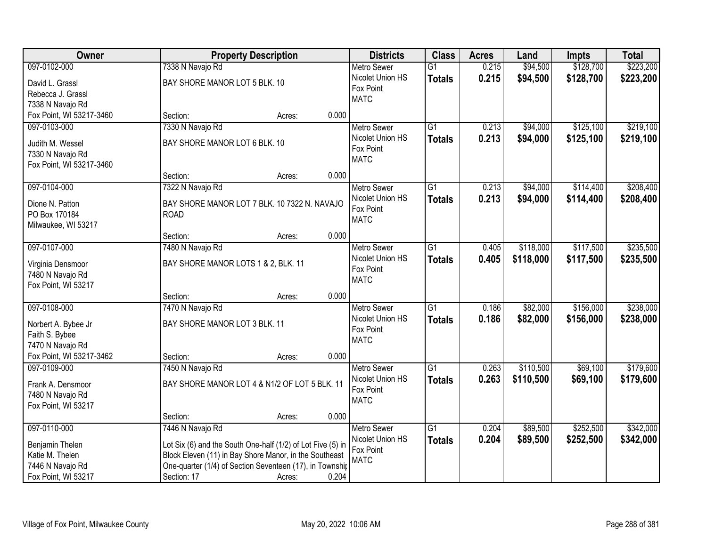| Owner                                   |                                                                                                                    | <b>Property Description</b> | <b>Districts</b> | <b>Class</b>                           | <b>Acres</b>    | Land  | <b>Impts</b> | <b>Total</b> |           |
|-----------------------------------------|--------------------------------------------------------------------------------------------------------------------|-----------------------------|------------------|----------------------------------------|-----------------|-------|--------------|--------------|-----------|
| 097-0102-000                            | 7338 N Navajo Rd                                                                                                   |                             |                  | <b>Metro Sewer</b>                     | $\overline{G1}$ | 0.215 | \$94,500     | \$128,700    | \$223,200 |
| David L. Grassl                         | BAY SHORE MANOR LOT 5 BLK. 10                                                                                      |                             |                  | Nicolet Union HS                       | <b>Totals</b>   | 0.215 | \$94,500     | \$128,700    | \$223,200 |
| Rebecca J. Grassl                       |                                                                                                                    |                             |                  | Fox Point                              |                 |       |              |              |           |
| 7338 N Navajo Rd                        |                                                                                                                    |                             |                  | <b>MATC</b>                            |                 |       |              |              |           |
| Fox Point, WI 53217-3460                | Section:                                                                                                           | Acres:                      | 0.000            |                                        |                 |       |              |              |           |
| 097-0103-000                            | 7330 N Navajo Rd                                                                                                   |                             |                  | <b>Metro Sewer</b>                     | $\overline{G1}$ | 0.213 | \$94,000     | \$125,100    | \$219,100 |
| Judith M. Wessel                        | BAY SHORE MANOR LOT 6 BLK. 10                                                                                      |                             |                  | Nicolet Union HS                       | <b>Totals</b>   | 0.213 | \$94,000     | \$125,100    | \$219,100 |
| 7330 N Navajo Rd                        |                                                                                                                    |                             |                  | Fox Point                              |                 |       |              |              |           |
| Fox Point, WI 53217-3460                |                                                                                                                    |                             |                  | <b>MATC</b>                            |                 |       |              |              |           |
|                                         | Section:                                                                                                           | Acres:                      | 0.000            |                                        |                 |       |              |              |           |
| 097-0104-000                            | 7322 N Navajo Rd                                                                                                   |                             |                  | Metro Sewer                            | $\overline{G1}$ | 0.213 | \$94,000     | \$114,400    | \$208,400 |
|                                         |                                                                                                                    |                             |                  | Nicolet Union HS                       | <b>Totals</b>   | 0.213 | \$94,000     | \$114,400    | \$208,400 |
| Dione N. Patton                         | BAY SHORE MANOR LOT 7 BLK. 10 7322 N. NAVAJO                                                                       |                             |                  | Fox Point                              |                 |       |              |              |           |
| PO Box 170184                           | <b>ROAD</b>                                                                                                        |                             |                  | <b>MATC</b>                            |                 |       |              |              |           |
| Milwaukee, WI 53217                     |                                                                                                                    |                             | 0.000            |                                        |                 |       |              |              |           |
| 097-0107-000                            | Section:                                                                                                           | Acres:                      |                  |                                        | $\overline{G1}$ |       | \$118,000    | \$117,500    | \$235,500 |
|                                         | 7480 N Navajo Rd                                                                                                   |                             |                  | <b>Metro Sewer</b><br>Nicolet Union HS |                 | 0.405 |              |              |           |
| Virginia Densmoor                       | BAY SHORE MANOR LOTS 1 & 2, BLK. 11                                                                                |                             |                  | Fox Point                              | <b>Totals</b>   | 0.405 | \$118,000    | \$117,500    | \$235,500 |
| 7480 N Navajo Rd                        |                                                                                                                    |                             |                  | <b>MATC</b>                            |                 |       |              |              |           |
| Fox Point, WI 53217                     |                                                                                                                    |                             |                  |                                        |                 |       |              |              |           |
|                                         | Section:                                                                                                           | Acres:                      | 0.000            |                                        |                 |       |              |              |           |
| 097-0108-000                            | 7470 N Navajo Rd                                                                                                   |                             |                  | <b>Metro Sewer</b>                     | $\overline{G1}$ | 0.186 | \$82,000     | \$156,000    | \$238,000 |
| Norbert A. Bybee Jr                     | BAY SHORE MANOR LOT 3 BLK. 11                                                                                      |                             |                  | Nicolet Union HS                       | <b>Totals</b>   | 0.186 | \$82,000     | \$156,000    | \$238,000 |
| Faith S. Bybee                          |                                                                                                                    |                             |                  | Fox Point                              |                 |       |              |              |           |
| 7470 N Navajo Rd                        |                                                                                                                    |                             |                  | <b>MATC</b>                            |                 |       |              |              |           |
| Fox Point, WI 53217-3462                | Section:                                                                                                           | Acres:                      | 0.000            |                                        |                 |       |              |              |           |
| 097-0109-000                            | 7450 N Navajo Rd                                                                                                   |                             |                  | Metro Sewer                            | $\overline{G1}$ | 0.263 | \$110,500    | \$69,100     | \$179,600 |
| Frank A. Densmoor                       | BAY SHORE MANOR LOT 4 & N1/2 OF LOT 5 BLK. 11                                                                      |                             |                  | Nicolet Union HS                       | <b>Totals</b>   | 0.263 | \$110,500    | \$69,100     | \$179,600 |
| 7480 N Navajo Rd                        |                                                                                                                    |                             |                  | Fox Point                              |                 |       |              |              |           |
| Fox Point, WI 53217                     |                                                                                                                    |                             |                  | <b>MATC</b>                            |                 |       |              |              |           |
|                                         | Section:                                                                                                           | Acres:                      | 0.000            |                                        |                 |       |              |              |           |
| 097-0110-000                            | 7446 N Navajo Rd                                                                                                   |                             |                  | <b>Metro Sewer</b>                     | $\overline{G1}$ | 0.204 | \$89,500     | \$252,500    | \$342,000 |
|                                         |                                                                                                                    |                             |                  | Nicolet Union HS                       | <b>Totals</b>   | 0.204 | \$89,500     | \$252,500    | \$342,000 |
| Benjamin Thelen                         | Lot Six (6) and the South One-half (1/2) of Lot Five (5) in                                                        |                             |                  | Fox Point                              |                 |       |              |              |           |
| Katie M. Thelen                         | Block Eleven (11) in Bay Shore Manor, in the Southeast<br>One-quarter (1/4) of Section Seventeen (17), in Townshir |                             |                  | <b>MATC</b>                            |                 |       |              |              |           |
| 7446 N Navajo Rd<br>Fox Point, WI 53217 | Section: 17                                                                                                        |                             | 0.204            |                                        |                 |       |              |              |           |
|                                         |                                                                                                                    | Acres:                      |                  |                                        |                 |       |              |              |           |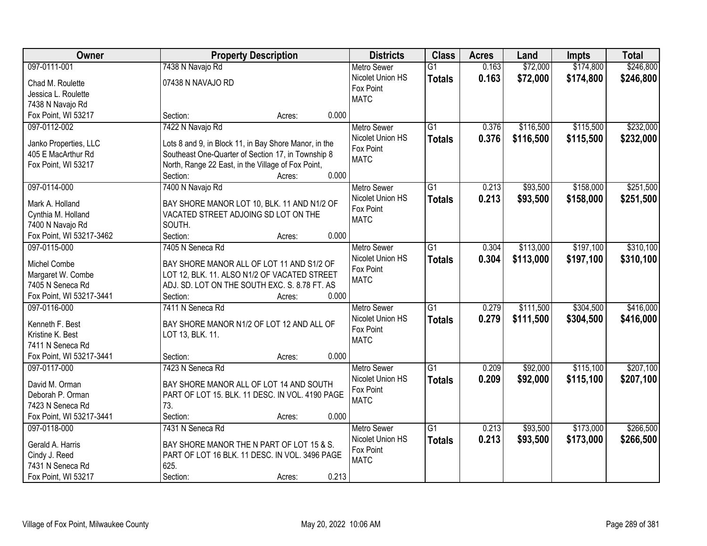| Owner                    |                                                       | <b>Property Description</b> |       | <b>Districts</b>   | <b>Class</b>    | <b>Acres</b> | Land      | <b>Impts</b> | <b>Total</b> |
|--------------------------|-------------------------------------------------------|-----------------------------|-------|--------------------|-----------------|--------------|-----------|--------------|--------------|
| 097-0111-001             | 7438 N Navajo Rd                                      |                             |       | <b>Metro Sewer</b> | $\overline{G1}$ | 0.163        | \$72,000  | \$174,800    | \$246,800    |
| Chad M. Roulette         | 07438 N NAVAJO RD                                     |                             |       | Nicolet Union HS   | <b>Totals</b>   | 0.163        | \$72,000  | \$174,800    | \$246,800    |
| Jessica L. Roulette      |                                                       |                             |       | Fox Point          |                 |              |           |              |              |
| 7438 N Navajo Rd         |                                                       |                             |       | <b>MATC</b>        |                 |              |           |              |              |
| Fox Point, WI 53217      | Section:                                              | Acres:                      | 0.000 |                    |                 |              |           |              |              |
| 097-0112-002             | 7422 N Navajo Rd                                      |                             |       | Metro Sewer        | $\overline{G1}$ | 0.376        | \$116,500 | \$115,500    | \$232,000    |
|                          |                                                       |                             |       | Nicolet Union HS   | <b>Totals</b>   | 0.376        | \$116,500 | \$115,500    | \$232,000    |
| Janko Properties, LLC    | Lots 8 and 9, in Block 11, in Bay Shore Manor, in the |                             |       | Fox Point          |                 |              |           |              |              |
| 405 E MacArthur Rd       | Southeast One-Quarter of Section 17, in Township 8    |                             |       | <b>MATC</b>        |                 |              |           |              |              |
| Fox Point, WI 53217      | North, Range 22 East, in the Village of Fox Point,    |                             |       |                    |                 |              |           |              |              |
|                          | Section:                                              | Acres:                      | 0.000 |                    |                 |              |           |              |              |
| 097-0114-000             | 7400 N Navajo Rd                                      |                             |       | <b>Metro Sewer</b> | G1              | 0.213        | \$93,500  | \$158,000    | \$251,500    |
| Mark A. Holland          | BAY SHORE MANOR LOT 10, BLK. 11 AND N1/2 OF           |                             |       | Nicolet Union HS   | <b>Totals</b>   | 0.213        | \$93,500  | \$158,000    | \$251,500    |
| Cynthia M. Holland       | VACATED STREET ADJOING SD LOT ON THE                  |                             |       | Fox Point          |                 |              |           |              |              |
| 7400 N Navajo Rd         | SOUTH.                                                |                             |       | <b>MATC</b>        |                 |              |           |              |              |
| Fox Point, WI 53217-3462 | Section:                                              | Acres:                      | 0.000 |                    |                 |              |           |              |              |
| 097-0115-000             | 7405 N Seneca Rd                                      |                             |       | <b>Metro Sewer</b> | $\overline{G1}$ | 0.304        | \$113,000 | \$197,100    | \$310,100    |
|                          |                                                       |                             |       | Nicolet Union HS   | <b>Totals</b>   | 0.304        | \$113,000 | \$197,100    | \$310,100    |
| Michel Combe             | BAY SHORE MANOR ALL OF LOT 11 AND S1/2 OF             |                             |       | Fox Point          |                 |              |           |              |              |
| Margaret W. Combe        | LOT 12, BLK. 11. ALSO N1/2 OF VACATED STREET          |                             |       | <b>MATC</b>        |                 |              |           |              |              |
| 7405 N Seneca Rd         | ADJ. SD. LOT ON THE SOUTH EXC. S. 8.78 FT. AS         |                             |       |                    |                 |              |           |              |              |
| Fox Point, WI 53217-3441 | Section:                                              | Acres:                      | 0.000 |                    |                 |              |           |              |              |
| 097-0116-000             | 7411 N Seneca Rd                                      |                             |       | Metro Sewer        | $\overline{G1}$ | 0.279        | \$111,500 | \$304,500    | \$416,000    |
| Kenneth F. Best          | BAY SHORE MANOR N1/2 OF LOT 12 AND ALL OF             |                             |       | Nicolet Union HS   | <b>Totals</b>   | 0.279        | \$111,500 | \$304,500    | \$416,000    |
| Kristine K. Best         | LOT 13, BLK. 11.                                      |                             |       | Fox Point          |                 |              |           |              |              |
| 7411 N Seneca Rd         |                                                       |                             |       | <b>MATC</b>        |                 |              |           |              |              |
| Fox Point, WI 53217-3441 | Section:                                              | Acres:                      | 0.000 |                    |                 |              |           |              |              |
| 097-0117-000             | 7423 N Seneca Rd                                      |                             |       | Metro Sewer        | $\overline{G1}$ | 0.209        | \$92,000  | \$115,100    | \$207,100    |
|                          |                                                       |                             |       | Nicolet Union HS   |                 | 0.209        | \$92,000  | \$115,100    |              |
| David M. Orman           | BAY SHORE MANOR ALL OF LOT 14 AND SOUTH               |                             |       | Fox Point          | <b>Totals</b>   |              |           |              | \$207,100    |
| Deborah P. Orman         | PART OF LOT 15. BLK. 11 DESC. IN VOL. 4190 PAGE       |                             |       | <b>MATC</b>        |                 |              |           |              |              |
| 7423 N Seneca Rd         | 73.                                                   |                             |       |                    |                 |              |           |              |              |
| Fox Point, WI 53217-3441 | Section:                                              | Acres:                      | 0.000 |                    |                 |              |           |              |              |
| 097-0118-000             | 7431 N Seneca Rd                                      |                             |       | <b>Metro Sewer</b> | $\overline{G1}$ | 0.213        | \$93,500  | \$173,000    | \$266,500    |
| Gerald A. Harris         | BAY SHORE MANOR THE N PART OF LOT 15 & S.             |                             |       | Nicolet Union HS   | <b>Totals</b>   | 0.213        | \$93,500  | \$173,000    | \$266,500    |
| Cindy J. Reed            | PART OF LOT 16 BLK. 11 DESC. IN VOL. 3496 PAGE        |                             |       | Fox Point          |                 |              |           |              |              |
| 7431 N Seneca Rd         | 625.                                                  |                             |       | <b>MATC</b>        |                 |              |           |              |              |
| Fox Point, WI 53217      | Section:                                              | Acres:                      | 0.213 |                    |                 |              |           |              |              |
|                          |                                                       |                             |       |                    |                 |              |           |              |              |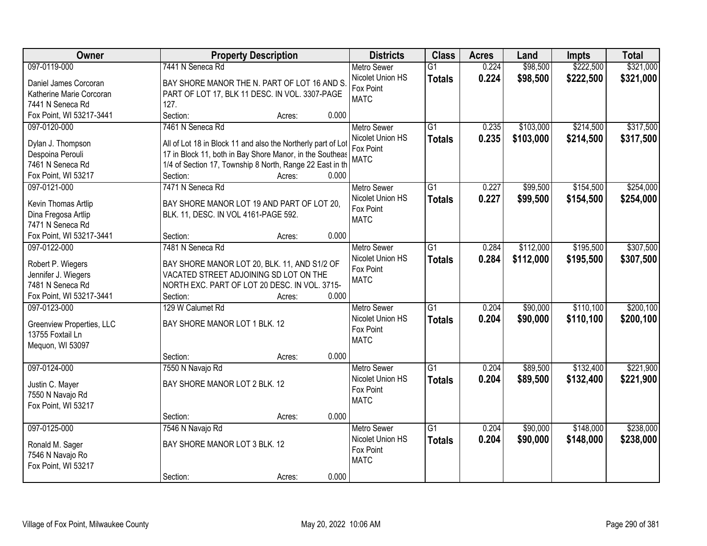| Owner                                        | <b>Property Description</b>                                  |                 | <b>Districts</b>              | <b>Class</b>    | <b>Acres</b> | Land      | <b>Impts</b> | <b>Total</b> |
|----------------------------------------------|--------------------------------------------------------------|-----------------|-------------------------------|-----------------|--------------|-----------|--------------|--------------|
| 097-0119-000                                 | 7441 N Seneca Rd                                             |                 | <b>Metro Sewer</b>            | $\overline{G1}$ | 0.224        | \$98,500  | \$222,500    | \$321,000    |
| Daniel James Corcoran                        | BAY SHORE MANOR THE N. PART OF LOT 16 AND S.                 |                 | Nicolet Union HS              | <b>Totals</b>   | 0.224        | \$98,500  | \$222,500    | \$321,000    |
| Katherine Marie Corcoran                     | PART OF LOT 17, BLK 11 DESC. IN VOL. 3307-PAGE               |                 | Fox Point                     |                 |              |           |              |              |
| 7441 N Seneca Rd                             | 127.                                                         |                 | <b>MATC</b>                   |                 |              |           |              |              |
| Fox Point, WI 53217-3441                     | Section:                                                     | 0.000<br>Acres: |                               |                 |              |           |              |              |
| 097-0120-000                                 | 7461 N Seneca Rd                                             |                 | <b>Metro Sewer</b>            | $\overline{G1}$ | 0.235        | \$103,000 | \$214,500    | \$317,500    |
|                                              |                                                              |                 | Nicolet Union HS              | <b>Totals</b>   | 0.235        | \$103,000 | \$214,500    | \$317,500    |
| Dylan J. Thompson                            | All of Lot 18 in Block 11 and also the Northerly part of Lot |                 | Fox Point                     |                 |              |           |              |              |
| Despoina Perouli                             | 17 in Block 11, both in Bay Shore Manor, in the Southeas     |                 | <b>MATC</b>                   |                 |              |           |              |              |
| 7461 N Seneca Rd                             | 1/4 of Section 17, Township 8 North, Range 22 East in th     |                 |                               |                 |              |           |              |              |
| Fox Point, WI 53217                          | Section:                                                     | 0.000<br>Acres: |                               |                 |              |           |              |              |
| 097-0121-000                                 | 7471 N Seneca Rd                                             |                 | Metro Sewer                   | $\overline{G1}$ | 0.227        | \$99,500  | \$154,500    | \$254,000    |
| Kevin Thomas Artlip                          | BAY SHORE MANOR LOT 19 AND PART OF LOT 20,                   |                 | Nicolet Union HS              | <b>Totals</b>   | 0.227        | \$99,500  | \$154,500    | \$254,000    |
| Dina Fregosa Artlip                          | BLK. 11, DESC. IN VOL 4161-PAGE 592.                         |                 | Fox Point                     |                 |              |           |              |              |
| 7471 N Seneca Rd                             |                                                              |                 | <b>MATC</b>                   |                 |              |           |              |              |
| Fox Point, WI 53217-3441                     | Section:                                                     | 0.000<br>Acres: |                               |                 |              |           |              |              |
| 097-0122-000                                 | 7481 N Seneca Rd                                             |                 | <b>Metro Sewer</b>            | $\overline{G1}$ | 0.284        | \$112,000 | \$195,500    | \$307,500    |
|                                              |                                                              |                 | Nicolet Union HS              | <b>Totals</b>   | 0.284        | \$112,000 | \$195,500    | \$307,500    |
| Robert P. Wiegers                            | BAY SHORE MANOR LOT 20, BLK. 11, AND S1/2 OF                 |                 | Fox Point                     |                 |              |           |              |              |
| Jennifer J. Wiegers                          | VACATED STREET ADJOINING SD LOT ON THE                       |                 | <b>MATC</b>                   |                 |              |           |              |              |
| 7481 N Seneca Rd<br>Fox Point, WI 53217-3441 | NORTH EXC. PART OF LOT 20 DESC. IN VOL. 3715-<br>Section:    | 0.000           |                               |                 |              |           |              |              |
| 097-0123-000                                 | 129 W Calumet Rd                                             | Acres:          |                               | $\overline{G1}$ | 0.204        | \$90,000  | \$110,100    | \$200,100    |
|                                              |                                                              |                 | <b>Metro Sewer</b>            |                 |              |           |              |              |
| Greenview Properties, LLC                    | BAY SHORE MANOR LOT 1 BLK. 12                                |                 | Nicolet Union HS<br>Fox Point | <b>Totals</b>   | 0.204        | \$90,000  | \$110,100    | \$200,100    |
| 13755 Foxtail Ln                             |                                                              |                 | <b>MATC</b>                   |                 |              |           |              |              |
| Mequon, WI 53097                             |                                                              |                 |                               |                 |              |           |              |              |
|                                              | Section:                                                     | 0.000<br>Acres: |                               |                 |              |           |              |              |
| 097-0124-000                                 | 7550 N Navajo Rd                                             |                 | <b>Metro Sewer</b>            | $\overline{G1}$ | 0.204        | \$89,500  | \$132,400    | \$221,900    |
| Justin C. Mayer                              | BAY SHORE MANOR LOT 2 BLK. 12                                |                 | Nicolet Union HS              | <b>Totals</b>   | 0.204        | \$89,500  | \$132,400    | \$221,900    |
| 7550 N Navajo Rd                             |                                                              |                 | Fox Point                     |                 |              |           |              |              |
| Fox Point, WI 53217                          |                                                              |                 | <b>MATC</b>                   |                 |              |           |              |              |
|                                              | Section:                                                     | 0.000<br>Acres: |                               |                 |              |           |              |              |
| 097-0125-000                                 | 7546 N Navajo Rd                                             |                 | <b>Metro Sewer</b>            | $\overline{G1}$ | 0.204        | \$90,000  | \$148,000    | \$238,000    |
|                                              |                                                              |                 | Nicolet Union HS              | <b>Totals</b>   | 0.204        | \$90,000  | \$148,000    | \$238,000    |
| Ronald M. Sager                              | BAY SHORE MANOR LOT 3 BLK. 12                                |                 | Fox Point                     |                 |              |           |              |              |
| 7546 N Navajo Ro                             |                                                              |                 | <b>MATC</b>                   |                 |              |           |              |              |
| Fox Point, WI 53217                          |                                                              |                 |                               |                 |              |           |              |              |
|                                              | Section:                                                     | 0.000<br>Acres: |                               |                 |              |           |              |              |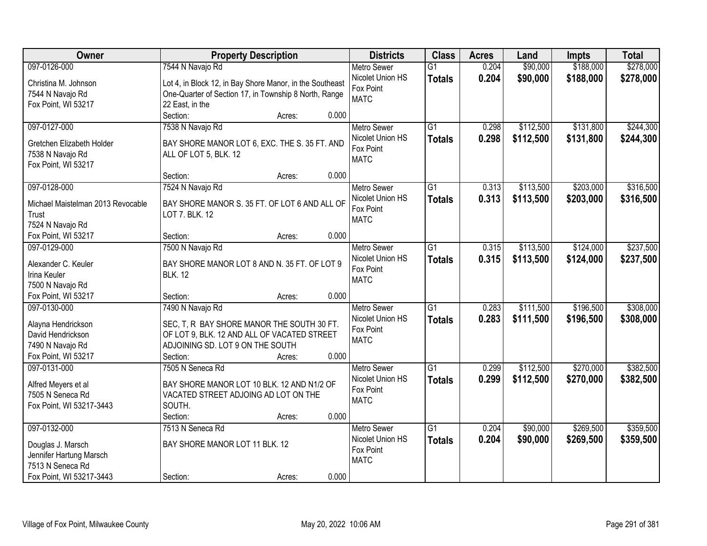| Owner                                   | <b>Property Description</b>                              |        |       | <b>Districts</b>         | <b>Class</b>    | <b>Acres</b> | Land      | Impts     | <b>Total</b> |
|-----------------------------------------|----------------------------------------------------------|--------|-------|--------------------------|-----------------|--------------|-----------|-----------|--------------|
| 097-0126-000                            | 7544 N Navajo Rd                                         |        |       | <b>Metro Sewer</b>       | $\overline{G1}$ | 0.204        | \$90,000  | \$188,000 | \$278,000    |
| Christina M. Johnson                    | Lot 4, in Block 12, in Bay Shore Manor, in the Southeast |        |       | Nicolet Union HS         | <b>Totals</b>   | 0.204        | \$90,000  | \$188,000 | \$278,000    |
| 7544 N Navajo Rd                        | One-Quarter of Section 17, in Township 8 North, Range    |        |       | Fox Point                |                 |              |           |           |              |
| Fox Point, WI 53217                     | 22 East, in the                                          |        |       | <b>MATC</b>              |                 |              |           |           |              |
|                                         | Section:                                                 | Acres: | 0.000 |                          |                 |              |           |           |              |
| 097-0127-000                            | 7538 N Navajo Rd                                         |        |       | <b>Metro Sewer</b>       | $\overline{G1}$ | 0.298        | \$112,500 | \$131,800 | \$244,300    |
|                                         |                                                          |        |       | Nicolet Union HS         | <b>Totals</b>   | 0.298        | \$112,500 | \$131,800 | \$244,300    |
| Gretchen Elizabeth Holder               | BAY SHORE MANOR LOT 6, EXC. THE S. 35 FT. AND            |        |       | Fox Point                |                 |              |           |           |              |
| 7538 N Navajo Rd                        | ALL OF LOT 5, BLK. 12                                    |        |       | <b>MATC</b>              |                 |              |           |           |              |
| Fox Point, WI 53217                     |                                                          |        |       |                          |                 |              |           |           |              |
|                                         | Section:                                                 | Acres: | 0.000 |                          |                 |              |           |           |              |
| 097-0128-000                            | 7524 N Navajo Rd                                         |        |       | <b>Metro Sewer</b>       | $\overline{G1}$ | 0.313        | \$113,500 | \$203,000 | \$316,500    |
| Michael Maistelman 2013 Revocable       | BAY SHORE MANOR S. 35 FT. OF LOT 6 AND ALL OF            |        |       | Nicolet Union HS         | <b>Totals</b>   | 0.313        | \$113,500 | \$203,000 | \$316,500    |
| Trust                                   | LOT 7. BLK. 12                                           |        |       | Fox Point                |                 |              |           |           |              |
| 7524 N Navajo Rd                        |                                                          |        |       | <b>MATC</b>              |                 |              |           |           |              |
| Fox Point, WI 53217                     | Section:                                                 | Acres: | 0.000 |                          |                 |              |           |           |              |
| 097-0129-000                            | 7500 N Navajo Rd                                         |        |       | Metro Sewer              | $\overline{G1}$ | 0.315        | \$113,500 | \$124,000 | \$237,500    |
| Alexander C. Keuler                     |                                                          |        |       | Nicolet Union HS         | <b>Totals</b>   | 0.315        | \$113,500 | \$124,000 | \$237,500    |
|                                         | BAY SHORE MANOR LOT 8 AND N. 35 FT. OF LOT 9             |        |       | Fox Point                |                 |              |           |           |              |
| Irina Keuler<br>7500 N Navajo Rd        | <b>BLK. 12</b>                                           |        |       | <b>MATC</b>              |                 |              |           |           |              |
|                                         |                                                          |        | 0.000 |                          |                 |              |           |           |              |
| Fox Point, WI 53217                     | Section:                                                 | Acres: |       |                          | $\overline{G1}$ |              |           |           |              |
| 097-0130-000                            | 7490 N Navajo Rd                                         |        |       | <b>Metro Sewer</b>       |                 | 0.283        | \$111,500 | \$196,500 | \$308,000    |
| Alayna Hendrickson                      | SEC, T, R BAY SHORE MANOR THE SOUTH 30 FT.               |        |       | Nicolet Union HS         | <b>Totals</b>   | 0.283        | \$111,500 | \$196,500 | \$308,000    |
| David Hendrickson                       | OF LOT 9, BLK. 12 AND ALL OF VACATED STREET              |        |       | Fox Point                |                 |              |           |           |              |
| 7490 N Navajo Rd                        | ADJOINING SD. LOT 9 ON THE SOUTH                         |        |       | <b>MATC</b>              |                 |              |           |           |              |
| Fox Point, WI 53217                     | Section:                                                 | Acres: | 0.000 |                          |                 |              |           |           |              |
| 097-0131-000                            | 7505 N Seneca Rd                                         |        |       | Metro Sewer              | $\overline{G1}$ | 0.299        | \$112,500 | \$270,000 | \$382,500    |
|                                         | BAY SHORE MANOR LOT 10 BLK. 12 AND N1/2 OF               |        |       | Nicolet Union HS         | <b>Totals</b>   | 0.299        | \$112,500 | \$270,000 | \$382,500    |
| Alfred Meyers et al<br>7505 N Seneca Rd | VACATED STREET ADJOING AD LOT ON THE                     |        |       | Fox Point                |                 |              |           |           |              |
| Fox Point, WI 53217-3443                | SOUTH.                                                   |        |       | <b>MATC</b>              |                 |              |           |           |              |
|                                         | Section:                                                 | Acres: | 0.000 |                          |                 |              |           |           |              |
| 097-0132-000                            | 7513 N Seneca Rd                                         |        |       | <b>Metro Sewer</b>       | $\overline{G1}$ | 0.204        | \$90,000  | \$269,500 | \$359,500    |
|                                         |                                                          |        |       | Nicolet Union HS         |                 |              |           |           |              |
| Douglas J. Marsch                       | BAY SHORE MANOR LOT 11 BLK. 12                           |        |       |                          | <b>Totals</b>   | 0.204        | \$90,000  | \$269,500 | \$359,500    |
| Jennifer Hartung Marsch                 |                                                          |        |       | Fox Point<br><b>MATC</b> |                 |              |           |           |              |
| 7513 N Seneca Rd                        |                                                          |        |       |                          |                 |              |           |           |              |
| Fox Point, WI 53217-3443                | Section:                                                 | Acres: | 0.000 |                          |                 |              |           |           |              |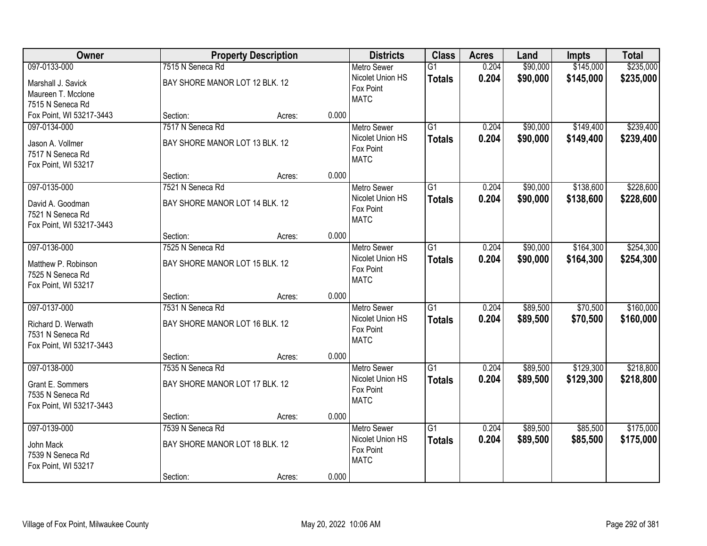| Owner                                                                              | <b>Property Description</b>                                    |        |       | <b>Districts</b>                                                   | <b>Class</b>                     | <b>Acres</b>   | Land                 | <b>Impts</b>           | <b>Total</b>           |
|------------------------------------------------------------------------------------|----------------------------------------------------------------|--------|-------|--------------------------------------------------------------------|----------------------------------|----------------|----------------------|------------------------|------------------------|
| 097-0133-000                                                                       | 7515 N Seneca Rd                                               |        |       | <b>Metro Sewer</b>                                                 | $\overline{G1}$                  | 0.204          | \$90,000             | \$145,000              | \$235,000              |
| Marshall J. Savick<br>Maureen T. Mcclone<br>7515 N Seneca Rd                       | BAY SHORE MANOR LOT 12 BLK. 12                                 |        |       | Nicolet Union HS<br>Fox Point<br><b>MATC</b>                       | <b>Totals</b>                    | 0.204          | \$90,000             | \$145,000              | \$235,000              |
| Fox Point, WI 53217-3443                                                           | Section:                                                       | Acres: | 0.000 |                                                                    |                                  |                |                      |                        |                        |
| 097-0134-000<br>Jason A. Vollmer<br>7517 N Seneca Rd<br>Fox Point, WI 53217        | 7517 N Seneca Rd<br>BAY SHORE MANOR LOT 13 BLK. 12             |        |       | <b>Metro Sewer</b><br>Nicolet Union HS<br>Fox Point<br><b>MATC</b> | $\overline{G1}$<br><b>Totals</b> | 0.204<br>0.204 | \$90,000<br>\$90,000 | \$149,400<br>\$149,400 | \$239,400<br>\$239,400 |
|                                                                                    | Section:                                                       | Acres: | 0.000 |                                                                    |                                  |                |                      |                        |                        |
| 097-0135-000<br>David A. Goodman<br>7521 N Seneca Rd<br>Fox Point, WI 53217-3443   | 7521 N Seneca Rd<br>BAY SHORE MANOR LOT 14 BLK. 12             |        |       | Metro Sewer<br>Nicolet Union HS<br>Fox Point<br><b>MATC</b>        | G1<br><b>Totals</b>              | 0.204<br>0.204 | \$90,000<br>\$90,000 | \$138,600<br>\$138,600 | \$228,600<br>\$228,600 |
|                                                                                    | Section:                                                       | Acres: | 0.000 |                                                                    |                                  |                |                      |                        |                        |
| 097-0136-000<br>Matthew P. Robinson<br>7525 N Seneca Rd<br>Fox Point, WI 53217     | 7525 N Seneca Rd<br>BAY SHORE MANOR LOT 15 BLK. 12             |        |       | <b>Metro Sewer</b><br>Nicolet Union HS<br>Fox Point<br><b>MATC</b> | G1<br><b>Totals</b>              | 0.204<br>0.204 | \$90,000<br>\$90,000 | \$164,300<br>\$164,300 | \$254,300<br>\$254,300 |
|                                                                                    | Section:                                                       | Acres: | 0.000 |                                                                    |                                  |                |                      |                        |                        |
| 097-0137-000<br>Richard D. Werwath<br>7531 N Seneca Rd<br>Fox Point, WI 53217-3443 | 7531 N Seneca Rd<br>BAY SHORE MANOR LOT 16 BLK. 12             |        |       | Metro Sewer<br>Nicolet Union HS<br>Fox Point<br><b>MATC</b>        | $\overline{G1}$<br><b>Totals</b> | 0.204<br>0.204 | \$89,500<br>\$89,500 | \$70,500<br>\$70,500   | \$160,000<br>\$160,000 |
|                                                                                    | Section:                                                       | Acres: | 0.000 |                                                                    |                                  |                |                      |                        |                        |
| 097-0138-000<br>Grant E. Sommers<br>7535 N Seneca Rd<br>Fox Point, WI 53217-3443   | 7535 N Seneca Rd<br>BAY SHORE MANOR LOT 17 BLK. 12             |        |       | Metro Sewer<br>Nicolet Union HS<br>Fox Point<br><b>MATC</b>        | $\overline{G1}$<br><b>Totals</b> | 0.204<br>0.204 | \$89,500<br>\$89,500 | \$129,300<br>\$129,300 | \$218,800<br>\$218,800 |
|                                                                                    | Section:                                                       | Acres: | 0.000 |                                                                    |                                  |                |                      |                        |                        |
| 097-0139-000<br>John Mack<br>7539 N Seneca Rd<br>Fox Point, WI 53217               | 7539 N Seneca Rd<br>BAY SHORE MANOR LOT 18 BLK. 12<br>Section: | Acres: | 0.000 | <b>Metro Sewer</b><br>Nicolet Union HS<br>Fox Point<br><b>MATC</b> | $\overline{G1}$<br><b>Totals</b> | 0.204<br>0.204 | \$89,500<br>\$89,500 | \$85,500<br>\$85,500   | \$175,000<br>\$175,000 |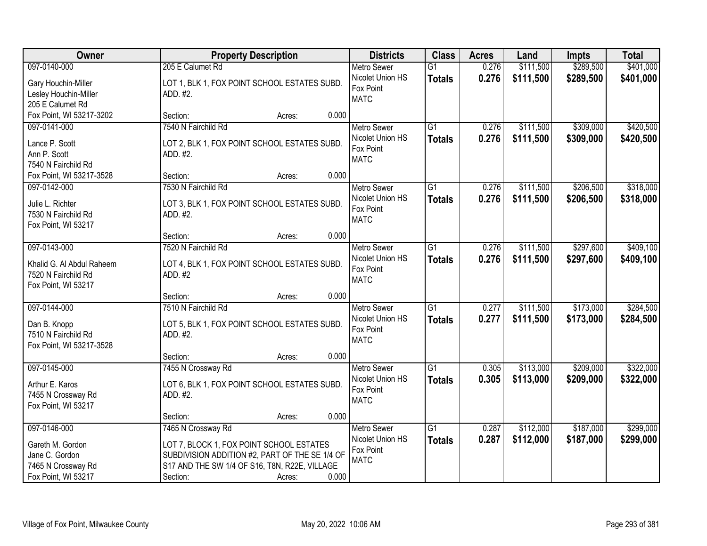| Owner                                        | <b>Property Description</b>                              |                 | <b>Districts</b>                       | <b>Class</b>                     | <b>Acres</b>   | Land                   | <b>Impts</b>           | <b>Total</b>           |
|----------------------------------------------|----------------------------------------------------------|-----------------|----------------------------------------|----------------------------------|----------------|------------------------|------------------------|------------------------|
| 097-0140-000                                 | 205 E Calumet Rd                                         |                 | <b>Metro Sewer</b><br>Nicolet Union HS | $\overline{G1}$<br><b>Totals</b> | 0.276<br>0.276 | \$111,500<br>\$111,500 | \$289,500<br>\$289,500 | \$401,000<br>\$401,000 |
| Gary Houchin-Miller<br>Lesley Houchin-Miller | LOT 1, BLK 1, FOX POINT SCHOOL ESTATES SUBD.<br>ADD. #2. |                 | Fox Point                              |                                  |                |                        |                        |                        |
| 205 E Calumet Rd                             |                                                          |                 | <b>MATC</b>                            |                                  |                |                        |                        |                        |
| Fox Point, WI 53217-3202                     | Section:                                                 | 0.000<br>Acres: |                                        |                                  |                |                        |                        |                        |
| 097-0141-000                                 | 7540 N Fairchild Rd                                      |                 | <b>Metro Sewer</b>                     | $\overline{G1}$                  | 0.276          | \$111,500              | \$309,000              | \$420,500              |
|                                              |                                                          |                 | Nicolet Union HS                       | <b>Totals</b>                    | 0.276          | \$111,500              | \$309,000              | \$420,500              |
| Lance P. Scott<br>Ann P. Scott               | LOT 2, BLK 1, FOX POINT SCHOOL ESTATES SUBD.<br>ADD. #2. |                 | Fox Point                              |                                  |                |                        |                        |                        |
| 7540 N Fairchild Rd                          |                                                          |                 | <b>MATC</b>                            |                                  |                |                        |                        |                        |
| Fox Point, WI 53217-3528                     | Section:                                                 | 0.000<br>Acres: |                                        |                                  |                |                        |                        |                        |
| 097-0142-000                                 | 7530 N Fairchild Rd                                      |                 | <b>Metro Sewer</b>                     | G1                               | 0.276          | \$111,500              | \$206,500              | \$318,000              |
|                                              |                                                          |                 | Nicolet Union HS                       | <b>Totals</b>                    | 0.276          | \$111,500              | \$206,500              | \$318,000              |
| Julie L. Richter                             | LOT 3, BLK 1, FOX POINT SCHOOL ESTATES SUBD.             |                 | Fox Point                              |                                  |                |                        |                        |                        |
| 7530 N Fairchild Rd<br>Fox Point, WI 53217   | ADD. #2.                                                 |                 | <b>MATC</b>                            |                                  |                |                        |                        |                        |
|                                              | Section:                                                 | 0.000<br>Acres: |                                        |                                  |                |                        |                        |                        |
| 097-0143-000                                 | 7520 N Fairchild Rd                                      |                 | <b>Metro Sewer</b>                     | G1                               | 0.276          | \$111,500              | \$297,600              | \$409,100              |
|                                              |                                                          |                 | Nicolet Union HS                       | <b>Totals</b>                    | 0.276          | \$111,500              | \$297,600              | \$409,100              |
| Khalid G. Al Abdul Raheem                    | LOT 4, BLK 1, FOX POINT SCHOOL ESTATES SUBD.             |                 | Fox Point                              |                                  |                |                        |                        |                        |
| 7520 N Fairchild Rd                          | ADD. #2                                                  |                 | <b>MATC</b>                            |                                  |                |                        |                        |                        |
| Fox Point, WI 53217                          | Section:                                                 | 0.000<br>Acres: |                                        |                                  |                |                        |                        |                        |
| 097-0144-000                                 | 7510 N Fairchild Rd                                      |                 | <b>Metro Sewer</b>                     | $\overline{G1}$                  | 0.277          | \$111,500              | \$173,000              | \$284,500              |
|                                              |                                                          |                 | Nicolet Union HS                       | <b>Totals</b>                    | 0.277          | \$111,500              | \$173,000              | \$284,500              |
| Dan B. Knopp                                 | LOT 5, BLK 1, FOX POINT SCHOOL ESTATES SUBD.             |                 | Fox Point                              |                                  |                |                        |                        |                        |
| 7510 N Fairchild Rd                          | ADD. #2.                                                 |                 | <b>MATC</b>                            |                                  |                |                        |                        |                        |
| Fox Point, WI 53217-3528                     |                                                          |                 |                                        |                                  |                |                        |                        |                        |
|                                              | Section:                                                 | 0.000<br>Acres: |                                        | G1                               |                |                        |                        |                        |
| 097-0145-000                                 | 7455 N Crossway Rd                                       |                 | <b>Metro Sewer</b><br>Nicolet Union HS |                                  | 0.305<br>0.305 | \$113,000              | \$209,000              | \$322,000              |
| Arthur E. Karos                              | LOT 6, BLK 1, FOX POINT SCHOOL ESTATES SUBD.             |                 | Fox Point                              | <b>Totals</b>                    |                | \$113,000              | \$209,000              | \$322,000              |
| 7455 N Crossway Rd                           | ADD. #2.                                                 |                 | <b>MATC</b>                            |                                  |                |                        |                        |                        |
| Fox Point, WI 53217                          |                                                          |                 |                                        |                                  |                |                        |                        |                        |
|                                              | Section:                                                 | 0.000<br>Acres: |                                        |                                  |                |                        |                        |                        |
| 097-0146-000                                 | 7465 N Crossway Rd                                       |                 | <b>Metro Sewer</b>                     | $\overline{G1}$                  | 0.287          | \$112,000              | \$187,000              | \$299,000              |
| Gareth M. Gordon                             | LOT 7, BLOCK 1, FOX POINT SCHOOL ESTATES                 |                 | Nicolet Union HS                       | <b>Totals</b>                    | 0.287          | \$112,000              | \$187,000              | \$299,000              |
| Jane C. Gordon                               | SUBDIVISION ADDITION #2, PART OF THE SE 1/4 OF           |                 | Fox Point<br><b>MATC</b>               |                                  |                |                        |                        |                        |
| 7465 N Crossway Rd                           | S17 AND THE SW 1/4 OF S16, T8N, R22E, VILLAGE            |                 |                                        |                                  |                |                        |                        |                        |
| Fox Point, WI 53217                          | Section:                                                 | 0.000<br>Acres: |                                        |                                  |                |                        |                        |                        |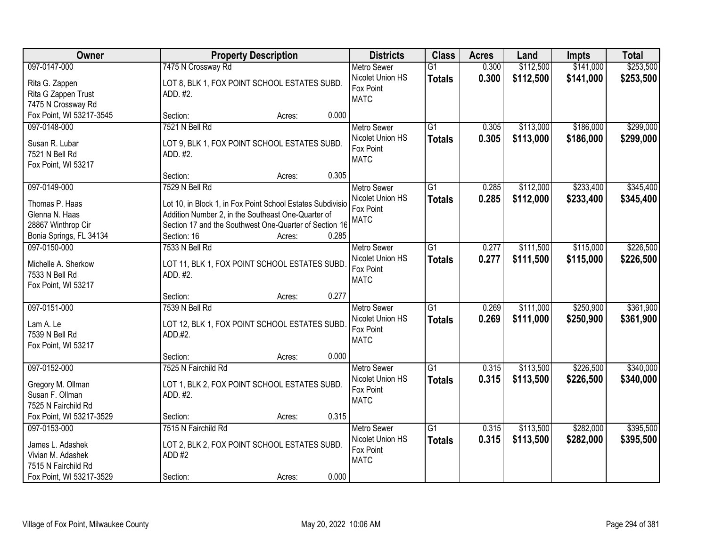| Owner                                                                                                    | <b>Property Description</b>                                                                                                                                                                                                    | <b>Districts</b>                                                   | <b>Class</b>                     | <b>Acres</b>   | Land                   | <b>Impts</b>           | <b>Total</b>           |
|----------------------------------------------------------------------------------------------------------|--------------------------------------------------------------------------------------------------------------------------------------------------------------------------------------------------------------------------------|--------------------------------------------------------------------|----------------------------------|----------------|------------------------|------------------------|------------------------|
| 097-0147-000<br>Rita G. Zappen<br>Rita G Zappen Trust<br>7475 N Crossway Rd                              | 7475 N Crossway Rd<br>LOT 8, BLK 1, FOX POINT SCHOOL ESTATES SUBD.<br>ADD. #2.                                                                                                                                                 | <b>Metro Sewer</b><br>Nicolet Union HS<br>Fox Point<br><b>MATC</b> | $\overline{G1}$<br><b>Totals</b> | 0.300<br>0.300 | \$112,500<br>\$112,500 | \$141,000<br>\$141,000 | \$253,500<br>\$253,500 |
| Fox Point, WI 53217-3545                                                                                 | 0.000<br>Section:<br>Acres:                                                                                                                                                                                                    |                                                                    |                                  |                |                        |                        |                        |
| 097-0148-000<br>Susan R. Lubar<br>7521 N Bell Rd<br>Fox Point, WI 53217                                  | 7521 N Bell Rd<br>LOT 9, BLK 1, FOX POINT SCHOOL ESTATES SUBD.<br>ADD. #2.                                                                                                                                                     | <b>Metro Sewer</b><br>Nicolet Union HS<br>Fox Point<br><b>MATC</b> | $\overline{G1}$<br><b>Totals</b> | 0.305<br>0.305 | \$113,000<br>\$113,000 | \$186,000<br>\$186,000 | \$299,000<br>\$299,000 |
|                                                                                                          | 0.305<br>Section:<br>Acres:                                                                                                                                                                                                    |                                                                    |                                  |                |                        |                        |                        |
| 097-0149-000<br>Thomas P. Haas<br>Glenna N. Haas<br>28867 Winthrop Cir<br>Bonia Springs, FL 34134        | 7529 N Bell Rd<br>Lot 10, in Block 1, in Fox Point School Estates Subdivisio<br>Addition Number 2, in the Southeast One-Quarter of<br>Section 17 and the Southwest One-Quarter of Section 16<br>Section: 16<br>0.285<br>Acres: | <b>Metro Sewer</b><br>Nicolet Union HS<br>Fox Point<br><b>MATC</b> | G1<br><b>Totals</b>              | 0.285<br>0.285 | \$112,000<br>\$112,000 | \$233,400<br>\$233,400 | \$345,400<br>\$345,400 |
| 097-0150-000<br>Michelle A. Sherkow<br>7533 N Bell Rd<br>Fox Point, WI 53217                             | 7533 N Bell Rd<br>LOT 11, BLK 1, FOX POINT SCHOOL ESTATES SUBD.<br>ADD. #2.                                                                                                                                                    | <b>Metro Sewer</b><br>Nicolet Union HS<br>Fox Point<br><b>MATC</b> | G1<br><b>Totals</b>              | 0.277<br>0.277 | \$111,500<br>\$111,500 | \$115,000<br>\$115,000 | \$226,500<br>\$226,500 |
|                                                                                                          | 0.277<br>Section:<br>Acres:                                                                                                                                                                                                    |                                                                    |                                  |                |                        |                        |                        |
| 097-0151-000<br>Lam A. Le<br>7539 N Bell Rd<br>Fox Point, WI 53217                                       | 7539 N Bell Rd<br>LOT 12, BLK 1, FOX POINT SCHOOL ESTATES SUBD<br>ADD.#2.                                                                                                                                                      | <b>Metro Sewer</b><br>Nicolet Union HS<br>Fox Point<br><b>MATC</b> | $\overline{G1}$<br><b>Totals</b> | 0.269<br>0.269 | \$111,000<br>\$111,000 | \$250,900<br>\$250,900 | \$361,900<br>\$361,900 |
|                                                                                                          | 0.000<br>Section:<br>Acres:                                                                                                                                                                                                    |                                                                    |                                  |                |                        |                        |                        |
| 097-0152-000<br>Gregory M. Ollman<br>Susan F. Ollman<br>7525 N Fairchild Rd                              | 7525 N Fairchild Rd<br>LOT 1, BLK 2, FOX POINT SCHOOL ESTATES SUBD.<br>ADD. #2.                                                                                                                                                | <b>Metro Sewer</b><br>Nicolet Union HS<br>Fox Point<br><b>MATC</b> | $\overline{G1}$<br><b>Totals</b> | 0.315<br>0.315 | \$113,500<br>\$113,500 | \$226,500<br>\$226,500 | \$340,000<br>\$340,000 |
| Fox Point, WI 53217-3529                                                                                 | 0.315<br>Section:<br>Acres:                                                                                                                                                                                                    |                                                                    |                                  |                |                        |                        |                        |
| 097-0153-000<br>James L. Adashek<br>Vivian M. Adashek<br>7515 N Fairchild Rd<br>Fox Point, WI 53217-3529 | 7515 N Fairchild Rd<br>LOT 2, BLK 2, FOX POINT SCHOOL ESTATES SUBD.<br>ADD #2<br>0.000<br>Section:<br>Acres:                                                                                                                   | <b>Metro Sewer</b><br>Nicolet Union HS<br>Fox Point<br><b>MATC</b> | G1<br><b>Totals</b>              | 0.315<br>0.315 | \$113,500<br>\$113,500 | \$282,000<br>\$282,000 | \$395,500<br>\$395,500 |
|                                                                                                          |                                                                                                                                                                                                                                |                                                                    |                                  |                |                        |                        |                        |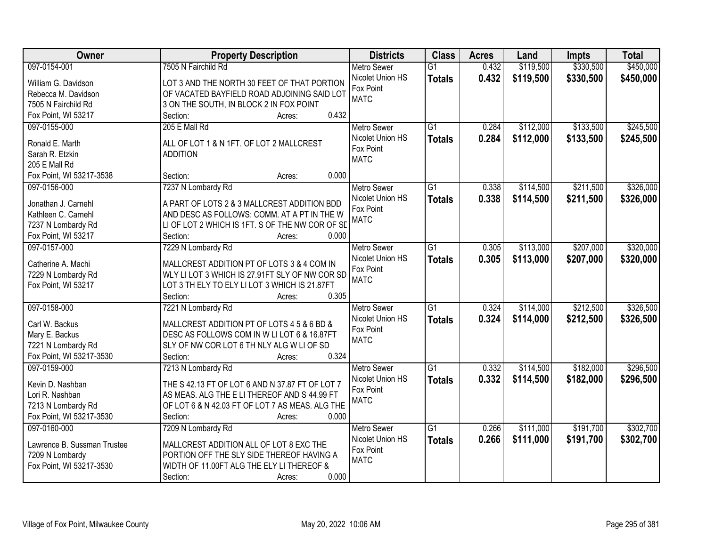| Owner                       | <b>Property Description</b>                                        | <b>Districts</b>                       | <b>Class</b>    | <b>Acres</b> | Land      | <b>Impts</b> | <b>Total</b> |
|-----------------------------|--------------------------------------------------------------------|----------------------------------------|-----------------|--------------|-----------|--------------|--------------|
| 097-0154-001                | 7505 N Fairchild Rd                                                | <b>Metro Sewer</b>                     | $\overline{G1}$ | 0.432        | \$119,500 | \$330,500    | \$450,000    |
| William G. Davidson         | LOT 3 AND THE NORTH 30 FEET OF THAT PORTION                        | Nicolet Union HS                       | <b>Totals</b>   | 0.432        | \$119,500 | \$330,500    | \$450,000    |
| Rebecca M. Davidson         | OF VACATED BAYFIELD ROAD ADJOINING SAID LOT                        | Fox Point                              |                 |              |           |              |              |
| 7505 N Fairchild Rd         | 3 ON THE SOUTH, IN BLOCK 2 IN FOX POINT                            | <b>MATC</b>                            |                 |              |           |              |              |
| Fox Point, WI 53217         | 0.432<br>Section:<br>Acres:                                        |                                        |                 |              |           |              |              |
| 097-0155-000                | 205 E Mall Rd                                                      | <b>Metro Sewer</b>                     | $\overline{G1}$ | 0.284        | \$112,000 | \$133,500    | \$245,500    |
|                             |                                                                    | Nicolet Union HS                       | <b>Totals</b>   | 0.284        | \$112,000 | \$133,500    | \$245,500    |
| Ronald E. Marth             | ALL OF LOT 1 & N 1FT. OF LOT 2 MALLCREST                           | Fox Point                              |                 |              |           |              |              |
| Sarah R. Etzkin             | <b>ADDITION</b>                                                    | <b>MATC</b>                            |                 |              |           |              |              |
| 205 E Mall Rd               |                                                                    |                                        |                 |              |           |              |              |
| Fox Point, WI 53217-3538    | 0.000<br>Section:<br>Acres:                                        |                                        |                 |              |           |              |              |
| 097-0156-000                | 7237 N Lombardy Rd                                                 | Metro Sewer                            | G1              | 0.338        | \$114,500 | \$211,500    | \$326,000    |
| Jonathan J. Carnehl         | A PART OF LOTS 2 & 3 MALLCREST ADDITION BDD                        | Nicolet Union HS                       | <b>Totals</b>   | 0.338        | \$114,500 | \$211,500    | \$326,000    |
| Kathleen C. Carnehl         | AND DESC AS FOLLOWS: COMM. AT A PT IN THE W                        | Fox Point                              |                 |              |           |              |              |
| 7237 N Lombardy Rd          | LI OF LOT 2 WHICH IS 1FT. S OF THE NW COR OF SD                    | <b>MATC</b>                            |                 |              |           |              |              |
| Fox Point, WI 53217         | Section:<br>0.000<br>Acres:                                        |                                        |                 |              |           |              |              |
| 097-0157-000                | 7229 N Lombardy Rd                                                 | <b>Metro Sewer</b>                     | $\overline{G1}$ | 0.305        | \$113,000 | \$207,000    | \$320,000    |
|                             |                                                                    | Nicolet Union HS                       | <b>Totals</b>   | 0.305        | \$113,000 | \$207,000    | \$320,000    |
| Catherine A. Machi          | MALLCREST ADDITION PT OF LOTS 3 & 4 COM IN                         | Fox Point                              |                 |              |           |              |              |
| 7229 N Lombardy Rd          | WLY LI LOT 3 WHICH IS 27.91FT SLY OF NW COR SD                     | <b>MATC</b>                            |                 |              |           |              |              |
| Fox Point, WI 53217         | LOT 3 TH ELY TO ELY LI LOT 3 WHICH IS 21.87FT<br>0.305<br>Section: |                                        |                 |              |           |              |              |
| 097-0158-000                | Acres:<br>7221 N Lombardy Rd                                       |                                        | $\overline{G1}$ | 0.324        | \$114,000 | \$212,500    | \$326,500    |
|                             |                                                                    | <b>Metro Sewer</b><br>Nicolet Union HS |                 |              |           |              |              |
| Carl W. Backus              | MALLCREST ADDITION PT OF LOTS 4 5 & 6 BD &                         | Fox Point                              | <b>Totals</b>   | 0.324        | \$114,000 | \$212,500    | \$326,500    |
| Mary E. Backus              | DESC AS FOLLOWS COM IN W LI LOT 6 & 16.87FT                        | <b>MATC</b>                            |                 |              |           |              |              |
| 7221 N Lombardy Rd          | SLY OF NW COR LOT 6 TH NLY ALG W LI OF SD                          |                                        |                 |              |           |              |              |
| Fox Point, WI 53217-3530    | 0.324<br>Section:<br>Acres:                                        |                                        |                 |              |           |              |              |
| 097-0159-000                | 7213 N Lombardy Rd                                                 | Metro Sewer                            | $\overline{G1}$ | 0.332        | \$114,500 | \$182,000    | \$296,500    |
| Kevin D. Nashban            | THE S 42.13 FT OF LOT 6 AND N 37.87 FT OF LOT 7                    | Nicolet Union HS                       | <b>Totals</b>   | 0.332        | \$114,500 | \$182,000    | \$296,500    |
| Lori R. Nashban             | AS MEAS. ALG THE E LI THEREOF AND S 44.99 FT                       | Fox Point                              |                 |              |           |              |              |
| 7213 N Lombardy Rd          | OF LOT 6 & N 42.03 FT OF LOT 7 AS MEAS. ALG THE                    | <b>MATC</b>                            |                 |              |           |              |              |
| Fox Point, WI 53217-3530    | 0.000<br>Section:<br>Acres:                                        |                                        |                 |              |           |              |              |
| 097-0160-000                | 7209 N Lombardy Rd                                                 | <b>Metro Sewer</b>                     | $\overline{G1}$ | 0.266        | \$111,000 | \$191,700    | \$302,700    |
|                             |                                                                    | Nicolet Union HS                       |                 | 0.266        | \$111,000 | \$191,700    | \$302,700    |
| Lawrence B. Sussman Trustee | MALLCREST ADDITION ALL OF LOT 8 EXC THE                            | Fox Point                              | <b>Totals</b>   |              |           |              |              |
| 7209 N Lombardy             | PORTION OFF THE SLY SIDE THEREOF HAVING A                          | <b>MATC</b>                            |                 |              |           |              |              |
| Fox Point, WI 53217-3530    | WIDTH OF 11.00FT ALG THE ELY LI THEREOF &                          |                                        |                 |              |           |              |              |
|                             | 0.000<br>Section:<br>Acres:                                        |                                        |                 |              |           |              |              |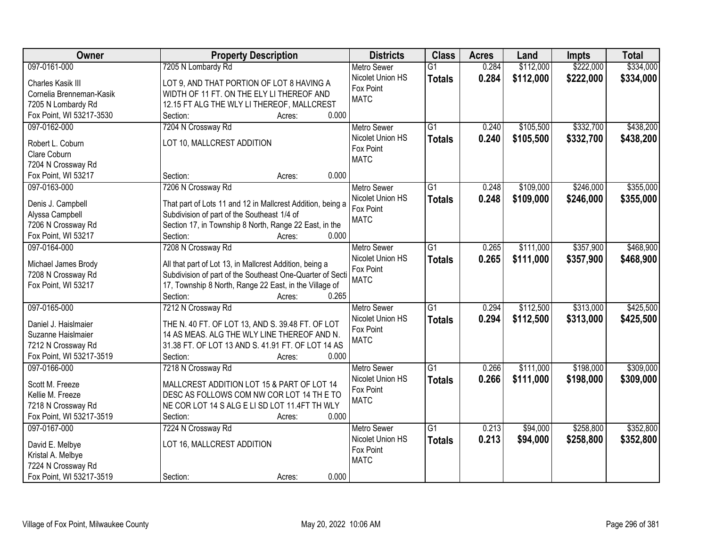| <b>Owner</b>             | <b>Property Description</b>                                | <b>Districts</b>   | <b>Class</b>    | <b>Acres</b> | Land      | <b>Impts</b> | <b>Total</b> |
|--------------------------|------------------------------------------------------------|--------------------|-----------------|--------------|-----------|--------------|--------------|
| 097-0161-000             | 7205 N Lombardy Rd                                         | <b>Metro Sewer</b> | $\overline{G1}$ | 0.284        | \$112,000 | \$222,000    | \$334,000    |
| Charles Kasik III        | LOT 9, AND THAT PORTION OF LOT 8 HAVING A                  | Nicolet Union HS   | <b>Totals</b>   | 0.284        | \$112,000 | \$222,000    | \$334,000    |
| Cornelia Brenneman-Kasik | WIDTH OF 11 FT. ON THE ELY LI THEREOF AND                  | Fox Point          |                 |              |           |              |              |
| 7205 N Lombardy Rd       | 12.15 FT ALG THE WLY LI THEREOF, MALLCREST                 | <b>MATC</b>        |                 |              |           |              |              |
| Fox Point, WI 53217-3530 | 0.000<br>Section:<br>Acres:                                |                    |                 |              |           |              |              |
| 097-0162-000             | 7204 N Crossway Rd                                         | <b>Metro Sewer</b> | $\overline{G1}$ | 0.240        | \$105,500 | \$332,700    | \$438,200    |
|                          |                                                            | Nicolet Union HS   | <b>Totals</b>   | 0.240        | \$105,500 | \$332,700    | \$438,200    |
| Robert L. Coburn         | LOT 10, MALLCREST ADDITION                                 | Fox Point          |                 |              |           |              |              |
| Clare Coburn             |                                                            | <b>MATC</b>        |                 |              |           |              |              |
| 7204 N Crossway Rd       |                                                            |                    |                 |              |           |              |              |
| Fox Point, WI 53217      | 0.000<br>Section:<br>Acres:                                |                    |                 |              |           |              |              |
| 097-0163-000             | 7206 N Crossway Rd                                         | Metro Sewer        | $\overline{G1}$ | 0.248        | \$109,000 | \$246,000    | \$355,000    |
| Denis J. Campbell        | That part of Lots 11 and 12 in Mallcrest Addition, being a | Nicolet Union HS   | <b>Totals</b>   | 0.248        | \$109,000 | \$246,000    | \$355,000    |
| Alyssa Campbell          | Subdivision of part of the Southeast 1/4 of                | Fox Point          |                 |              |           |              |              |
| 7206 N Crossway Rd       | Section 17, in Township 8 North, Range 22 East, in the     | <b>MATC</b>        |                 |              |           |              |              |
| Fox Point, WI 53217      | Section:<br>0.000<br>Acres:                                |                    |                 |              |           |              |              |
| 097-0164-000             | 7208 N Crossway Rd                                         | <b>Metro Sewer</b> | $\overline{G1}$ | 0.265        | \$111,000 | \$357,900    | \$468,900    |
|                          |                                                            | Nicolet Union HS   | <b>Totals</b>   | 0.265        | \$111,000 | \$357,900    | \$468,900    |
| Michael James Brody      | All that part of Lot 13, in Mallcrest Addition, being a    | Fox Point          |                 |              |           |              |              |
| 7208 N Crossway Rd       | Subdivision of part of the Southeast One-Quarter of Secti  | <b>MATC</b>        |                 |              |           |              |              |
| Fox Point, WI 53217      | 17, Township 8 North, Range 22 East, in the Village of     |                    |                 |              |           |              |              |
|                          | Section:<br>0.265<br>Acres:                                |                    |                 |              |           |              |              |
| 097-0165-000             | 7212 N Crossway Rd                                         | <b>Metro Sewer</b> | $\overline{G1}$ | 0.294        | \$112,500 | \$313,000    | \$425,500    |
| Daniel J. Haislmaier     | THE N. 40 FT. OF LOT 13, AND S. 39.48 FT. OF LOT           | Nicolet Union HS   | <b>Totals</b>   | 0.294        | \$112,500 | \$313,000    | \$425,500    |
| Suzanne Haislmaier       | 14 AS MEAS. ALG THE WLY LINE THEREOF AND N.                | Fox Point          |                 |              |           |              |              |
| 7212 N Crossway Rd       | 31.38 FT. OF LOT 13 AND S. 41.91 FT. OF LOT 14 AS          | <b>MATC</b>        |                 |              |           |              |              |
| Fox Point, WI 53217-3519 | 0.000<br>Section:<br>Acres:                                |                    |                 |              |           |              |              |
| 097-0166-000             | 7218 N Crossway Rd                                         | <b>Metro Sewer</b> | $\overline{G1}$ | 0.266        | \$111,000 | \$198,000    | \$309,000    |
| Scott M. Freeze          | MALLCREST ADDITION LOT 15 & PART OF LOT 14                 | Nicolet Union HS   | <b>Totals</b>   | 0.266        | \$111,000 | \$198,000    | \$309,000    |
| Kellie M. Freeze         | DESC AS FOLLOWS COM NW COR LOT 14 TH E TO                  | Fox Point          |                 |              |           |              |              |
| 7218 N Crossway Rd       | NE COR LOT 14 S ALG E LI SD LOT 11.4FT TH WLY              | <b>MATC</b>        |                 |              |           |              |              |
| Fox Point, WI 53217-3519 | Section:<br>0.000<br>Acres:                                |                    |                 |              |           |              |              |
| 097-0167-000             | 7224 N Crossway Rd                                         | <b>Metro Sewer</b> | $\overline{G1}$ | 0.213        | \$94,000  | \$258,800    | \$352,800    |
|                          |                                                            | Nicolet Union HS   |                 | 0.213        | \$94,000  | \$258,800    |              |
| David E. Melbye          | LOT 16, MALLCREST ADDITION                                 | Fox Point          | <b>Totals</b>   |              |           |              | \$352,800    |
| Kristal A. Melbye        |                                                            | <b>MATC</b>        |                 |              |           |              |              |
| 7224 N Crossway Rd       |                                                            |                    |                 |              |           |              |              |
| Fox Point, WI 53217-3519 | 0.000<br>Section:<br>Acres:                                |                    |                 |              |           |              |              |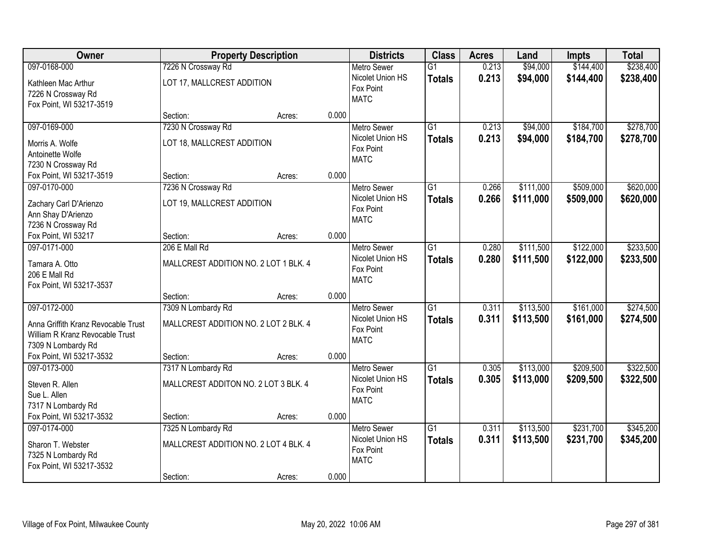| Owner                                                                                                        | <b>Property Description</b>                                 |        |       | <b>Districts</b>                                                   | <b>Class</b>                     | <b>Acres</b>   | Land                   | <b>Impts</b>           | <b>Total</b>           |
|--------------------------------------------------------------------------------------------------------------|-------------------------------------------------------------|--------|-------|--------------------------------------------------------------------|----------------------------------|----------------|------------------------|------------------------|------------------------|
| 097-0168-000                                                                                                 | 7226 N Crossway Rd                                          |        |       | <b>Metro Sewer</b>                                                 | $\overline{G1}$                  | 0.213          | \$94,000               | \$144,400              | \$238,400              |
| Kathleen Mac Arthur<br>7226 N Crossway Rd<br>Fox Point, WI 53217-3519                                        | LOT 17, MALLCREST ADDITION                                  |        |       | Nicolet Union HS<br>Fox Point<br><b>MATC</b>                       | <b>Totals</b>                    | 0.213          | \$94,000               | \$144,400              | \$238,400              |
|                                                                                                              | Section:                                                    | Acres: | 0.000 |                                                                    |                                  |                |                        |                        |                        |
| 097-0169-000<br>Morris A. Wolfe<br>Antoinette Wolfe<br>7230 N Crossway Rd                                    | 7230 N Crossway Rd<br>LOT 18, MALLCREST ADDITION            |        |       | <b>Metro Sewer</b><br>Nicolet Union HS<br>Fox Point<br><b>MATC</b> | $\overline{G1}$<br><b>Totals</b> | 0.213<br>0.213 | \$94,000<br>\$94,000   | \$184,700<br>\$184,700 | \$278,700<br>\$278,700 |
| Fox Point, WI 53217-3519                                                                                     | Section:                                                    | Acres: | 0.000 |                                                                    |                                  |                |                        |                        |                        |
| 097-0170-000<br>Zachary Carl D'Arienzo<br>Ann Shay D'Arienzo<br>7236 N Crossway Rd                           | 7236 N Crossway Rd<br>LOT 19, MALLCREST ADDITION            |        |       | <b>Metro Sewer</b><br>Nicolet Union HS<br>Fox Point<br><b>MATC</b> | $\overline{G1}$<br><b>Totals</b> | 0.266<br>0.266 | \$111,000<br>\$111,000 | \$509,000<br>\$509,000 | \$620,000<br>\$620,000 |
| Fox Point, WI 53217                                                                                          | Section:                                                    | Acres: | 0.000 |                                                                    |                                  |                |                        |                        |                        |
| 097-0171-000<br>Tamara A. Otto<br>206 E Mall Rd<br>Fox Point, WI 53217-3537                                  | 206 E Mall Rd<br>MALLCREST ADDITION NO. 2 LOT 1 BLK. 4      |        |       | <b>Metro Sewer</b><br>Nicolet Union HS<br>Fox Point<br><b>MATC</b> | $\overline{G1}$<br><b>Totals</b> | 0.280<br>0.280 | \$111,500<br>\$111,500 | \$122,000<br>\$122,000 | \$233,500<br>\$233,500 |
|                                                                                                              | Section:                                                    | Acres: | 0.000 |                                                                    |                                  |                |                        |                        |                        |
| 097-0172-000<br>Anna Griffith Kranz Revocable Trust<br>William R Kranz Revocable Trust<br>7309 N Lombardy Rd | 7309 N Lombardy Rd<br>MALLCREST ADDITION NO. 2 LOT 2 BLK. 4 |        |       | <b>Metro Sewer</b><br>Nicolet Union HS<br>Fox Point<br><b>MATC</b> | $\overline{G1}$<br><b>Totals</b> | 0.311<br>0.311 | \$113,500<br>\$113,500 | \$161,000<br>\$161,000 | \$274,500<br>\$274,500 |
| Fox Point, WI 53217-3532                                                                                     | Section:                                                    | Acres: | 0.000 |                                                                    |                                  |                |                        |                        |                        |
| 097-0173-000<br>Steven R. Allen<br>Sue L. Allen<br>7317 N Lombardy Rd                                        | 7317 N Lombardy Rd<br>MALLCREST ADDITON NO. 2 LOT 3 BLK. 4  |        | 0.000 | <b>Metro Sewer</b><br>Nicolet Union HS<br>Fox Point<br><b>MATC</b> | $\overline{G1}$<br><b>Totals</b> | 0.305<br>0.305 | \$113,000<br>\$113,000 | \$209,500<br>\$209,500 | \$322,500<br>\$322,500 |
| Fox Point, WI 53217-3532<br>097-0174-000                                                                     | Section:<br>7325 N Lombardy Rd                              | Acres: |       | <b>Metro Sewer</b>                                                 | $\overline{G1}$                  | 0.311          | \$113,500              | \$231,700              | \$345,200              |
| Sharon T. Webster<br>7325 N Lombardy Rd<br>Fox Point, WI 53217-3532                                          | MALLCREST ADDITION NO. 2 LOT 4 BLK, 4<br>Section:           | Acres: | 0.000 | Nicolet Union HS<br>Fox Point<br><b>MATC</b>                       | <b>Totals</b>                    | 0.311          | \$113,500              | \$231,700              | \$345,200              |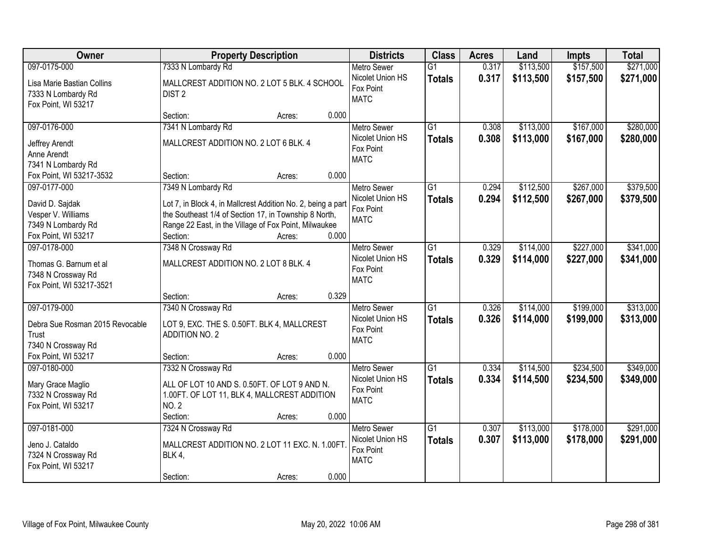| Owner                                                                              | <b>Property Description</b>                                                                                                                                                                                   | <b>Districts</b>                                                   | <b>Class</b>                     | <b>Acres</b>   | Land                   | <b>Impts</b>           | <b>Total</b>           |
|------------------------------------------------------------------------------------|---------------------------------------------------------------------------------------------------------------------------------------------------------------------------------------------------------------|--------------------------------------------------------------------|----------------------------------|----------------|------------------------|------------------------|------------------------|
| 097-0175-000                                                                       | 7333 N Lombardy Rd                                                                                                                                                                                            | <b>Metro Sewer</b>                                                 | $\overline{G1}$                  | 0.317          | \$113,500              | \$157,500              | \$271,000              |
| Lisa Marie Bastian Collins<br>7333 N Lombardy Rd<br>Fox Point, WI 53217            | MALLCREST ADDITION NO. 2 LOT 5 BLK. 4 SCHOOL<br>DIST <sub>2</sub>                                                                                                                                             | Nicolet Union HS<br>Fox Point<br><b>MATC</b>                       | <b>Totals</b>                    | 0.317          | \$113,500              | \$157,500              | \$271,000              |
|                                                                                    | 0.000<br>Section:<br>Acres:                                                                                                                                                                                   |                                                                    |                                  |                |                        |                        |                        |
| 097-0176-000<br>Jeffrey Arendt<br>Anne Arendt<br>7341 N Lombardy Rd                | 7341 N Lombardy Rd<br>MALLCREST ADDITION NO. 2 LOT 6 BLK. 4                                                                                                                                                   | <b>Metro Sewer</b><br>Nicolet Union HS<br>Fox Point<br><b>MATC</b> | $\overline{G1}$<br><b>Totals</b> | 0.308<br>0.308 | \$113,000<br>\$113,000 | \$167,000<br>\$167,000 | \$280,000<br>\$280,000 |
| Fox Point, WI 53217-3532                                                           | 0.000<br>Section:<br>Acres:                                                                                                                                                                                   |                                                                    |                                  |                |                        |                        |                        |
| 097-0177-000                                                                       | 7349 N Lombardy Rd                                                                                                                                                                                            | <b>Metro Sewer</b>                                                 | G1                               | 0.294          | \$112,500              | \$267,000              | \$379,500              |
| David D. Sajdak<br>Vesper V. Williams<br>7349 N Lombardy Rd<br>Fox Point, WI 53217 | Lot 7, in Block 4, in Mallcrest Addition No. 2, being a part<br>the Southeast 1/4 of Section 17, in Township 8 North,<br>Range 22 East, in the Village of Fox Point, Milwaukee<br>0.000<br>Section:<br>Acres: | Nicolet Union HS<br>Fox Point<br><b>MATC</b>                       | <b>Totals</b>                    | 0.294          | \$112,500              | \$267,000              | \$379,500              |
| 097-0178-000                                                                       | 7348 N Crossway Rd                                                                                                                                                                                            | <b>Metro Sewer</b>                                                 | G1                               | 0.329          | \$114,000              | \$227,000              | \$341,000              |
| Thomas G. Barnum et al<br>7348 N Crossway Rd<br>Fox Point, WI 53217-3521           | MALLCREST ADDITION NO. 2 LOT 8 BLK. 4                                                                                                                                                                         | Nicolet Union HS<br>Fox Point<br><b>MATC</b>                       | <b>Totals</b>                    | 0.329          | \$114,000              | \$227,000              | \$341,000              |
|                                                                                    | 0.329<br>Section:<br>Acres:                                                                                                                                                                                   |                                                                    |                                  |                |                        |                        |                        |
| 097-0179-000<br>Debra Sue Rosman 2015 Revocable<br>Trust<br>7340 N Crossway Rd     | 7340 N Crossway Rd<br>LOT 9, EXC. THE S. 0.50FT. BLK 4, MALLCREST<br><b>ADDITION NO. 2</b>                                                                                                                    | <b>Metro Sewer</b><br>Nicolet Union HS<br>Fox Point<br><b>MATC</b> | $\overline{G1}$<br><b>Totals</b> | 0.326<br>0.326 | \$114,000<br>\$114,000 | \$199,000<br>\$199,000 | \$313,000<br>\$313,000 |
| Fox Point, WI 53217                                                                | 0.000<br>Section:<br>Acres:                                                                                                                                                                                   |                                                                    |                                  |                |                        |                        |                        |
| 097-0180-000<br>Mary Grace Maglio<br>7332 N Crossway Rd<br>Fox Point, WI 53217     | 7332 N Crossway Rd<br>ALL OF LOT 10 AND S. 0.50FT. OF LOT 9 AND N.<br>1.00FT. OF LOT 11, BLK 4, MALLCREST ADDITION<br><b>NO. 2</b><br>0.000<br>Section:<br>Acres:                                             | Metro Sewer<br>Nicolet Union HS<br>Fox Point<br><b>MATC</b>        | $\overline{G1}$<br><b>Totals</b> | 0.334<br>0.334 | \$114,500<br>\$114,500 | \$234,500<br>\$234,500 | \$349,000<br>\$349,000 |
| 097-0181-000                                                                       | 7324 N Crossway Rd                                                                                                                                                                                            | <b>Metro Sewer</b>                                                 | $\overline{G1}$                  | 0.307          | \$113,000              | \$178,000              | \$291,000              |
| Jeno J. Cataldo<br>7324 N Crossway Rd<br>Fox Point, WI 53217                       | MALLCREST ADDITION NO. 2 LOT 11 EXC. N. 1.00FT<br><b>BLK 4,</b><br>0.000<br>Section:<br>Acres:                                                                                                                | Nicolet Union HS<br>Fox Point<br><b>MATC</b>                       | <b>Totals</b>                    | 0.307          | \$113,000              | \$178,000              | \$291,000              |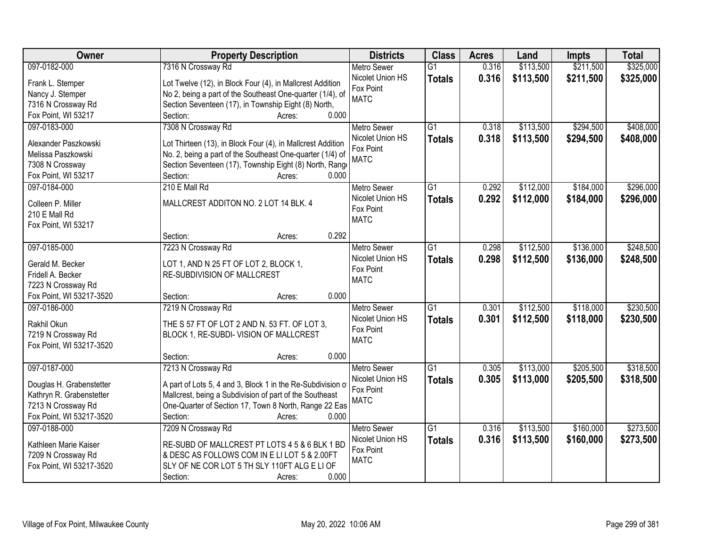| Owner                    | <b>Property Description</b>                                    | <b>Districts</b>   | <b>Class</b>    | <b>Acres</b> | Land      | <b>Impts</b> | <b>Total</b> |
|--------------------------|----------------------------------------------------------------|--------------------|-----------------|--------------|-----------|--------------|--------------|
| 097-0182-000             | 7316 N Crossway Rd                                             | <b>Metro Sewer</b> | $\overline{G1}$ | 0.316        | \$113,500 | \$211,500    | \$325,000    |
| Frank L. Stemper         | Lot Twelve (12), in Block Four (4), in Mallcrest Addition      | Nicolet Union HS   | <b>Totals</b>   | 0.316        | \$113,500 | \$211,500    | \$325,000    |
| Nancy J. Stemper         | No 2, being a part of the Southeast One-quarter (1/4), of      | Fox Point          |                 |              |           |              |              |
| 7316 N Crossway Rd       | Section Seventeen (17), in Township Eight (8) North,           | <b>MATC</b>        |                 |              |           |              |              |
| Fox Point, WI 53217      | 0.000<br>Section:<br>Acres:                                    |                    |                 |              |           |              |              |
| 097-0183-000             | 7308 N Crossway Rd                                             | <b>Metro Sewer</b> | $\overline{G1}$ | 0.318        | \$113,500 | \$294,500    | \$408,000    |
|                          |                                                                | Nicolet Union HS   | <b>Totals</b>   | 0.318        | \$113,500 | \$294,500    | \$408,000    |
| Alexander Paszkowski     | Lot Thirteen (13), in Block Four (4), in Mallcrest Addition    | Fox Point          |                 |              |           |              |              |
| Melissa Paszkowski       | No. 2, being a part of the Southeast One-quarter (1/4) of      | <b>MATC</b>        |                 |              |           |              |              |
| 7308 N Crossway          | Section Seventeen (17), Township Eight (8) North, Range        |                    |                 |              |           |              |              |
| Fox Point, WI 53217      | 0.000<br>Section:<br>Acres:                                    |                    |                 |              |           |              |              |
| 097-0184-000             | 210 E Mall Rd                                                  | <b>Metro Sewer</b> | G1              | 0.292        | \$112,000 | \$184,000    | \$296,000    |
| Colleen P. Miller        | MALLCREST ADDITON NO. 2 LOT 14 BLK. 4                          | Nicolet Union HS   | <b>Totals</b>   | 0.292        | \$112,000 | \$184,000    | \$296,000    |
| 210 E Mall Rd            |                                                                | Fox Point          |                 |              |           |              |              |
| Fox Point, WI 53217      |                                                                | <b>MATC</b>        |                 |              |           |              |              |
|                          | 0.292<br>Section:<br>Acres:                                    |                    |                 |              |           |              |              |
| 097-0185-000             | 7223 N Crossway Rd                                             | <b>Metro Sewer</b> | G1              | 0.298        | \$112,500 | \$136,000    | \$248,500    |
|                          |                                                                | Nicolet Union HS   | <b>Totals</b>   | 0.298        | \$112,500 | \$136,000    | \$248,500    |
| Gerald M. Becker         | LOT 1, AND N 25 FT OF LOT 2, BLOCK 1,                          | Fox Point          |                 |              |           |              |              |
| Fridell A. Becker        | RE-SUBDIVISION OF MALLCREST                                    | <b>MATC</b>        |                 |              |           |              |              |
| 7223 N Crossway Rd       |                                                                |                    |                 |              |           |              |              |
| Fox Point, WI 53217-3520 | 0.000<br>Section:<br>Acres:                                    |                    |                 |              |           |              |              |
| 097-0186-000             | 7219 N Crossway Rd                                             | <b>Metro Sewer</b> | $\overline{G1}$ | 0.301        | \$112,500 | \$118,000    | \$230,500    |
| Rakhil Okun              | THE S 57 FT OF LOT 2 AND N. 53 FT. OF LOT 3,                   | Nicolet Union HS   | <b>Totals</b>   | 0.301        | \$112,500 | \$118,000    | \$230,500    |
| 7219 N Crossway Rd       | BLOCK 1, RE-SUBDI- VISION OF MALLCREST                         | Fox Point          |                 |              |           |              |              |
| Fox Point, WI 53217-3520 |                                                                | <b>MATC</b>        |                 |              |           |              |              |
|                          | 0.000<br>Section:<br>Acres:                                    |                    |                 |              |           |              |              |
| 097-0187-000             | 7213 N Crossway Rd                                             | Metro Sewer        | $\overline{G1}$ | 0.305        | \$113,000 | \$205,500    | \$318,500    |
|                          |                                                                | Nicolet Union HS   | <b>Totals</b>   | 0.305        | \$113,000 | \$205,500    | \$318,500    |
| Douglas H. Grabenstetter | A part of Lots 5, 4 and 3, Block 1 in the Re-Subdivision of    | Fox Point          |                 |              |           |              |              |
| Kathryn R. Grabenstetter | Mallcrest, being a Subdivision of part of the Southeast        | <b>MATC</b>        |                 |              |           |              |              |
| 7213 N Crossway Rd       | One-Quarter of Section 17, Town 8 North, Range 22 Eas<br>0.000 |                    |                 |              |           |              |              |
| Fox Point, WI 53217-3520 | Section:<br>Acres:                                             |                    |                 |              |           |              |              |
| 097-0188-000             | 7209 N Crossway Rd                                             | <b>Metro Sewer</b> | $\overline{G1}$ | 0.316        | \$113,500 | \$160,000    | \$273,500    |
| Kathleen Marie Kaiser    | RE-SUBD OF MALLCREST PT LOTS 4 5 & 6 BLK 1 BD                  | Nicolet Union HS   | <b>Totals</b>   | 0.316        | \$113,500 | \$160,000    | \$273,500    |
| 7209 N Crossway Rd       | & DESC AS FOLLOWS COM IN E LI LOT 5 & 2.00FT                   | Fox Point          |                 |              |           |              |              |
| Fox Point, WI 53217-3520 | SLY OF NE COR LOT 5 TH SLY 110FT ALG E LI OF                   | <b>MATC</b>        |                 |              |           |              |              |
|                          | 0.000<br>Section:<br>Acres:                                    |                    |                 |              |           |              |              |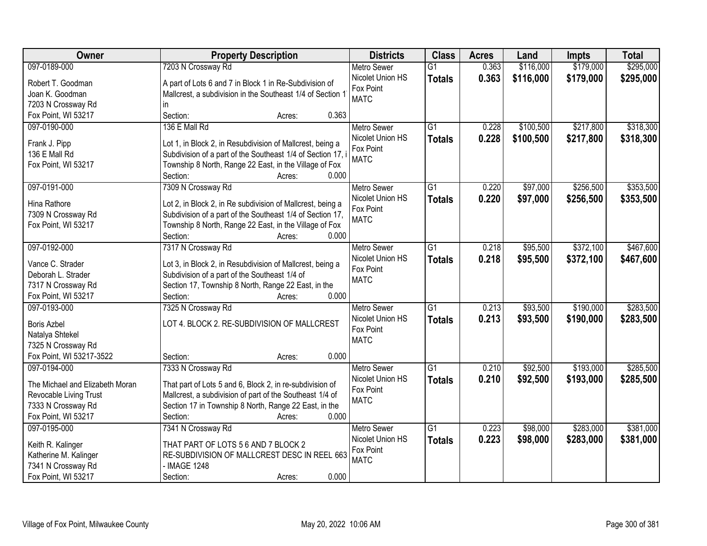| Owner                           | <b>Property Description</b>                                 | <b>Districts</b>   | <b>Class</b>    | <b>Acres</b> | Land      | <b>Impts</b> | <b>Total</b> |
|---------------------------------|-------------------------------------------------------------|--------------------|-----------------|--------------|-----------|--------------|--------------|
| 097-0189-000                    | 7203 N Crossway Rd                                          | <b>Metro Sewer</b> | $\overline{G1}$ | 0.363        | \$116,000 | \$179,000    | \$295,000    |
| Robert T. Goodman               | A part of Lots 6 and 7 in Block 1 in Re-Subdivision of      | Nicolet Union HS   | <b>Totals</b>   | 0.363        | \$116,000 | \$179,000    | \$295,000    |
| Joan K. Goodman                 | Mallcrest, a subdivision in the Southeast 1/4 of Section 1  | Fox Point          |                 |              |           |              |              |
| 7203 N Crossway Rd              | in.                                                         | <b>MATC</b>        |                 |              |           |              |              |
| Fox Point, WI 53217             | 0.363<br>Section:<br>Acres:                                 |                    |                 |              |           |              |              |
| 097-0190-000                    | 136 E Mall Rd                                               | <b>Metro Sewer</b> | $\overline{G1}$ | 0.228        | \$100,500 | \$217,800    | \$318,300    |
|                                 |                                                             | Nicolet Union HS   | <b>Totals</b>   | 0.228        | \$100,500 | \$217,800    | \$318,300    |
| Frank J. Pipp                   | Lot 1, in Block 2, in Resubdivision of Mallcrest, being a   | Fox Point          |                 |              |           |              |              |
| 136 E Mall Rd                   | Subdivision of a part of the Southeast 1/4 of Section 17, i | <b>MATC</b>        |                 |              |           |              |              |
| Fox Point, WI 53217             | Township 8 North, Range 22 East, in the Village of Fox      |                    |                 |              |           |              |              |
|                                 | 0.000<br>Section:<br>Acres:                                 |                    |                 |              |           |              |              |
| 097-0191-000                    | 7309 N Crossway Rd                                          | <b>Metro Sewer</b> | $\overline{G1}$ | 0.220        | \$97,000  | \$256,500    | \$353,500    |
| Hina Rathore                    | Lot 2, in Block 2, in Re subdivision of Mallcrest, being a  | Nicolet Union HS   | <b>Totals</b>   | 0.220        | \$97,000  | \$256,500    | \$353,500    |
| 7309 N Crossway Rd              | Subdivision of a part of the Southeast 1/4 of Section 17,   | Fox Point          |                 |              |           |              |              |
| Fox Point, WI 53217             | Township 8 North, Range 22 East, in the Village of Fox      | <b>MATC</b>        |                 |              |           |              |              |
|                                 | Section:<br>0.000<br>Acres:                                 |                    |                 |              |           |              |              |
| 097-0192-000                    | 7317 N Crossway Rd                                          | <b>Metro Sewer</b> | G1              | 0.218        | \$95,500  | \$372,100    | \$467,600    |
|                                 |                                                             | Nicolet Union HS   | <b>Totals</b>   | 0.218        | \$95,500  | \$372,100    | \$467,600    |
| Vance C. Strader                | Lot 3, in Block 2, in Resubdivision of Mallcrest, being a   | Fox Point          |                 |              |           |              |              |
| Deborah L. Strader              | Subdivision of a part of the Southeast 1/4 of               | <b>MATC</b>        |                 |              |           |              |              |
| 7317 N Crossway Rd              | Section 17, Township 8 North, Range 22 East, in the         |                    |                 |              |           |              |              |
| Fox Point, WI 53217             | 0.000<br>Section:<br>Acres:                                 |                    |                 |              |           |              |              |
| 097-0193-000                    | 7325 N Crossway Rd                                          | <b>Metro Sewer</b> | $\overline{G1}$ | 0.213        | \$93,500  | \$190,000    | \$283,500    |
| <b>Boris Azbel</b>              | LOT 4. BLOCK 2. RE-SUBDIVISION OF MALLCREST                 | Nicolet Union HS   | <b>Totals</b>   | 0.213        | \$93,500  | \$190,000    | \$283,500    |
| Natalya Shtekel                 |                                                             | Fox Point          |                 |              |           |              |              |
| 7325 N Crossway Rd              |                                                             | <b>MATC</b>        |                 |              |           |              |              |
| Fox Point, WI 53217-3522        | Section:<br>0.000<br>Acres:                                 |                    |                 |              |           |              |              |
| 097-0194-000                    | 7333 N Crossway Rd                                          | Metro Sewer        | $\overline{G1}$ | 0.210        | \$92,500  | \$193,000    | \$285,500    |
|                                 |                                                             | Nicolet Union HS   | <b>Totals</b>   | 0.210        | \$92,500  | \$193,000    | \$285,500    |
| The Michael and Elizabeth Moran | That part of Lots 5 and 6, Block 2, in re-subdivision of    | Fox Point          |                 |              |           |              |              |
| Revocable Living Trust          | Mallcrest, a subdivision of part of the Southeast 1/4 of    | <b>MATC</b>        |                 |              |           |              |              |
| 7333 N Crossway Rd              | Section 17 in Township 8 North, Range 22 East, in the       |                    |                 |              |           |              |              |
| Fox Point, WI 53217             | 0.000<br>Section:<br>Acres:                                 |                    |                 |              |           |              |              |
| 097-0195-000                    | 7341 N Crossway Rd                                          | <b>Metro Sewer</b> | $\overline{G1}$ | 0.223        | \$98,000  | \$283,000    | \$381,000    |
| Keith R. Kalinger               | THAT PART OF LOTS 5 6 AND 7 BLOCK 2                         | Nicolet Union HS   | <b>Totals</b>   | 0.223        | \$98,000  | \$283,000    | \$381,000    |
| Katherine M. Kalinger           | RE-SUBDIVISION OF MALLCREST DESC IN REEL 663                | Fox Point          |                 |              |           |              |              |
| 7341 N Crossway Rd              | - IMAGE 1248                                                | <b>MATC</b>        |                 |              |           |              |              |
| Fox Point, WI 53217             | 0.000<br>Section:<br>Acres:                                 |                    |                 |              |           |              |              |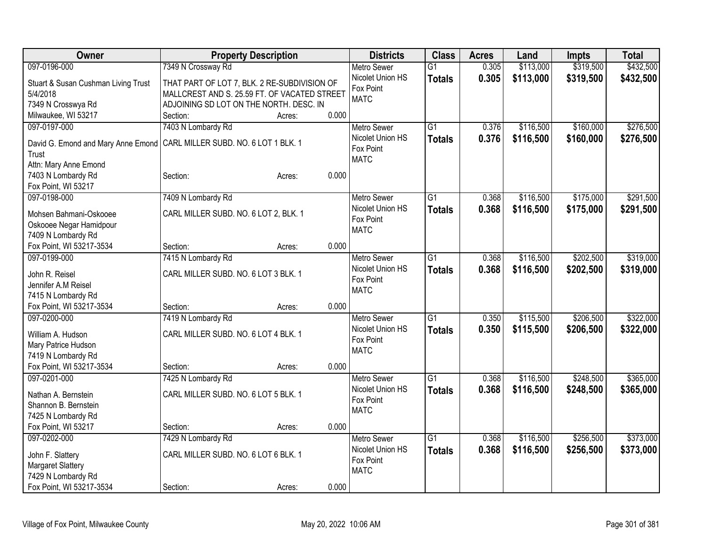| Owner                                     | <b>Property Description</b>                  |       | <b>Districts</b>   | <b>Class</b>    | <b>Acres</b> | Land      | <b>Impts</b> | <b>Total</b> |
|-------------------------------------------|----------------------------------------------|-------|--------------------|-----------------|--------------|-----------|--------------|--------------|
| 097-0196-000                              | 7349 N Crossway Rd                           |       | <b>Metro Sewer</b> | $\overline{G1}$ | 0.305        | \$113,000 | \$319,500    | \$432,500    |
| Stuart & Susan Cushman Living Trust       | THAT PART OF LOT 7, BLK. 2 RE-SUBDIVISION OF |       | Nicolet Union HS   | <b>Totals</b>   | 0.305        | \$113,000 | \$319,500    | \$432,500    |
| 5/4/2018                                  | MALLCREST AND S. 25.59 FT. OF VACATED STREET |       | Fox Point          |                 |              |           |              |              |
| 7349 N Crosswya Rd                        | ADJOINING SD LOT ON THE NORTH. DESC. IN      |       | <b>MATC</b>        |                 |              |           |              |              |
| Milwaukee, WI 53217                       | Section:<br>Acres:                           | 0.000 |                    |                 |              |           |              |              |
| 097-0197-000                              | 7403 N Lombardy Rd                           |       | <b>Metro Sewer</b> | $\overline{G1}$ | 0.376        | \$116,500 | \$160,000    | \$276,500    |
|                                           |                                              |       | Nicolet Union HS   | <b>Totals</b>   | 0.376        | \$116,500 | \$160,000    | \$276,500    |
| David G. Emond and Mary Anne Emond        | CARL MILLER SUBD. NO. 6 LOT 1 BLK. 1         |       | Fox Point          |                 |              |           |              |              |
| Trust                                     |                                              |       | <b>MATC</b>        |                 |              |           |              |              |
| Attn: Mary Anne Emond                     |                                              | 0.000 |                    |                 |              |           |              |              |
| 7403 N Lombardy Rd<br>Fox Point, WI 53217 | Section:<br>Acres:                           |       |                    |                 |              |           |              |              |
| 097-0198-000                              | 7409 N Lombardy Rd                           |       | Metro Sewer        | $\overline{G1}$ | 0.368        | \$116,500 | \$175,000    | \$291,500    |
|                                           |                                              |       | Nicolet Union HS   |                 |              |           |              |              |
| Mohsen Bahmani-Oskooee                    | CARL MILLER SUBD. NO. 6 LOT 2, BLK. 1        |       | Fox Point          | <b>Totals</b>   | 0.368        | \$116,500 | \$175,000    | \$291,500    |
| Oskooee Negar Hamidpour                   |                                              |       | <b>MATC</b>        |                 |              |           |              |              |
| 7409 N Lombardy Rd                        |                                              |       |                    |                 |              |           |              |              |
| Fox Point, WI 53217-3534                  | Section:<br>Acres:                           | 0.000 |                    |                 |              |           |              |              |
| 097-0199-000                              | 7415 N Lombardy Rd                           |       | <b>Metro Sewer</b> | $\overline{G1}$ | 0.368        | \$116,500 | \$202,500    | \$319,000    |
| John R. Reisel                            | CARL MILLER SUBD. NO. 6 LOT 3 BLK. 1         |       | Nicolet Union HS   | <b>Totals</b>   | 0.368        | \$116,500 | \$202,500    | \$319,000    |
| Jennifer A.M Reisel                       |                                              |       | Fox Point          |                 |              |           |              |              |
| 7415 N Lombardy Rd                        |                                              |       | <b>MATC</b>        |                 |              |           |              |              |
| Fox Point, WI 53217-3534                  | Section:<br>Acres:                           | 0.000 |                    |                 |              |           |              |              |
| 097-0200-000                              | 7419 N Lombardy Rd                           |       | <b>Metro Sewer</b> | $\overline{G1}$ | 0.350        | \$115,500 | \$206,500    | \$322,000    |
|                                           |                                              |       | Nicolet Union HS   | <b>Totals</b>   | 0.350        | \$115,500 | \$206,500    | \$322,000    |
| William A. Hudson                         | CARL MILLER SUBD. NO. 6 LOT 4 BLK. 1         |       | Fox Point          |                 |              |           |              |              |
| Mary Patrice Hudson                       |                                              |       | <b>MATC</b>        |                 |              |           |              |              |
| 7419 N Lombardy Rd                        |                                              |       |                    |                 |              |           |              |              |
| Fox Point, WI 53217-3534                  | Section:<br>Acres:                           | 0.000 |                    |                 |              |           |              |              |
| 097-0201-000                              | 7425 N Lombardy Rd                           |       | <b>Metro Sewer</b> | $\overline{G1}$ | 0.368        | \$116,500 | \$248,500    | \$365,000    |
| Nathan A. Bernstein                       | CARL MILLER SUBD. NO. 6 LOT 5 BLK. 1         |       | Nicolet Union HS   | <b>Totals</b>   | 0.368        | \$116,500 | \$248,500    | \$365,000    |
| Shannon B. Bernstein                      |                                              |       | Fox Point          |                 |              |           |              |              |
| 7425 N Lombardy Rd                        |                                              |       | <b>MATC</b>        |                 |              |           |              |              |
| Fox Point, WI 53217                       | Section:<br>Acres:                           | 0.000 |                    |                 |              |           |              |              |
| 097-0202-000                              | 7429 N Lombardy Rd                           |       | <b>Metro Sewer</b> | $\overline{G1}$ | 0.368        | \$116,500 | \$256,500    | \$373,000    |
|                                           |                                              |       | Nicolet Union HS   | <b>Totals</b>   | 0.368        | \$116,500 | \$256,500    | \$373,000    |
| John F. Slattery                          | CARL MILLER SUBD. NO. 6 LOT 6 BLK. 1         |       | Fox Point          |                 |              |           |              |              |
| Margaret Slattery                         |                                              |       | <b>MATC</b>        |                 |              |           |              |              |
| 7429 N Lombardy Rd                        |                                              | 0.000 |                    |                 |              |           |              |              |
| Fox Point, WI 53217-3534                  | Section:<br>Acres:                           |       |                    |                 |              |           |              |              |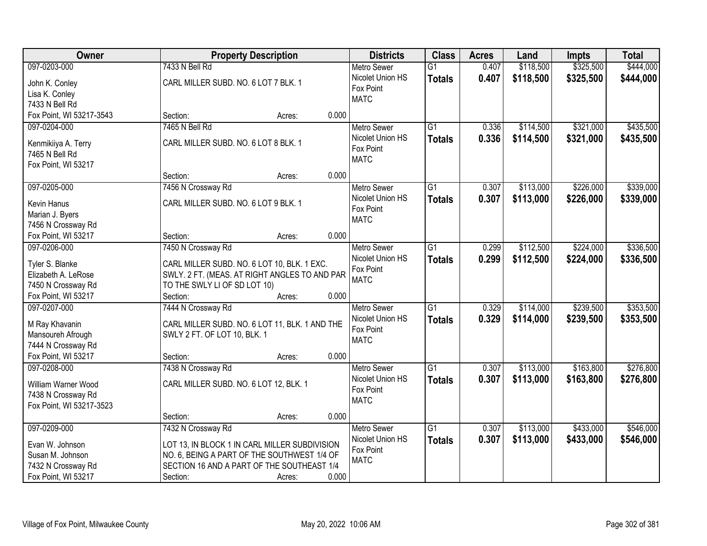| Owner                                 |                                                                                | <b>Property Description</b> |       | <b>Districts</b>   | <b>Class</b>    | <b>Acres</b> | Land      | <b>Impts</b> | <b>Total</b> |
|---------------------------------------|--------------------------------------------------------------------------------|-----------------------------|-------|--------------------|-----------------|--------------|-----------|--------------|--------------|
| 097-0203-000                          | 7433 N Bell Rd                                                                 |                             |       | <b>Metro Sewer</b> | $\overline{G1}$ | 0.407        | \$118,500 | \$325,500    | \$444,000    |
| John K. Conley                        | CARL MILLER SUBD. NO. 6 LOT 7 BLK. 1                                           |                             |       | Nicolet Union HS   | <b>Totals</b>   | 0.407        | \$118,500 | \$325,500    | \$444,000    |
| Lisa K. Conley                        |                                                                                |                             |       | Fox Point          |                 |              |           |              |              |
| 7433 N Bell Rd                        |                                                                                |                             |       | <b>MATC</b>        |                 |              |           |              |              |
| Fox Point, WI 53217-3543              | Section:                                                                       | Acres:                      | 0.000 |                    |                 |              |           |              |              |
| 097-0204-000                          | 7465 N Bell Rd                                                                 |                             |       | <b>Metro Sewer</b> | $\overline{G1}$ | 0.336        | \$114,500 | \$321,000    | \$435,500    |
|                                       | CARL MILLER SUBD. NO. 6 LOT 8 BLK. 1                                           |                             |       | Nicolet Union HS   | <b>Totals</b>   | 0.336        | \$114,500 | \$321,000    | \$435,500    |
| Kenmikiiya A. Terry<br>7465 N Bell Rd |                                                                                |                             |       | Fox Point          |                 |              |           |              |              |
|                                       |                                                                                |                             |       | <b>MATC</b>        |                 |              |           |              |              |
| Fox Point, WI 53217                   | Section:                                                                       | Acres:                      | 0.000 |                    |                 |              |           |              |              |
| 097-0205-000                          | 7456 N Crossway Rd                                                             |                             |       | <b>Metro Sewer</b> | $\overline{G1}$ | 0.307        | \$113,000 | \$226,000    | \$339,000    |
|                                       |                                                                                |                             |       | Nicolet Union HS   | <b>Totals</b>   | 0.307        | \$113,000 | \$226,000    | \$339,000    |
| Kevin Hanus                           | CARL MILLER SUBD. NO. 6 LOT 9 BLK. 1                                           |                             |       | Fox Point          |                 |              |           |              |              |
| Marian J. Byers                       |                                                                                |                             |       | <b>MATC</b>        |                 |              |           |              |              |
| 7456 N Crossway Rd                    |                                                                                |                             |       |                    |                 |              |           |              |              |
| Fox Point, WI 53217                   | Section:                                                                       | Acres:                      | 0.000 |                    |                 |              |           |              |              |
| 097-0206-000                          | 7450 N Crossway Rd                                                             |                             |       | <b>Metro Sewer</b> | $\overline{G1}$ | 0.299        | \$112,500 | \$224,000    | \$336,500    |
| Tyler S. Blanke                       | CARL MILLER SUBD. NO. 6 LOT 10, BLK. 1 EXC.                                    |                             |       | Nicolet Union HS   | <b>Totals</b>   | 0.299        | \$112,500 | \$224,000    | \$336,500    |
| Elizabeth A. LeRose                   | SWLY. 2 FT. (MEAS. AT RIGHT ANGLES TO AND PAR                                  |                             |       | Fox Point          |                 |              |           |              |              |
| 7450 N Crossway Rd                    | TO THE SWLY LI OF SD LOT 10)                                                   |                             |       | <b>MATC</b>        |                 |              |           |              |              |
| Fox Point, WI 53217                   | Section:                                                                       | Acres:                      | 0.000 |                    |                 |              |           |              |              |
| 097-0207-000                          | 7444 N Crossway Rd                                                             |                             |       | <b>Metro Sewer</b> | $\overline{G1}$ | 0.329        | \$114,000 | \$239,500    | \$353,500    |
|                                       |                                                                                |                             |       | Nicolet Union HS   | <b>Totals</b>   | 0.329        | \$114,000 | \$239,500    | \$353,500    |
| M Ray Khavanin<br>Mansoureh Afrough   | CARL MILLER SUBD. NO. 6 LOT 11, BLK. 1 AND THE<br>SWLY 2 FT. OF LOT 10, BLK. 1 |                             |       | Fox Point          |                 |              |           |              |              |
| 7444 N Crossway Rd                    |                                                                                |                             |       | <b>MATC</b>        |                 |              |           |              |              |
| Fox Point, WI 53217                   | Section:                                                                       | Acres:                      | 0.000 |                    |                 |              |           |              |              |
| 097-0208-000                          | 7438 N Crossway Rd                                                             |                             |       | <b>Metro Sewer</b> | $\overline{G1}$ | 0.307        | \$113,000 | \$163,800    | \$276,800    |
|                                       |                                                                                |                             |       | Nicolet Union HS   | <b>Totals</b>   | 0.307        | \$113,000 | \$163,800    | \$276,800    |
| William Warner Wood                   | CARL MILLER SUBD. NO. 6 LOT 12, BLK. 1                                         |                             |       | Fox Point          |                 |              |           |              |              |
| 7438 N Crossway Rd                    |                                                                                |                             |       | <b>MATC</b>        |                 |              |           |              |              |
| Fox Point, WI 53217-3523              |                                                                                |                             |       |                    |                 |              |           |              |              |
|                                       | Section:                                                                       | Acres:                      | 0.000 |                    |                 |              |           |              |              |
| 097-0209-000                          | 7432 N Crossway Rd                                                             |                             |       | <b>Metro Sewer</b> | $\overline{G1}$ | 0.307        | \$113,000 | \$433,000    | \$546,000    |
| Evan W. Johnson                       | LOT 13, IN BLOCK 1 IN CARL MILLER SUBDIVISION                                  |                             |       | Nicolet Union HS   | <b>Totals</b>   | 0.307        | \$113,000 | \$433,000    | \$546,000    |
| Susan M. Johnson                      | NO. 6, BEING A PART OF THE SOUTHWEST 1/4 OF                                    |                             |       | Fox Point          |                 |              |           |              |              |
| 7432 N Crossway Rd                    | SECTION 16 AND A PART OF THE SOUTHEAST 1/4                                     |                             |       | <b>MATC</b>        |                 |              |           |              |              |
| Fox Point, WI 53217                   | Section:                                                                       | Acres:                      | 0.000 |                    |                 |              |           |              |              |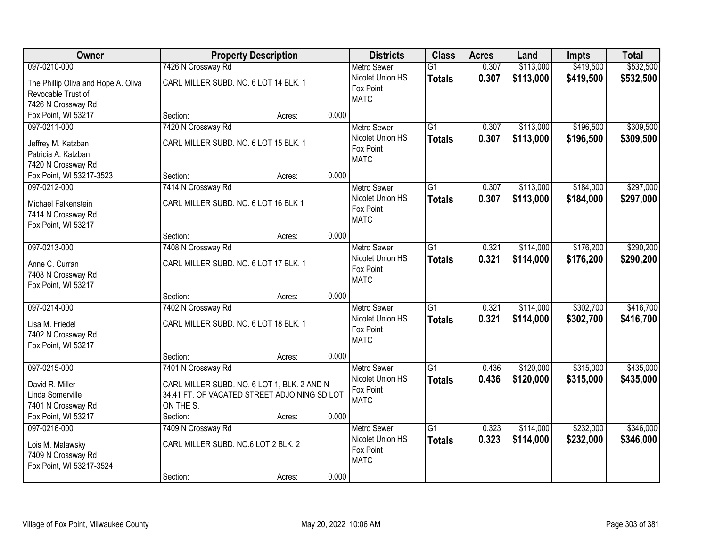| Owner                               |                                              | <b>Property Description</b> |       | <b>Districts</b>         | <b>Class</b>    | <b>Acres</b> | Land      | Impts     | <b>Total</b> |
|-------------------------------------|----------------------------------------------|-----------------------------|-------|--------------------------|-----------------|--------------|-----------|-----------|--------------|
| 097-0210-000                        | 7426 N Crossway Rd                           |                             |       | <b>Metro Sewer</b>       | $\overline{G1}$ | 0.307        | \$113,000 | \$419,500 | \$532,500    |
| The Phillip Oliva and Hope A. Oliva | CARL MILLER SUBD. NO. 6 LOT 14 BLK. 1        |                             |       | Nicolet Union HS         | <b>Totals</b>   | 0.307        | \$113,000 | \$419,500 | \$532,500    |
| Revocable Trust of                  |                                              |                             |       | Fox Point                |                 |              |           |           |              |
| 7426 N Crossway Rd                  |                                              |                             |       | <b>MATC</b>              |                 |              |           |           |              |
| Fox Point, WI 53217                 | Section:                                     | Acres:                      | 0.000 |                          |                 |              |           |           |              |
| 097-0211-000                        | 7420 N Crossway Rd                           |                             |       | <b>Metro Sewer</b>       | $\overline{G1}$ | 0.307        | \$113,000 | \$196,500 | \$309,500    |
| Jeffrey M. Katzban                  | CARL MILLER SUBD. NO. 6 LOT 15 BLK. 1        |                             |       | Nicolet Union HS         | <b>Totals</b>   | 0.307        | \$113,000 | \$196,500 | \$309,500    |
| Patricia A. Katzban                 |                                              |                             |       | Fox Point                |                 |              |           |           |              |
| 7420 N Crossway Rd                  |                                              |                             |       | <b>MATC</b>              |                 |              |           |           |              |
| Fox Point, WI 53217-3523            | Section:                                     | Acres:                      | 0.000 |                          |                 |              |           |           |              |
| 097-0212-000                        | 7414 N Crossway Rd                           |                             |       | Metro Sewer              | $\overline{G1}$ | 0.307        | \$113,000 | \$184,000 | \$297,000    |
| Michael Falkenstein                 | CARL MILLER SUBD. NO. 6 LOT 16 BLK 1         |                             |       | Nicolet Union HS         | <b>Totals</b>   | 0.307        | \$113,000 | \$184,000 | \$297,000    |
| 7414 N Crossway Rd                  |                                              |                             |       | Fox Point                |                 |              |           |           |              |
| Fox Point, WI 53217                 |                                              |                             |       | <b>MATC</b>              |                 |              |           |           |              |
|                                     | Section:                                     | Acres:                      | 0.000 |                          |                 |              |           |           |              |
| 097-0213-000                        | 7408 N Crossway Rd                           |                             |       | <b>Metro Sewer</b>       | $\overline{G1}$ | 0.321        | \$114,000 | \$176,200 | \$290,200    |
| Anne C. Curran                      | CARL MILLER SUBD. NO. 6 LOT 17 BLK. 1        |                             |       | Nicolet Union HS         | <b>Totals</b>   | 0.321        | \$114,000 | \$176,200 | \$290,200    |
| 7408 N Crossway Rd                  |                                              |                             |       | Fox Point                |                 |              |           |           |              |
| Fox Point, WI 53217                 |                                              |                             |       | <b>MATC</b>              |                 |              |           |           |              |
|                                     | Section:                                     | Acres:                      | 0.000 |                          |                 |              |           |           |              |
| 097-0214-000                        | 7402 N Crossway Rd                           |                             |       | <b>Metro Sewer</b>       | $\overline{G1}$ | 0.321        | \$114,000 | \$302,700 | \$416,700    |
| Lisa M. Friedel                     | CARL MILLER SUBD. NO. 6 LOT 18 BLK. 1        |                             |       | Nicolet Union HS         | <b>Totals</b>   | 0.321        | \$114,000 | \$302,700 | \$416,700    |
| 7402 N Crossway Rd                  |                                              |                             |       | Fox Point<br><b>MATC</b> |                 |              |           |           |              |
| Fox Point, WI 53217                 |                                              |                             |       |                          |                 |              |           |           |              |
|                                     | Section:                                     | Acres:                      | 0.000 |                          |                 |              |           |           |              |
| 097-0215-000                        | 7401 N Crossway Rd                           |                             |       | <b>Metro Sewer</b>       | $\overline{G1}$ | 0.436        | \$120,000 | \$315,000 | \$435,000    |
| David R. Miller                     | CARL MILLER SUBD. NO. 6 LOT 1, BLK. 2 AND N  |                             |       | Nicolet Union HS         | <b>Totals</b>   | 0.436        | \$120,000 | \$315,000 | \$435,000    |
| Linda Somerville                    | 34.41 FT. OF VACATED STREET ADJOINING SD LOT |                             |       | Fox Point                |                 |              |           |           |              |
| 7401 N Crossway Rd                  | ON THE S.                                    |                             |       | <b>MATC</b>              |                 |              |           |           |              |
| Fox Point, WI 53217                 | Section:                                     | Acres:                      | 0.000 |                          |                 |              |           |           |              |
| 097-0216-000                        | 7409 N Crossway Rd                           |                             |       | <b>Metro Sewer</b>       | $\overline{G1}$ | 0.323        | \$114,000 | \$232,000 | \$346,000    |
| Lois M. Malawsky                    | CARL MILLER SUBD. NO.6 LOT 2 BLK. 2          |                             |       | Nicolet Union HS         | <b>Totals</b>   | 0.323        | \$114,000 | \$232,000 | \$346,000    |
| 7409 N Crossway Rd                  |                                              |                             |       | Fox Point                |                 |              |           |           |              |
| Fox Point, WI 53217-3524            |                                              |                             |       | <b>MATC</b>              |                 |              |           |           |              |
|                                     | Section:                                     | Acres:                      | 0.000 |                          |                 |              |           |           |              |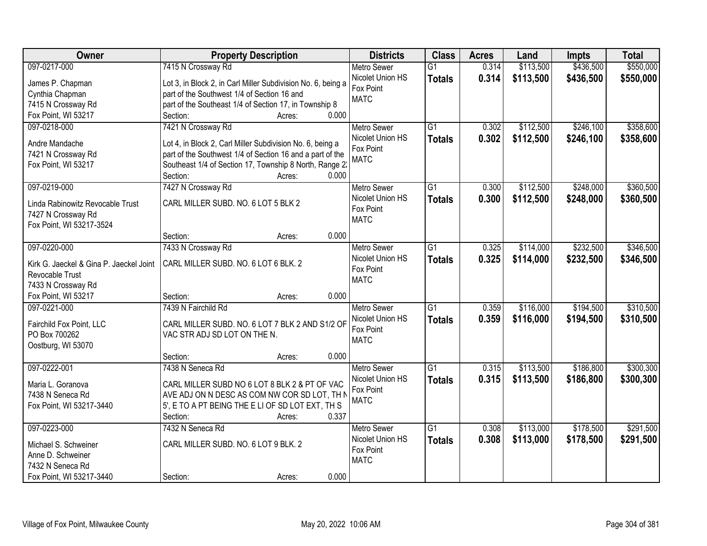| \$550,000<br>097-0217-000<br>7415 N Crossway Rd<br>\$113,500<br>\$436,500<br><b>Metro Sewer</b><br>$\overline{G1}$<br>0.314<br>Nicolet Union HS<br>0.314<br>\$113,500<br>\$436,500<br>\$550,000<br><b>Totals</b><br>Lot 3, in Block 2, in Carl Miller Subdivision No. 6, being a<br>James P. Chapman<br>Fox Point<br>part of the Southwest 1/4 of Section 16 and<br>Cynthia Chapman<br><b>MATC</b><br>7415 N Crossway Rd<br>part of the Southeast 1/4 of Section 17, in Township 8<br>0.000<br>Fox Point, WI 53217<br>Section:<br>Acres:<br>$\overline{G1}$<br>\$112,500<br>\$246,100<br>097-0218-000<br>7421 N Crossway Rd<br>0.302<br><b>Metro Sewer</b><br>Nicolet Union HS<br>0.302<br>\$112,500<br>\$246,100<br><b>Totals</b><br>Andre Mandache<br>Lot 4, in Block 2, Carl Miller Subdivision No. 6, being a<br>Fox Point<br>7421 N Crossway Rd<br>part of the Southwest 1/4 of Section 16 and a part of the<br><b>MATC</b><br>Southeast 1/4 of Section 17, Township 8 North, Range 2:<br>Fox Point, WI 53217<br>Section:<br>0.000<br>Acres:<br>7427 N Crossway Rd<br>$\overline{G1}$<br>\$112,500<br>\$248,000<br>097-0219-000<br>Metro Sewer<br>0.300<br>Nicolet Union HS<br>0.300<br>\$112,500<br>\$248,000<br><b>Totals</b><br>CARL MILLER SUBD. NO. 6 LOT 5 BLK 2<br>Linda Rabinowitz Revocable Trust<br>Fox Point<br>7427 N Crossway Rd<br><b>MATC</b><br>Fox Point, WI 53217-3524<br>0.000<br>Section:<br>Acres:<br>\$114,000<br>\$232,500<br>097-0220-000<br>7433 N Crossway Rd<br>$\overline{G1}$<br>0.325<br><b>Metro Sewer</b><br>Nicolet Union HS<br>0.325<br>\$114,000<br>\$232,500<br><b>Totals</b><br>CARL MILLER SUBD. NO. 6 LOT 6 BLK. 2<br>Kirk G. Jaeckel & Gina P. Jaeckel Joint<br>Fox Point<br>Revocable Trust<br><b>MATC</b><br>7433 N Crossway Rd<br>Fox Point, WI 53217<br>0.000<br>Section:<br>Acres:<br>7439 N Fairchild Rd<br>$\overline{G1}$<br>\$116,000<br>\$194,500<br>097-0221-000<br>0.359<br><b>Metro Sewer</b><br>0.359<br>Nicolet Union HS<br>\$116,000<br>\$194,500<br><b>Totals</b><br>CARL MILLER SUBD. NO. 6 LOT 7 BLK 2 AND S1/2 OF<br>Fairchild Fox Point, LLC<br>Fox Point<br>PO Box 700262<br>VAC STR ADJ SD LOT ON THE N.<br><b>MATC</b><br>Oostburg, WI 53070<br>0.000<br>Section:<br>Acres:<br>7438 N Seneca Rd<br>$\overline{G1}$<br>\$113,500<br>\$186,800<br>097-0222-001<br>0.315<br><b>Metro Sewer</b><br>0.315<br>Nicolet Union HS<br>\$113,500<br>\$186,800<br><b>Totals</b><br>CARL MILLER SUBD NO 6 LOT 8 BLK 2 & PT OF VAC<br>Maria L. Goranova<br>Fox Point<br>AVE ADJ ON N DESC AS COM NW COR SD LOT, TH N<br>7438 N Seneca Rd<br><b>MATC</b><br>5', E TO A PT BEING THE E LI OF SD LOT EXT, TH S<br>Fox Point, WI 53217-3440<br>0.337<br>Section:<br>Acres:<br>097-0223-000<br>$\overline{G1}$<br>\$113,000<br>\$178,500<br>7432 N Seneca Rd<br><b>Metro Sewer</b><br>0.308<br>0.308<br>Nicolet Union HS<br>\$113,000<br>\$178,500<br><b>Totals</b><br>CARL MILLER SUBD. NO. 6 LOT 9 BLK. 2<br>Michael S. Schweiner<br>Fox Point<br>Anne D. Schweiner<br><b>MATC</b><br>7432 N Seneca Rd | Owner                    | <b>Property Description</b> | <b>Districts</b> | <b>Class</b> | <b>Acres</b> | Land | <b>Impts</b> | <b>Total</b> |
|------------------------------------------------------------------------------------------------------------------------------------------------------------------------------------------------------------------------------------------------------------------------------------------------------------------------------------------------------------------------------------------------------------------------------------------------------------------------------------------------------------------------------------------------------------------------------------------------------------------------------------------------------------------------------------------------------------------------------------------------------------------------------------------------------------------------------------------------------------------------------------------------------------------------------------------------------------------------------------------------------------------------------------------------------------------------------------------------------------------------------------------------------------------------------------------------------------------------------------------------------------------------------------------------------------------------------------------------------------------------------------------------------------------------------------------------------------------------------------------------------------------------------------------------------------------------------------------------------------------------------------------------------------------------------------------------------------------------------------------------------------------------------------------------------------------------------------------------------------------------------------------------------------------------------------------------------------------------------------------------------------------------------------------------------------------------------------------------------------------------------------------------------------------------------------------------------------------------------------------------------------------------------------------------------------------------------------------------------------------------------------------------------------------------------------------------------------------------------------------------------------------------------------------------------------------------------------------------------------------------------------------------------------------------------------------------------------------------------------------------------------------------------------------------------------------------------------------------------------------------------------------------------------------------------------------------------------------------------------------------------------------------------------------------------------|--------------------------|-----------------------------|------------------|--------------|--------------|------|--------------|--------------|
|                                                                                                                                                                                                                                                                                                                                                                                                                                                                                                                                                                                                                                                                                                                                                                                                                                                                                                                                                                                                                                                                                                                                                                                                                                                                                                                                                                                                                                                                                                                                                                                                                                                                                                                                                                                                                                                                                                                                                                                                                                                                                                                                                                                                                                                                                                                                                                                                                                                                                                                                                                                                                                                                                                                                                                                                                                                                                                                                                                                                                                                            |                          |                             |                  |              |              |      |              |              |
|                                                                                                                                                                                                                                                                                                                                                                                                                                                                                                                                                                                                                                                                                                                                                                                                                                                                                                                                                                                                                                                                                                                                                                                                                                                                                                                                                                                                                                                                                                                                                                                                                                                                                                                                                                                                                                                                                                                                                                                                                                                                                                                                                                                                                                                                                                                                                                                                                                                                                                                                                                                                                                                                                                                                                                                                                                                                                                                                                                                                                                                            |                          |                             |                  |              |              |      |              |              |
| \$358,600<br>\$358,600<br>\$360,500<br>\$360,500<br>\$346,500<br>\$346,500<br>\$300,300<br>\$291,500                                                                                                                                                                                                                                                                                                                                                                                                                                                                                                                                                                                                                                                                                                                                                                                                                                                                                                                                                                                                                                                                                                                                                                                                                                                                                                                                                                                                                                                                                                                                                                                                                                                                                                                                                                                                                                                                                                                                                                                                                                                                                                                                                                                                                                                                                                                                                                                                                                                                                                                                                                                                                                                                                                                                                                                                                                                                                                                                                       |                          |                             |                  |              |              |      |              |              |
|                                                                                                                                                                                                                                                                                                                                                                                                                                                                                                                                                                                                                                                                                                                                                                                                                                                                                                                                                                                                                                                                                                                                                                                                                                                                                                                                                                                                                                                                                                                                                                                                                                                                                                                                                                                                                                                                                                                                                                                                                                                                                                                                                                                                                                                                                                                                                                                                                                                                                                                                                                                                                                                                                                                                                                                                                                                                                                                                                                                                                                                            |                          |                             |                  |              |              |      |              |              |
|                                                                                                                                                                                                                                                                                                                                                                                                                                                                                                                                                                                                                                                                                                                                                                                                                                                                                                                                                                                                                                                                                                                                                                                                                                                                                                                                                                                                                                                                                                                                                                                                                                                                                                                                                                                                                                                                                                                                                                                                                                                                                                                                                                                                                                                                                                                                                                                                                                                                                                                                                                                                                                                                                                                                                                                                                                                                                                                                                                                                                                                            |                          |                             |                  |              |              |      |              |              |
|                                                                                                                                                                                                                                                                                                                                                                                                                                                                                                                                                                                                                                                                                                                                                                                                                                                                                                                                                                                                                                                                                                                                                                                                                                                                                                                                                                                                                                                                                                                                                                                                                                                                                                                                                                                                                                                                                                                                                                                                                                                                                                                                                                                                                                                                                                                                                                                                                                                                                                                                                                                                                                                                                                                                                                                                                                                                                                                                                                                                                                                            |                          |                             |                  |              |              |      |              |              |
|                                                                                                                                                                                                                                                                                                                                                                                                                                                                                                                                                                                                                                                                                                                                                                                                                                                                                                                                                                                                                                                                                                                                                                                                                                                                                                                                                                                                                                                                                                                                                                                                                                                                                                                                                                                                                                                                                                                                                                                                                                                                                                                                                                                                                                                                                                                                                                                                                                                                                                                                                                                                                                                                                                                                                                                                                                                                                                                                                                                                                                                            |                          |                             |                  |              |              |      |              |              |
|                                                                                                                                                                                                                                                                                                                                                                                                                                                                                                                                                                                                                                                                                                                                                                                                                                                                                                                                                                                                                                                                                                                                                                                                                                                                                                                                                                                                                                                                                                                                                                                                                                                                                                                                                                                                                                                                                                                                                                                                                                                                                                                                                                                                                                                                                                                                                                                                                                                                                                                                                                                                                                                                                                                                                                                                                                                                                                                                                                                                                                                            |                          |                             |                  |              |              |      |              |              |
|                                                                                                                                                                                                                                                                                                                                                                                                                                                                                                                                                                                                                                                                                                                                                                                                                                                                                                                                                                                                                                                                                                                                                                                                                                                                                                                                                                                                                                                                                                                                                                                                                                                                                                                                                                                                                                                                                                                                                                                                                                                                                                                                                                                                                                                                                                                                                                                                                                                                                                                                                                                                                                                                                                                                                                                                                                                                                                                                                                                                                                                            |                          |                             |                  |              |              |      |              |              |
|                                                                                                                                                                                                                                                                                                                                                                                                                                                                                                                                                                                                                                                                                                                                                                                                                                                                                                                                                                                                                                                                                                                                                                                                                                                                                                                                                                                                                                                                                                                                                                                                                                                                                                                                                                                                                                                                                                                                                                                                                                                                                                                                                                                                                                                                                                                                                                                                                                                                                                                                                                                                                                                                                                                                                                                                                                                                                                                                                                                                                                                            |                          |                             |                  |              |              |      |              |              |
|                                                                                                                                                                                                                                                                                                                                                                                                                                                                                                                                                                                                                                                                                                                                                                                                                                                                                                                                                                                                                                                                                                                                                                                                                                                                                                                                                                                                                                                                                                                                                                                                                                                                                                                                                                                                                                                                                                                                                                                                                                                                                                                                                                                                                                                                                                                                                                                                                                                                                                                                                                                                                                                                                                                                                                                                                                                                                                                                                                                                                                                            |                          |                             |                  |              |              |      |              |              |
|                                                                                                                                                                                                                                                                                                                                                                                                                                                                                                                                                                                                                                                                                                                                                                                                                                                                                                                                                                                                                                                                                                                                                                                                                                                                                                                                                                                                                                                                                                                                                                                                                                                                                                                                                                                                                                                                                                                                                                                                                                                                                                                                                                                                                                                                                                                                                                                                                                                                                                                                                                                                                                                                                                                                                                                                                                                                                                                                                                                                                                                            |                          |                             |                  |              |              |      |              |              |
|                                                                                                                                                                                                                                                                                                                                                                                                                                                                                                                                                                                                                                                                                                                                                                                                                                                                                                                                                                                                                                                                                                                                                                                                                                                                                                                                                                                                                                                                                                                                                                                                                                                                                                                                                                                                                                                                                                                                                                                                                                                                                                                                                                                                                                                                                                                                                                                                                                                                                                                                                                                                                                                                                                                                                                                                                                                                                                                                                                                                                                                            |                          |                             |                  |              |              |      |              |              |
|                                                                                                                                                                                                                                                                                                                                                                                                                                                                                                                                                                                                                                                                                                                                                                                                                                                                                                                                                                                                                                                                                                                                                                                                                                                                                                                                                                                                                                                                                                                                                                                                                                                                                                                                                                                                                                                                                                                                                                                                                                                                                                                                                                                                                                                                                                                                                                                                                                                                                                                                                                                                                                                                                                                                                                                                                                                                                                                                                                                                                                                            |                          |                             |                  |              |              |      |              |              |
|                                                                                                                                                                                                                                                                                                                                                                                                                                                                                                                                                                                                                                                                                                                                                                                                                                                                                                                                                                                                                                                                                                                                                                                                                                                                                                                                                                                                                                                                                                                                                                                                                                                                                                                                                                                                                                                                                                                                                                                                                                                                                                                                                                                                                                                                                                                                                                                                                                                                                                                                                                                                                                                                                                                                                                                                                                                                                                                                                                                                                                                            |                          |                             |                  |              |              |      |              |              |
|                                                                                                                                                                                                                                                                                                                                                                                                                                                                                                                                                                                                                                                                                                                                                                                                                                                                                                                                                                                                                                                                                                                                                                                                                                                                                                                                                                                                                                                                                                                                                                                                                                                                                                                                                                                                                                                                                                                                                                                                                                                                                                                                                                                                                                                                                                                                                                                                                                                                                                                                                                                                                                                                                                                                                                                                                                                                                                                                                                                                                                                            |                          |                             |                  |              |              |      |              |              |
|                                                                                                                                                                                                                                                                                                                                                                                                                                                                                                                                                                                                                                                                                                                                                                                                                                                                                                                                                                                                                                                                                                                                                                                                                                                                                                                                                                                                                                                                                                                                                                                                                                                                                                                                                                                                                                                                                                                                                                                                                                                                                                                                                                                                                                                                                                                                                                                                                                                                                                                                                                                                                                                                                                                                                                                                                                                                                                                                                                                                                                                            |                          |                             |                  |              |              |      |              |              |
|                                                                                                                                                                                                                                                                                                                                                                                                                                                                                                                                                                                                                                                                                                                                                                                                                                                                                                                                                                                                                                                                                                                                                                                                                                                                                                                                                                                                                                                                                                                                                                                                                                                                                                                                                                                                                                                                                                                                                                                                                                                                                                                                                                                                                                                                                                                                                                                                                                                                                                                                                                                                                                                                                                                                                                                                                                                                                                                                                                                                                                                            |                          |                             |                  |              |              |      |              |              |
|                                                                                                                                                                                                                                                                                                                                                                                                                                                                                                                                                                                                                                                                                                                                                                                                                                                                                                                                                                                                                                                                                                                                                                                                                                                                                                                                                                                                                                                                                                                                                                                                                                                                                                                                                                                                                                                                                                                                                                                                                                                                                                                                                                                                                                                                                                                                                                                                                                                                                                                                                                                                                                                                                                                                                                                                                                                                                                                                                                                                                                                            |                          |                             |                  |              |              |      |              |              |
| \$310,500<br>\$310,500<br>\$300,300<br>\$291,500                                                                                                                                                                                                                                                                                                                                                                                                                                                                                                                                                                                                                                                                                                                                                                                                                                                                                                                                                                                                                                                                                                                                                                                                                                                                                                                                                                                                                                                                                                                                                                                                                                                                                                                                                                                                                                                                                                                                                                                                                                                                                                                                                                                                                                                                                                                                                                                                                                                                                                                                                                                                                                                                                                                                                                                                                                                                                                                                                                                                           |                          |                             |                  |              |              |      |              |              |
|                                                                                                                                                                                                                                                                                                                                                                                                                                                                                                                                                                                                                                                                                                                                                                                                                                                                                                                                                                                                                                                                                                                                                                                                                                                                                                                                                                                                                                                                                                                                                                                                                                                                                                                                                                                                                                                                                                                                                                                                                                                                                                                                                                                                                                                                                                                                                                                                                                                                                                                                                                                                                                                                                                                                                                                                                                                                                                                                                                                                                                                            |                          |                             |                  |              |              |      |              |              |
|                                                                                                                                                                                                                                                                                                                                                                                                                                                                                                                                                                                                                                                                                                                                                                                                                                                                                                                                                                                                                                                                                                                                                                                                                                                                                                                                                                                                                                                                                                                                                                                                                                                                                                                                                                                                                                                                                                                                                                                                                                                                                                                                                                                                                                                                                                                                                                                                                                                                                                                                                                                                                                                                                                                                                                                                                                                                                                                                                                                                                                                            |                          |                             |                  |              |              |      |              |              |
|                                                                                                                                                                                                                                                                                                                                                                                                                                                                                                                                                                                                                                                                                                                                                                                                                                                                                                                                                                                                                                                                                                                                                                                                                                                                                                                                                                                                                                                                                                                                                                                                                                                                                                                                                                                                                                                                                                                                                                                                                                                                                                                                                                                                                                                                                                                                                                                                                                                                                                                                                                                                                                                                                                                                                                                                                                                                                                                                                                                                                                                            |                          |                             |                  |              |              |      |              |              |
|                                                                                                                                                                                                                                                                                                                                                                                                                                                                                                                                                                                                                                                                                                                                                                                                                                                                                                                                                                                                                                                                                                                                                                                                                                                                                                                                                                                                                                                                                                                                                                                                                                                                                                                                                                                                                                                                                                                                                                                                                                                                                                                                                                                                                                                                                                                                                                                                                                                                                                                                                                                                                                                                                                                                                                                                                                                                                                                                                                                                                                                            |                          |                             |                  |              |              |      |              |              |
|                                                                                                                                                                                                                                                                                                                                                                                                                                                                                                                                                                                                                                                                                                                                                                                                                                                                                                                                                                                                                                                                                                                                                                                                                                                                                                                                                                                                                                                                                                                                                                                                                                                                                                                                                                                                                                                                                                                                                                                                                                                                                                                                                                                                                                                                                                                                                                                                                                                                                                                                                                                                                                                                                                                                                                                                                                                                                                                                                                                                                                                            |                          |                             |                  |              |              |      |              |              |
|                                                                                                                                                                                                                                                                                                                                                                                                                                                                                                                                                                                                                                                                                                                                                                                                                                                                                                                                                                                                                                                                                                                                                                                                                                                                                                                                                                                                                                                                                                                                                                                                                                                                                                                                                                                                                                                                                                                                                                                                                                                                                                                                                                                                                                                                                                                                                                                                                                                                                                                                                                                                                                                                                                                                                                                                                                                                                                                                                                                                                                                            |                          |                             |                  |              |              |      |              |              |
|                                                                                                                                                                                                                                                                                                                                                                                                                                                                                                                                                                                                                                                                                                                                                                                                                                                                                                                                                                                                                                                                                                                                                                                                                                                                                                                                                                                                                                                                                                                                                                                                                                                                                                                                                                                                                                                                                                                                                                                                                                                                                                                                                                                                                                                                                                                                                                                                                                                                                                                                                                                                                                                                                                                                                                                                                                                                                                                                                                                                                                                            |                          |                             |                  |              |              |      |              |              |
|                                                                                                                                                                                                                                                                                                                                                                                                                                                                                                                                                                                                                                                                                                                                                                                                                                                                                                                                                                                                                                                                                                                                                                                                                                                                                                                                                                                                                                                                                                                                                                                                                                                                                                                                                                                                                                                                                                                                                                                                                                                                                                                                                                                                                                                                                                                                                                                                                                                                                                                                                                                                                                                                                                                                                                                                                                                                                                                                                                                                                                                            |                          |                             |                  |              |              |      |              |              |
|                                                                                                                                                                                                                                                                                                                                                                                                                                                                                                                                                                                                                                                                                                                                                                                                                                                                                                                                                                                                                                                                                                                                                                                                                                                                                                                                                                                                                                                                                                                                                                                                                                                                                                                                                                                                                                                                                                                                                                                                                                                                                                                                                                                                                                                                                                                                                                                                                                                                                                                                                                                                                                                                                                                                                                                                                                                                                                                                                                                                                                                            |                          |                             |                  |              |              |      |              |              |
|                                                                                                                                                                                                                                                                                                                                                                                                                                                                                                                                                                                                                                                                                                                                                                                                                                                                                                                                                                                                                                                                                                                                                                                                                                                                                                                                                                                                                                                                                                                                                                                                                                                                                                                                                                                                                                                                                                                                                                                                                                                                                                                                                                                                                                                                                                                                                                                                                                                                                                                                                                                                                                                                                                                                                                                                                                                                                                                                                                                                                                                            |                          |                             |                  |              |              |      |              |              |
|                                                                                                                                                                                                                                                                                                                                                                                                                                                                                                                                                                                                                                                                                                                                                                                                                                                                                                                                                                                                                                                                                                                                                                                                                                                                                                                                                                                                                                                                                                                                                                                                                                                                                                                                                                                                                                                                                                                                                                                                                                                                                                                                                                                                                                                                                                                                                                                                                                                                                                                                                                                                                                                                                                                                                                                                                                                                                                                                                                                                                                                            |                          |                             |                  |              |              |      |              |              |
|                                                                                                                                                                                                                                                                                                                                                                                                                                                                                                                                                                                                                                                                                                                                                                                                                                                                                                                                                                                                                                                                                                                                                                                                                                                                                                                                                                                                                                                                                                                                                                                                                                                                                                                                                                                                                                                                                                                                                                                                                                                                                                                                                                                                                                                                                                                                                                                                                                                                                                                                                                                                                                                                                                                                                                                                                                                                                                                                                                                                                                                            |                          |                             |                  |              |              |      |              |              |
|                                                                                                                                                                                                                                                                                                                                                                                                                                                                                                                                                                                                                                                                                                                                                                                                                                                                                                                                                                                                                                                                                                                                                                                                                                                                                                                                                                                                                                                                                                                                                                                                                                                                                                                                                                                                                                                                                                                                                                                                                                                                                                                                                                                                                                                                                                                                                                                                                                                                                                                                                                                                                                                                                                                                                                                                                                                                                                                                                                                                                                                            |                          |                             |                  |              |              |      |              |              |
|                                                                                                                                                                                                                                                                                                                                                                                                                                                                                                                                                                                                                                                                                                                                                                                                                                                                                                                                                                                                                                                                                                                                                                                                                                                                                                                                                                                                                                                                                                                                                                                                                                                                                                                                                                                                                                                                                                                                                                                                                                                                                                                                                                                                                                                                                                                                                                                                                                                                                                                                                                                                                                                                                                                                                                                                                                                                                                                                                                                                                                                            |                          |                             |                  |              |              |      |              |              |
|                                                                                                                                                                                                                                                                                                                                                                                                                                                                                                                                                                                                                                                                                                                                                                                                                                                                                                                                                                                                                                                                                                                                                                                                                                                                                                                                                                                                                                                                                                                                                                                                                                                                                                                                                                                                                                                                                                                                                                                                                                                                                                                                                                                                                                                                                                                                                                                                                                                                                                                                                                                                                                                                                                                                                                                                                                                                                                                                                                                                                                                            |                          |                             |                  |              |              |      |              |              |
|                                                                                                                                                                                                                                                                                                                                                                                                                                                                                                                                                                                                                                                                                                                                                                                                                                                                                                                                                                                                                                                                                                                                                                                                                                                                                                                                                                                                                                                                                                                                                                                                                                                                                                                                                                                                                                                                                                                                                                                                                                                                                                                                                                                                                                                                                                                                                                                                                                                                                                                                                                                                                                                                                                                                                                                                                                                                                                                                                                                                                                                            |                          |                             |                  |              |              |      |              |              |
| Acres:                                                                                                                                                                                                                                                                                                                                                                                                                                                                                                                                                                                                                                                                                                                                                                                                                                                                                                                                                                                                                                                                                                                                                                                                                                                                                                                                                                                                                                                                                                                                                                                                                                                                                                                                                                                                                                                                                                                                                                                                                                                                                                                                                                                                                                                                                                                                                                                                                                                                                                                                                                                                                                                                                                                                                                                                                                                                                                                                                                                                                                                     | Fox Point, WI 53217-3440 | 0.000<br>Section:           |                  |              |              |      |              |              |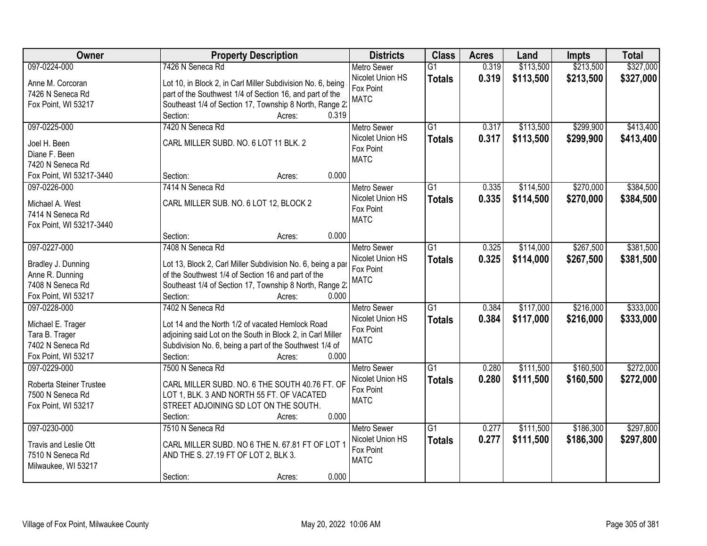| Owner                                   | <b>Property Description</b>                                 | <b>Districts</b>   | <b>Class</b>    | <b>Acres</b> | Land      | <b>Impts</b> | <b>Total</b> |
|-----------------------------------------|-------------------------------------------------------------|--------------------|-----------------|--------------|-----------|--------------|--------------|
| 097-0224-000                            | 7426 N Seneca Rd                                            | <b>Metro Sewer</b> | $\overline{G1}$ | 0.319        | \$113,500 | \$213,500    | \$327,000    |
| Anne M. Corcoran                        | Lot 10, in Block 2, in Carl Miller Subdivision No. 6, being | Nicolet Union HS   | <b>Totals</b>   | 0.319        | \$113,500 | \$213,500    | \$327,000    |
| 7426 N Seneca Rd                        | part of the Southwest 1/4 of Section 16, and part of the    | Fox Point          |                 |              |           |              |              |
| Fox Point, WI 53217                     | Southeast 1/4 of Section 17, Township 8 North, Range 2      | <b>MATC</b>        |                 |              |           |              |              |
|                                         | 0.319<br>Section:<br>Acres:                                 |                    |                 |              |           |              |              |
| 097-0225-000                            | 7420 N Seneca Rd                                            | <b>Metro Sewer</b> | $\overline{G1}$ | 0.317        | \$113,500 | \$299,900    | \$413,400    |
| Joel H. Been                            | CARL MILLER SUBD. NO. 6 LOT 11 BLK. 2                       | Nicolet Union HS   | <b>Totals</b>   | 0.317        | \$113,500 | \$299,900    | \$413,400    |
| Diane F. Been                           |                                                             | Fox Point          |                 |              |           |              |              |
| 7420 N Seneca Rd                        |                                                             | <b>MATC</b>        |                 |              |           |              |              |
| Fox Point, WI 53217-3440                | 0.000<br>Section:<br>Acres:                                 |                    |                 |              |           |              |              |
| 097-0226-000                            | 7414 N Seneca Rd                                            | <b>Metro Sewer</b> | G <sub>1</sub>  | 0.335        | \$114,500 | \$270,000    | \$384,500    |
|                                         |                                                             | Nicolet Union HS   | <b>Totals</b>   | 0.335        | \$114,500 | \$270,000    | \$384,500    |
| Michael A. West                         | CARL MILLER SUB. NO. 6 LOT 12, BLOCK 2                      | Fox Point          |                 |              |           |              |              |
| 7414 N Seneca Rd                        |                                                             | <b>MATC</b>        |                 |              |           |              |              |
| Fox Point, WI 53217-3440                |                                                             |                    |                 |              |           |              |              |
|                                         | 0.000<br>Section:<br>Acres:                                 |                    |                 |              |           |              |              |
| 097-0227-000                            | 7408 N Seneca Rd                                            | <b>Metro Sewer</b> | G1              | 0.325        | \$114,000 | \$267,500    | \$381,500    |
| Bradley J. Dunning                      | Lot 13, Block 2, Carl Miller Subdivision No. 6, being a par | Nicolet Union HS   | <b>Totals</b>   | 0.325        | \$114,000 | \$267,500    | \$381,500    |
| Anne R. Dunning                         | of the Southwest 1/4 of Section 16 and part of the          | Fox Point          |                 |              |           |              |              |
| 7408 N Seneca Rd                        | Southeast 1/4 of Section 17, Township 8 North, Range 2      | <b>MATC</b>        |                 |              |           |              |              |
| Fox Point, WI 53217                     | 0.000<br>Section:<br>Acres:                                 |                    |                 |              |           |              |              |
| 097-0228-000                            | 7402 N Seneca Rd                                            | <b>Metro Sewer</b> | $\overline{G1}$ | 0.384        | \$117,000 | \$216,000    | \$333,000    |
|                                         |                                                             | Nicolet Union HS   | <b>Totals</b>   | 0.384        | \$117,000 | \$216,000    | \$333,000    |
| Michael E. Trager                       | Lot 14 and the North 1/2 of vacated Hemlock Road            | Fox Point          |                 |              |           |              |              |
| Tara B. Trager                          | adjoining said Lot on the South in Block 2, in Carl Miller  | <b>MATC</b>        |                 |              |           |              |              |
| 7402 N Seneca Rd                        | Subdivision No. 6, being a part of the Southwest 1/4 of     |                    |                 |              |           |              |              |
| Fox Point, WI 53217                     | 0.000<br>Section:<br>Acres:                                 |                    |                 |              |           |              |              |
| 097-0229-000                            | 7500 N Seneca Rd                                            | <b>Metro Sewer</b> | $\overline{G1}$ | 0.280        | \$111,500 | \$160,500    | \$272,000    |
| Roberta Steiner Trustee                 | CARL MILLER SUBD. NO. 6 THE SOUTH 40.76 FT. OF              | Nicolet Union HS   | <b>Totals</b>   | 0.280        | \$111,500 | \$160,500    | \$272,000    |
| 7500 N Seneca Rd                        | LOT 1, BLK. 3 AND NORTH 55 FT. OF VACATED                   | Fox Point          |                 |              |           |              |              |
| Fox Point, WI 53217                     | STREET ADJOINING SD LOT ON THE SOUTH.                       | <b>MATC</b>        |                 |              |           |              |              |
|                                         | 0.000<br>Section:<br>Acres:                                 |                    |                 |              |           |              |              |
| 097-0230-000                            | 7510 N Seneca Rd                                            | <b>Metro Sewer</b> | G1              | 0.277        | \$111,500 | \$186,300    | \$297,800    |
|                                         | CARL MILLER SUBD. NO 6 THE N. 67.81 FT OF LOT 1             | Nicolet Union HS   | <b>Totals</b>   | 0.277        | \$111,500 | \$186,300    | \$297,800    |
| Travis and Leslie Ott                   |                                                             | Fox Point          |                 |              |           |              |              |
| 7510 N Seneca Rd<br>Milwaukee, WI 53217 | AND THE S. 27.19 FT OF LOT 2, BLK 3.                        | <b>MATC</b>        |                 |              |           |              |              |
|                                         | 0.000<br>Section:                                           |                    |                 |              |           |              |              |
|                                         | Acres:                                                      |                    |                 |              |           |              |              |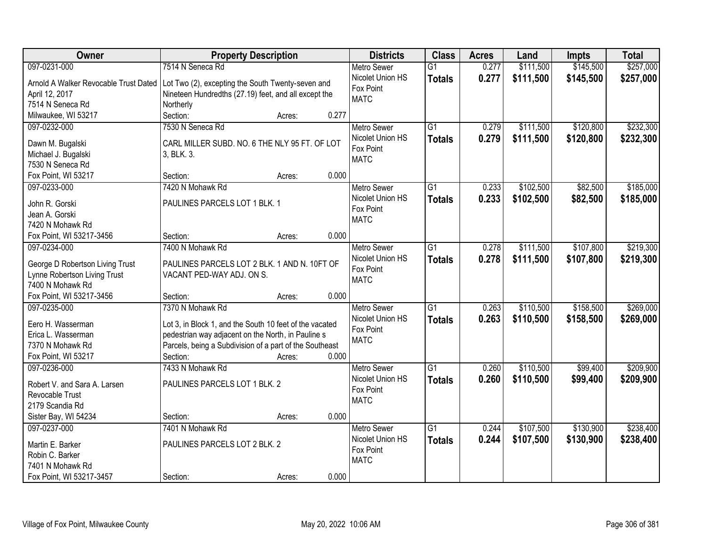| Owner                                 | <b>Property Description</b>                             |                 | <b>Districts</b>   | <b>Class</b>    | <b>Acres</b> | Land      | <b>Impts</b> | <b>Total</b> |
|---------------------------------------|---------------------------------------------------------|-----------------|--------------------|-----------------|--------------|-----------|--------------|--------------|
| 097-0231-000                          | 7514 N Seneca Rd                                        |                 | <b>Metro Sewer</b> | $\overline{G1}$ | 0.277        | \$111,500 | \$145,500    | \$257,000    |
| Arnold A Walker Revocable Trust Dated | Lot Two (2), excepting the South Twenty-seven and       |                 | Nicolet Union HS   | <b>Totals</b>   | 0.277        | \$111,500 | \$145,500    | \$257,000    |
| April 12, 2017                        | Nineteen Hundredths (27.19) feet, and all except the    |                 | Fox Point          |                 |              |           |              |              |
| 7514 N Seneca Rd                      | Northerly                                               |                 | <b>MATC</b>        |                 |              |           |              |              |
| Milwaukee, WI 53217                   | Section:                                                | 0.277<br>Acres: |                    |                 |              |           |              |              |
| 097-0232-000                          | 7530 N Seneca Rd                                        |                 | <b>Metro Sewer</b> | $\overline{G1}$ | 0.279        | \$111,500 | \$120,800    | \$232,300    |
|                                       |                                                         |                 | Nicolet Union HS   | <b>Totals</b>   | 0.279        | \$111,500 | \$120,800    | \$232,300    |
| Dawn M. Bugalski                      | CARL MILLER SUBD. NO. 6 THE NLY 95 FT. OF LOT           |                 | Fox Point          |                 |              |           |              |              |
| Michael J. Bugalski                   | 3, BLK. 3.                                              |                 | <b>MATC</b>        |                 |              |           |              |              |
| 7530 N Seneca Rd                      |                                                         |                 |                    |                 |              |           |              |              |
| Fox Point, WI 53217                   | Section:                                                | 0.000<br>Acres: |                    |                 |              |           |              |              |
| 097-0233-000                          | 7420 N Mohawk Rd                                        |                 | <b>Metro Sewer</b> | G1              | 0.233        | \$102,500 | \$82,500     | \$185,000    |
| John R. Gorski                        | PAULINES PARCELS LOT 1 BLK. 1                           |                 | Nicolet Union HS   | <b>Totals</b>   | 0.233        | \$102,500 | \$82,500     | \$185,000    |
| Jean A. Gorski                        |                                                         |                 | Fox Point          |                 |              |           |              |              |
| 7420 N Mohawk Rd                      |                                                         |                 | <b>MATC</b>        |                 |              |           |              |              |
| Fox Point, WI 53217-3456              | Section:                                                | 0.000<br>Acres: |                    |                 |              |           |              |              |
| 097-0234-000                          | 7400 N Mohawk Rd                                        |                 | <b>Metro Sewer</b> | G1              | 0.278        | \$111,500 | \$107,800    | \$219,300    |
|                                       |                                                         |                 | Nicolet Union HS   | <b>Totals</b>   | 0.278        | \$111,500 | \$107,800    | \$219,300    |
| George D Robertson Living Trust       | PAULINES PARCELS LOT 2 BLK. 1 AND N. 10FT OF            |                 | Fox Point          |                 |              |           |              |              |
| Lynne Robertson Living Trust          | VACANT PED-WAY ADJ. ON S.                               |                 | <b>MATC</b>        |                 |              |           |              |              |
| 7400 N Mohawk Rd                      |                                                         |                 |                    |                 |              |           |              |              |
| Fox Point, WI 53217-3456              | Section:                                                | 0.000<br>Acres: |                    |                 |              |           |              |              |
| 097-0235-000                          | 7370 N Mohawk Rd                                        |                 | <b>Metro Sewer</b> | $\overline{G1}$ | 0.263        | \$110,500 | \$158,500    | \$269,000    |
| Eero H. Wasserman                     | Lot 3, in Block 1, and the South 10 feet of the vacated |                 | Nicolet Union HS   | <b>Totals</b>   | 0.263        | \$110,500 | \$158,500    | \$269,000    |
| Erica L. Wasserman                    | pedestrian way adjacent on the North, in Pauline s      |                 | Fox Point          |                 |              |           |              |              |
| 7370 N Mohawk Rd                      | Parcels, being a Subdivision of a part of the Southeast |                 | <b>MATC</b>        |                 |              |           |              |              |
| Fox Point, WI 53217                   | Section:                                                | 0.000<br>Acres: |                    |                 |              |           |              |              |
| 097-0236-000                          | 7433 N Mohawk Rd                                        |                 | <b>Metro Sewer</b> | $\overline{G1}$ | 0.260        | \$110,500 | \$99,400     | \$209,900    |
|                                       |                                                         |                 | Nicolet Union HS   | <b>Totals</b>   | 0.260        | \$110,500 | \$99,400     | \$209,900    |
| Robert V. and Sara A. Larsen          | PAULINES PARCELS LOT 1 BLK. 2                           |                 | Fox Point          |                 |              |           |              |              |
| Revocable Trust                       |                                                         |                 | <b>MATC</b>        |                 |              |           |              |              |
| 2179 Scandia Rd                       |                                                         |                 |                    |                 |              |           |              |              |
| Sister Bay, WI 54234                  | Section:                                                | 0.000<br>Acres: |                    |                 |              |           |              |              |
| 097-0237-000                          | 7401 N Mohawk Rd                                        |                 | <b>Metro Sewer</b> | $\overline{G1}$ | 0.244        | \$107,500 | \$130,900    | \$238,400    |
| Martin E. Barker                      | PAULINES PARCELS LOT 2 BLK. 2                           |                 | Nicolet Union HS   | <b>Totals</b>   | 0.244        | \$107,500 | \$130,900    | \$238,400    |
| Robin C. Barker                       |                                                         |                 | Fox Point          |                 |              |           |              |              |
| 7401 N Mohawk Rd                      |                                                         |                 | <b>MATC</b>        |                 |              |           |              |              |
| Fox Point, WI 53217-3457              | Section:                                                | 0.000<br>Acres: |                    |                 |              |           |              |              |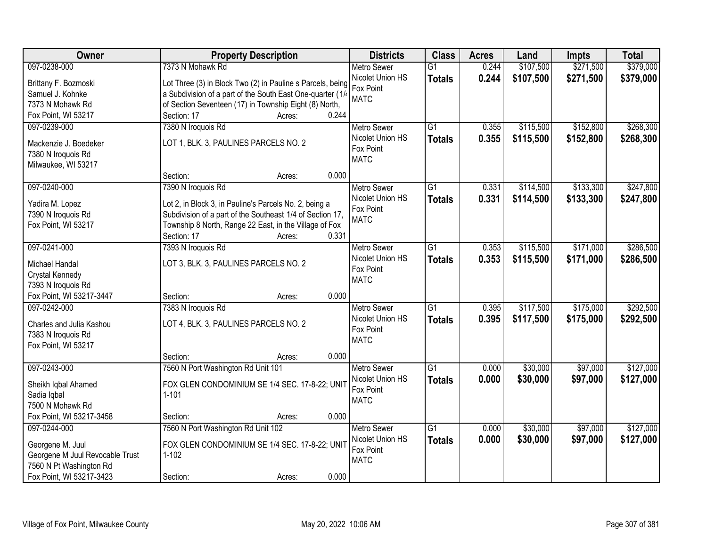| Owner                                                      | <b>Property Description</b>                                 | <b>Districts</b>         | <b>Class</b>    | <b>Acres</b> | Land      | <b>Impts</b> | <b>Total</b> |
|------------------------------------------------------------|-------------------------------------------------------------|--------------------------|-----------------|--------------|-----------|--------------|--------------|
| 097-0238-000                                               | 7373 N Mohawk Rd                                            | <b>Metro Sewer</b>       | $\overline{G1}$ | 0.244        | \$107,500 | \$271,500    | \$379,000    |
| Brittany F. Bozmoski                                       | Lot Three (3) in Block Two (2) in Pauline s Parcels, being  | Nicolet Union HS         | <b>Totals</b>   | 0.244        | \$107,500 | \$271,500    | \$379,000    |
| Samuel J. Kohnke                                           | a Subdivision of a part of the South East One-quarter (1/   | Fox Point                |                 |              |           |              |              |
| 7373 N Mohawk Rd                                           | of Section Seventeen (17) in Township Eight (8) North,      | <b>MATC</b>              |                 |              |           |              |              |
| Fox Point, WI 53217                                        | 0.244<br>Section: 17<br>Acres:                              |                          |                 |              |           |              |              |
| 097-0239-000                                               | 7380 N Iroquois Rd                                          | <b>Metro Sewer</b>       | $\overline{G1}$ | 0.355        | \$115,500 | \$152,800    | \$268,300    |
|                                                            |                                                             | Nicolet Union HS         | <b>Totals</b>   | 0.355        | \$115,500 | \$152,800    | \$268,300    |
| Mackenzie J. Boedeker                                      | LOT 1, BLK. 3, PAULINES PARCELS NO. 2                       | Fox Point                |                 |              |           |              |              |
| 7380 N Iroquois Rd                                         |                                                             | <b>MATC</b>              |                 |              |           |              |              |
| Milwaukee, WI 53217                                        | 0.000                                                       |                          |                 |              |           |              |              |
|                                                            | Section:<br>Acres:                                          |                          |                 |              |           |              |              |
| 097-0240-000                                               | 7390 N Iroquois Rd                                          | Metro Sewer              | $\overline{G1}$ | 0.331        | \$114,500 | \$133,300    | \$247,800    |
| Yadira M. Lopez                                            | Lot 2, in Block 3, in Pauline's Parcels No. 2, being a      | Nicolet Union HS         | <b>Totals</b>   | 0.331        | \$114,500 | \$133,300    | \$247,800    |
| 7390 N Iroquois Rd                                         | Subdivision of a part of the Southeast 1/4 of Section 17,   | Fox Point<br><b>MATC</b> |                 |              |           |              |              |
| Fox Point, WI 53217                                        | Township 8 North, Range 22 East, in the Village of Fox      |                          |                 |              |           |              |              |
|                                                            | Section: 17<br>0.331<br>Acres:                              |                          |                 |              |           |              |              |
| 097-0241-000                                               | 7393 N Iroquois Rd                                          | <b>Metro Sewer</b>       | G1              | 0.353        | \$115,500 | \$171,000    | \$286,500    |
| Michael Handal                                             | LOT 3, BLK. 3, PAULINES PARCELS NO. 2                       | Nicolet Union HS         | <b>Totals</b>   | 0.353        | \$115,500 | \$171,000    | \$286,500    |
| Crystal Kennedy                                            |                                                             | Fox Point                |                 |              |           |              |              |
| 7393 N Iroquois Rd                                         |                                                             | <b>MATC</b>              |                 |              |           |              |              |
| Fox Point, WI 53217-3447                                   | 0.000<br>Section:<br>Acres:                                 |                          |                 |              |           |              |              |
| 097-0242-000                                               | 7383 N Iroquois Rd                                          | <b>Metro Sewer</b>       | $\overline{G1}$ | 0.395        | \$117,500 | \$175,000    | \$292,500    |
|                                                            |                                                             | Nicolet Union HS         | <b>Totals</b>   | 0.395        | \$117,500 | \$175,000    | \$292,500    |
| Charles and Julia Kashou                                   | LOT 4, BLK. 3, PAULINES PARCELS NO. 2                       | Fox Point                |                 |              |           |              |              |
| 7383 N Iroquois Rd                                         |                                                             | <b>MATC</b>              |                 |              |           |              |              |
| Fox Point, WI 53217                                        |                                                             |                          |                 |              |           |              |              |
|                                                            | 0.000<br>Section:<br>Acres:                                 |                          |                 |              |           |              |              |
| 097-0243-000                                               | 7560 N Port Washington Rd Unit 101                          | <b>Metro Sewer</b>       | G1              | 0.000        | \$30,000  | \$97,000     | \$127,000    |
| Sheikh Iqbal Ahamed                                        | FOX GLEN CONDOMINIUM SE 1/4 SEC. 17-8-22; UNIT              | Nicolet Union HS         | <b>Totals</b>   | 0.000        | \$30,000  | \$97,000     | \$127,000    |
| Sadia Iqbal                                                | $1 - 101$                                                   | Fox Point                |                 |              |           |              |              |
| 7500 N Mohawk Rd                                           |                                                             | <b>MATC</b>              |                 |              |           |              |              |
| Fox Point, WI 53217-3458                                   | 0.000<br>Section:<br>Acres:                                 |                          |                 |              |           |              |              |
| 097-0244-000                                               | 7560 N Port Washington Rd Unit 102                          | <b>Metro Sewer</b>       | $\overline{G1}$ | 0.000        | \$30,000  | \$97,000     | \$127,000    |
|                                                            |                                                             | Nicolet Union HS         | <b>Totals</b>   | 0.000        | \$30,000  | \$97,000     | \$127,000    |
| Georgene M. Juul                                           | FOX GLEN CONDOMINIUM SE 1/4 SEC. 17-8-22; UNIT<br>$1 - 102$ | Fox Point                |                 |              |           |              |              |
| Georgene M Juul Revocable Trust<br>7560 N Pt Washington Rd |                                                             | <b>MATC</b>              |                 |              |           |              |              |
| Fox Point, WI 53217-3423                                   | 0.000<br>Section:<br>Acres:                                 |                          |                 |              |           |              |              |
|                                                            |                                                             |                          |                 |              |           |              |              |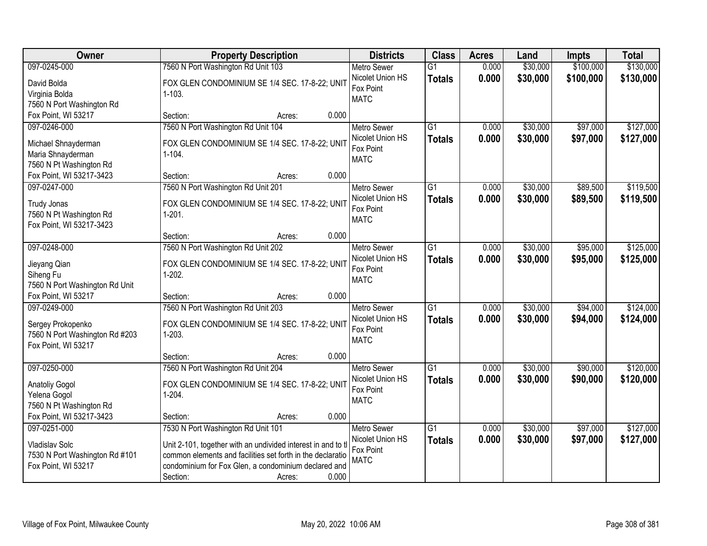| Owner                                                 | <b>Property Description</b>                                  | <b>Districts</b>                       | <b>Class</b>    | <b>Acres</b> | Land     | <b>Impts</b> | <b>Total</b> |
|-------------------------------------------------------|--------------------------------------------------------------|----------------------------------------|-----------------|--------------|----------|--------------|--------------|
| 097-0245-000                                          | 7560 N Port Washington Rd Unit 103                           | <b>Metro Sewer</b>                     | $\overline{G1}$ | 0.000        | \$30,000 | \$100,000    | \$130,000    |
| David Bolda                                           | FOX GLEN CONDOMINIUM SE 1/4 SEC. 17-8-22; UNIT               | Nicolet Union HS                       | <b>Totals</b>   | 0.000        | \$30,000 | \$100,000    | \$130,000    |
| Virginia Bolda                                        | $1 - 103.$                                                   | Fox Point                              |                 |              |          |              |              |
| 7560 N Port Washington Rd                             |                                                              | <b>MATC</b>                            |                 |              |          |              |              |
| Fox Point, WI 53217                                   | 0.000<br>Section:<br>Acres:                                  |                                        |                 |              |          |              |              |
| 097-0246-000                                          | 7560 N Port Washington Rd Unit 104                           | Metro Sewer                            | $\overline{G1}$ | 0.000        | \$30,000 | \$97,000     | \$127,000    |
| Michael Shnayderman                                   | FOX GLEN CONDOMINIUM SE 1/4 SEC. 17-8-22; UNIT               | Nicolet Union HS                       | <b>Totals</b>   | 0.000        | \$30,000 | \$97,000     | \$127,000    |
| Maria Shnayderman                                     | $1 - 104.$                                                   | Fox Point                              |                 |              |          |              |              |
| 7560 N Pt Washington Rd                               |                                                              | <b>MATC</b>                            |                 |              |          |              |              |
| Fox Point, WI 53217-3423                              | 0.000<br>Section:<br>Acres:                                  |                                        |                 |              |          |              |              |
| 097-0247-000                                          | 7560 N Port Washington Rd Unit 201                           | Metro Sewer                            | $\overline{G1}$ | 0.000        | \$30,000 | \$89,500     | \$119,500    |
|                                                       |                                                              | Nicolet Union HS                       | <b>Totals</b>   | 0.000        | \$30,000 | \$89,500     | \$119,500    |
| Trudy Jonas                                           | FOX GLEN CONDOMINIUM SE 1/4 SEC. 17-8-22; UNIT               | Fox Point                              |                 |              |          |              |              |
| 7560 N Pt Washington Rd<br>Fox Point, WI 53217-3423   | $1-201.$                                                     | <b>MATC</b>                            |                 |              |          |              |              |
|                                                       | 0.000<br>Section:<br>Acres:                                  |                                        |                 |              |          |              |              |
| 097-0248-000                                          | 7560 N Port Washington Rd Unit 202                           | <b>Metro Sewer</b>                     | G1              | 0.000        | \$30,000 | \$95,000     | \$125,000    |
|                                                       |                                                              | Nicolet Union HS                       | <b>Totals</b>   | 0.000        | \$30,000 | \$95,000     | \$125,000    |
| Jieyang Qian                                          | FOX GLEN CONDOMINIUM SE 1/4 SEC. 17-8-22; UNIT               | Fox Point                              |                 |              |          |              |              |
| Siheng Fu                                             | $1-202.$                                                     | <b>MATC</b>                            |                 |              |          |              |              |
| 7560 N Port Washington Rd Unit<br>Fox Point, WI 53217 | 0.000                                                        |                                        |                 |              |          |              |              |
| 097-0249-000                                          | Section:<br>Acres:<br>7560 N Port Washington Rd Unit 203     |                                        | $\overline{G1}$ | 0.000        | \$30,000 | \$94,000     | \$124,000    |
|                                                       |                                                              | <b>Metro Sewer</b><br>Nicolet Union HS |                 |              |          |              |              |
| Sergey Prokopenko                                     | FOX GLEN CONDOMINIUM SE 1/4 SEC. 17-8-22; UNIT               | Fox Point                              | <b>Totals</b>   | 0.000        | \$30,000 | \$94,000     | \$124,000    |
| 7560 N Port Washington Rd #203                        | $1-203.$                                                     | <b>MATC</b>                            |                 |              |          |              |              |
| Fox Point, WI 53217                                   |                                                              |                                        |                 |              |          |              |              |
|                                                       | 0.000<br>Section:<br>Acres:                                  |                                        |                 |              |          |              |              |
| 097-0250-000                                          | 7560 N Port Washington Rd Unit 204                           | <b>Metro Sewer</b>                     | G1              | 0.000        | \$30,000 | \$90,000     | \$120,000    |
| Anatoliy Gogol                                        | FOX GLEN CONDOMINIUM SE 1/4 SEC. 17-8-22; UNIT               | Nicolet Union HS                       | <b>Totals</b>   | 0.000        | \$30,000 | \$90,000     | \$120,000    |
| Yelena Gogol                                          | $1-204.$                                                     | Fox Point<br><b>MATC</b>               |                 |              |          |              |              |
| 7560 N Pt Washington Rd                               |                                                              |                                        |                 |              |          |              |              |
| Fox Point, WI 53217-3423                              | 0.000<br>Section:<br>Acres:                                  |                                        |                 |              |          |              |              |
| 097-0251-000                                          | 7530 N Port Washington Rd Unit 101                           | <b>Metro Sewer</b>                     | $\overline{G1}$ | 0.000        | \$30,000 | \$97,000     | \$127,000    |
| Vladislav Solc                                        | Unit 2-101, together with an undivided interest in and to tl | Nicolet Union HS                       | <b>Totals</b>   | 0.000        | \$30,000 | \$97,000     | \$127,000    |
| 7530 N Port Washington Rd #101                        | common elements and facilities set forth in the declaratio   | Fox Point                              |                 |              |          |              |              |
| Fox Point, WI 53217                                   | condominium for Fox Glen, a condominium declared and         | <b>MATC</b>                            |                 |              |          |              |              |
|                                                       | 0.000<br>Section:<br>Acres:                                  |                                        |                 |              |          |              |              |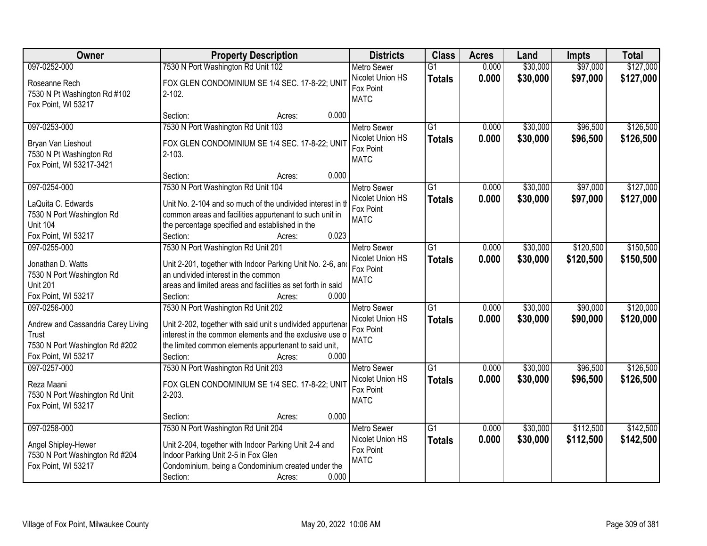| Owner                                                                                                                | <b>Property Description</b>                                                                                                                                                                                                                          | <b>Districts</b>                                                   | <b>Class</b>                     | <b>Acres</b>   | Land                 | <b>Impts</b>         | <b>Total</b>           |
|----------------------------------------------------------------------------------------------------------------------|------------------------------------------------------------------------------------------------------------------------------------------------------------------------------------------------------------------------------------------------------|--------------------------------------------------------------------|----------------------------------|----------------|----------------------|----------------------|------------------------|
| 097-0252-000                                                                                                         | 7530 N Port Washington Rd Unit 102                                                                                                                                                                                                                   | <b>Metro Sewer</b>                                                 | $\overline{G1}$                  | 0.000          | \$30,000             | \$97,000             | \$127,000              |
| Roseanne Rech<br>7530 N Pt Washington Rd #102<br>Fox Point, WI 53217                                                 | FOX GLEN CONDOMINIUM SE 1/4 SEC. 17-8-22; UNIT<br>$2 - 102$ .                                                                                                                                                                                        | Nicolet Union HS<br>Fox Point<br><b>MATC</b>                       | <b>Totals</b>                    | 0.000          | \$30,000             | \$97,000             | \$127,000              |
|                                                                                                                      | 0.000<br>Section:<br>Acres:                                                                                                                                                                                                                          |                                                                    |                                  |                |                      |                      |                        |
| 097-0253-000<br>Bryan Van Lieshout<br>7530 N Pt Washington Rd<br>Fox Point, WI 53217-3421                            | 7530 N Port Washington Rd Unit 103<br>FOX GLEN CONDOMINIUM SE 1/4 SEC. 17-8-22; UNIT<br>$2 - 103.$                                                                                                                                                   | Metro Sewer<br>Nicolet Union HS<br>Fox Point<br><b>MATC</b>        | $\overline{G1}$<br><b>Totals</b> | 0.000<br>0.000 | \$30,000<br>\$30,000 | \$96,500<br>\$96,500 | \$126,500<br>\$126,500 |
|                                                                                                                      | 0.000<br>Section:<br>Acres:                                                                                                                                                                                                                          |                                                                    |                                  |                |                      |                      |                        |
| 097-0254-000<br>LaQuita C. Edwards<br>7530 N Port Washington Rd<br><b>Unit 104</b><br>Fox Point, WI 53217            | 7530 N Port Washington Rd Unit 104<br>Unit No. 2-104 and so much of the undivided interest in th<br>common areas and facilities appurtenant to such unit in<br>the percentage specified and established in the<br>0.023<br>Section:<br>Acres:        | Metro Sewer<br>Nicolet Union HS<br>Fox Point<br><b>MATC</b>        | $\overline{G1}$<br><b>Totals</b> | 0.000<br>0.000 | \$30,000<br>\$30,000 | \$97,000<br>\$97,000 | \$127,000<br>\$127,000 |
| 097-0255-000                                                                                                         | 7530 N Port Washington Rd Unit 201                                                                                                                                                                                                                   | <b>Metro Sewer</b>                                                 | G1                               | 0.000          | \$30,000             | \$120,500            | \$150,500              |
| Jonathan D. Watts<br>7530 N Port Washington Rd<br><b>Unit 201</b><br>Fox Point, WI 53217                             | Unit 2-201, together with Indoor Parking Unit No. 2-6, and<br>an undivided interest in the common<br>areas and limited areas and facilities as set forth in said<br>0.000<br>Section:<br>Acres:                                                      | Nicolet Union HS<br>Fox Point<br><b>MATC</b>                       | <b>Totals</b>                    | 0.000          | \$30,000             | \$120,500            | \$150,500              |
| 097-0256-000<br>Andrew and Cassandria Carey Living<br>Trust<br>7530 N Port Washington Rd #202<br>Fox Point, WI 53217 | 7530 N Port Washington Rd Unit 202<br>Unit 2-202, together with said unit s undivided appurtenar<br>interest in the common elements and the exclusive use of<br>the limited common elements appurtenant to said unit,<br>0.000<br>Section:<br>Acres: | <b>Metro Sewer</b><br>Nicolet Union HS<br>Fox Point<br><b>MATC</b> | $\overline{G1}$<br><b>Totals</b> | 0.000<br>0.000 | \$30,000<br>\$30,000 | \$90,000<br>\$90,000 | \$120,000<br>\$120,000 |
| 097-0257-000<br>Reza Maani<br>7530 N Port Washington Rd Unit<br>Fox Point, WI 53217                                  | 7530 N Port Washington Rd Unit 203<br>FOX GLEN CONDOMINIUM SE 1/4 SEC. 17-8-22; UNIT<br>$2 - 203$ .<br>0.000<br>Section:<br>Acres:                                                                                                                   | <b>Metro Sewer</b><br>Nicolet Union HS<br>Fox Point<br><b>MATC</b> | $\overline{G1}$<br><b>Totals</b> | 0.000<br>0.000 | \$30,000<br>\$30,000 | \$96,500<br>\$96,500 | \$126,500<br>\$126,500 |
| 097-0258-000                                                                                                         | 7530 N Port Washington Rd Unit 204                                                                                                                                                                                                                   | <b>Metro Sewer</b>                                                 | $\overline{G1}$                  | 0.000          | \$30,000             | \$112,500            | \$142,500              |
| Angel Shipley-Hewer<br>7530 N Port Washington Rd #204<br>Fox Point, WI 53217                                         | Unit 2-204, together with Indoor Parking Unit 2-4 and<br>Indoor Parking Unit 2-5 in Fox Glen<br>Condominium, being a Condominium created under the<br>Section:<br>0.000<br>Acres:                                                                    | Nicolet Union HS<br>Fox Point<br><b>MATC</b>                       | <b>Totals</b>                    | 0.000          | \$30,000             | \$112,500            | \$142,500              |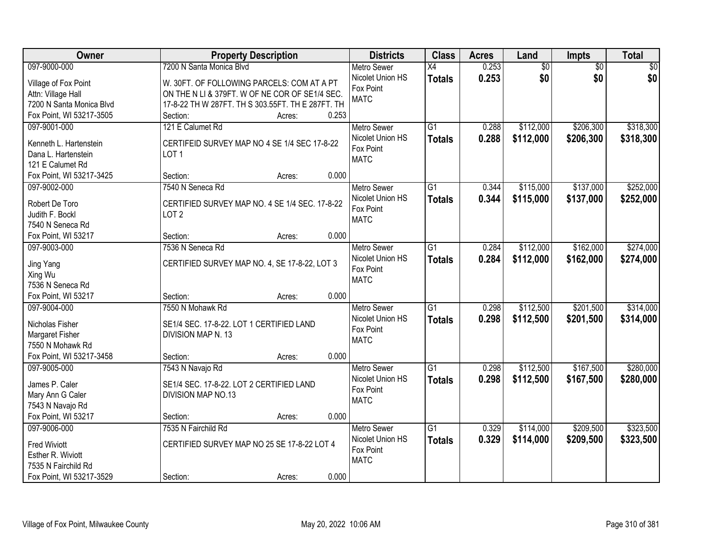| Owner                       | <b>Property Description</b>                       | <b>Districts</b>              | <b>Class</b>    | <b>Acres</b> | Land            | <b>Impts</b>    | <b>Total</b> |
|-----------------------------|---------------------------------------------------|-------------------------------|-----------------|--------------|-----------------|-----------------|--------------|
| 097-9000-000                | 7200 N Santa Monica Blvd                          | <b>Metro Sewer</b>            | $\overline{X4}$ | 0.253        | $\overline{50}$ | $\overline{50}$ | \$0          |
| Village of Fox Point        | W. 30FT. OF FOLLOWING PARCELS: COM AT A PT        | Nicolet Union HS              | <b>Totals</b>   | 0.253        | \$0             | \$0             | \$0          |
| Attn: Village Hall          | ON THE N LI & 379FT. W OF NE COR OF SE1/4 SEC.    | Fox Point                     |                 |              |                 |                 |              |
| 7200 N Santa Monica Blvd    | 17-8-22 TH W 287FT. TH S 303.55FT. TH E 287FT. TH | <b>MATC</b>                   |                 |              |                 |                 |              |
| Fox Point, WI 53217-3505    | 0.253<br>Section:<br>Acres:                       |                               |                 |              |                 |                 |              |
| 097-9001-000                | 121 E Calumet Rd                                  | <b>Metro Sewer</b>            | $\overline{G1}$ | 0.288        | \$112,000       | \$206,300       | \$318,300    |
|                             |                                                   | Nicolet Union HS              | <b>Totals</b>   | 0.288        | \$112,000       | \$206,300       | \$318,300    |
| Kenneth L. Hartenstein      | CERTIFEID SURVEY MAP NO 4 SE 1/4 SEC 17-8-22      | Fox Point                     |                 |              |                 |                 |              |
| Dana L. Hartenstein         | LOT <sub>1</sub>                                  | <b>MATC</b>                   |                 |              |                 |                 |              |
| 121 E Calumet Rd            |                                                   |                               |                 |              |                 |                 |              |
| Fox Point, WI 53217-3425    | 0.000<br>Section:<br>Acres:                       |                               |                 |              |                 |                 |              |
| 097-9002-000                | 7540 N Seneca Rd                                  | Metro Sewer                   | G1              | 0.344        | \$115,000       | \$137,000       | \$252,000    |
| Robert De Toro              | CERTIFIED SURVEY MAP NO. 4 SE 1/4 SEC. 17-8-22    | Nicolet Union HS              | <b>Totals</b>   | 0.344        | \$115,000       | \$137,000       | \$252,000    |
| Judith F. Bockl             | LOT <sub>2</sub>                                  | Fox Point                     |                 |              |                 |                 |              |
| 7540 N Seneca Rd            |                                                   | <b>MATC</b>                   |                 |              |                 |                 |              |
| Fox Point, WI 53217         | 0.000<br>Section:<br>Acres:                       |                               |                 |              |                 |                 |              |
| 097-9003-000                | 7536 N Seneca Rd                                  | <b>Metro Sewer</b>            | G1              | 0.284        | \$112,000       | \$162,000       | \$274,000    |
|                             |                                                   | Nicolet Union HS              | <b>Totals</b>   | 0.284        | \$112,000       | \$162,000       | \$274,000    |
| Jing Yang                   | CERTIFIED SURVEY MAP NO. 4, SE 17-8-22, LOT 3     | Fox Point                     |                 |              |                 |                 |              |
| Xing Wu<br>7536 N Seneca Rd |                                                   | <b>MATC</b>                   |                 |              |                 |                 |              |
| Fox Point, WI 53217         | 0.000                                             |                               |                 |              |                 |                 |              |
| 097-9004-000                | Section:<br>Acres:<br>7550 N Mohawk Rd            |                               | $\overline{G1}$ | 0.298        |                 | \$201,500       | \$314,000    |
|                             |                                                   | <b>Metro Sewer</b>            |                 |              | \$112,500       |                 |              |
| Nicholas Fisher             | SE1/4 SEC. 17-8-22. LOT 1 CERTIFIED LAND          | Nicolet Union HS<br>Fox Point | <b>Totals</b>   | 0.298        | \$112,500       | \$201,500       | \$314,000    |
| <b>Margaret Fisher</b>      | DIVISION MAP N. 13                                | <b>MATC</b>                   |                 |              |                 |                 |              |
| 7550 N Mohawk Rd            |                                                   |                               |                 |              |                 |                 |              |
| Fox Point, WI 53217-3458    | 0.000<br>Section:<br>Acres:                       |                               |                 |              |                 |                 |              |
| 097-9005-000                | 7543 N Navajo Rd                                  | Metro Sewer                   | $\overline{G1}$ | 0.298        | \$112,500       | \$167,500       | \$280,000    |
| James P. Caler              | SE1/4 SEC. 17-8-22. LOT 2 CERTIFIED LAND          | Nicolet Union HS              | <b>Totals</b>   | 0.298        | \$112,500       | \$167,500       | \$280,000    |
| Mary Ann G Caler            | DIVISION MAP NO.13                                | Fox Point                     |                 |              |                 |                 |              |
| 7543 N Navajo Rd            |                                                   | <b>MATC</b>                   |                 |              |                 |                 |              |
| Fox Point, WI 53217         | 0.000<br>Section:<br>Acres:                       |                               |                 |              |                 |                 |              |
| 097-9006-000                | 7535 N Fairchild Rd                               | <b>Metro Sewer</b>            | $\overline{G1}$ | 0.329        | \$114,000       | \$209,500       | \$323,500    |
|                             |                                                   | Nicolet Union HS              | <b>Totals</b>   | 0.329        | \$114,000       | \$209,500       | \$323,500    |
| <b>Fred Wiviott</b>         | CERTIFIED SURVEY MAP NO 25 SE 17-8-22 LOT 4       | Fox Point                     |                 |              |                 |                 |              |
| Esther R. Wiviott           |                                                   | <b>MATC</b>                   |                 |              |                 |                 |              |
| 7535 N Fairchild Rd         |                                                   |                               |                 |              |                 |                 |              |
| Fox Point, WI 53217-3529    | 0.000<br>Section:<br>Acres:                       |                               |                 |              |                 |                 |              |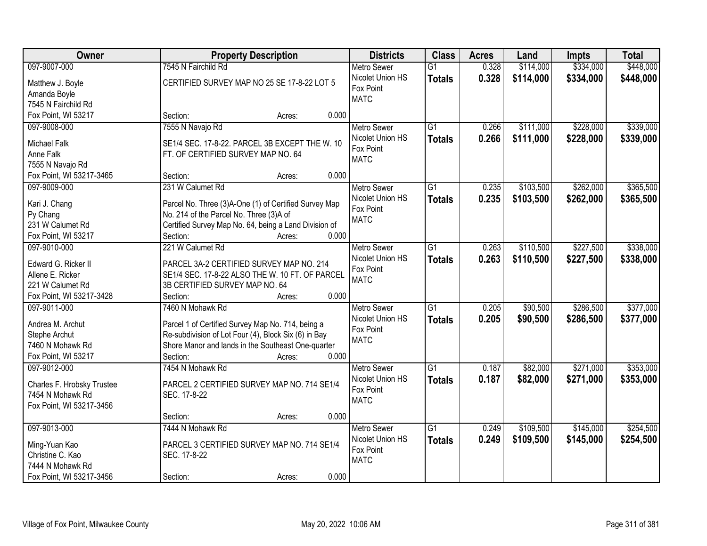| Owner                             | <b>Property Description</b>                                                                                | <b>Districts</b>   | <b>Class</b>    | <b>Acres</b> | Land      | <b>Impts</b> | <b>Total</b> |
|-----------------------------------|------------------------------------------------------------------------------------------------------------|--------------------|-----------------|--------------|-----------|--------------|--------------|
| 097-9007-000                      | 7545 N Fairchild Rd                                                                                        | <b>Metro Sewer</b> | $\overline{G1}$ | 0.328        | \$114,000 | \$334,000    | \$448,000    |
| Matthew J. Boyle                  | CERTIFIED SURVEY MAP NO 25 SE 17-8-22 LOT 5                                                                | Nicolet Union HS   | <b>Totals</b>   | 0.328        | \$114,000 | \$334,000    | \$448,000    |
| Amanda Boyle                      |                                                                                                            | Fox Point          |                 |              |           |              |              |
| 7545 N Fairchild Rd               |                                                                                                            | <b>MATC</b>        |                 |              |           |              |              |
| Fox Point, WI 53217               | 0.000<br>Section:<br>Acres:                                                                                |                    |                 |              |           |              |              |
| 097-9008-000                      | 7555 N Navajo Rd                                                                                           | <b>Metro Sewer</b> | $\overline{G1}$ | 0.266        | \$111,000 | \$228,000    | \$339,000    |
|                                   |                                                                                                            | Nicolet Union HS   | <b>Totals</b>   | 0.266        | \$111,000 | \$228,000    | \$339,000    |
| <b>Michael Falk</b>               | SE1/4 SEC. 17-8-22. PARCEL 3B EXCEPT THE W. 10                                                             | Fox Point          |                 |              |           |              |              |
| Anne Falk                         | FT. OF CERTIFIED SURVEY MAP NO. 64                                                                         | <b>MATC</b>        |                 |              |           |              |              |
| 7555 N Navajo Rd                  |                                                                                                            |                    |                 |              |           |              |              |
| Fox Point, WI 53217-3465          | 0.000<br>Section:<br>Acres:                                                                                |                    |                 |              |           |              |              |
| 097-9009-000                      | 231 W Calumet Rd                                                                                           | <b>Metro Sewer</b> | $\overline{G1}$ | 0.235        | \$103,500 | \$262,000    | \$365,500    |
| Kari J. Chang                     | Parcel No. Three (3)A-One (1) of Certified Survey Map                                                      | Nicolet Union HS   | <b>Totals</b>   | 0.235        | \$103,500 | \$262,000    | \$365,500    |
| Py Chang                          | No. 214 of the Parcel No. Three (3)A of                                                                    | Fox Point          |                 |              |           |              |              |
| 231 W Calumet Rd                  | Certified Survey Map No. 64, being a Land Division of                                                      | <b>MATC</b>        |                 |              |           |              |              |
| Fox Point, WI 53217               | Section:<br>0.000<br>Acres:                                                                                |                    |                 |              |           |              |              |
| 097-9010-000                      | 221 W Calumet Rd                                                                                           | <b>Metro Sewer</b> | G1              | 0.263        | \$110,500 | \$227,500    | \$338,000    |
|                                   |                                                                                                            | Nicolet Union HS   |                 | 0.263        | \$110,500 |              |              |
| Edward G. Ricker II               | PARCEL 3A-2 CERTIFIED SURVEY MAP NO. 214                                                                   | Fox Point          | <b>Totals</b>   |              |           | \$227,500    | \$338,000    |
| Allene E. Ricker                  | SE1/4 SEC. 17-8-22 ALSO THE W. 10 FT. OF PARCEL                                                            | <b>MATC</b>        |                 |              |           |              |              |
| 221 W Calumet Rd                  | 3B CERTIFIED SURVEY MAP NO. 64                                                                             |                    |                 |              |           |              |              |
| Fox Point, WI 53217-3428          | 0.000<br>Section:<br>Acres:                                                                                |                    |                 |              |           |              |              |
| 097-9011-000                      | 7460 N Mohawk Rd                                                                                           | <b>Metro Sewer</b> | $\overline{G1}$ | 0.205        | \$90,500  | \$286,500    | \$377,000    |
|                                   |                                                                                                            | Nicolet Union HS   | <b>Totals</b>   | 0.205        | \$90,500  | \$286,500    | \$377,000    |
| Andrea M. Archut                  | Parcel 1 of Certified Survey Map No. 714, being a                                                          | Fox Point          |                 |              |           |              |              |
| Stephe Archut<br>7460 N Mohawk Rd | Re-subdivision of Lot Four (4), Block Six (6) in Bay<br>Shore Manor and lands in the Southeast One-quarter | <b>MATC</b>        |                 |              |           |              |              |
|                                   | 0.000                                                                                                      |                    |                 |              |           |              |              |
| Fox Point, WI 53217               | Section:<br>Acres:                                                                                         |                    |                 |              |           |              |              |
| 097-9012-000                      | 7454 N Mohawk Rd                                                                                           | <b>Metro Sewer</b> | G1              | 0.187        | \$82,000  | \$271,000    | \$353,000    |
| Charles F. Hrobsky Trustee        | PARCEL 2 CERTIFIED SURVEY MAP NO. 714 SE1/4                                                                | Nicolet Union HS   | <b>Totals</b>   | 0.187        | \$82,000  | \$271,000    | \$353,000    |
| 7454 N Mohawk Rd                  | SEC. 17-8-22                                                                                               | Fox Point          |                 |              |           |              |              |
| Fox Point, WI 53217-3456          |                                                                                                            | <b>MATC</b>        |                 |              |           |              |              |
|                                   | 0.000<br>Section:<br>Acres:                                                                                |                    |                 |              |           |              |              |
| 097-9013-000                      | 7444 N Mohawk Rd                                                                                           | <b>Metro Sewer</b> | $\overline{G1}$ | 0.249        | \$109,500 | \$145,000    | \$254,500    |
|                                   |                                                                                                            | Nicolet Union HS   | <b>Totals</b>   | 0.249        | \$109,500 | \$145,000    | \$254,500    |
| Ming-Yuan Kao                     | PARCEL 3 CERTIFIED SURVEY MAP NO. 714 SE1/4                                                                | Fox Point          |                 |              |           |              |              |
| Christine C. Kao                  | SEC. 17-8-22                                                                                               | <b>MATC</b>        |                 |              |           |              |              |
| 7444 N Mohawk Rd                  |                                                                                                            |                    |                 |              |           |              |              |
| Fox Point, WI 53217-3456          | 0.000<br>Section:<br>Acres:                                                                                |                    |                 |              |           |              |              |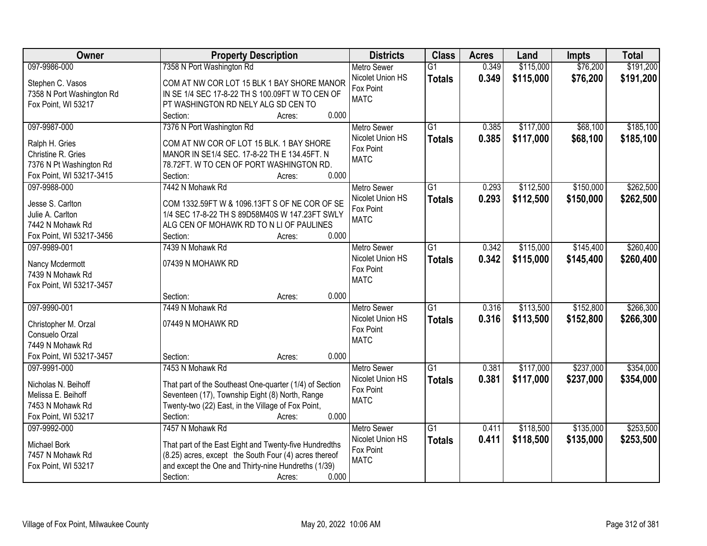| \$191,200<br>097-9986-000<br>7358 N Port Washington Rd<br>\$115,000<br>\$76,200<br>Metro Sewer<br>$\overline{G1}$<br>0.349<br>Nicolet Union HS<br>0.349<br>\$115,000<br>\$76,200<br>\$191,200<br><b>Totals</b><br>COM AT NW COR LOT 15 BLK 1 BAY SHORE MANOR<br>Stephen C. Vasos<br>Fox Point<br>7358 N Port Washington Rd<br>IN SE 1/4 SEC 17-8-22 TH S 100.09FT W TO CEN OF<br><b>MATC</b><br>Fox Point, WI 53217<br>PT WASHINGTON RD NELY ALG SD CEN TO<br>0.000<br>Section:<br>Acres:<br>\$68,100<br>097-9987-000<br>7376 N Port Washington Rd<br>$\overline{G1}$<br>0.385<br>\$117,000<br><b>Metro Sewer</b><br>Nicolet Union HS<br>0.385<br>\$117,000<br>\$68,100<br>\$185,100<br><b>Totals</b><br>Ralph H. Gries<br>COM AT NW COR OF LOT 15 BLK. 1 BAY SHORE<br>Fox Point<br>Christine R. Gries<br>MANOR IN SE1/4 SEC. 17-8-22 TH E 134.45FT. N<br><b>MATC</b><br>7376 N Pt Washington Rd<br>78.72FT. W TO CEN OF PORT WASHINGTON RD.<br>0.000<br>Fox Point, WI 53217-3415<br>Section:<br>Acres:<br>\$150,000<br>097-9988-000<br>7442 N Mohawk Rd<br>Metro Sewer<br>$\overline{G1}$<br>0.293<br>\$112,500<br>Nicolet Union HS<br>0.293<br>\$112,500<br>\$150,000<br>\$262,500<br><b>Totals</b><br>Jesse S. Carlton<br>COM 1332.59FT W & 1096.13FT S OF NE COR OF SE<br>Fox Point<br>1/4 SEC 17-8-22 TH S 89D58M40S W 147.23FT SWLY<br>Julie A. Carlton<br><b>MATC</b><br>ALG CEN OF MOHAWK RD TO N LI OF PAULINES<br>7442 N Mohawk Rd<br>Fox Point, WI 53217-3456<br>0.000<br>Section:<br>Acres:<br>097-9989-001<br>7439 N Mohawk Rd<br>$\overline{G1}$<br>\$115,000<br>\$145,400<br><b>Metro Sewer</b><br>0.342<br>Nicolet Union HS<br>0.342<br>\$115,000<br>\$145,400<br><b>Totals</b><br>07439 N MOHAWK RD<br>Nancy Mcdermott<br>Fox Point<br>7439 N Mohawk Rd<br><b>MATC</b><br>Fox Point, WI 53217-3457<br>0.000<br>Section:<br>Acres:<br>$\overline{G1}$<br>\$152,800<br>097-9990-001<br>7449 N Mohawk Rd<br>0.316<br>\$113,500<br>Metro Sewer<br>0.316<br>\$113,500<br>Nicolet Union HS<br><b>Totals</b><br>\$152,800<br>\$266,300<br>07449 N MOHAWK RD<br>Christopher M. Orzal<br>Fox Point<br>Consuelo Orzal<br><b>MATC</b><br>7449 N Mohawk Rd<br>Fox Point, WI 53217-3457<br>0.000<br>Section:<br>Acres:<br>$\overline{G1}$<br>\$237,000<br>097-9991-000<br>7453 N Mohawk Rd<br>Metro Sewer<br>0.381<br>\$117,000<br>0.381<br>\$117,000<br>\$237,000<br>\$354,000<br>Nicolet Union HS<br><b>Totals</b><br>That part of the Southeast One-quarter (1/4) of Section<br>Nicholas N. Beihoff<br>Fox Point<br>Seventeen (17), Township Eight (8) North, Range<br>Melissa E. Beihoff<br><b>MATC</b><br>Twenty-two (22) East, in the Village of Fox Point,<br>7453 N Mohawk Rd<br>0.000<br>Fox Point, WI 53217<br>Section:<br>Acres:<br>7457 N Mohawk Rd<br>$\overline{G1}$<br>\$118,500<br>\$135,000<br>097-9992-000<br><b>Metro Sewer</b><br>0.411<br>Nicolet Union HS<br>0.411<br>\$118,500<br>\$135,000<br>\$253,500<br><b>Totals</b><br>That part of the East Eight and Twenty-five Hundredths<br>Michael Bork<br>Fox Point<br>(8.25) acres, except the South Four (4) acres thereof<br>7457 N Mohawk Rd<br><b>MATC</b><br>and except the One and Thirty-nine Hundreths (1/39)<br>Fox Point, WI 53217 | Owner | <b>Property Description</b> | <b>Districts</b> | <b>Class</b> | <b>Acres</b> | Land | <b>Impts</b> | <b>Total</b> |
|-----------------------------------------------------------------------------------------------------------------------------------------------------------------------------------------------------------------------------------------------------------------------------------------------------------------------------------------------------------------------------------------------------------------------------------------------------------------------------------------------------------------------------------------------------------------------------------------------------------------------------------------------------------------------------------------------------------------------------------------------------------------------------------------------------------------------------------------------------------------------------------------------------------------------------------------------------------------------------------------------------------------------------------------------------------------------------------------------------------------------------------------------------------------------------------------------------------------------------------------------------------------------------------------------------------------------------------------------------------------------------------------------------------------------------------------------------------------------------------------------------------------------------------------------------------------------------------------------------------------------------------------------------------------------------------------------------------------------------------------------------------------------------------------------------------------------------------------------------------------------------------------------------------------------------------------------------------------------------------------------------------------------------------------------------------------------------------------------------------------------------------------------------------------------------------------------------------------------------------------------------------------------------------------------------------------------------------------------------------------------------------------------------------------------------------------------------------------------------------------------------------------------------------------------------------------------------------------------------------------------------------------------------------------------------------------------------------------------------------------------------------------------------------------------------------------------------------------------------------------------------------------------------------------------------------------------------------------------------------------------------------------------------------------------------------------------------------------------------------------------------------------------------------------------------------------------------------------------|-------|-----------------------------|------------------|--------------|--------------|------|--------------|--------------|
|                                                                                                                                                                                                                                                                                                                                                                                                                                                                                                                                                                                                                                                                                                                                                                                                                                                                                                                                                                                                                                                                                                                                                                                                                                                                                                                                                                                                                                                                                                                                                                                                                                                                                                                                                                                                                                                                                                                                                                                                                                                                                                                                                                                                                                                                                                                                                                                                                                                                                                                                                                                                                                                                                                                                                                                                                                                                                                                                                                                                                                                                                                                                                                                                                       |       |                             |                  |              |              |      |              |              |
| \$260,400                                                                                                                                                                                                                                                                                                                                                                                                                                                                                                                                                                                                                                                                                                                                                                                                                                                                                                                                                                                                                                                                                                                                                                                                                                                                                                                                                                                                                                                                                                                                                                                                                                                                                                                                                                                                                                                                                                                                                                                                                                                                                                                                                                                                                                                                                                                                                                                                                                                                                                                                                                                                                                                                                                                                                                                                                                                                                                                                                                                                                                                                                                                                                                                                             |       |                             |                  |              |              |      |              |              |
|                                                                                                                                                                                                                                                                                                                                                                                                                                                                                                                                                                                                                                                                                                                                                                                                                                                                                                                                                                                                                                                                                                                                                                                                                                                                                                                                                                                                                                                                                                                                                                                                                                                                                                                                                                                                                                                                                                                                                                                                                                                                                                                                                                                                                                                                                                                                                                                                                                                                                                                                                                                                                                                                                                                                                                                                                                                                                                                                                                                                                                                                                                                                                                                                                       |       |                             |                  |              |              |      |              |              |
|                                                                                                                                                                                                                                                                                                                                                                                                                                                                                                                                                                                                                                                                                                                                                                                                                                                                                                                                                                                                                                                                                                                                                                                                                                                                                                                                                                                                                                                                                                                                                                                                                                                                                                                                                                                                                                                                                                                                                                                                                                                                                                                                                                                                                                                                                                                                                                                                                                                                                                                                                                                                                                                                                                                                                                                                                                                                                                                                                                                                                                                                                                                                                                                                                       |       |                             |                  |              |              |      |              |              |
|                                                                                                                                                                                                                                                                                                                                                                                                                                                                                                                                                                                                                                                                                                                                                                                                                                                                                                                                                                                                                                                                                                                                                                                                                                                                                                                                                                                                                                                                                                                                                                                                                                                                                                                                                                                                                                                                                                                                                                                                                                                                                                                                                                                                                                                                                                                                                                                                                                                                                                                                                                                                                                                                                                                                                                                                                                                                                                                                                                                                                                                                                                                                                                                                                       |       |                             |                  |              |              |      |              |              |
| \$262,500<br>\$260,400                                                                                                                                                                                                                                                                                                                                                                                                                                                                                                                                                                                                                                                                                                                                                                                                                                                                                                                                                                                                                                                                                                                                                                                                                                                                                                                                                                                                                                                                                                                                                                                                                                                                                                                                                                                                                                                                                                                                                                                                                                                                                                                                                                                                                                                                                                                                                                                                                                                                                                                                                                                                                                                                                                                                                                                                                                                                                                                                                                                                                                                                                                                                                                                                |       |                             |                  |              |              |      |              | \$185,100    |
|                                                                                                                                                                                                                                                                                                                                                                                                                                                                                                                                                                                                                                                                                                                                                                                                                                                                                                                                                                                                                                                                                                                                                                                                                                                                                                                                                                                                                                                                                                                                                                                                                                                                                                                                                                                                                                                                                                                                                                                                                                                                                                                                                                                                                                                                                                                                                                                                                                                                                                                                                                                                                                                                                                                                                                                                                                                                                                                                                                                                                                                                                                                                                                                                                       |       |                             |                  |              |              |      |              |              |
|                                                                                                                                                                                                                                                                                                                                                                                                                                                                                                                                                                                                                                                                                                                                                                                                                                                                                                                                                                                                                                                                                                                                                                                                                                                                                                                                                                                                                                                                                                                                                                                                                                                                                                                                                                                                                                                                                                                                                                                                                                                                                                                                                                                                                                                                                                                                                                                                                                                                                                                                                                                                                                                                                                                                                                                                                                                                                                                                                                                                                                                                                                                                                                                                                       |       |                             |                  |              |              |      |              |              |
|                                                                                                                                                                                                                                                                                                                                                                                                                                                                                                                                                                                                                                                                                                                                                                                                                                                                                                                                                                                                                                                                                                                                                                                                                                                                                                                                                                                                                                                                                                                                                                                                                                                                                                                                                                                                                                                                                                                                                                                                                                                                                                                                                                                                                                                                                                                                                                                                                                                                                                                                                                                                                                                                                                                                                                                                                                                                                                                                                                                                                                                                                                                                                                                                                       |       |                             |                  |              |              |      |              |              |
|                                                                                                                                                                                                                                                                                                                                                                                                                                                                                                                                                                                                                                                                                                                                                                                                                                                                                                                                                                                                                                                                                                                                                                                                                                                                                                                                                                                                                                                                                                                                                                                                                                                                                                                                                                                                                                                                                                                                                                                                                                                                                                                                                                                                                                                                                                                                                                                                                                                                                                                                                                                                                                                                                                                                                                                                                                                                                                                                                                                                                                                                                                                                                                                                                       |       |                             |                  |              |              |      |              |              |
|                                                                                                                                                                                                                                                                                                                                                                                                                                                                                                                                                                                                                                                                                                                                                                                                                                                                                                                                                                                                                                                                                                                                                                                                                                                                                                                                                                                                                                                                                                                                                                                                                                                                                                                                                                                                                                                                                                                                                                                                                                                                                                                                                                                                                                                                                                                                                                                                                                                                                                                                                                                                                                                                                                                                                                                                                                                                                                                                                                                                                                                                                                                                                                                                                       |       |                             |                  |              |              |      |              |              |
|                                                                                                                                                                                                                                                                                                                                                                                                                                                                                                                                                                                                                                                                                                                                                                                                                                                                                                                                                                                                                                                                                                                                                                                                                                                                                                                                                                                                                                                                                                                                                                                                                                                                                                                                                                                                                                                                                                                                                                                                                                                                                                                                                                                                                                                                                                                                                                                                                                                                                                                                                                                                                                                                                                                                                                                                                                                                                                                                                                                                                                                                                                                                                                                                                       |       |                             |                  |              |              |      |              |              |
|                                                                                                                                                                                                                                                                                                                                                                                                                                                                                                                                                                                                                                                                                                                                                                                                                                                                                                                                                                                                                                                                                                                                                                                                                                                                                                                                                                                                                                                                                                                                                                                                                                                                                                                                                                                                                                                                                                                                                                                                                                                                                                                                                                                                                                                                                                                                                                                                                                                                                                                                                                                                                                                                                                                                                                                                                                                                                                                                                                                                                                                                                                                                                                                                                       |       |                             |                  |              |              |      |              |              |
|                                                                                                                                                                                                                                                                                                                                                                                                                                                                                                                                                                                                                                                                                                                                                                                                                                                                                                                                                                                                                                                                                                                                                                                                                                                                                                                                                                                                                                                                                                                                                                                                                                                                                                                                                                                                                                                                                                                                                                                                                                                                                                                                                                                                                                                                                                                                                                                                                                                                                                                                                                                                                                                                                                                                                                                                                                                                                                                                                                                                                                                                                                                                                                                                                       |       |                             |                  |              |              |      |              |              |
|                                                                                                                                                                                                                                                                                                                                                                                                                                                                                                                                                                                                                                                                                                                                                                                                                                                                                                                                                                                                                                                                                                                                                                                                                                                                                                                                                                                                                                                                                                                                                                                                                                                                                                                                                                                                                                                                                                                                                                                                                                                                                                                                                                                                                                                                                                                                                                                                                                                                                                                                                                                                                                                                                                                                                                                                                                                                                                                                                                                                                                                                                                                                                                                                                       |       |                             |                  |              |              |      |              |              |
|                                                                                                                                                                                                                                                                                                                                                                                                                                                                                                                                                                                                                                                                                                                                                                                                                                                                                                                                                                                                                                                                                                                                                                                                                                                                                                                                                                                                                                                                                                                                                                                                                                                                                                                                                                                                                                                                                                                                                                                                                                                                                                                                                                                                                                                                                                                                                                                                                                                                                                                                                                                                                                                                                                                                                                                                                                                                                                                                                                                                                                                                                                                                                                                                                       |       |                             |                  |              |              |      |              |              |
|                                                                                                                                                                                                                                                                                                                                                                                                                                                                                                                                                                                                                                                                                                                                                                                                                                                                                                                                                                                                                                                                                                                                                                                                                                                                                                                                                                                                                                                                                                                                                                                                                                                                                                                                                                                                                                                                                                                                                                                                                                                                                                                                                                                                                                                                                                                                                                                                                                                                                                                                                                                                                                                                                                                                                                                                                                                                                                                                                                                                                                                                                                                                                                                                                       |       |                             |                  |              |              |      |              |              |
|                                                                                                                                                                                                                                                                                                                                                                                                                                                                                                                                                                                                                                                                                                                                                                                                                                                                                                                                                                                                                                                                                                                                                                                                                                                                                                                                                                                                                                                                                                                                                                                                                                                                                                                                                                                                                                                                                                                                                                                                                                                                                                                                                                                                                                                                                                                                                                                                                                                                                                                                                                                                                                                                                                                                                                                                                                                                                                                                                                                                                                                                                                                                                                                                                       |       |                             |                  |              |              |      |              |              |
| \$266,300<br>\$354,000<br>\$253,500                                                                                                                                                                                                                                                                                                                                                                                                                                                                                                                                                                                                                                                                                                                                                                                                                                                                                                                                                                                                                                                                                                                                                                                                                                                                                                                                                                                                                                                                                                                                                                                                                                                                                                                                                                                                                                                                                                                                                                                                                                                                                                                                                                                                                                                                                                                                                                                                                                                                                                                                                                                                                                                                                                                                                                                                                                                                                                                                                                                                                                                                                                                                                                                   |       |                             |                  |              |              |      |              |              |
|                                                                                                                                                                                                                                                                                                                                                                                                                                                                                                                                                                                                                                                                                                                                                                                                                                                                                                                                                                                                                                                                                                                                                                                                                                                                                                                                                                                                                                                                                                                                                                                                                                                                                                                                                                                                                                                                                                                                                                                                                                                                                                                                                                                                                                                                                                                                                                                                                                                                                                                                                                                                                                                                                                                                                                                                                                                                                                                                                                                                                                                                                                                                                                                                                       |       |                             |                  |              |              |      |              |              |
|                                                                                                                                                                                                                                                                                                                                                                                                                                                                                                                                                                                                                                                                                                                                                                                                                                                                                                                                                                                                                                                                                                                                                                                                                                                                                                                                                                                                                                                                                                                                                                                                                                                                                                                                                                                                                                                                                                                                                                                                                                                                                                                                                                                                                                                                                                                                                                                                                                                                                                                                                                                                                                                                                                                                                                                                                                                                                                                                                                                                                                                                                                                                                                                                                       |       |                             |                  |              |              |      |              |              |
|                                                                                                                                                                                                                                                                                                                                                                                                                                                                                                                                                                                                                                                                                                                                                                                                                                                                                                                                                                                                                                                                                                                                                                                                                                                                                                                                                                                                                                                                                                                                                                                                                                                                                                                                                                                                                                                                                                                                                                                                                                                                                                                                                                                                                                                                                                                                                                                                                                                                                                                                                                                                                                                                                                                                                                                                                                                                                                                                                                                                                                                                                                                                                                                                                       |       |                             |                  |              |              |      |              |              |
|                                                                                                                                                                                                                                                                                                                                                                                                                                                                                                                                                                                                                                                                                                                                                                                                                                                                                                                                                                                                                                                                                                                                                                                                                                                                                                                                                                                                                                                                                                                                                                                                                                                                                                                                                                                                                                                                                                                                                                                                                                                                                                                                                                                                                                                                                                                                                                                                                                                                                                                                                                                                                                                                                                                                                                                                                                                                                                                                                                                                                                                                                                                                                                                                                       |       |                             |                  |              |              |      |              |              |
|                                                                                                                                                                                                                                                                                                                                                                                                                                                                                                                                                                                                                                                                                                                                                                                                                                                                                                                                                                                                                                                                                                                                                                                                                                                                                                                                                                                                                                                                                                                                                                                                                                                                                                                                                                                                                                                                                                                                                                                                                                                                                                                                                                                                                                                                                                                                                                                                                                                                                                                                                                                                                                                                                                                                                                                                                                                                                                                                                                                                                                                                                                                                                                                                                       |       |                             |                  |              |              |      |              |              |
|                                                                                                                                                                                                                                                                                                                                                                                                                                                                                                                                                                                                                                                                                                                                                                                                                                                                                                                                                                                                                                                                                                                                                                                                                                                                                                                                                                                                                                                                                                                                                                                                                                                                                                                                                                                                                                                                                                                                                                                                                                                                                                                                                                                                                                                                                                                                                                                                                                                                                                                                                                                                                                                                                                                                                                                                                                                                                                                                                                                                                                                                                                                                                                                                                       |       |                             |                  |              |              |      |              |              |
|                                                                                                                                                                                                                                                                                                                                                                                                                                                                                                                                                                                                                                                                                                                                                                                                                                                                                                                                                                                                                                                                                                                                                                                                                                                                                                                                                                                                                                                                                                                                                                                                                                                                                                                                                                                                                                                                                                                                                                                                                                                                                                                                                                                                                                                                                                                                                                                                                                                                                                                                                                                                                                                                                                                                                                                                                                                                                                                                                                                                                                                                                                                                                                                                                       |       |                             |                  |              |              |      |              |              |
|                                                                                                                                                                                                                                                                                                                                                                                                                                                                                                                                                                                                                                                                                                                                                                                                                                                                                                                                                                                                                                                                                                                                                                                                                                                                                                                                                                                                                                                                                                                                                                                                                                                                                                                                                                                                                                                                                                                                                                                                                                                                                                                                                                                                                                                                                                                                                                                                                                                                                                                                                                                                                                                                                                                                                                                                                                                                                                                                                                                                                                                                                                                                                                                                                       |       |                             |                  |              |              |      |              |              |
|                                                                                                                                                                                                                                                                                                                                                                                                                                                                                                                                                                                                                                                                                                                                                                                                                                                                                                                                                                                                                                                                                                                                                                                                                                                                                                                                                                                                                                                                                                                                                                                                                                                                                                                                                                                                                                                                                                                                                                                                                                                                                                                                                                                                                                                                                                                                                                                                                                                                                                                                                                                                                                                                                                                                                                                                                                                                                                                                                                                                                                                                                                                                                                                                                       |       |                             |                  |              |              |      |              |              |
|                                                                                                                                                                                                                                                                                                                                                                                                                                                                                                                                                                                                                                                                                                                                                                                                                                                                                                                                                                                                                                                                                                                                                                                                                                                                                                                                                                                                                                                                                                                                                                                                                                                                                                                                                                                                                                                                                                                                                                                                                                                                                                                                                                                                                                                                                                                                                                                                                                                                                                                                                                                                                                                                                                                                                                                                                                                                                                                                                                                                                                                                                                                                                                                                                       |       |                             |                  |              |              |      |              |              |
|                                                                                                                                                                                                                                                                                                                                                                                                                                                                                                                                                                                                                                                                                                                                                                                                                                                                                                                                                                                                                                                                                                                                                                                                                                                                                                                                                                                                                                                                                                                                                                                                                                                                                                                                                                                                                                                                                                                                                                                                                                                                                                                                                                                                                                                                                                                                                                                                                                                                                                                                                                                                                                                                                                                                                                                                                                                                                                                                                                                                                                                                                                                                                                                                                       |       |                             |                  |              |              |      |              |              |
|                                                                                                                                                                                                                                                                                                                                                                                                                                                                                                                                                                                                                                                                                                                                                                                                                                                                                                                                                                                                                                                                                                                                                                                                                                                                                                                                                                                                                                                                                                                                                                                                                                                                                                                                                                                                                                                                                                                                                                                                                                                                                                                                                                                                                                                                                                                                                                                                                                                                                                                                                                                                                                                                                                                                                                                                                                                                                                                                                                                                                                                                                                                                                                                                                       |       |                             |                  |              |              |      |              |              |
|                                                                                                                                                                                                                                                                                                                                                                                                                                                                                                                                                                                                                                                                                                                                                                                                                                                                                                                                                                                                                                                                                                                                                                                                                                                                                                                                                                                                                                                                                                                                                                                                                                                                                                                                                                                                                                                                                                                                                                                                                                                                                                                                                                                                                                                                                                                                                                                                                                                                                                                                                                                                                                                                                                                                                                                                                                                                                                                                                                                                                                                                                                                                                                                                                       |       |                             |                  |              |              |      |              |              |
|                                                                                                                                                                                                                                                                                                                                                                                                                                                                                                                                                                                                                                                                                                                                                                                                                                                                                                                                                                                                                                                                                                                                                                                                                                                                                                                                                                                                                                                                                                                                                                                                                                                                                                                                                                                                                                                                                                                                                                                                                                                                                                                                                                                                                                                                                                                                                                                                                                                                                                                                                                                                                                                                                                                                                                                                                                                                                                                                                                                                                                                                                                                                                                                                                       |       |                             |                  |              |              |      |              |              |
|                                                                                                                                                                                                                                                                                                                                                                                                                                                                                                                                                                                                                                                                                                                                                                                                                                                                                                                                                                                                                                                                                                                                                                                                                                                                                                                                                                                                                                                                                                                                                                                                                                                                                                                                                                                                                                                                                                                                                                                                                                                                                                                                                                                                                                                                                                                                                                                                                                                                                                                                                                                                                                                                                                                                                                                                                                                                                                                                                                                                                                                                                                                                                                                                                       |       |                             |                  |              |              |      |              |              |
|                                                                                                                                                                                                                                                                                                                                                                                                                                                                                                                                                                                                                                                                                                                                                                                                                                                                                                                                                                                                                                                                                                                                                                                                                                                                                                                                                                                                                                                                                                                                                                                                                                                                                                                                                                                                                                                                                                                                                                                                                                                                                                                                                                                                                                                                                                                                                                                                                                                                                                                                                                                                                                                                                                                                                                                                                                                                                                                                                                                                                                                                                                                                                                                                                       |       |                             |                  |              |              |      |              |              |
|                                                                                                                                                                                                                                                                                                                                                                                                                                                                                                                                                                                                                                                                                                                                                                                                                                                                                                                                                                                                                                                                                                                                                                                                                                                                                                                                                                                                                                                                                                                                                                                                                                                                                                                                                                                                                                                                                                                                                                                                                                                                                                                                                                                                                                                                                                                                                                                                                                                                                                                                                                                                                                                                                                                                                                                                                                                                                                                                                                                                                                                                                                                                                                                                                       |       |                             |                  |              |              |      |              |              |
|                                                                                                                                                                                                                                                                                                                                                                                                                                                                                                                                                                                                                                                                                                                                                                                                                                                                                                                                                                                                                                                                                                                                                                                                                                                                                                                                                                                                                                                                                                                                                                                                                                                                                                                                                                                                                                                                                                                                                                                                                                                                                                                                                                                                                                                                                                                                                                                                                                                                                                                                                                                                                                                                                                                                                                                                                                                                                                                                                                                                                                                                                                                                                                                                                       |       | 0.000<br>Section:<br>Acres: |                  |              |              |      |              |              |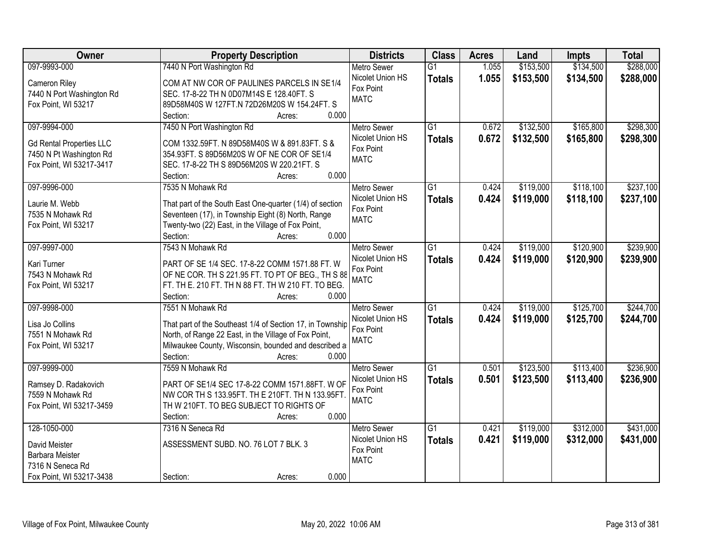| Owner                                                                                                  | <b>Property Description</b>                                                                                                                                                                                                   | <b>Districts</b>                                                   | <b>Class</b>                     | <b>Acres</b>   | Land                   | <b>Impts</b>           | <b>Total</b>           |
|--------------------------------------------------------------------------------------------------------|-------------------------------------------------------------------------------------------------------------------------------------------------------------------------------------------------------------------------------|--------------------------------------------------------------------|----------------------------------|----------------|------------------------|------------------------|------------------------|
| 097-9993-000                                                                                           | 7440 N Port Washington Rd                                                                                                                                                                                                     | <b>Metro Sewer</b>                                                 | $\overline{G1}$                  | 1.055          | \$153,500              | \$134,500              | \$288,000              |
| Cameron Riley<br>7440 N Port Washington Rd<br>Fox Point, WI 53217                                      | COM AT NW COR OF PAULINES PARCELS IN SE1/4<br>SEC. 17-8-22 TH N 0D07M14S E 128.40FT. S<br>89D58M40S W 127FT.N 72D26M20S W 154.24FT. S<br>0.000<br>Section:<br>Acres:                                                          | Nicolet Union HS<br>Fox Point<br><b>MATC</b>                       | <b>Totals</b>                    | 1.055          | \$153,500              | \$134,500              | \$288,000              |
| 097-9994-000<br><b>Gd Rental Properties LLC</b><br>7450 N Pt Washington Rd<br>Fox Point, WI 53217-3417 | 7450 N Port Washington Rd<br>COM 1332.59FT. N 89D58M40S W & 891.83FT. S &<br>354.93FT. S 89D56M20S W OF NE COR OF SE1/4<br>SEC. 17-8-22 TH S 89D56M20S W 220.21FT. S<br>0.000<br>Section:<br>Acres:                           | <b>Metro Sewer</b><br>Nicolet Union HS<br>Fox Point<br><b>MATC</b> | $\overline{G1}$<br><b>Totals</b> | 0.672<br>0.672 | \$132,500<br>\$132,500 | \$165,800<br>\$165,800 | \$298,300<br>\$298,300 |
| 097-9996-000<br>Laurie M. Webb<br>7535 N Mohawk Rd<br>Fox Point, WI 53217                              | 7535 N Mohawk Rd<br>That part of the South East One-quarter (1/4) of section<br>Seventeen (17), in Township Eight (8) North, Range<br>Twenty-two (22) East, in the Village of Fox Point,<br>0.000<br>Section:<br>Acres:       | <b>Metro Sewer</b><br>Nicolet Union HS<br>Fox Point<br><b>MATC</b> | G1<br><b>Totals</b>              | 0.424<br>0.424 | \$119,000<br>\$119,000 | \$118,100<br>\$118,100 | \$237,100<br>\$237,100 |
| 097-9997-000<br>Kari Turner<br>7543 N Mohawk Rd<br>Fox Point, WI 53217                                 | 7543 N Mohawk Rd<br>PART OF SE 1/4 SEC. 17-8-22 COMM 1571.88 FT. W<br>OF NE COR. TH S 221.95 FT. TO PT OF BEG., TH S 88<br>FT. TH E. 210 FT. TH N 88 FT. TH W 210 FT. TO BEG.<br>0.000<br>Section:<br>Acres:                  | <b>Metro Sewer</b><br>Nicolet Union HS<br>Fox Point<br><b>MATC</b> | $\overline{G1}$<br><b>Totals</b> | 0.424<br>0.424 | \$119,000<br>\$119,000 | \$120,900<br>\$120,900 | \$239,900<br>\$239,900 |
| 097-9998-000<br>Lisa Jo Collins<br>7551 N Mohawk Rd<br>Fox Point, WI 53217                             | 7551 N Mohawk Rd<br>That part of the Southeast 1/4 of Section 17, in Township<br>North, of Range 22 East, in the Village of Fox Point,<br>Milwaukee County, Wisconsin, bounded and described a<br>0.000<br>Section:<br>Acres: | <b>Metro Sewer</b><br>Nicolet Union HS<br>Fox Point<br><b>MATC</b> | $\overline{G1}$<br><b>Totals</b> | 0.424<br>0.424 | \$119,000<br>\$119,000 | \$125,700<br>\$125,700 | \$244,700<br>\$244,700 |
| 097-9999-000<br>Ramsey D. Radakovich<br>7559 N Mohawk Rd<br>Fox Point, WI 53217-3459                   | 7559 N Mohawk Rd<br>PART OF SE1/4 SEC 17-8-22 COMM 1571.88FT. W OF<br>NW COR TH S 133.95FT. TH E 210FT. TH N 133.95FT.<br>TH W 210FT. TO BEG SUBJECT TO RIGHTS OF<br>0.000<br>Section:<br>Acres:                              | <b>Metro Sewer</b><br>Nicolet Union HS<br>Fox Point<br><b>MATC</b> | $\overline{G1}$<br><b>Totals</b> | 0.501<br>0.501 | \$123,500<br>\$123,500 | \$113,400<br>\$113,400 | \$236,900<br>\$236,900 |
| 128-1050-000<br>David Meister<br>Barbara Meister<br>7316 N Seneca Rd<br>Fox Point, WI 53217-3438       | 7316 N Seneca Rd<br>ASSESSMENT SUBD. NO. 76 LOT 7 BLK. 3<br>0.000<br>Section:<br>Acres:                                                                                                                                       | Metro Sewer<br>Nicolet Union HS<br>Fox Point<br><b>MATC</b>        | $\overline{G1}$<br><b>Totals</b> | 0.421<br>0.421 | \$119,000<br>\$119,000 | \$312,000<br>\$312,000 | \$431,000<br>\$431,000 |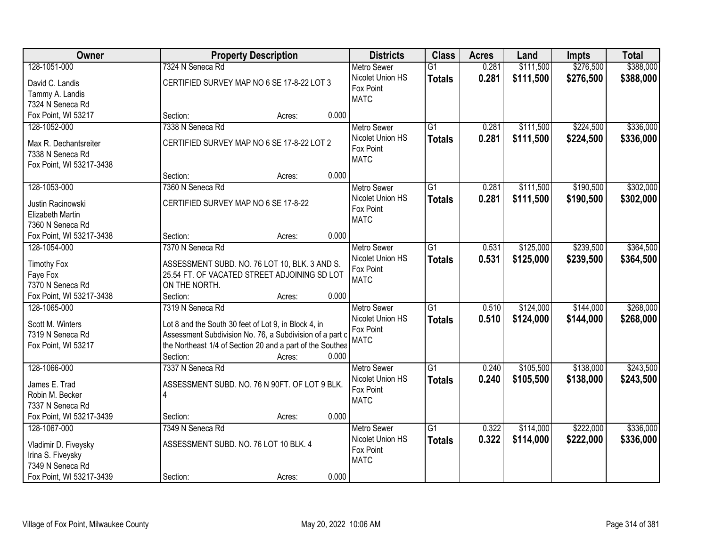| Owner<br><b>Property Description</b>                                                            | <b>Districts</b>                      | <b>Class</b>  | <b>Acres</b> | Land      | <b>Impts</b> | <b>Total</b> |
|-------------------------------------------------------------------------------------------------|---------------------------------------|---------------|--------------|-----------|--------------|--------------|
| 128-1051-000<br>7324 N Seneca Rd                                                                | $\overline{G1}$<br><b>Metro Sewer</b> |               | 0.281        | \$111,500 | \$276,500    | \$388,000    |
| CERTIFIED SURVEY MAP NO 6 SE 17-8-22 LOT 3<br>David C. Landis                                   | Nicolet Union HS                      | <b>Totals</b> | 0.281        | \$111,500 | \$276,500    | \$388,000    |
| Fox Point<br>Tammy A. Landis                                                                    |                                       |               |              |           |              |              |
| <b>MATC</b><br>7324 N Seneca Rd                                                                 |                                       |               |              |           |              |              |
| Fox Point, WI 53217<br>0.000<br>Section:<br>Acres:                                              |                                       |               |              |           |              |              |
| 7338 N Seneca Rd<br>128-1052-000                                                                | $\overline{G1}$<br><b>Metro Sewer</b> |               | 0.281        | \$111,500 | \$224,500    | \$336,000    |
| CERTIFIED SURVEY MAP NO 6 SE 17-8-22 LOT 2                                                      | Nicolet Union HS                      | <b>Totals</b> | 0.281        | \$111,500 | \$224,500    | \$336,000    |
| Max R. Dechantsreiter<br>Fox Point<br>7338 N Seneca Rd                                          |                                       |               |              |           |              |              |
| <b>MATC</b><br>Fox Point, WI 53217-3438                                                         |                                       |               |              |           |              |              |
| 0.000<br>Section:<br>Acres:                                                                     |                                       |               |              |           |              |              |
| 128-1053-000<br>7360 N Seneca Rd                                                                | $\overline{G1}$<br>Metro Sewer        |               | 0.281        | \$111,500 | \$190,500    | \$302,000    |
|                                                                                                 | Nicolet Union HS                      | <b>Totals</b> | 0.281        | \$111,500 | \$190,500    | \$302,000    |
| CERTIFIED SURVEY MAP NO 6 SE 17-8-22<br>Justin Racinowski<br>Fox Point                          |                                       |               |              |           |              |              |
| <b>Elizabeth Martin</b><br><b>MATC</b><br>7360 N Seneca Rd                                      |                                       |               |              |           |              |              |
| 0.000<br>Fox Point, WI 53217-3438<br>Section:<br>Acres:                                         |                                       |               |              |           |              |              |
| 128-1054-000<br>7370 N Seneca Rd                                                                | $\overline{G1}$<br><b>Metro Sewer</b> |               | 0.531        | \$125,000 | \$239,500    | \$364,500    |
|                                                                                                 | Nicolet Union HS                      |               |              |           |              |              |
| <b>Timothy Fox</b><br>ASSESSMENT SUBD. NO. 76 LOT 10, BLK. 3 AND S.<br>Fox Point                |                                       | <b>Totals</b> | 0.531        | \$125,000 | \$239,500    | \$364,500    |
| 25.54 FT. OF VACATED STREET ADJOINING SD LOT<br>Faye Fox<br><b>MATC</b>                         |                                       |               |              |           |              |              |
| 7370 N Seneca Rd<br>ON THE NORTH.                                                               |                                       |               |              |           |              |              |
| Fox Point, WI 53217-3438<br>Section:<br>0.000<br>Acres:                                         |                                       |               |              |           |              |              |
| 128-1065-000<br>7319 N Seneca Rd                                                                | $\overline{G1}$<br><b>Metro Sewer</b> |               | 0.510        | \$124,000 | \$144,000    | \$268,000    |
| Scott M. Winters<br>Lot 8 and the South 30 feet of Lot 9, in Block 4, in                        | Nicolet Union HS                      | <b>Totals</b> | 0.510        | \$124,000 | \$144,000    | \$268,000    |
| Fox Point<br>Assessment Subdivision No. 76, a Subdivision of a part c<br>7319 N Seneca Rd       |                                       |               |              |           |              |              |
| <b>MATC</b><br>Fox Point, WI 53217<br>the Northeast 1/4 of Section 20 and a part of the Southea |                                       |               |              |           |              |              |
| Section:<br>0.000<br>Acres:                                                                     |                                       |               |              |           |              |              |
| 128-1066-000<br>7337 N Seneca Rd                                                                | $\overline{G1}$<br><b>Metro Sewer</b> |               | 0.240        | \$105,500 | \$138,000    | \$243,500    |
| James E. Trad<br>ASSESSMENT SUBD. NO. 76 N 90FT. OF LOT 9 BLK.                                  | Nicolet Union HS                      | <b>Totals</b> | 0.240        | \$105,500 | \$138,000    | \$243,500    |
| Fox Point<br>$\overline{4}$<br>Robin M. Becker                                                  |                                       |               |              |           |              |              |
| <b>MATC</b><br>7337 N Seneca Rd                                                                 |                                       |               |              |           |              |              |
| Fox Point, WI 53217-3439<br>0.000<br>Section:<br>Acres:                                         |                                       |               |              |           |              |              |
| 128-1067-000<br>7349 N Seneca Rd                                                                | $\overline{G1}$<br><b>Metro Sewer</b> |               | 0.322        | \$114,000 | \$222,000    | \$336,000    |
| ASSESSMENT SUBD. NO. 76 LOT 10 BLK. 4                                                           | Nicolet Union HS                      | <b>Totals</b> | 0.322        | \$114,000 | \$222,000    | \$336,000    |
| Vladimir D. Fiveysky<br>Fox Point<br>Irina S. Fiveysky                                          |                                       |               |              |           |              |              |
| <b>MATC</b><br>7349 N Seneca Rd                                                                 |                                       |               |              |           |              |              |
| 0.000<br>Fox Point, WI 53217-3439<br>Section:<br>Acres:                                         |                                       |               |              |           |              |              |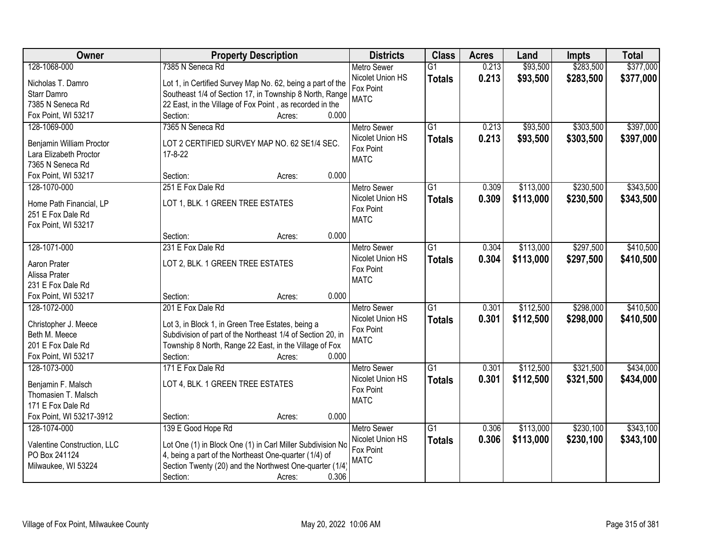| Owner                       | <b>Property Description</b>                                | <b>Districts</b>   | <b>Class</b>    | <b>Acres</b> | Land      | <b>Impts</b> | <b>Total</b> |
|-----------------------------|------------------------------------------------------------|--------------------|-----------------|--------------|-----------|--------------|--------------|
| 128-1068-000                | 7385 N Seneca Rd                                           | <b>Metro Sewer</b> | $\overline{G1}$ | 0.213        | \$93,500  | \$283,500    | \$377,000    |
| Nicholas T. Damro           | Lot 1, in Certified Survey Map No. 62, being a part of the | Nicolet Union HS   | <b>Totals</b>   | 0.213        | \$93,500  | \$283,500    | \$377,000    |
| Starr Damro                 | Southeast 1/4 of Section 17, in Township 8 North, Range    | Fox Point          |                 |              |           |              |              |
| 7385 N Seneca Rd            | 22 East, in the Village of Fox Point, as recorded in the   | <b>MATC</b>        |                 |              |           |              |              |
| Fox Point, WI 53217         | 0.000<br>Section:<br>Acres:                                |                    |                 |              |           |              |              |
| 128-1069-000                | 7365 N Seneca Rd                                           | <b>Metro Sewer</b> | $\overline{G1}$ | 0.213        | \$93,500  | \$303,500    | \$397,000    |
|                             |                                                            | Nicolet Union HS   | <b>Totals</b>   | 0.213        | \$93,500  | \$303,500    | \$397,000    |
| Benjamin William Proctor    | LOT 2 CERTIFIED SURVEY MAP NO. 62 SE1/4 SEC.               | Fox Point          |                 |              |           |              |              |
| Lara Elizabeth Proctor      | $17 - 8 - 22$                                              | <b>MATC</b>        |                 |              |           |              |              |
| 7365 N Seneca Rd            |                                                            |                    |                 |              |           |              |              |
| Fox Point, WI 53217         | 0.000<br>Section:<br>Acres:                                |                    |                 |              |           |              |              |
| 128-1070-000                | 251 E Fox Dale Rd                                          | <b>Metro Sewer</b> | G1              | 0.309        | \$113,000 | \$230,500    | \$343,500    |
| Home Path Financial, LP     | LOT 1, BLK. 1 GREEN TREE ESTATES                           | Nicolet Union HS   | <b>Totals</b>   | 0.309        | \$113,000 | \$230,500    | \$343,500    |
| 251 E Fox Dale Rd           |                                                            | Fox Point          |                 |              |           |              |              |
| Fox Point, WI 53217         |                                                            | <b>MATC</b>        |                 |              |           |              |              |
|                             | 0.000<br>Section:<br>Acres:                                |                    |                 |              |           |              |              |
| 128-1071-000                | 231 E Fox Dale Rd                                          | <b>Metro Sewer</b> | G1              | 0.304        | \$113,000 | \$297,500    | \$410,500    |
|                             |                                                            | Nicolet Union HS   | <b>Totals</b>   | 0.304        | \$113,000 | \$297,500    | \$410,500    |
| Aaron Prater                | LOT 2, BLK. 1 GREEN TREE ESTATES                           | Fox Point          |                 |              |           |              |              |
| Alissa Prater               |                                                            | <b>MATC</b>        |                 |              |           |              |              |
| 231 E Fox Dale Rd           |                                                            |                    |                 |              |           |              |              |
| Fox Point, WI 53217         | 0.000<br>Section:<br>Acres:                                |                    |                 |              |           |              |              |
| 128-1072-000                | 201 E Fox Dale Rd                                          | <b>Metro Sewer</b> | $\overline{G1}$ | 0.301        | \$112,500 | \$298,000    | \$410,500    |
| Christopher J. Meece        | Lot 3, in Block 1, in Green Tree Estates, being a          | Nicolet Union HS   | <b>Totals</b>   | 0.301        | \$112,500 | \$298,000    | \$410,500    |
| Beth M. Meece               | Subdivision of part of the Northeast 1/4 of Section 20, in | Fox Point          |                 |              |           |              |              |
| 201 E Fox Dale Rd           | Township 8 North, Range 22 East, in the Village of Fox     | <b>MATC</b>        |                 |              |           |              |              |
| Fox Point, WI 53217         | Section:<br>0.000<br>Acres:                                |                    |                 |              |           |              |              |
| 128-1073-000                | 171 E Fox Dale Rd                                          | <b>Metro Sewer</b> | G1              | 0.301        | \$112,500 | \$321,500    | \$434,000    |
|                             |                                                            | Nicolet Union HS   |                 | 0.301        |           |              |              |
| Benjamin F. Malsch          | LOT 4, BLK. 1 GREEN TREE ESTATES                           | Fox Point          | <b>Totals</b>   |              | \$112,500 | \$321,500    | \$434,000    |
| Thomasien T. Malsch         |                                                            | <b>MATC</b>        |                 |              |           |              |              |
| 171 E Fox Dale Rd           |                                                            |                    |                 |              |           |              |              |
| Fox Point, WI 53217-3912    | 0.000<br>Section:<br>Acres:                                |                    |                 |              |           |              |              |
| 128-1074-000                | 139 E Good Hope Rd                                         | <b>Metro Sewer</b> | $\overline{G1}$ | 0.306        | \$113,000 | \$230,100    | \$343,100    |
| Valentine Construction, LLC | Lot One (1) in Block One (1) in Carl Miller Subdivision No | Nicolet Union HS   | <b>Totals</b>   | 0.306        | \$113,000 | \$230,100    | \$343,100    |
| PO Box 241124               | 4, being a part of the Northeast One-quarter (1/4) of      | Fox Point          |                 |              |           |              |              |
| Milwaukee, WI 53224         | Section Twenty (20) and the Northwest One-quarter (1/4)    | <b>MATC</b>        |                 |              |           |              |              |
|                             | 0.306                                                      |                    |                 |              |           |              |              |
|                             | Section:<br>Acres:                                         |                    |                 |              |           |              |              |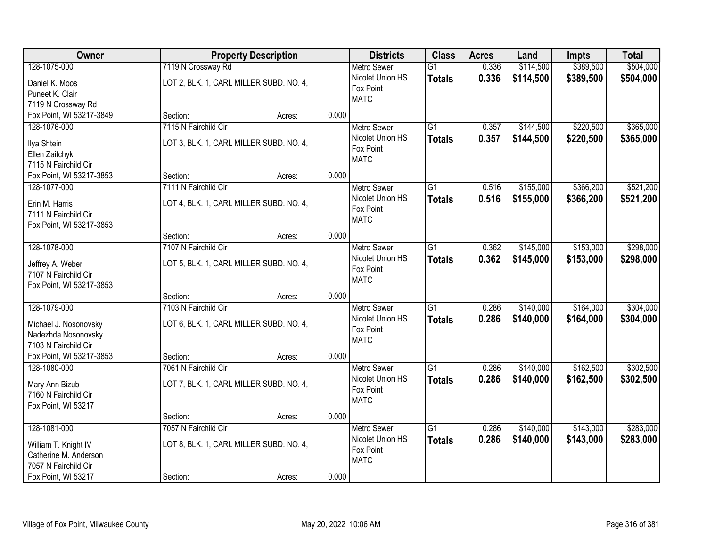| Owner                                  | <b>Property Description</b>             |                 | <b>Districts</b>              | <b>Class</b>    | <b>Acres</b> | Land      | <b>Impts</b> | <b>Total</b> |
|----------------------------------------|-----------------------------------------|-----------------|-------------------------------|-----------------|--------------|-----------|--------------|--------------|
| 128-1075-000                           | 7119 N Crossway Rd                      |                 | <b>Metro Sewer</b>            | $\overline{G1}$ | 0.336        | \$114,500 | \$389,500    | \$504,000    |
| Daniel K. Moos                         | LOT 2, BLK. 1, CARL MILLER SUBD. NO. 4, |                 | Nicolet Union HS              | <b>Totals</b>   | 0.336        | \$114,500 | \$389,500    | \$504,000    |
| Puneet K. Clair                        |                                         |                 | Fox Point                     |                 |              |           |              |              |
| 7119 N Crossway Rd                     |                                         |                 | <b>MATC</b>                   |                 |              |           |              |              |
| Fox Point, WI 53217-3849               | Section:                                | 0.000<br>Acres: |                               |                 |              |           |              |              |
| 128-1076-000                           | 7115 N Fairchild Cir                    |                 | <b>Metro Sewer</b>            | $\overline{G1}$ | 0.357        | \$144,500 | \$220,500    | \$365,000    |
| Ilya Shtein                            | LOT 3, BLK. 1, CARL MILLER SUBD. NO. 4, |                 | Nicolet Union HS              | <b>Totals</b>   | 0.357        | \$144,500 | \$220,500    | \$365,000    |
| Ellen Zaitchyk                         |                                         |                 | Fox Point                     |                 |              |           |              |              |
| 7115 N Fairchild Cir                   |                                         |                 | <b>MATC</b>                   |                 |              |           |              |              |
| Fox Point, WI 53217-3853               | Section:                                | 0.000<br>Acres: |                               |                 |              |           |              |              |
| 128-1077-000                           | 7111 N Fairchild Cir                    |                 | Metro Sewer                   | G1              | 0.516        | \$155,000 | \$366,200    | \$521,200    |
|                                        |                                         |                 | Nicolet Union HS              | <b>Totals</b>   | 0.516        | \$155,000 | \$366,200    | \$521,200    |
| Erin M. Harris<br>7111 N Fairchild Cir | LOT 4, BLK. 1, CARL MILLER SUBD. NO. 4, |                 | Fox Point                     |                 |              |           |              |              |
| Fox Point, WI 53217-3853               |                                         |                 | <b>MATC</b>                   |                 |              |           |              |              |
|                                        | Section:                                | 0.000<br>Acres: |                               |                 |              |           |              |              |
| 128-1078-000                           | 7107 N Fairchild Cir                    |                 | <b>Metro Sewer</b>            | G1              | 0.362        | \$145,000 | \$153,000    | \$298,000    |
|                                        |                                         |                 | Nicolet Union HS              | <b>Totals</b>   | 0.362        | \$145,000 | \$153,000    | \$298,000    |
| Jeffrey A. Weber                       | LOT 5, BLK. 1, CARL MILLER SUBD. NO. 4, |                 | Fox Point                     |                 |              |           |              |              |
| 7107 N Fairchild Cir                   |                                         |                 | <b>MATC</b>                   |                 |              |           |              |              |
| Fox Point, WI 53217-3853               |                                         |                 |                               |                 |              |           |              |              |
| 128-1079-000                           | Section:<br>7103 N Fairchild Cir        | 0.000<br>Acres: |                               | $\overline{G1}$ | 0.286        | \$140,000 | \$164,000    | \$304,000    |
|                                        |                                         |                 | <b>Metro Sewer</b>            |                 |              |           |              |              |
| Michael J. Nosonovsky                  | LOT 6, BLK. 1, CARL MILLER SUBD. NO. 4, |                 | Nicolet Union HS<br>Fox Point | <b>Totals</b>   | 0.286        | \$140,000 | \$164,000    | \$304,000    |
| Nadezhda Nosonovsky                    |                                         |                 | <b>MATC</b>                   |                 |              |           |              |              |
| 7103 N Fairchild Cir                   |                                         |                 |                               |                 |              |           |              |              |
| Fox Point, WI 53217-3853               | Section:                                | 0.000<br>Acres: |                               |                 |              |           |              |              |
| 128-1080-000                           | 7061 N Fairchild Cir                    |                 | <b>Metro Sewer</b>            | $\overline{G1}$ | 0.286        | \$140,000 | \$162,500    | \$302,500    |
| Mary Ann Bizub                         | LOT 7, BLK. 1, CARL MILLER SUBD. NO. 4, |                 | Nicolet Union HS              | <b>Totals</b>   | 0.286        | \$140,000 | \$162,500    | \$302,500    |
| 7160 N Fairchild Cir                   |                                         |                 | Fox Point                     |                 |              |           |              |              |
| Fox Point, WI 53217                    |                                         |                 | <b>MATC</b>                   |                 |              |           |              |              |
|                                        | Section:                                | 0.000<br>Acres: |                               |                 |              |           |              |              |
| 128-1081-000                           | 7057 N Fairchild Cir                    |                 | <b>Metro Sewer</b>            | $\overline{G1}$ | 0.286        | \$140,000 | \$143,000    | \$283,000    |
| William T. Knight IV                   | LOT 8, BLK. 1, CARL MILLER SUBD. NO. 4, |                 | Nicolet Union HS              | <b>Totals</b>   | 0.286        | \$140,000 | \$143,000    | \$283,000    |
| Catherine M. Anderson                  |                                         |                 | Fox Point                     |                 |              |           |              |              |
| 7057 N Fairchild Cir                   |                                         |                 | <b>MATC</b>                   |                 |              |           |              |              |
| Fox Point, WI 53217                    | Section:                                | 0.000<br>Acres: |                               |                 |              |           |              |              |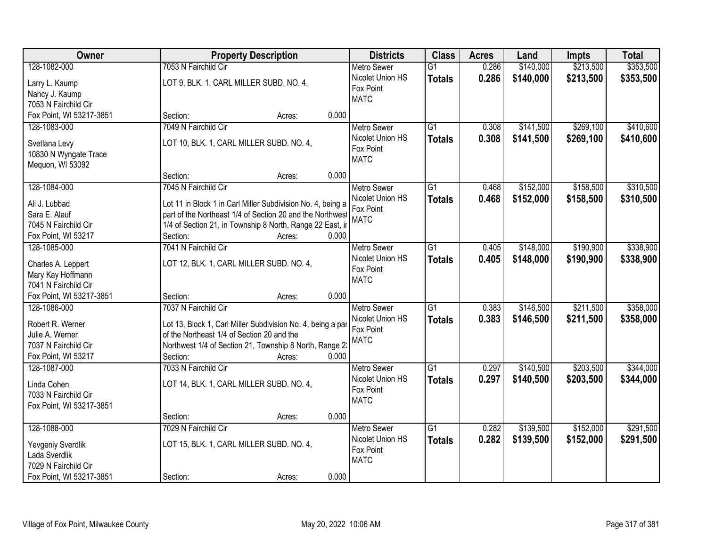| Owner                    | <b>Property Description</b>                                 | <b>Districts</b>                       | <b>Class</b>    | <b>Acres</b> | Land      | <b>Impts</b> | <b>Total</b> |
|--------------------------|-------------------------------------------------------------|----------------------------------------|-----------------|--------------|-----------|--------------|--------------|
| 128-1082-000             | 7053 N Fairchild Cir                                        | <b>Metro Sewer</b>                     | $\overline{G1}$ | 0.286        | \$140,000 | \$213,500    | \$353,500    |
| Larry L. Kaump           | LOT 9, BLK. 1, CARL MILLER SUBD. NO. 4,                     | Nicolet Union HS                       | <b>Totals</b>   | 0.286        | \$140,000 | \$213,500    | \$353,500    |
| Nancy J. Kaump           |                                                             | Fox Point                              |                 |              |           |              |              |
| 7053 N Fairchild Cir     |                                                             | <b>MATC</b>                            |                 |              |           |              |              |
| Fox Point, WI 53217-3851 | 0.000<br>Section:<br>Acres:                                 |                                        |                 |              |           |              |              |
| 128-1083-000             | 7049 N Fairchild Cir                                        | <b>Metro Sewer</b>                     | $\overline{G1}$ | 0.308        | \$141,500 | \$269,100    | \$410,600    |
|                          |                                                             | Nicolet Union HS                       | <b>Totals</b>   | 0.308        | \$141,500 | \$269,100    | \$410,600    |
| Svetlana Levy            | LOT 10, BLK. 1, CARL MILLER SUBD. NO. 4,                    | Fox Point                              |                 |              |           |              |              |
| 10830 N Wyngate Trace    |                                                             | <b>MATC</b>                            |                 |              |           |              |              |
| Mequon, WI 53092         | 0.000<br>Section:                                           |                                        |                 |              |           |              |              |
| 128-1084-000             | Acres:<br>7045 N Fairchild Cir                              |                                        | G1              | 0.468        | \$152,000 | \$158,500    | \$310,500    |
|                          |                                                             | <b>Metro Sewer</b><br>Nicolet Union HS |                 |              |           |              |              |
| Ali J. Lubbad            | Lot 11 in Block 1 in Carl Miller Subdivision No. 4, being a | Fox Point                              | <b>Totals</b>   | 0.468        | \$152,000 | \$158,500    | \$310,500    |
| Sara E. Alauf            | part of the Northeast 1/4 of Section 20 and the Northwest   | <b>MATC</b>                            |                 |              |           |              |              |
| 7045 N Fairchild Cir     | 1/4 of Section 21, in Township 8 North, Range 22 East, ir   |                                        |                 |              |           |              |              |
| Fox Point, WI 53217      | Section:<br>0.000<br>Acres:                                 |                                        |                 |              |           |              |              |
| 128-1085-000             | 7041 N Fairchild Cir                                        | <b>Metro Sewer</b>                     | G1              | 0.405        | \$148,000 | \$190,900    | \$338,900    |
| Charles A. Leppert       | LOT 12, BLK. 1, CARL MILLER SUBD. NO. 4,                    | Nicolet Union HS                       | <b>Totals</b>   | 0.405        | \$148,000 | \$190,900    | \$338,900    |
| Mary Kay Hoffmann        |                                                             | Fox Point                              |                 |              |           |              |              |
| 7041 N Fairchild Cir     |                                                             | <b>MATC</b>                            |                 |              |           |              |              |
| Fox Point, WI 53217-3851 | 0.000<br>Section:<br>Acres:                                 |                                        |                 |              |           |              |              |
| 128-1086-000             | 7037 N Fairchild Cir                                        | <b>Metro Sewer</b>                     | $\overline{G1}$ | 0.383        | \$146,500 | \$211,500    | \$358,000    |
|                          |                                                             | Nicolet Union HS                       | <b>Totals</b>   | 0.383        | \$146,500 | \$211,500    | \$358,000    |
| Robert R. Werner         | Lot 13, Block 1, Carl Miller Subdivision No. 4, being a par | Fox Point                              |                 |              |           |              |              |
| Julie A. Werner          | of the Northeast 1/4 of Section 20 and the                  | <b>MATC</b>                            |                 |              |           |              |              |
| 7037 N Fairchild Cir     | Northwest 1/4 of Section 21, Township 8 North, Range 2.     |                                        |                 |              |           |              |              |
| Fox Point, WI 53217      | 0.000<br>Section:<br>Acres:                                 |                                        |                 |              |           |              |              |
| 128-1087-000             | 7033 N Fairchild Cir                                        | <b>Metro Sewer</b>                     | $\overline{G1}$ | 0.297        | \$140,500 | \$203,500    | \$344,000    |
| Linda Cohen              | LOT 14, BLK. 1, CARL MILLER SUBD. NO. 4,                    | Nicolet Union HS                       | <b>Totals</b>   | 0.297        | \$140,500 | \$203,500    | \$344,000    |
| 7033 N Fairchild Cir     |                                                             | Fox Point                              |                 |              |           |              |              |
| Fox Point, WI 53217-3851 |                                                             | <b>MATC</b>                            |                 |              |           |              |              |
|                          | 0.000<br>Section:<br>Acres:                                 |                                        |                 |              |           |              |              |
| 128-1088-000             | 7029 N Fairchild Cir                                        | <b>Metro Sewer</b>                     | $\overline{G1}$ | 0.282        | \$139,500 | \$152,000    | \$291,500    |
|                          |                                                             | Nicolet Union HS                       | <b>Totals</b>   | 0.282        | \$139,500 | \$152,000    | \$291,500    |
| Yevgeniy Sverdlik        | LOT 15, BLK. 1, CARL MILLER SUBD. NO. 4,                    | Fox Point                              |                 |              |           |              |              |
| Lada Sverdlik            |                                                             | <b>MATC</b>                            |                 |              |           |              |              |
| 7029 N Fairchild Cir     |                                                             |                                        |                 |              |           |              |              |
| Fox Point, WI 53217-3851 | 0.000<br>Section:<br>Acres:                                 |                                        |                 |              |           |              |              |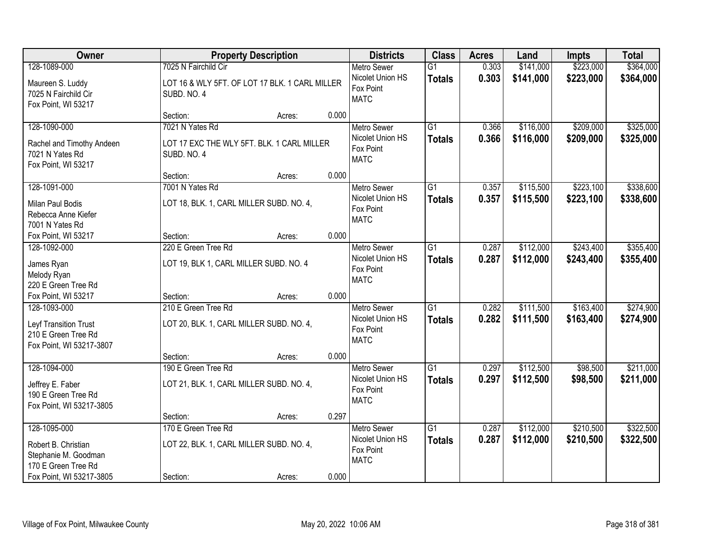| Owner                                                                                                          |                                                                             | <b>Property Description</b> |       | <b>Districts</b>                                                   | <b>Class</b>                     | <b>Acres</b>   | Land                   | <b>Impts</b>           | <b>Total</b>           |
|----------------------------------------------------------------------------------------------------------------|-----------------------------------------------------------------------------|-----------------------------|-------|--------------------------------------------------------------------|----------------------------------|----------------|------------------------|------------------------|------------------------|
| 128-1089-000                                                                                                   | 7025 N Fairchild Cir                                                        |                             |       | <b>Metro Sewer</b>                                                 | $\overline{G1}$                  | 0.303          | \$141,000              | \$223,000              | \$364,000              |
| Maureen S. Luddy<br>7025 N Fairchild Cir<br>Fox Point, WI 53217                                                | LOT 16 & WLY 5FT. OF LOT 17 BLK. 1 CARL MILLER<br>SUBD. NO. 4               |                             |       | Nicolet Union HS<br>Fox Point<br><b>MATC</b>                       | <b>Totals</b>                    | 0.303          | \$141,000              | \$223,000              | \$364,000              |
|                                                                                                                | Section:                                                                    | Acres:                      | 0.000 |                                                                    |                                  |                |                        |                        |                        |
| 128-1090-000                                                                                                   | 7021 N Yates Rd                                                             |                             |       | <b>Metro Sewer</b>                                                 | $\overline{G1}$                  | 0.366          | \$116,000              | \$209,000              | \$325,000              |
| Rachel and Timothy Andeen<br>7021 N Yates Rd<br>Fox Point, WI 53217                                            | LOT 17 EXC THE WLY 5FT. BLK. 1 CARL MILLER<br>SUBD. NO. 4                   |                             |       | Nicolet Union HS<br>Fox Point<br><b>MATC</b>                       | <b>Totals</b>                    | 0.366          | \$116,000              | \$209,000              | \$325,000              |
|                                                                                                                | Section:                                                                    | Acres:                      | 0.000 |                                                                    |                                  |                |                        |                        |                        |
| 128-1091-000                                                                                                   | 7001 N Yates Rd                                                             |                             |       | <b>Metro Sewer</b>                                                 | G1                               | 0.357          | \$115,500              | \$223,100              | \$338,600              |
| Milan Paul Bodis<br>Rebecca Anne Kiefer<br>7001 N Yates Rd                                                     | LOT 18, BLK. 1, CARL MILLER SUBD. NO. 4,                                    |                             |       | Nicolet Union HS<br>Fox Point<br><b>MATC</b>                       | <b>Totals</b>                    | 0.357          | \$115,500              | \$223,100              | \$338,600              |
| Fox Point, WI 53217                                                                                            | Section:                                                                    | Acres:                      | 0.000 |                                                                    |                                  |                |                        |                        |                        |
| 128-1092-000                                                                                                   | 220 E Green Tree Rd                                                         |                             |       | <b>Metro Sewer</b>                                                 | G1                               | 0.287          | \$112,000              | \$243,400              | \$355,400              |
| James Ryan<br>Melody Ryan<br>220 E Green Tree Rd                                                               | LOT 19, BLK 1, CARL MILLER SUBD. NO. 4                                      |                             |       | Nicolet Union HS<br>Fox Point<br><b>MATC</b>                       | <b>Totals</b>                    | 0.287          | \$112,000              | \$243,400              | \$355,400              |
| Fox Point, WI 53217                                                                                            | Section:                                                                    | Acres:                      | 0.000 |                                                                    |                                  |                |                        |                        |                        |
| 128-1093-000<br>Leyf Transition Trust<br>210 E Green Tree Rd<br>Fox Point, WI 53217-3807                       | 210 E Green Tree Rd<br>LOT 20, BLK. 1, CARL MILLER SUBD. NO. 4,             |                             |       | <b>Metro Sewer</b><br>Nicolet Union HS<br>Fox Point<br><b>MATC</b> | $\overline{G1}$<br><b>Totals</b> | 0.282<br>0.282 | \$111,500<br>\$111,500 | \$163,400<br>\$163,400 | \$274,900<br>\$274,900 |
|                                                                                                                | Section:                                                                    | Acres:                      | 0.000 |                                                                    |                                  |                |                        |                        |                        |
| 128-1094-000                                                                                                   | 190 E Green Tree Rd                                                         |                             |       | Metro Sewer                                                        | $\overline{G1}$                  | 0.297          | \$112,500              | \$98,500               | \$211,000              |
| Jeffrey E. Faber<br>190 E Green Tree Rd<br>Fox Point, WI 53217-3805                                            | LOT 21, BLK. 1, CARL MILLER SUBD. NO. 4,                                    |                             |       | Nicolet Union HS<br>Fox Point<br><b>MATC</b>                       | <b>Totals</b>                    | 0.297          | \$112,500              | \$98,500               | \$211,000              |
|                                                                                                                | Section:                                                                    | Acres:                      | 0.297 |                                                                    |                                  |                |                        |                        |                        |
| 128-1095-000<br>Robert B. Christian<br>Stephanie M. Goodman<br>170 E Green Tree Rd<br>Fox Point, WI 53217-3805 | 170 E Green Tree Rd<br>LOT 22, BLK. 1, CARL MILLER SUBD. NO. 4,<br>Section: | Acres:                      | 0.000 | <b>Metro Sewer</b><br>Nicolet Union HS<br>Fox Point<br><b>MATC</b> | $\overline{G1}$<br><b>Totals</b> | 0.287<br>0.287 | \$112,000<br>\$112,000 | \$210,500<br>\$210,500 | \$322,500<br>\$322,500 |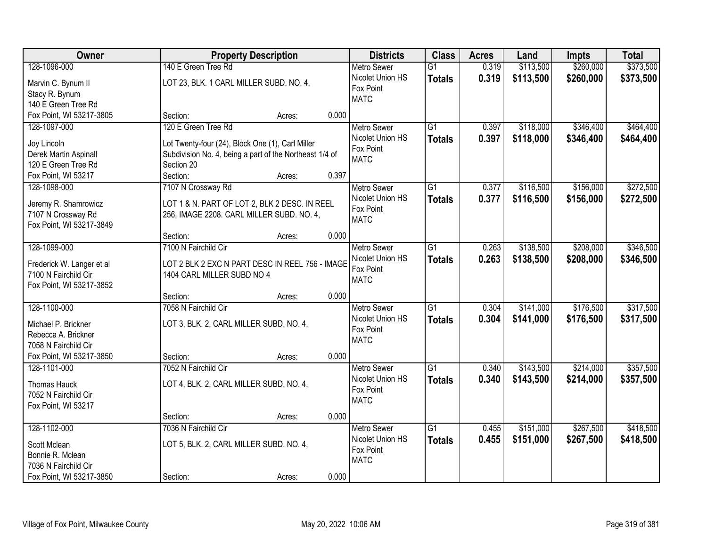| \$260,000<br>\$373,500<br>128-1096-000<br>140 E Green Tree Rd<br>\$113,500<br><b>Metro Sewer</b><br>$\overline{G1}$<br>0.319<br>0.319<br>Nicolet Union HS<br>\$113,500<br>\$260,000<br>\$373,500<br><b>Totals</b><br>LOT 23, BLK. 1 CARL MILLER SUBD. NO. 4,<br>Marvin C. Bynum II<br>Fox Point<br>Stacy R. Bynum<br><b>MATC</b><br>140 E Green Tree Rd |
|---------------------------------------------------------------------------------------------------------------------------------------------------------------------------------------------------------------------------------------------------------------------------------------------------------------------------------------------------------|
|                                                                                                                                                                                                                                                                                                                                                         |
|                                                                                                                                                                                                                                                                                                                                                         |
|                                                                                                                                                                                                                                                                                                                                                         |
|                                                                                                                                                                                                                                                                                                                                                         |
| Fox Point, WI 53217-3805<br>0.000<br>Section:<br>Acres:                                                                                                                                                                                                                                                                                                 |
| 120 E Green Tree Rd<br>$\overline{G1}$<br>\$118,000<br>\$346,400<br>\$464,400<br>128-1097-000<br>0.397<br><b>Metro Sewer</b>                                                                                                                                                                                                                            |
| Nicolet Union HS<br>0.397<br>\$118,000<br>\$346,400<br>\$464,400<br><b>Totals</b>                                                                                                                                                                                                                                                                       |
| Joy Lincoln<br>Lot Twenty-four (24), Block One (1), Carl Miller<br>Fox Point                                                                                                                                                                                                                                                                            |
| Subdivision No. 4, being a part of the Northeast 1/4 of<br>Derek Martin Aspinall<br><b>MATC</b>                                                                                                                                                                                                                                                         |
| 120 E Green Tree Rd<br>Section 20                                                                                                                                                                                                                                                                                                                       |
| 0.397<br>Section:<br>Fox Point, WI 53217<br>Acres:                                                                                                                                                                                                                                                                                                      |
| \$156,000<br>\$272,500<br>128-1098-000<br>7107 N Crossway Rd<br>Metro Sewer<br>G1<br>0.377<br>\$116,500                                                                                                                                                                                                                                                 |
| Nicolet Union HS<br>0.377<br>\$116,500<br>\$156,000<br>\$272,500<br><b>Totals</b><br>LOT 1 & N. PART OF LOT 2, BLK 2 DESC. IN REEL<br>Jeremy R. Shamrowicz                                                                                                                                                                                              |
| Fox Point<br>7107 N Crossway Rd<br>256, IMAGE 2208. CARL MILLER SUBD. NO. 4,                                                                                                                                                                                                                                                                            |
| <b>MATC</b><br>Fox Point, WI 53217-3849                                                                                                                                                                                                                                                                                                                 |
| 0.000<br>Section:<br>Acres:                                                                                                                                                                                                                                                                                                                             |
| 128-1099-000<br>7100 N Fairchild Cir<br>\$138,500<br>\$208,000<br>\$346,500<br><b>Metro Sewer</b><br>G1<br>0.263                                                                                                                                                                                                                                        |
| Nicolet Union HS<br>0.263<br>\$138,500<br>\$208,000<br>\$346,500<br><b>Totals</b>                                                                                                                                                                                                                                                                       |
| LOT 2 BLK 2 EXC N PART DESC IN REEL 756 - IMAGE<br>Frederick W. Langer et al<br>Fox Point                                                                                                                                                                                                                                                               |
| 7100 N Fairchild Cir<br>1404 CARL MILLER SUBD NO 4<br><b>MATC</b>                                                                                                                                                                                                                                                                                       |
| Fox Point, WI 53217-3852                                                                                                                                                                                                                                                                                                                                |
| 0.000<br>Section:<br>Acres:                                                                                                                                                                                                                                                                                                                             |
| 7058 N Fairchild Cir<br>\$317,500<br>128-1100-000<br>$\overline{G1}$<br>0.304<br>\$141,000<br>\$176,500<br><b>Metro Sewer</b>                                                                                                                                                                                                                           |
| Nicolet Union HS<br>0.304<br>\$141,000<br>\$176,500<br>\$317,500<br><b>Totals</b><br>LOT 3, BLK. 2, CARL MILLER SUBD. NO. 4,<br>Michael P. Brickner                                                                                                                                                                                                     |
| Fox Point<br>Rebecca A. Brickner                                                                                                                                                                                                                                                                                                                        |
| <b>MATC</b><br>7058 N Fairchild Cir                                                                                                                                                                                                                                                                                                                     |
| Fox Point, WI 53217-3850<br>0.000<br>Section:<br>Acres:                                                                                                                                                                                                                                                                                                 |
| $\overline{G1}$<br>\$143,500<br>\$214,000<br>\$357,500<br>128-1101-000<br>7052 N Fairchild Cir<br>0.340<br><b>Metro Sewer</b>                                                                                                                                                                                                                           |
| Nicolet Union HS<br>0.340<br>\$143,500<br>\$214,000<br>\$357,500<br><b>Totals</b>                                                                                                                                                                                                                                                                       |
| LOT 4, BLK. 2, CARL MILLER SUBD. NO. 4,<br>Thomas Hauck<br>Fox Point                                                                                                                                                                                                                                                                                    |
| 7052 N Fairchild Cir<br><b>MATC</b>                                                                                                                                                                                                                                                                                                                     |
| Fox Point, WI 53217                                                                                                                                                                                                                                                                                                                                     |
| 0.000<br>Section:<br>Acres:                                                                                                                                                                                                                                                                                                                             |
| 128-1102-000<br>7036 N Fairchild Cir<br>$\overline{G1}$<br>\$151,000<br>\$267,500<br>\$418,500<br>0.455<br><b>Metro Sewer</b>                                                                                                                                                                                                                           |
| Nicolet Union HS<br>0.455<br>\$151,000<br>\$267,500<br>\$418,500<br><b>Totals</b><br>LOT 5, BLK. 2, CARL MILLER SUBD. NO. 4,<br>Scott Mclean                                                                                                                                                                                                            |
| Fox Point<br>Bonnie R. Mclean                                                                                                                                                                                                                                                                                                                           |
| <b>MATC</b><br>7036 N Fairchild Cir                                                                                                                                                                                                                                                                                                                     |
| 0.000<br>Fox Point, WI 53217-3850<br>Section:<br>Acres:                                                                                                                                                                                                                                                                                                 |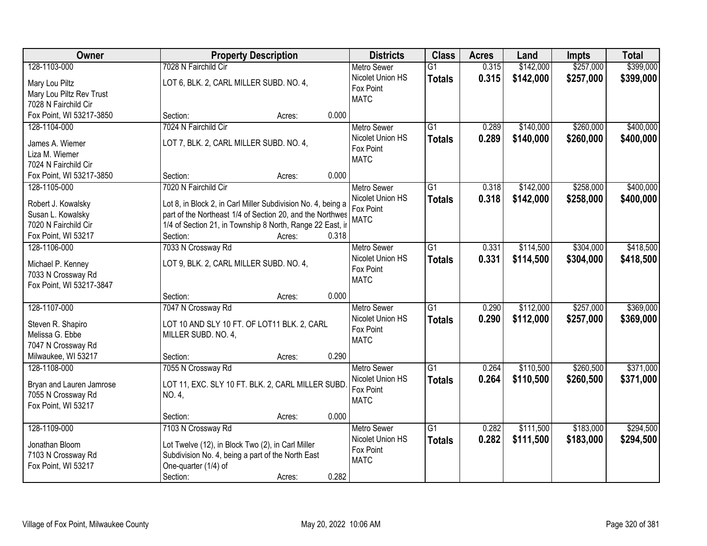| Owner                    | <b>Property Description</b>                                  | <b>Districts</b>              | <b>Class</b>    | <b>Acres</b> | Land      | <b>Impts</b> | <b>Total</b> |
|--------------------------|--------------------------------------------------------------|-------------------------------|-----------------|--------------|-----------|--------------|--------------|
| 128-1103-000             | 7028 N Fairchild Cir                                         | <b>Metro Sewer</b>            | $\overline{G1}$ | 0.315        | \$142,000 | \$257,000    | \$399,000    |
| Mary Lou Piltz           | LOT 6, BLK. 2, CARL MILLER SUBD. NO. 4,                      | Nicolet Union HS              | <b>Totals</b>   | 0.315        | \$142,000 | \$257,000    | \$399,000    |
| Mary Lou Piltz Rev Trust |                                                              | Fox Point                     |                 |              |           |              |              |
| 7028 N Fairchild Cir     |                                                              | <b>MATC</b>                   |                 |              |           |              |              |
| Fox Point, WI 53217-3850 | 0.000<br>Section:<br>Acres:                                  |                               |                 |              |           |              |              |
| 128-1104-000             | 7024 N Fairchild Cir                                         | <b>Metro Sewer</b>            | $\overline{G1}$ | 0.289        | \$140,000 | \$260,000    | \$400,000    |
|                          |                                                              | Nicolet Union HS              | <b>Totals</b>   | 0.289        | \$140,000 | \$260,000    | \$400,000    |
| James A. Wiemer          | LOT 7, BLK. 2, CARL MILLER SUBD. NO. 4,                      | Fox Point                     |                 |              |           |              |              |
| Liza M. Wiemer           |                                                              | <b>MATC</b>                   |                 |              |           |              |              |
| 7024 N Fairchild Cir     |                                                              |                               |                 |              |           |              |              |
| Fox Point, WI 53217-3850 | 0.000<br>Section:<br>Acres:                                  |                               |                 |              |           |              |              |
| 128-1105-000             | 7020 N Fairchild Cir                                         | <b>Metro Sewer</b>            | G1              | 0.318        | \$142,000 | \$258,000    | \$400,000    |
| Robert J. Kowalsky       | Lot 8, in Block 2, in Carl Miller Subdivision No. 4, being a | Nicolet Union HS              | <b>Totals</b>   | 0.318        | \$142,000 | \$258,000    | \$400,000    |
| Susan L. Kowalsky        | part of the Northeast 1/4 of Section 20, and the Northwes    | Fox Point                     |                 |              |           |              |              |
| 7020 N Fairchild Cir     | 1/4 of Section 21, in Township 8 North, Range 22 East, ir    | <b>MATC</b>                   |                 |              |           |              |              |
| Fox Point, WI 53217      | Section:<br>0.318<br>Acres:                                  |                               |                 |              |           |              |              |
| 128-1106-000             | 7033 N Crossway Rd                                           | <b>Metro Sewer</b>            | G1              | 0.331        | \$114,500 | \$304,000    | \$418,500    |
|                          |                                                              | Nicolet Union HS              | <b>Totals</b>   | 0.331        | \$114,500 | \$304,000    | \$418,500    |
| Michael P. Kenney        | LOT 9, BLK. 2, CARL MILLER SUBD. NO. 4,                      | Fox Point                     |                 |              |           |              |              |
| 7033 N Crossway Rd       |                                                              | <b>MATC</b>                   |                 |              |           |              |              |
| Fox Point, WI 53217-3847 |                                                              |                               |                 |              |           |              |              |
|                          | 0.000<br>Section:<br>Acres:                                  |                               |                 |              |           |              |              |
| 128-1107-000             | 7047 N Crossway Rd                                           | <b>Metro Sewer</b>            | $\overline{G1}$ | 0.290        | \$112,000 | \$257,000    | \$369,000    |
| Steven R. Shapiro        | LOT 10 AND SLY 10 FT. OF LOT11 BLK. 2, CARL                  | Nicolet Union HS              | <b>Totals</b>   | 0.290        | \$112,000 | \$257,000    | \$369,000    |
| Melissa G. Ebbe          | MILLER SUBD. NO. 4,                                          | Fox Point                     |                 |              |           |              |              |
| 7047 N Crossway Rd       |                                                              | <b>MATC</b>                   |                 |              |           |              |              |
| Milwaukee, WI 53217      | 0.290<br>Section:<br>Acres:                                  |                               |                 |              |           |              |              |
| 128-1108-000             | 7055 N Crossway Rd                                           | Metro Sewer                   | $\overline{G1}$ | 0.264        | \$110,500 | \$260,500    | \$371,000    |
|                          |                                                              | Nicolet Union HS              | <b>Totals</b>   | 0.264        | \$110,500 | \$260,500    | \$371,000    |
| Bryan and Lauren Jamrose | LOT 11, EXC. SLY 10 FT. BLK. 2, CARL MILLER SUBD             | Fox Point                     |                 |              |           |              |              |
| 7055 N Crossway Rd       | NO. 4,                                                       | <b>MATC</b>                   |                 |              |           |              |              |
| Fox Point, WI 53217      | 0.000                                                        |                               |                 |              |           |              |              |
|                          | Section:<br>Acres:                                           |                               | $\overline{G1}$ |              |           |              |              |
| 128-1109-000             | 7103 N Crossway Rd                                           | <b>Metro Sewer</b>            |                 | 0.282        | \$111,500 | \$183,000    | \$294,500    |
| Jonathan Bloom           | Lot Twelve (12), in Block Two (2), in Carl Miller            | Nicolet Union HS<br>Fox Point | <b>Totals</b>   | 0.282        | \$111,500 | \$183,000    | \$294,500    |
| 7103 N Crossway Rd       | Subdivision No. 4, being a part of the North East            |                               |                 |              |           |              |              |
| Fox Point, WI 53217      | One-quarter (1/4) of                                         | <b>MATC</b>                   |                 |              |           |              |              |
|                          | 0.282<br>Section:<br>Acres:                                  |                               |                 |              |           |              |              |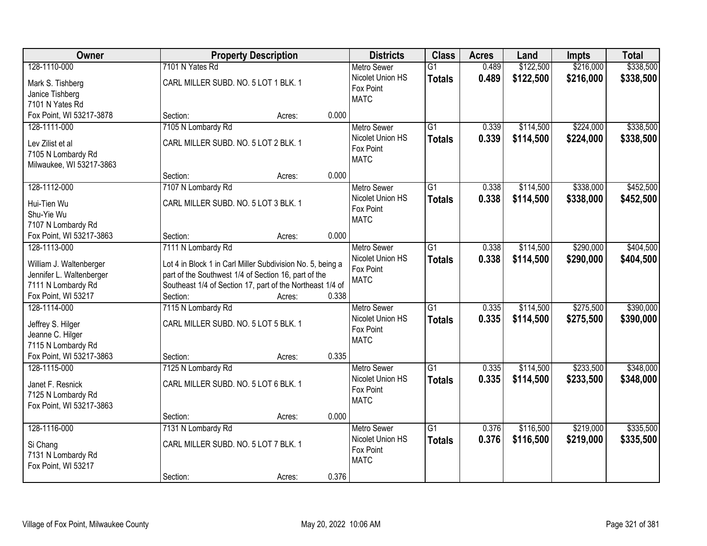| Owner                                               |                                                                                                                    | <b>Property Description</b> |       | <b>Districts</b>   | <b>Class</b>    | <b>Acres</b> | Land      | <b>Impts</b> | <b>Total</b> |
|-----------------------------------------------------|--------------------------------------------------------------------------------------------------------------------|-----------------------------|-------|--------------------|-----------------|--------------|-----------|--------------|--------------|
| 128-1110-000                                        | 7101 N Yates Rd                                                                                                    |                             |       | <b>Metro Sewer</b> | $\overline{G1}$ | 0.489        | \$122,500 | \$216,000    | \$338,500    |
| Mark S. Tishberg                                    | CARL MILLER SUBD. NO. 5 LOT 1 BLK. 1                                                                               |                             |       | Nicolet Union HS   | <b>Totals</b>   | 0.489        | \$122,500 | \$216,000    | \$338,500    |
| Janice Tishberg                                     |                                                                                                                    |                             |       | Fox Point          |                 |              |           |              |              |
| 7101 N Yates Rd                                     |                                                                                                                    |                             |       | <b>MATC</b>        |                 |              |           |              |              |
| Fox Point, WI 53217-3878                            | Section:                                                                                                           | Acres:                      | 0.000 |                    |                 |              |           |              |              |
| 128-1111-000                                        | 7105 N Lombardy Rd                                                                                                 |                             |       | <b>Metro Sewer</b> | $\overline{G1}$ | 0.339        | \$114,500 | \$224,000    | \$338,500    |
| Lev Zilist et al                                    | CARL MILLER SUBD. NO. 5 LOT 2 BLK. 1                                                                               |                             |       | Nicolet Union HS   | <b>Totals</b>   | 0.339        | \$114,500 | \$224,000    | \$338,500    |
| 7105 N Lombardy Rd                                  |                                                                                                                    |                             |       | Fox Point          |                 |              |           |              |              |
| Milwaukee, WI 53217-3863                            |                                                                                                                    |                             |       | <b>MATC</b>        |                 |              |           |              |              |
|                                                     | Section:                                                                                                           | Acres:                      | 0.000 |                    |                 |              |           |              |              |
| 128-1112-000                                        | 7107 N Lombardy Rd                                                                                                 |                             |       | Metro Sewer        | $\overline{G1}$ | 0.338        | \$114,500 | \$338,000    | \$452,500    |
| Hui-Tien Wu                                         | CARL MILLER SUBD. NO. 5 LOT 3 BLK. 1                                                                               |                             |       | Nicolet Union HS   | <b>Totals</b>   | 0.338        | \$114,500 | \$338,000    | \$452,500    |
| Shu-Yie Wu                                          |                                                                                                                    |                             |       | Fox Point          |                 |              |           |              |              |
| 7107 N Lombardy Rd                                  |                                                                                                                    |                             |       | <b>MATC</b>        |                 |              |           |              |              |
| Fox Point, WI 53217-3863                            | Section:                                                                                                           | Acres:                      | 0.000 |                    |                 |              |           |              |              |
| 128-1113-000                                        | 7111 N Lombardy Rd                                                                                                 |                             |       | <b>Metro Sewer</b> | $\overline{G1}$ | 0.338        | \$114,500 | \$290,000    | \$404,500    |
|                                                     |                                                                                                                    |                             |       | Nicolet Union HS   | <b>Totals</b>   | 0.338        | \$114,500 | \$290,000    | \$404,500    |
| William J. Waltenberger<br>Jennifer L. Waltenberger | Lot 4 in Block 1 in Carl Miller Subdivision No. 5, being a<br>part of the Southwest 1/4 of Section 16, part of the |                             |       | Fox Point          |                 |              |           |              |              |
| 7111 N Lombardy Rd                                  | Southeast 1/4 of Section 17, part of the Northeast 1/4 of                                                          |                             |       | <b>MATC</b>        |                 |              |           |              |              |
| Fox Point, WI 53217                                 | Section:                                                                                                           | Acres:                      | 0.338 |                    |                 |              |           |              |              |
| 128-1114-000                                        | 7115 N Lombardy Rd                                                                                                 |                             |       | Metro Sewer        | $\overline{G1}$ | 0.335        | \$114,500 | \$275,500    | \$390,000    |
|                                                     |                                                                                                                    |                             |       | Nicolet Union HS   | <b>Totals</b>   | 0.335        | \$114,500 | \$275,500    | \$390,000    |
| Jeffrey S. Hilger                                   | CARL MILLER SUBD. NO. 5 LOT 5 BLK. 1                                                                               |                             |       | Fox Point          |                 |              |           |              |              |
| Jeanne C. Hilger<br>7115 N Lombardy Rd              |                                                                                                                    |                             |       | <b>MATC</b>        |                 |              |           |              |              |
| Fox Point, WI 53217-3863                            | Section:                                                                                                           | Acres:                      | 0.335 |                    |                 |              |           |              |              |
| 128-1115-000                                        | 7125 N Lombardy Rd                                                                                                 |                             |       | <b>Metro Sewer</b> | $\overline{G1}$ | 0.335        | \$114,500 | \$233,500    | \$348,000    |
|                                                     |                                                                                                                    |                             |       | Nicolet Union HS   | <b>Totals</b>   | 0.335        | \$114,500 | \$233,500    | \$348,000    |
| Janet F. Resnick                                    | CARL MILLER SUBD. NO. 5 LOT 6 BLK. 1                                                                               |                             |       | Fox Point          |                 |              |           |              |              |
| 7125 N Lombardy Rd                                  |                                                                                                                    |                             |       | <b>MATC</b>        |                 |              |           |              |              |
| Fox Point, WI 53217-3863                            | Section:                                                                                                           | Acres:                      | 0.000 |                    |                 |              |           |              |              |
| 128-1116-000                                        | 7131 N Lombardy Rd                                                                                                 |                             |       | <b>Metro Sewer</b> | $\overline{G1}$ | 0.376        | \$116,500 | \$219,000    | \$335,500    |
|                                                     |                                                                                                                    |                             |       | Nicolet Union HS   | <b>Totals</b>   | 0.376        | \$116,500 | \$219,000    | \$335,500    |
| Si Chang                                            | CARL MILLER SUBD. NO. 5 LOT 7 BLK. 1                                                                               |                             |       | Fox Point          |                 |              |           |              |              |
| 7131 N Lombardy Rd                                  |                                                                                                                    |                             |       | <b>MATC</b>        |                 |              |           |              |              |
| Fox Point, WI 53217                                 |                                                                                                                    |                             | 0.376 |                    |                 |              |           |              |              |
|                                                     | Section:                                                                                                           | Acres:                      |       |                    |                 |              |           |              |              |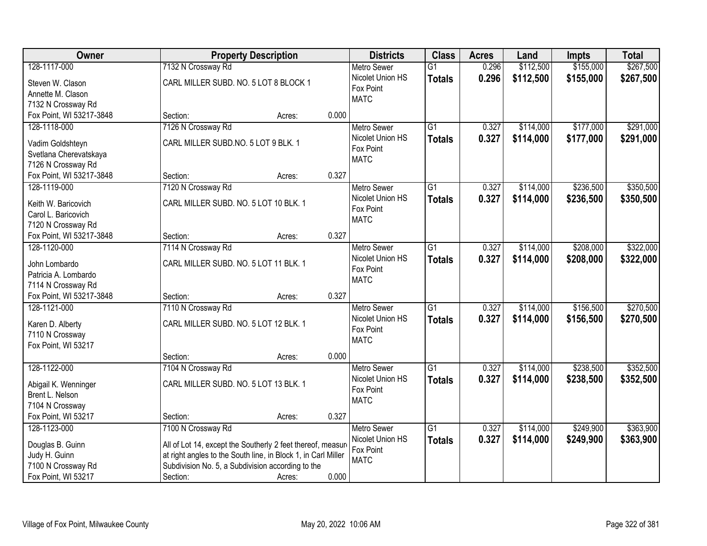| Owner                                          | <b>Property Description</b>                                   |        |       | <b>Districts</b>   | <b>Class</b>    | <b>Acres</b> | Land      | <b>Impts</b> | <b>Total</b> |
|------------------------------------------------|---------------------------------------------------------------|--------|-------|--------------------|-----------------|--------------|-----------|--------------|--------------|
| 128-1117-000                                   | 7132 N Crossway Rd                                            |        |       | <b>Metro Sewer</b> | $\overline{G1}$ | 0.296        | \$112,500 | \$155,000    | \$267,500    |
| Steven W. Clason                               | CARL MILLER SUBD. NO. 5 LOT 8 BLOCK 1                         |        |       | Nicolet Union HS   | <b>Totals</b>   | 0.296        | \$112,500 | \$155,000    | \$267,500    |
| Annette M. Clason                              |                                                               |        |       | Fox Point          |                 |              |           |              |              |
| 7132 N Crossway Rd                             |                                                               |        |       | <b>MATC</b>        |                 |              |           |              |              |
| Fox Point, WI 53217-3848                       | Section:                                                      | Acres: | 0.000 |                    |                 |              |           |              |              |
| 128-1118-000                                   | 7126 N Crossway Rd                                            |        |       | <b>Metro Sewer</b> | $\overline{G1}$ | 0.327        | \$114,000 | \$177,000    | \$291,000    |
|                                                | CARL MILLER SUBD.NO. 5 LOT 9 BLK. 1                           |        |       | Nicolet Union HS   | <b>Totals</b>   | 0.327        | \$114,000 | \$177,000    | \$291,000    |
| Vadim Goldshteyn                               |                                                               |        |       | Fox Point          |                 |              |           |              |              |
| Svetlana Cherevatskaya                         |                                                               |        |       | <b>MATC</b>        |                 |              |           |              |              |
| 7126 N Crossway Rd<br>Fox Point, WI 53217-3848 | Section:                                                      | Acres: | 0.327 |                    |                 |              |           |              |              |
| 128-1119-000                                   | 7120 N Crossway Rd                                            |        |       | Metro Sewer        | $\overline{G1}$ | 0.327        | \$114,000 | \$236,500    | \$350,500    |
|                                                |                                                               |        |       | Nicolet Union HS   |                 |              |           |              |              |
| Keith W. Baricovich                            | CARL MILLER SUBD. NO. 5 LOT 10 BLK. 1                         |        |       | Fox Point          | <b>Totals</b>   | 0.327        | \$114,000 | \$236,500    | \$350,500    |
| Carol L. Baricovich                            |                                                               |        |       | <b>MATC</b>        |                 |              |           |              |              |
| 7120 N Crossway Rd                             |                                                               |        |       |                    |                 |              |           |              |              |
| Fox Point, WI 53217-3848                       | Section:                                                      | Acres: | 0.327 |                    |                 |              |           |              |              |
| 128-1120-000                                   | 7114 N Crossway Rd                                            |        |       | <b>Metro Sewer</b> | $\overline{G1}$ | 0.327        | \$114,000 | \$208,000    | \$322,000    |
| John Lombardo                                  | CARL MILLER SUBD. NO. 5 LOT 11 BLK. 1                         |        |       | Nicolet Union HS   | <b>Totals</b>   | 0.327        | \$114,000 | \$208,000    | \$322,000    |
| Patricia A. Lombardo                           |                                                               |        |       | Fox Point          |                 |              |           |              |              |
| 7114 N Crossway Rd                             |                                                               |        |       | <b>MATC</b>        |                 |              |           |              |              |
| Fox Point, WI 53217-3848                       | Section:                                                      | Acres: | 0.327 |                    |                 |              |           |              |              |
| 128-1121-000                                   | 7110 N Crossway Rd                                            |        |       | <b>Metro Sewer</b> | $\overline{G1}$ | 0.327        | \$114,000 | \$156,500    | \$270,500    |
|                                                |                                                               |        |       | Nicolet Union HS   | <b>Totals</b>   | 0.327        | \$114,000 | \$156,500    | \$270,500    |
| Karen D. Alberty                               | CARL MILLER SUBD. NO. 5 LOT 12 BLK. 1                         |        |       | Fox Point          |                 |              |           |              |              |
| 7110 N Crossway                                |                                                               |        |       | <b>MATC</b>        |                 |              |           |              |              |
| Fox Point, WI 53217                            |                                                               |        |       |                    |                 |              |           |              |              |
|                                                | Section:                                                      | Acres: | 0.000 |                    |                 |              |           |              |              |
| 128-1122-000                                   | 7104 N Crossway Rd                                            |        |       | Metro Sewer        | $\overline{G1}$ | 0.327        | \$114,000 | \$238,500    | \$352,500    |
| Abigail K. Wenninger                           | CARL MILLER SUBD. NO. 5 LOT 13 BLK. 1                         |        |       | Nicolet Union HS   | <b>Totals</b>   | 0.327        | \$114,000 | \$238,500    | \$352,500    |
| Brent L. Nelson                                |                                                               |        |       | Fox Point          |                 |              |           |              |              |
| 7104 N Crossway                                |                                                               |        |       | <b>MATC</b>        |                 |              |           |              |              |
| Fox Point, WI 53217                            | Section:                                                      | Acres: | 0.327 |                    |                 |              |           |              |              |
| 128-1123-000                                   | 7100 N Crossway Rd                                            |        |       | <b>Metro Sewer</b> | $\overline{G1}$ | 0.327        | \$114,000 | \$249,900    | \$363,900    |
|                                                |                                                               |        |       | Nicolet Union HS   | <b>Totals</b>   | 0.327        | \$114,000 | \$249,900    | \$363,900    |
| Douglas B. Guinn                               | All of Lot 14, except the Southerly 2 feet thereof, measure   |        |       | Fox Point          |                 |              |           |              |              |
| Judy H. Guinn                                  | at right angles to the South line, in Block 1, in Carl Miller |        |       | <b>MATC</b>        |                 |              |           |              |              |
| 7100 N Crossway Rd                             | Subdivision No. 5, a Subdivision according to the             |        |       |                    |                 |              |           |              |              |
| Fox Point, WI 53217                            | Section:                                                      | Acres: | 0.000 |                    |                 |              |           |              |              |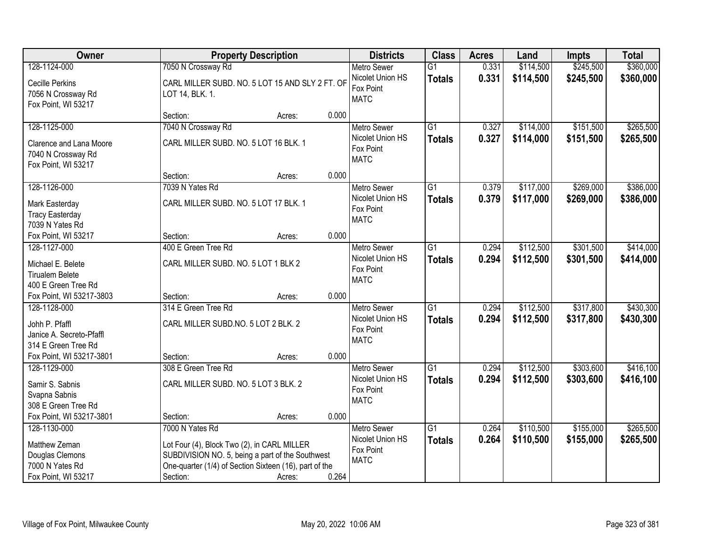| Owner                                                                                      |                                                             | <b>Property Description</b>                                                                                                                                         |       | <b>Districts</b>                                                   | <b>Class</b>                     | <b>Acres</b>   | Land                   | <b>Impts</b>           | <b>Total</b>           |
|--------------------------------------------------------------------------------------------|-------------------------------------------------------------|---------------------------------------------------------------------------------------------------------------------------------------------------------------------|-------|--------------------------------------------------------------------|----------------------------------|----------------|------------------------|------------------------|------------------------|
| 128-1124-000                                                                               | 7050 N Crossway Rd                                          |                                                                                                                                                                     |       | <b>Metro Sewer</b>                                                 | $\overline{G1}$                  | 0.331          | \$114,500              | \$245,500              | \$360,000              |
| <b>Cecille Perkins</b><br>7056 N Crossway Rd<br>Fox Point, WI 53217                        | LOT 14, BLK. 1.                                             | CARL MILLER SUBD. NO. 5 LOT 15 AND SLY 2 FT. OF                                                                                                                     |       | Nicolet Union HS<br>Fox Point<br><b>MATC</b>                       | <b>Totals</b>                    | 0.331          | \$114,500              | \$245,500              | \$360,000              |
|                                                                                            | Section:                                                    | Acres:                                                                                                                                                              | 0.000 |                                                                    |                                  |                |                        |                        |                        |
| 128-1125-000                                                                               | 7040 N Crossway Rd                                          |                                                                                                                                                                     |       | <b>Metro Sewer</b>                                                 | $\overline{G1}$                  | 0.327          | \$114,000              | \$151,500              | \$265,500              |
| Clarence and Lana Moore<br>7040 N Crossway Rd<br>Fox Point, WI 53217                       | CARL MILLER SUBD. NO. 5 LOT 16 BLK. 1                       |                                                                                                                                                                     |       | Nicolet Union HS<br>Fox Point<br><b>MATC</b>                       | <b>Totals</b>                    | 0.327          | \$114,000              | \$151,500              | \$265,500              |
|                                                                                            | Section:                                                    | Acres:                                                                                                                                                              | 0.000 |                                                                    |                                  |                |                        |                        |                        |
| 128-1126-000                                                                               | 7039 N Yates Rd                                             |                                                                                                                                                                     |       | Metro Sewer                                                        | $\overline{G1}$                  | 0.379          | \$117,000              | \$269,000              | \$386,000              |
| Mark Easterday<br><b>Tracy Easterday</b><br>7039 N Yates Rd                                | CARL MILLER SUBD. NO. 5 LOT 17 BLK. 1                       |                                                                                                                                                                     |       | Nicolet Union HS<br>Fox Point<br><b>MATC</b>                       | Totals                           | 0.379          | \$117,000              | \$269,000              | \$386,000              |
| Fox Point, WI 53217                                                                        | Section:                                                    | Acres:                                                                                                                                                              | 0.000 |                                                                    |                                  |                |                        |                        |                        |
| 128-1127-000                                                                               | 400 E Green Tree Rd                                         |                                                                                                                                                                     |       | <b>Metro Sewer</b>                                                 | $\overline{G1}$                  | 0.294          | \$112,500              | \$301,500              | \$414,000              |
| Michael E. Belete<br><b>Tirualem Belete</b><br>400 E Green Tree Rd                         | CARL MILLER SUBD. NO. 5 LOT 1 BLK 2                         |                                                                                                                                                                     |       | Nicolet Union HS<br>Fox Point<br><b>MATC</b>                       | <b>Totals</b>                    | 0.294          | \$112,500              | \$301,500              | \$414,000              |
| Fox Point, WI 53217-3803                                                                   | Section:                                                    | Acres:                                                                                                                                                              | 0.000 |                                                                    |                                  |                |                        |                        |                        |
| 128-1128-000<br>Johh P. Pfaffl<br>Janice A. Secreto-Pfaffl<br>314 E Green Tree Rd          | 314 E Green Tree Rd<br>CARL MILLER SUBD.NO. 5 LOT 2 BLK. 2  |                                                                                                                                                                     |       | Metro Sewer<br>Nicolet Union HS<br>Fox Point<br><b>MATC</b>        | $\overline{G1}$<br>Totals        | 0.294<br>0.294 | \$112,500<br>\$112,500 | \$317,800<br>\$317,800 | \$430,300<br>\$430,300 |
| Fox Point, WI 53217-3801                                                                   | Section:                                                    | Acres:                                                                                                                                                              | 0.000 |                                                                    |                                  |                |                        |                        |                        |
| 128-1129-000<br>Samir S. Sabnis<br>Svapna Sabnis<br>308 E Green Tree Rd                    | 308 E Green Tree Rd<br>CARL MILLER SUBD. NO. 5 LOT 3 BLK. 2 |                                                                                                                                                                     |       | Metro Sewer<br>Nicolet Union HS<br>Fox Point<br><b>MATC</b>        | $\overline{G1}$<br><b>Totals</b> | 0.294<br>0.294 | \$112,500<br>\$112,500 | \$303,600<br>\$303,600 | \$416,100<br>\$416,100 |
| Fox Point, WI 53217-3801                                                                   | Section:                                                    | Acres:                                                                                                                                                              | 0.000 |                                                                    |                                  |                |                        |                        |                        |
| 128-1130-000<br>Matthew Zeman<br>Douglas Clemons<br>7000 N Yates Rd<br>Fox Point, WI 53217 | 7000 N Yates Rd<br>Section:                                 | Lot Four (4), Block Two (2), in CARL MILLER<br>SUBDIVISION NO. 5, being a part of the Southwest<br>One-quarter (1/4) of Section Sixteen (16), part of the<br>Acres: | 0.264 | <b>Metro Sewer</b><br>Nicolet Union HS<br>Fox Point<br><b>MATC</b> | $\overline{G1}$<br><b>Totals</b> | 0.264<br>0.264 | \$110,500<br>\$110,500 | \$155,000<br>\$155,000 | \$265,500<br>\$265,500 |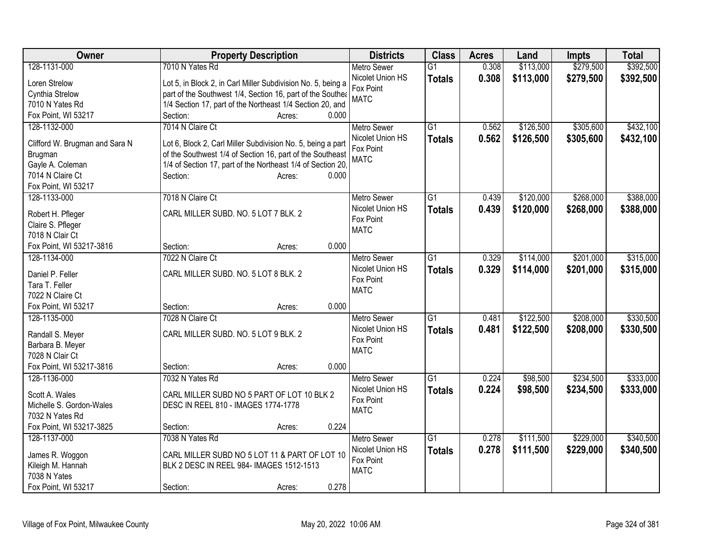| <b>Owner</b>                       | <b>Property Description</b>                                  | <b>Districts</b>              | <b>Class</b>    | <b>Acres</b> | Land      | <b>Impts</b> | <b>Total</b> |
|------------------------------------|--------------------------------------------------------------|-------------------------------|-----------------|--------------|-----------|--------------|--------------|
| 128-1131-000                       | 7010 N Yates Rd                                              | <b>Metro Sewer</b>            | $\overline{G1}$ | 0.308        | \$113,000 | \$279,500    | \$392,500    |
| Loren Strelow                      | Lot 5, in Block 2, in Carl Miller Subdivision No. 5, being a | Nicolet Union HS              | <b>Totals</b>   | 0.308        | \$113,000 | \$279,500    | \$392,500    |
| Cynthia Strelow                    | part of the Southwest 1/4, Section 16, part of the Southea   | Fox Point                     |                 |              |           |              |              |
| 7010 N Yates Rd                    | 1/4 Section 17, part of the Northeast 1/4 Section 20, and    | <b>MATC</b>                   |                 |              |           |              |              |
| Fox Point, WI 53217                | 0.000<br>Section:<br>Acres:                                  |                               |                 |              |           |              |              |
| 128-1132-000                       | 7014 N Claire Ct                                             | <b>Metro Sewer</b>            | $\overline{G1}$ | 0.562        | \$126,500 | \$305,600    | \$432,100    |
|                                    |                                                              | Nicolet Union HS              | <b>Totals</b>   | 0.562        | \$126,500 | \$305,600    | \$432,100    |
| Clifford W. Brugman and Sara N     | Lot 6, Block 2, Carl Miller Subdivision No. 5, being a part  | Fox Point                     |                 |              |           |              |              |
| Brugman                            | of the Southwest 1/4 of Section 16, part of the Southeast    | <b>MATC</b>                   |                 |              |           |              |              |
| Gayle A. Coleman                   | 1/4 of Section 17, part of the Northeast 1/4 of Section 20,  |                               |                 |              |           |              |              |
| 7014 N Claire Ct                   | 0.000<br>Section:<br>Acres:                                  |                               |                 |              |           |              |              |
| Fox Point, WI 53217                |                                                              |                               |                 |              |           |              |              |
| 128-1133-000                       | 7018 N Claire Ct                                             | <b>Metro Sewer</b>            | $\overline{G1}$ | 0.439        | \$120,000 | \$268,000    | \$388,000    |
| Robert H. Pfleger                  | CARL MILLER SUBD. NO. 5 LOT 7 BLK. 2                         | Nicolet Union HS<br>Fox Point | <b>Totals</b>   | 0.439        | \$120,000 | \$268,000    | \$388,000    |
| Claire S. Pfleger                  |                                                              | <b>MATC</b>                   |                 |              |           |              |              |
| 7018 N Clair Ct                    |                                                              |                               |                 |              |           |              |              |
| Fox Point, WI 53217-3816           | 0.000<br>Section:<br>Acres:                                  |                               |                 |              |           |              |              |
| 128-1134-000                       | 7022 N Claire Ct                                             | <b>Metro Sewer</b>            | $\overline{G1}$ | 0.329        | \$114,000 | \$201,000    | \$315,000    |
|                                    | CARL MILLER SUBD. NO. 5 LOT 8 BLK. 2                         | Nicolet Union HS              | <b>Totals</b>   | 0.329        | \$114,000 | \$201,000    | \$315,000    |
| Daniel P. Feller<br>Tara T. Feller |                                                              | Fox Point                     |                 |              |           |              |              |
| 7022 N Claire Ct                   |                                                              | <b>MATC</b>                   |                 |              |           |              |              |
| Fox Point, WI 53217                | 0.000<br>Section:<br>Acres:                                  |                               |                 |              |           |              |              |
| 128-1135-000                       | 7028 N Claire Ct                                             | <b>Metro Sewer</b>            | $\overline{G1}$ | 0.481        | \$122,500 | \$208,000    | \$330,500    |
|                                    |                                                              | Nicolet Union HS              |                 |              |           |              |              |
| Randall S. Meyer                   | CARL MILLER SUBD. NO. 5 LOT 9 BLK. 2                         | Fox Point                     | <b>Totals</b>   | 0.481        | \$122,500 | \$208,000    | \$330,500    |
| Barbara B. Meyer                   |                                                              | <b>MATC</b>                   |                 |              |           |              |              |
| 7028 N Clair Ct                    |                                                              |                               |                 |              |           |              |              |
| Fox Point, WI 53217-3816           | 0.000<br>Section:<br>Acres:                                  |                               |                 |              |           |              |              |
| 128-1136-000                       | 7032 N Yates Rd                                              | Metro Sewer                   | $\overline{G1}$ | 0.224        | \$98,500  | \$234,500    | \$333,000    |
| Scott A. Wales                     | CARL MILLER SUBD NO 5 PART OF LOT 10 BLK 2                   | Nicolet Union HS              | <b>Totals</b>   | 0.224        | \$98,500  | \$234,500    | \$333,000    |
| Michelle S. Gordon-Wales           | DESC IN REEL 810 - IMAGES 1774-1778                          | Fox Point                     |                 |              |           |              |              |
| 7032 N Yates Rd                    |                                                              | <b>MATC</b>                   |                 |              |           |              |              |
| Fox Point, WI 53217-3825           | 0.224<br>Section:<br>Acres:                                  |                               |                 |              |           |              |              |
| 128-1137-000                       | 7038 N Yates Rd                                              | <b>Metro Sewer</b>            | $\overline{G1}$ | 0.278        | \$111,500 | \$229,000    | \$340,500    |
|                                    |                                                              | Nicolet Union HS              | <b>Totals</b>   | 0.278        | \$111,500 | \$229,000    | \$340,500    |
| James R. Woggon                    | CARL MILLER SUBD NO 5 LOT 11 & PART OF LOT 10                | Fox Point                     |                 |              |           |              |              |
| Kileigh M. Hannah                  | BLK 2 DESC IN REEL 984- IMAGES 1512-1513                     | <b>MATC</b>                   |                 |              |           |              |              |
| 7038 N Yates                       |                                                              |                               |                 |              |           |              |              |
| Fox Point, WI 53217                | 0.278<br>Section:<br>Acres:                                  |                               |                 |              |           |              |              |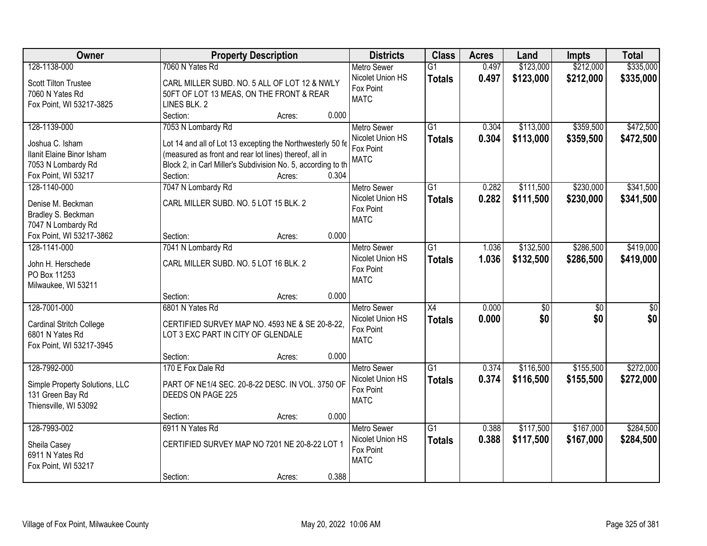| <b>Owner</b>                   | <b>Property Description</b>                                  |        |       | <b>Districts</b>   | <b>Class</b>    | <b>Acres</b> | Land      | <b>Impts</b>    | <b>Total</b>    |
|--------------------------------|--------------------------------------------------------------|--------|-------|--------------------|-----------------|--------------|-----------|-----------------|-----------------|
| 128-1138-000                   | 7060 N Yates Rd                                              |        |       | <b>Metro Sewer</b> | $\overline{G1}$ | 0.497        | \$123,000 | \$212,000       | \$335,000       |
| Scott Tilton Trustee           | CARL MILLER SUBD. NO. 5 ALL OF LOT 12 & NWLY                 |        |       | Nicolet Union HS   | <b>Totals</b>   | 0.497        | \$123,000 | \$212,000       | \$335,000       |
| 7060 N Yates Rd                | 50FT OF LOT 13 MEAS, ON THE FRONT & REAR                     |        |       | Fox Point          |                 |              |           |                 |                 |
| Fox Point, WI 53217-3825       | LINES BLK. 2                                                 |        |       | <b>MATC</b>        |                 |              |           |                 |                 |
|                                | Section:                                                     | Acres: | 0.000 |                    |                 |              |           |                 |                 |
| 128-1139-000                   | 7053 N Lombardy Rd                                           |        |       | <b>Metro Sewer</b> | $\overline{G1}$ | 0.304        | \$113,000 | \$359,500       | \$472,500       |
|                                |                                                              |        |       | Nicolet Union HS   | <b>Totals</b>   | 0.304        | \$113,000 | \$359,500       | \$472,500       |
| Joshua C. Isham                | Lot 14 and all of Lot 13 excepting the Northwesterly 50 fe   |        |       | Fox Point          |                 |              |           |                 |                 |
| Ilanit Elaine Binor Isham      | (measured as front and rear lot lines) thereof, all in       |        |       | <b>MATC</b>        |                 |              |           |                 |                 |
| 7053 N Lombardy Rd             | Block 2, in Carl Miller's Subdivision No. 5, according to th |        |       |                    |                 |              |           |                 |                 |
| Fox Point, WI 53217            | Section:                                                     | Acres: | 0.304 |                    |                 |              |           |                 |                 |
| 128-1140-000                   | 7047 N Lombardy Rd                                           |        |       | Metro Sewer        | $\overline{G1}$ | 0.282        | \$111,500 | \$230,000       | \$341,500       |
| Denise M. Beckman              | CARL MILLER SUBD. NO. 5 LOT 15 BLK. 2                        |        |       | Nicolet Union HS   | <b>Totals</b>   | 0.282        | \$111,500 | \$230,000       | \$341,500       |
| Bradley S. Beckman             |                                                              |        |       | Fox Point          |                 |              |           |                 |                 |
| 7047 N Lombardy Rd             |                                                              |        |       | <b>MATC</b>        |                 |              |           |                 |                 |
| Fox Point, WI 53217-3862       | Section:                                                     | Acres: | 0.000 |                    |                 |              |           |                 |                 |
| 128-1141-000                   | 7041 N Lombardy Rd                                           |        |       | <b>Metro Sewer</b> | $\overline{G1}$ | 1.036        | \$132,500 | \$286,500       | \$419,000       |
|                                |                                                              |        |       | Nicolet Union HS   | <b>Totals</b>   | 1.036        | \$132,500 | \$286,500       | \$419,000       |
| John H. Herschede              | CARL MILLER SUBD. NO. 5 LOT 16 BLK. 2                        |        |       | Fox Point          |                 |              |           |                 |                 |
| PO Box 11253                   |                                                              |        |       | <b>MATC</b>        |                 |              |           |                 |                 |
| Milwaukee, WI 53211            |                                                              |        |       |                    |                 |              |           |                 |                 |
|                                | Section:                                                     | Acres: | 0.000 |                    |                 |              |           |                 |                 |
| 128-7001-000                   | 6801 N Yates Rd                                              |        |       | <b>Metro Sewer</b> | $\overline{X4}$ | 0.000        | \$0       | $\overline{50}$ | $\overline{50}$ |
| Cardinal Stritch College       | CERTIFIED SURVEY MAP NO. 4593 NE & SE 20-8-22,               |        |       | Nicolet Union HS   | <b>Totals</b>   | 0.000        | \$0       | \$0             | \$0             |
| 6801 N Yates Rd                | LOT 3 EXC PART IN CITY OF GLENDALE                           |        |       | Fox Point          |                 |              |           |                 |                 |
| Fox Point, WI 53217-3945       |                                                              |        |       | <b>MATC</b>        |                 |              |           |                 |                 |
|                                | Section:                                                     | Acres: | 0.000 |                    |                 |              |           |                 |                 |
| 128-7992-000                   | 170 E Fox Dale Rd                                            |        |       | <b>Metro Sewer</b> | $\overline{G1}$ | 0.374        | \$116,500 | \$155,500       | \$272,000       |
|                                |                                                              |        |       | Nicolet Union HS   | <b>Totals</b>   | 0.374        | \$116,500 | \$155,500       | \$272,000       |
| Simple Property Solutions, LLC | PART OF NE1/4 SEC. 20-8-22 DESC. IN VOL. 3750 OF             |        |       | Fox Point          |                 |              |           |                 |                 |
| 131 Green Bay Rd               | DEEDS ON PAGE 225                                            |        |       | <b>MATC</b>        |                 |              |           |                 |                 |
| Thiensville, WI 53092          |                                                              |        |       |                    |                 |              |           |                 |                 |
|                                | Section:                                                     | Acres: | 0.000 |                    |                 |              |           |                 |                 |
| 128-7993-002                   | 6911 N Yates Rd                                              |        |       | <b>Metro Sewer</b> | $\overline{G1}$ | 0.388        | \$117,500 | \$167,000       | \$284,500       |
| Sheila Casey                   | CERTIFIED SURVEY MAP NO 7201 NE 20-8-22 LOT 1                |        |       | Nicolet Union HS   | <b>Totals</b>   | 0.388        | \$117,500 | \$167,000       | \$284,500       |
| 6911 N Yates Rd                |                                                              |        |       | Fox Point          |                 |              |           |                 |                 |
| Fox Point, WI 53217            |                                                              |        |       | <b>MATC</b>        |                 |              |           |                 |                 |
|                                | Section:                                                     | Acres: | 0.388 |                    |                 |              |           |                 |                 |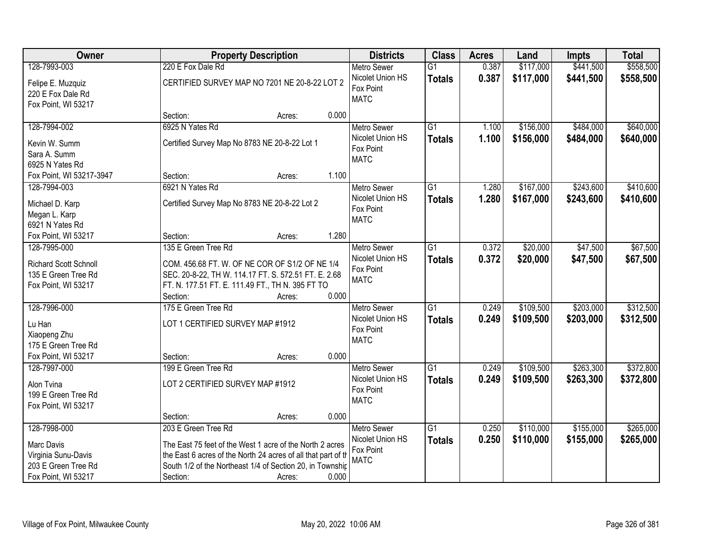| Owner                                                                                           |                                                                                                                                                                                                                           | <b>Property Description</b> |       | <b>Districts</b>                                                   | <b>Class</b>                     | <b>Acres</b>   | Land                   | <b>Impts</b>           | <b>Total</b>           |
|-------------------------------------------------------------------------------------------------|---------------------------------------------------------------------------------------------------------------------------------------------------------------------------------------------------------------------------|-----------------------------|-------|--------------------------------------------------------------------|----------------------------------|----------------|------------------------|------------------------|------------------------|
| 128-7993-003                                                                                    | 220 E Fox Dale Rd                                                                                                                                                                                                         |                             |       | <b>Metro Sewer</b>                                                 | $\overline{G1}$                  | 0.387          | \$117,000              | \$441,500              | \$558,500              |
| Felipe E. Muzquiz<br>220 E Fox Dale Rd<br>Fox Point, WI 53217                                   | CERTIFIED SURVEY MAP NO 7201 NE 20-8-22 LOT 2                                                                                                                                                                             |                             |       | Nicolet Union HS<br>Fox Point<br><b>MATC</b>                       | <b>Totals</b>                    | 0.387          | \$117,000              | \$441,500              | \$558,500              |
|                                                                                                 | Section:                                                                                                                                                                                                                  | Acres:                      | 0.000 |                                                                    |                                  |                |                        |                        |                        |
| 128-7994-002<br>Kevin W. Summ<br>Sara A. Summ<br>6925 N Yates Rd                                | 6925 N Yates Rd<br>Certified Survey Map No 8783 NE 20-8-22 Lot 1                                                                                                                                                          |                             |       | <b>Metro Sewer</b><br>Nicolet Union HS<br>Fox Point<br><b>MATC</b> | $\overline{G1}$<br><b>Totals</b> | 1.100<br>1.100 | \$156,000<br>\$156,000 | \$484,000<br>\$484,000 | \$640,000<br>\$640,000 |
| Fox Point, WI 53217-3947                                                                        | Section:                                                                                                                                                                                                                  | Acres:                      | 1.100 |                                                                    |                                  |                |                        |                        |                        |
| 128-7994-003<br>Michael D. Karp<br>Megan L. Karp<br>6921 N Yates Rd                             | 6921 N Yates Rd<br>Certified Survey Map No 8783 NE 20-8-22 Lot 2                                                                                                                                                          |                             |       | <b>Metro Sewer</b><br>Nicolet Union HS<br>Fox Point<br><b>MATC</b> | $\overline{G1}$<br><b>Totals</b> | 1.280<br>1.280 | \$167,000<br>\$167,000 | \$243,600<br>\$243,600 | \$410,600<br>\$410,600 |
| Fox Point, WI 53217                                                                             | Section:                                                                                                                                                                                                                  | Acres:                      | 1.280 |                                                                    |                                  |                |                        |                        |                        |
| 128-7995-000<br>Richard Scott Schnoll<br>135 E Green Tree Rd<br>Fox Point, WI 53217             | 135 E Green Tree Rd<br>COM. 456.68 FT. W. OF NE COR OF S1/2 OF NE 1/4<br>SEC. 20-8-22, TH W. 114.17 FT. S. 572.51 FT. E. 2.68<br>FT. N. 177.51 FT. E. 111.49 FT., TH N. 395 FT TO<br>Section:                             | Acres:                      | 0.000 | <b>Metro Sewer</b><br>Nicolet Union HS<br>Fox Point<br><b>MATC</b> | G1<br><b>Totals</b>              | 0.372<br>0.372 | \$20,000<br>\$20,000   | \$47,500<br>\$47,500   | \$67,500<br>\$67,500   |
| 128-7996-000<br>Lu Han<br>Xiaopeng Zhu<br>175 E Green Tree Rd<br>Fox Point, WI 53217            | 175 E Green Tree Rd<br>LOT 1 CERTIFIED SURVEY MAP #1912<br>Section:                                                                                                                                                       | Acres:                      | 0.000 | Metro Sewer<br>Nicolet Union HS<br>Fox Point<br><b>MATC</b>        | $\overline{G1}$<br><b>Totals</b> | 0.249<br>0.249 | \$109,500<br>\$109,500 | \$203,000<br>\$203,000 | \$312,500<br>\$312,500 |
| 128-7997-000<br>Alon Tvina<br>199 E Green Tree Rd<br>Fox Point, WI 53217                        | 199 E Green Tree Rd<br>LOT 2 CERTIFIED SURVEY MAP #1912<br>Section:                                                                                                                                                       | Acres:                      | 0.000 | Metro Sewer<br>Nicolet Union HS<br>Fox Point<br><b>MATC</b>        | $\overline{G1}$<br><b>Totals</b> | 0.249<br>0.249 | \$109,500<br>\$109,500 | \$263,300<br>\$263,300 | \$372,800<br>\$372,800 |
| 128-7998-000<br>Marc Davis<br>Virginia Sunu-Davis<br>203 E Green Tree Rd<br>Fox Point, WI 53217 | 203 E Green Tree Rd<br>The East 75 feet of the West 1 acre of the North 2 acres<br>the East 6 acres of the North 24 acres of all that part of th<br>South 1/2 of the Northeast 1/4 of Section 20, in Township<br>Section: | Acres:                      | 0.000 | <b>Metro Sewer</b><br>Nicolet Union HS<br>Fox Point<br><b>MATC</b> | $\overline{G1}$<br><b>Totals</b> | 0.250<br>0.250 | \$110,000<br>\$110,000 | \$155,000<br>\$155,000 | \$265,000<br>\$265,000 |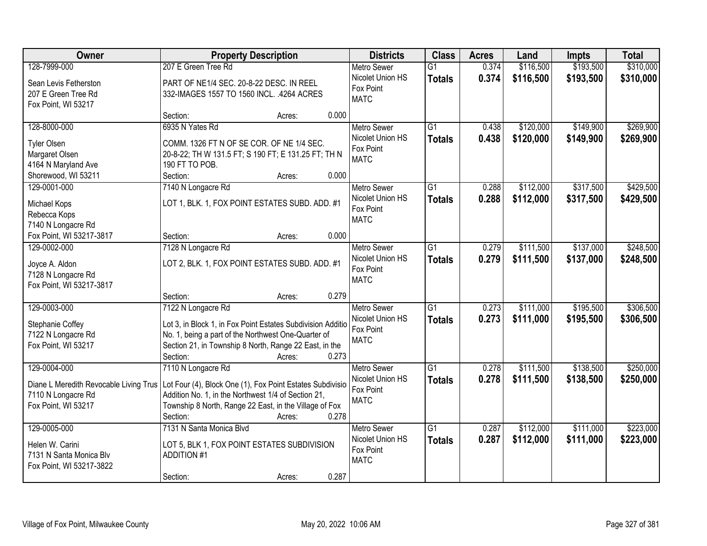| Owner                                     | <b>Property Description</b>                                                                                        |                 | <b>Districts</b>   | <b>Class</b>    | <b>Acres</b> | Land      | <b>Impts</b> | <b>Total</b> |
|-------------------------------------------|--------------------------------------------------------------------------------------------------------------------|-----------------|--------------------|-----------------|--------------|-----------|--------------|--------------|
| 128-7999-000                              | 207 E Green Tree Rd                                                                                                |                 | <b>Metro Sewer</b> | $\overline{G1}$ | 0.374        | \$116,500 | \$193,500    | \$310,000    |
| Sean Levis Fetherston                     | PART OF NE1/4 SEC. 20-8-22 DESC. IN REEL                                                                           |                 | Nicolet Union HS   | <b>Totals</b>   | 0.374        | \$116,500 | \$193,500    | \$310,000    |
| 207 E Green Tree Rd                       | 332-IMAGES 1557 TO 1560 INCL. .4264 ACRES                                                                          |                 | Fox Point          |                 |              |           |              |              |
| Fox Point, WI 53217                       |                                                                                                                    |                 | <b>MATC</b>        |                 |              |           |              |              |
|                                           | Section:                                                                                                           | 0.000<br>Acres: |                    |                 |              |           |              |              |
| 128-8000-000                              | 6935 N Yates Rd                                                                                                    |                 | <b>Metro Sewer</b> | $\overline{G1}$ | 0.438        | \$120,000 | \$149,900    | \$269,900    |
| <b>Tyler Olsen</b>                        | COMM. 1326 FT N OF SE COR. OF NE 1/4 SEC.                                                                          |                 | Nicolet Union HS   | <b>Totals</b>   | 0.438        | \$120,000 | \$149,900    | \$269,900    |
| Margaret Olsen                            | 20-8-22; TH W 131.5 FT; S 190 FT; E 131.25 FT; TH N                                                                |                 | Fox Point          |                 |              |           |              |              |
| 4164 N Maryland Ave                       | 190 FT TO POB.                                                                                                     |                 | <b>MATC</b>        |                 |              |           |              |              |
| Shorewood, WI 53211                       | Section:                                                                                                           | 0.000<br>Acres: |                    |                 |              |           |              |              |
| 129-0001-000                              | 7140 N Longacre Rd                                                                                                 |                 | Metro Sewer        | G1              | 0.288        | \$112,000 | \$317,500    | \$429,500    |
| Michael Kops                              | LOT 1, BLK. 1, FOX POINT ESTATES SUBD. ADD. #1                                                                     |                 | Nicolet Union HS   | <b>Totals</b>   | 0.288        | \$112,000 | \$317,500    | \$429,500    |
| Rebecca Kops                              |                                                                                                                    |                 | Fox Point          |                 |              |           |              |              |
| 7140 N Longacre Rd                        |                                                                                                                    |                 | <b>MATC</b>        |                 |              |           |              |              |
| Fox Point, WI 53217-3817                  | Section:                                                                                                           | 0.000<br>Acres: |                    |                 |              |           |              |              |
| 129-0002-000                              | 7128 N Longacre Rd                                                                                                 |                 | <b>Metro Sewer</b> | G1              | 0.279        | \$111,500 | \$137,000    | \$248,500    |
|                                           | LOT 2, BLK. 1, FOX POINT ESTATES SUBD. ADD. #1                                                                     |                 | Nicolet Union HS   | <b>Totals</b>   | 0.279        | \$111,500 | \$137,000    | \$248,500    |
| Joyce A. Aldon<br>7128 N Longacre Rd      |                                                                                                                    |                 | Fox Point          |                 |              |           |              |              |
| Fox Point, WI 53217-3817                  |                                                                                                                    |                 | <b>MATC</b>        |                 |              |           |              |              |
|                                           | Section:                                                                                                           | 0.279<br>Acres: |                    |                 |              |           |              |              |
| 129-0003-000                              | 7122 N Longacre Rd                                                                                                 |                 | <b>Metro Sewer</b> | $\overline{G1}$ | 0.273        | \$111,000 | \$195,500    | \$306,500    |
|                                           |                                                                                                                    |                 | Nicolet Union HS   | <b>Totals</b>   | 0.273        | \$111,000 | \$195,500    | \$306,500    |
| Stephanie Coffey<br>7122 N Longacre Rd    | Lot 3, in Block 1, in Fox Point Estates Subdivision Additio<br>No. 1, being a part of the Northwest One-Quarter of |                 | Fox Point          |                 |              |           |              |              |
| Fox Point, WI 53217                       | Section 21, in Township 8 North, Range 22 East, in the                                                             |                 | <b>MATC</b>        |                 |              |           |              |              |
|                                           | Section:                                                                                                           | 0.273<br>Acres: |                    |                 |              |           |              |              |
| 129-0004-000                              | 7110 N Longacre Rd                                                                                                 |                 | <b>Metro Sewer</b> | $\overline{G1}$ | 0.278        | \$111,500 | \$138,500    | \$250,000    |
|                                           |                                                                                                                    |                 | Nicolet Union HS   | <b>Totals</b>   | 0.278        | \$111,500 | \$138,500    | \$250,000    |
| Diane L Meredith Revocable Living Trus    | Lot Four (4), Block One (1), Fox Point Estates Subdivisio                                                          |                 | Fox Point          |                 |              |           |              |              |
| 7110 N Longacre Rd<br>Fox Point, WI 53217 | Addition No. 1, in the Northwest 1/4 of Section 21,                                                                |                 | <b>MATC</b>        |                 |              |           |              |              |
|                                           | Township 8 North, Range 22 East, in the Village of Fox<br>Section:                                                 | 0.278<br>Acres: |                    |                 |              |           |              |              |
| 129-0005-000                              | 7131 N Santa Monica Blvd                                                                                           |                 | <b>Metro Sewer</b> | $\overline{G1}$ | 0.287        | \$112,000 | \$111,000    | \$223,000    |
|                                           |                                                                                                                    |                 | Nicolet Union HS   | <b>Totals</b>   | 0.287        | \$112,000 | \$111,000    | \$223,000    |
| Helen W. Carini                           | LOT 5, BLK 1, FOX POINT ESTATES SUBDIVISION                                                                        |                 | Fox Point          |                 |              |           |              |              |
| 7131 N Santa Monica Blv                   | <b>ADDITION #1</b>                                                                                                 |                 | <b>MATC</b>        |                 |              |           |              |              |
| Fox Point, WI 53217-3822                  |                                                                                                                    |                 |                    |                 |              |           |              |              |
|                                           | Section:                                                                                                           | 0.287<br>Acres: |                    |                 |              |           |              |              |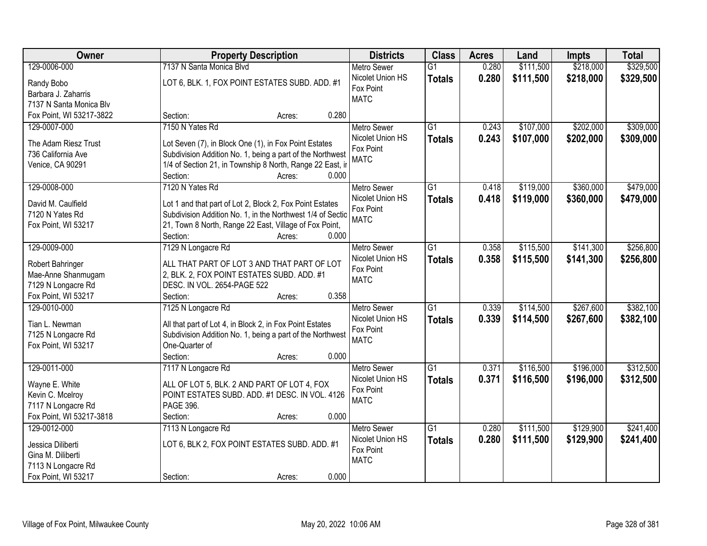| Owner                    | <b>Property Description</b>                                | <b>Districts</b>         | <b>Class</b>    | <b>Acres</b> | Land      | <b>Impts</b> | <b>Total</b> |
|--------------------------|------------------------------------------------------------|--------------------------|-----------------|--------------|-----------|--------------|--------------|
| 129-0006-000             | 7137 N Santa Monica Blvd                                   | <b>Metro Sewer</b>       | $\overline{G1}$ | 0.280        | \$111,500 | \$218,000    | \$329,500    |
| Randy Bobo               | LOT 6, BLK. 1, FOX POINT ESTATES SUBD. ADD. #1             | Nicolet Union HS         | <b>Totals</b>   | 0.280        | \$111,500 | \$218,000    | \$329,500    |
| Barbara J. Zaharris      |                                                            | Fox Point                |                 |              |           |              |              |
| 7137 N Santa Monica Blv  |                                                            | <b>MATC</b>              |                 |              |           |              |              |
| Fox Point, WI 53217-3822 | 0.280<br>Section:<br>Acres:                                |                          |                 |              |           |              |              |
| 129-0007-000             | 7150 N Yates Rd                                            | <b>Metro Sewer</b>       | $\overline{G1}$ | 0.243        | \$107,000 | \$202,000    | \$309,000    |
|                          |                                                            | Nicolet Union HS         | <b>Totals</b>   | 0.243        | \$107,000 | \$202,000    | \$309,000    |
| The Adam Riesz Trust     | Lot Seven (7), in Block One (1), in Fox Point Estates      | Fox Point                |                 |              |           |              |              |
| 736 California Ave       | Subdivision Addition No. 1, being a part of the Northwest  | <b>MATC</b>              |                 |              |           |              |              |
| Venice, CA 90291         | 1/4 of Section 21, in Township 8 North, Range 22 East, ir  |                          |                 |              |           |              |              |
|                          | 0.000<br>Section:<br>Acres:                                |                          |                 |              |           |              |              |
| 129-0008-000             | 7120 N Yates Rd                                            | <b>Metro Sewer</b>       | G1              | 0.418        | \$119,000 | \$360,000    | \$479,000    |
| David M. Caulfield       | Lot 1 and that part of Lot 2, Block 2, Fox Point Estates   | Nicolet Union HS         | <b>Totals</b>   | 0.418        | \$119,000 | \$360,000    | \$479,000    |
| 7120 N Yates Rd          | Subdivision Addition No. 1, in the Northwest 1/4 of Sectio | Fox Point<br><b>MATC</b> |                 |              |           |              |              |
| Fox Point, WI 53217      | 21, Town 8 North, Range 22 East, Village of Fox Point,     |                          |                 |              |           |              |              |
|                          | Section:<br>0.000<br>Acres:                                |                          |                 |              |           |              |              |
| 129-0009-000             | 7129 N Longacre Rd                                         | <b>Metro Sewer</b>       | G1              | 0.358        | \$115,500 | \$141,300    | \$256,800    |
| Robert Bahringer         | ALL THAT PART OF LOT 3 AND THAT PART OF LOT                | Nicolet Union HS         | <b>Totals</b>   | 0.358        | \$115,500 | \$141,300    | \$256,800    |
| Mae-Anne Shanmugam       | 2, BLK. 2, FOX POINT ESTATES SUBD. ADD. #1                 | Fox Point                |                 |              |           |              |              |
| 7129 N Longacre Rd       | DESC. IN VOL. 2654-PAGE 522                                | <b>MATC</b>              |                 |              |           |              |              |
| Fox Point, WI 53217      | 0.358<br>Section:<br>Acres:                                |                          |                 |              |           |              |              |
| 129-0010-000             | 7125 N Longacre Rd                                         | <b>Metro Sewer</b>       | $\overline{G1}$ | 0.339        | \$114,500 | \$267,600    | \$382,100    |
|                          |                                                            | Nicolet Union HS         | <b>Totals</b>   | 0.339        | \$114,500 | \$267,600    | \$382,100    |
| Tian L. Newman           | All that part of Lot 4, in Block 2, in Fox Point Estates   | Fox Point                |                 |              |           |              |              |
| 7125 N Longacre Rd       | Subdivision Addition No. 1, being a part of the Northwest  | <b>MATC</b>              |                 |              |           |              |              |
| Fox Point, WI 53217      | One-Quarter of                                             |                          |                 |              |           |              |              |
|                          | Section:<br>0.000<br>Acres:                                |                          |                 |              |           |              |              |
| 129-0011-000             | 7117 N Longacre Rd                                         | <b>Metro Sewer</b>       | $\overline{G1}$ | 0.371        | \$116,500 | \$196,000    | \$312,500    |
| Wayne E. White           | ALL OF LOT 5, BLK. 2 AND PART OF LOT 4, FOX                | Nicolet Union HS         | <b>Totals</b>   | 0.371        | \$116,500 | \$196,000    | \$312,500    |
| Kevin C. Mcelroy         | POINT ESTATES SUBD. ADD. #1 DESC. IN VOL. 4126             | Fox Point                |                 |              |           |              |              |
| 7117 N Longacre Rd       | PAGE 396.                                                  | <b>MATC</b>              |                 |              |           |              |              |
| Fox Point, WI 53217-3818 | 0.000<br>Section:<br>Acres:                                |                          |                 |              |           |              |              |
| 129-0012-000             | 7113 N Longacre Rd                                         | <b>Metro Sewer</b>       | $\overline{G1}$ | 0.280        | \$111,500 | \$129,900    | \$241,400    |
|                          |                                                            | Nicolet Union HS         | <b>Totals</b>   | 0.280        | \$111,500 | \$129,900    | \$241,400    |
| Jessica Diliberti        | LOT 6, BLK 2, FOX POINT ESTATES SUBD. ADD. #1              | Fox Point                |                 |              |           |              |              |
| Gina M. Diliberti        |                                                            | <b>MATC</b>              |                 |              |           |              |              |
| 7113 N Longacre Rd       |                                                            |                          |                 |              |           |              |              |
| Fox Point, WI 53217      | 0.000<br>Section:<br>Acres:                                |                          |                 |              |           |              |              |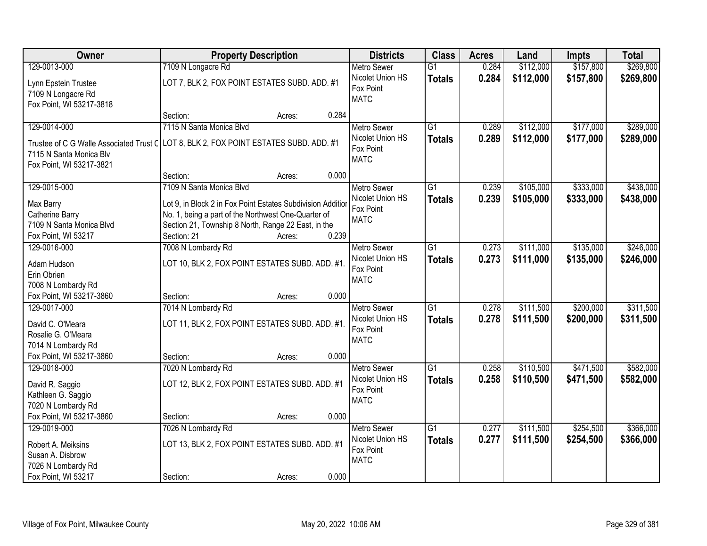| Owner                                                                                               | <b>Property Description</b>                                                                                                                                                                                 | <b>Districts</b>                                                   | <b>Class</b>                     | <b>Acres</b>   | Land                   | <b>Impts</b>           | <b>Total</b>           |
|-----------------------------------------------------------------------------------------------------|-------------------------------------------------------------------------------------------------------------------------------------------------------------------------------------------------------------|--------------------------------------------------------------------|----------------------------------|----------------|------------------------|------------------------|------------------------|
| 129-0013-000                                                                                        | 7109 N Longacre Rd                                                                                                                                                                                          | <b>Metro Sewer</b>                                                 | $\overline{G1}$                  | 0.284          | \$112,000              | \$157,800              | \$269,800              |
| Lynn Epstein Trustee<br>7109 N Longacre Rd<br>Fox Point, WI 53217-3818                              | LOT 7, BLK 2, FOX POINT ESTATES SUBD. ADD. #1                                                                                                                                                               | Nicolet Union HS<br>Fox Point<br><b>MATC</b>                       | <b>Totals</b>                    | 0.284          | \$112,000              | \$157,800              | \$269,800              |
|                                                                                                     | 0.284<br>Section:<br>Acres:                                                                                                                                                                                 |                                                                    |                                  |                |                        |                        |                        |
| 129-0014-000                                                                                        | 7115 N Santa Monica Blvd                                                                                                                                                                                    | <b>Metro Sewer</b>                                                 | $\overline{G1}$                  | 0.289          | \$112,000              | \$177,000              | \$289,000              |
| Trustee of C G Walle Associated Trust C<br>7115 N Santa Monica Blv<br>Fox Point, WI 53217-3821      | LOT 8, BLK 2, FOX POINT ESTATES SUBD. ADD. #1                                                                                                                                                               | Nicolet Union HS<br>Fox Point<br><b>MATC</b>                       | <b>Totals</b>                    | 0.289          | \$112,000              | \$177,000              | \$289,000              |
|                                                                                                     | 0.000<br>Section:<br>Acres:                                                                                                                                                                                 |                                                                    |                                  |                |                        |                        |                        |
| 129-0015-000                                                                                        | 7109 N Santa Monica Blvd                                                                                                                                                                                    | <b>Metro Sewer</b>                                                 | G1                               | 0.239          | \$105,000              | \$333,000              | \$438,000              |
| Max Barry<br>Catherine Barry<br>7109 N Santa Monica Blvd<br>Fox Point, WI 53217                     | Lot 9, in Block 2 in Fox Point Estates Subdivision Addition<br>No. 1, being a part of the Northwest One-Quarter of<br>Section 21, Township 8 North, Range 22 East, in the<br>0.239<br>Section: 21<br>Acres: | Nicolet Union HS<br>Fox Point<br><b>MATC</b>                       | <b>Totals</b>                    | 0.239          | \$105,000              | \$333,000              | \$438,000              |
| 129-0016-000                                                                                        | 7008 N Lombardy Rd                                                                                                                                                                                          | <b>Metro Sewer</b>                                                 | G1                               | 0.273          | \$111,000              | \$135,000              | \$246,000              |
| Adam Hudson<br>Erin Obrien<br>7008 N Lombardy Rd                                                    | LOT 10, BLK 2, FOX POINT ESTATES SUBD. ADD. #1.                                                                                                                                                             | Nicolet Union HS<br>Fox Point<br><b>MATC</b>                       | <b>Totals</b>                    | 0.273          | \$111,000              | \$135,000              | \$246,000              |
| Fox Point, WI 53217-3860                                                                            | 0.000<br>Section:<br>Acres:                                                                                                                                                                                 |                                                                    |                                  |                |                        |                        |                        |
| 129-0017-000<br>David C. O'Meara<br>Rosalie G. O'Meara<br>7014 N Lombardy Rd                        | 7014 N Lombardy Rd<br>LOT 11, BLK 2, FOX POINT ESTATES SUBD. ADD. #1.                                                                                                                                       | <b>Metro Sewer</b><br>Nicolet Union HS<br>Fox Point<br><b>MATC</b> | $\overline{G1}$<br><b>Totals</b> | 0.278<br>0.278 | \$111,500<br>\$111,500 | \$200,000<br>\$200,000 | \$311,500<br>\$311,500 |
| Fox Point, WI 53217-3860                                                                            | 0.000<br>Section:<br>Acres:                                                                                                                                                                                 |                                                                    |                                  |                |                        |                        |                        |
| 129-0018-000<br>David R. Saggio<br>Kathleen G. Saggio<br>7020 N Lombardy Rd                         | 7020 N Lombardy Rd<br>LOT 12, BLK 2, FOX POINT ESTATES SUBD. ADD. #1                                                                                                                                        | Metro Sewer<br>Nicolet Union HS<br>Fox Point<br><b>MATC</b>        | $\overline{G1}$<br><b>Totals</b> | 0.258<br>0.258 | \$110,500<br>\$110,500 | \$471,500<br>\$471,500 | \$582,000<br>\$582,000 |
| Fox Point, WI 53217-3860                                                                            | 0.000<br>Section:<br>Acres:                                                                                                                                                                                 |                                                                    |                                  |                |                        |                        |                        |
| 129-0019-000<br>Robert A. Meiksins<br>Susan A. Disbrow<br>7026 N Lombardy Rd<br>Fox Point, WI 53217 | 7026 N Lombardy Rd<br>LOT 13, BLK 2, FOX POINT ESTATES SUBD. ADD. #1<br>0.000<br>Section:<br>Acres:                                                                                                         | <b>Metro Sewer</b><br>Nicolet Union HS<br>Fox Point<br><b>MATC</b> | $\overline{G1}$<br><b>Totals</b> | 0.277<br>0.277 | \$111,500<br>\$111,500 | \$254,500<br>\$254,500 | \$366,000<br>\$366,000 |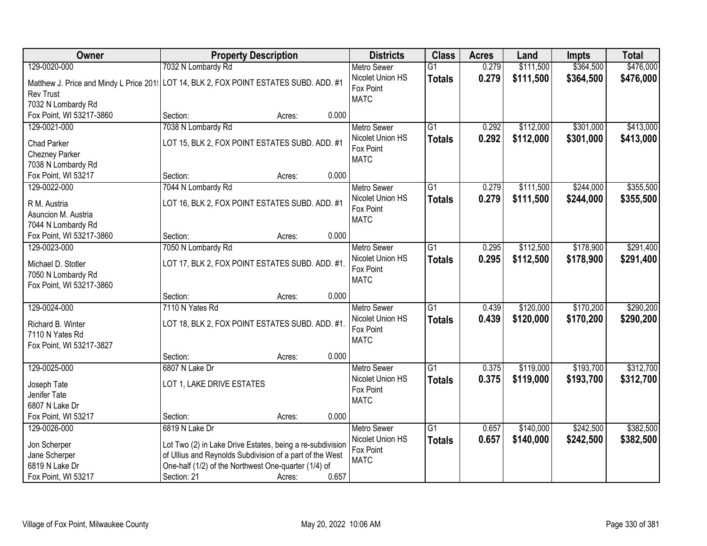| Owner                                                                                                      | <b>Property Description</b>                                                                                      |                 | <b>Districts</b>                             | <b>Class</b>    | <b>Acres</b> | Land      | <b>Impts</b> | <b>Total</b> |
|------------------------------------------------------------------------------------------------------------|------------------------------------------------------------------------------------------------------------------|-----------------|----------------------------------------------|-----------------|--------------|-----------|--------------|--------------|
| 129-0020-000                                                                                               | 7032 N Lombardy Rd                                                                                               |                 | <b>Metro Sewer</b>                           | $\overline{G1}$ | 0.279        | \$111,500 | \$364,500    | \$476,000    |
| Matthew J. Price and Mindy L Price 201: LOT 14, BLK 2, FOX POINT ESTATES SUBD. ADD. #1<br><b>Rev Trust</b> |                                                                                                                  |                 | Nicolet Union HS<br>Fox Point<br><b>MATC</b> | <b>Totals</b>   | 0.279        | \$111,500 | \$364,500    | \$476,000    |
| 7032 N Lombardy Rd                                                                                         |                                                                                                                  |                 |                                              |                 |              |           |              |              |
| Fox Point, WI 53217-3860                                                                                   | Section:                                                                                                         | 0.000<br>Acres: |                                              |                 |              |           |              |              |
| 129-0021-000                                                                                               | 7038 N Lombardy Rd                                                                                               |                 | <b>Metro Sewer</b>                           | $\overline{G1}$ | 0.292        | \$112,000 | \$301,000    | \$413,000    |
| <b>Chad Parker</b>                                                                                         | LOT 15, BLK 2, FOX POINT ESTATES SUBD. ADD. #1                                                                   |                 | Nicolet Union HS                             | <b>Totals</b>   | 0.292        | \$112,000 | \$301,000    | \$413,000    |
| Chezney Parker                                                                                             |                                                                                                                  |                 | Fox Point                                    |                 |              |           |              |              |
| 7038 N Lombardy Rd                                                                                         |                                                                                                                  |                 | <b>MATC</b>                                  |                 |              |           |              |              |
| Fox Point, WI 53217                                                                                        | Section:                                                                                                         | 0.000<br>Acres: |                                              |                 |              |           |              |              |
| 129-0022-000                                                                                               | 7044 N Lombardy Rd                                                                                               |                 | <b>Metro Sewer</b>                           | G1              | 0.279        | \$111,500 | \$244,000    | \$355,500    |
|                                                                                                            |                                                                                                                  |                 | Nicolet Union HS                             | <b>Totals</b>   | 0.279        | \$111,500 | \$244,000    | \$355,500    |
| R M. Austria                                                                                               | LOT 16, BLK 2, FOX POINT ESTATES SUBD. ADD. #1                                                                   |                 | Fox Point                                    |                 |              |           |              |              |
| Asuncion M. Austria                                                                                        |                                                                                                                  |                 | <b>MATC</b>                                  |                 |              |           |              |              |
| 7044 N Lombardy Rd<br>Fox Point, WI 53217-3860                                                             | Section:                                                                                                         | 0.000<br>Acres: |                                              |                 |              |           |              |              |
| 129-0023-000                                                                                               | 7050 N Lombardy Rd                                                                                               |                 | <b>Metro Sewer</b>                           | $\overline{G1}$ | 0.295        | \$112,500 | \$178,900    | \$291,400    |
|                                                                                                            |                                                                                                                  |                 | Nicolet Union HS                             | <b>Totals</b>   | 0.295        | \$112,500 | \$178,900    | \$291,400    |
| Michael D. Stotler                                                                                         | LOT 17, BLK 2, FOX POINT ESTATES SUBD. ADD. #1.                                                                  |                 | Fox Point                                    |                 |              |           |              |              |
| 7050 N Lombardy Rd                                                                                         |                                                                                                                  |                 | <b>MATC</b>                                  |                 |              |           |              |              |
| Fox Point, WI 53217-3860                                                                                   |                                                                                                                  |                 |                                              |                 |              |           |              |              |
|                                                                                                            | Section:                                                                                                         | 0.000<br>Acres: |                                              |                 |              |           |              |              |
| 129-0024-000                                                                                               | 7110 N Yates Rd                                                                                                  |                 | <b>Metro Sewer</b>                           | $\overline{G1}$ | 0.439        | \$120,000 | \$170,200    | \$290,200    |
| Richard B. Winter                                                                                          | LOT 18, BLK 2, FOX POINT ESTATES SUBD. ADD. #1.                                                                  |                 | Nicolet Union HS                             | <b>Totals</b>   | 0.439        | \$120,000 | \$170,200    | \$290,200    |
| 7110 N Yates Rd                                                                                            |                                                                                                                  |                 | Fox Point                                    |                 |              |           |              |              |
| Fox Point, WI 53217-3827                                                                                   |                                                                                                                  |                 | <b>MATC</b>                                  |                 |              |           |              |              |
|                                                                                                            | Section:                                                                                                         | 0.000<br>Acres: |                                              |                 |              |           |              |              |
| 129-0025-000                                                                                               | 6807 N Lake Dr                                                                                                   |                 | Metro Sewer                                  | $\overline{G1}$ | 0.375        | \$119,000 | \$193,700    | \$312,700    |
| Joseph Tate                                                                                                | LOT 1, LAKE DRIVE ESTATES                                                                                        |                 | Nicolet Union HS                             | <b>Totals</b>   | 0.375        | \$119,000 | \$193,700    | \$312,700    |
| Jenifer Tate                                                                                               |                                                                                                                  |                 | Fox Point                                    |                 |              |           |              |              |
| 6807 N Lake Dr                                                                                             |                                                                                                                  |                 | <b>MATC</b>                                  |                 |              |           |              |              |
| Fox Point, WI 53217                                                                                        | Section:                                                                                                         | 0.000<br>Acres: |                                              |                 |              |           |              |              |
| 129-0026-000                                                                                               | 6819 N Lake Dr                                                                                                   |                 | <b>Metro Sewer</b>                           | $\overline{G1}$ | 0.657        | \$140,000 | \$242,500    | \$382,500    |
|                                                                                                            |                                                                                                                  |                 | Nicolet Union HS                             | <b>Totals</b>   | 0.657        | \$140,000 | \$242,500    | \$382,500    |
| Jon Scherper                                                                                               | Lot Two (2) in Lake Drive Estates, being a re-subdivision                                                        |                 | Fox Point                                    |                 |              |           |              |              |
| Jane Scherper<br>6819 N Lake Dr                                                                            | of Ullius and Reynolds Subdivision of a part of the West<br>One-half (1/2) of the Northwest One-quarter (1/4) of |                 | <b>MATC</b>                                  |                 |              |           |              |              |
| Fox Point, WI 53217                                                                                        | Section: 21                                                                                                      | 0.657<br>Acres: |                                              |                 |              |           |              |              |
|                                                                                                            |                                                                                                                  |                 |                                              |                 |              |           |              |              |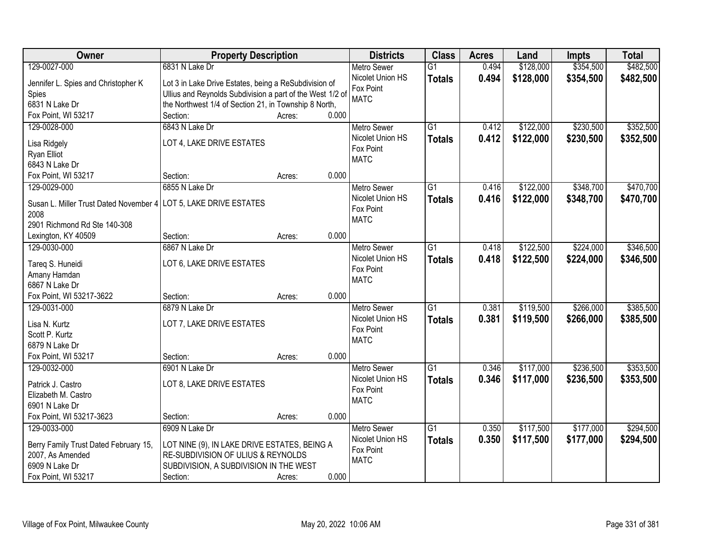| Owner                                  | <b>Property Description</b>                               |        |       | <b>Districts</b>   | <b>Class</b>    | <b>Acres</b> | Land      | <b>Impts</b> | <b>Total</b> |
|----------------------------------------|-----------------------------------------------------------|--------|-------|--------------------|-----------------|--------------|-----------|--------------|--------------|
| 129-0027-000                           | 6831 N Lake Dr                                            |        |       | <b>Metro Sewer</b> | $\overline{G1}$ | 0.494        | \$128,000 | \$354,500    | \$482,500    |
| Jennifer L. Spies and Christopher K    | Lot 3 in Lake Drive Estates, being a ReSubdivision of     |        |       | Nicolet Union HS   | <b>Totals</b>   | 0.494        | \$128,000 | \$354,500    | \$482,500    |
| Spies                                  | Ullius and Reynolds Subdivision a part of the West 1/2 of |        |       | Fox Point          |                 |              |           |              |              |
| 6831 N Lake Dr                         | the Northwest 1/4 of Section 21, in Township 8 North,     |        |       | <b>MATC</b>        |                 |              |           |              |              |
| Fox Point, WI 53217                    | Section:                                                  | Acres: | 0.000 |                    |                 |              |           |              |              |
| 129-0028-000                           | 6843 N Lake Dr                                            |        |       | Metro Sewer        | $\overline{G1}$ | 0.412        | \$122,000 | \$230,500    | \$352,500    |
|                                        |                                                           |        |       | Nicolet Union HS   | <b>Totals</b>   | 0.412        | \$122,000 | \$230,500    | \$352,500    |
| Lisa Ridgely                           | LOT 4, LAKE DRIVE ESTATES                                 |        |       | Fox Point          |                 |              |           |              |              |
| Ryan Elliot                            |                                                           |        |       | <b>MATC</b>        |                 |              |           |              |              |
| 6843 N Lake Dr                         |                                                           |        |       |                    |                 |              |           |              |              |
| Fox Point, WI 53217                    | Section:                                                  | Acres: | 0.000 |                    |                 |              |           |              |              |
| 129-0029-000                           | 6855 N Lake Dr                                            |        |       | <b>Metro Sewer</b> | G1              | 0.416        | \$122,000 | \$348,700    | \$470,700    |
| Susan L. Miller Trust Dated November 4 | LOT 5, LAKE DRIVE ESTATES                                 |        |       | Nicolet Union HS   | <b>Totals</b>   | 0.416        | \$122,000 | \$348,700    | \$470,700    |
| 2008                                   |                                                           |        |       | Fox Point          |                 |              |           |              |              |
| 2901 Richmond Rd Ste 140-308           |                                                           |        |       | <b>MATC</b>        |                 |              |           |              |              |
| Lexington, KY 40509                    | Section:                                                  | Acres: | 0.000 |                    |                 |              |           |              |              |
| 129-0030-000                           | 6867 N Lake Dr                                            |        |       | <b>Metro Sewer</b> | $\overline{G1}$ | 0.418        | \$122,500 | \$224,000    | \$346,500    |
|                                        |                                                           |        |       | Nicolet Union HS   | <b>Totals</b>   | 0.418        | \$122,500 | \$224,000    | \$346,500    |
| Tareq S. Huneidi                       | LOT 6, LAKE DRIVE ESTATES                                 |        |       | Fox Point          |                 |              |           |              |              |
| Amany Hamdan<br>6867 N Lake Dr         |                                                           |        |       | <b>MATC</b>        |                 |              |           |              |              |
| Fox Point, WI 53217-3622               | Section:                                                  | Acres: | 0.000 |                    |                 |              |           |              |              |
| 129-0031-000                           | 6879 N Lake Dr                                            |        |       | <b>Metro Sewer</b> | $\overline{G1}$ | 0.381        | \$119,500 | \$266,000    | \$385,500    |
|                                        |                                                           |        |       | Nicolet Union HS   |                 |              |           |              |              |
| Lisa N. Kurtz                          | LOT 7, LAKE DRIVE ESTATES                                 |        |       | Fox Point          | <b>Totals</b>   | 0.381        | \$119,500 | \$266,000    | \$385,500    |
| Scott P. Kurtz                         |                                                           |        |       | <b>MATC</b>        |                 |              |           |              |              |
| 6879 N Lake Dr                         |                                                           |        |       |                    |                 |              |           |              |              |
| Fox Point, WI 53217                    | Section:                                                  | Acres: | 0.000 |                    |                 |              |           |              |              |
| 129-0032-000                           | 6901 N Lake Dr                                            |        |       | Metro Sewer        | $\overline{G1}$ | 0.346        | \$117,000 | \$236,500    | \$353,500    |
| Patrick J. Castro                      | LOT 8, LAKE DRIVE ESTATES                                 |        |       | Nicolet Union HS   | <b>Totals</b>   | 0.346        | \$117,000 | \$236,500    | \$353,500    |
| Elizabeth M. Castro                    |                                                           |        |       | Fox Point          |                 |              |           |              |              |
| 6901 N Lake Dr                         |                                                           |        |       | <b>MATC</b>        |                 |              |           |              |              |
| Fox Point, WI 53217-3623               | Section:                                                  | Acres: | 0.000 |                    |                 |              |           |              |              |
| 129-0033-000                           | 6909 N Lake Dr                                            |        |       | <b>Metro Sewer</b> | $\overline{G1}$ | 0.350        | \$117,500 | \$177,000    | \$294,500    |
|                                        |                                                           |        |       | Nicolet Union HS   | <b>Totals</b>   | 0.350        | \$117,500 | \$177,000    | \$294,500    |
| Berry Family Trust Dated February 15,  | LOT NINE (9), IN LAKE DRIVE ESTATES, BEING A              |        |       | Fox Point          |                 |              |           |              |              |
| 2007, As Amended                       | RE-SUBDIVISION OF ULIUS & REYNOLDS                        |        |       | <b>MATC</b>        |                 |              |           |              |              |
| 6909 N Lake Dr                         | SUBDIVISION, A SUBDIVISION IN THE WEST                    |        |       |                    |                 |              |           |              |              |
| Fox Point, WI 53217                    | Section:                                                  | Acres: | 0.000 |                    |                 |              |           |              |              |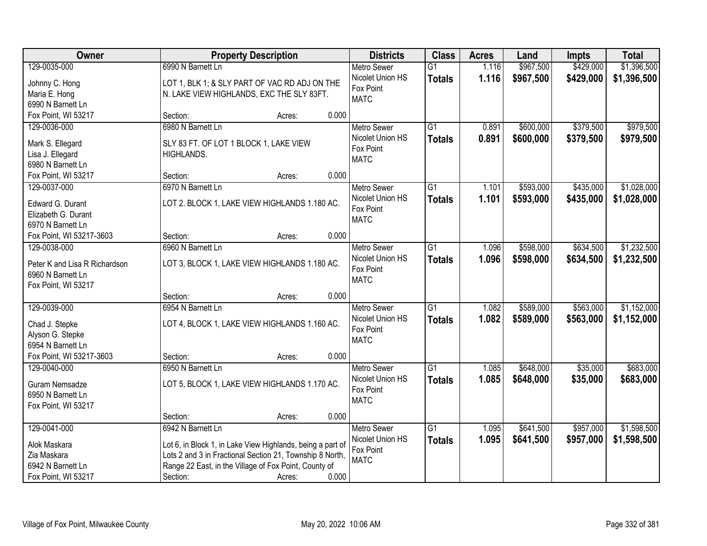| Owner                         | <b>Property Description</b>                                |                 | <b>Districts</b>   | <b>Class</b>    | <b>Acres</b> | Land      | <b>Impts</b> | <b>Total</b> |
|-------------------------------|------------------------------------------------------------|-----------------|--------------------|-----------------|--------------|-----------|--------------|--------------|
| 129-0035-000                  | 6990 N Barnett Ln                                          |                 | <b>Metro Sewer</b> | $\overline{G1}$ | 1.116        | \$967,500 | \$429,000    | \$1,396,500  |
| Johnny C. Hong                | LOT 1, BLK 1; & SLY PART OF VAC RD ADJ ON THE              |                 | Nicolet Union HS   | <b>Totals</b>   | 1.116        | \$967,500 | \$429,000    | \$1,396,500  |
| Maria E. Hong                 | N. LAKE VIEW HIGHLANDS, EXC THE SLY 83FT.                  |                 | Fox Point          |                 |              |           |              |              |
| 6990 N Barnett Ln             |                                                            |                 | <b>MATC</b>        |                 |              |           |              |              |
| Fox Point, WI 53217           | Section:                                                   | 0.000<br>Acres: |                    |                 |              |           |              |              |
| 129-0036-000                  | 6980 N Barnett Ln                                          |                 | <b>Metro Sewer</b> | $\overline{G1}$ | 0.891        | \$600,000 | \$379,500    | \$979,500    |
| Mark S. Ellegard              | SLY 83 FT. OF LOT 1 BLOCK 1, LAKE VIEW                     |                 | Nicolet Union HS   | <b>Totals</b>   | 0.891        | \$600,000 | \$379,500    | \$979,500    |
| Lisa J. Ellegard              | HIGHLANDS.                                                 |                 | Fox Point          |                 |              |           |              |              |
| 6980 N Barnett Ln             |                                                            |                 | <b>MATC</b>        |                 |              |           |              |              |
| Fox Point, WI 53217           | Section:                                                   | 0.000<br>Acres: |                    |                 |              |           |              |              |
| 129-0037-000                  | 6970 N Barnett Ln                                          |                 | Metro Sewer        | $\overline{G1}$ | 1.101        | \$593,000 | \$435,000    | \$1,028,000  |
|                               |                                                            |                 | Nicolet Union HS   | <b>Totals</b>   | 1.101        | \$593,000 | \$435,000    | \$1,028,000  |
| Edward G. Durant              | LOT 2. BLOCK 1, LAKE VIEW HIGHLANDS 1.180 AC.              |                 | Fox Point          |                 |              |           |              |              |
| Elizabeth G. Durant           |                                                            |                 | <b>MATC</b>        |                 |              |           |              |              |
| 6970 N Barnett Ln             |                                                            |                 |                    |                 |              |           |              |              |
| Fox Point, WI 53217-3603      | Section:                                                   | 0.000<br>Acres: |                    |                 |              |           |              |              |
| 129-0038-000                  | 6960 N Barnett Ln                                          |                 | <b>Metro Sewer</b> | $\overline{G1}$ | 1.096        | \$598,000 | \$634,500    | \$1,232,500  |
| Peter K and Lisa R Richardson | LOT 3, BLOCK 1, LAKE VIEW HIGHLANDS 1.180 AC.              |                 | Nicolet Union HS   | <b>Totals</b>   | 1.096        | \$598,000 | \$634,500    | \$1,232,500  |
| 6960 N Barnett Ln             |                                                            |                 | Fox Point          |                 |              |           |              |              |
| Fox Point, WI 53217           |                                                            |                 | <b>MATC</b>        |                 |              |           |              |              |
|                               | Section:                                                   | 0.000<br>Acres: |                    |                 |              |           |              |              |
| 129-0039-000                  | 6954 N Barnett Ln                                          |                 | <b>Metro Sewer</b> | $\overline{G1}$ | 1.082        | \$589,000 | \$563,000    | \$1,152,000  |
| Chad J. Stepke                | LOT 4, BLOCK 1, LAKE VIEW HIGHLANDS 1.160 AC.              |                 | Nicolet Union HS   | <b>Totals</b>   | 1.082        | \$589,000 | \$563,000    | \$1,152,000  |
| Alyson G. Stepke              |                                                            |                 | Fox Point          |                 |              |           |              |              |
| 6954 N Barnett Ln             |                                                            |                 | <b>MATC</b>        |                 |              |           |              |              |
| Fox Point, WI 53217-3603      | Section:                                                   | 0.000<br>Acres: |                    |                 |              |           |              |              |
| 129-0040-000                  | 6950 N Barnett Ln                                          |                 | Metro Sewer        | $\overline{G1}$ | 1.085        | \$648,000 | \$35,000     | \$683,000    |
|                               |                                                            |                 | Nicolet Union HS   | <b>Totals</b>   | 1.085        | \$648,000 | \$35,000     | \$683,000    |
| Guram Nemsadze                | LOT 5, BLOCK 1, LAKE VIEW HIGHLANDS 1.170 AC.              |                 | Fox Point          |                 |              |           |              |              |
| 6950 N Barnett Ln             |                                                            |                 | <b>MATC</b>        |                 |              |           |              |              |
| Fox Point, WI 53217           |                                                            |                 |                    |                 |              |           |              |              |
|                               | Section:                                                   | 0.000<br>Acres: |                    |                 |              |           |              |              |
| 129-0041-000                  | 6942 N Barnett Ln                                          |                 | Metro Sewer        | $\overline{G1}$ | 1.095        | \$641,500 | \$957,000    | \$1,598,500  |
| Alok Maskara                  | Lot 6, in Block 1, in Lake View Highlands, being a part of |                 | Nicolet Union HS   | <b>Totals</b>   | 1.095        | \$641,500 | \$957,000    | \$1,598,500  |
| Zia Maskara                   | Lots 2 and 3 in Fractional Section 21, Township 8 North,   |                 | Fox Point          |                 |              |           |              |              |
| 6942 N Barnett Ln             | Range 22 East, in the Village of Fox Point, County of      |                 | <b>MATC</b>        |                 |              |           |              |              |
| Fox Point, WI 53217           | Section:                                                   | 0.000<br>Acres: |                    |                 |              |           |              |              |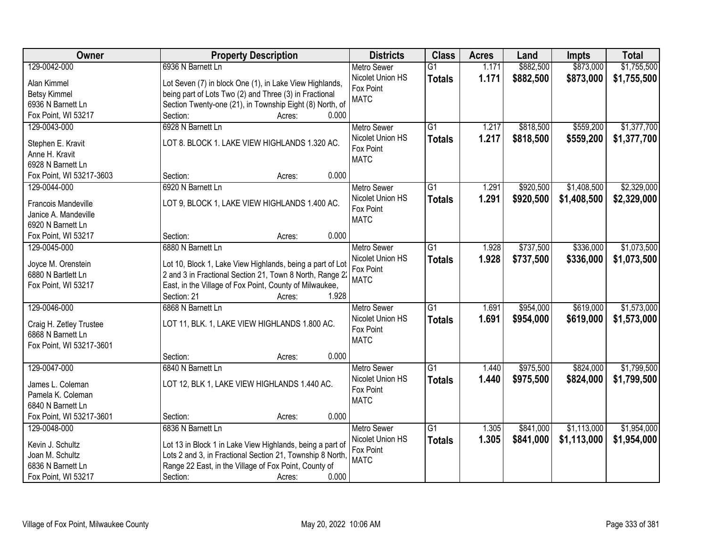| Owner                      | <b>Property Description</b>                               | <b>Districts</b>   | <b>Class</b>    | <b>Acres</b> | Land      | <b>Impts</b> | <b>Total</b> |
|----------------------------|-----------------------------------------------------------|--------------------|-----------------|--------------|-----------|--------------|--------------|
| 129-0042-000               | 6936 N Barnett Ln                                         | <b>Metro Sewer</b> | $\overline{G1}$ | 1.171        | \$882,500 | \$873,000    | \$1,755,500  |
| Alan Kimmel                | Lot Seven (7) in block One (1), in Lake View Highlands,   | Nicolet Union HS   | <b>Totals</b>   | 1.171        | \$882,500 | \$873,000    | \$1,755,500  |
| <b>Betsy Kimmel</b>        | being part of Lots Two (2) and Three (3) in Fractional    | Fox Point          |                 |              |           |              |              |
| 6936 N Barnett Ln          | Section Twenty-one (21), in Township Eight (8) North, of  | <b>MATC</b>        |                 |              |           |              |              |
| Fox Point, WI 53217        | 0.000<br>Section:<br>Acres:                               |                    |                 |              |           |              |              |
| 129-0043-000               | 6928 N Barnett Ln                                         | <b>Metro Sewer</b> | $\overline{G1}$ | 1.217        | \$818,500 | \$559,200    | \$1,377,700  |
|                            |                                                           | Nicolet Union HS   | <b>Totals</b>   | 1.217        | \$818,500 | \$559,200    | \$1,377,700  |
| Stephen E. Kravit          | LOT 8. BLOCK 1. LAKE VIEW HIGHLANDS 1.320 AC.             | Fox Point          |                 |              |           |              |              |
| Anne H. Kravit             |                                                           | <b>MATC</b>        |                 |              |           |              |              |
| 6928 N Barnett Ln          |                                                           |                    |                 |              |           |              |              |
| Fox Point, WI 53217-3603   | 0.000<br>Section:<br>Acres:                               |                    |                 |              |           |              |              |
| 129-0044-000               | 6920 N Barnett Ln                                         | <b>Metro Sewer</b> | $\overline{G1}$ | 1.291        | \$920,500 | \$1,408,500  | \$2,329,000  |
| <b>Francois Mandeville</b> | LOT 9, BLOCK 1, LAKE VIEW HIGHLANDS 1.400 AC.             | Nicolet Union HS   | <b>Totals</b>   | 1.291        | \$920,500 | \$1,408,500  | \$2,329,000  |
| Janice A. Mandeville       |                                                           | Fox Point          |                 |              |           |              |              |
| 6920 N Barnett Ln          |                                                           | <b>MATC</b>        |                 |              |           |              |              |
| Fox Point, WI 53217        | 0.000<br>Section:<br>Acres:                               |                    |                 |              |           |              |              |
| 129-0045-000               | 6880 N Barnett Ln                                         | <b>Metro Sewer</b> | $\overline{G1}$ | 1.928        | \$737,500 | \$336,000    | \$1,073,500  |
|                            |                                                           | Nicolet Union HS   | <b>Totals</b>   | 1.928        | \$737,500 | \$336,000    | \$1,073,500  |
| Joyce M. Orenstein         | Lot 10, Block 1, Lake View Highlands, being a part of Lot | Fox Point          |                 |              |           |              |              |
| 6880 N Bartlett Ln         | 2 and 3 in Fractional Section 21, Town 8 North, Range 22  | <b>MATC</b>        |                 |              |           |              |              |
| Fox Point, WI 53217        | East, in the Village of Fox Point, County of Milwaukee,   |                    |                 |              |           |              |              |
|                            | Section: 21<br>1.928<br>Acres:                            |                    |                 |              |           |              |              |
| 129-0046-000               | 6868 N Barnett Ln                                         | <b>Metro Sewer</b> | $\overline{G1}$ | 1.691        | \$954,000 | \$619,000    | \$1,573,000  |
| Craig H. Zetley Trustee    | LOT 11, BLK. 1, LAKE VIEW HIGHLANDS 1.800 AC.             | Nicolet Union HS   | <b>Totals</b>   | 1.691        | \$954,000 | \$619,000    | \$1,573,000  |
| 6868 N Barnett Ln          |                                                           | Fox Point          |                 |              |           |              |              |
| Fox Point, WI 53217-3601   |                                                           | <b>MATC</b>        |                 |              |           |              |              |
|                            | 0.000<br>Section:<br>Acres:                               |                    |                 |              |           |              |              |
| 129-0047-000               | 6840 N Barnett Ln                                         | Metro Sewer        | $\overline{G1}$ | 1.440        | \$975,500 | \$824,000    | \$1,799,500  |
|                            |                                                           | Nicolet Union HS   | <b>Totals</b>   | 1.440        | \$975,500 | \$824,000    | \$1,799,500  |
| James L. Coleman           | LOT 12, BLK 1, LAKE VIEW HIGHLANDS 1.440 AC.              | Fox Point          |                 |              |           |              |              |
| Pamela K. Coleman          |                                                           | <b>MATC</b>        |                 |              |           |              |              |
| 6840 N Barnett Ln          |                                                           |                    |                 |              |           |              |              |
| Fox Point, WI 53217-3601   | 0.000<br>Section:<br>Acres:                               |                    |                 |              |           |              |              |
| 129-0048-000               | 6836 N Barnett Ln                                         | <b>Metro Sewer</b> | $\overline{G1}$ | 1.305        | \$841,000 | \$1,113,000  | \$1,954,000  |
| Kevin J. Schultz           | Lot 13 in Block 1 in Lake View Highlands, being a part of | Nicolet Union HS   | <b>Totals</b>   | 1.305        | \$841,000 | \$1,113,000  | \$1,954,000  |
| Joan M. Schultz            | Lots 2 and 3, in Fractional Section 21, Township 8 North, | Fox Point          |                 |              |           |              |              |
| 6836 N Barnett Ln          | Range 22 East, in the Village of Fox Point, County of     | <b>MATC</b>        |                 |              |           |              |              |
| Fox Point, WI 53217        | 0.000<br>Section:<br>Acres:                               |                    |                 |              |           |              |              |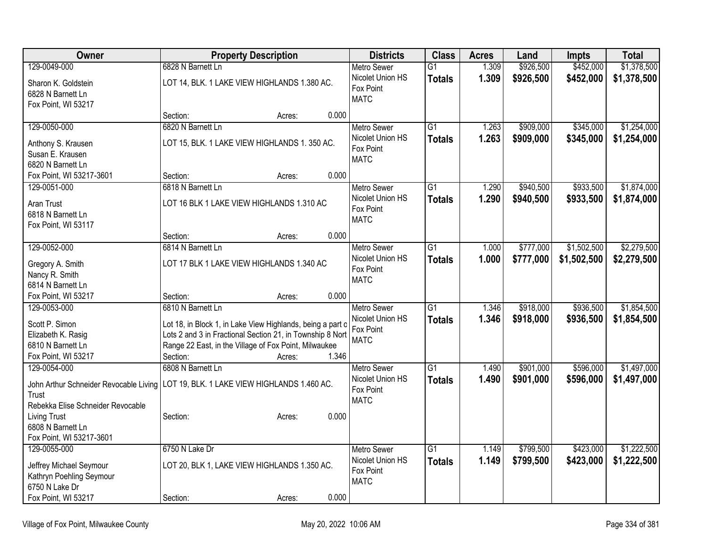| Owner                                  | <b>Property Description</b>                                | <b>Districts</b>   | <b>Class</b>    | <b>Acres</b> | Land      | <b>Impts</b> | <b>Total</b> |
|----------------------------------------|------------------------------------------------------------|--------------------|-----------------|--------------|-----------|--------------|--------------|
| 129-0049-000                           | 6828 N Barnett Ln                                          | Metro Sewer        | $\overline{G1}$ | 1.309        | \$926,500 | \$452,000    | \$1,378,500  |
| Sharon K. Goldstein                    | LOT 14, BLK. 1 LAKE VIEW HIGHLANDS 1.380 AC.               | Nicolet Union HS   | <b>Totals</b>   | 1.309        | \$926,500 | \$452,000    | \$1,378,500  |
| 6828 N Barnett Ln                      |                                                            | Fox Point          |                 |              |           |              |              |
| Fox Point, WI 53217                    |                                                            | <b>MATC</b>        |                 |              |           |              |              |
|                                        | 0.000<br>Section:<br>Acres:                                |                    |                 |              |           |              |              |
| 129-0050-000                           | 6820 N Barnett Ln                                          | Metro Sewer        | $\overline{G1}$ | 1.263        | \$909,000 | \$345,000    | \$1,254,000  |
| Anthony S. Krausen                     | LOT 15, BLK. 1 LAKE VIEW HIGHLANDS 1. 350 AC.              | Nicolet Union HS   | <b>Totals</b>   | 1.263        | \$909,000 | \$345,000    | \$1,254,000  |
| Susan E. Krausen                       |                                                            | Fox Point          |                 |              |           |              |              |
| 6820 N Barnett Ln                      |                                                            | <b>MATC</b>        |                 |              |           |              |              |
| Fox Point, WI 53217-3601               | 0.000<br>Section:<br>Acres:                                |                    |                 |              |           |              |              |
| 129-0051-000                           | 6818 N Barnett Ln                                          | <b>Metro Sewer</b> | $\overline{G1}$ | 1.290        | \$940,500 | \$933,500    | \$1,874,000  |
|                                        |                                                            | Nicolet Union HS   | <b>Totals</b>   | 1.290        | \$940,500 | \$933,500    | \$1,874,000  |
| Aran Trust                             | LOT 16 BLK 1 LAKE VIEW HIGHLANDS 1.310 AC                  | Fox Point          |                 |              |           |              |              |
| 6818 N Barnett Ln                      |                                                            | <b>MATC</b>        |                 |              |           |              |              |
| Fox Point, WI 53117                    |                                                            |                    |                 |              |           |              |              |
|                                        | 0.000<br>Section:<br>Acres:                                |                    |                 |              |           |              |              |
| 129-0052-000                           | 6814 N Barnett Ln                                          | <b>Metro Sewer</b> | $\overline{G1}$ | 1.000        | \$777,000 | \$1,502,500  | \$2,279,500  |
| Gregory A. Smith                       | LOT 17 BLK 1 LAKE VIEW HIGHLANDS 1.340 AC                  | Nicolet Union HS   | <b>Totals</b>   | 1.000        | \$777,000 | \$1,502,500  | \$2,279,500  |
| Nancy R. Smith                         |                                                            | Fox Point          |                 |              |           |              |              |
| 6814 N Barnett Ln                      |                                                            | <b>MATC</b>        |                 |              |           |              |              |
| Fox Point, WI 53217                    | 0.000<br>Section:<br>Acres:                                |                    |                 |              |           |              |              |
| 129-0053-000                           | 6810 N Barnett Ln                                          | <b>Metro Sewer</b> | $\overline{G1}$ | 1.346        | \$918,000 | \$936,500    | \$1,854,500  |
|                                        |                                                            | Nicolet Union HS   | <b>Totals</b>   | 1.346        | \$918,000 | \$936,500    | \$1,854,500  |
| Scott P. Simon                         | Lot 18, in Block 1, in Lake View Highlands, being a part o | Fox Point          |                 |              |           |              |              |
| Elizabeth K. Rasig                     | Lots 2 and 3 in Fractional Section 21, in Township 8 Nort  | <b>MATC</b>        |                 |              |           |              |              |
| 6810 N Barnett Ln                      | Range 22 East, in the Village of Fox Point, Milwaukee      |                    |                 |              |           |              |              |
| Fox Point, WI 53217                    | 1.346<br>Section:<br>Acres:                                |                    |                 |              |           |              |              |
| 129-0054-000                           | 6808 N Barnett Ln                                          | <b>Metro Sewer</b> | $\overline{G1}$ | 1.490        | \$901,000 | \$596,000    | \$1,497,000  |
| John Arthur Schneider Revocable Living | LOT 19, BLK. 1 LAKE VIEW HIGHLANDS 1.460 AC.               | Nicolet Union HS   | <b>Totals</b>   | 1.490        | \$901,000 | \$596,000    | \$1,497,000  |
| Trust                                  |                                                            | Fox Point          |                 |              |           |              |              |
| Rebekka Elise Schneider Revocable      |                                                            | <b>MATC</b>        |                 |              |           |              |              |
| <b>Living Trust</b>                    | 0.000<br>Section:<br>Acres:                                |                    |                 |              |           |              |              |
| 6808 N Barnett Ln                      |                                                            |                    |                 |              |           |              |              |
| Fox Point, WI 53217-3601               |                                                            |                    |                 |              |           |              |              |
| 129-0055-000                           | 6750 N Lake Dr                                             | <b>Metro Sewer</b> | $\overline{G1}$ | 1.149        | \$799,500 | \$423,000    | \$1,222,500  |
| Jeffrey Michael Seymour                | LOT 20, BLK 1, LAKE VIEW HIGHLANDS 1.350 AC.               | Nicolet Union HS   | <b>Totals</b>   | 1.149        | \$799,500 | \$423,000    | \$1,222,500  |
| Kathryn Poehling Seymour               |                                                            | Fox Point          |                 |              |           |              |              |
| 6750 N Lake Dr                         |                                                            | <b>MATC</b>        |                 |              |           |              |              |
| Fox Point, WI 53217                    | 0.000<br>Section:<br>Acres:                                |                    |                 |              |           |              |              |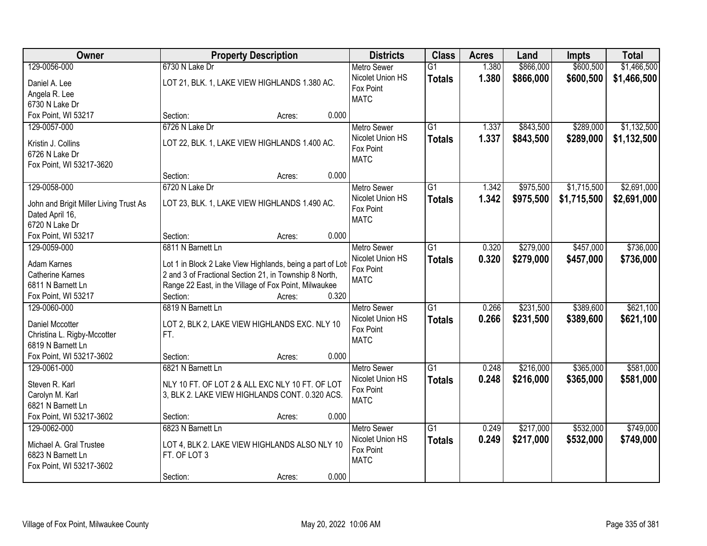| Owner                                  | <b>Property Description</b>                                | <b>Districts</b>   | <b>Class</b>    | <b>Acres</b> | Land      | <b>Impts</b> | <b>Total</b> |
|----------------------------------------|------------------------------------------------------------|--------------------|-----------------|--------------|-----------|--------------|--------------|
| 129-0056-000                           | 6730 N Lake Dr                                             | <b>Metro Sewer</b> | $\overline{G1}$ | 1.380        | \$866,000 | \$600,500    | \$1,466,500  |
| Daniel A. Lee                          | LOT 21, BLK. 1, LAKE VIEW HIGHLANDS 1.380 AC.              | Nicolet Union HS   | <b>Totals</b>   | 1.380        | \$866,000 | \$600,500    | \$1,466,500  |
| Angela R. Lee                          |                                                            | Fox Point          |                 |              |           |              |              |
| 6730 N Lake Dr                         |                                                            | <b>MATC</b>        |                 |              |           |              |              |
| Fox Point, WI 53217                    | 0.000<br>Section:<br>Acres:                                |                    |                 |              |           |              |              |
| 129-0057-000                           | 6726 N Lake Dr                                             | <b>Metro Sewer</b> | $\overline{G1}$ | 1.337        | \$843,500 | \$289,000    | \$1,132,500  |
|                                        |                                                            | Nicolet Union HS   | <b>Totals</b>   | 1.337        | \$843,500 | \$289,000    | \$1,132,500  |
| Kristin J. Collins                     | LOT 22, BLK. 1, LAKE VIEW HIGHLANDS 1.400 AC.              | Fox Point          |                 |              |           |              |              |
| 6726 N Lake Dr                         |                                                            | <b>MATC</b>        |                 |              |           |              |              |
| Fox Point, WI 53217-3620               |                                                            |                    |                 |              |           |              |              |
|                                        | 0.000<br>Section:<br>Acres:                                |                    |                 |              |           |              |              |
| 129-0058-000                           | 6720 N Lake Dr                                             | Metro Sewer        | G1              | 1.342        | \$975,500 | \$1,715,500  | \$2,691,000  |
| John and Brigit Miller Living Trust As | LOT 23, BLK. 1, LAKE VIEW HIGHLANDS 1.490 AC.              | Nicolet Union HS   | <b>Totals</b>   | 1.342        | \$975,500 | \$1,715,500  | \$2,691,000  |
| Dated April 16,                        |                                                            | Fox Point          |                 |              |           |              |              |
| 6720 N Lake Dr                         |                                                            | <b>MATC</b>        |                 |              |           |              |              |
| Fox Point, WI 53217                    | Section:<br>0.000<br>Acres:                                |                    |                 |              |           |              |              |
| 129-0059-000                           | 6811 N Barnett Ln                                          | <b>Metro Sewer</b> | G1              | 0.320        | \$279,000 | \$457,000    | \$736,000    |
|                                        |                                                            | Nicolet Union HS   |                 | 0.320        |           |              |              |
| Adam Karnes                            | Lot 1 in Block 2 Lake View Highlands, being a part of Lots | Fox Point          | <b>Totals</b>   |              | \$279,000 | \$457,000    | \$736,000    |
| <b>Catherine Karnes</b>                | 2 and 3 of Fractional Section 21, in Township 8 North,     | <b>MATC</b>        |                 |              |           |              |              |
| 6811 N Barnett Ln                      | Range 22 East, in the Village of Fox Point, Milwaukee      |                    |                 |              |           |              |              |
| Fox Point, WI 53217                    | 0.320<br>Section:<br>Acres:                                |                    |                 |              |           |              |              |
| 129-0060-000                           | 6819 N Barnett Ln                                          | <b>Metro Sewer</b> | $\overline{G1}$ | 0.266        | \$231,500 | \$389,600    | \$621,100    |
|                                        |                                                            | Nicolet Union HS   | <b>Totals</b>   | 0.266        | \$231,500 | \$389,600    | \$621,100    |
| Daniel Mccotter                        | LOT 2, BLK 2, LAKE VIEW HIGHLANDS EXC. NLY 10              | Fox Point          |                 |              |           |              |              |
| Christina L. Rigby-Mccotter            | FT.                                                        | <b>MATC</b>        |                 |              |           |              |              |
| 6819 N Barnett Ln                      |                                                            |                    |                 |              |           |              |              |
| Fox Point, WI 53217-3602               | 0.000<br>Section:<br>Acres:                                |                    |                 |              |           |              |              |
| 129-0061-000                           | 6821 N Barnett Ln                                          | <b>Metro Sewer</b> | $\overline{G1}$ | 0.248        | \$216,000 | \$365,000    | \$581,000    |
| Steven R. Karl                         | NLY 10 FT. OF LOT 2 & ALL EXC NLY 10 FT. OF LOT            | Nicolet Union HS   | <b>Totals</b>   | 0.248        | \$216,000 | \$365,000    | \$581,000    |
| Carolyn M. Karl                        | 3, BLK 2. LAKE VIEW HIGHLANDS CONT. 0.320 ACS.             | Fox Point          |                 |              |           |              |              |
| 6821 N Barnett Ln                      |                                                            | <b>MATC</b>        |                 |              |           |              |              |
| Fox Point, WI 53217-3602               | 0.000<br>Section:<br>Acres:                                |                    |                 |              |           |              |              |
| 129-0062-000                           | 6823 N Barnett Ln                                          | <b>Metro Sewer</b> | $\overline{G1}$ | 0.249        | \$217,000 | \$532,000    | \$749,000    |
|                                        |                                                            | Nicolet Union HS   | <b>Totals</b>   | 0.249        | \$217,000 | \$532,000    | \$749,000    |
| Michael A. Gral Trustee                | LOT 4, BLK 2. LAKE VIEW HIGHLANDS ALSO NLY 10              | Fox Point          |                 |              |           |              |              |
| 6823 N Barnett Ln                      | FT. OF LOT 3                                               | <b>MATC</b>        |                 |              |           |              |              |
| Fox Point, WI 53217-3602               |                                                            |                    |                 |              |           |              |              |
|                                        | 0.000<br>Section:<br>Acres:                                |                    |                 |              |           |              |              |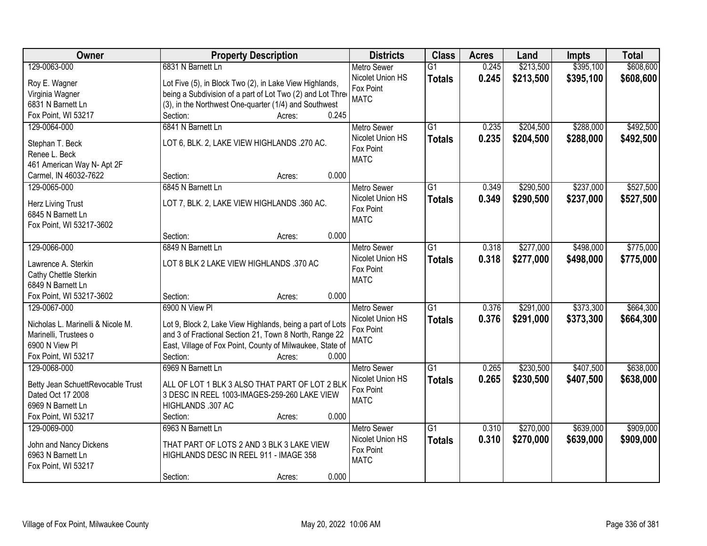| <b>Owner</b>                                  | <b>Property Description</b>                                | <b>Districts</b>              | <b>Class</b>    | <b>Acres</b> | Land      | <b>Impts</b> | <b>Total</b> |
|-----------------------------------------------|------------------------------------------------------------|-------------------------------|-----------------|--------------|-----------|--------------|--------------|
| 129-0063-000                                  | 6831 N Barnett Ln                                          | <b>Metro Sewer</b>            | $\overline{G1}$ | 0.245        | \$213,500 | \$395,100    | \$608,600    |
| Roy E. Wagner                                 | Lot Five (5), in Block Two (2), in Lake View Highlands,    | Nicolet Union HS              | <b>Totals</b>   | 0.245        | \$213,500 | \$395,100    | \$608,600    |
| Virginia Wagner                               | being a Subdivision of a part of Lot Two (2) and Lot Three | Fox Point                     |                 |              |           |              |              |
| 6831 N Barnett Ln                             | (3), in the Northwest One-quarter (1/4) and Southwest      | <b>MATC</b>                   |                 |              |           |              |              |
| Fox Point, WI 53217                           | 0.245<br>Section:<br>Acres:                                |                               |                 |              |           |              |              |
| 129-0064-000                                  | 6841 N Barnett Ln                                          | <b>Metro Sewer</b>            | $\overline{G1}$ | 0.235        | \$204,500 | \$288,000    | \$492,500    |
|                                               |                                                            | Nicolet Union HS              | <b>Totals</b>   | 0.235        | \$204,500 | \$288,000    | \$492,500    |
| Stephan T. Beck                               | LOT 6, BLK. 2, LAKE VIEW HIGHLANDS .270 AC.                | Fox Point                     |                 |              |           |              |              |
| Renee L. Beck                                 |                                                            | <b>MATC</b>                   |                 |              |           |              |              |
| 461 American Way N- Apt 2F                    |                                                            |                               |                 |              |           |              |              |
| Carmel, IN 46032-7622                         | 0.000<br>Section:<br>Acres:                                |                               |                 |              |           |              |              |
| 129-0065-000                                  | 6845 N Barnett Ln                                          | <b>Metro Sewer</b>            | G1              | 0.349        | \$290,500 | \$237,000    | \$527,500    |
| Herz Living Trust                             | LOT 7, BLK. 2, LAKE VIEW HIGHLANDS .360 AC.                | Nicolet Union HS              | <b>Totals</b>   | 0.349        | \$290,500 | \$237,000    | \$527,500    |
| 6845 N Barnett Ln                             |                                                            | Fox Point                     |                 |              |           |              |              |
| Fox Point, WI 53217-3602                      |                                                            | <b>MATC</b>                   |                 |              |           |              |              |
|                                               | 0.000<br>Section:<br>Acres:                                |                               |                 |              |           |              |              |
| 129-0066-000                                  | 6849 N Barnett Ln                                          | <b>Metro Sewer</b>            | G1              | 0.318        | \$277,000 | \$498,000    | \$775,000    |
|                                               |                                                            | Nicolet Union HS              | <b>Totals</b>   | 0.318        | \$277,000 | \$498,000    | \$775,000    |
| Lawrence A. Sterkin                           | LOT 8 BLK 2 LAKE VIEW HIGHLANDS .370 AC                    | Fox Point                     |                 |              |           |              |              |
| Cathy Chettle Sterkin                         |                                                            | <b>MATC</b>                   |                 |              |           |              |              |
| 6849 N Barnett Ln<br>Fox Point, WI 53217-3602 | 0.000                                                      |                               |                 |              |           |              |              |
| 129-0067-000                                  | Section:<br>Acres:<br>6900 N View PI                       |                               | $\overline{G1}$ | 0.376        |           | \$373,300    | \$664,300    |
|                                               |                                                            | <b>Metro Sewer</b>            |                 |              | \$291,000 |              |              |
| Nicholas L. Marinelli & Nicole M.             | Lot 9, Block 2, Lake View Highlands, being a part of Lots  | Nicolet Union HS<br>Fox Point | <b>Totals</b>   | 0.376        | \$291,000 | \$373,300    | \$664,300    |
| Marinelli, Trustees o                         | and 3 of Fractional Section 21, Town 8 North, Range 22     | <b>MATC</b>                   |                 |              |           |              |              |
| 6900 N View PI                                | East, Village of Fox Point, County of Milwaukee, State of  |                               |                 |              |           |              |              |
| Fox Point, WI 53217                           | 0.000<br>Section:<br>Acres:                                |                               |                 |              |           |              |              |
| 129-0068-000                                  | 6969 N Barnett Ln                                          | Metro Sewer                   | $\overline{G1}$ | 0.265        | \$230,500 | \$407,500    | \$638,000    |
| Betty Jean SchuettRevocable Trust             | ALL OF LOT 1 BLK 3 ALSO THAT PART OF LOT 2 BLK             | Nicolet Union HS              | <b>Totals</b>   | 0.265        | \$230,500 | \$407,500    | \$638,000    |
| Dated Oct 17 2008                             | 3 DESC IN REEL 1003-IMAGES-259-260 LAKE VIEW               | Fox Point                     |                 |              |           |              |              |
| 6969 N Barnett Ln                             | HIGHLANDS .307 AC                                          | <b>MATC</b>                   |                 |              |           |              |              |
| Fox Point, WI 53217                           | 0.000<br>Section:<br>Acres:                                |                               |                 |              |           |              |              |
| 129-0069-000                                  | 6963 N Barnett Ln                                          | <b>Metro Sewer</b>            | $\overline{G1}$ | 0.310        | \$270,000 | \$639,000    | \$909,000    |
|                                               |                                                            | Nicolet Union HS              | <b>Totals</b>   | 0.310        | \$270,000 | \$639,000    | \$909,000    |
| John and Nancy Dickens                        | THAT PART OF LOTS 2 AND 3 BLK 3 LAKE VIEW                  | Fox Point                     |                 |              |           |              |              |
| 6963 N Barnett Ln                             | HIGHLANDS DESC IN REEL 911 - IMAGE 358                     | <b>MATC</b>                   |                 |              |           |              |              |
| Fox Point, WI 53217                           |                                                            |                               |                 |              |           |              |              |
|                                               | 0.000<br>Section:<br>Acres:                                |                               |                 |              |           |              |              |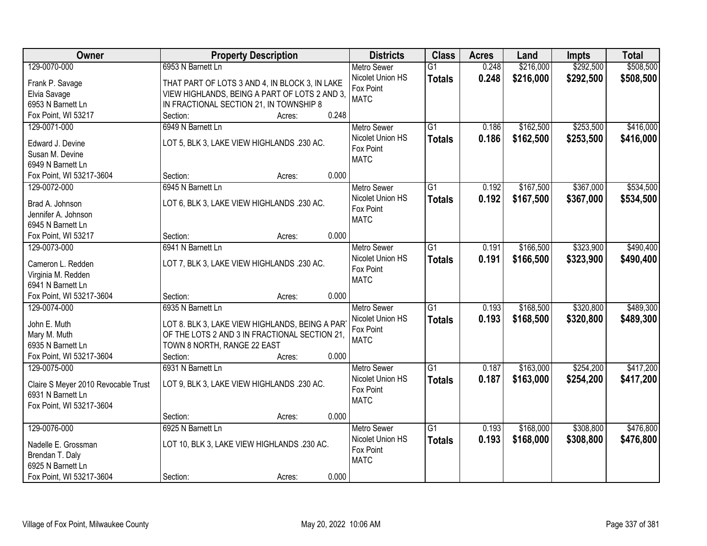| Owner                                   | <b>Property Description</b>                    | <b>Districts</b>         | <b>Class</b>    | <b>Acres</b> | Land      | <b>Impts</b> | <b>Total</b> |
|-----------------------------------------|------------------------------------------------|--------------------------|-----------------|--------------|-----------|--------------|--------------|
| 129-0070-000                            | 6953 N Barnett Ln                              | <b>Metro Sewer</b>       | $\overline{G1}$ | 0.248        | \$216,000 | \$292,500    | \$508,500    |
| Frank P. Savage                         | THAT PART OF LOTS 3 AND 4, IN BLOCK 3, IN LAKE | Nicolet Union HS         | <b>Totals</b>   | 0.248        | \$216,000 | \$292,500    | \$508,500    |
| Elvia Savage                            | VIEW HIGHLANDS, BEING A PART OF LOTS 2 AND 3,  | Fox Point                |                 |              |           |              |              |
| 6953 N Barnett Ln                       | IN FRACTIONAL SECTION 21, IN TOWNSHIP 8        | <b>MATC</b>              |                 |              |           |              |              |
| Fox Point, WI 53217                     | 0.248<br>Section:<br>Acres:                    |                          |                 |              |           |              |              |
| 129-0071-000                            | 6949 N Barnett Ln                              | <b>Metro Sewer</b>       | $\overline{G1}$ | 0.186        | \$162,500 | \$253,500    | \$416,000    |
|                                         |                                                | Nicolet Union HS         | <b>Totals</b>   | 0.186        | \$162,500 | \$253,500    | \$416,000    |
| Edward J. Devine                        | LOT 5, BLK 3, LAKE VIEW HIGHLANDS .230 AC.     | Fox Point                |                 |              |           |              |              |
| Susan M. Devine                         |                                                | <b>MATC</b>              |                 |              |           |              |              |
| 6949 N Barnett Ln                       |                                                |                          |                 |              |           |              |              |
| Fox Point, WI 53217-3604                | 0.000<br>Section:<br>Acres:                    |                          |                 |              |           |              |              |
| 129-0072-000                            | 6945 N Barnett Ln                              | <b>Metro Sewer</b>       | G1              | 0.192        | \$167,500 | \$367,000    | \$534,500    |
| Brad A. Johnson                         | LOT 6, BLK 3, LAKE VIEW HIGHLANDS .230 AC.     | Nicolet Union HS         | <b>Totals</b>   | 0.192        | \$167,500 | \$367,000    | \$534,500    |
| Jennifer A. Johnson                     |                                                | Fox Point<br><b>MATC</b> |                 |              |           |              |              |
| 6945 N Barnett Ln                       |                                                |                          |                 |              |           |              |              |
| Fox Point, WI 53217                     | 0.000<br>Section:<br>Acres:                    |                          |                 |              |           |              |              |
| 129-0073-000                            | 6941 N Barnett Ln                              | <b>Metro Sewer</b>       | G1              | 0.191        | \$166,500 | \$323,900    | \$490,400    |
|                                         |                                                | Nicolet Union HS         | <b>Totals</b>   | 0.191        | \$166,500 | \$323,900    | \$490,400    |
| Cameron L. Redden<br>Virginia M. Redden | LOT 7, BLK 3, LAKE VIEW HIGHLANDS .230 AC.     | Fox Point                |                 |              |           |              |              |
| 6941 N Barnett Ln                       |                                                | <b>MATC</b>              |                 |              |           |              |              |
| Fox Point, WI 53217-3604                | 0.000<br>Section:<br>Acres:                    |                          |                 |              |           |              |              |
| 129-0074-000                            | 6935 N Barnett Ln                              | <b>Metro Sewer</b>       | $\overline{G1}$ | 0.193        | \$168,500 | \$320,800    | \$489,300    |
|                                         |                                                | Nicolet Union HS         |                 | 0.193        | \$168,500 | \$320,800    |              |
| John E. Muth                            | LOT 8. BLK 3, LAKE VIEW HIGHLANDS, BEING A PAR | Fox Point                | <b>Totals</b>   |              |           |              | \$489,300    |
| Mary M. Muth                            | OF THE LOTS 2 AND 3 IN FRACTIONAL SECTION 21,  | <b>MATC</b>              |                 |              |           |              |              |
| 6935 N Barnett Ln                       | TOWN 8 NORTH, RANGE 22 EAST                    |                          |                 |              |           |              |              |
| Fox Point, WI 53217-3604                | Section:<br>0.000<br>Acres:                    |                          |                 |              |           |              |              |
| 129-0075-000                            | 6931 N Barnett Ln                              | Metro Sewer              | $\overline{G1}$ | 0.187        | \$163,000 | \$254,200    | \$417,200    |
| Claire S Meyer 2010 Revocable Trust     | LOT 9, BLK 3, LAKE VIEW HIGHLANDS .230 AC.     | Nicolet Union HS         | <b>Totals</b>   | 0.187        | \$163,000 | \$254,200    | \$417,200    |
| 6931 N Barnett Ln                       |                                                | Fox Point                |                 |              |           |              |              |
| Fox Point, WI 53217-3604                |                                                | <b>MATC</b>              |                 |              |           |              |              |
|                                         | 0.000<br>Section:<br>Acres:                    |                          |                 |              |           |              |              |
| 129-0076-000                            | 6925 N Barnett Ln                              | <b>Metro Sewer</b>       | $\overline{G1}$ | 0.193        | \$168,000 | \$308,800    | \$476,800    |
|                                         |                                                | Nicolet Union HS         | <b>Totals</b>   | 0.193        | \$168,000 | \$308,800    | \$476,800    |
| Nadelle E. Grossman                     | LOT 10, BLK 3, LAKE VIEW HIGHLANDS .230 AC.    | Fox Point                |                 |              |           |              |              |
| Brendan T. Daly                         |                                                | <b>MATC</b>              |                 |              |           |              |              |
| 6925 N Barnett Ln                       |                                                |                          |                 |              |           |              |              |
| Fox Point, WI 53217-3604                | 0.000<br>Section:<br>Acres:                    |                          |                 |              |           |              |              |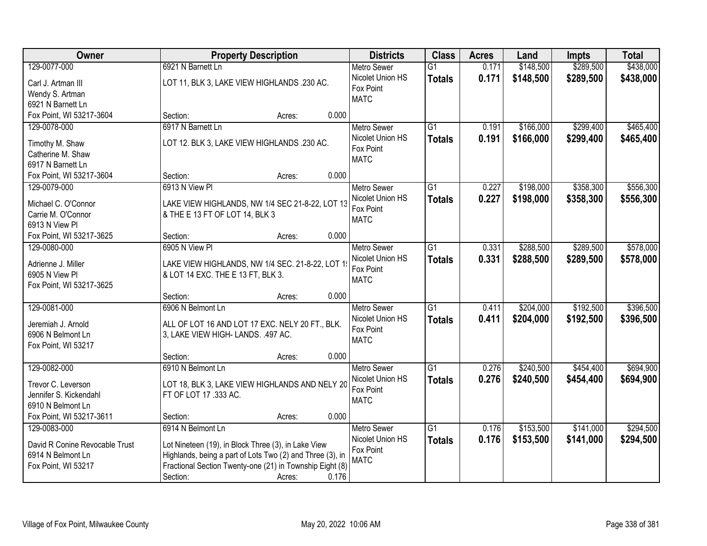| Owner                                     | <b>Property Description</b>                                                       |       | <b>Districts</b>              | <b>Class</b>    | <b>Acres</b> | Land      | <b>Impts</b> | <b>Total</b> |
|-------------------------------------------|-----------------------------------------------------------------------------------|-------|-------------------------------|-----------------|--------------|-----------|--------------|--------------|
| 129-0077-000                              | 6921 N Barnett Ln                                                                 |       | <b>Metro Sewer</b>            | $\overline{G1}$ | 0.171        | \$148,500 | \$289,500    | \$438,000    |
| Carl J. Artman III                        | LOT 11, BLK 3, LAKE VIEW HIGHLANDS .230 AC.                                       |       | Nicolet Union HS              | <b>Totals</b>   | 0.171        | \$148,500 | \$289,500    | \$438,000    |
| Wendy S. Artman                           |                                                                                   |       | Fox Point                     |                 |              |           |              |              |
| 6921 N Barnett Ln                         |                                                                                   |       | <b>MATC</b>                   |                 |              |           |              |              |
| Fox Point, WI 53217-3604                  | Section:<br>Acres:                                                                | 0.000 |                               |                 |              |           |              |              |
| 129-0078-000                              | 6917 N Barnett Ln                                                                 |       | <b>Metro Sewer</b>            | $\overline{G1}$ | 0.191        | \$166,000 | \$299,400    | \$465,400    |
| Timothy M. Shaw                           | LOT 12. BLK 3, LAKE VIEW HIGHLANDS .230 AC.                                       |       | Nicolet Union HS              | <b>Totals</b>   | 0.191        | \$166,000 | \$299,400    | \$465,400    |
| Catherine M. Shaw                         |                                                                                   |       | Fox Point                     |                 |              |           |              |              |
| 6917 N Barnett Ln                         |                                                                                   |       | <b>MATC</b>                   |                 |              |           |              |              |
| Fox Point, WI 53217-3604                  | Section:<br>Acres:                                                                | 0.000 |                               |                 |              |           |              |              |
| 129-0079-000                              | 6913 N View PI                                                                    |       | <b>Metro Sewer</b>            | $\overline{G1}$ | 0.227        | \$198,000 | \$358,300    | \$556,300    |
|                                           |                                                                                   |       | Nicolet Union HS              | <b>Totals</b>   | 0.227        | \$198,000 | \$358,300    | \$556,300    |
| Michael C. O'Connor<br>Carrie M. O'Connor | LAKE VIEW HIGHLANDS, NW 1/4 SEC 21-8-22, LOT 13<br>& THE E 13 FT OF LOT 14, BLK 3 |       | Fox Point                     |                 |              |           |              |              |
| 6913 N View Pl                            |                                                                                   |       | <b>MATC</b>                   |                 |              |           |              |              |
| Fox Point, WI 53217-3625                  | Section:<br>Acres:                                                                | 0.000 |                               |                 |              |           |              |              |
| 129-0080-000                              | 6905 N View PI                                                                    |       | <b>Metro Sewer</b>            | G1              | 0.331        | \$288,500 | \$289,500    | \$578,000    |
|                                           |                                                                                   |       | Nicolet Union HS              | <b>Totals</b>   | 0.331        | \$288,500 | \$289,500    | \$578,000    |
| Adrienne J. Miller                        | LAKE VIEW HIGHLANDS, NW 1/4 SEC. 21-8-22, LOT 1                                   |       | Fox Point                     |                 |              |           |              |              |
| 6905 N View Pl                            | & LOT 14 EXC. THE E 13 FT, BLK 3.                                                 |       | <b>MATC</b>                   |                 |              |           |              |              |
| Fox Point, WI 53217-3625                  | Section:                                                                          | 0.000 |                               |                 |              |           |              |              |
| 129-0081-000                              | Acres:<br>6906 N Belmont Ln                                                       |       | <b>Metro Sewer</b>            | $\overline{G1}$ | 0.411        | \$204,000 | \$192,500    | \$396,500    |
|                                           |                                                                                   |       | Nicolet Union HS              | <b>Totals</b>   | 0.411        | \$204,000 | \$192,500    | \$396,500    |
| Jeremiah J. Arnold                        | ALL OF LOT 16 AND LOT 17 EXC. NELY 20 FT., BLK.                                   |       | Fox Point                     |                 |              |           |              |              |
| 6906 N Belmont Ln                         | 3, LAKE VIEW HIGH- LANDS. .497 AC.                                                |       | <b>MATC</b>                   |                 |              |           |              |              |
| Fox Point, WI 53217                       |                                                                                   |       |                               |                 |              |           |              |              |
|                                           | Section:<br>Acres:                                                                | 0.000 |                               |                 |              |           |              |              |
| 129-0082-000                              | 6910 N Belmont Ln                                                                 |       | <b>Metro Sewer</b>            | $\overline{G1}$ | 0.276        | \$240,500 | \$454,400    | \$694,900    |
| Trevor C. Leverson                        | LOT 18, BLK 3, LAKE VIEW HIGHLANDS AND NELY 20                                    |       | Nicolet Union HS<br>Fox Point | <b>Totals</b>   | 0.276        | \$240,500 | \$454,400    | \$694,900    |
| Jennifer S. Kickendahl                    | FT OF LOT 17 .333 AC.                                                             |       | <b>MATC</b>                   |                 |              |           |              |              |
| 6910 N Belmont Ln                         |                                                                                   |       |                               |                 |              |           |              |              |
| Fox Point, WI 53217-3611                  | Section:<br>Acres:                                                                | 0.000 |                               |                 |              |           |              |              |
| 129-0083-000                              | 6914 N Belmont Ln                                                                 |       | <b>Metro Sewer</b>            | G1              | 0.176        | \$153,500 | \$141,000    | \$294,500    |
| David R Conine Revocable Trust            | Lot Nineteen (19), in Block Three (3), in Lake View                               |       | Nicolet Union HS              | <b>Totals</b>   | 0.176        | \$153,500 | \$141,000    | \$294,500    |
| 6914 N Belmont Ln                         | Highlands, being a part of Lots Two (2) and Three (3), in                         |       | Fox Point                     |                 |              |           |              |              |
| Fox Point, WI 53217                       | Fractional Section Twenty-one (21) in Township Eight (8)                          |       | <b>MATC</b>                   |                 |              |           |              |              |
|                                           | Section:<br>Acres:                                                                | 0.176 |                               |                 |              |           |              |              |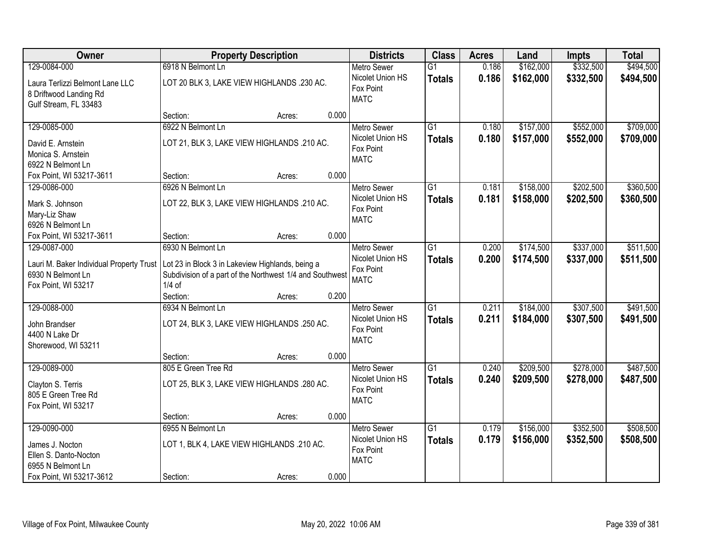| Owner                                                                                | <b>Property Description</b>                                                                                              |                 | <b>Districts</b>                                            | <b>Class</b>                     | <b>Acres</b>   | Land                   | <b>Impts</b>           | <b>Total</b>           |
|--------------------------------------------------------------------------------------|--------------------------------------------------------------------------------------------------------------------------|-----------------|-------------------------------------------------------------|----------------------------------|----------------|------------------------|------------------------|------------------------|
| 129-0084-000                                                                         | 6918 N Belmont Ln                                                                                                        |                 | <b>Metro Sewer</b>                                          | $\overline{G1}$                  | 0.186          | \$162,000              | \$332,500              | \$494,500              |
| Laura Terlizzi Belmont Lane LLC<br>8 Driftwood Landing Rd<br>Gulf Stream, FL 33483   | LOT 20 BLK 3, LAKE VIEW HIGHLANDS .230 AC.                                                                               |                 | Nicolet Union HS<br>Fox Point<br><b>MATC</b>                | <b>Totals</b>                    | 0.186          | \$162,000              | \$332,500              | \$494,500              |
|                                                                                      | Section:                                                                                                                 | 0.000<br>Acres: |                                                             |                                  |                |                        |                        |                        |
| 129-0085-000                                                                         | 6922 N Belmont Ln                                                                                                        |                 | <b>Metro Sewer</b>                                          | $\overline{G1}$                  | 0.180          | \$157,000              | \$552,000              | \$709,000              |
| David E. Arnstein<br>Monica S. Arnstein<br>6922 N Belmont Ln                         | LOT 21, BLK 3, LAKE VIEW HIGHLANDS .210 AC.                                                                              |                 | Nicolet Union HS<br>Fox Point<br><b>MATC</b>                | <b>Totals</b>                    | 0.180          | \$157,000              | \$552,000              | \$709,000              |
| Fox Point, WI 53217-3611                                                             | Section:                                                                                                                 | 0.000<br>Acres: |                                                             |                                  |                |                        |                        |                        |
| 129-0086-000                                                                         | 6926 N Belmont Ln                                                                                                        |                 | Metro Sewer                                                 | G1                               | 0.181          | \$158,000              | \$202,500              | \$360,500              |
| Mark S. Johnson<br>Mary-Liz Shaw<br>6926 N Belmont Ln                                | LOT 22, BLK 3, LAKE VIEW HIGHLANDS .210 AC.                                                                              |                 | Nicolet Union HS<br>Fox Point<br><b>MATC</b>                | <b>Totals</b>                    | 0.181          | \$158,000              | \$202,500              | \$360,500              |
| Fox Point, WI 53217-3611                                                             | Section:                                                                                                                 | 0.000<br>Acres: |                                                             |                                  |                |                        |                        |                        |
| 129-0087-000                                                                         | 6930 N Belmont Ln                                                                                                        |                 | <b>Metro Sewer</b>                                          | $\overline{G1}$                  | 0.200          | \$174,500              | \$337,000              | \$511,500              |
| Lauri M. Baker Individual Property Trust<br>6930 N Belmont Ln<br>Fox Point, WI 53217 | Lot 23 in Block 3 in Lakeview Highlands, being a<br>Subdivision of a part of the Northwest 1/4 and Southwest<br>$1/4$ of |                 | Nicolet Union HS<br>Fox Point<br><b>MATC</b>                | <b>Totals</b>                    | 0.200          | \$174,500              | \$337,000              | \$511,500              |
|                                                                                      | Section:                                                                                                                 | 0.200<br>Acres: |                                                             |                                  |                |                        |                        |                        |
| 129-0088-000<br>John Brandser<br>4400 N Lake Dr<br>Shorewood, WI 53211               | 6934 N Belmont Ln<br>LOT 24, BLK 3, LAKE VIEW HIGHLANDS .250 AC.                                                         |                 | Metro Sewer<br>Nicolet Union HS<br>Fox Point<br><b>MATC</b> | $\overline{G1}$<br><b>Totals</b> | 0.211<br>0.211 | \$184,000<br>\$184,000 | \$307,500<br>\$307,500 | \$491,500<br>\$491,500 |
|                                                                                      | Section:                                                                                                                 | 0.000<br>Acres: |                                                             |                                  |                |                        |                        |                        |
| 129-0089-000                                                                         | 805 E Green Tree Rd                                                                                                      |                 | <b>Metro Sewer</b>                                          | $\overline{G1}$                  | 0.240          | \$209,500              | \$278,000              | \$487,500              |
| Clayton S. Terris<br>805 E Green Tree Rd<br>Fox Point, WI 53217                      | LOT 25, BLK 3, LAKE VIEW HIGHLANDS .280 AC.                                                                              |                 | Nicolet Union HS<br>Fox Point<br><b>MATC</b>                | <b>Totals</b>                    | 0.240          | \$209,500              | \$278,000              | \$487,500              |
|                                                                                      | Section:                                                                                                                 | 0.000<br>Acres: |                                                             |                                  |                |                        |                        |                        |
| 129-0090-000                                                                         | 6955 N Belmont Ln                                                                                                        |                 | <b>Metro Sewer</b>                                          | $\overline{G1}$                  | 0.179          | \$156,000              | \$352,500              | \$508,500              |
| James J. Nocton<br>Ellen S. Danto-Nocton<br>6955 N Belmont Ln                        | LOT 1, BLK 4, LAKE VIEW HIGHLANDS .210 AC.                                                                               |                 | Nicolet Union HS<br>Fox Point<br><b>MATC</b>                | <b>Totals</b>                    | 0.179          | \$156,000              | \$352,500              | \$508,500              |
| Fox Point, WI 53217-3612                                                             | Section:                                                                                                                 | 0.000<br>Acres: |                                                             |                                  |                |                        |                        |                        |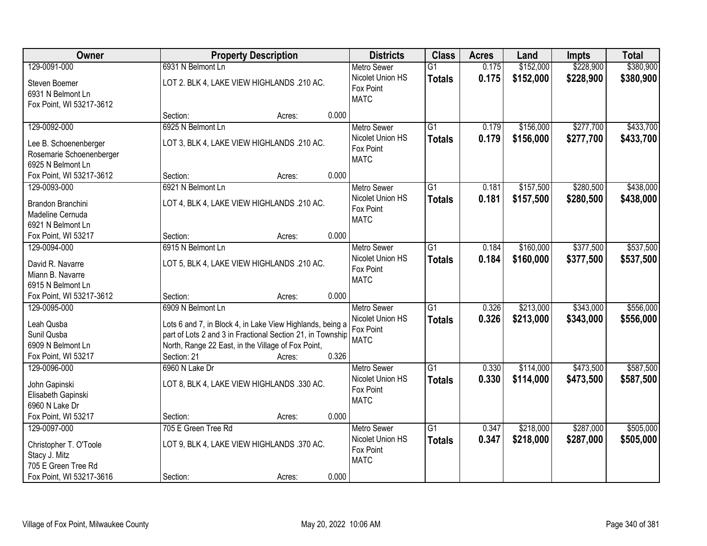| Owner                                 |                                                            | <b>Property Description</b> |       | <b>Districts</b>         | <b>Class</b>    | <b>Acres</b> | Land      | <b>Impts</b> | <b>Total</b> |
|---------------------------------------|------------------------------------------------------------|-----------------------------|-------|--------------------------|-----------------|--------------|-----------|--------------|--------------|
| 129-0091-000                          | 6931 N Belmont Ln                                          |                             |       | <b>Metro Sewer</b>       | $\overline{G1}$ | 0.175        | \$152,000 | \$228,900    | \$380,900    |
| Steven Boemer                         | LOT 2. BLK 4, LAKE VIEW HIGHLANDS .210 AC.                 |                             |       | Nicolet Union HS         | <b>Totals</b>   | 0.175        | \$152,000 | \$228,900    | \$380,900    |
| 6931 N Belmont Ln                     |                                                            |                             |       | Fox Point                |                 |              |           |              |              |
| Fox Point, WI 53217-3612              |                                                            |                             |       | <b>MATC</b>              |                 |              |           |              |              |
|                                       | Section:                                                   | Acres:                      | 0.000 |                          |                 |              |           |              |              |
| 129-0092-000                          | 6925 N Belmont Ln                                          |                             |       | <b>Metro Sewer</b>       | $\overline{G1}$ | 0.179        | \$156,000 | \$277,700    | \$433,700    |
| Lee B. Schoenenberger                 | LOT 3, BLK 4, LAKE VIEW HIGHLANDS .210 AC.                 |                             |       | Nicolet Union HS         | <b>Totals</b>   | 0.179        | \$156,000 | \$277,700    | \$433,700    |
| Rosemarie Schoenenberger              |                                                            |                             |       | Fox Point                |                 |              |           |              |              |
| 6925 N Belmont Ln                     |                                                            |                             |       | <b>MATC</b>              |                 |              |           |              |              |
| Fox Point, WI 53217-3612              | Section:                                                   | Acres:                      | 0.000 |                          |                 |              |           |              |              |
| 129-0093-000                          | 6921 N Belmont Ln                                          |                             |       | <b>Metro Sewer</b>       | G1              | 0.181        | \$157,500 | \$280,500    | \$438,000    |
|                                       |                                                            |                             |       | Nicolet Union HS         | <b>Totals</b>   | 0.181        | \$157,500 | \$280,500    | \$438,000    |
| Brandon Branchini                     | LOT 4, BLK 4, LAKE VIEW HIGHLANDS .210 AC.                 |                             |       | Fox Point                |                 |              |           |              |              |
| Madeline Cernuda<br>6921 N Belmont Ln |                                                            |                             |       | <b>MATC</b>              |                 |              |           |              |              |
| Fox Point, WI 53217                   | Section:                                                   | Acres:                      | 0.000 |                          |                 |              |           |              |              |
| 129-0094-000                          | 6915 N Belmont Ln                                          |                             |       | <b>Metro Sewer</b>       | G1              | 0.184        | \$160,000 | \$377,500    | \$537,500    |
|                                       |                                                            |                             |       | Nicolet Union HS         |                 |              |           |              |              |
| David R. Navarre                      | LOT 5, BLK 4, LAKE VIEW HIGHLANDS .210 AC.                 |                             |       | Fox Point                | <b>Totals</b>   | 0.184        | \$160,000 | \$377,500    | \$537,500    |
| Miann B. Navarre                      |                                                            |                             |       | <b>MATC</b>              |                 |              |           |              |              |
| 6915 N Belmont Ln                     |                                                            |                             |       |                          |                 |              |           |              |              |
| Fox Point, WI 53217-3612              | Section:                                                   | Acres:                      | 0.000 |                          |                 |              |           |              |              |
| 129-0095-000                          | 6909 N Belmont Ln                                          |                             |       | <b>Metro Sewer</b>       | $\overline{G1}$ | 0.326        | \$213,000 | \$343,000    | \$556,000    |
| Leah Qusba                            | Lots 6 and 7, in Block 4, in Lake View Highlands, being a  |                             |       | Nicolet Union HS         | <b>Totals</b>   | 0.326        | \$213,000 | \$343,000    | \$556,000    |
| Sunil Qusba                           | part of Lots 2 and 3 in Fractional Section 21, in Township |                             |       | Fox Point                |                 |              |           |              |              |
| 6909 N Belmont Ln                     | North, Range 22 East, in the Village of Fox Point,         |                             |       | <b>MATC</b>              |                 |              |           |              |              |
| Fox Point, WI 53217                   | Section: 21                                                | Acres:                      | 0.326 |                          |                 |              |           |              |              |
| 129-0096-000                          | 6960 N Lake Dr                                             |                             |       | <b>Metro Sewer</b>       | $\overline{G1}$ | 0.330        | \$114,000 | \$473,500    | \$587,500    |
|                                       |                                                            |                             |       | Nicolet Union HS         | <b>Totals</b>   | 0.330        | \$114,000 | \$473,500    | \$587,500    |
| John Gapinski                         | LOT 8, BLK 4, LAKE VIEW HIGHLANDS .330 AC.                 |                             |       | Fox Point                |                 |              |           |              |              |
| Elisabeth Gapinski                    |                                                            |                             |       | <b>MATC</b>              |                 |              |           |              |              |
| 6960 N Lake Dr                        |                                                            |                             |       |                          |                 |              |           |              |              |
| Fox Point, WI 53217                   | Section:                                                   | Acres:                      | 0.000 |                          |                 |              |           |              |              |
| 129-0097-000                          | 705 E Green Tree Rd                                        |                             |       | <b>Metro Sewer</b>       | $\overline{G1}$ | 0.347        | \$218,000 | \$287,000    | \$505,000    |
| Christopher T. O'Toole                | LOT 9, BLK 4, LAKE VIEW HIGHLANDS .370 AC.                 |                             |       | Nicolet Union HS         | <b>Totals</b>   | 0.347        | \$218,000 | \$287,000    | \$505,000    |
| Stacy J. Mitz                         |                                                            |                             |       | Fox Point<br><b>MATC</b> |                 |              |           |              |              |
| 705 E Green Tree Rd                   |                                                            |                             |       |                          |                 |              |           |              |              |
| Fox Point, WI 53217-3616              | Section:                                                   | Acres:                      | 0.000 |                          |                 |              |           |              |              |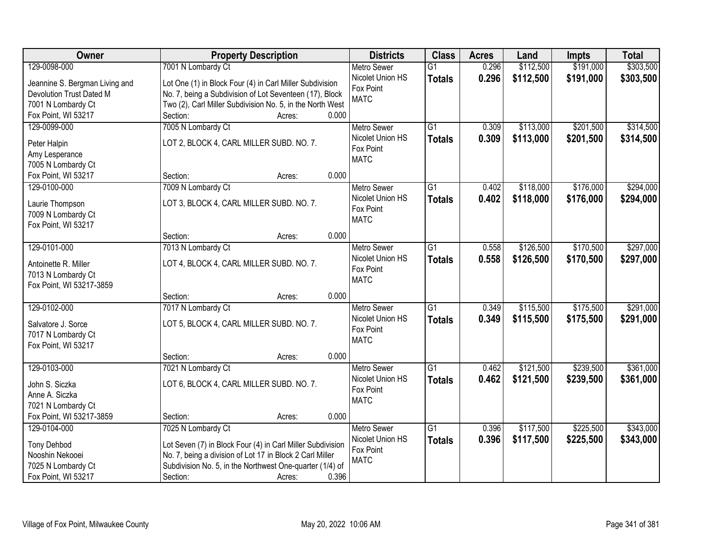| Owner                          | <b>Property Description</b>                                |       | <b>Districts</b>         | <b>Class</b>    | <b>Acres</b> | Land      | <b>Impts</b> | <b>Total</b> |
|--------------------------------|------------------------------------------------------------|-------|--------------------------|-----------------|--------------|-----------|--------------|--------------|
| 129-0098-000                   | 7001 N Lombardy Ct                                         |       | <b>Metro Sewer</b>       | $\overline{G1}$ | 0.296        | \$112,500 | \$191,000    | \$303,500    |
| Jeannine S. Bergman Living and | Lot One (1) in Block Four (4) in Carl Miller Subdivision   |       | Nicolet Union HS         | <b>Totals</b>   | 0.296        | \$112,500 | \$191,000    | \$303,500    |
| Devolution Trust Dated M       | No. 7, being a Subdivision of Lot Seventeen (17), Block    |       | Fox Point                |                 |              |           |              |              |
| 7001 N Lombardy Ct             | Two (2), Carl Miller Subdivision No. 5, in the North West  |       | <b>MATC</b>              |                 |              |           |              |              |
| Fox Point, WI 53217            | Section:<br>Acres:                                         | 0.000 |                          |                 |              |           |              |              |
| 129-0099-000                   | 7005 N Lombardy Ct                                         |       | <b>Metro Sewer</b>       | $\overline{G1}$ | 0.309        | \$113,000 | \$201,500    | \$314,500    |
|                                | LOT 2, BLOCK 4, CARL MILLER SUBD. NO. 7.                   |       | Nicolet Union HS         | <b>Totals</b>   | 0.309        | \$113,000 | \$201,500    | \$314,500    |
| Peter Halpin<br>Amy Lesperance |                                                            |       | Fox Point                |                 |              |           |              |              |
| 7005 N Lombardy Ct             |                                                            |       | <b>MATC</b>              |                 |              |           |              |              |
| Fox Point, WI 53217            | Section:<br>Acres:                                         | 0.000 |                          |                 |              |           |              |              |
| 129-0100-000                   | 7009 N Lombardy Ct                                         |       | Metro Sewer              | G1              | 0.402        | \$118,000 | \$176,000    | \$294,000    |
|                                |                                                            |       | Nicolet Union HS         | <b>Totals</b>   | 0.402        | \$118,000 | \$176,000    | \$294,000    |
| Laurie Thompson                | LOT 3, BLOCK 4, CARL MILLER SUBD. NO. 7.                   |       | Fox Point                |                 |              |           |              |              |
| 7009 N Lombardy Ct             |                                                            |       | <b>MATC</b>              |                 |              |           |              |              |
| Fox Point, WI 53217            | Section:<br>Acres:                                         | 0.000 |                          |                 |              |           |              |              |
| 129-0101-000                   | 7013 N Lombardy Ct                                         |       | <b>Metro Sewer</b>       | G1              | 0.558        | \$126,500 | \$170,500    | \$297,000    |
|                                |                                                            |       | Nicolet Union HS         |                 | 0.558        | \$126,500 | \$170,500    | \$297,000    |
| Antoinette R. Miller           | LOT 4, BLOCK 4, CARL MILLER SUBD. NO. 7.                   |       | Fox Point                | <b>Totals</b>   |              |           |              |              |
| 7013 N Lombardy Ct             |                                                            |       | <b>MATC</b>              |                 |              |           |              |              |
| Fox Point, WI 53217-3859       |                                                            |       |                          |                 |              |           |              |              |
|                                | Section:<br>Acres:                                         | 0.000 |                          |                 |              |           |              |              |
| 129-0102-000                   | 7017 N Lombardy Ct                                         |       | <b>Metro Sewer</b>       | $\overline{G1}$ | 0.349        | \$115,500 | \$175,500    | \$291,000    |
| Salvatore J. Sorce             | LOT 5, BLOCK 4, CARL MILLER SUBD. NO. 7.                   |       | Nicolet Union HS         | <b>Totals</b>   | 0.349        | \$115,500 | \$175,500    | \$291,000    |
| 7017 N Lombardy Ct             |                                                            |       | Fox Point<br><b>MATC</b> |                 |              |           |              |              |
| Fox Point, WI 53217            |                                                            |       |                          |                 |              |           |              |              |
|                                | Section:<br>Acres:                                         | 0.000 |                          |                 |              |           |              |              |
| 129-0103-000                   | 7021 N Lombardy Ct                                         |       | <b>Metro Sewer</b>       | $\overline{G1}$ | 0.462        | \$121,500 | \$239,500    | \$361,000    |
| John S. Siczka                 | LOT 6, BLOCK 4, CARL MILLER SUBD. NO. 7.                   |       | Nicolet Union HS         | <b>Totals</b>   | 0.462        | \$121,500 | \$239,500    | \$361,000    |
| Anne A. Siczka                 |                                                            |       | Fox Point                |                 |              |           |              |              |
| 7021 N Lombardy Ct             |                                                            |       | <b>MATC</b>              |                 |              |           |              |              |
| Fox Point, WI 53217-3859       | Section:<br>Acres:                                         | 0.000 |                          |                 |              |           |              |              |
| 129-0104-000                   | 7025 N Lombardy Ct                                         |       | <b>Metro Sewer</b>       | $\overline{G1}$ | 0.396        | \$117,500 | \$225,500    | \$343,000    |
| <b>Tony Dehbod</b>             | Lot Seven (7) in Block Four (4) in Carl Miller Subdivision |       | Nicolet Union HS         | <b>Totals</b>   | 0.396        | \$117,500 | \$225,500    | \$343,000    |
| Nooshin Nekooei                | No. 7, being a division of Lot 17 in Block 2 Carl Miller   |       | Fox Point                |                 |              |           |              |              |
| 7025 N Lombardy Ct             | Subdivision No. 5, in the Northwest One-quarter (1/4) of   |       | <b>MATC</b>              |                 |              |           |              |              |
| Fox Point, WI 53217            | Section:<br>Acres:                                         | 0.396 |                          |                 |              |           |              |              |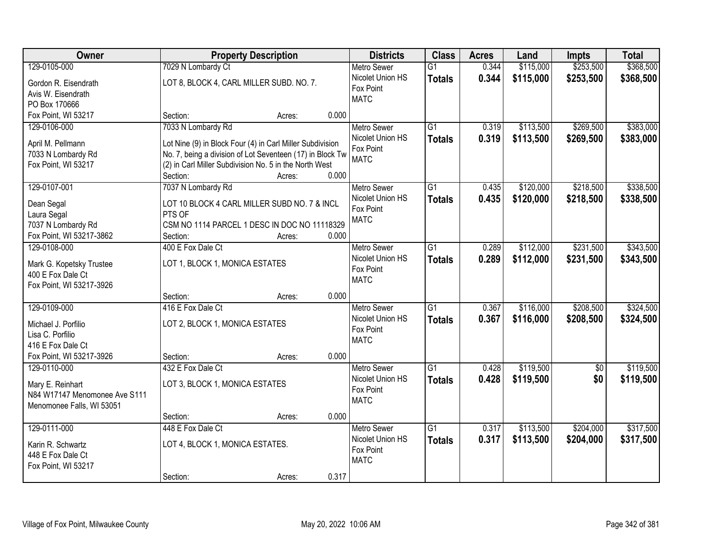| Owner                                     |                                                                                                                     | <b>Property Description</b> |       | <b>Districts</b>   | <b>Class</b>    | <b>Acres</b> | Land      | <b>Impts</b>    | <b>Total</b> |
|-------------------------------------------|---------------------------------------------------------------------------------------------------------------------|-----------------------------|-------|--------------------|-----------------|--------------|-----------|-----------------|--------------|
| 129-0105-000                              | 7029 N Lombardy Ct                                                                                                  |                             |       | <b>Metro Sewer</b> | $\overline{G1}$ | 0.344        | \$115,000 | \$253,500       | \$368,500    |
| Gordon R. Eisendrath                      | LOT 8, BLOCK 4, CARL MILLER SUBD. NO. 7.                                                                            |                             |       | Nicolet Union HS   | <b>Totals</b>   | 0.344        | \$115,000 | \$253,500       | \$368,500    |
| Avis W. Eisendrath                        |                                                                                                                     |                             |       | Fox Point          |                 |              |           |                 |              |
| PO Box 170666                             |                                                                                                                     |                             |       | <b>MATC</b>        |                 |              |           |                 |              |
| Fox Point, WI 53217                       | Section:                                                                                                            | Acres:                      | 0.000 |                    |                 |              |           |                 |              |
| 129-0106-000                              | 7033 N Lombardy Rd                                                                                                  |                             |       | <b>Metro Sewer</b> | $\overline{G1}$ | 0.319        | \$113,500 | \$269,500       | \$383,000    |
|                                           |                                                                                                                     |                             |       | Nicolet Union HS   | <b>Totals</b>   | 0.319        | \$113,500 | \$269,500       | \$383,000    |
| April M. Pellmann                         | Lot Nine (9) in Block Four (4) in Carl Miller Subdivision                                                           |                             |       | Fox Point          |                 |              |           |                 |              |
| 7033 N Lombardy Rd<br>Fox Point, WI 53217 | No. 7, being a division of Lot Seventeen (17) in Block Tw<br>(2) in Carl Miller Subdivision No. 5 in the North West |                             |       | <b>MATC</b>        |                 |              |           |                 |              |
|                                           | Section:                                                                                                            | Acres:                      | 0.000 |                    |                 |              |           |                 |              |
| 129-0107-001                              | 7037 N Lombardy Rd                                                                                                  |                             |       | Metro Sewer        | G1              | 0.435        | \$120,000 | \$218,500       | \$338,500    |
|                                           |                                                                                                                     |                             |       | Nicolet Union HS   | <b>Totals</b>   | 0.435        | \$120,000 | \$218,500       | \$338,500    |
| Dean Segal                                | LOT 10 BLOCK 4 CARL MILLER SUBD NO. 7 & INCL                                                                        |                             |       | Fox Point          |                 |              |           |                 |              |
| Laura Segal                               | PTS OF                                                                                                              |                             |       | <b>MATC</b>        |                 |              |           |                 |              |
| 7037 N Lombardy Rd                        | CSM NO 1114 PARCEL 1 DESC IN DOC NO 11118329                                                                        |                             |       |                    |                 |              |           |                 |              |
| Fox Point, WI 53217-3862                  | Section:                                                                                                            | Acres:                      | 0.000 |                    |                 |              |           |                 |              |
| 129-0108-000                              | 400 E Fox Dale Ct                                                                                                   |                             |       | <b>Metro Sewer</b> | G1              | 0.289        | \$112,000 | \$231,500       | \$343,500    |
| Mark G. Kopetsky Trustee                  | LOT 1, BLOCK 1, MONICA ESTATES                                                                                      |                             |       | Nicolet Union HS   | <b>Totals</b>   | 0.289        | \$112,000 | \$231,500       | \$343,500    |
| 400 E Fox Dale Ct                         |                                                                                                                     |                             |       | Fox Point          |                 |              |           |                 |              |
| Fox Point, WI 53217-3926                  |                                                                                                                     |                             |       | <b>MATC</b>        |                 |              |           |                 |              |
|                                           | Section:                                                                                                            | Acres:                      | 0.000 |                    |                 |              |           |                 |              |
| 129-0109-000                              | 416 E Fox Dale Ct                                                                                                   |                             |       | <b>Metro Sewer</b> | $\overline{G1}$ | 0.367        | \$116,000 | \$208,500       | \$324,500    |
|                                           | LOT 2, BLOCK 1, MONICA ESTATES                                                                                      |                             |       | Nicolet Union HS   | <b>Totals</b>   | 0.367        | \$116,000 | \$208,500       | \$324,500    |
| Michael J. Porfilio<br>Lisa C. Porfilio   |                                                                                                                     |                             |       | Fox Point          |                 |              |           |                 |              |
| 416 E Fox Dale Ct                         |                                                                                                                     |                             |       | <b>MATC</b>        |                 |              |           |                 |              |
| Fox Point, WI 53217-3926                  | Section:                                                                                                            | Acres:                      | 0.000 |                    |                 |              |           |                 |              |
| 129-0110-000                              | 432 E Fox Dale Ct                                                                                                   |                             |       | <b>Metro Sewer</b> | $\overline{G1}$ | 0.428        | \$119,500 | $\overline{50}$ | \$119,500    |
|                                           |                                                                                                                     |                             |       | Nicolet Union HS   | <b>Totals</b>   | 0.428        | \$119,500 | \$0             | \$119,500    |
| Mary E. Reinhart                          | LOT 3, BLOCK 1, MONICA ESTATES                                                                                      |                             |       | Fox Point          |                 |              |           |                 |              |
| N84 W17147 Menomonee Ave S111             |                                                                                                                     |                             |       | <b>MATC</b>        |                 |              |           |                 |              |
| Menomonee Falls, WI 53051                 |                                                                                                                     |                             |       |                    |                 |              |           |                 |              |
|                                           | Section:                                                                                                            | Acres:                      | 0.000 |                    |                 |              |           |                 |              |
| 129-0111-000                              | 448 E Fox Dale Ct                                                                                                   |                             |       | <b>Metro Sewer</b> | $\overline{G1}$ | 0.317        | \$113,500 | \$204,000       | \$317,500    |
| Karin R. Schwartz                         | LOT 4, BLOCK 1, MONICA ESTATES.                                                                                     |                             |       | Nicolet Union HS   | <b>Totals</b>   | 0.317        | \$113,500 | \$204,000       | \$317,500    |
| 448 E Fox Dale Ct                         |                                                                                                                     |                             |       | Fox Point          |                 |              |           |                 |              |
| Fox Point, WI 53217                       |                                                                                                                     |                             |       | <b>MATC</b>        |                 |              |           |                 |              |
|                                           | Section:                                                                                                            | Acres:                      | 0.317 |                    |                 |              |           |                 |              |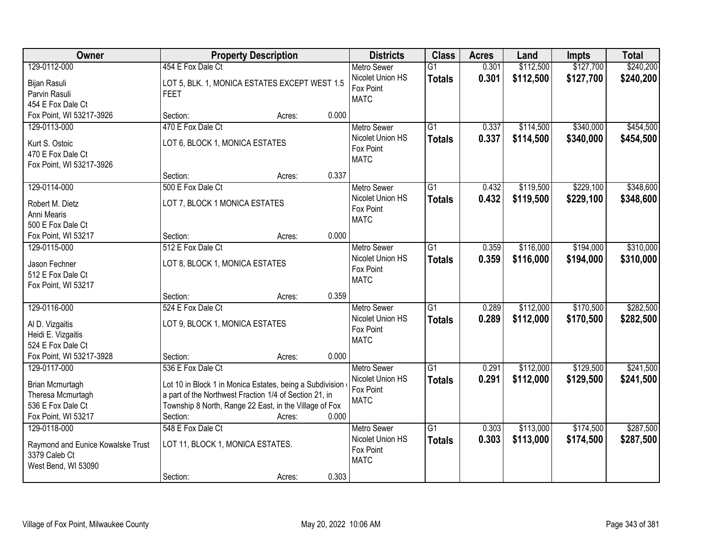| Owner                                         | <b>Property Description</b>                              |        |       | <b>Districts</b>              | <b>Class</b>    | <b>Acres</b> | Land      | <b>Impts</b> | <b>Total</b> |
|-----------------------------------------------|----------------------------------------------------------|--------|-------|-------------------------------|-----------------|--------------|-----------|--------------|--------------|
| 129-0112-000                                  | 454 E Fox Dale Ct                                        |        |       | <b>Metro Sewer</b>            | $\overline{G1}$ | 0.301        | \$112,500 | \$127,700    | \$240,200    |
| Bijan Rasuli                                  | LOT 5, BLK. 1, MONICA ESTATES EXCEPT WEST 1.5            |        |       | Nicolet Union HS<br>Fox Point | <b>Totals</b>   | 0.301        | \$112,500 | \$127,700    | \$240,200    |
| Parvin Rasuli                                 | <b>FEET</b>                                              |        |       | <b>MATC</b>                   |                 |              |           |              |              |
| 454 E Fox Dale Ct                             |                                                          |        |       |                               |                 |              |           |              |              |
| Fox Point, WI 53217-3926                      | Section:                                                 | Acres: | 0.000 |                               |                 |              |           |              |              |
| 129-0113-000                                  | 470 E Fox Dale Ct                                        |        |       | <b>Metro Sewer</b>            | $\overline{G1}$ | 0.337        | \$114,500 | \$340,000    | \$454,500    |
| Kurt S. Ostoic                                | LOT 6, BLOCK 1, MONICA ESTATES                           |        |       | Nicolet Union HS              | <b>Totals</b>   | 0.337        | \$114,500 | \$340,000    | \$454,500    |
| 470 E Fox Dale Ct                             |                                                          |        |       | Fox Point                     |                 |              |           |              |              |
| Fox Point, WI 53217-3926                      |                                                          |        |       | <b>MATC</b>                   |                 |              |           |              |              |
|                                               | Section:                                                 | Acres: | 0.337 |                               |                 |              |           |              |              |
| 129-0114-000                                  | 500 E Fox Dale Ct                                        |        |       | Metro Sewer                   | $\overline{G1}$ | 0.432        | \$119,500 | \$229,100    | \$348,600    |
| Robert M. Dietz                               | LOT 7, BLOCK 1 MONICA ESTATES                            |        |       | Nicolet Union HS              | <b>Totals</b>   | 0.432        | \$119,500 | \$229,100    | \$348,600    |
| Anni Mearis                                   |                                                          |        |       | Fox Point                     |                 |              |           |              |              |
| 500 E Fox Dale Ct                             |                                                          |        |       | <b>MATC</b>                   |                 |              |           |              |              |
| Fox Point, WI 53217                           | Section:                                                 | Acres: | 0.000 |                               |                 |              |           |              |              |
| 129-0115-000                                  | 512 E Fox Dale Ct                                        |        |       | <b>Metro Sewer</b>            | $\overline{G1}$ | 0.359        | \$116,000 | \$194,000    | \$310,000    |
|                                               |                                                          |        |       | Nicolet Union HS              | <b>Totals</b>   | 0.359        | \$116,000 | \$194,000    | \$310,000    |
| Jason Fechner<br>512 E Fox Dale Ct            | LOT 8, BLOCK 1, MONICA ESTATES                           |        |       | Fox Point                     |                 |              |           |              |              |
| Fox Point, WI 53217                           |                                                          |        |       | <b>MATC</b>                   |                 |              |           |              |              |
|                                               | Section:                                                 | Acres: | 0.359 |                               |                 |              |           |              |              |
| 129-0116-000                                  | 524 E Fox Dale Ct                                        |        |       | <b>Metro Sewer</b>            | $\overline{G1}$ | 0.289        | \$112,000 | \$170,500    | \$282,500    |
|                                               |                                                          |        |       | Nicolet Union HS              | <b>Totals</b>   | 0.289        | \$112,000 | \$170,500    | \$282,500    |
| Al D. Vizgaitis                               | LOT 9, BLOCK 1, MONICA ESTATES                           |        |       | Fox Point                     |                 |              |           |              |              |
| Heidi E. Vizgaitis                            |                                                          |        |       | <b>MATC</b>                   |                 |              |           |              |              |
| 524 E Fox Dale Ct<br>Fox Point, WI 53217-3928 | Section:                                                 | Acres: | 0.000 |                               |                 |              |           |              |              |
| 129-0117-000                                  | 536 E Fox Dale Ct                                        |        |       | <b>Metro Sewer</b>            | $\overline{G1}$ | 0.291        | \$112,000 | \$129,500    | \$241,500    |
|                                               |                                                          |        |       | Nicolet Union HS              | <b>Totals</b>   | 0.291        | \$112,000 | \$129,500    | \$241,500    |
| Brian Mcmurtagh                               | Lot 10 in Block 1 in Monica Estates, being a Subdivision |        |       | Fox Point                     |                 |              |           |              |              |
| Theresa Mcmurtagh                             | a part of the Northwest Fraction 1/4 of Section 21, in   |        |       | <b>MATC</b>                   |                 |              |           |              |              |
| 536 E Fox Dale Ct                             | Township 8 North, Range 22 East, in the Village of Fox   |        |       |                               |                 |              |           |              |              |
| Fox Point, WI 53217                           | Section:                                                 | Acres: | 0.000 |                               |                 |              |           |              |              |
| 129-0118-000                                  | 548 E Fox Dale Ct                                        |        |       | <b>Metro Sewer</b>            | $\overline{G1}$ | 0.303        | \$113,000 | \$174,500    | \$287,500    |
| Raymond and Eunice Kowalske Trust             | LOT 11, BLOCK 1, MONICA ESTATES.                         |        |       | Nicolet Union HS              | <b>Totals</b>   | 0.303        | \$113,000 | \$174,500    | \$287,500    |
| 3379 Caleb Ct                                 |                                                          |        |       | Fox Point<br><b>MATC</b>      |                 |              |           |              |              |
| West Bend, WI 53090                           |                                                          |        |       |                               |                 |              |           |              |              |
|                                               | Section:                                                 | Acres: | 0.303 |                               |                 |              |           |              |              |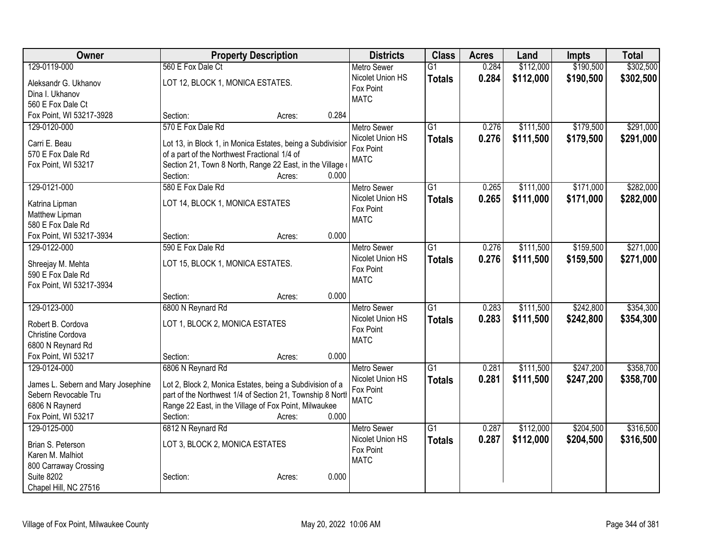| Owner                              | <b>Property Description</b>                                |                 | <b>Districts</b>              | <b>Class</b>    | <b>Acres</b> | Land      | <b>Impts</b> | <b>Total</b> |
|------------------------------------|------------------------------------------------------------|-----------------|-------------------------------|-----------------|--------------|-----------|--------------|--------------|
| 129-0119-000                       | 560 E Fox Dale Ct                                          |                 | <b>Metro Sewer</b>            | $\overline{G1}$ | 0.284        | \$112,000 | \$190,500    | \$302,500    |
| Aleksandr G. Ukhanov               | LOT 12, BLOCK 1, MONICA ESTATES.                           |                 | Nicolet Union HS              | <b>Totals</b>   | 0.284        | \$112,000 | \$190,500    | \$302,500    |
| Dina I. Ukhanov                    |                                                            |                 | Fox Point                     |                 |              |           |              |              |
| 560 E Fox Dale Ct                  |                                                            |                 | <b>MATC</b>                   |                 |              |           |              |              |
| Fox Point, WI 53217-3928           | Section:                                                   | 0.284<br>Acres: |                               |                 |              |           |              |              |
| 129-0120-000                       | 570 E Fox Dale Rd                                          |                 | <b>Metro Sewer</b>            | $\overline{G1}$ | 0.276        | \$111,500 | \$179,500    | \$291,000    |
| Carri E. Beau                      | Lot 13, in Block 1, in Monica Estates, being a Subdivision |                 | Nicolet Union HS              | <b>Totals</b>   | 0.276        | \$111,500 | \$179,500    | \$291,000    |
| 570 E Fox Dale Rd                  | of a part of the Northwest Fractional 1/4 of               |                 | Fox Point                     |                 |              |           |              |              |
| Fox Point, WI 53217                | Section 21, Town 8 North, Range 22 East, in the Village    |                 | <b>MATC</b>                   |                 |              |           |              |              |
|                                    | Section:                                                   | 0.000<br>Acres: |                               |                 |              |           |              |              |
| 129-0121-000                       | 580 E Fox Dale Rd                                          |                 | <b>Metro Sewer</b>            | G1              | 0.265        | \$111,000 | \$171,000    | \$282,000    |
|                                    |                                                            |                 | Nicolet Union HS              | <b>Totals</b>   | 0.265        | \$111,000 | \$171,000    | \$282,000    |
| Katrina Lipman<br>Matthew Lipman   | LOT 14, BLOCK 1, MONICA ESTATES                            |                 | Fox Point                     |                 |              |           |              |              |
| 580 E Fox Dale Rd                  |                                                            |                 | <b>MATC</b>                   |                 |              |           |              |              |
| Fox Point, WI 53217-3934           | Section:                                                   | 0.000<br>Acres: |                               |                 |              |           |              |              |
| 129-0122-000                       | 590 E Fox Dale Rd                                          |                 | <b>Metro Sewer</b>            | $\overline{G1}$ | 0.276        | \$111,500 | \$159,500    | \$271,000    |
|                                    |                                                            |                 | Nicolet Union HS              | <b>Totals</b>   | 0.276        | \$111,500 | \$159,500    | \$271,000    |
| Shreejay M. Mehta                  | LOT 15, BLOCK 1, MONICA ESTATES.                           |                 | Fox Point                     |                 |              |           |              |              |
| 590 E Fox Dale Rd                  |                                                            |                 | <b>MATC</b>                   |                 |              |           |              |              |
| Fox Point, WI 53217-3934           | Section:                                                   | 0.000<br>Acres: |                               |                 |              |           |              |              |
| 129-0123-000                       | 6800 N Reynard Rd                                          |                 | <b>Metro Sewer</b>            | $\overline{G1}$ | 0.283        | \$111,500 | \$242,800    | \$354,300    |
|                                    |                                                            |                 | Nicolet Union HS              | <b>Totals</b>   | 0.283        | \$111,500 | \$242,800    | \$354,300    |
| Robert B. Cordova                  | LOT 1, BLOCK 2, MONICA ESTATES                             |                 | Fox Point                     |                 |              |           |              |              |
| Christine Cordova                  |                                                            |                 | <b>MATC</b>                   |                 |              |           |              |              |
| 6800 N Reynard Rd                  |                                                            |                 |                               |                 |              |           |              |              |
| Fox Point, WI 53217                | Section:                                                   | 0.000<br>Acres: |                               |                 |              |           |              |              |
| 129-0124-000                       | 6806 N Reynard Rd                                          |                 | Metro Sewer                   | $\overline{G1}$ | 0.281        | \$111,500 | \$247,200    | \$358,700    |
| James L. Sebern and Mary Josephine | Lot 2, Block 2, Monica Estates, being a Subdivision of a   |                 | Nicolet Union HS<br>Fox Point | <b>Totals</b>   | 0.281        | \$111,500 | \$247,200    | \$358,700    |
| Sebern Revocable Tru               | part of the Northwest 1/4 of Section 21, Township 8 North  |                 | <b>MATC</b>                   |                 |              |           |              |              |
| 6806 N Raynerd                     | Range 22 East, in the Village of Fox Point, Milwaukee      |                 |                               |                 |              |           |              |              |
| Fox Point, WI 53217                | Section:                                                   | 0.000<br>Acres: |                               |                 |              |           |              |              |
| 129-0125-000                       | 6812 N Reynard Rd                                          |                 | Metro Sewer                   | $\overline{G1}$ | 0.287        | \$112,000 | \$204,500    | \$316,500    |
| Brian S. Peterson                  | LOT 3, BLOCK 2, MONICA ESTATES                             |                 | Nicolet Union HS              | <b>Totals</b>   | 0.287        | \$112,000 | \$204,500    | \$316,500    |
| Karen M. Malhiot                   |                                                            |                 | Fox Point<br><b>MATC</b>      |                 |              |           |              |              |
| 800 Carraway Crossing              |                                                            |                 |                               |                 |              |           |              |              |
| <b>Suite 8202</b>                  | Section:                                                   | 0.000<br>Acres: |                               |                 |              |           |              |              |
| Chapel Hill, NC 27516              |                                                            |                 |                               |                 |              |           |              |              |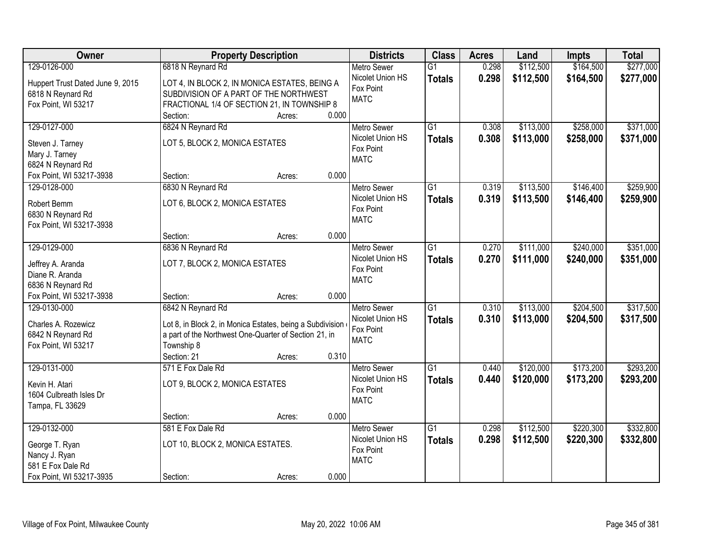| \$164,500<br>\$277,000<br>129-0126-000<br>6818 N Reynard Rd<br>0.298<br>\$112,500<br><b>Metro Sewer</b><br>$\overline{G1}$<br>Nicolet Union HS<br>0.298<br>\$112,500<br>\$164,500<br>\$277,000<br><b>Totals</b><br>Huppert Trust Dated June 9, 2015<br>LOT 4, IN BLOCK 2, IN MONICA ESTATES, BEING A<br>Fox Point<br>SUBDIVISION OF A PART OF THE NORTHWEST<br>6818 N Reynard Rd<br><b>MATC</b> | Owner |
|-------------------------------------------------------------------------------------------------------------------------------------------------------------------------------------------------------------------------------------------------------------------------------------------------------------------------------------------------------------------------------------------------|-------|
|                                                                                                                                                                                                                                                                                                                                                                                                 |       |
|                                                                                                                                                                                                                                                                                                                                                                                                 |       |
|                                                                                                                                                                                                                                                                                                                                                                                                 |       |
| Fox Point, WI 53217<br>FRACTIONAL 1/4 OF SECTION 21, IN TOWNSHIP 8                                                                                                                                                                                                                                                                                                                              |       |
| 0.000<br>Section:<br>Acres:                                                                                                                                                                                                                                                                                                                                                                     |       |
| 129-0127-000<br>6824 N Reynard Rd<br>$\overline{G1}$<br>\$113,000<br>\$258,000<br>\$371,000<br>0.308<br>Metro Sewer                                                                                                                                                                                                                                                                             |       |
| Nicolet Union HS<br>0.308<br>\$113,000<br>\$258,000<br>\$371,000<br><b>Totals</b><br>LOT 5, BLOCK 2, MONICA ESTATES<br>Steven J. Tarney                                                                                                                                                                                                                                                         |       |
| Fox Point<br>Mary J. Tarney<br><b>MATC</b>                                                                                                                                                                                                                                                                                                                                                      |       |
| 6824 N Reynard Rd                                                                                                                                                                                                                                                                                                                                                                               |       |
| 0.000<br>Fox Point, WI 53217-3938<br>Section:<br>Acres:                                                                                                                                                                                                                                                                                                                                         |       |
| \$146,400<br>\$259,900<br>129-0128-000<br>6830 N Reynard Rd<br>G1<br>0.319<br>\$113,500<br><b>Metro Sewer</b>                                                                                                                                                                                                                                                                                   |       |
| Nicolet Union HS<br>0.319<br>\$113,500<br>\$146,400<br>\$259,900<br><b>Totals</b>                                                                                                                                                                                                                                                                                                               |       |
| LOT 6, BLOCK 2, MONICA ESTATES<br>Robert Bemm<br>Fox Point                                                                                                                                                                                                                                                                                                                                      |       |
| 6830 N Reynard Rd<br><b>MATC</b>                                                                                                                                                                                                                                                                                                                                                                |       |
| Fox Point, WI 53217-3938<br>0.000<br>Section:                                                                                                                                                                                                                                                                                                                                                   |       |
| Acres:<br>129-0129-000<br>6836 N Reynard Rd<br>\$111,000<br>\$240,000<br>\$351,000<br>G1<br>0.270                                                                                                                                                                                                                                                                                               |       |
| <b>Metro Sewer</b><br>Nicolet Union HS                                                                                                                                                                                                                                                                                                                                                          |       |
| 0.270<br>\$111,000<br>\$240,000<br>\$351,000<br><b>Totals</b><br>LOT 7, BLOCK 2, MONICA ESTATES<br>Jeffrey A. Aranda<br>Fox Point                                                                                                                                                                                                                                                               |       |
| Diane R. Aranda<br><b>MATC</b>                                                                                                                                                                                                                                                                                                                                                                  |       |
| 6836 N Reynard Rd                                                                                                                                                                                                                                                                                                                                                                               |       |
| 0.000<br>Fox Point, WI 53217-3938<br>Section:<br>Acres:                                                                                                                                                                                                                                                                                                                                         |       |
| 6842 N Reynard Rd<br>\$204,500<br>\$317,500<br>129-0130-000<br>$\overline{G1}$<br>0.310<br>\$113,000<br><b>Metro Sewer</b>                                                                                                                                                                                                                                                                      |       |
| 0.310<br>\$113,000<br>\$204,500<br>\$317,500<br>Nicolet Union HS<br><b>Totals</b><br>Charles A. Rozewicz                                                                                                                                                                                                                                                                                        |       |
| Lot 8, in Block 2, in Monica Estates, being a Subdivision<br>Fox Point<br>a part of the Northwest One-Quarter of Section 21, in<br>6842 N Reynard Rd                                                                                                                                                                                                                                            |       |
| <b>MATC</b><br>Fox Point, WI 53217<br>Township 8                                                                                                                                                                                                                                                                                                                                                |       |
| Section: 21<br>0.310<br>Acres:                                                                                                                                                                                                                                                                                                                                                                  |       |
| $\overline{G1}$<br>\$173,200<br>\$293,200<br>129-0131-000<br>571 E Fox Dale Rd<br>\$120,000<br>Metro Sewer<br>0.440                                                                                                                                                                                                                                                                             |       |
| Nicolet Union HS                                                                                                                                                                                                                                                                                                                                                                                |       |
| 0.440<br>\$120,000<br>\$173,200<br>\$293,200<br><b>Totals</b><br>LOT 9, BLOCK 2, MONICA ESTATES<br>Kevin H. Atari<br>Fox Point                                                                                                                                                                                                                                                                  |       |
| 1604 Culbreath Isles Dr<br><b>MATC</b>                                                                                                                                                                                                                                                                                                                                                          |       |
| Tampa, FL 33629                                                                                                                                                                                                                                                                                                                                                                                 |       |
| 0.000<br>Section:<br>Acres:                                                                                                                                                                                                                                                                                                                                                                     |       |
| 129-0132-000<br>581 E Fox Dale Rd<br>$\overline{G1}$<br>\$112,500<br>\$220,300<br>\$332,800<br>0.298<br><b>Metro Sewer</b>                                                                                                                                                                                                                                                                      |       |
| Nicolet Union HS<br>0.298<br>\$112,500<br>\$220,300<br>\$332,800<br><b>Totals</b><br>LOT 10, BLOCK 2, MONICA ESTATES.<br>George T. Ryan                                                                                                                                                                                                                                                         |       |
| Fox Point<br>Nancy J. Ryan                                                                                                                                                                                                                                                                                                                                                                      |       |
| <b>MATC</b><br>581 E Fox Dale Rd                                                                                                                                                                                                                                                                                                                                                                |       |
| 0.000<br>Fox Point, WI 53217-3935<br>Section:<br>Acres:                                                                                                                                                                                                                                                                                                                                         |       |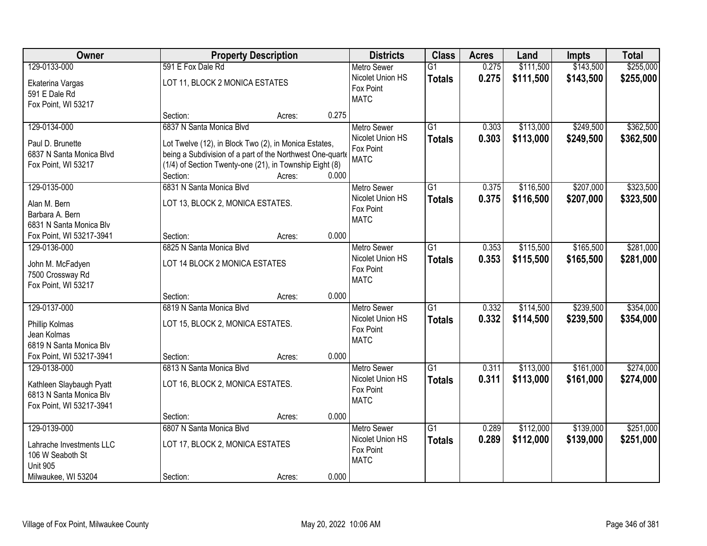| Owner                    |                                                           | <b>Property Description</b> |       | <b>Districts</b>         | <b>Class</b>    | <b>Acres</b> | Land      | <b>Impts</b> | <b>Total</b> |
|--------------------------|-----------------------------------------------------------|-----------------------------|-------|--------------------------|-----------------|--------------|-----------|--------------|--------------|
| 129-0133-000             | 591 E Fox Dale Rd                                         |                             |       | <b>Metro Sewer</b>       | $\overline{G1}$ | 0.275        | \$111,500 | \$143,500    | \$255,000    |
| Ekaterina Vargas         | LOT 11, BLOCK 2 MONICA ESTATES                            |                             |       | Nicolet Union HS         | <b>Totals</b>   | 0.275        | \$111,500 | \$143,500    | \$255,000    |
| 591 E Dale Rd            |                                                           |                             |       | Fox Point                |                 |              |           |              |              |
| Fox Point, WI 53217      |                                                           |                             |       | <b>MATC</b>              |                 |              |           |              |              |
|                          | Section:                                                  | Acres:                      | 0.275 |                          |                 |              |           |              |              |
| 129-0134-000             | 6837 N Santa Monica Blvd                                  |                             |       | <b>Metro Sewer</b>       | $\overline{G1}$ | 0.303        | \$113,000 | \$249,500    | \$362,500    |
| Paul D. Brunette         | Lot Twelve (12), in Block Two (2), in Monica Estates,     |                             |       | Nicolet Union HS         | <b>Totals</b>   | 0.303        | \$113,000 | \$249,500    | \$362,500    |
| 6837 N Santa Monica Blvd | being a Subdivision of a part of the Northwest One-quarte |                             |       | Fox Point                |                 |              |           |              |              |
| Fox Point, WI 53217      | (1/4) of Section Twenty-one (21), in Township Eight (8)   |                             |       | <b>MATC</b>              |                 |              |           |              |              |
|                          | Section:                                                  | Acres:                      | 0.000 |                          |                 |              |           |              |              |
| 129-0135-000             | 6831 N Santa Monica Blvd                                  |                             |       | <b>Metro Sewer</b>       | G1              | 0.375        | \$116,500 | \$207,000    | \$323,500    |
|                          |                                                           |                             |       | Nicolet Union HS         | <b>Totals</b>   | 0.375        | \$116,500 | \$207,000    | \$323,500    |
| Alan M. Bern             | LOT 13, BLOCK 2, MONICA ESTATES.                          |                             |       | Fox Point                |                 |              |           |              |              |
| Barbara A. Bern          |                                                           |                             |       | <b>MATC</b>              |                 |              |           |              |              |
| 6831 N Santa Monica Blv  |                                                           |                             | 0.000 |                          |                 |              |           |              |              |
| Fox Point, WI 53217-3941 | Section:                                                  | Acres:                      |       |                          |                 |              |           |              |              |
| 129-0136-000             | 6825 N Santa Monica Blvd                                  |                             |       | <b>Metro Sewer</b>       | G1              | 0.353        | \$115,500 | \$165,500    | \$281,000    |
| John M. McFadyen         | LOT 14 BLOCK 2 MONICA ESTATES                             |                             |       | Nicolet Union HS         | <b>Totals</b>   | 0.353        | \$115,500 | \$165,500    | \$281,000    |
| 7500 Crossway Rd         |                                                           |                             |       | Fox Point<br><b>MATC</b> |                 |              |           |              |              |
| Fox Point, WI 53217      |                                                           |                             |       |                          |                 |              |           |              |              |
|                          | Section:                                                  | Acres:                      | 0.000 |                          |                 |              |           |              |              |
| 129-0137-000             | 6819 N Santa Monica Blvd                                  |                             |       | <b>Metro Sewer</b>       | $\overline{G1}$ | 0.332        | \$114,500 | \$239,500    | \$354,000    |
| Phillip Kolmas           | LOT 15, BLOCK 2, MONICA ESTATES.                          |                             |       | Nicolet Union HS         | <b>Totals</b>   | 0.332        | \$114,500 | \$239,500    | \$354,000    |
| Jean Kolmas              |                                                           |                             |       | Fox Point                |                 |              |           |              |              |
| 6819 N Santa Monica Blv  |                                                           |                             |       | <b>MATC</b>              |                 |              |           |              |              |
| Fox Point, WI 53217-3941 | Section:                                                  | Acres:                      | 0.000 |                          |                 |              |           |              |              |
| 129-0138-000             | 6813 N Santa Monica Blvd                                  |                             |       | <b>Metro Sewer</b>       | $\overline{G1}$ | 0.311        | \$113,000 | \$161,000    | \$274,000    |
|                          |                                                           |                             |       | Nicolet Union HS         | <b>Totals</b>   | 0.311        | \$113,000 | \$161,000    | \$274,000    |
| Kathleen Slaybaugh Pyatt | LOT 16, BLOCK 2, MONICA ESTATES.                          |                             |       | Fox Point                |                 |              |           |              |              |
| 6813 N Santa Monica Blv  |                                                           |                             |       | <b>MATC</b>              |                 |              |           |              |              |
| Fox Point, WI 53217-3941 |                                                           |                             |       |                          |                 |              |           |              |              |
|                          | Section:                                                  | Acres:                      | 0.000 |                          |                 |              |           |              |              |
| 129-0139-000             | 6807 N Santa Monica Blvd                                  |                             |       | <b>Metro Sewer</b>       | $\overline{G1}$ | 0.289        | \$112,000 | \$139,000    | \$251,000    |
| Lahrache Investments LLC | LOT 17, BLOCK 2, MONICA ESTATES                           |                             |       | Nicolet Union HS         | <b>Totals</b>   | 0.289        | \$112,000 | \$139,000    | \$251,000    |
| 106 W Seaboth St         |                                                           |                             |       | Fox Point                |                 |              |           |              |              |
| <b>Unit 905</b>          |                                                           |                             |       | <b>MATC</b>              |                 |              |           |              |              |
| Milwaukee, WI 53204      | Section:                                                  | Acres:                      | 0.000 |                          |                 |              |           |              |              |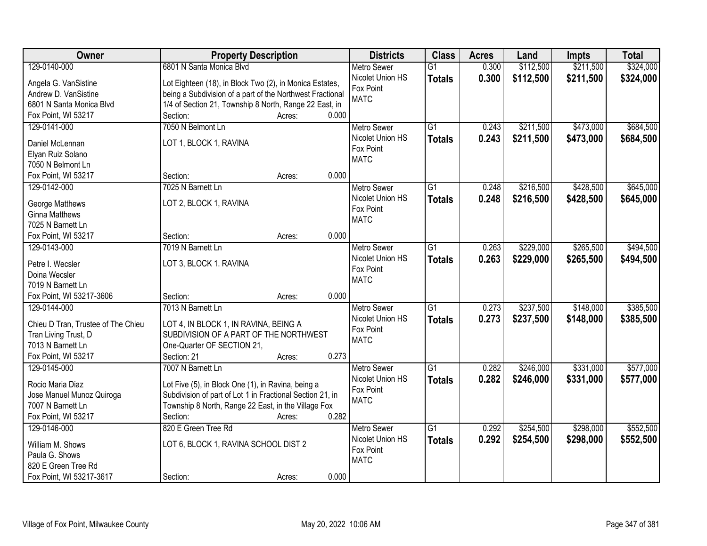| Owner                                    | <b>Property Description</b>                               | <b>Districts</b>   | <b>Class</b>    | <b>Acres</b> | Land      | <b>Impts</b> | <b>Total</b> |
|------------------------------------------|-----------------------------------------------------------|--------------------|-----------------|--------------|-----------|--------------|--------------|
| 129-0140-000                             | 6801 N Santa Monica Blvd                                  | <b>Metro Sewer</b> | $\overline{G1}$ | 0.300        | \$112,500 | \$211,500    | \$324,000    |
| Angela G. VanSistine                     | Lot Eighteen (18), in Block Two (2), in Monica Estates,   | Nicolet Union HS   | <b>Totals</b>   | 0.300        | \$112,500 | \$211,500    | \$324,000    |
| Andrew D. VanSistine                     | being a Subdivision of a part of the Northwest Fractional | Fox Point          |                 |              |           |              |              |
| 6801 N Santa Monica Blvd                 | 1/4 of Section 21, Township 8 North, Range 22 East, in    | <b>MATC</b>        |                 |              |           |              |              |
| Fox Point, WI 53217                      | 0.000<br>Section:<br>Acres:                               |                    |                 |              |           |              |              |
| 129-0141-000                             | 7050 N Belmont Ln                                         | Metro Sewer        | $\overline{G1}$ | 0.243        | \$211,500 | \$473,000    | \$684,500    |
|                                          |                                                           | Nicolet Union HS   |                 | 0.243        | \$211,500 | \$473,000    | \$684,500    |
| Daniel McLennan                          | LOT 1, BLOCK 1, RAVINA                                    | Fox Point          | <b>Totals</b>   |              |           |              |              |
| Elyan Ruiz Solano                        |                                                           | <b>MATC</b>        |                 |              |           |              |              |
| 7050 N Belmont Ln                        |                                                           |                    |                 |              |           |              |              |
| Fox Point, WI 53217                      | 0.000<br>Section:<br>Acres:                               |                    |                 |              |           |              |              |
| 129-0142-000                             | 7025 N Barnett Ln                                         | <b>Metro Sewer</b> | G1              | 0.248        | \$216,500 | \$428,500    | \$645,000    |
|                                          |                                                           | Nicolet Union HS   | <b>Totals</b>   | 0.248        | \$216,500 | \$428,500    | \$645,000    |
| George Matthews<br><b>Ginna Matthews</b> | LOT 2, BLOCK 1, RAVINA                                    | Fox Point          |                 |              |           |              |              |
|                                          |                                                           | <b>MATC</b>        |                 |              |           |              |              |
| 7025 N Barnett Ln                        | 0.000<br>Section:                                         |                    |                 |              |           |              |              |
| Fox Point, WI 53217                      | Acres:                                                    |                    |                 |              |           |              |              |
| 129-0143-000                             | 7019 N Barnett Ln                                         | <b>Metro Sewer</b> | G1              | 0.263        | \$229,000 | \$265,500    | \$494,500    |
| Petre I. Wecsler                         | LOT 3, BLOCK 1. RAVINA                                    | Nicolet Union HS   | <b>Totals</b>   | 0.263        | \$229,000 | \$265,500    | \$494,500    |
| Doina Wecsler                            |                                                           | Fox Point          |                 |              |           |              |              |
| 7019 N Barnett Ln                        |                                                           | <b>MATC</b>        |                 |              |           |              |              |
| Fox Point, WI 53217-3606                 | 0.000<br>Section:<br>Acres:                               |                    |                 |              |           |              |              |
| 129-0144-000                             | 7013 N Barnett Ln                                         | <b>Metro Sewer</b> | $\overline{G1}$ | 0.273        | \$237,500 | \$148,000    | \$385,500    |
|                                          |                                                           | Nicolet Union HS   | <b>Totals</b>   | 0.273        | \$237,500 | \$148,000    | \$385,500    |
| Chieu D Tran, Trustee of The Chieu       | LOT 4, IN BLOCK 1, IN RAVINA, BEING A                     | Fox Point          |                 |              |           |              |              |
| Tran Living Trust, D                     | SUBDIVISION OF A PART OF THE NORTHWEST                    | <b>MATC</b>        |                 |              |           |              |              |
| 7013 N Barnett Ln                        | One-Quarter OF SECTION 21,                                |                    |                 |              |           |              |              |
| Fox Point, WI 53217                      | Section: 21<br>0.273<br>Acres:                            |                    |                 |              |           |              |              |
| 129-0145-000                             | 7007 N Barnett Ln                                         | Metro Sewer        | $\overline{G1}$ | 0.282        | \$246,000 | \$331,000    | \$577,000    |
| Rocio Maria Diaz                         | Lot Five (5), in Block One (1), in Ravina, being a        | Nicolet Union HS   | <b>Totals</b>   | 0.282        | \$246,000 | \$331,000    | \$577,000    |
| Jose Manuel Munoz Quiroga                | Subdivision of part of Lot 1 in Fractional Section 21, in | Fox Point          |                 |              |           |              |              |
| 7007 N Barnett Ln                        | Township 8 North, Range 22 East, in the Village Fox       | <b>MATC</b>        |                 |              |           |              |              |
| Fox Point, WI 53217                      | 0.282<br>Section:<br>Acres:                               |                    |                 |              |           |              |              |
| 129-0146-000                             | 820 E Green Tree Rd                                       | <b>Metro Sewer</b> | $\overline{G1}$ | 0.292        | \$254,500 | \$298,000    | \$552,500    |
|                                          |                                                           | Nicolet Union HS   | <b>Totals</b>   | 0.292        | \$254,500 | \$298,000    | \$552,500    |
| William M. Shows                         | LOT 6, BLOCK 1, RAVINA SCHOOL DIST 2                      | Fox Point          |                 |              |           |              |              |
| Paula G. Shows                           |                                                           | <b>MATC</b>        |                 |              |           |              |              |
| 820 E Green Tree Rd                      |                                                           |                    |                 |              |           |              |              |
| Fox Point, WI 53217-3617                 | 0.000<br>Section:<br>Acres:                               |                    |                 |              |           |              |              |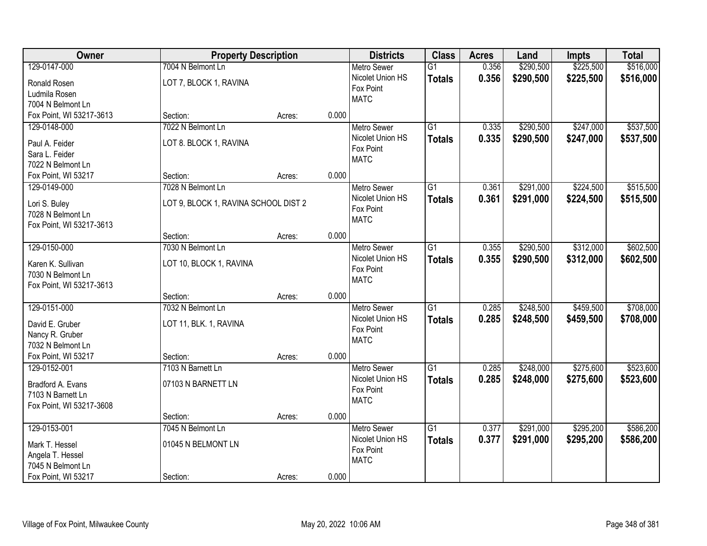| Owner                              |                                      | <b>Property Description</b> |       | <b>Districts</b>              | <b>Class</b>    | <b>Acres</b> | Land      | Impts     | <b>Total</b> |
|------------------------------------|--------------------------------------|-----------------------------|-------|-------------------------------|-----------------|--------------|-----------|-----------|--------------|
| 129-0147-000                       | 7004 N Belmont Ln                    |                             |       | <b>Metro Sewer</b>            | $\overline{G1}$ | 0.356        | \$290,500 | \$225,500 | \$516,000    |
| Ronald Rosen                       | LOT 7, BLOCK 1, RAVINA               |                             |       | Nicolet Union HS              | <b>Totals</b>   | 0.356        | \$290,500 | \$225,500 | \$516,000    |
| Ludmila Rosen                      |                                      |                             |       | Fox Point                     |                 |              |           |           |              |
| 7004 N Belmont Ln                  |                                      |                             |       | <b>MATC</b>                   |                 |              |           |           |              |
| Fox Point, WI 53217-3613           | Section:                             | Acres:                      | 0.000 |                               |                 |              |           |           |              |
| 129-0148-000                       | 7022 N Belmont Ln                    |                             |       | <b>Metro Sewer</b>            | $\overline{G1}$ | 0.335        | \$290,500 | \$247,000 | \$537,500    |
| Paul A. Feider                     | LOT 8. BLOCK 1, RAVINA               |                             |       | Nicolet Union HS              | <b>Totals</b>   | 0.335        | \$290,500 | \$247,000 | \$537,500    |
| Sara L. Feider                     |                                      |                             |       | Fox Point                     |                 |              |           |           |              |
| 7022 N Belmont Ln                  |                                      |                             |       | <b>MATC</b>                   |                 |              |           |           |              |
| Fox Point, WI 53217                | Section:                             | Acres:                      | 0.000 |                               |                 |              |           |           |              |
| 129-0149-000                       | 7028 N Belmont Ln                    |                             |       | Metro Sewer                   | $\overline{G1}$ | 0.361        | \$291,000 | \$224,500 | \$515,500    |
|                                    |                                      |                             |       | Nicolet Union HS              | <b>Totals</b>   | 0.361        | \$291,000 | \$224,500 | \$515,500    |
| Lori S. Buley<br>7028 N Belmont Ln | LOT 9, BLOCK 1, RAVINA SCHOOL DIST 2 |                             |       | Fox Point                     |                 |              |           |           |              |
| Fox Point, WI 53217-3613           |                                      |                             |       | <b>MATC</b>                   |                 |              |           |           |              |
|                                    | Section:                             | Acres:                      | 0.000 |                               |                 |              |           |           |              |
| 129-0150-000                       | 7030 N Belmont Ln                    |                             |       | <b>Metro Sewer</b>            | $\overline{G1}$ | 0.355        | \$290,500 | \$312,000 | \$602,500    |
|                                    |                                      |                             |       | Nicolet Union HS              | <b>Totals</b>   | 0.355        | \$290,500 | \$312,000 | \$602,500    |
| Karen K. Sullivan                  | LOT 10, BLOCK 1, RAVINA              |                             |       | Fox Point                     |                 |              |           |           |              |
| 7030 N Belmont Ln                  |                                      |                             |       | <b>MATC</b>                   |                 |              |           |           |              |
| Fox Point, WI 53217-3613           |                                      |                             | 0.000 |                               |                 |              |           |           |              |
| 129-0151-000                       | Section:<br>7032 N Belmont Ln        | Acres:                      |       |                               | $\overline{G1}$ |              |           | \$459,500 | \$708,000    |
|                                    |                                      |                             |       | Metro Sewer                   |                 | 0.285        | \$248,500 |           |              |
| David E. Gruber                    | LOT 11, BLK. 1, RAVINA               |                             |       | Nicolet Union HS<br>Fox Point | <b>Totals</b>   | 0.285        | \$248,500 | \$459,500 | \$708,000    |
| Nancy R. Gruber                    |                                      |                             |       | <b>MATC</b>                   |                 |              |           |           |              |
| 7032 N Belmont Ln                  |                                      |                             |       |                               |                 |              |           |           |              |
| Fox Point, WI 53217                | Section:                             | Acres:                      | 0.000 |                               |                 |              |           |           |              |
| 129-0152-001                       | 7103 N Barnett Ln                    |                             |       | <b>Metro Sewer</b>            | $\overline{G1}$ | 0.285        | \$248,000 | \$275,600 | \$523,600    |
| Bradford A. Evans                  | 07103 N BARNETT LN                   |                             |       | Nicolet Union HS              | <b>Totals</b>   | 0.285        | \$248,000 | \$275,600 | \$523,600    |
| 7103 N Barnett Ln                  |                                      |                             |       | Fox Point                     |                 |              |           |           |              |
| Fox Point, WI 53217-3608           |                                      |                             |       | <b>MATC</b>                   |                 |              |           |           |              |
|                                    | Section:                             | Acres:                      | 0.000 |                               |                 |              |           |           |              |
| 129-0153-001                       | 7045 N Belmont Ln                    |                             |       | <b>Metro Sewer</b>            | $\overline{G1}$ | 0.377        | \$291,000 | \$295,200 | \$586,200    |
| Mark T. Hessel                     | 01045 N BELMONT LN                   |                             |       | Nicolet Union HS              | <b>Totals</b>   | 0.377        | \$291,000 | \$295,200 | \$586,200    |
| Angela T. Hessel                   |                                      |                             |       | Fox Point                     |                 |              |           |           |              |
| 7045 N Belmont Ln                  |                                      |                             |       | <b>MATC</b>                   |                 |              |           |           |              |
| Fox Point, WI 53217                | Section:                             | Acres:                      | 0.000 |                               |                 |              |           |           |              |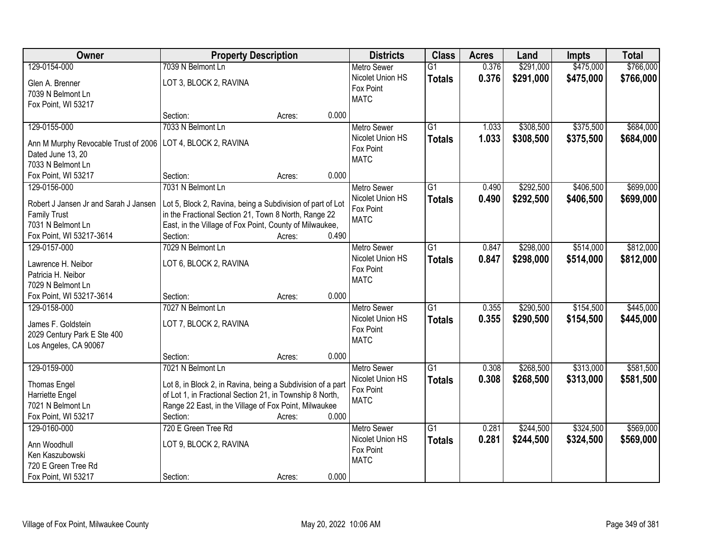| Owner                                                     | <b>Property Description</b>                                 |        |       | <b>Districts</b>   | <b>Class</b>    | <b>Acres</b> | Land      | Impts     | <b>Total</b> |
|-----------------------------------------------------------|-------------------------------------------------------------|--------|-------|--------------------|-----------------|--------------|-----------|-----------|--------------|
| 129-0154-000                                              | 7039 N Belmont Ln                                           |        |       | Metro Sewer        | $\overline{G1}$ | 0.376        | \$291,000 | \$475,000 | \$766,000    |
| Glen A. Brenner                                           | LOT 3, BLOCK 2, RAVINA                                      |        |       | Nicolet Union HS   | <b>Totals</b>   | 0.376        | \$291,000 | \$475,000 | \$766,000    |
| 7039 N Belmont Ln                                         |                                                             |        |       | Fox Point          |                 |              |           |           |              |
| Fox Point, WI 53217                                       |                                                             |        |       | <b>MATC</b>        |                 |              |           |           |              |
|                                                           | Section:                                                    | Acres: | 0.000 |                    |                 |              |           |           |              |
| 129-0155-000                                              | 7033 N Belmont Ln                                           |        |       | <b>Metro Sewer</b> | $\overline{G1}$ | 1.033        | \$308,500 | \$375,500 | \$684,000    |
|                                                           | LOT 4, BLOCK 2, RAVINA                                      |        |       | Nicolet Union HS   | <b>Totals</b>   | 1.033        | \$308,500 | \$375,500 | \$684,000    |
| Ann M Murphy Revocable Trust of 2006<br>Dated June 13, 20 |                                                             |        |       | Fox Point          |                 |              |           |           |              |
| 7033 N Belmont Ln                                         |                                                             |        |       | <b>MATC</b>        |                 |              |           |           |              |
| Fox Point, WI 53217                                       | Section:                                                    | Acres: | 0.000 |                    |                 |              |           |           |              |
| 129-0156-000                                              | 7031 N Belmont Ln                                           |        |       | Metro Sewer        | $\overline{G1}$ | 0.490        | \$292,500 | \$406,500 | \$699,000    |
|                                                           |                                                             |        |       | Nicolet Union HS   | <b>Totals</b>   | 0.490        | \$292,500 | \$406,500 | \$699,000    |
| Robert J Jansen Jr and Sarah J Jansen                     | Lot 5, Block 2, Ravina, being a Subdivision of part of Lot  |        |       | Fox Point          |                 |              |           |           |              |
| <b>Family Trust</b>                                       | in the Fractional Section 21, Town 8 North, Range 22        |        |       | <b>MATC</b>        |                 |              |           |           |              |
| 7031 N Belmont Ln                                         | East, in the Village of Fox Point, County of Milwaukee,     |        |       |                    |                 |              |           |           |              |
| Fox Point, WI 53217-3614                                  | Section:                                                    | Acres: | 0.490 |                    |                 |              |           |           |              |
| 129-0157-000                                              | 7029 N Belmont Ln                                           |        |       | <b>Metro Sewer</b> | $\overline{G1}$ | 0.847        | \$298,000 | \$514,000 | \$812,000    |
| Lawrence H. Neibor                                        | LOT 6, BLOCK 2, RAVINA                                      |        |       | Nicolet Union HS   | <b>Totals</b>   | 0.847        | \$298,000 | \$514,000 | \$812,000    |
| Patricia H. Neibor                                        |                                                             |        |       | Fox Point          |                 |              |           |           |              |
| 7029 N Belmont Ln                                         |                                                             |        |       | <b>MATC</b>        |                 |              |           |           |              |
| Fox Point, WI 53217-3614                                  | Section:                                                    | Acres: | 0.000 |                    |                 |              |           |           |              |
| 129-0158-000                                              | 7027 N Belmont Ln                                           |        |       | Metro Sewer        | $\overline{G1}$ | 0.355        | \$290,500 | \$154,500 | \$445,000    |
|                                                           |                                                             |        |       | Nicolet Union HS   | <b>Totals</b>   | 0.355        | \$290,500 | \$154,500 | \$445,000    |
| James F. Goldstein                                        | LOT 7, BLOCK 2, RAVINA                                      |        |       | Fox Point          |                 |              |           |           |              |
| 2029 Century Park E Ste 400                               |                                                             |        |       | <b>MATC</b>        |                 |              |           |           |              |
| Los Angeles, CA 90067                                     | Section:                                                    | Acres: | 0.000 |                    |                 |              |           |           |              |
| 129-0159-000                                              | 7021 N Belmont Ln                                           |        |       | <b>Metro Sewer</b> | $\overline{G1}$ | 0.308        | \$268,500 | \$313,000 | \$581,500    |
|                                                           |                                                             |        |       | Nicolet Union HS   |                 | 0.308        | \$268,500 |           |              |
| <b>Thomas Engel</b>                                       | Lot 8, in Block 2, in Ravina, being a Subdivision of a part |        |       | Fox Point          | <b>Totals</b>   |              |           | \$313,000 | \$581,500    |
| Harriette Engel                                           | of Lot 1, in Fractional Section 21, in Township 8 North,    |        |       | <b>MATC</b>        |                 |              |           |           |              |
| 7021 N Belmont Ln                                         | Range 22 East, in the Village of Fox Point, Milwaukee       |        |       |                    |                 |              |           |           |              |
| Fox Point, WI 53217                                       | Section:                                                    | Acres: | 0.000 |                    |                 |              |           |           |              |
| 129-0160-000                                              | 720 E Green Tree Rd                                         |        |       | <b>Metro Sewer</b> | $\overline{G1}$ | 0.281        | \$244,500 | \$324,500 | \$569,000    |
| Ann Woodhull                                              | LOT 9, BLOCK 2, RAVINA                                      |        |       | Nicolet Union HS   | <b>Totals</b>   | 0.281        | \$244,500 | \$324,500 | \$569,000    |
| Ken Kaszubowski                                           |                                                             |        |       | Fox Point          |                 |              |           |           |              |
| 720 E Green Tree Rd                                       |                                                             |        |       | <b>MATC</b>        |                 |              |           |           |              |
| Fox Point, WI 53217                                       | Section:                                                    | Acres: | 0.000 |                    |                 |              |           |           |              |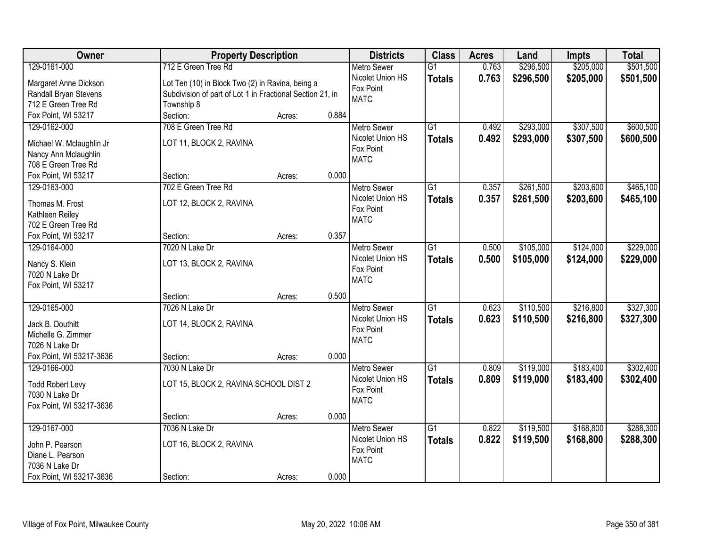| Owner                    | <b>Property Description</b>                               |        |       | <b>Districts</b>   | <b>Class</b>    | <b>Acres</b> | Land      | Impts     | <b>Total</b> |
|--------------------------|-----------------------------------------------------------|--------|-------|--------------------|-----------------|--------------|-----------|-----------|--------------|
| 129-0161-000             | 712 E Green Tree Rd                                       |        |       | <b>Metro Sewer</b> | $\overline{G1}$ | 0.763        | \$296,500 | \$205,000 | \$501,500    |
| Margaret Anne Dickson    | Lot Ten (10) in Block Two (2) in Ravina, being a          |        |       | Nicolet Union HS   | <b>Totals</b>   | 0.763        | \$296,500 | \$205,000 | \$501,500    |
| Randall Bryan Stevens    | Subdivision of part of Lot 1 in Fractional Section 21, in |        |       | Fox Point          |                 |              |           |           |              |
| 712 E Green Tree Rd      | Township 8                                                |        |       | <b>MATC</b>        |                 |              |           |           |              |
| Fox Point, WI 53217      | Section:                                                  | Acres: | 0.884 |                    |                 |              |           |           |              |
| 129-0162-000             | 708 E Green Tree Rd                                       |        |       | <b>Metro Sewer</b> | $\overline{G1}$ | 0.492        | \$293,000 | \$307,500 | \$600,500    |
|                          |                                                           |        |       | Nicolet Union HS   | <b>Totals</b>   | 0.492        | \$293,000 | \$307,500 | \$600,500    |
| Michael W. Mclaughlin Jr | LOT 11, BLOCK 2, RAVINA                                   |        |       | Fox Point          |                 |              |           |           |              |
| Nancy Ann Mclaughlin     |                                                           |        |       | <b>MATC</b>        |                 |              |           |           |              |
| 708 E Green Tree Rd      |                                                           |        |       |                    |                 |              |           |           |              |
| Fox Point, WI 53217      | Section:                                                  | Acres: | 0.000 |                    |                 |              |           |           |              |
| 129-0163-000             | 702 E Green Tree Rd                                       |        |       | <b>Metro Sewer</b> | G1              | 0.357        | \$261,500 | \$203,600 | \$465,100    |
| Thomas M. Frost          | LOT 12, BLOCK 2, RAVINA                                   |        |       | Nicolet Union HS   | <b>Totals</b>   | 0.357        | \$261,500 | \$203,600 | \$465,100    |
| Kathleen Reiley          |                                                           |        |       | Fox Point          |                 |              |           |           |              |
| 702 E Green Tree Rd      |                                                           |        |       | <b>MATC</b>        |                 |              |           |           |              |
| Fox Point, WI 53217      | Section:                                                  | Acres: | 0.357 |                    |                 |              |           |           |              |
| 129-0164-000             | 7020 N Lake Dr                                            |        |       | <b>Metro Sewer</b> | G1              | 0.500        | \$105,000 | \$124,000 | \$229,000    |
|                          |                                                           |        |       | Nicolet Union HS   | <b>Totals</b>   | 0.500        | \$105,000 | \$124,000 | \$229,000    |
| Nancy S. Klein           | LOT 13, BLOCK 2, RAVINA                                   |        |       | Fox Point          |                 |              |           |           |              |
| 7020 N Lake Dr           |                                                           |        |       | <b>MATC</b>        |                 |              |           |           |              |
| Fox Point, WI 53217      |                                                           |        |       |                    |                 |              |           |           |              |
|                          | Section:                                                  | Acres: | 0.500 |                    |                 |              |           |           |              |
| 129-0165-000             | 7026 N Lake Dr                                            |        |       | Metro Sewer        | $\overline{G1}$ | 0.623        | \$110,500 | \$216,800 | \$327,300    |
| Jack B. Douthitt         | LOT 14, BLOCK 2, RAVINA                                   |        |       | Nicolet Union HS   | <b>Totals</b>   | 0.623        | \$110,500 | \$216,800 | \$327,300    |
| Michelle G. Zimmer       |                                                           |        |       | Fox Point          |                 |              |           |           |              |
| 7026 N Lake Dr           |                                                           |        |       | <b>MATC</b>        |                 |              |           |           |              |
| Fox Point, WI 53217-3636 | Section:                                                  | Acres: | 0.000 |                    |                 |              |           |           |              |
| 129-0166-000             | 7030 N Lake Dr                                            |        |       | <b>Metro Sewer</b> | $\overline{G1}$ | 0.809        | \$119,000 | \$183,400 | \$302,400    |
|                          |                                                           |        |       | Nicolet Union HS   | <b>Totals</b>   | 0.809        | \$119,000 | \$183,400 | \$302,400    |
| <b>Todd Robert Levy</b>  | LOT 15, BLOCK 2, RAVINA SCHOOL DIST 2                     |        |       | Fox Point          |                 |              |           |           |              |
| 7030 N Lake Dr           |                                                           |        |       | <b>MATC</b>        |                 |              |           |           |              |
| Fox Point, WI 53217-3636 |                                                           |        |       |                    |                 |              |           |           |              |
|                          | Section:                                                  | Acres: | 0.000 |                    |                 |              |           |           |              |
| 129-0167-000             | 7036 N Lake Dr                                            |        |       | <b>Metro Sewer</b> | $\overline{G1}$ | 0.822        | \$119,500 | \$168,800 | \$288,300    |
| John P. Pearson          | LOT 16, BLOCK 2, RAVINA                                   |        |       | Nicolet Union HS   | <b>Totals</b>   | 0.822        | \$119,500 | \$168,800 | \$288,300    |
| Diane L. Pearson         |                                                           |        |       | Fox Point          |                 |              |           |           |              |
| 7036 N Lake Dr           |                                                           |        |       | <b>MATC</b>        |                 |              |           |           |              |
| Fox Point, WI 53217-3636 | Section:                                                  | Acres: | 0.000 |                    |                 |              |           |           |              |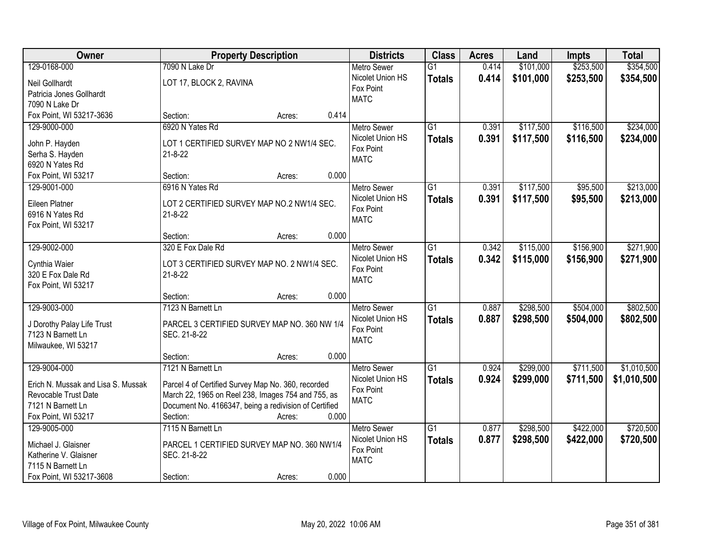| Owner                              | <b>Property Description</b>                                       |        |       | <b>Districts</b>   | <b>Class</b>    | <b>Acres</b> | Land      | <b>Impts</b> | <b>Total</b> |
|------------------------------------|-------------------------------------------------------------------|--------|-------|--------------------|-----------------|--------------|-----------|--------------|--------------|
| 129-0168-000                       | 7090 N Lake Dr                                                    |        |       | <b>Metro Sewer</b> | $\overline{G1}$ | 0.414        | \$101,000 | \$253,500    | \$354,500    |
| Neil Gollhardt                     | LOT 17, BLOCK 2, RAVINA                                           |        |       | Nicolet Union HS   | <b>Totals</b>   | 0.414        | \$101,000 | \$253,500    | \$354,500    |
| Patricia Jones Gollhardt           |                                                                   |        |       | Fox Point          |                 |              |           |              |              |
| 7090 N Lake Dr                     |                                                                   |        |       | <b>MATC</b>        |                 |              |           |              |              |
| Fox Point, WI 53217-3636           | Section:                                                          | Acres: | 0.414 |                    |                 |              |           |              |              |
| 129-9000-000                       | 6920 N Yates Rd                                                   |        |       | Metro Sewer        | $\overline{G1}$ | 0.391        | \$117,500 | \$116,500    | \$234,000    |
|                                    |                                                                   |        |       | Nicolet Union HS   | <b>Totals</b>   | 0.391        | \$117,500 | \$116,500    | \$234,000    |
| John P. Hayden                     | LOT 1 CERTIFIED SURVEY MAP NO 2 NW1/4 SEC.                        |        |       | Fox Point          |                 |              |           |              |              |
| Serha S. Hayden                    | $21 - 8 - 22$                                                     |        |       | <b>MATC</b>        |                 |              |           |              |              |
| 6920 N Yates Rd                    |                                                                   |        |       |                    |                 |              |           |              |              |
| Fox Point, WI 53217                | Section:                                                          | Acres: | 0.000 |                    |                 |              |           |              |              |
| 129-9001-000                       | 6916 N Yates Rd                                                   |        |       | <b>Metro Sewer</b> | $\overline{G1}$ | 0.391        | \$117,500 | \$95,500     | \$213,000    |
| Eileen Platner                     | LOT 2 CERTIFIED SURVEY MAP NO.2 NW1/4 SEC.                        |        |       | Nicolet Union HS   | <b>Totals</b>   | 0.391        | \$117,500 | \$95,500     | \$213,000    |
| 6916 N Yates Rd                    | $21 - 8 - 22$                                                     |        |       | Fox Point          |                 |              |           |              |              |
| Fox Point, WI 53217                |                                                                   |        |       | <b>MATC</b>        |                 |              |           |              |              |
|                                    | Section:                                                          | Acres: | 0.000 |                    |                 |              |           |              |              |
| 129-9002-000                       | 320 E Fox Dale Rd                                                 |        |       | <b>Metro Sewer</b> | $\overline{G1}$ | 0.342        | \$115,000 | \$156,900    | \$271,900    |
|                                    |                                                                   |        |       | Nicolet Union HS   | <b>Totals</b>   | 0.342        | \$115,000 | \$156,900    | \$271,900    |
| Cynthia Waier                      | LOT 3 CERTIFIED SURVEY MAP NO. 2 NW1/4 SEC.                       |        |       | Fox Point          |                 |              |           |              |              |
| 320 E Fox Dale Rd                  | $21 - 8 - 22$                                                     |        |       | <b>MATC</b>        |                 |              |           |              |              |
| Fox Point, WI 53217                |                                                                   |        |       |                    |                 |              |           |              |              |
|                                    | Section:                                                          | Acres: | 0.000 |                    |                 |              |           |              |              |
| 129-9003-000                       | 7123 N Barnett Ln                                                 |        |       | Metro Sewer        | $\overline{G1}$ | 0.887        | \$298,500 | \$504,000    | \$802,500    |
| J Dorothy Palay Life Trust         | PARCEL 3 CERTIFIED SURVEY MAP NO. 360 NW 1/4                      |        |       | Nicolet Union HS   | <b>Totals</b>   | 0.887        | \$298,500 | \$504,000    | \$802,500    |
| 7123 N Barnett Ln                  | SEC. 21-8-22                                                      |        |       | Fox Point          |                 |              |           |              |              |
| Milwaukee, WI 53217                |                                                                   |        |       | <b>MATC</b>        |                 |              |           |              |              |
|                                    | Section:                                                          | Acres: | 0.000 |                    |                 |              |           |              |              |
| 129-9004-000                       | 7121 N Barnett Ln                                                 |        |       | Metro Sewer        | G1              | 0.924        | \$299,000 | \$711,500    | \$1,010,500  |
| Erich N. Mussak and Lisa S. Mussak |                                                                   |        |       | Nicolet Union HS   | <b>Totals</b>   | 0.924        | \$299,000 | \$711,500    | \$1,010,500  |
| Revocable Trust Date               | Parcel 4 of Certified Survey Map No. 360, recorded                |        |       | Fox Point          |                 |              |           |              |              |
|                                    | March 22, 1965 on Reel 238, Images 754 and 755, as                |        |       | <b>MATC</b>        |                 |              |           |              |              |
| 7121 N Barnett Ln                  | Document No. 4166347, being a redivision of Certified<br>Section: |        | 0.000 |                    |                 |              |           |              |              |
| Fox Point, WI 53217                |                                                                   | Acres: |       |                    |                 |              |           |              |              |
| 129-9005-000                       | 7115 N Barnett Ln                                                 |        |       | <b>Metro Sewer</b> | $\overline{G1}$ | 0.877        | \$298,500 | \$422,000    | \$720,500    |
| Michael J. Glaisner                | PARCEL 1 CERTIFIED SURVEY MAP NO. 360 NW1/4                       |        |       | Nicolet Union HS   | <b>Totals</b>   | 0.877        | \$298,500 | \$422,000    | \$720,500    |
| Katherine V. Glaisner              | SEC. 21-8-22                                                      |        |       | Fox Point          |                 |              |           |              |              |
| 7115 N Barnett Ln                  |                                                                   |        |       | <b>MATC</b>        |                 |              |           |              |              |
| Fox Point, WI 53217-3608           | Section:                                                          | Acres: | 0.000 |                    |                 |              |           |              |              |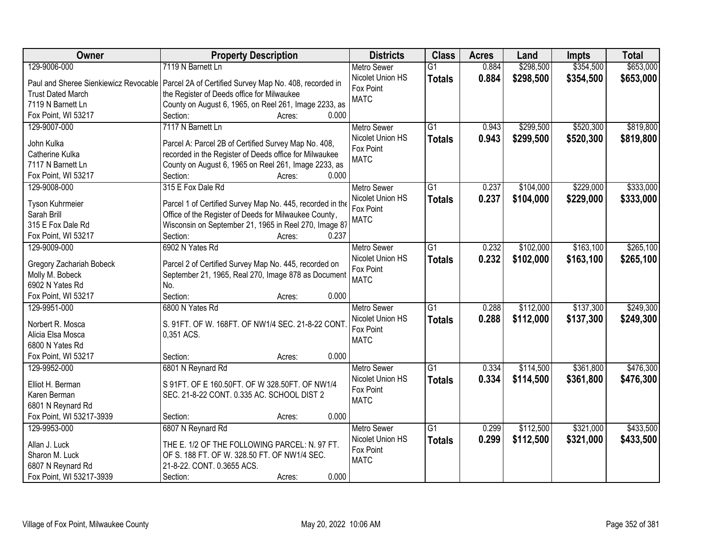| Owner                    | <b>Property Description</b>                                                                    | <b>Districts</b>   | <b>Class</b>    | <b>Acres</b> | Land      | Impts     | <b>Total</b> |
|--------------------------|------------------------------------------------------------------------------------------------|--------------------|-----------------|--------------|-----------|-----------|--------------|
| 129-9006-000             | 7119 N Barnett Ln                                                                              | <b>Metro Sewer</b> | $\overline{G1}$ | 0.884        | \$298,500 | \$354,500 | \$653,000    |
|                          | Paul and Sheree Sienkiewicz Revocable   Parcel 2A of Certified Survey Map No. 408, recorded in | Nicolet Union HS   | <b>Totals</b>   | 0.884        | \$298,500 | \$354,500 | \$653,000    |
| <b>Trust Dated March</b> | the Register of Deeds office for Milwaukee                                                     | Fox Point          |                 |              |           |           |              |
| 7119 N Barnett Ln        | County on August 6, 1965, on Reel 261, Image 2233, as                                          | <b>MATC</b>        |                 |              |           |           |              |
| Fox Point, WI 53217      | Section:<br>0.000<br>Acres:                                                                    |                    |                 |              |           |           |              |
| 129-9007-000             | 7117 N Barnett Ln                                                                              | <b>Metro Sewer</b> | $\overline{G1}$ | 0.943        | \$299,500 | \$520,300 | \$819,800    |
|                          |                                                                                                | Nicolet Union HS   | <b>Totals</b>   | 0.943        | \$299,500 | \$520,300 | \$819,800    |
| John Kulka               | Parcel A: Parcel 2B of Certified Survey Map No. 408,                                           | Fox Point          |                 |              |           |           |              |
| Catherine Kulka          | recorded in the Register of Deeds office for Milwaukee                                         | <b>MATC</b>        |                 |              |           |           |              |
| 7117 N Barnett Ln        | County on August 6, 1965 on Reel 261, Image 2233, as                                           |                    |                 |              |           |           |              |
| Fox Point, WI 53217      | 0.000<br>Section:<br>Acres:                                                                    |                    |                 |              |           |           |              |
| 129-9008-000             | 315 E Fox Dale Rd                                                                              | <b>Metro Sewer</b> | $\overline{G1}$ | 0.237        | \$104,000 | \$229,000 | \$333,000    |
| Tyson Kuhrmeier          | Parcel 1 of Certified Survey Map No. 445, recorded in the                                      | Nicolet Union HS   | <b>Totals</b>   | 0.237        | \$104,000 | \$229,000 | \$333,000    |
| Sarah Brill              | Office of the Register of Deeds for Milwaukee County,                                          | Fox Point          |                 |              |           |           |              |
| 315 E Fox Dale Rd        | Wisconsin on September 21, 1965 in Reel 270, Image 87                                          | <b>MATC</b>        |                 |              |           |           |              |
| Fox Point, WI 53217      | Section:<br>0.237<br>Acres:                                                                    |                    |                 |              |           |           |              |
| 129-9009-000             | 6902 N Yates Rd                                                                                | <b>Metro Sewer</b> | $\overline{G1}$ | 0.232        | \$102,000 | \$163,100 | \$265,100    |
|                          |                                                                                                | Nicolet Union HS   |                 | 0.232        | \$102,000 | \$163,100 |              |
| Gregory Zachariah Bobeck | Parcel 2 of Certified Survey Map No. 445, recorded on                                          | Fox Point          | <b>Totals</b>   |              |           |           | \$265,100    |
| Molly M. Bobeck          | September 21, 1965, Real 270, Image 878 as Document                                            | <b>MATC</b>        |                 |              |           |           |              |
| 6902 N Yates Rd          | No.                                                                                            |                    |                 |              |           |           |              |
| Fox Point, WI 53217      | Section:<br>0.000<br>Acres:                                                                    |                    |                 |              |           |           |              |
| 129-9951-000             | 6800 N Yates Rd                                                                                | <b>Metro Sewer</b> | $\overline{G1}$ | 0.288        | \$112,000 | \$137,300 | \$249,300    |
| Norbert R. Mosca         | S. 91FT. OF W. 168FT. OF NW1/4 SEC. 21-8-22 CONT                                               | Nicolet Union HS   | <b>Totals</b>   | 0.288        | \$112,000 | \$137,300 | \$249,300    |
| Alicia Elsa Mosca        | 0,351 ACS.                                                                                     | Fox Point          |                 |              |           |           |              |
| 6800 N Yates Rd          |                                                                                                | <b>MATC</b>        |                 |              |           |           |              |
| Fox Point, WI 53217      | Section:<br>0.000<br>Acres:                                                                    |                    |                 |              |           |           |              |
| 129-9952-000             | 6801 N Reynard Rd                                                                              | <b>Metro Sewer</b> | $\overline{G1}$ | 0.334        | \$114,500 | \$361,800 | \$476,300    |
|                          |                                                                                                | Nicolet Union HS   |                 |              |           |           |              |
| Elliot H. Berman         | S 91FT. OF E 160.50FT. OF W 328.50FT. OF NW1/4                                                 | Fox Point          | <b>Totals</b>   | 0.334        | \$114,500 | \$361,800 | \$476,300    |
| Karen Berman             | SEC. 21-8-22 CONT. 0.335 AC. SCHOOL DIST 2                                                     | <b>MATC</b>        |                 |              |           |           |              |
| 6801 N Reynard Rd        |                                                                                                |                    |                 |              |           |           |              |
| Fox Point, WI 53217-3939 | 0.000<br>Section:<br>Acres:                                                                    |                    |                 |              |           |           |              |
| 129-9953-000             | 6807 N Reynard Rd                                                                              | <b>Metro Sewer</b> | $\overline{G1}$ | 0.299        | \$112,500 | \$321,000 | \$433,500    |
| Allan J. Luck            | THE E. 1/2 OF THE FOLLOWING PARCEL: N. 97 FT.                                                  | Nicolet Union HS   | <b>Totals</b>   | 0.299        | \$112,500 | \$321,000 | \$433,500    |
| Sharon M. Luck           | OF S. 188 FT. OF W. 328.50 FT. OF NW1/4 SEC.                                                   | Fox Point          |                 |              |           |           |              |
| 6807 N Reynard Rd        | 21-8-22. CONT. 0.3655 ACS.                                                                     | <b>MATC</b>        |                 |              |           |           |              |
|                          |                                                                                                |                    |                 |              |           |           |              |
| Fox Point, WI 53217-3939 | 0.000<br>Section:<br>Acres:                                                                    |                    |                 |              |           |           |              |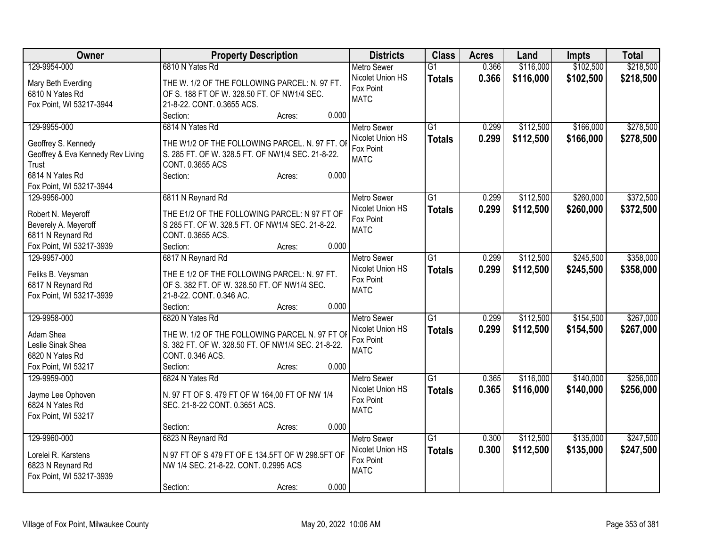| <b>Owner</b>                                  | <b>Property Description</b>                                                                  | <b>Districts</b>         | <b>Class</b>    | <b>Acres</b> | Land      | <b>Impts</b> | <b>Total</b> |
|-----------------------------------------------|----------------------------------------------------------------------------------------------|--------------------------|-----------------|--------------|-----------|--------------|--------------|
| 129-9954-000                                  | 6810 N Yates Rd                                                                              | <b>Metro Sewer</b>       | $\overline{G1}$ | 0.366        | \$116,000 | \$102,500    | \$218,500    |
| Mary Beth Everding                            | THE W. 1/2 OF THE FOLLOWING PARCEL: N. 97 FT.                                                | Nicolet Union HS         | <b>Totals</b>   | 0.366        | \$116,000 | \$102,500    | \$218,500    |
| 6810 N Yates Rd                               | OF S. 188 FT OF W. 328.50 FT. OF NW1/4 SEC.                                                  | Fox Point                |                 |              |           |              |              |
| Fox Point, WI 53217-3944                      | 21-8-22. CONT. 0.3655 ACS.                                                                   | <b>MATC</b>              |                 |              |           |              |              |
|                                               | 0.000<br>Section:<br>Acres:                                                                  |                          |                 |              |           |              |              |
| 129-9955-000                                  | 6814 N Yates Rd                                                                              | <b>Metro Sewer</b>       | $\overline{G1}$ | 0.299        | \$112,500 | \$166,000    | \$278,500    |
|                                               |                                                                                              | Nicolet Union HS         | <b>Totals</b>   | 0.299        | \$112,500 | \$166,000    | \$278,500    |
| Geoffrey S. Kennedy                           | THE W1/2 OF THE FOLLOWING PARCEL. N. 97 FT. OI                                               | Fox Point                |                 |              |           |              |              |
| Geoffrey & Eva Kennedy Rev Living             | S. 285 FT. OF W. 328.5 FT. OF NW1/4 SEC. 21-8-22.                                            | <b>MATC</b>              |                 |              |           |              |              |
| Trust                                         | CONT. 0.3655 ACS                                                                             |                          |                 |              |           |              |              |
| 6814 N Yates Rd                               | 0.000<br>Section:<br>Acres:                                                                  |                          |                 |              |           |              |              |
| Fox Point, WI 53217-3944                      |                                                                                              |                          |                 |              |           |              |              |
| 129-9956-000                                  | 6811 N Reynard Rd                                                                            | Metro Sewer              | $\overline{G1}$ | 0.299        | \$112,500 | \$260,000    | \$372,500    |
| Robert N. Meyeroff                            | THE E1/2 OF THE FOLLOWING PARCEL: N 97 FT OF                                                 | Nicolet Union HS         | <b>Totals</b>   | 0.299        | \$112,500 | \$260,000    | \$372,500    |
| Beverely A. Meyeroff                          | S 285 FT. OF W. 328.5 FT. OF NW1/4 SEC. 21-8-22.                                             | Fox Point<br><b>MATC</b> |                 |              |           |              |              |
| 6811 N Reynard Rd                             | CONT. 0.3655 ACS.                                                                            |                          |                 |              |           |              |              |
| Fox Point, WI 53217-3939                      | Section:<br>0.000<br>Acres:                                                                  |                          |                 |              |           |              |              |
| 129-9957-000                                  | 6817 N Reynard Rd                                                                            | Metro Sewer              | $\overline{G1}$ | 0.299        | \$112,500 | \$245,500    | \$358,000    |
|                                               |                                                                                              | Nicolet Union HS         | <b>Totals</b>   | 0.299        | \$112,500 | \$245,500    | \$358,000    |
| Feliks B. Veysman                             | THE E 1/2 OF THE FOLLOWING PARCEL: N. 97 FT.<br>OF S. 382 FT. OF W. 328.50 FT. OF NW1/4 SEC. | Fox Point                |                 |              |           |              |              |
| 6817 N Reynard Rd<br>Fox Point, WI 53217-3939 | 21-8-22. CONT. 0.346 AC.                                                                     | <b>MATC</b>              |                 |              |           |              |              |
|                                               | 0.000<br>Section:<br>Acres:                                                                  |                          |                 |              |           |              |              |
| 129-9958-000                                  | 6820 N Yates Rd                                                                              | <b>Metro Sewer</b>       | G1              | 0.299        | \$112,500 | \$154,500    | \$267,000    |
|                                               |                                                                                              | Nicolet Union HS         |                 |              |           |              |              |
| Adam Shea                                     | THE W. 1/2 OF THE FOLLOWING PARCEL N. 97 FT OI                                               | Fox Point                | <b>Totals</b>   | 0.299        | \$112,500 | \$154,500    | \$267,000    |
| Leslie Sinak Shea                             | S. 382 FT. OF W. 328.50 FT. OF NW1/4 SEC. 21-8-22.                                           | <b>MATC</b>              |                 |              |           |              |              |
| 6820 N Yates Rd                               | CONT. 0.346 ACS.                                                                             |                          |                 |              |           |              |              |
| Fox Point, WI 53217                           | Section:<br>0.000<br>Acres:                                                                  |                          |                 |              |           |              |              |
| 129-9959-000                                  | 6824 N Yates Rd                                                                              | <b>Metro Sewer</b>       | $\overline{G1}$ | 0.365        | \$116,000 | \$140,000    | \$256,000    |
| Jayme Lee Ophoven                             | N. 97 FT OF S. 479 FT OF W 164,00 FT OF NW 1/4                                               | Nicolet Union HS         | <b>Totals</b>   | 0.365        | \$116,000 | \$140,000    | \$256,000    |
| 6824 N Yates Rd                               | SEC. 21-8-22 CONT. 0.3651 ACS.                                                               | Fox Point                |                 |              |           |              |              |
| Fox Point, WI 53217                           |                                                                                              | <b>MATC</b>              |                 |              |           |              |              |
|                                               | 0.000<br>Section:<br>Acres:                                                                  |                          |                 |              |           |              |              |
| 129-9960-000                                  | 6823 N Reynard Rd                                                                            | Metro Sewer              | $\overline{G1}$ | 0.300        | \$112,500 | \$135,000    | \$247,500    |
|                                               |                                                                                              | Nicolet Union HS         | <b>Totals</b>   | 0.300        | \$112,500 | \$135,000    | \$247,500    |
| Lorelei R. Karstens                           | N 97 FT OF S 479 FT OF E 134.5FT OF W 298.5FT OF                                             | Fox Point                |                 |              |           |              |              |
| 6823 N Reynard Rd                             | NW 1/4 SEC. 21-8-22. CONT. 0.2995 ACS                                                        | <b>MATC</b>              |                 |              |           |              |              |
| Fox Point, WI 53217-3939                      |                                                                                              |                          |                 |              |           |              |              |
|                                               | 0.000<br>Section:<br>Acres:                                                                  |                          |                 |              |           |              |              |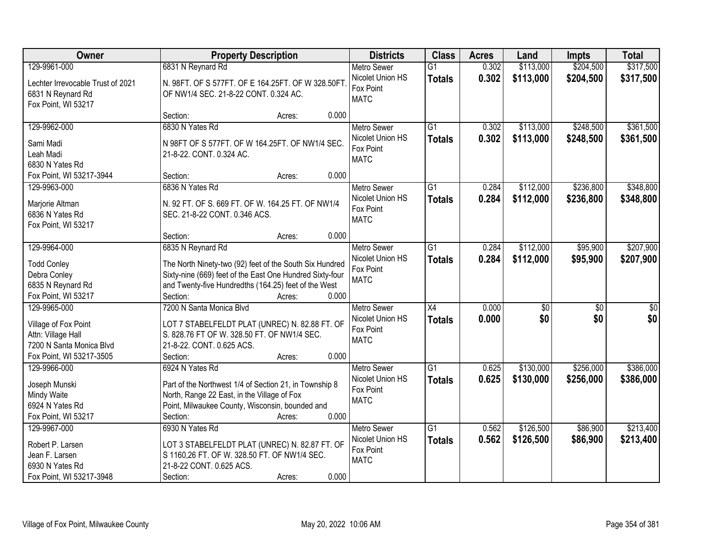| Owner                                                  | <b>Property Description</b>                                                                           | <b>Districts</b>                             | <b>Class</b>    | <b>Acres</b> | Land            | Impts           | <b>Total</b>     |
|--------------------------------------------------------|-------------------------------------------------------------------------------------------------------|----------------------------------------------|-----------------|--------------|-----------------|-----------------|------------------|
| 129-9961-000                                           | 6831 N Reynard Rd                                                                                     | <b>Metro Sewer</b>                           | $\overline{G1}$ | 0.302        | \$113,000       | \$204,500       | \$317,500        |
| Lechter Irrevocable Trust of 2021<br>6831 N Reynard Rd | N. 98FT. OF S 577FT. OF E 164.25FT. OF W 328.50FT<br>OF NW1/4 SEC. 21-8-22 CONT. 0.324 AC.            | Nicolet Union HS<br>Fox Point<br><b>MATC</b> | <b>Totals</b>   | 0.302        | \$113,000       | \$204,500       | \$317,500        |
| Fox Point, WI 53217                                    |                                                                                                       |                                              |                 |              |                 |                 |                  |
|                                                        | 0.000<br>Section:<br>Acres:                                                                           |                                              |                 |              |                 |                 |                  |
| 129-9962-000                                           | 6830 N Yates Rd                                                                                       | <b>Metro Sewer</b>                           | $\overline{G1}$ | 0.302        | \$113,000       | \$248,500       | \$361,500        |
| Sami Madi                                              | N 98FT OF S 577FT. OF W 164.25FT. OF NW1/4 SEC.                                                       | Nicolet Union HS                             | <b>Totals</b>   | 0.302        | \$113,000       | \$248,500       | \$361,500        |
| Leah Madi                                              | 21-8-22. CONT. 0.324 AC.                                                                              | Fox Point                                    |                 |              |                 |                 |                  |
| 6830 N Yates Rd                                        |                                                                                                       | <b>MATC</b>                                  |                 |              |                 |                 |                  |
| Fox Point, WI 53217-3944                               | 0.000<br>Section:<br>Acres:                                                                           |                                              |                 |              |                 |                 |                  |
| 129-9963-000                                           | 6836 N Yates Rd                                                                                       | <b>Metro Sewer</b>                           | $\overline{G1}$ | 0.284        | \$112,000       | \$236,800       | \$348,800        |
|                                                        |                                                                                                       | Nicolet Union HS                             | <b>Totals</b>   | 0.284        | \$112,000       | \$236,800       | \$348,800        |
| Marjorie Altman                                        | N. 92 FT. OF S. 669 FT. OF W. 164.25 FT. OF NW1/4                                                     | Fox Point                                    |                 |              |                 |                 |                  |
| 6836 N Yates Rd                                        | SEC. 21-8-22 CONT. 0.346 ACS.                                                                         | <b>MATC</b>                                  |                 |              |                 |                 |                  |
| Fox Point, WI 53217                                    | 0.000<br>Section:<br>Acres:                                                                           |                                              |                 |              |                 |                 |                  |
| 129-9964-000                                           | 6835 N Reynard Rd                                                                                     | <b>Metro Sewer</b>                           | $\overline{G1}$ | 0.284        | \$112,000       | \$95,900        | \$207,900        |
|                                                        |                                                                                                       | Nicolet Union HS                             |                 | 0.284        | \$112,000       |                 |                  |
| <b>Todd Conley</b>                                     | The North Ninety-two (92) feet of the South Six Hundred                                               | Fox Point                                    | <b>Totals</b>   |              |                 | \$95,900        | \$207,900        |
| Debra Conley                                           | Sixty-nine (669) feet of the East One Hundred Sixty-four                                              | <b>MATC</b>                                  |                 |              |                 |                 |                  |
| 6835 N Reynard Rd                                      | and Twenty-five Hundredths (164.25) feet of the West                                                  |                                              |                 |              |                 |                 |                  |
| Fox Point, WI 53217                                    | Section:<br>0.000<br>Acres:                                                                           |                                              |                 |              |                 |                 |                  |
| 129-9965-000                                           | 7200 N Santa Monica Blvd                                                                              | <b>Metro Sewer</b>                           | X4              | 0.000        | $\overline{50}$ | $\overline{50}$ | $\overline{\$0}$ |
| Village of Fox Point                                   | LOT 7 STABELFELDT PLAT (UNREC) N. 82.88 FT. OF                                                        | Nicolet Union HS                             | <b>Totals</b>   | 0.000        | \$0             | \$0             | \$0              |
| Attn: Village Hall                                     | S. 828.76 FT OF W. 328.50 FT. OF NW1/4 SEC.                                                           | Fox Point                                    |                 |              |                 |                 |                  |
| 7200 N Santa Monica Blvd                               | 21-8-22. CONT. 0.625 ACS.                                                                             | <b>MATC</b>                                  |                 |              |                 |                 |                  |
| Fox Point, WI 53217-3505                               | 0.000<br>Section:<br>Acres:                                                                           |                                              |                 |              |                 |                 |                  |
| 129-9966-000                                           | 6924 N Yates Rd                                                                                       | Metro Sewer                                  | $\overline{G1}$ | 0.625        | \$130,000       | \$256,000       | \$386,000        |
|                                                        |                                                                                                       | Nicolet Union HS                             | <b>Totals</b>   | 0.625        | \$130,000       | \$256,000       | \$386,000        |
| Joseph Munski<br>Mindy Waite                           | Part of the Northwest 1/4 of Section 21, in Township 8<br>North, Range 22 East, in the Village of Fox | Fox Point                                    |                 |              |                 |                 |                  |
| 6924 N Yates Rd                                        | Point, Milwaukee County, Wisconsin, bounded and                                                       | <b>MATC</b>                                  |                 |              |                 |                 |                  |
| Fox Point, WI 53217                                    | 0.000<br>Section:<br>Acres:                                                                           |                                              |                 |              |                 |                 |                  |
| 129-9967-000                                           | 6930 N Yates Rd                                                                                       | <b>Metro Sewer</b>                           | $\overline{G1}$ | 0.562        | \$126,500       | \$86,900        | \$213,400        |
|                                                        |                                                                                                       | Nicolet Union HS                             | <b>Totals</b>   | 0.562        | \$126,500       | \$86,900        | \$213,400        |
| Robert P. Larsen                                       | LOT 3 STABELFELDT PLAT (UNREC) N. 82.87 FT. OF                                                        | Fox Point                                    |                 |              |                 |                 |                  |
| Jean F. Larsen                                         | S 1160,26 FT. OF W. 328.50 FT. OF NW1/4 SEC.                                                          | <b>MATC</b>                                  |                 |              |                 |                 |                  |
| 6930 N Yates Rd                                        | 21-8-22 CONT. 0.625 ACS.                                                                              |                                              |                 |              |                 |                 |                  |
| Fox Point, WI 53217-3948                               | 0.000<br>Section:<br>Acres:                                                                           |                                              |                 |              |                 |                 |                  |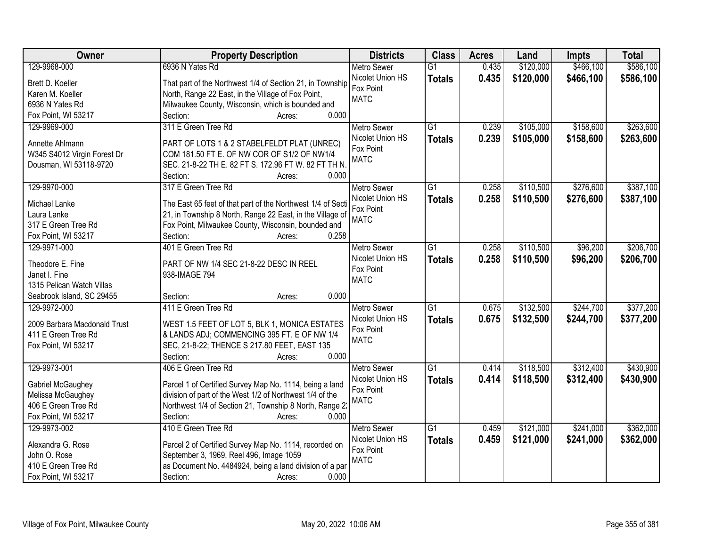| Owner                        | <b>Property Description</b>                                | <b>Districts</b>   | <b>Class</b>    | <b>Acres</b> | Land      | <b>Impts</b> | <b>Total</b> |
|------------------------------|------------------------------------------------------------|--------------------|-----------------|--------------|-----------|--------------|--------------|
| 129-9968-000                 | 6936 N Yates Rd                                            | <b>Metro Sewer</b> | $\overline{G1}$ | 0.435        | \$120,000 | \$466,100    | \$586,100    |
| Brett D. Koeller             | That part of the Northwest 1/4 of Section 21, in Township  | Nicolet Union HS   | <b>Totals</b>   | 0.435        | \$120,000 | \$466,100    | \$586,100    |
| Karen M. Koeller             | North, Range 22 East, in the Village of Fox Point,         | Fox Point          |                 |              |           |              |              |
| 6936 N Yates Rd              | Milwaukee County, Wisconsin, which is bounded and          | <b>MATC</b>        |                 |              |           |              |              |
| Fox Point, WI 53217          | 0.000<br>Section:<br>Acres:                                |                    |                 |              |           |              |              |
| 129-9969-000                 | 311 E Green Tree Rd                                        | <b>Metro Sewer</b> | $\overline{G1}$ | 0.239        | \$105,000 | \$158,600    | \$263,600    |
|                              |                                                            | Nicolet Union HS   | <b>Totals</b>   | 0.239        | \$105,000 | \$158,600    | \$263,600    |
| Annette Ahlmann              | PART OF LOTS 1 & 2 STABELFELDT PLAT (UNREC)                | Fox Point          |                 |              |           |              |              |
| W345 S4012 Virgin Forest Dr  | COM 181.50 FT E. OF NW COR OF S1/2 OF NW1/4                | <b>MATC</b>        |                 |              |           |              |              |
| Dousman, WI 53118-9720       | SEC. 21-8-22 TH E. 82 FT S. 172.96 FT W. 82 FT TH N.       |                    |                 |              |           |              |              |
|                              | 0.000<br>Section:<br>Acres:                                |                    |                 |              |           |              |              |
| 129-9970-000                 | 317 E Green Tree Rd                                        | <b>Metro Sewer</b> | $\overline{G1}$ | 0.258        | \$110,500 | \$276,600    | \$387,100    |
| Michael Lanke                | The East 65 feet of that part of the Northwest 1/4 of Sect | Nicolet Union HS   | <b>Totals</b>   | 0.258        | \$110,500 | \$276,600    | \$387,100    |
| Laura Lanke                  | 21, in Township 8 North, Range 22 East, in the Village of  | Fox Point          |                 |              |           |              |              |
| 317 E Green Tree Rd          | Fox Point, Milwaukee County, Wisconsin, bounded and        | <b>MATC</b>        |                 |              |           |              |              |
| Fox Point, WI 53217          | 0.258<br>Section:<br>Acres:                                |                    |                 |              |           |              |              |
| 129-9971-000                 | 401 E Green Tree Rd                                        | <b>Metro Sewer</b> | $\overline{G1}$ | 0.258        | \$110,500 | \$96,200     | \$206,700    |
|                              |                                                            | Nicolet Union HS   | <b>Totals</b>   | 0.258        | \$110,500 | \$96,200     | \$206,700    |
| Theodore E. Fine             | PART OF NW 1/4 SEC 21-8-22 DESC IN REEL                    | Fox Point          |                 |              |           |              |              |
| Janet I. Fine                | 938-IMAGE 794                                              | <b>MATC</b>        |                 |              |           |              |              |
| 1315 Pelican Watch Villas    |                                                            |                    |                 |              |           |              |              |
| Seabrook Island, SC 29455    | 0.000<br>Section:<br>Acres:                                |                    |                 |              |           |              |              |
| 129-9972-000                 | 411 E Green Tree Rd                                        | Metro Sewer        | $\overline{G1}$ | 0.675        | \$132,500 | \$244,700    | \$377,200    |
| 2009 Barbara Macdonald Trust | WEST 1.5 FEET OF LOT 5, BLK 1, MONICA ESTATES              | Nicolet Union HS   | <b>Totals</b>   | 0.675        | \$132,500 | \$244,700    | \$377,200    |
| 411 E Green Tree Rd          | & LANDS ADJ; COMMENCING 395 FT. E OF NW 1/4                | Fox Point          |                 |              |           |              |              |
| Fox Point, WI 53217          | SEC, 21-8-22; THENCE S 217.80 FEET, EAST 135               | <b>MATC</b>        |                 |              |           |              |              |
|                              | 0.000<br>Section:<br>Acres:                                |                    |                 |              |           |              |              |
| 129-9973-001                 | 406 E Green Tree Rd                                        | Metro Sewer        | $\overline{G1}$ | 0.414        | \$118,500 | \$312,400    | \$430,900    |
|                              |                                                            | Nicolet Union HS   | <b>Totals</b>   | 0.414        | \$118,500 | \$312,400    | \$430,900    |
| Gabriel McGaughey            | Parcel 1 of Certified Survey Map No. 1114, being a land    | Fox Point          |                 |              |           |              |              |
| Melissa McGaughey            | division of part of the West 1/2 of Northwest 1/4 of the   | <b>MATC</b>        |                 |              |           |              |              |
| 406 E Green Tree Rd          | Northwest 1/4 of Section 21, Township 8 North, Range 2:    |                    |                 |              |           |              |              |
| Fox Point, WI 53217          | Section:<br>0.000<br>Acres:                                |                    |                 |              |           |              |              |
| 129-9973-002                 | 410 E Green Tree Rd                                        | <b>Metro Sewer</b> | $\overline{G1}$ | 0.459        | \$121,000 | \$241,000    | \$362,000    |
| Alexandra G. Rose            | Parcel 2 of Certified Survey Map No. 1114, recorded on     | Nicolet Union HS   | <b>Totals</b>   | 0.459        | \$121,000 | \$241,000    | \$362,000    |
| John O. Rose                 | September 3, 1969, Reel 496, Image 1059                    | Fox Point          |                 |              |           |              |              |
| 410 E Green Tree Rd          | as Document No. 4484924, being a land division of a par    | <b>MATC</b>        |                 |              |           |              |              |
| Fox Point, WI 53217          | Section:<br>0.000<br>Acres:                                |                    |                 |              |           |              |              |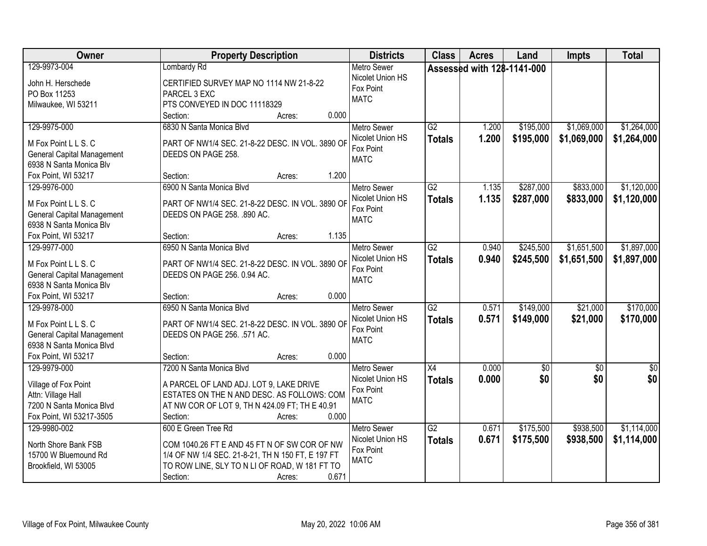| Owner                                                                                                                        | <b>Property Description</b>                                                                                                                                                                              | <b>Districts</b>                                                   | <b>Class</b>                     | <b>Acres</b>               | Land                   | <b>Impts</b>               | <b>Total</b>               |
|------------------------------------------------------------------------------------------------------------------------------|----------------------------------------------------------------------------------------------------------------------------------------------------------------------------------------------------------|--------------------------------------------------------------------|----------------------------------|----------------------------|------------------------|----------------------------|----------------------------|
| 129-9973-004<br>John H. Herschede<br>PO Box 11253<br>Milwaukee, WI 53211                                                     | Lombardy Rd<br>CERTIFIED SURVEY MAP NO 1114 NW 21-8-22<br>PARCEL 3 EXC<br>PTS CONVEYED IN DOC 11118329                                                                                                   | <b>Metro Sewer</b><br>Nicolet Union HS<br>Fox Point<br><b>MATC</b> |                                  | Assessed with 128-1141-000 |                        |                            |                            |
|                                                                                                                              | 0.000<br>Section:<br>Acres:                                                                                                                                                                              |                                                                    |                                  |                            |                        |                            |                            |
| 129-9975-000<br>M Fox Point L L S. C<br><b>General Capital Management</b><br>6938 N Santa Monica Blv                         | 6830 N Santa Monica Blvd<br>PART OF NW1/4 SEC. 21-8-22 DESC. IN VOL. 3890 OF<br>DEEDS ON PAGE 258.                                                                                                       | <b>Metro Sewer</b><br>Nicolet Union HS<br>Fox Point<br><b>MATC</b> | $\overline{G2}$<br><b>Totals</b> | 1.200<br>1.200             | \$195,000<br>\$195,000 | \$1,069,000<br>\$1,069,000 | \$1,264,000<br>\$1,264,000 |
| Fox Point, WI 53217<br>129-9976-000                                                                                          | 1.200<br>Section:<br>Acres:<br>6900 N Santa Monica Blvd                                                                                                                                                  | <b>Metro Sewer</b>                                                 | $\overline{G2}$                  | 1.135                      | \$287,000              | \$833,000                  | \$1,120,000                |
| M Fox Point L L S. C<br><b>General Capital Management</b><br>6938 N Santa Monica Blv                                         | PART OF NW1/4 SEC. 21-8-22 DESC. IN VOL. 3890 OF<br>DEEDS ON PAGE 258. .890 AC.                                                                                                                          | Nicolet Union HS<br>Fox Point<br><b>MATC</b>                       | <b>Totals</b>                    | 1.135                      | \$287,000              | \$833,000                  | \$1,120,000                |
| Fox Point, WI 53217                                                                                                          | 1.135<br>Section:<br>Acres:                                                                                                                                                                              |                                                                    |                                  |                            |                        |                            |                            |
| 129-9977-000<br>M Fox Point L L S. C<br><b>General Capital Management</b><br>6938 N Santa Monica Blv                         | 6950 N Santa Monica Blvd<br>PART OF NW1/4 SEC. 21-8-22 DESC. IN VOL. 3890 OF<br>DEEDS ON PAGE 256. 0.94 AC.                                                                                              | <b>Metro Sewer</b><br>Nicolet Union HS<br>Fox Point<br><b>MATC</b> | $\overline{G2}$<br><b>Totals</b> | 0.940<br>0.940             | \$245,500<br>\$245,500 | \$1,651,500<br>\$1,651,500 | \$1,897,000<br>\$1,897,000 |
| Fox Point, WI 53217                                                                                                          | 0.000<br>Section:<br>Acres:                                                                                                                                                                              |                                                                    |                                  |                            |                        |                            |                            |
| 129-9978-000<br>M Fox Point L L S. C<br><b>General Capital Management</b><br>6938 N Santa Monica Blvd<br>Fox Point, WI 53217 | 6950 N Santa Monica Blvd<br>PART OF NW1/4 SEC. 21-8-22 DESC. IN VOL. 3890 OF<br>DEEDS ON PAGE 256. .571 AC.<br>0.000<br>Section:<br>Acres:                                                               | <b>Metro Sewer</b><br>Nicolet Union HS<br>Fox Point<br><b>MATC</b> | $\overline{G2}$<br><b>Totals</b> | 0.571<br>0.571             | \$149,000<br>\$149,000 | \$21,000<br>\$21,000       | \$170,000<br>\$170,000     |
| 129-9979-000                                                                                                                 | 7200 N Santa Monica Blvd                                                                                                                                                                                 | Metro Sewer                                                        | $\overline{X4}$                  | 0.000                      | $\sqrt{50}$            | $\overline{50}$            | $\sqrt{60}$                |
| Village of Fox Point<br>Attn: Village Hall<br>7200 N Santa Monica Blvd<br>Fox Point, WI 53217-3505                           | A PARCEL OF LAND ADJ. LOT 9, LAKE DRIVE<br>ESTATES ON THE N AND DESC. AS FOLLOWS: COM<br>AT NW COR OF LOT 9, TH N 424.09 FT; TH E 40.91<br>Section:<br>0.000<br>Acres:                                   | Nicolet Union HS<br>Fox Point<br><b>MATC</b>                       | <b>Totals</b>                    | 0.000                      | \$0                    | \$0                        | \$0                        |
| 129-9980-002<br>North Shore Bank FSB<br>15700 W Bluemound Rd<br>Brookfield, WI 53005                                         | 600 E Green Tree Rd<br>COM 1040.26 FT E AND 45 FT N OF SW COR OF NW<br>1/4 OF NW 1/4 SEC. 21-8-21, TH N 150 FT, E 197 FT<br>TO ROW LINE, SLY TO N LI OF ROAD, W 181 FT TO<br>0.671<br>Section:<br>Acres: | <b>Metro Sewer</b><br>Nicolet Union HS<br>Fox Point<br><b>MATC</b> | $\overline{G2}$<br><b>Totals</b> | 0.671<br>0.671             | \$175,500<br>\$175,500 | \$938,500<br>\$938,500     | \$1,114,000<br>\$1,114,000 |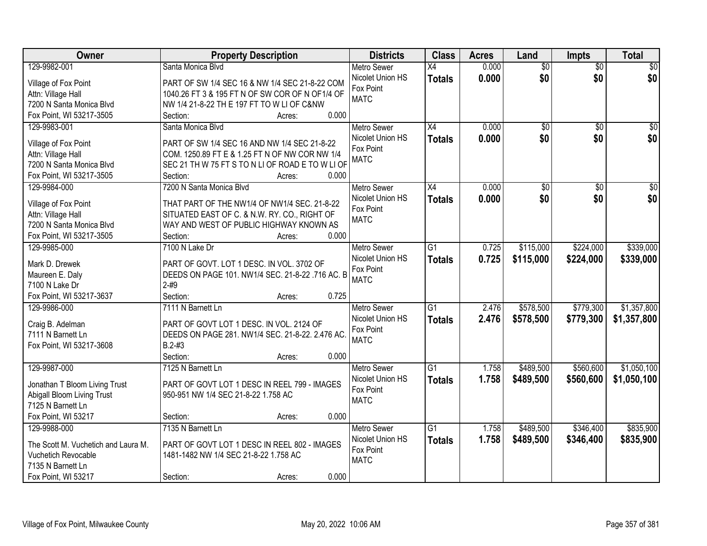| Owner                               | <b>Property Description</b>                      | <b>Districts</b>   | <b>Class</b>    | <b>Acres</b> | Land            | Impts           | <b>Total</b>    |
|-------------------------------------|--------------------------------------------------|--------------------|-----------------|--------------|-----------------|-----------------|-----------------|
| 129-9982-001                        | Santa Monica Blvd                                | <b>Metro Sewer</b> | X4              | 0.000        | $\overline{50}$ | $\overline{50}$ | \$0             |
| Village of Fox Point                | PART OF SW 1/4 SEC 16 & NW 1/4 SEC 21-8-22 COM   | Nicolet Union HS   | <b>Totals</b>   | 0.000        | \$0             | \$0             | \$0             |
| Attn: Village Hall                  | 1040.26 FT 3 & 195 FT N OF SW COR OF N OF1/4 OF  | Fox Point          |                 |              |                 |                 |                 |
| 7200 N Santa Monica Blvd            | NW 1/4 21-8-22 TH E 197 FT TO W LI OF C&NW       | <b>MATC</b>        |                 |              |                 |                 |                 |
| Fox Point, WI 53217-3505            | 0.000<br>Section:<br>Acres:                      |                    |                 |              |                 |                 |                 |
| 129-9983-001                        | Santa Monica Blvd                                | Metro Sewer        | $\overline{X4}$ | 0.000        | $\overline{50}$ | $\overline{50}$ | \$0             |
|                                     |                                                  | Nicolet Union HS   | <b>Totals</b>   | 0.000        | \$0             | \$0             | \$0             |
| Village of Fox Point                | PART OF SW 1/4 SEC 16 AND NW 1/4 SEC 21-8-22     | Fox Point          |                 |              |                 |                 |                 |
| Attn: Village Hall                  | COM. 1250.89 FT E & 1.25 FT N OF NW COR NW 1/4   | <b>MATC</b>        |                 |              |                 |                 |                 |
| 7200 N Santa Monica Blvd            | SEC 21 TH W 75 FT S TO N LI OF ROAD E TO W LI OF |                    |                 |              |                 |                 |                 |
| Fox Point, WI 53217-3505            | 0.000<br>Section:<br>Acres:                      |                    |                 |              |                 |                 |                 |
| 129-9984-000                        | 7200 N Santa Monica Blvd                         | <b>Metro Sewer</b> | X4              | 0.000        | \$0             | \$0             | $\overline{50}$ |
| Village of Fox Point                | THAT PART OF THE NW1/4 OF NW1/4 SEC. 21-8-22     | Nicolet Union HS   | <b>Totals</b>   | 0.000        | \$0             | \$0             | \$0             |
| Attn: Village Hall                  | SITUATED EAST OF C. & N.W. RY. CO., RIGHT OF     | Fox Point          |                 |              |                 |                 |                 |
| 7200 N Santa Monica Blvd            | WAY AND WEST OF PUBLIC HIGHWAY KNOWN AS          | <b>MATC</b>        |                 |              |                 |                 |                 |
| Fox Point, WI 53217-3505            | 0.000<br>Section:<br>Acres:                      |                    |                 |              |                 |                 |                 |
| 129-9985-000                        | 7100 N Lake Dr                                   | <b>Metro Sewer</b> | $\overline{G1}$ | 0.725        | \$115,000       | \$224,000       | \$339,000       |
|                                     |                                                  | Nicolet Union HS   | <b>Totals</b>   | 0.725        | \$115,000       | \$224,000       | \$339,000       |
| Mark D. Drewek                      | PART OF GOVT. LOT 1 DESC. IN VOL. 3702 OF        | Fox Point          |                 |              |                 |                 |                 |
| Maureen E. Daly                     | DEEDS ON PAGE 101. NW1/4 SEC. 21-8-22 .716 AC. B | <b>MATC</b>        |                 |              |                 |                 |                 |
| 7100 N Lake Dr                      | $2 - #9$                                         |                    |                 |              |                 |                 |                 |
| Fox Point, WI 53217-3637            | Section:<br>0.725<br>Acres:                      |                    |                 |              |                 |                 |                 |
| 129-9986-000                        | 7111 N Barnett Ln                                | <b>Metro Sewer</b> | $\overline{G1}$ | 2.476        | \$578,500       | \$779,300       | \$1,357,800     |
| Craig B. Adelman                    | PART OF GOVT LOT 1 DESC. IN VOL. 2124 OF         | Nicolet Union HS   | <b>Totals</b>   | 2.476        | \$578,500       | \$779,300       | \$1,357,800     |
| 7111 N Barnett Ln                   | DEEDS ON PAGE 281. NW1/4 SEC. 21-8-22. 2.476 AC  | Fox Point          |                 |              |                 |                 |                 |
| Fox Point, WI 53217-3608            | $B.2 - #3$                                       | <b>MATC</b>        |                 |              |                 |                 |                 |
|                                     | Section:<br>0.000<br>Acres:                      |                    |                 |              |                 |                 |                 |
| 129-9987-000                        | 7125 N Barnett Ln                                | Metro Sewer        | $\overline{G1}$ | 1.758        | \$489,500       | \$560,600       | \$1,050,100     |
|                                     |                                                  | Nicolet Union HS   | <b>Totals</b>   | 1.758        | \$489,500       | \$560,600       | \$1,050,100     |
| Jonathan T Bloom Living Trust       | PART OF GOVT LOT 1 DESC IN REEL 799 - IMAGES     | Fox Point          |                 |              |                 |                 |                 |
| Abigall Bloom Living Trust          | 950-951 NW 1/4 SEC 21-8-22 1.758 AC              | <b>MATC</b>        |                 |              |                 |                 |                 |
| 7125 N Barnett Ln                   |                                                  |                    |                 |              |                 |                 |                 |
| Fox Point, WI 53217                 | 0.000<br>Section:<br>Acres:                      |                    |                 |              |                 |                 |                 |
| 129-9988-000                        | 7135 N Barnett Ln                                | <b>Metro Sewer</b> | $\overline{G1}$ | 1.758        | \$489,500       | \$346,400       | \$835,900       |
| The Scott M. Vuchetich and Laura M. | PART OF GOVT LOT 1 DESC IN REEL 802 - IMAGES     | Nicolet Union HS   | <b>Totals</b>   | 1.758        | \$489,500       | \$346,400       | \$835,900       |
| Vuchetich Revocable                 | 1481-1482 NW 1/4 SEC 21-8-22 1.758 AC            | Fox Point          |                 |              |                 |                 |                 |
| 7135 N Barnett Ln                   |                                                  | <b>MATC</b>        |                 |              |                 |                 |                 |
| Fox Point, WI 53217                 | 0.000<br>Section:<br>Acres:                      |                    |                 |              |                 |                 |                 |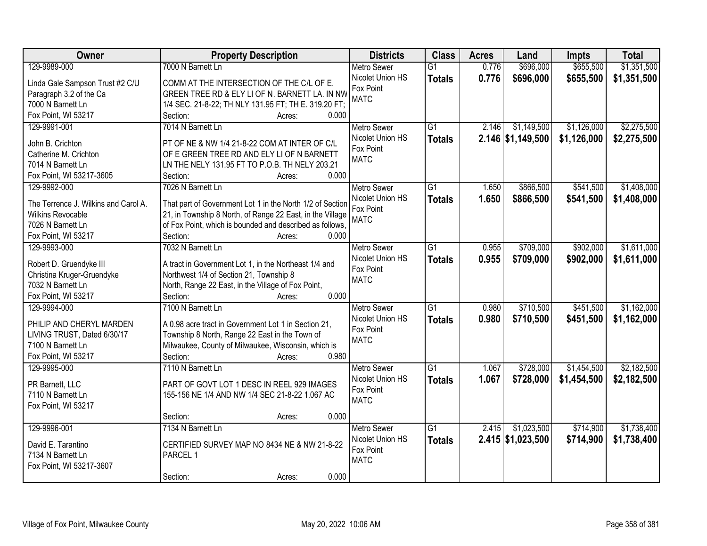| Owner                                | <b>Property Description</b>                               | <b>Districts</b>   | <b>Class</b>    | <b>Acres</b> | Land              | Impts       | <b>Total</b> |
|--------------------------------------|-----------------------------------------------------------|--------------------|-----------------|--------------|-------------------|-------------|--------------|
| 129-9989-000                         | 7000 N Barnett Ln                                         | <b>Metro Sewer</b> | $\overline{G1}$ | 0.776        | \$696,000         | \$655,500   | \$1,351,500  |
| Linda Gale Sampson Trust #2 C/U      | COMM AT THE INTERSECTION OF THE C/L OF E.                 | Nicolet Union HS   | <b>Totals</b>   | 0.776        | \$696,000         | \$655,500   | \$1,351,500  |
| Paragraph 3.2 of the Ca              | GREEN TREE RD & ELY LI OF N. BARNETT LA. IN NW            | Fox Point          |                 |              |                   |             |              |
| 7000 N Barnett Ln                    | 1/4 SEC. 21-8-22; TH NLY 131.95 FT; TH E. 319.20 FT;      | <b>MATC</b>        |                 |              |                   |             |              |
| Fox Point, WI 53217                  | Section:<br>0.000<br>Acres:                               |                    |                 |              |                   |             |              |
| 129-9991-001                         | 7014 N Barnett Ln                                         | <b>Metro Sewer</b> | $\overline{G1}$ | 2.146        | \$1,149,500       | \$1,126,000 | \$2,275,500  |
|                                      |                                                           | Nicolet Union HS   | <b>Totals</b>   |              | 2.146 \$1,149,500 | \$1,126,000 | \$2,275,500  |
| John B. Crichton                     | PT OF NE & NW 1/4 21-8-22 COM AT INTER OF C/L             | Fox Point          |                 |              |                   |             |              |
| Catherine M. Crichton                | OF E GREEN TREE RD AND ELY LI OF N BARNETT                | <b>MATC</b>        |                 |              |                   |             |              |
| 7014 N Barnett Ln                    | LN THE NELY 131.95 FT TO P.O.B. TH NELY 203.21            |                    |                 |              |                   |             |              |
| Fox Point, WI 53217-3605             | 0.000<br>Section:<br>Acres:                               |                    |                 |              |                   |             |              |
| 129-9992-000                         | 7026 N Barnett Ln                                         | <b>Metro Sewer</b> | G1              | 1.650        | \$866,500         | \$541,500   | \$1,408,000  |
| The Terrence J. Wilkins and Carol A. | That part of Government Lot 1 in the North 1/2 of Section | Nicolet Union HS   | <b>Totals</b>   | 1.650        | \$866,500         | \$541,500   | \$1,408,000  |
| <b>Wilkins Revocable</b>             | 21, in Township 8 North, of Range 22 East, in the Village | Fox Point          |                 |              |                   |             |              |
| 7026 N Barnett Ln                    | of Fox Point, which is bounded and described as follows,  | <b>MATC</b>        |                 |              |                   |             |              |
| Fox Point, WI 53217                  | Section:<br>0.000<br>Acres:                               |                    |                 |              |                   |             |              |
| 129-9993-000                         | 7032 N Barnett Ln                                         | <b>Metro Sewer</b> | G1              | 0.955        | \$709,000         | \$902,000   | \$1,611,000  |
|                                      |                                                           | Nicolet Union HS   | <b>Totals</b>   | 0.955        | \$709,000         | \$902,000   | \$1,611,000  |
| Robert D. Gruendyke III              | A tract in Government Lot 1, in the Northeast 1/4 and     | Fox Point          |                 |              |                   |             |              |
| Christina Kruger-Gruendyke           | Northwest 1/4 of Section 21, Township 8                   | <b>MATC</b>        |                 |              |                   |             |              |
| 7032 N Barnett Ln                    | North, Range 22 East, in the Village of Fox Point,        |                    |                 |              |                   |             |              |
| Fox Point, WI 53217                  | 0.000<br>Section:<br>Acres:                               |                    |                 |              |                   |             |              |
| 129-9994-000                         | 7100 N Barnett Ln                                         | <b>Metro Sewer</b> | $\overline{G1}$ | 0.980        | \$710,500         | \$451,500   | \$1,162,000  |
| PHILIP AND CHERYL MARDEN             | A 0.98 acre tract in Government Lot 1 in Section 21,      | Nicolet Union HS   | <b>Totals</b>   | 0.980        | \$710,500         | \$451,500   | \$1,162,000  |
| LIVING TRUST, Dated 6/30/17          | Township 8 North, Range 22 East in the Town of            | Fox Point          |                 |              |                   |             |              |
| 7100 N Barnett Ln                    | Milwaukee, County of Milwaukee, Wisconsin, which is       | <b>MATC</b>        |                 |              |                   |             |              |
| Fox Point, WI 53217                  | Section:<br>0.980<br>Acres:                               |                    |                 |              |                   |             |              |
| 129-9995-000                         | 7110 N Barnett Ln                                         | <b>Metro Sewer</b> | $\overline{G1}$ | 1.067        | \$728,000         | \$1,454,500 | \$2,182,500  |
|                                      |                                                           | Nicolet Union HS   | <b>Totals</b>   | 1.067        | \$728,000         | \$1,454,500 | \$2,182,500  |
| PR Barnett, LLC                      | PART OF GOVT LOT 1 DESC IN REEL 929 IMAGES                | Fox Point          |                 |              |                   |             |              |
| 7110 N Barnett Ln                    | 155-156 NE 1/4 AND NW 1/4 SEC 21-8-22 1.067 AC            | <b>MATC</b>        |                 |              |                   |             |              |
| Fox Point, WI 53217                  |                                                           |                    |                 |              |                   |             |              |
|                                      | 0.000<br>Section:<br>Acres:                               |                    |                 |              |                   |             |              |
| 129-9996-001                         | 7134 N Barnett Ln                                         | <b>Metro Sewer</b> | $\overline{G1}$ | 2.415        | \$1,023,500       | \$714,900   | \$1,738,400  |
| David E. Tarantino                   | CERTIFIED SURVEY MAP NO 8434 NE & NW 21-8-22              | Nicolet Union HS   | <b>Totals</b>   |              | 2.415 \$1,023,500 | \$714,900   | \$1,738,400  |
| 7134 N Barnett Ln                    | PARCEL 1                                                  | Fox Point          |                 |              |                   |             |              |
| Fox Point, WI 53217-3607             |                                                           | <b>MATC</b>        |                 |              |                   |             |              |
|                                      | 0.000<br>Section:<br>Acres:                               |                    |                 |              |                   |             |              |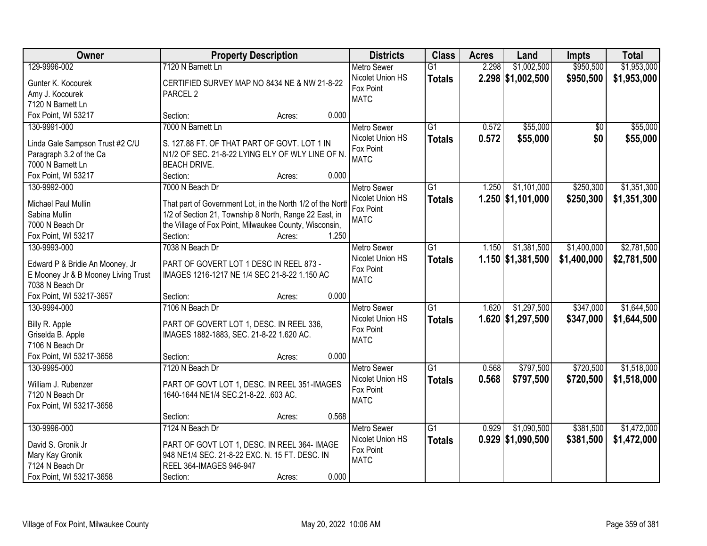| Owner                               | <b>Property Description</b>                                | <b>Districts</b>   | <b>Class</b>    | <b>Acres</b> | Land                | <b>Impts</b>    | <b>Total</b> |
|-------------------------------------|------------------------------------------------------------|--------------------|-----------------|--------------|---------------------|-----------------|--------------|
| 129-9996-002                        | 7120 N Barnett Ln                                          | <b>Metro Sewer</b> | $\overline{G1}$ | 2.298        | \$1,002,500         | \$950,500       | \$1,953,000  |
| Gunter K. Kocourek                  | CERTIFIED SURVEY MAP NO 8434 NE & NW 21-8-22               | Nicolet Union HS   | <b>Totals</b>   |              | $2.298$ \$1,002,500 | \$950,500       | \$1,953,000  |
| Amy J. Kocourek                     | PARCEL <sub>2</sub>                                        | Fox Point          |                 |              |                     |                 |              |
| 7120 N Barnett Ln                   |                                                            | <b>MATC</b>        |                 |              |                     |                 |              |
| Fox Point, WI 53217                 | 0.000<br>Section:<br>Acres:                                |                    |                 |              |                     |                 |              |
| 130-9991-000                        | 7000 N Barnett Ln                                          | <b>Metro Sewer</b> | $\overline{G1}$ | 0.572        | \$55,000            | $\overline{50}$ | \$55,000     |
|                                     |                                                            | Nicolet Union HS   | <b>Totals</b>   | 0.572        | \$55,000            | \$0             | \$55,000     |
| Linda Gale Sampson Trust #2 C/U     | S. 127.88 FT. OF THAT PART OF GOVT. LOT 1 IN               | Fox Point          |                 |              |                     |                 |              |
| Paragraph 3.2 of the Ca             | N1/2 OF SEC. 21-8-22 LYING ELY OF WLY LINE OF N.           | <b>MATC</b>        |                 |              |                     |                 |              |
| 7000 N Barnett Ln                   | <b>BEACH DRIVE.</b>                                        |                    |                 |              |                     |                 |              |
| Fox Point, WI 53217                 | 0.000<br>Section:<br>Acres:                                |                    |                 |              |                     |                 |              |
| 130-9992-000                        | 7000 N Beach Dr                                            | <b>Metro Sewer</b> | G <sub>1</sub>  | 1.250        | \$1,101,000         | \$250,300       | \$1,351,300  |
| Michael Paul Mullin                 | That part of Government Lot, in the North 1/2 of the North | Nicolet Union HS   | <b>Totals</b>   |              | $1.250$ \$1,101,000 | \$250,300       | \$1,351,300  |
| Sabina Mullin                       | 1/2 of Section 21, Township 8 North, Range 22 East, in     | Fox Point          |                 |              |                     |                 |              |
| 7000 N Beach Dr                     | the Village of Fox Point, Milwaukee County, Wisconsin,     | <b>MATC</b>        |                 |              |                     |                 |              |
| Fox Point, WI 53217                 | 1.250<br>Section:<br>Acres:                                |                    |                 |              |                     |                 |              |
| 130-9993-000                        | 7038 N Beach Dr                                            |                    |                 | 1.150        |                     |                 |              |
|                                     |                                                            | <b>Metro Sewer</b> | $\overline{G1}$ |              | \$1,381,500         | \$1,400,000     | \$2,781,500  |
| Edward P & Bridie An Mooney, Jr     | PART OF GOVERT LOT 1 DESC IN REEL 873 -                    | Nicolet Union HS   | <b>Totals</b>   |              | $1.150$ \$1,381,500 | \$1,400,000     | \$2,781,500  |
| E Mooney Jr & B Mooney Living Trust | IMAGES 1216-1217 NE 1/4 SEC 21-8-22 1.150 AC               | Fox Point          |                 |              |                     |                 |              |
| 7038 N Beach Dr                     |                                                            | <b>MATC</b>        |                 |              |                     |                 |              |
| Fox Point, WI 53217-3657            | 0.000<br>Section:<br>Acres:                                |                    |                 |              |                     |                 |              |
| 130-9994-000                        | 7106 N Beach Dr                                            | <b>Metro Sewer</b> | $\overline{G1}$ | 1.620        | \$1,297,500         | \$347,000       | \$1,644,500  |
|                                     |                                                            | Nicolet Union HS   | <b>Totals</b>   |              | 1.620 \$1,297,500   | \$347,000       | \$1,644,500  |
| Billy R. Apple                      | PART OF GOVERT LOT 1, DESC. IN REEL 336,                   | Fox Point          |                 |              |                     |                 |              |
| Griselda B. Apple                   | IMAGES 1882-1883, SEC. 21-8-22 1.620 AC.                   | <b>MATC</b>        |                 |              |                     |                 |              |
| 7106 N Beach Dr                     |                                                            |                    |                 |              |                     |                 |              |
| Fox Point, WI 53217-3658            | 0.000<br>Section:<br>Acres:                                |                    |                 |              |                     |                 |              |
| 130-9995-000                        | 7120 N Beach Dr                                            | <b>Metro Sewer</b> | $\overline{G1}$ | 0.568        | \$797,500           | \$720,500       | \$1,518,000  |
| William J. Rubenzer                 | PART OF GOVT LOT 1, DESC. IN REEL 351-IMAGES               | Nicolet Union HS   | <b>Totals</b>   | 0.568        | \$797,500           | \$720,500       | \$1,518,000  |
| 7120 N Beach Dr                     | 1640-1644 NE1/4 SEC.21-8-22. .603 AC.                      | Fox Point          |                 |              |                     |                 |              |
| Fox Point, WI 53217-3658            |                                                            | <b>MATC</b>        |                 |              |                     |                 |              |
|                                     | 0.568<br>Section:<br>Acres:                                |                    |                 |              |                     |                 |              |
| 130-9996-000                        | 7124 N Beach Dr                                            | <b>Metro Sewer</b> | G1              | 0.929        | \$1,090,500         | \$381,500       | \$1,472,000  |
|                                     |                                                            |                    |                 |              |                     |                 |              |
| David S. Gronik Jr                  | PART OF GOVT LOT 1, DESC. IN REEL 364- IMAGE               | Nicolet Union HS   | <b>Totals</b>   |              | $0.929$ \$1,090,500 | \$381,500       | \$1,472,000  |
| Mary Kay Gronik                     | 948 NE1/4 SEC. 21-8-22 EXC. N. 15 FT. DESC. IN             | Fox Point          |                 |              |                     |                 |              |
| 7124 N Beach Dr                     | REEL 364-IMAGES 946-947                                    | <b>MATC</b>        |                 |              |                     |                 |              |
| Fox Point, WI 53217-3658            | 0.000<br>Section:<br>Acres:                                |                    |                 |              |                     |                 |              |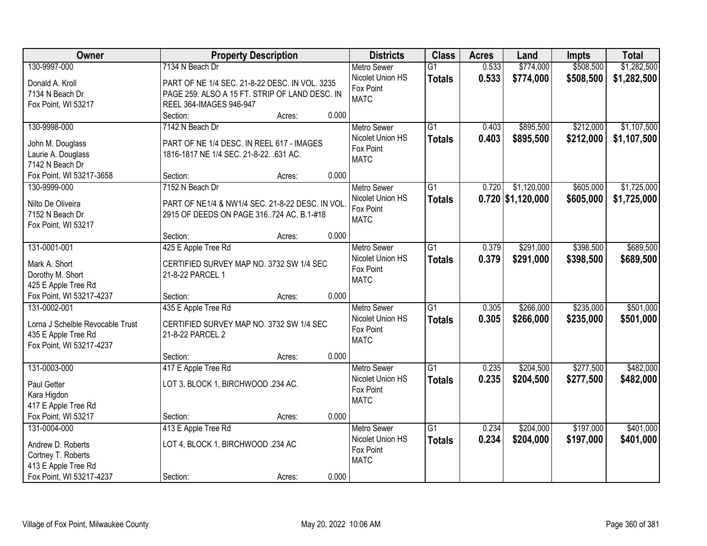| Owner                            | <b>Property Description</b>                     | <b>Districts</b>   | <b>Class</b>    | <b>Acres</b> | Land                | Impts     | <b>Total</b> |
|----------------------------------|-------------------------------------------------|--------------------|-----------------|--------------|---------------------|-----------|--------------|
| 130-9997-000                     | 7134 N Beach Dr                                 | <b>Metro Sewer</b> | $\overline{G1}$ | 0.533        | \$774,000           | \$508,500 | \$1,282,500  |
| Donald A. Kroll                  | PART OF NE 1/4 SEC. 21-8-22 DESC. IN VOL. 3235  | Nicolet Union HS   | <b>Totals</b>   | 0.533        | \$774,000           | \$508,500 | \$1,282,500  |
| 7134 N Beach Dr                  | PAGE 259. ALSO A 15 FT. STRIP OF LAND DESC. IN  | Fox Point          |                 |              |                     |           |              |
| Fox Point, WI 53217              | REEL 364-IMAGES 946-947                         | <b>MATC</b>        |                 |              |                     |           |              |
|                                  | 0.000<br>Section:<br>Acres:                     |                    |                 |              |                     |           |              |
| 130-9998-000                     | 7142 N Beach Dr                                 | <b>Metro Sewer</b> | $\overline{G1}$ | 0.403        | \$895,500           | \$212,000 | \$1,107,500  |
|                                  |                                                 | Nicolet Union HS   | <b>Totals</b>   | 0.403        | \$895,500           | \$212,000 | \$1,107,500  |
| John M. Douglass                 | PART OF NE 1/4 DESC. IN REEL 617 - IMAGES       | Fox Point          |                 |              |                     |           |              |
| Laurie A. Douglass               | 1816-1817 NE 1/4 SEC. 21-8-22. .631 AC.         | <b>MATC</b>        |                 |              |                     |           |              |
| 7142 N Beach Dr                  |                                                 |                    |                 |              |                     |           |              |
| Fox Point, WI 53217-3658         | 0.000<br>Section:<br>Acres:                     |                    |                 |              |                     |           |              |
| 130-9999-000                     | 7152 N Beach Dr                                 | Metro Sewer        | G1              | 0.720        | \$1,120,000         | \$605,000 | \$1,725,000  |
| Nilto De Oliveira                | PART OF NE1/4 & NW1/4 SEC. 21-8-22 DESC. IN VOL | Nicolet Union HS   | <b>Totals</b>   |              | $0.720$ \$1,120,000 | \$605,000 | \$1,725,000  |
| 7152 N Beach Dr                  | 2915 OF DEEDS ON PAGE 316724 AC. B.1-#18        | Fox Point          |                 |              |                     |           |              |
| Fox Point, WI 53217              |                                                 | <b>MATC</b>        |                 |              |                     |           |              |
|                                  | 0.000<br>Section:<br>Acres:                     |                    |                 |              |                     |           |              |
| 131-0001-001                     | 425 E Apple Tree Rd                             | <b>Metro Sewer</b> | G1              | 0.379        | \$291,000           | \$398,500 | \$689,500    |
|                                  |                                                 | Nicolet Union HS   | <b>Totals</b>   | 0.379        | \$291,000           | \$398,500 | \$689,500    |
| Mark A. Short                    | CERTIFIED SURVEY MAP NO. 3732 SW 1/4 SEC        | Fox Point          |                 |              |                     |           |              |
| Dorothy M. Short                 | 21-8-22 PARCEL 1                                | <b>MATC</b>        |                 |              |                     |           |              |
| 425 E Apple Tree Rd              | 0.000                                           |                    |                 |              |                     |           |              |
| Fox Point, WI 53217-4237         | Section:<br>Acres:                              |                    |                 |              |                     |           |              |
| 131-0002-001                     | 435 E Apple Tree Rd                             | <b>Metro Sewer</b> | $\overline{G1}$ | 0.305        | \$266,000           | \$235,000 | \$501,000    |
| Lorna J Schelble Revocable Trust | CERTIFIED SURVEY MAP NO. 3732 SW 1/4 SEC        | Nicolet Union HS   | <b>Totals</b>   | 0.305        | \$266,000           | \$235,000 | \$501,000    |
| 435 E Apple Tree Rd              | 21-8-22 PARCEL 2                                | Fox Point          |                 |              |                     |           |              |
| Fox Point, WI 53217-4237         |                                                 | <b>MATC</b>        |                 |              |                     |           |              |
|                                  | 0.000<br>Section:<br>Acres:                     |                    |                 |              |                     |           |              |
| 131-0003-000                     | 417 E Apple Tree Rd                             | Metro Sewer        | $\overline{G1}$ | 0.235        | \$204,500           | \$277,500 | \$482,000    |
| Paul Getter                      | LOT 3, BLOCK 1, BIRCHWOOD .234 AC.              | Nicolet Union HS   | <b>Totals</b>   | 0.235        | \$204,500           | \$277,500 | \$482,000    |
| Kara Higdon                      |                                                 | Fox Point          |                 |              |                     |           |              |
| 417 E Apple Tree Rd              |                                                 | <b>MATC</b>        |                 |              |                     |           |              |
| Fox Point, WI 53217              | 0.000<br>Section:<br>Acres:                     |                    |                 |              |                     |           |              |
| 131-0004-000                     | 413 E Apple Tree Rd                             | <b>Metro Sewer</b> | $\overline{G1}$ | 0.234        | \$204,000           | \$197,000 | \$401,000    |
|                                  |                                                 | Nicolet Union HS   | <b>Totals</b>   | 0.234        | \$204,000           | \$197,000 | \$401,000    |
| Andrew D. Roberts                | LOT 4, BLOCK 1, BIRCHWOOD .234 AC               | Fox Point          |                 |              |                     |           |              |
| Cortney T. Roberts               |                                                 | <b>MATC</b>        |                 |              |                     |           |              |
| 413 E Apple Tree Rd              |                                                 |                    |                 |              |                     |           |              |
| Fox Point, WI 53217-4237         | 0.000<br>Section:<br>Acres:                     |                    |                 |              |                     |           |              |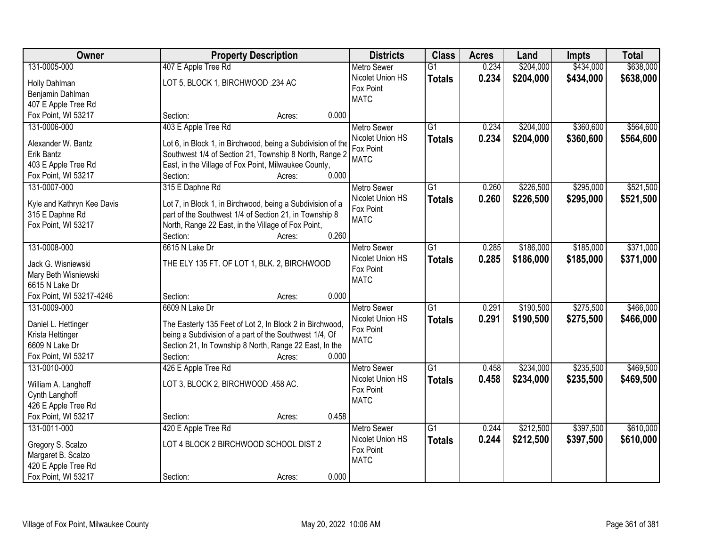| Owner                      | <b>Property Description</b>                                 | <b>Districts</b>   | <b>Class</b>    | <b>Acres</b> | Land      | <b>Impts</b> | <b>Total</b> |
|----------------------------|-------------------------------------------------------------|--------------------|-----------------|--------------|-----------|--------------|--------------|
| 131-0005-000               | 407 E Apple Tree Rd                                         | <b>Metro Sewer</b> | $\overline{G1}$ | 0.234        | \$204,000 | \$434,000    | \$638,000    |
| Holly Dahlman              | LOT 5, BLOCK 1, BIRCHWOOD .234 AC                           | Nicolet Union HS   | <b>Totals</b>   | 0.234        | \$204,000 | \$434,000    | \$638,000    |
| Benjamin Dahlman           |                                                             | Fox Point          |                 |              |           |              |              |
| 407 E Apple Tree Rd        |                                                             | <b>MATC</b>        |                 |              |           |              |              |
| Fox Point, WI 53217        | 0.000<br>Section:<br>Acres:                                 |                    |                 |              |           |              |              |
| 131-0006-000               | 403 E Apple Tree Rd                                         | <b>Metro Sewer</b> | $\overline{G1}$ | 0.234        | \$204,000 | \$360,600    | \$564,600    |
|                            |                                                             | Nicolet Union HS   | <b>Totals</b>   | 0.234        | \$204,000 | \$360,600    | \$564,600    |
| Alexander W. Bantz         | Lot 6, in Block 1, in Birchwood, being a Subdivision of the | Fox Point          |                 |              |           |              |              |
| Erik Bantz                 | Southwest 1/4 of Section 21, Township 8 North, Range 2      | <b>MATC</b>        |                 |              |           |              |              |
| 403 E Apple Tree Rd        | East, in the Village of Fox Point, Milwaukee County,        |                    |                 |              |           |              |              |
| Fox Point, WI 53217        | 0.000<br>Section:<br>Acres:                                 |                    |                 |              |           |              |              |
| 131-0007-000               | 315 E Daphne Rd                                             | <b>Metro Sewer</b> | G1              | 0.260        | \$226,500 | \$295,000    | \$521,500    |
| Kyle and Kathryn Kee Davis | Lot 7, in Block 1, in Birchwood, being a Subdivision of a   | Nicolet Union HS   | <b>Totals</b>   | 0.260        | \$226,500 | \$295,000    | \$521,500    |
| 315 E Daphne Rd            | part of the Southwest 1/4 of Section 21, in Township 8      | Fox Point          |                 |              |           |              |              |
| Fox Point, WI 53217        | North, Range 22 East, in the Village of Fox Point,          | <b>MATC</b>        |                 |              |           |              |              |
|                            | 0.260<br>Section:<br>Acres:                                 |                    |                 |              |           |              |              |
| 131-0008-000               | 6615 N Lake Dr                                              | <b>Metro Sewer</b> | G1              | 0.285        | \$186,000 | \$185,000    | \$371,000    |
|                            |                                                             | Nicolet Union HS   | <b>Totals</b>   | 0.285        | \$186,000 | \$185,000    | \$371,000    |
| Jack G. Wisniewski         | THE ELY 135 FT. OF LOT 1, BLK. 2, BIRCHWOOD                 | Fox Point          |                 |              |           |              |              |
| Mary Beth Wisniewski       |                                                             | <b>MATC</b>        |                 |              |           |              |              |
| 6615 N Lake Dr             |                                                             |                    |                 |              |           |              |              |
| Fox Point, WI 53217-4246   | 0.000<br>Section:<br>Acres:                                 |                    |                 |              |           |              |              |
| 131-0009-000               | 6609 N Lake Dr                                              | <b>Metro Sewer</b> | $\overline{G1}$ | 0.291        | \$190,500 | \$275,500    | \$466,000    |
| Daniel L. Hettinger        | The Easterly 135 Feet of Lot 2, In Block 2 in Birchwood,    | Nicolet Union HS   | <b>Totals</b>   | 0.291        | \$190,500 | \$275,500    | \$466,000    |
| Krista Hettinger           | being a Subdivision of a part of the Southwest 1/4, Of      | Fox Point          |                 |              |           |              |              |
| 6609 N Lake Dr             | Section 21, In Township 8 North, Range 22 East, In the      | <b>MATC</b>        |                 |              |           |              |              |
| Fox Point, WI 53217        | 0.000<br>Section:<br>Acres:                                 |                    |                 |              |           |              |              |
| 131-0010-000               | 426 E Apple Tree Rd                                         | Metro Sewer        | $\overline{G1}$ | 0.458        | \$234,000 | \$235,500    | \$469,500    |
|                            |                                                             | Nicolet Union HS   | <b>Totals</b>   | 0.458        | \$234,000 | \$235,500    | \$469,500    |
| William A. Langhoff        | LOT 3, BLOCK 2, BIRCHWOOD .458 AC.                          | Fox Point          |                 |              |           |              |              |
| Cynth Langhoff             |                                                             | <b>MATC</b>        |                 |              |           |              |              |
| 426 E Apple Tree Rd        |                                                             |                    |                 |              |           |              |              |
| Fox Point, WI 53217        | 0.458<br>Section:<br>Acres:                                 |                    |                 |              |           |              |              |
| 131-0011-000               | 420 E Apple Tree Rd                                         | <b>Metro Sewer</b> | $\overline{G1}$ | 0.244        | \$212,500 | \$397,500    | \$610,000    |
| Gregory S. Scalzo          | LOT 4 BLOCK 2 BIRCHWOOD SCHOOL DIST 2                       | Nicolet Union HS   | <b>Totals</b>   | 0.244        | \$212,500 | \$397,500    | \$610,000    |
| Margaret B. Scalzo         |                                                             | Fox Point          |                 |              |           |              |              |
| 420 E Apple Tree Rd        |                                                             | <b>MATC</b>        |                 |              |           |              |              |
| Fox Point, WI 53217        | 0.000<br>Section:<br>Acres:                                 |                    |                 |              |           |              |              |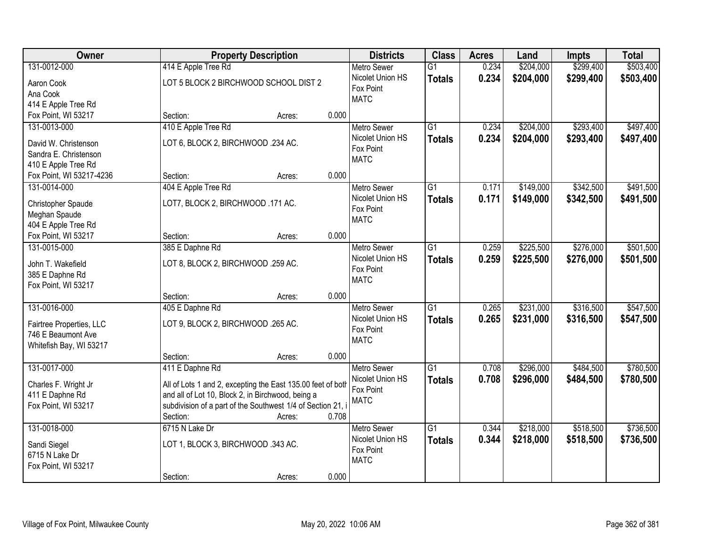| Owner                                  |                                                             | <b>Property Description</b> |       | <b>Districts</b>                       | <b>Class</b>    | <b>Acres</b> | Land      | <b>Impts</b> | <b>Total</b> |
|----------------------------------------|-------------------------------------------------------------|-----------------------------|-------|----------------------------------------|-----------------|--------------|-----------|--------------|--------------|
| 131-0012-000                           | 414 E Apple Tree Rd                                         |                             |       | Metro Sewer                            | $\overline{G1}$ | 0.234        | \$204,000 | \$299,400    | \$503,400    |
| Aaron Cook                             | LOT 5 BLOCK 2 BIRCHWOOD SCHOOL DIST 2                       |                             |       | Nicolet Union HS                       | <b>Totals</b>   | 0.234        | \$204,000 | \$299,400    | \$503,400    |
| Ana Cook                               |                                                             |                             |       | Fox Point                              |                 |              |           |              |              |
| 414 E Apple Tree Rd                    |                                                             |                             |       | <b>MATC</b>                            |                 |              |           |              |              |
| Fox Point, WI 53217                    | Section:                                                    | Acres:                      | 0.000 |                                        |                 |              |           |              |              |
| 131-0013-000                           | 410 E Apple Tree Rd                                         |                             |       | <b>Metro Sewer</b>                     | $\overline{G1}$ | 0.234        | \$204,000 | \$293,400    | \$497,400    |
| David W. Christenson                   | LOT 6, BLOCK 2, BIRCHWOOD .234 AC.                          |                             |       | Nicolet Union HS                       | <b>Totals</b>   | 0.234        | \$204,000 | \$293,400    | \$497,400    |
| Sandra E. Christenson                  |                                                             |                             |       | Fox Point                              |                 |              |           |              |              |
| 410 E Apple Tree Rd                    |                                                             |                             |       | <b>MATC</b>                            |                 |              |           |              |              |
| Fox Point, WI 53217-4236               | Section:                                                    | Acres:                      | 0.000 |                                        |                 |              |           |              |              |
| 131-0014-000                           | 404 E Apple Tree Rd                                         |                             |       | Metro Sewer                            | $\overline{G1}$ | 0.171        | \$149,000 | \$342,500    | \$491,500    |
|                                        | LOT7, BLOCK 2, BIRCHWOOD .171 AC.                           |                             |       | Nicolet Union HS                       | <b>Totals</b>   | 0.171        | \$149,000 | \$342,500    | \$491,500    |
| Christopher Spaude<br>Meghan Spaude    |                                                             |                             |       | Fox Point                              |                 |              |           |              |              |
| 404 E Apple Tree Rd                    |                                                             |                             |       | <b>MATC</b>                            |                 |              |           |              |              |
| Fox Point, WI 53217                    | Section:                                                    | Acres:                      | 0.000 |                                        |                 |              |           |              |              |
| 131-0015-000                           | 385 E Daphne Rd                                             |                             |       | <b>Metro Sewer</b>                     | $\overline{G1}$ | 0.259        | \$225,500 | \$276,000    | \$501,500    |
|                                        |                                                             |                             |       | Nicolet Union HS                       | <b>Totals</b>   | 0.259        | \$225,500 | \$276,000    | \$501,500    |
| John T. Wakefield                      | LOT 8, BLOCK 2, BIRCHWOOD .259 AC.                          |                             |       | Fox Point                              |                 |              |           |              |              |
| 385 E Daphne Rd<br>Fox Point, WI 53217 |                                                             |                             |       | <b>MATC</b>                            |                 |              |           |              |              |
|                                        | Section:                                                    | Acres:                      | 0.000 |                                        |                 |              |           |              |              |
| 131-0016-000                           | 405 E Daphne Rd                                             |                             |       | <b>Metro Sewer</b>                     | $\overline{G1}$ | 0.265        | \$231,000 | \$316,500    | \$547,500    |
|                                        |                                                             |                             |       | Nicolet Union HS                       | <b>Totals</b>   | 0.265        | \$231,000 | \$316,500    | \$547,500    |
| Fairtree Properties, LLC               | LOT 9, BLOCK 2, BIRCHWOOD .265 AC.                          |                             |       | Fox Point                              |                 |              |           |              |              |
| 746 E Beaumont Ave                     |                                                             |                             |       | <b>MATC</b>                            |                 |              |           |              |              |
| Whitefish Bay, WI 53217                | Section:                                                    |                             | 0.000 |                                        |                 |              |           |              |              |
| 131-0017-000                           | 411 E Daphne Rd                                             | Acres:                      |       | <b>Metro Sewer</b>                     | $\overline{G1}$ | 0.708        | \$296,000 | \$484,500    | \$780,500    |
|                                        |                                                             |                             |       | Nicolet Union HS                       | <b>Totals</b>   | 0.708        | \$296,000 | \$484,500    | \$780,500    |
| Charles F. Wright Jr                   | All of Lots 1 and 2, excepting the East 135.00 feet of both |                             |       | Fox Point                              |                 |              |           |              |              |
| 411 E Daphne Rd                        | and all of Lot 10, Block 2, in Birchwood, being a           |                             |       | <b>MATC</b>                            |                 |              |           |              |              |
| Fox Point, WI 53217                    | subdivision of a part of the Southwest 1/4 of Section 21, i |                             |       |                                        |                 |              |           |              |              |
|                                        | Section:                                                    | Acres:                      | 0.708 |                                        |                 |              |           |              |              |
| 131-0018-000                           | 6715 N Lake Dr                                              |                             |       | <b>Metro Sewer</b><br>Nicolet Union HS | $\overline{G1}$ | 0.344        | \$218,000 | \$518,500    | \$736,500    |
| Sandi Siegel                           | LOT 1, BLOCK 3, BIRCHWOOD .343 AC.                          |                             |       | Fox Point                              | <b>Totals</b>   | 0.344        | \$218,000 | \$518,500    | \$736,500    |
| 6715 N Lake Dr                         |                                                             |                             |       | <b>MATC</b>                            |                 |              |           |              |              |
| Fox Point, WI 53217                    |                                                             |                             |       |                                        |                 |              |           |              |              |
|                                        | Section:                                                    | Acres:                      | 0.000 |                                        |                 |              |           |              |              |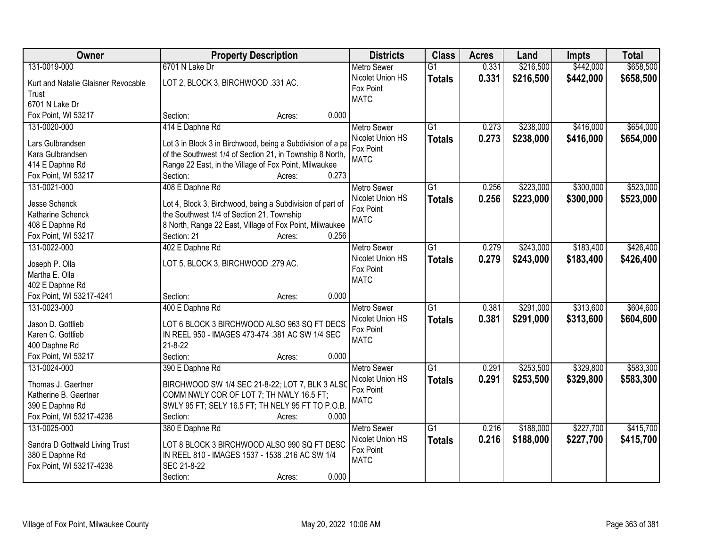| Owner                                                                                                      | <b>Property Description</b>                                                                                                                                                                                            | <b>Districts</b>                                                   | <b>Class</b>                     | <b>Acres</b>   | Land                   | <b>Impts</b>           | <b>Total</b>           |
|------------------------------------------------------------------------------------------------------------|------------------------------------------------------------------------------------------------------------------------------------------------------------------------------------------------------------------------|--------------------------------------------------------------------|----------------------------------|----------------|------------------------|------------------------|------------------------|
| 131-0019-000                                                                                               | 6701 N Lake Dr                                                                                                                                                                                                         | <b>Metro Sewer</b>                                                 | $\overline{G1}$                  | 0.331          | \$216,500              | \$442,000              | \$658,500              |
| Kurt and Natalie Glaisner Revocable<br>Trust<br>6701 N Lake Dr                                             | LOT 2, BLOCK 3, BIRCHWOOD .331 AC.                                                                                                                                                                                     | Nicolet Union HS<br>Fox Point<br><b>MATC</b>                       | <b>Totals</b>                    | 0.331          | \$216,500              | \$442,000              | \$658,500              |
| Fox Point, WI 53217                                                                                        | 0.000<br>Section:<br>Acres:                                                                                                                                                                                            |                                                                    |                                  |                |                        |                        |                        |
| 131-0020-000<br>Lars Gulbrandsen<br>Kara Gulbrandsen<br>414 E Daphne Rd                                    | 414 E Daphne Rd<br>Lot 3 in Block 3 in Birchwood, being a Subdivision of a pa<br>of the Southwest 1/4 of Section 21, in Township 8 North,<br>Range 22 East, in the Village of Fox Point, Milwaukee                     | <b>Metro Sewer</b><br>Nicolet Union HS<br>Fox Point<br><b>MATC</b> | $\overline{G1}$<br><b>Totals</b> | 0.273<br>0.273 | \$238,000<br>\$238,000 | \$416,000<br>\$416,000 | \$654,000<br>\$654,000 |
| Fox Point, WI 53217                                                                                        | 0.273<br>Section:<br>Acres:                                                                                                                                                                                            |                                                                    |                                  |                |                        |                        |                        |
| 131-0021-000<br><b>Jesse Schenck</b><br>Katharine Schenck<br>408 E Daphne Rd<br>Fox Point, WI 53217        | 408 E Daphne Rd<br>Lot 4, Block 3, Birchwood, being a Subdivision of part of<br>the Southwest 1/4 of Section 21, Township<br>8 North, Range 22 East, Village of Fox Point, Milwaukee<br>Section: 21<br>0.256<br>Acres: | <b>Metro Sewer</b><br>Nicolet Union HS<br>Fox Point<br><b>MATC</b> | G1<br><b>Totals</b>              | 0.256<br>0.256 | \$223,000<br>\$223,000 | \$300,000<br>\$300,000 | \$523,000<br>\$523,000 |
| 131-0022-000<br>Joseph P. Olla<br>Martha E. Olla<br>402 E Daphne Rd                                        | 402 E Daphne Rd<br>LOT 5, BLOCK 3, BIRCHWOOD .279 AC.                                                                                                                                                                  | <b>Metro Sewer</b><br>Nicolet Union HS<br>Fox Point<br><b>MATC</b> | $\overline{G1}$<br><b>Totals</b> | 0.279<br>0.279 | \$243,000<br>\$243,000 | \$183,400<br>\$183,400 | \$426,400<br>\$426,400 |
| Fox Point, WI 53217-4241                                                                                   | 0.000<br>Section:<br>Acres:                                                                                                                                                                                            |                                                                    |                                  |                |                        |                        |                        |
| 131-0023-000<br>Jason D. Gottlieb<br>Karen C. Gottlieb<br>400 Daphne Rd<br>Fox Point, WI 53217             | 400 E Daphne Rd<br>LOT 6 BLOCK 3 BIRCHWOOD ALSO 963 SQ FT DECS<br>IN REEL 950 - IMAGES 473-474 .381 AC SW 1/4 SEC<br>$21 - 8 - 22$<br>0.000<br>Section:<br>Acres:                                                      | <b>Metro Sewer</b><br>Nicolet Union HS<br>Fox Point<br><b>MATC</b> | $\overline{G1}$<br><b>Totals</b> | 0.381<br>0.381 | \$291,000<br>\$291,000 | \$313,600<br>\$313,600 | \$604,600<br>\$604,600 |
| 131-0024-000<br>Thomas J. Gaertner<br>Katherine B. Gaertner<br>390 E Daphne Rd<br>Fox Point, WI 53217-4238 | 390 E Daphne Rd<br>BIRCHWOOD SW 1/4 SEC 21-8-22; LOT 7, BLK 3 ALSO<br>COMM NWLY COR OF LOT 7; TH NWLY 16.5 FT;<br>SWLY 95 FT; SELY 16.5 FT; TH NELY 95 FT TO P.O.B.<br>0.000<br>Section:<br>Acres:                     | Metro Sewer<br>Nicolet Union HS<br>Fox Point<br><b>MATC</b>        | $\overline{G1}$<br><b>Totals</b> | 0.291<br>0.291 | \$253,500<br>\$253,500 | \$329,800<br>\$329,800 | \$583,300<br>\$583,300 |
| 131-0025-000<br>Sandra D Gottwald Living Trust<br>380 E Daphne Rd<br>Fox Point, WI 53217-4238              | 380 E Daphne Rd<br>LOT 8 BLOCK 3 BIRCHWOOD ALSO 990 SQ FT DESC<br>IN REEL 810 - IMAGES 1537 - 1538 .216 AC SW 1/4<br>SEC 21-8-22<br>0.000<br>Section:<br>Acres:                                                        | <b>Metro Sewer</b><br>Nicolet Union HS<br>Fox Point<br><b>MATC</b> | $\overline{G1}$<br><b>Totals</b> | 0.216<br>0.216 | \$188,000<br>\$188,000 | \$227,700<br>\$227,700 | \$415,700<br>\$415,700 |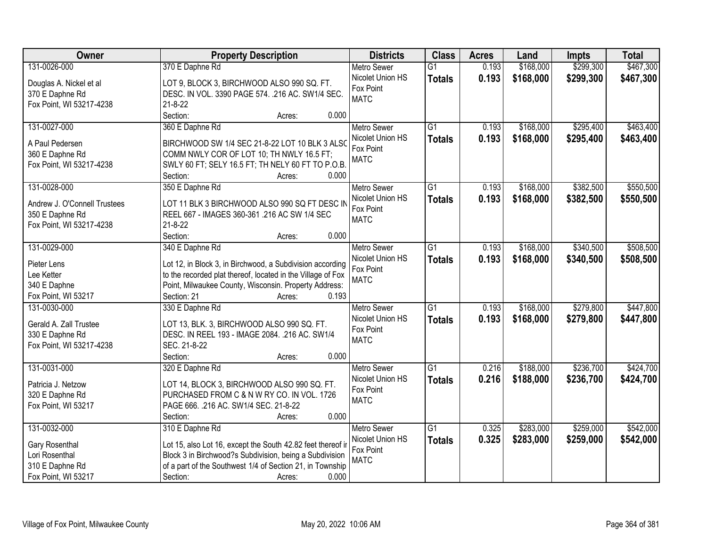| Owner                        | <b>Property Description</b>                                    | <b>Districts</b>                       | <b>Class</b>    | <b>Acres</b> | Land      | <b>Impts</b> | <b>Total</b> |
|------------------------------|----------------------------------------------------------------|----------------------------------------|-----------------|--------------|-----------|--------------|--------------|
| 131-0026-000                 | 370 E Daphne Rd                                                | <b>Metro Sewer</b>                     | $\overline{G1}$ | 0.193        | \$168,000 | \$299,300    | \$467,300    |
| Douglas A. Nickel et al      | LOT 9, BLOCK 3, BIRCHWOOD ALSO 990 SQ. FT.                     | Nicolet Union HS                       | <b>Totals</b>   | 0.193        | \$168,000 | \$299,300    | \$467,300    |
| 370 E Daphne Rd              | DESC. IN VOL. 3390 PAGE 574. . 216 AC. SW1/4 SEC.              | Fox Point                              |                 |              |           |              |              |
| Fox Point, WI 53217-4238     | $21 - 8 - 22$                                                  | <b>MATC</b>                            |                 |              |           |              |              |
|                              | Section:<br>0.000<br>Acres:                                    |                                        |                 |              |           |              |              |
| 131-0027-000                 | 360 E Daphne Rd                                                | <b>Metro Sewer</b>                     | $\overline{G1}$ | 0.193        | \$168,000 | \$295,400    | \$463,400    |
|                              |                                                                | Nicolet Union HS                       | <b>Totals</b>   | 0.193        | \$168,000 | \$295,400    | \$463,400    |
| A Paul Pedersen              | BIRCHWOOD SW 1/4 SEC 21-8-22 LOT 10 BLK 3 ALSO                 | Fox Point                              |                 |              |           |              |              |
| 360 E Daphne Rd              | COMM NWLY COR OF LOT 10; TH NWLY 16.5 FT;                      | <b>MATC</b>                            |                 |              |           |              |              |
| Fox Point, WI 53217-4238     | SWLY 60 FT; SELY 16.5 FT; TH NELY 60 FT TO P.O.B.<br>0.000     |                                        |                 |              |           |              |              |
| 131-0028-000                 | Section:<br>Acres:<br>350 E Daphne Rd                          | <b>Metro Sewer</b>                     | $\overline{G1}$ | 0.193        | \$168,000 | \$382,500    | \$550,500    |
|                              |                                                                | Nicolet Union HS                       |                 | 0.193        | \$168,000 | \$382,500    | \$550,500    |
| Andrew J. O'Connell Trustees | LOT 11 BLK 3 BIRCHWOOD ALSO 990 SQ FT DESC IN                  | Fox Point                              | <b>Totals</b>   |              |           |              |              |
| 350 E Daphne Rd              | REEL 667 - IMAGES 360-361.216 AC SW 1/4 SEC                    | <b>MATC</b>                            |                 |              |           |              |              |
| Fox Point, WI 53217-4238     | $21 - 8 - 22$                                                  |                                        |                 |              |           |              |              |
|                              | Section:<br>0.000<br>Acres:                                    |                                        |                 |              |           |              |              |
| 131-0029-000                 | 340 E Daphne Rd                                                | <b>Metro Sewer</b>                     | G1              | 0.193        | \$168,000 | \$340,500    | \$508,500    |
| Pieter Lens                  | Lot 12, in Block 3, in Birchwood, a Subdivision according      | Nicolet Union HS                       | <b>Totals</b>   | 0.193        | \$168,000 | \$340,500    | \$508,500    |
| Lee Ketter                   | to the recorded plat thereof, located in the Village of Fox    | Fox Point                              |                 |              |           |              |              |
| 340 E Daphne                 | Point, Milwaukee County, Wisconsin. Property Address:          | <b>MATC</b>                            |                 |              |           |              |              |
| Fox Point, WI 53217          | Section: 21<br>0.193<br>Acres:                                 |                                        |                 |              |           |              |              |
| 131-0030-000                 | 330 E Daphne Rd                                                | <b>Metro Sewer</b>                     | $\overline{G1}$ | 0.193        | \$168,000 | \$279,800    | \$447,800    |
|                              |                                                                | Nicolet Union HS                       | <b>Totals</b>   | 0.193        | \$168,000 | \$279,800    | \$447,800    |
| Gerald A. Zall Trustee       | LOT 13, BLK. 3, BIRCHWOOD ALSO 990 SQ. FT.                     | Fox Point                              |                 |              |           |              |              |
| 330 E Daphne Rd              | DESC. IN REEL 193 - IMAGE 2084. .216 AC. SW1/4<br>SEC. 21-8-22 | <b>MATC</b>                            |                 |              |           |              |              |
| Fox Point, WI 53217-4238     | Section:<br>0.000                                              |                                        |                 |              |           |              |              |
|                              | Acres:                                                         |                                        | $\overline{G1}$ |              | \$188,000 |              | \$424,700    |
| 131-0031-000                 | 320 E Daphne Rd                                                | <b>Metro Sewer</b><br>Nicolet Union HS |                 | 0.216        |           | \$236,700    |              |
| Patricia J. Netzow           | LOT 14, BLOCK 3, BIRCHWOOD ALSO 990 SQ. FT.                    | Fox Point                              | <b>Totals</b>   | 0.216        | \$188,000 | \$236,700    | \$424,700    |
| 320 E Daphne Rd              | PURCHASED FROM C & N W RY CO. IN VOL. 1726                     | <b>MATC</b>                            |                 |              |           |              |              |
| Fox Point, WI 53217          | PAGE 666. .216 AC. SW1/4 SEC. 21-8-22                          |                                        |                 |              |           |              |              |
|                              | 0.000<br>Section:<br>Acres:                                    |                                        |                 |              |           |              |              |
| 131-0032-000                 | 310 E Daphne Rd                                                | <b>Metro Sewer</b>                     | $\overline{G1}$ | 0.325        | \$283,000 | \$259,000    | \$542,000    |
| Gary Rosenthal               | Lot 15, also Lot 16, except the South 42.82 feet thereof ir    | Nicolet Union HS                       | <b>Totals</b>   | 0.325        | \$283,000 | \$259,000    | \$542,000    |
| Lori Rosenthal               | Block 3 in Birchwood?s Subdivision, being a Subdivision        | Fox Point                              |                 |              |           |              |              |
| 310 E Daphne Rd              | of a part of the Southwest 1/4 of Section 21, in Township      | <b>MATC</b>                            |                 |              |           |              |              |
| Fox Point, WI 53217          | Section:<br>0.000<br>Acres:                                    |                                        |                 |              |           |              |              |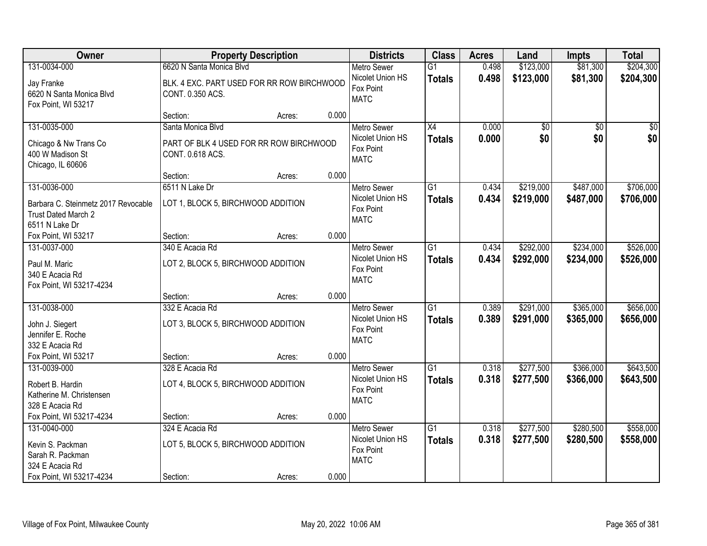| Owner                                                                                               |                                                                                            | <b>Property Description</b> |       | <b>Districts</b>                                                   | <b>Class</b>                     | <b>Acres</b>   | Land                   | <b>Impts</b>           | <b>Total</b>           |
|-----------------------------------------------------------------------------------------------------|--------------------------------------------------------------------------------------------|-----------------------------|-------|--------------------------------------------------------------------|----------------------------------|----------------|------------------------|------------------------|------------------------|
| 131-0034-000<br>Jay Franke<br>6620 N Santa Monica Blvd<br>Fox Point, WI 53217                       | 6620 N Santa Monica Blvd<br>BLK. 4 EXC. PART USED FOR RR ROW BIRCHWOOD<br>CONT. 0.350 ACS. |                             |       | <b>Metro Sewer</b><br>Nicolet Union HS<br>Fox Point<br><b>MATC</b> | $\overline{G1}$<br><b>Totals</b> | 0.498<br>0.498 | \$123,000<br>\$123,000 | \$81,300<br>\$81,300   | \$204,300<br>\$204,300 |
|                                                                                                     | Section:                                                                                   | Acres:                      | 0.000 |                                                                    |                                  |                |                        |                        |                        |
| 131-0035-000<br>Chicago & Nw Trans Co<br>400 W Madison St<br>Chicago, IL 60606                      | Santa Monica Blvd<br>PART OF BLK 4 USED FOR RR ROW BIRCHWOOD<br>CONT. 0.618 ACS.           |                             |       | <b>Metro Sewer</b><br>Nicolet Union HS<br>Fox Point<br><b>MATC</b> | $\overline{X4}$<br><b>Totals</b> | 0.000<br>0.000 | \$0<br>\$0             | $\overline{50}$<br>\$0 | $\overline{50}$<br>\$0 |
|                                                                                                     | Section:                                                                                   | Acres:                      | 0.000 |                                                                    |                                  |                |                        |                        |                        |
| 131-0036-000<br>Barbara C. Steinmetz 2017 Revocable<br>Trust Dated March 2<br>6511 N Lake Dr        | 6511 N Lake Dr<br>LOT 1, BLOCK 5, BIRCHWOOD ADDITION                                       |                             |       | <b>Metro Sewer</b><br>Nicolet Union HS<br>Fox Point<br><b>MATC</b> | G1<br><b>Totals</b>              | 0.434<br>0.434 | \$219,000<br>\$219,000 | \$487,000<br>\$487,000 | \$706,000<br>\$706,000 |
| Fox Point, WI 53217                                                                                 | Section:                                                                                   | Acres:                      | 0.000 |                                                                    |                                  |                |                        |                        |                        |
| 131-0037-000<br>Paul M. Maric<br>340 E Acacia Rd<br>Fox Point, WI 53217-4234                        | 340 E Acacia Rd<br>LOT 2, BLOCK 5, BIRCHWOOD ADDITION                                      |                             |       | <b>Metro Sewer</b><br>Nicolet Union HS<br>Fox Point<br><b>MATC</b> | G1<br><b>Totals</b>              | 0.434<br>0.434 | \$292,000<br>\$292,000 | \$234,000<br>\$234,000 | \$526,000<br>\$526,000 |
|                                                                                                     | Section:                                                                                   | Acres:                      | 0.000 |                                                                    |                                  |                |                        |                        |                        |
| 131-0038-000<br>John J. Siegert<br>Jennifer E. Roche<br>332 E Acacia Rd                             | 332 E Acacia Rd<br>LOT 3, BLOCK 5, BIRCHWOOD ADDITION                                      |                             |       | Metro Sewer<br>Nicolet Union HS<br>Fox Point<br><b>MATC</b>        | $\overline{G1}$<br><b>Totals</b> | 0.389<br>0.389 | \$291,000<br>\$291,000 | \$365,000<br>\$365,000 | \$656,000<br>\$656,000 |
| Fox Point, WI 53217                                                                                 | Section:                                                                                   | Acres:                      | 0.000 |                                                                    |                                  |                |                        |                        |                        |
| 131-0039-000<br>Robert B. Hardin<br>Katherine M. Christensen<br>328 E Acacia Rd                     | 328 E Acacia Rd<br>LOT 4, BLOCK 5, BIRCHWOOD ADDITION                                      |                             |       | Metro Sewer<br>Nicolet Union HS<br>Fox Point<br><b>MATC</b>        | $\overline{G1}$<br><b>Totals</b> | 0.318<br>0.318 | \$277,500<br>\$277,500 | \$366,000<br>\$366,000 | \$643,500<br>\$643,500 |
| Fox Point, WI 53217-4234                                                                            | Section:                                                                                   | Acres:                      | 0.000 |                                                                    |                                  |                |                        |                        |                        |
| 131-0040-000<br>Kevin S. Packman<br>Sarah R. Packman<br>324 E Acacia Rd<br>Fox Point, WI 53217-4234 | 324 E Acacia Rd<br>LOT 5, BLOCK 5, BIRCHWOOD ADDITION<br>Section:                          | Acres:                      | 0.000 | <b>Metro Sewer</b><br>Nicolet Union HS<br>Fox Point<br><b>MATC</b> | $\overline{G1}$<br><b>Totals</b> | 0.318<br>0.318 | \$277,500<br>\$277,500 | \$280,500<br>\$280,500 | \$558,000<br>\$558,000 |
|                                                                                                     |                                                                                            |                             |       |                                                                    |                                  |                |                        |                        |                        |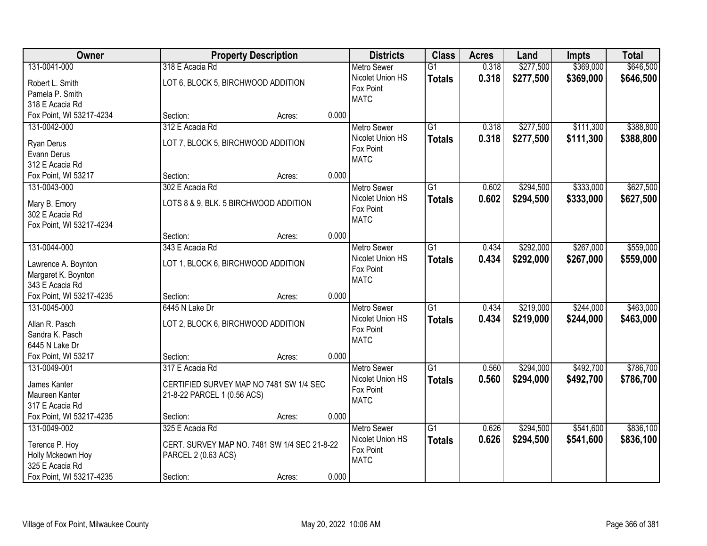| Owner                    | <b>Property Description</b>                  |        |       | <b>Districts</b>         | <b>Class</b>    | <b>Acres</b> | Land      | <b>Impts</b> | <b>Total</b> |
|--------------------------|----------------------------------------------|--------|-------|--------------------------|-----------------|--------------|-----------|--------------|--------------|
| 131-0041-000             | 318 E Acacia Rd                              |        |       | <b>Metro Sewer</b>       | $\overline{G1}$ | 0.318        | \$277,500 | \$369,000    | \$646,500    |
| Robert L. Smith          | LOT 6, BLOCK 5, BIRCHWOOD ADDITION           |        |       | Nicolet Union HS         | <b>Totals</b>   | 0.318        | \$277,500 | \$369,000    | \$646,500    |
| Pamela P. Smith          |                                              |        |       | Fox Point                |                 |              |           |              |              |
| 318 E Acacia Rd          |                                              |        |       | <b>MATC</b>              |                 |              |           |              |              |
| Fox Point, WI 53217-4234 | Section:                                     | Acres: | 0.000 |                          |                 |              |           |              |              |
| 131-0042-000             | 312 E Acacia Rd                              |        |       | <b>Metro Sewer</b>       | $\overline{G1}$ | 0.318        | \$277,500 | \$111,300    | \$388,800    |
| Ryan Derus               | LOT 7, BLOCK 5, BIRCHWOOD ADDITION           |        |       | Nicolet Union HS         | <b>Totals</b>   | 0.318        | \$277,500 | \$111,300    | \$388,800    |
| Evann Derus              |                                              |        |       | Fox Point                |                 |              |           |              |              |
| 312 E Acacia Rd          |                                              |        |       | <b>MATC</b>              |                 |              |           |              |              |
| Fox Point, WI 53217      | Section:                                     | Acres: | 0.000 |                          |                 |              |           |              |              |
| 131-0043-000             | 302 E Acacia Rd                              |        |       | Metro Sewer              | G1              | 0.602        | \$294,500 | \$333,000    | \$627,500    |
|                          |                                              |        |       | Nicolet Union HS         | <b>Totals</b>   | 0.602        | \$294,500 | \$333,000    | \$627,500    |
| Mary B. Emory            | LOTS 8 & 9, BLK. 5 BIRCHWOOD ADDITION        |        |       | Fox Point                |                 |              |           |              |              |
| 302 E Acacia Rd          |                                              |        |       | <b>MATC</b>              |                 |              |           |              |              |
| Fox Point, WI 53217-4234 |                                              |        |       |                          |                 |              |           |              |              |
|                          | Section:                                     | Acres: | 0.000 |                          |                 |              |           |              |              |
| 131-0044-000             | 343 E Acacia Rd                              |        |       | <b>Metro Sewer</b>       | G1              | 0.434        | \$292,000 | \$267,000    | \$559,000    |
| Lawrence A. Boynton      | LOT 1, BLOCK 6, BIRCHWOOD ADDITION           |        |       | Nicolet Union HS         | <b>Totals</b>   | 0.434        | \$292,000 | \$267,000    | \$559,000    |
| Margaret K. Boynton      |                                              |        |       | Fox Point                |                 |              |           |              |              |
| 343 E Acacia Rd          |                                              |        |       | <b>MATC</b>              |                 |              |           |              |              |
| Fox Point, WI 53217-4235 | Section:                                     | Acres: | 0.000 |                          |                 |              |           |              |              |
| 131-0045-000             | 6445 N Lake Dr                               |        |       | <b>Metro Sewer</b>       | $\overline{G1}$ | 0.434        | \$219,000 | \$244,000    | \$463,000    |
|                          |                                              |        |       | Nicolet Union HS         | <b>Totals</b>   | 0.434        | \$219,000 | \$244,000    | \$463,000    |
| Allan R. Pasch           | LOT 2, BLOCK 6, BIRCHWOOD ADDITION           |        |       | Fox Point                |                 |              |           |              |              |
| Sandra K. Pasch          |                                              |        |       | <b>MATC</b>              |                 |              |           |              |              |
| 6445 N Lake Dr           |                                              |        |       |                          |                 |              |           |              |              |
| Fox Point, WI 53217      | Section:                                     | Acres: | 0.000 |                          |                 |              |           |              |              |
| 131-0049-001             | 317 E Acacia Rd                              |        |       | Metro Sewer              | G1              | 0.560        | \$294,000 | \$492,700    | \$786,700    |
| James Kanter             | CERTIFIED SURVEY MAP NO 7481 SW 1/4 SEC      |        |       | Nicolet Union HS         | <b>Totals</b>   | 0.560        | \$294,000 | \$492,700    | \$786,700    |
| Maureen Kanter           | 21-8-22 PARCEL 1 (0.56 ACS)                  |        |       | Fox Point<br><b>MATC</b> |                 |              |           |              |              |
| 317 E Acacia Rd          |                                              |        |       |                          |                 |              |           |              |              |
| Fox Point, WI 53217-4235 | Section:                                     | Acres: | 0.000 |                          |                 |              |           |              |              |
| 131-0049-002             | 325 E Acacia Rd                              |        |       | <b>Metro Sewer</b>       | $\overline{G1}$ | 0.626        | \$294,500 | \$541,600    | \$836,100    |
| Terence P. Hoy           | CERT. SURVEY MAP NO. 7481 SW 1/4 SEC 21-8-22 |        |       | Nicolet Union HS         | <b>Totals</b>   | 0.626        | \$294,500 | \$541,600    | \$836,100    |
| Holly Mckeown Hoy        | PARCEL 2 (0.63 ACS)                          |        |       | Fox Point                |                 |              |           |              |              |
| 325 E Acacia Rd          |                                              |        |       | <b>MATC</b>              |                 |              |           |              |              |
| Fox Point, WI 53217-4235 | Section:                                     | Acres: | 0.000 |                          |                 |              |           |              |              |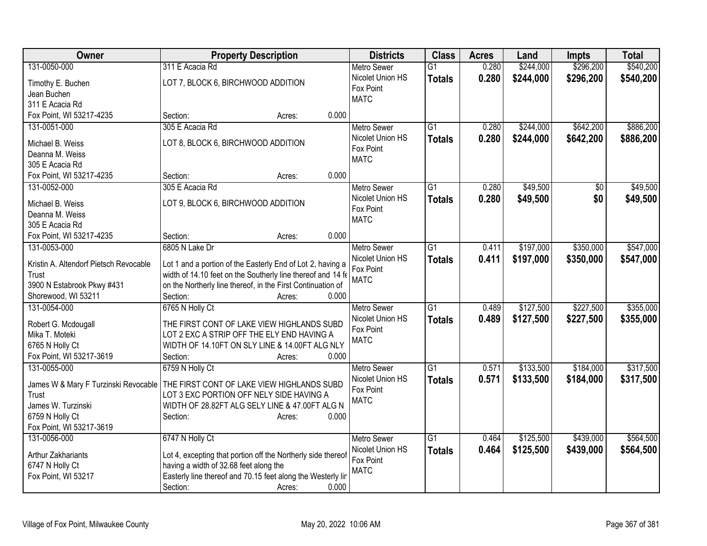| Owner                                  | <b>Property Description</b>                                  | <b>Districts</b>              | <b>Class</b>    | <b>Acres</b> | Land      | <b>Impts</b> | <b>Total</b> |
|----------------------------------------|--------------------------------------------------------------|-------------------------------|-----------------|--------------|-----------|--------------|--------------|
| 131-0050-000                           | 311 E Acacia Rd                                              | <b>Metro Sewer</b>            | $\overline{G1}$ | 0.280        | \$244,000 | \$296,200    | \$540,200    |
| Timothy E. Buchen                      | LOT 7, BLOCK 6, BIRCHWOOD ADDITION                           | Nicolet Union HS              | <b>Totals</b>   | 0.280        | \$244,000 | \$296,200    | \$540,200    |
| Jean Buchen                            |                                                              | Fox Point                     |                 |              |           |              |              |
| 311 E Acacia Rd                        |                                                              | <b>MATC</b>                   |                 |              |           |              |              |
| Fox Point, WI 53217-4235               | 0.000<br>Section:<br>Acres:                                  |                               |                 |              |           |              |              |
| 131-0051-000                           | 305 E Acacia Rd                                              | <b>Metro Sewer</b>            | $\overline{G1}$ | 0.280        | \$244,000 | \$642,200    | \$886,200    |
|                                        | LOT 8, BLOCK 6, BIRCHWOOD ADDITION                           | Nicolet Union HS              | <b>Totals</b>   | 0.280        | \$244,000 | \$642,200    | \$886,200    |
| Michael B. Weiss<br>Deanna M. Weiss    |                                                              | Fox Point                     |                 |              |           |              |              |
| 305 E Acacia Rd                        |                                                              | <b>MATC</b>                   |                 |              |           |              |              |
| Fox Point, WI 53217-4235               | 0.000<br>Section:<br>Acres:                                  |                               |                 |              |           |              |              |
| 131-0052-000                           | 305 E Acacia Rd                                              | <b>Metro Sewer</b>            | G1              | 0.280        | \$49,500  | \$0          | \$49,500     |
|                                        |                                                              | Nicolet Union HS              | <b>Totals</b>   | 0.280        | \$49,500  | \$0          | \$49,500     |
| Michael B. Weiss                       | LOT 9, BLOCK 6, BIRCHWOOD ADDITION                           | Fox Point                     |                 |              |           |              |              |
| Deanna M. Weiss                        |                                                              | <b>MATC</b>                   |                 |              |           |              |              |
| 305 E Acacia Rd                        |                                                              |                               |                 |              |           |              |              |
| Fox Point, WI 53217-4235               | 0.000<br>Section:<br>Acres:                                  |                               |                 |              |           |              |              |
| 131-0053-000                           | 6805 N Lake Dr                                               | <b>Metro Sewer</b>            | $\overline{G1}$ | 0.411        | \$197,000 | \$350,000    | \$547,000    |
| Kristin A. Altendorf Pietsch Revocable | Lot 1 and a portion of the Easterly End of Lot 2, having a   | Nicolet Union HS              | <b>Totals</b>   | 0.411        | \$197,000 | \$350,000    | \$547,000    |
| Trust                                  | width of 14.10 feet on the Southerly line thereof and 14 fe  | Fox Point<br><b>MATC</b>      |                 |              |           |              |              |
| 3900 N Estabrook Pkwy #431             | on the Northerly line thereof, in the First Continuation of  |                               |                 |              |           |              |              |
| Shorewood, WI 53211                    | 0.000<br>Section:<br>Acres:                                  |                               |                 |              |           |              |              |
| 131-0054-000                           | 6765 N Holly Ct                                              | <b>Metro Sewer</b>            | $\overline{G1}$ | 0.489        | \$127,500 | \$227,500    | \$355,000    |
| Robert G. Mcdougall                    | THE FIRST CONT OF LAKE VIEW HIGHLANDS SUBD                   | Nicolet Union HS              | <b>Totals</b>   | 0.489        | \$127,500 | \$227,500    | \$355,000    |
| Mika T. Moteki                         | LOT 2 EXC A STRIP OFF THE ELY END HAVING A                   | Fox Point                     |                 |              |           |              |              |
| 6765 N Holly Ct                        | WIDTH OF 14.10FT ON SLY LINE & 14.00FT ALG NLY               | <b>MATC</b>                   |                 |              |           |              |              |
| Fox Point, WI 53217-3619               | 0.000<br>Section:<br>Acres:                                  |                               |                 |              |           |              |              |
| 131-0055-000                           | 6759 N Holly Ct                                              | <b>Metro Sewer</b>            | $\overline{G1}$ | 0.571        | \$133,500 | \$184,000    | \$317,500    |
|                                        |                                                              | Nicolet Union HS              | <b>Totals</b>   | 0.571        | \$133,500 | \$184,000    | \$317,500    |
| James W & Mary F Turzinski Revocable   | THE FIRST CONT OF LAKE VIEW HIGHLANDS SUBD                   | Fox Point                     |                 |              |           |              |              |
| Trust                                  | LOT 3 EXC PORTION OFF NELY SIDE HAVING A                     | <b>MATC</b>                   |                 |              |           |              |              |
| James W. Turzinski                     | WIDTH OF 28.82FT ALG SELY LINE & 47.00FT ALG N               |                               |                 |              |           |              |              |
| 6759 N Holly Ct                        | 0.000<br>Section:<br>Acres:                                  |                               |                 |              |           |              |              |
| Fox Point, WI 53217-3619               |                                                              |                               |                 |              |           |              |              |
| 131-0056-000                           | 6747 N Holly Ct                                              | <b>Metro Sewer</b>            | $\overline{G1}$ | 0.464        | \$125,500 | \$439,000    | \$564,500    |
| Arthur Zakhariants                     | Lot 4, excepting that portion off the Northerly side thereof | Nicolet Union HS<br>Fox Point | <b>Totals</b>   | 0.464        | \$125,500 | \$439,000    | \$564,500    |
| 6747 N Holly Ct                        | having a width of 32.68 feet along the                       | <b>MATC</b>                   |                 |              |           |              |              |
| Fox Point, WI 53217                    | Easterly line thereof and 70.15 feet along the Westerly lin  |                               |                 |              |           |              |              |
|                                        | Section:<br>0.000<br>Acres:                                  |                               |                 |              |           |              |              |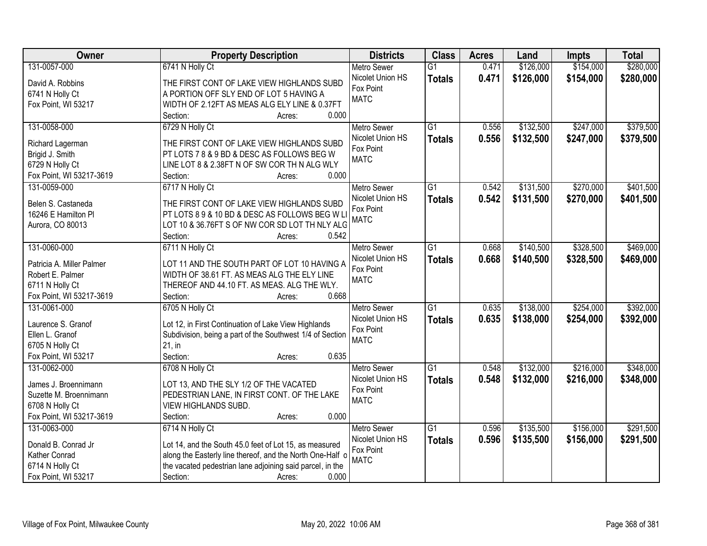| \$154,000<br>\$280,000<br>131-0057-000<br>$\overline{G1}$<br>0.471<br>\$126,000<br>6741 N Holly Ct<br><b>Metro Sewer</b><br>Nicolet Union HS<br>0.471<br>\$126,000<br>\$154,000<br>\$280,000<br><b>Totals</b><br>David A. Robbins<br>THE FIRST CONT OF LAKE VIEW HIGHLANDS SUBD<br>Fox Point<br>6741 N Holly Ct<br>A PORTION OFF SLY END OF LOT 5 HAVING A<br><b>MATC</b><br>Fox Point, WI 53217<br>WIDTH OF 2.12FT AS MEAS ALG ELY LINE & 0.37FT<br>0.000<br>Section:<br>Acres:<br>\$132,500<br>\$247,000<br>\$379,500<br>131-0058-000<br>6729 N Holly Ct<br>$\overline{G1}$<br><b>Metro Sewer</b><br>0.556<br>Nicolet Union HS<br>0.556<br>\$132,500<br>\$247,000<br>\$379,500<br><b>Totals</b><br>THE FIRST CONT OF LAKE VIEW HIGHLANDS SUBD<br>Richard Lagerman<br>Fox Point<br>Brigid J. Smith<br>PT LOTS 7 8 & 9 BD & DESC AS FOLLOWS BEG W<br><b>MATC</b><br>6729 N Holly Ct<br>LINE LOT 8 & 2.38FT N OF SW COR TH N ALG WLY<br>0.000<br>Fox Point, WI 53217-3619<br>Section:<br>Acres:<br>6717 N Holly Ct<br>\$131,500<br>\$270,000<br>\$401,500<br>131-0059-000<br><b>Metro Sewer</b><br>$\overline{G1}$<br>0.542 |
|----------------------------------------------------------------------------------------------------------------------------------------------------------------------------------------------------------------------------------------------------------------------------------------------------------------------------------------------------------------------------------------------------------------------------------------------------------------------------------------------------------------------------------------------------------------------------------------------------------------------------------------------------------------------------------------------------------------------------------------------------------------------------------------------------------------------------------------------------------------------------------------------------------------------------------------------------------------------------------------------------------------------------------------------------------------------------------------------------------------------------|
|                                                                                                                                                                                                                                                                                                                                                                                                                                                                                                                                                                                                                                                                                                                                                                                                                                                                                                                                                                                                                                                                                                                            |
|                                                                                                                                                                                                                                                                                                                                                                                                                                                                                                                                                                                                                                                                                                                                                                                                                                                                                                                                                                                                                                                                                                                            |
|                                                                                                                                                                                                                                                                                                                                                                                                                                                                                                                                                                                                                                                                                                                                                                                                                                                                                                                                                                                                                                                                                                                            |
|                                                                                                                                                                                                                                                                                                                                                                                                                                                                                                                                                                                                                                                                                                                                                                                                                                                                                                                                                                                                                                                                                                                            |
|                                                                                                                                                                                                                                                                                                                                                                                                                                                                                                                                                                                                                                                                                                                                                                                                                                                                                                                                                                                                                                                                                                                            |
|                                                                                                                                                                                                                                                                                                                                                                                                                                                                                                                                                                                                                                                                                                                                                                                                                                                                                                                                                                                                                                                                                                                            |
|                                                                                                                                                                                                                                                                                                                                                                                                                                                                                                                                                                                                                                                                                                                                                                                                                                                                                                                                                                                                                                                                                                                            |
|                                                                                                                                                                                                                                                                                                                                                                                                                                                                                                                                                                                                                                                                                                                                                                                                                                                                                                                                                                                                                                                                                                                            |
|                                                                                                                                                                                                                                                                                                                                                                                                                                                                                                                                                                                                                                                                                                                                                                                                                                                                                                                                                                                                                                                                                                                            |
|                                                                                                                                                                                                                                                                                                                                                                                                                                                                                                                                                                                                                                                                                                                                                                                                                                                                                                                                                                                                                                                                                                                            |
|                                                                                                                                                                                                                                                                                                                                                                                                                                                                                                                                                                                                                                                                                                                                                                                                                                                                                                                                                                                                                                                                                                                            |
|                                                                                                                                                                                                                                                                                                                                                                                                                                                                                                                                                                                                                                                                                                                                                                                                                                                                                                                                                                                                                                                                                                                            |
| 0.542<br>Nicolet Union HS<br>\$131,500<br>\$270,000<br>\$401,500<br><b>Totals</b><br>Belen S. Castaneda<br>THE FIRST CONT OF LAKE VIEW HIGHLANDS SUBD                                                                                                                                                                                                                                                                                                                                                                                                                                                                                                                                                                                                                                                                                                                                                                                                                                                                                                                                                                      |
| Fox Point<br>PT LOTS 8 9 & 10 BD & DESC AS FOLLOWS BEG W L<br>16246 E Hamilton PI                                                                                                                                                                                                                                                                                                                                                                                                                                                                                                                                                                                                                                                                                                                                                                                                                                                                                                                                                                                                                                          |
| <b>MATC</b><br>LOT 10 & 36.76FT S OF NW COR SD LOT TH NLY ALG<br>Aurora, CO 80013                                                                                                                                                                                                                                                                                                                                                                                                                                                                                                                                                                                                                                                                                                                                                                                                                                                                                                                                                                                                                                          |
| Section:<br>0.542<br>Acres:                                                                                                                                                                                                                                                                                                                                                                                                                                                                                                                                                                                                                                                                                                                                                                                                                                                                                                                                                                                                                                                                                                |
| \$328,500<br>\$469,000<br>131-0060-000<br>6711 N Holly Ct<br>$\overline{G1}$<br>\$140,500<br><b>Metro Sewer</b><br>0.668                                                                                                                                                                                                                                                                                                                                                                                                                                                                                                                                                                                                                                                                                                                                                                                                                                                                                                                                                                                                   |
| Nicolet Union HS<br>0.668<br>\$140,500<br>\$328,500<br>\$469,000<br><b>Totals</b>                                                                                                                                                                                                                                                                                                                                                                                                                                                                                                                                                                                                                                                                                                                                                                                                                                                                                                                                                                                                                                          |
| Patricia A. Miller Palmer<br>LOT 11 AND THE SOUTH PART OF LOT 10 HAVING A<br>Fox Point                                                                                                                                                                                                                                                                                                                                                                                                                                                                                                                                                                                                                                                                                                                                                                                                                                                                                                                                                                                                                                     |
| Robert E. Palmer<br>WIDTH OF 38.61 FT. AS MEAS ALG THE ELY LINE<br><b>MATC</b>                                                                                                                                                                                                                                                                                                                                                                                                                                                                                                                                                                                                                                                                                                                                                                                                                                                                                                                                                                                                                                             |
| 6711 N Holly Ct<br>THEREOF AND 44.10 FT. AS MEAS. ALG THE WLY.                                                                                                                                                                                                                                                                                                                                                                                                                                                                                                                                                                                                                                                                                                                                                                                                                                                                                                                                                                                                                                                             |
| Fox Point, WI 53217-3619<br>0.668<br>Section:<br>Acres:                                                                                                                                                                                                                                                                                                                                                                                                                                                                                                                                                                                                                                                                                                                                                                                                                                                                                                                                                                                                                                                                    |
| $\overline{G1}$<br>\$138,000<br>\$392,000<br>131-0061-000<br>6705 N Holly Ct<br>0.635<br>\$254,000<br><b>Metro Sewer</b>                                                                                                                                                                                                                                                                                                                                                                                                                                                                                                                                                                                                                                                                                                                                                                                                                                                                                                                                                                                                   |
| 0.635<br>\$138,000<br>\$392,000<br>Nicolet Union HS<br><b>Totals</b><br>\$254,000<br>Laurence S. Granof<br>Lot 12, in First Continuation of Lake View Highlands                                                                                                                                                                                                                                                                                                                                                                                                                                                                                                                                                                                                                                                                                                                                                                                                                                                                                                                                                            |
| Fox Point<br>Subdivision, being a part of the Southwest 1/4 of Section<br>Ellen L. Granof                                                                                                                                                                                                                                                                                                                                                                                                                                                                                                                                                                                                                                                                                                                                                                                                                                                                                                                                                                                                                                  |
| <b>MATC</b><br>6705 N Holly Ct<br>21, in                                                                                                                                                                                                                                                                                                                                                                                                                                                                                                                                                                                                                                                                                                                                                                                                                                                                                                                                                                                                                                                                                   |
| Fox Point, WI 53217<br>Section:<br>0.635<br>Acres:                                                                                                                                                                                                                                                                                                                                                                                                                                                                                                                                                                                                                                                                                                                                                                                                                                                                                                                                                                                                                                                                         |
| $\overline{G1}$<br>\$132,000<br>\$216,000<br>\$348,000<br>131-0062-000<br>6708 N Holly Ct<br><b>Metro Sewer</b><br>0.548                                                                                                                                                                                                                                                                                                                                                                                                                                                                                                                                                                                                                                                                                                                                                                                                                                                                                                                                                                                                   |
| Nicolet Union HS<br>0.548<br>\$132,000<br>\$216,000<br>\$348,000<br><b>Totals</b>                                                                                                                                                                                                                                                                                                                                                                                                                                                                                                                                                                                                                                                                                                                                                                                                                                                                                                                                                                                                                                          |
| LOT 13, AND THE SLY 1/2 OF THE VACATED<br>James J. Broennimann<br>Fox Point                                                                                                                                                                                                                                                                                                                                                                                                                                                                                                                                                                                                                                                                                                                                                                                                                                                                                                                                                                                                                                                |
| PEDESTRIAN LANE, IN FIRST CONT. OF THE LAKE<br>Suzette M. Broennimann<br><b>MATC</b>                                                                                                                                                                                                                                                                                                                                                                                                                                                                                                                                                                                                                                                                                                                                                                                                                                                                                                                                                                                                                                       |
| 6708 N Holly Ct<br><b>VIEW HIGHLANDS SUBD.</b>                                                                                                                                                                                                                                                                                                                                                                                                                                                                                                                                                                                                                                                                                                                                                                                                                                                                                                                                                                                                                                                                             |
| Fox Point, WI 53217-3619<br>0.000<br>Section:<br>Acres:                                                                                                                                                                                                                                                                                                                                                                                                                                                                                                                                                                                                                                                                                                                                                                                                                                                                                                                                                                                                                                                                    |
| \$135,500<br>\$156,000<br>\$291,500<br>131-0063-000<br>6714 N Holly Ct<br>$\overline{G1}$<br><b>Metro Sewer</b><br>0.596                                                                                                                                                                                                                                                                                                                                                                                                                                                                                                                                                                                                                                                                                                                                                                                                                                                                                                                                                                                                   |
| Nicolet Union HS<br>0.596<br>\$135,500<br>\$156,000<br>\$291,500<br><b>Totals</b><br>Donald B. Conrad Jr<br>Lot 14, and the South 45.0 feet of Lot 15, as measured                                                                                                                                                                                                                                                                                                                                                                                                                                                                                                                                                                                                                                                                                                                                                                                                                                                                                                                                                         |
| Fox Point<br>along the Easterly line thereof, and the North One-Half of<br>Kather Conrad                                                                                                                                                                                                                                                                                                                                                                                                                                                                                                                                                                                                                                                                                                                                                                                                                                                                                                                                                                                                                                   |
| <b>MATC</b><br>the vacated pedestrian lane adjoining said parcel, in the<br>6714 N Holly Ct                                                                                                                                                                                                                                                                                                                                                                                                                                                                                                                                                                                                                                                                                                                                                                                                                                                                                                                                                                                                                                |
| 0.000<br>Fox Point, WI 53217<br>Section:<br>Acres:                                                                                                                                                                                                                                                                                                                                                                                                                                                                                                                                                                                                                                                                                                                                                                                                                                                                                                                                                                                                                                                                         |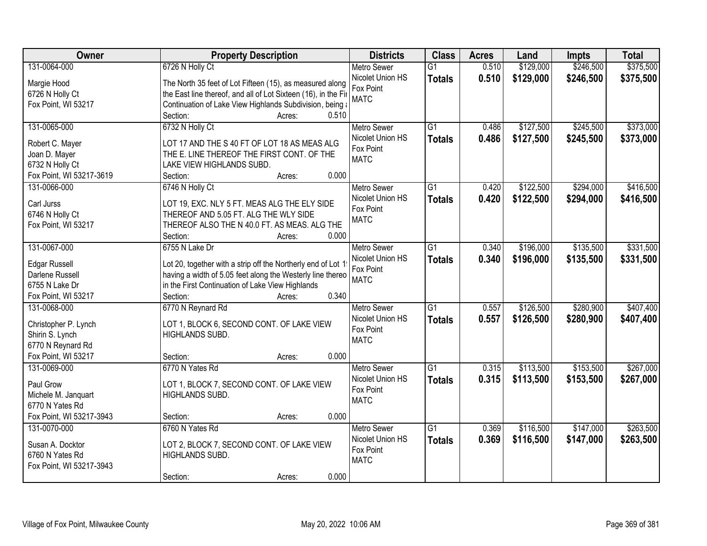| Owner                             | <b>Property Description</b>                                                                                                | <b>Districts</b>              | <b>Class</b>    | <b>Acres</b> | Land      | <b>Impts</b> | <b>Total</b> |
|-----------------------------------|----------------------------------------------------------------------------------------------------------------------------|-------------------------------|-----------------|--------------|-----------|--------------|--------------|
| 131-0064-000                      | 6726 N Holly Ct                                                                                                            | <b>Metro Sewer</b>            | $\overline{G1}$ | 0.510        | \$129,000 | \$246,500    | \$375,500    |
| Margie Hood                       | The North 35 feet of Lot Fifteen (15), as measured along                                                                   | Nicolet Union HS              | <b>Totals</b>   | 0.510        | \$129,000 | \$246,500    | \$375,500    |
| 6726 N Holly Ct                   | the East line thereof, and all of Lot Sixteen (16), in the Fir                                                             | Fox Point                     |                 |              |           |              |              |
| Fox Point, WI 53217               | Continuation of Lake View Highlands Subdivision, being a                                                                   | <b>MATC</b>                   |                 |              |           |              |              |
|                                   | 0.510<br>Section:<br>Acres:                                                                                                |                               |                 |              |           |              |              |
| 131-0065-000                      | 6732 N Holly Ct                                                                                                            | <b>Metro Sewer</b>            | $\overline{G1}$ | 0.486        | \$127,500 | \$245,500    | \$373,000    |
|                                   |                                                                                                                            | Nicolet Union HS              | <b>Totals</b>   | 0.486        | \$127,500 | \$245,500    | \$373,000    |
| Robert C. Mayer                   | LOT 17 AND THE S 40 FT OF LOT 18 AS MEAS ALG                                                                               | Fox Point                     |                 |              |           |              |              |
| Joan D. Mayer                     | THE E. LINE THEREOF THE FIRST CONT. OF THE                                                                                 | <b>MATC</b>                   |                 |              |           |              |              |
| 6732 N Holly Ct                   | LAKE VIEW HIGHLANDS SUBD.<br>0.000                                                                                         |                               |                 |              |           |              |              |
| Fox Point, WI 53217-3619          | Section:<br>Acres:                                                                                                         |                               |                 |              |           |              |              |
| 131-0066-000                      | 6746 N Holly Ct                                                                                                            | <b>Metro Sewer</b>            | $\overline{G1}$ | 0.420        | \$122,500 | \$294,000    | \$416,500    |
| Carl Jurss                        | LOT 19, EXC. NLY 5 FT. MEAS ALG THE ELY SIDE                                                                               | Nicolet Union HS              | <b>Totals</b>   | 0.420        | \$122,500 | \$294,000    | \$416,500    |
| 6746 N Holly Ct                   | THEREOF AND 5.05 FT. ALG THE WLY SIDE                                                                                      | Fox Point<br><b>MATC</b>      |                 |              |           |              |              |
| Fox Point, WI 53217               | THEREOF ALSO THE N 40.0 FT. AS MEAS. ALG THE                                                                               |                               |                 |              |           |              |              |
|                                   | Section:<br>0.000<br>Acres:                                                                                                |                               |                 |              |           |              |              |
| 131-0067-000                      | 6755 N Lake Dr                                                                                                             | <b>Metro Sewer</b>            | $\overline{G1}$ | 0.340        | \$196,000 | \$135,500    | \$331,500    |
|                                   |                                                                                                                            | Nicolet Union HS              | <b>Totals</b>   | 0.340        | \$196,000 | \$135,500    | \$331,500    |
| <b>Edgar Russell</b>              | Lot 20, together with a strip off the Northerly end of Lot 1<br>having a width of 5.05 feet along the Westerly line thereo | Fox Point                     |                 |              |           |              |              |
| Darlene Russell<br>6755 N Lake Dr | in the First Continuation of Lake View Highlands                                                                           | <b>MATC</b>                   |                 |              |           |              |              |
| Fox Point, WI 53217               | 0.340<br>Section:                                                                                                          |                               |                 |              |           |              |              |
| 131-0068-000                      | Acres:                                                                                                                     |                               | $\overline{G1}$ | 0.557        | \$126,500 | \$280,900    | \$407,400    |
|                                   | 6770 N Reynard Rd                                                                                                          | Metro Sewer                   |                 |              |           |              |              |
| Christopher P. Lynch              | LOT 1, BLOCK 6, SECOND CONT. OF LAKE VIEW                                                                                  | Nicolet Union HS<br>Fox Point | <b>Totals</b>   | 0.557        | \$126,500 | \$280,900    | \$407,400    |
| Shirin S. Lynch                   | HIGHLANDS SUBD.                                                                                                            | <b>MATC</b>                   |                 |              |           |              |              |
| 6770 N Reynard Rd                 |                                                                                                                            |                               |                 |              |           |              |              |
| Fox Point, WI 53217               | Section:<br>0.000<br>Acres:                                                                                                |                               |                 |              |           |              |              |
| 131-0069-000                      | 6770 N Yates Rd                                                                                                            | Metro Sewer                   | $\overline{G1}$ | 0.315        | \$113,500 | \$153,500    | \$267,000    |
| Paul Grow                         | LOT 1, BLOCK 7, SECOND CONT. OF LAKE VIEW                                                                                  | Nicolet Union HS              | <b>Totals</b>   | 0.315        | \$113,500 | \$153,500    | \$267,000    |
| Michele M. Janquart               | HIGHLANDS SUBD.                                                                                                            | Fox Point                     |                 |              |           |              |              |
| 6770 N Yates Rd                   |                                                                                                                            | <b>MATC</b>                   |                 |              |           |              |              |
| Fox Point, WI 53217-3943          | 0.000<br>Section:<br>Acres:                                                                                                |                               |                 |              |           |              |              |
| 131-0070-000                      | 6760 N Yates Rd                                                                                                            | <b>Metro Sewer</b>            | $\overline{G1}$ | 0.369        | \$116,500 | \$147,000    | \$263,500    |
|                                   |                                                                                                                            | Nicolet Union HS              |                 | 0.369        |           |              |              |
| Susan A. Docktor                  | LOT 2, BLOCK 7, SECOND CONT. OF LAKE VIEW                                                                                  | Fox Point                     | <b>Totals</b>   |              | \$116,500 | \$147,000    | \$263,500    |
| 6760 N Yates Rd                   | HIGHLANDS SUBD.                                                                                                            | <b>MATC</b>                   |                 |              |           |              |              |
| Fox Point, WI 53217-3943          |                                                                                                                            |                               |                 |              |           |              |              |
|                                   | 0.000<br>Section:<br>Acres:                                                                                                |                               |                 |              |           |              |              |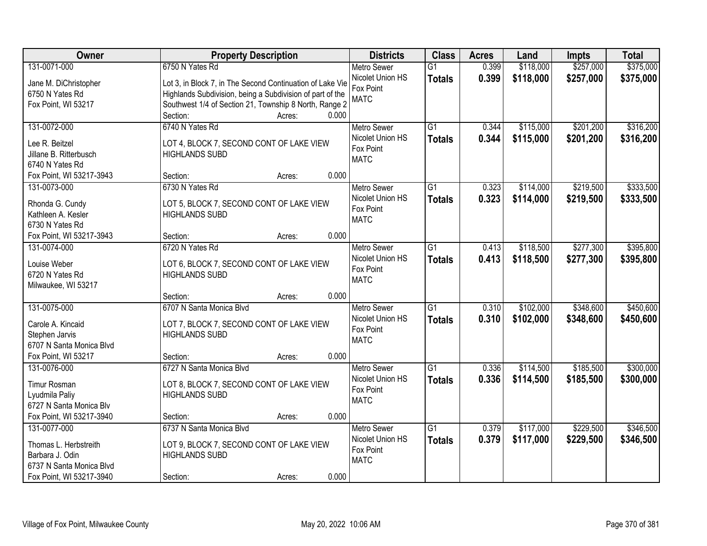| Owner                                     | <b>Property Description</b>                               | <b>Districts</b>                       | <b>Class</b>    | <b>Acres</b> | Land      | <b>Impts</b> | <b>Total</b> |
|-------------------------------------------|-----------------------------------------------------------|----------------------------------------|-----------------|--------------|-----------|--------------|--------------|
| 131-0071-000                              | 6750 N Yates Rd                                           | <b>Metro Sewer</b>                     | $\overline{G1}$ | 0.399        | \$118,000 | \$257,000    | \$375,000    |
| Jane M. DiChristopher                     | Lot 3, in Block 7, in The Second Continuation of Lake Vie | Nicolet Union HS                       | <b>Totals</b>   | 0.399        | \$118,000 | \$257,000    | \$375,000    |
| 6750 N Yates Rd                           | Highlands Subdivision, being a Subdivision of part of the | Fox Point                              |                 |              |           |              |              |
| Fox Point, WI 53217                       | Southwest 1/4 of Section 21, Township 8 North, Range 2    | <b>MATC</b>                            |                 |              |           |              |              |
|                                           | 0.000<br>Section:<br>Acres:                               |                                        |                 |              |           |              |              |
| 131-0072-000                              | 6740 N Yates Rd                                           | <b>Metro Sewer</b>                     | $\overline{G1}$ | 0.344        | \$115,000 | \$201,200    | \$316,200    |
|                                           |                                                           | Nicolet Union HS                       | <b>Totals</b>   | 0.344        | \$115,000 | \$201,200    | \$316,200    |
| Lee R. Beitzel                            | LOT 4, BLOCK 7, SECOND CONT OF LAKE VIEW                  | Fox Point                              |                 |              |           |              |              |
| Jillane B. Ritterbusch<br>6740 N Yates Rd | <b>HIGHLANDS SUBD</b>                                     | <b>MATC</b>                            |                 |              |           |              |              |
|                                           | 0.000<br>Section:                                         |                                        |                 |              |           |              |              |
| Fox Point, WI 53217-3943<br>131-0073-000  | Acres:<br>6730 N Yates Rd                                 |                                        | G1              | 0.323        |           | \$219,500    | \$333,500    |
|                                           |                                                           | <b>Metro Sewer</b><br>Nicolet Union HS |                 |              | \$114,000 |              |              |
| Rhonda G. Cundy                           | LOT 5, BLOCK 7, SECOND CONT OF LAKE VIEW                  |                                        | <b>Totals</b>   | 0.323        | \$114,000 | \$219,500    | \$333,500    |
| Kathleen A. Kesler                        | <b>HIGHLANDS SUBD</b>                                     | Fox Point<br><b>MATC</b>               |                 |              |           |              |              |
| 6730 N Yates Rd                           |                                                           |                                        |                 |              |           |              |              |
| Fox Point, WI 53217-3943                  | 0.000<br>Section:<br>Acres:                               |                                        |                 |              |           |              |              |
| 131-0074-000                              | 6720 N Yates Rd                                           | <b>Metro Sewer</b>                     | G1              | 0.413        | \$118,500 | \$277,300    | \$395,800    |
| Louise Weber                              | LOT 6, BLOCK 7, SECOND CONT OF LAKE VIEW                  | Nicolet Union HS                       | <b>Totals</b>   | 0.413        | \$118,500 | \$277,300    | \$395,800    |
| 6720 N Yates Rd                           | <b>HIGHLANDS SUBD</b>                                     | Fox Point                              |                 |              |           |              |              |
| Milwaukee, WI 53217                       |                                                           | <b>MATC</b>                            |                 |              |           |              |              |
|                                           | 0.000<br>Section:<br>Acres:                               |                                        |                 |              |           |              |              |
| 131-0075-000                              | 6707 N Santa Monica Blvd                                  | <b>Metro Sewer</b>                     | $\overline{G1}$ | 0.310        | \$102,000 | \$348,600    | \$450,600    |
|                                           |                                                           | Nicolet Union HS                       |                 | 0.310        | \$102,000 | \$348,600    | \$450,600    |
| Carole A. Kincaid                         | LOT 7, BLOCK 7, SECOND CONT OF LAKE VIEW                  | Fox Point                              | <b>Totals</b>   |              |           |              |              |
| Stephen Jarvis                            | <b>HIGHLANDS SUBD</b>                                     | <b>MATC</b>                            |                 |              |           |              |              |
| 6707 N Santa Monica Blvd                  |                                                           |                                        |                 |              |           |              |              |
| Fox Point, WI 53217                       | 0.000<br>Section:<br>Acres:                               |                                        |                 |              |           |              |              |
| 131-0076-000                              | 6727 N Santa Monica Blvd                                  | <b>Metro Sewer</b>                     | $\overline{G1}$ | 0.336        | \$114,500 | \$185,500    | \$300,000    |
| <b>Timur Rosman</b>                       | LOT 8, BLOCK 7, SECOND CONT OF LAKE VIEW                  | Nicolet Union HS                       | <b>Totals</b>   | 0.336        | \$114,500 | \$185,500    | \$300,000    |
| Lyudmila Paliy                            | <b>HIGHLANDS SUBD</b>                                     | Fox Point                              |                 |              |           |              |              |
| 6727 N Santa Monica Blv                   |                                                           | <b>MATC</b>                            |                 |              |           |              |              |
| Fox Point, WI 53217-3940                  | 0.000<br>Section:<br>Acres:                               |                                        |                 |              |           |              |              |
| 131-0077-000                              | 6737 N Santa Monica Blvd                                  | <b>Metro Sewer</b>                     | $\overline{G1}$ | 0.379        | \$117,000 | \$229,500    | \$346,500    |
|                                           |                                                           | Nicolet Union HS                       | <b>Totals</b>   | 0.379        | \$117,000 | \$229,500    | \$346,500    |
| Thomas L. Herbstreith                     | LOT 9, BLOCK 7, SECOND CONT OF LAKE VIEW                  | Fox Point                              |                 |              |           |              |              |
| Barbara J. Odin                           | <b>HIGHLANDS SUBD</b>                                     | <b>MATC</b>                            |                 |              |           |              |              |
| 6737 N Santa Monica Blvd                  |                                                           |                                        |                 |              |           |              |              |
| Fox Point, WI 53217-3940                  | 0.000<br>Section:<br>Acres:                               |                                        |                 |              |           |              |              |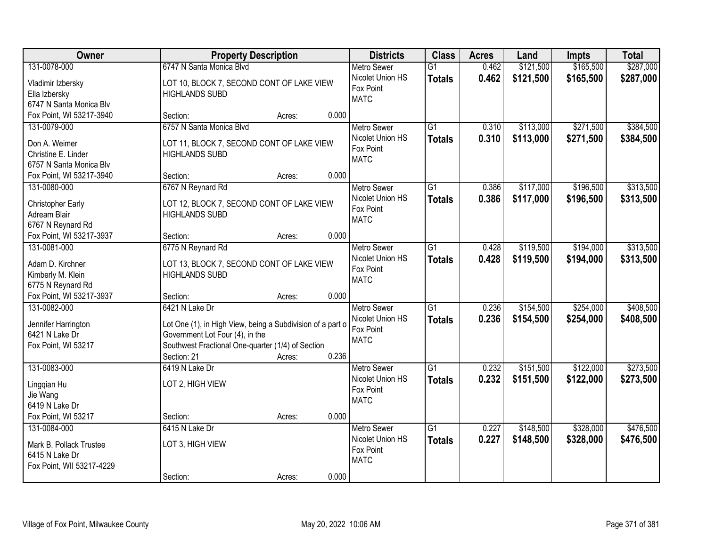| Owner                             |                                                                    | <b>Property Description</b> |       | <b>Districts</b>                       | <b>Class</b>    | <b>Acres</b> | Land      | <b>Impts</b> | <b>Total</b> |
|-----------------------------------|--------------------------------------------------------------------|-----------------------------|-------|----------------------------------------|-----------------|--------------|-----------|--------------|--------------|
| 131-0078-000                      | 6747 N Santa Monica Blvd                                           |                             |       | <b>Metro Sewer</b><br>Nicolet Union HS | $\overline{G1}$ | 0.462        | \$121,500 | \$165,500    | \$287,000    |
| Vladimir Izbersky                 | LOT 10, BLOCK 7, SECOND CONT OF LAKE VIEW                          |                             |       | Fox Point                              | <b>Totals</b>   | 0.462        | \$121,500 | \$165,500    | \$287,000    |
| Ella Izbersky                     | <b>HIGHLANDS SUBD</b>                                              |                             |       | <b>MATC</b>                            |                 |              |           |              |              |
| 6747 N Santa Monica Blv           |                                                                    |                             |       |                                        |                 |              |           |              |              |
| Fox Point, WI 53217-3940          | Section:                                                           | Acres:                      | 0.000 |                                        |                 |              |           |              |              |
| 131-0079-000                      | 6757 N Santa Monica Blvd                                           |                             |       | <b>Metro Sewer</b>                     | $\overline{G1}$ | 0.310        | \$113,000 | \$271,500    | \$384,500    |
| Don A. Weimer                     | LOT 11, BLOCK 7, SECOND CONT OF LAKE VIEW                          |                             |       | Nicolet Union HS                       | <b>Totals</b>   | 0.310        | \$113,000 | \$271,500    | \$384,500    |
| Christine E. Linder               | <b>HIGHLANDS SUBD</b>                                              |                             |       | Fox Point                              |                 |              |           |              |              |
| 6757 N Santa Monica Blv           |                                                                    |                             |       | <b>MATC</b>                            |                 |              |           |              |              |
| Fox Point, WI 53217-3940          | Section:                                                           | Acres:                      | 0.000 |                                        |                 |              |           |              |              |
| 131-0080-000                      | 6767 N Reynard Rd                                                  |                             |       | <b>Metro Sewer</b>                     | G1              | 0.386        | \$117,000 | \$196,500    | \$313,500    |
|                                   |                                                                    |                             |       | Nicolet Union HS                       | <b>Totals</b>   | 0.386        | \$117,000 | \$196,500    | \$313,500    |
| Christopher Early<br>Adream Blair | LOT 12, BLOCK 7, SECOND CONT OF LAKE VIEW<br><b>HIGHLANDS SUBD</b> |                             |       | Fox Point                              |                 |              |           |              |              |
| 6767 N Reynard Rd                 |                                                                    |                             |       | <b>MATC</b>                            |                 |              |           |              |              |
| Fox Point, WI 53217-3937          | Section:                                                           | Acres:                      | 0.000 |                                        |                 |              |           |              |              |
| 131-0081-000                      | 6775 N Reynard Rd                                                  |                             |       | <b>Metro Sewer</b>                     | G1              | 0.428        | \$119,500 | \$194,000    | \$313,500    |
|                                   |                                                                    |                             |       | Nicolet Union HS                       | <b>Totals</b>   | 0.428        | \$119,500 | \$194,000    | \$313,500    |
| Adam D. Kirchner                  | LOT 13, BLOCK 7, SECOND CONT OF LAKE VIEW                          |                             |       | Fox Point                              |                 |              |           |              |              |
| Kimberly M. Klein                 | <b>HIGHLANDS SUBD</b>                                              |                             |       | <b>MATC</b>                            |                 |              |           |              |              |
| 6775 N Reynard Rd                 |                                                                    |                             |       |                                        |                 |              |           |              |              |
| Fox Point, WI 53217-3937          | Section:                                                           | Acres:                      | 0.000 |                                        |                 |              |           |              |              |
| 131-0082-000                      | 6421 N Lake Dr                                                     |                             |       | <b>Metro Sewer</b>                     | $\overline{G1}$ | 0.236        | \$154,500 | \$254,000    | \$408,500    |
| Jennifer Harrington               | Lot One (1), in High View, being a Subdivision of a part o         |                             |       | Nicolet Union HS                       | <b>Totals</b>   | 0.236        | \$154,500 | \$254,000    | \$408,500    |
| 6421 N Lake Dr                    | Government Lot Four (4), in the                                    |                             |       | Fox Point                              |                 |              |           |              |              |
| Fox Point, WI 53217               | Southwest Fractional One-quarter (1/4) of Section                  |                             |       | <b>MATC</b>                            |                 |              |           |              |              |
|                                   | Section: 21                                                        | Acres:                      | 0.236 |                                        |                 |              |           |              |              |
| 131-0083-000                      | 6419 N Lake Dr                                                     |                             |       | Metro Sewer                            | $\overline{G1}$ | 0.232        | \$151,500 | \$122,000    | \$273,500    |
|                                   | LOT 2, HIGH VIEW                                                   |                             |       | Nicolet Union HS                       | <b>Totals</b>   | 0.232        | \$151,500 | \$122,000    | \$273,500    |
| Lingqian Hu<br>Jie Wang           |                                                                    |                             |       | Fox Point                              |                 |              |           |              |              |
| 6419 N Lake Dr                    |                                                                    |                             |       | <b>MATC</b>                            |                 |              |           |              |              |
| Fox Point, WI 53217               | Section:                                                           | Acres:                      | 0.000 |                                        |                 |              |           |              |              |
| 131-0084-000                      | 6415 N Lake Dr                                                     |                             |       | <b>Metro Sewer</b>                     | $\overline{G1}$ | 0.227        | \$148,500 | \$328,000    | \$476,500    |
|                                   |                                                                    |                             |       | Nicolet Union HS                       | <b>Totals</b>   | 0.227        | \$148,500 | \$328,000    | \$476,500    |
| Mark B. Pollack Trustee           | LOT 3, HIGH VIEW                                                   |                             |       | Fox Point                              |                 |              |           |              |              |
| 6415 N Lake Dr                    |                                                                    |                             |       | <b>MATC</b>                            |                 |              |           |              |              |
| Fox Point, WII 53217-4229         |                                                                    |                             |       |                                        |                 |              |           |              |              |
|                                   | Section:                                                           | Acres:                      | 0.000 |                                        |                 |              |           |              |              |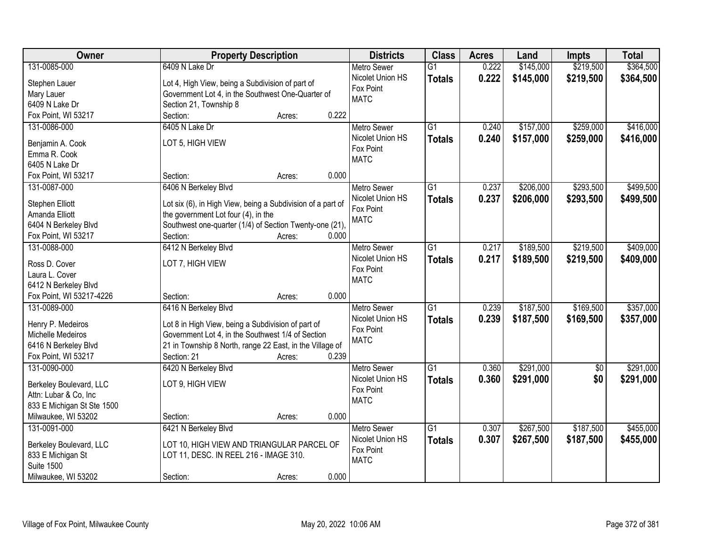| Owner                      | <b>Property Description</b>                                 |        | <b>Districts</b>         | <b>Class</b>    | <b>Acres</b> | Land      | <b>Impts</b>    | <b>Total</b> |
|----------------------------|-------------------------------------------------------------|--------|--------------------------|-----------------|--------------|-----------|-----------------|--------------|
| 131-0085-000               | 6409 N Lake Dr                                              |        | <b>Metro Sewer</b>       | $\overline{G1}$ | 0.222        | \$145,000 | \$219,500       | \$364,500    |
| Stephen Lauer              | Lot 4, High View, being a Subdivision of part of            |        | Nicolet Union HS         | <b>Totals</b>   | 0.222        | \$145,000 | \$219,500       | \$364,500    |
| Mary Lauer                 | Government Lot 4, in the Southwest One-Quarter of           |        | Fox Point                |                 |              |           |                 |              |
| 6409 N Lake Dr             | Section 21, Township 8                                      |        | <b>MATC</b>              |                 |              |           |                 |              |
| Fox Point, WI 53217        | Section:                                                    | Acres: | 0.222                    |                 |              |           |                 |              |
| 131-0086-000               | 6405 N Lake Dr                                              |        | <b>Metro Sewer</b>       | $\overline{G1}$ | 0.240        | \$157,000 | \$259,000       | \$416,000    |
|                            |                                                             |        | Nicolet Union HS         | <b>Totals</b>   | 0.240        | \$157,000 | \$259,000       | \$416,000    |
| Benjamin A. Cook           | LOT 5, HIGH VIEW                                            |        | Fox Point                |                 |              |           |                 |              |
| Emma R. Cook               |                                                             |        | <b>MATC</b>              |                 |              |           |                 |              |
| 6405 N Lake Dr             |                                                             |        | 0.000                    |                 |              |           |                 |              |
| Fox Point, WI 53217        | Section:                                                    | Acres: |                          |                 |              |           |                 |              |
| 131-0087-000               | 6406 N Berkeley Blvd                                        |        | <b>Metro Sewer</b>       | $\overline{G1}$ | 0.237        | \$206,000 | \$293,500       | \$499,500    |
| Stephen Elliott            | Lot six (6), in High View, being a Subdivision of a part of |        | Nicolet Union HS         | <b>Totals</b>   | 0.237        | \$206,000 | \$293,500       | \$499,500    |
| Amanda Elliott             | the government Lot four (4), in the                         |        | Fox Point<br><b>MATC</b> |                 |              |           |                 |              |
| 6404 N Berkeley Blvd       | Southwest one-quarter (1/4) of Section Twenty-one (21),     |        |                          |                 |              |           |                 |              |
| Fox Point, WI 53217        | Section:                                                    | Acres: | 0.000                    |                 |              |           |                 |              |
| 131-0088-000               | 6412 N Berkeley Blvd                                        |        | <b>Metro Sewer</b>       | $\overline{G1}$ | 0.217        | \$189,500 | \$219,500       | \$409,000    |
| Ross D. Cover              | LOT 7, HIGH VIEW                                            |        | Nicolet Union HS         | <b>Totals</b>   | 0.217        | \$189,500 | \$219,500       | \$409,000    |
| Laura L. Cover             |                                                             |        | Fox Point                |                 |              |           |                 |              |
| 6412 N Berkeley Blvd       |                                                             |        | <b>MATC</b>              |                 |              |           |                 |              |
| Fox Point, WI 53217-4226   | Section:                                                    | Acres: | 0.000                    |                 |              |           |                 |              |
| 131-0089-000               | 6416 N Berkeley Blvd                                        |        | Metro Sewer              | $\overline{G1}$ | 0.239        | \$187,500 | \$169,500       | \$357,000    |
|                            |                                                             |        | Nicolet Union HS         | <b>Totals</b>   | 0.239        | \$187,500 | \$169,500       | \$357,000    |
| Henry P. Medeiros          | Lot 8 in High View, being a Subdivision of part of          |        | Fox Point                |                 |              |           |                 |              |
| Michelle Medeiros          | Government Lot 4, in the Southwest 1/4 of Section           |        | <b>MATC</b>              |                 |              |           |                 |              |
| 6416 N Berkeley Blvd       | 21 in Township 8 North, range 22 East, in the Village of    |        |                          |                 |              |           |                 |              |
| Fox Point, WI 53217        | Section: 21                                                 | Acres: | 0.239                    |                 |              |           |                 |              |
| 131-0090-000               | 6420 N Berkeley Blvd                                        |        | Metro Sewer              | $\overline{G1}$ | 0.360        | \$291,000 | $\overline{60}$ | \$291,000    |
| Berkeley Boulevard, LLC    | LOT 9, HIGH VIEW                                            |        | Nicolet Union HS         | <b>Totals</b>   | 0.360        | \$291,000 | \$0             | \$291,000    |
| Attn: Lubar & Co, Inc      |                                                             |        | Fox Point                |                 |              |           |                 |              |
| 833 E Michigan St Ste 1500 |                                                             |        | <b>MATC</b>              |                 |              |           |                 |              |
| Milwaukee, WI 53202        | Section:                                                    | Acres: | 0.000                    |                 |              |           |                 |              |
| 131-0091-000               | 6421 N Berkeley Blvd                                        |        | <b>Metro Sewer</b>       | $\overline{G1}$ | 0.307        | \$267,500 | \$187,500       | \$455,000    |
|                            |                                                             |        | Nicolet Union HS         | <b>Totals</b>   | 0.307        | \$267,500 | \$187,500       | \$455,000    |
| Berkeley Boulevard, LLC    | LOT 10, HIGH VIEW AND TRIANGULAR PARCEL OF                  |        | Fox Point                |                 |              |           |                 |              |
| 833 E Michigan St          | LOT 11, DESC. IN REEL 216 - IMAGE 310.                      |        | <b>MATC</b>              |                 |              |           |                 |              |
| <b>Suite 1500</b>          |                                                             |        |                          |                 |              |           |                 |              |
| Milwaukee, WI 53202        | Section:                                                    | Acres: | 0.000                    |                 |              |           |                 |              |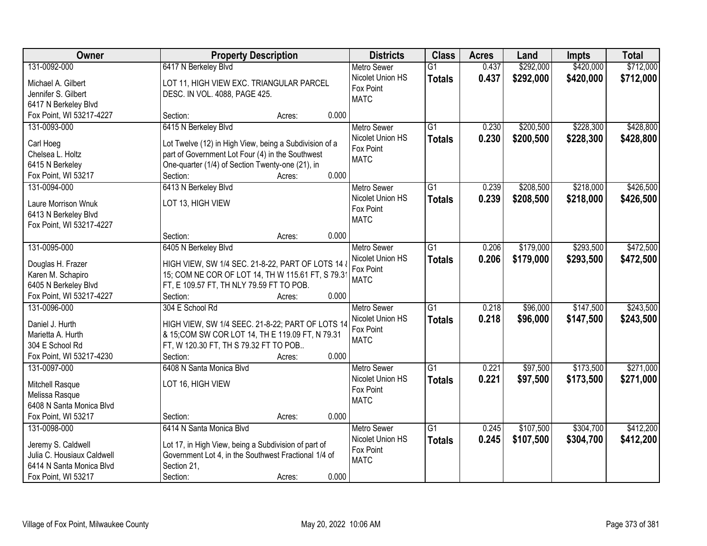| <b>Owner</b>               |                                                                                              | <b>Property Description</b> |       |                          | <b>Class</b>    | <b>Acres</b> | Land      | Impts     | <b>Total</b> |
|----------------------------|----------------------------------------------------------------------------------------------|-----------------------------|-------|--------------------------|-----------------|--------------|-----------|-----------|--------------|
| 131-0092-000               | 6417 N Berkeley Blvd                                                                         |                             |       | <b>Metro Sewer</b>       | $\overline{G1}$ | 0.437        | \$292,000 | \$420,000 | \$712,000    |
| Michael A. Gilbert         | LOT 11, HIGH VIEW EXC. TRIANGULAR PARCEL                                                     |                             |       | Nicolet Union HS         | <b>Totals</b>   | 0.437        | \$292,000 | \$420,000 | \$712,000    |
| Jennifer S. Gilbert        | DESC. IN VOL. 4088, PAGE 425.                                                                |                             |       | Fox Point                |                 |              |           |           |              |
| 6417 N Berkeley Blvd       |                                                                                              |                             |       | <b>MATC</b>              |                 |              |           |           |              |
| Fox Point, WI 53217-4227   | Section:                                                                                     | Acres:                      | 0.000 |                          |                 |              |           |           |              |
| 131-0093-000               | 6415 N Berkeley Blvd                                                                         |                             |       | Metro Sewer              | $\overline{G1}$ | 0.230        | \$200,500 | \$228,300 | \$428,800    |
|                            |                                                                                              |                             |       | Nicolet Union HS         | <b>Totals</b>   | 0.230        | \$200,500 | \$228,300 | \$428,800    |
| Carl Hoeg                  | Lot Twelve (12) in High View, being a Subdivision of a                                       |                             |       | Fox Point                |                 |              |           |           |              |
| Chelsea L. Holtz           | part of Government Lot Four (4) in the Southwest                                             |                             |       | <b>MATC</b>              |                 |              |           |           |              |
| 6415 N Berkeley            | One-quarter (1/4) of Section Twenty-one (21), in                                             |                             |       |                          |                 |              |           |           |              |
| Fox Point, WI 53217        | Section:                                                                                     | Acres:                      | 0.000 |                          |                 |              |           |           |              |
| 131-0094-000               | 6413 N Berkeley Blvd                                                                         |                             |       | <b>Metro Sewer</b>       | $\overline{G1}$ | 0.239        | \$208,500 | \$218,000 | \$426,500    |
| Laure Morrison Wnuk        | LOT 13, HIGH VIEW                                                                            |                             |       | Nicolet Union HS         | <b>Totals</b>   | 0.239        | \$208,500 | \$218,000 | \$426,500    |
| 6413 N Berkeley Blvd       |                                                                                              |                             |       | Fox Point                |                 |              |           |           |              |
| Fox Point, WI 53217-4227   |                                                                                              |                             |       | <b>MATC</b>              |                 |              |           |           |              |
|                            | Section:                                                                                     | Acres:                      | 0.000 |                          |                 |              |           |           |              |
| 131-0095-000               | 6405 N Berkeley Blvd                                                                         |                             |       | <b>Metro Sewer</b>       | $\overline{G1}$ | 0.206        | \$179,000 | \$293,500 | \$472,500    |
|                            |                                                                                              |                             |       | Nicolet Union HS         | <b>Totals</b>   | 0.206        | \$179,000 | \$293,500 | \$472,500    |
| Douglas H. Frazer          | HIGH VIEW, SW 1/4 SEC. 21-8-22, PART OF LOTS 14 &                                            |                             |       | Fox Point                |                 |              |           |           |              |
| Karen M. Schapiro          | 15; COM NE COR OF LOT 14, TH W 115.61 FT, S 79.3<br>FT, E 109.57 FT, TH NLY 79.59 FT TO POB. |                             |       | <b>MATC</b>              |                 |              |           |           |              |
| 6405 N Berkeley Blvd       |                                                                                              |                             | 0.000 |                          |                 |              |           |           |              |
| Fox Point, WI 53217-4227   | Section:                                                                                     | Acres:                      |       |                          | $\overline{G1}$ | 0.218        | \$96,000  | \$147,500 | \$243,500    |
| 131-0096-000               | 304 E School Rd                                                                              |                             |       | <b>Metro Sewer</b>       |                 |              |           |           |              |
| Daniel J. Hurth            | HIGH VIEW, SW 1/4 SEEC. 21-8-22; PART OF LOTS 14                                             |                             |       | Nicolet Union HS         | <b>Totals</b>   | 0.218        | \$96,000  | \$147,500 | \$243,500    |
| Marietta A. Hurth          | & 15; COM SW COR LOT 14, TH E 119.09 FT, N 79.31                                             |                             |       | Fox Point<br><b>MATC</b> |                 |              |           |           |              |
| 304 E School Rd            | FT, W 120.30 FT, TH S 79.32 FT TO POB                                                        |                             |       |                          |                 |              |           |           |              |
| Fox Point, WI 53217-4230   | Section:                                                                                     | Acres:                      | 0.000 |                          |                 |              |           |           |              |
| 131-0097-000               | 6408 N Santa Monica Blvd                                                                     |                             |       | Metro Sewer              | $\overline{G1}$ | 0.221        | \$97,500  | \$173,500 | \$271,000    |
| Mitchell Rasque            | LOT 16, HIGH VIEW                                                                            |                             |       | Nicolet Union HS         | <b>Totals</b>   | 0.221        | \$97,500  | \$173,500 | \$271,000    |
| Melissa Rasque             |                                                                                              |                             |       | Fox Point                |                 |              |           |           |              |
| 6408 N Santa Monica Blvd   |                                                                                              |                             |       | <b>MATC</b>              |                 |              |           |           |              |
| Fox Point, WI 53217        | Section:                                                                                     | Acres:                      | 0.000 |                          |                 |              |           |           |              |
| 131-0098-000               | 6414 N Santa Monica Blvd                                                                     |                             |       | <b>Metro Sewer</b>       | $\overline{G1}$ | 0.245        | \$107,500 | \$304,700 | \$412,200    |
|                            |                                                                                              |                             |       | Nicolet Union HS         |                 | 0.245        | \$107,500 | \$304,700 | \$412,200    |
| Jeremy S. Caldwell         | Lot 17, in High View, being a Subdivision of part of                                         |                             |       | Fox Point                | <b>Totals</b>   |              |           |           |              |
| Julia C. Housiaux Caldwell | Government Lot 4, in the Southwest Fractional 1/4 of                                         |                             |       | <b>MATC</b>              |                 |              |           |           |              |
| 6414 N Santa Monica Blvd   | Section 21,                                                                                  |                             |       |                          |                 |              |           |           |              |
| Fox Point, WI 53217        | Section:                                                                                     | Acres:                      | 0.000 |                          |                 |              |           |           |              |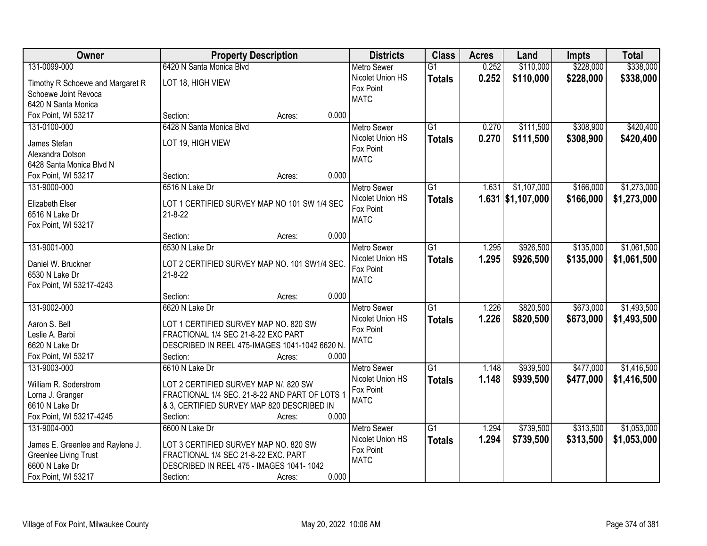| Owner                            | <b>Property Description</b>                    |                 | <b>Districts</b>              | <b>Class</b>    | <b>Acres</b> | Land                | <b>Impts</b> | <b>Total</b> |
|----------------------------------|------------------------------------------------|-----------------|-------------------------------|-----------------|--------------|---------------------|--------------|--------------|
| 131-0099-000                     | 6420 N Santa Monica Blvd                       |                 | Metro Sewer                   | $\overline{G1}$ | 0.252        | \$110,000           | \$228,000    | \$338,000    |
| Timothy R Schoewe and Margaret R | LOT 18, HIGH VIEW                              |                 | Nicolet Union HS              | <b>Totals</b>   | 0.252        | \$110,000           | \$228,000    | \$338,000    |
| Schoewe Joint Revoca             |                                                |                 | Fox Point                     |                 |              |                     |              |              |
| 6420 N Santa Monica              |                                                |                 | <b>MATC</b>                   |                 |              |                     |              |              |
| Fox Point, WI 53217              | Section:                                       | 0.000<br>Acres: |                               |                 |              |                     |              |              |
| 131-0100-000                     | 6428 N Santa Monica Blyd                       |                 | <b>Metro Sewer</b>            | $\overline{G1}$ | 0.270        | \$111,500           | \$308,900    | \$420,400    |
|                                  |                                                |                 | Nicolet Union HS              | <b>Totals</b>   | 0.270        | \$111,500           | \$308,900    | \$420,400    |
| James Stefan                     | LOT 19, HIGH VIEW                              |                 | Fox Point                     |                 |              |                     |              |              |
| Alexandra Dotson                 |                                                |                 | <b>MATC</b>                   |                 |              |                     |              |              |
| 6428 Santa Monica Blvd N         | Section:                                       | 0.000           |                               |                 |              |                     |              |              |
| Fox Point, WI 53217              | 6516 N Lake Dr                                 | Acres:          |                               | $\overline{G1}$ | 1.631        | \$1,107,000         |              | \$1,273,000  |
| 131-9000-000                     |                                                |                 | <b>Metro Sewer</b>            |                 |              |                     | \$166,000    |              |
| Elizabeth Elser                  | LOT 1 CERTIFIED SURVEY MAP NO 101 SW 1/4 SEC   |                 | Nicolet Union HS<br>Fox Point | <b>Totals</b>   |              | $1.631$ \$1,107,000 | \$166,000    | \$1,273,000  |
| 6516 N Lake Dr                   | $21 - 8 - 22$                                  |                 | <b>MATC</b>                   |                 |              |                     |              |              |
| Fox Point, WI 53217              |                                                |                 |                               |                 |              |                     |              |              |
|                                  | Section:                                       | 0.000<br>Acres: |                               |                 |              |                     |              |              |
| 131-9001-000                     | 6530 N Lake Dr                                 |                 | <b>Metro Sewer</b>            | $\overline{G1}$ | 1.295        | \$926,500           | \$135,000    | \$1,061,500  |
| Daniel W. Bruckner               | LOT 2 CERTIFIED SURVEY MAP NO. 101 SW1/4 SEC.  |                 | Nicolet Union HS              | <b>Totals</b>   | 1.295        | \$926,500           | \$135,000    | \$1,061,500  |
| 6530 N Lake Dr                   | $21 - 8 - 22$                                  |                 | Fox Point                     |                 |              |                     |              |              |
| Fox Point, WI 53217-4243         |                                                |                 | <b>MATC</b>                   |                 |              |                     |              |              |
|                                  | Section:                                       | 0.000<br>Acres: |                               |                 |              |                     |              |              |
| 131-9002-000                     | 6620 N Lake Dr                                 |                 | <b>Metro Sewer</b>            | $\overline{G1}$ | 1.226        | \$820,500           | \$673,000    | \$1,493,500  |
|                                  |                                                |                 | Nicolet Union HS              | <b>Totals</b>   | 1.226        | \$820,500           | \$673,000    | \$1,493,500  |
| Aaron S. Bell                    | LOT 1 CERTIFIED SURVEY MAP NO. 820 SW          |                 | Fox Point                     |                 |              |                     |              |              |
| Leslie A. Barbi                  | FRACTIONAL 1/4 SEC 21-8-22 EXC PART            |                 | <b>MATC</b>                   |                 |              |                     |              |              |
| 6620 N Lake Dr                   | DESCRIBED IN REEL 475-IMAGES 1041-1042 6620 N. |                 |                               |                 |              |                     |              |              |
| Fox Point, WI 53217              | Section:                                       | 0.000<br>Acres: |                               |                 |              |                     |              |              |
| 131-9003-000                     | 6610 N Lake Dr                                 |                 | <b>Metro Sewer</b>            | $\overline{G1}$ | 1.148        | \$939,500           | \$477,000    | \$1,416,500  |
| William R. Soderstrom            | LOT 2 CERTIFIED SURVEY MAP N/. 820 SW          |                 | Nicolet Union HS              | <b>Totals</b>   | 1.148        | \$939,500           | \$477,000    | \$1,416,500  |
| Lorna J. Granger                 | FRACTIONAL 1/4 SEC. 21-8-22 AND PART OF LOTS 1 |                 | Fox Point                     |                 |              |                     |              |              |
| 6610 N Lake Dr                   | & 3, CERTIFIED SURVEY MAP 820 DESCRIBED IN     |                 | <b>MATC</b>                   |                 |              |                     |              |              |
| Fox Point, WI 53217-4245         | Section:                                       | 0.000<br>Acres: |                               |                 |              |                     |              |              |
| 131-9004-000                     | 6600 N Lake Dr                                 |                 | <b>Metro Sewer</b>            | $\overline{G1}$ | 1.294        | \$739,500           | \$313,500    | \$1,053,000  |
|                                  |                                                |                 | Nicolet Union HS              | <b>Totals</b>   | 1.294        | \$739,500           | \$313,500    | \$1,053,000  |
| James E. Greenlee and Raylene J. | LOT 3 CERTIFIED SURVEY MAP NO. 820 SW          |                 | Fox Point                     |                 |              |                     |              |              |
| <b>Greenlee Living Trust</b>     | FRACTIONAL 1/4 SEC 21-8-22 EXC. PART           |                 | <b>MATC</b>                   |                 |              |                     |              |              |
| 6600 N Lake Dr                   | DESCRIBED IN REEL 475 - IMAGES 1041-1042       |                 |                               |                 |              |                     |              |              |
| Fox Point, WI 53217              | Section:                                       | 0.000<br>Acres: |                               |                 |              |                     |              |              |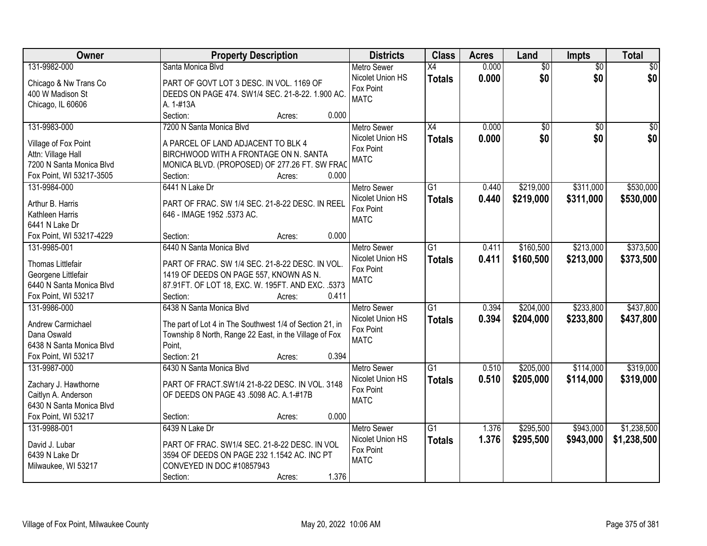| Owner                    | <b>Property Description</b>                                      | <b>Districts</b>   | <b>Class</b>    | <b>Acres</b> | Land            | Impts           | <b>Total</b>    |
|--------------------------|------------------------------------------------------------------|--------------------|-----------------|--------------|-----------------|-----------------|-----------------|
| 131-9982-000             | Santa Monica Blvd                                                | <b>Metro Sewer</b> | $\overline{X4}$ | 0.000        | $\overline{60}$ | $\overline{50}$ | \$0             |
| Chicago & Nw Trans Co    | PART OF GOVT LOT 3 DESC. IN VOL. 1169 OF                         | Nicolet Union HS   | <b>Totals</b>   | 0.000        | \$0             | \$0             | \$0             |
| 400 W Madison St         | DEEDS ON PAGE 474. SW1/4 SEC. 21-8-22. 1.900 AC.                 | Fox Point          |                 |              |                 |                 |                 |
| Chicago, IL 60606        | A. 1-#13A                                                        | <b>MATC</b>        |                 |              |                 |                 |                 |
|                          | Section:<br>0.000<br>Acres:                                      |                    |                 |              |                 |                 |                 |
| 131-9983-000             | 7200 N Santa Monica Blvd                                         | <b>Metro Sewer</b> | $\overline{X4}$ | 0.000        | $\overline{50}$ | $\overline{50}$ | $\overline{50}$ |
|                          |                                                                  | Nicolet Union HS   | <b>Totals</b>   | 0.000        | \$0             | \$0             | \$0             |
| Village of Fox Point     | A PARCEL OF LAND ADJACENT TO BLK 4                               | Fox Point          |                 |              |                 |                 |                 |
| Attn: Village Hall       | BIRCHWOOD WITH A FRONTAGE ON N. SANTA                            | <b>MATC</b>        |                 |              |                 |                 |                 |
| 7200 N Santa Monica Blvd | MONICA BLVD. (PROPOSED) OF 277.26 FT. SW FRAC                    |                    |                 |              |                 |                 |                 |
| Fox Point, WI 53217-3505 | Section:<br>0.000<br>Acres:                                      |                    |                 |              |                 |                 |                 |
| 131-9984-000             | 6441 N Lake Dr                                                   | <b>Metro Sewer</b> | G1              | 0.440        | \$219,000       | \$311,000       | \$530,000       |
| Arthur B. Harris         | PART OF FRAC. SW 1/4 SEC. 21-8-22 DESC. IN REEL                  | Nicolet Union HS   | <b>Totals</b>   | 0.440        | \$219,000       | \$311,000       | \$530,000       |
| Kathleen Harris          | 646 - IMAGE 1952 .5373 AC.                                       | Fox Point          |                 |              |                 |                 |                 |
| 6441 N Lake Dr           |                                                                  | <b>MATC</b>        |                 |              |                 |                 |                 |
| Fox Point, WI 53217-4229 | 0.000<br>Section:<br>Acres:                                      |                    |                 |              |                 |                 |                 |
| 131-9985-001             | 6440 N Santa Monica Blvd                                         | <b>Metro Sewer</b> | G1              | 0.411        | \$160,500       | \$213,000       | \$373,500       |
|                          |                                                                  | Nicolet Union HS   | <b>Totals</b>   | 0.411        | \$160,500       | \$213,000       | \$373,500       |
| Thomas Littlefair        | PART OF FRAC. SW 1/4 SEC. 21-8-22 DESC. IN VOL.                  | Fox Point          |                 |              |                 |                 |                 |
| Georgene Littlefair      | 1419 OF DEEDS ON PAGE 557, KNOWN AS N.                           | <b>MATC</b>        |                 |              |                 |                 |                 |
| 6440 N Santa Monica Blvd | 87.91FT. OF LOT 18, EXC. W. 195FT. AND EXC. .5373                |                    |                 |              |                 |                 |                 |
| Fox Point, WI 53217      | 0.411<br>Section:<br>Acres:                                      |                    |                 |              |                 |                 |                 |
| 131-9986-000             | 6438 N Santa Monica Blvd                                         | <b>Metro Sewer</b> | $\overline{G1}$ | 0.394        | \$204,000       | \$233,800       | \$437,800       |
| Andrew Carmichael        | The part of Lot 4 in The Southwest 1/4 of Section 21, in         | Nicolet Union HS   | <b>Totals</b>   | 0.394        | \$204,000       | \$233,800       | \$437,800       |
| Dana Oswald              |                                                                  | Fox Point          |                 |              |                 |                 |                 |
| 6438 N Santa Monica Blvd | Township 8 North, Range 22 East, in the Village of Fox<br>Point. | <b>MATC</b>        |                 |              |                 |                 |                 |
| Fox Point, WI 53217      | Section: 21<br>0.394                                             |                    |                 |              |                 |                 |                 |
|                          | Acres:                                                           |                    |                 |              |                 |                 |                 |
| 131-9987-000             | 6430 N Santa Monica Blvd                                         | <b>Metro Sewer</b> | $\overline{G1}$ | 0.510        | \$205,000       | \$114,000       | \$319,000       |
| Zachary J. Hawthorne     | PART OF FRACT.SW1/4 21-8-22 DESC. IN VOL. 3148                   | Nicolet Union HS   | <b>Totals</b>   | 0.510        | \$205,000       | \$114,000       | \$319,000       |
| Caitlyn A. Anderson      | OF DEEDS ON PAGE 43 .5098 AC. A.1-#17B                           | Fox Point          |                 |              |                 |                 |                 |
| 6430 N Santa Monica Blvd |                                                                  | <b>MATC</b>        |                 |              |                 |                 |                 |
| Fox Point, WI 53217      | 0.000<br>Section:<br>Acres:                                      |                    |                 |              |                 |                 |                 |
| 131-9988-001             | 6439 N Lake Dr                                                   | <b>Metro Sewer</b> | $\overline{G1}$ | 1.376        | \$295,500       | \$943,000       | \$1,238,500     |
|                          |                                                                  | Nicolet Union HS   | <b>Totals</b>   | 1.376        | \$295,500       | \$943,000       | \$1,238,500     |
| David J. Lubar           | PART OF FRAC. SW1/4 SEC. 21-8-22 DESC. IN VOL                    | Fox Point          |                 |              |                 |                 |                 |
| 6439 N Lake Dr           | 3594 OF DEEDS ON PAGE 232 1.1542 AC. INC PT                      | <b>MATC</b>        |                 |              |                 |                 |                 |
| Milwaukee, WI 53217      | CONVEYED IN DOC #10857943                                        |                    |                 |              |                 |                 |                 |
|                          | 1.376<br>Section:<br>Acres:                                      |                    |                 |              |                 |                 |                 |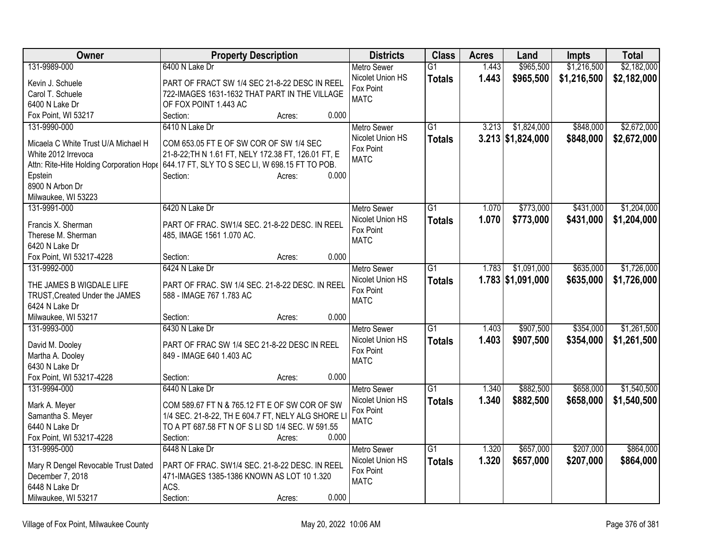| Owner                                    | <b>Property Description</b>                         | <b>Districts</b>   | <b>Class</b>    | <b>Acres</b> | Land                | <b>Impts</b> | <b>Total</b> |
|------------------------------------------|-----------------------------------------------------|--------------------|-----------------|--------------|---------------------|--------------|--------------|
| 131-9989-000                             | 6400 N Lake Dr                                      | <b>Metro Sewer</b> | $\overline{G1}$ | 1.443        | \$965,500           | \$1,216,500  | \$2,182,000  |
| Kevin J. Schuele                         | PART OF FRACT SW 1/4 SEC 21-8-22 DESC IN REEL       | Nicolet Union HS   | <b>Totals</b>   | 1.443        | \$965,500           | \$1,216,500  | \$2,182,000  |
| Carol T. Schuele                         | 722-IMAGES 1631-1632 THAT PART IN THE VILLAGE       | Fox Point          |                 |              |                     |              |              |
| 6400 N Lake Dr                           | OF FOX POINT 1.443 AC                               | <b>MATC</b>        |                 |              |                     |              |              |
| Fox Point, WI 53217                      | Section:<br>0.000<br>Acres:                         |                    |                 |              |                     |              |              |
| 131-9990-000                             | 6410 N Lake Dr                                      | <b>Metro Sewer</b> | $\overline{G1}$ | 3.213        | \$1,824,000         | \$848,000    | \$2,672,000  |
| Micaela C White Trust U/A Michael H      | COM 653.05 FT E OF SW COR OF SW 1/4 SEC             | Nicolet Union HS   | <b>Totals</b>   |              | $3.213$ \$1,824,000 | \$848,000    | \$2,672,000  |
| White 2012 Irrevoca                      | 21-8-22; TH N 1.61 FT, NELY 172.38 FT, 126.01 FT, E | Fox Point          |                 |              |                     |              |              |
| Attn: Rite-Hite Holding Corporation Hope | 644.17 FT, SLY TO S SEC LI, W 698.15 FT TO POB.     | <b>MATC</b>        |                 |              |                     |              |              |
| Epstein                                  | 0.000<br>Section:<br>Acres:                         |                    |                 |              |                     |              |              |
| 8900 N Arbon Dr                          |                                                     |                    |                 |              |                     |              |              |
| Milwaukee, WI 53223                      |                                                     |                    |                 |              |                     |              |              |
| 131-9991-000                             | 6420 N Lake Dr                                      | <b>Metro Sewer</b> | $\overline{G1}$ | 1.070        | \$773,000           | \$431,000    | \$1,204,000  |
|                                          |                                                     | Nicolet Union HS   | <b>Totals</b>   | 1.070        | \$773,000           | \$431,000    | \$1,204,000  |
| Francis X. Sherman                       | PART OF FRAC. SW1/4 SEC. 21-8-22 DESC. IN REEL      | Fox Point          |                 |              |                     |              |              |
| Therese M. Sherman                       | 485, IMAGE 1561 1.070 AC.                           | <b>MATC</b>        |                 |              |                     |              |              |
| 6420 N Lake Dr                           |                                                     |                    |                 |              |                     |              |              |
| Fox Point, WI 53217-4228                 | 0.000<br>Section:<br>Acres:                         |                    |                 |              |                     |              |              |
| 131-9992-000                             | 6424 N Lake Dr                                      | <b>Metro Sewer</b> | G <sub>1</sub>  | 1.783        | \$1,091,000         | \$635,000    | \$1,726,000  |
| THE JAMES B WIGDALE LIFE                 | PART OF FRAC. SW 1/4 SEC. 21-8-22 DESC. IN REEL     | Nicolet Union HS   | <b>Totals</b>   |              | $1.783$ \$1,091,000 | \$635,000    | \$1,726,000  |
| TRUST, Created Under the JAMES           | 588 - IMAGE 767 1.783 AC                            | Fox Point          |                 |              |                     |              |              |
| 6424 N Lake Dr                           |                                                     | <b>MATC</b>        |                 |              |                     |              |              |
| Milwaukee, WI 53217                      | 0.000<br>Section:<br>Acres:                         |                    |                 |              |                     |              |              |
| 131-9993-000                             | 6430 N Lake Dr                                      | Metro Sewer        | $\overline{G1}$ | 1.403        | \$907,500           | \$354,000    | \$1,261,500  |
| David M. Dooley                          | PART OF FRAC SW 1/4 SEC 21-8-22 DESC IN REEL        | Nicolet Union HS   | <b>Totals</b>   | 1.403        | \$907,500           | \$354,000    | \$1,261,500  |
| Martha A. Dooley                         | 849 - IMAGE 640 1.403 AC                            | Fox Point          |                 |              |                     |              |              |
| 6430 N Lake Dr                           |                                                     | <b>MATC</b>        |                 |              |                     |              |              |
| Fox Point, WI 53217-4228                 | 0.000<br>Section:<br>Acres:                         |                    |                 |              |                     |              |              |
| 131-9994-000                             | 6440 N Lake Dr                                      | Metro Sewer        | $\overline{G1}$ | 1.340        | \$882,500           | \$658,000    | \$1,540,500  |
|                                          |                                                     | Nicolet Union HS   | <b>Totals</b>   | 1.340        | \$882,500           | \$658,000    | \$1,540,500  |
| Mark A. Meyer                            | COM 589.67 FT N & 765.12 FT E OF SW COR OF SW       | Fox Point          |                 |              |                     |              |              |
| Samantha S. Meyer                        | 1/4 SEC. 21-8-22, TH E 604.7 FT, NELY ALG SHORE L   | <b>MATC</b>        |                 |              |                     |              |              |
| 6440 N Lake Dr                           | TO A PT 687.58 FT N OF S LI SD 1/4 SEC. W 591.55    |                    |                 |              |                     |              |              |
| Fox Point, WI 53217-4228                 | 0.000<br>Section:<br>Acres:                         |                    |                 |              |                     |              |              |
| 131-9995-000                             | 6448 N Lake Dr                                      | Metro Sewer        | $\overline{G1}$ | 1.320        | \$657,000           | \$207,000    | \$864,000    |
| Mary R Dengel Revocable Trust Dated      | PART OF FRAC. SW1/4 SEC. 21-8-22 DESC. IN REEL      | Nicolet Union HS   | <b>Totals</b>   | 1.320        | \$657,000           | \$207,000    | \$864,000    |
| December 7, 2018                         | 471-IMAGES 1385-1386 KNOWN AS LOT 10 1.320          | Fox Point          |                 |              |                     |              |              |
| 6448 N Lake Dr                           | ACS.                                                | <b>MATC</b>        |                 |              |                     |              |              |
| Milwaukee, WI 53217                      | 0.000<br>Section:<br>Acres:                         |                    |                 |              |                     |              |              |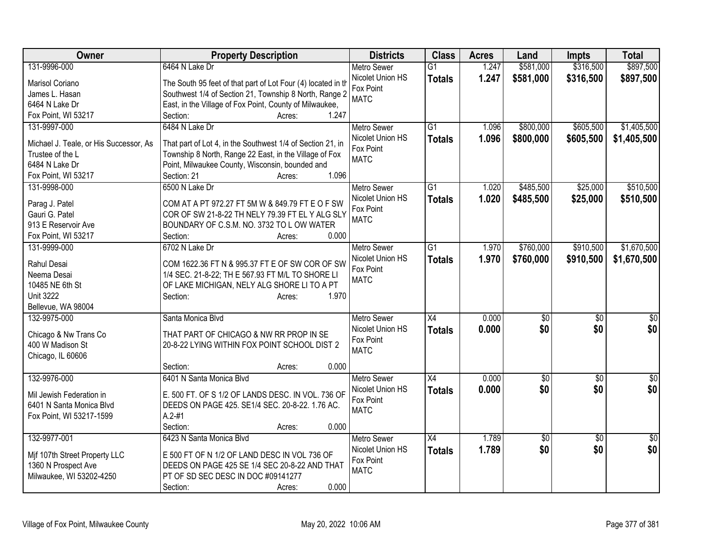| Owner                                  | <b>Property Description</b>                                  | <b>Districts</b>   | <b>Class</b>    | <b>Acres</b> | Land         | <b>Impts</b>    | <b>Total</b>    |
|----------------------------------------|--------------------------------------------------------------|--------------------|-----------------|--------------|--------------|-----------------|-----------------|
| 131-9996-000                           | 6464 N Lake Dr                                               | <b>Metro Sewer</b> | $\overline{G1}$ | 1.247        | \$581,000    | \$316,500       | \$897,500       |
| Marisol Coriano                        | The South 95 feet of that part of Lot Four (4) located in th | Nicolet Union HS   | <b>Totals</b>   | 1.247        | \$581,000    | \$316,500       | \$897,500       |
| James L. Hasan                         | Southwest 1/4 of Section 21, Township 8 North, Range 2       | Fox Point          |                 |              |              |                 |                 |
| 6464 N Lake Dr                         | East, in the Village of Fox Point, County of Milwaukee,      | <b>MATC</b>        |                 |              |              |                 |                 |
| Fox Point, WI 53217                    | 1.247<br>Section:<br>Acres:                                  |                    |                 |              |              |                 |                 |
| 131-9997-000                           | 6484 N Lake Dr                                               | <b>Metro Sewer</b> | G1              | 1.096        | \$800,000    | \$605,500       | \$1,405,500     |
|                                        |                                                              | Nicolet Union HS   | <b>Totals</b>   | 1.096        | \$800,000    | \$605,500       | \$1,405,500     |
| Michael J. Teale, or His Successor, As | That part of Lot 4, in the Southwest 1/4 of Section 21, in   | Fox Point          |                 |              |              |                 |                 |
| Trustee of the L                       | Township 8 North, Range 22 East, in the Village of Fox       | <b>MATC</b>        |                 |              |              |                 |                 |
| 6484 N Lake Dr                         | Point, Milwaukee County, Wisconsin, bounded and              |                    |                 |              |              |                 |                 |
| Fox Point, WI 53217                    | 1.096<br>Section: 21<br>Acres:                               |                    |                 |              |              |                 |                 |
| 131-9998-000                           | 6500 N Lake Dr                                               | <b>Metro Sewer</b> | G1              | 1.020        | \$485,500    | \$25,000        | \$510,500       |
| Parag J. Patel                         | COM AT A PT 972.27 FT 5M W & 849.79 FT E O F SW              | Nicolet Union HS   | <b>Totals</b>   | 1.020        | \$485,500    | \$25,000        | \$510,500       |
| Gauri G. Patel                         | COR OF SW 21-8-22 TH NELY 79.39 FT EL Y ALG SLY              | Fox Point          |                 |              |              |                 |                 |
| 913 E Reservoir Ave                    | BOUNDARY OF C.S.M. NO. 3732 TO L OW WATER                    | <b>MATC</b>        |                 |              |              |                 |                 |
| Fox Point, WI 53217                    | 0.000<br>Section:<br>Acres:                                  |                    |                 |              |              |                 |                 |
| 131-9999-000                           | 6702 N Lake Dr                                               | <b>Metro Sewer</b> | $\overline{G1}$ | 1.970        | \$760,000    | \$910,500       | \$1,670,500     |
|                                        |                                                              | Nicolet Union HS   | <b>Totals</b>   | 1.970        | \$760,000    | \$910,500       | \$1,670,500     |
| Rahul Desai                            | COM 1622.36 FT N & 995.37 FT E OF SW COR OF SW               | Fox Point          |                 |              |              |                 |                 |
| Neema Desai                            | 1/4 SEC. 21-8-22; TH E 567.93 FT M/L TO SHORE LI             | <b>MATC</b>        |                 |              |              |                 |                 |
| 10485 NE 6th St                        | OF LAKE MICHIGAN, NELY ALG SHORE LI TO A PT                  |                    |                 |              |              |                 |                 |
| <b>Unit 3222</b>                       | 1.970<br>Section:<br>Acres:                                  |                    |                 |              |              |                 |                 |
| Bellevue, WA 98004                     |                                                              |                    |                 |              |              |                 |                 |
| 132-9975-000                           | Santa Monica Blvd                                            | <b>Metro Sewer</b> | X4              | 0.000        | $\sqrt[6]{}$ | $\sqrt[6]{}$    | $\frac{1}{6}$   |
| Chicago & Nw Trans Co                  | THAT PART OF CHICAGO & NW RR PROP IN SE                      | Nicolet Union HS   | <b>Totals</b>   | 0.000        | \$0          | \$0             | \$0             |
| 400 W Madison St                       | 20-8-22 LYING WITHIN FOX POINT SCHOOL DIST 2                 | Fox Point          |                 |              |              |                 |                 |
| Chicago, IL 60606                      |                                                              | <b>MATC</b>        |                 |              |              |                 |                 |
|                                        | 0.000<br>Section:<br>Acres:                                  |                    |                 |              |              |                 |                 |
| 132-9976-000                           | 6401 N Santa Monica Blvd                                     | <b>Metro Sewer</b> | $\overline{X4}$ | 0.000        | \$0          | $\overline{50}$ | $\overline{30}$ |
|                                        |                                                              | Nicolet Union HS   | <b>Totals</b>   | 0.000        | \$0          | \$0             | \$0             |
| Mil Jewish Federation in               | E. 500 FT. OF S 1/2 OF LANDS DESC. IN VOL. 736 OF            | Fox Point          |                 |              |              |                 |                 |
| 6401 N Santa Monica Blvd               | DEEDS ON PAGE 425. SE1/4 SEC. 20-8-22. 1.76 AC.              | <b>MATC</b>        |                 |              |              |                 |                 |
| Fox Point, WI 53217-1599               | $A.2 - #1$                                                   |                    |                 |              |              |                 |                 |
|                                        | 0.000<br>Section:<br>Acres:                                  |                    |                 |              |              |                 |                 |
| 132-9977-001                           | 6423 N Santa Monica Blvd                                     | Metro Sewer        | $\overline{X4}$ | 1.789        | \$0          | $\overline{30}$ | \$0             |
| Mif 107th Street Property LLC          | E 500 FT OF N 1/2 OF LAND DESC IN VOL 736 OF                 | Nicolet Union HS   | <b>Totals</b>   | 1.789        | \$0          | \$0             | \$0             |
| 1360 N Prospect Ave                    | DEEDS ON PAGE 425 SE 1/4 SEC 20-8-22 AND THAT                | Fox Point          |                 |              |              |                 |                 |
| Milwaukee, WI 53202-4250               | PT OF SD SEC DESC IN DOC #09141277                           | <b>MATC</b>        |                 |              |              |                 |                 |
|                                        | 0.000<br>Section:<br>Acres:                                  |                    |                 |              |              |                 |                 |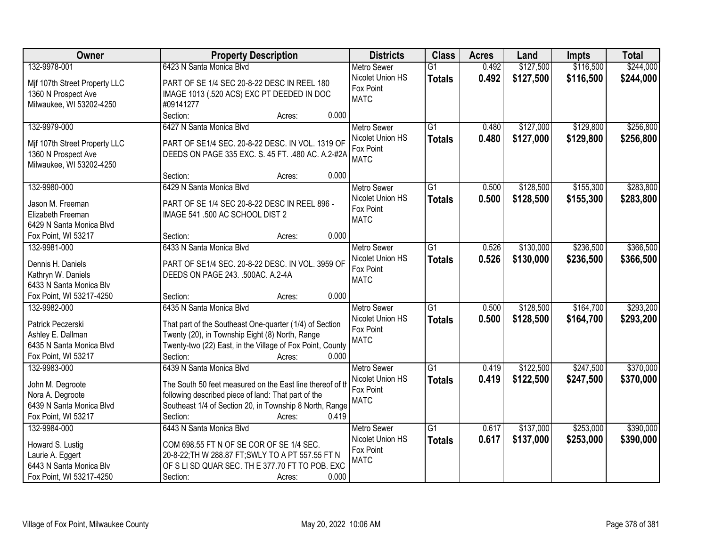| Owner                                        | <b>Property Description</b>                               | <b>Districts</b>   | <b>Class</b>    | <b>Acres</b> | Land      | <b>Impts</b> | <b>Total</b> |
|----------------------------------------------|-----------------------------------------------------------|--------------------|-----------------|--------------|-----------|--------------|--------------|
| 132-9978-001                                 | 6423 N Santa Monica Blvd                                  | <b>Metro Sewer</b> | $\overline{G1}$ | 0.492        | \$127,500 | \$116,500    | \$244,000    |
| Mif 107th Street Property LLC                | PART OF SE 1/4 SEC 20-8-22 DESC IN REEL 180               | Nicolet Union HS   | <b>Totals</b>   | 0.492        | \$127,500 | \$116,500    | \$244,000    |
| 1360 N Prospect Ave                          | IMAGE 1013 (.520 ACS) EXC PT DEEDED IN DOC                | Fox Point          |                 |              |           |              |              |
| Milwaukee, WI 53202-4250                     | #09141277                                                 | <b>MATC</b>        |                 |              |           |              |              |
|                                              | Section:<br>0.000<br>Acres:                               |                    |                 |              |           |              |              |
| 132-9979-000                                 | 6427 N Santa Monica Blyd                                  | <b>Metro Sewer</b> | $\overline{G1}$ | 0.480        | \$127,000 | \$129,800    | \$256,800    |
|                                              |                                                           | Nicolet Union HS   | <b>Totals</b>   | 0.480        | \$127,000 | \$129,800    | \$256,800    |
| Mif 107th Street Property LLC                | PART OF SE1/4 SEC. 20-8-22 DESC. IN VOL. 1319 OF          | Fox Point          |                 |              |           |              |              |
| 1360 N Prospect Ave                          | DEEDS ON PAGE 335 EXC. S. 45 FT. . 480 AC. A.2-#2A        | <b>MATC</b>        |                 |              |           |              |              |
| Milwaukee, WI 53202-4250                     | 0.000                                                     |                    |                 |              |           |              |              |
|                                              | Section:<br>Acres:                                        |                    |                 |              |           |              |              |
| 132-9980-000                                 | 6429 N Santa Monica Blvd                                  | <b>Metro Sewer</b> | G1              | 0.500        | \$128,500 | \$155,300    | \$283,800    |
| Jason M. Freeman                             | PART OF SE 1/4 SEC 20-8-22 DESC IN REEL 896 -             | Nicolet Union HS   | <b>Totals</b>   | 0.500        | \$128,500 | \$155,300    | \$283,800    |
| Elizabeth Freeman                            | IMAGE 541 .500 AC SCHOOL DIST 2                           | Fox Point          |                 |              |           |              |              |
| 6429 N Santa Monica Blvd                     |                                                           | <b>MATC</b>        |                 |              |           |              |              |
| Fox Point, WI 53217                          | 0.000<br>Section:<br>Acres:                               |                    |                 |              |           |              |              |
| 132-9981-000                                 | 6433 N Santa Monica Blyd                                  | <b>Metro Sewer</b> | $\overline{G1}$ | 0.526        | \$130,000 | \$236,500    | \$366,500    |
|                                              |                                                           | Nicolet Union HS   | <b>Totals</b>   | 0.526        | \$130,000 | \$236,500    | \$366,500    |
| Dennis H. Daniels                            | PART OF SE1/4 SEC. 20-8-22 DESC. IN VOL. 3959 OF          | Fox Point          |                 |              |           |              |              |
| Kathryn W. Daniels                           | DEEDS ON PAGE 243. .500AC. A.2-4A                         | <b>MATC</b>        |                 |              |           |              |              |
| 6433 N Santa Monica Blv                      |                                                           |                    |                 |              |           |              |              |
| Fox Point, WI 53217-4250                     | 0.000<br>Section:<br>Acres:                               |                    |                 |              |           |              |              |
| 132-9982-000                                 | 6435 N Santa Monica Blvd                                  | <b>Metro Sewer</b> | $\overline{G1}$ | 0.500        | \$128,500 | \$164,700    | \$293,200    |
| Patrick Peczerski                            | That part of the Southeast One-quarter (1/4) of Section   | Nicolet Union HS   | <b>Totals</b>   | 0.500        | \$128,500 | \$164,700    | \$293,200    |
| Ashley E. Dallman                            | Twenty (20), in Township Eight (8) North, Range           | Fox Point          |                 |              |           |              |              |
| 6435 N Santa Monica Blvd                     | Twenty-two (22) East, in the Village of Fox Point, County | <b>MATC</b>        |                 |              |           |              |              |
| Fox Point, WI 53217                          | 0.000<br>Section:<br>Acres:                               |                    |                 |              |           |              |              |
| 132-9983-000                                 | 6439 N Santa Monica Blyd                                  | Metro Sewer        | $\overline{G1}$ | 0.419        | \$122,500 | \$247,500    | \$370,000    |
|                                              |                                                           | Nicolet Union HS   | <b>Totals</b>   | 0.419        | \$122,500 | \$247,500    | \$370,000    |
| John M. Degroote                             | The South 50 feet measured on the East line thereof of th | Fox Point          |                 |              |           |              |              |
| Nora A. Degroote<br>6439 N Santa Monica Blvd | following described piece of land: That part of the       | <b>MATC</b>        |                 |              |           |              |              |
|                                              | Southeast 1/4 of Section 20, in Township 8 North, Range   |                    |                 |              |           |              |              |
| Fox Point, WI 53217                          | 0.419<br>Section:<br>Acres:                               |                    |                 |              |           |              |              |
| 132-9984-000                                 | 6443 N Santa Monica Blvd                                  | <b>Metro Sewer</b> | $\overline{G1}$ | 0.617        | \$137,000 | \$253,000    | \$390,000    |
| Howard S. Lustig                             | COM 698.55 FT N OF SE COR OF SE 1/4 SEC.                  | Nicolet Union HS   | <b>Totals</b>   | 0.617        | \$137,000 | \$253,000    | \$390,000    |
| Laurie A. Eggert                             | 20-8-22; TH W 288.87 FT; SWLY TO A PT 557.55 FT N         | Fox Point          |                 |              |           |              |              |
| 6443 N Santa Monica Blv                      | OF S LI SD QUAR SEC. TH E 377.70 FT TO POB. EXC           | <b>MATC</b>        |                 |              |           |              |              |
| Fox Point, WI 53217-4250                     | 0.000<br>Section:<br>Acres:                               |                    |                 |              |           |              |              |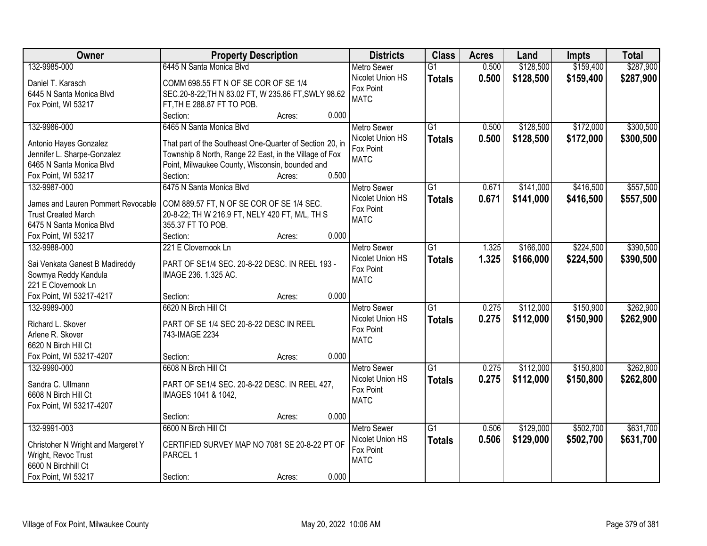| Owner                              | <b>Property Description</b>                              |        |       | <b>Districts</b>   | <b>Class</b>    | <b>Acres</b> | Land      | <b>Impts</b> | <b>Total</b> |
|------------------------------------|----------------------------------------------------------|--------|-------|--------------------|-----------------|--------------|-----------|--------------|--------------|
| 132-9985-000                       | 6445 N Santa Monica Blvd                                 |        |       | <b>Metro Sewer</b> | $\overline{G1}$ | 0.500        | \$128,500 | \$159,400    | \$287,900    |
| Daniel T. Karasch                  | COMM 698.55 FT N OF SE COR OF SE 1/4                     |        |       | Nicolet Union HS   | <b>Totals</b>   | 0.500        | \$128,500 | \$159,400    | \$287,900    |
| 6445 N Santa Monica Blvd           | SEC.20-8-22; TH N 83.02 FT, W 235.86 FT, SWLY 98.62      |        |       | Fox Point          |                 |              |           |              |              |
| Fox Point, WI 53217                | FT, TH E 288.87 FT TO POB.                               |        |       | <b>MATC</b>        |                 |              |           |              |              |
|                                    | Section:                                                 | Acres: | 0.000 |                    |                 |              |           |              |              |
| 132-9986-000                       | 6465 N Santa Monica Blvd                                 |        |       | <b>Metro Sewer</b> | $\overline{G1}$ | 0.500        | \$128,500 | \$172,000    | \$300,500    |
|                                    |                                                          |        |       | Nicolet Union HS   | <b>Totals</b>   | 0.500        | \$128,500 | \$172,000    | \$300,500    |
| Antonio Hayes Gonzalez             | That part of the Southeast One-Quarter of Section 20, in |        |       | Fox Point          |                 |              |           |              |              |
| Jennifer L. Sharpe-Gonzalez        | Township 8 North, Range 22 East, in the Village of Fox   |        |       | <b>MATC</b>        |                 |              |           |              |              |
| 6465 N Santa Monica Blvd           | Point, Milwaukee County, Wisconsin, bounded and          |        |       |                    |                 |              |           |              |              |
| Fox Point, WI 53217                | Section:                                                 | Acres: | 0.500 |                    |                 |              |           |              |              |
| 132-9987-000                       | 6475 N Santa Monica Blvd                                 |        |       | Metro Sewer        | $\overline{G1}$ | 0.671        | \$141,000 | \$416,500    | \$557,500    |
| James and Lauren Pommert Revocable | COM 889.57 FT, N OF SE COR OF SE 1/4 SEC.                |        |       | Nicolet Union HS   | <b>Totals</b>   | 0.671        | \$141,000 | \$416,500    | \$557,500    |
| <b>Trust Created March</b>         | 20-8-22; TH W 216.9 FT, NELY 420 FT, M/L, TH S           |        |       | Fox Point          |                 |              |           |              |              |
| 6475 N Santa Monica Blvd           | 355.37 FT TO POB.                                        |        |       | <b>MATC</b>        |                 |              |           |              |              |
| Fox Point, WI 53217                | Section:                                                 | Acres: | 0.000 |                    |                 |              |           |              |              |
| 132-9988-000                       | 221 E Clovernook Ln                                      |        |       | <b>Metro Sewer</b> | G1              | 1.325        | \$166,000 | \$224,500    | \$390,500    |
|                                    |                                                          |        |       | Nicolet Union HS   | <b>Totals</b>   | 1.325        | \$166,000 | \$224,500    | \$390,500    |
| Sai Venkata Ganest B Madireddy     | PART OF SE1/4 SEC. 20-8-22 DESC. IN REEL 193 -           |        |       | Fox Point          |                 |              |           |              |              |
| Sowmya Reddy Kandula               | IMAGE 236. 1.325 AC.                                     |        |       | <b>MATC</b>        |                 |              |           |              |              |
| 221 E Clovernook Ln                |                                                          |        |       |                    |                 |              |           |              |              |
| Fox Point, WI 53217-4217           | Section:                                                 | Acres: | 0.000 |                    |                 |              |           |              |              |
| 132-9989-000                       | 6620 N Birch Hill Ct                                     |        |       | <b>Metro Sewer</b> | $\overline{G1}$ | 0.275        | \$112,000 | \$150,900    | \$262,900    |
| Richard L. Skover                  | PART OF SE 1/4 SEC 20-8-22 DESC IN REEL                  |        |       | Nicolet Union HS   | <b>Totals</b>   | 0.275        | \$112,000 | \$150,900    | \$262,900    |
| Arlene R. Skover                   | 743-IMAGE 2234                                           |        |       | Fox Point          |                 |              |           |              |              |
| 6620 N Birch Hill Ct               |                                                          |        |       | <b>MATC</b>        |                 |              |           |              |              |
| Fox Point, WI 53217-4207           | Section:                                                 | Acres: | 0.000 |                    |                 |              |           |              |              |
| 132-9990-000                       | 6608 N Birch Hill Ct                                     |        |       | <b>Metro Sewer</b> | $\overline{G1}$ | 0.275        | \$112,000 | \$150,800    | \$262,800    |
|                                    |                                                          |        |       | Nicolet Union HS   | <b>Totals</b>   | 0.275        | \$112,000 | \$150,800    | \$262,800    |
| Sandra C. Ullmann                  | PART OF SE1/4 SEC. 20-8-22 DESC. IN REEL 427,            |        |       | Fox Point          |                 |              |           |              |              |
| 6608 N Birch Hill Ct               | IMAGES 1041 & 1042,                                      |        |       | <b>MATC</b>        |                 |              |           |              |              |
| Fox Point, WI 53217-4207           |                                                          |        |       |                    |                 |              |           |              |              |
|                                    | Section:                                                 | Acres: | 0.000 |                    |                 |              |           |              |              |
| 132-9991-003                       | 6600 N Birch Hill Ct                                     |        |       | <b>Metro Sewer</b> | $\overline{G1}$ | 0.506        | \$129,000 | \$502,700    | \$631,700    |
| Christoher N Wright and Margeret Y | CERTIFIED SURVEY MAP NO 7081 SE 20-8-22 PT OF            |        |       | Nicolet Union HS   | <b>Totals</b>   | 0.506        | \$129,000 | \$502,700    | \$631,700    |
| Wright, Revoc Trust                | PARCEL 1                                                 |        |       | Fox Point          |                 |              |           |              |              |
| 6600 N Birchhill Ct                |                                                          |        |       | <b>MATC</b>        |                 |              |           |              |              |
| Fox Point, WI 53217                | Section:                                                 | Acres: | 0.000 |                    |                 |              |           |              |              |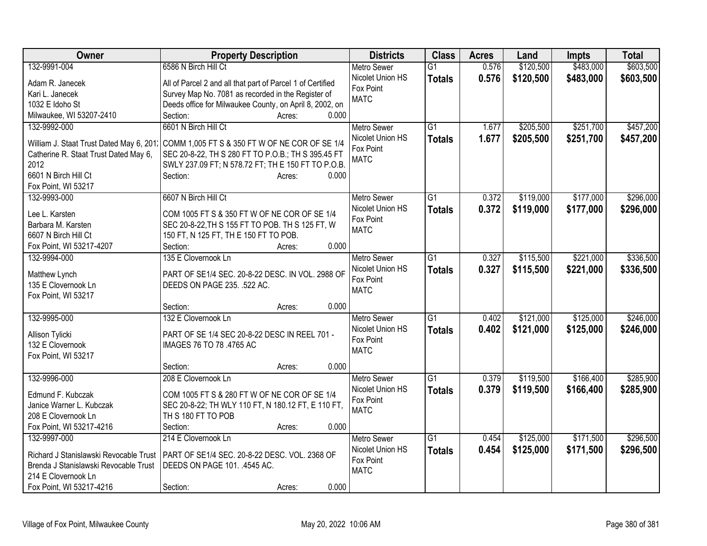| Owner                                         | <b>Property Description</b>                                                       | <b>Districts</b>   | <b>Class</b>    | <b>Acres</b> | Land      | <b>Impts</b> | <b>Total</b> |
|-----------------------------------------------|-----------------------------------------------------------------------------------|--------------------|-----------------|--------------|-----------|--------------|--------------|
| 132-9991-004                                  | 6586 N Birch Hill Ct                                                              | <b>Metro Sewer</b> | G1              | 0.576        | \$120,500 | \$483,000    | \$603,500    |
| Adam R. Janecek                               | All of Parcel 2 and all that part of Parcel 1 of Certified                        | Nicolet Union HS   | <b>Totals</b>   | 0.576        | \$120,500 | \$483,000    | \$603,500    |
| Kari L. Janecek                               | Survey Map No. 7081 as recorded in the Register of                                | Fox Point          |                 |              |           |              |              |
| 1032 E Idoho St                               | Deeds office for Milwaukee County, on April 8, 2002, on                           | <b>MATC</b>        |                 |              |           |              |              |
| Milwaukee, WI 53207-2410                      | 0.000<br>Section:<br>Acres:                                                       |                    |                 |              |           |              |              |
| 132-9992-000                                  | 6601 N Birch Hill Ct                                                              | <b>Metro Sewer</b> | $\overline{G1}$ | 1.677        | \$205,500 | \$251,700    | \$457,200    |
|                                               |                                                                                   | Nicolet Union HS   | <b>Totals</b>   | 1.677        | \$205,500 | \$251,700    | \$457,200    |
| William J. Staat Trust Dated May 6, 201.      | COMM 1,005 FT S & 350 FT W OF NE COR OF SE 1/4                                    | Fox Point          |                 |              |           |              |              |
| Catherine R. Staat Trust Dated May 6,<br>2012 | SEC 20-8-22, TH S 280 FT TO P.O.B.; TH S 395.45 FT                                | <b>MATC</b>        |                 |              |           |              |              |
| 6601 N Birch Hill Ct                          | SWLY 237.09 FT; N 578.72 FT; TH E 150 FT TO P.O.B.<br>Section:<br>0.000<br>Acres: |                    |                 |              |           |              |              |
| Fox Point, WI 53217                           |                                                                                   |                    |                 |              |           |              |              |
| 132-9993-000                                  | 6607 N Birch Hill Ct                                                              | <b>Metro Sewer</b> | G1              | 0.372        | \$119,000 | \$177,000    | \$296,000    |
|                                               |                                                                                   | Nicolet Union HS   | <b>Totals</b>   | 0.372        | \$119,000 | \$177,000    | \$296,000    |
| Lee L. Karsten                                | COM 1005 FT S & 350 FT W OF NE COR OF SE 1/4                                      | Fox Point          |                 |              |           |              |              |
| Barbara M. Karsten                            | SEC 20-8-22, TH S 155 FT TO POB. TH S 125 FT, W                                   | <b>MATC</b>        |                 |              |           |              |              |
| 6607 N Birch Hill Ct                          | 150 FT, N 125 FT, TH E 150 FT TO POB.                                             |                    |                 |              |           |              |              |
| Fox Point, WI 53217-4207                      | 0.000<br>Section:<br>Acres:                                                       |                    |                 |              |           |              |              |
| 132-9994-000                                  | 135 E Clovernook Ln                                                               | <b>Metro Sewer</b> | $\overline{G1}$ | 0.327        | \$115,500 | \$221,000    | \$336,500    |
| Matthew Lynch                                 | PART OF SE1/4 SEC. 20-8-22 DESC. IN VOL. 2988 OF                                  | Nicolet Union HS   | <b>Totals</b>   | 0.327        | \$115,500 | \$221,000    | \$336,500    |
| 135 E Clovernook Ln                           | DEEDS ON PAGE 235. .522 AC.                                                       | Fox Point          |                 |              |           |              |              |
| Fox Point, WI 53217                           |                                                                                   | <b>MATC</b>        |                 |              |           |              |              |
|                                               | 0.000<br>Section:<br>Acres:                                                       |                    |                 |              |           |              |              |
| 132-9995-000                                  | 132 E Clovernook Ln                                                               | <b>Metro Sewer</b> | $\overline{G1}$ | 0.402        | \$121,000 | \$125,000    | \$246,000    |
|                                               |                                                                                   | Nicolet Union HS   | <b>Totals</b>   | 0.402        | \$121,000 | \$125,000    | \$246,000    |
| Allison Tylicki                               | PART OF SE 1/4 SEC 20-8-22 DESC IN REEL 701 -                                     | Fox Point          |                 |              |           |              |              |
| 132 E Clovernook                              | IMAGES 76 TO 78 .4765 AC                                                          | <b>MATC</b>        |                 |              |           |              |              |
| Fox Point, WI 53217                           | 0.000<br>Section:                                                                 |                    |                 |              |           |              |              |
| 132-9996-000                                  | Acres:<br>208 E Clovernook Ln                                                     | <b>Metro Sewer</b> | $\overline{G1}$ | 0.379        | \$119,500 | \$166,400    | \$285,900    |
|                                               |                                                                                   | Nicolet Union HS   |                 | 0.379        |           |              |              |
| Edmund F. Kubczak                             | COM 1005 FT S & 280 FT W OF NE COR OF SE 1/4                                      | Fox Point          | <b>Totals</b>   |              | \$119,500 | \$166,400    | \$285,900    |
| Janice Warner L. Kubczak                      | SEC 20-8-22; TH WLY 110 FT, N 180.12 FT, E 110 FT,                                | <b>MATC</b>        |                 |              |           |              |              |
| 208 E Clovernook Ln                           | TH S 180 FT TO POB                                                                |                    |                 |              |           |              |              |
| Fox Point, WI 53217-4216                      | Section:<br>0.000<br>Acres:                                                       |                    |                 |              |           |              |              |
| 132-9997-000                                  | 214 E Clovernook Ln                                                               | <b>Metro Sewer</b> | $\overline{G1}$ | 0.454        | \$125,000 | \$171,500    | \$296,500    |
| Richard J Stanislawski Revocable Trust        | PART OF SE1/4 SEC. 20-8-22 DESC. VOL. 2368 OF                                     | Nicolet Union HS   | <b>Totals</b>   | 0.454        | \$125,000 | \$171,500    | \$296,500    |
| Brenda J Stanislawski Revocable Trust         | DEEDS ON PAGE 101. .4545 AC.                                                      | Fox Point          |                 |              |           |              |              |
| 214 E Clovernook Ln                           |                                                                                   | <b>MATC</b>        |                 |              |           |              |              |
| Fox Point, WI 53217-4216                      | 0.000<br>Section:<br>Acres:                                                       |                    |                 |              |           |              |              |